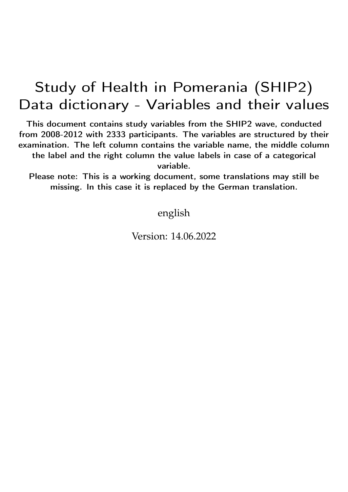## Study of Health in Pomerania (SHIP2) Data dictionary - Variables and their values

This document contains study variables from the SHIP2 wave, conducted from 2008-2012 with 2333 participants. The variables are structured by their examination. The left column contains the variable name, the middle column the label and the right column the value labels in case of a categorical variable.

Please note: This is a working document, some translations may still be missing. In this case it is replaced by the German translation.

english

Version: 14.06.2022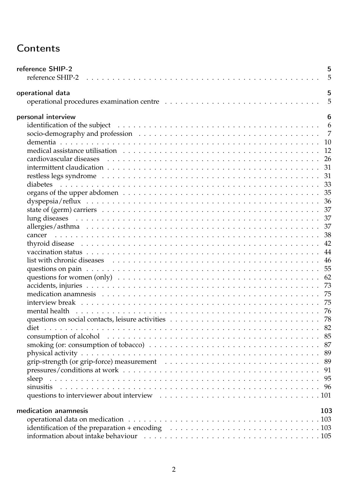## **Contents**

| reference SHIP-2                                                                                                                                                                                                              | 5<br>5 |
|-------------------------------------------------------------------------------------------------------------------------------------------------------------------------------------------------------------------------------|--------|
| operational data                                                                                                                                                                                                              | 5      |
|                                                                                                                                                                                                                               | 5      |
| personal interview                                                                                                                                                                                                            | 6      |
|                                                                                                                                                                                                                               |        |
|                                                                                                                                                                                                                               |        |
|                                                                                                                                                                                                                               |        |
|                                                                                                                                                                                                                               |        |
|                                                                                                                                                                                                                               |        |
|                                                                                                                                                                                                                               |        |
|                                                                                                                                                                                                                               |        |
|                                                                                                                                                                                                                               |        |
|                                                                                                                                                                                                                               |        |
|                                                                                                                                                                                                                               |        |
|                                                                                                                                                                                                                               |        |
|                                                                                                                                                                                                                               |        |
|                                                                                                                                                                                                                               |        |
|                                                                                                                                                                                                                               |        |
|                                                                                                                                                                                                                               |        |
|                                                                                                                                                                                                                               |        |
|                                                                                                                                                                                                                               |        |
|                                                                                                                                                                                                                               |        |
|                                                                                                                                                                                                                               |        |
|                                                                                                                                                                                                                               |        |
|                                                                                                                                                                                                                               |        |
|                                                                                                                                                                                                                               |        |
| mental health is respectively in the contract of the contract of the contract of the contract of the contract of the contract of the contract of the contract of the contract of the contract of the contract of the contract |        |
|                                                                                                                                                                                                                               |        |
|                                                                                                                                                                                                                               |        |
|                                                                                                                                                                                                                               |        |
|                                                                                                                                                                                                                               |        |
|                                                                                                                                                                                                                               |        |
|                                                                                                                                                                                                                               |        |
|                                                                                                                                                                                                                               |        |
|                                                                                                                                                                                                                               |        |
|                                                                                                                                                                                                                               |        |
|                                                                                                                                                                                                                               |        |
|                                                                                                                                                                                                                               |        |
| medication anamnesis                                                                                                                                                                                                          | 103    |
|                                                                                                                                                                                                                               |        |
|                                                                                                                                                                                                                               |        |
|                                                                                                                                                                                                                               |        |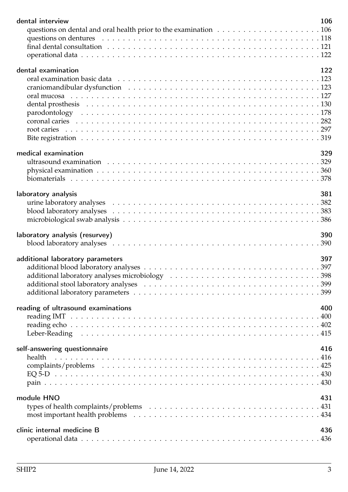| dental interview                   | 106 |
|------------------------------------|-----|
|                                    |     |
|                                    |     |
|                                    |     |
|                                    |     |
| dental examination                 | 122 |
|                                    |     |
|                                    |     |
|                                    |     |
|                                    |     |
|                                    |     |
|                                    |     |
|                                    |     |
|                                    |     |
| medical examination                | 329 |
|                                    |     |
|                                    |     |
|                                    |     |
|                                    |     |
| laboratory analysis                | 381 |
|                                    |     |
|                                    |     |
|                                    |     |
| laboratory analysis (resurvey)     | 390 |
|                                    |     |
|                                    |     |
| additional laboratory parameters   | 397 |
|                                    |     |
|                                    |     |
|                                    |     |
|                                    |     |
|                                    |     |
|                                    | 400 |
| reading of ultrasound examinations |     |
|                                    |     |
|                                    |     |
|                                    |     |
| self-answering questionnaire       | 416 |
| health                             |     |
|                                    |     |
|                                    |     |
|                                    |     |
| module HNO                         | 431 |
|                                    |     |
|                                    |     |
|                                    |     |
| clinic internal medicine B         | 436 |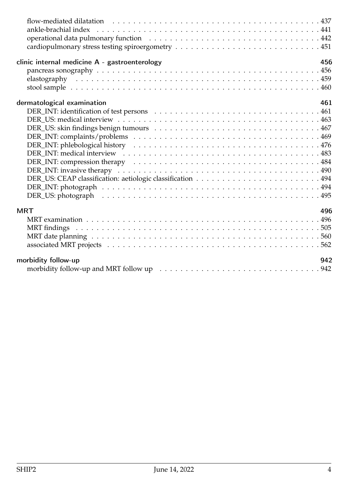| 456                                           |
|-----------------------------------------------|
| clinic internal medicine A - gastroenterology |
|                                               |
|                                               |
|                                               |
| dermatological examination<br>461             |
|                                               |
|                                               |
|                                               |
|                                               |
|                                               |
|                                               |
|                                               |
|                                               |
|                                               |
|                                               |
|                                               |
|                                               |
| <b>MRT</b><br>496                             |
|                                               |
|                                               |
|                                               |
|                                               |
| morbidity follow-up<br>942                    |
|                                               |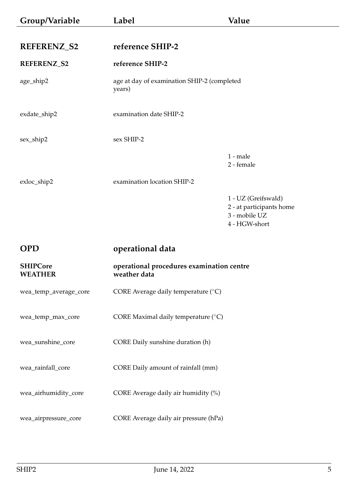<span id="page-4-3"></span><span id="page-4-2"></span><span id="page-4-1"></span><span id="page-4-0"></span>

| Group/Variable                    | Label                                                     | Value                                                                             |
|-----------------------------------|-----------------------------------------------------------|-----------------------------------------------------------------------------------|
| REFERENZ_S2                       | reference SHIP-2                                          |                                                                                   |
| REFERENZ_S2                       | reference SHIP-2                                          |                                                                                   |
| age_ship2                         | age at day of examination SHIP-2 (completed<br>years)     |                                                                                   |
| exdate_ship2                      | examination date SHIP-2                                   |                                                                                   |
| sex_ship2                         | sex SHIP-2                                                |                                                                                   |
|                                   |                                                           | $1$ - male<br>2 - female                                                          |
| exloc_ship2                       | examination location SHIP-2                               |                                                                                   |
|                                   |                                                           | 1 - UZ (Greifswald)<br>2 - at participants home<br>3 - mobile UZ<br>4 - HGW-short |
| <b>OPD</b>                        | operational data                                          |                                                                                   |
| <b>SHIPCore</b><br><b>WEATHER</b> | operational procedures examination centre<br>weather data |                                                                                   |
| wea_temp_average_core             | CORE Average daily temperature (°C)                       |                                                                                   |
| wea_temp_max_core                 | CORE Maximal daily temperature (°C)                       |                                                                                   |
| wea_sunshine_core                 | CORE Daily sunshine duration (h)                          |                                                                                   |
| wea_rainfall_core                 | CORE Daily amount of rainfall (mm)                        |                                                                                   |
| wea_airhumidity_core              | CORE Average daily air humidity (%)                       |                                                                                   |
| wea_airpressure_core              | CORE Average daily air pressure (hPa)                     |                                                                                   |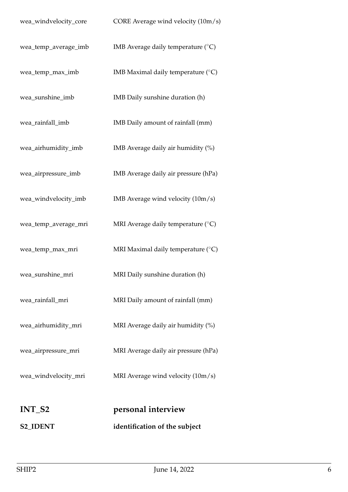<span id="page-5-1"></span><span id="page-5-0"></span>

| <b>S2_IDENT</b>       | identification of the subject               |
|-----------------------|---------------------------------------------|
| INT_S2                | personal interview                          |
| wea_windvelocity_mri  | MRI Average wind velocity $(10m/s)$         |
| wea_airpressure_mri   | MRI Average daily air pressure (hPa)        |
| wea_airhumidity_mri   | MRI Average daily air humidity (%)          |
| wea_rainfall_mri      | MRI Daily amount of rainfall (mm)           |
| wea_sunshine_mri      | MRI Daily sunshine duration (h)             |
| wea_temp_max_mri      | MRI Maximal daily temperature $(^{\circ}C)$ |
| wea_temp_average_mri  | MRI Average daily temperature (°C)          |
| wea_windvelocity_imb  | IMB Average wind velocity (10m/s)           |
| wea_airpressure_imb   | IMB Average daily air pressure (hPa)        |
| wea_airhumidity_imb   | IMB Average daily air humidity (%)          |
| wea_rainfall_imb      | IMB Daily amount of rainfall (mm)           |
| wea_sunshine_imb      | IMB Daily sunshine duration (h)             |
| wea_temp_max_imb      | IMB Maximal daily temperature (°C)          |
| wea_temp_average_imb  | IMB Average daily temperature $(^{\circ}C)$ |
| wea_windvelocity_core | CORE Average wind velocity (10m/s)          |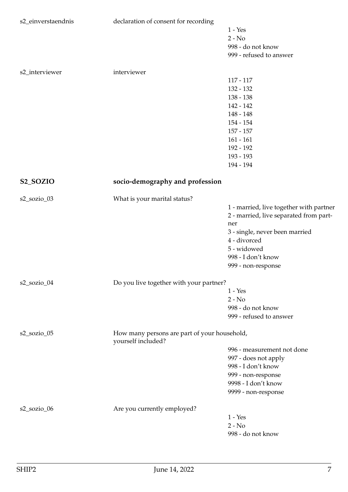<span id="page-6-0"></span>

| s2_einverstaendnis    | declaration of consent for recording                               |                                         |
|-----------------------|--------------------------------------------------------------------|-----------------------------------------|
|                       |                                                                    | $1 - Yes$                               |
|                       |                                                                    | $2 - No$                                |
|                       |                                                                    | 998 - do not know                       |
|                       |                                                                    | 999 - refused to answer                 |
|                       |                                                                    |                                         |
| s2_interviewer        | interviewer                                                        |                                         |
|                       |                                                                    | $117 - 117$                             |
|                       |                                                                    | 132 - 132                               |
|                       |                                                                    | $138 - 138$                             |
|                       |                                                                    | 142 - 142                               |
|                       |                                                                    | 148 - 148                               |
|                       |                                                                    | 154 - 154                               |
|                       |                                                                    | $157 - 157$                             |
|                       |                                                                    | $161 - 161$                             |
|                       |                                                                    | 192 - 192                               |
|                       |                                                                    | 193 - 193                               |
|                       |                                                                    | 194 - 194                               |
| S <sub>2_</sub> SOZIO | socio-demography and profession                                    |                                         |
| s2_sozio_03           | What is your marital status?                                       |                                         |
|                       |                                                                    | 1 - married, live together with partner |
|                       |                                                                    | 2 - married, live separated from part-  |
|                       |                                                                    | ner                                     |
|                       |                                                                    | 3 - single, never been married          |
|                       |                                                                    | 4 - divorced                            |
|                       |                                                                    | 5 - widowed                             |
|                       |                                                                    | 998 - I don't know                      |
|                       |                                                                    | 999 - non-response                      |
|                       | Do you live together with your partner?                            |                                         |
| s2_sozio_04           |                                                                    | $1 - Yes$                               |
|                       |                                                                    | $2 - No$                                |
|                       |                                                                    | 998 - do not know                       |
|                       |                                                                    |                                         |
|                       |                                                                    | 999 - refused to answer                 |
| $s2$ _sozio_05        | How many persons are part of your household,<br>yourself included? |                                         |
|                       |                                                                    | 996 - measurement not done              |
|                       |                                                                    | 997 - does not apply                    |
|                       |                                                                    | 998 - I don't know                      |
|                       |                                                                    | 999 - non-response                      |
|                       |                                                                    | 9998 - I don't know                     |
|                       |                                                                    | 9999 - non-response                     |
| s2_sozio_06           | Are you currently employed?                                        |                                         |
|                       |                                                                    | $1 - Yes$                               |
|                       |                                                                    | $2 - No$                                |
|                       |                                                                    | 998 - do not know                       |
|                       |                                                                    |                                         |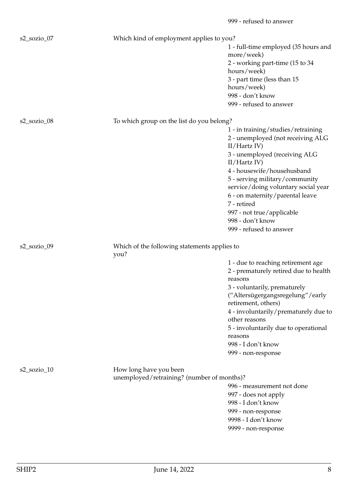| s2_sozio_07    | Which kind of employment applies to you?                             |                                                         |
|----------------|----------------------------------------------------------------------|---------------------------------------------------------|
|                |                                                                      | 1 - full-time employed (35 hours and<br>more/week)      |
|                |                                                                      | 2 - working part-time (15 to 34                         |
|                |                                                                      | hours/week)                                             |
|                |                                                                      | 3 - part time (less than 15                             |
|                |                                                                      | hours/week)                                             |
|                |                                                                      | 998 - don't know                                        |
|                |                                                                      | 999 - refused to answer                                 |
| s2_sozio_08    | To which group on the list do you belong?                            |                                                         |
|                |                                                                      | 1 - in training/studies/retraining                      |
|                |                                                                      | 2 - unemployed (not receiving ALG<br>II/Hartz IV        |
|                |                                                                      | 3 - unemployed (receiving ALG<br>II/Hartz IV)           |
|                |                                                                      | 4 - housewife/househusband                              |
|                |                                                                      | 5 - serving military/community                          |
|                |                                                                      | service/doing voluntary social year                     |
|                |                                                                      | 6 - on maternity/parental leave                         |
|                |                                                                      | 7 - retired                                             |
|                |                                                                      | 997 - not true/applicable<br>998 - don't know           |
|                |                                                                      | 999 - refused to answer                                 |
|                |                                                                      |                                                         |
| s2_sozio_09    | Which of the following statements applies to<br>you?                 |                                                         |
|                |                                                                      | 1 - due to reaching retirement age                      |
|                |                                                                      | 2 - prematurely retired due to health                   |
|                |                                                                      | reasons                                                 |
|                |                                                                      | 3 - voluntarily, prematurely                            |
|                |                                                                      | ("Altersügergangsregelung"/early<br>retirement, others) |
|                |                                                                      | 4 - involuntarily/prematurely due to                    |
|                |                                                                      | other reasons                                           |
|                |                                                                      | 5 - involuntarily due to operational                    |
|                |                                                                      | reasons                                                 |
|                |                                                                      | 998 - I don't know                                      |
|                |                                                                      | 999 - non-response                                      |
| $s2$ _sozio_10 |                                                                      |                                                         |
|                | How long have you been<br>unemployed/retraining? (number of months)? |                                                         |
|                |                                                                      | 996 - measurement not done                              |
|                |                                                                      | 997 - does not apply                                    |
|                |                                                                      | 998 - I don't know                                      |
|                |                                                                      | 999 - non-response                                      |
|                |                                                                      | 9998 - I don't know                                     |
|                |                                                                      | 9999 - non-response                                     |

999 - refused to answer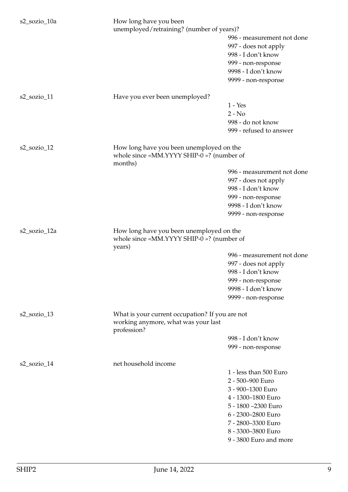| s2_sozio_10a   | How long have you been<br>unemployed/retraining? (number of years)?                                   | 996 - measurement not done<br>997 - does not apply<br>998 - I don't know<br>999 - non-response<br>9998 - I don't know<br>9999 - non-response                                                              |
|----------------|-------------------------------------------------------------------------------------------------------|-----------------------------------------------------------------------------------------------------------------------------------------------------------------------------------------------------------|
| $s2$ _sozio_11 | Have you ever been unemployed?                                                                        | $1 - Yes$<br>$2 - No$<br>998 - do not know<br>999 - refused to answer                                                                                                                                     |
| $s2$ _sozio_12 | How long have you been unemployed on the<br>whole since «MM.YYYY SHIP-0 »? (number of<br>months)      | 996 - measurement not done<br>997 - does not apply<br>998 - I don't know<br>999 - non-response<br>9998 - I don't know<br>9999 - non-response                                                              |
| s2_sozio_12a   | How long have you been unemployed on the<br>whole since «MM.YYYY SHIP-0 »? (number of<br>years)       | 996 - measurement not done<br>997 - does not apply<br>998 - I don't know<br>999 - non-response<br>9998 - I don't know<br>9999 - non-response                                                              |
| s2_sozio_13    | What is your current occupation? If you are not<br>working anymore, what was your last<br>profession? | 998 - I don't know<br>999 - non-response                                                                                                                                                                  |
| s2_sozio_14    | net household income                                                                                  | 1 - less than 500 Euro<br>2 - 500-900 Euro<br>3 - 900-1300 Euro<br>4 - 1300-1800 Euro<br>5 - 1800 - 2300 Euro<br>6 - 2300-2800 Euro<br>7 - 2800-3300 Euro<br>8 - 3300-3800 Euro<br>9 - 3800 Euro and more |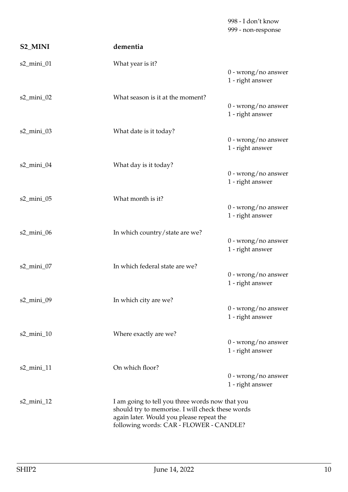<span id="page-9-0"></span>

|                           |                                                                                                                                                                                            | 998 - I don't know<br>999 - non-response  |
|---------------------------|--------------------------------------------------------------------------------------------------------------------------------------------------------------------------------------------|-------------------------------------------|
| S2_MINI                   | dementia                                                                                                                                                                                   |                                           |
| s2_mini_01                | What year is it?                                                                                                                                                                           | 0 - wrong/no answer<br>1 - right answer   |
| s2_mini_02                | What season is it at the moment?                                                                                                                                                           | $0$ - wrong/no answer<br>1 - right answer |
| s2_mini_03                | What date is it today?                                                                                                                                                                     | $0$ - wrong/no answer<br>1 - right answer |
| s2_mini_04                | What day is it today?                                                                                                                                                                      | $0$ - wrong/no answer<br>1 - right answer |
| s2_mini_05                | What month is it?                                                                                                                                                                          | $0$ - wrong/no answer<br>1 - right answer |
| $s2$ _mini_06             | In which country/state are we?                                                                                                                                                             | $0$ - wrong/no answer<br>1 - right answer |
| $s2$ _mini_07             | In which federal state are we?                                                                                                                                                             | $0$ - wrong/no answer<br>1 - right answer |
| s2_mini_09                | In which city are we?                                                                                                                                                                      | $0$ - wrong/no answer<br>1 - right answer |
| $s2$ _mini_10             | Where exactly are we?                                                                                                                                                                      | $0$ - wrong/no answer<br>1 - right answer |
| $s2$ <sub>mini</sub> $11$ | On which floor?                                                                                                                                                                            | $0$ - wrong/no answer<br>1 - right answer |
| $s2$ <sub>mini</sub> $12$ | I am going to tell you three words now that you<br>should try to memorise. I will check these words<br>again later. Would you please repeat the<br>following words: CAR - FLOWER - CANDLE? |                                           |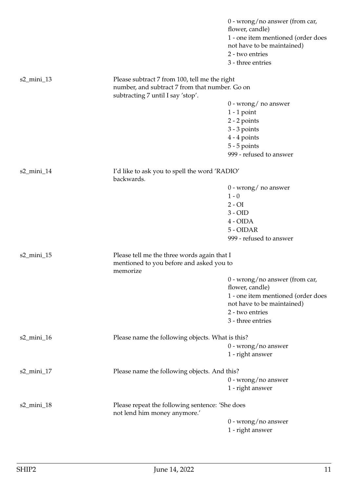|               |                                                                                                 | $0$ - wrong/no answer (from car,<br>flower, candle)<br>1 - one item mentioned (order does<br>not have to be maintained)<br>2 - two entries<br>3 - three entries |
|---------------|-------------------------------------------------------------------------------------------------|-----------------------------------------------------------------------------------------------------------------------------------------------------------------|
| $s2$ _mini_13 | Please subtract 7 from 100, tell me the right<br>number, and subtract 7 from that number. Go on |                                                                                                                                                                 |
|               | subtracting 7 until I say 'stop'.                                                               |                                                                                                                                                                 |
|               |                                                                                                 | $0$ - wrong/ no answer                                                                                                                                          |
|               |                                                                                                 | $1 - 1$ point                                                                                                                                                   |
|               |                                                                                                 | $2 - 2$ points                                                                                                                                                  |
|               |                                                                                                 | $3 - 3$ points                                                                                                                                                  |
|               |                                                                                                 | $4 - 4$ points                                                                                                                                                  |
|               |                                                                                                 | $5 - 5$ points                                                                                                                                                  |
|               |                                                                                                 | 999 - refused to answer                                                                                                                                         |
| s2_mini_14    | I'd like to ask you to spell the word 'RADIO'<br>backwards.                                     |                                                                                                                                                                 |
|               |                                                                                                 | $0$ - wrong/ no answer                                                                                                                                          |
|               |                                                                                                 | $1 - 0$                                                                                                                                                         |
|               |                                                                                                 | $2 - OI$                                                                                                                                                        |
|               |                                                                                                 | $3 - OID$                                                                                                                                                       |
|               |                                                                                                 | $4 - OIDA$                                                                                                                                                      |
|               |                                                                                                 | 5 - OIDAR                                                                                                                                                       |
|               |                                                                                                 | 999 - refused to answer                                                                                                                                         |
|               |                                                                                                 |                                                                                                                                                                 |
| $s2$ _mini_15 | Please tell me the three words again that I                                                     |                                                                                                                                                                 |
|               | mentioned to you before and asked you to<br>memorize                                            |                                                                                                                                                                 |
|               |                                                                                                 | $0$ - wrong/no answer (from car,                                                                                                                                |
|               |                                                                                                 | flower, candle)                                                                                                                                                 |
|               |                                                                                                 | 1 - one item mentioned (order does                                                                                                                              |
|               |                                                                                                 | not have to be maintained)                                                                                                                                      |
|               |                                                                                                 | 2 - two entries                                                                                                                                                 |
|               |                                                                                                 | 3 - three entries                                                                                                                                               |
| s2_mini_16    | Please name the following objects. What is this?                                                |                                                                                                                                                                 |
|               |                                                                                                 | $0$ - wrong/no answer                                                                                                                                           |
|               |                                                                                                 | 1 - right answer                                                                                                                                                |
|               |                                                                                                 |                                                                                                                                                                 |
| s2_mini_17    | Please name the following objects. And this?                                                    |                                                                                                                                                                 |
|               |                                                                                                 | $0$ - wrong/no answer                                                                                                                                           |
|               |                                                                                                 | 1 - right answer                                                                                                                                                |
| $s2$ _mini_18 | Please repeat the following sentence: 'She does<br>not lend him money anymore.'                 |                                                                                                                                                                 |
|               |                                                                                                 | $0$ - wrong/no answer                                                                                                                                           |
|               |                                                                                                 | 1 - right answer                                                                                                                                                |
|               |                                                                                                 |                                                                                                                                                                 |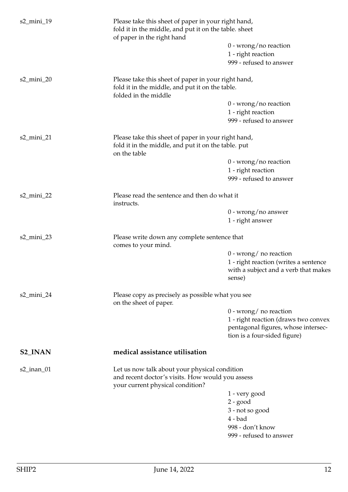<span id="page-11-0"></span>

| s2_mini_19                |                                                                                      | Please take this sheet of paper in your right hand,<br>fold it in the middle, and put it on the table. sheet<br>of paper in the right hand |  |
|---------------------------|--------------------------------------------------------------------------------------|--------------------------------------------------------------------------------------------------------------------------------------------|--|
|                           |                                                                                      | $0$ - wrong/no reaction                                                                                                                    |  |
|                           |                                                                                      | 1 - right reaction                                                                                                                         |  |
|                           |                                                                                      | 999 - refused to answer                                                                                                                    |  |
| s2_mini_20                | Please take this sheet of paper in your right hand,                                  |                                                                                                                                            |  |
|                           | fold it in the middle, and put it on the table.<br>folded in the middle              |                                                                                                                                            |  |
|                           |                                                                                      | $0$ - wrong/no reaction                                                                                                                    |  |
|                           |                                                                                      | 1 - right reaction                                                                                                                         |  |
|                           |                                                                                      | 999 - refused to answer                                                                                                                    |  |
| s2_mini_21                | Please take this sheet of paper in your right hand,                                  |                                                                                                                                            |  |
|                           | fold it in the middle, and put it on the table. put<br>on the table                  |                                                                                                                                            |  |
|                           |                                                                                      | $0$ - wrong/no reaction                                                                                                                    |  |
|                           |                                                                                      | 1 - right reaction                                                                                                                         |  |
|                           |                                                                                      | 999 - refused to answer                                                                                                                    |  |
| s2_mini_22                | Please read the sentence and then do what it<br>instructs.                           |                                                                                                                                            |  |
|                           |                                                                                      | $0$ - wrong/no answer                                                                                                                      |  |
|                           |                                                                                      | 1 - right answer                                                                                                                           |  |
| $s2$ _mini_23             | Please write down any complete sentence that<br>comes to your mind.                  |                                                                                                                                            |  |
|                           |                                                                                      | $0$ - wrong/ no reaction                                                                                                                   |  |
|                           |                                                                                      | 1 - right reaction (writes a sentence                                                                                                      |  |
|                           |                                                                                      | with a subject and a verb that makes<br>sense)                                                                                             |  |
| $s2$ <sub>mini</sub> $24$ | Please copy as precisely as possible what you see<br>on the sheet of paper.          |                                                                                                                                            |  |
|                           |                                                                                      | $0$ - wrong/ no reaction                                                                                                                   |  |
|                           |                                                                                      | 1 - right reaction (draws two convex                                                                                                       |  |
|                           |                                                                                      | pentagonal figures, whose intersec-                                                                                                        |  |
|                           |                                                                                      | tion is a four-sided figure)                                                                                                               |  |
| <b>S2_INAN</b>            | medical assistance utilisation                                                       |                                                                                                                                            |  |
| $s2$ _inan_01             | Let us now talk about your physical condition                                        |                                                                                                                                            |  |
|                           | and recent doctor's visits. How would you assess<br>your current physical condition? |                                                                                                                                            |  |
|                           |                                                                                      | 1 - very good                                                                                                                              |  |
|                           |                                                                                      | $2 - good$                                                                                                                                 |  |
|                           |                                                                                      | 3 - not so good                                                                                                                            |  |
|                           |                                                                                      | $4 - bad$                                                                                                                                  |  |
|                           |                                                                                      | 998 - don't know                                                                                                                           |  |
|                           |                                                                                      | 999 - refused to answer                                                                                                                    |  |
|                           |                                                                                      |                                                                                                                                            |  |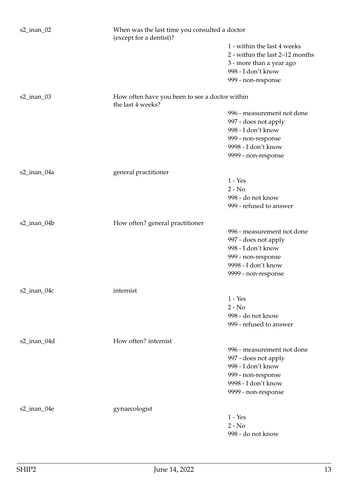| $s2$ _inan_02     | (except for a dentist)?                                             | When was the last time you consulted a doctor                                              |  |
|-------------------|---------------------------------------------------------------------|--------------------------------------------------------------------------------------------|--|
|                   |                                                                     | 1 - within the last 4 weeks<br>2 - within the last 2-12 months<br>3 - more than a year ago |  |
|                   |                                                                     | 998 - I don't know<br>999 - non-response                                                   |  |
| $s2$ _inan_03     | How often have you been to see a doctor within<br>the last 4 weeks? |                                                                                            |  |
|                   |                                                                     | 996 - measurement not done                                                                 |  |
|                   |                                                                     | 997 - does not apply                                                                       |  |
|                   |                                                                     | 998 - I don't know                                                                         |  |
|                   |                                                                     | 999 - non-response                                                                         |  |
|                   |                                                                     | 9998 - I don't know                                                                        |  |
|                   |                                                                     | 9999 - non-response                                                                        |  |
| s2_inan_04a       | general practitioner                                                |                                                                                            |  |
|                   |                                                                     | $1 - Yes$                                                                                  |  |
|                   |                                                                     | $2 - No$                                                                                   |  |
|                   |                                                                     | 998 - do not know                                                                          |  |
|                   |                                                                     | 999 - refused to answer                                                                    |  |
| s2_inan_04b       | How often? general practitioner                                     |                                                                                            |  |
|                   |                                                                     | 996 - measurement not done                                                                 |  |
|                   |                                                                     | 997 - does not apply                                                                       |  |
|                   |                                                                     | 998 - I don't know                                                                         |  |
|                   |                                                                     | 999 - non-response                                                                         |  |
|                   |                                                                     | 9998 - I don't know                                                                        |  |
|                   |                                                                     | 9999 - non-response                                                                        |  |
| $s2$ _inan_04 $c$ | internist                                                           |                                                                                            |  |
|                   |                                                                     | $1 - Yes$                                                                                  |  |
|                   |                                                                     | $2 - No$                                                                                   |  |
|                   |                                                                     | 998 - do not know                                                                          |  |
|                   |                                                                     | 999 - refused to answer                                                                    |  |
| s2_inan_04d       | How often? internist                                                |                                                                                            |  |
|                   |                                                                     | 996 - measurement not done                                                                 |  |
|                   |                                                                     | 997 - does not apply                                                                       |  |
|                   |                                                                     | 998 - I don't know                                                                         |  |
|                   |                                                                     | 999 - non-response                                                                         |  |
|                   |                                                                     | 9998 - I don't know                                                                        |  |
|                   |                                                                     | 9999 - non-response                                                                        |  |
| s2_inan_04e       | gynaecologist                                                       |                                                                                            |  |
|                   |                                                                     | $1 - Yes$                                                                                  |  |
|                   |                                                                     | $2 - No$                                                                                   |  |
|                   |                                                                     | 998 - do not know                                                                          |  |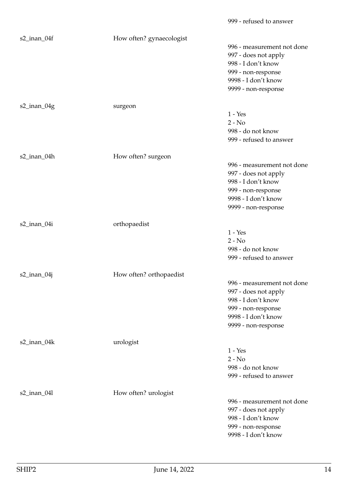| s2_inan_04f    | How often? gynaecologist | 996 - measurement not done<br>997 - does not apply<br>998 - I don't know<br>999 - non-response<br>9998 - I don't know<br>9999 - non-response |
|----------------|--------------------------|----------------------------------------------------------------------------------------------------------------------------------------------|
| s2_inan_04g    | surgeon                  | $1 - Yes$<br>$2 - No$<br>998 - do not know<br>999 - refused to answer                                                                        |
| s2_inan_04h    | How often? surgeon       | 996 - measurement not done<br>997 - does not apply<br>998 - I don't know<br>999 - non-response<br>9998 - I don't know<br>9999 - non-response |
| s2_inan_04i    | orthopaedist             | $1 - Yes$<br>$2 - No$<br>998 - do not know<br>999 - refused to answer                                                                        |
| $s2$ _inan_04j | How often? orthopaedist  | 996 - measurement not done<br>997 - does not apply<br>998 - I don't know<br>999 - non-response<br>9998 - I don't know<br>9999 - non-response |
| s2_inan_04k    | urologist                | $1 - Yes$<br>$2 - No$<br>998 - do not know<br>999 - refused to answer                                                                        |
| s2_inan_04l    | How often? urologist     | 996 - measurement not done<br>997 - does not apply<br>998 - I don't know<br>999 - non-response<br>9998 - I don't know                        |

999 - refused to answer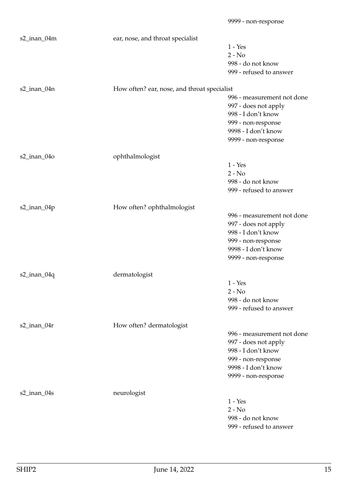| s2_inan_04m       | ear, nose, and throat specialist            |                            |
|-------------------|---------------------------------------------|----------------------------|
|                   |                                             | $1 - Yes$                  |
|                   |                                             | $2 - No$                   |
|                   |                                             | 998 - do not know          |
|                   |                                             | 999 - refused to answer    |
|                   |                                             |                            |
| s2_inan_04n       | How often? ear, nose, and throat specialist |                            |
|                   |                                             | 996 - measurement not done |
|                   |                                             | 997 - does not apply       |
|                   |                                             | 998 - I don't know         |
|                   |                                             | 999 - non-response         |
|                   |                                             | 9998 - I don't know        |
|                   |                                             | 9999 - non-response        |
| $s2$ _inan_04 $o$ | ophthalmologist                             |                            |
|                   |                                             | $1 - Yes$                  |
|                   |                                             | $2 - No$                   |
|                   |                                             | 998 - do not know          |
|                   |                                             | 999 - refused to answer    |
|                   |                                             |                            |
| s2_inan_04p       | How often? ophthalmologist                  |                            |
|                   |                                             | 996 - measurement not done |
|                   |                                             | 997 - does not apply       |
|                   |                                             | 998 - I don't know         |
|                   |                                             | 999 - non-response         |
|                   |                                             | 9998 - I don't know        |
|                   |                                             | 9999 - non-response        |
| $s2$ _inan_04q    | dermatologist                               |                            |
|                   |                                             | $1 - Yes$                  |
|                   |                                             | $2 - No$                   |
|                   |                                             | 998 - do not know          |
|                   |                                             | 999 - refused to answer    |
|                   |                                             |                            |
| $s2$ _inan_04r    | How often? dermatologist                    |                            |
|                   |                                             | 996 - measurement not done |
|                   |                                             | 997 - does not apply       |
|                   |                                             | 998 - I don't know         |
|                   |                                             | 999 - non-response         |
|                   |                                             | 9998 - I don't know        |
|                   |                                             | 9999 - non-response        |
| $s2$ _inan_04s    | neurologist                                 |                            |
|                   |                                             | $1 - Yes$                  |
|                   |                                             | $2 - No$                   |
|                   |                                             | 998 - do not know          |
|                   |                                             | 999 - refused to answer    |
|                   |                                             |                            |

9999 - non-response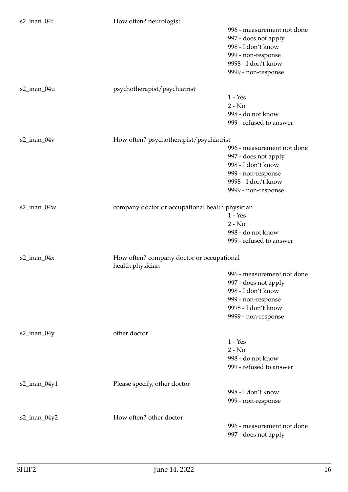| s2_inan_04t       | How often? neurologist                          |                            |
|-------------------|-------------------------------------------------|----------------------------|
|                   |                                                 | 996 - measurement not done |
|                   |                                                 | 997 - does not apply       |
|                   |                                                 | 998 - I don't know         |
|                   |                                                 | 999 - non-response         |
|                   |                                                 | 9998 - I don't know        |
|                   |                                                 | 9999 - non-response        |
|                   |                                                 |                            |
| s2_inan_04u       | psychotherapist/psychiatrist                    |                            |
|                   |                                                 | $1 - Yes$                  |
|                   |                                                 | $2 - No$                   |
|                   |                                                 | 998 - do not know          |
|                   |                                                 | 999 - refused to answer    |
|                   |                                                 |                            |
| $s2$ _inan_04 $v$ | How often? psychotherapist/psychiatrist         |                            |
|                   |                                                 | 996 - measurement not done |
|                   |                                                 | 997 - does not apply       |
|                   |                                                 | 998 - I don't know         |
|                   |                                                 | 999 - non-response         |
|                   |                                                 | 9998 - I don't know        |
|                   |                                                 | 9999 - non-response        |
|                   |                                                 |                            |
| s2_inan_04w       | company doctor or occupational health physician |                            |
|                   |                                                 | $1 - Yes$                  |
|                   |                                                 | $2 - No$                   |
|                   |                                                 | 998 - do not know          |
|                   |                                                 | 999 - refused to answer    |
| s2_inan_04x       | How often? company doctor or occupational       |                            |
|                   | health physician                                |                            |
|                   |                                                 | 996 - measurement not done |
|                   |                                                 | 997 - does not apply       |
|                   |                                                 | 998 - I don't know         |
|                   |                                                 | 999 - non-response         |
|                   |                                                 | 9998 - I don't know        |
|                   |                                                 | 9999 - non-response        |
|                   |                                                 |                            |
| $s2$ _inan_04y    | other doctor                                    |                            |
|                   |                                                 | $1 - Yes$                  |
|                   |                                                 | $2 - No$                   |
|                   |                                                 | 998 - do not know          |
|                   |                                                 | 999 - refused to answer    |
|                   |                                                 |                            |
| $s2$ _inan_04y1   | Please specify, other doctor                    |                            |
|                   |                                                 | 998 - I don't know         |
|                   |                                                 | 999 - non-response         |
| $s2$ _inan_04y2   | How often? other doctor                         |                            |
|                   |                                                 | 996 - measurement not done |
|                   |                                                 | 997 - does not apply       |
|                   |                                                 |                            |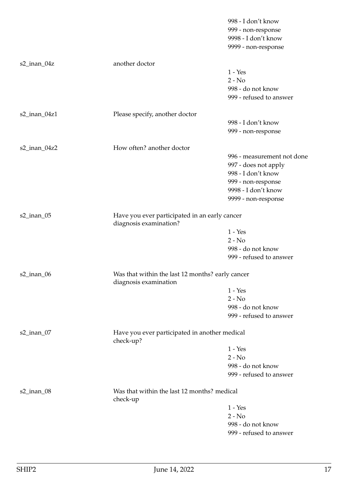|                 |                                                                           | 998 - I don't know         |
|-----------------|---------------------------------------------------------------------------|----------------------------|
|                 |                                                                           | 999 - non-response         |
|                 |                                                                           | 9998 - I don't know        |
|                 |                                                                           | 9999 - non-response        |
| s2_inan_04z     | another doctor                                                            |                            |
|                 |                                                                           | $1 - Yes$                  |
|                 |                                                                           | $2 - No$                   |
|                 |                                                                           | 998 - do not know          |
|                 |                                                                           | 999 - refused to answer    |
| $s2$ _inan_04z1 | Please specify, another doctor                                            |                            |
|                 |                                                                           | 998 - I don't know         |
|                 |                                                                           | 999 - non-response         |
| $s2$ _inan_04z2 | How often? another doctor                                                 |                            |
|                 |                                                                           | 996 - measurement not done |
|                 |                                                                           | 997 - does not apply       |
|                 |                                                                           | 998 - I don't know         |
|                 |                                                                           | 999 - non-response         |
|                 |                                                                           | 9998 - I don't know        |
|                 |                                                                           | 9999 - non-response        |
| s2_inan_05      | Have you ever participated in an early cancer<br>diagnosis examination?   |                            |
|                 |                                                                           | $1 - Yes$                  |
|                 |                                                                           | $2 - No$                   |
|                 |                                                                           | 998 - do not know          |
|                 |                                                                           | 999 - refused to answer    |
| s2_inan_06      | Was that within the last 12 months? early cancer<br>diagnosis examination |                            |
|                 |                                                                           | $1 - Yes$                  |
|                 |                                                                           | $2 - No$                   |
|                 |                                                                           | 998 - do not know          |
|                 |                                                                           | 999 - refused to answer    |
| $s2$ _inan_07   | Have you ever participated in another medical<br>check-up?                |                            |
|                 |                                                                           | $1 - Yes$                  |
|                 |                                                                           | $2 - No$                   |
|                 |                                                                           | 998 - do not know          |
|                 |                                                                           | 999 - refused to answer    |
| $s2$ _inan_08   | Was that within the last 12 months? medical<br>check-up                   |                            |
|                 |                                                                           | $1 - Yes$                  |
|                 |                                                                           | $2 - No$                   |
|                 |                                                                           | 998 - do not know          |
|                 |                                                                           | 999 - refused to answer    |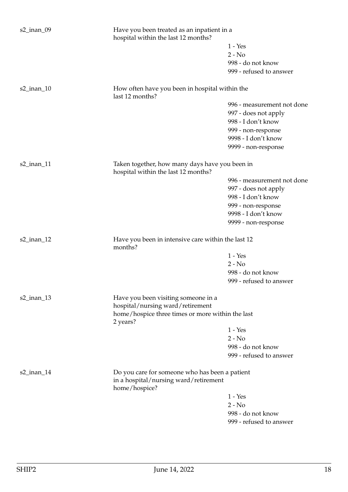| $s2$ _inan_09 | Have you been treated as an inpatient in a<br>hospital within the last 12 months?                        |                            |  |
|---------------|----------------------------------------------------------------------------------------------------------|----------------------------|--|
|               |                                                                                                          | $1 - Yes$                  |  |
|               |                                                                                                          | $2 - No$                   |  |
|               |                                                                                                          | 998 - do not know          |  |
|               |                                                                                                          | 999 - refused to answer    |  |
| $s2$ _inan_10 | How often have you been in hospital within the<br>last 12 months?                                        |                            |  |
|               |                                                                                                          | 996 - measurement not done |  |
|               |                                                                                                          | 997 - does not apply       |  |
|               |                                                                                                          | 998 - I don't know         |  |
|               |                                                                                                          | 999 - non-response         |  |
|               |                                                                                                          | 9998 - I don't know        |  |
|               |                                                                                                          | 9999 - non-response        |  |
| s2_inan_11    | Taken together, how many days have you been in<br>hospital within the last 12 months?                    |                            |  |
|               |                                                                                                          | 996 - measurement not done |  |
|               |                                                                                                          | 997 - does not apply       |  |
|               |                                                                                                          | 998 - I don't know         |  |
|               |                                                                                                          | 999 - non-response         |  |
|               |                                                                                                          | 9998 - I don't know        |  |
|               |                                                                                                          | 9999 - non-response        |  |
| $s2$ _inan_12 | Have you been in intensive care within the last 12<br>months?                                            |                            |  |
|               |                                                                                                          | $1 - Yes$                  |  |
|               |                                                                                                          | $2 - No$                   |  |
|               |                                                                                                          | 998 - do not know          |  |
|               |                                                                                                          | 999 - refused to answer    |  |
| $s2$ _inan_13 | Have you been visiting someone in a<br>hospital/nursing ward/retirement                                  |                            |  |
|               | home/hospice three times or more within the last<br>2 years?                                             |                            |  |
|               |                                                                                                          | $1 - Yes$                  |  |
|               |                                                                                                          | $2 - No$                   |  |
|               |                                                                                                          | 998 - do not know          |  |
|               |                                                                                                          | 999 - refused to answer    |  |
| $s2$ _inan_14 | Do you care for someone who has been a patient<br>in a hospital/nursing ward/retirement<br>home/hospice? |                            |  |
|               |                                                                                                          | $1 - Yes$                  |  |
|               |                                                                                                          | $2 - No$                   |  |
|               |                                                                                                          | 998 - do not know          |  |
|               |                                                                                                          | 999 - refused to answer    |  |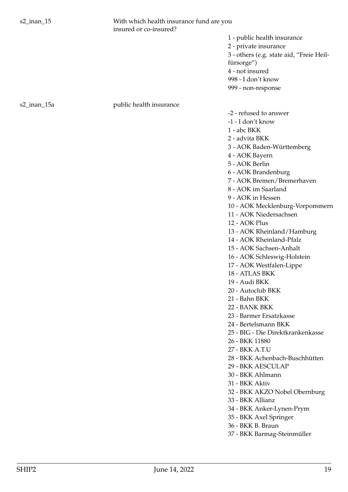s2\_inan\_15 With which health insurance fund are you insured or co-insured?

s2\_inan\_15a public health insurance

1 - public health insurance 2 - private insurance 3 - others (e.g. state aid, "Freie Heilfürsorge") 4 - not insured 998 - I don't know 999 - non-response

-2 - refused to answer

-1 - I don't know

1 - abc BKK

2 - advita BKK

3 - AOK Baden-Württemberg

4 - AOK Bayern

5 - AOK Berlin

6 - AOK Brandenburg

7 - AOK Bremen/Bremerhaven

8 - AOK im Saarland

9 - AOK in Hessen

10 - AOK Mecklenburg-Vorpommern

11 - AOK Niedersachsen

12 - AOK Plus

13 - AOK Rheinland/Hamburg

14 - AOK Rheinland-Pfalz

15 - AOK Sachsen-Anhalt

16 - AOK Schleswig-Holstein

17 - AOK Westfalen-Lippe

18 - ATLAS BKK

19 - Audi BKK

20 - Autoclub BKK

21 - Bahn BKK

22 - BANK BKK

23 - Barmer Ersatzkasse

24 - Bertelsmann BKK

25 - BIG - Die Direktkrankenkasse

26 - BKK 11880

27 - BKK A.T.U

28 - BKK Achenbach-Buschhütten

29 - BKK AESCULAP

30 - BKK Ahlmann

31 - BKK Aktiv

32 - BKK AKZO Nobel Obernburg

33 - BKK Allianz

34 - BKK Anker-Lynen-Prym

35 - BKK Axel Springer

36 - BKK B. Braun

37 - BKK Barmag-Steinmüller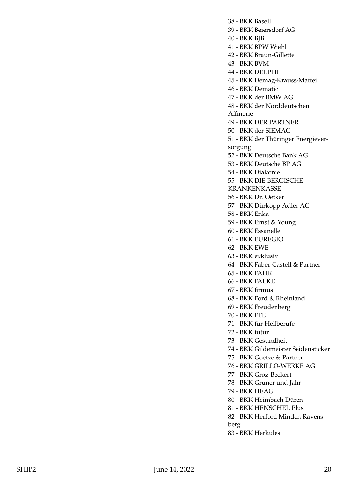38 - BKK Basell

39 - BKK Beiersdorf AG

40 - BKK BJB

41 - BKK BPW Wiehl

42 - BKK Braun-Gillette

43 - BKK BVM

44 - BKK DELPHI

45 - BKK Demag-Krauss-Maffei

46 - BKK Dematic

47 - BKK der BMW AG

48 - BKK der Norddeutschen

Affinerie

49 - BKK DER PARTNER

50 - BKK der SIEMAG

51 - BKK der Thüringer Energieversorgung

52 - BKK Deutsche Bank AG

53 - BKK Deutsche BP AG

54 - BKK Diakonie

55 - BKK DIE BERGISCHE

KRANKENKASSE

56 - BKK Dr. Oetker

57 - BKK Dürkopp Adler AG

58 - BKK Enka

59 - BKK Ernst & Young

60 - BKK Essanelle

61 - BKK EUREGIO

62 - BKK EWE

63 - BKK exklusiv

64 - BKK Faber-Castell & Partner

65 - BKK FAHR

66 - BKK FALKE

67 - BKK firmus

68 - BKK Ford & Rheinland

69 - BKK Freudenberg

70 - BKK FTE

71 - BKK für Heilberufe

72 - BKK futur

73 - BKK Gesundheit

74 - BKK Gildemeister Seidensticker

75 - BKK Goetze & Partner

76 - BKK GRILLO-WERKE AG

77 - BKK Groz-Beckert

78 - BKK Gruner und Jahr

79 - BKK HEAG

80 - BKK Heimbach Düren

81 - BKK HENSCHEL Plus

82 - BKK Herford Minden Ravens-

berg

83 - BKK Herkules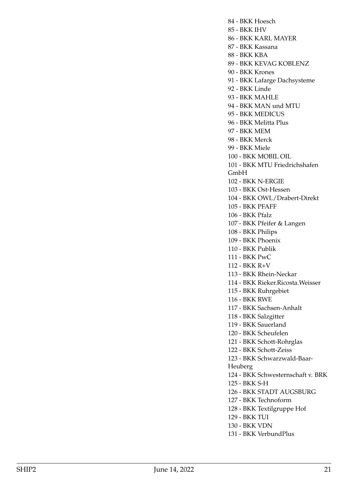84 - BKK Hoesch 85 - BKK IHV 86 - BKK KARL MAYER 87 - BKK Kassana 88 - BKK KBA 89 - BKK KEVAG KOBLENZ 90 - BKK Krones 91 - BKK Lafarge Dachsysteme 92 - BKK Linde 93 - BKK MAHLE 94 - BKK MAN und MTU 95 - BKK MEDICUS 96 - BKK Melitta Plus 97 - BKK MEM 98 - BKK Merck 99 - BKK Miele 100 - BKK MOBIL OIL 101 - BKK MTU Friedrichshafen GmbH 102 - BKK N-ERGIE 103 - BKK Ost-Hessen 104 - BKK OWL/Drabert-Direkt 105 - BKK PFAFF 106 - BKK Pfalz 107 - BKK Pfeifer & Langen 108 - BKK Philips 109 - BKK Phoenix 110 - BKK Publik 111 - BKK PwC 112 - BKK R+V 113 - BKK Rhein-Neckar 114 - BKK Rieker.Ricosta.Weisser 115 - BKK Ruhrgebiet 116 - BKK RWE 117 - BKK Sachsen-Anhalt 118 - BKK Salzgitter 119 - BKK Sauerland 120 - BKK Scheufelen 121 - BKK Schott-Rohrglas 122 - BKK Schott-Zeiss 123 - BKK Schwarzwald-Baar-Heuberg 124 - BKK Schwesternschaft v. BRK 125 - BKK S-H 126 - BKK STADT AUGSBURG 127 - BKK Technoform 128 - BKK Textilgruppe Hof 129 - BKK TUI 130 - BKK VDN 131 - BKK VerbundPlus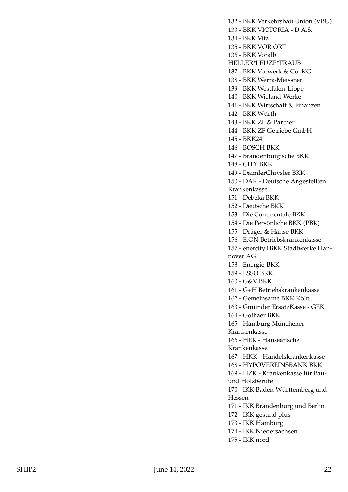132 - BKK Verkehrsbau Union (VBU) 133 - BKK VICTORIA - D.A.S. 134 - BKK Vital 135 - BKK VOR ORT 136 - BKK Voralb HELLER\*LEUZE\*TRAUB 137 - BKK Vorwerk & Co. KG 138 - BKK Werra-Meissner 139 - BKK Westfalen-Lippe 140 - BKK Wieland-Werke 141 - BKK Wirtschaft & Finanzen 142 - BKK Würth 143 - BKK ZF & Partner 144 - BKK ZF Getriebe GmbH 145 - BKK24 146 - BOSCH BKK 147 - Brandenburgische BKK 148 - CITY BKK 149 - DaimlerChrysler BKK 150 - DAK - Deutsche Angestellten Krankenkasse 151 - Debeka BKK 152 - Deutsche BKK 153 - Die Continentale BKK 154 - Die Persönliche BKK (PBK) 155 - Dräger & Hanse BKK 156 - E.ON Betriebskrankenkasse 157 - enercity | BKK Stadtwerke Hannover AG 158 - Energie-BKK 159 - ESSO BKK 160 - G&V BKK 161 - G+H Betriebskrankenkasse 162 - Gemeinsame BKK Köln 163 - Gmünder ErsatzKasse - GEK 164 - Gothaer BKK 165 - Hamburg Münchener Krankenkasse 166 - HEK - Hanseatische Krankenkasse 167 - HKK - Handelskrankenkasse 168 - HYPOVEREINSBANK BKK 169 - HZK - Krankenkasse für Bauund Holzberufe 170 - IKK Baden-Württemberg und Hessen 171 - IKK Brandenburg und Berlin 172 - IKK gesund plus 173 - IKK Hamburg 174 - IKK Niedersachsen 175 - IKK nord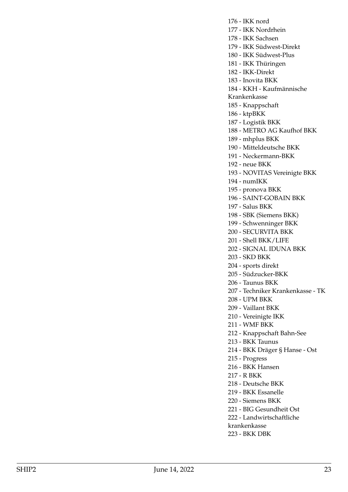176 - IKK nord 177 - IKK Nordrhein 178 - IKK Sachsen 179 - IKK Südwest-Direkt 180 - IKK Südwest-Plus 181 - IKK Thüringen 182 - IKK-Direkt 183 - Inovita BKK 184 - KKH - Kaufmännische Krankenkasse 185 - Knappschaft 186 - ktpBKK 187 - Logistik BKK 188 - METRO AG Kaufhof BKK 189 - mhplus BKK 190 - Mitteldeutsche BKK 191 - Neckermann-BKK 192 - neue BKK 193 - NOVITAS Vereinigte BKK 194 - numIKK 195 - pronova BKK 196 - SAINT-GOBAIN BKK 197 - Salus BKK 198 - SBK (Siemens BKK) 199 - Schwenninger BKK 200 - SECURVITA BKK 201 - Shell BKK/LIFE 202 - SIGNAL IDUNA BKK 203 - SKD BKK 204 - sports direkt 205 - Südzucker-BKK 206 - Taunus BKK 207 - Techniker Krankenkasse - TK 208 - UPM BKK 209 - Vaillant BKK 210 - Vereinigte IKK 211 - WMF BKK 212 - Knappschaft Bahn-See 213 - BKK Taunus 214 - BKK Dräger § Hanse - Ost 215 - Progress 216 - BKK Hansen 217 - R BKK 218 - Deutsche BKK 219 - BKK Essanelle 220 - Siemens BKK 221 - BIG Gesundheit Ost 222 - Landwirtschaftliche krankenkasse 223 - BKK DBK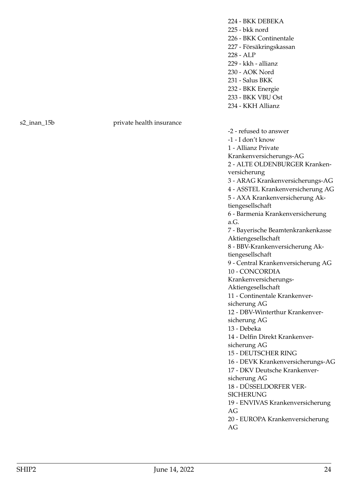224 - BKK DEBEKA 225 - bkk nord 226 - BKK Continentale 227 - Försäkringskassan 228 - ALP 229 - kkh - allianz 230 - AOK Nord 231 - Salus BKK 232 - BKK Energie 233 - BKK VBU Ost

## 234 - KKH Allianz

s2\_inan\_15b private health insurance

-2 - refused to answer -1 - I don't know 1 - Allianz Private Krankenversicherungs-AG 2 - ALTE OLDENBURGER Krankenversicherung 3 - ARAG Krankenversicherungs-AG 4 - ASSTEL Krankenversicherung AG 5 - AXA Krankenversicherung Aktiengesellschaft 6 - Barmenia Krankenversicherung a.G. 7 - Bayerische Beamtenkrankenkasse Aktiengesellschaft 8 - BBV-Krankenversicherung Aktiengesellschaft 9 - Central Krankenversicherung AG 10 - CONCORDIA Krankenversicherungs-Aktiengesellschaft 11 - Continentale Krankenversicherung AG 12 - DBV-Winterthur Krankenversicherung AG 13 - Debeka 14 - Delfin Direkt Krankenversicherung AG 15 - DEUTSCHER RING 16 - DEVK Krankenversicherungs-AG 17 - DKV Deutsche Krankenversicherung AG 18 - DÜSSELDORFER VER-**SICHERUNG** 19 - ENVIVAS Krankenversicherung AG 20 - EUROPA Krankenversicherung AG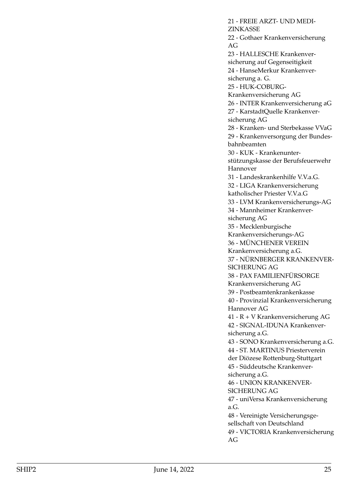21 - FREIE ARZT- UND MEDI-ZINKASSE 22 - Gothaer Krankenversicherung AG 23 - HALLESCHE Krankenversicherung auf Gegenseitigkeit 24 - HanseMerkur Krankenversicherung a. G. 25 - HUK-COBURG-Krankenversicherung AG 26 - INTER Krankenversicherung aG 27 - KarstadtQuelle Krankenversicherung AG 28 - Kranken- und Sterbekasse VVaG 29 - Krankenversorgung der Bundesbahnbeamten 30 - KUK - Krankenunterstützungskasse der Berufsfeuerwehr Hannover 31 - Landeskrankenhilfe V.V.a.G. 32 - LIGA Krankenversicherung katholischer Priester V.V.a.G 33 - LVM Krankenversicherungs-AG 34 - Mannheimer Krankenversicherung AG 35 - Mecklenburgische Krankenversicherungs-AG 36 - MÜNCHENER VEREIN Krankenversicherung a.G. 37 - NÜRNBERGER KRANKENVER-SICHERUNG AG 38 - PAX FAMILIENFÜRSORGE Krankenversicherung AG 39 - Postbeamtenkrankenkasse 40 - Provinzial Krankenversicherung Hannover AG 41 - R + V Krankenversicherung AG 42 - SIGNAL-IDUNA Krankenversicherung a.G. 43 - SONO Krankenversicherung a.G. 44 - ST. MARTINUS Priesterverein der Diözese Rottenburg-Stuttgart 45 - Süddeutsche Krankenversicherung a.G. 46 - UNION KRANKENVER-SICHERUNG AG 47 - uniVersa Krankenversicherung a.G. 48 - Vereinigte Versicherungsgesellschaft von Deutschland 49 - VICTORIA Krankenversicherung AG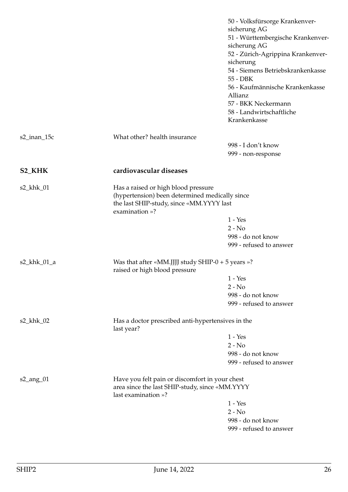<span id="page-25-0"></span>

|                          |                                                                                                                                                     | 50 - Volksfürsorge Krankenver-<br>sicherung AG<br>51 - Württembergische Krankenver-<br>sicherung AG<br>52 - Zürich-Agrippina Krankenver-<br>sicherung<br>54 - Siemens Betriebskrankenkasse<br>55 - DBK<br>56 - Kaufmännische Krankenkasse<br>Allianz |
|--------------------------|-----------------------------------------------------------------------------------------------------------------------------------------------------|------------------------------------------------------------------------------------------------------------------------------------------------------------------------------------------------------------------------------------------------------|
|                          |                                                                                                                                                     | 57 - BKK Neckermann<br>58 - Landwirtschaftliche<br>Krankenkasse                                                                                                                                                                                      |
| s2_inan_15c              | What other? health insurance                                                                                                                        |                                                                                                                                                                                                                                                      |
|                          |                                                                                                                                                     | 998 - I don't know<br>999 - non-response                                                                                                                                                                                                             |
| <b>S2_KHK</b>            | cardiovascular diseases                                                                                                                             |                                                                                                                                                                                                                                                      |
| $s2_khk_01$              | Has a raised or high blood pressure<br>(hypertension) been determined medically since<br>the last SHIP-study, since «MM.YYYY last<br>examination »? |                                                                                                                                                                                                                                                      |
|                          |                                                                                                                                                     | $1 - Yes$                                                                                                                                                                                                                                            |
|                          |                                                                                                                                                     | $2 - No$                                                                                                                                                                                                                                             |
|                          |                                                                                                                                                     | 998 - do not know                                                                                                                                                                                                                                    |
|                          |                                                                                                                                                     | 999 - refused to answer                                                                                                                                                                                                                              |
| s2_khk_01_a              | Was that after «MM.JJJJ study SHIP-0 + 5 years »?<br>raised or high blood pressure                                                                  |                                                                                                                                                                                                                                                      |
|                          |                                                                                                                                                     | $1 - Yes$                                                                                                                                                                                                                                            |
|                          |                                                                                                                                                     | $2 - No$                                                                                                                                                                                                                                             |
|                          |                                                                                                                                                     | 998 - do not know                                                                                                                                                                                                                                    |
|                          |                                                                                                                                                     | 999 - refused to answer                                                                                                                                                                                                                              |
| s2_khk_02                | Has a doctor prescribed anti-hypertensives in the<br>last year?                                                                                     |                                                                                                                                                                                                                                                      |
|                          |                                                                                                                                                     | $1 - Yes$                                                                                                                                                                                                                                            |
|                          |                                                                                                                                                     | $2 - No$                                                                                                                                                                                                                                             |
|                          |                                                                                                                                                     | 998 - do not know                                                                                                                                                                                                                                    |
|                          |                                                                                                                                                     | 999 - refused to answer                                                                                                                                                                                                                              |
| $s2$ <sub>ang</sub> $01$ | Have you felt pain or discomfort in your chest<br>area since the last SHIP-study, since «MM.YYYY<br>last examination »?                             |                                                                                                                                                                                                                                                      |
|                          |                                                                                                                                                     | $1 - Yes$                                                                                                                                                                                                                                            |
|                          |                                                                                                                                                     | $2 - No$                                                                                                                                                                                                                                             |
|                          |                                                                                                                                                     | 998 - do not know                                                                                                                                                                                                                                    |
|                          |                                                                                                                                                     | 999 - refused to answer                                                                                                                                                                                                                              |
|                          |                                                                                                                                                     |                                                                                                                                                                                                                                                      |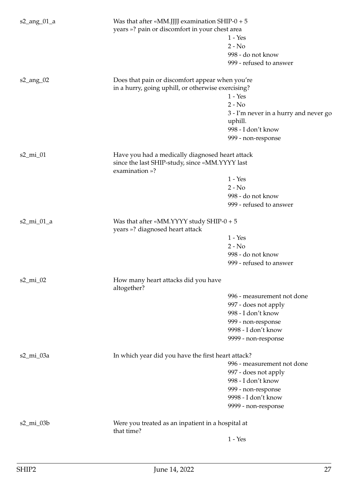| $s2$ <sub>ang</sub> $01$ <sub>a</sub> | Was that after «MM.JJJJ examination SHIP-0 + $5$<br>years »? pain or discomfort in your chest area                  | $1 - Yes$<br>$2 - No$<br>998 - do not know<br>999 - refused to answer |
|---------------------------------------|---------------------------------------------------------------------------------------------------------------------|-----------------------------------------------------------------------|
| $s2$ <sub>_ang</sub> _02              | Does that pain or discomfort appear when you're<br>in a hurry, going uphill, or otherwise exercising?               |                                                                       |
|                                       |                                                                                                                     | $1 - Yes$                                                             |
|                                       |                                                                                                                     | $2 - No$                                                              |
|                                       |                                                                                                                     | 3 - I'm never in a hurry and never go<br>uphill.                      |
|                                       |                                                                                                                     | 998 - I don't know                                                    |
|                                       |                                                                                                                     | 999 - non-response                                                    |
| $s2$ <sub>mi</sub> $01$               | Have you had a medically diagnosed heart attack<br>since the last SHIP-study, since «MM.YYYY last<br>examination »? |                                                                       |
|                                       |                                                                                                                     | $1 - Yes$                                                             |
|                                       |                                                                                                                     | $2 - No$                                                              |
|                                       |                                                                                                                     | 998 - do not know                                                     |
|                                       |                                                                                                                     | 999 - refused to answer                                               |
| $s2$ <sub>mi</sub> $01$ <sub>a</sub>  | Was that after «MM.YYYY study SHIP- $0 + 5$<br>years »? diagnosed heart attack                                      |                                                                       |
|                                       |                                                                                                                     | $1 - Yes$                                                             |
|                                       |                                                                                                                     | $2 - No$                                                              |
|                                       |                                                                                                                     | 998 - do not know                                                     |
|                                       |                                                                                                                     | 999 - refused to answer                                               |
| $s2$ <sub>mi</sub> $02$               | How many heart attacks did you have<br>altogether?                                                                  |                                                                       |
|                                       |                                                                                                                     | 996 - measurement not done                                            |
|                                       |                                                                                                                     | 997 - does not apply                                                  |
|                                       |                                                                                                                     | 998 - I don't know                                                    |
|                                       |                                                                                                                     | 999 - non-response                                                    |
|                                       |                                                                                                                     | 9998 - I don't know                                                   |
|                                       |                                                                                                                     | 9999 - non-response                                                   |
| s2_mi_03a                             | In which year did you have the first heart attack?                                                                  |                                                                       |
|                                       |                                                                                                                     | 996 - measurement not done                                            |
|                                       |                                                                                                                     | 997 - does not apply                                                  |
|                                       |                                                                                                                     | 998 - I don't know                                                    |
|                                       |                                                                                                                     | 999 - non-response                                                    |
|                                       |                                                                                                                     | 9998 - I don't know                                                   |
|                                       |                                                                                                                     | 9999 - non-response                                                   |
| $s2$ _mi_03b                          | Were you treated as an inpatient in a hospital at                                                                   |                                                                       |
|                                       | that time?                                                                                                          |                                                                       |
|                                       |                                                                                                                     | $1 - Yes$                                                             |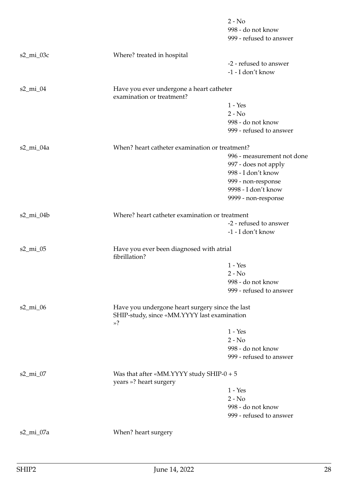|                          |                                                                                                | $2 - No$<br>998 - do not know<br>999 - refused to answer |
|--------------------------|------------------------------------------------------------------------------------------------|----------------------------------------------------------|
| $s2$ <sub>mi</sub> $03c$ | Where? treated in hospital                                                                     |                                                          |
|                          |                                                                                                | -2 - refused to answer<br>-1 - I don't know              |
| s2_mi_04                 | Have you ever undergone a heart catheter<br>examination or treatment?                          |                                                          |
|                          |                                                                                                | $1 - Yes$                                                |
|                          |                                                                                                | $2 - No$                                                 |
|                          |                                                                                                | 998 - do not know<br>999 - refused to answer             |
| $s2$ <sub>mi</sub> $04a$ | When? heart catheter examination or treatment?                                                 |                                                          |
|                          |                                                                                                | 996 - measurement not done                               |
|                          |                                                                                                | 997 - does not apply                                     |
|                          |                                                                                                | 998 - I don't know                                       |
|                          |                                                                                                | 999 - non-response                                       |
|                          |                                                                                                | 9998 - I don't know                                      |
|                          |                                                                                                | 9999 - non-response                                      |
| $s2$ _mi_04b             | Where? heart catheter examination or treatment                                                 |                                                          |
|                          |                                                                                                | -2 - refused to answer                                   |
|                          |                                                                                                | -1 - I don't know                                        |
| s2_mi_05                 | Have you ever been diagnosed with atrial<br>fibrillation?                                      |                                                          |
|                          |                                                                                                | $1 - Yes$                                                |
|                          |                                                                                                | $2 - No$                                                 |
|                          |                                                                                                | 998 - do not know                                        |
|                          |                                                                                                | 999 - refused to answer                                  |
| $s2$ _mi_06              | Have you undergone heart surgery since the last<br>SHIP-study, since «MM.YYYY last examination |                                                          |
|                          | $\mathcal{D}$                                                                                  |                                                          |
|                          |                                                                                                | $1 - Yes$                                                |
|                          |                                                                                                | $2 - No$                                                 |
|                          |                                                                                                | 998 - do not know                                        |
|                          |                                                                                                | 999 - refused to answer                                  |
| $s2\_mi_07$              | Was that after «MM.YYYY study SHIP- $0 + 5$<br>years »? heart surgery                          |                                                          |
|                          |                                                                                                | $1 - Yes$                                                |
|                          |                                                                                                | $2 - No$                                                 |
|                          |                                                                                                | 998 - do not know                                        |
|                          |                                                                                                | 999 - refused to answer                                  |
| s2_mi_07a                | When? heart surgery                                                                            |                                                          |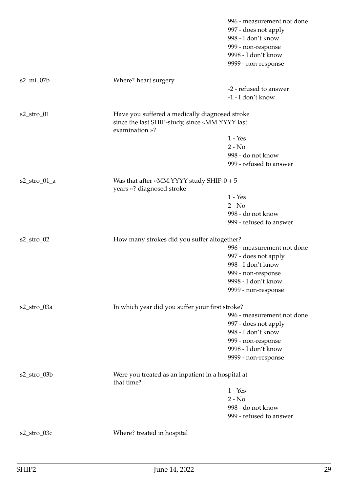|                        |                                                                                                                    | 996 - measurement not done<br>997 - does not apply<br>998 - I don't know<br>999 - non-response<br>9998 - I don't know |
|------------------------|--------------------------------------------------------------------------------------------------------------------|-----------------------------------------------------------------------------------------------------------------------|
|                        |                                                                                                                    | 9999 - non-response                                                                                                   |
| $s2$ _mi_07b           | Where? heart surgery                                                                                               |                                                                                                                       |
|                        |                                                                                                                    | -2 - refused to answer                                                                                                |
|                        |                                                                                                                    | -1 - I don't know                                                                                                     |
| $s2_{stro\_01}$        | Have you suffered a medically diagnosed stroke<br>since the last SHIP-study, since «MM.YYYY last<br>examination »? |                                                                                                                       |
|                        |                                                                                                                    | $1 - Yes$                                                                                                             |
|                        |                                                                                                                    | $2 - No$                                                                                                              |
|                        |                                                                                                                    | 998 - do not know                                                                                                     |
|                        |                                                                                                                    | 999 - refused to answer                                                                                               |
| $s2_{stro_0}$ $01_{a}$ | Was that after «MM.YYYY study SHIP- $0 + 5$<br>years »? diagnosed stroke                                           |                                                                                                                       |
|                        |                                                                                                                    | $1 - Yes$                                                                                                             |
|                        |                                                                                                                    | $2 - No$                                                                                                              |
|                        |                                                                                                                    | 998 - do not know                                                                                                     |
|                        |                                                                                                                    | 999 - refused to answer                                                                                               |
| $s2_{stro_0}$          | How many strokes did you suffer altogether?                                                                        |                                                                                                                       |
|                        |                                                                                                                    | 996 - measurement not done                                                                                            |
|                        |                                                                                                                    | 997 - does not apply                                                                                                  |
|                        |                                                                                                                    | 998 - I don't know                                                                                                    |
|                        |                                                                                                                    | 999 - non-response                                                                                                    |
|                        |                                                                                                                    | 9998 - I don't know                                                                                                   |
|                        |                                                                                                                    | 9999 - non-response                                                                                                   |
| s2_stro_03a            | In which year did you suffer your first stroke?                                                                    |                                                                                                                       |
|                        |                                                                                                                    | 996 - measurement not done                                                                                            |
|                        |                                                                                                                    | 997 - does not apply                                                                                                  |
|                        |                                                                                                                    | 998 - I don't know                                                                                                    |
|                        |                                                                                                                    | 999 - non-response                                                                                                    |
|                        |                                                                                                                    | 9998 - I don't know                                                                                                   |
|                        |                                                                                                                    | 9999 - non-response                                                                                                   |
| s2_stro_03b            | Were you treated as an inpatient in a hospital at<br>that time?                                                    |                                                                                                                       |
|                        |                                                                                                                    | $1 - Yes$                                                                                                             |
|                        |                                                                                                                    | $2 - No$                                                                                                              |
|                        |                                                                                                                    | 998 - do not know                                                                                                     |
|                        |                                                                                                                    | 999 - refused to answer                                                                                               |
| $s2\_stro_03c$         | Where? treated in hospital                                                                                         |                                                                                                                       |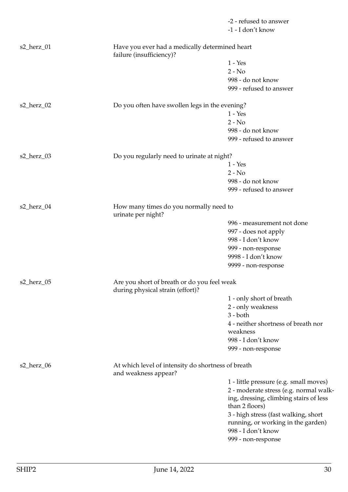|            |                                                                                 | -2 - refused to answer                 |
|------------|---------------------------------------------------------------------------------|----------------------------------------|
|            |                                                                                 | -1 - I don't know                      |
| s2_herz_01 | Have you ever had a medically determined heart<br>failure (insufficiency)?      |                                        |
|            |                                                                                 | $1 - Yes$                              |
|            |                                                                                 | $2 - No$                               |
|            |                                                                                 | 998 - do not know                      |
|            |                                                                                 | 999 - refused to answer                |
|            |                                                                                 |                                        |
| s2_herz_02 | Do you often have swollen legs in the evening?                                  |                                        |
|            |                                                                                 | $1 - Yes$                              |
|            |                                                                                 | $2 - No$                               |
|            |                                                                                 | 998 - do not know                      |
|            |                                                                                 | 999 - refused to answer                |
| s2_herz_03 | Do you regularly need to urinate at night?                                      |                                        |
|            |                                                                                 | $1 - Yes$                              |
|            |                                                                                 | $2 - No$                               |
|            |                                                                                 | 998 - do not know                      |
|            |                                                                                 |                                        |
|            |                                                                                 | 999 - refused to answer                |
| s2_herz_04 | How many times do you normally need to<br>urinate per night?                    |                                        |
|            |                                                                                 | 996 - measurement not done             |
|            |                                                                                 | 997 - does not apply                   |
|            |                                                                                 | 998 - I don't know                     |
|            |                                                                                 | 999 - non-response                     |
|            |                                                                                 | 9998 - I don't know                    |
|            |                                                                                 | 9999 - non-response                    |
| s2_herz_05 | Are you short of breath or do you feel weak<br>during physical strain (effort)? |                                        |
|            |                                                                                 | 1 - only short of breath               |
|            |                                                                                 | 2 - only weakness                      |
|            |                                                                                 | $3 - both$                             |
|            |                                                                                 | 4 - neither shortness of breath nor    |
|            |                                                                                 | weakness                               |
|            |                                                                                 | 998 - I don't know                     |
|            |                                                                                 | 999 - non-response                     |
|            |                                                                                 |                                        |
| s2_herz_06 | At which level of intensity do shortness of breath<br>and weakness appear?      |                                        |
|            |                                                                                 | 1 - little pressure (e.g. small moves) |
|            |                                                                                 | 2 - moderate stress (e.g. normal walk- |
|            |                                                                                 | ing, dressing, climbing stairs of less |
|            |                                                                                 | than 2 floors)                         |
|            |                                                                                 | 3 - high stress (fast walking, short   |
|            |                                                                                 | running, or working in the garden)     |
|            |                                                                                 | 998 - I don't know                     |
|            |                                                                                 | 999 - non-response                     |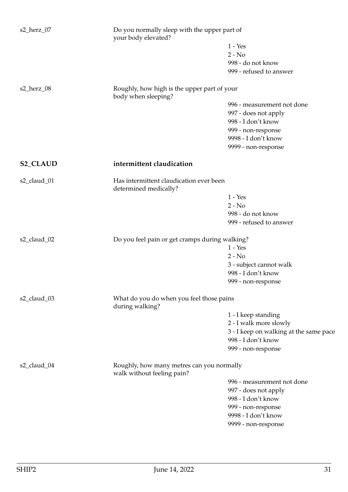<span id="page-30-1"></span><span id="page-30-0"></span>

| s2_herz_07      |                                                                    | Do you normally sleep with the upper part of<br>your body elevated? |  |
|-----------------|--------------------------------------------------------------------|---------------------------------------------------------------------|--|
|                 |                                                                    | $1 - Yes$                                                           |  |
|                 |                                                                    | $2 - No$                                                            |  |
|                 |                                                                    | 998 - do not know                                                   |  |
|                 |                                                                    | 999 - refused to answer                                             |  |
| s2_herz_08      | Roughly, how high is the upper part of your<br>body when sleeping? |                                                                     |  |
|                 |                                                                    | 996 - measurement not done                                          |  |
|                 |                                                                    | 997 - does not apply                                                |  |
|                 |                                                                    | 998 - I don't know                                                  |  |
|                 |                                                                    | 999 - non-response                                                  |  |
|                 |                                                                    | 9998 - I don't know                                                 |  |
|                 |                                                                    | 9999 - non-response                                                 |  |
| <b>S2_CLAUD</b> | intermittent claudication                                          |                                                                     |  |
| s2_claud_01     | Has intermittent claudication ever been                            |                                                                     |  |
|                 | determined medically?                                              |                                                                     |  |
|                 |                                                                    | $1 - Yes$                                                           |  |
|                 |                                                                    | $2 - No$                                                            |  |
|                 |                                                                    | 998 - do not know                                                   |  |
|                 |                                                                    | 999 - refused to answer                                             |  |
|                 |                                                                    |                                                                     |  |
| s2_claud_02     | Do you feel pain or get cramps during walking?                     |                                                                     |  |
|                 |                                                                    | $1 - Yes$                                                           |  |
|                 |                                                                    | $2 - No$                                                            |  |
|                 |                                                                    | 3 - subject cannot walk                                             |  |
|                 |                                                                    | 998 - I don't know                                                  |  |
|                 |                                                                    | 999 - non-response                                                  |  |
| s2_claud_03     | What do you do when you feel those pains<br>during walking?        |                                                                     |  |
|                 |                                                                    | 1 - I keep standing                                                 |  |
|                 |                                                                    | 2 - I walk more slowly                                              |  |
|                 |                                                                    | 3 - I keep on walking at the same pace                              |  |
|                 |                                                                    | 998 - I don't know                                                  |  |
|                 |                                                                    | 999 - non-response                                                  |  |
| s2_claud_04     | Roughly, how many metres can you normally                          |                                                                     |  |
|                 | walk without feeling pain?                                         |                                                                     |  |
|                 |                                                                    | 996 - measurement not done                                          |  |
|                 |                                                                    | 997 - does not apply                                                |  |
|                 |                                                                    | 998 - I don't know                                                  |  |
|                 |                                                                    | 999 - non-response                                                  |  |
|                 |                                                                    | 9998 - I don't know                                                 |  |
|                 |                                                                    | 9999 - non-response                                                 |  |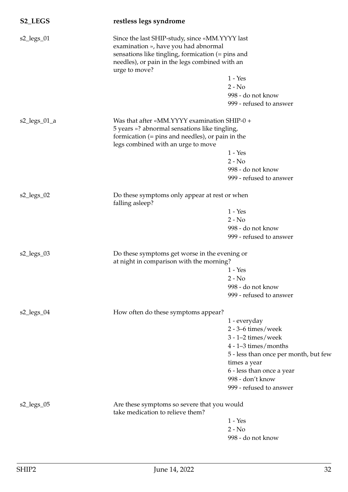| S2_LEGS                                          | restless legs syndrome                                                                              |                                                                                                                                                       |  |
|--------------------------------------------------|-----------------------------------------------------------------------------------------------------|-------------------------------------------------------------------------------------------------------------------------------------------------------|--|
| $s2_{legs_0}$                                    | examination », have you had abnormal<br>urge to move?                                               | Since the last SHIP-study, since «MM.YYYY last<br>sensations like tingling, formication (= pins and<br>needles), or pain in the legs combined with an |  |
|                                                  |                                                                                                     | $1 - Yes$                                                                                                                                             |  |
|                                                  |                                                                                                     | $2 - No$                                                                                                                                              |  |
|                                                  |                                                                                                     | 998 - do not know<br>999 - refused to answer                                                                                                          |  |
| $s2_{legs_01_a}$                                 | Was that after «MM.YYYY examination SHIP-0 +                                                        |                                                                                                                                                       |  |
|                                                  | 5 years »? abnormal sensations like tingling,<br>formication $(=$ pins and needles), or pain in the |                                                                                                                                                       |  |
|                                                  | legs combined with an urge to move                                                                  |                                                                                                                                                       |  |
|                                                  |                                                                                                     | $1 - Yes$<br>$2 - No$                                                                                                                                 |  |
|                                                  |                                                                                                     | 998 - do not know                                                                                                                                     |  |
|                                                  |                                                                                                     | 999 - refused to answer                                                                                                                               |  |
| $s2_{legs_02}$                                   | Do these symptoms only appear at rest or when<br>falling asleep?                                    |                                                                                                                                                       |  |
|                                                  |                                                                                                     | $1 - Yes$                                                                                                                                             |  |
|                                                  |                                                                                                     | $2 - No$                                                                                                                                              |  |
|                                                  |                                                                                                     | 998 - do not know                                                                                                                                     |  |
|                                                  |                                                                                                     | 999 - refused to answer                                                                                                                               |  |
| s2_legs_03                                       | Do these symptoms get worse in the evening or<br>at night in comparison with the morning?           |                                                                                                                                                       |  |
|                                                  |                                                                                                     | $1 - Yes$                                                                                                                                             |  |
|                                                  |                                                                                                     | $2 - No$                                                                                                                                              |  |
|                                                  |                                                                                                     | 998 - do not know                                                                                                                                     |  |
|                                                  |                                                                                                     | 999 - refused to answer                                                                                                                               |  |
| $s2$ <sup>l</sup> egs <sup><math>04</math></sup> | How often do these symptoms appear?                                                                 |                                                                                                                                                       |  |
|                                                  |                                                                                                     | 1 - everyday                                                                                                                                          |  |
|                                                  |                                                                                                     | $2 - 3 - 6$ times/week<br>$3 - 1 - 2$ times/week                                                                                                      |  |
|                                                  |                                                                                                     | $4 - 1 - 3$ times/months                                                                                                                              |  |
|                                                  |                                                                                                     | 5 - less than once per month, but few                                                                                                                 |  |
|                                                  |                                                                                                     | times a year                                                                                                                                          |  |
|                                                  |                                                                                                     | 6 - less than once a year                                                                                                                             |  |
|                                                  |                                                                                                     | 998 - don't know                                                                                                                                      |  |
|                                                  |                                                                                                     | 999 - refused to answer                                                                                                                               |  |
| $s2_{\text{legs}\_05}$                           | Are these symptoms so severe that you would<br>take medication to relieve them?                     |                                                                                                                                                       |  |
|                                                  |                                                                                                     | $1 - Yes$                                                                                                                                             |  |
|                                                  |                                                                                                     | $2 - No$                                                                                                                                              |  |
|                                                  |                                                                                                     | 998 - do not know                                                                                                                                     |  |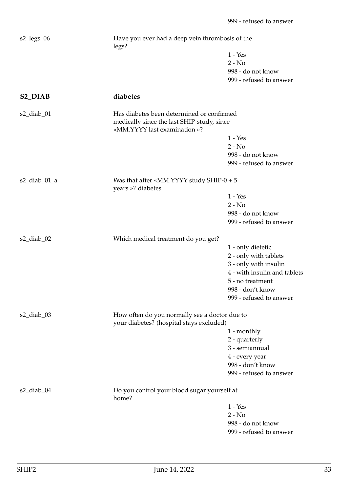<span id="page-32-0"></span>

| $s2_{\text{legs}\_06}$ | Have you ever had a deep vein thrombosis of the<br>legs?                                                                |                                                       |
|------------------------|-------------------------------------------------------------------------------------------------------------------------|-------------------------------------------------------|
|                        |                                                                                                                         | $1 - Yes$                                             |
|                        |                                                                                                                         | $2 - No$                                              |
|                        |                                                                                                                         | 998 - do not know                                     |
|                        |                                                                                                                         | 999 - refused to answer                               |
| S <sub>2</sub> _DIAB   | diabetes                                                                                                                |                                                       |
| $s2$ _diab_01          | Has diabetes been determined or confirmed<br>medically since the last SHIP-study, since<br>«MM.YYYY last examination »? |                                                       |
|                        |                                                                                                                         | $1 - Yes$                                             |
|                        |                                                                                                                         | $2 - No$                                              |
|                        |                                                                                                                         | 998 - do not know                                     |
|                        |                                                                                                                         | 999 - refused to answer                               |
| $s2$ _diab_01_a        | Was that after «MM.YYYY study SHIP- $0 + 5$<br>years »? diabetes                                                        |                                                       |
|                        |                                                                                                                         | $1 - Yes$                                             |
|                        |                                                                                                                         | $2 - No$                                              |
|                        |                                                                                                                         | 998 - do not know                                     |
|                        |                                                                                                                         | 999 - refused to answer                               |
| s2_diab_02             | Which medical treatment do you get?                                                                                     |                                                       |
|                        |                                                                                                                         | 1 - only dietetic                                     |
|                        |                                                                                                                         | 2 - only with tablets                                 |
|                        |                                                                                                                         |                                                       |
|                        |                                                                                                                         | 3 - only with insulin<br>4 - with insulin and tablets |
|                        |                                                                                                                         |                                                       |
|                        |                                                                                                                         | 5 - no treatment                                      |
|                        |                                                                                                                         | 998 - don't know                                      |
|                        |                                                                                                                         | 999 - refused to answer                               |
| $s2$ _diab_03          | How often do you normally see a doctor due to<br>your diabetes? (hospital stays excluded)                               |                                                       |
|                        |                                                                                                                         | 1 - monthly                                           |
|                        |                                                                                                                         | 2 - quarterly                                         |
|                        |                                                                                                                         | 3 - semiannual                                        |
|                        |                                                                                                                         | 4 - every year                                        |
|                        |                                                                                                                         | 998 - don't know                                      |
|                        |                                                                                                                         | 999 - refused to answer                               |
| $s2$ _diab_04          | Do you control your blood sugar yourself at<br>home?                                                                    |                                                       |
|                        |                                                                                                                         | $1 - Yes$                                             |
|                        |                                                                                                                         | $2 - No$                                              |
|                        |                                                                                                                         | 998 - do not know                                     |
|                        |                                                                                                                         | 999 - refused to answer                               |
|                        |                                                                                                                         |                                                       |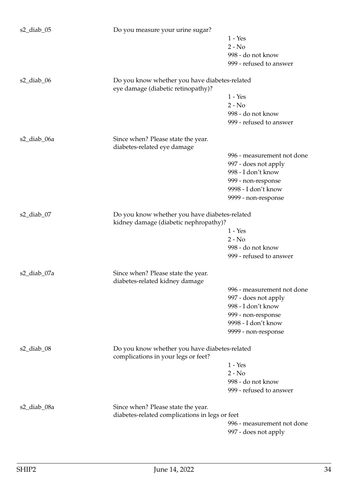| s2_diab_05    | Do you measure your urine sugar?                                                     |                            |  |
|---------------|--------------------------------------------------------------------------------------|----------------------------|--|
|               |                                                                                      | $1 - Yes$                  |  |
|               |                                                                                      | $2 - No$                   |  |
|               |                                                                                      | 998 - do not know          |  |
|               |                                                                                      | 999 - refused to answer    |  |
|               |                                                                                      |                            |  |
| $s2$ _diab_06 | Do you know whether you have diabetes-related<br>eye damage (diabetic retinopathy)?  |                            |  |
|               |                                                                                      | $1 - Yes$                  |  |
|               |                                                                                      | $2 - No$                   |  |
|               |                                                                                      | 998 - do not know          |  |
|               |                                                                                      | 999 - refused to answer    |  |
| s2_diab_06a   | Since when? Please state the year.                                                   |                            |  |
|               | diabetes-related eye damage                                                          |                            |  |
|               |                                                                                      | 996 - measurement not done |  |
|               |                                                                                      | 997 - does not apply       |  |
|               |                                                                                      | 998 - I don't know         |  |
|               |                                                                                      | 999 - non-response         |  |
|               |                                                                                      | 9998 - I don't know        |  |
|               |                                                                                      | 9999 - non-response        |  |
| $s2$ _diab_07 | Do you know whether you have diabetes-related                                        |                            |  |
|               | kidney damage (diabetic nephropathy)?                                                |                            |  |
|               |                                                                                      | $1 - Yes$                  |  |
|               |                                                                                      | $2 - No$                   |  |
|               |                                                                                      | 998 - do not know          |  |
|               |                                                                                      | 999 - refused to answer    |  |
| s2_diab_07a   | Since when? Please state the year.                                                   |                            |  |
|               | diabetes-related kidney damage                                                       |                            |  |
|               |                                                                                      | 996 - measurement not done |  |
|               |                                                                                      | 997 - does not apply       |  |
|               |                                                                                      | 998 - I don't know         |  |
|               |                                                                                      | 999 - non-response         |  |
|               |                                                                                      | 9998 - I don't know        |  |
|               |                                                                                      | 9999 - non-response        |  |
|               |                                                                                      |                            |  |
| $s2$ _diab_08 | Do you know whether you have diabetes-related<br>complications in your legs or feet? |                            |  |
|               |                                                                                      | $1 - Yes$                  |  |
|               |                                                                                      | $2 - No$                   |  |
|               |                                                                                      | 998 - do not know          |  |
|               |                                                                                      | 999 - refused to answer    |  |
|               |                                                                                      |                            |  |
| s2_diab_08a   | Since when? Please state the year.                                                   |                            |  |
|               | diabetes-related complications in legs or feet                                       |                            |  |
|               |                                                                                      | 996 - measurement not done |  |
|               |                                                                                      | 997 - does not apply       |  |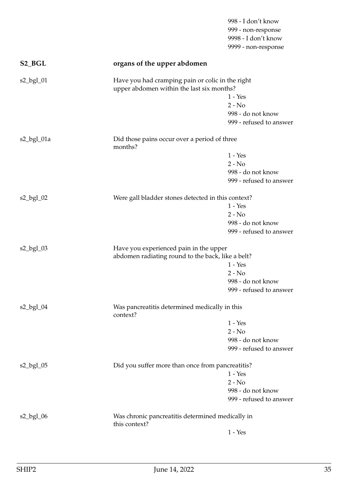<span id="page-34-0"></span>

|                    |                                                                   | 998 - I don't know      |  |
|--------------------|-------------------------------------------------------------------|-------------------------|--|
|                    |                                                                   | 999 - non-response      |  |
|                    |                                                                   | 9998 - I don't know     |  |
|                    |                                                                   | 9999 - non-response     |  |
| S <sub>2_BGL</sub> | organs of the upper abdomen                                       |                         |  |
| $s2$ _bgl_01       | Have you had cramping pain or colic in the right                  |                         |  |
|                    | upper abdomen within the last six months?                         |                         |  |
|                    |                                                                   | $1 - Yes$               |  |
|                    |                                                                   | $2 - No$                |  |
|                    |                                                                   | 998 - do not know       |  |
|                    |                                                                   | 999 - refused to answer |  |
| s2_bgl_01a         | Did those pains occur over a period of three<br>months?           |                         |  |
|                    |                                                                   | $1 - Yes$               |  |
|                    |                                                                   | $2 - No$                |  |
|                    |                                                                   | 998 - do not know       |  |
|                    |                                                                   | 999 - refused to answer |  |
| $s2$ _bgl_02       | Were gall bladder stones detected in this context?                |                         |  |
|                    |                                                                   | $1 - Yes$               |  |
|                    |                                                                   | $2 - No$                |  |
|                    |                                                                   | 998 - do not know       |  |
|                    |                                                                   | 999 - refused to answer |  |
| $s2$ _bgl_03       | Have you experienced pain in the upper                            |                         |  |
|                    | abdomen radiating round to the back, like a belt?                 |                         |  |
|                    |                                                                   | $1 - Yes$               |  |
|                    |                                                                   | $2 - No$                |  |
|                    |                                                                   | 998 - do not know       |  |
|                    |                                                                   | 999 - refused to answer |  |
| $s2$ _bgl_04       | Was pancreatitis determined medically in this<br>context?         |                         |  |
|                    |                                                                   | $1 - Yes$               |  |
|                    |                                                                   | $2 - No$                |  |
|                    |                                                                   | 998 - do not know       |  |
|                    |                                                                   | 999 - refused to answer |  |
|                    |                                                                   |                         |  |
| $s2$ _bgl_05       | Did you suffer more than once from pancreatitis?                  |                         |  |
|                    |                                                                   | $1 - Yes$               |  |
|                    |                                                                   | $2 - No$                |  |
|                    |                                                                   | 998 - do not know       |  |
|                    |                                                                   | 999 - refused to answer |  |
| $s2$ _bgl_06       | Was chronic pancreatitis determined medically in<br>this context? |                         |  |
|                    |                                                                   | $1 - Yes$               |  |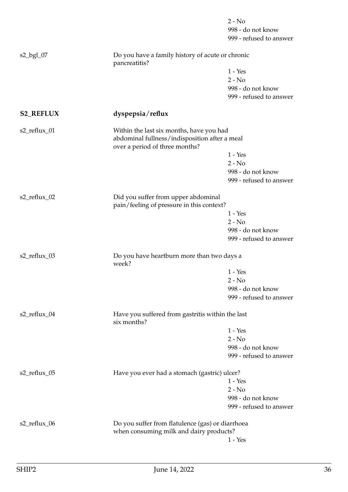<span id="page-35-0"></span>

|                  |                                                                                             | $2 - No$                |  |
|------------------|---------------------------------------------------------------------------------------------|-------------------------|--|
|                  |                                                                                             | 998 - do not know       |  |
|                  |                                                                                             | 999 - refused to answer |  |
| $s2$ _bgl_07     | Do you have a family history of acute or chronic<br>pancreatitis?                           |                         |  |
|                  |                                                                                             | $1 - Yes$               |  |
|                  |                                                                                             | $2 - No$                |  |
|                  |                                                                                             | 998 - do not know       |  |
|                  |                                                                                             | 999 - refused to answer |  |
| <b>S2_REFLUX</b> | dyspepsia/reflux                                                                            |                         |  |
| s2_reflux_01     | Within the last six months, have you had                                                    |                         |  |
|                  | abdominal fullness/indisposition after a meal<br>over a period of three months?             |                         |  |
|                  |                                                                                             | $1 - Yes$               |  |
|                  |                                                                                             | $2 - No$                |  |
|                  |                                                                                             | 998 - do not know       |  |
|                  |                                                                                             | 999 - refused to answer |  |
| s2_reflux_02     | Did you suffer from upper abdominal<br>pain/feeling of pressure in this context?            |                         |  |
|                  |                                                                                             | $1 - Yes$               |  |
|                  |                                                                                             | $2 - No$                |  |
|                  |                                                                                             | 998 - do not know       |  |
|                  |                                                                                             | 999 - refused to answer |  |
| s2_reflux_03     | Do you have heartburn more than two days a<br>week?                                         |                         |  |
|                  |                                                                                             | $1 - Yes$               |  |
|                  |                                                                                             | 2 - No                  |  |
|                  |                                                                                             | 998 - do not know       |  |
|                  |                                                                                             | 999 - refused to answer |  |
| s2_reflux_04     | Have you suffered from gastritis within the last<br>six months?                             |                         |  |
|                  |                                                                                             | $1 - Yes$               |  |
|                  |                                                                                             | $2 - No$                |  |
|                  |                                                                                             | 998 - do not know       |  |
|                  |                                                                                             | 999 - refused to answer |  |
| s2_reflux_05     | Have you ever had a stomach (gastric) ulcer?                                                |                         |  |
|                  |                                                                                             | $1 - Yes$               |  |
|                  |                                                                                             | $2 - No$                |  |
|                  |                                                                                             | 998 - do not know       |  |
|                  |                                                                                             | 999 - refused to answer |  |
| s2_reflux_06     | Do you suffer from flatulence (gas) or diarrhoea<br>when consuming milk and dairy products? |                         |  |
|                  |                                                                                             | $1 - Yes$               |  |
|                  |                                                                                             |                         |  |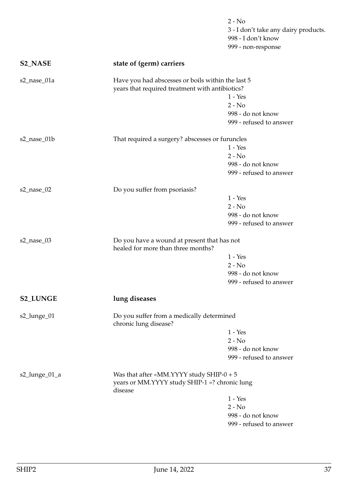|                 |                                                                                                         | $2 - No$<br>3 - I don't take any dairy products.<br>998 - I don't know<br>999 - non-response |
|-----------------|---------------------------------------------------------------------------------------------------------|----------------------------------------------------------------------------------------------|
| <b>S2_NASE</b>  | state of (germ) carriers                                                                                |                                                                                              |
| s2_nase_01a     | Have you had abscesses or boils within the last 5<br>years that required treatment with antibiotics?    | $1 - Yes$<br>$2 - No$<br>998 - do not know<br>999 - refused to answer                        |
| s2_nase_01b     | That required a surgery? abscesses or furuncles                                                         | $1 - Yes$<br>$2 - No$<br>998 - do not know<br>999 - refused to answer                        |
| s2_nase_02      | Do you suffer from psoriasis?                                                                           | $1 - Yes$<br>$2 - No$<br>998 - do not know<br>999 - refused to answer                        |
| s2_nase_03      | Do you have a wound at present that has not<br>healed for more than three months?                       | $1 - Yes$<br>$2 - No$<br>998 - do not know<br>999 - refused to answer                        |
| <b>S2_LUNGE</b> | lung diseases                                                                                           |                                                                                              |
| s2_lunge_01     | Do you suffer from a medically determined<br>chronic lung disease?                                      | $1 - Yes$<br>$2 - No$<br>998 - do not know<br>999 - refused to answer                        |
| s2_lunge_01_a   | Was that after «MM.YYYY study SHIP- $0 + 5$<br>years or MM.YYYY study SHIP-1 »? chronic lung<br>disease | $1 - Yes$<br>$2 - No$<br>998 - do not know<br>999 - refused to answer                        |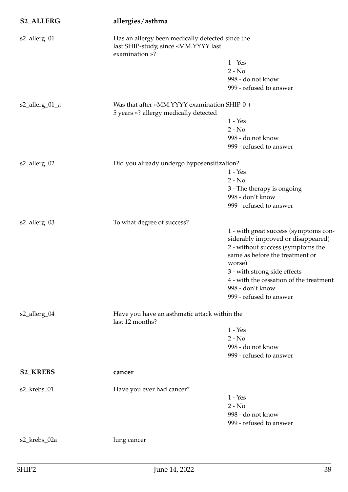| <b>S2_ALLERG</b> | allergies/asthma                                                                      |                                                                             |  |
|------------------|---------------------------------------------------------------------------------------|-----------------------------------------------------------------------------|--|
| s2_allerg_01     | last SHIP-study, since «MM.YYYY last<br>examination »?                                | Has an allergy been medically detected since the                            |  |
|                  |                                                                                       | $1 - Yes$                                                                   |  |
|                  |                                                                                       | $2 - No$                                                                    |  |
|                  |                                                                                       | 998 - do not know                                                           |  |
|                  |                                                                                       | 999 - refused to answer                                                     |  |
| s2_allerg_01_a   | Was that after «MM.YYYY examination SHIP-0 +<br>5 years »? allergy medically detected |                                                                             |  |
|                  |                                                                                       | $1 - Yes$                                                                   |  |
|                  |                                                                                       | $2 - No$                                                                    |  |
|                  |                                                                                       | 998 - do not know                                                           |  |
|                  |                                                                                       | 999 - refused to answer                                                     |  |
| s2_allerg_02     | Did you already undergo hyposensitization?                                            |                                                                             |  |
|                  |                                                                                       | $1 - Yes$                                                                   |  |
|                  |                                                                                       | $2 - No$                                                                    |  |
|                  |                                                                                       | 3 - The therapy is ongoing                                                  |  |
|                  |                                                                                       | 998 - don't know                                                            |  |
|                  |                                                                                       | 999 - refused to answer                                                     |  |
| s2_allerg_03     | To what degree of success?                                                            |                                                                             |  |
|                  |                                                                                       | 1 - with great success (symptoms con-<br>siderably improved or disappeared) |  |
|                  |                                                                                       | 2 - without success (symptoms the<br>same as before the treatment or        |  |
|                  |                                                                                       | worse)                                                                      |  |
|                  |                                                                                       | 3 - with strong side effects                                                |  |
|                  |                                                                                       | 4 - with the cessation of the treatment                                     |  |
|                  |                                                                                       | 998 - don't know                                                            |  |
|                  |                                                                                       | 999 - refused to answer                                                     |  |
| s2_allerg_04     | Have you have an asthmatic attack within the<br>last 12 months?                       |                                                                             |  |
|                  |                                                                                       | $1 - Yes$                                                                   |  |
|                  |                                                                                       | $2 - No$                                                                    |  |
|                  |                                                                                       | 998 - do not know                                                           |  |
|                  |                                                                                       | 999 - refused to answer                                                     |  |
| <b>S2_KREBS</b>  | cancer                                                                                |                                                                             |  |
| s2_krebs_01      | Have you ever had cancer?                                                             |                                                                             |  |
|                  |                                                                                       | $1 - Yes$                                                                   |  |
|                  |                                                                                       | $2 - No$                                                                    |  |
|                  |                                                                                       | 998 - do not know                                                           |  |
|                  |                                                                                       | 999 - refused to answer                                                     |  |
| s2_krebs_02a     | lung cancer                                                                           |                                                                             |  |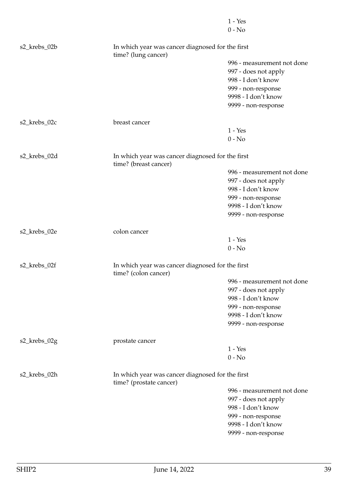|              |                                                                             | $1 - Yes$<br>$0 - No$      |
|--------------|-----------------------------------------------------------------------------|----------------------------|
| s2_krebs_02b | In which year was cancer diagnosed for the first<br>time? (lung cancer)     |                            |
|              |                                                                             | 996 - measurement not done |
|              |                                                                             | 997 - does not apply       |
|              |                                                                             | 998 - I don't know         |
|              |                                                                             | 999 - non-response         |
|              |                                                                             | 9998 - I don't know        |
|              |                                                                             | 9999 - non-response        |
| s2_krebs_02c | breast cancer                                                               |                            |
|              |                                                                             | $1 - Yes$                  |
|              |                                                                             | $0 - No$                   |
| s2_krebs_02d | In which year was cancer diagnosed for the first<br>time? (breast cancer)   |                            |
|              |                                                                             | 996 - measurement not done |
|              |                                                                             | 997 - does not apply       |
|              |                                                                             | 998 - I don't know         |
|              |                                                                             | 999 - non-response         |
|              |                                                                             | 9998 - I don't know        |
|              |                                                                             | 9999 - non-response        |
| s2_krebs_02e | colon cancer                                                                |                            |
|              |                                                                             | $1 - Yes$                  |
|              |                                                                             | $0 - No$                   |
| s2_krebs_02f | In which year was cancer diagnosed for the first<br>time? (colon cancer)    |                            |
|              |                                                                             | 996 - measurement not done |
|              |                                                                             | 997 - does not apply       |
|              |                                                                             | 998 - I don't know         |
|              |                                                                             | 999 - non-response         |
|              |                                                                             | 9998 - I don't know        |
|              |                                                                             | 9999 - non-response        |
| s2_krebs_02g | prostate cancer                                                             |                            |
|              |                                                                             | $1 - Yes$                  |
|              |                                                                             | $0 - No$                   |
| s2_krebs_02h | In which year was cancer diagnosed for the first<br>time? (prostate cancer) |                            |
|              |                                                                             | 996 - measurement not done |
|              |                                                                             | 997 - does not apply       |
|              |                                                                             | 998 - I don't know         |
|              |                                                                             | 999 - non-response         |
|              |                                                                             | 9998 - I don't know        |
|              |                                                                             | 9999 - non-response        |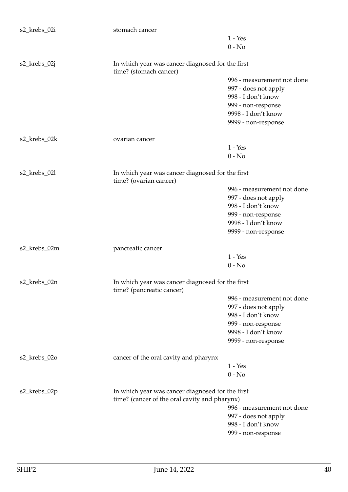| s2_krebs_02i | stomach cancer                                                                |                            |
|--------------|-------------------------------------------------------------------------------|----------------------------|
|              |                                                                               | $1 - Yes$                  |
|              |                                                                               | $0 - No$                   |
|              |                                                                               |                            |
| s2_krebs_02j | In which year was cancer diagnosed for the first<br>time? (stomach cancer)    |                            |
|              |                                                                               | 996 - measurement not done |
|              |                                                                               | 997 - does not apply       |
|              |                                                                               | 998 - I don't know         |
|              |                                                                               | 999 - non-response         |
|              |                                                                               | 9998 - I don't know        |
|              |                                                                               | 9999 - non-response        |
| s2_krebs_02k | ovarian cancer                                                                |                            |
|              |                                                                               | $1 - Yes$                  |
|              |                                                                               | $0 - No$                   |
|              |                                                                               |                            |
| s2_krebs_02l | In which year was cancer diagnosed for the first<br>time? (ovarian cancer)    |                            |
|              |                                                                               | 996 - measurement not done |
|              |                                                                               | 997 - does not apply       |
|              |                                                                               | 998 - I don't know         |
|              |                                                                               | 999 - non-response         |
|              |                                                                               | 9998 - I don't know        |
|              |                                                                               | 9999 - non-response        |
|              |                                                                               |                            |
| s2_krebs_02m | pancreatic cancer                                                             |                            |
|              |                                                                               | $1 - Yes$                  |
|              |                                                                               | $0 - No$                   |
| s2_krebs_02n | In which year was cancer diagnosed for the first<br>time? (pancreatic cancer) |                            |
|              |                                                                               | 996 - measurement not done |
|              |                                                                               | 997 - does not apply       |
|              |                                                                               | 998 - I don't know         |
|              |                                                                               | 999 - non-response         |
|              |                                                                               | 9998 - I don't know        |
|              |                                                                               | 9999 - non-response        |
|              |                                                                               |                            |
| s2_krebs_02o | cancer of the oral cavity and pharynx                                         |                            |
|              |                                                                               | $1 - Yes$                  |
|              |                                                                               | $0 - No$                   |
| s2_krebs_02p | In which year was cancer diagnosed for the first                              |                            |
|              | time? (cancer of the oral cavity and pharynx)                                 |                            |
|              |                                                                               | 996 - measurement not done |
|              |                                                                               | 997 - does not apply       |
|              |                                                                               | 998 - I don't know         |
|              |                                                                               | 999 - non-response         |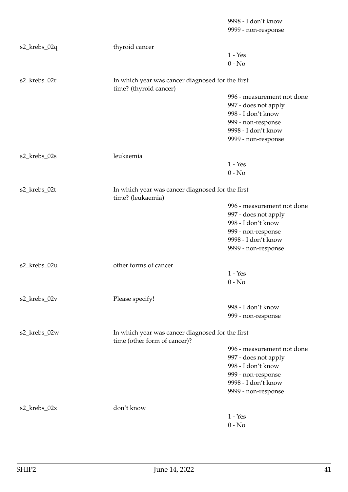|              |                                                                                  | 9998 - I don't know<br>9999 - non-response |
|--------------|----------------------------------------------------------------------------------|--------------------------------------------|
| s2_krebs_02q | thyroid cancer                                                                   |                                            |
|              |                                                                                  | $1 - Yes$<br>$0 - No$                      |
| s2_krebs_02r | In which year was cancer diagnosed for the first<br>time? (thyroid cancer)       |                                            |
|              |                                                                                  | 996 - measurement not done                 |
|              |                                                                                  | 997 - does not apply                       |
|              |                                                                                  | 998 - I don't know                         |
|              |                                                                                  | 999 - non-response                         |
|              |                                                                                  | 9998 - I don't know                        |
|              |                                                                                  | 9999 - non-response                        |
| s2_krebs_02s | leukaemia                                                                        |                                            |
|              |                                                                                  | $1 - Yes$                                  |
|              |                                                                                  | $0 - No$                                   |
| s2_krebs_02t | In which year was cancer diagnosed for the first<br>time? (leukaemia)            |                                            |
|              |                                                                                  | 996 - measurement not done                 |
|              |                                                                                  | 997 - does not apply                       |
|              |                                                                                  | 998 - I don't know                         |
|              |                                                                                  | 999 - non-response                         |
|              |                                                                                  | 9998 - I don't know                        |
|              |                                                                                  | 9999 - non-response                        |
| s2_krebs_02u | other forms of cancer                                                            |                                            |
|              |                                                                                  | $1 - Yes$                                  |
|              |                                                                                  | $0 - No$                                   |
| s2_krebs_02v | Please specify!                                                                  |                                            |
|              |                                                                                  | 998 - I don't know                         |
|              |                                                                                  | 999 - non-response                         |
| s2_krebs_02w | In which year was cancer diagnosed for the first<br>time (other form of cancer)? |                                            |
|              |                                                                                  | 996 - measurement not done                 |
|              |                                                                                  | 997 - does not apply                       |
|              |                                                                                  | 998 - I don't know                         |
|              |                                                                                  | 999 - non-response                         |
|              |                                                                                  | 9998 - I don't know                        |
|              |                                                                                  | 9999 - non-response                        |
| s2_krebs_02x | don't know                                                                       |                                            |
|              |                                                                                  | $1 - Yes$                                  |
|              |                                                                                  | $0 - No$                                   |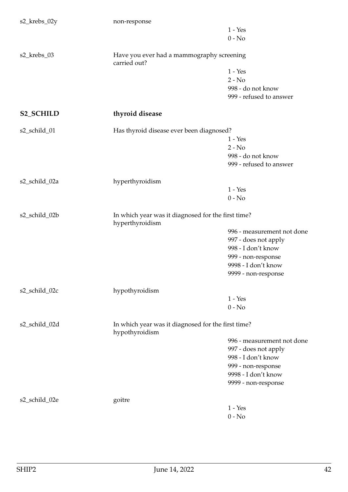| s2_krebs_02y     | non-response                                                          |                            |
|------------------|-----------------------------------------------------------------------|----------------------------|
|                  |                                                                       | $1 - Yes$                  |
|                  |                                                                       | $0 - No$                   |
| s2_krebs_03      | Have you ever had a mammography screening<br>carried out?             |                            |
|                  |                                                                       | $1 - Yes$                  |
|                  |                                                                       | $2 - No$                   |
|                  |                                                                       | 998 - do not know          |
|                  |                                                                       | 999 - refused to answer    |
| <b>S2_SCHILD</b> | thyroid disease                                                       |                            |
| s2_schild_01     | Has thyroid disease ever been diagnosed?                              |                            |
|                  |                                                                       | $1 - Yes$                  |
|                  |                                                                       | $2 - No$                   |
|                  |                                                                       | 998 - do not know          |
|                  |                                                                       | 999 - refused to answer    |
| s2_schild_02a    | hyperthyroidism                                                       |                            |
|                  |                                                                       | $1 - Yes$                  |
|                  |                                                                       | $0 - No$                   |
|                  |                                                                       |                            |
| s2_schild_02b    | In which year was it diagnosed for the first time?<br>hyperthyroidism |                            |
|                  |                                                                       | 996 - measurement not done |
|                  |                                                                       | 997 - does not apply       |
|                  |                                                                       | 998 - I don't know         |
|                  |                                                                       | 999 - non-response         |
|                  |                                                                       | 9998 - I don't know        |
|                  |                                                                       |                            |
|                  |                                                                       | 9999 - non-response        |
| s2_schild_02c    | hypothyroidism                                                        |                            |
|                  |                                                                       | $1 - Yes$                  |
|                  |                                                                       | $0 - No$                   |
| s2_schild_02d    | In which year was it diagnosed for the first time?<br>hypothyroidism  |                            |
|                  |                                                                       | 996 - measurement not done |
|                  |                                                                       |                            |
|                  |                                                                       | 997 - does not apply       |
|                  |                                                                       | 998 - I don't know         |
|                  |                                                                       | 999 - non-response         |
|                  |                                                                       | 9998 - I don't know        |
|                  |                                                                       | 9999 - non-response        |
| s2_schild_02e    | goitre                                                                |                            |
|                  |                                                                       | $1 - Yes$                  |
|                  |                                                                       | $0 - No$                   |
|                  |                                                                       |                            |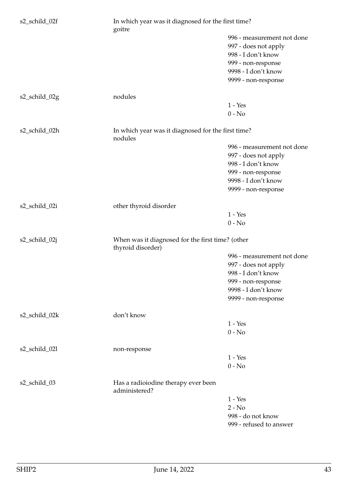| s2_schild_02f | goitre                                                                | In which year was it diagnosed for the first time?                                                                                           |  |
|---------------|-----------------------------------------------------------------------|----------------------------------------------------------------------------------------------------------------------------------------------|--|
|               |                                                                       | 996 - measurement not done<br>997 - does not apply<br>998 - I don't know<br>999 - non-response<br>9998 - I don't know<br>9999 - non-response |  |
| s2_schild_02g | nodules                                                               |                                                                                                                                              |  |
|               |                                                                       | $1 - Yes$<br>$0 - No$                                                                                                                        |  |
| s2_schild_02h | In which year was it diagnosed for the first time?<br>nodules         |                                                                                                                                              |  |
|               |                                                                       | 996 - measurement not done<br>997 - does not apply<br>998 - I don't know<br>999 - non-response<br>9998 - I don't know<br>9999 - non-response |  |
| s2_schild_02i | other thyroid disorder                                                |                                                                                                                                              |  |
|               |                                                                       | $1 - Yes$<br>$0 - No$                                                                                                                        |  |
| s2_schild_02j | When was it diagnosed for the first time? (other<br>thyroid disorder) |                                                                                                                                              |  |
|               |                                                                       | 996 - measurement not done<br>997 - does not apply<br>998 - I don't know<br>999 - non-response<br>9998 - I don't know<br>9999 - non-response |  |
| s2_schild_02k | don't know                                                            | $1 - Yes$                                                                                                                                    |  |
|               |                                                                       | $0 - No$                                                                                                                                     |  |
| s2_schild_02l | non-response                                                          | $1 - Yes$<br>$0 - No$                                                                                                                        |  |
| s2_schild_03  | Has a radioiodine therapy ever been<br>administered?                  |                                                                                                                                              |  |
|               |                                                                       | $1 - Yes$<br>$2 - No$<br>998 - do not know<br>999 - refused to answer                                                                        |  |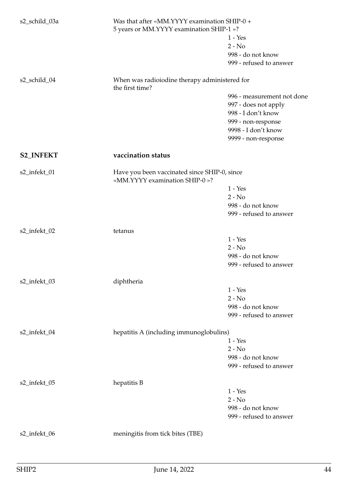| s2_schild_03a    | Was that after «MM.YYYY examination SHIP-0 +<br>5 years or MM.YYYY examination SHIP-1 »? | $1 - Yes$<br>$2 - No$<br>998 - do not know<br>999 - refused to answer                                                 |
|------------------|------------------------------------------------------------------------------------------|-----------------------------------------------------------------------------------------------------------------------|
| s2_schild_04     | When was radioiodine therapy administered for<br>the first time?                         | 996 - measurement not done<br>997 - does not apply<br>998 - I don't know<br>999 - non-response<br>9998 - I don't know |
|                  |                                                                                          | 9999 - non-response                                                                                                   |
| <b>S2_INFEKT</b> | vaccination status                                                                       |                                                                                                                       |
| s2_infekt_01     | Have you been vaccinated since SHIP-0, since<br>«MM.YYYY examination SHIP-0 »?           | $1 - Yes$<br>$2 - No$<br>998 - do not know<br>999 - refused to answer                                                 |
| s2_infekt_02     | tetanus                                                                                  | $1 - Yes$<br>$2 - No$<br>998 - do not know<br>999 - refused to answer                                                 |
| s2_infekt_03     | diphtheria                                                                               | $1 - Yes$<br>$2 - No$<br>998 - do not know<br>999 - refused to answer                                                 |
| s2_infekt_04     | hepatitis A (including immunoglobulins)                                                  | $1 - Yes$<br>$2 - No$<br>998 - do not know<br>999 - refused to answer                                                 |
| s2_infekt_05     | hepatitis B                                                                              | $1 - Yes$<br>$2 - No$<br>998 - do not know<br>999 - refused to answer                                                 |
| s2_infekt_06     | meningitis from tick bites (TBE)                                                         |                                                                                                                       |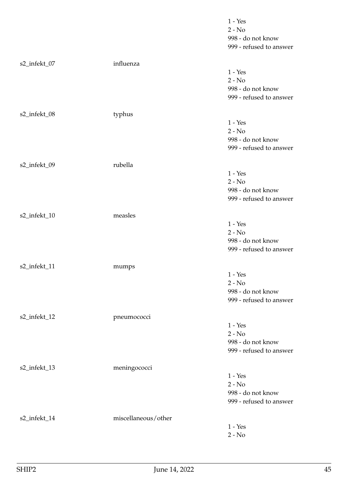|              |                     | $1 - Yes$               |
|--------------|---------------------|-------------------------|
|              |                     | $2 - No$                |
|              |                     | 998 - do not know       |
|              |                     | 999 - refused to answer |
| s2_infekt_07 | influenza           |                         |
|              |                     | $1 - Yes$               |
|              |                     | $2 - No$                |
|              |                     | 998 - do not know       |
|              |                     | 999 - refused to answer |
|              |                     |                         |
| s2_infekt_08 | typhus              |                         |
|              |                     | $1 - Yes$               |
|              |                     | $2 - No$                |
|              |                     | 998 - do not know       |
|              |                     | 999 - refused to answer |
| s2_infekt_09 | rubella             |                         |
|              |                     | $1 - Yes$               |
|              |                     | $2 - No$                |
|              |                     | 998 - do not know       |
|              |                     | 999 - refused to answer |
|              |                     |                         |
| s2_infekt_10 | measles             |                         |
|              |                     | $1 - Yes$               |
|              |                     | $2 - No$                |
|              |                     | 998 - do not know       |
|              |                     | 999 - refused to answer |
| s2_infekt_11 | mumps               |                         |
|              |                     | $1 - Yes$               |
|              |                     | $2 - No$                |
|              |                     | 998 - do not know       |
|              |                     | 999 - refused to answer |
| s2_infekt_12 | pneumococci         |                         |
|              |                     | $1 - Yes$               |
|              |                     | $2 - No$                |
|              |                     | 998 - do not know       |
|              |                     | 999 - refused to answer |
|              |                     |                         |
| s2_infekt_13 | meningococci        |                         |
|              |                     | $1 - Yes$               |
|              |                     | $2 - No$                |
|              |                     | 998 - do not know       |
|              |                     | 999 - refused to answer |
| s2_infekt_14 | miscellaneous/other |                         |
|              |                     | $1 - Yes$               |
|              |                     | $2 - No$                |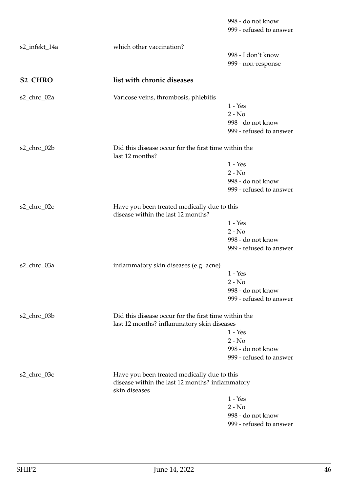|                |                                                                                                                 | 998 - do not know<br>999 - refused to answer |
|----------------|-----------------------------------------------------------------------------------------------------------------|----------------------------------------------|
| s2_infekt_14a  | which other vaccination?                                                                                        |                                              |
|                |                                                                                                                 | 998 - I don't know                           |
|                |                                                                                                                 | 999 - non-response                           |
| <b>S2_CHRO</b> | list with chronic diseases                                                                                      |                                              |
| s2_chro_02a    | Varicose veins, thrombosis, phlebitis                                                                           |                                              |
|                |                                                                                                                 | $1 - Yes$                                    |
|                |                                                                                                                 | $2 - No$                                     |
|                |                                                                                                                 | 998 - do not know                            |
|                |                                                                                                                 | 999 - refused to answer                      |
| s2_chro_02b    | Did this disease occur for the first time within the<br>last 12 months?                                         |                                              |
|                |                                                                                                                 | $1 - Yes$                                    |
|                |                                                                                                                 | $2 - No$                                     |
|                |                                                                                                                 | 998 - do not know                            |
|                |                                                                                                                 | 999 - refused to answer                      |
| s2_chro_02c    | Have you been treated medically due to this<br>disease within the last 12 months?                               |                                              |
|                |                                                                                                                 | $1 - Yes$                                    |
|                |                                                                                                                 | $2 - No$                                     |
|                |                                                                                                                 | 998 - do not know                            |
|                |                                                                                                                 | 999 - refused to answer                      |
| s2_chro_03a    | inflammatory skin diseases (e.g. acne)                                                                          |                                              |
|                |                                                                                                                 | $1 - Yes$                                    |
|                |                                                                                                                 | $2 - No$                                     |
|                |                                                                                                                 | 998 - do not know                            |
|                |                                                                                                                 | 999 - refused to answer                      |
| s2_chro_03b    | Did this disease occur for the first time within the                                                            |                                              |
|                | last 12 months? inflammatory skin diseases                                                                      | $1 - Yes$                                    |
|                |                                                                                                                 | $2 - No$                                     |
|                |                                                                                                                 | 998 - do not know                            |
|                |                                                                                                                 | 999 - refused to answer                      |
|                |                                                                                                                 |                                              |
| s2_chro_03c    | Have you been treated medically due to this<br>disease within the last 12 months? inflammatory<br>skin diseases |                                              |
|                |                                                                                                                 | $1 - Yes$                                    |
|                |                                                                                                                 | $2 - No$                                     |
|                |                                                                                                                 | 998 - do not know                            |
|                |                                                                                                                 | 999 - refused to answer                      |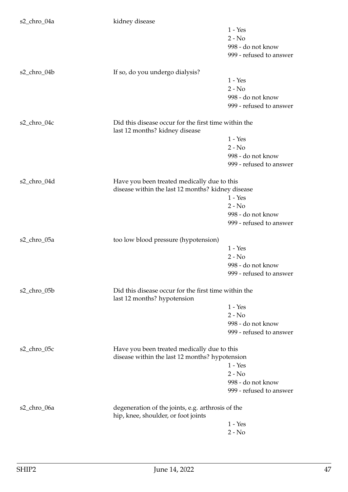| s2_chro_04a | kidney disease                                                                         |                         |
|-------------|----------------------------------------------------------------------------------------|-------------------------|
|             |                                                                                        | $1 - Yes$               |
|             |                                                                                        | $2 - No$                |
|             |                                                                                        | 998 - do not know       |
|             |                                                                                        | 999 - refused to answer |
|             |                                                                                        |                         |
| s2_chro_04b | If so, do you undergo dialysis?                                                        |                         |
|             |                                                                                        | $1 - Yes$               |
|             |                                                                                        | $2 - No$                |
|             |                                                                                        | 998 - do not know       |
|             |                                                                                        | 999 - refused to answer |
| s2_chro_04c | Did this disease occur for the first time within the<br>last 12 months? kidney disease |                         |
|             |                                                                                        | $1 - Yes$               |
|             |                                                                                        | $2 - No$                |
|             |                                                                                        | 998 - do not know       |
|             |                                                                                        | 999 - refused to answer |
| s2_chro_04d | Have you been treated medically due to this                                            |                         |
|             | disease within the last 12 months? kidney disease                                      |                         |
|             |                                                                                        | $1 - Yes$               |
|             |                                                                                        | $2 - No$                |
|             |                                                                                        | 998 - do not know       |
|             |                                                                                        | 999 - refused to answer |
| s2_chro_05a | too low blood pressure (hypotension)                                                   |                         |
|             |                                                                                        | $1 - Yes$               |
|             |                                                                                        | $2 - No$                |
|             |                                                                                        | 998 - do not know       |
|             |                                                                                        | 999 - refused to answer |
|             |                                                                                        |                         |
| s2_chro_05b | Did this disease occur for the first time within the<br>last 12 months? hypotension    |                         |
|             |                                                                                        | $1 - Yes$               |
|             |                                                                                        | $2 - No$                |
|             |                                                                                        | 998 - do not know       |
|             |                                                                                        | 999 - refused to answer |
|             |                                                                                        |                         |
| s2_chro_05c | Have you been treated medically due to this                                            |                         |
|             | disease within the last 12 months? hypotension                                         | $1 - Yes$               |
|             |                                                                                        |                         |
|             |                                                                                        | $2 - No$                |
|             |                                                                                        | 998 - do not know       |
|             |                                                                                        | 999 - refused to answer |
| s2_chro_06a | degeneration of the joints, e.g. arthrosis of the                                      |                         |
|             | hip, knee, shoulder, or foot joints                                                    |                         |
|             |                                                                                        | $1 - Yes$               |
|             |                                                                                        | $2 - No$                |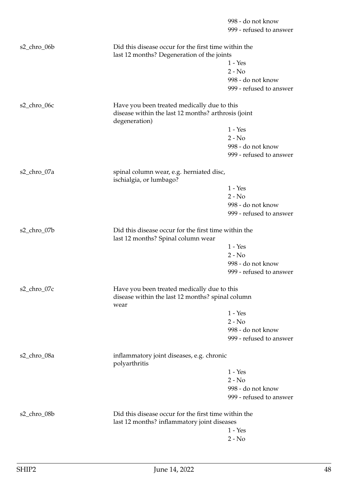|             |                                                                                                                     | 998 - do not know<br>999 - refused to answer |
|-------------|---------------------------------------------------------------------------------------------------------------------|----------------------------------------------|
| s2_chro_06b | Did this disease occur for the first time within the<br>last 12 months? Degeneration of the joints                  |                                              |
|             |                                                                                                                     | $1 - Yes$                                    |
|             |                                                                                                                     | $2 - No$                                     |
|             |                                                                                                                     | 998 - do not know                            |
|             |                                                                                                                     | 999 - refused to answer                      |
| s2_chro_06c | Have you been treated medically due to this<br>disease within the last 12 months? arthrosis (joint<br>degeneration) |                                              |
|             |                                                                                                                     | $1 - Yes$                                    |
|             |                                                                                                                     | $2 - No$                                     |
|             |                                                                                                                     | 998 - do not know                            |
|             |                                                                                                                     | 999 - refused to answer                      |
| s2_chro_07a | spinal column wear, e.g. herniated disc,<br>ischialgia, or lumbago?                                                 |                                              |
|             |                                                                                                                     | $1 - Yes$                                    |
|             |                                                                                                                     | $2 - No$                                     |
|             |                                                                                                                     | 998 - do not know                            |
|             |                                                                                                                     | 999 - refused to answer                      |
| s2_chro_07b | Did this disease occur for the first time within the<br>last 12 months? Spinal column wear                          |                                              |
|             |                                                                                                                     | $1 - Yes$                                    |
|             |                                                                                                                     | $2 - No$                                     |
|             |                                                                                                                     | 998 - do not know                            |
|             |                                                                                                                     | 999 - refused to answer                      |
| s2_chro_07c | Have you been treated medically due to this<br>disease within the last 12 months? spinal column<br>wear             |                                              |
|             |                                                                                                                     | $1 - Yes$                                    |
|             |                                                                                                                     | $2 - No$                                     |
|             |                                                                                                                     | 998 - do not know                            |
|             |                                                                                                                     | 999 - refused to answer                      |
| s2_chro_08a | inflammatory joint diseases, e.g. chronic<br>polyarthritis                                                          |                                              |
|             |                                                                                                                     | $1 - Yes$                                    |
|             |                                                                                                                     | $2 - No$                                     |
|             |                                                                                                                     | 998 - do not know                            |
|             |                                                                                                                     | 999 - refused to answer                      |
| s2_chro_08b | Did this disease occur for the first time within the<br>last 12 months? inflammatory joint diseases                 |                                              |
|             |                                                                                                                     | $1 - Yes$                                    |
|             |                                                                                                                     | $2 - No$                                     |
|             |                                                                                                                     |                                              |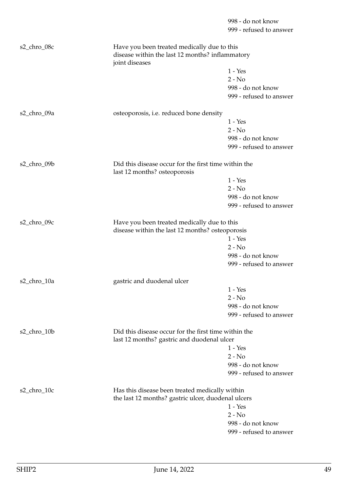998 - do not know 999 - refused to answer s2\_chro\_08c Have you been treated medically due to this disease within the last 12 months? inflammatory joint diseases 1 - Yes  $2 - No$ 998 - do not know 999 - refused to answer s2\_chro\_09a osteoporosis, i.e. reduced bone density 1 - Yes  $2 - N_0$ 998 - do not know 999 - refused to answer s2 chro 09b Did this disease occur for the first time within the last 12 months? osteoporosis 1 - Yes 2 - No 998 - do not know 999 - refused to answer s2\_chro\_09c Have you been treated medically due to this disease within the last 12 months? osteoporosis 1 - Yes  $2 - No$ 998 - do not know 999 - refused to answer s2\_chro\_10a gastric and duodenal ulcer 1 - Yes  $2 - No$ 998 - do not know 999 - refused to answer s2\_chro\_10b Did this disease occur for the first time within the last 12 months? gastric and duodenal ulcer 1 - Yes  $2 - No$ 998 - do not know 999 - refused to answer s2\_chro\_10c Has this disease been treated medically within the last 12 months? gastric ulcer, duodenal ulcers 1 - Yes  $2 - No$ 998 - do not know

999 - refused to answer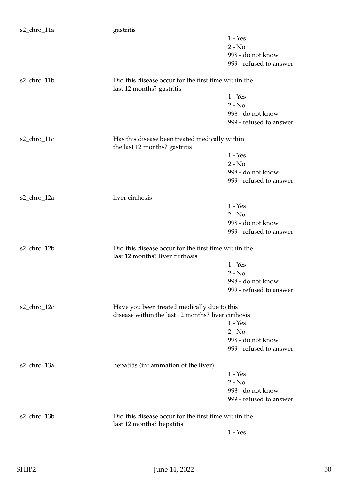| s2_chro_11a     | gastritis                                                                               |                         |
|-----------------|-----------------------------------------------------------------------------------------|-------------------------|
|                 |                                                                                         | $1 - Yes$               |
|                 |                                                                                         | $2 - No$                |
|                 |                                                                                         | 998 - do not know       |
|                 |                                                                                         | 999 - refused to answer |
| s2_chro_11b     | Did this disease occur for the first time within the                                    |                         |
|                 | last 12 months? gastritis                                                               |                         |
|                 |                                                                                         | $1 - Yes$               |
|                 |                                                                                         | $2 - No$                |
|                 |                                                                                         | 998 - do not know       |
|                 |                                                                                         | 999 - refused to answer |
| $s2_{chro_11c}$ | Has this disease been treated medically within<br>the last 12 months? gastritis         |                         |
|                 |                                                                                         | $1 - Yes$               |
|                 |                                                                                         | $2 - No$                |
|                 |                                                                                         | 998 - do not know       |
|                 |                                                                                         | 999 - refused to answer |
|                 |                                                                                         |                         |
| s2_chro_12a     | liver cirrhosis                                                                         |                         |
|                 |                                                                                         | $1 - Yes$               |
|                 |                                                                                         | $2 - No$                |
|                 |                                                                                         | 998 - do not know       |
|                 |                                                                                         | 999 - refused to answer |
| s2_chro_12b     | Did this disease occur for the first time within the<br>last 12 months? liver cirrhosis |                         |
|                 |                                                                                         | $1 - Yes$               |
|                 |                                                                                         | $2 - No$                |
|                 |                                                                                         | 998 - do not know       |
|                 |                                                                                         | 999 - refused to answer |
| s2_chro_12c     | Have you been treated medically due to this                                             |                         |
|                 | disease within the last 12 months? liver cirrhosis                                      |                         |
|                 |                                                                                         | $1 - Yes$               |
|                 |                                                                                         | $2 - No$                |
|                 |                                                                                         | 998 - do not know       |
|                 |                                                                                         | 999 - refused to answer |
|                 |                                                                                         |                         |
| s2_chro_13a     | hepatitis (inflammation of the liver)                                                   |                         |
|                 |                                                                                         | $1 - Yes$               |
|                 |                                                                                         | $2 - No$                |
|                 |                                                                                         | 998 - do not know       |
|                 |                                                                                         | 999 - refused to answer |
| s2_chro_13b     | Did this disease occur for the first time within the                                    |                         |
|                 | last 12 months? hepatitis                                                               |                         |
|                 |                                                                                         | $1 - Yes$               |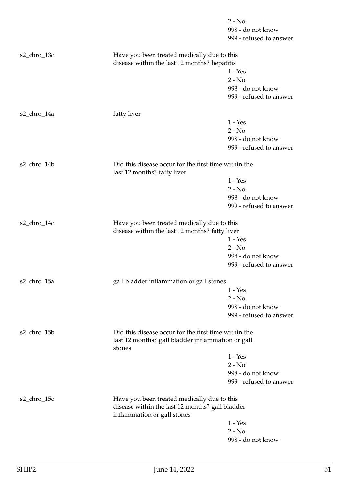|             |                                                                                     | $2 - No$                |
|-------------|-------------------------------------------------------------------------------------|-------------------------|
|             |                                                                                     | 998 - do not know       |
|             |                                                                                     | 999 - refused to answer |
| s2_chro_13c | Have you been treated medically due to this                                         |                         |
|             | disease within the last 12 months? hepatitis                                        |                         |
|             |                                                                                     | $1 - Yes$               |
|             |                                                                                     | $2 - No$                |
|             |                                                                                     | 998 - do not know       |
|             |                                                                                     | 999 - refused to answer |
| s2_chro_14a | fatty liver                                                                         |                         |
|             |                                                                                     | $1 - Yes$               |
|             |                                                                                     | $2 - No$                |
|             |                                                                                     | 998 - do not know       |
|             |                                                                                     | 999 - refused to answer |
| s2_chro_14b | Did this disease occur for the first time within the<br>last 12 months? fatty liver |                         |
|             |                                                                                     | $1 - Yes$               |
|             |                                                                                     | $2 - No$                |
|             |                                                                                     | 998 - do not know       |
|             |                                                                                     | 999 - refused to answer |
|             |                                                                                     |                         |
| s2_chro_14c | Have you been treated medically due to this                                         |                         |
|             | disease within the last 12 months? fatty liver                                      |                         |
|             |                                                                                     | $1 - Yes$               |
|             |                                                                                     | $2 - No$                |
|             |                                                                                     | 998 - do not know       |
|             |                                                                                     | 999 - refused to answer |
| s2_chro_15a | gall bladder inflammation or gall stones                                            |                         |
|             |                                                                                     | $1 - Yes$               |
|             |                                                                                     | $2 - No$                |
|             |                                                                                     | 998 - do not know       |
|             |                                                                                     | 999 - refused to answer |
| s2_chro_15b | Did this disease occur for the first time within the                                |                         |
|             | last 12 months? gall bladder inflammation or gall<br>stones                         |                         |
|             |                                                                                     | $1 - Yes$               |
|             |                                                                                     | $2 - No$                |
|             |                                                                                     | 998 - do not know       |
|             |                                                                                     | 999 - refused to answer |
| s2_chro_15c | Have you been treated medically due to this                                         |                         |
|             | disease within the last 12 months? gall bladder                                     |                         |
|             | inflammation or gall stones                                                         |                         |
|             |                                                                                     | $1 - Yes$               |
|             |                                                                                     | $2 - No$                |
|             |                                                                                     | 998 - do not know       |
|             |                                                                                     |                         |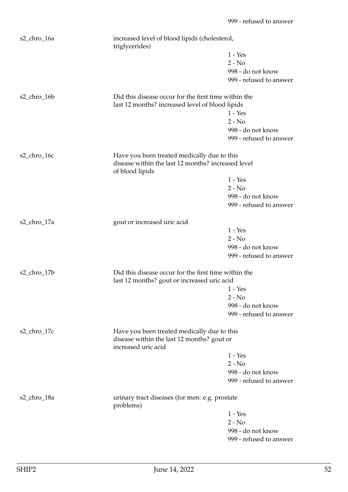| s2_chro_16a | triglycerides)                                                                                      | increased level of blood lipids (cholesterol, |  |
|-------------|-----------------------------------------------------------------------------------------------------|-----------------------------------------------|--|
|             |                                                                                                     | $1 - Yes$                                     |  |
|             |                                                                                                     | $2 - No$                                      |  |
|             |                                                                                                     | 998 - do not know                             |  |
|             |                                                                                                     | 999 - refused to answer                       |  |
| s2_chro_16b | Did this disease occur for the first time within the                                                |                                               |  |
|             | last 12 months? increased level of blood lipids                                                     |                                               |  |
|             |                                                                                                     | $1 - Yes$                                     |  |
|             |                                                                                                     | $2 - No$                                      |  |
|             |                                                                                                     | 998 - do not know                             |  |
|             |                                                                                                     | 999 - refused to answer                       |  |
| s2_chro_16c | Have you been treated medically due to this                                                         |                                               |  |
|             | disease within the last 12 months? increased level<br>of blood lipids                               |                                               |  |
|             |                                                                                                     | $1 - Yes$                                     |  |
|             |                                                                                                     | $2 - No$                                      |  |
|             |                                                                                                     | 998 - do not know                             |  |
|             |                                                                                                     | 999 - refused to answer                       |  |
| s2_chro_17a | gout or increased uric acid                                                                         |                                               |  |
|             |                                                                                                     | $1 - Yes$                                     |  |
|             |                                                                                                     | $2 - No$                                      |  |
|             |                                                                                                     | 998 - do not know                             |  |
|             |                                                                                                     | 999 - refused to answer                       |  |
| s2_chro_17b | Did this disease occur for the first time within the<br>last 12 months? gout or increased uric acid |                                               |  |
|             |                                                                                                     | $1 - Yes$                                     |  |
|             |                                                                                                     | $2 - No$                                      |  |
|             |                                                                                                     | 998 - do not know                             |  |
|             |                                                                                                     | 999 - refused to answer                       |  |
| s2_chro_17c | Have you been treated medically due to this                                                         |                                               |  |
|             | disease within the last 12 months? gout or<br>increased uric acid                                   |                                               |  |
|             |                                                                                                     | $1 - Yes$                                     |  |
|             |                                                                                                     | $2 - No$                                      |  |
|             |                                                                                                     | 998 - do not know                             |  |
|             |                                                                                                     | 999 - refused to answer                       |  |
| s2_chro_18a | urinary tract diseases (for men: e.g. prostate<br>problems)                                         |                                               |  |
|             |                                                                                                     | $1 - Yes$                                     |  |
|             |                                                                                                     | $2 - No$                                      |  |
|             |                                                                                                     | 998 - do not know                             |  |
|             |                                                                                                     | 999 - refused to answer                       |  |
|             |                                                                                                     |                                               |  |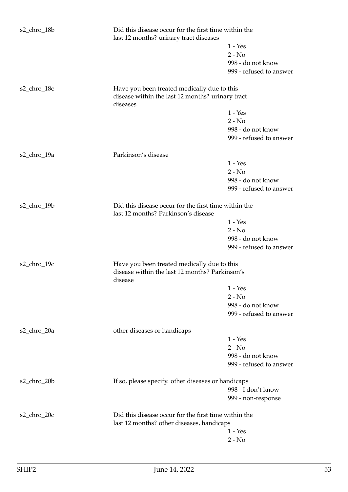| s2_chro_18b | Did this disease occur for the first time within the<br>last 12 months? urinary tract diseases |                         |
|-------------|------------------------------------------------------------------------------------------------|-------------------------|
|             |                                                                                                | $1 - Yes$               |
|             |                                                                                                | $2 - No$                |
|             |                                                                                                | 998 - do not know       |
|             |                                                                                                | 999 - refused to answer |
| s2_chro_18c | Have you been treated medically due to this                                                    |                         |
|             | disease within the last 12 months? urinary tract<br>diseases                                   |                         |
|             |                                                                                                | $1 - Yes$               |
|             |                                                                                                | $2 - No$                |
|             |                                                                                                | 998 - do not know       |
|             |                                                                                                | 999 - refused to answer |
|             |                                                                                                |                         |
| s2_chro_19a | Parkinson's disease                                                                            |                         |
|             |                                                                                                | $1 - Yes$               |
|             |                                                                                                | $2 - No$                |
|             |                                                                                                | 998 - do not know       |
|             |                                                                                                | 999 - refused to answer |
| s2_chro_19b | Did this disease occur for the first time within the                                           |                         |
|             | last 12 months? Parkinson's disease                                                            |                         |
|             |                                                                                                | $1 - Yes$               |
|             |                                                                                                | $2 - No$                |
|             |                                                                                                | 998 - do not know       |
|             |                                                                                                | 999 - refused to answer |
| s2_chro_19c | Have you been treated medically due to this                                                    |                         |
|             | disease within the last 12 months? Parkinson's<br>disease                                      |                         |
|             |                                                                                                | $1 - Yes$               |
|             |                                                                                                | $2 - No$                |
|             |                                                                                                | 998 - do not know       |
|             |                                                                                                | 999 - refused to answer |
| s2_chro_20a | other diseases or handicaps                                                                    |                         |
|             |                                                                                                | $1 - Yes$               |
|             |                                                                                                | $2 - No$                |
|             |                                                                                                | 998 - do not know       |
|             |                                                                                                | 999 - refused to answer |
| s2_chro_20b | If so, please specify. other diseases or handicaps                                             |                         |
|             |                                                                                                | 998 - I don't know      |
|             |                                                                                                | 999 - non-response      |
|             |                                                                                                |                         |
| s2_chro_20c | Did this disease occur for the first time within the                                           |                         |
|             | last 12 months? other diseases, handicaps                                                      |                         |
|             |                                                                                                | $1 - Yes$               |
|             |                                                                                                | $2 - No$                |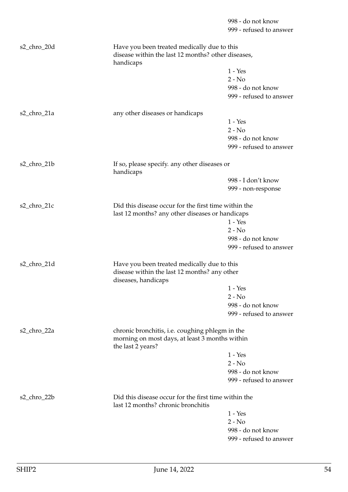|             |                                                                                             | 998 - do not know                                    |  |
|-------------|---------------------------------------------------------------------------------------------|------------------------------------------------------|--|
|             |                                                                                             | 999 - refused to answer                              |  |
| s2_chro_20d | Have you been treated medically due to this                                                 |                                                      |  |
|             | disease within the last 12 months? other diseases,<br>handicaps                             |                                                      |  |
|             |                                                                                             | $1 - Yes$                                            |  |
|             |                                                                                             | $2 - No$                                             |  |
|             |                                                                                             | 998 - do not know                                    |  |
|             |                                                                                             | 999 - refused to answer                              |  |
| s2_chro_21a | any other diseases or handicaps                                                             |                                                      |  |
|             |                                                                                             | $1 - Yes$                                            |  |
|             |                                                                                             | $2 - No$                                             |  |
|             |                                                                                             | 998 - do not know                                    |  |
|             |                                                                                             | 999 - refused to answer                              |  |
| s2_chro_21b | If so, please specify. any other diseases or<br>handicaps                                   |                                                      |  |
|             |                                                                                             | 998 - I don't know                                   |  |
|             |                                                                                             | 999 - non-response                                   |  |
| s2_chro_21c |                                                                                             | Did this disease occur for the first time within the |  |
|             | last 12 months? any other diseases or handicaps                                             | $1 - Yes$                                            |  |
|             |                                                                                             | $2 - No$                                             |  |
|             |                                                                                             | 998 - do not know                                    |  |
|             |                                                                                             | 999 - refused to answer                              |  |
|             |                                                                                             |                                                      |  |
| s2_chro_21d | Have you been treated medically due to this<br>disease within the last 12 months? any other |                                                      |  |
|             | diseases, handicaps                                                                         |                                                      |  |
|             |                                                                                             | $1 - Yes$                                            |  |
|             |                                                                                             | $2 - No$                                             |  |
|             |                                                                                             | 998 - do not know                                    |  |
|             |                                                                                             | 999 - refused to answer                              |  |
| s2_chro_22a | chronic bronchitis, i.e. coughing phlegm in the                                             |                                                      |  |
|             | morning on most days, at least 3 months within<br>the last 2 years?                         |                                                      |  |
|             |                                                                                             | $1 - Yes$                                            |  |
|             |                                                                                             | $2 - No$                                             |  |
|             |                                                                                             | 998 - do not know                                    |  |
|             |                                                                                             | 999 - refused to answer                              |  |
| s2_chro_22b | Did this disease occur for the first time within the<br>last 12 months? chronic bronchitis  |                                                      |  |
|             |                                                                                             | $1 - Yes$                                            |  |
|             |                                                                                             | $2 - No$                                             |  |
|             |                                                                                             | 998 - do not know                                    |  |
|             |                                                                                             | 999 - refused to answer                              |  |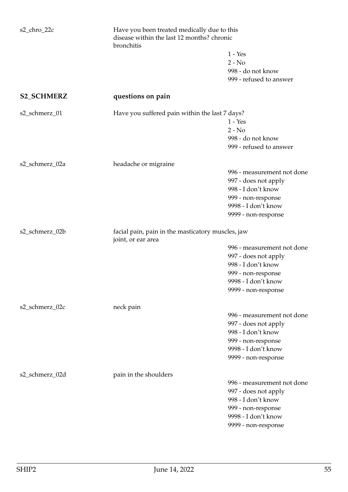| s2_chro_22c       | Have you been treated medically due to this<br>disease within the last 12 months? chronic<br>bronchitis |                            |
|-------------------|---------------------------------------------------------------------------------------------------------|----------------------------|
|                   |                                                                                                         | $1 - Yes$                  |
|                   |                                                                                                         | $2 - No$                   |
|                   |                                                                                                         | 998 - do not know          |
|                   |                                                                                                         | 999 - refused to answer    |
| <b>S2_SCHMERZ</b> | questions on pain                                                                                       |                            |
| s2_schmerz_01     | Have you suffered pain within the last 7 days?                                                          |                            |
|                   |                                                                                                         | $1 - Yes$                  |
|                   |                                                                                                         | $2 - No$                   |
|                   |                                                                                                         | 998 - do not know          |
|                   |                                                                                                         | 999 - refused to answer    |
| s2_schmerz_02a    | headache or migraine                                                                                    |                            |
|                   |                                                                                                         | 996 - measurement not done |
|                   |                                                                                                         | 997 - does not apply       |
|                   |                                                                                                         | 998 - I don't know         |
|                   |                                                                                                         | 999 - non-response         |
|                   |                                                                                                         | 9998 - I don't know        |
|                   |                                                                                                         | 9999 - non-response        |
| s2_schmerz_02b    | facial pain, pain in the masticatory muscles, jaw<br>joint, or ear area                                 |                            |
|                   |                                                                                                         | 996 - measurement not done |
|                   |                                                                                                         | 997 - does not apply       |
|                   |                                                                                                         | 998 - I don't know         |
|                   |                                                                                                         | 999 - non-response         |
|                   |                                                                                                         | 9998 - I don't know        |
|                   |                                                                                                         | 9999 - non-response        |
| s2_schmerz_02c    | neck pain                                                                                               |                            |
|                   |                                                                                                         | 996 - measurement not done |
|                   |                                                                                                         | 997 - does not apply       |
|                   |                                                                                                         | 998 - I don't know         |
|                   |                                                                                                         | 999 - non-response         |
|                   |                                                                                                         | 9998 - I don't know        |
|                   |                                                                                                         | 9999 - non-response        |
| s2_schmerz_02d    | pain in the shoulders                                                                                   |                            |
|                   |                                                                                                         | 996 - measurement not done |
|                   |                                                                                                         | 997 - does not apply       |
|                   |                                                                                                         | 998 - I don't know         |
|                   |                                                                                                         | 999 - non-response         |
|                   |                                                                                                         | 9998 - I don't know        |
|                   |                                                                                                         | 9999 - non-response        |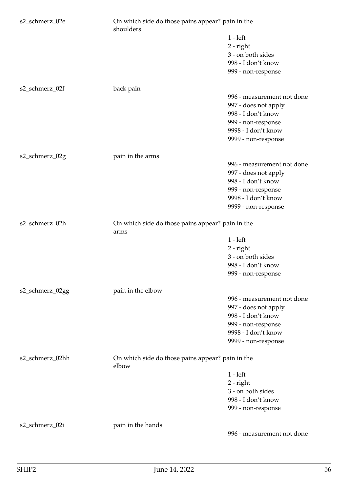| s2_schmerz_02e  | On which side do those pains appear? pain in the<br>shoulders |                            |
|-----------------|---------------------------------------------------------------|----------------------------|
|                 |                                                               | $1 - left$                 |
|                 |                                                               | $2$ - right                |
|                 |                                                               | 3 - on both sides          |
|                 |                                                               | 998 - I don't know         |
|                 |                                                               | 999 - non-response         |
|                 |                                                               |                            |
| s2_schmerz_02f  | back pain                                                     |                            |
|                 |                                                               | 996 - measurement not done |
|                 |                                                               | 997 - does not apply       |
|                 |                                                               | 998 - I don't know         |
|                 |                                                               | 999 - non-response         |
|                 |                                                               | 9998 - I don't know        |
|                 |                                                               | 9999 - non-response        |
| s2_schmerz_02g  | pain in the arms                                              |                            |
|                 |                                                               | 996 - measurement not done |
|                 |                                                               | 997 - does not apply       |
|                 |                                                               | 998 - I don't know         |
|                 |                                                               | 999 - non-response         |
|                 |                                                               | 9998 - I don't know        |
|                 |                                                               | 9999 - non-response        |
|                 |                                                               |                            |
| s2_schmerz_02h  | On which side do those pains appear? pain in the<br>arms      |                            |
|                 |                                                               | $1 - left$                 |
|                 |                                                               | $2$ - right                |
|                 |                                                               | 3 - on both sides          |
|                 |                                                               | 998 - I don't know         |
|                 |                                                               | 999 - non-response         |
| s2_schmerz_02gg | pain in the elbow                                             |                            |
|                 |                                                               | 996 - measurement not done |
|                 |                                                               | 997 - does not apply       |
|                 |                                                               | 998 - I don't know         |
|                 |                                                               | 999 - non-response         |
|                 |                                                               | 9998 - I don't know        |
|                 |                                                               | 9999 - non-response        |
|                 |                                                               |                            |
| s2_schmerz_02hh | On which side do those pains appear? pain in the<br>elbow     |                            |
|                 |                                                               | $1 - left$                 |
|                 |                                                               | $2$ - right                |
|                 |                                                               | 3 - on both sides          |
|                 |                                                               | 998 - I don't know         |
|                 |                                                               | 999 - non-response         |
|                 |                                                               |                            |
| s2_schmerz_02i  | pain in the hands                                             |                            |
|                 |                                                               | 996 - measurement not done |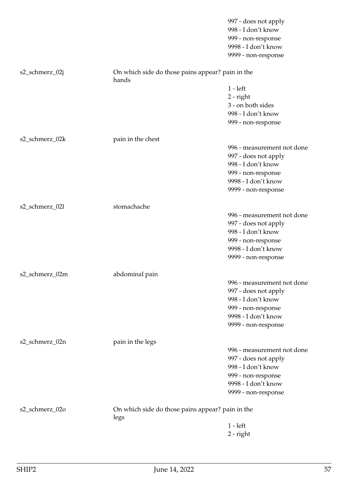|                |                                                           | 997 - does not apply<br>998 - I don't know<br>999 - non-response |
|----------------|-----------------------------------------------------------|------------------------------------------------------------------|
|                |                                                           | 9998 - I don't know<br>9999 - non-response                       |
|                |                                                           |                                                                  |
| s2_schmerz_02j | On which side do those pains appear? pain in the<br>hands |                                                                  |
|                |                                                           | $1 - left$                                                       |
|                |                                                           | $2$ - right                                                      |
|                |                                                           | 3 - on both sides                                                |
|                |                                                           | 998 - I don't know                                               |
|                |                                                           | 999 - non-response                                               |
| s2_schmerz_02k | pain in the chest                                         |                                                                  |
|                |                                                           | 996 - measurement not done                                       |
|                |                                                           | 997 - does not apply                                             |
|                |                                                           | 998 - I don't know                                               |
|                |                                                           | 999 - non-response                                               |
|                |                                                           | 9998 - I don't know                                              |
|                |                                                           | 9999 - non-response                                              |
| s2_schmerz_02l | stomachache                                               |                                                                  |
|                |                                                           | 996 - measurement not done                                       |
|                |                                                           | 997 - does not apply                                             |
|                |                                                           | 998 - I don't know                                               |
|                |                                                           | 999 - non-response                                               |
|                |                                                           | 9998 - I don't know                                              |
|                |                                                           | 9999 - non-response                                              |
| s2_schmerz_02m | abdominal pain                                            |                                                                  |
|                |                                                           | 996 - measurement not done                                       |
|                |                                                           | 997 - does not apply                                             |
|                |                                                           | 998 - I don't know                                               |
|                |                                                           | 999 - non-response                                               |
|                |                                                           | 9998 - I don't know                                              |
|                |                                                           | 9999 - non-response                                              |
| s2_schmerz_02n | pain in the legs                                          |                                                                  |
|                |                                                           | 996 - measurement not done                                       |
|                |                                                           | 997 - does not apply                                             |
|                |                                                           | 998 - I don't know                                               |
|                |                                                           | 999 - non-response                                               |
|                |                                                           | 9998 - I don't know                                              |
|                |                                                           | 9999 - non-response                                              |
| s2_schmerz_02o | On which side do those pains appear? pain in the          |                                                                  |
|                | legs                                                      |                                                                  |
|                |                                                           | $1 - left$                                                       |
|                |                                                           | $2$ - right                                                      |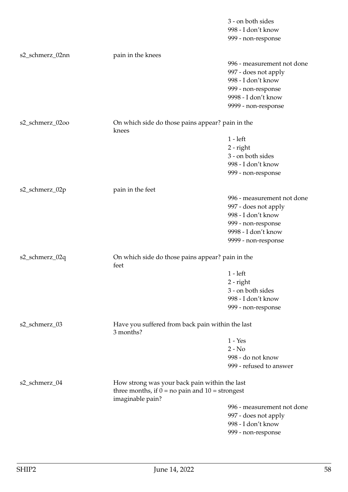| s2_schmerz_02nn<br>pain in the knees<br>996 - measurement not done<br>997 - does not apply<br>998 - I don't know<br>999 - non-response<br>9998 - I don't know<br>9999 - non-response<br>s2_schmerz_02oo<br>On which side do those pains appear? pain in the<br>knees<br>$1 - left$<br>$2$ - right<br>3 - on both sides<br>998 - I don't know<br>999 - non-response<br>pain in the feet<br>s2_schmerz_02p<br>996 - measurement not done<br>997 - does not apply<br>998 - I don't know<br>999 - non-response<br>9998 - I don't know<br>9999 - non-response<br>s2_schmerz_02q<br>On which side do those pains appear? pain in the<br>feet<br>$1 - left$<br>2 - right<br>3 - on both sides<br>998 - I don't know<br>999 - non-response<br>s2_schmerz_03<br>Have you suffered from back pain within the last<br>3 months?<br>$1 - Yes$<br>$2 - No$<br>998 - do not know<br>999 - refused to answer<br>s2_schmerz_04<br>How strong was your back pain within the last<br>three months, if $0 = no$ pain and $10 =$ strongest<br>imaginable pain?<br>996 - measurement not done<br>997 - does not apply<br>998 - I don't know |  | 3 - on both sides<br>998 - I don't know<br>999 - non-response |
|------------------------------------------------------------------------------------------------------------------------------------------------------------------------------------------------------------------------------------------------------------------------------------------------------------------------------------------------------------------------------------------------------------------------------------------------------------------------------------------------------------------------------------------------------------------------------------------------------------------------------------------------------------------------------------------------------------------------------------------------------------------------------------------------------------------------------------------------------------------------------------------------------------------------------------------------------------------------------------------------------------------------------------------------------------------------------------------------------------------------|--|---------------------------------------------------------------|
|                                                                                                                                                                                                                                                                                                                                                                                                                                                                                                                                                                                                                                                                                                                                                                                                                                                                                                                                                                                                                                                                                                                        |  |                                                               |
|                                                                                                                                                                                                                                                                                                                                                                                                                                                                                                                                                                                                                                                                                                                                                                                                                                                                                                                                                                                                                                                                                                                        |  |                                                               |
|                                                                                                                                                                                                                                                                                                                                                                                                                                                                                                                                                                                                                                                                                                                                                                                                                                                                                                                                                                                                                                                                                                                        |  |                                                               |
|                                                                                                                                                                                                                                                                                                                                                                                                                                                                                                                                                                                                                                                                                                                                                                                                                                                                                                                                                                                                                                                                                                                        |  |                                                               |
|                                                                                                                                                                                                                                                                                                                                                                                                                                                                                                                                                                                                                                                                                                                                                                                                                                                                                                                                                                                                                                                                                                                        |  |                                                               |
|                                                                                                                                                                                                                                                                                                                                                                                                                                                                                                                                                                                                                                                                                                                                                                                                                                                                                                                                                                                                                                                                                                                        |  |                                                               |
|                                                                                                                                                                                                                                                                                                                                                                                                                                                                                                                                                                                                                                                                                                                                                                                                                                                                                                                                                                                                                                                                                                                        |  |                                                               |
|                                                                                                                                                                                                                                                                                                                                                                                                                                                                                                                                                                                                                                                                                                                                                                                                                                                                                                                                                                                                                                                                                                                        |  |                                                               |
|                                                                                                                                                                                                                                                                                                                                                                                                                                                                                                                                                                                                                                                                                                                                                                                                                                                                                                                                                                                                                                                                                                                        |  |                                                               |
|                                                                                                                                                                                                                                                                                                                                                                                                                                                                                                                                                                                                                                                                                                                                                                                                                                                                                                                                                                                                                                                                                                                        |  |                                                               |
|                                                                                                                                                                                                                                                                                                                                                                                                                                                                                                                                                                                                                                                                                                                                                                                                                                                                                                                                                                                                                                                                                                                        |  |                                                               |
|                                                                                                                                                                                                                                                                                                                                                                                                                                                                                                                                                                                                                                                                                                                                                                                                                                                                                                                                                                                                                                                                                                                        |  |                                                               |
|                                                                                                                                                                                                                                                                                                                                                                                                                                                                                                                                                                                                                                                                                                                                                                                                                                                                                                                                                                                                                                                                                                                        |  |                                                               |
|                                                                                                                                                                                                                                                                                                                                                                                                                                                                                                                                                                                                                                                                                                                                                                                                                                                                                                                                                                                                                                                                                                                        |  |                                                               |
|                                                                                                                                                                                                                                                                                                                                                                                                                                                                                                                                                                                                                                                                                                                                                                                                                                                                                                                                                                                                                                                                                                                        |  |                                                               |
|                                                                                                                                                                                                                                                                                                                                                                                                                                                                                                                                                                                                                                                                                                                                                                                                                                                                                                                                                                                                                                                                                                                        |  |                                                               |
|                                                                                                                                                                                                                                                                                                                                                                                                                                                                                                                                                                                                                                                                                                                                                                                                                                                                                                                                                                                                                                                                                                                        |  |                                                               |
|                                                                                                                                                                                                                                                                                                                                                                                                                                                                                                                                                                                                                                                                                                                                                                                                                                                                                                                                                                                                                                                                                                                        |  |                                                               |
|                                                                                                                                                                                                                                                                                                                                                                                                                                                                                                                                                                                                                                                                                                                                                                                                                                                                                                                                                                                                                                                                                                                        |  |                                                               |
|                                                                                                                                                                                                                                                                                                                                                                                                                                                                                                                                                                                                                                                                                                                                                                                                                                                                                                                                                                                                                                                                                                                        |  |                                                               |
|                                                                                                                                                                                                                                                                                                                                                                                                                                                                                                                                                                                                                                                                                                                                                                                                                                                                                                                                                                                                                                                                                                                        |  |                                                               |
|                                                                                                                                                                                                                                                                                                                                                                                                                                                                                                                                                                                                                                                                                                                                                                                                                                                                                                                                                                                                                                                                                                                        |  |                                                               |
|                                                                                                                                                                                                                                                                                                                                                                                                                                                                                                                                                                                                                                                                                                                                                                                                                                                                                                                                                                                                                                                                                                                        |  |                                                               |
|                                                                                                                                                                                                                                                                                                                                                                                                                                                                                                                                                                                                                                                                                                                                                                                                                                                                                                                                                                                                                                                                                                                        |  |                                                               |
|                                                                                                                                                                                                                                                                                                                                                                                                                                                                                                                                                                                                                                                                                                                                                                                                                                                                                                                                                                                                                                                                                                                        |  |                                                               |
|                                                                                                                                                                                                                                                                                                                                                                                                                                                                                                                                                                                                                                                                                                                                                                                                                                                                                                                                                                                                                                                                                                                        |  |                                                               |
|                                                                                                                                                                                                                                                                                                                                                                                                                                                                                                                                                                                                                                                                                                                                                                                                                                                                                                                                                                                                                                                                                                                        |  |                                                               |
|                                                                                                                                                                                                                                                                                                                                                                                                                                                                                                                                                                                                                                                                                                                                                                                                                                                                                                                                                                                                                                                                                                                        |  |                                                               |
|                                                                                                                                                                                                                                                                                                                                                                                                                                                                                                                                                                                                                                                                                                                                                                                                                                                                                                                                                                                                                                                                                                                        |  |                                                               |
|                                                                                                                                                                                                                                                                                                                                                                                                                                                                                                                                                                                                                                                                                                                                                                                                                                                                                                                                                                                                                                                                                                                        |  |                                                               |
|                                                                                                                                                                                                                                                                                                                                                                                                                                                                                                                                                                                                                                                                                                                                                                                                                                                                                                                                                                                                                                                                                                                        |  |                                                               |
|                                                                                                                                                                                                                                                                                                                                                                                                                                                                                                                                                                                                                                                                                                                                                                                                                                                                                                                                                                                                                                                                                                                        |  |                                                               |
|                                                                                                                                                                                                                                                                                                                                                                                                                                                                                                                                                                                                                                                                                                                                                                                                                                                                                                                                                                                                                                                                                                                        |  | 999 - non-response                                            |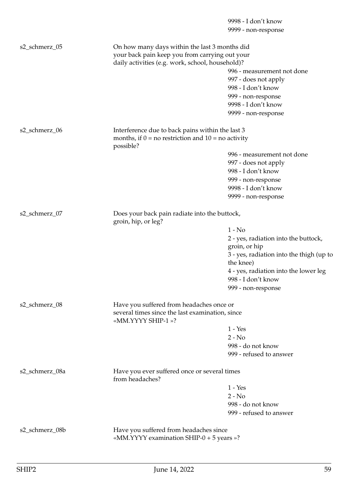9998 - I don't know 9999 - non-response s2\_schmerz\_05 On how many days within the last 3 months did your back pain keep you from carrying out your daily activities (e.g. work, school, household)? 996 - measurement not done 997 - does not apply 998 - I don't know 999 - non-response 9998 - I don't know 9999 - non-response s2\_schmerz\_06 Interference due to back pains within the last 3 months, if  $0 =$  no restriction and  $10 =$  no activity possible? 996 - measurement not done 997 - does not apply 998 - I don't know 999 - non-response 9998 - I don't know 9999 - non-response s2\_schmerz\_07 Does your back pain radiate into the buttock, groin, hip, or leg? 1 - No 2 - yes, radiation into the buttock, groin, or hip 3 - yes, radiation into the thigh (up to the knee) 4 - yes, radiation into the lower leg 998 - I don't know 999 - non-response s2\_schmerz\_08 Have you suffered from headaches once or several times since the last examination, since «MM.YYYY SHIP-1 »? 1 - Yes  $2 - No$ 998 - do not know 999 - refused to answer s2\_schmerz\_08a Have you ever suffered once or several times from headaches? 1 - Yes  $2 - No$ 998 - do not know 999 - refused to answer s2\_schmerz\_08b Have you suffered from headaches since «MM.YYYY examination SHIP-0 + 5 years »?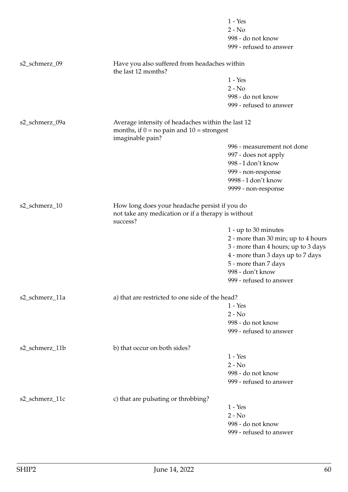|                |                                                                                                                        | $1 - Yes$                           |
|----------------|------------------------------------------------------------------------------------------------------------------------|-------------------------------------|
|                |                                                                                                                        | $2 - No$                            |
|                |                                                                                                                        | 998 - do not know                   |
|                |                                                                                                                        | 999 - refused to answer             |
| s2_schmerz_09  | Have you also suffered from headaches within<br>the last 12 months?                                                    |                                     |
|                |                                                                                                                        | $1 - Yes$                           |
|                |                                                                                                                        | $2 - No$                            |
|                |                                                                                                                        | 998 - do not know                   |
|                |                                                                                                                        | 999 - refused to answer             |
| s2_schmerz_09a | Average intensity of headaches within the last 12<br>months, if $0 = no$ pain and $10 =$ strongest<br>imaginable pain? |                                     |
|                |                                                                                                                        | 996 - measurement not done          |
|                |                                                                                                                        | 997 - does not apply                |
|                |                                                                                                                        | 998 - I don't know                  |
|                |                                                                                                                        | 999 - non-response                  |
|                |                                                                                                                        | 9998 - I don't know                 |
|                |                                                                                                                        | 9999 - non-response                 |
| s2_schmerz_10  | How long does your headache persist if you do<br>not take any medication or if a therapy is without                    |                                     |
|                | success?                                                                                                               |                                     |
|                |                                                                                                                        | 1 - up to 30 minutes                |
|                |                                                                                                                        | 2 - more than 30 min; up to 4 hours |
|                |                                                                                                                        | 3 - more than 4 hours; up to 3 days |
|                |                                                                                                                        | 4 - more than 3 days up to 7 days   |
|                |                                                                                                                        | 5 - more than 7 days                |
|                |                                                                                                                        | 998 - don't know                    |
|                |                                                                                                                        | 999 - refused to answer             |
| s2_schmerz_11a | a) that are restricted to one side of the head?                                                                        |                                     |
|                |                                                                                                                        | $1 - Yes$                           |
|                |                                                                                                                        | $2 - No$                            |
|                |                                                                                                                        | 998 - do not know                   |
|                |                                                                                                                        | 999 - refused to answer             |
| s2_schmerz_11b | b) that occur on both sides?                                                                                           |                                     |
|                |                                                                                                                        | $1 - Yes$                           |
|                |                                                                                                                        | $2 - No$                            |
|                |                                                                                                                        | 998 - do not know                   |
|                |                                                                                                                        | 999 - refused to answer             |
| s2_schmerz_11c | c) that are pulsating or throbbing?                                                                                    |                                     |
|                |                                                                                                                        | $1 - Yes$                           |
|                |                                                                                                                        | $2 - No$                            |
|                |                                                                                                                        | 998 - do not know                   |
|                |                                                                                                                        | 999 - refused to answer             |
|                |                                                                                                                        |                                     |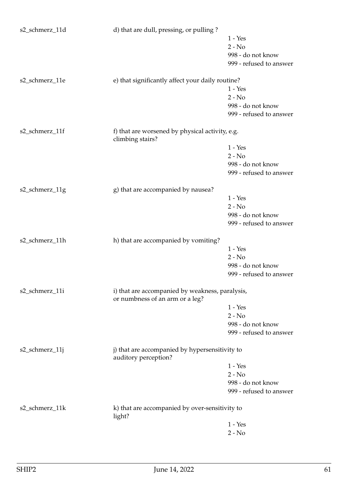| s2_schmerz_11d | d) that are dull, pressing, or pulling?                                |                         |
|----------------|------------------------------------------------------------------------|-------------------------|
|                |                                                                        | $1 - Yes$               |
|                |                                                                        | $2 - No$                |
|                |                                                                        | 998 - do not know       |
|                |                                                                        | 999 - refused to answer |
|                |                                                                        |                         |
| s2_schmerz_11e | e) that significantly affect your daily routine?                       |                         |
|                |                                                                        | $1 - Yes$               |
|                |                                                                        | $2 - No$                |
|                |                                                                        | 998 - do not know       |
|                |                                                                        | 999 - refused to answer |
| s2_schmerz_11f | f) that are worsened by physical activity, e.g.                        |                         |
|                | climbing stairs?                                                       |                         |
|                |                                                                        | $1 - Yes$               |
|                |                                                                        | $2 - No$                |
|                |                                                                        | 998 - do not know       |
|                |                                                                        | 999 - refused to answer |
|                |                                                                        |                         |
| s2_schmerz_11g | g) that are accompanied by nausea?                                     |                         |
|                |                                                                        | $1 - Yes$               |
|                |                                                                        | $2 - No$                |
|                |                                                                        | 998 - do not know       |
|                |                                                                        | 999 - refused to answer |
| s2_schmerz_11h | h) that are accompanied by vomiting?                                   |                         |
|                |                                                                        | $1 - Yes$               |
|                |                                                                        | $2 - No$                |
|                |                                                                        | 998 - do not know       |
|                |                                                                        | 999 - refused to answer |
|                |                                                                        |                         |
| s2_schmerz_11i | i) that are accompanied by weakness, paralysis,                        |                         |
|                | or numbness of an arm or a leg?                                        |                         |
|                |                                                                        | $1 - Yes$               |
|                |                                                                        | $2 - No$                |
|                |                                                                        | 998 - do not know       |
|                |                                                                        | 999 - refused to answer |
| s2_schmerz_11j | j) that are accompanied by hypersensitivity to<br>auditory perception? |                         |
|                |                                                                        | $1 - Yes$               |
|                |                                                                        | $2 - No$                |
|                |                                                                        | 998 - do not know       |
|                |                                                                        | 999 - refused to answer |
|                |                                                                        |                         |
| s2_schmerz_11k | k) that are accompanied by over-sensitivity to                         |                         |
|                | light?                                                                 |                         |
|                |                                                                        | $1 - Yes$               |
|                |                                                                        | $2 - No$                |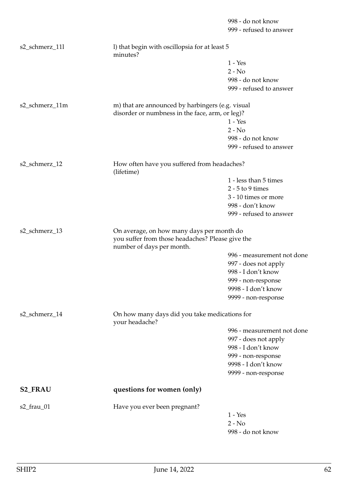|                |                                                                               | 998 - do not know<br>999 - refused to answer |
|----------------|-------------------------------------------------------------------------------|----------------------------------------------|
| s2_schmerz_111 | I) that begin with oscillopsia for at least 5<br>minutes?                     |                                              |
|                |                                                                               | $1 - Yes$                                    |
|                |                                                                               | $2 - No$                                     |
|                |                                                                               | 998 - do not know                            |
|                |                                                                               | 999 - refused to answer                      |
| s2_schmerz_11m | m) that are announced by harbingers (e.g. visual                              |                                              |
|                | disorder or numbness in the face, arm, or leg)?                               |                                              |
|                |                                                                               | $1 - Yes$                                    |
|                |                                                                               | $2 - No$                                     |
|                |                                                                               | 998 - do not know                            |
|                |                                                                               | 999 - refused to answer                      |
| s2_schmerz_12  | How often have you suffered from headaches?<br>(lifetime)                     |                                              |
|                |                                                                               | 1 - less than 5 times                        |
|                |                                                                               | $2 - 5$ to 9 times                           |
|                |                                                                               | 3 - 10 times or more                         |
|                |                                                                               | 998 - don't know                             |
|                |                                                                               | 999 - refused to answer                      |
|                |                                                                               |                                              |
| s2_schmerz_13  | On average, on how many days per month do                                     |                                              |
|                | you suffer from those headaches? Please give the<br>number of days per month. |                                              |
|                |                                                                               | 996 - measurement not done                   |
|                |                                                                               | 997 - does not apply                         |
|                |                                                                               | 998 - I don't know                           |
|                |                                                                               | 999 - non-response                           |
|                |                                                                               | 9998 - I don't know                          |
|                |                                                                               | 9999 - non-response                          |
| s2_schmerz_14  | On how many days did you take medications for<br>your headache?               |                                              |
|                |                                                                               | 996 - measurement not done                   |
|                |                                                                               | 997 - does not apply                         |
|                |                                                                               | 998 - I don't know                           |
|                |                                                                               | 999 - non-response                           |
|                |                                                                               | 9998 - I don't know                          |
|                |                                                                               | 9999 - non-response                          |
| <b>S2_FRAU</b> | questions for women (only)                                                    |                                              |
| $s2$ _frau_01  | Have you ever been pregnant?                                                  |                                              |
|                |                                                                               | $1 - Yes$                                    |
|                |                                                                               | $2 - No$                                     |
|                |                                                                               | 998 - do not know                            |
|                |                                                                               |                                              |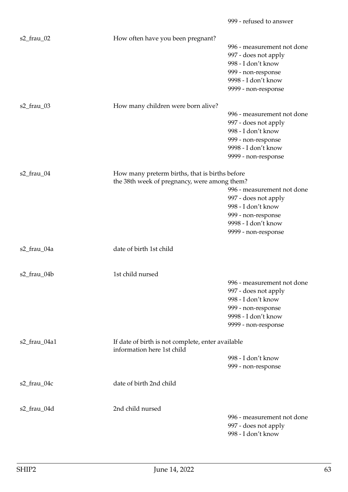|               |                                                                                                | 999 - refused to answer                                                                                                                      |
|---------------|------------------------------------------------------------------------------------------------|----------------------------------------------------------------------------------------------------------------------------------------------|
| s2_frau_02    | How often have you been pregnant?                                                              | 996 - measurement not done<br>997 - does not apply<br>998 - I don't know<br>999 - non-response<br>9998 - I don't know<br>9999 - non-response |
| $s2$ _frau_03 | How many children were born alive?                                                             | 996 - measurement not done<br>997 - does not apply<br>998 - I don't know<br>999 - non-response<br>9998 - I don't know<br>9999 - non-response |
| s2_frau_04    | How many preterm births, that is births before<br>the 38th week of pregnancy, were among them? | 996 - measurement not done<br>997 - does not apply<br>998 - I don't know<br>999 - non-response<br>9998 - I don't know<br>9999 - non-response |
| s2_frau_04a   | date of birth 1st child                                                                        |                                                                                                                                              |
| s2_frau_04b   | 1st child nursed                                                                               | 996 - measurement not done<br>997 - does not apply<br>998 - I don't know<br>999 - non-response<br>9998 - I don't know<br>9999 - non-response |
| s2_frau_04a1  | If date of birth is not complete, enter available<br>information here 1st child                | 998 - I don't know<br>999 - non-response                                                                                                     |
| s2_frau_04c   | date of birth 2nd child                                                                        |                                                                                                                                              |
| s2_frau_04d   | 2nd child nursed                                                                               | 996 - measurement not done<br>997 - does not apply<br>998 - I don't know                                                                     |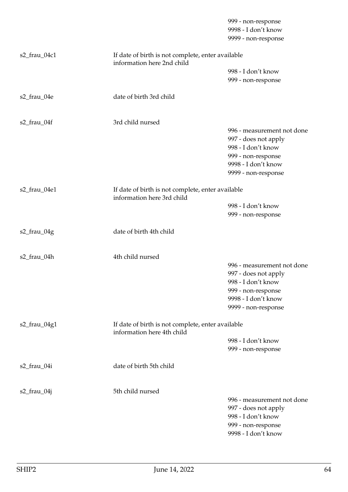|                                                                   |                                                                                 | 999 - non-response<br>9998 - I don't know<br>9999 - non-response |
|-------------------------------------------------------------------|---------------------------------------------------------------------------------|------------------------------------------------------------------|
| s2_frau_04c1                                                      | If date of birth is not complete, enter available<br>information here 2nd child |                                                                  |
|                                                                   |                                                                                 | 998 - I don't know                                               |
|                                                                   |                                                                                 | 999 - non-response                                               |
| s2_frau_04e                                                       | date of birth 3rd child                                                         |                                                                  |
| s2_frau_04f                                                       | 3rd child nursed                                                                |                                                                  |
|                                                                   |                                                                                 | 996 - measurement not done                                       |
|                                                                   |                                                                                 | 997 - does not apply                                             |
|                                                                   |                                                                                 | 998 - I don't know                                               |
|                                                                   |                                                                                 | 999 - non-response<br>9998 - I don't know                        |
|                                                                   |                                                                                 | 9999 - non-response                                              |
|                                                                   |                                                                                 |                                                                  |
| s2_frau_04e1<br>If date of birth is not complete, enter available |                                                                                 |                                                                  |
|                                                                   | information here 3rd child                                                      | 998 - I don't know                                               |
|                                                                   |                                                                                 | 999 - non-response                                               |
|                                                                   |                                                                                 |                                                                  |
| s2_frau_04g                                                       | date of birth 4th child                                                         |                                                                  |
|                                                                   |                                                                                 |                                                                  |
| s2_frau_04h                                                       | 4th child nursed                                                                |                                                                  |
|                                                                   |                                                                                 | 996 - measurement not done                                       |
|                                                                   |                                                                                 | 997 - does not apply                                             |
|                                                                   |                                                                                 | 998 - I don't know                                               |
|                                                                   |                                                                                 | 999 - non-response                                               |
|                                                                   |                                                                                 | 9998 - I don't know                                              |
|                                                                   |                                                                                 | 9999 - non-response                                              |
| s2_frau_04g1                                                      | If date of birth is not complete, enter available<br>information here 4th child |                                                                  |
|                                                                   |                                                                                 | 998 - I don't know                                               |
|                                                                   |                                                                                 | 999 - non-response                                               |
| s2_frau_04i                                                       | date of birth 5th child                                                         |                                                                  |
|                                                                   |                                                                                 |                                                                  |
| $s2$ _frau_04j                                                    | 5th child nursed                                                                | 996 - measurement not done                                       |
|                                                                   |                                                                                 | 997 - does not apply                                             |
|                                                                   |                                                                                 | 998 - I don't know                                               |
|                                                                   |                                                                                 | 999 - non-response                                               |
|                                                                   |                                                                                 | 9998 - I don't know                                              |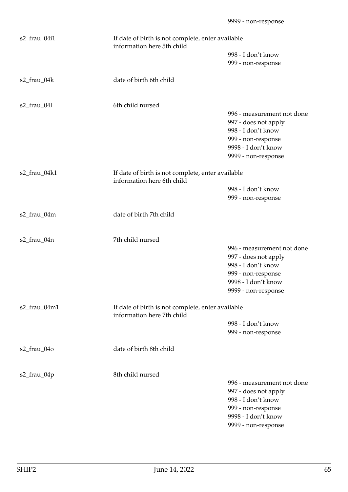| s2_frau_04i1                                                                                    | If date of birth is not complete, enter available<br>information here 5th child |                                                   |  |
|-------------------------------------------------------------------------------------------------|---------------------------------------------------------------------------------|---------------------------------------------------|--|
|                                                                                                 |                                                                                 | 998 - I don't know                                |  |
|                                                                                                 |                                                                                 | 999 - non-response                                |  |
| s2_frau_04k                                                                                     | date of birth 6th child                                                         |                                                   |  |
|                                                                                                 |                                                                                 |                                                   |  |
| $s2$ _frau_04l                                                                                  | 6th child nursed                                                                |                                                   |  |
|                                                                                                 |                                                                                 | 996 - measurement not done                        |  |
|                                                                                                 |                                                                                 | 997 - does not apply                              |  |
|                                                                                                 |                                                                                 | 998 - I don't know                                |  |
|                                                                                                 |                                                                                 | 999 - non-response                                |  |
|                                                                                                 |                                                                                 | 9998 - I don't know                               |  |
|                                                                                                 |                                                                                 | 9999 - non-response                               |  |
| s2_frau_04k1                                                                                    | information here 6th child                                                      | If date of birth is not complete, enter available |  |
|                                                                                                 |                                                                                 | 998 - I don't know                                |  |
|                                                                                                 |                                                                                 | 999 - non-response                                |  |
| s2_frau_04m                                                                                     | date of birth 7th child                                                         |                                                   |  |
| s2_frau_04n                                                                                     | 7th child nursed                                                                |                                                   |  |
|                                                                                                 |                                                                                 | 996 - measurement not done                        |  |
|                                                                                                 |                                                                                 | 997 - does not apply                              |  |
|                                                                                                 |                                                                                 | 998 - I don't know                                |  |
|                                                                                                 |                                                                                 | 999 - non-response                                |  |
|                                                                                                 |                                                                                 | 9998 - I don't know                               |  |
|                                                                                                 |                                                                                 | 9999 - non-response                               |  |
| s2_frau_04m1<br>If date of birth is not complete, enter available<br>information here 7th child |                                                                                 |                                                   |  |
|                                                                                                 |                                                                                 | 998 - I don't know                                |  |
|                                                                                                 |                                                                                 | 999 - non-response                                |  |
| s2_frau_04o                                                                                     | date of birth 8th child                                                         |                                                   |  |
| s2_frau_04p                                                                                     | 8th child nursed                                                                |                                                   |  |
|                                                                                                 |                                                                                 | 996 - measurement not done                        |  |
|                                                                                                 |                                                                                 | 997 - does not apply                              |  |
|                                                                                                 |                                                                                 | 998 - I don't know                                |  |
|                                                                                                 |                                                                                 | 999 - non-response                                |  |
|                                                                                                 |                                                                                 | 9998 - I don't know                               |  |
|                                                                                                 |                                                                                 | 9999 - non-response                               |  |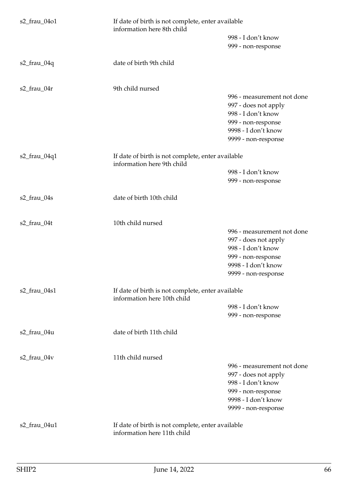| s2_frau_04o1      | If date of birth is not complete, enter available<br>information here 8th child  |                                                    |
|-------------------|----------------------------------------------------------------------------------|----------------------------------------------------|
|                   |                                                                                  | 998 - I don't know<br>999 - non-response           |
| $s2$ _frau_04q    | date of birth 9th child                                                          |                                                    |
| s2_frau_04r       | 9th child nursed                                                                 | 996 - measurement not done<br>997 - does not apply |
|                   |                                                                                  | 998 - I don't know<br>999 - non-response           |
|                   |                                                                                  | 9998 - I don't know<br>9999 - non-response         |
| s2_frau_04q1      | If date of birth is not complete, enter available<br>information here 9th child  |                                                    |
|                   |                                                                                  | 998 - I don't know<br>999 - non-response           |
| s2_frau_04s       | date of birth 10th child                                                         |                                                    |
| s2_frau_04t       | 10th child nursed                                                                | 996 - measurement not done                         |
|                   |                                                                                  | 997 - does not apply                               |
|                   |                                                                                  | 998 - I don't know<br>999 - non-response           |
|                   |                                                                                  | 9998 - I don't know                                |
|                   |                                                                                  | 9999 - non-response                                |
| s2_frau_04s1      | If date of birth is not complete, enter available<br>information here 10th child |                                                    |
|                   |                                                                                  | 998 - I don't know<br>999 - non-response           |
| s2_frau_04u       | date of birth 11th child                                                         |                                                    |
| $s2$ _frau_04 $v$ | 11th child nursed                                                                | 996 - measurement not done                         |
|                   |                                                                                  | 997 - does not apply                               |
|                   |                                                                                  | 998 - I don't know<br>999 - non-response           |
|                   |                                                                                  | 9998 - I don't know<br>9999 - non-response         |
| s2_frau_04u1      | If date of birth is not complete, enter available<br>information here 11th child |                                                    |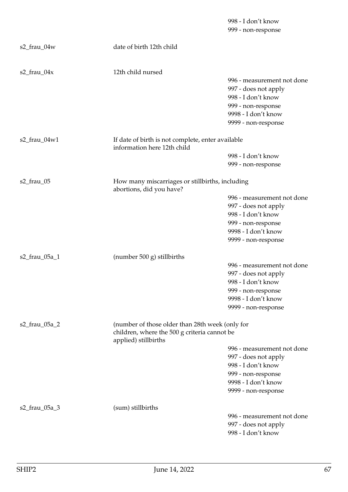|                                                                                                                                          |                                                                                  | 998 - I don't know<br>999 - non-response                                                                                                     |
|------------------------------------------------------------------------------------------------------------------------------------------|----------------------------------------------------------------------------------|----------------------------------------------------------------------------------------------------------------------------------------------|
| s2_frau_04w                                                                                                                              | date of birth 12th child                                                         |                                                                                                                                              |
| $s2$ _frau_04x                                                                                                                           | 12th child nursed                                                                | 996 - measurement not done<br>997 - does not apply<br>998 - I don't know<br>999 - non-response<br>9998 - I don't know<br>9999 - non-response |
| s2_frau_04w1                                                                                                                             | If date of birth is not complete, enter available<br>information here 12th child |                                                                                                                                              |
|                                                                                                                                          |                                                                                  | 998 - I don't know<br>999 - non-response                                                                                                     |
| s2_frau_05                                                                                                                               | How many miscarriages or stillbirths, including<br>abortions, did you have?      |                                                                                                                                              |
|                                                                                                                                          |                                                                                  | 996 - measurement not done<br>997 - does not apply<br>998 - I don't know<br>999 - non-response<br>9998 - I don't know<br>9999 - non-response |
| s2_frau_05a_1                                                                                                                            | (number $500$ g) stillbirths                                                     | 996 - measurement not done<br>997 - does not apply<br>998 - I don't know<br>999 - non-response<br>9998 - I don't know<br>9999 - non-response |
| s2_frau_05a_2<br>(number of those older than 28th week (only for<br>children, where the 500 g criteria cannot be<br>applied) stillbirths |                                                                                  |                                                                                                                                              |
|                                                                                                                                          |                                                                                  | 996 - measurement not done<br>997 - does not apply<br>998 - I don't know<br>999 - non-response<br>9998 - I don't know<br>9999 - non-response |
| s2_frau_05a_3                                                                                                                            | (sum) stillbirths                                                                | 996 - measurement not done<br>997 - does not apply<br>998 - I don't know                                                                     |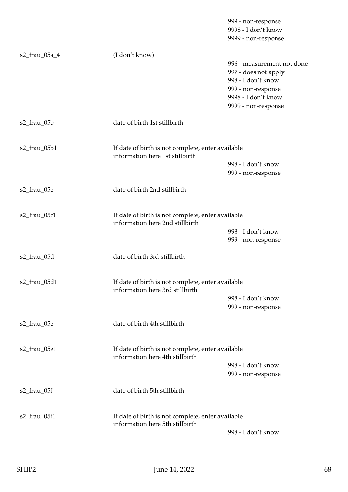|               |                                                                                      | 999 - non-response<br>9998 - I don't know<br>9999 - non-response                                                                             |
|---------------|--------------------------------------------------------------------------------------|----------------------------------------------------------------------------------------------------------------------------------------------|
| s2_frau_05a_4 | (I don't know)                                                                       | 996 - measurement not done<br>997 - does not apply<br>998 - I don't know<br>999 - non-response<br>9998 - I don't know<br>9999 - non-response |
| s2_frau_05b   | date of birth 1st stillbirth                                                         |                                                                                                                                              |
| s2_frau_05b1  | If date of birth is not complete, enter available<br>information here 1st stillbirth | 998 - I don't know<br>999 - non-response                                                                                                     |
| s2_frau_05c   | date of birth 2nd stillbirth                                                         |                                                                                                                                              |
| s2_frau_05c1  | If date of birth is not complete, enter available<br>information here 2nd stillbirth | 998 - I don't know<br>999 - non-response                                                                                                     |
| s2_frau_05d   | date of birth 3rd stillbirth                                                         |                                                                                                                                              |
| s2_frau_05d1  | If date of birth is not complete, enter available<br>information here 3rd stillbirth | 998 - I don't know<br>999 - non-response                                                                                                     |
| s2_frau_05e   | date of birth 4th stillbirth                                                         |                                                                                                                                              |
| s2_frau_05e1  | If date of birth is not complete, enter available<br>information here 4th stillbirth | 998 - I don't know<br>999 - non-response                                                                                                     |
| s2_frau_05f   | date of birth 5th stillbirth                                                         |                                                                                                                                              |
| s2_frau_05f1  | If date of birth is not complete, enter available<br>information here 5th stillbirth | 998 - I don't know                                                                                                                           |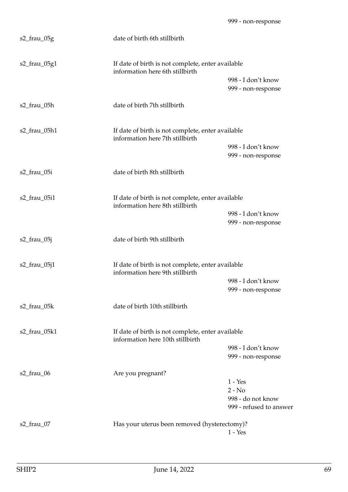| s2_frau_05g        | date of birth 6th stillbirth                                                          |                                                                       |
|--------------------|---------------------------------------------------------------------------------------|-----------------------------------------------------------------------|
| s2_frau_05g1       | If date of birth is not complete, enter available<br>information here 6th stillbirth  |                                                                       |
|                    |                                                                                       | 998 - I don't know<br>999 - non-response                              |
| s2_frau_05h        | date of birth 7th stillbirth                                                          |                                                                       |
| s2_frau_05h1       | If date of birth is not complete, enter available<br>information here 7th stillbirth  |                                                                       |
|                    |                                                                                       | 998 - I don't know<br>999 - non-response                              |
| s2_frau_05i        | date of birth 8th stillbirth                                                          |                                                                       |
| s2_frau_05i1       | If date of birth is not complete, enter available<br>information here 8th stillbirth  |                                                                       |
|                    |                                                                                       | 998 - I don't know<br>999 - non-response                              |
| s2_frau_05j        | date of birth 9th stillbirth                                                          |                                                                       |
| $s2$ _frau_05 $j1$ | If date of birth is not complete, enter available<br>information here 9th stillbirth  |                                                                       |
|                    |                                                                                       | 998 - I don't know<br>999 - non-response                              |
| s2_frau_05k        | date of birth 10th stillbirth                                                         |                                                                       |
| s2_frau_05k1       | If date of birth is not complete, enter available<br>information here 10th stillbirth |                                                                       |
|                    |                                                                                       | 998 - I don't know<br>999 - non-response                              |
| s2_frau_06         | Are you pregnant?                                                                     | $1 - Yes$<br>$2 - No$<br>998 - do not know<br>999 - refused to answer |
| s2_frau_07         | Has your uterus been removed (hysterectomy)?                                          | $1 - Yes$                                                             |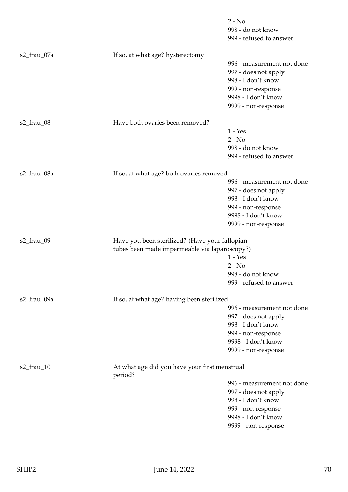|               |                                                                                                 | $2 - No$<br>998 - do not know<br>999 - refused to answer                                                                                     |
|---------------|-------------------------------------------------------------------------------------------------|----------------------------------------------------------------------------------------------------------------------------------------------|
| s2_frau_07a   | If so, at what age? hysterectomy                                                                | 996 - measurement not done<br>997 - does not apply<br>998 - I don't know<br>999 - non-response<br>9998 - I don't know                        |
|               |                                                                                                 | 9999 - non-response                                                                                                                          |
| s2_frau_08    | Have both ovaries been removed?                                                                 |                                                                                                                                              |
|               |                                                                                                 | $1 - Yes$<br>$2 - No$<br>998 - do not know<br>999 - refused to answer                                                                        |
| s2_frau_08a   | If so, at what age? both ovaries removed                                                        |                                                                                                                                              |
|               |                                                                                                 | 996 - measurement not done<br>997 - does not apply<br>998 - I don't know<br>999 - non-response<br>9998 - I don't know<br>9999 - non-response |
| s2_frau_09    | Have you been sterilized? (Have your fallopian<br>tubes been made impermeable via laparoscopy?) |                                                                                                                                              |
|               |                                                                                                 | $1 - Yes$                                                                                                                                    |
|               |                                                                                                 | $2 - No$<br>998 - do not know                                                                                                                |
|               |                                                                                                 | 999 - refused to answer                                                                                                                      |
| s2_frau_09a   | If so, at what age? having been sterilized                                                      |                                                                                                                                              |
|               |                                                                                                 | 996 - measurement not done<br>997 - does not apply<br>998 - I don't know<br>999 - non-response<br>9998 - I don't know<br>9999 - non-response |
| $s2$ _frau_10 | At what age did you have your first menstrual<br>period?                                        |                                                                                                                                              |
|               |                                                                                                 | 996 - measurement not done<br>997 - does not apply<br>998 - I don't know<br>999 - non-response<br>9998 - I don't know<br>9999 - non-response |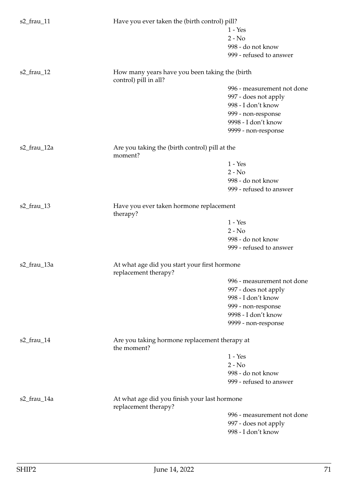| $s2$ _frau_11 | Have you ever taken the (birth control) pill?                        |                                               |  |
|---------------|----------------------------------------------------------------------|-----------------------------------------------|--|
|               |                                                                      | $1 - Yes$                                     |  |
|               |                                                                      | $2 - No$                                      |  |
|               |                                                                      | 998 - do not know                             |  |
|               |                                                                      | 999 - refused to answer                       |  |
| $s2$ _frau_12 | How many years have you been taking the (birth                       |                                               |  |
|               | control) pill in all?                                                |                                               |  |
|               |                                                                      | 996 - measurement not done                    |  |
|               |                                                                      | 997 - does not apply                          |  |
|               |                                                                      | 998 - I don't know                            |  |
|               |                                                                      | 999 - non-response                            |  |
|               |                                                                      | 9998 - I don't know                           |  |
|               |                                                                      | 9999 - non-response                           |  |
| s2_frau_12a   | Are you taking the (birth control) pill at the<br>moment?            |                                               |  |
|               |                                                                      | $1 - Yes$                                     |  |
|               |                                                                      | $2 - No$                                      |  |
|               |                                                                      | 998 - do not know                             |  |
|               |                                                                      | 999 - refused to answer                       |  |
|               |                                                                      |                                               |  |
| s2_frau_13    | Have you ever taken hormone replacement<br>therapy?                  |                                               |  |
|               |                                                                      | $1 - Yes$                                     |  |
|               |                                                                      | $2 - No$                                      |  |
|               |                                                                      | 998 - do not know                             |  |
|               |                                                                      | 999 - refused to answer                       |  |
| s2_frau_13a   | At what age did you start your first hormone<br>replacement therapy? |                                               |  |
|               |                                                                      | 996 - measurement not done                    |  |
|               |                                                                      | 997 - does not apply                          |  |
|               |                                                                      | 998 - I don't know                            |  |
|               |                                                                      | 999 - non-response                            |  |
|               |                                                                      | 9998 - I don't know                           |  |
|               |                                                                      |                                               |  |
|               |                                                                      | 9999 - non-response                           |  |
| $s2$ _frau_14 | the moment?                                                          | Are you taking hormone replacement therapy at |  |
|               |                                                                      | $1 - Yes$                                     |  |
|               |                                                                      | $2 - No$                                      |  |
|               |                                                                      | 998 - do not know                             |  |
|               |                                                                      | 999 - refused to answer                       |  |
| s2_frau_14a   | At what age did you finish your last hormone<br>replacement therapy? |                                               |  |
|               |                                                                      | 996 - measurement not done                    |  |
|               |                                                                      | 997 - does not apply                          |  |
|               |                                                                      | 998 - I don't know                            |  |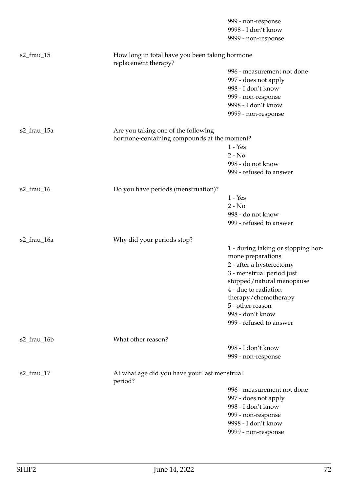|             |                                                                        | 999 - non-response                 |
|-------------|------------------------------------------------------------------------|------------------------------------|
|             |                                                                        | 9998 - I don't know                |
|             |                                                                        | 9999 - non-response                |
| s2_frau_15  | How long in total have you been taking hormone<br>replacement therapy? |                                    |
|             |                                                                        | 996 - measurement not done         |
|             |                                                                        | 997 - does not apply               |
|             |                                                                        | 998 - I don't know                 |
|             |                                                                        | 999 - non-response                 |
|             |                                                                        | 9998 - I don't know                |
|             |                                                                        | 9999 - non-response                |
| s2_frau_15a | Are you taking one of the following                                    |                                    |
|             | hormone-containing compounds at the moment?                            |                                    |
|             |                                                                        | $1 - Yes$                          |
|             |                                                                        | $2 - No$                           |
|             |                                                                        | 998 - do not know                  |
|             |                                                                        | 999 - refused to answer            |
| s2_frau_16  | Do you have periods (menstruation)?                                    |                                    |
|             |                                                                        | $1 - Yes$                          |
|             |                                                                        | $2 - No$                           |
|             |                                                                        | 998 - do not know                  |
|             |                                                                        | 999 - refused to answer            |
| s2_frau_16a | Why did your periods stop?                                             |                                    |
|             |                                                                        | 1 - during taking or stopping hor- |
|             |                                                                        | mone preparations                  |
|             |                                                                        | 2 - after a hysterectomy           |
|             |                                                                        | 3 - menstrual period just          |
|             |                                                                        | stopped/natural menopause          |
|             |                                                                        | 4 - due to radiation               |
|             |                                                                        | therapy/chemotherapy               |
|             |                                                                        | 5 - other reason                   |
|             |                                                                        | 998 - don't know                   |
|             |                                                                        | 999 - refused to answer            |
| s2_frau_16b | What other reason?                                                     |                                    |
|             |                                                                        | 998 - I don't know                 |
|             |                                                                        | 999 - non-response                 |
| s2_frau_17  | At what age did you have your last menstrual<br>period?                |                                    |
|             |                                                                        | 996 - measurement not done         |
|             |                                                                        | 997 - does not apply               |
|             |                                                                        | 998 - I don't know                 |
|             |                                                                        | 999 - non-response                 |
|             |                                                                        | 9998 - I don't know                |
|             |                                                                        | 9999 - non-response                |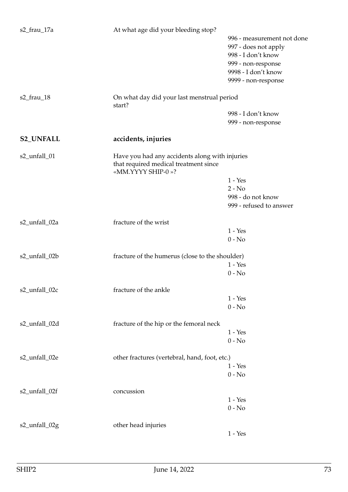| s2_frau_17a      | At what age did your bleeding stop?                        |                            |
|------------------|------------------------------------------------------------|----------------------------|
|                  |                                                            | 996 - measurement not done |
|                  |                                                            | 997 - does not apply       |
|                  |                                                            | 998 - I don't know         |
|                  |                                                            | 999 - non-response         |
|                  |                                                            | 9998 - I don't know        |
|                  |                                                            | 9999 - non-response        |
| s2_frau_18       | On what day did your last menstrual period<br>start?       |                            |
|                  |                                                            | 998 - I don't know         |
|                  |                                                            | 999 - non-response         |
| <b>S2_UNFALL</b> | accidents, injuries                                        |                            |
| s2_unfall_01     | Have you had any accidents along with injuries             |                            |
|                  | that required medical treatment since<br>«MM.YYYY SHIP-0»? |                            |
|                  |                                                            | $1 - Yes$                  |
|                  |                                                            |                            |
|                  |                                                            | $2 - No$                   |
|                  |                                                            | 998 - do not know          |
|                  |                                                            | 999 - refused to answer    |
| s2_unfall_02a    | fracture of the wrist                                      |                            |
|                  |                                                            | $1 - Yes$                  |
|                  |                                                            | $0 - No$                   |
| s2_unfall_02b    | fracture of the humerus (close to the shoulder)            |                            |
|                  |                                                            | $1 - Yes$                  |
|                  |                                                            | $0 - No$                   |
| s2_unfall_02c    | fracture of the ankle                                      |                            |
|                  |                                                            | $1 - Yes$                  |
|                  |                                                            | $0 - No$                   |
| s2_unfall_02d    | fracture of the hip or the femoral neck                    |                            |
|                  |                                                            | $1 - Yes$                  |
|                  |                                                            | $0 - No$                   |
| s2_unfall_02e    | other fractures (vertebral, hand, foot, etc.)              |                            |
|                  |                                                            | $1 - Yes$                  |
|                  |                                                            | $0 - No$                   |
| s2_unfall_02f    | concussion                                                 |                            |
|                  |                                                            | $1 - Yes$                  |
|                  |                                                            | $0 - No$                   |
|                  |                                                            |                            |
| s2_unfall_02g    | other head injuries                                        |                            |
|                  |                                                            | $1 - Yes$                  |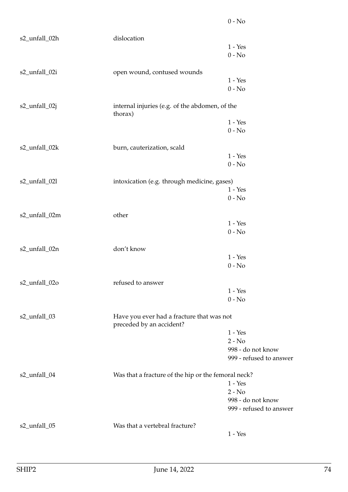| s2_unfall_02h | dislocation                                                           |                         |
|---------------|-----------------------------------------------------------------------|-------------------------|
|               |                                                                       | $1 - Yes$               |
|               |                                                                       | $0 - No$                |
| s2_unfall_02i | open wound, contused wounds                                           |                         |
|               |                                                                       | $1 - Yes$               |
|               |                                                                       | $0 - No$                |
| s2_unfall_02j | internal injuries (e.g. of the abdomen, of the                        |                         |
|               | thorax)                                                               | $1 - Yes$               |
|               |                                                                       | $0 - No$                |
|               |                                                                       |                         |
| s2_unfall_02k | burn, cauterization, scald                                            |                         |
|               |                                                                       | $1 - Yes$               |
|               |                                                                       | $0 - No$                |
| s2_unfall_02l | intoxication (e.g. through medicine, gases)                           |                         |
|               |                                                                       | $1 - Yes$               |
|               |                                                                       | $0 - No$                |
|               |                                                                       |                         |
| s2_unfall_02m | other                                                                 |                         |
|               |                                                                       | $1 - Yes$               |
|               |                                                                       | $0 - No$                |
| s2_unfall_02n | don't know                                                            |                         |
|               |                                                                       | $1 - Yes$               |
|               |                                                                       | $0 - No$                |
| s2_unfall_02o | refused to answer                                                     |                         |
|               |                                                                       | $1 - Yes$               |
|               |                                                                       | $0 - No$                |
|               |                                                                       |                         |
| s2_unfall_03  | Have you ever had a fracture that was not<br>preceded by an accident? |                         |
|               |                                                                       | $1 - Yes$               |
|               |                                                                       | $2 - No$                |
|               |                                                                       | 998 - do not know       |
|               |                                                                       | 999 - refused to answer |
| s2_unfall_04  | Was that a fracture of the hip or the femoral neck?                   |                         |
|               |                                                                       | $1 - Yes$               |
|               |                                                                       | $2 - No$                |
|               |                                                                       | 998 - do not know       |
|               |                                                                       | 999 - refused to answer |
| s2_unfall_05  | Was that a vertebral fracture?                                        |                         |
|               |                                                                       | $1 - Yes$               |
|               |                                                                       |                         |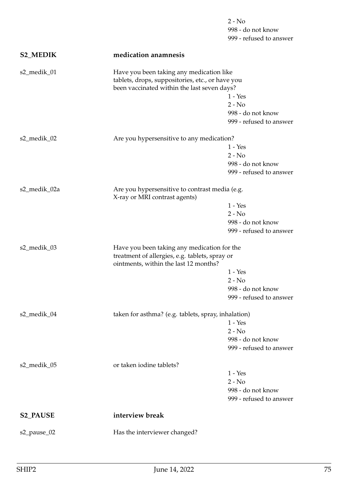|                 |                                                                                                                                             | $2 - No$                                     |
|-----------------|---------------------------------------------------------------------------------------------------------------------------------------------|----------------------------------------------|
|                 |                                                                                                                                             | 998 - do not know<br>999 - refused to answer |
| <b>S2_MEDIK</b> | medication anamnesis                                                                                                                        |                                              |
| s2_medik_01     | Have you been taking any medication like<br>tablets, drops, suppositories, etc., or have you<br>been vaccinated within the last seven days? |                                              |
|                 |                                                                                                                                             | $1 - Yes$                                    |
|                 |                                                                                                                                             | $2 - No$                                     |
|                 |                                                                                                                                             | 998 - do not know                            |
|                 |                                                                                                                                             | 999 - refused to answer                      |
| s2_medik_02     | Are you hypersensitive to any medication?                                                                                                   |                                              |
|                 |                                                                                                                                             | $1 - Yes$<br>$2 - No$                        |
|                 |                                                                                                                                             | 998 - do not know                            |
|                 |                                                                                                                                             | 999 - refused to answer                      |
| s2_medik_02a    | Are you hypersensitive to contrast media (e.g.<br>X-ray or MRI contrast agents)                                                             |                                              |
|                 |                                                                                                                                             | $1 - Yes$                                    |
|                 |                                                                                                                                             | $2 - No$                                     |
|                 |                                                                                                                                             | 998 - do not know                            |
|                 |                                                                                                                                             | 999 - refused to answer                      |
| s2_medik_03     | Have you been taking any medication for the<br>treatment of allergies, e.g. tablets, spray or<br>ointments, within the last 12 months?      |                                              |
|                 |                                                                                                                                             | $1 - Yes$                                    |
|                 |                                                                                                                                             | $2 - No$                                     |
|                 |                                                                                                                                             | 998 - do not know                            |
|                 |                                                                                                                                             | 999 - refused to answer                      |
| s2_medik_04     | taken for asthma? (e.g. tablets, spray, inhalation)                                                                                         |                                              |
|                 |                                                                                                                                             | $1 - Yes$                                    |
|                 |                                                                                                                                             | $2 - No$                                     |
|                 |                                                                                                                                             | 998 - do not know                            |
|                 |                                                                                                                                             | 999 - refused to answer                      |
| s2_medik_05     | or taken iodine tablets?                                                                                                                    |                                              |
|                 |                                                                                                                                             | $1 - Yes$<br>$2 - No$                        |
|                 |                                                                                                                                             | 998 - do not know                            |
|                 |                                                                                                                                             | 999 - refused to answer                      |
| <b>S2_PAUSE</b> | interview break                                                                                                                             |                                              |
| s2_pause_02     | Has the interviewer changed?                                                                                                                |                                              |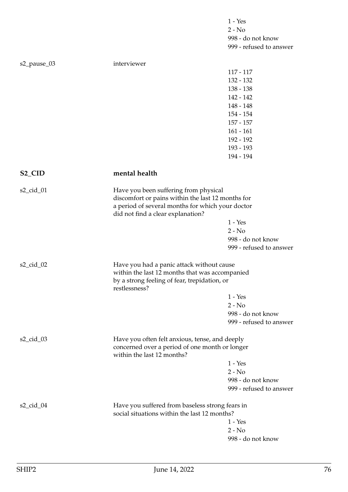|                     |                                                                                                 | $1 - Yes$                                                                             |  |
|---------------------|-------------------------------------------------------------------------------------------------|---------------------------------------------------------------------------------------|--|
|                     |                                                                                                 | $2 - No$                                                                              |  |
|                     |                                                                                                 | 998 - do not know                                                                     |  |
|                     |                                                                                                 | 999 - refused to answer                                                               |  |
| s2_pause_03         | interviewer                                                                                     |                                                                                       |  |
|                     |                                                                                                 | $117 - 117$                                                                           |  |
|                     |                                                                                                 | 132 - 132                                                                             |  |
|                     |                                                                                                 | $138 - 138$                                                                           |  |
|                     |                                                                                                 | 142 - 142                                                                             |  |
|                     |                                                                                                 | 148 - 148                                                                             |  |
|                     |                                                                                                 | 154 - 154                                                                             |  |
|                     |                                                                                                 | $157 - 157$                                                                           |  |
|                     |                                                                                                 | $161 - 161$                                                                           |  |
|                     |                                                                                                 | 192 - 192                                                                             |  |
|                     |                                                                                                 | 193 - 193                                                                             |  |
|                     |                                                                                                 | 194 - 194                                                                             |  |
| S <sub>2_</sub> CID | mental health                                                                                   |                                                                                       |  |
| s2_cid_01           | Have you been suffering from physical                                                           |                                                                                       |  |
|                     | discomfort or pains within the last 12 months for                                               |                                                                                       |  |
|                     |                                                                                                 | a period of several months for which your doctor<br>did not find a clear explanation? |  |
|                     |                                                                                                 | $1 - Yes$                                                                             |  |
|                     |                                                                                                 | $2 - No$                                                                              |  |
|                     |                                                                                                 | 998 - do not know                                                                     |  |
|                     |                                                                                                 | 999 - refused to answer                                                               |  |
| s2_cid_02           | Have you had a panic attack without cause                                                       |                                                                                       |  |
|                     | within the last 12 months that was accompanied                                                  |                                                                                       |  |
|                     | by a strong feeling of fear, trepidation, or<br>restlessness?                                   |                                                                                       |  |
|                     |                                                                                                 | $1 - Yes$                                                                             |  |
|                     |                                                                                                 | $2 - No$                                                                              |  |
|                     |                                                                                                 | 998 - do not know                                                                     |  |
|                     |                                                                                                 | 999 - refused to answer                                                               |  |
| s2_cid_03           | Have you often felt anxious, tense, and deeply                                                  |                                                                                       |  |
|                     | concerned over a period of one month or longer<br>within the last 12 months?                    |                                                                                       |  |
|                     |                                                                                                 | $1 - Yes$                                                                             |  |
|                     |                                                                                                 | $2 - No$                                                                              |  |
|                     |                                                                                                 | 998 - do not know                                                                     |  |
|                     |                                                                                                 | 999 - refused to answer                                                               |  |
| s2_cid_04           | Have you suffered from baseless strong fears in<br>social situations within the last 12 months? |                                                                                       |  |
|                     |                                                                                                 | $1 - Yes$                                                                             |  |
|                     |                                                                                                 | $2 - No$                                                                              |  |
|                     |                                                                                                 | 998 - do not know                                                                     |  |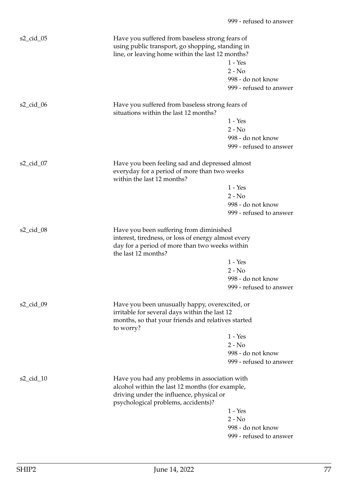| $s2$ _cid_05             | Have you suffered from baseless strong fears of<br>using public transport, go shopping, standing in<br>line, or leaving home within the last 12 months?                             | $1 - Yes$<br>$2 - No$<br>998 - do not know<br>999 - refused to answer |
|--------------------------|-------------------------------------------------------------------------------------------------------------------------------------------------------------------------------------|-----------------------------------------------------------------------|
| $s2$ <sub>cid</sub> $06$ | Have you suffered from baseless strong fears of<br>situations within the last 12 months?                                                                                            |                                                                       |
|                          |                                                                                                                                                                                     | $1 - Yes$                                                             |
|                          |                                                                                                                                                                                     | $2 - No$                                                              |
|                          |                                                                                                                                                                                     | 998 - do not know<br>999 - refused to answer                          |
| $s2_cid_07$              | Have you been feeling sad and depressed almost<br>everyday for a period of more than two weeks<br>within the last 12 months?                                                        |                                                                       |
|                          |                                                                                                                                                                                     | $1 - Yes$                                                             |
|                          |                                                                                                                                                                                     | $2 - No$                                                              |
|                          |                                                                                                                                                                                     | 998 - do not know                                                     |
|                          |                                                                                                                                                                                     | 999 - refused to answer                                               |
| $s2$ _cid_08             | Have you been suffering from diminished<br>interest, tiredness, or loss of energy almost every<br>day for a period of more than two weeks within<br>the last 12 months?             | $1 - Yes$                                                             |
|                          |                                                                                                                                                                                     | $2 - No$                                                              |
|                          |                                                                                                                                                                                     | 998 - do not know                                                     |
|                          |                                                                                                                                                                                     | 999 - refused to answer                                               |
| $s2$ _cid_09             | Have you been unusually happy, overexcited, or<br>irritable for several days within the last 12<br>months, so that your friends and relatives started                               |                                                                       |
|                          | to worry?                                                                                                                                                                           |                                                                       |
|                          |                                                                                                                                                                                     | $1 - Yes$                                                             |
|                          |                                                                                                                                                                                     | $2 - No$                                                              |
|                          |                                                                                                                                                                                     | 998 - do not know                                                     |
|                          |                                                                                                                                                                                     | 999 - refused to answer                                               |
| $s2$ <sub>cid</sub> $10$ | Have you had any problems in association with<br>alcohol within the last 12 months (for example,<br>driving under the influence, physical or<br>psychological problems, accidents)? |                                                                       |
|                          |                                                                                                                                                                                     | $1 - Yes$                                                             |
|                          |                                                                                                                                                                                     | $2 - No$                                                              |
|                          |                                                                                                                                                                                     | 998 - do not know                                                     |
|                          |                                                                                                                                                                                     | 999 - refused to answer                                               |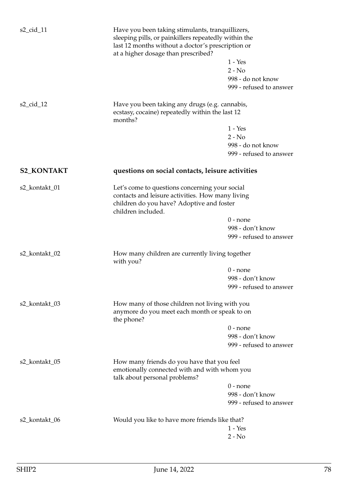| $s2$ _cid_11      | Have you been taking stimulants, tranquillizers,<br>sleeping pills, or painkillers repeatedly within the<br>last 12 months without a doctor's prescription or<br>at a higher dosage than prescribed?<br>$1 - Yes$ |                                             |
|-------------------|-------------------------------------------------------------------------------------------------------------------------------------------------------------------------------------------------------------------|---------------------------------------------|
|                   |                                                                                                                                                                                                                   | $2 - No$<br>998 - do not know               |
|                   |                                                                                                                                                                                                                   | 999 - refused to answer                     |
| s2_cid_12         | Have you been taking any drugs (e.g. cannabis,<br>ecstasy, cocaine) repeatedly within the last 12<br>months?                                                                                                      |                                             |
|                   |                                                                                                                                                                                                                   | $1 - Yes$                                   |
|                   |                                                                                                                                                                                                                   | $2 - No$                                    |
|                   |                                                                                                                                                                                                                   | 998 - do not know                           |
|                   |                                                                                                                                                                                                                   | 999 - refused to answer                     |
| <b>S2_KONTAKT</b> | questions on social contacts, leisure activities                                                                                                                                                                  |                                             |
| s2_kontakt_01     | Let's come to questions concerning your social<br>contacts and leisure activities. How many living<br>children do you have? Adoptive and foster<br>children included.                                             |                                             |
|                   |                                                                                                                                                                                                                   | $0$ - none                                  |
|                   |                                                                                                                                                                                                                   | 998 - don't know                            |
|                   |                                                                                                                                                                                                                   | 999 - refused to answer                     |
| s2_kontakt_02     | How many children are currently living together<br>with you?                                                                                                                                                      |                                             |
|                   |                                                                                                                                                                                                                   | $0$ - none                                  |
|                   |                                                                                                                                                                                                                   | 998 - don't know                            |
|                   |                                                                                                                                                                                                                   | 999 - refused to answer                     |
| s2_kontakt_03     | How many of those children not living with you<br>anymore do you meet each month or speak to on<br>the phone?                                                                                                     |                                             |
|                   |                                                                                                                                                                                                                   | $0$ - none                                  |
|                   |                                                                                                                                                                                                                   | 998 - don't know                            |
|                   |                                                                                                                                                                                                                   | 999 - refused to answer                     |
| s2_kontakt_05     | How many friends do you have that you feel<br>emotionally connected with and with whom you                                                                                                                        |                                             |
|                   | talk about personal problems?                                                                                                                                                                                     |                                             |
|                   |                                                                                                                                                                                                                   | $0$ - none                                  |
|                   |                                                                                                                                                                                                                   | 998 - don't know<br>999 - refused to answer |
|                   |                                                                                                                                                                                                                   |                                             |
| s2_kontakt_06     | Would you like to have more friends like that?                                                                                                                                                                    | $1 - Yes$                                   |
|                   |                                                                                                                                                                                                                   | $2 - No$                                    |
|                   |                                                                                                                                                                                                                   |                                             |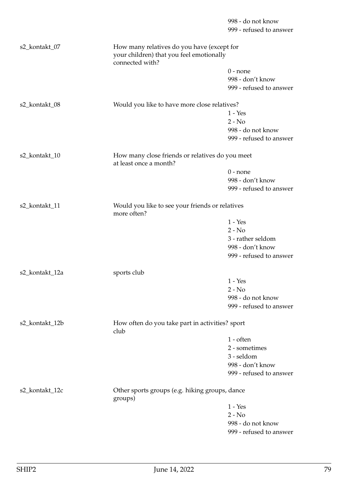|                |                                                                           | 998 - do not know                               |  |
|----------------|---------------------------------------------------------------------------|-------------------------------------------------|--|
|                |                                                                           | 999 - refused to answer                         |  |
| s2_kontakt_07  | How many relatives do you have (except for                                |                                                 |  |
|                | your children) that you feel emotionally<br>connected with?               |                                                 |  |
|                |                                                                           | $0$ - none                                      |  |
|                |                                                                           | 998 - don't know                                |  |
|                |                                                                           | 999 - refused to answer                         |  |
| s2_kontakt_08  | Would you like to have more close relatives?                              |                                                 |  |
|                |                                                                           | $1 - Yes$                                       |  |
|                |                                                                           | $2 - No$                                        |  |
|                |                                                                           | 998 - do not know                               |  |
|                |                                                                           | 999 - refused to answer                         |  |
| s2_kontakt_10  | How many close friends or relatives do you meet<br>at least once a month? |                                                 |  |
|                |                                                                           | $0$ - none                                      |  |
|                |                                                                           | 998 - don't know                                |  |
|                |                                                                           | 999 - refused to answer                         |  |
| s2_kontakt_11  | Would you like to see your friends or relatives<br>more often?            |                                                 |  |
|                |                                                                           | $1 - Yes$                                       |  |
|                |                                                                           | $2 - No$                                        |  |
|                |                                                                           | 3 - rather seldom                               |  |
|                |                                                                           | 998 - don't know                                |  |
|                |                                                                           | 999 - refused to answer                         |  |
| s2_kontakt_12a | sports club                                                               |                                                 |  |
|                |                                                                           | $1 - Yes$                                       |  |
|                |                                                                           | $2 - No$                                        |  |
|                |                                                                           | 998 - do not know                               |  |
|                |                                                                           | 999 - refused to answer                         |  |
| s2_kontakt_12b | club                                                                      | How often do you take part in activities? sport |  |
|                |                                                                           | $1 - \text{often}$                              |  |
|                |                                                                           | 2 - sometimes                                   |  |
|                |                                                                           | 3 - seldom                                      |  |
|                |                                                                           | 998 - don't know                                |  |
|                |                                                                           | 999 - refused to answer                         |  |
| s2_kontakt_12c | Other sports groups (e.g. hiking groups, dance<br>groups)                 |                                                 |  |
|                |                                                                           | $1 - Yes$                                       |  |
|                |                                                                           | $2 - No$                                        |  |
|                |                                                                           | 998 - do not know                               |  |
|                |                                                                           | 999 - refused to answer                         |  |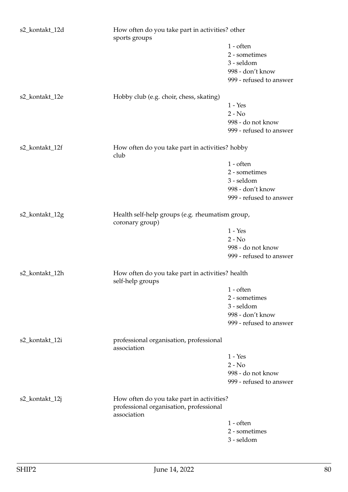| s2_kontakt_12d | How often do you take part in activities? other<br>sports groups                                    |                         |
|----------------|-----------------------------------------------------------------------------------------------------|-------------------------|
|                |                                                                                                     | $1$ - often             |
|                |                                                                                                     | 2 - sometimes           |
|                |                                                                                                     | 3 - seldom              |
|                |                                                                                                     | 998 - don't know        |
|                |                                                                                                     | 999 - refused to answer |
|                |                                                                                                     |                         |
| s2_kontakt_12e | Hobby club (e.g. choir, chess, skating)                                                             |                         |
|                |                                                                                                     | $1 - Yes$               |
|                |                                                                                                     | $2 - No$                |
|                |                                                                                                     | 998 - do not know       |
|                |                                                                                                     | 999 - refused to answer |
| s2_kontakt_12f | How often do you take part in activities? hobby<br>club                                             |                         |
|                |                                                                                                     | $1$ - often             |
|                |                                                                                                     | 2 - sometimes           |
|                |                                                                                                     | 3 - seldom              |
|                |                                                                                                     | 998 - don't know        |
|                |                                                                                                     |                         |
|                |                                                                                                     | 999 - refused to answer |
| s2_kontakt_12g | Health self-help groups (e.g. rheumatism group,<br>coronary group)                                  |                         |
|                |                                                                                                     | $1 - Yes$               |
|                |                                                                                                     | $2 - No$                |
|                |                                                                                                     | 998 - do not know       |
|                |                                                                                                     | 999 - refused to answer |
| s2_kontakt_12h | How often do you take part in activities? health<br>self-help groups                                |                         |
|                |                                                                                                     | $1$ - often             |
|                |                                                                                                     | 2 - sometimes           |
|                |                                                                                                     |                         |
|                |                                                                                                     | 3 - seldom              |
|                |                                                                                                     | 998 - don't know        |
|                |                                                                                                     | 999 - refused to answer |
| s2_kontakt_12i | professional organisation, professional<br>association                                              |                         |
|                |                                                                                                     | $1 - Yes$               |
|                |                                                                                                     | $2 - No$                |
|                |                                                                                                     | 998 - do not know       |
|                |                                                                                                     | 999 - refused to answer |
| s2_kontakt_12j | How often do you take part in activities?<br>professional organisation, professional<br>association |                         |
|                |                                                                                                     |                         |
|                |                                                                                                     | $1$ - often             |
|                |                                                                                                     | 2 - sometimes           |
|                |                                                                                                     | 3 - seldom              |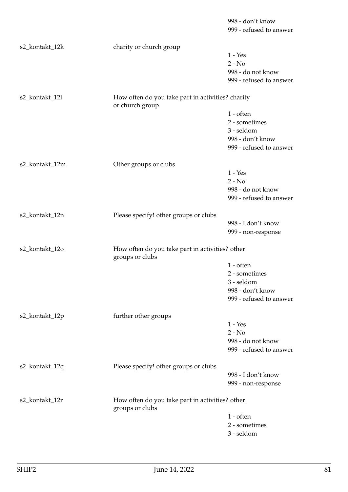|                |                                                                      | 998 - don't know        |
|----------------|----------------------------------------------------------------------|-------------------------|
|                |                                                                      | 999 - refused to answer |
| s2_kontakt_12k | charity or church group                                              |                         |
|                |                                                                      | $1 - Yes$               |
|                |                                                                      | $2 - No$                |
|                |                                                                      | 998 - do not know       |
|                |                                                                      | 999 - refused to answer |
| s2_kontakt_12l | How often do you take part in activities? charity<br>or church group |                         |
|                |                                                                      | $1$ - often             |
|                |                                                                      | 2 - sometimes           |
|                |                                                                      | 3 - seldom              |
|                |                                                                      | 998 - don't know        |
|                |                                                                      | 999 - refused to answer |
| s2_kontakt_12m | Other groups or clubs                                                |                         |
|                |                                                                      | $1 - Yes$               |
|                |                                                                      | $2 - No$                |
|                |                                                                      | 998 - do not know       |
|                |                                                                      | 999 - refused to answer |
| s2_kontakt_12n | Please specify! other groups or clubs                                |                         |
|                |                                                                      | 998 - I don't know      |
|                |                                                                      | 999 - non-response      |
| s2_kontakt_12o | How often do you take part in activities? other<br>groups or clubs   |                         |
|                |                                                                      | $1$ - often             |
|                |                                                                      | 2 - sometimes           |
|                |                                                                      | 3 - seldom              |
|                |                                                                      | 998 - don't know        |
|                |                                                                      | 999 - refused to answer |
| s2_kontakt_12p | further other groups                                                 |                         |
|                |                                                                      | $1 - Yes$               |
|                |                                                                      | $2 - No$                |
|                |                                                                      | 998 - do not know       |
|                |                                                                      | 999 - refused to answer |
| s2_kontakt_12q | Please specify! other groups or clubs                                |                         |
|                |                                                                      | 998 - I don't know      |
|                |                                                                      | 999 - non-response      |
| s2_kontakt_12r | How often do you take part in activities? other<br>groups or clubs   |                         |
|                |                                                                      | $1$ - often             |
|                |                                                                      | 2 - sometimes           |
|                |                                                                      | 3 - seldom              |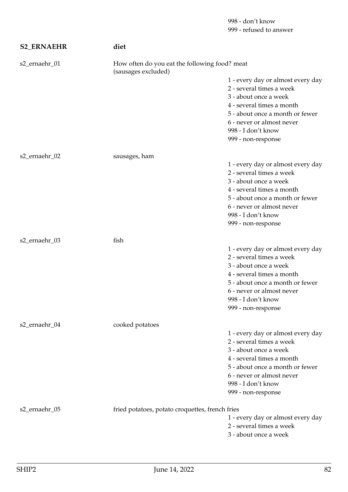| <b>S2_ERNAEHR</b> | diet                                            |                                                                                                                                                                                                                                 |  |
|-------------------|-------------------------------------------------|---------------------------------------------------------------------------------------------------------------------------------------------------------------------------------------------------------------------------------|--|
| s2_ernaehr_01     | (sausages excluded)                             | How often do you eat the following food? meat                                                                                                                                                                                   |  |
|                   |                                                 | 1 - every day or almost every day<br>2 - several times a week<br>3 - about once a week<br>4 - several times a month<br>5 - about once a month or fewer<br>6 - never or almost never<br>998 - I don't know<br>999 - non-response |  |
| s2_ernaehr_02     | sausages, ham                                   |                                                                                                                                                                                                                                 |  |
|                   |                                                 | 1 - every day or almost every day<br>2 - several times a week<br>3 - about once a week<br>4 - several times a month<br>5 - about once a month or fewer<br>6 - never or almost never<br>998 - I don't know<br>999 - non-response |  |
| s2_ernaehr_03     | fish                                            |                                                                                                                                                                                                                                 |  |
|                   |                                                 | 1 - every day or almost every day<br>2 - several times a week<br>3 - about once a week<br>4 - several times a month<br>5 - about once a month or fewer<br>6 - never or almost never<br>998 - I don't know<br>999 - non-response |  |
| s2_ernaehr_04     | cooked potatoes                                 |                                                                                                                                                                                                                                 |  |
|                   |                                                 | 1 - every day or almost every day<br>2 - several times a week<br>3 - about once a week<br>4 - several times a month<br>5 - about once a month or fewer<br>6 - never or almost never<br>998 - I don't know<br>999 - non-response |  |
| s2_ernaehr_05     | fried potatoes, potato croquettes, french fries | 1 - every day or almost every day<br>2 - several times a week<br>3 - about once a week                                                                                                                                          |  |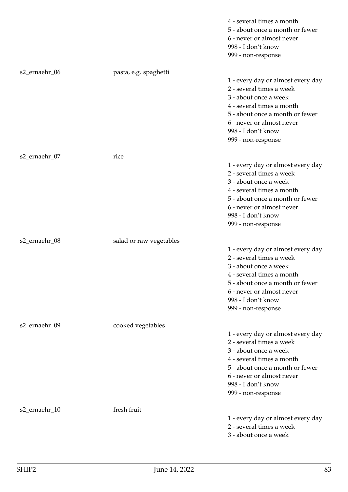|               |                         | 4 - several times a month<br>5 - about once a month or fewer<br>6 - never or almost never<br>998 - I don't know<br>999 - non-response                                                                                           |
|---------------|-------------------------|---------------------------------------------------------------------------------------------------------------------------------------------------------------------------------------------------------------------------------|
| s2_ernaehr_06 | pasta, e.g. spaghetti   | 1 - every day or almost every day<br>2 - several times a week<br>3 - about once a week<br>4 - several times a month<br>5 - about once a month or fewer<br>6 - never or almost never<br>998 - I don't know<br>999 - non-response |
| s2_ernaehr_07 | rice                    | 1 - every day or almost every day<br>2 - several times a week<br>3 - about once a week<br>4 - several times a month<br>5 - about once a month or fewer<br>6 - never or almost never<br>998 - I don't know<br>999 - non-response |
| s2_ernaehr_08 | salad or raw vegetables | 1 - every day or almost every day<br>2 - several times a week<br>3 - about once a week<br>4 - several times a month<br>5 - about once a month or fewer<br>6 - never or almost never<br>998 - I don't know<br>999 - non-response |
| s2_ernaehr_09 | cooked vegetables       | 1 - every day or almost every day<br>2 - several times a week<br>3 - about once a week<br>4 - several times a month<br>5 - about once a month or fewer<br>6 - never or almost never<br>998 - I don't know<br>999 - non-response |
| s2_ernaehr_10 | fresh fruit             | 1 - every day or almost every day<br>2 - several times a week<br>3 - about once a week                                                                                                                                          |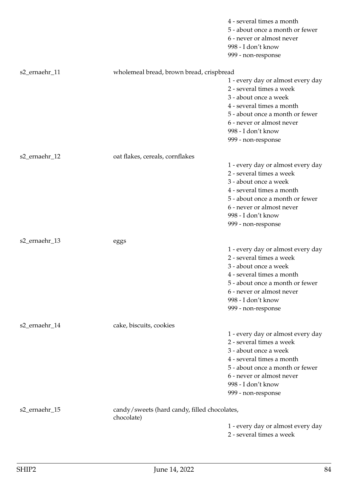|               |                                              | 4 - several times a month<br>5 - about once a month or fewer<br>6 - never or almost never<br>998 - I don't know<br>999 - non-response                                                                                           |
|---------------|----------------------------------------------|---------------------------------------------------------------------------------------------------------------------------------------------------------------------------------------------------------------------------------|
| s2_ernaehr_11 | wholemeal bread, brown bread, crispbread     |                                                                                                                                                                                                                                 |
|               |                                              | 1 - every day or almost every day<br>2 - several times a week<br>3 - about once a week<br>4 - several times a month<br>5 - about once a month or fewer<br>6 - never or almost never<br>998 - I don't know<br>999 - non-response |
| s2_ernaehr_12 | oat flakes, cereals, cornflakes              |                                                                                                                                                                                                                                 |
|               |                                              | 1 - every day or almost every day<br>2 - several times a week<br>3 - about once a week<br>4 - several times a month<br>5 - about once a month or fewer<br>6 - never or almost never<br>998 - I don't know<br>999 - non-response |
| s2_ernaehr_13 | eggs                                         |                                                                                                                                                                                                                                 |
|               |                                              | 1 - every day or almost every day<br>2 - several times a week<br>3 - about once a week<br>4 - several times a month<br>5 - about once a month or fewer<br>6 - never or almost never<br>998 - I don't know<br>999 - non-response |
| s2_ernaehr_14 | cake, biscuits, cookies                      |                                                                                                                                                                                                                                 |
|               |                                              | 1 - every day or almost every day<br>2 - several times a week<br>3 - about once a week<br>4 - several times a month<br>5 - about once a month or fewer<br>6 - never or almost never<br>998 - I don't know<br>999 - non-response |
| s2_ernaehr_15 | candy/sweets (hard candy, filled chocolates, |                                                                                                                                                                                                                                 |
|               | chocolate)                                   | 1 - every day or almost every day<br>2 - several times a week                                                                                                                                                                   |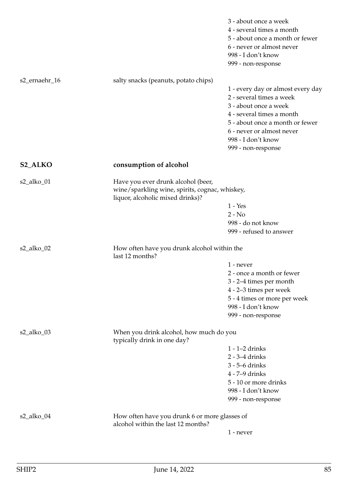|                |                                                                                                                          | 3 - about once a week<br>4 - several times a month<br>5 - about once a month or fewer<br>6 - never or almost never<br>998 - I don't know<br>999 - non-response                                                                  |
|----------------|--------------------------------------------------------------------------------------------------------------------------|---------------------------------------------------------------------------------------------------------------------------------------------------------------------------------------------------------------------------------|
| s2_ernaehr_16  | salty snacks (peanuts, potato chips)                                                                                     | 1 - every day or almost every day<br>2 - several times a week<br>3 - about once a week<br>4 - several times a month<br>5 - about once a month or fewer<br>6 - never or almost never<br>998 - I don't know<br>999 - non-response |
| <b>S2_ALKO</b> | consumption of alcohol                                                                                                   |                                                                                                                                                                                                                                 |
| s2_alko_01     | Have you ever drunk alcohol (beer,<br>wine/sparkling wine, spirits, cognac, whiskey,<br>liquor, alcoholic mixed drinks)? | $1 - Yes$<br>$2 - No$<br>998 - do not know<br>999 - refused to answer                                                                                                                                                           |
| s2_alko_02     | How often have you drunk alcohol within the<br>last 12 months?                                                           |                                                                                                                                                                                                                                 |
|                |                                                                                                                          | 1 - never<br>2 - once a month or fewer<br>3 - 2-4 times per month<br>4 - 2–3 times per week<br>5 - 4 times or more per week<br>998 - I don't know<br>999 - non-response                                                         |
| s2_alko_03     | When you drink alcohol, how much do you<br>typically drink in one day?                                                   |                                                                                                                                                                                                                                 |
|                |                                                                                                                          | $1 - 1 - 2$ drinks<br>$2 - 3 - 4$ drinks<br>3 - 5-6 drinks<br>4 - 7-9 drinks<br>5 - 10 or more drinks<br>998 - I don't know<br>999 - non-response                                                                               |
| s2_alko_04     | How often have you drunk 6 or more glasses of<br>alcohol within the last 12 months?                                      |                                                                                                                                                                                                                                 |
|                |                                                                                                                          | $1$ - never                                                                                                                                                                                                                     |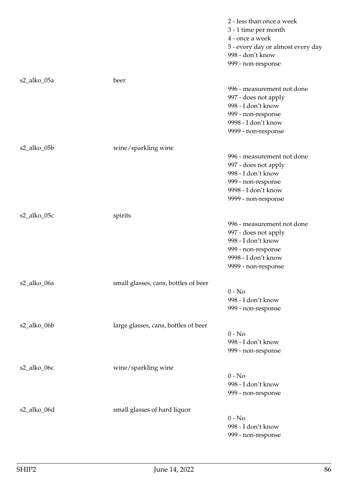|             |                                      | 2 - less than once a week<br>3 - 1 time per month<br>4 - once a week<br>5 - every day or almost every day<br>998 - don't know |
|-------------|--------------------------------------|-------------------------------------------------------------------------------------------------------------------------------|
|             |                                      | 999 - non-response                                                                                                            |
| s2_alko_05a | beer                                 |                                                                                                                               |
|             |                                      | 996 - measurement not done                                                                                                    |
|             |                                      | 997 - does not apply                                                                                                          |
|             |                                      | 998 - I don't know                                                                                                            |
|             |                                      | 999 - non-response                                                                                                            |
|             |                                      | 9998 - I don't know                                                                                                           |
|             |                                      | 9999 - non-response                                                                                                           |
| s2_alko_05b | wine/sparkling wine                  |                                                                                                                               |
|             |                                      | 996 - measurement not done                                                                                                    |
|             |                                      | 997 - does not apply                                                                                                          |
|             |                                      | 998 - I don't know                                                                                                            |
|             |                                      | 999 - non-response                                                                                                            |
|             |                                      | 9998 - I don't know                                                                                                           |
|             |                                      | 9999 - non-response                                                                                                           |
| s2_alko_05c | spirits                              |                                                                                                                               |
|             |                                      | 996 - measurement not done                                                                                                    |
|             |                                      | 997 - does not apply                                                                                                          |
|             |                                      | 998 - I don't know                                                                                                            |
|             |                                      | 999 - non-response                                                                                                            |
|             |                                      | 9998 - I don't know                                                                                                           |
|             |                                      | 9999 - non-response                                                                                                           |
| s2_alko_06a | small glasses, cans, bottles of beer |                                                                                                                               |
|             |                                      | $0 - No$                                                                                                                      |
|             |                                      | 998 - I don't know                                                                                                            |
|             |                                      | 999 - non-response                                                                                                            |
| s2_alko_06b | large glasses, cans, bottles of beer |                                                                                                                               |
|             |                                      | $0 - No$                                                                                                                      |
|             |                                      | 998 - I don't know                                                                                                            |
|             |                                      | 999 - non-response                                                                                                            |
| s2_alko_06c | wine/sparkling wine                  |                                                                                                                               |
|             |                                      | $0 - No$                                                                                                                      |
|             |                                      | 998 - I don't know                                                                                                            |
|             |                                      | 999 - non-response                                                                                                            |
| s2_alko_06d | small glasses of hard liquor         |                                                                                                                               |
|             |                                      | $0 - No$                                                                                                                      |
|             |                                      | 998 - I don't know                                                                                                            |
|             |                                      | 999 - non-response                                                                                                            |
|             |                                      |                                                                                                                               |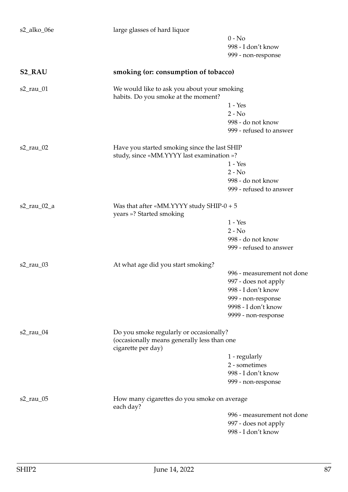| s2_alko_06e    | large glasses of hard liquor                                                              |                            |
|----------------|-------------------------------------------------------------------------------------------|----------------------------|
|                |                                                                                           | $0 - No$                   |
|                |                                                                                           | 998 - I don't know         |
|                |                                                                                           | 999 - non-response         |
| <b>S2_RAU</b>  | smoking (or: consumption of tobacco)                                                      |                            |
| $s2$ _rau_01   | We would like to ask you about your smoking<br>habits. Do you smoke at the moment?        |                            |
|                |                                                                                           | $1 - Yes$                  |
|                |                                                                                           | $2 - No$                   |
|                |                                                                                           | 998 - do not know          |
|                |                                                                                           | 999 - refused to answer    |
| $s2$ _rau_02   | Have you started smoking since the last SHIP<br>study, since «MM.YYYY last examination »? |                            |
|                |                                                                                           | $1 - Yes$                  |
|                |                                                                                           | $2 - No$                   |
|                |                                                                                           | 998 - do not know          |
|                |                                                                                           | 999 - refused to answer    |
| $s2$ _rau_02_a | Was that after «MM.YYYY study SHIP- $0 + 5$<br>years »? Started smoking                   |                            |
|                |                                                                                           | $1 - Yes$                  |
|                |                                                                                           | $2 - No$                   |
|                |                                                                                           | 998 - do not know          |
|                |                                                                                           | 999 - refused to answer    |
| s2_rau_03      | At what age did you start smoking?                                                        |                            |
|                |                                                                                           | 996 - measurement not done |
|                |                                                                                           | 997 - does not apply       |
|                |                                                                                           | 998 - I don't know         |
|                |                                                                                           | 999 - non-response         |
|                |                                                                                           | 9998 - I don't know        |
|                |                                                                                           | 9999 - non-response        |
| $s2$ _rau_04   | Do you smoke regularly or occasionally?                                                   |                            |
|                | (occasionally means generally less than one<br>cigarette per day)                         |                            |
|                |                                                                                           | 1 - regularly              |
|                |                                                                                           | 2 - sometimes              |
|                |                                                                                           | 998 - I don't know         |
|                |                                                                                           | 999 - non-response         |
| $s2$ _rau_05   | How many cigarettes do you smoke on average<br>each day?                                  |                            |
|                |                                                                                           | 996 - measurement not done |
|                |                                                                                           | 997 - does not apply       |
|                |                                                                                           | 998 - I don't know         |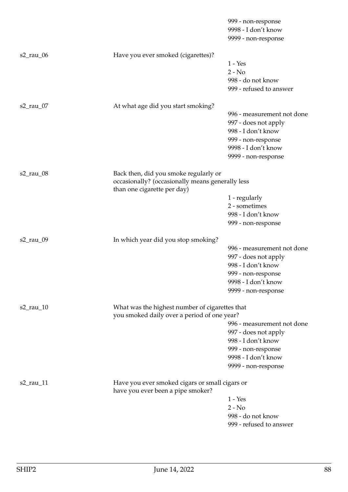|              |                                                                                           | 999 - non-response<br>9998 - I don't know          |
|--------------|-------------------------------------------------------------------------------------------|----------------------------------------------------|
|              |                                                                                           | 9999 - non-response                                |
| $s2$ _rau_06 | Have you ever smoked (cigarettes)?                                                        |                                                    |
|              |                                                                                           | $1 - Yes$                                          |
|              |                                                                                           | $2 - No$                                           |
|              |                                                                                           | 998 - do not know                                  |
|              |                                                                                           | 999 - refused to answer                            |
| $s2$ _rau_07 | At what age did you start smoking?                                                        |                                                    |
|              |                                                                                           | 996 - measurement not done                         |
|              |                                                                                           | 997 - does not apply                               |
|              |                                                                                           | 998 - I don't know                                 |
|              |                                                                                           | 999 - non-response                                 |
|              |                                                                                           | 9998 - I don't know                                |
|              |                                                                                           | 9999 - non-response                                |
| $s2$ _rau_08 | Back then, did you smoke regularly or<br>occasionally? (occasionally means generally less |                                                    |
|              | than one cigarette per day)                                                               |                                                    |
|              |                                                                                           | 1 - regularly                                      |
|              |                                                                                           | 2 - sometimes                                      |
|              |                                                                                           | 998 - I don't know                                 |
|              |                                                                                           | 999 - non-response                                 |
| s2_rau_09    | In which year did you stop smoking?                                                       |                                                    |
|              |                                                                                           | 996 - measurement not done                         |
|              |                                                                                           | 997 - does not apply                               |
|              |                                                                                           | 998 - I don't know                                 |
|              |                                                                                           | 999 - non-response<br>9998 - I don't know          |
|              |                                                                                           | 9999 - non-response                                |
|              |                                                                                           |                                                    |
| $s2$ _rau_10 | What was the highest number of cigarettes that                                            |                                                    |
|              | you smoked daily over a period of one year?                                               |                                                    |
|              |                                                                                           | 996 - measurement not done<br>997 - does not apply |
|              |                                                                                           | 998 - I don't know                                 |
|              |                                                                                           | 999 - non-response                                 |
|              |                                                                                           | 9998 - I don't know                                |
|              |                                                                                           | 9999 - non-response                                |
| $s2$ _rau_11 | Have you ever smoked cigars or small cigars or                                            |                                                    |
|              | have you ever been a pipe smoker?                                                         |                                                    |
|              |                                                                                           | $1 - Yes$                                          |
|              |                                                                                           | $2 - No$                                           |
|              |                                                                                           | 998 - do not know                                  |
|              |                                                                                           | 999 - refused to answer                            |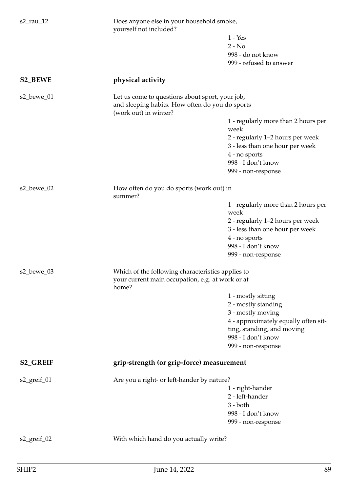| yourself not included?<br>$1 - Yes$                                                                |  |
|----------------------------------------------------------------------------------------------------|--|
|                                                                                                    |  |
| $2 - No$                                                                                           |  |
| 998 - do not know                                                                                  |  |
| 999 - refused to answer                                                                            |  |
| physical activity                                                                                  |  |
| Let us come to questions about sport, your job,<br>and sleeping habits. How often do you do sports |  |
| (work out) in winter?                                                                              |  |
| 1 - regularly more than 2 hours per<br>week                                                        |  |
| 2 - regularly 1-2 hours per week                                                                   |  |
| 3 - less than one hour per week                                                                    |  |
| 4 - no sports                                                                                      |  |
| 998 - I don't know                                                                                 |  |
| 999 - non-response                                                                                 |  |
| How often do you do sports (work out) in<br>summer?                                                |  |
| 1 - regularly more than 2 hours per<br>week                                                        |  |
| 2 - regularly 1-2 hours per week                                                                   |  |
| 3 - less than one hour per week                                                                    |  |
| 4 - no sports                                                                                      |  |
| 998 - I don't know                                                                                 |  |
| 999 - non-response                                                                                 |  |
| Which of the following characteristics applies to                                                  |  |
| your current main occupation, e.g. at work or at<br>home?                                          |  |
| 1 - mostly sitting                                                                                 |  |
| 2 - mostly standing                                                                                |  |
| 3 - mostly moving                                                                                  |  |
| 4 - approximately equally often sit-                                                               |  |
| ting, standing, and moving                                                                         |  |
| 998 - I don't know                                                                                 |  |
| 999 - non-response                                                                                 |  |
| grip-strength (or grip-force) measurement                                                          |  |
| Are you a right- or left-hander by nature?                                                         |  |
| 1 - right-hander                                                                                   |  |
| 2 - left-hander                                                                                    |  |
| $3 - both$                                                                                         |  |
| 998 - I don't know                                                                                 |  |
| 999 - non-response                                                                                 |  |
| With which hand do you actually write?                                                             |  |
|                                                                                                    |  |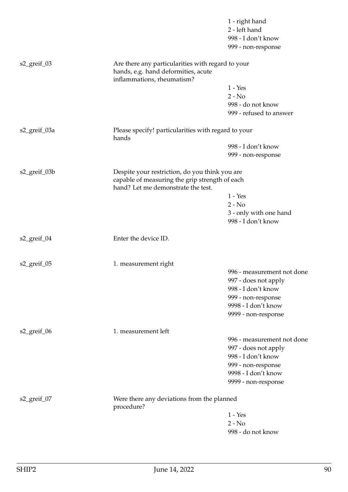|              |                                                                                                                        | 1 - right hand<br>2 - left hand<br>998 - I don't know<br>999 - non-response                      |  |
|--------------|------------------------------------------------------------------------------------------------------------------------|--------------------------------------------------------------------------------------------------|--|
| s2_greif_03  | Are there any particularities with regard to your<br>hands, e.g. hand deformities, acute<br>inflammations, rheumatism? |                                                                                                  |  |
|              |                                                                                                                        | $1 - Yes$                                                                                        |  |
|              |                                                                                                                        | $2 - No$                                                                                         |  |
|              |                                                                                                                        | 998 - do not know                                                                                |  |
|              |                                                                                                                        | 999 - refused to answer                                                                          |  |
| s2_greif_03a | Please specify! particularities with regard to your<br>hands                                                           |                                                                                                  |  |
|              |                                                                                                                        | 998 - I don't know                                                                               |  |
|              |                                                                                                                        | 999 - non-response                                                                               |  |
| s2_greif_03b | hand? Let me demonstrate the test.                                                                                     | Despite your restriction, do you think you are<br>capable of measuring the grip strength of each |  |
|              |                                                                                                                        | $1 - Yes$                                                                                        |  |
|              |                                                                                                                        | $2 - No$                                                                                         |  |
|              |                                                                                                                        | 3 - only with one hand<br>998 - I don't know                                                     |  |
| s2_greif_04  | Enter the device ID.                                                                                                   |                                                                                                  |  |
| s2_greif_05  | 1. measurement right                                                                                                   |                                                                                                  |  |
|              |                                                                                                                        | 996 - measurement not done                                                                       |  |
|              |                                                                                                                        | 997 - does not apply                                                                             |  |
|              |                                                                                                                        | 998 - I don't know                                                                               |  |
|              |                                                                                                                        | 999 - non-response                                                                               |  |
|              |                                                                                                                        | 9998 - I don't know                                                                              |  |
|              |                                                                                                                        | 9999 - non-response                                                                              |  |
| s2_greif_06  | 1. measurement left                                                                                                    |                                                                                                  |  |
|              |                                                                                                                        | 996 - measurement not done                                                                       |  |
|              |                                                                                                                        | 997 - does not apply                                                                             |  |
|              |                                                                                                                        | 998 - I don't know                                                                               |  |
|              |                                                                                                                        | 999 - non-response                                                                               |  |
|              |                                                                                                                        | 9998 - I don't know                                                                              |  |
|              |                                                                                                                        | 9999 - non-response                                                                              |  |
| s2_greif_07  | Were there any deviations from the planned<br>procedure?                                                               |                                                                                                  |  |
|              |                                                                                                                        | $1 - Yes$                                                                                        |  |
|              |                                                                                                                        | $2 - No$                                                                                         |  |
|              |                                                                                                                        | 998 - do not know                                                                                |  |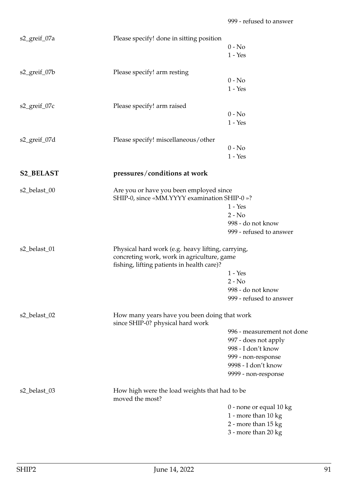| s2_greif_07a     | Please specify! done in sitting position                                                                                                      | $0 - No$<br>$1 - Yes$                                                                                                                        |
|------------------|-----------------------------------------------------------------------------------------------------------------------------------------------|----------------------------------------------------------------------------------------------------------------------------------------------|
| s2_greif_07b     | Please specify! arm resting                                                                                                                   | $0 - No$<br>$1 - Yes$                                                                                                                        |
| s2_greif_07c     | Please specify! arm raised                                                                                                                    | $0 - No$<br>$1 - Yes$                                                                                                                        |
| s2_greif_07d     | Please specify! miscellaneous/other                                                                                                           | $0 - No$<br>$1 - Yes$                                                                                                                        |
| <b>S2_BELAST</b> | pressures/conditions at work                                                                                                                  |                                                                                                                                              |
| s2_belast_00     | Are you or have you been employed since<br>SHIP-0, since «MM.YYYY examination SHIP-0 »?                                                       | $1 - Yes$<br>$2 - No$<br>998 - do not know<br>999 - refused to answer                                                                        |
| s2_belast_01     | Physical hard work (e.g. heavy lifting, carrying,<br>concreting work, work in agriculture, game<br>fishing, lifting patients in health care)? | $1 - Yes$<br>$2 - No$<br>998 - do not know<br>999 - refused to answer                                                                        |
| s2_belast_02     | How many years have you been doing that work<br>since SHIP-0? physical hard work                                                              | 996 - measurement not done<br>997 - does not apply<br>998 - I don't know<br>999 - non-response<br>9998 - I don't know<br>9999 - non-response |
| s2_belast_03     | How high were the load weights that had to be<br>moved the most?                                                                              | 0 - none or equal 10 kg<br>1 - more than 10 kg<br>2 - more than 15 kg<br>3 - more than 20 kg                                                 |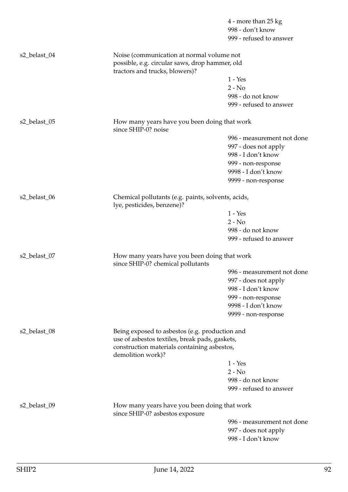|              |                                                                                                                                                                      | 4 - more than 25 kg        |  |
|--------------|----------------------------------------------------------------------------------------------------------------------------------------------------------------------|----------------------------|--|
|              |                                                                                                                                                                      | 998 - don't know           |  |
|              |                                                                                                                                                                      | 999 - refused to answer    |  |
| s2_belast_04 | Noise (communication at normal volume not<br>possible, e.g. circular saws, drop hammer, old<br>tractors and trucks, blowers)?                                        |                            |  |
|              |                                                                                                                                                                      | $1 - Yes$                  |  |
|              |                                                                                                                                                                      | $2 - No$                   |  |
|              |                                                                                                                                                                      | 998 - do not know          |  |
|              |                                                                                                                                                                      | 999 - refused to answer    |  |
| s2_belast_05 | How many years have you been doing that work<br>since SHIP-0? noise                                                                                                  |                            |  |
|              |                                                                                                                                                                      | 996 - measurement not done |  |
|              |                                                                                                                                                                      | 997 - does not apply       |  |
|              |                                                                                                                                                                      | 998 - I don't know         |  |
|              |                                                                                                                                                                      | 999 - non-response         |  |
|              |                                                                                                                                                                      | 9998 - I don't know        |  |
|              |                                                                                                                                                                      | 9999 - non-response        |  |
| s2_belast_06 | Chemical pollutants (e.g. paints, solvents, acids,<br>lye, pesticides, benzene)?                                                                                     |                            |  |
|              |                                                                                                                                                                      | $1 - Yes$                  |  |
|              |                                                                                                                                                                      | $2 - No$                   |  |
|              |                                                                                                                                                                      | 998 - do not know          |  |
|              |                                                                                                                                                                      | 999 - refused to answer    |  |
| s2_belast_07 | How many years have you been doing that work<br>since SHIP-0? chemical pollutants                                                                                    |                            |  |
|              |                                                                                                                                                                      | 996 - measurement not done |  |
|              |                                                                                                                                                                      | 997 - does not apply       |  |
|              |                                                                                                                                                                      | 998 - I don't know         |  |
|              |                                                                                                                                                                      | 999 - non-response         |  |
|              |                                                                                                                                                                      | 9998 - I don't know        |  |
|              |                                                                                                                                                                      | 9999 - non-response        |  |
| s2_belast_08 | Being exposed to asbestos (e.g. production and<br>use of asbestos textiles, break pads, gaskets,<br>construction materials containing asbestos,<br>demolition work)? |                            |  |
|              |                                                                                                                                                                      | $1 - Yes$                  |  |
|              |                                                                                                                                                                      | $2 - No$                   |  |
|              |                                                                                                                                                                      | 998 - do not know          |  |
|              |                                                                                                                                                                      | 999 - refused to answer    |  |
| s2_belast_09 | How many years have you been doing that work<br>since SHIP-0? asbestos exposure                                                                                      |                            |  |
|              |                                                                                                                                                                      | 996 - measurement not done |  |
|              |                                                                                                                                                                      | 997 - does not apply       |  |
|              |                                                                                                                                                                      | 998 - I don't know         |  |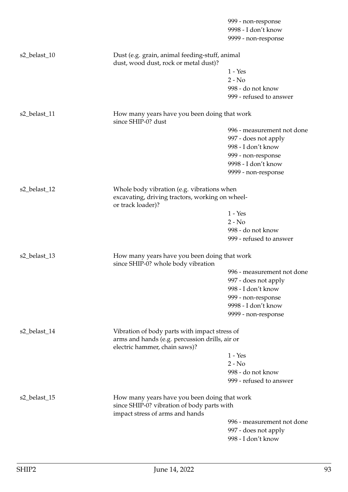|              |                                                                                                                               | 999 - non-response                         |
|--------------|-------------------------------------------------------------------------------------------------------------------------------|--------------------------------------------|
|              |                                                                                                                               | 9998 - I don't know                        |
|              |                                                                                                                               | 9999 - non-response                        |
| s2_belast_10 | Dust (e.g. grain, animal feeding-stuff, animal<br>dust, wood dust, rock or metal dust)?                                       |                                            |
|              |                                                                                                                               | $1 - Yes$                                  |
|              |                                                                                                                               | $2 - No$                                   |
|              |                                                                                                                               | 998 - do not know                          |
|              |                                                                                                                               | 999 - refused to answer                    |
| s2_belast_11 | How many years have you been doing that work<br>since SHIP-0? dust                                                            |                                            |
|              |                                                                                                                               | 996 - measurement not done                 |
|              |                                                                                                                               | 997 - does not apply                       |
|              |                                                                                                                               | 998 - I don't know                         |
|              |                                                                                                                               | 999 - non-response                         |
|              |                                                                                                                               | 9998 - I don't know                        |
|              |                                                                                                                               | 9999 - non-response                        |
| s2_belast_12 | Whole body vibration (e.g. vibrations when<br>excavating, driving tractors, working on wheel-                                 |                                            |
|              | or track loader)?                                                                                                             |                                            |
|              |                                                                                                                               | $1 - Yes$                                  |
|              |                                                                                                                               | $2 - No$                                   |
|              |                                                                                                                               | 998 - do not know                          |
|              |                                                                                                                               | 999 - refused to answer                    |
| s2_belast_13 | How many years have you been doing that work<br>since SHIP-0? whole body vibration                                            |                                            |
|              |                                                                                                                               | 996 - measurement not done                 |
|              |                                                                                                                               | 997 - does not apply                       |
|              |                                                                                                                               | 998 - I don't know                         |
|              |                                                                                                                               | 999 - non-response                         |
|              |                                                                                                                               | 9998 - I don't know                        |
|              |                                                                                                                               | 9999 - non-response                        |
| s2_belast_14 | Vibration of body parts with impact stress of<br>arms and hands (e.g. percussion drills, air or                               |                                            |
|              | electric hammer, chain saws)?                                                                                                 |                                            |
|              |                                                                                                                               | $1 - Yes$                                  |
|              |                                                                                                                               | $2 - No$                                   |
|              |                                                                                                                               | 998 - do not know                          |
|              |                                                                                                                               | 999 - refused to answer                    |
| s2_belast_15 | How many years have you been doing that work<br>since SHIP-0? vibration of body parts with<br>impact stress of arms and hands |                                            |
|              |                                                                                                                               | 996 - measurement not done                 |
|              |                                                                                                                               | 997 - does not apply<br>998 - I don't know |
|              |                                                                                                                               |                                            |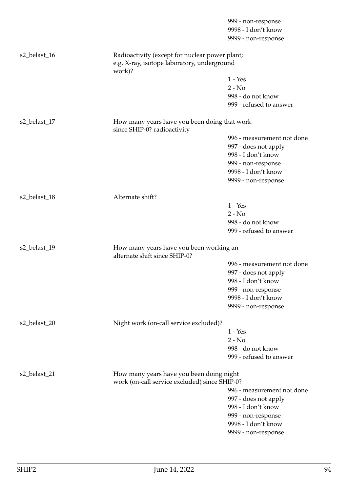|              |                                                                                                         | 999 - non-response                                                                        |  |
|--------------|---------------------------------------------------------------------------------------------------------|-------------------------------------------------------------------------------------------|--|
|              |                                                                                                         | 9998 - I don't know                                                                       |  |
|              |                                                                                                         | 9999 - non-response                                                                       |  |
| s2_belast_16 | Radioactivity (except for nuclear power plant;<br>e.g. X-ray, isotope laboratory, underground<br>work)? |                                                                                           |  |
|              |                                                                                                         | $1 - Yes$                                                                                 |  |
|              |                                                                                                         | $2 - No$                                                                                  |  |
|              |                                                                                                         | 998 - do not know                                                                         |  |
|              |                                                                                                         | 999 - refused to answer                                                                   |  |
| s2_belast_17 | How many years have you been doing that work<br>since SHIP-0? radioactivity                             |                                                                                           |  |
|              |                                                                                                         | 996 - measurement not done                                                                |  |
|              |                                                                                                         | 997 - does not apply                                                                      |  |
|              |                                                                                                         | 998 - I don't know                                                                        |  |
|              |                                                                                                         | 999 - non-response                                                                        |  |
|              |                                                                                                         | 9998 - I don't know                                                                       |  |
|              |                                                                                                         | 9999 - non-response                                                                       |  |
| s2_belast_18 | Alternate shift?                                                                                        |                                                                                           |  |
|              |                                                                                                         | $1 - Yes$                                                                                 |  |
|              |                                                                                                         | $2 - No$                                                                                  |  |
|              |                                                                                                         | 998 - do not know                                                                         |  |
|              |                                                                                                         | 999 - refused to answer                                                                   |  |
| s2_belast_19 | How many years have you been working an<br>alternate shift since SHIP-0?                                |                                                                                           |  |
|              |                                                                                                         | 996 - measurement not done                                                                |  |
|              |                                                                                                         | 997 - does not apply                                                                      |  |
|              |                                                                                                         | 998 - I don't know                                                                        |  |
|              |                                                                                                         |                                                                                           |  |
|              |                                                                                                         | 999 - non-response                                                                        |  |
|              |                                                                                                         | 9998 - I don't know                                                                       |  |
|              |                                                                                                         | 9999 - non-response                                                                       |  |
| s2_belast_20 | Night work (on-call service excluded)?                                                                  |                                                                                           |  |
|              |                                                                                                         | $1 - Yes$                                                                                 |  |
|              |                                                                                                         | $2 - No$                                                                                  |  |
|              |                                                                                                         | 998 - do not know                                                                         |  |
|              |                                                                                                         | 999 - refused to answer                                                                   |  |
| s2_belast_21 |                                                                                                         | How many years have you been doing night<br>work (on-call service excluded) since SHIP-0? |  |
|              |                                                                                                         | 996 - measurement not done                                                                |  |
|              |                                                                                                         | 997 - does not apply                                                                      |  |
|              |                                                                                                         | 998 - I don't know                                                                        |  |
|              |                                                                                                         | 999 - non-response                                                                        |  |
|              |                                                                                                         | 9998 - I don't know                                                                       |  |
|              |                                                                                                         | 9999 - non-response                                                                       |  |
|              |                                                                                                         |                                                                                           |  |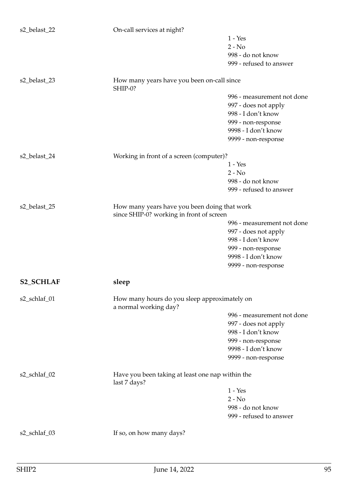| s2_belast_22     | On-call services at night?                                                               |                            |
|------------------|------------------------------------------------------------------------------------------|----------------------------|
|                  |                                                                                          | $1 - Yes$                  |
|                  |                                                                                          | $2 - No$                   |
|                  |                                                                                          | 998 - do not know          |
|                  |                                                                                          | 999 - refused to answer    |
| s2_belast_23     | How many years have you been on-call since<br>SHIP-0?                                    |                            |
|                  |                                                                                          | 996 - measurement not done |
|                  |                                                                                          | 997 - does not apply       |
|                  |                                                                                          | 998 - I don't know         |
|                  |                                                                                          | 999 - non-response         |
|                  |                                                                                          | 9998 - I don't know        |
|                  |                                                                                          | 9999 - non-response        |
|                  |                                                                                          |                            |
| s2_belast_24     | Working in front of a screen (computer)?                                                 |                            |
|                  |                                                                                          | $1 - Yes$                  |
|                  |                                                                                          | $2 - No$                   |
|                  |                                                                                          | 998 - do not know          |
|                  |                                                                                          | 999 - refused to answer    |
| s2_belast_25     | How many years have you been doing that work<br>since SHIP-0? working in front of screen |                            |
|                  |                                                                                          | 996 - measurement not done |
|                  |                                                                                          | 997 - does not apply       |
|                  |                                                                                          | 998 - I don't know         |
|                  |                                                                                          | 999 - non-response         |
|                  |                                                                                          | 9998 - I don't know        |
|                  |                                                                                          | 9999 - non-response        |
| <b>S2_SCHLAF</b> | ${\bf s}$                                                                                |                            |
| s2_schlaf_01     | How many hours do you sleep approximately on<br>a normal working day?                    |                            |
|                  |                                                                                          | 996 - measurement not done |
|                  |                                                                                          | 997 - does not apply       |
|                  |                                                                                          | 998 - I don't know         |
|                  |                                                                                          | 999 - non-response         |
|                  |                                                                                          | 9998 - I don't know        |
|                  |                                                                                          | 9999 - non-response        |
| s2_schlaf_02     | Have you been taking at least one nap within the<br>last 7 days?                         |                            |
|                  |                                                                                          | $1 - Yes$                  |
|                  |                                                                                          | $2 - No$                   |
|                  |                                                                                          | 998 - do not know          |
|                  |                                                                                          | 999 - refused to answer    |
| s2_schlaf_03     | If so, on how many days?                                                                 |                            |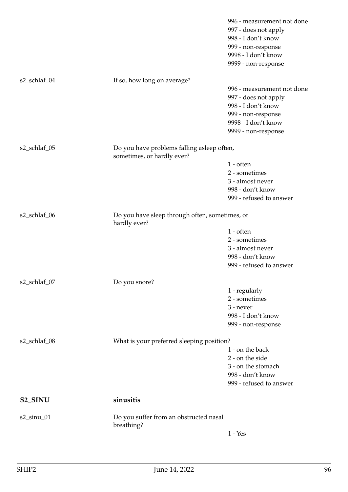|                      |                                                                          | 996 - measurement not done<br>997 - does not apply<br>998 - I don't know<br>999 - non-response<br>9998 - I don't know<br>9999 - non-response |
|----------------------|--------------------------------------------------------------------------|----------------------------------------------------------------------------------------------------------------------------------------------|
| s2_schlaf_04         | If so, how long on average?                                              |                                                                                                                                              |
|                      |                                                                          | 996 - measurement not done                                                                                                                   |
|                      |                                                                          | 997 - does not apply                                                                                                                         |
|                      |                                                                          | 998 - I don't know                                                                                                                           |
|                      |                                                                          | 999 - non-response                                                                                                                           |
|                      |                                                                          | 9998 - I don't know                                                                                                                          |
|                      |                                                                          | 9999 - non-response                                                                                                                          |
| s2_schlaf_05         | Do you have problems falling asleep often,<br>sometimes, or hardly ever? |                                                                                                                                              |
|                      |                                                                          | $1$ - often                                                                                                                                  |
|                      |                                                                          | 2 - sometimes                                                                                                                                |
|                      |                                                                          | 3 - almost never                                                                                                                             |
|                      |                                                                          | 998 - don't know                                                                                                                             |
|                      |                                                                          | 999 - refused to answer                                                                                                                      |
| s2_schlaf_06         | Do you have sleep through often, sometimes, or<br>hardly ever?           |                                                                                                                                              |
|                      |                                                                          | $1$ - often                                                                                                                                  |
|                      |                                                                          | 2 - sometimes                                                                                                                                |
|                      |                                                                          | 3 - almost never                                                                                                                             |
|                      |                                                                          | 998 - don't know                                                                                                                             |
|                      |                                                                          | 999 - refused to answer                                                                                                                      |
| s2_schlaf_07         | Do you snore?                                                            |                                                                                                                                              |
|                      |                                                                          | 1 - regularly                                                                                                                                |
|                      |                                                                          | 2 - sometimes                                                                                                                                |
|                      |                                                                          | 3 - never                                                                                                                                    |
|                      |                                                                          | 998 - I don't know                                                                                                                           |
|                      |                                                                          | 999 - non-response                                                                                                                           |
| s2_schlaf_08         | What is your preferred sleeping position?                                |                                                                                                                                              |
|                      |                                                                          | 1 - on the back                                                                                                                              |
|                      |                                                                          | 2 - on the side                                                                                                                              |
|                      |                                                                          | 3 - on the stomach                                                                                                                           |
|                      |                                                                          | 998 - don't know                                                                                                                             |
|                      |                                                                          | 999 - refused to answer                                                                                                                      |
| S <sub>2_</sub> SINU | sinusitis                                                                |                                                                                                                                              |
| $s2$ _sinu_01        | Do you suffer from an obstructed nasal<br>breathing?                     |                                                                                                                                              |
|                      |                                                                          | $1 - Yes$                                                                                                                                    |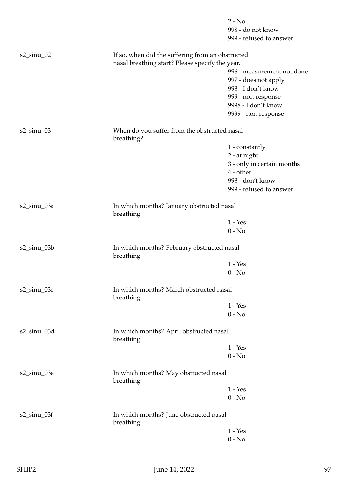|                |                                                            | $2 - No$<br>998 - do not know<br>999 - refused to answer                 |
|----------------|------------------------------------------------------------|--------------------------------------------------------------------------|
| $s2$ _sinu_02  | If so, when did the suffering from an obstructed           |                                                                          |
|                | nasal breathing start? Please specify the year.            | 996 - measurement not done<br>997 - does not apply<br>998 - I don't know |
|                |                                                            | 999 - non-response<br>9998 - I don't know<br>9999 - non-response         |
| $s2$ _sinu_03  | When do you suffer from the obstructed nasal<br>breathing? |                                                                          |
|                |                                                            | 1 - constantly                                                           |
|                |                                                            | 2 - at night                                                             |
|                |                                                            | 3 - only in certain months<br>4 - other                                  |
|                |                                                            | 998 - don't know                                                         |
|                |                                                            | 999 - refused to answer                                                  |
| s2_sinu_03a    | In which months? January obstructed nasal<br>breathing     |                                                                          |
|                |                                                            | $1 - Yes$                                                                |
|                |                                                            | $0 - No$                                                                 |
| s2_sinu_03b    | In which months? February obstructed nasal<br>breathing    |                                                                          |
|                |                                                            | $1 - Yes$                                                                |
|                |                                                            | $0 - No$                                                                 |
| s2_sinu_03c    | In which months? March obstructed nasal<br>breathing       |                                                                          |
|                |                                                            | $1 - Yes$                                                                |
|                |                                                            | $0 - No$                                                                 |
| $s2$ _sinu_03d | In which months? April obstructed nasal<br>breathing       |                                                                          |
|                |                                                            | $1 - Yes$                                                                |
|                |                                                            | $0 - No$                                                                 |
| s2_sinu_03e    | In which months? May obstructed nasal<br>breathing         |                                                                          |
|                |                                                            | $1 - Yes$                                                                |
|                |                                                            | $0 - No$                                                                 |
| $s2$ _sinu_03f | In which months? June obstructed nasal<br>breathing        |                                                                          |
|                |                                                            | $1 - Yes$                                                                |
|                |                                                            | $0 - No$                                                                 |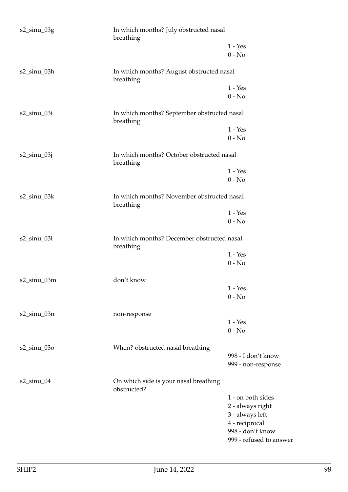| $s2$ _sinu_03g    | In which months? July obstructed nasal<br>breathing      |                         |
|-------------------|----------------------------------------------------------|-------------------------|
|                   |                                                          | $1 - Yes$<br>$0 - No$   |
| s2_sinu_03h       | In which months? August obstructed nasal<br>breathing    |                         |
|                   |                                                          | $1 - Yes$               |
|                   |                                                          | $0 - No$                |
| $s2$ _sinu_03i    | In which months? September obstructed nasal<br>breathing |                         |
|                   |                                                          | $1 - Yes$               |
|                   |                                                          | $0 - No$                |
| s2_sinu_03j       | In which months? October obstructed nasal<br>breathing   |                         |
|                   |                                                          | $1 - Yes$               |
|                   |                                                          | $0 - No$                |
| $s2$ _sinu_03 $k$ | In which months? November obstructed nasal<br>breathing  |                         |
|                   |                                                          | $1 - Yes$               |
|                   |                                                          | $0 - No$                |
| s2_sinu_03l       | In which months? December obstructed nasal<br>breathing  |                         |
|                   |                                                          | $1 - Yes$               |
|                   |                                                          | $0 - No$                |
| s2_sinu_03m       | don't know                                               |                         |
|                   |                                                          | $1 - Yes$               |
|                   |                                                          | $0 - No$                |
| $s2$ _sinu_03n    | non-response                                             |                         |
|                   |                                                          | $1 - Yes$               |
|                   |                                                          | $0 - No$                |
| $s2$ _sinu_03o    | When? obstructed nasal breathing                         |                         |
|                   |                                                          | 998 - I don't know      |
|                   |                                                          | 999 - non-response      |
| $s2$ _sinu_04     | On which side is your nasal breathing<br>obstructed?     |                         |
|                   |                                                          | 1 - on both sides       |
|                   |                                                          | 2 - always right        |
|                   |                                                          | 3 - always left         |
|                   |                                                          | 4 - reciprocal          |
|                   |                                                          | 998 - don't know        |
|                   |                                                          | 999 - refused to answer |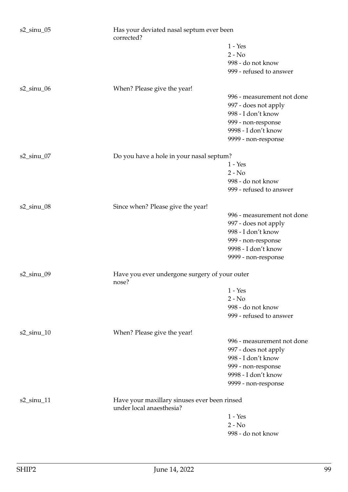| $s2$ _sinu_05 | Has your deviated nasal septum ever been<br>corrected?                   |                                          |
|---------------|--------------------------------------------------------------------------|------------------------------------------|
|               |                                                                          | $1 - Yes$                                |
|               |                                                                          | $2 - No$                                 |
|               |                                                                          | 998 - do not know                        |
|               |                                                                          | 999 - refused to answer                  |
| $s2$ _sinu_06 | When? Please give the year!                                              |                                          |
|               |                                                                          | 996 - measurement not done               |
|               |                                                                          | 997 - does not apply                     |
|               |                                                                          | 998 - I don't know<br>999 - non-response |
|               |                                                                          | 9998 - I don't know                      |
|               |                                                                          | 9999 - non-response                      |
|               |                                                                          |                                          |
| $s2$ _sinu_07 | Do you have a hole in your nasal septum?                                 |                                          |
|               |                                                                          | $1 - Yes$                                |
|               |                                                                          | $2 - No$                                 |
|               |                                                                          | 998 - do not know                        |
|               |                                                                          | 999 - refused to answer                  |
| $s2$ _sinu_08 | Since when? Please give the year!                                        |                                          |
|               |                                                                          | 996 - measurement not done               |
|               |                                                                          | 997 - does not apply                     |
|               |                                                                          | 998 - I don't know                       |
|               |                                                                          | 999 - non-response                       |
|               |                                                                          | 9998 - I don't know                      |
|               |                                                                          | 9999 - non-response                      |
| $s2$ _sinu_09 | Have you ever undergone surgery of your outer<br>nose?                   |                                          |
|               |                                                                          | $1 - Yes$                                |
|               |                                                                          | $2 - No$                                 |
|               |                                                                          | 998 - do not know                        |
|               |                                                                          | 999 - refused to answer                  |
| $s2$ _sinu_10 | When? Please give the year!                                              |                                          |
|               |                                                                          | 996 - measurement not done               |
|               |                                                                          | 997 - does not apply                     |
|               |                                                                          | 998 - I don't know                       |
|               |                                                                          | 999 - non-response                       |
|               |                                                                          | 9998 - I don't know                      |
|               |                                                                          | 9999 - non-response                      |
| $s2$ _sinu_11 | Have your maxillary sinuses ever been rinsed<br>under local anaesthesia? |                                          |
|               |                                                                          | $1 - Yes$                                |
|               |                                                                          | $2 - No$                                 |
|               |                                                                          | 998 - do not know                        |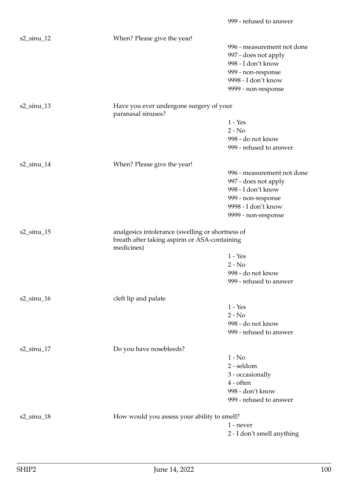| $s2$ _sinu_12 | When? Please give the year!                                                                                     |                            |
|---------------|-----------------------------------------------------------------------------------------------------------------|----------------------------|
|               |                                                                                                                 | 996 - measurement not done |
|               |                                                                                                                 | 997 - does not apply       |
|               |                                                                                                                 | 998 - I don't know         |
|               |                                                                                                                 | 999 - non-response         |
|               |                                                                                                                 | 9998 - I don't know        |
|               |                                                                                                                 | 9999 - non-response        |
| $s2$ _sinu_13 | Have you ever undergone surgery of your<br>paranasal sinuses?                                                   |                            |
|               |                                                                                                                 | $1 - Yes$                  |
|               |                                                                                                                 | $2 - No$                   |
|               |                                                                                                                 | 998 - do not know          |
|               |                                                                                                                 | 999 - refused to answer    |
| $s2$ _sinu_14 | When? Please give the year!                                                                                     |                            |
|               |                                                                                                                 | 996 - measurement not done |
|               |                                                                                                                 | 997 - does not apply       |
|               |                                                                                                                 | 998 - I don't know         |
|               |                                                                                                                 | 999 - non-response         |
|               |                                                                                                                 | 9998 - I don't know        |
|               |                                                                                                                 | 9999 - non-response        |
|               |                                                                                                                 |                            |
| $s2$ _sinu_15 | analgesics intolerance (swelling or shortness of<br>breath after taking aspirin or ASA-containing<br>medicines) |                            |
|               |                                                                                                                 | $1 - Yes$                  |
|               |                                                                                                                 | $2 - No$                   |
|               |                                                                                                                 | 998 - do not know          |
|               |                                                                                                                 | 999 - refused to answer    |
| $s2$ _sinu_16 | cleft lip and palate                                                                                            |                            |
|               |                                                                                                                 | $1 - Yes$                  |
|               |                                                                                                                 | $2 - No$                   |
|               |                                                                                                                 | 998 - do not know          |
|               |                                                                                                                 | 999 - refused to answer    |
| $s2$ _sinu_17 | Do you have nosebleeds?                                                                                         |                            |
|               |                                                                                                                 | $1 - No$                   |
|               |                                                                                                                 | 2 - seldom                 |
|               |                                                                                                                 | 3 - occasionally           |
|               |                                                                                                                 | 4 - often                  |
|               |                                                                                                                 | 998 - don't know           |
|               |                                                                                                                 | 999 - refused to answer    |
| $s2$ _sinu_18 | How would you assess your ability to smell?                                                                     |                            |
|               |                                                                                                                 | 1 - never                  |
|               |                                                                                                                 | 2 - I don't smell anything |

999 - refused to answer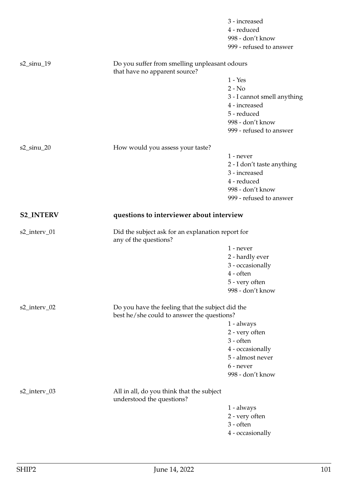|                  |                                                                                | 3 - increased                      |
|------------------|--------------------------------------------------------------------------------|------------------------------------|
|                  |                                                                                | 4 - reduced                        |
|                  |                                                                                | 998 - don't know                   |
|                  |                                                                                | 999 - refused to answer            |
| $s2$ _sinu_19    | Do you suffer from smelling unpleasant odours<br>that have no apparent source? |                                    |
|                  |                                                                                | $1 - Yes$                          |
|                  |                                                                                | $2 - No$                           |
|                  |                                                                                | 3 - I cannot smell anything        |
|                  |                                                                                | 4 - increased                      |
|                  |                                                                                | 5 - reduced                        |
|                  |                                                                                | 998 - don't know                   |
|                  |                                                                                | 999 - refused to answer            |
| s2_sinu_20       | How would you assess your taste?                                               |                                    |
|                  |                                                                                | $1$ - never                        |
|                  |                                                                                | 2 - I don't taste anything         |
|                  |                                                                                | 3 - increased                      |
|                  |                                                                                | 4 - reduced                        |
|                  |                                                                                | 998 - don't know                   |
|                  |                                                                                | 999 - refused to answer            |
| <b>S2_INTERV</b> | questions to interviewer about interview                                       |                                    |
|                  |                                                                                |                                    |
| s2_interv_01     | Did the subject ask for an explanation report for                              |                                    |
|                  | any of the questions?                                                          | $1$ - never                        |
|                  |                                                                                |                                    |
|                  |                                                                                | 2 - hardly ever                    |
|                  |                                                                                | 3 - occasionally<br>$4$ - often    |
|                  |                                                                                |                                    |
|                  |                                                                                | 5 - very often<br>998 - don't know |
| s2_interv_02     | Do you have the feeling that the subject did the                               |                                    |
|                  | best he/she could to answer the questions?                                     |                                    |
|                  |                                                                                | $1 - always$                       |
|                  |                                                                                | 2 - very often                     |
|                  |                                                                                | $3 - often$                        |
|                  |                                                                                | 4 - occasionally                   |
|                  |                                                                                | 5 - almost never                   |
|                  |                                                                                | 6 - never<br>998 - don't know      |
| s2_interv_03     | All in all, do you think that the subject<br>understood the questions?         |                                    |
|                  |                                                                                | 1 - always                         |
|                  |                                                                                | 2 - very often                     |
|                  |                                                                                | $3 - often$                        |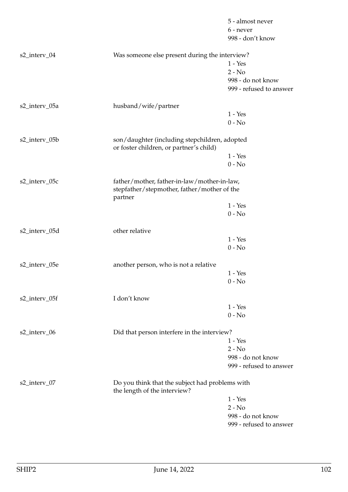|               |                                                                                          | 5 - almost never        |
|---------------|------------------------------------------------------------------------------------------|-------------------------|
|               |                                                                                          | 6 - never               |
|               |                                                                                          | 998 - don't know        |
| s2_interv_04  | Was someone else present during the interview?                                           |                         |
|               |                                                                                          | $1 - Yes$               |
|               |                                                                                          | $2 - No$                |
|               |                                                                                          | 998 - do not know       |
|               |                                                                                          | 999 - refused to answer |
| s2_interv_05a | husband/wife/partner                                                                     |                         |
|               |                                                                                          | $1 - Yes$               |
|               |                                                                                          | $0 - No$                |
| s2_interv_05b | son/daughter (including stepchildren, adopted<br>or foster children, or partner's child) |                         |
|               |                                                                                          | $1 - Yes$               |
|               |                                                                                          | $0 - No$                |
| s2_interv_05c | father/mother, father-in-law/mother-in-law,                                              |                         |
|               | stepfather/stepmother, father/mother of the<br>partner                                   |                         |
|               |                                                                                          | $1 - Yes$               |
|               |                                                                                          | $0 - No$                |
| s2_interv_05d | other relative                                                                           |                         |
|               |                                                                                          | $1 - Yes$               |
|               |                                                                                          | $0 - No$                |
| s2_interv_05e | another person, who is not a relative                                                    |                         |
|               |                                                                                          | $1 - Yes$               |
|               |                                                                                          | $0 - No$                |
| s2_interv_05f | I don't know                                                                             |                         |
|               |                                                                                          | $1 - Yes$               |
|               |                                                                                          | $0 - No$                |
| s2_interv_06  | Did that person interfere in the interview?                                              |                         |
|               |                                                                                          | $1 - Yes$               |
|               |                                                                                          | $2 - No$                |
|               |                                                                                          | 998 - do not know       |
|               |                                                                                          | 999 - refused to answer |
| s2_interv_07  | Do you think that the subject had problems with<br>the length of the interview?          |                         |
|               |                                                                                          | $1 - Yes$               |
|               |                                                                                          | $2 - No$                |
|               |                                                                                          | 998 - do not know       |
|               |                                                                                          | 999 - refused to answer |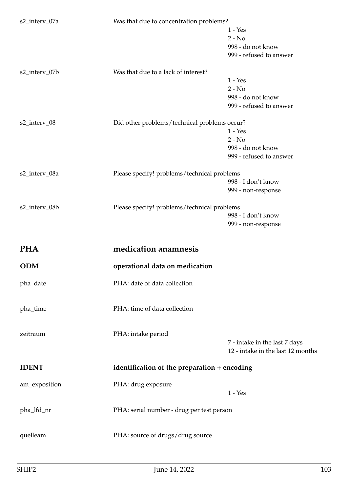| s2_interv_07a | Was that due to concentration problems?      |                                                                    |  |
|---------------|----------------------------------------------|--------------------------------------------------------------------|--|
|               |                                              | $1 - Yes$                                                          |  |
|               |                                              | $2 - No$                                                           |  |
|               |                                              | 998 - do not know                                                  |  |
|               |                                              |                                                                    |  |
|               |                                              | 999 - refused to answer                                            |  |
| s2_interv_07b | Was that due to a lack of interest?          |                                                                    |  |
|               |                                              | $1 - Yes$                                                          |  |
|               |                                              | $2 - No$                                                           |  |
|               |                                              | 998 - do not know                                                  |  |
|               |                                              | 999 - refused to answer                                            |  |
|               |                                              |                                                                    |  |
| s2_interv_08  | Did other problems/technical problems occur? |                                                                    |  |
|               |                                              | $1 - Yes$                                                          |  |
|               |                                              | $2 - No$                                                           |  |
|               |                                              | 998 - do not know                                                  |  |
|               |                                              | 999 - refused to answer                                            |  |
| s2_interv_08a | Please specify! problems/technical problems  |                                                                    |  |
|               |                                              | 998 - I don't know                                                 |  |
|               |                                              |                                                                    |  |
|               |                                              | 999 - non-response                                                 |  |
| s2_interv_08b | Please specify! problems/technical problems  |                                                                    |  |
|               |                                              | 998 - I don't know                                                 |  |
|               |                                              | 999 - non-response                                                 |  |
|               |                                              |                                                                    |  |
|               |                                              |                                                                    |  |
| <b>PHA</b>    | medication anamnesis                         |                                                                    |  |
|               |                                              |                                                                    |  |
| <b>ODM</b>    | operational data on medication               |                                                                    |  |
| pha_date      | PHA: date of data collection                 |                                                                    |  |
|               |                                              |                                                                    |  |
|               |                                              |                                                                    |  |
| pha_time      | PHA: time of data collection                 |                                                                    |  |
|               |                                              |                                                                    |  |
| zeitraum      | PHA: intake period                           |                                                                    |  |
|               |                                              |                                                                    |  |
|               |                                              | 7 - intake in the last 7 days<br>12 - intake in the last 12 months |  |
|               |                                              |                                                                    |  |
| <b>IDENT</b>  | identification of the preparation + encoding |                                                                    |  |
|               |                                              |                                                                    |  |
| am_exposition | PHA: drug exposure                           | $1 - Yes$                                                          |  |
|               |                                              |                                                                    |  |
| pha_lfd_nr    | PHA: serial number - drug per test person    |                                                                    |  |
|               |                                              |                                                                    |  |
|               |                                              |                                                                    |  |
| quelleam      | PHA: source of drugs/drug source             |                                                                    |  |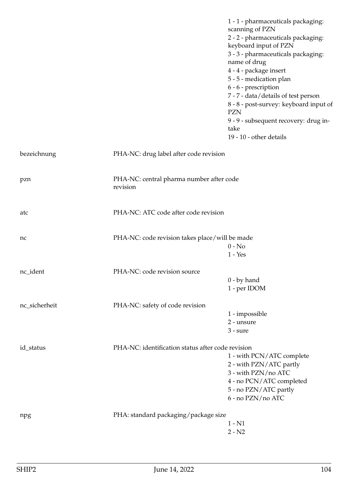|               |                                                      | 1 - 1 - pharmaceuticals packaging:<br>scanning of PZN<br>2 - 2 - pharmaceuticals packaging:<br>keyboard input of PZN<br>3 - 3 - pharmaceuticals packaging:<br>name of drug<br>4 - 4 - package insert<br>5 - 5 - medication plan<br>6 - 6 - prescription<br>7 - 7 - data/details of test person<br>8 - 8 - post-survey: keyboard input of<br><b>PZN</b><br>9 - 9 - subsequent recovery: drug in-<br>take |
|---------------|------------------------------------------------------|---------------------------------------------------------------------------------------------------------------------------------------------------------------------------------------------------------------------------------------------------------------------------------------------------------------------------------------------------------------------------------------------------------|
|               |                                                      | 19 - 10 - other details                                                                                                                                                                                                                                                                                                                                                                                 |
| bezeichnung   | PHA-NC: drug label after code revision               |                                                                                                                                                                                                                                                                                                                                                                                                         |
| pzn           | PHA-NC: central pharma number after code<br>revision |                                                                                                                                                                                                                                                                                                                                                                                                         |
| atc           | PHA-NC: ATC code after code revision                 |                                                                                                                                                                                                                                                                                                                                                                                                         |
| nc            | PHA-NC: code revision takes place/will be made       | $0 - No$<br>$1 - Yes$                                                                                                                                                                                                                                                                                                                                                                                   |
| nc_ident      | PHA-NC: code revision source                         |                                                                                                                                                                                                                                                                                                                                                                                                         |
|               |                                                      | $0 - by hand$<br>1 - per IDOM                                                                                                                                                                                                                                                                                                                                                                           |
| nc_sicherheit | PHA-NC: safety of code revision                      |                                                                                                                                                                                                                                                                                                                                                                                                         |
|               |                                                      | 1 - impossible<br>2 - unsure<br>$3 - sure$                                                                                                                                                                                                                                                                                                                                                              |
| id_status     | PHA-NC: identification status after code revision    | 1 - with PCN/ATC complete<br>2 - with PZN/ATC partly<br>3 - with PZN/no ATC<br>4 - no PCN/ATC completed<br>5 - no PZN/ATC partly<br>6 - no PZN/no ATC                                                                                                                                                                                                                                                   |
| npg           | PHA: standard packaging/package size                 | $1 - N1$<br>$2 - N2$                                                                                                                                                                                                                                                                                                                                                                                    |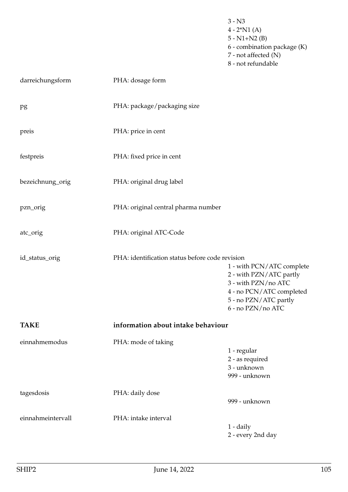- $4 2^*N1(A)$ 5 - N1+N2 (B) 6 - combination package (K) 7 - not affected (N) 8 - not refundable darreichungsform PHA: dosage form pg PHA: package/packaging size preis PHA: price in cent festpreis PHA: fixed price in cent bezeichnung\_orig PHA: original drug label pzn\_orig PHA: original central pharma number atc\_orig PHA: original ATC-Code id\_status\_orig PHA: identification status before code revision 1 - with PCN/ATC complete 2 - with PZN/ATC partly 3 - with PZN/no ATC 4 - no PCN/ATC completed 5 - no PZN/ATC partly 6 - no PZN/no ATC **TAKE information about intake behaviour** einnahmemodus PHA: mode of taking 1 - regular 2 - as required 3 - unknown 999 - unknown tagesdosis PHA: daily dose 999 - unknown einnahmeintervall PHA: intake interval 1 - daily
	- 2 every 2nd day

3 - N3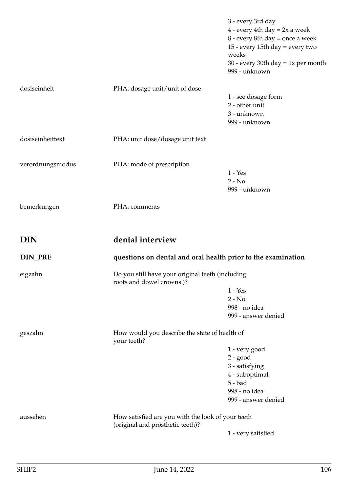| dosiseinheit<br>PHA: dosage unit/unit of dose<br>dosiseinheittext<br>PHA: unit dose/dosage unit text<br>verordnungsmodus<br>PHA: mode of prescription<br>PHA: comments<br>bemerkungen | 1 - see dosage form<br>2 - other unit<br>3 - unknown<br>999 - unknown<br>$1 - Yes$    |
|---------------------------------------------------------------------------------------------------------------------------------------------------------------------------------------|---------------------------------------------------------------------------------------|
|                                                                                                                                                                                       |                                                                                       |
|                                                                                                                                                                                       |                                                                                       |
|                                                                                                                                                                                       |                                                                                       |
|                                                                                                                                                                                       | $2 - No$<br>999 - unknown                                                             |
|                                                                                                                                                                                       |                                                                                       |
| dental interview<br><b>DIN</b>                                                                                                                                                        |                                                                                       |
| <b>DIN_PRE</b><br>questions on dental and oral health prior to the examination                                                                                                        |                                                                                       |
| Do you still have your original teeth (including<br>eigzahn<br>roots and dowel crowns)?                                                                                               |                                                                                       |
|                                                                                                                                                                                       | $1 - Yes$<br>$2 - No$<br>998 - no idea<br>999 - answer denied                         |
| How would you describe the state of health of<br>geszahn<br>your teeth?                                                                                                               |                                                                                       |
|                                                                                                                                                                                       | 1 - very good<br>$2 - good$                                                           |
|                                                                                                                                                                                       | 3 - satisfying<br>4 - suboptimal<br>$5 - bad$<br>998 - no idea<br>999 - answer denied |
| aussehen<br>How satisfied are you with the look of your teeth<br>(original and prosthetic teeth)?                                                                                     |                                                                                       |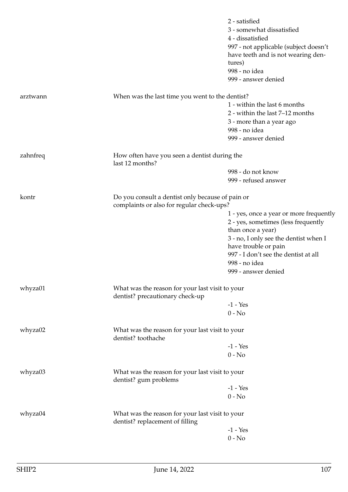|          |                                                                                               | 2 - satisfied<br>3 - somewhat dissatisfied<br>4 - dissatisfied<br>997 - not applicable (subject doesn't<br>have teeth and is not wearing den-<br>tures)<br>998 - no idea<br>999 - answer denied                                                      |
|----------|-----------------------------------------------------------------------------------------------|------------------------------------------------------------------------------------------------------------------------------------------------------------------------------------------------------------------------------------------------------|
| arztwann | When was the last time you went to the dentist?                                               | 1 - within the last 6 months<br>2 - within the last 7-12 months<br>3 - more than a year ago<br>998 - no idea<br>999 - answer denied                                                                                                                  |
| zahnfreq | How often have you seen a dentist during the<br>last 12 months?                               |                                                                                                                                                                                                                                                      |
|          |                                                                                               | 998 - do not know<br>999 - refused answer                                                                                                                                                                                                            |
| kontr    | Do you consult a dentist only because of pain or<br>complaints or also for regular check-ups? | 1 - yes, once a year or more frequently<br>2 - yes, sometimes (less frequently<br>than once a year)<br>3 - no, I only see the dentist when I<br>have trouble or pain<br>997 - I don't see the dentist at all<br>998 - no idea<br>999 - answer denied |
| whyza01  | What was the reason for your last visit to your<br>dentist? precautionary check-up            | $-1 - Yes$<br>$0 - No$                                                                                                                                                                                                                               |
| whyza02  | What was the reason for your last visit to your<br>dentist? toothache                         | $-1 - Yes$<br>$0 - No$                                                                                                                                                                                                                               |
| whyza03  | What was the reason for your last visit to your<br>dentist? gum problems                      | $-1 - Yes$<br>$0 - No$                                                                                                                                                                                                                               |
| whyza04  | What was the reason for your last visit to your<br>dentist? replacement of filling            | $-1 - Yes$<br>$0 - No$                                                                                                                                                                                                                               |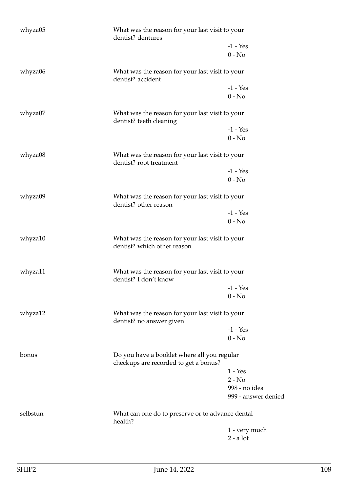| whyza05  | What was the reason for your last visit to your<br>dentist? dentures                 |                                      |
|----------|--------------------------------------------------------------------------------------|--------------------------------------|
|          |                                                                                      | $-1 - Yes$                           |
|          |                                                                                      | $0 - No$                             |
| whyza06  | What was the reason for your last visit to your<br>dentist? accident                 |                                      |
|          |                                                                                      | $-1 - Yes$                           |
|          |                                                                                      | $0 - No$                             |
| whyza07  | What was the reason for your last visit to your<br>dentist? teeth cleaning           |                                      |
|          |                                                                                      | $-1 - Yes$                           |
|          |                                                                                      | $0 - No$                             |
| whyza08  | What was the reason for your last visit to your<br>dentist? root treatment           |                                      |
|          |                                                                                      | $-1 - Yes$                           |
|          |                                                                                      | $0 - No$                             |
| whyza09  | What was the reason for your last visit to your<br>dentist? other reason             |                                      |
|          |                                                                                      | $-1 - Yes$                           |
|          |                                                                                      | $0 - No$                             |
| whyza10  | What was the reason for your last visit to your<br>dentist? which other reason       |                                      |
| whyza11  | What was the reason for your last visit to your<br>dentist? I don't know             |                                      |
|          |                                                                                      | $-1 - Yes$                           |
|          |                                                                                      | $0 - No$                             |
| whyza12  | What was the reason for your last visit to your<br>dentist? no answer given          |                                      |
|          |                                                                                      | $-1 - Yes$                           |
|          |                                                                                      | $0 - No$                             |
| bonus    | Do you have a booklet where all you regular<br>checkups are recorded to get a bonus? |                                      |
|          |                                                                                      | $1 - Yes$                            |
|          |                                                                                      | $2 - No$                             |
|          |                                                                                      | 998 - no idea<br>999 - answer denied |
|          |                                                                                      |                                      |
| selbstun | What can one do to preserve or to advance dental<br>health?                          |                                      |
|          |                                                                                      | 1 - very much                        |
|          |                                                                                      | $2 - a$ lot                          |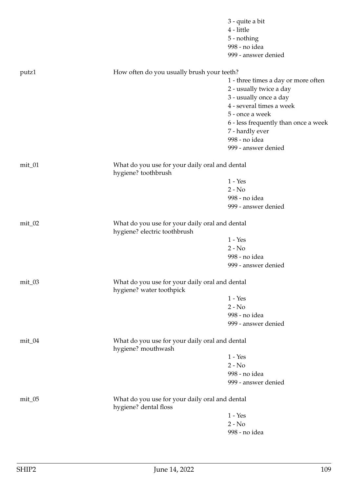|           |                                                                                | 3 - quite a bit                      |
|-----------|--------------------------------------------------------------------------------|--------------------------------------|
|           |                                                                                | 4 - little                           |
|           |                                                                                | 5 - nothing                          |
|           |                                                                                | 998 - no idea                        |
|           |                                                                                | 999 - answer denied                  |
| putz1     | How often do you usually brush your teeth?                                     |                                      |
|           |                                                                                | 1 - three times a day or more often  |
|           |                                                                                | 2 - usually twice a day              |
|           |                                                                                | 3 - usually once a day               |
|           |                                                                                | 4 - several times a week             |
|           |                                                                                | 5 - once a week                      |
|           |                                                                                | 6 - less frequently than once a week |
|           |                                                                                | 7 - hardly ever                      |
|           |                                                                                | 998 - no idea                        |
|           |                                                                                | 999 - answer denied                  |
| mit_01    | What do you use for your daily oral and dental<br>hygiene? toothbrush          |                                      |
|           |                                                                                | $1 - Yes$                            |
|           |                                                                                | $2 - No$                             |
|           |                                                                                | 998 - no idea                        |
|           |                                                                                | 999 - answer denied                  |
| $mit_02$  | What do you use for your daily oral and dental<br>hygiene? electric toothbrush |                                      |
|           |                                                                                | $1 - Yes$                            |
|           |                                                                                | $2 - No$                             |
|           |                                                                                | 998 - no idea                        |
|           |                                                                                | 999 - answer denied                  |
| $mit_0$ 3 | What do you use for your daily oral and dental<br>hygiene? water toothpick     |                                      |
|           |                                                                                | $1 - Yes$                            |
|           |                                                                                | $2 - No$                             |
|           |                                                                                | 998 - no idea                        |
|           |                                                                                | 999 - answer denied                  |
| $mit_04$  | What do you use for your daily oral and dental<br>hygiene? mouthwash           |                                      |
|           |                                                                                | $1 - Yes$                            |
|           |                                                                                | $2 - No$                             |
|           |                                                                                | 998 - no idea                        |
|           |                                                                                | 999 - answer denied                  |
| $mit_0$   | What do you use for your daily oral and dental<br>hygiene? dental floss        |                                      |
|           |                                                                                | $1 - Yes$                            |
|           |                                                                                | $2 - No$                             |
|           |                                                                                | 998 - no idea                        |
|           |                                                                                |                                      |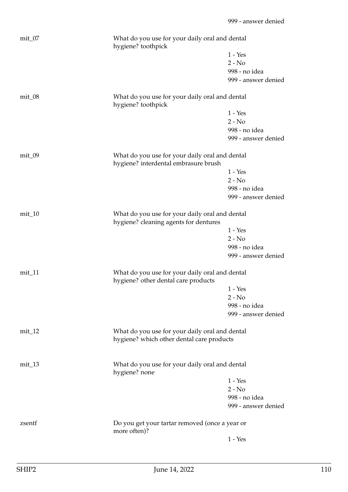| $mit_0$    | What do you use for your daily oral and dental<br>hygiene? toothpick                        |                     |
|------------|---------------------------------------------------------------------------------------------|---------------------|
|            |                                                                                             | $1 - Yes$           |
|            |                                                                                             | $2 - No$            |
|            |                                                                                             | 998 - no idea       |
|            |                                                                                             | 999 - answer denied |
| $mit_0$ 8  | What do you use for your daily oral and dental<br>hygiene? toothpick                        |                     |
|            |                                                                                             | $1 - Yes$           |
|            |                                                                                             | $2 - No$            |
|            |                                                                                             | 998 - no idea       |
|            |                                                                                             | 999 - answer denied |
| $mit_0$ 09 | What do you use for your daily oral and dental<br>hygiene? interdental embrasure brush      |                     |
|            |                                                                                             | $1 - Yes$           |
|            |                                                                                             | $2 - No$            |
|            |                                                                                             | 998 - no idea       |
|            |                                                                                             | 999 - answer denied |
| $mit_1$ 0  | What do you use for your daily oral and dental<br>hygiene? cleaning agents for dentures     |                     |
|            |                                                                                             | $1 - Yes$           |
|            |                                                                                             | $2 - No$            |
|            |                                                                                             | 998 - no idea       |
|            |                                                                                             | 999 - answer denied |
| $mit_11$   | What do you use for your daily oral and dental<br>hygiene? other dental care products       |                     |
|            |                                                                                             | $1 - Yes$           |
|            |                                                                                             | $2 - No$            |
|            |                                                                                             | 998 - no idea       |
|            |                                                                                             | 999 - answer denied |
| $mit_12$   | What do you use for your daily oral and dental<br>hygiene? which other dental care products |                     |
| $mit_13$   | What do you use for your daily oral and dental<br>hygiene? none                             |                     |
|            |                                                                                             | $1 - Yes$           |
|            |                                                                                             | $2 - No$            |
|            |                                                                                             | 998 - no idea       |
|            |                                                                                             | 999 - answer denied |
| zsentf     | Do you get your tartar removed (once a year or<br>more often)?                              |                     |
|            |                                                                                             | $1 - Yes$           |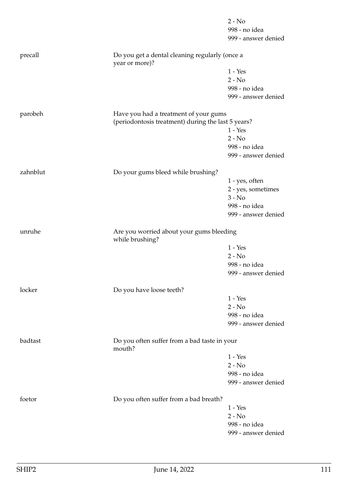|          |                                                                                             | $2 - No$            |
|----------|---------------------------------------------------------------------------------------------|---------------------|
|          |                                                                                             | 998 - no idea       |
|          |                                                                                             | 999 - answer denied |
| precall  | Do you get a dental cleaning regularly (once a<br>year or more)?                            |                     |
|          |                                                                                             | $1 - Yes$           |
|          |                                                                                             | $2 - No$            |
|          |                                                                                             | 998 - no idea       |
|          |                                                                                             | 999 - answer denied |
| parobeh  | Have you had a treatment of your gums<br>(periodontosis treatment) during the last 5 years? | $1 - Yes$           |
|          |                                                                                             | $2 - No$            |
|          |                                                                                             | 998 - no idea       |
|          |                                                                                             | 999 - answer denied |
| zahnblut | Do your gums bleed while brushing?                                                          |                     |
|          |                                                                                             | 1 - yes, often      |
|          |                                                                                             | 2 - yes, sometimes  |
|          |                                                                                             | $3 - No$            |
|          |                                                                                             | 998 - no idea       |
|          |                                                                                             | 999 - answer denied |
| unruhe   | Are you worried about your gums bleeding<br>while brushing?                                 |                     |
|          |                                                                                             | $1 - Yes$           |
|          |                                                                                             | $2 - No$            |
|          |                                                                                             | 998 - no idea       |
|          |                                                                                             | 999 - answer denied |
| locker   | Do you have loose teeth?                                                                    |                     |
|          |                                                                                             | $1 - Yes$           |
|          |                                                                                             | $2 - No$            |
|          |                                                                                             | 998 - no idea       |
|          |                                                                                             | 999 - answer denied |
| badtast  | Do you often suffer from a bad taste in your<br>mouth?                                      |                     |
|          |                                                                                             | $1 - Yes$           |
|          |                                                                                             | $2 - No$            |
|          |                                                                                             | 998 - no idea       |
|          |                                                                                             | 999 - answer denied |
| foetor   | Do you often suffer from a bad breath?                                                      |                     |
|          |                                                                                             | $1 - Yes$           |
|          |                                                                                             | $2 - No$            |
|          |                                                                                             | 998 - no idea       |
|          |                                                                                             | 999 - answer denied |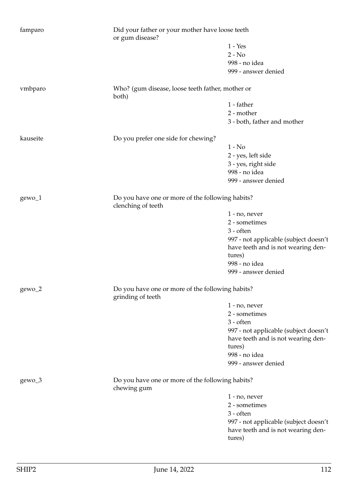| famparo                                                                                     | Did your father or your mother have loose teeth<br>or gum disease?     |                                              |
|---------------------------------------------------------------------------------------------|------------------------------------------------------------------------|----------------------------------------------|
|                                                                                             |                                                                        | $1 - Yes$                                    |
|                                                                                             |                                                                        | $2 - No$                                     |
|                                                                                             |                                                                        | 998 - no idea                                |
|                                                                                             |                                                                        | 999 - answer denied                          |
| vmbparo                                                                                     | Who? (gum disease, loose teeth father, mother or<br>both)              |                                              |
|                                                                                             |                                                                        | 1 - father                                   |
|                                                                                             |                                                                        | 2 - mother                                   |
|                                                                                             |                                                                        | 3 - both, father and mother                  |
|                                                                                             |                                                                        |                                              |
| kauseite                                                                                    | Do you prefer one side for chewing?                                    |                                              |
|                                                                                             |                                                                        | $1 - No$                                     |
|                                                                                             |                                                                        | 2 - yes, left side                           |
|                                                                                             |                                                                        | 3 - yes, right side                          |
|                                                                                             |                                                                        | 998 - no idea                                |
|                                                                                             |                                                                        | 999 - answer denied                          |
| $gewo_1$                                                                                    | Do you have one or more of the following habits?<br>clenching of teeth |                                              |
|                                                                                             |                                                                        | $1 - no$ , never                             |
|                                                                                             |                                                                        | 2 - sometimes                                |
|                                                                                             |                                                                        | 3 - often                                    |
|                                                                                             |                                                                        | 997 - not applicable (subject doesn't        |
|                                                                                             |                                                                        | have teeth and is not wearing den-           |
|                                                                                             |                                                                        | tures)                                       |
|                                                                                             |                                                                        | 998 - no idea                                |
|                                                                                             |                                                                        | 999 - answer denied                          |
|                                                                                             |                                                                        |                                              |
| Do you have one or more of the following habits?<br>gewo <sub>_2</sub><br>grinding of teeth |                                                                        |                                              |
|                                                                                             |                                                                        | $1 - no$ , never                             |
|                                                                                             |                                                                        | 2 - sometimes                                |
|                                                                                             |                                                                        | 3 - often                                    |
|                                                                                             |                                                                        | 997 - not applicable (subject doesn't        |
|                                                                                             |                                                                        | have teeth and is not wearing den-           |
|                                                                                             |                                                                        | tures)                                       |
|                                                                                             |                                                                        | 998 - no idea                                |
|                                                                                             |                                                                        | 999 - answer denied                          |
| gewo_3                                                                                      | Do you have one or more of the following habits?                       |                                              |
|                                                                                             | chewing gum                                                            |                                              |
|                                                                                             |                                                                        | $1 - no$ , never                             |
|                                                                                             |                                                                        | 2 - sometimes                                |
|                                                                                             |                                                                        | 3 - often                                    |
|                                                                                             |                                                                        | 997 - not applicable (subject doesn't        |
|                                                                                             |                                                                        | have teeth and is not wearing den-<br>tures) |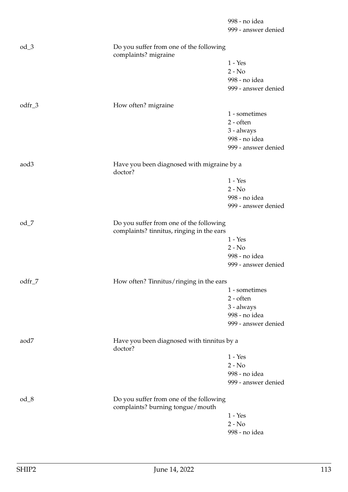|          |                                                                                      | 998 - no idea<br>999 - answer denied |
|----------|--------------------------------------------------------------------------------------|--------------------------------------|
| $od_3$   | Do you suffer from one of the following<br>complaints? migraine                      |                                      |
|          |                                                                                      | $1 - Yes$                            |
|          |                                                                                      | $2 - No$                             |
|          |                                                                                      | 998 - no idea<br>999 - answer denied |
| $odfr_3$ | How often? migraine                                                                  |                                      |
|          |                                                                                      | 1 - sometimes                        |
|          |                                                                                      | $2 - often$<br>3 - always            |
|          |                                                                                      | 998 - no idea                        |
|          |                                                                                      | 999 - answer denied                  |
| aod3     | Have you been diagnosed with migraine by a<br>doctor?                                |                                      |
|          |                                                                                      | $1 - Yes$                            |
|          |                                                                                      | $2 - No$                             |
|          |                                                                                      | 998 - no idea                        |
|          |                                                                                      | 999 - answer denied                  |
| $od_7$   | Do you suffer from one of the following<br>complaints? tinnitus, ringing in the ears |                                      |
|          |                                                                                      | $1 - Yes$                            |
|          |                                                                                      | $2 - No$                             |
|          |                                                                                      | 998 - no idea                        |
|          |                                                                                      | 999 - answer denied                  |
| odfr_7   | How often? Tinnitus/ringing in the ears                                              |                                      |
|          |                                                                                      | 1 - sometimes                        |
|          |                                                                                      | 2 - often                            |
|          |                                                                                      | 3 - always<br>998 - no idea          |
|          |                                                                                      | 999 - answer denied                  |
| aod7     | Have you been diagnosed with tinnitus by a<br>doctor?                                |                                      |
|          |                                                                                      | $1 - Yes$                            |
|          |                                                                                      | $2 - No$                             |
|          |                                                                                      | 998 - no idea                        |
|          |                                                                                      | 999 - answer denied                  |
| $od_8$   | Do you suffer from one of the following<br>complaints? burning tongue/mouth          |                                      |
|          |                                                                                      | $1 - Yes$                            |
|          |                                                                                      | $2 - No$                             |
|          |                                                                                      | 998 - no idea                        |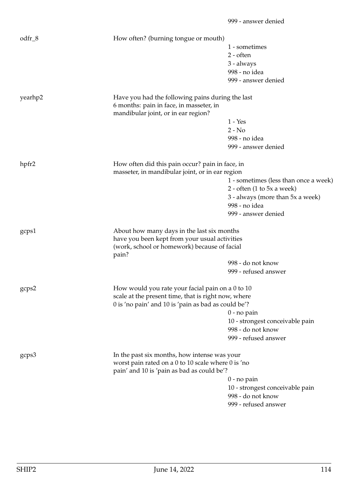| $odfr_8$ | How often? (burning tongue or mouth)                  |                                               |
|----------|-------------------------------------------------------|-----------------------------------------------|
|          |                                                       | 1 - sometimes                                 |
|          |                                                       | $2 - often$                                   |
|          |                                                       | 3 - always                                    |
|          |                                                       | 998 - no idea                                 |
|          |                                                       | 999 - answer denied                           |
| yearhp2  | Have you had the following pains during the last      |                                               |
|          | 6 months: pain in face, in masseter, in               |                                               |
|          | mandibular joint, or in ear region?                   |                                               |
|          |                                                       | $1 - Yes$                                     |
|          |                                                       | $2 - No$                                      |
|          |                                                       | 998 - no idea                                 |
|          |                                                       | 999 - answer denied                           |
| hpfr2    | How often did this pain occur? pain in face, in       |                                               |
|          | masseter, in mandibular joint, or in ear region       |                                               |
|          |                                                       | 1 - sometimes (less than once a week)         |
|          |                                                       | 2 - often $(1 \text{ to } 5x \text{ a week})$ |
|          |                                                       | 3 - always (more than 5x a week)              |
|          |                                                       | 998 - no idea                                 |
|          |                                                       | 999 - answer denied                           |
| gcps1    | About how many days in the last six months            |                                               |
|          | have you been kept from your usual activities         |                                               |
|          | (work, school or homework) because of facial<br>pain? |                                               |
|          |                                                       | 998 - do not know                             |
|          |                                                       | 999 - refused answer                          |
| gcps2    | How would you rate your facial pain on a 0 to 10      |                                               |
|          | scale at the present time, that is right now, where   |                                               |
|          | 0 is 'no pain' and 10 is 'pain as bad as could be'?   |                                               |
|          |                                                       | $0$ - no pain                                 |
|          |                                                       | 10 - strongest conceivable pain               |
|          |                                                       | 998 - do not know                             |
|          |                                                       | 999 - refused answer                          |
| gcps3    | In the past six months, how intense was your          |                                               |
|          | worst pain rated on a 0 to 10 scale where 0 is 'no    |                                               |
|          | pain' and 10 is 'pain as bad as could be'?            |                                               |
|          |                                                       | $0$ - no pain                                 |
|          |                                                       | 10 - strongest conceivable pain               |
|          |                                                       | 998 - do not know                             |
|          |                                                       | 999 - refused answer                          |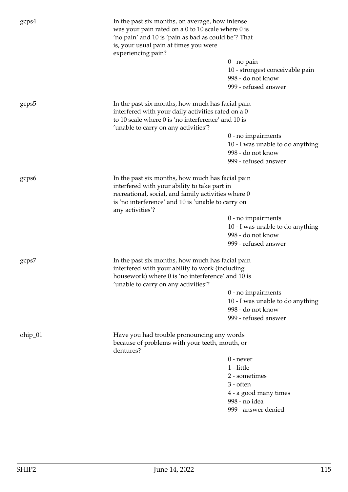| gcps4   | In the past six months, on average, how intense<br>was your pain rated on a 0 to 10 scale where 0 is<br>'no pain' and 10 is 'pain as bad as could be'? That<br>is, your usual pain at times you were<br>experiencing pain? |                                                                                                                                                               |  |
|---------|----------------------------------------------------------------------------------------------------------------------------------------------------------------------------------------------------------------------------|---------------------------------------------------------------------------------------------------------------------------------------------------------------|--|
|         |                                                                                                                                                                                                                            | $0$ - no pain<br>10 - strongest conceivable pain<br>998 - do not know<br>999 - refused answer                                                                 |  |
| gcps5   | In the past six months, how much has facial pain<br>interfered with your daily activities rated on a 0<br>to 10 scale where 0 is 'no interference' and 10 is<br>'unable to carry on any activities'?                       |                                                                                                                                                               |  |
|         |                                                                                                                                                                                                                            | $0$ - no impairments<br>10 - I was unable to do anything<br>998 - do not know<br>999 - refused answer                                                         |  |
| gcps6   | interfered with your ability to take part in<br>any activities'?                                                                                                                                                           | In the past six months, how much has facial pain<br>recreational, social, and family activities where 0<br>is 'no interference' and 10 is 'unable to carry on |  |
|         |                                                                                                                                                                                                                            | $0$ - no impairments<br>10 - I was unable to do anything<br>998 - do not know<br>999 - refused answer                                                         |  |
| gcps7   | In the past six months, how much has facial pain<br>interfered with your ability to work (including<br>housework) where 0 is 'no interference' and 10 is<br>'unable to carry on any activities'?                           |                                                                                                                                                               |  |
|         |                                                                                                                                                                                                                            | $0$ - no impairments<br>10 - I was unable to do anything<br>998 - do not know<br>999 - refused answer                                                         |  |
| ohip_01 | Have you had trouble pronouncing any words<br>because of problems with your teeth, mouth, or<br>dentures?                                                                                                                  |                                                                                                                                                               |  |
|         |                                                                                                                                                                                                                            | $0$ - never                                                                                                                                                   |  |
|         |                                                                                                                                                                                                                            | 1 - little                                                                                                                                                    |  |
|         |                                                                                                                                                                                                                            | 2 - sometimes                                                                                                                                                 |  |
|         |                                                                                                                                                                                                                            | 3 - often                                                                                                                                                     |  |
|         |                                                                                                                                                                                                                            | 4 - a good many times                                                                                                                                         |  |
|         |                                                                                                                                                                                                                            | 998 - no idea                                                                                                                                                 |  |
|         |                                                                                                                                                                                                                            | 999 - answer denied                                                                                                                                           |  |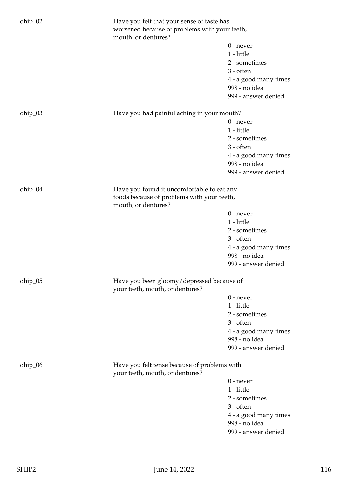| ohip_02 | Have you felt that your sense of taste has<br>worsened because of problems with your teeth,<br>mouth, or dentures? |                       |
|---------|--------------------------------------------------------------------------------------------------------------------|-----------------------|
|         |                                                                                                                    | $0$ - never           |
|         |                                                                                                                    | 1 - little            |
|         |                                                                                                                    |                       |
|         |                                                                                                                    | 2 - sometimes         |
|         |                                                                                                                    | $3 - \text{often}$    |
|         |                                                                                                                    | 4 - a good many times |
|         |                                                                                                                    | 998 - no idea         |
|         |                                                                                                                    | 999 - answer denied   |
| ohip_03 | Have you had painful aching in your mouth?                                                                         |                       |
|         |                                                                                                                    | $0$ - never           |
|         |                                                                                                                    | 1 - little            |
|         |                                                                                                                    | 2 - sometimes         |
|         |                                                                                                                    | $3 - often$           |
|         |                                                                                                                    | 4 - a good many times |
|         |                                                                                                                    | 998 - no idea         |
|         |                                                                                                                    | 999 - answer denied   |
|         |                                                                                                                    |                       |
| ohip_04 | Have you found it uncomfortable to eat any<br>foods because of problems with your teeth,<br>mouth, or dentures?    |                       |
|         |                                                                                                                    | $0$ - never           |
|         |                                                                                                                    | $1$ - little          |
|         |                                                                                                                    | 2 - sometimes         |
|         |                                                                                                                    | $3 - often$           |
|         |                                                                                                                    | 4 - a good many times |
|         |                                                                                                                    | 998 - no idea         |
|         |                                                                                                                    | 999 - answer denied   |
|         |                                                                                                                    |                       |
| ohip_05 | Have you been gloomy/depressed because of                                                                          |                       |
|         | your teeth, mouth, or dentures?                                                                                    |                       |
|         |                                                                                                                    | $0$ - never           |
|         |                                                                                                                    | 1 - little            |
|         |                                                                                                                    | 2 - sometimes         |
|         |                                                                                                                    | $3 - often$           |
|         |                                                                                                                    | 4 - a good many times |
|         |                                                                                                                    | 998 - no idea         |
|         |                                                                                                                    | 999 - answer denied   |
| ohip_06 | Have you felt tense because of problems with<br>your teeth, mouth, or dentures?                                    |                       |
|         |                                                                                                                    | $0$ - never           |
|         |                                                                                                                    | 1 - little            |
|         |                                                                                                                    | 2 - sometimes         |
|         |                                                                                                                    | $3 - often$           |
|         |                                                                                                                    | 4 - a good many times |
|         |                                                                                                                    | 998 - no idea         |
|         |                                                                                                                    | 999 - answer denied   |
|         |                                                                                                                    |                       |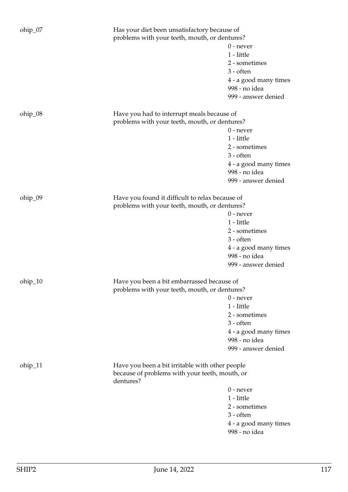| ohip_07 | Has your diet been unsatisfactory because of<br>problems with your teeth, mouth, or dentures?     |                                        |
|---------|---------------------------------------------------------------------------------------------------|----------------------------------------|
|         |                                                                                                   | $0$ - never                            |
|         |                                                                                                   | 1 - little                             |
|         |                                                                                                   | 2 - sometimes                          |
|         |                                                                                                   | 3 - often                              |
|         |                                                                                                   |                                        |
|         |                                                                                                   | 4 - a good many times<br>998 - no idea |
|         |                                                                                                   | 999 - answer denied                    |
| ohip_08 | Have you had to interrupt meals because of<br>problems with your teeth, mouth, or dentures?       |                                        |
|         |                                                                                                   | $0$ - never                            |
|         |                                                                                                   | 1 - little                             |
|         |                                                                                                   | 2 - sometimes                          |
|         |                                                                                                   | 3 - often                              |
|         |                                                                                                   |                                        |
|         |                                                                                                   | 4 - a good many times                  |
|         |                                                                                                   | 998 - no idea                          |
|         |                                                                                                   | 999 - answer denied                    |
| ohip_09 | Have you found it difficult to relax because of                                                   |                                        |
|         | problems with your teeth, mouth, or dentures?                                                     |                                        |
|         |                                                                                                   | $0$ - never                            |
|         |                                                                                                   | $1$ - little                           |
|         |                                                                                                   | 2 - sometimes<br>3 - often             |
|         |                                                                                                   | 4 - a good many times                  |
|         |                                                                                                   | 998 - no idea                          |
|         |                                                                                                   | 999 - answer denied                    |
| ohip_10 | Have you been a bit embarrassed because of                                                        |                                        |
|         | problems with your teeth, mouth, or dentures?                                                     |                                        |
|         |                                                                                                   | $0$ - never                            |
|         |                                                                                                   | 1 - little                             |
|         |                                                                                                   |                                        |
|         |                                                                                                   | 2 - sometimes                          |
|         |                                                                                                   | 3 - often                              |
|         |                                                                                                   | 4 - a good many times                  |
|         |                                                                                                   | 998 - no idea                          |
|         |                                                                                                   | 999 - answer denied                    |
| ohip_11 | Have you been a bit irritable with other people<br>because of problems with your teeth, mouth, or |                                        |
|         | dentures?                                                                                         |                                        |
|         |                                                                                                   | $0$ - never                            |
|         |                                                                                                   | 1 - little                             |
|         |                                                                                                   | 2 - sometimes                          |
|         |                                                                                                   | 3 - often                              |
|         |                                                                                                   | 4 - a good many times                  |
|         |                                                                                                   | 998 - no idea                          |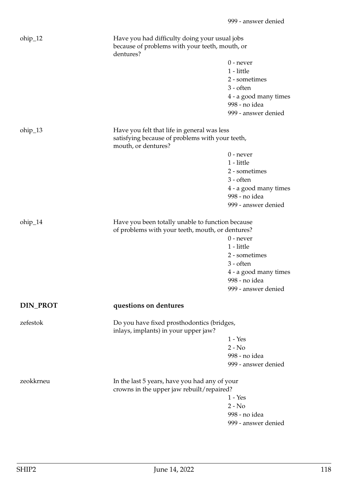| ohip_12         | Have you had difficulty doing your usual jobs<br>because of problems with your teeth, mouth, or<br>dentures? |                       |
|-----------------|--------------------------------------------------------------------------------------------------------------|-----------------------|
|                 |                                                                                                              | $0$ - never           |
|                 |                                                                                                              | 1 - little            |
|                 |                                                                                                              | 2 - sometimes         |
|                 |                                                                                                              | $3 - \text{often}$    |
|                 |                                                                                                              | 4 - a good many times |
|                 |                                                                                                              | 998 - no idea         |
|                 |                                                                                                              | 999 - answer denied   |
|                 |                                                                                                              |                       |
| $ohip_13$       | Have you felt that life in general was less                                                                  |                       |
|                 | satisfying because of problems with your teeth,<br>mouth, or dentures?                                       |                       |
|                 |                                                                                                              | $0$ - never           |
|                 |                                                                                                              | 1 - little            |
|                 |                                                                                                              | 2 - sometimes         |
|                 |                                                                                                              | $3 - \text{often}$    |
|                 |                                                                                                              | 4 - a good many times |
|                 |                                                                                                              | 998 - no idea         |
|                 |                                                                                                              | 999 - answer denied   |
| ohip_14         | Have you been totally unable to function because<br>of problems with your teeth, mouth, or dentures?         |                       |
|                 |                                                                                                              | $0$ - never           |
|                 |                                                                                                              | 1 - little            |
|                 |                                                                                                              | 2 - sometimes         |
|                 |                                                                                                              | $3 - \text{often}$    |
|                 |                                                                                                              | 4 - a good many times |
|                 |                                                                                                              | 998 - no idea         |
|                 |                                                                                                              | 999 - answer denied   |
| <b>DIN_PROT</b> | questions on dentures                                                                                        |                       |
| zefestok        | Do you have fixed prosthodontics (bridges,                                                                   |                       |
|                 | inlays, implants) in your upper jaw?                                                                         |                       |
|                 |                                                                                                              | $1 - Yes$             |
|                 |                                                                                                              | $2 - No$              |
|                 |                                                                                                              | 998 - no idea         |
|                 |                                                                                                              | 999 - answer denied   |
| zeokkrneu       | In the last 5 years, have you had any of your                                                                |                       |
|                 | crowns in the upper jaw rebuilt/repaired?                                                                    |                       |
|                 |                                                                                                              | $1 - Yes$             |
|                 |                                                                                                              | $2 - No$              |
|                 |                                                                                                              | 998 - no idea         |
|                 |                                                                                                              | 999 - answer denied   |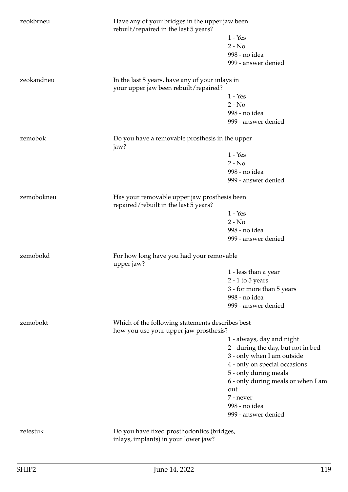| zeokbrneu  | Have any of your bridges in the upper jaw been<br>rebuilt/repaired in the last 5 years?    |                                           |
|------------|--------------------------------------------------------------------------------------------|-------------------------------------------|
|            |                                                                                            | $1 - Yes$                                 |
|            |                                                                                            | $2 - No$                                  |
|            |                                                                                            | 998 - no idea                             |
|            |                                                                                            | 999 - answer denied                       |
| zeokandneu | In the last 5 years, have any of your inlays in<br>your upper jaw been rebuilt/repaired?   |                                           |
|            |                                                                                            | $1 - Yes$                                 |
|            |                                                                                            | $2 - No$                                  |
|            |                                                                                            | 998 - no idea                             |
|            |                                                                                            | 999 - answer denied                       |
| zemobok    | Do you have a removable prosthesis in the upper<br>jaw?                                    |                                           |
|            |                                                                                            | $1 - Yes$                                 |
|            |                                                                                            | $2 - No$                                  |
|            |                                                                                            | 998 - no idea                             |
|            |                                                                                            | 999 - answer denied                       |
|            |                                                                                            |                                           |
| zemobokneu | Has your removable upper jaw prosthesis been<br>repaired/rebuilt in the last 5 years?      |                                           |
|            |                                                                                            | $1 - Yes$                                 |
|            |                                                                                            | $2 - No$                                  |
|            |                                                                                            | 998 - no idea                             |
|            |                                                                                            | 999 - answer denied                       |
| zemobokd   | For how long have you had your removable<br>upper jaw?                                     |                                           |
|            |                                                                                            | 1 - less than a year                      |
|            |                                                                                            | $2 - 1$ to $5$ years                      |
|            |                                                                                            | 3 - for more than 5 years                 |
|            |                                                                                            | 998 - no idea                             |
|            |                                                                                            | 999 - answer denied                       |
| zemobokt   | Which of the following statements describes best<br>how you use your upper jaw prosthesis? |                                           |
|            |                                                                                            | 1 - always, day and night                 |
|            |                                                                                            | 2 - during the day, but not in bed        |
|            |                                                                                            | 3 - only when I am outside                |
|            |                                                                                            | 4 - only on special occasions             |
|            |                                                                                            | 5 - only during meals                     |
|            |                                                                                            |                                           |
|            |                                                                                            | 6 - only during meals or when I am<br>out |
|            |                                                                                            |                                           |
|            |                                                                                            | 7 - never                                 |
|            |                                                                                            | 998 - no idea                             |
|            |                                                                                            | 999 - answer denied                       |
| zefestuk   | Do you have fixed prosthodontics (bridges,                                                 |                                           |
|            | inlays, implants) in your lower jaw?                                                       |                                           |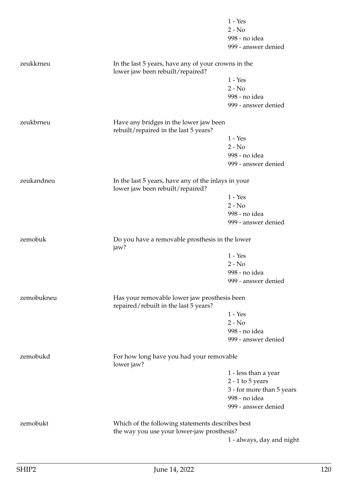|            |                                                                                         | $1 - Yes$                 |
|------------|-----------------------------------------------------------------------------------------|---------------------------|
|            |                                                                                         | $2 - No$                  |
|            |                                                                                         | 998 - no idea             |
|            |                                                                                         | 999 - answer denied       |
| zeukkrneu  | In the last 5 years, have any of your crowns in the<br>lower jaw been rebuilt/repaired? |                           |
|            |                                                                                         | $1 - Yes$                 |
|            |                                                                                         | $2 - No$                  |
|            |                                                                                         | 998 - no idea             |
|            |                                                                                         | 999 - answer denied       |
| zeukbrneu  | Have any bridges in the lower jaw been<br>rebuilt/repaired in the last 5 years?         |                           |
|            |                                                                                         | $1 - Yes$                 |
|            |                                                                                         | $2 - No$                  |
|            |                                                                                         | 998 - no idea             |
|            |                                                                                         | 999 - answer denied       |
| zeukandneu | In the last 5 years, have any of the inlays in your<br>lower jaw been rebuilt/repaired? |                           |
|            |                                                                                         | $1 - Yes$                 |
|            |                                                                                         | $2 - No$                  |
|            |                                                                                         | 998 - no idea             |
|            |                                                                                         | 999 - answer denied       |
| zemobuk    | Do you have a removable prosthesis in the lower<br>jaw?                                 |                           |
|            |                                                                                         | $1 - Yes$                 |
|            |                                                                                         | $2 - No$                  |
|            |                                                                                         | 998 - no idea             |
|            |                                                                                         | 999 - answer denied       |
| zemobukneu | Has your removable lower jaw prosthesis been<br>repaired/rebuilt in the last 5 years?   |                           |
|            |                                                                                         | $1 - Yes$                 |
|            |                                                                                         | $2 - No$                  |
|            |                                                                                         | 998 - no idea             |
|            |                                                                                         | 999 - answer denied       |
| zemobukd   | For how long have you had your removable<br>lower jaw?                                  |                           |
|            |                                                                                         | 1 - less than a year      |
|            |                                                                                         | $2 - 1$ to $5$ years      |
|            |                                                                                         | 3 - for more than 5 years |
|            |                                                                                         | 998 - no idea             |
|            |                                                                                         | 999 - answer denied       |
| zemobukt   | Which of the following statements describes best                                        |                           |
|            | the way you use your lower-jaw prosthesis?                                              |                           |
|            |                                                                                         | 1 - always, day and night |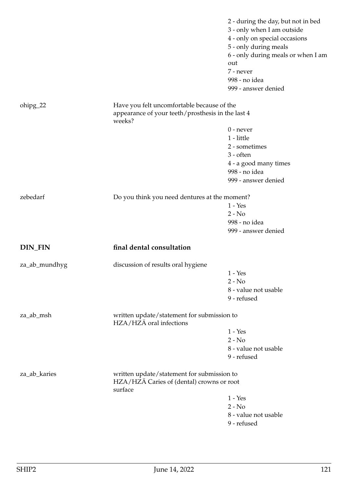|                |                                                                                                           | 2 - during the day, but not in bed<br>3 - only when I am outside<br>4 - only on special occasions<br>5 - only during meals<br>6 - only during meals or when I am<br>out<br>7 - never<br>998 - no idea<br>999 - answer denied |
|----------------|-----------------------------------------------------------------------------------------------------------|------------------------------------------------------------------------------------------------------------------------------------------------------------------------------------------------------------------------------|
| ohipg_22       | Have you felt uncomfortable because of the<br>appearance of your teeth/prosthesis in the last 4<br>weeks? |                                                                                                                                                                                                                              |
|                |                                                                                                           | $0$ - never                                                                                                                                                                                                                  |
|                |                                                                                                           | 1 - little                                                                                                                                                                                                                   |
|                |                                                                                                           | 2 - sometimes                                                                                                                                                                                                                |
|                |                                                                                                           | $3 - \text{often}$                                                                                                                                                                                                           |
|                |                                                                                                           | 4 - a good many times                                                                                                                                                                                                        |
|                |                                                                                                           | 998 - no idea                                                                                                                                                                                                                |
|                |                                                                                                           | 999 - answer denied                                                                                                                                                                                                          |
| zebedarf       | Do you think you need dentures at the moment?                                                             |                                                                                                                                                                                                                              |
|                |                                                                                                           | $1 - Yes$                                                                                                                                                                                                                    |
|                |                                                                                                           | $2 - No$                                                                                                                                                                                                                     |
|                |                                                                                                           | 998 - no idea                                                                                                                                                                                                                |
|                |                                                                                                           | 999 - answer denied                                                                                                                                                                                                          |
| <b>DIN_FIN</b> | final dental consultation                                                                                 |                                                                                                                                                                                                                              |
| za_ab_mundhyg  | discussion of results oral hygiene                                                                        |                                                                                                                                                                                                                              |
|                |                                                                                                           | $1 - Yes$                                                                                                                                                                                                                    |
|                |                                                                                                           | $2 - No$                                                                                                                                                                                                                     |
|                |                                                                                                           | 8 - value not usable                                                                                                                                                                                                         |
|                |                                                                                                           | 9 - refused                                                                                                                                                                                                                  |
| za_ab_msh      | written update/statement for submission to<br>HZA/HZÄ oral infections                                     |                                                                                                                                                                                                                              |
|                |                                                                                                           | $1 - Yes$                                                                                                                                                                                                                    |
|                |                                                                                                           | $2 - No$                                                                                                                                                                                                                     |
|                |                                                                                                           | 8 - value not usable                                                                                                                                                                                                         |
|                |                                                                                                           | 9 - refused                                                                                                                                                                                                                  |
| za_ab_karies   | written update/statement for submission to<br>HZA/HZÄ Caries of (dental) crowns or root                   |                                                                                                                                                                                                                              |
|                | surface                                                                                                   |                                                                                                                                                                                                                              |
|                |                                                                                                           | $1 - Yes$                                                                                                                                                                                                                    |
|                |                                                                                                           | $2 - No$                                                                                                                                                                                                                     |
|                |                                                                                                           | 8 - value not usable                                                                                                                                                                                                         |
|                |                                                                                                           | 9 - refused                                                                                                                                                                                                                  |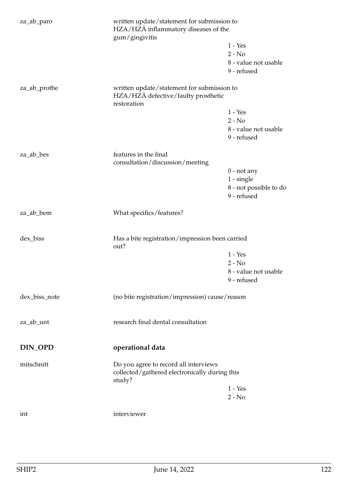| za_ab_paro    | written update/statement for submission to<br>HZA/HZÄ inflammatory diseases of the<br>gum/gingivitis |                        |
|---------------|------------------------------------------------------------------------------------------------------|------------------------|
|               |                                                                                                      | $1 - Yes$              |
|               |                                                                                                      | $2 - No$               |
|               |                                                                                                      | 8 - value not usable   |
|               |                                                                                                      | 9 - refused            |
| za_ab_prothe  | written update/statement for submission to<br>HZA/HZA defective/faulty prosthetic<br>restoration     |                        |
|               |                                                                                                      | $1 - Yes$              |
|               |                                                                                                      | $2 - No$               |
|               |                                                                                                      | 8 - value not usable   |
|               |                                                                                                      | 9 - refused            |
| za_ab_bes     | features in the final<br>consultation/discussion/meeting                                             |                        |
|               |                                                                                                      | $0$ - not any          |
|               |                                                                                                      | $1 - single$           |
|               |                                                                                                      | 8 - not possible to do |
|               |                                                                                                      | 9 - refused            |
| za_ab_bem     | What specifics/features?                                                                             |                        |
| dex_biss      | Has a bite registration/impression been carried<br>out?                                              |                        |
|               |                                                                                                      | $1 - Yes$              |
|               |                                                                                                      | $2 - No$               |
|               |                                                                                                      | 8 - value not usable   |
|               |                                                                                                      | 9 - refused            |
| dex_biss_note | (no bite registration/impression) cause/reason                                                       |                        |
| za_ab_unt     | research final dental consultation                                                                   |                        |
| DIN_OPD       | operational data                                                                                     |                        |
| mitschnitt    | Do you agree to record all interviews<br>collected/gathered electronically during this<br>study?     |                        |
|               |                                                                                                      | $1 - Yes$              |
|               |                                                                                                      | $2 - No$               |
| int           | interviewer                                                                                          |                        |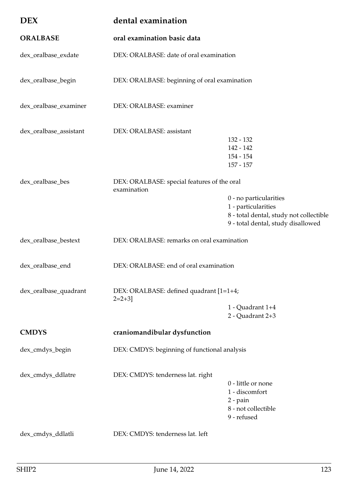| <b>DEX</b>             | dental examination                                         |                                                                                                                                |
|------------------------|------------------------------------------------------------|--------------------------------------------------------------------------------------------------------------------------------|
| <b>ORALBASE</b>        | oral examination basic data                                |                                                                                                                                |
| dex_oralbase_exdate    | DEX: ORALBASE: date of oral examination                    |                                                                                                                                |
| dex_oralbase_begin     | DEX: ORALBASE: beginning of oral examination               |                                                                                                                                |
| dex_oralbase_examiner  | DEX: ORALBASE: examiner                                    |                                                                                                                                |
| dex_oralbase_assistant | DEX: ORALBASE: assistant                                   | 132 - 132<br>142 - 142<br>$154 - 154$<br>$157 - 157$                                                                           |
| dex_oralbase_bes       | DEX: ORALBASE: special features of the oral<br>examination | 0 - no particularities<br>1 - particularities<br>8 - total dental, study not collectible<br>9 - total dental, study disallowed |
| dex_oralbase_bestext   | DEX: ORALBASE: remarks on oral examination                 |                                                                                                                                |
| dex_oralbase_end       | DEX: ORALBASE: end of oral examination                     |                                                                                                                                |
| dex_oralbase_quadrant  | DEX: ORALBASE: defined quadrant [1=1+4;<br>$2=2+3$         | 1 - Quadrant 1+4<br>2 - Quadrant 2+3                                                                                           |
| <b>CMDYS</b>           | craniomandibular dysfunction                               |                                                                                                                                |
| dex_cmdys_begin        | DEX: CMDYS: beginning of functional analysis               |                                                                                                                                |
| dex_cmdys_ddlatre      | DEX: CMDYS: tenderness lat. right                          | 0 - little or none<br>1 - discomfort<br>$2$ - pain<br>8 - not collectible<br>9 - refused                                       |
| dex_cmdys_ddlatli      | DEX: CMDYS: tenderness lat. left                           |                                                                                                                                |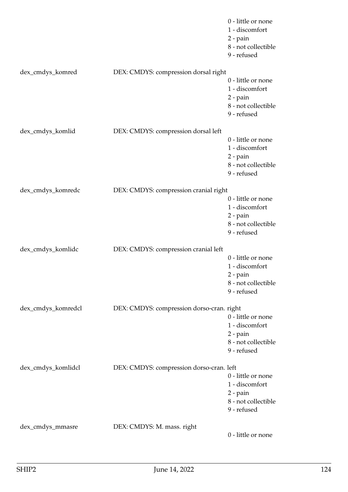|                    |                                           | 0 - little or none<br>1 - discomfort<br>$2$ - pain<br>8 - not collectible<br>9 - refused  |
|--------------------|-------------------------------------------|-------------------------------------------------------------------------------------------|
| dex_cmdys_komred   | DEX: CMDYS: compression dorsal right      | 0 - little or none<br>1 - discomfort<br>$2$ - $\pi$<br>8 - not collectible<br>9 - refused |
| dex_cmdys_komlid   | DEX: CMDYS: compression dorsal left       | 0 - little or none<br>1 - discomfort<br>2 - pain<br>8 - not collectible<br>9 - refused    |
| dex_cmdys_komredc  | DEX: CMDYS: compression cranial right     | 0 - little or none<br>1 - discomfort<br>2 - pain<br>8 - not collectible<br>9 - refused    |
| dex_cmdys_komlidc  | DEX: CMDYS: compression cranial left      | 0 - little or none<br>1 - discomfort<br>$2$ - pain<br>8 - not collectible<br>9 - refused  |
| dex_cmdys_komredcl | DEX: CMDYS: compression dorso-cran. right | 0 - little or none<br>1 - discomfort<br>$2$ - pain<br>8 - not collectible<br>9 - refused  |
| dex_cmdys_komlidcl | DEX: CMDYS: compression dorso-cran. left  | 0 - little or none<br>1 - discomfort<br>$2$ - pain<br>8 - not collectible<br>9 - refused  |
| dex_cmdys_mmasre   | DEX: CMDYS: M. mass. right                | 0 - little or none                                                                        |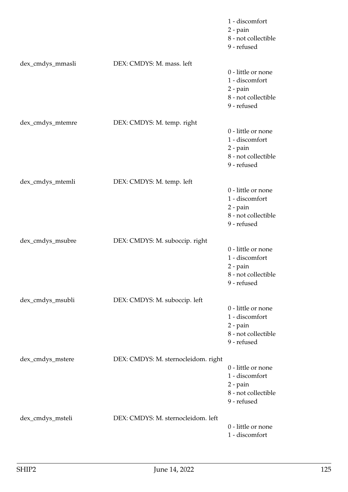|                  |                                     | 1 - discomfort<br>$2$ - pain<br>8 - not collectible<br>9 - refused                       |
|------------------|-------------------------------------|------------------------------------------------------------------------------------------|
| dex_cmdys_mmasli | DEX: CMDYS: M. mass. left           | 0 - little or none<br>1 - discomfort<br>$2$ - pain<br>8 - not collectible<br>9 - refused |
| dex_cmdys_mtemre | DEX: CMDYS: M. temp. right          | 0 - little or none<br>1 - discomfort<br>$2$ - pain<br>8 - not collectible<br>9 - refused |
| dex_cmdys_mtemli | DEX: CMDYS: M. temp. left           | 0 - little or none<br>1 - discomfort<br>$2$ - pain<br>8 - not collectible<br>9 - refused |
| dex_cmdys_msubre | DEX: CMDYS: M. suboccip. right      | 0 - little or none<br>1 - discomfort<br>$2$ - pain<br>8 - not collectible<br>9 - refused |
| dex_cmdys_msubli | DEX: CMDYS: M. suboccip. left       | 0 - little or none<br>1 - discomfort<br>$2$ - pain<br>8 - not collectible<br>9 - refused |
| dex_cmdys_mstere | DEX: CMDYS: M. sternocleidom. right | 0 - little or none<br>1 - discomfort<br>$2$ - pain<br>8 - not collectible<br>9 - refused |
| dex_cmdys_msteli | DEX: CMDYS: M. sternocleidom. left  | 0 - little or none<br>1 - discomfort                                                     |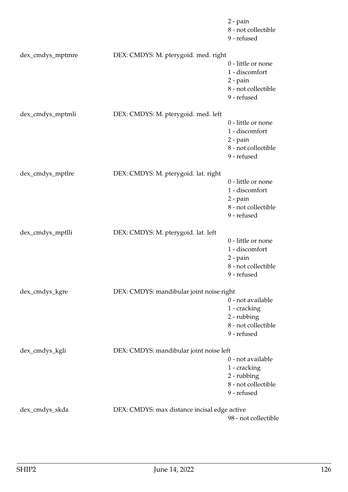|                  |                                              | $2$ - pain<br>8 - not collectible<br>9 - refused                                           |
|------------------|----------------------------------------------|--------------------------------------------------------------------------------------------|
| dex_cmdys_mptmre | DEX: CMDYS: M. pterygoid. med. right         | 0 - little or none<br>1 - discomfort<br>$2$ - pain<br>8 - not collectible<br>9 - refused   |
| dex_cmdys_mptmli | DEX: CMDYS: M. pterygoid. med. left          | 0 - little or none<br>1 - discomfort<br>$2$ - $pain$<br>8 - not collectible<br>9 - refused |
| dex_cmdys_mptlre | DEX: CMDYS: M. pterygoid. lat. right         | 0 - little or none<br>1 - discomfort<br>$2$ - pain<br>8 - not collectible<br>9 - refused   |
| dex_cmdys_mptlli | DEX: CMDYS: M. pterygoid. lat. left          | 0 - little or none<br>1 - discomfort<br>$2$ - pain<br>8 - not collectible<br>9 - refused   |
| dex_cmdys_kgre   | DEX: CMDYS: mandibular joint noise right     | 0 - not available<br>1 - cracking<br>2 - rubbing<br>8 - not collectible<br>9 - refused     |
| dex_cmdys_kgli   | DEX: CMDYS: mandibular joint noise left      | 0 - not available<br>1 - cracking<br>2 - rubbing<br>8 - not collectible<br>9 - refused     |
| dex_cmdys_skda   | DEX: CMDYS: max distance incisal edge active | 98 - not collectible                                                                       |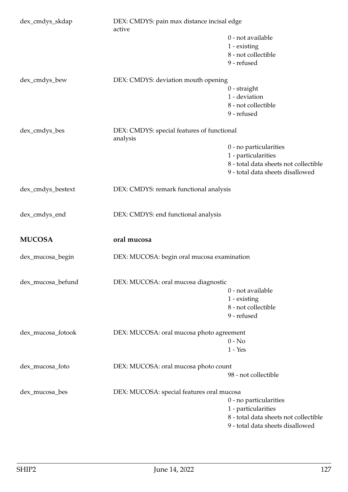| dex_cmdys_skdap   | DEX: CMDYS: pain max distance incisal edge<br>active |                                            |  |
|-------------------|------------------------------------------------------|--------------------------------------------|--|
|                   |                                                      | 0 - not available                          |  |
|                   |                                                      | 1 - existing                               |  |
|                   |                                                      | 8 - not collectible                        |  |
|                   |                                                      | 9 - refused                                |  |
| dex_cmdys_bew     | DEX: CMDYS: deviation mouth opening                  |                                            |  |
|                   |                                                      | $0$ - straight                             |  |
|                   |                                                      | 1 - deviation                              |  |
|                   |                                                      | 8 - not collectible                        |  |
|                   |                                                      | 9 - refused                                |  |
| dex_cmdys_bes     | analysis                                             | DEX: CMDYS: special features of functional |  |
|                   |                                                      | 0 - no particularities                     |  |
|                   |                                                      | 1 - particularities                        |  |
|                   |                                                      | 8 - total data sheets not collectible      |  |
|                   |                                                      | 9 - total data sheets disallowed           |  |
| dex_cmdys_bestext | DEX: CMDYS: remark functional analysis               |                                            |  |
| dex_cmdys_end     | DEX: CMDYS: end functional analysis                  |                                            |  |
| <b>MUCOSA</b>     | oral mucosa                                          |                                            |  |
| dex_mucosa_begin  | DEX: MUCOSA: begin oral mucosa examination           |                                            |  |
| dex_mucosa_befund | DEX: MUCOSA: oral mucosa diagnostic                  |                                            |  |
|                   |                                                      | 0 - not available                          |  |
|                   |                                                      | 1 - existing                               |  |
|                   |                                                      | 8 - not collectible                        |  |
|                   |                                                      | 9 - refused                                |  |
| dex_mucosa_fotook | DEX: MUCOSA: oral mucosa photo agreement             |                                            |  |
|                   |                                                      | $0 - No$                                   |  |
|                   |                                                      | $1 - Yes$                                  |  |
| dex_mucosa_foto   | DEX: MUCOSA: oral mucosa photo count                 |                                            |  |
|                   |                                                      | 98 - not collectible                       |  |
| dex_mucosa_bes    | DEX: MUCOSA: special features oral mucosa            |                                            |  |
|                   |                                                      | 0 - no particularities                     |  |
|                   |                                                      | 1 - particularities                        |  |
|                   |                                                      | 8 - total data sheets not collectible      |  |
|                   |                                                      | 9 - total data sheets disallowed           |  |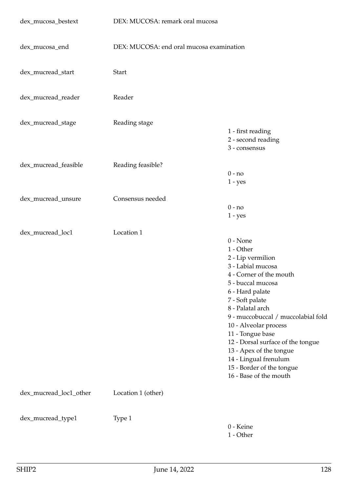| dex_mucosa_bestext     | DEX: MUCOSA: remark oral mucosa          |                                                                                                                                                                                                                                                                                                                                                                                                                |
|------------------------|------------------------------------------|----------------------------------------------------------------------------------------------------------------------------------------------------------------------------------------------------------------------------------------------------------------------------------------------------------------------------------------------------------------------------------------------------------------|
| dex_mucosa_end         | DEX: MUCOSA: end oral mucosa examination |                                                                                                                                                                                                                                                                                                                                                                                                                |
| dex_mucread_start      | <b>Start</b>                             |                                                                                                                                                                                                                                                                                                                                                                                                                |
| dex_mucread_reader     | Reader                                   |                                                                                                                                                                                                                                                                                                                                                                                                                |
| dex_mucread_stage      | Reading stage                            | 1 - first reading<br>2 - second reading<br>3 - consensus                                                                                                                                                                                                                                                                                                                                                       |
| dex_mucread_feasible   | Reading feasible?                        | $0 - no$<br>$1 - yes$                                                                                                                                                                                                                                                                                                                                                                                          |
| dex_mucread_unsure     | Consensus needed                         | $0 - no$<br>$1 - yes$                                                                                                                                                                                                                                                                                                                                                                                          |
| dex_mucread_loc1       | Location 1                               | $0 - None$<br>1 - Other<br>2 - Lip vermilion<br>3 - Labial mucosa<br>4 - Corner of the mouth<br>5 - buccal mucosa<br>6 - Hard palate<br>7 - Soft palate<br>8 - Palatal arch<br>9 - muccobuccal / muccolabial fold<br>10 - Alveolar process<br>11 - Tongue base<br>12 - Dorsal surface of the tongue<br>13 - Apex of the tongue<br>14 - Lingual frenulum<br>15 - Border of the tongue<br>16 - Base of the mouth |
| dex_mucread_loc1_other | Location 1 (other)                       |                                                                                                                                                                                                                                                                                                                                                                                                                |
| dex_mucread_type1      | Type 1                                   | 0 - Keine<br>1 - Other                                                                                                                                                                                                                                                                                                                                                                                         |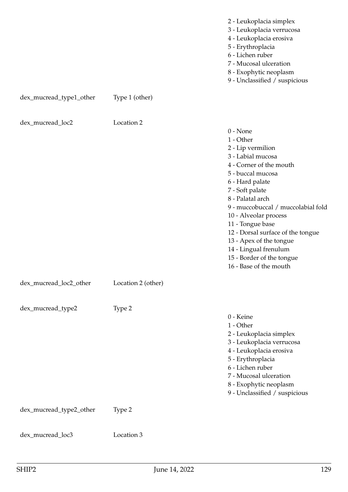|  |  | 2 - Leukoplacia simplex |
|--|--|-------------------------|
|  |  |                         |

- 3 Leukoplacia verrucosa
- 4 Leukoplacia erosiva
- 5 Erythroplacia
- 6 Lichen ruber
- 7 Mucosal ulceration
- 8 Exophytic neoplasm
- 9 Unclassified / suspicious

| dex_mucread_loc2        | Location 2         | $0 - None$<br>1 - Other<br>2 - Lip vermilion<br>3 - Labial mucosa<br>4 - Corner of the mouth<br>5 - buccal mucosa<br>6 - Hard palate<br>7 - Soft palate<br>8 - Palatal arch<br>9 - muccobuccal / muccolabial fold<br>10 - Alveolar process<br>11 - Tongue base<br>12 - Dorsal surface of the tongue<br>13 - Apex of the tongue<br>14 - Lingual frenulum<br>15 - Border of the tongue<br>16 - Base of the mouth |
|-------------------------|--------------------|----------------------------------------------------------------------------------------------------------------------------------------------------------------------------------------------------------------------------------------------------------------------------------------------------------------------------------------------------------------------------------------------------------------|
| dex_mucread_loc2_other  | Location 2 (other) |                                                                                                                                                                                                                                                                                                                                                                                                                |
| dex_mucread_type2       | Type 2             | 0 - Keine<br>1 - Other<br>2 - Leukoplacia simplex<br>3 - Leukoplacia verrucosa<br>4 - Leukoplacia erosiva<br>5 - Erythroplacia<br>6 - Lichen ruber<br>7 - Mucosal ulceration<br>8 - Exophytic neoplasm<br>9 - Unclassified / suspicious                                                                                                                                                                        |
| dex_mucread_type2_other | Type 2             |                                                                                                                                                                                                                                                                                                                                                                                                                |
| dex_mucread_loc3        | Location 3         |                                                                                                                                                                                                                                                                                                                                                                                                                |

dex\_mucread\_type1\_other Type 1 (other)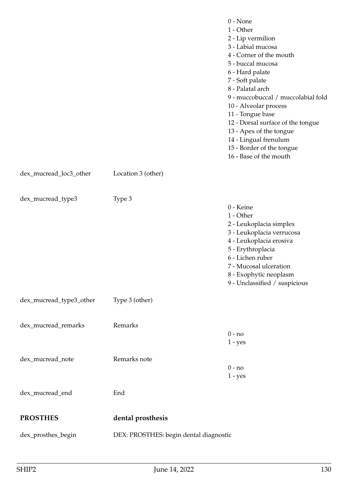|                         |                                        | $0 - None$<br>1 - Other<br>2 - Lip vermilion<br>3 - Labial mucosa<br>4 - Corner of the mouth<br>5 - buccal mucosa<br>6 - Hard palate<br>7 - Soft palate<br>8 - Palatal arch<br>9 - muccobuccal / muccolabial fold<br>10 - Alveolar process<br>11 - Tongue base<br>12 - Dorsal surface of the tongue<br>13 - Apex of the tongue<br>14 - Lingual frenulum<br>15 - Border of the tongue<br>16 - Base of the mouth |
|-------------------------|----------------------------------------|----------------------------------------------------------------------------------------------------------------------------------------------------------------------------------------------------------------------------------------------------------------------------------------------------------------------------------------------------------------------------------------------------------------|
| dex_mucread_loc3_other  | Location 3 (other)                     |                                                                                                                                                                                                                                                                                                                                                                                                                |
| dex_mucread_type3       | Type 3                                 | 0 - Keine<br>1 - Other<br>2 - Leukoplacia simplex<br>3 - Leukoplacia verrucosa<br>4 - Leukoplacia erosiva<br>5 - Erythroplacia<br>6 - Lichen ruber<br>7 - Mucosal ulceration<br>8 - Exophytic neoplasm<br>9 - Unclassified / suspicious                                                                                                                                                                        |
| dex_mucread_type3_other | Type 3 (other)                         |                                                                                                                                                                                                                                                                                                                                                                                                                |
| dex_mucread_remarks     | Remarks                                | $0 - no$<br>$1 - yes$                                                                                                                                                                                                                                                                                                                                                                                          |
| dex_mucread_note        | Remarks note                           | $0 - no$<br>$1 - yes$                                                                                                                                                                                                                                                                                                                                                                                          |
| dex_mucread_end         | End                                    |                                                                                                                                                                                                                                                                                                                                                                                                                |
| <b>PROSTHES</b>         | dental prosthesis                      |                                                                                                                                                                                                                                                                                                                                                                                                                |
| dex_prosthes_begin      | DEX: PROSTHES: begin dental diagnostic |                                                                                                                                                                                                                                                                                                                                                                                                                |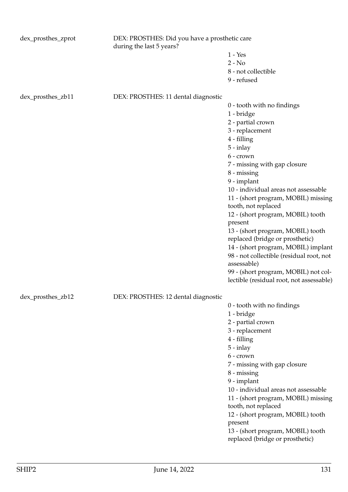| dex_prosthes_zprot | DEX: PROSTHES: Did you have a prosthetic care<br>during the last 5 years? |                                                                      |
|--------------------|---------------------------------------------------------------------------|----------------------------------------------------------------------|
|                    |                                                                           | $1 - Yes$                                                            |
|                    |                                                                           | $2 - No$                                                             |
|                    |                                                                           | 8 - not collectible                                                  |
|                    |                                                                           | 9 - refused                                                          |
| dex_prosthes_zb11  | DEX: PROSTHES: 11 dental diagnostic                                       |                                                                      |
|                    |                                                                           | 0 - tooth with no findings                                           |
|                    |                                                                           | 1 - bridge                                                           |
|                    |                                                                           | 2 - partial crown                                                    |
|                    |                                                                           | 3 - replacement                                                      |
|                    |                                                                           | 4 - filling                                                          |
|                    |                                                                           | $5 - inlay$                                                          |
|                    |                                                                           | 6 - crown                                                            |
|                    |                                                                           | 7 - missing with gap closure                                         |
|                    |                                                                           | 8 - missing<br>9 - implant                                           |
|                    |                                                                           | 10 - individual areas not assessable                                 |
|                    |                                                                           | 11 - (short program, MOBIL) missing                                  |
|                    |                                                                           | tooth, not replaced                                                  |
|                    |                                                                           | 12 - (short program, MOBIL) tooth                                    |
|                    |                                                                           | present                                                              |
|                    |                                                                           | 13 - (short program, MOBIL) tooth                                    |
|                    |                                                                           | replaced (bridge or prosthetic)                                      |
|                    |                                                                           | 14 - (short program, MOBIL) implant                                  |
|                    |                                                                           | 98 - not collectible (residual root, not<br>assessable)              |
|                    |                                                                           | 99 - (short program, MOBIL) not col-                                 |
|                    |                                                                           | lectible (residual root, not assessable)                             |
| dex_prosthes_zb12  | DEX: PROSTHES: 12 dental diagnostic                                       |                                                                      |
|                    |                                                                           | 0 - tooth with no findings                                           |
|                    |                                                                           | 1 - bridge                                                           |
|                    |                                                                           | 2 - partial crown                                                    |
|                    |                                                                           | 3 - replacement                                                      |
|                    |                                                                           | 4 - filling                                                          |
|                    |                                                                           | $5 - inlay$                                                          |
|                    |                                                                           | 6 - crown                                                            |
|                    |                                                                           | 7 - missing with gap closure<br>8 - missing                          |
|                    |                                                                           | 9 - implant                                                          |
|                    |                                                                           | 10 - individual areas not assessable                                 |
|                    |                                                                           | 11 - (short program, MOBIL) missing                                  |
|                    |                                                                           | tooth, not replaced                                                  |
|                    |                                                                           | 12 - (short program, MOBIL) tooth                                    |
|                    |                                                                           | present                                                              |
|                    |                                                                           | 13 - (short program, MOBIL) tooth<br>replaced (bridge or prosthetic) |
|                    |                                                                           |                                                                      |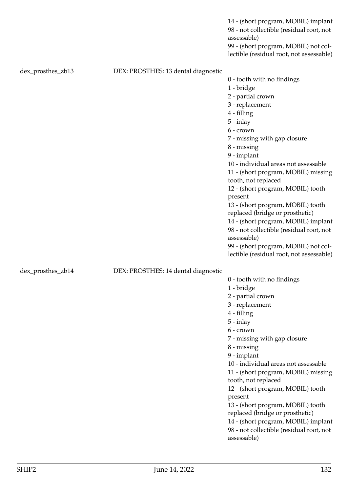98 - not collectible (residual root, not assessable) 99 - (short program, MOBIL) not collectible (residual root, not assessable) dex\_prosthes\_zb13 DEX: PROSTHES: 13 dental diagnostic 0 - tooth with no findings 1 - bridge 2 - partial crown 3 - replacement 4 - filling 5 - inlay 6 - crown 7 - missing with gap closure 8 - missing 9 - implant 10 - individual areas not assessable 11 - (short program, MOBIL) missing tooth, not replaced 12 - (short program, MOBIL) tooth present 13 - (short program, MOBIL) tooth replaced (bridge or prosthetic) 14 - (short program, MOBIL) implant 98 - not collectible (residual root, not assessable) 99 - (short program, MOBIL) not collectible (residual root, not assessable) dex\_prosthes\_zb14 DEX: PROSTHES: 14 dental diagnostic 0 - tooth with no findings 1 - bridge 2 - partial crown 3 - replacement 4 - filling 5 - inlay 6 - crown 7 - missing with gap closure 8 - missing 9 - implant 10 - individual areas not assessable 11 - (short program, MOBIL) missing tooth, not replaced 12 - (short program, MOBIL) tooth present 13 - (short program, MOBIL) tooth

replaced (bridge or prosthetic)

14 - (short program, MOBIL) implant 98 - not collectible (residual root, not

14 - (short program, MOBIL) implant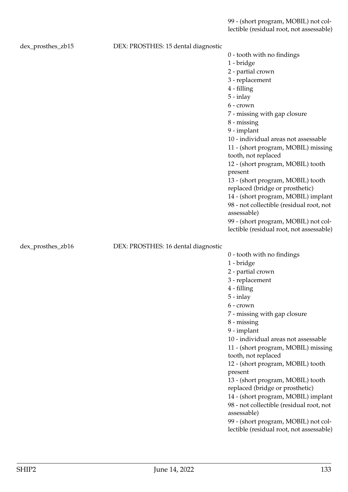99 - (short program, MOBIL) not collectible (residual root, not assessable)

| dex_prosthes_zb15 | DEX: PROSTHES: 15 dental diagnostic |                                                            |
|-------------------|-------------------------------------|------------------------------------------------------------|
|                   |                                     | 0 - tooth with no findings                                 |
|                   |                                     | 1 - bridge                                                 |
|                   |                                     | 2 - partial crown                                          |
|                   |                                     | 3 - replacement                                            |
|                   |                                     | 4 - filling                                                |
|                   |                                     | $5 - inlay$                                                |
|                   |                                     | 6 - crown                                                  |
|                   |                                     | 7 - missing with gap closure                               |
|                   |                                     | 8 - missing                                                |
|                   |                                     | 9 - implant                                                |
|                   |                                     | 10 - individual areas not assessable                       |
|                   |                                     | 11 - (short program, MOBIL) missing<br>tooth, not replaced |
|                   |                                     | 12 - (short program, MOBIL) tooth<br>present               |
|                   |                                     | 13 - (short program, MOBIL) tooth                          |
|                   |                                     | replaced (bridge or prosthetic)                            |
|                   |                                     | 14 - (short program, MOBIL) implant                        |
|                   |                                     | 98 - not collectible (residual root, not                   |
|                   |                                     | assessable)                                                |
|                   |                                     | 99 - (short program, MOBIL) not col-                       |
|                   |                                     | lectible (residual root, not assessable)                   |
| dex_prosthes_zb16 | DEX: PROSTHES: 16 dental diagnostic |                                                            |
|                   |                                     | 0 - tooth with no findings                                 |
|                   |                                     | 1 - bridge                                                 |
|                   |                                     |                                                            |
|                   |                                     | 2 - partial crown                                          |
|                   |                                     | 3 - replacement                                            |
|                   |                                     | 4 - filling                                                |
|                   |                                     | $5 - inlay$                                                |
|                   |                                     | $6$ - crown                                                |
|                   |                                     | 7 - missing with gap closure                               |
|                   |                                     | $8 -$ missing                                              |
|                   |                                     | 9 - implant                                                |
|                   |                                     | 10 - individual areas not assessable                       |
|                   |                                     | 11 - (short program, MOBIL) missing                        |
|                   |                                     | tooth, not replaced                                        |
|                   |                                     | 12 - (short program, MOBIL) tooth                          |
|                   |                                     | present                                                    |
|                   |                                     | 13 - (short program, MOBIL) tooth                          |
|                   |                                     | replaced (bridge or prosthetic)                            |
|                   |                                     | 14 - (short program, MOBIL) implant                        |
|                   |                                     | 98 - not collectible (residual root, not<br>assessable)    |
|                   |                                     | 99 - (short program, MOBIL) not col-                       |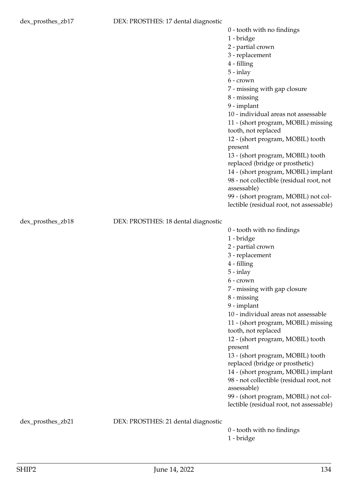1 - bridge

2 - partial crown

- 3 replacement
- 4 filling
- 5 inlay
- 6 crown
- 7 missing with gap closure
- 8 missing
- 9 implant

10 - individual areas not assessable

- 11 (short program, MOBIL) missing tooth, not replaced
- 12 (short program, MOBIL) tooth present
- 13 (short program, MOBIL) tooth
- replaced (bridge or prosthetic)

0 - tooth with no findings

1 - bridge

- 14 (short program, MOBIL) implant 98 - not collectible (residual root, not assessable)
- 99 (short program, MOBIL) not collectible (residual root, not assessable)

dex\_prosthes\_zb18 DEX: PROSTHES: 18 dental diagnostic

2 - partial crown 3 - replacement 4 - filling 5 - inlay 6 - crown 7 - missing with gap closure 8 - missing 9 - implant 10 - individual areas not assessable 11 - (short program, MOBIL) missing tooth, not replaced 12 - (short program, MOBIL) tooth present 13 - (short program, MOBIL) tooth replaced (bridge or prosthetic) 14 - (short program, MOBIL) implant 98 - not collectible (residual root, not assessable) 99 - (short program, MOBIL) not collectible (residual root, not assessable)

dex\_prosthes\_zb21 DEX: PROSTHES: 21 dental diagnostic

0 - tooth with no findings 1 - bridge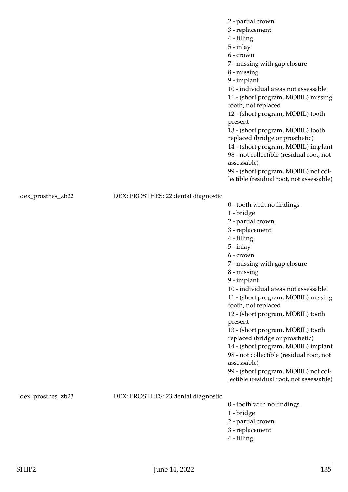2 - partial crown

- 3 replacement
- 4 filling
- 5 inlay
- 6 crown

7 - missing with gap closure

- 8 missing
- 9 implant

10 - individual areas not assessable

11 - (short program, MOBIL) missing tooth, not replaced

12 - (short program, MOBIL) tooth present

13 - (short program, MOBIL) tooth replaced (bridge or prosthetic)

14 - (short program, MOBIL) implant 98 - not collectible (residual root, not

assessable)

99 - (short program, MOBIL) not collectible (residual root, not assessable)

 $0 -$  tooth with no findings

dex\_prosthes\_zb22 DEX: PROSTHES: 22 dental diagnostic

| coocer with no mixings                   |
|------------------------------------------|
| 1 - bridge                               |
| 2 - partial crown                        |
| 3 - replacement                          |
| 4 - filling                              |
| $5 - inlay$                              |
| 6 - crown                                |
| 7 - missing with gap closure             |
| $8 -$ missing                            |
| 9 - implant                              |
| 10 - individual areas not assessable     |
| 11 - (short program, MOBIL) missing      |
| tooth, not replaced                      |
| 12 - (short program, MOBIL) tooth        |
| present                                  |
| 13 - (short program, MOBIL) tooth        |
| replaced (bridge or prosthetic)          |
| 14 - (short program, MOBIL) implant      |
| 98 - not collectible (residual root, not |
| assessable)                              |

99 - (short program, MOBIL) not collectible (residual root, not assessable)

dex\_prosthes\_zb23 DEX: PROSTHES: 23 dental diagnostic

- 0 tooth with no findings
- 1 bridge
- 2 partial crown
- 3 replacement
- 4 filling

missing

implant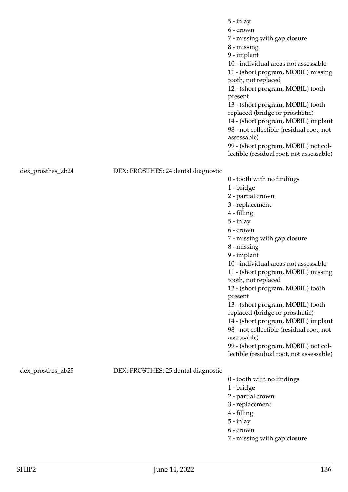|                   |                                     | $5 - inlay$<br>$6$ - crown<br>7 - missing with gap closure                                     |
|-------------------|-------------------------------------|------------------------------------------------------------------------------------------------|
|                   |                                     | 8 - missing                                                                                    |
|                   |                                     | 9 - implant                                                                                    |
|                   |                                     | 10 - individual areas not assessable                                                           |
|                   |                                     | 11 - (short program, MOBIL) missing<br>tooth, not replaced                                     |
|                   |                                     | 12 - (short program, MOBIL) tooth                                                              |
|                   |                                     | present                                                                                        |
|                   |                                     | 13 - (short program, MOBIL) tooth                                                              |
|                   |                                     | replaced (bridge or prosthetic)                                                                |
|                   |                                     | 14 - (short program, MOBIL) implant<br>98 - not collectible (residual root, not<br>assessable) |
|                   |                                     | 99 - (short program, MOBIL) not col-                                                           |
|                   |                                     | lectible (residual root, not assessable)                                                       |
| dex_prosthes_zb24 | DEX: PROSTHES: 24 dental diagnostic |                                                                                                |
|                   |                                     | 0 - tooth with no findings                                                                     |
|                   |                                     | 1 - bridge<br>2 - partial crown                                                                |
|                   |                                     | 3 - replacement                                                                                |
|                   |                                     | 4 - filling                                                                                    |
|                   |                                     | $5 - inlay$                                                                                    |
|                   |                                     | 6 - crown                                                                                      |
|                   |                                     | 7 - missing with gap closure                                                                   |
|                   |                                     | 8 - missing                                                                                    |
|                   |                                     | 9 - implant<br>10 - individual areas not assessable                                            |
|                   |                                     | 11 - (short program, MOBIL) missing                                                            |
|                   |                                     | tooth, not replaced                                                                            |
|                   |                                     | 12 - (short program, MOBIL) tooth                                                              |
|                   |                                     | present                                                                                        |
|                   |                                     | 13 - (short program, MOBIL) tooth                                                              |
|                   |                                     | replaced (bridge or prosthetic)                                                                |
|                   |                                     | 14 - (short program, MOBIL) implant<br>98 - not collectible (residual root, not                |
|                   |                                     | assessable)                                                                                    |
|                   |                                     | 99 - (short program, MOBIL) not col-                                                           |
|                   |                                     | lectible (residual root, not assessable)                                                       |
| dex_prosthes_zb25 | DEX: PROSTHES: 25 dental diagnostic |                                                                                                |

0 - tooth with no findings

- 1 bridge
- 2 partial crown
- 3 replacement
- 4 filling
- 5 inlay
- 6 crown
- 7 missing with gap closure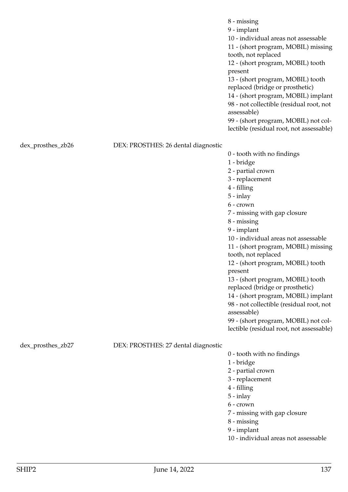|                   |                                     | $8 - missing$<br>9 - implant<br>10 - individual areas not assessable<br>11 - (short program, MOBIL) missing<br>tooth, not replaced<br>12 - (short program, MOBIL) tooth<br>present<br>13 - (short program, MOBIL) tooth<br>replaced (bridge or prosthetic)<br>14 - (short program, MOBIL) implant<br>98 - not collectible (residual root, not<br>assessable)<br>99 - (short program, MOBIL) not col-<br>lectible (residual root, not assessable) |
|-------------------|-------------------------------------|--------------------------------------------------------------------------------------------------------------------------------------------------------------------------------------------------------------------------------------------------------------------------------------------------------------------------------------------------------------------------------------------------------------------------------------------------|
| dex_prosthes_zb26 | DEX: PROSTHES: 26 dental diagnostic |                                                                                                                                                                                                                                                                                                                                                                                                                                                  |
|                   |                                     | 0 - tooth with no findings                                                                                                                                                                                                                                                                                                                                                                                                                       |
|                   |                                     | 1 - bridge<br>2 - partial crown                                                                                                                                                                                                                                                                                                                                                                                                                  |
|                   |                                     | 3 - replacement                                                                                                                                                                                                                                                                                                                                                                                                                                  |
|                   |                                     | 4 - filling                                                                                                                                                                                                                                                                                                                                                                                                                                      |
|                   |                                     | $5 - inlay$                                                                                                                                                                                                                                                                                                                                                                                                                                      |
|                   |                                     | 6 - crown                                                                                                                                                                                                                                                                                                                                                                                                                                        |
|                   |                                     | 7 - missing with gap closure<br>$8 - missing$                                                                                                                                                                                                                                                                                                                                                                                                    |
|                   |                                     | 9 - implant                                                                                                                                                                                                                                                                                                                                                                                                                                      |
|                   |                                     | 10 - individual areas not assessable                                                                                                                                                                                                                                                                                                                                                                                                             |
|                   |                                     | 11 - (short program, MOBIL) missing<br>tooth, not replaced                                                                                                                                                                                                                                                                                                                                                                                       |
|                   |                                     | 12 - (short program, MOBIL) tooth<br>present                                                                                                                                                                                                                                                                                                                                                                                                     |
|                   |                                     | 13 - (short program, MOBIL) tooth<br>replaced (bridge or prosthetic)                                                                                                                                                                                                                                                                                                                                                                             |
|                   |                                     | 14 - (short program, MOBIL) implant                                                                                                                                                                                                                                                                                                                                                                                                              |
|                   |                                     | 98 - not collectible (residual root, not<br>assessable)                                                                                                                                                                                                                                                                                                                                                                                          |
|                   |                                     | 99 - (short program, MOBIL) not col-                                                                                                                                                                                                                                                                                                                                                                                                             |
|                   |                                     | lectible (residual root, not assessable)                                                                                                                                                                                                                                                                                                                                                                                                         |
| dex_prosthes_zb27 | DEX: PROSTHES: 27 dental diagnostic |                                                                                                                                                                                                                                                                                                                                                                                                                                                  |
|                   |                                     | 0 - tooth with no findings                                                                                                                                                                                                                                                                                                                                                                                                                       |
|                   |                                     | 1 - bridge                                                                                                                                                                                                                                                                                                                                                                                                                                       |
|                   |                                     | 2 - partial crown                                                                                                                                                                                                                                                                                                                                                                                                                                |
|                   |                                     | 3 - replacement<br>4 - filling                                                                                                                                                                                                                                                                                                                                                                                                                   |
|                   |                                     | $5 - inlay$                                                                                                                                                                                                                                                                                                                                                                                                                                      |
|                   |                                     | 6 - crown                                                                                                                                                                                                                                                                                                                                                                                                                                        |
|                   |                                     | 7 - missing with gap closure                                                                                                                                                                                                                                                                                                                                                                                                                     |
|                   |                                     | $8 - missing$                                                                                                                                                                                                                                                                                                                                                                                                                                    |
|                   |                                     | 9 - implant<br>10 - individual areas not assessable                                                                                                                                                                                                                                                                                                                                                                                              |
|                   |                                     |                                                                                                                                                                                                                                                                                                                                                                                                                                                  |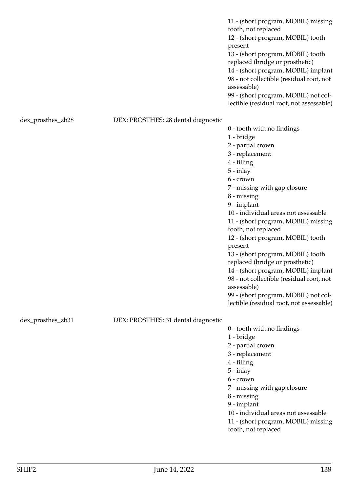11 - (short program, MOBIL) missing tooth, not replaced 12 - (short program, MOBIL) tooth present 13 - (short program, MOBIL) tooth replaced (bridge or prosthetic) 14 - (short program, MOBIL) implant 98 - not collectible (residual root, not assessable) 99 - (short program, MOBIL) not collectible (residual root, not assessable)

# dex\_prosthes\_zb28 DEX: PROSTHES: 28 dental diagnostic

0 - tooth with no findings 1 - bridge 2 - partial crown 3 - replacement 4 - filling 5 - inlay 6 - crown 7 - missing with gap closure 8 - missing 9 - implant 10 - individual areas not assessable 11 - (short program, MOBIL) missing tooth, not replaced 12 - (short program, MOBIL) tooth present 13 - (short program, MOBIL) tooth replaced (bridge or prosthetic) 14 - (short program, MOBIL) implant 98 - not collectible (residual root, not assessable) 99 - (short program, MOBIL) not collectible (residual root, not assessable)

dex\_prosthes\_zb31 DEX: PROSTHES: 31 dental diagnostic

0 - tooth with no findings

1 - bridge

2 - partial crown

3 - replacement

- 4 filling
- 5 inlay
- 6 crown

7 - missing with gap closure

8 - missing

9 - implant

10 - individual areas not assessable

11 - (short program, MOBIL) missing tooth, not replaced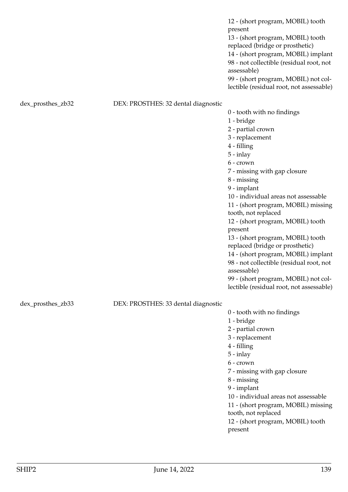|                   |                                     | 12 - (short program, MOBIL) tooth<br>present<br>13 - (short program, MOBIL) tooth<br>replaced (bridge or prosthetic)<br>14 - (short program, MOBIL) implant<br>98 - not collectible (residual root, not<br>assessable)<br>99 - (short program, MOBIL) not col-<br>lectible (residual root, not assessable)                                                                                                                                                                                                                                                                                                    |
|-------------------|-------------------------------------|---------------------------------------------------------------------------------------------------------------------------------------------------------------------------------------------------------------------------------------------------------------------------------------------------------------------------------------------------------------------------------------------------------------------------------------------------------------------------------------------------------------------------------------------------------------------------------------------------------------|
| dex_prosthes_zb32 | DEX: PROSTHES: 32 dental diagnostic | 0 - tooth with no findings<br>1 - bridge<br>2 - partial crown<br>3 - replacement<br>4 - filling<br>$5 - inlay$<br>6 - crown<br>7 - missing with gap closure<br>8 - missing<br>9 - implant<br>10 - individual areas not assessable<br>11 - (short program, MOBIL) missing<br>tooth, not replaced<br>12 - (short program, MOBIL) tooth<br>present<br>13 - (short program, MOBIL) tooth<br>replaced (bridge or prosthetic)<br>14 - (short program, MOBIL) implant<br>98 - not collectible (residual root, not<br>assessable)<br>99 - (short program, MOBIL) not col-<br>lectible (residual root, not assessable) |
| dex_prosthes_zb33 | DEX: PROSTHES: 33 dental diagnostic | 0 - tooth with no findings<br>1 - bridge<br>2 - partial crown<br>3 - replacement<br>4 - filling<br>$5 - inlay$<br>6 - crown<br>7 - missing with gap closure<br>$8 - missing$<br>9 - implant<br>10 - individual areas not assessable<br>11 - (short program, MOBIL) missing<br>tooth, not replaced<br>12 - (short program, MOBIL) tooth<br>present                                                                                                                                                                                                                                                             |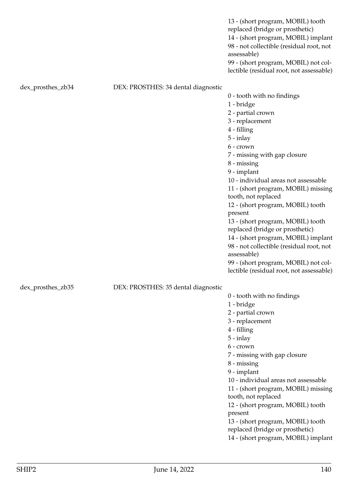|                   |                                     | 13 - (short program, MOBIL) tooth<br>replaced (bridge or prosthetic)<br>14 - (short program, MOBIL) implant<br>98 - not collectible (residual root, not<br>assessable)<br>99 - (short program, MOBIL) not col-<br>lectible (residual root, not assessable) |
|-------------------|-------------------------------------|------------------------------------------------------------------------------------------------------------------------------------------------------------------------------------------------------------------------------------------------------------|
| dex_prosthes_zb34 | DEX: PROSTHES: 34 dental diagnostic |                                                                                                                                                                                                                                                            |
|                   |                                     | 0 - tooth with no findings<br>1 - bridge                                                                                                                                                                                                                   |
|                   |                                     | 2 - partial crown                                                                                                                                                                                                                                          |
|                   |                                     | 3 - replacement<br>4 - filling                                                                                                                                                                                                                             |
|                   |                                     | $5 - inlay$                                                                                                                                                                                                                                                |
|                   |                                     | $6$ - crown                                                                                                                                                                                                                                                |
|                   |                                     | 7 - missing with gap closure                                                                                                                                                                                                                               |
|                   |                                     | $8 - missing$                                                                                                                                                                                                                                              |
|                   |                                     | 9 - implant                                                                                                                                                                                                                                                |
|                   |                                     | 10 - individual areas not assessable                                                                                                                                                                                                                       |
|                   |                                     | 11 - (short program, MOBIL) missing                                                                                                                                                                                                                        |
|                   |                                     | tooth, not replaced                                                                                                                                                                                                                                        |
|                   |                                     | 12 - (short program, MOBIL) tooth<br>present                                                                                                                                                                                                               |
|                   |                                     | 13 - (short program, MOBIL) tooth                                                                                                                                                                                                                          |
|                   |                                     | replaced (bridge or prosthetic)                                                                                                                                                                                                                            |
|                   |                                     | 14 - (short program, MOBIL) implant                                                                                                                                                                                                                        |
|                   |                                     | 98 - not collectible (residual root, not<br>assessable)                                                                                                                                                                                                    |
|                   |                                     | 99 - (short program, MOBIL) not col-                                                                                                                                                                                                                       |
|                   |                                     | lectible (residual root, not assessable)                                                                                                                                                                                                                   |
| dex_prosthes_zb35 | DEX: PROSTHES: 35 dental diagnostic |                                                                                                                                                                                                                                                            |
|                   |                                     | 0 - tooth with no findings                                                                                                                                                                                                                                 |
|                   |                                     | 1 - bridge                                                                                                                                                                                                                                                 |
|                   |                                     | 2 - partial crown                                                                                                                                                                                                                                          |
|                   |                                     | 3 - replacement<br>4 - filling                                                                                                                                                                                                                             |
|                   |                                     | $5 - inlay$                                                                                                                                                                                                                                                |
|                   |                                     | 6 - crown                                                                                                                                                                                                                                                  |
|                   |                                     | 7 - missing with gap closure                                                                                                                                                                                                                               |
|                   |                                     | 8 - missing                                                                                                                                                                                                                                                |
|                   |                                     | 9 - implant                                                                                                                                                                                                                                                |
|                   |                                     | 10 - individual areas not assessable                                                                                                                                                                                                                       |
|                   |                                     | 11 - (short program, MOBIL) missing                                                                                                                                                                                                                        |
|                   |                                     | tooth, not replaced                                                                                                                                                                                                                                        |
|                   |                                     | 12 - (short program, MOBIL) tooth<br>present                                                                                                                                                                                                               |
|                   |                                     | 13 - (short program, MOBIL) tooth                                                                                                                                                                                                                          |
|                   |                                     | replaced (bridge or prosthetic)                                                                                                                                                                                                                            |
|                   |                                     | 14 - (short program, MOBIL) implant                                                                                                                                                                                                                        |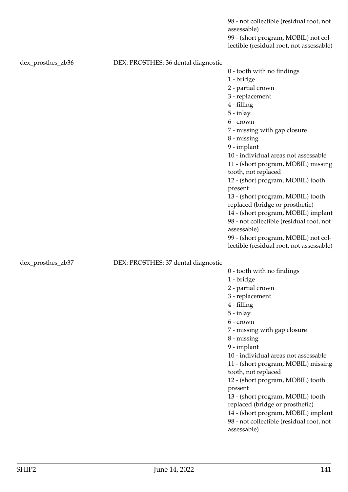|                   |                                     | 98 - not collectible (residual root, not<br>assessable)                          |
|-------------------|-------------------------------------|----------------------------------------------------------------------------------|
|                   |                                     | 99 - (short program, MOBIL) not col-<br>lectible (residual root, not assessable) |
| dex_prosthes_zb36 | DEX: PROSTHES: 36 dental diagnostic |                                                                                  |
|                   |                                     | 0 - tooth with no findings                                                       |
|                   |                                     | 1 - bridge                                                                       |
|                   |                                     | 2 - partial crown                                                                |
|                   |                                     | 3 - replacement                                                                  |
|                   |                                     | 4 - filling                                                                      |
|                   |                                     | $5 - inlay$                                                                      |
|                   |                                     | 6 - crown                                                                        |
|                   |                                     | 7 - missing with gap closure                                                     |
|                   |                                     | $8 - missing$                                                                    |
|                   |                                     | 9 - implant                                                                      |
|                   |                                     | 10 - individual areas not assessable                                             |
|                   |                                     | 11 - (short program, MOBIL) missing                                              |
|                   |                                     | tooth, not replaced                                                              |
|                   |                                     | 12 - (short program, MOBIL) tooth                                                |
|                   |                                     | present                                                                          |
|                   |                                     | 13 - (short program, MOBIL) tooth<br>replaced (bridge or prosthetic)             |
|                   |                                     | 14 - (short program, MOBIL) implant                                              |
|                   |                                     | 98 - not collectible (residual root, not                                         |
|                   |                                     | assessable)                                                                      |
|                   |                                     | 99 - (short program, MOBIL) not col-                                             |
|                   |                                     | lectible (residual root, not assessable)                                         |
| dex_prosthes_zb37 | DEX: PROSTHES: 37 dental diagnostic |                                                                                  |
|                   |                                     | 0 - tooth with no findings                                                       |
|                   |                                     | 1 - bridge                                                                       |
|                   |                                     | 2 - partial crown                                                                |
|                   |                                     | 3 - replacement                                                                  |
|                   |                                     | 4 - filling                                                                      |
|                   |                                     | $5 - inlay$                                                                      |
|                   |                                     | 6 - crown                                                                        |
|                   |                                     | 7 - missing with gap closure                                                     |
|                   |                                     | 8 - missing                                                                      |
|                   |                                     | 9 - implant                                                                      |
|                   |                                     | 10 - individual areas not assessable                                             |
|                   |                                     | 11 - (short program, MOBIL) missing<br>tooth, not replaced                       |
|                   |                                     | 12 - (short program, MOBIL) tooth                                                |
|                   |                                     | present                                                                          |
|                   |                                     | 13 - (short program, MOBIL) tooth<br>replaced (bridge or prosthetic)             |

14 - (short program, MOBIL) implant 98 - not collectible (residual root, not

assessable)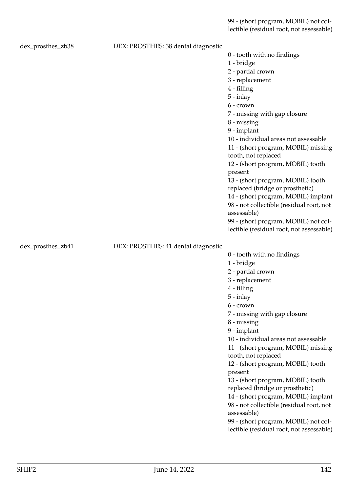99 - (short program, MOBIL) not collectible (residual root, not assessable)

| dex_prosthes_zb38 | DEX: PROSTHES: 38 dental diagnostic |                                                            |
|-------------------|-------------------------------------|------------------------------------------------------------|
|                   |                                     | 0 - tooth with no findings                                 |
|                   |                                     | 1 - bridge                                                 |
|                   |                                     | 2 - partial crown                                          |
|                   |                                     | 3 - replacement                                            |
|                   |                                     | 4 - filling                                                |
|                   |                                     | $5 - inlay$                                                |
|                   |                                     | 6 - crown                                                  |
|                   |                                     | 7 - missing with gap closure                               |
|                   |                                     | $8 - missing$                                              |
|                   |                                     | 9 - implant                                                |
|                   |                                     | 10 - individual areas not assessable                       |
|                   |                                     | 11 - (short program, MOBIL) missing<br>tooth, not replaced |
|                   |                                     | 12 - (short program, MOBIL) tooth<br>present               |
|                   |                                     | 13 - (short program, MOBIL) tooth                          |
|                   |                                     | replaced (bridge or prosthetic)                            |
|                   |                                     | 14 - (short program, MOBIL) implant                        |
|                   |                                     | 98 - not collectible (residual root, not                   |
|                   |                                     | assessable)                                                |
|                   |                                     | 99 - (short program, MOBIL) not col-                       |
|                   |                                     | lectible (residual root, not assessable)                   |
| dex_prosthes_zb41 | DEX: PROSTHES: 41 dental diagnostic |                                                            |
|                   |                                     | 0 - tooth with no findings                                 |
|                   |                                     | 1 - bridge                                                 |
|                   |                                     | 2 - partial crown                                          |
|                   |                                     | 3 - replacement                                            |
|                   |                                     | $4 - filling$                                              |
|                   |                                     | $5 - inlay$                                                |
|                   |                                     | $6$ - $crown$                                              |
|                   |                                     | 7 - missing with gap closure                               |
|                   |                                     | 8 - missing                                                |
|                   |                                     | 9 - implant                                                |
|                   |                                     | 10 - individual areas not assessable                       |
|                   |                                     | 11 - (short program, MOBIL) missing                        |
|                   |                                     | tooth, not replaced                                        |
|                   |                                     | 12 - (short program, MOBIL) tooth                          |
|                   |                                     | present                                                    |
|                   |                                     | 13 - (short program, MOBIL) tooth                          |
|                   |                                     | replaced (bridge or prosthetic)                            |
|                   |                                     |                                                            |
|                   |                                     | 14 - (short program, MOBIL) implant                        |
|                   |                                     | 98 - not collectible (residual root, not<br>assessable)    |
|                   |                                     | 99 - (short program, MOBIL) not col-                       |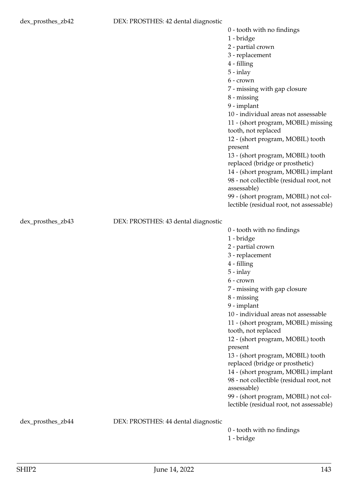1 - bridge

2 - partial crown

- 3 replacement
- 4 filling
- 5 inlay
- 6 crown
- 7 missing with gap closure
- 8 missing
- 9 implant

10 - individual areas not assessable

- 11 (short program, MOBIL) missing tooth, not replaced
- 12 (short program, MOBIL) tooth present
- 13 (short program, MOBIL) tooth replaced (bridge or prosthetic)
- 
- 14 (short program, MOBIL) implant 98 - not collectible (residual root, not assessable)
- 99 (short program, MOBIL) not collectible (residual root, not assessable)

dex\_prosthes\_zb43 DEX: PROSTHES: 43 dental diagnostic

3 - replacement 4 - filling 5 - inlay 6 - crown 7 - missing with gap closure 8 - missing 9 - implant 10 - individual areas not assessable 11 - (short program, MOBIL) missing tooth, not replaced 12 - (short program, MOBIL) tooth present 13 - (short program, MOBIL) tooth replaced (bridge or prosthetic) 14 - (short program, MOBIL) implant 98 - not collectible (residual root, not assessable) 99 - (short program, MOBIL) not collectible (residual root, not assessable)

0 - tooth with no findings

1 - bridge

2 - partial crown

dex\_prosthes\_zb44 DEX: PROSTHES: 44 dental diagnostic

0 - tooth with no findings 1 - bridge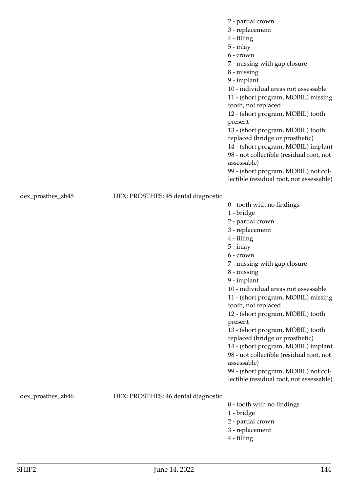2 - partial crown

- 3 replacement
- 4 filling
- 5 inlay
- 6 crown

7 - missing with gap closure

- 8 missing
- 9 implant

10 - individual areas not assessable

11 - (short program, MOBIL) missing tooth, not replaced

12 - (short program, MOBIL) tooth present

13 - (short program, MOBIL) tooth replaced (bridge or prosthetic)

14 - (short program, MOBIL) implant 98 - not collectible (residual root, not

assessable)

99 - (short program, MOBIL) not collectible (residual root, not assessable)

dex\_prosthes\_zb45 DEX: PROSTHES: 45 dental diagnostic

|                | 0 - tooth with no findings               |
|----------------|------------------------------------------|
|                | 1 - bridge                               |
|                | 2 - partial crown                        |
|                | 3 - replacement                          |
|                | 4 - filling                              |
|                | $5 - inlay$                              |
|                | 6 - crown                                |
|                | 7 - missing with gap closure             |
|                | $8 -$ missing                            |
|                | 9 - implant                              |
|                | 10 - individual areas not assessable     |
|                | 11 - (short program, MOBIL) missing      |
|                | tooth, not replaced                      |
|                | 12 - (short program, MOBIL) tooth        |
|                | present                                  |
|                | 13 - (short program, MOBIL) tooth        |
|                | replaced (bridge or prosthetic)          |
|                | 14 - (short program, MOBIL) implant      |
|                | 98 - not collectible (residual root, not |
|                | assessable)                              |
|                | 99 - (short program, MOBIL) not col-     |
|                | lectible (residual root, not assessable) |
| tal diagnostic |                                          |

dex\_prosthes\_zb46 DEX: PROSTHES: 46 dent

- 0 tooth with no findings
- 1 bridge
- 2 partial crown
- 3 replacement
- 4 filling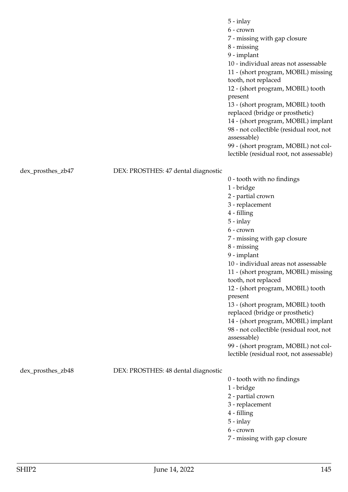|                   |                                     | $5 - inlay$                                                          |
|-------------------|-------------------------------------|----------------------------------------------------------------------|
|                   |                                     | 6 - crown                                                            |
|                   |                                     | 7 - missing with gap closure                                         |
|                   |                                     | 8 - missing                                                          |
|                   |                                     | 9 - implant                                                          |
|                   |                                     | 10 - individual areas not assessable                                 |
|                   |                                     | 11 - (short program, MOBIL) missing<br>tooth, not replaced           |
|                   |                                     | 12 - (short program, MOBIL) tooth<br>present                         |
|                   |                                     | 13 - (short program, MOBIL) tooth<br>replaced (bridge or prosthetic) |
|                   |                                     | 14 - (short program, MOBIL) implant                                  |
|                   |                                     | 98 - not collectible (residual root, not<br>assessable)              |
|                   |                                     | 99 - (short program, MOBIL) not col-                                 |
|                   |                                     | lectible (residual root, not assessable)                             |
| dex_prosthes_zb47 | DEX: PROSTHES: 47 dental diagnostic |                                                                      |
|                   |                                     | 0 - tooth with no findings                                           |
|                   |                                     | 1 - bridge                                                           |
|                   |                                     | 2 - partial crown                                                    |
|                   |                                     | 3 - replacement                                                      |
|                   |                                     | 4 - filling                                                          |
|                   |                                     | $5 - inlay$                                                          |
|                   |                                     | $6$ - crown                                                          |
|                   |                                     | 7 - missing with gap closure                                         |
|                   |                                     | 8 - missing                                                          |

9 - implant

10 - individual areas not assessable

11 - (short program, MOBIL) missing tooth, not replaced

12 - (short program, MOBIL) tooth present

13 - (short program, MOBIL) tooth replaced (bridge or prosthetic)

14 - (short program, MOBIL) implant 98 - not collectible (residual root, not assessable)

99 - (short program, MOBIL) not collectible (residual root, not assessable)

dex\_prosthes\_zb48 DEX: PROSTHES: 48 dental diagnostic

0 - tooth with no findings

1 - bridge

2 - partial crown

- 3 replacement
- 4 filling
- 5 inlay
- 6 crown

7 - missing with gap closure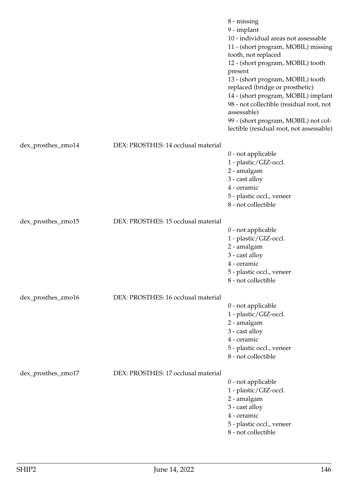|                    |                                     | $8 - missing$<br>9 - implant<br>10 - individual areas not assessable<br>11 - (short program, MOBIL) missing<br>tooth, not replaced<br>12 - (short program, MOBIL) tooth<br>present<br>13 - (short program, MOBIL) tooth<br>replaced (bridge or prosthetic)<br>14 - (short program, MOBIL) implant<br>98 - not collectible (residual root, not<br>assessable)<br>99 - (short program, MOBIL) not col-<br>lectible (residual root, not assessable) |
|--------------------|-------------------------------------|--------------------------------------------------------------------------------------------------------------------------------------------------------------------------------------------------------------------------------------------------------------------------------------------------------------------------------------------------------------------------------------------------------------------------------------------------|
| dex_prosthes_zmo14 | DEX: PROSTHES: 14 occlusal material |                                                                                                                                                                                                                                                                                                                                                                                                                                                  |
|                    |                                     | 0 - not applicable                                                                                                                                                                                                                                                                                                                                                                                                                               |
|                    |                                     | 1 - plastic/GIZ-occl.                                                                                                                                                                                                                                                                                                                                                                                                                            |
|                    |                                     | 2 - amalgam                                                                                                                                                                                                                                                                                                                                                                                                                                      |
|                    |                                     | 3 - cast alloy<br>4 - ceramic                                                                                                                                                                                                                                                                                                                                                                                                                    |
|                    |                                     | 5 - plastic occl., veneer                                                                                                                                                                                                                                                                                                                                                                                                                        |
|                    |                                     | 8 - not collectible                                                                                                                                                                                                                                                                                                                                                                                                                              |
| dex_prosthes_zmo15 | DEX: PROSTHES: 15 occlusal material |                                                                                                                                                                                                                                                                                                                                                                                                                                                  |
|                    |                                     | 0 - not applicable                                                                                                                                                                                                                                                                                                                                                                                                                               |
|                    |                                     | 1 - plastic/GIZ-occl.                                                                                                                                                                                                                                                                                                                                                                                                                            |
|                    |                                     | 2 - amalgam                                                                                                                                                                                                                                                                                                                                                                                                                                      |
|                    |                                     | 3 - cast alloy<br>4 - ceramic                                                                                                                                                                                                                                                                                                                                                                                                                    |
|                    |                                     | 5 - plastic occl., veneer                                                                                                                                                                                                                                                                                                                                                                                                                        |
|                    |                                     | 8 - not collectible                                                                                                                                                                                                                                                                                                                                                                                                                              |
| dex_prosthes_zmo16 | DEX: PROSTHES: 16 occlusal material |                                                                                                                                                                                                                                                                                                                                                                                                                                                  |
|                    |                                     | 0 - not applicable                                                                                                                                                                                                                                                                                                                                                                                                                               |
|                    |                                     | 1 - plastic/GIZ-occl.                                                                                                                                                                                                                                                                                                                                                                                                                            |
|                    |                                     | 2 - amalgam<br>3 - cast alloy                                                                                                                                                                                                                                                                                                                                                                                                                    |
|                    |                                     | 4 - ceramic                                                                                                                                                                                                                                                                                                                                                                                                                                      |
|                    |                                     | 5 - plastic occl., veneer                                                                                                                                                                                                                                                                                                                                                                                                                        |
|                    |                                     | 8 - not collectible                                                                                                                                                                                                                                                                                                                                                                                                                              |
| dex_prosthes_zmo17 | DEX: PROSTHES: 17 occlusal material |                                                                                                                                                                                                                                                                                                                                                                                                                                                  |
|                    |                                     | 0 - not applicable                                                                                                                                                                                                                                                                                                                                                                                                                               |
|                    |                                     | 1 - plastic/GIZ-occl.<br>2 - amalgam                                                                                                                                                                                                                                                                                                                                                                                                             |
|                    |                                     | 3 - cast alloy                                                                                                                                                                                                                                                                                                                                                                                                                                   |
|                    |                                     | 4 - ceramic                                                                                                                                                                                                                                                                                                                                                                                                                                      |
|                    |                                     | 5 - plastic occl., veneer                                                                                                                                                                                                                                                                                                                                                                                                                        |
|                    |                                     | 8 - not collectible                                                                                                                                                                                                                                                                                                                                                                                                                              |
|                    |                                     |                                                                                                                                                                                                                                                                                                                                                                                                                                                  |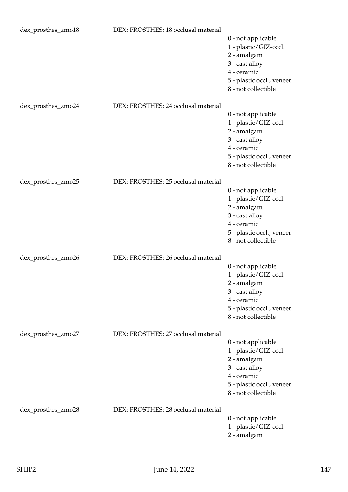| dex_prosthes_zmo18 | DEX: PROSTHES: 18 occlusal material | 0 - not applicable<br>1 - plastic/GIZ-occl.<br>2 - amalgam<br>3 - cast alloy<br>4 - ceramic<br>5 - plastic occl., veneer<br>8 - not collectible |
|--------------------|-------------------------------------|-------------------------------------------------------------------------------------------------------------------------------------------------|
| dex_prosthes_zmo24 | DEX: PROSTHES: 24 occlusal material | 0 - not applicable<br>1 - plastic/GIZ-occl.<br>2 - amalgam<br>3 - cast alloy<br>4 - ceramic<br>5 - plastic occl., veneer<br>8 - not collectible |
| dex_prosthes_zmo25 | DEX: PROSTHES: 25 occlusal material | 0 - not applicable<br>1 - plastic/GIZ-occl.<br>2 - amalgam<br>3 - cast alloy<br>4 - ceramic<br>5 - plastic occl., veneer<br>8 - not collectible |
| dex_prosthes_zmo26 | DEX: PROSTHES: 26 occlusal material | 0 - not applicable<br>1 - plastic/GIZ-occl.<br>2 - amalgam<br>3 - cast alloy<br>4 - ceramic<br>5 - plastic occl., veneer<br>8 - not collectible |
| dex_prosthes_zmo27 | DEX: PROSTHES: 27 occlusal material | 0 - not applicable<br>1 - plastic/GIZ-occl.<br>2 - amalgam<br>3 - cast alloy<br>4 - ceramic<br>5 - plastic occl., veneer<br>8 - not collectible |
| dex_prosthes_zmo28 | DEX: PROSTHES: 28 occlusal material | 0 - not applicable<br>1 - plastic/GIZ-occl.<br>2 - amalgam                                                                                      |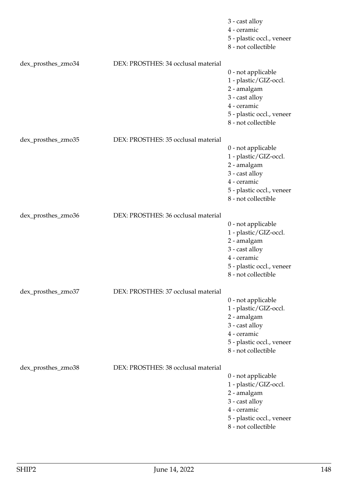|                    |                                     | 3 - cast alloy<br>4 - ceramic<br>5 - plastic occl., veneer<br>8 - not collectible                                                               |
|--------------------|-------------------------------------|-------------------------------------------------------------------------------------------------------------------------------------------------|
| dex_prosthes_zmo34 | DEX: PROSTHES: 34 occlusal material | 0 - not applicable<br>1 - plastic/GIZ-occl.<br>2 - amalgam<br>3 - cast alloy<br>4 - ceramic<br>5 - plastic occl., veneer<br>8 - not collectible |
| dex_prosthes_zmo35 | DEX: PROSTHES: 35 occlusal material | 0 - not applicable<br>1 - plastic/GIZ-occl.<br>2 - amalgam<br>3 - cast alloy<br>4 - ceramic<br>5 - plastic occl., veneer<br>8 - not collectible |
| dex_prosthes_zmo36 | DEX: PROSTHES: 36 occlusal material | 0 - not applicable<br>1 - plastic/GIZ-occl.<br>2 - amalgam<br>3 - cast alloy<br>4 - ceramic<br>5 - plastic occl., veneer<br>8 - not collectible |
| dex_prosthes_zmo37 | DEX: PROSTHES: 37 occlusal material | 0 - not applicable<br>1 - plastic/GIZ-occl.<br>2 - amalgam<br>3 - cast alloy<br>4 - ceramic<br>5 - plastic occl., veneer<br>8 - not collectible |
| dex_prosthes_zmo38 | DEX: PROSTHES: 38 occlusal material | 0 - not applicable<br>1 - plastic/GIZ-occl.<br>2 - amalgam<br>3 - cast alloy<br>4 - ceramic<br>5 - plastic occl., veneer<br>8 - not collectible |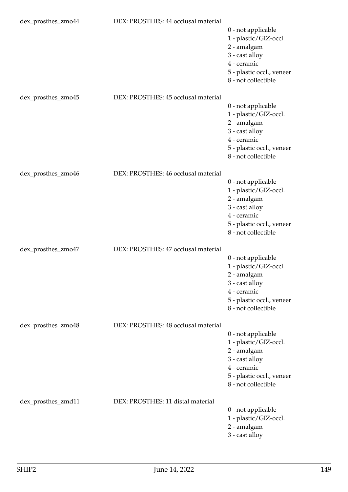| dex_prosthes_zmo44 | DEX: PROSTHES: 44 occlusal material | 0 - not applicable<br>1 - plastic/GIZ-occl.<br>2 - amalgam<br>3 - cast alloy<br>4 - ceramic<br>5 - plastic occl., veneer<br>8 - not collectible |
|--------------------|-------------------------------------|-------------------------------------------------------------------------------------------------------------------------------------------------|
| dex_prosthes_zmo45 | DEX: PROSTHES: 45 occlusal material | 0 - not applicable<br>1 - plastic/GIZ-occl.<br>2 - amalgam<br>3 - cast alloy<br>4 - ceramic<br>5 - plastic occl., veneer<br>8 - not collectible |
| dex_prosthes_zmo46 | DEX: PROSTHES: 46 occlusal material | 0 - not applicable<br>1 - plastic/GIZ-occl.<br>2 - amalgam<br>3 - cast alloy<br>4 - ceramic<br>5 - plastic occl., veneer<br>8 - not collectible |
| dex_prosthes_zmo47 | DEX: PROSTHES: 47 occlusal material | 0 - not applicable<br>1 - plastic/GIZ-occl.<br>2 - amalgam<br>3 - cast alloy<br>4 - ceramic<br>5 - plastic occl., veneer<br>8 - not collectible |
| dex_prosthes_zmo48 | DEX: PROSTHES: 48 occlusal material | 0 - not applicable<br>1 - plastic/GIZ-occl.<br>2 - amalgam<br>3 - cast alloy<br>4 - ceramic<br>5 - plastic occl., veneer<br>8 - not collectible |
| dex_prosthes_zmd11 | DEX: PROSTHES: 11 distal material   | 0 - not applicable<br>1 - plastic/GIZ-occl.<br>2 - amalgam<br>3 - cast alloy                                                                    |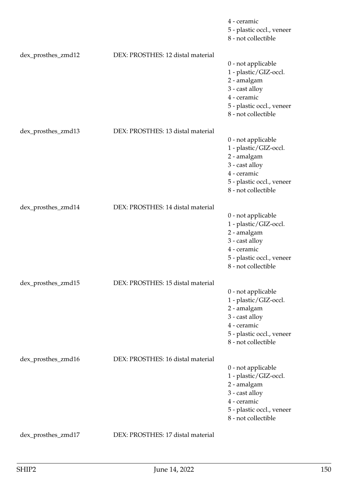|                    |                                   | 4 - ceramic<br>5 - plastic occl., veneer<br>8 - not collectible                                                                                 |
|--------------------|-----------------------------------|-------------------------------------------------------------------------------------------------------------------------------------------------|
| dex_prosthes_zmd12 | DEX: PROSTHES: 12 distal material | 0 - not applicable<br>1 - plastic/GIZ-occl.<br>2 - amalgam<br>3 - cast alloy<br>4 - ceramic<br>5 - plastic occl., veneer<br>8 - not collectible |
| dex_prosthes_zmd13 | DEX: PROSTHES: 13 distal material | 0 - not applicable<br>1 - plastic/GIZ-occl.<br>2 - amalgam<br>3 - cast alloy<br>4 - ceramic<br>5 - plastic occl., veneer<br>8 - not collectible |
| dex_prosthes_zmd14 | DEX: PROSTHES: 14 distal material | 0 - not applicable<br>1 - plastic/GIZ-occl.<br>2 - amalgam<br>3 - cast alloy<br>4 - ceramic<br>5 - plastic occl., veneer<br>8 - not collectible |
| dex_prosthes_zmd15 | DEX: PROSTHES: 15 distal material | 0 - not applicable<br>1 - plastic/GIZ-occl.<br>2 - amalgam<br>3 - cast alloy<br>4 - ceramic<br>5 - plastic occl., veneer<br>8 - not collectible |
| dex_prosthes_zmd16 | DEX: PROSTHES: 16 distal material | 0 - not applicable<br>1 - plastic/GIZ-occl.<br>2 - amalgam<br>3 - cast alloy<br>4 - ceramic<br>5 - plastic occl., veneer<br>8 - not collectible |
| dex_prosthes_zmd17 | DEX: PROSTHES: 17 distal material |                                                                                                                                                 |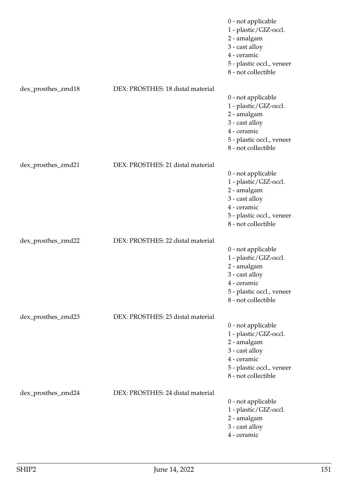|                    |                                   | 0 - not applicable<br>1 - plastic/GIZ-occl.<br>2 - amalgam<br>3 - cast alloy<br>4 - ceramic<br>5 - plastic occl., veneer<br>8 - not collectible |
|--------------------|-----------------------------------|-------------------------------------------------------------------------------------------------------------------------------------------------|
| dex_prosthes_zmd18 | DEX: PROSTHES: 18 distal material | 0 - not applicable<br>1 - plastic/GIZ-occl.<br>2 - amalgam<br>3 - cast alloy<br>4 - ceramic<br>5 - plastic occl., veneer<br>8 - not collectible |
| dex_prosthes_zmd21 | DEX: PROSTHES: 21 distal material | 0 - not applicable<br>1 - plastic/GIZ-occl.<br>2 - amalgam<br>3 - cast alloy<br>4 - ceramic<br>5 - plastic occl., veneer<br>8 - not collectible |
| dex_prosthes_zmd22 | DEX: PROSTHES: 22 distal material | 0 - not applicable<br>1 - plastic/GIZ-occl.<br>2 - amalgam<br>3 - cast alloy<br>4 - ceramic<br>5 - plastic occl., veneer<br>8 - not collectible |
| dex_prosthes_zmd23 | DEX: PROSTHES: 23 distal material | 0 - not applicable<br>1 - plastic/GIZ-occl.<br>2 - amalgam<br>3 - cast alloy<br>4 - ceramic<br>5 - plastic occl., veneer<br>8 - not collectible |
| dex_prosthes_zmd24 | DEX: PROSTHES: 24 distal material | 0 - not applicable<br>1 - plastic/GIZ-occl.<br>2 - amalgam<br>3 - cast alloy<br>4 - ceramic                                                     |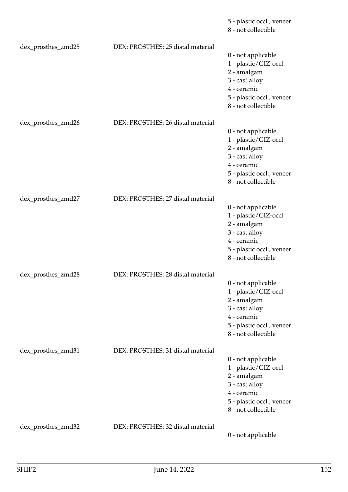|                    |                                   | 5 - plastic occl., veneer<br>8 - not collectible                                                                                                |
|--------------------|-----------------------------------|-------------------------------------------------------------------------------------------------------------------------------------------------|
| dex_prosthes_zmd25 | DEX: PROSTHES: 25 distal material | 0 - not applicable<br>1 - plastic/GIZ-occl.<br>2 - amalgam<br>3 - cast alloy<br>4 - ceramic<br>5 - plastic occl., veneer<br>8 - not collectible |
| dex_prosthes_zmd26 | DEX: PROSTHES: 26 distal material | 0 - not applicable<br>1 - plastic/GIZ-occl.<br>2 - amalgam<br>3 - cast alloy<br>4 - ceramic<br>5 - plastic occl., veneer<br>8 - not collectible |
| dex_prosthes_zmd27 | DEX: PROSTHES: 27 distal material | 0 - not applicable<br>1 - plastic/GIZ-occl.<br>2 - amalgam<br>3 - cast alloy<br>4 - ceramic<br>5 - plastic occl., veneer<br>8 - not collectible |
| dex_prosthes_zmd28 | DEX: PROSTHES: 28 distal material | 0 - not applicable<br>1 - plastic/GIZ-occl.<br>2 - amalgam<br>3 - cast alloy<br>4 - ceramic<br>5 - plastic occl., veneer<br>8 - not collectible |
| dex_prosthes_zmd31 | DEX: PROSTHES: 31 distal material | 0 - not applicable<br>1 - plastic/GIZ-occl.<br>2 - amalgam<br>3 - cast alloy<br>4 - ceramic<br>5 - plastic occl., veneer<br>8 - not collectible |
| dex_prosthes_zmd32 | DEX: PROSTHES: 32 distal material | 0 - not applicable                                                                                                                              |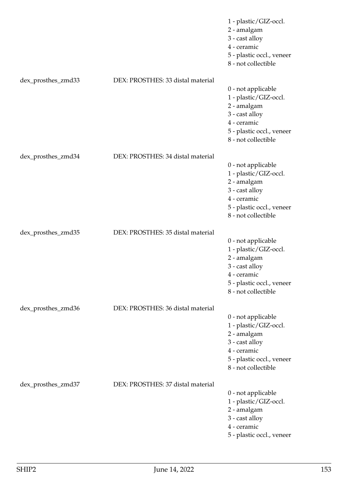|                    |                                   | 1 - plastic/GIZ-occl.<br>2 - amalgam<br>3 - cast alloy<br>4 - ceramic<br>5 - plastic occl., veneer<br>8 - not collectible                       |
|--------------------|-----------------------------------|-------------------------------------------------------------------------------------------------------------------------------------------------|
| dex_prosthes_zmd33 | DEX: PROSTHES: 33 distal material | 0 - not applicable<br>1 - plastic/GIZ-occl.<br>2 - amalgam<br>3 - cast alloy<br>4 - ceramic<br>5 - plastic occl., veneer<br>8 - not collectible |
| dex_prosthes_zmd34 | DEX: PROSTHES: 34 distal material | 0 - not applicable<br>1 - plastic/GIZ-occl.<br>2 - amalgam<br>3 - cast alloy<br>4 - ceramic<br>5 - plastic occl., veneer<br>8 - not collectible |
| dex_prosthes_zmd35 | DEX: PROSTHES: 35 distal material | 0 - not applicable<br>1 - plastic/GIZ-occl.<br>2 - amalgam<br>3 - cast alloy<br>4 - ceramic<br>5 - plastic occl., veneer<br>8 - not collectible |
| dex_prosthes_zmd36 | DEX: PROSTHES: 36 distal material | 0 - not applicable<br>1 - plastic/GIZ-occl.<br>2 - amalgam<br>3 - cast alloy<br>4 - ceramic<br>5 - plastic occl., veneer<br>8 - not collectible |
| dex_prosthes_zmd37 | DEX: PROSTHES: 37 distal material | 0 - not applicable<br>1 - plastic/GIZ-occl.<br>2 - amalgam<br>3 - cast alloy<br>4 - ceramic<br>5 - plastic occl., veneer                        |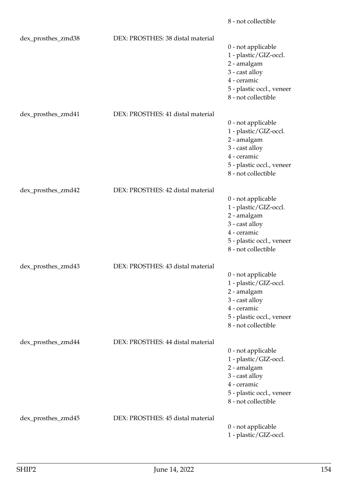|                    |                                   | 8 - not collectible                                                                                                                             |
|--------------------|-----------------------------------|-------------------------------------------------------------------------------------------------------------------------------------------------|
| dex_prosthes_zmd38 | DEX: PROSTHES: 38 distal material | 0 - not applicable<br>1 - plastic/GIZ-occl.<br>2 - amalgam<br>3 - cast alloy<br>4 - ceramic<br>5 - plastic occl., veneer<br>8 - not collectible |
| dex_prosthes_zmd41 | DEX: PROSTHES: 41 distal material | 0 - not applicable<br>1 - plastic/GIZ-occl.<br>2 - amalgam<br>3 - cast alloy<br>4 - ceramic<br>5 - plastic occl., veneer<br>8 - not collectible |
| dex_prosthes_zmd42 | DEX: PROSTHES: 42 distal material | 0 - not applicable<br>1 - plastic/GIZ-occl.<br>2 - amalgam<br>3 - cast alloy<br>4 - ceramic<br>5 - plastic occl., veneer<br>8 - not collectible |
| dex_prosthes_zmd43 | DEX: PROSTHES: 43 distal material | 0 - not applicable<br>1 - plastic/GIZ-occl.<br>2 - amalgam<br>3 - cast alloy<br>4 - ceramic<br>5 - plastic occl., veneer<br>8 - not collectible |
| dex_prosthes_zmd44 | DEX: PROSTHES: 44 distal material | 0 - not applicable<br>1 - plastic/GIZ-occl.<br>2 - amalgam<br>3 - cast alloy<br>4 - ceramic<br>5 - plastic occl., veneer<br>8 - not collectible |
| dex_prosthes_zmd45 | DEX: PROSTHES: 45 distal material | 0 - not applicable<br>1 - plastic/GIZ-occl.                                                                                                     |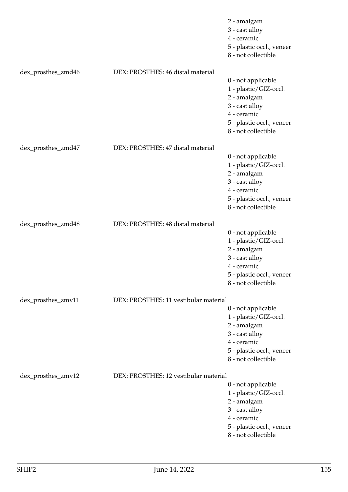|                    |                                       | 2 - amalgam<br>3 - cast alloy<br>4 - ceramic<br>5 - plastic occl., veneer<br>8 - not collectible                                                |
|--------------------|---------------------------------------|-------------------------------------------------------------------------------------------------------------------------------------------------|
| dex_prosthes_zmd46 | DEX: PROSTHES: 46 distal material     |                                                                                                                                                 |
|                    |                                       | 0 - not applicable<br>1 - plastic/GIZ-occl.<br>2 - amalgam<br>3 - cast alloy<br>4 - ceramic<br>5 - plastic occl., veneer<br>8 - not collectible |
| dex_prosthes_zmd47 | DEX: PROSTHES: 47 distal material     |                                                                                                                                                 |
|                    |                                       | 0 - not applicable<br>1 - plastic/GIZ-occl.<br>2 - amalgam<br>3 - cast alloy<br>4 - ceramic<br>5 - plastic occl., veneer<br>8 - not collectible |
| dex_prosthes_zmd48 | DEX: PROSTHES: 48 distal material     |                                                                                                                                                 |
|                    |                                       | 0 - not applicable<br>1 - plastic/GIZ-occl.<br>2 - amalgam<br>3 - cast alloy<br>4 - ceramic<br>5 - plastic occl., veneer<br>8 - not collectible |
| dex_prosthes_zmv11 | DEX: PROSTHES: 11 vestibular material |                                                                                                                                                 |
|                    |                                       | 0 - not applicable<br>1 - plastic/GIZ-occl.<br>2 - amalgam<br>3 - cast alloy<br>4 - ceramic<br>5 - plastic occl., veneer<br>8 - not collectible |
| dex_prosthes_zmv12 | DEX: PROSTHES: 12 vestibular material |                                                                                                                                                 |
|                    |                                       | 0 - not applicable<br>1 - plastic/GIZ-occl.<br>2 - amalgam<br>3 - cast alloy<br>4 - ceramic<br>5 - plastic occl., veneer<br>8 - not collectible |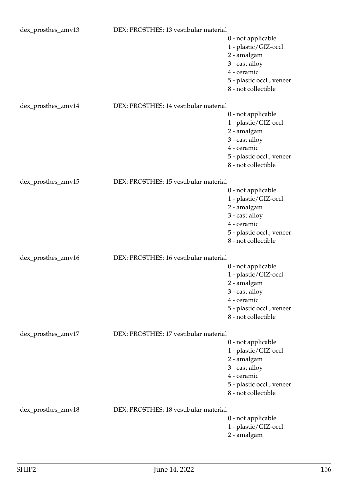| dex_prosthes_zmv13 | DEX: PROSTHES: 13 vestibular material |                                                  |
|--------------------|---------------------------------------|--------------------------------------------------|
|                    |                                       | 0 - not applicable<br>1 - plastic/GIZ-occl.      |
|                    |                                       | 2 - amalgam                                      |
|                    |                                       | 3 - cast alloy                                   |
|                    |                                       | 4 - ceramic                                      |
|                    |                                       | 5 - plastic occl., veneer                        |
|                    |                                       | 8 - not collectible                              |
| dex_prosthes_zmv14 | DEX: PROSTHES: 14 vestibular material |                                                  |
|                    |                                       | 0 - not applicable                               |
|                    |                                       | 1 - plastic/GIZ-occl.                            |
|                    |                                       | 2 - amalgam                                      |
|                    |                                       | 3 - cast alloy                                   |
|                    |                                       | 4 - ceramic                                      |
|                    |                                       | 5 - plastic occl., veneer                        |
|                    |                                       | 8 - not collectible                              |
| dex_prosthes_zmv15 | DEX: PROSTHES: 15 vestibular material |                                                  |
|                    |                                       | 0 - not applicable                               |
|                    |                                       | 1 - plastic/GIZ-occl.                            |
|                    |                                       | 2 - amalgam                                      |
|                    |                                       | 3 - cast alloy                                   |
|                    |                                       | 4 - ceramic                                      |
|                    |                                       | 5 - plastic occl., veneer                        |
|                    |                                       | 8 - not collectible                              |
| dex_prosthes_zmv16 | DEX: PROSTHES: 16 vestibular material |                                                  |
|                    |                                       | 0 - not applicable                               |
|                    |                                       | 1 - plastic/GIZ-occl.                            |
|                    |                                       | 2 - amalgam                                      |
|                    |                                       | 3 - cast alloy                                   |
|                    |                                       | 4 - ceramic                                      |
|                    |                                       | 5 - plastic occl., veneer                        |
|                    |                                       | 8 - not collectible                              |
| dex_prosthes_zmv17 | DEX: PROSTHES: 17 vestibular material |                                                  |
|                    |                                       | 0 - not applicable                               |
|                    |                                       | 1 - plastic/GIZ-occl.                            |
|                    |                                       | 2 - amalgam                                      |
|                    |                                       | 3 - cast alloy                                   |
|                    |                                       | 4 - ceramic                                      |
|                    |                                       | 5 - plastic occl., veneer<br>8 - not collectible |
|                    |                                       |                                                  |
| dex_prosthes_zmv18 | DEX: PROSTHES: 18 vestibular material |                                                  |
|                    |                                       | 0 - not applicable                               |
|                    |                                       | 1 - plastic/GIZ-occl.                            |
|                    |                                       | 2 - amalgam                                      |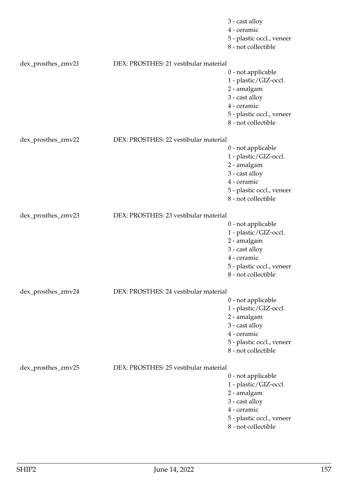|                    |                                       | 3 - cast alloy            |
|--------------------|---------------------------------------|---------------------------|
|                    |                                       | 4 - ceramic               |
|                    |                                       | 5 - plastic occl., veneer |
|                    |                                       | 8 - not collectible       |
| dex_prosthes_zmv21 | DEX: PROSTHES: 21 vestibular material |                           |
|                    |                                       | 0 - not applicable        |
|                    |                                       | 1 - plastic/GIZ-occl.     |
|                    |                                       | 2 - amalgam               |
|                    |                                       | 3 - cast alloy            |
|                    |                                       | 4 - ceramic               |
|                    |                                       | 5 - plastic occl., veneer |
|                    |                                       | 8 - not collectible       |
| dex_prosthes_zmv22 | DEX: PROSTHES: 22 vestibular material |                           |
|                    |                                       | 0 - not applicable        |
|                    |                                       | 1 - plastic/GIZ-occl.     |
|                    |                                       | 2 - amalgam               |
|                    |                                       | 3 - cast alloy            |
|                    |                                       | 4 - ceramic               |
|                    |                                       | 5 - plastic occl., veneer |
|                    |                                       | 8 - not collectible       |
| dex_prosthes_zmv23 | DEX: PROSTHES: 23 vestibular material |                           |
|                    |                                       | 0 - not applicable        |
|                    |                                       | 1 - plastic/GIZ-occl.     |
|                    |                                       | 2 - amalgam               |
|                    |                                       | 3 - cast alloy            |
|                    |                                       | 4 - ceramic               |
|                    |                                       | 5 - plastic occl., veneer |
|                    |                                       | 8 - not collectible       |
| dex_prosthes_zmv24 | DEX: PROSTHES: 24 vestibular material |                           |
|                    |                                       | 0 - not applicable        |
|                    |                                       | 1 - plastic/GIZ-occl.     |
|                    |                                       | 2 - amalgam               |
|                    |                                       | 3 - cast alloy            |
|                    |                                       | 4 - ceramic               |
|                    |                                       | 5 - plastic occl., veneer |
|                    |                                       | 8 - not collectible       |
| dex_prosthes_zmv25 | DEX: PROSTHES: 25 vestibular material |                           |
|                    |                                       | 0 - not applicable        |
|                    |                                       | 1 - plastic/GIZ-occl.     |
|                    |                                       | 2 - amalgam               |
|                    |                                       | 3 - cast alloy            |
|                    |                                       | 4 - ceramic               |
|                    |                                       | 5 - plastic occl., veneer |
|                    |                                       | 8 - not collectible       |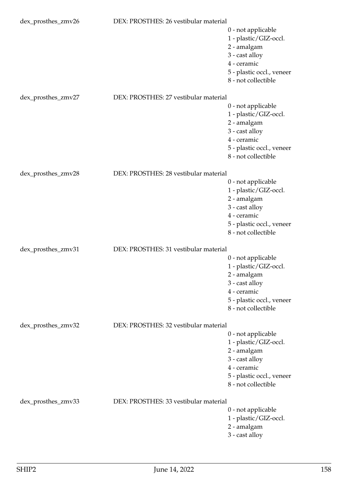| dex_prosthes_zmv26 | DEX: PROSTHES: 26 vestibular material |                           |
|--------------------|---------------------------------------|---------------------------|
|                    |                                       | 0 - not applicable        |
|                    |                                       | 1 - plastic/GIZ-occl.     |
|                    |                                       | 2 - amalgam               |
|                    |                                       | 3 - cast alloy            |
|                    |                                       | 4 - ceramic               |
|                    |                                       | 5 - plastic occl., veneer |
|                    |                                       | 8 - not collectible       |
| dex_prosthes_zmv27 | DEX: PROSTHES: 27 vestibular material |                           |
|                    |                                       | 0 - not applicable        |
|                    |                                       | 1 - plastic/GIZ-occl.     |
|                    |                                       | 2 - amalgam               |
|                    |                                       | 3 - cast alloy            |
|                    |                                       | 4 - ceramic               |
|                    |                                       | 5 - plastic occl., veneer |
|                    |                                       | 8 - not collectible       |
| dex_prosthes_zmv28 | DEX: PROSTHES: 28 vestibular material |                           |
|                    |                                       | 0 - not applicable        |
|                    |                                       | 1 - plastic/GIZ-occl.     |
|                    |                                       | 2 - amalgam               |
|                    |                                       | 3 - cast alloy            |
|                    |                                       | 4 - ceramic               |
|                    |                                       | 5 - plastic occl., veneer |
|                    |                                       | 8 - not collectible       |
|                    |                                       |                           |
| dex_prosthes_zmv31 | DEX: PROSTHES: 31 vestibular material |                           |
|                    |                                       | 0 - not applicable        |
|                    |                                       | 1 - plastic/GIZ-occl.     |
|                    |                                       | 2 - amalgam               |
|                    |                                       | 3 - cast alloy            |
|                    |                                       | 4 - ceramic               |
|                    |                                       | 5 - plastic occl., veneer |
|                    |                                       | 8 - not collectible       |
| dex_prosthes_zmv32 | DEX: PROSTHES: 32 vestibular material |                           |
|                    |                                       | 0 - not applicable        |
|                    |                                       | 1 - plastic/GIZ-occl.     |
|                    |                                       | 2 - amalgam               |
|                    |                                       | 3 - cast alloy            |
|                    |                                       | 4 - ceramic               |
|                    |                                       | 5 - plastic occl., veneer |
|                    |                                       | 8 - not collectible       |
| dex_prosthes_zmv33 | DEX: PROSTHES: 33 vestibular material |                           |
|                    |                                       | 0 - not applicable        |
|                    |                                       | 1 - plastic/GIZ-occl.     |
|                    |                                       | 2 - amalgam               |
|                    |                                       | 3 - cast alloy            |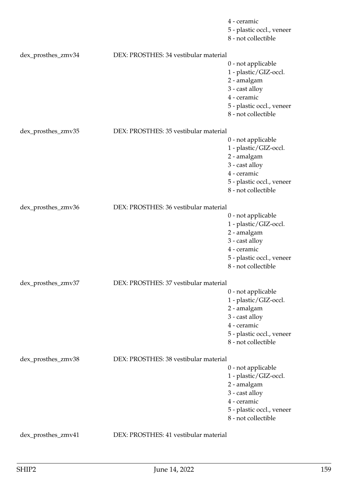|                    |                                       | 4 - ceramic               |
|--------------------|---------------------------------------|---------------------------|
|                    |                                       | 5 - plastic occl., veneer |
|                    |                                       | 8 - not collectible       |
| dex_prosthes_zmv34 | DEX: PROSTHES: 34 vestibular material |                           |
|                    |                                       | 0 - not applicable        |
|                    |                                       | 1 - plastic/GIZ-occl.     |
|                    |                                       | 2 - amalgam               |
|                    |                                       | 3 - cast alloy            |
|                    |                                       | 4 - ceramic               |
|                    |                                       | 5 - plastic occl., veneer |
|                    |                                       | 8 - not collectible       |
| dex_prosthes_zmv35 | DEX: PROSTHES: 35 vestibular material |                           |
|                    |                                       | 0 - not applicable        |
|                    |                                       | 1 - plastic/GIZ-occl.     |
|                    |                                       | 2 - amalgam               |
|                    |                                       | 3 - cast alloy            |
|                    |                                       | 4 - ceramic               |
|                    |                                       | 5 - plastic occl., veneer |
|                    |                                       | 8 - not collectible       |
|                    |                                       |                           |
| dex_prosthes_zmv36 | DEX: PROSTHES: 36 vestibular material |                           |
|                    |                                       | 0 - not applicable        |
|                    |                                       | 1 - plastic/GIZ-occl.     |
|                    |                                       | 2 - amalgam               |
|                    |                                       | 3 - cast alloy            |
|                    |                                       | 4 - ceramic               |
|                    |                                       | 5 - plastic occl., veneer |
|                    |                                       | 8 - not collectible       |
| dex_prosthes_zmv37 | DEX: PROSTHES: 37 vestibular material |                           |
|                    |                                       | 0 - not applicable        |
|                    |                                       | 1 - plastic/GIZ-occl.     |
|                    |                                       | 2 - amalgam               |
|                    |                                       | 3 - cast alloy            |
|                    |                                       | 4 - ceramic               |
|                    |                                       | 5 - plastic occl., veneer |
|                    |                                       | 8 - not collectible       |
| dex_prosthes_zmv38 | DEX: PROSTHES: 38 vestibular material |                           |
|                    |                                       | 0 - not applicable        |
|                    |                                       | 1 - plastic/GIZ-occl.     |
|                    |                                       | 2 - amalgam               |
|                    |                                       | 3 - cast alloy            |
|                    |                                       | 4 - ceramic               |
|                    |                                       | 5 - plastic occl., veneer |
|                    |                                       | 8 - not collectible       |
| dex_prosthes_zmv41 | DEX: PROSTHES: 41 vestibular material |                           |
|                    |                                       |                           |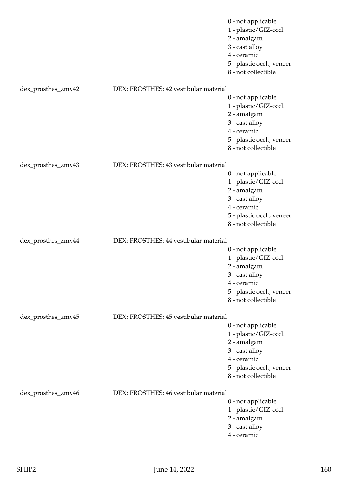|                    |                                       | 0 - not applicable        |
|--------------------|---------------------------------------|---------------------------|
|                    |                                       | 1 - plastic/GIZ-occl.     |
|                    |                                       | 2 - amalgam               |
|                    |                                       | 3 - cast alloy            |
|                    |                                       | 4 - ceramic               |
|                    |                                       | 5 - plastic occl., veneer |
|                    |                                       | 8 - not collectible       |
|                    |                                       |                           |
| dex_prosthes_zmv42 | DEX: PROSTHES: 42 vestibular material |                           |
|                    |                                       | 0 - not applicable        |
|                    |                                       | 1 - plastic/GIZ-occl.     |
|                    |                                       | 2 - amalgam               |
|                    |                                       | 3 - cast alloy            |
|                    |                                       | 4 - ceramic               |
|                    |                                       | 5 - plastic occl., veneer |
|                    |                                       | 8 - not collectible       |
|                    |                                       |                           |
| dex_prosthes_zmv43 | DEX: PROSTHES: 43 vestibular material |                           |
|                    |                                       | 0 - not applicable        |
|                    |                                       | 1 - plastic/GIZ-occl.     |
|                    |                                       | 2 - amalgam               |
|                    |                                       | 3 - cast alloy            |
|                    |                                       | 4 - ceramic               |
|                    |                                       | 5 - plastic occl., veneer |
|                    |                                       | 8 - not collectible       |
| dex_prosthes_zmv44 | DEX: PROSTHES: 44 vestibular material |                           |
|                    |                                       |                           |
|                    |                                       | 0 - not applicable        |
|                    |                                       | 1 - plastic/GIZ-occl.     |
|                    |                                       | 2 - amalgam               |
|                    |                                       | 3 - cast alloy            |
|                    |                                       | 4 - ceramic               |
|                    |                                       | 5 - plastic occl., veneer |
|                    |                                       | 8 - not collectible       |
| dex_prosthes_zmv45 | DEX: PROSTHES: 45 vestibular material |                           |
|                    |                                       | 0 - not applicable        |
|                    |                                       | 1 - plastic/GIZ-occl.     |
|                    |                                       | 2 - amalgam               |
|                    |                                       | 3 - cast alloy            |
|                    |                                       | 4 - ceramic               |
|                    |                                       | 5 - plastic occl., veneer |
|                    |                                       | 8 - not collectible       |
|                    |                                       |                           |
| dex_prosthes_zmv46 | DEX: PROSTHES: 46 vestibular material |                           |
|                    |                                       | 0 - not applicable        |
|                    |                                       | 1 - plastic/GIZ-occl.     |
|                    |                                       | 2 - amalgam               |
|                    |                                       | 3 - cast alloy            |
|                    |                                       | 4 - ceramic               |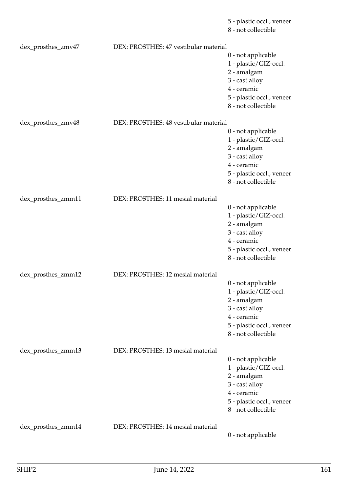8 - not collectible dex\_prosthes\_zmv47 DEX: PROSTHES: 47 vestibular material 0 - not applicable 1 - plastic/GIZ-occl. 2 - amalgam 3 - cast alloy 4 - ceramic 5 - plastic occl., veneer 8 - not collectible dex\_prosthes\_zmv48 DEX: PROSTHES: 48 vestibular material 0 - not applicable 1 - plastic/GIZ-occl. 2 - amalgam 3 - cast alloy 4 - ceramic 5 - plastic occl., veneer 8 - not collectible dex\_prosthes\_zmm11 DEX: PROSTHES: 11 mesial material 0 - not applicable 1 - plastic/GIZ-occl. 2 - amalgam 3 - cast alloy 4 - ceramic 5 - plastic occl., veneer 8 - not collectible dex\_prosthes\_zmm12 DEX: PROSTHES: 12 mesial material 0 - not applicable 1 - plastic/GIZ-occl. 2 - amalgam 3 - cast alloy 4 - ceramic 5 - plastic occl., veneer 8 - not collectible dex prosthes zmm13 DEX: PROSTHES: 13 mesial material 0 - not applicable 1 - plastic/GIZ-occl. 2 - amalgam 3 - cast alloy 4 - ceramic 5 - plastic occl., veneer 8 - not collectible dex\_prosthes\_zmm14 DEX: PROSTHES: 14 mesial material 0 - not applicable

5 - plastic occl., veneer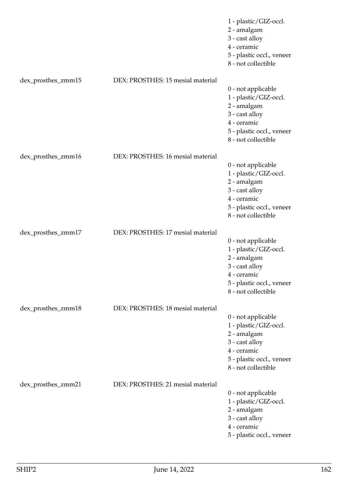|                    |                                   | 1 - plastic/GIZ-occl.<br>2 - amalgam<br>3 - cast alloy<br>4 - ceramic<br>5 - plastic occl., veneer<br>8 - not collectible                       |
|--------------------|-----------------------------------|-------------------------------------------------------------------------------------------------------------------------------------------------|
| dex_prosthes_zmm15 | DEX: PROSTHES: 15 mesial material | 0 - not applicable<br>1 - plastic/GIZ-occl.<br>2 - amalgam<br>3 - cast alloy<br>4 - ceramic<br>5 - plastic occl., veneer<br>8 - not collectible |
| dex_prosthes_zmm16 | DEX: PROSTHES: 16 mesial material | 0 - not applicable<br>1 - plastic/GIZ-occl.<br>2 - amalgam<br>3 - cast alloy<br>4 - ceramic<br>5 - plastic occl., veneer<br>8 - not collectible |
| dex_prosthes_zmm17 | DEX: PROSTHES: 17 mesial material | 0 - not applicable<br>1 - plastic/GIZ-occl.<br>2 - amalgam<br>3 - cast alloy<br>4 - ceramic<br>5 - plastic occl., veneer<br>8 - not collectible |
| dex_prosthes_zmm18 | DEX: PROSTHES: 18 mesial material | 0 - not applicable<br>1 - plastic/GIZ-occl.<br>2 - amalgam<br>3 - cast alloy<br>4 - ceramic<br>5 - plastic occl., veneer<br>8 - not collectible |
| dex_prosthes_zmm21 | DEX: PROSTHES: 21 mesial material | 0 - not applicable<br>1 - plastic/GIZ-occl.<br>2 - amalgam<br>3 - cast alloy<br>4 - ceramic<br>5 - plastic occl., veneer                        |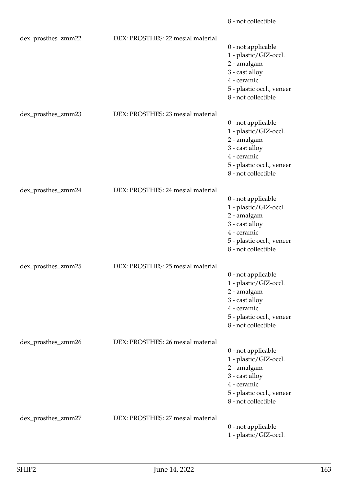|                    |                                   | 8 - not collectible                                                                                                                             |
|--------------------|-----------------------------------|-------------------------------------------------------------------------------------------------------------------------------------------------|
| dex_prosthes_zmm22 | DEX: PROSTHES: 22 mesial material | 0 - not applicable<br>1 - plastic/GIZ-occl.<br>2 - amalgam<br>3 - cast alloy<br>4 - ceramic<br>5 - plastic occl., veneer<br>8 - not collectible |
| dex_prosthes_zmm23 | DEX: PROSTHES: 23 mesial material | 0 - not applicable<br>1 - plastic/GIZ-occl.<br>2 - amalgam<br>3 - cast alloy<br>4 - ceramic<br>5 - plastic occl., veneer<br>8 - not collectible |
| dex_prosthes_zmm24 | DEX: PROSTHES: 24 mesial material | 0 - not applicable<br>1 - plastic/GIZ-occl.<br>2 - amalgam<br>3 - cast alloy<br>4 - ceramic<br>5 - plastic occl., veneer<br>8 - not collectible |
| dex_prosthes_zmm25 | DEX: PROSTHES: 25 mesial material | 0 - not applicable<br>1 - plastic/GIZ-occl.<br>2 - amalgam<br>3 - cast alloy<br>4 - ceramic<br>5 - plastic occl., veneer<br>8 - not collectible |
| dex_prosthes_zmm26 | DEX: PROSTHES: 26 mesial material | 0 - not applicable<br>1 - plastic/GIZ-occl.<br>2 - amalgam<br>3 - cast alloy<br>4 - ceramic<br>5 - plastic occl., veneer<br>8 - not collectible |
| dex_prosthes_zmm27 | DEX: PROSTHES: 27 mesial material | 0 - not applicable<br>1 - plastic/GIZ-occl.                                                                                                     |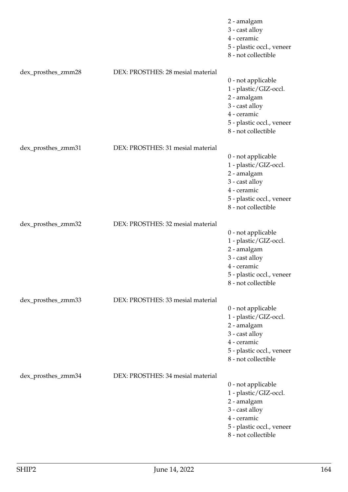|                    |                                   | 2 - amalgam<br>3 - cast alloy<br>4 - ceramic<br>5 - plastic occl., veneer<br>8 - not collectible                                                |
|--------------------|-----------------------------------|-------------------------------------------------------------------------------------------------------------------------------------------------|
| dex_prosthes_zmm28 | DEX: PROSTHES: 28 mesial material | 0 - not applicable<br>1 - plastic/GIZ-occl.<br>2 - amalgam<br>3 - cast alloy<br>4 - ceramic<br>5 - plastic occl., veneer<br>8 - not collectible |
| dex_prosthes_zmm31 | DEX: PROSTHES: 31 mesial material | 0 - not applicable<br>1 - plastic/GIZ-occl.<br>2 - amalgam<br>3 - cast alloy<br>4 - ceramic<br>5 - plastic occl., veneer<br>8 - not collectible |
| dex_prosthes_zmm32 | DEX: PROSTHES: 32 mesial material | 0 - not applicable<br>1 - plastic/GIZ-occl.<br>2 - amalgam<br>3 - cast alloy<br>4 - ceramic<br>5 - plastic occl., veneer<br>8 - not collectible |
| dex_prosthes_zmm33 | DEX: PROSTHES: 33 mesial material | 0 - not applicable<br>1 - plastic/GIZ-occl.<br>2 - amalgam<br>3 - cast alloy<br>4 - ceramic<br>5 - plastic occl., veneer<br>8 - not collectible |
| dex_prosthes_zmm34 | DEX: PROSTHES: 34 mesial material | 0 - not applicable<br>1 - plastic/GIZ-occl.<br>2 - amalgam<br>3 - cast alloy<br>4 - ceramic<br>5 - plastic occl., veneer<br>8 - not collectible |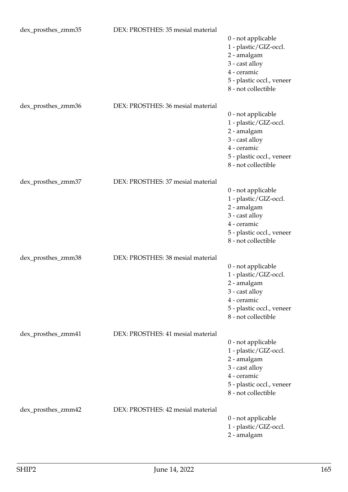| dex_prosthes_zmm35 | DEX: PROSTHES: 35 mesial material |                           |
|--------------------|-----------------------------------|---------------------------|
|                    |                                   | 0 - not applicable        |
|                    |                                   | 1 - plastic/GIZ-occl.     |
|                    |                                   | 2 - amalgam               |
|                    |                                   | 3 - cast alloy            |
|                    |                                   | 4 - ceramic               |
|                    |                                   | 5 - plastic occl., veneer |
|                    |                                   | 8 - not collectible       |
|                    |                                   |                           |
| dex_prosthes_zmm36 | DEX: PROSTHES: 36 mesial material |                           |
|                    |                                   | 0 - not applicable        |
|                    |                                   | 1 - plastic/GIZ-occl.     |
|                    |                                   | 2 - amalgam               |
|                    |                                   | 3 - cast alloy            |
|                    |                                   | 4 - ceramic               |
|                    |                                   | 5 - plastic occl., veneer |
|                    |                                   | 8 - not collectible       |
|                    |                                   |                           |
| dex_prosthes_zmm37 | DEX: PROSTHES: 37 mesial material |                           |
|                    |                                   | 0 - not applicable        |
|                    |                                   | 1 - plastic/GIZ-occl.     |
|                    |                                   | 2 - amalgam               |
|                    |                                   | 3 - cast alloy            |
|                    |                                   | 4 - ceramic               |
|                    |                                   | 5 - plastic occl., veneer |
|                    |                                   | 8 - not collectible       |
| dex_prosthes_zmm38 | DEX: PROSTHES: 38 mesial material |                           |
|                    |                                   | 0 - not applicable        |
|                    |                                   | 1 - plastic/GIZ-occl.     |
|                    |                                   | 2 - amalgam               |
|                    |                                   | 3 - cast alloy            |
|                    |                                   | 4 - ceramic               |
|                    |                                   | 5 - plastic occl., veneer |
|                    |                                   | 8 - not collectible       |
|                    |                                   |                           |
| dex_prosthes_zmm41 | DEX: PROSTHES: 41 mesial material |                           |
|                    |                                   | 0 - not applicable        |
|                    |                                   | 1 - plastic/GIZ-occl.     |
|                    |                                   | 2 - amalgam               |
|                    |                                   | 3 - cast alloy            |
|                    |                                   | 4 - ceramic               |
|                    |                                   | 5 - plastic occl., veneer |
|                    |                                   | 8 - not collectible       |
|                    |                                   |                           |
| dex_prosthes_zmm42 | DEX: PROSTHES: 42 mesial material | 0 - not applicable        |
|                    |                                   | 1 - plastic/GIZ-occl.     |
|                    |                                   | 2 - amalgam               |
|                    |                                   |                           |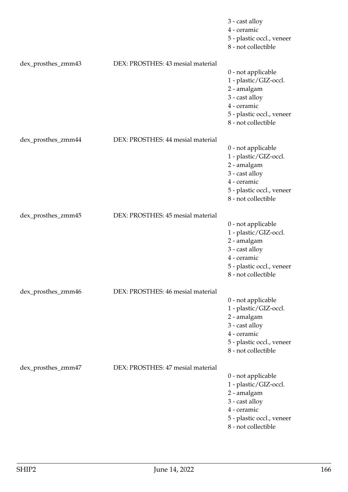|                    |                                   | 3 - cast alloy<br>4 - ceramic<br>5 - plastic occl., veneer<br>8 - not collectible                                                               |
|--------------------|-----------------------------------|-------------------------------------------------------------------------------------------------------------------------------------------------|
| dex_prosthes_zmm43 | DEX: PROSTHES: 43 mesial material | 0 - not applicable<br>1 - plastic/GIZ-occl.<br>2 - amalgam<br>3 - cast alloy<br>4 - ceramic<br>5 - plastic occl., veneer<br>8 - not collectible |
| dex_prosthes_zmm44 | DEX: PROSTHES: 44 mesial material | 0 - not applicable<br>1 - plastic/GIZ-occl.<br>2 - amalgam<br>3 - cast alloy<br>4 - ceramic<br>5 - plastic occl., veneer<br>8 - not collectible |
| dex_prosthes_zmm45 | DEX: PROSTHES: 45 mesial material | 0 - not applicable<br>1 - plastic/GIZ-occl.<br>2 - amalgam<br>3 - cast alloy<br>4 - ceramic<br>5 - plastic occl., veneer<br>8 - not collectible |
| dex_prosthes_zmm46 | DEX: PROSTHES: 46 mesial material | 0 - not applicable<br>1 - plastic/GIZ-occl.<br>2 - amalgam<br>3 - cast alloy<br>4 - ceramic<br>5 - plastic occl., veneer<br>8 - not collectible |
| dex_prosthes_zmm47 | DEX: PROSTHES: 47 mesial material | 0 - not applicable<br>1 - plastic/GIZ-occl.<br>2 - amalgam<br>3 - cast alloy<br>4 - ceramic<br>5 - plastic occl., veneer<br>8 - not collectible |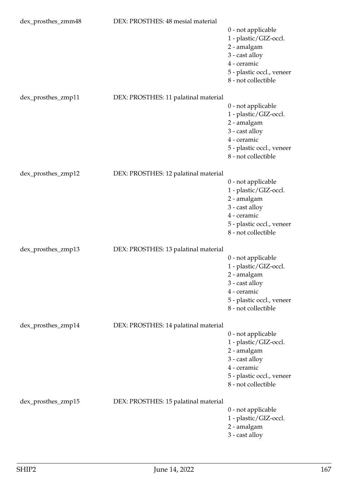| dex_prosthes_zmm48 | DEX: PROSTHES: 48 mesial material    |                                                                                                                                                 |
|--------------------|--------------------------------------|-------------------------------------------------------------------------------------------------------------------------------------------------|
|                    |                                      | 0 - not applicable<br>1 - plastic/GIZ-occl.<br>2 - amalgam<br>3 - cast alloy<br>4 - ceramic<br>5 - plastic occl., veneer<br>8 - not collectible |
| dex_prosthes_zmp11 | DEX: PROSTHES: 11 palatinal material | 0 - not applicable<br>1 - plastic/GIZ-occl.<br>2 - amalgam<br>3 - cast alloy<br>4 - ceramic<br>5 - plastic occl., veneer<br>8 - not collectible |
| dex_prosthes_zmp12 | DEX: PROSTHES: 12 palatinal material |                                                                                                                                                 |
|                    |                                      | 0 - not applicable<br>1 - plastic/GIZ-occl.<br>2 - amalgam<br>3 - cast alloy<br>4 - ceramic<br>5 - plastic occl., veneer<br>8 - not collectible |
| dex_prosthes_zmp13 | DEX: PROSTHES: 13 palatinal material | 0 - not applicable<br>1 - plastic/GIZ-occl.<br>2 - amalgam<br>3 - cast alloy<br>4 - ceramic<br>5 - plastic occl., veneer<br>8 - not collectible |
| dex_prosthes_zmp14 | DEX: PROSTHES: 14 palatinal material | 0 - not applicable<br>1 - plastic/GIZ-occl.<br>2 - amalgam<br>3 - cast alloy<br>4 - ceramic<br>5 - plastic occl., veneer<br>8 - not collectible |
| dex_prosthes_zmp15 | DEX: PROSTHES: 15 palatinal material | 0 - not applicable<br>1 - plastic/GIZ-occl.<br>2 - amalgam<br>3 - cast alloy                                                                    |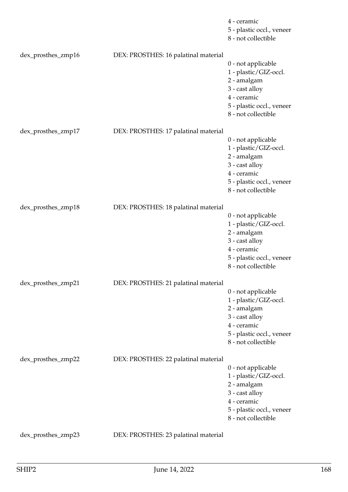|                    |                                      | 4 - ceramic<br>5 - plastic occl., veneer<br>8 - not collectible                                                                                 |
|--------------------|--------------------------------------|-------------------------------------------------------------------------------------------------------------------------------------------------|
| dex_prosthes_zmp16 | DEX: PROSTHES: 16 palatinal material | 0 - not applicable<br>1 - plastic/GIZ-occl.<br>2 - amalgam<br>3 - cast alloy<br>4 - ceramic<br>5 - plastic occl., veneer<br>8 - not collectible |
| dex_prosthes_zmp17 | DEX: PROSTHES: 17 palatinal material | 0 - not applicable<br>1 - plastic/GIZ-occl.<br>2 - amalgam<br>3 - cast alloy<br>4 - ceramic<br>5 - plastic occl., veneer<br>8 - not collectible |
| dex_prosthes_zmp18 | DEX: PROSTHES: 18 palatinal material | 0 - not applicable<br>1 - plastic/GIZ-occl.<br>2 - amalgam<br>3 - cast alloy<br>4 - ceramic<br>5 - plastic occl., veneer<br>8 - not collectible |
| dex_prosthes_zmp21 | DEX: PROSTHES: 21 palatinal material | 0 - not applicable<br>1 - plastic/GIZ-occl.<br>2 - amalgam<br>3 - cast alloy<br>4 - ceramic<br>5 - plastic occl., veneer<br>8 - not collectible |
| dex_prosthes_zmp22 | DEX: PROSTHES: 22 palatinal material | 0 - not applicable<br>1 - plastic/GIZ-occl.<br>2 - amalgam<br>3 - cast alloy<br>4 - ceramic<br>5 - plastic occl., veneer<br>8 - not collectible |
| dex_prosthes_zmp23 | DEX: PROSTHES: 23 palatinal material |                                                                                                                                                 |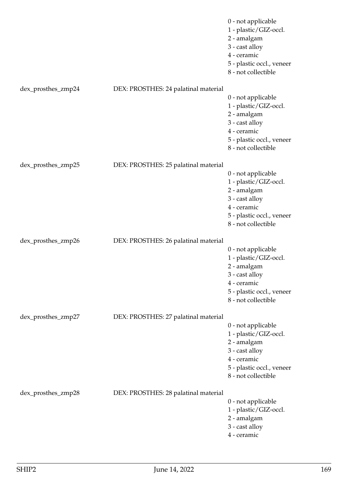|                    |                                      | 0 - not applicable<br>1 - plastic/GIZ-occl.<br>2 - amalgam<br>3 - cast alloy<br>4 - ceramic<br>5 - plastic occl., veneer<br>8 - not collectible |
|--------------------|--------------------------------------|-------------------------------------------------------------------------------------------------------------------------------------------------|
| dex_prosthes_zmp24 | DEX: PROSTHES: 24 palatinal material | 0 - not applicable<br>1 - plastic/GIZ-occl.<br>2 - amalgam<br>3 - cast alloy<br>4 - ceramic<br>5 - plastic occl., veneer<br>8 - not collectible |
| dex_prosthes_zmp25 | DEX: PROSTHES: 25 palatinal material | 0 - not applicable<br>1 - plastic/GIZ-occl.<br>2 - amalgam<br>3 - cast alloy<br>4 - ceramic<br>5 - plastic occl., veneer<br>8 - not collectible |
| dex_prosthes_zmp26 | DEX: PROSTHES: 26 palatinal material | 0 - not applicable<br>1 - plastic/GIZ-occl.<br>2 - amalgam<br>3 - cast alloy<br>4 - ceramic<br>5 - plastic occl., veneer<br>8 - not collectible |
| dex_prosthes_zmp27 | DEX: PROSTHES: 27 palatinal material | 0 - not applicable<br>1 - plastic/GIZ-occl.<br>2 - amalgam<br>3 - cast alloy<br>4 - ceramic<br>5 - plastic occl., veneer<br>8 - not collectible |
| dex_prosthes_zmp28 | DEX: PROSTHES: 28 palatinal material | 0 - not applicable<br>1 - plastic/GIZ-occl.<br>2 - amalgam<br>3 - cast alloy<br>4 - ceramic                                                     |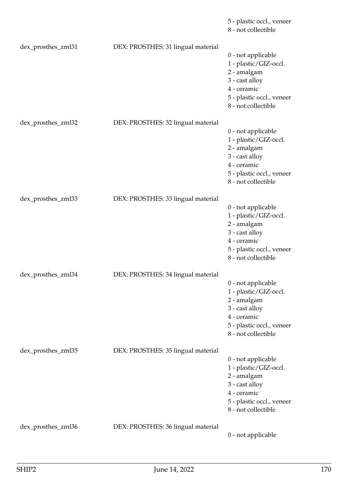|                    |                                    | 5 - plastic occl., veneer<br>8 - not collectible                                                                                                |
|--------------------|------------------------------------|-------------------------------------------------------------------------------------------------------------------------------------------------|
| dex_prosthes_zml31 | DEX: PROSTHES: 31 lingual material | 0 - not applicable<br>1 - plastic/GIZ-occl.<br>2 - amalgam<br>3 - cast alloy<br>4 - ceramic<br>5 - plastic occl., veneer<br>8 - not collectible |
| dex_prosthes_zml32 | DEX: PROSTHES: 32 lingual material | 0 - not applicable<br>1 - plastic/GIZ-occl.<br>2 - amalgam<br>3 - cast alloy<br>4 - ceramic<br>5 - plastic occl., veneer<br>8 - not collectible |
| dex_prosthes_zml33 | DEX: PROSTHES: 33 lingual material | 0 - not applicable<br>1 - plastic/GIZ-occl.<br>2 - amalgam<br>3 - cast alloy<br>4 - ceramic<br>5 - plastic occl., veneer<br>8 - not collectible |
| dex_prosthes_zml34 | DEX: PROSTHES: 34 lingual material | 0 - not applicable<br>1 - plastic/GIZ-occl.<br>2 - amalgam<br>3 - cast alloy<br>4 - ceramic<br>5 - plastic occl., veneer<br>8 - not collectible |
| dex_prosthes_zml35 | DEX: PROSTHES: 35 lingual material | 0 - not applicable<br>1 - plastic/GIZ-occl.<br>2 - amalgam<br>3 - cast alloy<br>4 - ceramic<br>5 - plastic occl., veneer<br>8 - not collectible |
| dex_prosthes_zml36 | DEX: PROSTHES: 36 lingual material | 0 - not applicable                                                                                                                              |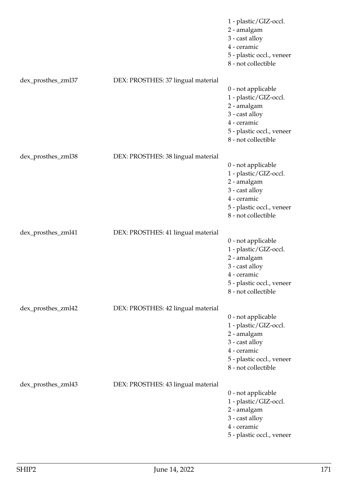|                    |                                    | 1 - plastic/GIZ-occl.<br>2 - amalgam<br>3 - cast alloy<br>4 - ceramic<br>5 - plastic occl., veneer<br>8 - not collectible                       |
|--------------------|------------------------------------|-------------------------------------------------------------------------------------------------------------------------------------------------|
| dex_prosthes_zml37 | DEX: PROSTHES: 37 lingual material | 0 - not applicable<br>1 - plastic/GIZ-occl.<br>2 - amalgam<br>3 - cast alloy<br>4 - ceramic<br>5 - plastic occl., veneer<br>8 - not collectible |
| dex_prosthes_zml38 | DEX: PROSTHES: 38 lingual material | 0 - not applicable<br>1 - plastic/GIZ-occl.<br>2 - amalgam<br>3 - cast alloy<br>4 - ceramic<br>5 - plastic occl., veneer<br>8 - not collectible |
| dex_prosthes_zml41 | DEX: PROSTHES: 41 lingual material | 0 - not applicable<br>1 - plastic/GIZ-occl.<br>2 - amalgam<br>3 - cast alloy<br>4 - ceramic<br>5 - plastic occl., veneer<br>8 - not collectible |
| dex_prosthes_zml42 | DEX: PROSTHES: 42 lingual material | 0 - not applicable<br>1 - plastic/GIZ-occl.<br>2 - amalgam<br>3 - cast alloy<br>4 - ceramic<br>5 - plastic occl., veneer<br>8 - not collectible |
| dex_prosthes_zml43 | DEX: PROSTHES: 43 lingual material | 0 - not applicable<br>1 - plastic/GIZ-occl.<br>2 - amalgam<br>3 - cast alloy<br>4 - ceramic<br>5 - plastic occl., veneer                        |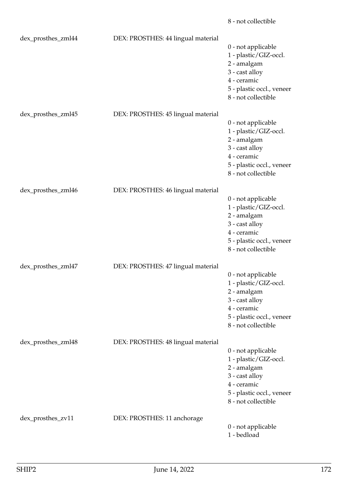|                    |                                    | 8 - not collectible                                                                                                                             |
|--------------------|------------------------------------|-------------------------------------------------------------------------------------------------------------------------------------------------|
| dex_prosthes_zml44 | DEX: PROSTHES: 44 lingual material | 0 - not applicable<br>1 - plastic/GIZ-occl.<br>2 - amalgam<br>3 - cast alloy<br>4 - ceramic<br>5 - plastic occl., veneer<br>8 - not collectible |
| dex_prosthes_zml45 | DEX: PROSTHES: 45 lingual material | 0 - not applicable<br>1 - plastic/GIZ-occl.<br>2 - amalgam<br>3 - cast alloy<br>4 - ceramic<br>5 - plastic occl., veneer<br>8 - not collectible |
| dex_prosthes_zml46 | DEX: PROSTHES: 46 lingual material | 0 - not applicable<br>1 - plastic/GIZ-occl.<br>2 - amalgam<br>3 - cast alloy<br>4 - ceramic<br>5 - plastic occl., veneer<br>8 - not collectible |
| dex_prosthes_zml47 | DEX: PROSTHES: 47 lingual material | 0 - not applicable<br>1 - plastic/GIZ-occl.<br>2 - amalgam<br>3 - cast alloy<br>4 - ceramic<br>5 - plastic occl., veneer<br>8 - not collectible |
| dex_prosthes_zml48 | DEX: PROSTHES: 48 lingual material | 0 - not applicable<br>1 - plastic/GIZ-occl.<br>2 - amalgam<br>3 - cast alloy<br>4 - ceramic<br>5 - plastic occl., veneer<br>8 - not collectible |
| dex_prosthes_zv11  | DEX: PROSTHES: 11 anchorage        | 0 - not applicable<br>1 - bedload                                                                                                               |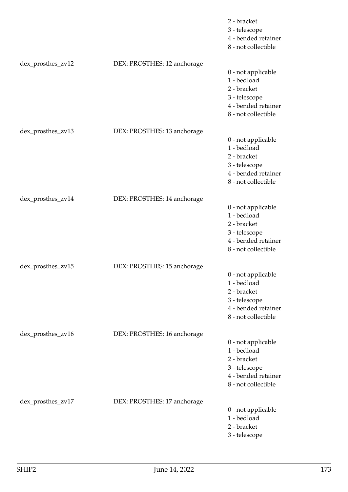|                   |                             | 2 - bracket<br>3 - telescope<br>4 - bended retainer<br>8 - not collectible                                      |
|-------------------|-----------------------------|-----------------------------------------------------------------------------------------------------------------|
| dex_prosthes_zv12 | DEX: PROSTHES: 12 anchorage | 0 - not applicable<br>1 - bedload<br>2 - bracket<br>3 - telescope<br>4 - bended retainer<br>8 - not collectible |
| dex_prosthes_zv13 | DEX: PROSTHES: 13 anchorage | 0 - not applicable<br>1 - bedload<br>2 - bracket<br>3 - telescope<br>4 - bended retainer<br>8 - not collectible |
| dex_prosthes_zv14 | DEX: PROSTHES: 14 anchorage | 0 - not applicable<br>1 - bedload<br>2 - bracket<br>3 - telescope<br>4 - bended retainer<br>8 - not collectible |
| dex_prosthes_zv15 | DEX: PROSTHES: 15 anchorage | 0 - not applicable<br>1 - bedload<br>2 - bracket<br>3 - telescope<br>4 - bended retainer<br>8 - not collectible |
| dex_prosthes_zv16 | DEX: PROSTHES: 16 anchorage | 0 - not applicable<br>1 - bedload<br>2 - bracket<br>3 - telescope<br>4 - bended retainer<br>8 - not collectible |
| dex_prosthes_zv17 | DEX: PROSTHES: 17 anchorage | 0 - not applicable<br>1 - bedload<br>2 - bracket<br>3 - telescope                                               |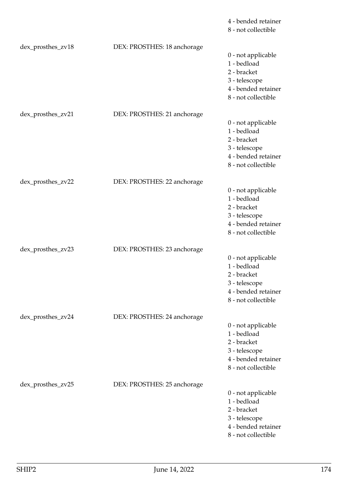|                   |                             | 4 - bended retainer<br>8 - not collectible                                                                      |
|-------------------|-----------------------------|-----------------------------------------------------------------------------------------------------------------|
| dex_prosthes_zv18 | DEX: PROSTHES: 18 anchorage | 0 - not applicable<br>1 - bedload<br>2 - bracket<br>3 - telescope<br>4 - bended retainer<br>8 - not collectible |
| dex_prosthes_zv21 | DEX: PROSTHES: 21 anchorage | 0 - not applicable<br>1 - bedload<br>2 - bracket<br>3 - telescope<br>4 - bended retainer<br>8 - not collectible |
| dex_prosthes_zv22 | DEX: PROSTHES: 22 anchorage | 0 - not applicable<br>1 - bedload<br>2 - bracket<br>3 - telescope<br>4 - bended retainer<br>8 - not collectible |
| dex_prosthes_zv23 | DEX: PROSTHES: 23 anchorage | 0 - not applicable<br>1 - bedload<br>2 - bracket<br>3 - telescope<br>4 - bended retainer<br>8 - not collectible |
| dex_prosthes_zv24 | DEX: PROSTHES: 24 anchorage | 0 - not applicable<br>1 - bedload<br>2 - bracket<br>3 - telescope<br>4 - bended retainer<br>8 - not collectible |
| dex_prosthes_zv25 | DEX: PROSTHES: 25 anchorage | 0 - not applicable<br>1 - bedload<br>2 - bracket<br>3 - telescope<br>4 - bended retainer<br>8 - not collectible |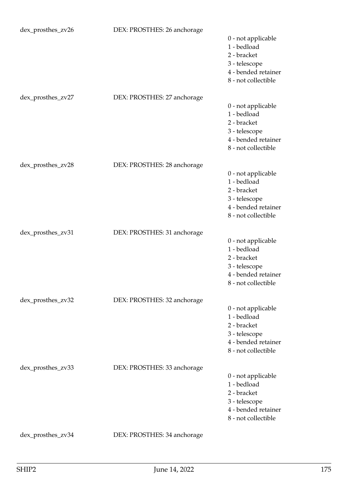| dex_prosthes_zv26 | DEX: PROSTHES: 26 anchorage | 0 - not applicable<br>1 - bedload<br>2 - bracket<br>3 - telescope<br>4 - bended retainer<br>8 - not collectible |
|-------------------|-----------------------------|-----------------------------------------------------------------------------------------------------------------|
| dex_prosthes_zv27 | DEX: PROSTHES: 27 anchorage | 0 - not applicable<br>1 - bedload<br>2 - bracket<br>3 - telescope<br>4 - bended retainer<br>8 - not collectible |
| dex_prosthes_zv28 | DEX: PROSTHES: 28 anchorage | 0 - not applicable<br>1 - bedload<br>2 - bracket<br>3 - telescope<br>4 - bended retainer<br>8 - not collectible |
| dex_prosthes_zv31 | DEX: PROSTHES: 31 anchorage | 0 - not applicable<br>1 - bedload<br>2 - bracket<br>3 - telescope<br>4 - bended retainer<br>8 - not collectible |
| dex_prosthes_zv32 | DEX: PROSTHES: 32 anchorage | 0 - not applicable<br>1 - bedload<br>2 - bracket<br>3 - telescope<br>4 - bended retainer<br>8 - not collectible |
| dex_prosthes_zv33 | DEX: PROSTHES: 33 anchorage | 0 - not applicable<br>1 - bedload<br>2 - bracket<br>3 - telescope<br>4 - bended retainer<br>8 - not collectible |
| dex_prosthes_zv34 | DEX: PROSTHES: 34 anchorage |                                                                                                                 |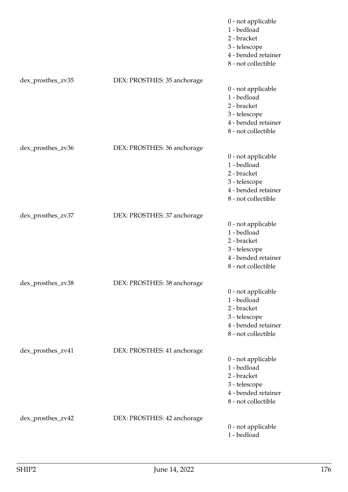|                   |                             | 0 - not applicable<br>1 - bedload<br>2 - bracket<br>3 - telescope<br>4 - bended retainer<br>8 - not collectible |
|-------------------|-----------------------------|-----------------------------------------------------------------------------------------------------------------|
| dex_prosthes_zv35 | DEX: PROSTHES: 35 anchorage | 0 - not applicable<br>1 - bedload<br>2 - bracket<br>3 - telescope<br>4 - bended retainer<br>8 - not collectible |
| dex_prosthes_zv36 | DEX: PROSTHES: 36 anchorage | 0 - not applicable<br>1 - bedload<br>2 - bracket<br>3 - telescope<br>4 - bended retainer<br>8 - not collectible |
| dex_prosthes_zv37 | DEX: PROSTHES: 37 anchorage | 0 - not applicable<br>1 - bedload<br>2 - bracket<br>3 - telescope<br>4 - bended retainer<br>8 - not collectible |
| dex_prosthes_zv38 | DEX: PROSTHES: 38 anchorage | 0 - not applicable<br>1 - bedload<br>2 - bracket<br>3 - telescope<br>4 - bended retainer<br>8 - not collectible |
| dex_prosthes_zv41 | DEX: PROSTHES: 41 anchorage | 0 - not applicable<br>1 - bedload<br>2 - bracket<br>3 - telescope<br>4 - bended retainer<br>8 - not collectible |
| dex_prosthes_zv42 | DEX: PROSTHES: 42 anchorage | 0 - not applicable<br>1 - bedload                                                                               |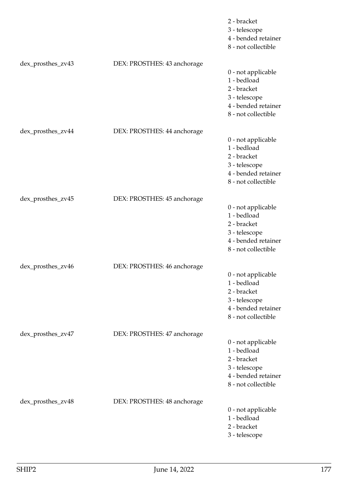|                   |                             | 2 - bracket<br>3 - telescope<br>4 - bended retainer<br>8 - not collectible                                      |
|-------------------|-----------------------------|-----------------------------------------------------------------------------------------------------------------|
| dex_prosthes_zv43 | DEX: PROSTHES: 43 anchorage | 0 - not applicable<br>1 - bedload<br>2 - bracket<br>3 - telescope<br>4 - bended retainer<br>8 - not collectible |
| dex_prosthes_zv44 | DEX: PROSTHES: 44 anchorage | 0 - not applicable<br>1 - bedload<br>2 - bracket<br>3 - telescope<br>4 - bended retainer<br>8 - not collectible |
| dex_prosthes_zv45 | DEX: PROSTHES: 45 anchorage | 0 - not applicable<br>1 - bedload<br>2 - bracket<br>3 - telescope<br>4 - bended retainer<br>8 - not collectible |
| dex_prosthes_zv46 | DEX: PROSTHES: 46 anchorage | 0 - not applicable<br>1 - bedload<br>2 - bracket<br>3 - telescope<br>4 - bended retainer<br>8 - not collectible |
| dex_prosthes_zv47 | DEX: PROSTHES: 47 anchorage | 0 - not applicable<br>1 - bedload<br>2 - bracket<br>3 - telescope<br>4 - bended retainer<br>8 - not collectible |
| dex_prosthes_zv48 | DEX: PROSTHES: 48 anchorage | 0 - not applicable<br>1 - bedload<br>2 - bracket<br>3 - telescope                                               |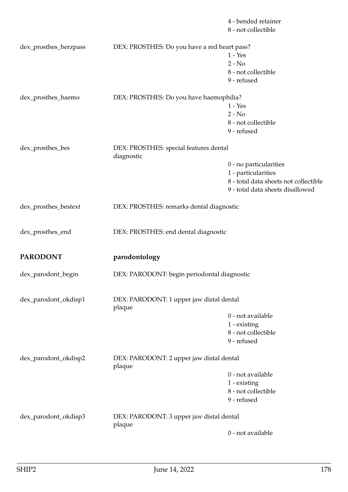|                       |                                                      | 4 - bended retainer<br>8 - not collectible |
|-----------------------|------------------------------------------------------|--------------------------------------------|
| dex_prosthes_herzpass | DEX: PROSTHES: Do you have a red heart pass?         |                                            |
|                       |                                                      | $1 - Yes$                                  |
|                       |                                                      | $2 - No$                                   |
|                       |                                                      | 8 - not collectible                        |
|                       |                                                      | 9 - refused                                |
| dex_prosthes_haemo    | DEX: PROSTHES: Do you have haemophilia?              |                                            |
|                       |                                                      | $1 - Yes$                                  |
|                       |                                                      | $2 - No$                                   |
|                       |                                                      | 8 - not collectible                        |
|                       |                                                      | 9 - refused                                |
| dex_prosthes_bes      | DEX: PROSTHES: special features dental<br>diagnostic |                                            |
|                       |                                                      | 0 - no particularities                     |
|                       |                                                      | 1 - particularities                        |
|                       |                                                      | 8 - total data sheets not collectible      |
|                       |                                                      | 9 - total data sheets disallowed           |
| dex_prosthes_bestext  | DEX: PROSTHES: remarks dental diagnostic             |                                            |
| dex_prosthes_end      | DEX: PROSTHES: end dental diagnostic                 |                                            |
| <b>PARODONT</b>       | parodontology                                        |                                            |
| dex_parodont_begin    | DEX: PARODONT: begin periodontal diagnostic          |                                            |
| dex_parodont_okdisp1  | DEX: PARODONT: 1 upper jaw distal dental<br>plaque   |                                            |
|                       |                                                      | 0 - not available                          |
|                       |                                                      | 1 - existing                               |
|                       |                                                      | 8 - not collectible                        |
|                       |                                                      | 9 - refused                                |
| dex_parodont_okdisp2  | DEX: PARODONT: 2 upper jaw distal dental<br>plaque   |                                            |
|                       |                                                      | 0 - not available                          |
|                       |                                                      | $1$ - existing                             |
|                       |                                                      | 8 - not collectible                        |
|                       |                                                      | 9 - refused                                |
| dex_parodont_okdisp3  | DEX: PARODONT: 3 upper jaw distal dental             |                                            |
|                       | plaque                                               |                                            |
|                       |                                                      | 0 - not available                          |
|                       |                                                      |                                            |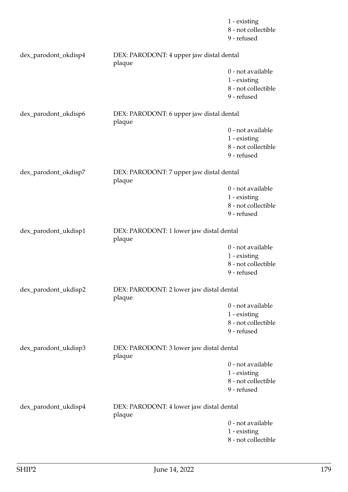|                      |                                                    | 1 - existing<br>8 - not collectible<br>9 - refused                      |
|----------------------|----------------------------------------------------|-------------------------------------------------------------------------|
| dex_parodont_okdisp4 | DEX: PARODONT: 4 upper jaw distal dental<br>plaque |                                                                         |
|                      |                                                    | 0 - not available<br>1 - existing<br>8 - not collectible<br>9 - refused |
| dex_parodont_okdisp6 | DEX: PARODONT: 6 upper jaw distal dental<br>plaque |                                                                         |
|                      |                                                    | 0 - not available<br>1 - existing<br>8 - not collectible<br>9 - refused |
| dex_parodont_okdisp7 | DEX: PARODONT: 7 upper jaw distal dental<br>plaque |                                                                         |
|                      |                                                    | 0 - not available<br>1 - existing<br>8 - not collectible<br>9 - refused |
| dex_parodont_ukdisp1 | DEX: PARODONT: 1 lower jaw distal dental<br>plaque |                                                                         |
|                      |                                                    | 0 - not available<br>1 - existing<br>8 - not collectible<br>9 - refused |
| dex_parodont_ukdisp2 | DEX: PARODONT: 2 lower jaw distal dental<br>plaque |                                                                         |
|                      |                                                    | 0 - not available<br>1 - existing<br>8 - not collectible<br>9 - refused |
| dex_parodont_ukdisp3 | DEX: PARODONT: 3 lower jaw distal dental<br>plaque |                                                                         |
|                      |                                                    | 0 - not available<br>1 - existing<br>8 - not collectible<br>9 - refused |
| dex_parodont_ukdisp4 | DEX: PARODONT: 4 lower jaw distal dental<br>plaque |                                                                         |
|                      |                                                    | 0 - not available<br>1 - existing<br>8 - not collectible                |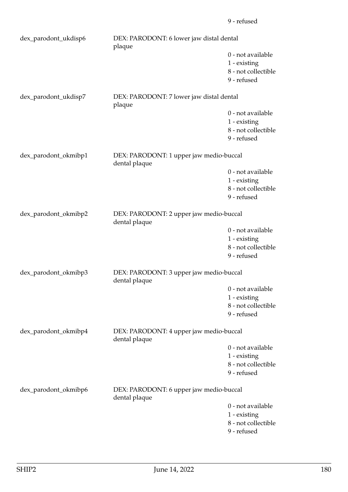| dex_parodont_ukdisp6 | DEX: PARODONT: 6 lower jaw distal dental<br>plaque       |                                                                         |  |
|----------------------|----------------------------------------------------------|-------------------------------------------------------------------------|--|
|                      |                                                          | 0 - not available<br>1 - existing<br>8 - not collectible<br>9 - refused |  |
| dex_parodont_ukdisp7 | DEX: PARODONT: 7 lower jaw distal dental<br>plaque       |                                                                         |  |
|                      |                                                          | 0 - not available<br>1 - existing<br>8 - not collectible<br>9 - refused |  |
| dex_parodont_okmibp1 | dental plaque                                            | DEX: PARODONT: 1 upper jaw medio-buccal                                 |  |
|                      |                                                          | 0 - not available<br>1 - existing<br>8 - not collectible<br>9 - refused |  |
| dex_parodont_okmibp2 | DEX: PARODONT: 2 upper jaw medio-buccal<br>dental plaque |                                                                         |  |
|                      |                                                          | 0 - not available<br>1 - existing<br>8 - not collectible<br>9 - refused |  |
| dex_parodont_okmibp3 | DEX: PARODONT: 3 upper jaw medio-buccal<br>dental plaque |                                                                         |  |
|                      |                                                          | 0 - not available<br>1 - existing<br>8 - not collectible<br>9 - refused |  |
| dex_parodont_okmibp4 | DEX: PARODONT: 4 upper jaw medio-buccal<br>dental plaque |                                                                         |  |
|                      |                                                          | 0 - not available<br>1 - existing<br>8 - not collectible<br>9 - refused |  |
| dex_parodont_okmibp6 | DEX: PARODONT: 6 upper jaw medio-buccal<br>dental plaque |                                                                         |  |
|                      |                                                          | 0 - not available<br>1 - existing<br>8 - not collectible<br>9 - refused |  |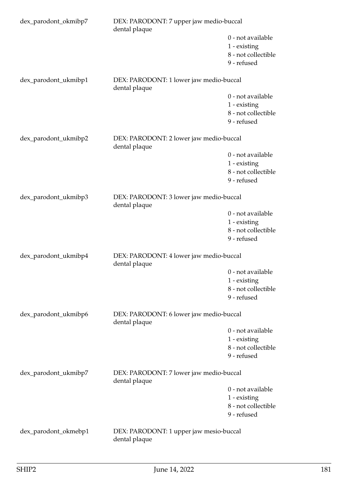| dex_parodont_okmibp7 | DEX: PARODONT: 7 upper jaw medio-buccal<br>dental plaque |                                                                         |  |
|----------------------|----------------------------------------------------------|-------------------------------------------------------------------------|--|
|                      |                                                          | 0 - not available<br>1 - existing<br>8 - not collectible<br>9 - refused |  |
| dex_parodont_ukmibp1 | DEX: PARODONT: 1 lower jaw medio-buccal<br>dental plaque |                                                                         |  |
|                      |                                                          | 0 - not available<br>1 - existing<br>8 - not collectible<br>9 - refused |  |
| dex_parodont_ukmibp2 | DEX: PARODONT: 2 lower jaw medio-buccal<br>dental plaque |                                                                         |  |
|                      |                                                          | 0 - not available<br>1 - existing<br>8 - not collectible<br>9 - refused |  |
| dex_parodont_ukmibp3 | DEX: PARODONT: 3 lower jaw medio-buccal<br>dental plaque |                                                                         |  |
|                      |                                                          | 0 - not available<br>1 - existing<br>8 - not collectible<br>9 - refused |  |
| dex_parodont_ukmibp4 | DEX: PARODONT: 4 lower jaw medio-buccal<br>dental plaque |                                                                         |  |
|                      |                                                          | 0 - not available<br>1 - existing<br>8 - not collectible<br>9 - refused |  |
| dex_parodont_ukmibp6 | DEX: PARODONT: 6 lower jaw medio-buccal<br>dental plaque |                                                                         |  |
|                      |                                                          | 0 - not available<br>1 - existing<br>8 - not collectible<br>9 - refused |  |
| dex_parodont_ukmibp7 | DEX: PARODONT: 7 lower jaw medio-buccal<br>dental plaque |                                                                         |  |
|                      |                                                          | 0 - not available<br>1 - existing<br>8 - not collectible<br>9 - refused |  |
| dex_parodont_okmebp1 | DEX: PARODONT: 1 upper jaw mesio-buccal<br>dental plaque |                                                                         |  |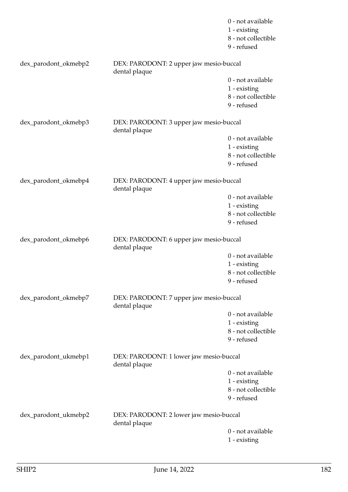|                      |                                                          | 0 - not available<br>1 - existing<br>8 - not collectible<br>9 - refused |
|----------------------|----------------------------------------------------------|-------------------------------------------------------------------------|
| dex_parodont_okmebp2 | DEX: PARODONT: 2 upper jaw mesio-buccal<br>dental plaque |                                                                         |
|                      |                                                          | 0 - not available<br>1 - existing<br>8 - not collectible<br>9 - refused |
| dex_parodont_okmebp3 | DEX: PARODONT: 3 upper jaw mesio-buccal<br>dental plaque |                                                                         |
|                      |                                                          | 0 - not available<br>1 - existing<br>8 - not collectible<br>9 - refused |
| dex_parodont_okmebp4 | DEX: PARODONT: 4 upper jaw mesio-buccal<br>dental plaque |                                                                         |
|                      |                                                          | 0 - not available<br>1 - existing<br>8 - not collectible<br>9 - refused |
| dex_parodont_okmebp6 | DEX: PARODONT: 6 upper jaw mesio-buccal<br>dental plaque |                                                                         |
|                      |                                                          | 0 - not available<br>1 - existing<br>8 - not collectible<br>9 - refused |
| dex_parodont_okmebp7 | DEX: PARODONT: 7 upper jaw mesio-buccal<br>dental plaque |                                                                         |
|                      |                                                          | 0 - not available<br>1 - existing<br>8 - not collectible<br>9 - refused |
| dex_parodont_ukmebp1 | DEX: PARODONT: 1 lower jaw mesio-buccal<br>dental plaque |                                                                         |
|                      |                                                          | 0 - not available<br>1 - existing<br>8 - not collectible<br>9 - refused |
| dex_parodont_ukmebp2 | DEX: PARODONT: 2 lower jaw mesio-buccal<br>dental plaque |                                                                         |
|                      |                                                          | 0 - not available<br>1 - existing                                       |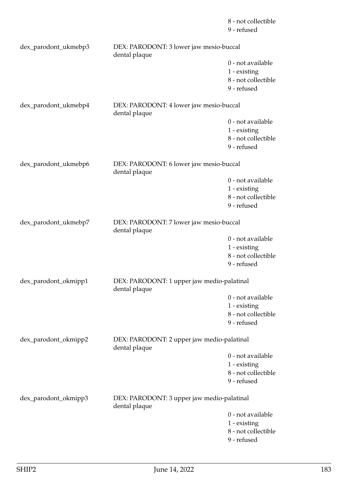|                      |                                                             | 8 - not collectible<br>9 - refused                                      |
|----------------------|-------------------------------------------------------------|-------------------------------------------------------------------------|
| dex_parodont_ukmebp3 | DEX: PARODONT: 3 lower jaw mesio-buccal<br>dental plaque    |                                                                         |
|                      |                                                             | 0 - not available<br>1 - existing<br>8 - not collectible<br>9 - refused |
| dex_parodont_ukmebp4 | DEX: PARODONT: 4 lower jaw mesio-buccal<br>dental plaque    |                                                                         |
|                      |                                                             | 0 - not available<br>1 - existing<br>8 - not collectible<br>9 - refused |
| dex_parodont_ukmebp6 | DEX: PARODONT: 6 lower jaw mesio-buccal<br>dental plaque    |                                                                         |
|                      |                                                             | 0 - not available<br>1 - existing<br>8 - not collectible<br>9 - refused |
| dex_parodont_ukmebp7 | DEX: PARODONT: 7 lower jaw mesio-buccal<br>dental plaque    |                                                                         |
|                      |                                                             | 0 - not available<br>1 - existing<br>8 - not collectible<br>9 - refused |
| dex_parodont_okmipp1 | DEX: PARODONT: 1 upper jaw medio-palatinal<br>dental plaque |                                                                         |
|                      |                                                             | 0 - not available<br>1 - existing<br>8 - not collectible<br>9 - refused |
| dex_parodont_okmipp2 | DEX: PARODONT: 2 upper jaw medio-palatinal<br>dental plaque |                                                                         |
|                      |                                                             | 0 - not available<br>1 - existing<br>8 - not collectible<br>9 - refused |
| dex_parodont_okmipp3 | DEX: PARODONT: 3 upper jaw medio-palatinal<br>dental plaque |                                                                         |
|                      |                                                             | 0 - not available<br>1 - existing<br>8 - not collectible                |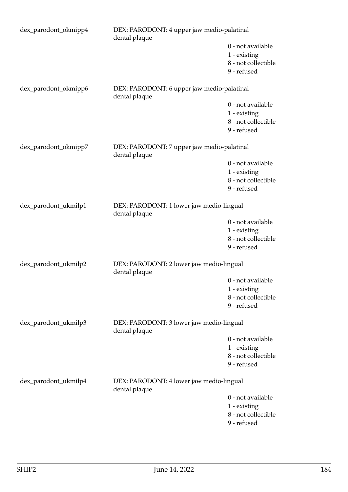| dex_parodont_okmipp4 | DEX: PARODONT: 4 upper jaw medio-palatinal<br>dental plaque |                     |
|----------------------|-------------------------------------------------------------|---------------------|
|                      |                                                             | 0 - not available   |
|                      |                                                             | $1$ - existing      |
|                      |                                                             | 8 - not collectible |
|                      |                                                             | 9 - refused         |
| dex_parodont_okmipp6 | DEX: PARODONT: 6 upper jaw medio-palatinal<br>dental plaque |                     |
|                      |                                                             | 0 - not available   |
|                      |                                                             | $1$ - existing      |
|                      |                                                             | 8 - not collectible |
|                      |                                                             | 9 - refused         |
| dex_parodont_okmipp7 | DEX: PARODONT: 7 upper jaw medio-palatinal<br>dental plaque |                     |
|                      |                                                             | 0 - not available   |
|                      |                                                             | 1 - existing        |
|                      |                                                             | 8 - not collectible |
|                      |                                                             | 9 - refused         |
| dex_parodont_ukmilp1 | DEX: PARODONT: 1 lower jaw medio-lingual<br>dental plaque   |                     |
|                      |                                                             | 0 - not available   |
|                      |                                                             | $1$ - existing      |
|                      |                                                             | 8 - not collectible |
|                      |                                                             | 9 - refused         |
| dex_parodont_ukmilp2 | DEX: PARODONT: 2 lower jaw medio-lingual<br>dental plaque   |                     |
|                      |                                                             | 0 - not available   |
|                      |                                                             | 1 - existing        |
|                      |                                                             | 8 - not collectible |
|                      |                                                             | 9 - refused         |
| dex_parodont_ukmilp3 | DEX: PARODONT: 3 lower jaw medio-lingual<br>dental plaque   |                     |
|                      |                                                             | 0 - not available   |
|                      |                                                             | 1 - existing        |
|                      |                                                             | 8 - not collectible |
|                      |                                                             | 9 - refused         |
| dex_parodont_ukmilp4 | DEX: PARODONT: 4 lower jaw medio-lingual<br>dental plaque   |                     |
|                      |                                                             | 0 - not available   |
|                      |                                                             | 1 - existing        |
|                      |                                                             | 8 - not collectible |
|                      |                                                             | 9 - refused         |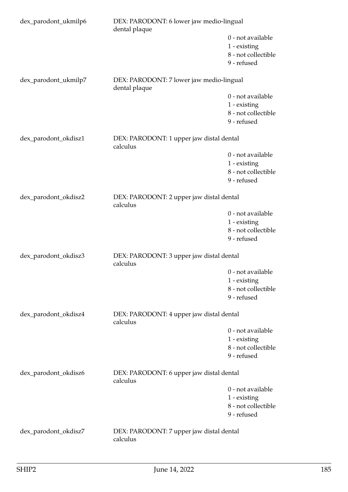| dex_parodont_ukmilp6 | DEX: PARODONT: 6 lower jaw medio-lingual<br>dental plaque |                                                                         |  |
|----------------------|-----------------------------------------------------------|-------------------------------------------------------------------------|--|
|                      |                                                           | 0 - not available<br>1 - existing<br>8 - not collectible<br>9 - refused |  |
| dex_parodont_ukmilp7 | DEX: PARODONT: 7 lower jaw medio-lingual<br>dental plaque |                                                                         |  |
|                      |                                                           | 0 - not available<br>1 - existing<br>8 - not collectible<br>9 - refused |  |
| dex_parodont_okdisz1 | DEX: PARODONT: 1 upper jaw distal dental<br>calculus      |                                                                         |  |
|                      |                                                           | 0 - not available<br>1 - existing<br>8 - not collectible<br>9 - refused |  |
| dex_parodont_okdisz2 | DEX: PARODONT: 2 upper jaw distal dental<br>calculus      |                                                                         |  |
|                      |                                                           | 0 - not available<br>1 - existing<br>8 - not collectible<br>9 - refused |  |
| dex_parodont_okdisz3 | DEX: PARODONT: 3 upper jaw distal dental<br>calculus      |                                                                         |  |
|                      |                                                           | 0 - not available<br>1 - existing<br>8 - not collectible<br>9 - refused |  |
| dex_parodont_okdisz4 | DEX: PARODONT: 4 upper jaw distal dental<br>calculus      |                                                                         |  |
|                      |                                                           | 0 - not available<br>1 - existing<br>8 - not collectible<br>9 - refused |  |
| dex_parodont_okdisz6 | DEX: PARODONT: 6 upper jaw distal dental<br>calculus      |                                                                         |  |
|                      |                                                           | 0 - not available<br>1 - existing<br>8 - not collectible<br>9 - refused |  |
| dex_parodont_okdisz7 | DEX: PARODONT: 7 upper jaw distal dental<br>calculus      |                                                                         |  |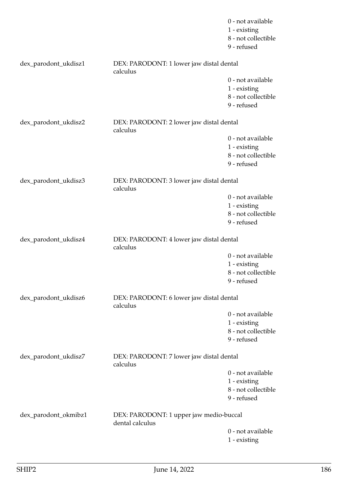|                      |                                                            | 0 - not available<br>1 - existing<br>8 - not collectible<br>9 - refused |
|----------------------|------------------------------------------------------------|-------------------------------------------------------------------------|
| dex_parodont_ukdisz1 | DEX: PARODONT: 1 lower jaw distal dental<br>calculus       |                                                                         |
|                      |                                                            | 0 - not available<br>1 - existing<br>8 - not collectible<br>9 - refused |
| dex_parodont_ukdisz2 | DEX: PARODONT: 2 lower jaw distal dental<br>calculus       |                                                                         |
|                      |                                                            | 0 - not available<br>1 - existing<br>8 - not collectible<br>9 - refused |
| dex_parodont_ukdisz3 | DEX: PARODONT: 3 lower jaw distal dental<br>calculus       |                                                                         |
|                      |                                                            | 0 - not available<br>1 - existing<br>8 - not collectible<br>9 - refused |
| dex_parodont_ukdisz4 | DEX: PARODONT: 4 lower jaw distal dental<br>calculus       |                                                                         |
|                      |                                                            | 0 - not available<br>1 - existing<br>8 - not collectible<br>9 - refused |
| dex_parodont_ukdisz6 | DEX: PARODONT: 6 lower jaw distal dental<br>calculus       |                                                                         |
|                      |                                                            | 0 - not available<br>1 - existing<br>8 - not collectible<br>9 - refused |
| dex_parodont_ukdisz7 | DEX: PARODONT: 7 lower jaw distal dental<br>calculus       |                                                                         |
|                      |                                                            | 0 - not available<br>1 - existing<br>8 - not collectible<br>9 - refused |
| dex_parodont_okmibz1 | DEX: PARODONT: 1 upper jaw medio-buccal<br>dental calculus |                                                                         |
|                      |                                                            | 0 - not available<br>1 - existing                                       |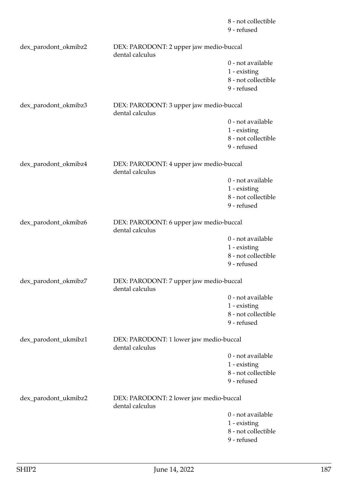|                      |                                                            | 8 - not collectible<br>9 - refused                                      |
|----------------------|------------------------------------------------------------|-------------------------------------------------------------------------|
| dex_parodont_okmibz2 | DEX: PARODONT: 2 upper jaw medio-buccal<br>dental calculus |                                                                         |
|                      |                                                            | 0 - not available<br>1 - existing<br>8 - not collectible<br>9 - refused |
| dex_parodont_okmibz3 | DEX: PARODONT: 3 upper jaw medio-buccal<br>dental calculus |                                                                         |
|                      |                                                            | 0 - not available<br>1 - existing<br>8 - not collectible<br>9 - refused |
| dex_parodont_okmibz4 | DEX: PARODONT: 4 upper jaw medio-buccal<br>dental calculus |                                                                         |
|                      |                                                            | 0 - not available<br>1 - existing<br>8 - not collectible<br>9 - refused |
| dex_parodont_okmibz6 | DEX: PARODONT: 6 upper jaw medio-buccal<br>dental calculus |                                                                         |
|                      |                                                            | 0 - not available<br>1 - existing<br>8 - not collectible<br>9 - refused |
| dex_parodont_okmibz7 | DEX: PARODONT: 7 upper jaw medio-buccal<br>dental calculus |                                                                         |
|                      |                                                            | 0 - not available<br>1 - existing<br>8 - not collectible<br>9 - refused |
| dex_parodont_ukmibz1 | DEX: PARODONT: 1 lower jaw medio-buccal<br>dental calculus |                                                                         |
|                      |                                                            | 0 - not available<br>1 - existing<br>8 - not collectible<br>9 - refused |
| dex_parodont_ukmibz2 | DEX: PARODONT: 2 lower jaw medio-buccal<br>dental calculus |                                                                         |
|                      |                                                            | 0 - not available<br>1 - existing<br>8 - not collectible<br>9 - refused |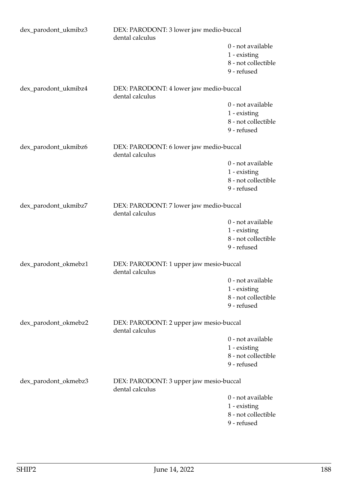| dex_parodont_ukmibz3 | DEX: PARODONT: 3 lower jaw medio-buccal<br>dental calculus |                     |
|----------------------|------------------------------------------------------------|---------------------|
|                      |                                                            | 0 - not available   |
|                      |                                                            | 1 - existing        |
|                      |                                                            | 8 - not collectible |
|                      |                                                            | 9 - refused         |
| dex_parodont_ukmibz4 | DEX: PARODONT: 4 lower jaw medio-buccal<br>dental calculus |                     |
|                      |                                                            | 0 - not available   |
|                      |                                                            | 1 - existing        |
|                      |                                                            | 8 - not collectible |
|                      |                                                            | 9 - refused         |
| dex_parodont_ukmibz6 | DEX: PARODONT: 6 lower jaw medio-buccal<br>dental calculus |                     |
|                      |                                                            | 0 - not available   |
|                      |                                                            | $1$ - existing      |
|                      |                                                            | 8 - not collectible |
|                      |                                                            | 9 - refused         |
| dex_parodont_ukmibz7 | DEX: PARODONT: 7 lower jaw medio-buccal<br>dental calculus |                     |
|                      |                                                            | 0 - not available   |
|                      |                                                            | 1 - existing        |
|                      |                                                            | 8 - not collectible |
|                      |                                                            | 9 - refused         |
| dex_parodont_okmebz1 | DEX: PARODONT: 1 upper jaw mesio-buccal<br>dental calculus |                     |
|                      |                                                            | 0 - not available   |
|                      |                                                            | 1 - existing        |
|                      |                                                            | 8 - not collectible |
|                      |                                                            | 9 - refused         |
| dex_parodont_okmebz2 | DEX: PARODONT: 2 upper jaw mesio-buccal<br>dental calculus |                     |
|                      |                                                            | 0 - not available   |
|                      |                                                            | $1$ - existing      |
|                      |                                                            | 8 - not collectible |
|                      |                                                            | 9 - refused         |
| dex_parodont_okmebz3 | DEX: PARODONT: 3 upper jaw mesio-buccal<br>dental calculus |                     |
|                      |                                                            | 0 - not available   |
|                      |                                                            | 1 - existing        |
|                      |                                                            | 8 - not collectible |
|                      |                                                            | 9 - refused         |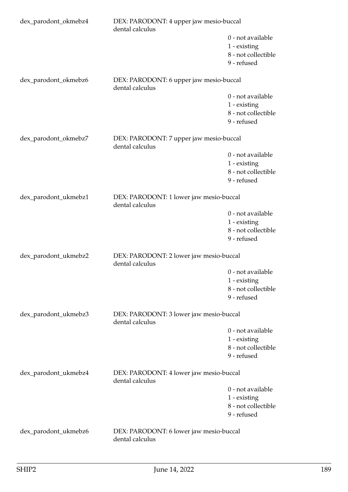| dex_parodont_okmebz4 | DEX: PARODONT: 4 upper jaw mesio-buccal<br>dental calculus |                                    |  |
|----------------------|------------------------------------------------------------|------------------------------------|--|
|                      |                                                            | 0 - not available<br>1 - existing  |  |
|                      |                                                            | 8 - not collectible<br>9 - refused |  |
| dex_parodont_okmebz6 | DEX: PARODONT: 6 upper jaw mesio-buccal<br>dental calculus |                                    |  |
|                      |                                                            | 0 - not available                  |  |
|                      |                                                            | 1 - existing                       |  |
|                      |                                                            | 8 - not collectible                |  |
|                      |                                                            | 9 - refused                        |  |
| dex_parodont_okmebz7 | DEX: PARODONT: 7 upper jaw mesio-buccal<br>dental calculus |                                    |  |
|                      |                                                            | 0 - not available                  |  |
|                      |                                                            | 1 - existing                       |  |
|                      |                                                            | 8 - not collectible                |  |
|                      |                                                            | 9 - refused                        |  |
| dex_parodont_ukmebz1 | DEX: PARODONT: 1 lower jaw mesio-buccal<br>dental calculus |                                    |  |
|                      |                                                            | 0 - not available                  |  |
|                      |                                                            | 1 - existing                       |  |
|                      |                                                            | 8 - not collectible<br>9 - refused |  |
|                      |                                                            |                                    |  |
| dex_parodont_ukmebz2 | DEX: PARODONT: 2 lower jaw mesio-buccal<br>dental calculus |                                    |  |
|                      |                                                            | 0 - not available                  |  |
|                      |                                                            | 1 - existing                       |  |
|                      |                                                            | 8 - not collectible<br>9 - refused |  |
|                      |                                                            |                                    |  |
| dex_parodont_ukmebz3 | DEX: PARODONT: 3 lower jaw mesio-buccal<br>dental calculus |                                    |  |
|                      |                                                            | 0 - not available                  |  |
|                      |                                                            | 1 - existing                       |  |
|                      |                                                            | 8 - not collectible                |  |
|                      |                                                            | 9 - refused                        |  |
| dex_parodont_ukmebz4 | DEX: PARODONT: 4 lower jaw mesio-buccal<br>dental calculus |                                    |  |
|                      |                                                            | 0 - not available                  |  |
|                      |                                                            | 1 - existing                       |  |
|                      |                                                            | 8 - not collectible                |  |
|                      |                                                            | 9 - refused                        |  |
| dex_parodont_ukmebz6 | DEX: PARODONT: 6 lower jaw mesio-buccal<br>dental calculus |                                    |  |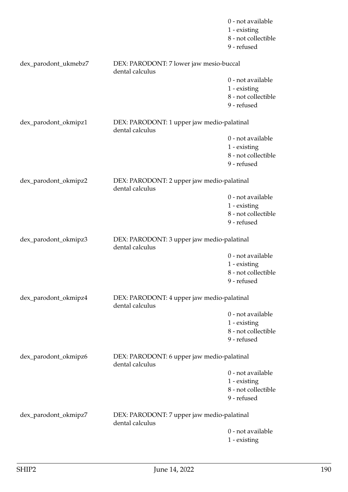|                                                                                       |                                                               | 0 - not available<br>1 - existing<br>8 - not collectible<br>9 - refused |
|---------------------------------------------------------------------------------------|---------------------------------------------------------------|-------------------------------------------------------------------------|
| dex_parodont_ukmebz7                                                                  | DEX: PARODONT: 7 lower jaw mesio-buccal<br>dental calculus    |                                                                         |
|                                                                                       |                                                               | 0 - not available                                                       |
|                                                                                       |                                                               | 1 - existing                                                            |
|                                                                                       |                                                               | 8 - not collectible<br>9 - refused                                      |
|                                                                                       |                                                               |                                                                         |
| dex_parodont_okmipz1                                                                  | DEX: PARODONT: 1 upper jaw medio-palatinal<br>dental calculus |                                                                         |
|                                                                                       |                                                               | 0 - not available                                                       |
|                                                                                       |                                                               | 1 - existing                                                            |
|                                                                                       |                                                               | 8 - not collectible<br>9 - refused                                      |
|                                                                                       |                                                               |                                                                         |
| dex_parodont_okmipz2                                                                  | DEX: PARODONT: 2 upper jaw medio-palatinal<br>dental calculus |                                                                         |
|                                                                                       |                                                               | 0 - not available                                                       |
|                                                                                       |                                                               | 1 - existing<br>8 - not collectible                                     |
|                                                                                       |                                                               | 9 - refused                                                             |
|                                                                                       |                                                               |                                                                         |
| dex_parodont_okmipz3                                                                  | DEX: PARODONT: 3 upper jaw medio-palatinal<br>dental calculus |                                                                         |
|                                                                                       |                                                               | 0 - not available                                                       |
|                                                                                       |                                                               | 1 - existing<br>8 - not collectible                                     |
|                                                                                       |                                                               | 9 - refused                                                             |
|                                                                                       |                                                               |                                                                         |
| dex_parodont_okmipz4<br>DEX: PARODONT: 4 upper jaw medio-palatinal<br>dental calculus |                                                               |                                                                         |
|                                                                                       |                                                               | 0 - not available                                                       |
|                                                                                       |                                                               | 1 - existing<br>8 - not collectible                                     |
|                                                                                       |                                                               | 9 - refused                                                             |
|                                                                                       |                                                               |                                                                         |
| dex_parodont_okmipz6                                                                  | DEX: PARODONT: 6 upper jaw medio-palatinal<br>dental calculus |                                                                         |
|                                                                                       |                                                               | 0 - not available                                                       |
|                                                                                       |                                                               | 1 - existing                                                            |
|                                                                                       |                                                               | 8 - not collectible<br>9 - refused                                      |
|                                                                                       |                                                               |                                                                         |
| dex_parodont_okmipz7                                                                  | DEX: PARODONT: 7 upper jaw medio-palatinal<br>dental calculus |                                                                         |
|                                                                                       |                                                               | 0 - not available                                                       |
|                                                                                       |                                                               | 1 - existing                                                            |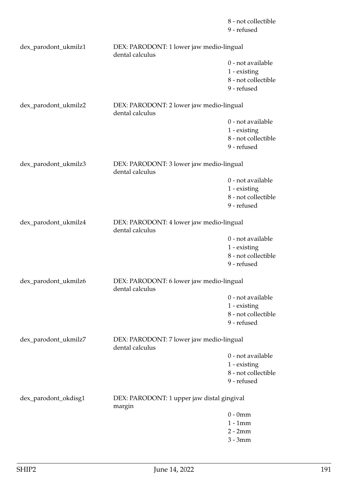|                      |                                                             | 8 - not collectible<br>9 - refused  |
|----------------------|-------------------------------------------------------------|-------------------------------------|
| dex_parodont_ukmilz1 | DEX: PARODONT: 1 lower jaw medio-lingual<br>dental calculus |                                     |
|                      |                                                             | 0 - not available                   |
|                      |                                                             | 1 - existing<br>8 - not collectible |
|                      |                                                             | 9 - refused                         |
| dex_parodont_ukmilz2 | DEX: PARODONT: 2 lower jaw medio-lingual                    |                                     |
|                      | dental calculus                                             | 0 - not available                   |
|                      |                                                             | 1 - existing                        |
|                      |                                                             | 8 - not collectible                 |
|                      |                                                             | 9 - refused                         |
| dex_parodont_ukmilz3 | DEX: PARODONT: 3 lower jaw medio-lingual<br>dental calculus |                                     |
|                      |                                                             | 0 - not available                   |
|                      |                                                             | 1 - existing                        |
|                      |                                                             | 8 - not collectible                 |
|                      |                                                             | 9 - refused                         |
| dex_parodont_ukmilz4 | DEX: PARODONT: 4 lower jaw medio-lingual<br>dental calculus |                                     |
|                      |                                                             | 0 - not available                   |
|                      |                                                             | 1 - existing                        |
|                      |                                                             | 8 - not collectible<br>9 - refused  |
| dex_parodont_ukmilz6 | DEX: PARODONT: 6 lower jaw medio-lingual<br>dental calculus |                                     |
|                      |                                                             | 0 - not available                   |
|                      |                                                             | 1 - existing                        |
|                      |                                                             | 8 - not collectible                 |
|                      |                                                             | 9 - refused                         |
| dex_parodont_ukmilz7 | DEX: PARODONT: 7 lower jaw medio-lingual<br>dental calculus |                                     |
|                      |                                                             | 0 - not available                   |
|                      |                                                             | 1 - existing                        |
|                      |                                                             | 8 - not collectible                 |
|                      |                                                             | 9 - refused                         |
| dex_parodont_okdisg1 | DEX: PARODONT: 1 upper jaw distal gingival<br>margin        |                                     |
|                      |                                                             | $0 - 0$ mm                          |
|                      |                                                             | $1 - 1$ mm                          |
|                      |                                                             | $2 - 2mm$                           |

3 - 3mm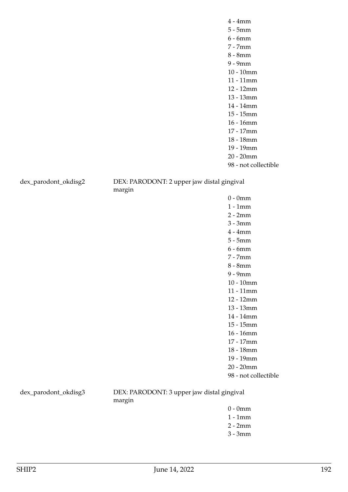98 - not collectible

dex\_parodont\_okdisg2 DEX: PARODONT: 2 upper jaw distal gingival margin

> 0 - 0mm 1 - 1mm 2 - 2mm 3 - 3mm 4 - 4mm 5 - 5mm 6 - 6mm 7 - 7mm 8 - 8mm 9 - 9mm 10 - 10mm 11 - 11mm 12 - 12mm 13 - 13mm 14 - 14mm 15 - 15mm 16 - 16mm 17 - 17mm 18 - 18mm 19 - 19mm 20 - 20mm 98 - not collectible

dex\_parodont\_okdisg3 DEX: PARODONT: 3 upper jaw distal gingival margin

- 0 0mm
- 1 1mm
- 2 2mm
- 3 3mm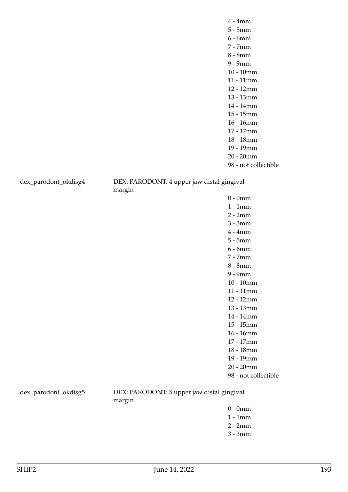dex\_parodont\_okdisg4 DEX: PARODONT: 4 upper jaw distal gingival margin

> 0 - 0mm 1 - 1mm 2 - 2mm 3 - 3mm 4 - 4mm 5 - 5mm 6 - 6mm 7 - 7mm 8 - 8mm 9 - 9mm 10 - 10mm 11 - 11mm 12 - 12mm 13 - 13mm 14 - 14mm 15 - 15mm 16 - 16mm 17 - 17mm 18 - 18mm 19 - 19mm 20 - 20mm 98 - not collectible

dex\_parodont\_okdisg5 DEX: PARODONT: 5 upper jaw distal gingival margin

- 0 0mm
- 1 1mm
- 2 2mm
- 3 3mm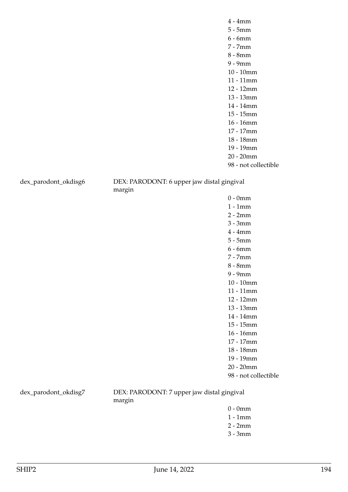dex\_parodont\_okdisg6 DEX: PARODONT: 6 upper jaw distal gingival margin

> 0 - 0mm 1 - 1mm 2 - 2mm 3 - 3mm 4 - 4mm 5 - 5mm 6 - 6mm 7 - 7mm 8 - 8mm 9 - 9mm 10 - 10mm 11 - 11mm 12 - 12mm 13 - 13mm 14 - 14mm 15 - 15mm 16 - 16mm 17 - 17mm 18 - 18mm 19 - 19mm 20 - 20mm 98 - not collectible

dex\_parodont\_okdisg7 DEX: PARODONT: 7 upper jaw distal gingival margin

- 0 0mm
- 1 1mm
- 2 2mm
- 3 3mm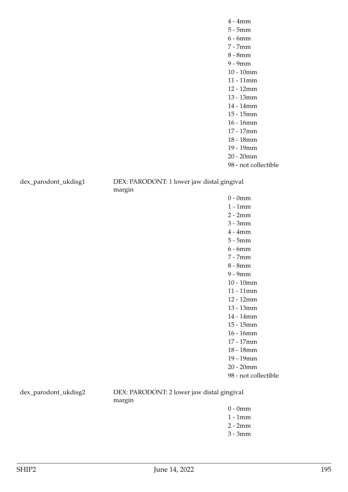dex\_parodont\_ukdisg1 DEX: PARODONT: 1 lower jaw distal gingival margin

> 0 - 0mm 1 - 1mm 2 - 2mm 3 - 3mm 4 - 4mm 5 - 5mm 6 - 6mm 7 - 7mm 8 - 8mm 9 - 9mm 10 - 10mm 11 - 11mm 12 - 12mm 13 - 13mm 14 - 14mm 15 - 15mm 16 - 16mm 17 - 17mm 18 - 18mm 19 - 19mm 20 - 20mm 98 - not collectible

dex\_parodont\_ukdisg2 DEX: PARODONT: 2 lower jaw distal gingival margin

- 0 0mm
- 1 1mm
- 2 2mm
- 3 3mm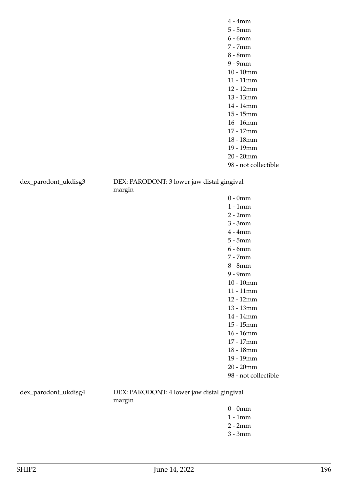98 - not collectible

dex\_parodont\_ukdisg3 DEX: PARODONT: 3 lower jaw distal gingival margin

> 0 - 0mm 1 - 1mm 2 - 2mm 3 - 3mm 4 - 4mm 5 - 5mm 6 - 6mm 7 - 7mm 8 - 8mm 9 - 9mm 10 - 10mm 11 - 11mm 12 - 12mm 13 - 13mm 14 - 14mm 15 - 15mm 16 - 16mm 17 - 17mm 18 - 18mm 19 - 19mm 20 - 20mm 98 - not collectible

dex\_parodont\_ukdisg4 DEX: PARODONT: 4 lower jaw distal gingival margin

- 0 0mm
- 1 1mm
- 2 2mm
- 3 3mm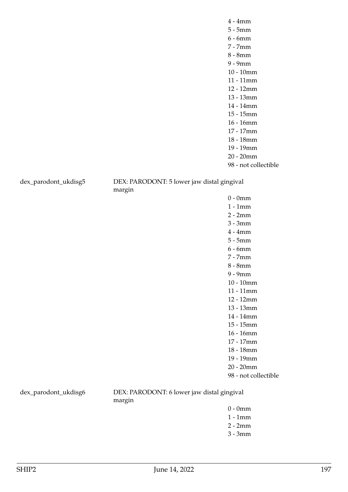dex\_parodont\_ukdisg5 DEX: PARODONT: 5 lower jaw distal gingival margin

> 0 - 0mm 1 - 1mm 2 - 2mm 3 - 3mm 4 - 4mm 5 - 5mm 6 - 6mm 7 - 7mm 8 - 8mm 9 - 9mm 10 - 10mm 11 - 11mm 12 - 12mm 13 - 13mm 14 - 14mm 15 - 15mm 16 - 16mm 17 - 17mm 18 - 18mm 19 - 19mm 20 - 20mm 98 - not collectible

dex\_parodont\_ukdisg6 DEX: PARODONT: 6 lower jaw distal gingival margin

- 0 0mm
- 1 1mm
- 2 2mm
- 3 3mm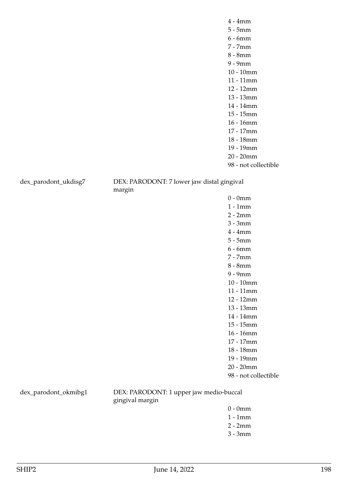dex\_parodont\_ukdisg7 DEX: PARODONT: 7 lower jaw distal gingival margin

> 0 - 0mm 1 - 1mm 2 - 2mm 3 - 3mm 4 - 4mm 5 - 5mm 6 - 6mm 7 - 7mm 8 - 8mm 9 - 9mm 10 - 10mm 11 - 11mm 12 - 12mm 13 - 13mm 14 - 14mm 15 - 15mm 16 - 16mm 17 - 17mm 18 - 18mm 19 - 19mm 20 - 20mm 98 - not collectible

dex\_parodont\_okmibg1 DEX: PARODONT: 1 upper jaw medio-buccal gingival margin

- 0 0mm
- 1 1mm
- 2 2mm
- 3 3mm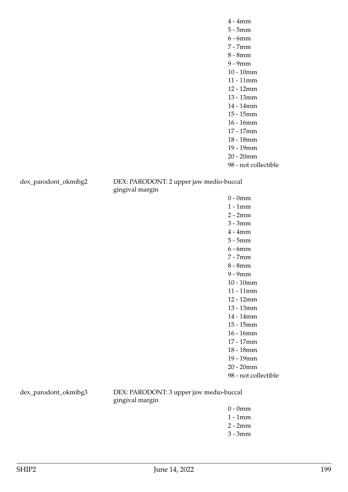dex\_parodont\_okmibg2 DEX: PARODONT: 2 upper jaw medio-buccal gingival margin

> 0 - 0mm 1 - 1mm 2 - 2mm 3 - 3mm 4 - 4mm 5 - 5mm 6 - 6mm 7 - 7mm 8 - 8mm 9 - 9mm 10 - 10mm 11 - 11mm 12 - 12mm 13 - 13mm 14 - 14mm 15 - 15mm 16 - 16mm 17 - 17mm 18 - 18mm 19 - 19mm 20 - 20mm 98 - not collectible

dex\_parodont\_okmibg3 DEX: PARODONT: 3 upper jaw medio-buccal gingival margin

- 0 0mm
- 1 1mm
- 2 2mm
- 3 3mm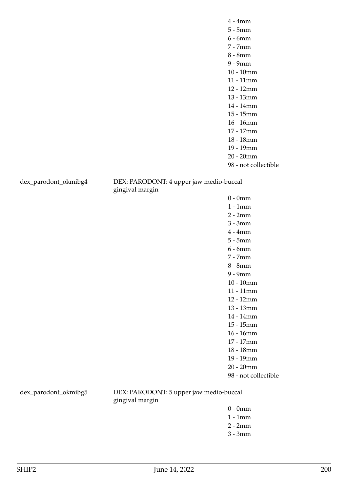dex\_parodont\_okmibg4 DEX: PARODONT: 4 upper jaw medio-buccal gingival margin

> 0 - 0mm 1 - 1mm 2 - 2mm 3 - 3mm 4 - 4mm 5 - 5mm 6 - 6mm 7 - 7mm 8 - 8mm 9 - 9mm 10 - 10mm 11 - 11mm 12 - 12mm 13 - 13mm 14 - 14mm 15 - 15mm 16 - 16mm 17 - 17mm 18 - 18mm 19 - 19mm 20 - 20mm 98 - not collectible

dex\_parodont\_okmibg5 DEX: PARODONT: 5 upper jaw medio-buccal gingival margin

- 0 0mm
- 1 1mm
- 2 2mm
- 3 3mm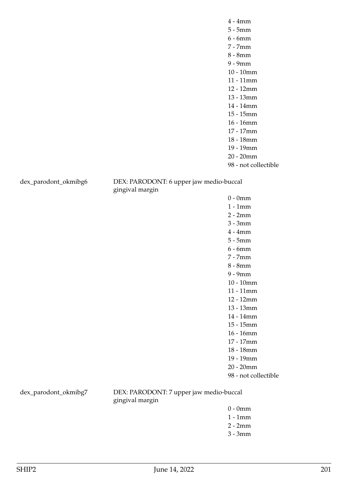dex\_parodont\_okmibg6 DEX: PARODONT: 6 upper jaw medio-buccal gingival margin

> 0 - 0mm 1 - 1mm 2 - 2mm 3 - 3mm 4 - 4mm 5 - 5mm 6 - 6mm 7 - 7mm 8 - 8mm 9 - 9mm 10 - 10mm 11 - 11mm 12 - 12mm 13 - 13mm 14 - 14mm 15 - 15mm 16 - 16mm 17 - 17mm 18 - 18mm 19 - 19mm 20 - 20mm 98 - not collectible

dex\_parodont\_okmibg7 DEX: PARODONT: 7 upper jaw medio-buccal gingival margin

- 0 0mm
- 1 1mm
- 2 2mm
- 3 3mm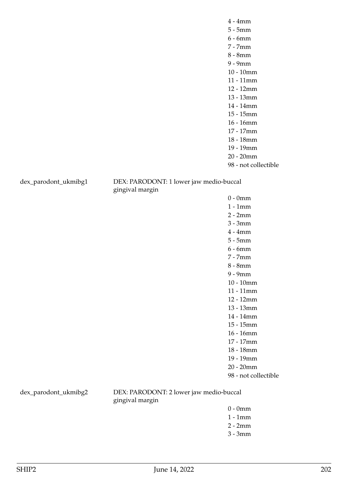dex\_parodont\_ukmibg1 DEX: PARODONT: 1 lower jaw medio-buccal gingival margin

> 0 - 0mm 1 - 1mm 2 - 2mm 3 - 3mm 4 - 4mm 5 - 5mm 6 - 6mm 7 - 7mm 8 - 8mm 9 - 9mm 10 - 10mm 11 - 11mm 12 - 12mm 13 - 13mm 14 - 14mm 15 - 15mm 16 - 16mm 17 - 17mm 18 - 18mm 19 - 19mm 20 - 20mm 98 - not collectible

dex\_parodont\_ukmibg2 DEX: PARODONT: 2 lower jaw medio-buccal gingival margin

- 0 0mm
- 1 1mm
- 2 2mm
- 3 3mm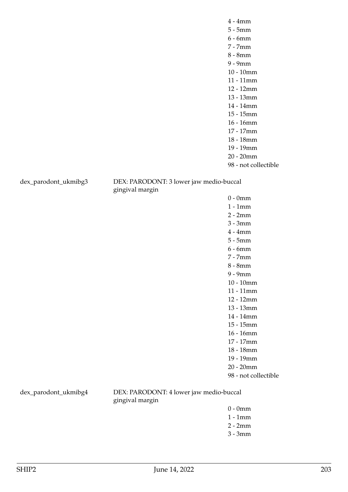dex\_parodont\_ukmibg3 DEX: PARODONT: 3 lower jaw medio-buccal gingival margin

> 0 - 0mm 1 - 1mm 2 - 2mm 3 - 3mm 4 - 4mm 5 - 5mm 6 - 6mm 7 - 7mm 8 - 8mm 9 - 9mm 10 - 10mm 11 - 11mm 12 - 12mm 13 - 13mm 14 - 14mm 15 - 15mm 16 - 16mm 17 - 17mm 18 - 18mm 19 - 19mm 20 - 20mm 98 - not collectible

dex\_parodont\_ukmibg4 DEX: PARODONT: 4 lower jaw medio-buccal gingival margin

- 0 0mm
- 1 1mm
- 2 2mm
- 3 3mm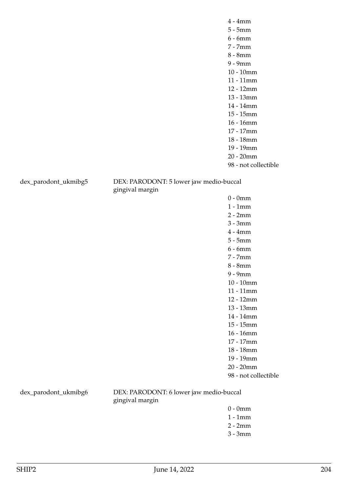dex\_parodont\_ukmibg5 DEX: PARODONT: 5 lower jaw medio-buccal gingival margin

> 0 - 0mm 1 - 1mm 2 - 2mm 3 - 3mm 4 - 4mm 5 - 5mm 6 - 6mm 7 - 7mm 8 - 8mm 9 - 9mm 10 - 10mm 11 - 11mm 12 - 12mm 13 - 13mm 14 - 14mm 15 - 15mm 16 - 16mm 17 - 17mm 18 - 18mm 19 - 19mm 20 - 20mm 98 - not collectible

dex\_parodont\_ukmibg6 DEX: PARODONT: 6 lower jaw medio-buccal gingival margin

- 0 0mm
- 1 1mm
- 2 2mm
- 3 3mm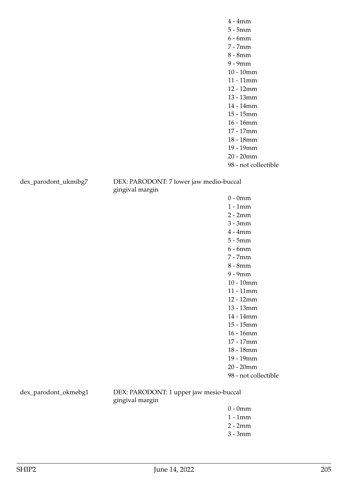dex\_parodont\_ukmibg7 DEX: PARODONT: 7 lower jaw medio-buccal gingival margin

> 0 - 0mm 1 - 1mm 2 - 2mm 3 - 3mm 4 - 4mm 5 - 5mm 6 - 6mm 7 - 7mm 8 - 8mm 9 - 9mm 10 - 10mm 11 - 11mm 12 - 12mm 13 - 13mm 14 - 14mm 15 - 15mm 16 - 16mm 17 - 17mm 18 - 18mm 19 - 19mm 20 - 20mm 98 - not collectible

dex\_parodont\_okmebg1 DEX: PARODONT: 1 upper jaw mesio-buccal gingival margin

- 0 0mm
- 1 1mm
- 2 2mm
- 3 3mm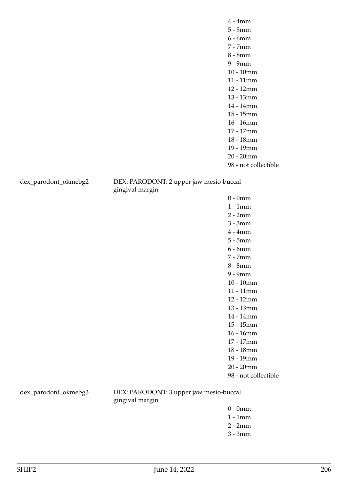dex\_parodont\_okmebg2 DEX: PARODONT: 2 upper jaw mesio-buccal gingival margin

> 0 - 0mm 1 - 1mm 2 - 2mm 3 - 3mm 4 - 4mm 5 - 5mm 6 - 6mm 7 - 7mm 8 - 8mm 9 - 9mm 10 - 10mm 11 - 11mm 12 - 12mm 13 - 13mm 14 - 14mm 15 - 15mm 16 - 16mm 17 - 17mm 18 - 18mm 19 - 19mm 20 - 20mm 98 - not collectible

dex\_parodont\_okmebg3 DEX: PARODONT: 3 upper jaw mesio-buccal gingival margin

- 0 0mm
- 1 1mm
- 2 2mm
- 3 3mm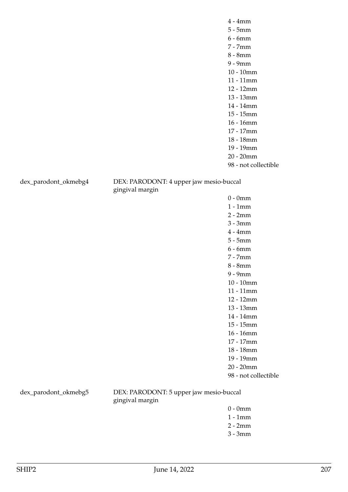dex\_parodont\_okmebg4 DEX: PARODONT: 4 upper jaw mesio-buccal gingival margin

> 0 - 0mm 1 - 1mm 2 - 2mm 3 - 3mm 4 - 4mm 5 - 5mm 6 - 6mm 7 - 7mm 8 - 8mm 9 - 9mm 10 - 10mm 11 - 11mm 12 - 12mm 13 - 13mm 14 - 14mm 15 - 15mm 16 - 16mm 17 - 17mm 18 - 18mm 19 - 19mm 20 - 20mm 98 - not collectible

dex\_parodont\_okmebg5 DEX: PARODONT: 5 upper jaw mesio-buccal gingival margin

- 0 0mm
- 1 1mm
- 2 2mm
- 3 3mm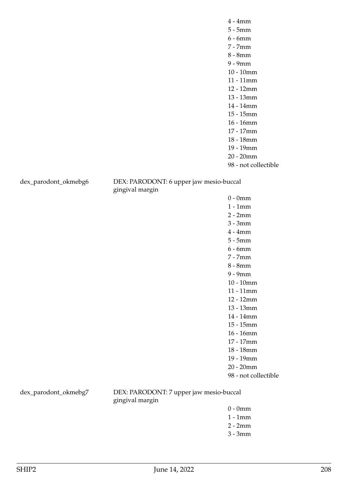dex\_parodont\_okmebg6 DEX: PARODONT: 6 upper jaw mesio-buccal gingival margin

> 0 - 0mm 1 - 1mm 2 - 2mm 3 - 3mm 4 - 4mm 5 - 5mm 6 - 6mm 7 - 7mm 8 - 8mm 9 - 9mm 10 - 10mm 11 - 11mm 12 - 12mm 13 - 13mm 14 - 14mm 15 - 15mm 16 - 16mm 17 - 17mm 18 - 18mm 19 - 19mm 20 - 20mm 98 - not collectible

dex\_parodont\_okmebg7 DEX: PARODONT: 7 upper jaw mesio-buccal gingival margin

- 0 0mm
- 1 1mm
- 2 2mm
- 3 3mm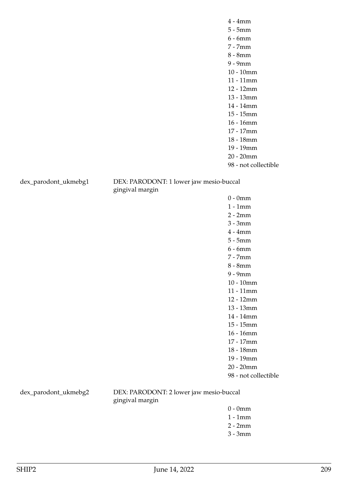dex\_parodont\_ukmebg1 DEX: PARODONT: 1 lower jaw mesio-buccal gingival margin

> 0 - 0mm 1 - 1mm 2 - 2mm 3 - 3mm 4 - 4mm 5 - 5mm 6 - 6mm 7 - 7mm 8 - 8mm 9 - 9mm 10 - 10mm 11 - 11mm 12 - 12mm 13 - 13mm 14 - 14mm 15 - 15mm 16 - 16mm 17 - 17mm 18 - 18mm 19 - 19mm 20 - 20mm 98 - not collectible

dex\_parodont\_ukmebg2 DEX: PARODONT: 2 lower jaw mesio-buccal gingival margin

- 0 0mm
- 1 1mm
- 2 2mm
- 3 3mm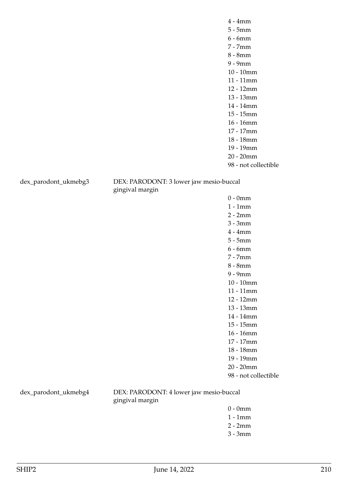dex\_parodont\_ukmebg3 DEX: PARODONT: 3 lower jaw mesio-buccal gingival margin

> 0 - 0mm 1 - 1mm 2 - 2mm 3 - 3mm 4 - 4mm 5 - 5mm 6 - 6mm 7 - 7mm 8 - 8mm 9 - 9mm 10 - 10mm 11 - 11mm 12 - 12mm 13 - 13mm 14 - 14mm 15 - 15mm 16 - 16mm 17 - 17mm 18 - 18mm 19 - 19mm 20 - 20mm 98 - not collectible

dex\_parodont\_ukmebg4 DEX: PARODONT: 4 lower jaw mesio-buccal gingival margin

- 0 0mm
- 1 1mm
- 2 2mm
- 3 3mm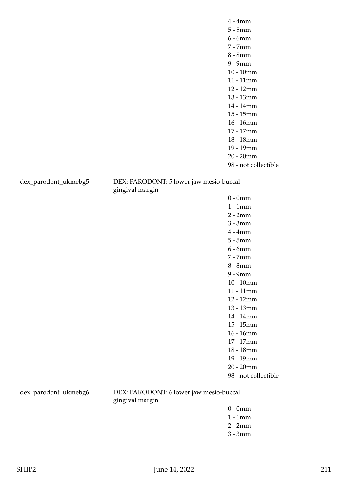dex\_parodont\_ukmebg5 DEX: PARODONT: 5 lower jaw mesio-buccal gingival margin

> 0 - 0mm 1 - 1mm 2 - 2mm 3 - 3mm 4 - 4mm 5 - 5mm 6 - 6mm 7 - 7mm 8 - 8mm 9 - 9mm 10 - 10mm 11 - 11mm 12 - 12mm 13 - 13mm 14 - 14mm 15 - 15mm 16 - 16mm 17 - 17mm 18 - 18mm 19 - 19mm 20 - 20mm 98 - not collectible

dex\_parodont\_ukmebg6 DEX: PARODONT: 6 lower jaw mesio-buccal gingival margin

- 0 0mm
- 1 1mm
- 2 2mm
- 3 3mm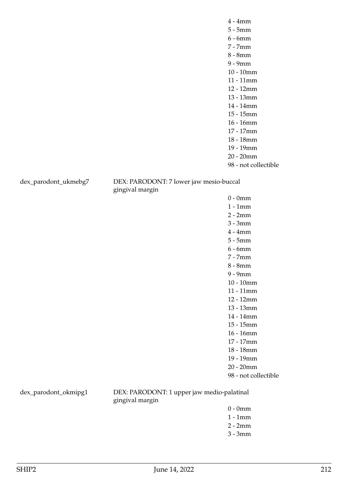dex\_parodont\_ukmebg7 DEX: PARODONT: 7 lower jaw mesio-buccal gingival margin

> 0 - 0mm 1 - 1mm 2 - 2mm 3 - 3mm 4 - 4mm 5 - 5mm 6 - 6mm 7 - 7mm 8 - 8mm 9 - 9mm 10 - 10mm 11 - 11mm 12 - 12mm 13 - 13mm 14 - 14mm 15 - 15mm 16 - 16mm 17 - 17mm 18 - 18mm 19 - 19mm 20 - 20mm 98 - not collectible

dex\_parodont\_okmipg1 DEX: PARODONT: 1 upper jaw medio-palatinal gingival margin

- 0 0mm
- 1 1mm
- 2 2mm
- 3 3mm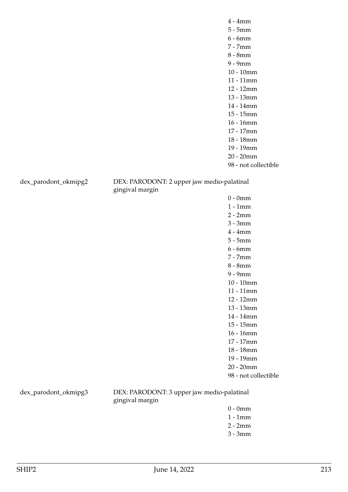dex\_parodont\_okmipg2 DEX: PARODONT: 2 upper jaw medio-palatinal gingival margin

> 0 - 0mm 1 - 1mm 2 - 2mm 3 - 3mm 4 - 4mm 5 - 5mm 6 - 6mm 7 - 7mm 8 - 8mm 9 - 9mm 10 - 10mm 11 - 11mm 12 - 12mm 13 - 13mm 14 - 14mm 15 - 15mm 16 - 16mm 17 - 17mm 18 - 18mm 19 - 19mm 20 - 20mm 98 - not collectible

dex\_parodont\_okmipg3 DEX: PARODONT: 3 upper jaw medio-palatinal gingival margin

- 0 0mm
- 1 1mm
- 2 2mm
- 3 3mm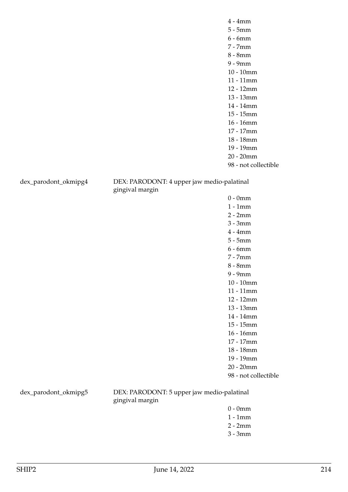dex\_parodont\_okmipg4 DEX: PARODONT: 4 upper jaw medio-palatinal gingival margin

> 0 - 0mm 1 - 1mm 2 - 2mm 3 - 3mm 4 - 4mm 5 - 5mm 6 - 6mm 7 - 7mm 8 - 8mm 9 - 9mm 10 - 10mm 11 - 11mm 12 - 12mm 13 - 13mm 14 - 14mm 15 - 15mm 16 - 16mm 17 - 17mm 18 - 18mm 19 - 19mm 20 - 20mm 98 - not collectible

dex\_parodont\_okmipg5 DEX: PARODONT: 5 upper jaw medio-palatinal gingival margin

- 0 0mm
- 1 1mm
- 2 2mm
- 3 3mm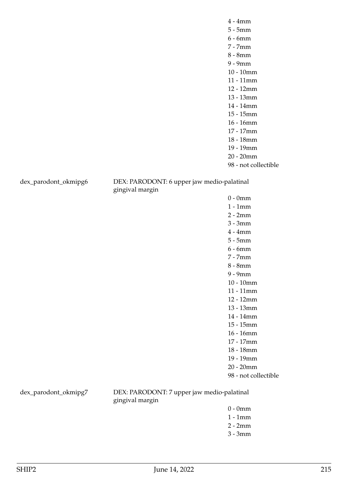dex\_parodont\_okmipg6 DEX: PARODONT: 6 upper jaw medio-palatinal gingival margin

> 0 - 0mm 1 - 1mm 2 - 2mm 3 - 3mm 4 - 4mm 5 - 5mm 6 - 6mm 7 - 7mm 8 - 8mm 9 - 9mm 10 - 10mm 11 - 11mm 12 - 12mm 13 - 13mm 14 - 14mm 15 - 15mm 16 - 16mm 17 - 17mm 18 - 18mm 19 - 19mm 20 - 20mm 98 - not collectible

dex\_parodont\_okmipg7 DEX: PARODONT: 7 upper jaw medio-palatinal gingival margin

- 0 0mm
- 1 1mm
- 2 2mm
- 3 3mm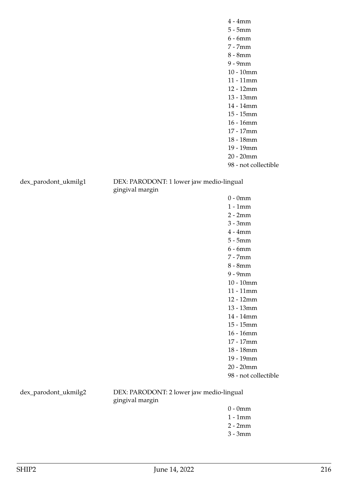dex\_parodont\_ukmilg1 DEX: PARODONT: 1 lower jaw medio-lingual gingival margin

> 0 - 0mm 1 - 1mm 2 - 2mm 3 - 3mm 4 - 4mm 5 - 5mm 6 - 6mm 7 - 7mm 8 - 8mm 9 - 9mm 10 - 10mm 11 - 11mm 12 - 12mm 13 - 13mm 14 - 14mm 15 - 15mm 16 - 16mm 17 - 17mm 18 - 18mm 19 - 19mm 20 - 20mm 98 - not collectible

dex\_parodont\_ukmilg2 DEX: PARODONT: 2 lower jaw medio-lingual gingival margin

- 0 0mm
- 1 1mm
- 2 2mm
- 3 3mm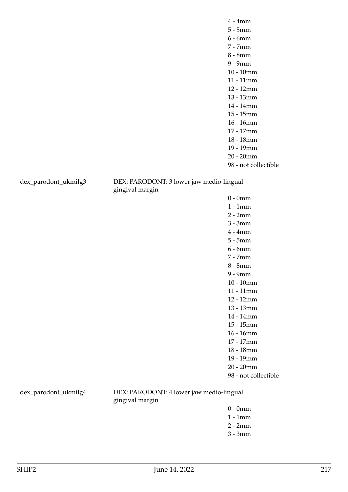dex\_parodont\_ukmilg3 DEX: PARODONT: 3 lower jaw medio-lingual gingival margin

> 0 - 0mm 1 - 1mm 2 - 2mm 3 - 3mm 4 - 4mm 5 - 5mm 6 - 6mm 7 - 7mm 8 - 8mm 9 - 9mm 10 - 10mm 11 - 11mm 12 - 12mm 13 - 13mm 14 - 14mm 15 - 15mm 16 - 16mm 17 - 17mm 18 - 18mm 19 - 19mm 20 - 20mm 98 - not collectible

dex\_parodont\_ukmilg4 DEX: PARODONT: 4 lower jaw medio-lingual gingival margin

- 0 0mm
- 1 1mm
- 2 2mm
- 3 3mm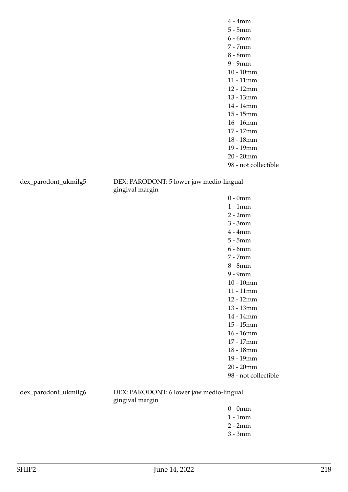dex\_parodont\_ukmilg5 DEX: PARODONT: 5 lower jaw medio-lingual gingival margin

> 0 - 0mm 1 - 1mm 2 - 2mm 3 - 3mm 4 - 4mm 5 - 5mm 6 - 6mm 7 - 7mm 8 - 8mm 9 - 9mm 10 - 10mm 11 - 11mm 12 - 12mm 13 - 13mm 14 - 14mm 15 - 15mm 16 - 16mm 17 - 17mm 18 - 18mm 19 - 19mm 20 - 20mm 98 - not collectible

dex\_parodont\_ukmilg6 DEX: PARODONT: 6 lower jaw medio-lingual gingival margin

- 0 0mm
- 1 1mm
- 2 2mm
- 3 3mm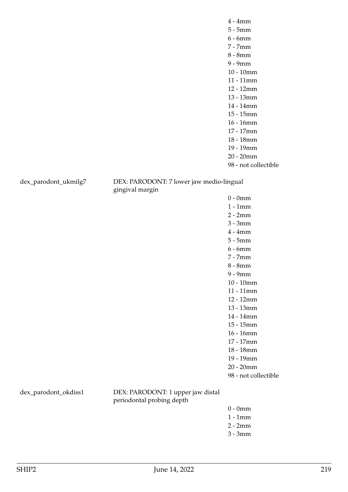dex\_parodont\_ukmilg7 DEX: PARODONT: 7 lower jaw medio-lingual gingival margin

> 0 - 0mm 1 - 1mm 2 - 2mm 3 - 3mm 4 - 4mm 5 - 5mm 6 - 6mm 7 - 7mm 8 - 8mm 9 - 9mm 10 - 10mm 11 - 11mm 12 - 12mm 13 - 13mm 14 - 14mm 15 - 15mm 16 - 16mm 17 - 17mm 18 - 18mm 19 - 19mm 20 - 20mm 98 - not collectible

dex\_parodont\_okdiss1 DEX: PARODONT: 1 upper jaw distal periodontal probing depth

- 0 0mm
- 1 1mm
- 2 2mm
- 3 3mm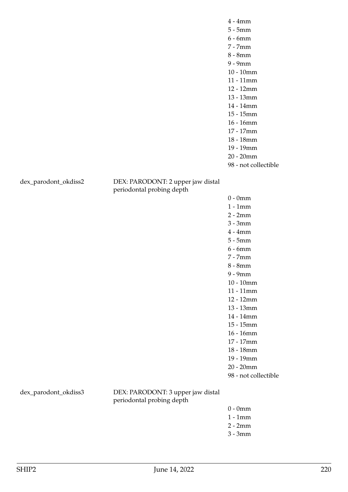98 - not collectible

dex\_parodont\_okdiss2 DEX: PARODONT: 2 upper jaw distal periodontal probing depth

> 0 - 0mm 1 - 1mm 2 - 2mm 3 - 3mm 4 - 4mm 5 - 5mm 6 - 6mm 7 - 7mm 8 - 8mm 9 - 9mm 10 - 10mm 11 - 11mm 12 - 12mm 13 - 13mm 14 - 14mm 15 - 15mm 16 - 16mm 17 - 17mm 18 - 18mm 19 - 19mm 20 - 20mm 98 - not collectible

dex\_parodont\_okdiss3 DEX: PARODONT: 3 upper jaw distal periodontal probing depth

- 0 0mm
- 1 1mm
- 2 2mm
- 3 3mm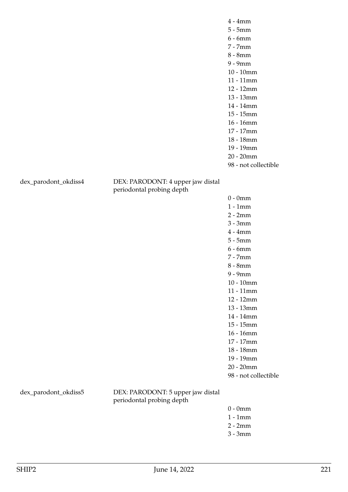98 - not collectible

dex\_parodont\_okdiss4 DEX: PARODONT: 4 upper jaw distal periodontal probing depth

> 0 - 0mm 1 - 1mm 2 - 2mm 3 - 3mm 4 - 4mm 5 - 5mm 6 - 6mm 7 - 7mm 8 - 8mm 9 - 9mm 10 - 10mm 11 - 11mm 12 - 12mm 13 - 13mm 14 - 14mm 15 - 15mm 16 - 16mm 17 - 17mm 18 - 18mm 19 - 19mm 20 - 20mm 98 - not collectible

dex\_parodont\_okdiss5 DEX: PARODONT: 5 upper jaw distal periodontal probing depth

- 0 0mm
- 1 1mm
- 2 2mm
- 3 3mm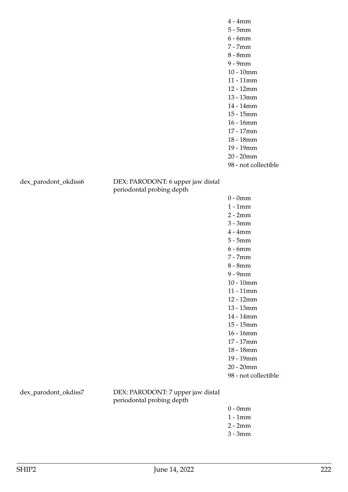98 - not collectible

dex\_parodont\_okdiss6 DEX: PARODONT: 6 upper jaw distal periodontal probing depth

> 0 - 0mm 1 - 1mm 2 - 2mm 3 - 3mm 4 - 4mm 5 - 5mm 6 - 6mm 7 - 7mm 8 - 8mm 9 - 9mm 10 - 10mm 11 - 11mm 12 - 12mm 13 - 13mm 14 - 14mm 15 - 15mm 16 - 16mm 17 - 17mm 18 - 18mm 19 - 19mm 20 - 20mm

98 - not collectible

dex\_parodont\_okdiss7 DEX: PARODONT: 7 upper jaw distal periodontal probing depth

- 0 0mm
- 1 1mm
- 2 2mm
- 3 3mm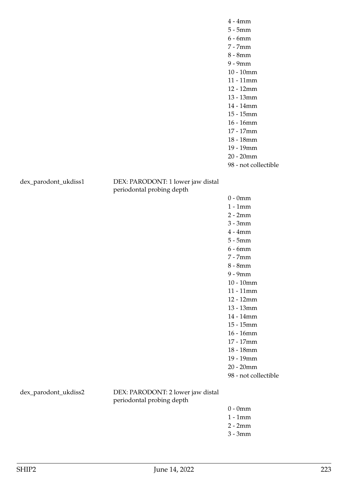98 - not collectible

dex\_parodont\_ukdiss1 DEX: PARODONT: 1 lower jaw distal periodontal probing depth

> 0 - 0mm 1 - 1mm 2 - 2mm 3 - 3mm 4 - 4mm 5 - 5mm 6 - 6mm 7 - 7mm 8 - 8mm 9 - 9mm 10 - 10mm 11 - 11mm 12 - 12mm 13 - 13mm 14 - 14mm 15 - 15mm 16 - 16mm 17 - 17mm 18 - 18mm 19 - 19mm 20 - 20mm 98 - not collectible

dex\_parodont\_ukdiss2 DEX: PARODONT: 2 lower jaw distal periodontal probing depth

- 0 0mm
- 1 1mm
- 2 2mm
- 3 3mm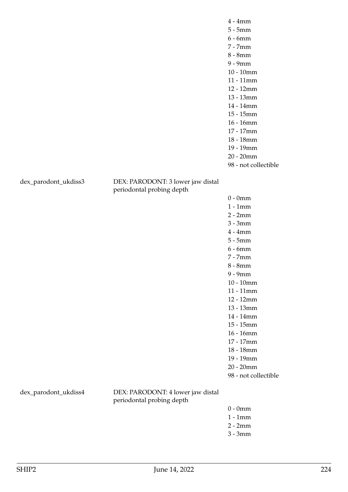98 - not collectible

dex\_parodont\_ukdiss3 DEX: PARODONT: 3 lower jaw distal periodontal probing depth

> 0 - 0mm 1 - 1mm 2 - 2mm 3 - 3mm 4 - 4mm 5 - 5mm 6 - 6mm 7 - 7mm 8 - 8mm 9 - 9mm 10 - 10mm 11 - 11mm 12 - 12mm 13 - 13mm 14 - 14mm 15 - 15mm 16 - 16mm 17 - 17mm 18 - 18mm 19 - 19mm 20 - 20mm 98 - not collectible

dex\_parodont\_ukdiss4 DEX: PARODONT: 4 lower jaw distal periodontal probing depth

- 0 0mm
- 1 1mm
- 2 2mm
- 3 3mm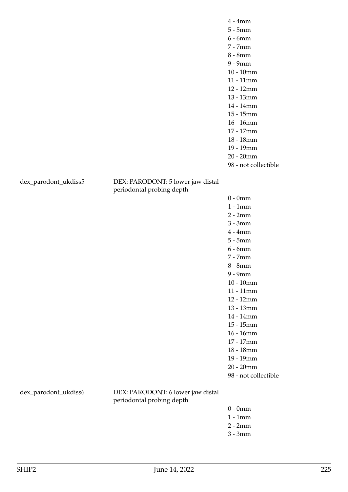98 - not collectible

dex\_parodont\_ukdiss5 DEX: PARODONT: 5 lower jaw distal periodontal probing depth

> 0 - 0mm 1 - 1mm 2 - 2mm 3 - 3mm 4 - 4mm 5 - 5mm 6 - 6mm 7 - 7mm 8 - 8mm 9 - 9mm 10 - 10mm 11 - 11mm 12 - 12mm 13 - 13mm 14 - 14mm 15 - 15mm 16 - 16mm 17 - 17mm 18 - 18mm 19 - 19mm 20 - 20mm 98 - not collectible

dex\_parodont\_ukdiss6 DEX: PARODONT: 6 lower jaw distal periodontal probing depth

- 0 0mm
- 1 1mm
- 2 2mm
- 3 3mm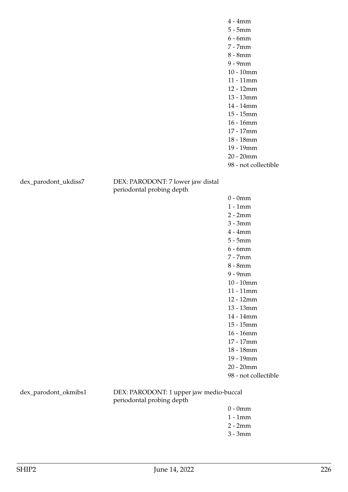98 - not collectible

dex\_parodont\_ukdiss7 DEX: PARODONT: 7 lower jaw distal periodontal probing depth

> 0 - 0mm 1 - 1mm 2 - 2mm 3 - 3mm 4 - 4mm 5 - 5mm 6 - 6mm 7 - 7mm 8 - 8mm 9 - 9mm 10 - 10mm 11 - 11mm 12 - 12mm 13 - 13mm 14 - 14mm 15 - 15mm 16 - 16mm 17 - 17mm 18 - 18mm 19 - 19mm 20 - 20mm 98 - not collectible

dex\_parodont\_okmibs1 DEX: PARODONT: 1 upper jaw medio-buccal periodontal probing depth

- 0 0mm
- 1 1mm
- 2 2mm
- 3 3mm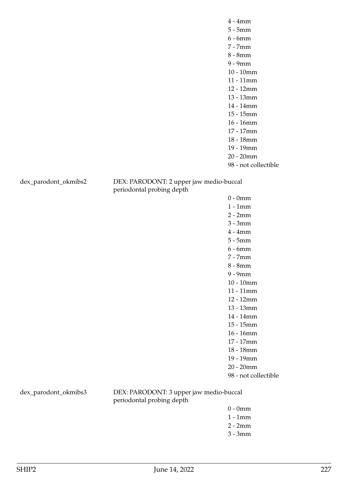dex\_parodont\_okmibs2 DEX: PARODONT: 2 upper jaw medio-buccal periodontal probing depth

> 0 - 0mm 1 - 1mm 2 - 2mm 3 - 3mm 4 - 4mm 5 - 5mm 6 - 6mm 7 - 7mm 8 - 8mm 9 - 9mm 10 - 10mm 11 - 11mm 12 - 12mm 13 - 13mm 14 - 14mm 15 - 15mm 16 - 16mm 17 - 17mm 18 - 18mm 19 - 19mm 20 - 20mm 98 - not collectible

dex\_parodont\_okmibs3 DEX: PARODONT: 3 upper jaw medio-buccal periodontal probing depth

- 0 0mm
- 1 1mm
- 2 2mm
- 3 3mm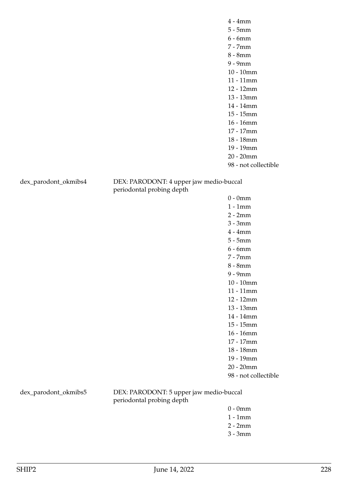dex\_parodont\_okmibs4 DEX: PARODONT: 4 upper jaw medio-buccal periodontal probing depth

> 0 - 0mm 1 - 1mm 2 - 2mm 3 - 3mm 4 - 4mm 5 - 5mm 6 - 6mm 7 - 7mm 8 - 8mm 9 - 9mm 10 - 10mm 11 - 11mm 12 - 12mm 13 - 13mm 14 - 14mm 15 - 15mm 16 - 16mm 17 - 17mm 18 - 18mm 19 - 19mm 20 - 20mm 98 - not collectible

dex\_parodont\_okmibs5 DEX: PARODONT: 5 upper jaw medio-buccal periodontal probing depth

- 0 0mm
- 1 1mm
- 2 2mm
- 3 3mm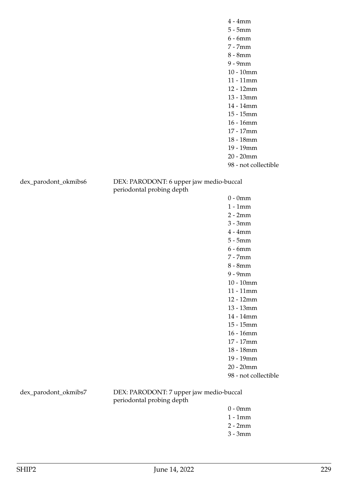dex\_parodont\_okmibs6 DEX: PARODONT: 6 upper jaw medio-buccal periodontal probing depth

> 0 - 0mm 1 - 1mm 2 - 2mm 3 - 3mm 4 - 4mm 5 - 5mm 6 - 6mm 7 - 7mm 8 - 8mm 9 - 9mm 10 - 10mm 11 - 11mm 12 - 12mm 13 - 13mm 14 - 14mm 15 - 15mm 16 - 16mm 17 - 17mm 18 - 18mm 19 - 19mm 20 - 20mm 98 - not collectible

dex\_parodont\_okmibs7 DEX: PARODONT: 7 upper jaw medio-buccal periodontal probing depth

- 0 0mm
- 1 1mm
- 2 2mm
- 3 3mm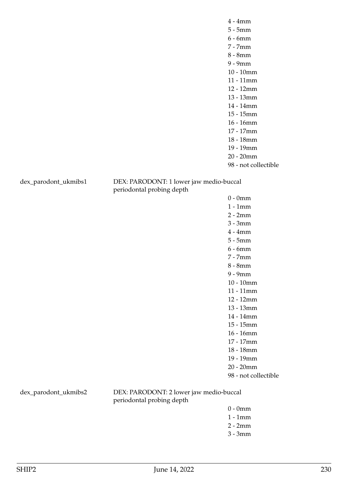dex\_parodont\_ukmibs1 DEX: PARODONT: 1 lower jaw medio-buccal periodontal probing depth

> 0 - 0mm 1 - 1mm 2 - 2mm 3 - 3mm 4 - 4mm 5 - 5mm 6 - 6mm 7 - 7mm 8 - 8mm 9 - 9mm 10 - 10mm 11 - 11mm 12 - 12mm 13 - 13mm 14 - 14mm 15 - 15mm 16 - 16mm 17 - 17mm 18 - 18mm 19 - 19mm 20 - 20mm 98 - not collectible

dex\_parodont\_ukmibs2 DEX: PARODONT: 2 lower jaw medio-buccal periodontal probing depth

- 0 0mm
- 1 1mm
- 2 2mm
- 3 3mm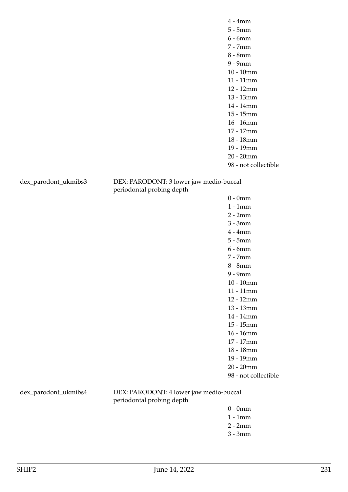dex\_parodont\_ukmibs3 DEX: PARODONT: 3 lower jaw medio-buccal periodontal probing depth

> 0 - 0mm 1 - 1mm 2 - 2mm 3 - 3mm 4 - 4mm 5 - 5mm 6 - 6mm 7 - 7mm 8 - 8mm 9 - 9mm 10 - 10mm 11 - 11mm 12 - 12mm 13 - 13mm 14 - 14mm 15 - 15mm 16 - 16mm 17 - 17mm 18 - 18mm 19 - 19mm 20 - 20mm 98 - not collectible

dex\_parodont\_ukmibs4 DEX: PARODONT: 4 lower jaw medio-buccal periodontal probing depth

- 0 0mm
- 1 1mm
- 2 2mm
- 3 3mm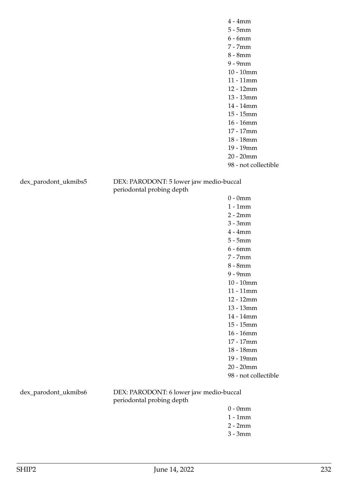dex\_parodont\_ukmibs5 DEX: PARODONT: 5 lower jaw medio-buccal periodontal probing depth

> 0 - 0mm 1 - 1mm 2 - 2mm 3 - 3mm 4 - 4mm 5 - 5mm 6 - 6mm 7 - 7mm 8 - 8mm 9 - 9mm 10 - 10mm 11 - 11mm 12 - 12mm 13 - 13mm 14 - 14mm 15 - 15mm 16 - 16mm 17 - 17mm 18 - 18mm 19 - 19mm 20 - 20mm 98 - not collectible

dex\_parodont\_ukmibs6 DEX: PARODONT: 6 lower jaw medio-buccal periodontal probing depth

- 0 0mm
- 1 1mm
- 2 2mm
- 3 3mm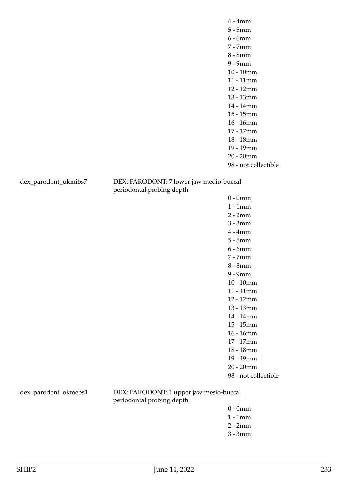dex\_parodont\_ukmibs7 DEX: PARODONT: 7 lower jaw medio-buccal periodontal probing depth

> 0 - 0mm 1 - 1mm 2 - 2mm 3 - 3mm 4 - 4mm 5 - 5mm 6 - 6mm 7 - 7mm 8 - 8mm 9 - 9mm 10 - 10mm 11 - 11mm 12 - 12mm 13 - 13mm 14 - 14mm 15 - 15mm 16 - 16mm 17 - 17mm 18 - 18mm 19 - 19mm 20 - 20mm 98 - not collectible

dex\_parodont\_okmebs1 DEX: PARODONT: 1 upper jaw mesio-buccal periodontal probing depth

- 0 0mm
- 1 1mm
- 2 2mm
- 3 3mm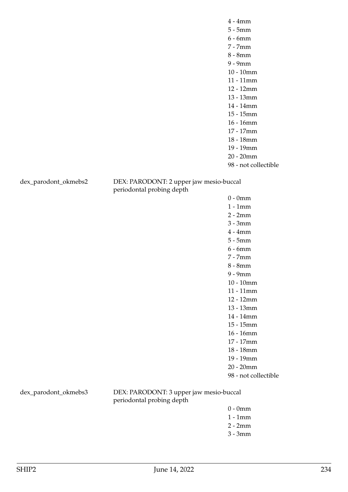dex\_parodont\_okmebs2 DEX: PARODONT: 2 upper jaw mesio-buccal periodontal probing depth

> 0 - 0mm 1 - 1mm 2 - 2mm 3 - 3mm 4 - 4mm 5 - 5mm 6 - 6mm 7 - 7mm 8 - 8mm 9 - 9mm 10 - 10mm 11 - 11mm 12 - 12mm 13 - 13mm 14 - 14mm 15 - 15mm 16 - 16mm 17 - 17mm 18 - 18mm 19 - 19mm 20 - 20mm 98 - not collectible

dex\_parodont\_okmebs3 DEX: PARODONT: 3 upper jaw mesio-buccal periodontal probing depth

- 0 0mm
- 1 1mm
- 2 2mm
- 3 3mm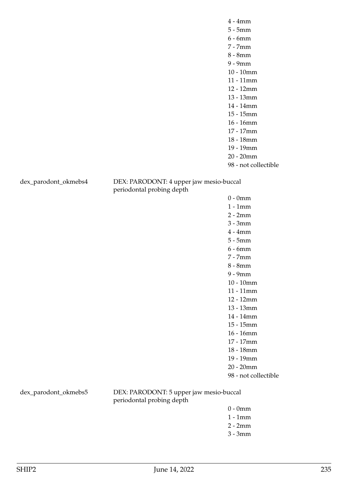dex\_parodont\_okmebs4 DEX: PARODONT: 4 upper jaw mesio-buccal periodontal probing depth

> 0 - 0mm 1 - 1mm 2 - 2mm 3 - 3mm 4 - 4mm 5 - 5mm 6 - 6mm 7 - 7mm 8 - 8mm 9 - 9mm 10 - 10mm 11 - 11mm 12 - 12mm 13 - 13mm 14 - 14mm 15 - 15mm 16 - 16mm 17 - 17mm 18 - 18mm 19 - 19mm 20 - 20mm 98 - not collectible

dex\_parodont\_okmebs5 DEX: PARODONT: 5 upper jaw mesio-buccal periodontal probing depth

- 0 0mm
- 1 1mm
- 2 2mm
- 3 3mm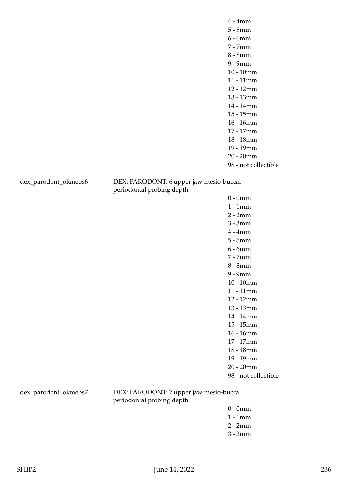dex\_parodont\_okmebs6 DEX: PARODONT: 6 upper jaw mesio-buccal periodontal probing depth

> 0 - 0mm 1 - 1mm 2 - 2mm 3 - 3mm 4 - 4mm 5 - 5mm 6 - 6mm 7 - 7mm 8 - 8mm 9 - 9mm 10 - 10mm 11 - 11mm 12 - 12mm 13 - 13mm 14 - 14mm 15 - 15mm 16 - 16mm 17 - 17mm 18 - 18mm 19 - 19mm 20 - 20mm 98 - not collectible

dex\_parodont\_okmebs7 DEX: PARODONT: 7 upper jaw mesio-buccal periodontal probing depth

- 0 0mm
- 1 1mm
- 2 2mm
- 3 3mm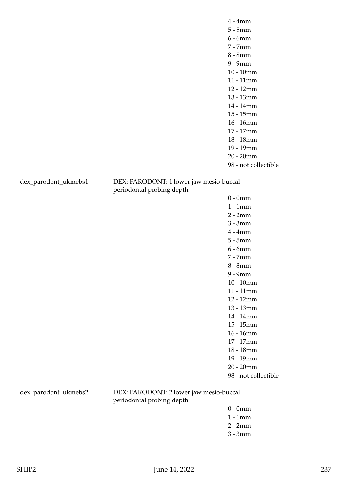98 - not collectible

dex\_parodont\_ukmebs1 DEX: PARODONT: 1 lower jaw mesio-buccal periodontal probing depth

> 0 - 0mm 1 - 1mm 2 - 2mm 3 - 3mm 4 - 4mm 5 - 5mm 6 - 6mm 7 - 7mm 8 - 8mm 9 - 9mm 10 - 10mm 11 - 11mm 12 - 12mm 13 - 13mm 14 - 14mm 15 - 15mm 16 - 16mm 17 - 17mm 18 - 18mm 19 - 19mm 20 - 20mm 98 - not collectible

dex\_parodont\_ukmebs2 DEX: PARODONT: 2 lower jaw mesio-buccal periodontal probing depth

- 0 0mm
- 1 1mm
- 2 2mm
- 3 3mm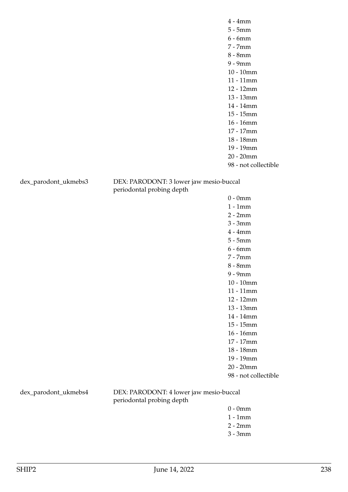98 - not collectible

dex\_parodont\_ukmebs3 DEX: PARODONT: 3 lower jaw mesio-buccal periodontal probing depth

> 0 - 0mm 1 - 1mm 2 - 2mm 3 - 3mm 4 - 4mm 5 - 5mm 6 - 6mm 7 - 7mm 8 - 8mm 9 - 9mm 10 - 10mm 11 - 11mm 12 - 12mm 13 - 13mm 14 - 14mm 15 - 15mm 16 - 16mm 17 - 17mm 18 - 18mm 19 - 19mm 20 - 20mm 98 - not collectible

dex\_parodont\_ukmebs4 DEX: PARODONT: 4 lower jaw mesio-buccal periodontal probing depth

- 0 0mm
- 1 1mm
- 2 2mm
- 3 3mm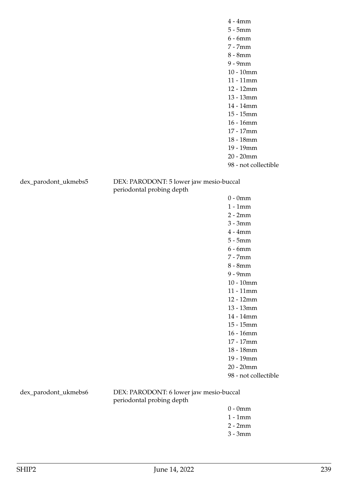98 - not collectible

dex\_parodont\_ukmebs5 DEX: PARODONT: 5 lower jaw mesio-buccal periodontal probing depth

> 0 - 0mm 1 - 1mm 2 - 2mm 3 - 3mm 4 - 4mm 5 - 5mm 6 - 6mm 7 - 7mm 8 - 8mm 9 - 9mm 10 - 10mm 11 - 11mm 12 - 12mm 13 - 13mm 14 - 14mm 15 - 15mm 16 - 16mm 17 - 17mm 18 - 18mm 19 - 19mm 20 - 20mm 98 - not collectible

dex\_parodont\_ukmebs6 DEX: PARODONT: 6 lower jaw mesio-buccal periodontal probing depth

- 0 0mm
- 1 1mm
- 2 2mm
- 3 3mm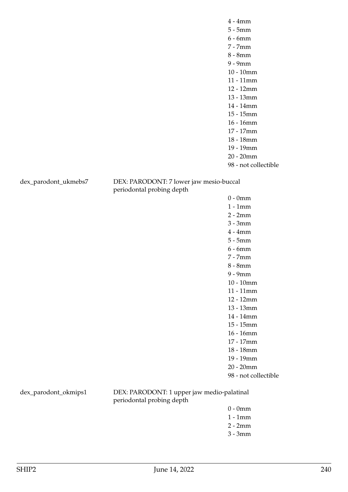98 - not collectible

dex\_parodont\_ukmebs7 DEX: PARODONT: 7 lower jaw mesio-buccal periodontal probing depth

> 0 - 0mm 1 - 1mm 2 - 2mm 3 - 3mm 4 - 4mm 5 - 5mm 6 - 6mm 7 - 7mm 8 - 8mm 9 - 9mm 10 - 10mm 11 - 11mm 12 - 12mm 13 - 13mm 14 - 14mm 15 - 15mm 16 - 16mm 17 - 17mm 18 - 18mm 19 - 19mm 20 - 20mm 98 - not collectible

dex\_parodont\_okmips1 DEX: PARODONT: 1 upper jaw medio-palatinal periodontal probing depth

- 0 0mm
- 1 1mm
- 2 2mm
- 3 3mm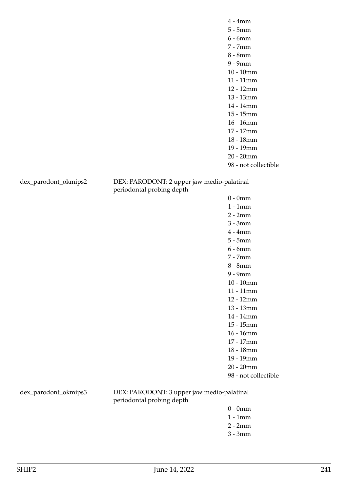dex\_parodont\_okmips2 DEX: PARODONT: 2 upper jaw medio-palatinal periodontal probing depth

> 0 - 0mm 1 - 1mm 2 - 2mm 3 - 3mm 4 - 4mm 5 - 5mm 6 - 6mm 7 - 7mm 8 - 8mm 9 - 9mm 10 - 10mm 11 - 11mm 12 - 12mm 13 - 13mm 14 - 14mm 15 - 15mm 16 - 16mm 17 - 17mm 18 - 18mm 19 - 19mm 20 - 20mm 98 - not collectible

dex\_parodont\_okmips3 DEX: PARODONT: 3 upper jaw medio-palatinal periodontal probing depth

- 0 0mm
- 1 1mm
- 2 2mm
- 3 3mm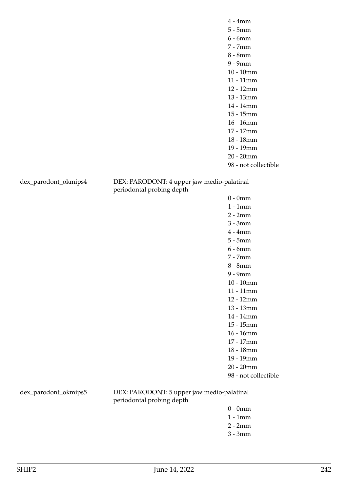dex\_parodont\_okmips4 DEX: PARODONT: 4 upper jaw medio-palatinal periodontal probing depth

> 0 - 0mm 1 - 1mm 2 - 2mm 3 - 3mm 4 - 4mm 5 - 5mm 6 - 6mm 7 - 7mm 8 - 8mm 9 - 9mm 10 - 10mm 11 - 11mm 12 - 12mm 13 - 13mm 14 - 14mm 15 - 15mm 16 - 16mm 17 - 17mm 18 - 18mm 19 - 19mm 20 - 20mm 98 - not collectible

dex\_parodont\_okmips5 DEX: PARODONT: 5 upper jaw medio-palatinal periodontal probing depth

- 0 0mm
- 1 1mm
- 2 2mm
- 3 3mm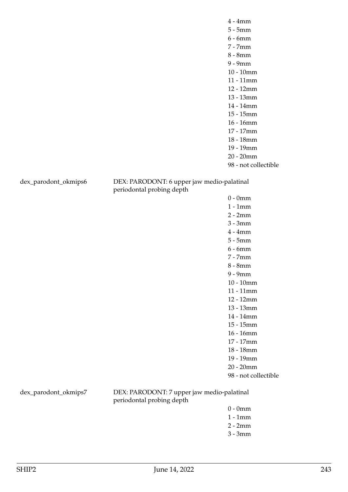dex\_parodont\_okmips6 DEX: PARODONT: 6 upper jaw medio-palatinal periodontal probing depth

> 0 - 0mm 1 - 1mm 2 - 2mm 3 - 3mm 4 - 4mm 5 - 5mm 6 - 6mm 7 - 7mm 8 - 8mm 9 - 9mm 10 - 10mm 11 - 11mm 12 - 12mm 13 - 13mm 14 - 14mm 15 - 15mm 16 - 16mm 17 - 17mm 18 - 18mm 19 - 19mm 20 - 20mm 98 - not collectible

dex\_parodont\_okmips7 DEX: PARODONT: 7 upper jaw medio-palatinal periodontal probing depth

- 0 0mm
- 1 1mm
- 2 2mm
- 3 3mm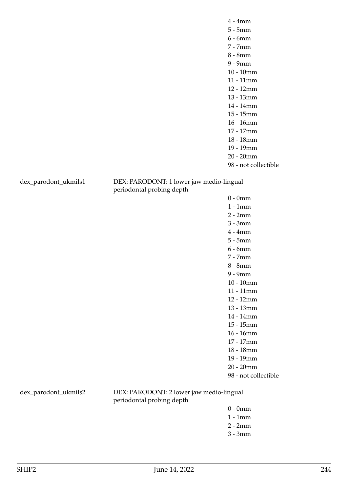dex\_parodont\_ukmils1 DEX: PARODONT: 1 lower jaw medio-lingual periodontal probing depth

> 0 - 0mm 1 - 1mm 2 - 2mm 3 - 3mm 4 - 4mm 5 - 5mm 6 - 6mm 7 - 7mm 8 - 8mm 9 - 9mm 10 - 10mm 11 - 11mm 12 - 12mm 13 - 13mm 14 - 14mm 15 - 15mm 16 - 16mm 17 - 17mm 18 - 18mm 19 - 19mm 20 - 20mm 98 - not collectible

dex\_parodont\_ukmils2 DEX: PARODONT: 2 lower jaw medio-lingual periodontal probing depth

- 0 0mm
- 1 1mm
- 2 2mm
- 3 3mm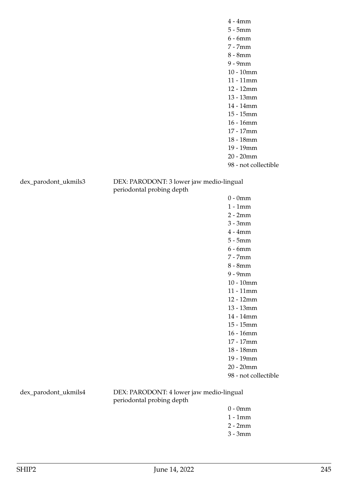dex\_parodont\_ukmils3 DEX: PARODONT: 3 lower jaw medio-lingual periodontal probing depth

> 0 - 0mm 1 - 1mm 2 - 2mm 3 - 3mm 4 - 4mm 5 - 5mm 6 - 6mm 7 - 7mm 8 - 8mm 9 - 9mm 10 - 10mm 11 - 11mm 12 - 12mm 13 - 13mm 14 - 14mm 15 - 15mm 16 - 16mm 17 - 17mm 18 - 18mm 19 - 19mm 20 - 20mm 98 - not collectible

dex\_parodont\_ukmils4 DEX: PARODONT: 4 lower jaw medio-lingual periodontal probing depth

- 0 0mm
- 1 1mm
- 2 2mm
- 3 3mm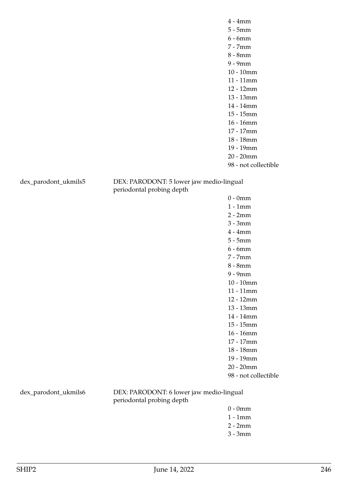dex\_parodont\_ukmils5 DEX: PARODONT: 5 lower jaw medio-lingual periodontal probing depth

> 0 - 0mm 1 - 1mm 2 - 2mm 3 - 3mm 4 - 4mm 5 - 5mm 6 - 6mm 7 - 7mm 8 - 8mm 9 - 9mm 10 - 10mm 11 - 11mm 12 - 12mm 13 - 13mm 14 - 14mm 15 - 15mm 16 - 16mm 17 - 17mm 18 - 18mm 19 - 19mm 20 - 20mm 98 - not collectible

dex\_parodont\_ukmils6 DEX: PARODONT: 6 lower jaw medio-lingual periodontal probing depth

- 0 0mm
- 1 1mm
- 2 2mm
- 3 3mm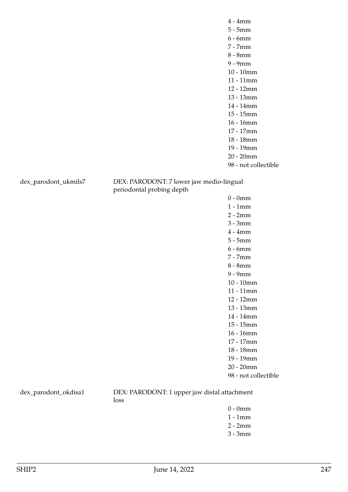dex\_parodont\_ukmils7 DEX: PARODONT: 7 lower jaw medio-lingual periodontal probing depth

0 - 0mm 1 - 1mm 2 - 2mm 3 - 3mm 4 - 4mm 5 - 5mm 6 - 6mm 7 - 7mm 8 - 8mm 9 - 9mm 10 - 10mm 11 - 11mm 12 - 12mm 13 - 13mm 14 - 14mm 15 - 15mm 16 - 16mm 17 - 17mm 18 - 18mm 19 - 19mm 20 - 20mm 98 - not collectible

dex\_parodont\_okdisa1 DEX: PARODONT: 1 upper jaw distal attachment loss

- 0 0mm
- 1 1mm
- 2 2mm
- 3 3mm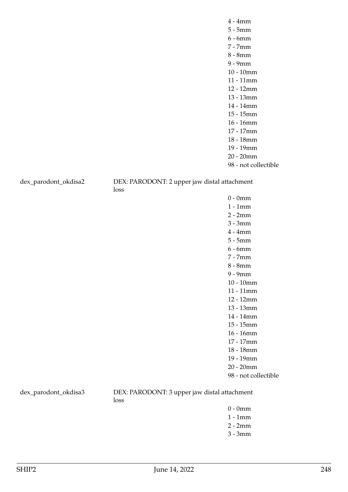dex\_parodont\_okdisa2 DEX: PARODONT: 2 upper jaw distal attachment loss

0 - 0mm 1 - 1mm 2 - 2mm 3 - 3mm 4 - 4mm 5 - 5mm 6 - 6mm 7 - 7mm 8 - 8mm 9 - 9mm 10 - 10mm 11 - 11mm 12 - 12mm 13 - 13mm 14 - 14mm 15 - 15mm 16 - 16mm 17 - 17mm 18 - 18mm 19 - 19mm 20 - 20mm 98 - not collectible

dex\_parodont\_okdisa3 DEX: PARODONT: 3 upper jaw distal attachment loss

- 0 0mm
- 1 1mm
- 2 2mm
- 3 3mm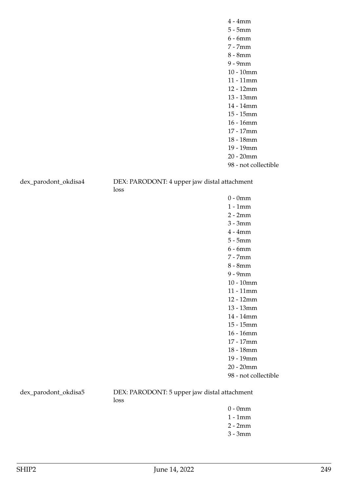dex\_parodont\_okdisa4 DEX: PARODONT: 4 upper jaw distal attachment loss

> 0 - 0mm 1 - 1mm 2 - 2mm 3 - 3mm 4 - 4mm 5 - 5mm 6 - 6mm 7 - 7mm 8 - 8mm 9 - 9mm 10 - 10mm 11 - 11mm 12 - 12mm 13 - 13mm 14 - 14mm 15 - 15mm

- 16 16mm
- 17 17mm
- 18 18mm
- 19 19mm
- 20 20mm
- 98 not collectible

dex\_parodont\_okdisa5 DEX: PARODONT: 5 upper jaw distal attachment loss

- 0 0mm
- 1 1mm
- 2 2mm
- 3 3mm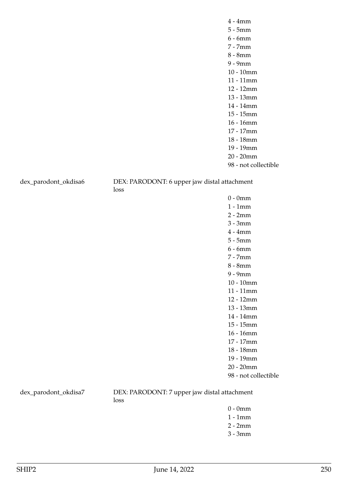dex\_parodont\_okdisa6 DEX: PARODONT: 6 upper jaw distal attachment

loss

0 - 0mm 1 - 1mm 2 - 2mm 3 - 3mm 4 - 4mm 5 - 5mm 6 - 6mm 7 - 7mm 8 - 8mm 9 - 9mm 10 - 10mm 11 - 11mm 12 - 12mm 13 - 13mm 14 - 14mm 15 - 15mm 16 - 16mm 17 - 17mm 18 - 18mm 19 - 19mm 20 - 20mm 98 - not collectible

dex\_parodont\_okdisa7 DEX: PARODONT: 7 upper jaw distal attachment loss

- 0 0mm
- 1 1mm
- 2 2mm
- 3 3mm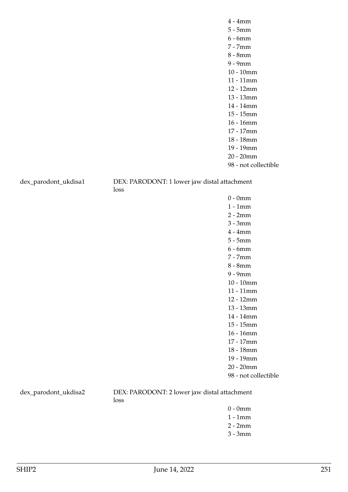dex\_parodont\_ukdisa1 DEX: PARODONT: 1 lower jaw distal attachment loss

> 0 - 0mm 1 - 1mm 2 - 2mm 3 - 3mm 4 - 4mm 5 - 5mm 6 - 6mm 7 - 7mm 8 - 8mm 9 - 9mm 10 - 10mm 11 - 11mm 12 - 12mm 13 - 13mm 14 - 14mm 15 - 15mm 16 - 16mm 17 - 17mm 18 - 18mm 19 - 19mm 20 - 20mm 98 - not collectible

dex\_parodont\_ukdisa2 DEX: PARODONT: 2 lower jaw distal attachment loss

- 0 0mm
- 1 1mm 2 - 2mm
- 
- 3 3mm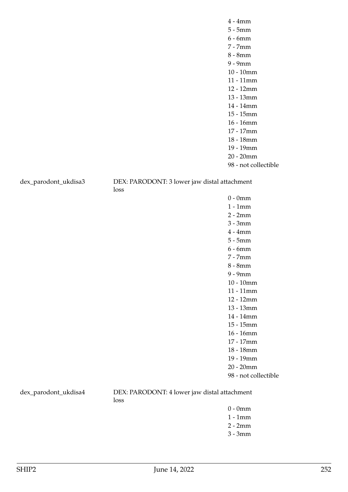dex\_parodont\_ukdisa3 DEX: PARODONT: 3 lower jaw distal attachment loss

> 0 - 0mm 1 - 1mm 2 - 2mm 3 - 3mm 4 - 4mm 5 - 5mm 6 - 6mm 7 - 7mm 8 - 8mm 9 - 9mm 10 - 10mm 11 - 11mm 12 - 12mm 13 - 13mm 14 - 14mm 15 - 15mm 16 - 16mm 17 - 17mm 18 - 18mm 19 - 19mm 20 - 20mm 98 - not collectible

dex\_parodont\_ukdisa4 DEX: PARODONT: 4 lower jaw distal attachment loss

- 0 0mm
- 1 1mm
- 2 2mm
- 3 3mm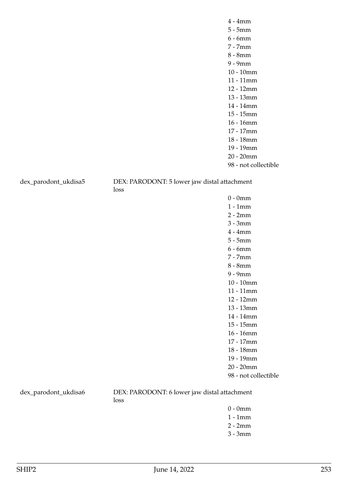dex\_parodont\_ukdisa5 DEX: PARODONT: 5 lower jaw distal attachment loss

0 - 0mm 1 - 1mm 2 - 2mm 3 - 3mm 4 - 4mm 5 - 5mm 6 - 6mm 7 - 7mm 8 - 8mm 9 - 9mm 10 - 10mm 11 - 11mm 12 - 12mm 13 - 13mm 14 - 14mm 15 - 15mm 16 - 16mm 17 - 17mm 18 - 18mm 19 - 19mm 20 - 20mm 98 - not collectible

dex\_parodont\_ukdisa6 DEX: PARODONT: 6 lower jaw distal attachment loss

- 0 0mm
- 1 1mm 2 - 2mm
- 
- 3 3mm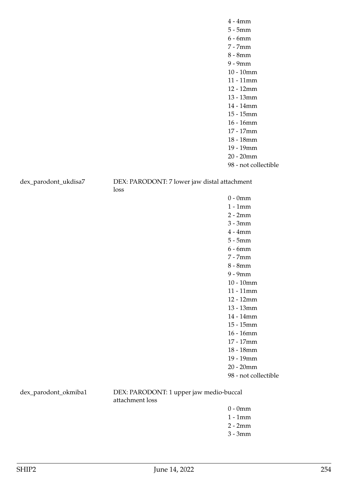dex\_parodont\_ukdisa7 DEX: PARODONT: 7 lower jaw distal attachment loss

0 - 0mm 1 - 1mm 2 - 2mm 3 - 3mm 4 - 4mm 5 - 5mm 6 - 6mm 7 - 7mm 8 - 8mm 9 - 9mm 10 - 10mm 11 - 11mm 12 - 12mm 13 - 13mm 14 - 14mm 15 - 15mm 16 - 16mm 17 - 17mm 18 - 18mm 19 - 19mm 20 - 20mm 98 - not collectible

dex\_parodont\_okmiba1 DEX: PARODONT: 1 upper jaw medio-buccal attachment loss

- 0 0mm
- 1 1mm
- 2 2mm
- 3 3mm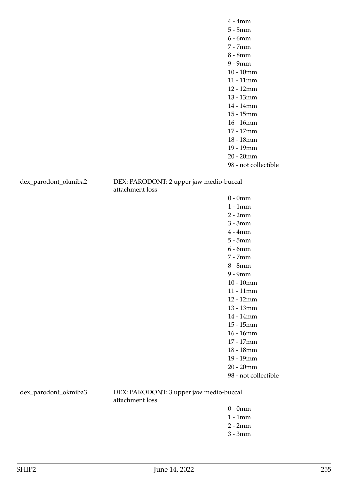dex\_parodont\_okmiba2 DEX: PARODONT: 2 upper jaw medio-buccal attachment loss

> 0 - 0mm 1 - 1mm 2 - 2mm 3 - 3mm 4 - 4mm 5 - 5mm 6 - 6mm 7 - 7mm 8 - 8mm 9 - 9mm 10 - 10mm 11 - 11mm 12 - 12mm 13 - 13mm 14 - 14mm 15 - 15mm 16 - 16mm 17 - 17mm 18 - 18mm 19 - 19mm 20 - 20mm 98 - not collectible

dex\_parodont\_okmiba3 DEX: PARODONT: 3 upper jaw medio-buccal attachment loss

- 0 0mm
- 1 1mm
- 2 2mm
- 3 3mm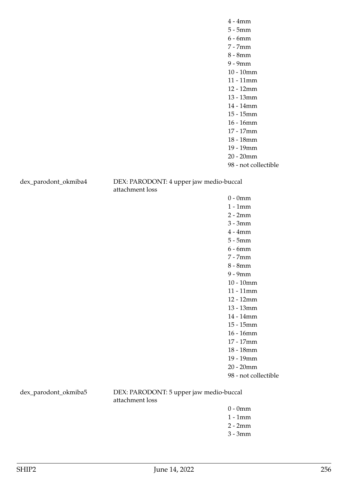dex\_parodont\_okmiba4 DEX: PARODONT: 4 upper jaw medio-buccal attachment loss

> 0 - 0mm 1 - 1mm 2 - 2mm 3 - 3mm 4 - 4mm 5 - 5mm 6 - 6mm 7 - 7mm 8 - 8mm 9 - 9mm 10 - 10mm 11 - 11mm 12 - 12mm 13 - 13mm 14 - 14mm 15 - 15mm 16 - 16mm 17 - 17mm 18 - 18mm 19 - 19mm 20 - 20mm 98 - not collectible

dex\_parodont\_okmiba5 DEX: PARODONT: 5 upper jaw medio-buccal attachment loss

- 0 0mm
- 1 1mm
- 2 2mm
- 3 3mm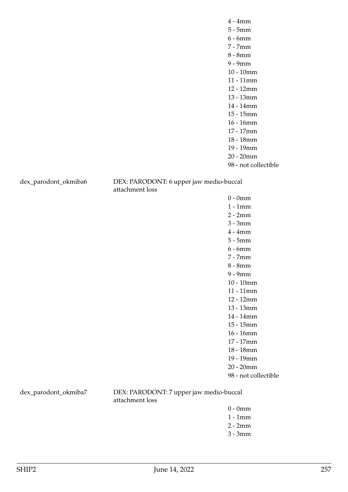dex\_parodont\_okmiba6 DEX: PARODONT: 6 upper jaw medio-buccal attachment loss

> 0 - 0mm 1 - 1mm 2 - 2mm 3 - 3mm 4 - 4mm 5 - 5mm 6 - 6mm 7 - 7mm 8 - 8mm 9 - 9mm 10 - 10mm 11 - 11mm 12 - 12mm 13 - 13mm 14 - 14mm 15 - 15mm 16 - 16mm 17 - 17mm 18 - 18mm 19 - 19mm 20 - 20mm 98 - not collectible

dex\_parodont\_okmiba7 DEX: PARODONT: 7 upper jaw medio-buccal attachment loss

- 0 0mm
- 1 1mm
- 2 2mm
- 3 3mm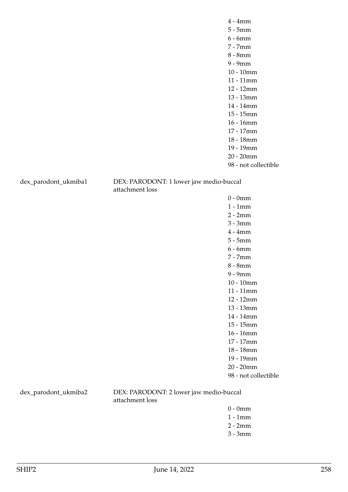dex\_parodont\_ukmiba1 DEX: PARODONT: 1 lower jaw medio-buccal attachment loss

> 0 - 0mm 1 - 1mm 2 - 2mm 3 - 3mm 4 - 4mm 5 - 5mm 6 - 6mm 7 - 7mm 8 - 8mm 9 - 9mm 10 - 10mm 11 - 11mm 12 - 12mm 13 - 13mm 14 - 14mm 15 - 15mm 16 - 16mm 17 - 17mm 18 - 18mm 19 - 19mm 20 - 20mm 98 - not collectible

dex\_parodont\_ukmiba2 DEX: PARODONT: 2 lower jaw medio-buccal attachment loss

- 0 0mm
- 1 1mm
- 2 2mm
- 3 3mm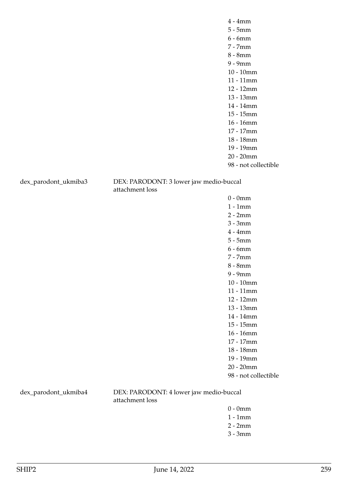dex\_parodont\_ukmiba3 DEX: PARODONT: 3 lower jaw medio-buccal attachment loss

> 0 - 0mm 1 - 1mm 2 - 2mm 3 - 3mm 4 - 4mm 5 - 5mm 6 - 6mm 7 - 7mm 8 - 8mm 9 - 9mm 10 - 10mm 11 - 11mm 12 - 12mm 13 - 13mm 14 - 14mm 15 - 15mm 16 - 16mm 17 - 17mm 18 - 18mm 19 - 19mm 20 - 20mm 98 - not collectible

dex\_parodont\_ukmiba4 DEX: PARODONT: 4 lower jaw medio-buccal attachment loss

- 0 0mm
- 1 1mm
- 2 2mm
- 3 3mm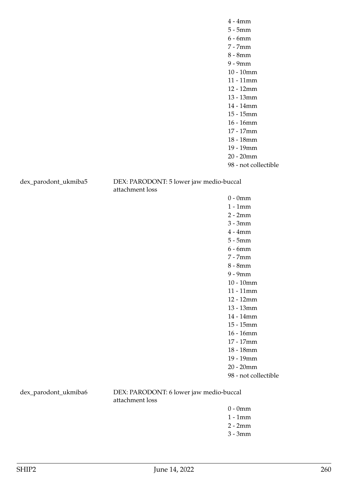dex\_parodont\_ukmiba5 DEX: PARODONT: 5 lower jaw medio-buccal attachment loss

> 0 - 0mm 1 - 1mm 2 - 2mm 3 - 3mm 4 - 4mm 5 - 5mm 6 - 6mm 7 - 7mm 8 - 8mm 9 - 9mm 10 - 10mm 11 - 11mm 12 - 12mm 13 - 13mm 14 - 14mm 15 - 15mm 16 - 16mm 17 - 17mm 18 - 18mm 19 - 19mm 20 - 20mm 98 - not collectible

dex\_parodont\_ukmiba6 DEX: PARODONT: 6 lower jaw medio-buccal attachment loss

- 0 0mm
- 1 1mm
- 2 2mm
- 3 3mm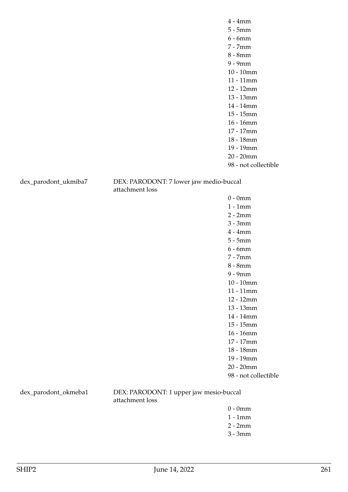dex\_parodont\_ukmiba7 DEX: PARODONT: 7 lower jaw medio-buccal attachment loss

> 0 - 0mm 1 - 1mm 2 - 2mm 3 - 3mm 4 - 4mm 5 - 5mm 6 - 6mm 7 - 7mm 8 - 8mm 9 - 9mm 10 - 10mm 11 - 11mm 12 - 12mm 13 - 13mm 14 - 14mm 15 - 15mm 16 - 16mm 17 - 17mm 18 - 18mm 19 - 19mm 20 - 20mm 98 - not collectible

dex\_parodont\_okmeba1 DEX: PARODONT: 1 upper jaw mesio-buccal attachment loss

- 0 0mm
- 1 1mm
- 2 2mm
- 3 3mm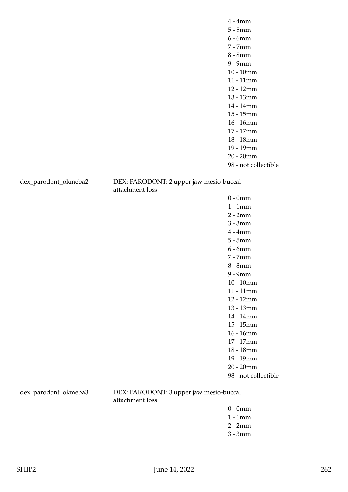dex\_parodont\_okmeba2 DEX: PARODONT: 2 upper jaw mesio-buccal attachment loss

> 0 - 0mm 1 - 1mm 2 - 2mm 3 - 3mm 4 - 4mm 5 - 5mm 6 - 6mm 7 - 7mm 8 - 8mm 9 - 9mm 10 - 10mm 11 - 11mm 12 - 12mm 13 - 13mm 14 - 14mm 15 - 15mm 16 - 16mm 17 - 17mm 18 - 18mm 19 - 19mm 20 - 20mm 98 - not collectible

dex\_parodont\_okmeba3 DEX: PARODONT: 3 upper jaw mesio-buccal attachment loss

- 0 0mm
- 1 1mm
- 2 2mm
- 3 3mm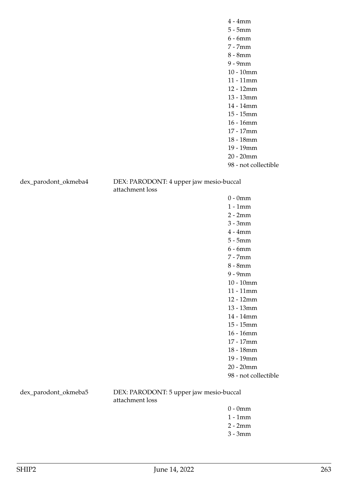dex\_parodont\_okmeba4 DEX: PARODONT: 4 upper jaw mesio-buccal attachment loss

> 0 - 0mm 1 - 1mm 2 - 2mm 3 - 3mm 4 - 4mm 5 - 5mm 6 - 6mm 7 - 7mm 8 - 8mm 9 - 9mm 10 - 10mm 11 - 11mm 12 - 12mm 13 - 13mm 14 - 14mm 15 - 15mm 16 - 16mm 17 - 17mm 18 - 18mm 19 - 19mm 20 - 20mm 98 - not collectible

dex\_parodont\_okmeba5 DEX: PARODONT: 5 upper jaw mesio-buccal attachment loss

- 0 0mm
- 1 1mm
- 2 2mm
- 3 3mm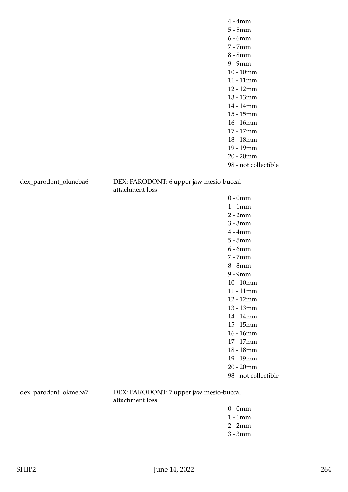dex\_parodont\_okmeba6 DEX: PARODONT: 6 upper jaw mesio-buccal attachment loss

> 0 - 0mm 1 - 1mm 2 - 2mm 3 - 3mm 4 - 4mm 5 - 5mm 6 - 6mm 7 - 7mm 8 - 8mm 9 - 9mm 10 - 10mm 11 - 11mm 12 - 12mm 13 - 13mm 14 - 14mm 15 - 15mm 16 - 16mm 17 - 17mm 18 - 18mm 19 - 19mm 20 - 20mm 98 - not collectible

dex\_parodont\_okmeba7 DEX: PARODONT: 7 upper jaw mesio-buccal attachment loss

- 0 0mm
- 1 1mm
- 2 2mm
- 3 3mm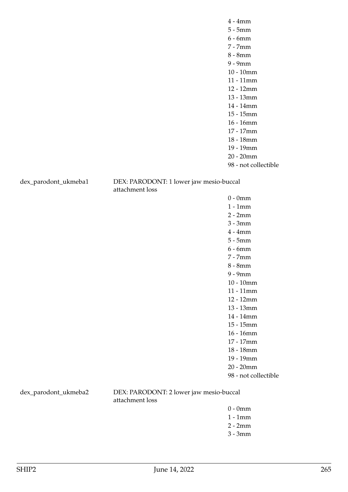dex\_parodont\_ukmeba1 DEX: PARODONT: 1 lower jaw mesio-buccal attachment loss

> 0 - 0mm 1 - 1mm 2 - 2mm 3 - 3mm 4 - 4mm 5 - 5mm 6 - 6mm 7 - 7mm 8 - 8mm 9 - 9mm 10 - 10mm 11 - 11mm 12 - 12mm 13 - 13mm 14 - 14mm 15 - 15mm 16 - 16mm 17 - 17mm 18 - 18mm 19 - 19mm 20 - 20mm 98 - not collectible

dex\_parodont\_ukmeba2 DEX: PARODONT: 2 lower jaw mesio-buccal attachment loss

- 0 0mm
- 1 1mm
- 2 2mm
- 3 3mm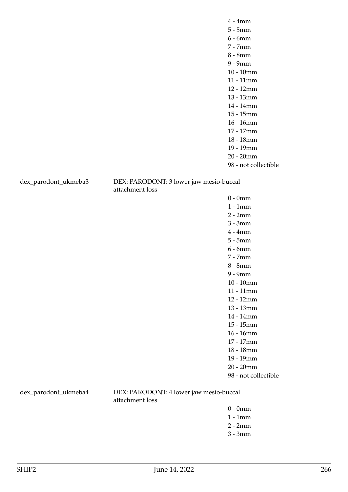dex\_parodont\_ukmeba3 DEX: PARODONT: 3 lower jaw mesio-buccal attachment loss

> 0 - 0mm 1 - 1mm 2 - 2mm 3 - 3mm 4 - 4mm 5 - 5mm 6 - 6mm 7 - 7mm 8 - 8mm 9 - 9mm 10 - 10mm 11 - 11mm 12 - 12mm 13 - 13mm 14 - 14mm 15 - 15mm 16 - 16mm 17 - 17mm 18 - 18mm 19 - 19mm 20 - 20mm 98 - not collectible

dex\_parodont\_ukmeba4 DEX: PARODONT: 4 lower jaw mesio-buccal attachment loss

- 0 0mm
- 1 1mm
- 2 2mm
- 3 3mm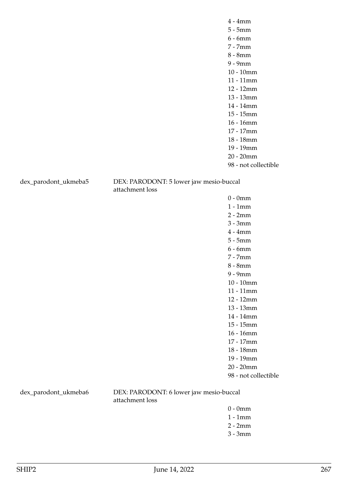dex\_parodont\_ukmeba5 DEX: PARODONT: 5 lower jaw mesio-buccal attachment loss

> 0 - 0mm 1 - 1mm 2 - 2mm 3 - 3mm 4 - 4mm 5 - 5mm 6 - 6mm 7 - 7mm 8 - 8mm 9 - 9mm 10 - 10mm 11 - 11mm 12 - 12mm 13 - 13mm 14 - 14mm 15 - 15mm 16 - 16mm 17 - 17mm 18 - 18mm 19 - 19mm 20 - 20mm 98 - not collectible

dex\_parodont\_ukmeba6 DEX: PARODONT: 6 lower jaw mesio-buccal attachment loss

- 0 0mm
- 1 1mm
- 2 2mm
- 3 3mm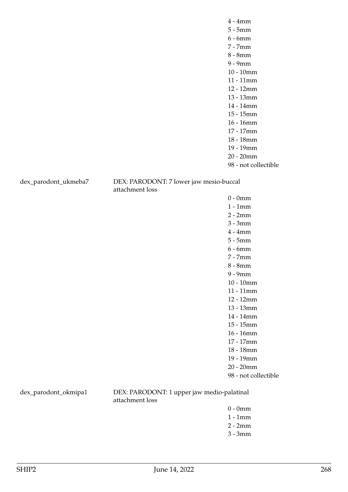dex\_parodont\_ukmeba7 DEX: PARODONT: 7 lower jaw mesio-buccal attachment loss

> 0 - 0mm 1 - 1mm 2 - 2mm 3 - 3mm 4 - 4mm 5 - 5mm 6 - 6mm 7 - 7mm 8 - 8mm 9 - 9mm 10 - 10mm 11 - 11mm 12 - 12mm 13 - 13mm 14 - 14mm 15 - 15mm 16 - 16mm 17 - 17mm 18 - 18mm 19 - 19mm 20 - 20mm 98 - not collectible

dex\_parodont\_okmipa1 DEX: PARODONT: 1 upper jaw medio-palatinal attachment loss

- 0 0mm
- 1 1mm
- 2 2mm
- 3 3mm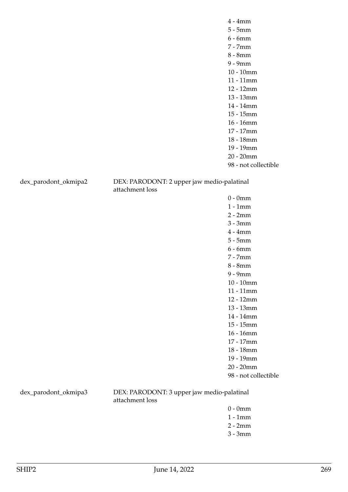dex\_parodont\_okmipa2 DEX: PARODONT: 2 upper jaw medio-palatinal attachment loss

> 0 - 0mm 1 - 1mm 2 - 2mm 3 - 3mm 4 - 4mm 5 - 5mm 6 - 6mm 7 - 7mm 8 - 8mm 9 - 9mm 10 - 10mm 11 - 11mm 12 - 12mm 13 - 13mm 14 - 14mm 15 - 15mm 16 - 16mm 17 - 17mm 18 - 18mm 19 - 19mm 20 - 20mm 98 - not collectible

dex\_parodont\_okmipa3 DEX: PARODONT: 3 upper jaw medio-palatinal attachment loss

- 0 0mm
- 1 1mm
- 2 2mm
- 3 3mm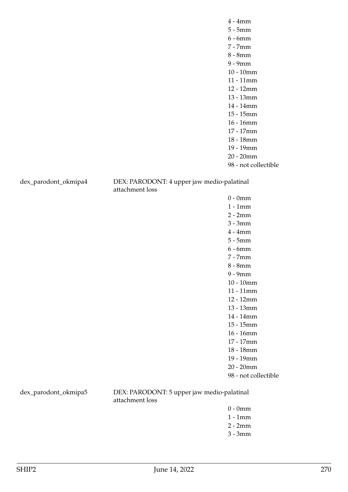dex\_parodont\_okmipa4 DEX: PARODONT: 4 upper jaw medio-palatinal attachment loss

> 0 - 0mm 1 - 1mm 2 - 2mm 3 - 3mm 4 - 4mm 5 - 5mm 6 - 6mm 7 - 7mm 8 - 8mm 9 - 9mm 10 - 10mm 11 - 11mm 12 - 12mm 13 - 13mm 14 - 14mm 15 - 15mm 16 - 16mm 17 - 17mm 18 - 18mm 19 - 19mm 20 - 20mm 98 - not collectible

dex\_parodont\_okmipa5 DEX: PARODONT: 5 upper jaw medio-palatinal attachment loss

- 0 0mm
- 1 1mm
- 2 2mm
- 3 3mm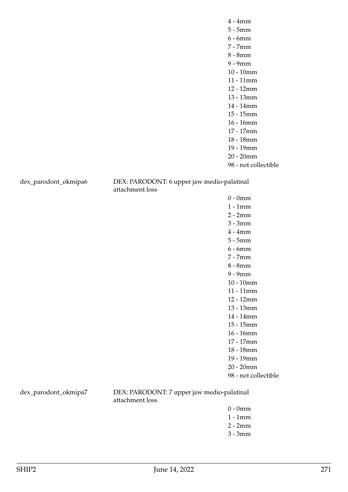dex\_parodont\_okmipa6 DEX: PARODONT: 6 upper jaw medio-palatinal attachment loss

> 0 - 0mm 1 - 1mm 2 - 2mm 3 - 3mm 4 - 4mm 5 - 5mm 6 - 6mm 7 - 7mm 8 - 8mm 9 - 9mm 10 - 10mm 11 - 11mm 12 - 12mm 13 - 13mm 14 - 14mm 15 - 15mm 16 - 16mm 17 - 17mm 18 - 18mm 19 - 19mm 20 - 20mm 98 - not collectible

dex\_parodont\_okmipa7 DEX: PARODONT: 7 upper jaw medio-palatinal attachment loss

- 0 0mm
- 1 1mm
- 2 2mm
- 3 3mm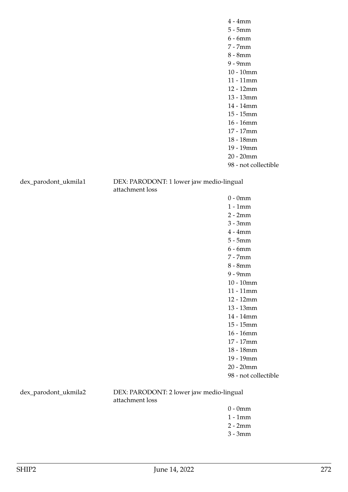dex\_parodont\_ukmila1 DEX: PARODONT: 1 lower jaw medio-lingual attachment loss

> 0 - 0mm 1 - 1mm 2 - 2mm 3 - 3mm 4 - 4mm 5 - 5mm 6 - 6mm 7 - 7mm 8 - 8mm 9 - 9mm 10 - 10mm 11 - 11mm 12 - 12mm 13 - 13mm 14 - 14mm 15 - 15mm 16 - 16mm 17 - 17mm 18 - 18mm 19 - 19mm 20 - 20mm 98 - not collectible

dex\_parodont\_ukmila2 DEX: PARODONT: 2 lower jaw medio-lingual attachment loss

- $0 0$ mm
- 1 1mm
- 2 2mm
- 3 3mm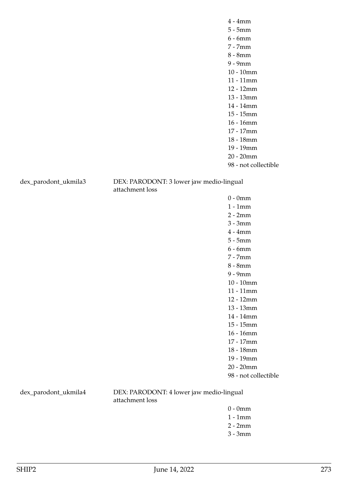dex\_parodont\_ukmila3 DEX: PARODONT: 3 lower jaw medio-lingual attachment loss

> 0 - 0mm 1 - 1mm 2 - 2mm 3 - 3mm 4 - 4mm 5 - 5mm 6 - 6mm 7 - 7mm 8 - 8mm 9 - 9mm 10 - 10mm 11 - 11mm 12 - 12mm 13 - 13mm 14 - 14mm 15 - 15mm 16 - 16mm 17 - 17mm 18 - 18mm 19 - 19mm 20 - 20mm 98 - not collectible

dex\_parodont\_ukmila4 DEX: PARODONT: 4 lower jaw medio-lingual attachment loss

- $0 0$ mm
- 1 1mm
- 2 2mm
- 3 3mm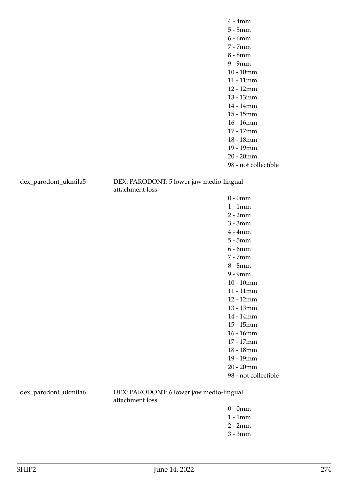dex\_parodont\_ukmila5 DEX: PARODONT: 5 lower jaw medio-lingual attachment loss

> 0 - 0mm 1 - 1mm 2 - 2mm 3 - 3mm 4 - 4mm 5 - 5mm 6 - 6mm 7 - 7mm 8 - 8mm 9 - 9mm 10 - 10mm 11 - 11mm 12 - 12mm 13 - 13mm 14 - 14mm 15 - 15mm 16 - 16mm 17 - 17mm 18 - 18mm 19 - 19mm 20 - 20mm 98 - not collectible

dex\_parodont\_ukmila6 DEX: PARODONT: 6 lower jaw medio-lingual attachment loss

- $0 0$ mm
- 1 1mm
- 2 2mm
- 3 3mm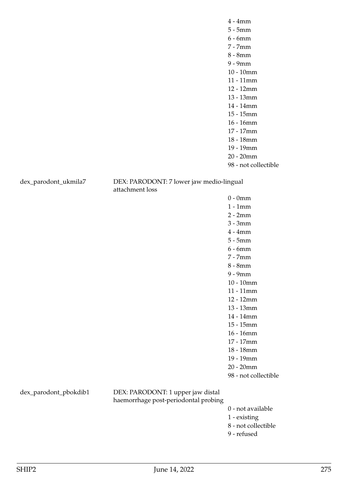dex\_parodont\_ukmila7 DEX: PARODONT: 7 lower jaw medio-lingual attachment loss

> 0 - 0mm 1 - 1mm 2 - 2mm 3 - 3mm 4 - 4mm 5 - 5mm 6 - 6mm 7 - 7mm 8 - 8mm 9 - 9mm 10 - 10mm 11 - 11mm 12 - 12mm 13 - 13mm 14 - 14mm 15 - 15mm 16 - 16mm 17 - 17mm 18 - 18mm 19 - 19mm 20 - 20mm 98 - not collectible

dex\_parodont\_pbokdib1 DEX: PARODONT: 1 upper jaw distal haemorrhage post-periodontal probing

- 0 not available
- 1 existing
- 8 not collectible
- 9 refused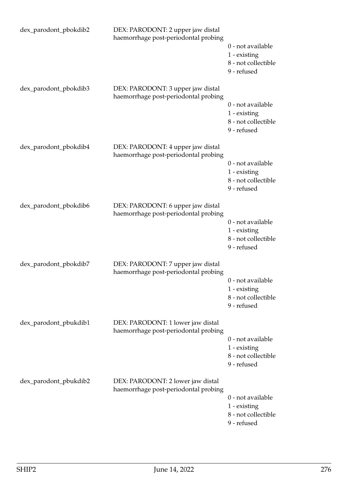| dex_parodont_pbokdib2 | DEX: PARODONT: 2 upper jaw distal<br>haemorrhage post-periodontal probing | 0 - not available<br>1 - existing<br>8 - not collectible<br>9 - refused   |
|-----------------------|---------------------------------------------------------------------------|---------------------------------------------------------------------------|
| dex_parodont_pbokdib3 | DEX: PARODONT: 3 upper jaw distal<br>haemorrhage post-periodontal probing | 0 - not available<br>1 - existing<br>8 - not collectible<br>9 - refused   |
| dex_parodont_pbokdib4 | DEX: PARODONT: 4 upper jaw distal<br>haemorrhage post-periodontal probing | 0 - not available<br>$1$ - existing<br>8 - not collectible<br>9 - refused |
| dex_parodont_pbokdib6 | DEX: PARODONT: 6 upper jaw distal<br>haemorrhage post-periodontal probing | 0 - not available<br>1 - existing<br>8 - not collectible<br>9 - refused   |
| dex_parodont_pbokdib7 | DEX: PARODONT: 7 upper jaw distal<br>haemorrhage post-periodontal probing | 0 - not available<br>1 - existing<br>8 - not collectible<br>9 - refused   |
| dex_parodont_pbukdib1 | DEX: PARODONT: 1 lower jaw distal<br>haemorrhage post-periodontal probing | 0 - not available<br>1 - existing<br>8 - not collectible<br>9 - refused   |
| dex_parodont_pbukdib2 | DEX: PARODONT: 2 lower jaw distal<br>haemorrhage post-periodontal probing | 0 - not available<br>1 - existing<br>8 - not collectible<br>9 - refused   |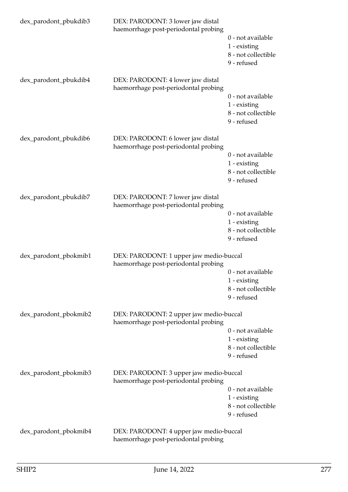| dex_parodont_pbukdib3 | DEX: PARODONT: 3 lower jaw distal<br>haemorrhage post-periodontal probing       | 0 - not available<br>1 - existing<br>8 - not collectible<br>9 - refused |
|-----------------------|---------------------------------------------------------------------------------|-------------------------------------------------------------------------|
| dex_parodont_pbukdib4 | DEX: PARODONT: 4 lower jaw distal<br>haemorrhage post-periodontal probing       | 0 - not available<br>1 - existing<br>8 - not collectible<br>9 - refused |
| dex_parodont_pbukdib6 | DEX: PARODONT: 6 lower jaw distal<br>haemorrhage post-periodontal probing       | 0 - not available<br>1 - existing<br>8 - not collectible<br>9 - refused |
| dex_parodont_pbukdib7 | DEX: PARODONT: 7 lower jaw distal<br>haemorrhage post-periodontal probing       | 0 - not available<br>1 - existing<br>8 - not collectible<br>9 - refused |
| dex_parodont_pbokmib1 | DEX: PARODONT: 1 upper jaw medio-buccal<br>haemorrhage post-periodontal probing | 0 - not available<br>1 - existing<br>8 - not collectible<br>9 - refused |
| dex_parodont_pbokmib2 | DEX: PARODONT: 2 upper jaw medio-buccal<br>haemorrhage post-periodontal probing | 0 - not available<br>1 - existing<br>8 - not collectible<br>9 - refused |
| dex_parodont_pbokmib3 | DEX: PARODONT: 3 upper jaw medio-buccal<br>haemorrhage post-periodontal probing | 0 - not available<br>1 - existing<br>8 - not collectible<br>9 - refused |
| dex_parodont_pbokmib4 | DEX: PARODONT: 4 upper jaw medio-buccal<br>haemorrhage post-periodontal probing |                                                                         |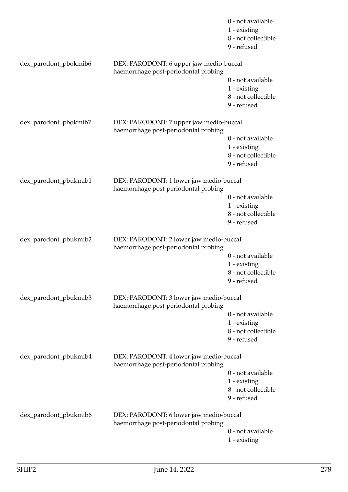|                       |                                                                                 | 0 - not available<br>1 - existing<br>8 - not collectible<br>9 - refused |
|-----------------------|---------------------------------------------------------------------------------|-------------------------------------------------------------------------|
| dex_parodont_pbokmib6 | DEX: PARODONT: 6 upper jaw medio-buccal<br>haemorrhage post-periodontal probing |                                                                         |
|                       |                                                                                 | 0 - not available<br>1 - existing<br>8 - not collectible<br>9 - refused |
| dex_parodont_pbokmib7 | DEX: PARODONT: 7 upper jaw medio-buccal<br>haemorrhage post-periodontal probing |                                                                         |
|                       |                                                                                 | 0 - not available<br>1 - existing<br>8 - not collectible<br>9 - refused |
| dex_parodont_pbukmib1 | DEX: PARODONT: 1 lower jaw medio-buccal<br>haemorrhage post-periodontal probing |                                                                         |
|                       |                                                                                 | 0 - not available<br>1 - existing<br>8 - not collectible<br>9 - refused |
| dex_parodont_pbukmib2 | DEX: PARODONT: 2 lower jaw medio-buccal<br>haemorrhage post-periodontal probing |                                                                         |
|                       |                                                                                 | 0 - not available<br>1 - existing<br>8 - not collectible<br>9 - refused |
| dex_parodont_pbukmib3 | DEX: PARODONT: 3 lower jaw medio-buccal<br>haemorrhage post-periodontal probing |                                                                         |
|                       |                                                                                 | 0 - not available<br>1 - existing<br>8 - not collectible<br>9 - refused |
| dex_parodont_pbukmib4 | DEX: PARODONT: 4 lower jaw medio-buccal<br>haemorrhage post-periodontal probing |                                                                         |
|                       |                                                                                 | 0 - not available<br>1 - existing<br>8 - not collectible<br>9 - refused |
| dex_parodont_pbukmib6 | DEX: PARODONT: 6 lower jaw medio-buccal<br>haemorrhage post-periodontal probing |                                                                         |
|                       |                                                                                 | 0 - not available<br>1 - existing                                       |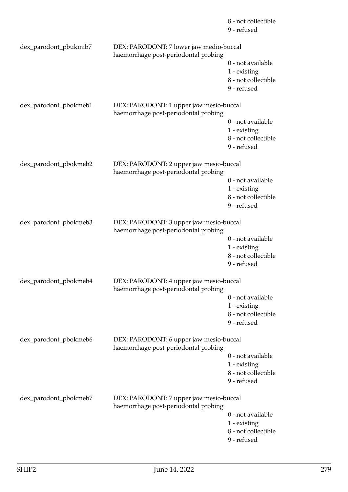|                       |                                                                                 | 8 - not collectible<br>9 - refused                                      |
|-----------------------|---------------------------------------------------------------------------------|-------------------------------------------------------------------------|
| dex_parodont_pbukmib7 | DEX: PARODONT: 7 lower jaw medio-buccal<br>haemorrhage post-periodontal probing |                                                                         |
|                       |                                                                                 | 0 - not available<br>1 - existing<br>8 - not collectible<br>9 - refused |
| dex_parodont_pbokmeb1 | DEX: PARODONT: 1 upper jaw mesio-buccal<br>haemorrhage post-periodontal probing |                                                                         |
|                       |                                                                                 | 0 - not available<br>1 - existing<br>8 - not collectible<br>9 - refused |
| dex_parodont_pbokmeb2 | DEX: PARODONT: 2 upper jaw mesio-buccal<br>haemorrhage post-periodontal probing |                                                                         |
|                       |                                                                                 | 0 - not available<br>1 - existing<br>8 - not collectible<br>9 - refused |
| dex_parodont_pbokmeb3 | DEX: PARODONT: 3 upper jaw mesio-buccal<br>haemorrhage post-periodontal probing |                                                                         |
|                       |                                                                                 | 0 - not available<br>1 - existing<br>8 - not collectible<br>9 - refused |
| dex_parodont_pbokmeb4 | DEX: PARODONT: 4 upper jaw mesio-buccal<br>haemorrhage post-periodontal probing |                                                                         |
|                       |                                                                                 | 0 - not available<br>1 - existing<br>8 - not collectible<br>9 - refused |
| dex_parodont_pbokmeb6 | DEX: PARODONT: 6 upper jaw mesio-buccal<br>haemorrhage post-periodontal probing |                                                                         |
|                       |                                                                                 | 0 - not available<br>1 - existing<br>8 - not collectible<br>9 - refused |
| dex_parodont_pbokmeb7 | DEX: PARODONT: 7 upper jaw mesio-buccal<br>haemorrhage post-periodontal probing |                                                                         |
|                       |                                                                                 | 0 - not available<br>1 - existing<br>8 - not collectible<br>9 - refused |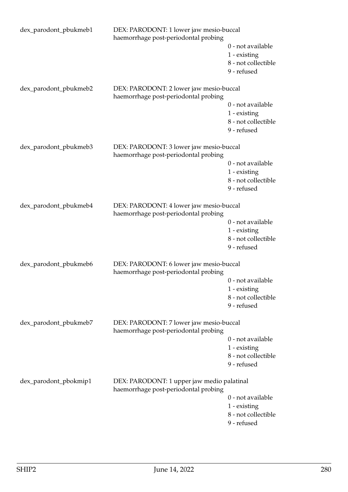| dex_parodont_pbukmeb1 | DEX: PARODONT: 1 lower jaw mesio-buccal<br>haemorrhage post-periodontal probing    |                                                                         |
|-----------------------|------------------------------------------------------------------------------------|-------------------------------------------------------------------------|
|                       |                                                                                    | 0 - not available<br>1 - existing<br>8 - not collectible<br>9 - refused |
| dex_parodont_pbukmeb2 | DEX: PARODONT: 2 lower jaw mesio-buccal<br>haemorrhage post-periodontal probing    |                                                                         |
|                       |                                                                                    | 0 - not available<br>1 - existing<br>8 - not collectible<br>9 - refused |
| dex_parodont_pbukmeb3 | DEX: PARODONT: 3 lower jaw mesio-buccal<br>haemorrhage post-periodontal probing    |                                                                         |
|                       |                                                                                    | 0 - not available<br>1 - existing<br>8 - not collectible<br>9 - refused |
| dex_parodont_pbukmeb4 | DEX: PARODONT: 4 lower jaw mesio-buccal<br>haemorrhage post-periodontal probing    |                                                                         |
|                       |                                                                                    | 0 - not available<br>1 - existing<br>8 - not collectible<br>9 - refused |
| dex_parodont_pbukmeb6 | DEX: PARODONT: 6 lower jaw mesio-buccal<br>haemorrhage post-periodontal probing    |                                                                         |
|                       |                                                                                    | 0 - not available<br>1 - existing<br>8 - not collectible<br>9 - refused |
| dex_parodont_pbukmeb7 | DEX: PARODONT: 7 lower jaw mesio-buccal<br>haemorrhage post-periodontal probing    |                                                                         |
|                       |                                                                                    | 0 - not available<br>1 - existing<br>8 - not collectible<br>9 - refused |
| dex_parodont_pbokmip1 | DEX: PARODONT: 1 upper jaw medio palatinal<br>haemorrhage post-periodontal probing |                                                                         |
|                       |                                                                                    | 0 - not available<br>1 - existing<br>8 - not collectible<br>9 - refused |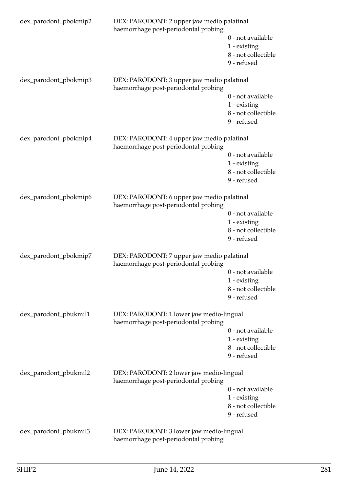| dex_parodont_pbokmip2 | DEX: PARODONT: 2 upper jaw medio palatinal<br>haemorrhage post-periodontal probing |                                                                         |  |
|-----------------------|------------------------------------------------------------------------------------|-------------------------------------------------------------------------|--|
|                       |                                                                                    | 0 - not available<br>1 - existing<br>8 - not collectible<br>9 - refused |  |
| dex_parodont_pbokmip3 | DEX: PARODONT: 3 upper jaw medio palatinal<br>haemorrhage post-periodontal probing |                                                                         |  |
|                       |                                                                                    | 0 - not available<br>1 - existing<br>8 - not collectible<br>9 - refused |  |
| dex_parodont_pbokmip4 | DEX: PARODONT: 4 upper jaw medio palatinal<br>haemorrhage post-periodontal probing |                                                                         |  |
|                       |                                                                                    | 0 - not available<br>1 - existing<br>8 - not collectible<br>9 - refused |  |
| dex_parodont_pbokmip6 | DEX: PARODONT: 6 upper jaw medio palatinal<br>haemorrhage post-periodontal probing |                                                                         |  |
|                       |                                                                                    | 0 - not available<br>1 - existing<br>8 - not collectible<br>9 - refused |  |
| dex_parodont_pbokmip7 | DEX: PARODONT: 7 upper jaw medio palatinal<br>haemorrhage post-periodontal probing |                                                                         |  |
|                       |                                                                                    | 0 - not available<br>1 - existing<br>8 - not collectible<br>9 - refused |  |
| dex_parodont_pbukmil1 | DEX: PARODONT: 1 lower jaw medio-lingual<br>haemorrhage post-periodontal probing   |                                                                         |  |
|                       |                                                                                    | 0 - not available<br>1 - existing<br>8 - not collectible<br>9 - refused |  |
| dex_parodont_pbukmil2 | DEX: PARODONT: 2 lower jaw medio-lingual<br>haemorrhage post-periodontal probing   |                                                                         |  |
|                       |                                                                                    | 0 - not available<br>1 - existing<br>8 - not collectible<br>9 - refused |  |
| dex_parodont_pbukmil3 | DEX: PARODONT: 3 lower jaw medio-lingual<br>haemorrhage post-periodontal probing   |                                                                         |  |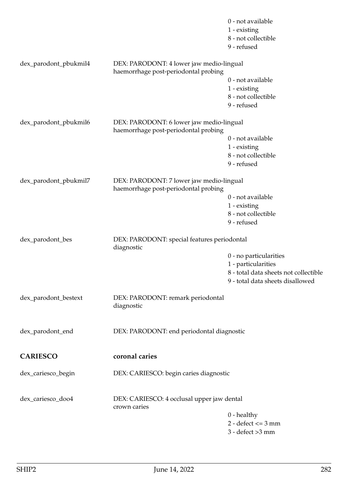|                       |                                                                                  | 0 - not available<br>1 - existing<br>8 - not collectible<br>9 - refused |
|-----------------------|----------------------------------------------------------------------------------|-------------------------------------------------------------------------|
| dex_parodont_pbukmil4 | DEX: PARODONT: 4 lower jaw medio-lingual<br>haemorrhage post-periodontal probing |                                                                         |
|                       |                                                                                  | 0 - not available                                                       |
|                       |                                                                                  | 1 - existing                                                            |
|                       |                                                                                  | 8 - not collectible                                                     |
|                       |                                                                                  | 9 - refused                                                             |
| dex_parodont_pbukmil6 | DEX: PARODONT: 6 lower jaw medio-lingual<br>haemorrhage post-periodontal probing |                                                                         |
|                       |                                                                                  | 0 - not available                                                       |
|                       |                                                                                  | 1 - existing                                                            |
|                       |                                                                                  | 8 - not collectible                                                     |
|                       |                                                                                  | 9 - refused                                                             |
| dex_parodont_pbukmil7 | DEX: PARODONT: 7 lower jaw medio-lingual<br>haemorrhage post-periodontal probing |                                                                         |
|                       |                                                                                  | 0 - not available                                                       |
|                       |                                                                                  | 1 - existing                                                            |
|                       |                                                                                  | 8 - not collectible                                                     |
|                       |                                                                                  | 9 - refused                                                             |
| dex_parodont_bes      | DEX: PARODONT: special features periodontal<br>diagnostic                        |                                                                         |
|                       |                                                                                  | 0 - no particularities                                                  |
|                       |                                                                                  | 1 - particularities                                                     |
|                       |                                                                                  | 8 - total data sheets not collectible                                   |
|                       |                                                                                  | 9 - total data sheets disallowed                                        |
| dex_parodont_bestext  | DEX: PARODONT: remark periodontal<br>diagnostic                                  |                                                                         |
| dex_parodont_end      | DEX: PARODONT: end periodontal diagnostic                                        |                                                                         |
| <b>CARIESCO</b>       | coronal caries                                                                   |                                                                         |
| dex_cariesco_begin    | DEX: CARIESCO: begin caries diagnostic                                           |                                                                         |
| dex_cariesco_doo4     | DEX: CARIESCO: 4 occlusal upper jaw dental<br>crown caries                       |                                                                         |
|                       |                                                                                  | $0$ - healthy                                                           |
|                       |                                                                                  | $2 - defect \le 3 mm$                                                   |
|                       |                                                                                  | $3 - defect > 3 mm$                                                     |
|                       |                                                                                  |                                                                         |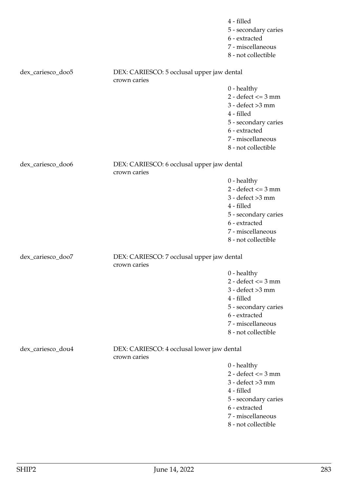|                   |                                                            | 4 - filled<br>5 - secondary caries<br>6 - extracted<br>7 - miscellaneous<br>8 - not collectible                                                                   |
|-------------------|------------------------------------------------------------|-------------------------------------------------------------------------------------------------------------------------------------------------------------------|
| dex_cariesco_doo5 | DEX: CARIESCO: 5 occlusal upper jaw dental<br>crown caries |                                                                                                                                                                   |
|                   |                                                            | $0$ - healthy<br>$2 - defect \le 3 mm$<br>$3 - defect > 3 mm$<br>4 - filled<br>5 - secondary caries<br>6 - extracted<br>7 - miscellaneous<br>8 - not collectible  |
| dex_cariesco_doo6 | DEX: CARIESCO: 6 occlusal upper jaw dental<br>crown caries |                                                                                                                                                                   |
|                   |                                                            | $0$ - healthy<br>$2 - defect \le 3 mm$<br>$3 - defect > 3 mm$<br>4 - filled<br>5 - secondary caries<br>6 - extracted<br>7 - miscellaneous<br>8 - not collectible  |
| dex_cariesco_doo7 | DEX: CARIESCO: 7 occlusal upper jaw dental<br>crown caries |                                                                                                                                                                   |
|                   |                                                            | $0$ - healthy<br>$2 - defect \leq 3 mm$<br>$3 - defect > 3 mm$<br>4 - filled<br>5 - secondary caries<br>6 - extracted<br>7 - miscellaneous<br>8 - not collectible |
| dex_cariesco_dou4 | DEX: CARIESCO: 4 occlusal lower jaw dental<br>crown caries |                                                                                                                                                                   |
|                   |                                                            | $0$ - healthy<br>$2 - defect \leq 3 mm$<br>$3 - defect > 3 mm$<br>4 - filled<br>5 - secondary caries<br>6 - extracted<br>7 - miscellaneous<br>8 - not collectible |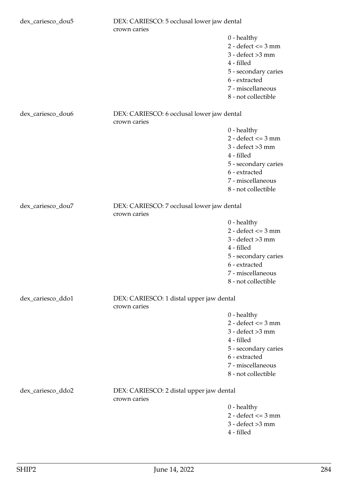| dex_cariesco_dou5 | DEX: CARIESCO: 5 occlusal lower jaw dental<br>crown caries |                                                                                                                                                                   |
|-------------------|------------------------------------------------------------|-------------------------------------------------------------------------------------------------------------------------------------------------------------------|
|                   |                                                            | $0$ - healthy<br>$2 - defect \leq 3 mm$<br>$3 - defect > 3 mm$<br>4 - filled<br>5 - secondary caries<br>6 - extracted<br>7 - miscellaneous<br>8 - not collectible |
| dex_cariesco_dou6 | DEX: CARIESCO: 6 occlusal lower jaw dental<br>crown caries |                                                                                                                                                                   |
|                   |                                                            | $0$ - healthy<br>$2 - defect \le 3 mm$<br>$3 - defect > 3 mm$<br>4 - filled<br>5 - secondary caries<br>6 - extracted<br>7 - miscellaneous<br>8 - not collectible  |
| dex_cariesco_dou7 | DEX: CARIESCO: 7 occlusal lower jaw dental<br>crown caries |                                                                                                                                                                   |
|                   |                                                            | $0$ - healthy<br>$2 - defect \le 3 mm$<br>$3 - defect > 3 mm$<br>4 - filled<br>5 - secondary caries<br>6 - extracted<br>7 - miscellaneous<br>8 - not collectible  |
| dex_cariesco_ddo1 | DEX: CARIESCO: 1 distal upper jaw dental<br>crown caries   |                                                                                                                                                                   |
|                   |                                                            | $0$ - healthy<br>$2 - defect \leq 3 mm$<br>$3 - defect > 3 mm$<br>4 - filled<br>5 - secondary caries<br>6 - extracted<br>7 - miscellaneous<br>8 - not collectible |
| dex_cariesco_ddo2 | DEX: CARIESCO: 2 distal upper jaw dental<br>crown caries   |                                                                                                                                                                   |
|                   |                                                            | $0$ - healthy<br>$2 - defect \le 3 mm$<br>$3 - defect > 3 mm$<br>4 - filled                                                                                       |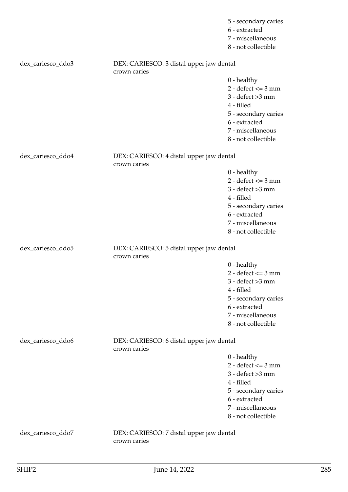|                   |                                                          | 5 - secondary caries<br>6 - extracted<br>7 - miscellaneous<br>8 - not collectible |
|-------------------|----------------------------------------------------------|-----------------------------------------------------------------------------------|
| dex_cariesco_ddo3 | DEX: CARIESCO: 3 distal upper jaw dental<br>crown caries |                                                                                   |
|                   |                                                          | $0$ - healthy                                                                     |
|                   |                                                          | $2 - defect \le 3 mm$                                                             |
|                   |                                                          | $3 -$ defect $>3$ mm                                                              |
|                   |                                                          | 4 - filled                                                                        |
|                   |                                                          | 5 - secondary caries                                                              |
|                   |                                                          | 6 - extracted                                                                     |
|                   |                                                          | 7 - miscellaneous                                                                 |
|                   |                                                          | 8 - not collectible                                                               |
| dex_cariesco_ddo4 | DEX: CARIESCO: 4 distal upper jaw dental<br>crown caries |                                                                                   |
|                   |                                                          | $0$ - healthy                                                                     |
|                   |                                                          | $2 - defect \le 3 mm$                                                             |
|                   |                                                          | $3 - defect > 3 mm$                                                               |
|                   |                                                          | 4 - filled                                                                        |
|                   |                                                          | 5 - secondary caries                                                              |
|                   |                                                          | 6 - extracted                                                                     |
|                   |                                                          | 7 - miscellaneous                                                                 |
|                   |                                                          | 8 - not collectible                                                               |
| dex_cariesco_ddo5 | DEX: CARIESCO: 5 distal upper jaw dental<br>crown caries |                                                                                   |
|                   |                                                          | $0$ - healthy                                                                     |
|                   |                                                          | $2 - defect \le 3 mm$                                                             |
|                   |                                                          | $3 - defect > 3 mm$                                                               |
|                   |                                                          | 4 - filled                                                                        |
|                   |                                                          | 5 - secondary caries                                                              |
|                   |                                                          | 6 - extracted                                                                     |
|                   |                                                          | 7 - miscellaneous                                                                 |
|                   |                                                          | 8 - not collectible                                                               |
| dex_cariesco_ddo6 | DEX: CARIESCO: 6 distal upper jaw dental<br>crown caries |                                                                                   |
|                   |                                                          | $0$ - healthy                                                                     |
|                   |                                                          | $2 - defect \le 3 mm$                                                             |
|                   |                                                          | $3 - defect > 3 mm$                                                               |
|                   |                                                          | 4 - filled                                                                        |
|                   |                                                          | 5 - secondary caries                                                              |
|                   |                                                          | 6 - extracted                                                                     |
|                   |                                                          | 7 - miscellaneous                                                                 |
|                   |                                                          | 8 - not collectible                                                               |
| dex_cariesco_ddo7 | DEX: CARIESCO: 7 distal upper jaw dental<br>crown caries |                                                                                   |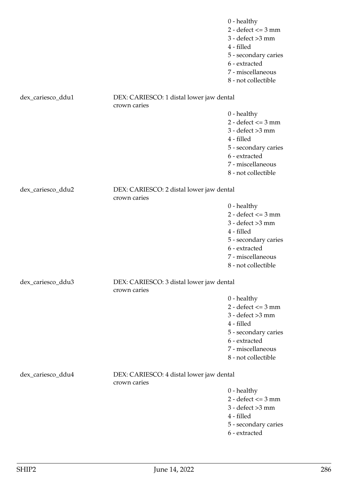|                   |                                                          | $0$ - healthy<br>$2 - defect \le 3 mm$<br>$3 - defect > 3 mm$<br>4 - filled<br>5 - secondary caries<br>6 - extracted<br>7 - miscellaneous<br>8 - not collectible |
|-------------------|----------------------------------------------------------|------------------------------------------------------------------------------------------------------------------------------------------------------------------|
| dex_cariesco_ddu1 | DEX: CARIESCO: 1 distal lower jaw dental                 |                                                                                                                                                                  |
|                   | crown caries                                             | $0$ - healthy<br>$2 - defect \le 3 mm$<br>$3 - defect > 3 mm$<br>4 - filled<br>5 - secondary caries<br>6 - extracted<br>7 - miscellaneous<br>8 - not collectible |
| dex_cariesco_ddu2 | DEX: CARIESCO: 2 distal lower jaw dental                 |                                                                                                                                                                  |
|                   | crown caries                                             | $0$ - healthy<br>$2 - defect \le 3 mm$<br>$3 - defect > 3 mm$<br>4 - filled<br>5 - secondary caries<br>6 - extracted<br>7 - miscellaneous<br>8 - not collectible |
| dex_cariesco_ddu3 | DEX: CARIESCO: 3 distal lower jaw dental<br>crown caries |                                                                                                                                                                  |
|                   |                                                          | $0$ - healthy<br>$2 - defect \le 3 mm$<br>$3 - defect > 3 mm$<br>4 - filled<br>5 - secondary caries<br>6 - extracted<br>7 - miscellaneous<br>8 - not collectible |
| dex_cariesco_ddu4 | DEX: CARIESCO: 4 distal lower jaw dental<br>crown caries |                                                                                                                                                                  |
|                   |                                                          | $0$ - healthy<br>$2 - defect \le 3 mm$<br>$3 - defect > 3 mm$<br>4 - filled<br>5 - secondary caries<br>6 - extracted                                             |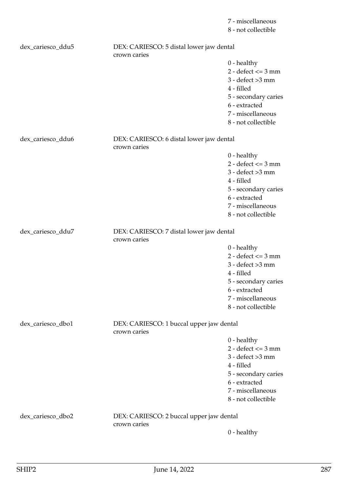7 - miscellaneous 8 - not collectible

| dex_cariesco_ddu5 | DEX: CARIESCO: 5 distal lower jaw dental<br>crown caries |                       |
|-------------------|----------------------------------------------------------|-----------------------|
|                   |                                                          | $0$ - healthy         |
|                   |                                                          | $2 - defect \le 3 mm$ |
|                   |                                                          | $3 - defect > 3 mm$   |
|                   |                                                          | 4 - filled            |
|                   |                                                          | 5 - secondary caries  |
|                   |                                                          | 6 - extracted         |
|                   |                                                          | 7 - miscellaneous     |
|                   |                                                          | 8 - not collectible   |
|                   |                                                          |                       |
| dex_cariesco_ddu6 | DEX: CARIESCO: 6 distal lower jaw dental                 |                       |
|                   | crown caries                                             |                       |
|                   |                                                          | $0$ - healthy         |
|                   |                                                          | $2 - defect \le 3 mm$ |
|                   |                                                          | $3 - defect > 3 mm$   |
|                   |                                                          | 4 - filled            |
|                   |                                                          | 5 - secondary caries  |
|                   |                                                          | 6 - extracted         |
|                   |                                                          | 7 - miscellaneous     |
|                   |                                                          | 8 - not collectible   |
|                   |                                                          |                       |
| dex_cariesco_ddu7 | DEX: CARIESCO: 7 distal lower jaw dental<br>crown caries |                       |
|                   |                                                          | $0$ - healthy         |
|                   |                                                          | $2 - defect \le 3 mm$ |
|                   |                                                          | $3 - defect > 3 mm$   |
|                   |                                                          | 4 - filled            |
|                   |                                                          | 5 - secondary caries  |
|                   |                                                          | 6 - extracted         |
|                   |                                                          | 7 - miscellaneous     |
|                   |                                                          | 8 - not collectible   |
|                   |                                                          |                       |
| dex_cariesco_dbo1 | DEX: CARIESCO: 1 buccal upper jaw dental                 |                       |
|                   | crown caries                                             |                       |
|                   |                                                          | $0$ - healthy         |
|                   |                                                          | $2 - defect \le 3 mm$ |
|                   |                                                          | $3 - defect > 3 mm$   |
|                   |                                                          | 4 - filled            |
|                   |                                                          | 5 - secondary caries  |
|                   |                                                          | 6 - extracted         |
|                   |                                                          | 7 - miscellaneous     |
|                   |                                                          | 8 - not collectible   |
| dex_cariesco_dbo2 | DEX: CARIESCO: 2 buccal upper jaw dental                 |                       |
|                   | crown caries                                             |                       |
|                   |                                                          | $0$ - healthy         |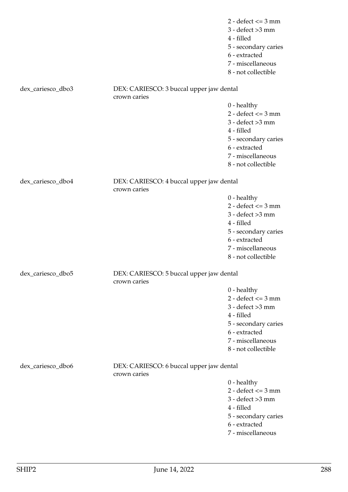2 - defect  $\leq$  3 mm 3 - defect >3 mm 4 - filled 5 - secondary caries 6 - extracted 7 - miscellaneous 8 - not collectible dex\_cariesco\_dbo3 DEX: CARIESCO: 3 buccal upper jaw dental crown caries 0 - healthy 2 - defect <= 3 mm 3 - defect >3 mm 4 - filled 5 - secondary caries 6 - extracted 7 - miscellaneous 8 - not collectible dex\_cariesco\_dbo4 DEX: CARIESCO: 4 buccal upper jaw dental crown caries 0 - healthy  $2 - defect \leq 3 mm$ 3 - defect >3 mm 4 - filled 5 - secondary caries 6 - extracted 7 - miscellaneous 8 - not collectible dex\_cariesco\_dbo5 DEX: CARIESCO: 5 buccal upper jaw dental crown caries 0 - healthy 2 - defect  $\leq$  3 mm  $3 -$  defect  $>3$  mm 4 - filled 5 - secondary caries 6 - extracted 7 - miscellaneous 8 - not collectible dex\_cariesco\_dbo6 DEX: CARIESCO: 6 buccal upper jaw dental crown caries 0 - healthy  $2 - defect \leq 3 mm$ 3 - defect >3 mm 4 - filled 5 - secondary caries 6 - extracted

7 - miscellaneous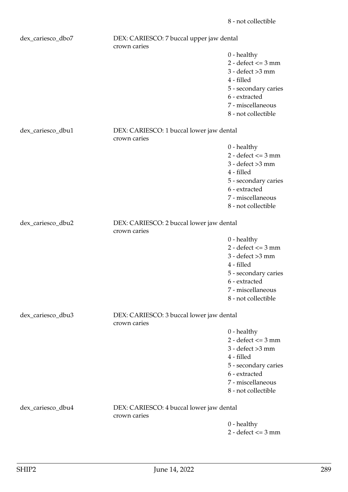| dex_cariesco_dbo7 | DEX: CARIESCO: 7 buccal upper jaw dental<br>crown caries |                                                                                                                                                                  |
|-------------------|----------------------------------------------------------|------------------------------------------------------------------------------------------------------------------------------------------------------------------|
|                   |                                                          | $0$ - healthy<br>$2 - defect \le 3 mm$<br>$3 - defect > 3 mm$<br>4 - filled<br>5 - secondary caries<br>6 - extracted<br>7 - miscellaneous<br>8 - not collectible |
| dex_cariesco_dbu1 | DEX: CARIESCO: 1 buccal lower jaw dental<br>crown caries |                                                                                                                                                                  |
|                   |                                                          | $0$ - healthy<br>$2 - defect \le 3 mm$<br>$3 - defect > 3 mm$<br>4 - filled<br>5 - secondary caries<br>6 - extracted<br>7 - miscellaneous<br>8 - not collectible |
| dex_cariesco_dbu2 | DEX: CARIESCO: 2 buccal lower jaw dental<br>crown caries |                                                                                                                                                                  |
|                   |                                                          | $0$ - healthy<br>$2 - defect \le 3 mm$<br>$3 - defect > 3 mm$<br>4 - filled<br>5 - secondary caries<br>6 - extracted<br>7 - miscellaneous<br>8 - not collectible |
| dex_cariesco_dbu3 | DEX: CARIESCO: 3 buccal lower jaw dental<br>crown caries |                                                                                                                                                                  |
|                   |                                                          | $0$ - healthy<br>$2 - defect \le 3 mm$<br>$3 - defect > 3 mm$<br>4 - filled<br>5 - secondary caries<br>6 - extracted<br>7 - miscellaneous<br>8 - not collectible |
| dex_cariesco_dbu4 | DEX: CARIESCO: 4 buccal lower jaw dental<br>crown caries |                                                                                                                                                                  |
|                   |                                                          | $0$ - healthy                                                                                                                                                    |

2 - defect <= 3 mm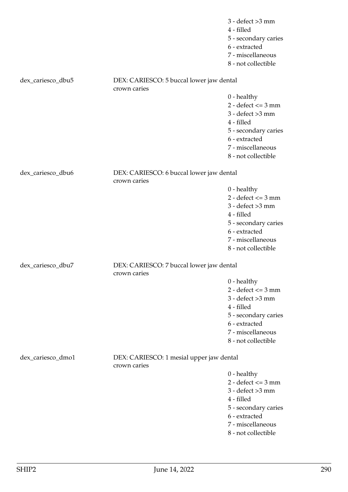|                   |                                                          | $3 - defect > 3 mm$<br>4 - filled<br>5 - secondary caries<br>6 - extracted<br>7 - miscellaneous<br>8 - not collectible                                            |
|-------------------|----------------------------------------------------------|-------------------------------------------------------------------------------------------------------------------------------------------------------------------|
| dex_cariesco_dbu5 | DEX: CARIESCO: 5 buccal lower jaw dental<br>crown caries |                                                                                                                                                                   |
|                   |                                                          | $0$ - healthy<br>$2 - defect \le 3 mm$<br>$3 - defect > 3 mm$<br>4 - filled<br>5 - secondary caries<br>6 - extracted<br>7 - miscellaneous<br>8 - not collectible  |
| dex_cariesco_dbu6 | DEX: CARIESCO: 6 buccal lower jaw dental<br>crown caries |                                                                                                                                                                   |
|                   |                                                          | $0$ - healthy<br>$2 - defect \leq 3 mm$<br>$3 - defect > 3 mm$<br>4 - filled<br>5 - secondary caries<br>6 - extracted<br>7 - miscellaneous<br>8 - not collectible |
| dex_cariesco_dbu7 | DEX: CARIESCO: 7 buccal lower jaw dental<br>crown caries |                                                                                                                                                                   |
|                   |                                                          | $0$ - healthy<br>$2 - defect \le 3 mm$<br>$3 - defect > 3 mm$<br>4 - filled<br>5 - secondary caries<br>6 - extracted<br>7 - miscellaneous<br>8 - not collectible  |
| dex_cariesco_dmo1 | DEX: CARIESCO: 1 mesial upper jaw dental<br>crown caries |                                                                                                                                                                   |
|                   |                                                          | $0$ - healthy<br>$2 - defect \le 3 mm$<br>$3 - defect > 3 mm$<br>4 - filled<br>5 - secondary caries<br>6 - extracted<br>7 - miscellaneous<br>8 - not collectible  |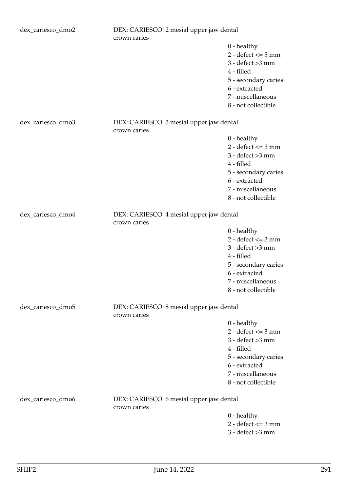| dex_cariesco_dmo2 | DEX: CARIESCO: 2 mesial upper jaw dental |                       |
|-------------------|------------------------------------------|-----------------------|
|                   | crown caries                             |                       |
|                   |                                          | $0$ - healthy         |
|                   |                                          | $2 - defect \le 3 mm$ |
|                   |                                          | $3 - defect > 3 mm$   |
|                   |                                          | 4 - filled            |
|                   |                                          | 5 - secondary caries  |
|                   |                                          | 6 - extracted         |
|                   |                                          | 7 - miscellaneous     |
|                   |                                          | 8 - not collectible   |
|                   |                                          |                       |
| dex_cariesco_dmo3 | DEX: CARIESCO: 3 mesial upper jaw dental |                       |
|                   | crown caries                             |                       |
|                   |                                          | $0$ - healthy         |
|                   |                                          | $2 - defect \le 3 mm$ |
|                   |                                          | $3 - defect > 3 mm$   |
|                   |                                          | 4 - filled            |
|                   |                                          | 5 - secondary caries  |
|                   |                                          | 6 - extracted         |
|                   |                                          | 7 - miscellaneous     |
|                   |                                          | 8 - not collectible   |
|                   |                                          |                       |
| dex_cariesco_dmo4 | DEX: CARIESCO: 4 mesial upper jaw dental |                       |
|                   | crown caries                             |                       |
|                   |                                          | $0$ - healthy         |
|                   |                                          | $2 - defect \le 3 mm$ |
|                   |                                          | $3 - defect > 3 mm$   |
|                   |                                          | 4 - filled            |
|                   |                                          | 5 - secondary caries  |
|                   |                                          | 6 - extracted         |
|                   |                                          | 7 - miscellaneous     |
|                   |                                          |                       |
|                   |                                          | 8 - not collectible   |
| dex_cariesco_dmo5 | DEX: CARIESCO: 5 mesial upper jaw dental |                       |
|                   | crown caries                             |                       |
|                   |                                          | $0$ - healthy         |
|                   |                                          | $2 - defect \le 3 mm$ |
|                   |                                          | $3 - defect > 3 mm$   |
|                   |                                          | 4 - filled            |
|                   |                                          | 5 - secondary caries  |
|                   |                                          | 6 - extracted         |
|                   |                                          | 7 - miscellaneous     |
|                   |                                          | 8 - not collectible   |
|                   |                                          |                       |
| dex_cariesco_dmo6 | DEX: CARIESCO: 6 mesial upper jaw dental |                       |
|                   | crown caries                             |                       |
|                   |                                          | $0$ - healthy         |
|                   |                                          | $2 - defect \le 3 mm$ |
|                   |                                          | $3 - defect > 3 mm$   |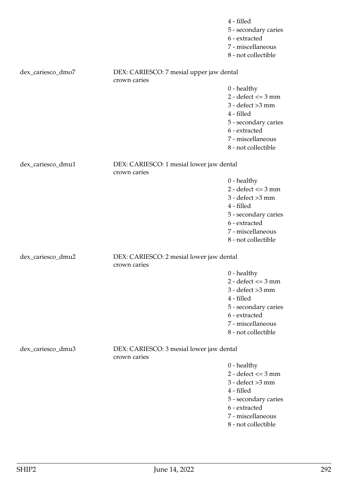|                   |                                                          | 4 - filled<br>5 - secondary caries<br>6 - extracted<br>7 - miscellaneous<br>8 - not collectible                                                                  |
|-------------------|----------------------------------------------------------|------------------------------------------------------------------------------------------------------------------------------------------------------------------|
| dex_cariesco_dmo7 | DEX: CARIESCO: 7 mesial upper jaw dental<br>crown caries |                                                                                                                                                                  |
|                   |                                                          | $0$ - healthy<br>$2 - defect \le 3 mm$<br>$3 - defect > 3 mm$<br>4 - filled<br>5 - secondary caries<br>6 - extracted<br>7 - miscellaneous<br>8 - not collectible |
| dex_cariesco_dmu1 | DEX: CARIESCO: 1 mesial lower jaw dental<br>crown caries |                                                                                                                                                                  |
|                   |                                                          | $0$ - healthy<br>$2 - defect \le 3 mm$<br>$3 - defect > 3 mm$<br>4 - filled<br>5 - secondary caries<br>6 - extracted<br>7 - miscellaneous<br>8 - not collectible |
| dex_cariesco_dmu2 | DEX: CARIESCO: 2 mesial lower jaw dental<br>crown caries |                                                                                                                                                                  |
|                   |                                                          | $0$ - healthy<br>$2 - defect \le 3 mm$<br>$3 - defect > 3 mm$<br>4 - filled<br>5 - secondary caries<br>6 - extracted<br>7 - miscellaneous<br>8 - not collectible |
| dex_cariesco_dmu3 | DEX: CARIESCO: 3 mesial lower jaw dental<br>crown caries |                                                                                                                                                                  |
|                   |                                                          | $0$ - healthy<br>$2 - defect \le 3 mm$<br>$3 - defect > 3 mm$<br>4 - filled<br>5 - secondary caries<br>6 - extracted<br>7 - miscellaneous<br>8 - not collectible |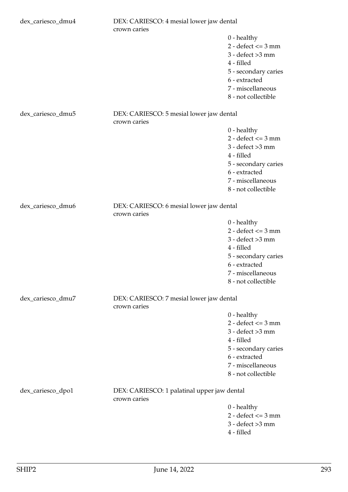| dex_cariesco_dmu4 | DEX: CARIESCO: 4 mesial lower jaw dental<br>crown caries    |                                                                                                                                                                  |
|-------------------|-------------------------------------------------------------|------------------------------------------------------------------------------------------------------------------------------------------------------------------|
|                   |                                                             | $0$ - healthy<br>$2 - defect \le 3 mm$<br>$3 - defect > 3 mm$<br>4 - filled<br>5 - secondary caries<br>6 - extracted<br>7 - miscellaneous<br>8 - not collectible |
| dex_cariesco_dmu5 | DEX: CARIESCO: 5 mesial lower jaw dental<br>crown caries    |                                                                                                                                                                  |
|                   |                                                             | $0$ - healthy<br>$2 - defect \le 3 mm$<br>$3 - defect > 3 mm$<br>4 - filled<br>5 - secondary caries<br>6 - extracted<br>7 - miscellaneous<br>8 - not collectible |
| dex_cariesco_dmu6 | DEX: CARIESCO: 6 mesial lower jaw dental<br>crown caries    |                                                                                                                                                                  |
|                   |                                                             | $0$ - healthy<br>$2 - defect \le 3 mm$<br>$3 - defect > 3 mm$<br>4 - filled<br>5 - secondary caries<br>6 - extracted<br>7 - miscellaneous<br>8 - not collectible |
| dex_cariesco_dmu7 | DEX: CARIESCO: 7 mesial lower jaw dental<br>crown caries    |                                                                                                                                                                  |
|                   |                                                             | $0$ - healthy<br>$2 - defect \le 3 mm$<br>$3 - defect > 3 mm$<br>4 - filled<br>5 - secondary caries<br>6 - extracted<br>7 - miscellaneous<br>8 - not collectible |
| dex_cariesco_dpo1 | DEX: CARIESCO: 1 palatinal upper jaw dental<br>crown caries |                                                                                                                                                                  |
|                   |                                                             | $0$ - healthy<br>$2 - defect \le 3 mm$<br>$3 - defect > 3 mm$<br>4 - filled                                                                                      |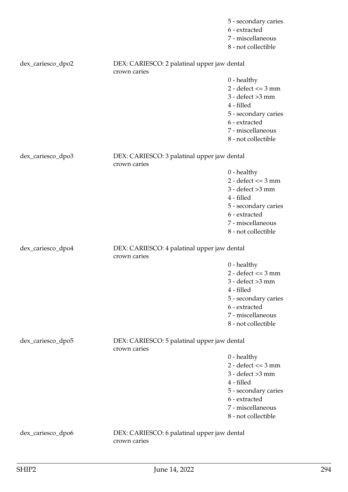|                   |                                                             | 5 - secondary caries<br>6 - extracted<br>7 - miscellaneous<br>8 - not collectible |
|-------------------|-------------------------------------------------------------|-----------------------------------------------------------------------------------|
| dex_cariesco_dpo2 | DEX: CARIESCO: 2 palatinal upper jaw dental<br>crown caries |                                                                                   |
|                   |                                                             | $0$ - healthy                                                                     |
|                   |                                                             | $2 - defect \le 3 mm$                                                             |
|                   |                                                             | $3 - defect > 3 mm$                                                               |
|                   |                                                             | 4 - filled                                                                        |
|                   |                                                             | 5 - secondary caries                                                              |
|                   |                                                             | 6 - extracted                                                                     |
|                   |                                                             | 7 - miscellaneous                                                                 |
|                   |                                                             | 8 - not collectible                                                               |
| dex_cariesco_dpo3 | DEX: CARIESCO: 3 palatinal upper jaw dental<br>crown caries |                                                                                   |
|                   |                                                             | $0$ - healthy                                                                     |
|                   |                                                             | $2 - defect \le 3 mm$                                                             |
|                   |                                                             | $3 -$ defect $>3$ mm                                                              |
|                   |                                                             | 4 - filled                                                                        |
|                   |                                                             | 5 - secondary caries                                                              |
|                   |                                                             | 6 - extracted                                                                     |
|                   |                                                             | 7 - miscellaneous                                                                 |
|                   |                                                             | 8 - not collectible                                                               |
| dex_cariesco_dpo4 | DEX: CARIESCO: 4 palatinal upper jaw dental<br>crown caries |                                                                                   |
|                   |                                                             | $0$ - healthy                                                                     |
|                   |                                                             | $2 - defect \le 3 mm$                                                             |
|                   |                                                             | $3 -$ defect $>3$ mm                                                              |
|                   |                                                             | 4 - filled                                                                        |
|                   |                                                             | 5 - secondary caries                                                              |
|                   |                                                             | 6 - extracted                                                                     |
|                   |                                                             | 7 - miscellaneous                                                                 |
|                   |                                                             | 8 - not collectible                                                               |
| dex_cariesco_dpo5 | DEX: CARIESCO: 5 palatinal upper jaw dental<br>crown caries |                                                                                   |
|                   |                                                             | $0$ - healthy                                                                     |
|                   |                                                             | $2 - defect \le 3 mm$                                                             |
|                   |                                                             | $3 - defect > 3 mm$                                                               |
|                   |                                                             | 4 - filled                                                                        |
|                   |                                                             | 5 - secondary caries                                                              |
|                   |                                                             | 6 - extracted                                                                     |
|                   |                                                             | 7 - miscellaneous                                                                 |
|                   |                                                             | 8 - not collectible                                                               |
| dex_cariesco_dpo6 | DEX: CARIESCO: 6 palatinal upper jaw dental<br>crown caries |                                                                                   |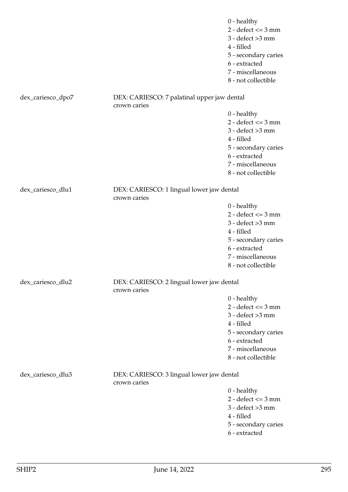|                   |                                                             | $0$ - healthy<br>$2 - defect \le 3 mm$<br>$3 - defect > 3 mm$<br>4 - filled<br>5 - secondary caries<br>6 - extracted<br>7 - miscellaneous<br>8 - not collectible |
|-------------------|-------------------------------------------------------------|------------------------------------------------------------------------------------------------------------------------------------------------------------------|
| dex_cariesco_dpo7 | DEX: CARIESCO: 7 palatinal upper jaw dental<br>crown caries |                                                                                                                                                                  |
|                   |                                                             | $0$ - healthy                                                                                                                                                    |
|                   |                                                             | $2 - defect \le 3 mm$                                                                                                                                            |
|                   |                                                             | $3 - defect > 3 mm$                                                                                                                                              |
|                   |                                                             | 4 - filled                                                                                                                                                       |
|                   |                                                             | 5 - secondary caries                                                                                                                                             |
|                   |                                                             | 6 - extracted                                                                                                                                                    |
|                   |                                                             | 7 - miscellaneous<br>8 - not collectible                                                                                                                         |
|                   |                                                             |                                                                                                                                                                  |
| dex_cariesco_dlu1 | DEX: CARIESCO: 1 lingual lower jaw dental                   |                                                                                                                                                                  |
|                   | crown caries                                                | $0$ - healthy                                                                                                                                                    |
|                   |                                                             | $2 - defect \le 3 mm$                                                                                                                                            |
|                   |                                                             | $3 - defect > 3 mm$                                                                                                                                              |
|                   |                                                             | 4 - filled                                                                                                                                                       |
|                   |                                                             | 5 - secondary caries                                                                                                                                             |
|                   |                                                             | 6 - extracted                                                                                                                                                    |
|                   |                                                             | 7 - miscellaneous                                                                                                                                                |
|                   |                                                             | 8 - not collectible                                                                                                                                              |
| dex_cariesco_dlu2 | DEX: CARIESCO: 2 lingual lower jaw dental<br>crown caries   |                                                                                                                                                                  |
|                   |                                                             | $0$ - healthy                                                                                                                                                    |
|                   |                                                             | $2 - defect \le 3 mm$                                                                                                                                            |
|                   |                                                             | $3 - defect > 3 mm$                                                                                                                                              |
|                   |                                                             | 4 - filled                                                                                                                                                       |
|                   |                                                             | 5 - secondary caries                                                                                                                                             |
|                   |                                                             | 6 - extracted<br>7 - miscellaneous                                                                                                                               |
|                   |                                                             | 8 - not collectible                                                                                                                                              |
|                   |                                                             |                                                                                                                                                                  |
| dex_cariesco_dlu3 | DEX: CARIESCO: 3 lingual lower jaw dental<br>crown caries   |                                                                                                                                                                  |
|                   |                                                             | $0$ - healthy                                                                                                                                                    |
|                   |                                                             | $2 - defect \le 3 mm$                                                                                                                                            |
|                   |                                                             | $3 - defect > 3 mm$                                                                                                                                              |
|                   |                                                             | 4 - filled                                                                                                                                                       |
|                   |                                                             | 5 - secondary caries                                                                                                                                             |

6 - extracted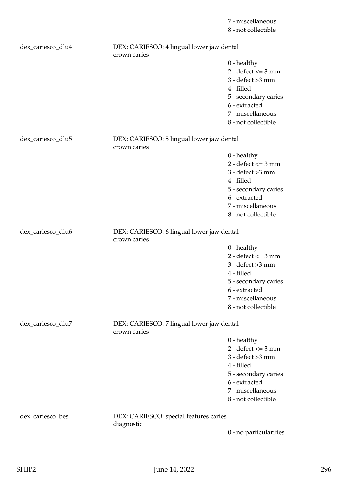7 - miscellaneous 8 - not collectible

| dex_cariesco_dlu4 | DEX: CARIESCO: 4 lingual lower jaw dental<br>crown caries |                                                                                                                                                                  |
|-------------------|-----------------------------------------------------------|------------------------------------------------------------------------------------------------------------------------------------------------------------------|
|                   |                                                           | $0$ - healthy<br>$2 - defect \le 3 mm$<br>$3 - defect > 3 mm$<br>4 - filled<br>5 - secondary caries<br>6 - extracted<br>7 - miscellaneous<br>8 - not collectible |
| dex_cariesco_dlu5 | DEX: CARIESCO: 5 lingual lower jaw dental<br>crown caries |                                                                                                                                                                  |
|                   |                                                           | $0$ - healthy<br>$2 - defect \le 3 mm$<br>$3 - defect > 3 mm$<br>4 - filled<br>5 - secondary caries<br>6 - extracted<br>7 - miscellaneous<br>8 - not collectible |
| dex_cariesco_dlu6 | DEX: CARIESCO: 6 lingual lower jaw dental<br>crown caries |                                                                                                                                                                  |
|                   |                                                           | $0$ - healthy<br>$2 - defect \le 3 mm$<br>$3 - defect > 3 mm$<br>4 - filled<br>5 - secondary caries<br>6 - extracted<br>7 - miscellaneous<br>8 - not collectible |
| dex_cariesco_dlu7 | DEX: CARIESCO: 7 lingual lower jaw dental<br>crown caries |                                                                                                                                                                  |
|                   |                                                           | $0$ - healthy<br>$2 - defect \le 3 mm$<br>$3 - defect > 3 mm$<br>4 - filled<br>5 - secondary caries<br>6 - extracted<br>7 - miscellaneous<br>8 - not collectible |
| dex_cariesco_bes  | DEX: CARIESCO: special features caries<br>diagnostic      |                                                                                                                                                                  |
|                   |                                                           | 0 - no particularities                                                                                                                                           |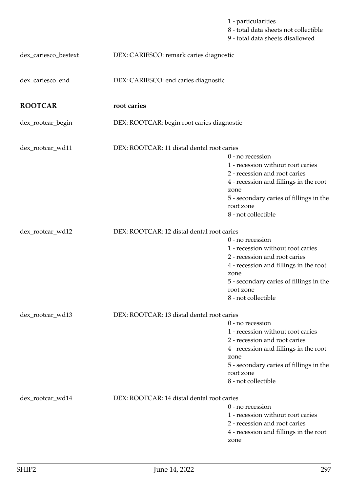|                      |                                            | 1 - particularities<br>8 - total data sheets not collectible<br>9 - total data sheets disallowed                                                                                                                          |
|----------------------|--------------------------------------------|---------------------------------------------------------------------------------------------------------------------------------------------------------------------------------------------------------------------------|
| dex_cariesco_bestext | DEX: CARIESCO: remark caries diagnostic    |                                                                                                                                                                                                                           |
| dex_cariesco_end     | DEX: CARIESCO: end caries diagnostic       |                                                                                                                                                                                                                           |
| <b>ROOTCAR</b>       | root caries                                |                                                                                                                                                                                                                           |
| dex_rootcar_begin    | DEX: ROOTCAR: begin root caries diagnostic |                                                                                                                                                                                                                           |
| dex_rootcar_wd11     | DEX: ROOTCAR: 11 distal dental root caries | $0$ - no recession                                                                                                                                                                                                        |
|                      |                                            | 1 - recession without root caries<br>2 - recession and root caries<br>4 - recession and fillings in the root<br>zone<br>5 - secondary caries of fillings in the<br>root zone<br>8 - not collectible                       |
| dex_rootcar_wd12     | DEX: ROOTCAR: 12 distal dental root caries | $0$ - no recession<br>1 - recession without root caries<br>2 - recession and root caries<br>4 - recession and fillings in the root<br>zone<br>5 - secondary caries of fillings in the<br>root zone<br>8 - not collectible |
| dex_rootcar_wd13     | DEX: ROOTCAR: 13 distal dental root caries | $0$ - no recession<br>1 - recession without root caries<br>2 - recession and root caries<br>4 - recession and fillings in the root<br>zone<br>5 - secondary caries of fillings in the<br>root zone<br>8 - not collectible |
| dex_rootcar_wd14     | DEX: ROOTCAR: 14 distal dental root caries | 0 - no recession<br>1 - recession without root caries<br>2 - recession and root caries<br>4 - recession and fillings in the root                                                                                          |

zone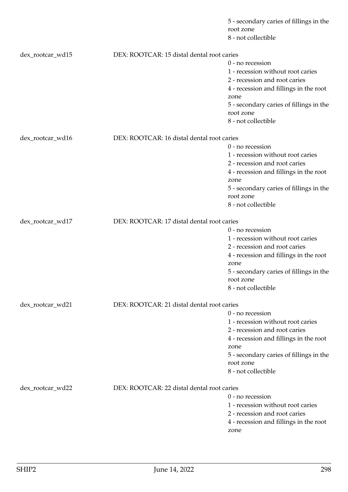|                  |                                            | 5 - secondary caries of fillings in the<br>root zone<br>8 - not collectible |
|------------------|--------------------------------------------|-----------------------------------------------------------------------------|
| dex_rootcar_wd15 | DEX: ROOTCAR: 15 distal dental root caries |                                                                             |
|                  |                                            | 0 - no recession                                                            |
|                  |                                            | 1 - recession without root caries                                           |
|                  |                                            | 2 - recession and root caries                                               |
|                  |                                            | 4 - recession and fillings in the root                                      |
|                  |                                            | zone                                                                        |
|                  |                                            | 5 - secondary caries of fillings in the                                     |
|                  |                                            | root zone                                                                   |
|                  |                                            | 8 - not collectible                                                         |
| dex_rootcar_wd16 | DEX: ROOTCAR: 16 distal dental root caries |                                                                             |
|                  |                                            | 0 - no recession                                                            |
|                  |                                            | 1 - recession without root caries                                           |
|                  |                                            | 2 - recession and root caries                                               |
|                  |                                            | 4 - recession and fillings in the root                                      |
|                  |                                            | zone                                                                        |
|                  |                                            | 5 - secondary caries of fillings in the                                     |
|                  |                                            | root zone                                                                   |
|                  |                                            | 8 - not collectible                                                         |
| dex_rootcar_wd17 | DEX: ROOTCAR: 17 distal dental root caries |                                                                             |
|                  |                                            | 0 - no recession                                                            |
|                  |                                            | 1 - recession without root caries                                           |
|                  |                                            | 2 - recession and root caries                                               |
|                  |                                            | 4 - recession and fillings in the root                                      |
|                  |                                            | zone                                                                        |
|                  |                                            | 5 - secondary caries of fillings in the                                     |
|                  |                                            | root zone                                                                   |
|                  |                                            | 8 - not collectible                                                         |
| dex_rootcar_wd21 | DEX: ROOTCAR: 21 distal dental root caries |                                                                             |
|                  |                                            | $0$ - no recession                                                          |
|                  |                                            | 1 - recession without root caries                                           |
|                  |                                            | 2 - recession and root caries                                               |
|                  |                                            | 4 - recession and fillings in the root                                      |
|                  |                                            | zone                                                                        |
|                  |                                            | 5 - secondary caries of fillings in the                                     |
|                  |                                            | root zone<br>8 - not collectible                                            |
|                  |                                            |                                                                             |
| dex_rootcar_wd22 | DEX: ROOTCAR: 22 distal dental root caries |                                                                             |
|                  |                                            | 0 - no recession                                                            |
|                  |                                            | 1 - recession without root caries                                           |
|                  |                                            | 2 - recession and root caries                                               |
|                  |                                            | 4 - recession and fillings in the root                                      |
|                  |                                            | zone                                                                        |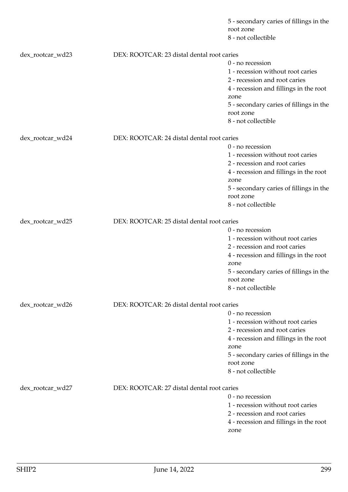|                  |                                            | 5 - secondary caries of fillings in the<br>root zone<br>8 - not collectible |
|------------------|--------------------------------------------|-----------------------------------------------------------------------------|
|                  |                                            |                                                                             |
| dex_rootcar_wd23 | DEX: ROOTCAR: 23 distal dental root caries |                                                                             |
|                  |                                            | 0 - no recession                                                            |
|                  |                                            | 1 - recession without root caries                                           |
|                  |                                            | 2 - recession and root caries                                               |
|                  |                                            | 4 - recession and fillings in the root                                      |
|                  |                                            | zone                                                                        |
|                  |                                            | 5 - secondary caries of fillings in the                                     |
|                  |                                            | root zone                                                                   |
|                  |                                            | 8 - not collectible                                                         |
| dex_rootcar_wd24 | DEX: ROOTCAR: 24 distal dental root caries |                                                                             |
|                  |                                            | 0 - no recession                                                            |
|                  |                                            | 1 - recession without root caries                                           |
|                  |                                            | 2 - recession and root caries                                               |
|                  |                                            | 4 - recession and fillings in the root                                      |
|                  |                                            | zone                                                                        |
|                  |                                            | 5 - secondary caries of fillings in the                                     |
|                  |                                            | root zone                                                                   |
|                  |                                            | 8 - not collectible                                                         |
| dex_rootcar_wd25 | DEX: ROOTCAR: 25 distal dental root caries |                                                                             |
|                  |                                            | 0 - no recession                                                            |
|                  |                                            | 1 - recession without root caries                                           |
|                  |                                            | 2 - recession and root caries                                               |
|                  |                                            | 4 - recession and fillings in the root                                      |
|                  |                                            | zone                                                                        |
|                  |                                            | 5 - secondary caries of fillings in the                                     |
|                  |                                            | root zone                                                                   |
|                  |                                            | 8 - not collectible                                                         |
| dex_rootcar_wd26 | DEX: ROOTCAR: 26 distal dental root caries |                                                                             |
|                  |                                            | $0$ - no recession                                                          |
|                  |                                            | 1 - recession without root caries                                           |
|                  |                                            | 2 - recession and root caries                                               |
|                  |                                            | 4 - recession and fillings in the root                                      |
|                  |                                            | zone                                                                        |
|                  |                                            | 5 - secondary caries of fillings in the                                     |
|                  |                                            | root zone                                                                   |
|                  |                                            | 8 - not collectible                                                         |
| dex_rootcar_wd27 | DEX: ROOTCAR: 27 distal dental root caries |                                                                             |
|                  |                                            | 0 - no recession                                                            |
|                  |                                            | 1 - recession without root caries                                           |
|                  |                                            | 2 - recession and root caries                                               |
|                  |                                            | 4 - recession and fillings in the root                                      |
|                  |                                            | zone                                                                        |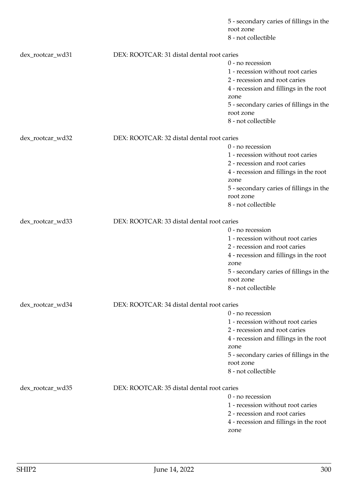|                  |                                            | 5 - secondary caries of fillings in the<br>root zone<br>8 - not collectible |
|------------------|--------------------------------------------|-----------------------------------------------------------------------------|
| dex_rootcar_wd31 | DEX: ROOTCAR: 31 distal dental root caries |                                                                             |
|                  |                                            | 0 - no recession                                                            |
|                  |                                            | 1 - recession without root caries                                           |
|                  |                                            | 2 - recession and root caries                                               |
|                  |                                            | 4 - recession and fillings in the root                                      |
|                  |                                            | zone                                                                        |
|                  |                                            | 5 - secondary caries of fillings in the                                     |
|                  |                                            | root zone                                                                   |
|                  |                                            | 8 - not collectible                                                         |
| dex_rootcar_wd32 | DEX: ROOTCAR: 32 distal dental root caries |                                                                             |
|                  |                                            | 0 - no recession                                                            |
|                  |                                            | 1 - recession without root caries                                           |
|                  |                                            | 2 - recession and root caries                                               |
|                  |                                            | 4 - recession and fillings in the root                                      |
|                  |                                            | zone                                                                        |
|                  |                                            | 5 - secondary caries of fillings in the                                     |
|                  |                                            | root zone                                                                   |
|                  |                                            | 8 - not collectible                                                         |
| dex_rootcar_wd33 | DEX: ROOTCAR: 33 distal dental root caries |                                                                             |
|                  |                                            | 0 - no recession                                                            |
|                  |                                            | 1 - recession without root caries                                           |
|                  |                                            | 2 - recession and root caries                                               |
|                  |                                            | 4 - recession and fillings in the root                                      |
|                  |                                            | zone                                                                        |
|                  |                                            | 5 - secondary caries of fillings in the                                     |
|                  |                                            | root zone                                                                   |
|                  |                                            | 8 - not collectible                                                         |
| dex_rootcar_wd34 | DEX: ROOTCAR: 34 distal dental root caries |                                                                             |
|                  |                                            | $0$ - no recession                                                          |
|                  |                                            | 1 - recession without root caries                                           |
|                  |                                            | 2 - recession and root caries                                               |
|                  |                                            | 4 - recession and fillings in the root                                      |
|                  |                                            | zone                                                                        |
|                  |                                            | 5 - secondary caries of fillings in the                                     |
|                  |                                            | root zone                                                                   |
|                  |                                            | 8 - not collectible                                                         |
| dex_rootcar_wd35 | DEX: ROOTCAR: 35 distal dental root caries |                                                                             |
|                  |                                            | 0 - no recession                                                            |
|                  |                                            | 1 - recession without root caries                                           |
|                  |                                            | 2 - recession and root caries                                               |
|                  |                                            | 4 - recession and fillings in the root                                      |
|                  |                                            | zone                                                                        |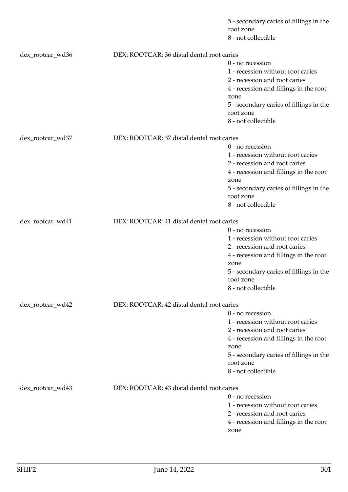|                  |                                            | 5 - secondary caries of fillings in the<br>root zone<br>8 - not collectible |
|------------------|--------------------------------------------|-----------------------------------------------------------------------------|
|                  |                                            |                                                                             |
| dex_rootcar_wd36 | DEX: ROOTCAR: 36 distal dental root caries |                                                                             |
|                  |                                            | 0 - no recession                                                            |
|                  |                                            | 1 - recession without root caries                                           |
|                  |                                            | 2 - recession and root caries                                               |
|                  |                                            | 4 - recession and fillings in the root                                      |
|                  |                                            | zone                                                                        |
|                  |                                            | 5 - secondary caries of fillings in the                                     |
|                  |                                            | root zone                                                                   |
|                  |                                            | 8 - not collectible                                                         |
| dex_rootcar_wd37 | DEX: ROOTCAR: 37 distal dental root caries |                                                                             |
|                  |                                            | 0 - no recession                                                            |
|                  |                                            | 1 - recession without root caries                                           |
|                  |                                            | 2 - recession and root caries                                               |
|                  |                                            | 4 - recession and fillings in the root                                      |
|                  |                                            | zone                                                                        |
|                  |                                            | 5 - secondary caries of fillings in the                                     |
|                  |                                            | root zone                                                                   |
|                  |                                            | 8 - not collectible                                                         |
| dex_rootcar_wd41 | DEX: ROOTCAR: 41 distal dental root caries |                                                                             |
|                  |                                            | 0 - no recession                                                            |
|                  |                                            | 1 - recession without root caries                                           |
|                  |                                            | 2 - recession and root caries                                               |
|                  |                                            | 4 - recession and fillings in the root                                      |
|                  |                                            | zone                                                                        |
|                  |                                            | 5 - secondary caries of fillings in the                                     |
|                  |                                            | root zone                                                                   |
|                  |                                            | 8 - not collectible                                                         |
| dex_rootcar_wd42 | DEX: ROOTCAR: 42 distal dental root caries |                                                                             |
|                  |                                            | $0$ - no recession                                                          |
|                  |                                            | 1 - recession without root caries                                           |
|                  |                                            | 2 - recession and root caries                                               |
|                  |                                            | 4 - recession and fillings in the root                                      |
|                  |                                            | zone                                                                        |
|                  |                                            | 5 - secondary caries of fillings in the                                     |
|                  |                                            | root zone                                                                   |
|                  |                                            | 8 - not collectible                                                         |
| dex_rootcar_wd43 | DEX: ROOTCAR: 43 distal dental root caries |                                                                             |
|                  |                                            | 0 - no recession                                                            |
|                  |                                            | 1 - recession without root caries                                           |
|                  |                                            | 2 - recession and root caries                                               |
|                  |                                            | 4 - recession and fillings in the root                                      |
|                  |                                            | zone                                                                        |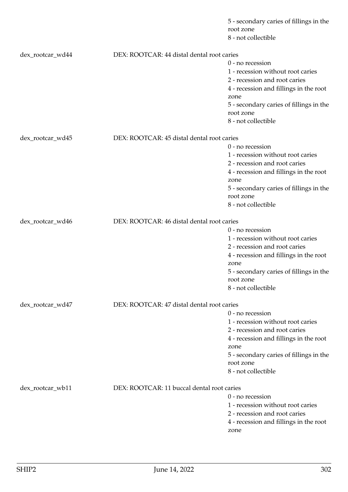|                  |                                            | 5 - secondary caries of fillings in the<br>root zone<br>8 - not collectible |
|------------------|--------------------------------------------|-----------------------------------------------------------------------------|
| dex_rootcar_wd44 | DEX: ROOTCAR: 44 distal dental root caries |                                                                             |
|                  |                                            | 0 - no recession                                                            |
|                  |                                            | 1 - recession without root caries                                           |
|                  |                                            | 2 - recession and root caries                                               |
|                  |                                            | 4 - recession and fillings in the root                                      |
|                  |                                            | zone                                                                        |
|                  |                                            | 5 - secondary caries of fillings in the                                     |
|                  |                                            | root zone                                                                   |
|                  |                                            | 8 - not collectible                                                         |
| dex_rootcar_wd45 | DEX: ROOTCAR: 45 distal dental root caries |                                                                             |
|                  |                                            | 0 - no recession                                                            |
|                  |                                            | 1 - recession without root caries                                           |
|                  |                                            | 2 - recession and root caries                                               |
|                  |                                            | 4 - recession and fillings in the root                                      |
|                  |                                            | zone                                                                        |
|                  |                                            | 5 - secondary caries of fillings in the                                     |
|                  |                                            | root zone<br>8 - not collectible                                            |
|                  |                                            |                                                                             |
| dex_rootcar_wd46 | DEX: ROOTCAR: 46 distal dental root caries |                                                                             |
|                  |                                            | 0 - no recession                                                            |
|                  |                                            | 1 - recession without root caries                                           |
|                  |                                            | 2 - recession and root caries                                               |
|                  |                                            | 4 - recession and fillings in the root                                      |
|                  |                                            | zone                                                                        |
|                  |                                            | 5 - secondary caries of fillings in the                                     |
|                  |                                            | root zone<br>8 - not collectible                                            |
|                  |                                            |                                                                             |
| dex_rootcar_wd47 | DEX: ROOTCAR: 47 distal dental root caries |                                                                             |
|                  |                                            | $0$ - no recession                                                          |
|                  |                                            | 1 - recession without root caries                                           |
|                  |                                            | 2 - recession and root caries                                               |
|                  |                                            | 4 - recession and fillings in the root                                      |
|                  |                                            | zone                                                                        |
|                  |                                            | 5 - secondary caries of fillings in the                                     |
|                  |                                            | root zone<br>8 - not collectible                                            |
|                  |                                            |                                                                             |
| dex_rootcar_wb11 | DEX: ROOTCAR: 11 buccal dental root caries |                                                                             |
|                  |                                            | $0$ - no recession                                                          |
|                  |                                            | 1 - recession without root caries                                           |
|                  |                                            | 2 - recession and root caries                                               |
|                  |                                            | 4 - recession and fillings in the root                                      |
|                  |                                            | zone                                                                        |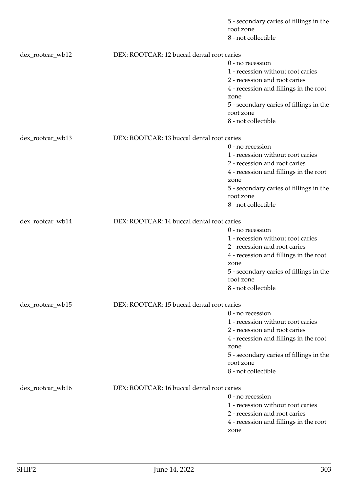|                  |                                            | 5 - secondary caries of fillings in the<br>root zone<br>8 - not collectible |
|------------------|--------------------------------------------|-----------------------------------------------------------------------------|
|                  |                                            |                                                                             |
| dex_rootcar_wb12 | DEX: ROOTCAR: 12 buccal dental root caries | 0 - no recession                                                            |
|                  |                                            | 1 - recession without root caries                                           |
|                  |                                            | 2 - recession and root caries                                               |
|                  |                                            | 4 - recession and fillings in the root                                      |
|                  |                                            | zone                                                                        |
|                  |                                            | 5 - secondary caries of fillings in the                                     |
|                  |                                            | root zone                                                                   |
|                  |                                            | 8 - not collectible                                                         |
| dex_rootcar_wb13 | DEX: ROOTCAR: 13 buccal dental root caries |                                                                             |
|                  |                                            | 0 - no recession                                                            |
|                  |                                            | 1 - recession without root caries                                           |
|                  |                                            | 2 - recession and root caries                                               |
|                  |                                            | 4 - recession and fillings in the root                                      |
|                  |                                            | zone                                                                        |
|                  |                                            | 5 - secondary caries of fillings in the                                     |
|                  |                                            | root zone                                                                   |
|                  |                                            | 8 - not collectible                                                         |
| dex_rootcar_wb14 | DEX: ROOTCAR: 14 buccal dental root caries |                                                                             |
|                  |                                            | 0 - no recession                                                            |
|                  |                                            | 1 - recession without root caries                                           |
|                  |                                            | 2 - recession and root caries                                               |
|                  |                                            | 4 - recession and fillings in the root                                      |
|                  |                                            | zone                                                                        |
|                  |                                            | 5 - secondary caries of fillings in the                                     |
|                  |                                            | root zone                                                                   |
|                  |                                            | 8 - not collectible                                                         |
| dex_rootcar_wb15 | DEX: ROOTCAR: 15 buccal dental root caries |                                                                             |
|                  |                                            | $0$ - no recession                                                          |
|                  |                                            | 1 - recession without root caries                                           |
|                  |                                            | 2 - recession and root caries                                               |
|                  |                                            | 4 - recession and fillings in the root                                      |
|                  |                                            | zone                                                                        |
|                  |                                            | 5 - secondary caries of fillings in the                                     |
|                  |                                            | root zone<br>8 - not collectible                                            |
|                  |                                            |                                                                             |
| dex_rootcar_wb16 | DEX: ROOTCAR: 16 buccal dental root caries |                                                                             |
|                  |                                            | $0$ - no recession                                                          |
|                  |                                            | 1 - recession without root caries                                           |
|                  |                                            | 2 - recession and root caries                                               |
|                  |                                            | 4 - recession and fillings in the root                                      |
|                  |                                            | zone                                                                        |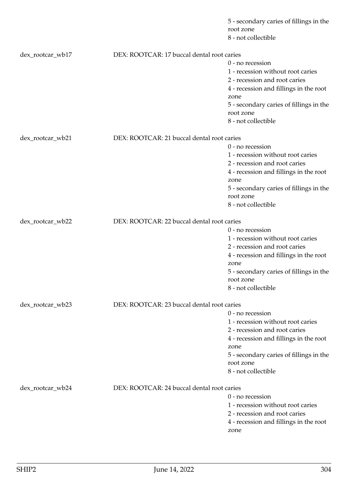|                  |                                            | 5 - secondary caries of fillings in the<br>root zone<br>8 - not collectible |
|------------------|--------------------------------------------|-----------------------------------------------------------------------------|
| dex_rootcar_wb17 | DEX: ROOTCAR: 17 buccal dental root caries |                                                                             |
|                  |                                            | 0 - no recession                                                            |
|                  |                                            | 1 - recession without root caries                                           |
|                  |                                            | 2 - recession and root caries                                               |
|                  |                                            | 4 - recession and fillings in the root                                      |
|                  |                                            | zone                                                                        |
|                  |                                            | 5 - secondary caries of fillings in the                                     |
|                  |                                            | root zone                                                                   |
|                  |                                            | 8 - not collectible                                                         |
| dex_rootcar_wb21 | DEX: ROOTCAR: 21 buccal dental root caries |                                                                             |
|                  |                                            | 0 - no recession                                                            |
|                  |                                            | 1 - recession without root caries                                           |
|                  |                                            | 2 - recession and root caries                                               |
|                  |                                            | 4 - recession and fillings in the root                                      |
|                  |                                            | zone                                                                        |
|                  |                                            | 5 - secondary caries of fillings in the                                     |
|                  |                                            | root zone                                                                   |
|                  |                                            | 8 - not collectible                                                         |
| dex_rootcar_wb22 | DEX: ROOTCAR: 22 buccal dental root caries |                                                                             |
|                  |                                            | 0 - no recession                                                            |
|                  |                                            | 1 - recession without root caries                                           |
|                  |                                            | 2 - recession and root caries                                               |
|                  |                                            | 4 - recession and fillings in the root                                      |
|                  |                                            | zone                                                                        |
|                  |                                            | 5 - secondary caries of fillings in the                                     |
|                  |                                            | root zone                                                                   |
|                  |                                            | 8 - not collectible                                                         |
| dex_rootcar_wb23 | DEX: ROOTCAR: 23 buccal dental root caries |                                                                             |
|                  |                                            | $0$ - no recession                                                          |
|                  |                                            | 1 - recession without root caries                                           |
|                  |                                            | 2 - recession and root caries                                               |
|                  |                                            | 4 - recession and fillings in the root                                      |
|                  |                                            | zone                                                                        |
|                  |                                            | 5 - secondary caries of fillings in the                                     |
|                  |                                            | root zone                                                                   |
|                  |                                            | 8 - not collectible                                                         |
| dex_rootcar_wb24 | DEX: ROOTCAR: 24 buccal dental root caries |                                                                             |
|                  |                                            | $0$ - no recession                                                          |
|                  |                                            | 1 - recession without root caries                                           |
|                  |                                            | 2 - recession and root caries                                               |
|                  |                                            | 4 - recession and fillings in the root                                      |
|                  |                                            | zone                                                                        |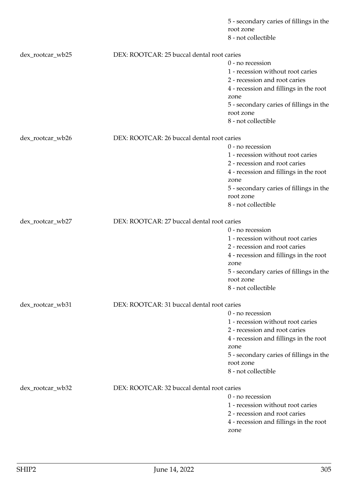|                  |                                            | 5 - secondary caries of fillings in the<br>root zone<br>8 - not collectible |
|------------------|--------------------------------------------|-----------------------------------------------------------------------------|
|                  | DEX: ROOTCAR: 25 buccal dental root caries |                                                                             |
| dex_rootcar_wb25 |                                            | 0 - no recession                                                            |
|                  |                                            | 1 - recession without root caries                                           |
|                  |                                            | 2 - recession and root caries                                               |
|                  |                                            | 4 - recession and fillings in the root                                      |
|                  |                                            | zone                                                                        |
|                  |                                            | 5 - secondary caries of fillings in the                                     |
|                  |                                            | root zone                                                                   |
|                  |                                            | 8 - not collectible                                                         |
| dex_rootcar_wb26 | DEX: ROOTCAR: 26 buccal dental root caries |                                                                             |
|                  |                                            | 0 - no recession                                                            |
|                  |                                            | 1 - recession without root caries                                           |
|                  |                                            | 2 - recession and root caries                                               |
|                  |                                            | 4 - recession and fillings in the root                                      |
|                  |                                            | zone                                                                        |
|                  |                                            | 5 - secondary caries of fillings in the                                     |
|                  |                                            | root zone                                                                   |
|                  |                                            | 8 - not collectible                                                         |
| dex_rootcar_wb27 | DEX: ROOTCAR: 27 buccal dental root caries |                                                                             |
|                  |                                            | 0 - no recession                                                            |
|                  |                                            | 1 - recession without root caries                                           |
|                  |                                            | 2 - recession and root caries                                               |
|                  |                                            | 4 - recession and fillings in the root                                      |
|                  |                                            | zone                                                                        |
|                  |                                            | 5 - secondary caries of fillings in the                                     |
|                  |                                            | root zone                                                                   |
|                  |                                            | 8 - not collectible                                                         |
| dex_rootcar_wb31 | DEX: ROOTCAR: 31 buccal dental root caries |                                                                             |
|                  |                                            | $0$ - no recession                                                          |
|                  |                                            | 1 - recession without root caries                                           |
|                  |                                            | 2 - recession and root caries                                               |
|                  |                                            | 4 - recession and fillings in the root                                      |
|                  |                                            | zone                                                                        |
|                  |                                            | 5 - secondary caries of fillings in the<br>root zone                        |
|                  |                                            | 8 - not collectible                                                         |
|                  |                                            |                                                                             |
| dex_rootcar_wb32 | DEX: ROOTCAR: 32 buccal dental root caries |                                                                             |
|                  |                                            | $0$ - no recession                                                          |
|                  |                                            | 1 - recession without root caries                                           |
|                  |                                            | 2 - recession and root caries                                               |
|                  |                                            | 4 - recession and fillings in the root                                      |
|                  |                                            | zone                                                                        |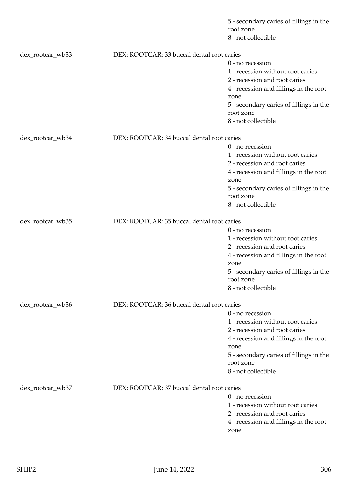|                  |                                            | 5 - secondary caries of fillings in the<br>root zone |
|------------------|--------------------------------------------|------------------------------------------------------|
|                  |                                            | 8 - not collectible                                  |
| dex_rootcar_wb33 | DEX: ROOTCAR: 33 buccal dental root caries |                                                      |
|                  |                                            | 0 - no recession                                     |
|                  |                                            | 1 - recession without root caries                    |
|                  |                                            | 2 - recession and root caries                        |
|                  |                                            | 4 - recession and fillings in the root               |
|                  |                                            | zone                                                 |
|                  |                                            | 5 - secondary caries of fillings in the              |
|                  |                                            | root zone                                            |
|                  |                                            | 8 - not collectible                                  |
| dex_rootcar_wb34 | DEX: ROOTCAR: 34 buccal dental root caries |                                                      |
|                  |                                            | 0 - no recession                                     |
|                  |                                            | 1 - recession without root caries                    |
|                  |                                            | 2 - recession and root caries                        |
|                  |                                            | 4 - recession and fillings in the root               |
|                  |                                            | zone                                                 |
|                  |                                            | 5 - secondary caries of fillings in the              |
|                  |                                            | root zone                                            |
|                  |                                            | 8 - not collectible                                  |
| dex_rootcar_wb35 | DEX: ROOTCAR: 35 buccal dental root caries |                                                      |
|                  |                                            | 0 - no recession                                     |
|                  |                                            | 1 - recession without root caries                    |
|                  |                                            | 2 - recession and root caries                        |
|                  |                                            | 4 - recession and fillings in the root               |
|                  |                                            | zone                                                 |
|                  |                                            | 5 - secondary caries of fillings in the              |
|                  |                                            | root zone                                            |
|                  |                                            | 8 - not collectible                                  |
| dex_rootcar_wb36 | DEX: ROOTCAR: 36 buccal dental root caries |                                                      |
|                  |                                            | $0$ - no recession                                   |
|                  |                                            | 1 - recession without root caries                    |
|                  |                                            | 2 - recession and root caries                        |
|                  |                                            | 4 - recession and fillings in the root               |
|                  |                                            | zone                                                 |
|                  |                                            | 5 - secondary caries of fillings in the              |
|                  |                                            | root zone                                            |
|                  |                                            | 8 - not collectible                                  |
| dex_rootcar_wb37 | DEX: ROOTCAR: 37 buccal dental root caries |                                                      |
|                  |                                            | $0$ - no recession                                   |
|                  |                                            | 1 - recession without root caries                    |
|                  |                                            | 2 - recession and root caries                        |
|                  |                                            | 4 - recession and fillings in the root               |
|                  |                                            | zone                                                 |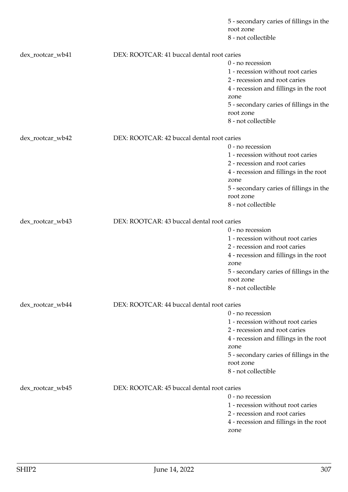|                  |                                            | 5 - secondary caries of fillings in the<br>root zone<br>8 - not collectible |
|------------------|--------------------------------------------|-----------------------------------------------------------------------------|
| dex_rootcar_wb41 | DEX: ROOTCAR: 41 buccal dental root caries |                                                                             |
|                  |                                            | 0 - no recession                                                            |
|                  |                                            | 1 - recession without root caries                                           |
|                  |                                            | 2 - recession and root caries                                               |
|                  |                                            | 4 - recession and fillings in the root                                      |
|                  |                                            | zone                                                                        |
|                  |                                            | 5 - secondary caries of fillings in the                                     |
|                  |                                            | root zone                                                                   |
|                  |                                            | 8 - not collectible                                                         |
| dex_rootcar_wb42 | DEX: ROOTCAR: 42 buccal dental root caries |                                                                             |
|                  |                                            | 0 - no recession                                                            |
|                  |                                            | 1 - recession without root caries                                           |
|                  |                                            | 2 - recession and root caries                                               |
|                  |                                            | 4 - recession and fillings in the root                                      |
|                  |                                            | zone                                                                        |
|                  |                                            | 5 - secondary caries of fillings in the                                     |
|                  |                                            | root zone                                                                   |
|                  |                                            | 8 - not collectible                                                         |
| dex_rootcar_wb43 | DEX: ROOTCAR: 43 buccal dental root caries |                                                                             |
|                  |                                            | 0 - no recession                                                            |
|                  |                                            | 1 - recession without root caries                                           |
|                  |                                            | 2 - recession and root caries                                               |
|                  |                                            | 4 - recession and fillings in the root                                      |
|                  |                                            | zone                                                                        |
|                  |                                            | 5 - secondary caries of fillings in the                                     |
|                  |                                            | root zone                                                                   |
|                  |                                            | 8 - not collectible                                                         |
| dex_rootcar_wb44 | DEX: ROOTCAR: 44 buccal dental root caries |                                                                             |
|                  |                                            | $0$ - no recession                                                          |
|                  |                                            | 1 - recession without root caries                                           |
|                  |                                            | 2 - recession and root caries                                               |
|                  |                                            | 4 - recession and fillings in the root                                      |
|                  |                                            | zone                                                                        |
|                  |                                            | 5 - secondary caries of fillings in the                                     |
|                  |                                            | root zone<br>8 - not collectible                                            |
|                  |                                            |                                                                             |
| dex_rootcar_wb45 | DEX: ROOTCAR: 45 buccal dental root caries |                                                                             |
|                  |                                            | $0$ - no recession                                                          |
|                  |                                            | 1 - recession without root caries                                           |
|                  |                                            | 2 - recession and root caries                                               |
|                  |                                            | 4 - recession and fillings in the root                                      |
|                  |                                            | zone                                                                        |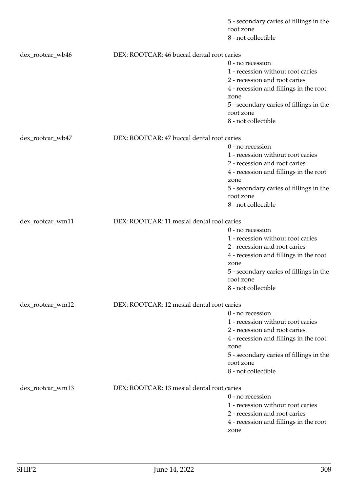|                  |                                            | 5 - secondary caries of fillings in the<br>root zone<br>8 - not collectible |
|------------------|--------------------------------------------|-----------------------------------------------------------------------------|
|                  |                                            |                                                                             |
| dex_rootcar_wb46 | DEX: ROOTCAR: 46 buccal dental root caries |                                                                             |
|                  |                                            | 0 - no recession                                                            |
|                  |                                            | 1 - recession without root caries                                           |
|                  |                                            | 2 - recession and root caries                                               |
|                  |                                            | 4 - recession and fillings in the root                                      |
|                  |                                            | zone                                                                        |
|                  |                                            | 5 - secondary caries of fillings in the                                     |
|                  |                                            | root zone<br>8 - not collectible                                            |
|                  |                                            |                                                                             |
| dex_rootcar_wb47 | DEX: ROOTCAR: 47 buccal dental root caries |                                                                             |
|                  |                                            | 0 - no recession                                                            |
|                  |                                            | 1 - recession without root caries                                           |
|                  |                                            | 2 - recession and root caries                                               |
|                  |                                            | 4 - recession and fillings in the root                                      |
|                  |                                            | zone                                                                        |
|                  |                                            | 5 - secondary caries of fillings in the                                     |
|                  |                                            | root zone                                                                   |
|                  |                                            | 8 - not collectible                                                         |
| dex_rootcar_wm11 | DEX: ROOTCAR: 11 mesial dental root caries |                                                                             |
|                  |                                            | 0 - no recession                                                            |
|                  |                                            | 1 - recession without root caries                                           |
|                  |                                            | 2 - recession and root caries                                               |
|                  |                                            | 4 - recession and fillings in the root                                      |
|                  |                                            | zone                                                                        |
|                  |                                            | 5 - secondary caries of fillings in the                                     |
|                  |                                            | root zone                                                                   |
|                  |                                            | 8 - not collectible                                                         |
| dex_rootcar_wm12 | DEX: ROOTCAR: 12 mesial dental root caries |                                                                             |
|                  |                                            | $0$ - no recession                                                          |
|                  |                                            | 1 - recession without root caries                                           |
|                  |                                            | 2 - recession and root caries                                               |
|                  |                                            | 4 - recession and fillings in the root                                      |
|                  |                                            | zone                                                                        |
|                  |                                            | 5 - secondary caries of fillings in the                                     |
|                  |                                            | root zone                                                                   |
|                  |                                            | 8 - not collectible                                                         |
| dex_rootcar_wm13 | DEX: ROOTCAR: 13 mesial dental root caries |                                                                             |
|                  |                                            | $0$ - no recession                                                          |
|                  |                                            | 1 - recession without root caries                                           |
|                  |                                            | 2 - recession and root caries                                               |
|                  |                                            | 4 - recession and fillings in the root                                      |
|                  |                                            | zone                                                                        |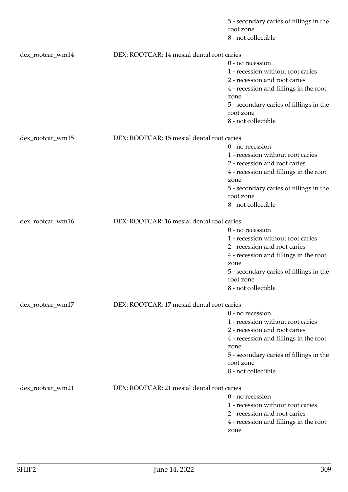|                  |                                            | 5 - secondary caries of fillings in the<br>root zone<br>8 - not collectible |
|------------------|--------------------------------------------|-----------------------------------------------------------------------------|
| dex_rootcar_wm14 | DEX: ROOTCAR: 14 mesial dental root caries |                                                                             |
|                  |                                            | 0 - no recession                                                            |
|                  |                                            | 1 - recession without root caries                                           |
|                  |                                            | 2 - recession and root caries                                               |
|                  |                                            | 4 - recession and fillings in the root                                      |
|                  |                                            | zone                                                                        |
|                  |                                            | 5 - secondary caries of fillings in the                                     |
|                  |                                            | root zone                                                                   |
|                  |                                            | 8 - not collectible                                                         |
| dex_rootcar_wm15 | DEX: ROOTCAR: 15 mesial dental root caries |                                                                             |
|                  |                                            | 0 - no recession                                                            |
|                  |                                            | 1 - recession without root caries                                           |
|                  |                                            | 2 - recession and root caries                                               |
|                  |                                            | 4 - recession and fillings in the root                                      |
|                  |                                            | zone                                                                        |
|                  |                                            | 5 - secondary caries of fillings in the                                     |
|                  |                                            | root zone                                                                   |
|                  |                                            | 8 - not collectible                                                         |
| dex_rootcar_wm16 | DEX: ROOTCAR: 16 mesial dental root caries |                                                                             |
|                  |                                            | 0 - no recession                                                            |
|                  |                                            | 1 - recession without root caries                                           |
|                  |                                            | 2 - recession and root caries                                               |
|                  |                                            | 4 - recession and fillings in the root                                      |
|                  |                                            | zone                                                                        |
|                  |                                            | 5 - secondary caries of fillings in the                                     |
|                  |                                            | root zone                                                                   |
|                  |                                            | 8 - not collectible                                                         |
| dex_rootcar_wm17 | DEX: ROOTCAR: 17 mesial dental root caries |                                                                             |
|                  |                                            | $0$ - no recession                                                          |
|                  |                                            | 1 - recession without root caries                                           |
|                  |                                            | 2 - recession and root caries                                               |
|                  |                                            | 4 - recession and fillings in the root                                      |
|                  |                                            | zone                                                                        |
|                  |                                            | 5 - secondary caries of fillings in the                                     |
|                  |                                            | root zone                                                                   |
|                  |                                            | 8 - not collectible                                                         |
| dex_rootcar_wm21 | DEX: ROOTCAR: 21 mesial dental root caries |                                                                             |
|                  |                                            | $0$ - no recession                                                          |
|                  |                                            | 1 - recession without root caries                                           |
|                  |                                            | 2 - recession and root caries                                               |
|                  |                                            | 4 - recession and fillings in the root                                      |
|                  |                                            | zone                                                                        |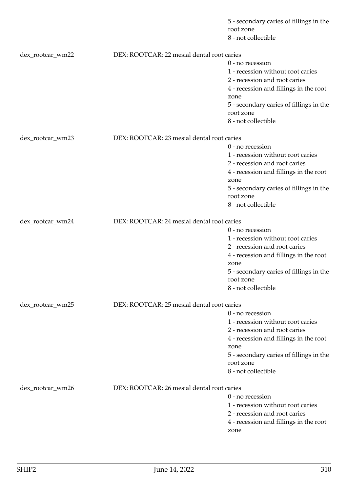|                  |                                            | 5 - secondary caries of fillings in the<br>root zone<br>8 - not collectible |
|------------------|--------------------------------------------|-----------------------------------------------------------------------------|
|                  |                                            |                                                                             |
| dex_rootcar_wm22 | DEX: ROOTCAR: 22 mesial dental root caries |                                                                             |
|                  |                                            | 0 - no recession                                                            |
|                  |                                            | 1 - recession without root caries                                           |
|                  |                                            | 2 - recession and root caries                                               |
|                  |                                            | 4 - recession and fillings in the root                                      |
|                  |                                            | zone                                                                        |
|                  |                                            | 5 - secondary caries of fillings in the<br>root zone                        |
|                  |                                            | 8 - not collectible                                                         |
|                  |                                            |                                                                             |
| dex_rootcar_wm23 | DEX: ROOTCAR: 23 mesial dental root caries |                                                                             |
|                  |                                            | 0 - no recession                                                            |
|                  |                                            | 1 - recession without root caries                                           |
|                  |                                            | 2 - recession and root caries                                               |
|                  |                                            | 4 - recession and fillings in the root                                      |
|                  |                                            | zone                                                                        |
|                  |                                            | 5 - secondary caries of fillings in the                                     |
|                  |                                            | root zone                                                                   |
|                  |                                            | 8 - not collectible                                                         |
| dex_rootcar_wm24 | DEX: ROOTCAR: 24 mesial dental root caries |                                                                             |
|                  |                                            | 0 - no recession                                                            |
|                  |                                            | 1 - recession without root caries                                           |
|                  |                                            | 2 - recession and root caries                                               |
|                  |                                            | 4 - recession and fillings in the root                                      |
|                  |                                            | zone                                                                        |
|                  |                                            | 5 - secondary caries of fillings in the                                     |
|                  |                                            | root zone                                                                   |
|                  |                                            | 8 - not collectible                                                         |
|                  |                                            |                                                                             |
| dex_rootcar_wm25 | DEX: ROOTCAR: 25 mesial dental root caries |                                                                             |
|                  |                                            | $0$ - no recession                                                          |
|                  |                                            | 1 - recession without root caries<br>2 - recession and root caries          |
|                  |                                            |                                                                             |
|                  |                                            | 4 - recession and fillings in the root<br>zone                              |
|                  |                                            | 5 - secondary caries of fillings in the                                     |
|                  |                                            | root zone                                                                   |
|                  |                                            | 8 - not collectible                                                         |
|                  |                                            |                                                                             |
| dex_rootcar_wm26 | DEX: ROOTCAR: 26 mesial dental root caries |                                                                             |
|                  |                                            | $0$ - no recession                                                          |
|                  |                                            | 1 - recession without root caries                                           |
|                  |                                            | 2 - recession and root caries                                               |
|                  |                                            | 4 - recession and fillings in the root                                      |
|                  |                                            | zone                                                                        |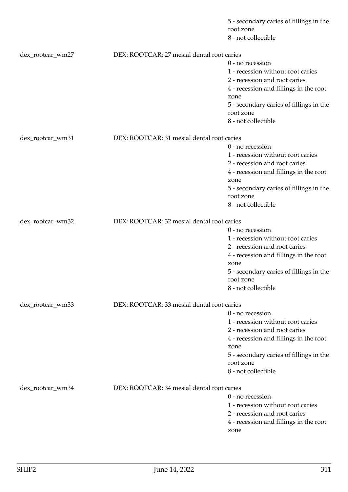|                  |                                            | 5 - secondary caries of fillings in the<br>root zone<br>8 - not collectible |
|------------------|--------------------------------------------|-----------------------------------------------------------------------------|
| dex_rootcar_wm27 | DEX: ROOTCAR: 27 mesial dental root caries |                                                                             |
|                  |                                            | 0 - no recession                                                            |
|                  |                                            | 1 - recession without root caries                                           |
|                  |                                            | 2 - recession and root caries                                               |
|                  |                                            | 4 - recession and fillings in the root                                      |
|                  |                                            | zone                                                                        |
|                  |                                            | 5 - secondary caries of fillings in the                                     |
|                  |                                            | root zone                                                                   |
|                  |                                            | 8 - not collectible                                                         |
| dex_rootcar_wm31 | DEX: ROOTCAR: 31 mesial dental root caries |                                                                             |
|                  |                                            | 0 - no recession                                                            |
|                  |                                            | 1 - recession without root caries                                           |
|                  |                                            | 2 - recession and root caries                                               |
|                  |                                            | 4 - recession and fillings in the root                                      |
|                  |                                            | zone                                                                        |
|                  |                                            | 5 - secondary caries of fillings in the                                     |
|                  |                                            | root zone                                                                   |
|                  |                                            | 8 - not collectible                                                         |
| dex_rootcar_wm32 | DEX: ROOTCAR: 32 mesial dental root caries |                                                                             |
|                  |                                            | 0 - no recession                                                            |
|                  |                                            | 1 - recession without root caries                                           |
|                  |                                            | 2 - recession and root caries                                               |
|                  |                                            | 4 - recession and fillings in the root                                      |
|                  |                                            | zone                                                                        |
|                  |                                            | 5 - secondary caries of fillings in the                                     |
|                  |                                            | root zone<br>8 - not collectible                                            |
|                  |                                            |                                                                             |
| dex_rootcar_wm33 | DEX: ROOTCAR: 33 mesial dental root caries |                                                                             |
|                  |                                            | $0$ - no recession                                                          |
|                  |                                            | 1 - recession without root caries                                           |
|                  |                                            | 2 - recession and root caries                                               |
|                  |                                            | 4 - recession and fillings in the root                                      |
|                  |                                            | zone                                                                        |
|                  |                                            | 5 - secondary caries of fillings in the                                     |
|                  |                                            | root zone<br>8 - not collectible                                            |
|                  |                                            |                                                                             |
| dex_rootcar_wm34 | DEX: ROOTCAR: 34 mesial dental root caries |                                                                             |
|                  |                                            | $0$ - no recession                                                          |
|                  |                                            | 1 - recession without root caries                                           |
|                  |                                            | 2 - recession and root caries                                               |
|                  |                                            | 4 - recession and fillings in the root                                      |
|                  |                                            | zone                                                                        |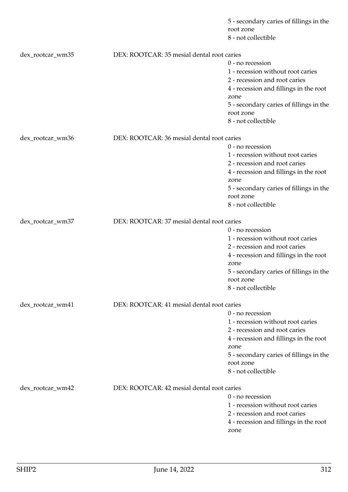|                  |                                            | 5 - secondary caries of fillings in the<br>root zone<br>8 - not collectible |
|------------------|--------------------------------------------|-----------------------------------------------------------------------------|
| dex_rootcar_wm35 | DEX: ROOTCAR: 35 mesial dental root caries |                                                                             |
|                  |                                            | 0 - no recession                                                            |
|                  |                                            | 1 - recession without root caries                                           |
|                  |                                            | 2 - recession and root caries                                               |
|                  |                                            | 4 - recession and fillings in the root                                      |
|                  |                                            | zone                                                                        |
|                  |                                            | 5 - secondary caries of fillings in the                                     |
|                  |                                            | root zone                                                                   |
|                  |                                            | 8 - not collectible                                                         |
| dex_rootcar_wm36 | DEX: ROOTCAR: 36 mesial dental root caries |                                                                             |
|                  |                                            | 0 - no recession                                                            |
|                  |                                            | 1 - recession without root caries                                           |
|                  |                                            | 2 - recession and root caries                                               |
|                  |                                            | 4 - recession and fillings in the root                                      |
|                  |                                            | zone                                                                        |
|                  |                                            | 5 - secondary caries of fillings in the                                     |
|                  |                                            | root zone                                                                   |
|                  |                                            | 8 - not collectible                                                         |
| dex_rootcar_wm37 | DEX: ROOTCAR: 37 mesial dental root caries |                                                                             |
|                  |                                            | 0 - no recession                                                            |
|                  |                                            | 1 - recession without root caries                                           |
|                  |                                            | 2 - recession and root caries                                               |
|                  |                                            | 4 - recession and fillings in the root                                      |
|                  |                                            | zone                                                                        |
|                  |                                            | 5 - secondary caries of fillings in the                                     |
|                  |                                            | root zone                                                                   |
|                  |                                            | 8 - not collectible                                                         |
| dex_rootcar_wm41 | DEX: ROOTCAR: 41 mesial dental root caries |                                                                             |
|                  |                                            | $0$ - no recession                                                          |
|                  |                                            | 1 - recession without root caries                                           |
|                  |                                            | 2 - recession and root caries                                               |
|                  |                                            | 4 - recession and fillings in the root                                      |
|                  |                                            | zone                                                                        |
|                  |                                            | 5 - secondary caries of fillings in the                                     |
|                  |                                            | root zone                                                                   |
|                  |                                            | 8 - not collectible                                                         |
| dex_rootcar_wm42 | DEX: ROOTCAR: 42 mesial dental root caries |                                                                             |
|                  |                                            | 0 - no recession                                                            |
|                  |                                            | 1 - recession without root caries                                           |
|                  |                                            | 2 - recession and root caries                                               |
|                  |                                            | 4 - recession and fillings in the root                                      |
|                  |                                            | zone                                                                        |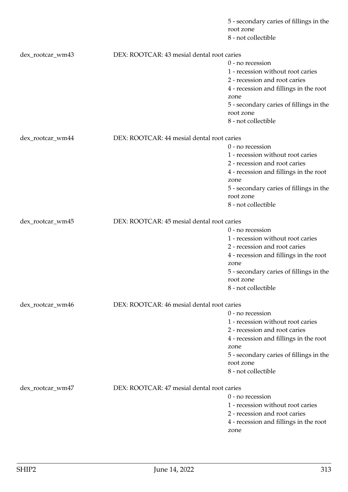|                  |                                            | 5 - secondary caries of fillings in the<br>root zone |
|------------------|--------------------------------------------|------------------------------------------------------|
|                  |                                            | 8 - not collectible                                  |
| dex_rootcar_wm43 | DEX: ROOTCAR: 43 mesial dental root caries |                                                      |
|                  |                                            | 0 - no recession                                     |
|                  |                                            | 1 - recession without root caries                    |
|                  |                                            | 2 - recession and root caries                        |
|                  |                                            | 4 - recession and fillings in the root               |
|                  |                                            | zone                                                 |
|                  |                                            | 5 - secondary caries of fillings in the              |
|                  |                                            | root zone                                            |
|                  |                                            | 8 - not collectible                                  |
| dex_rootcar_wm44 | DEX: ROOTCAR: 44 mesial dental root caries |                                                      |
|                  |                                            | 0 - no recession                                     |
|                  |                                            | 1 - recession without root caries                    |
|                  |                                            | 2 - recession and root caries                        |
|                  |                                            | 4 - recession and fillings in the root               |
|                  |                                            | zone                                                 |
|                  |                                            | 5 - secondary caries of fillings in the              |
|                  |                                            | root zone                                            |
|                  |                                            | 8 - not collectible                                  |
| dex_rootcar_wm45 | DEX: ROOTCAR: 45 mesial dental root caries |                                                      |
|                  |                                            | 0 - no recession                                     |
|                  |                                            | 1 - recession without root caries                    |
|                  |                                            | 2 - recession and root caries                        |
|                  |                                            | 4 - recession and fillings in the root               |
|                  |                                            | zone                                                 |
|                  |                                            | 5 - secondary caries of fillings in the              |
|                  |                                            | root zone                                            |
|                  |                                            | 8 - not collectible                                  |
| dex_rootcar_wm46 | DEX: ROOTCAR: 46 mesial dental root caries |                                                      |
|                  |                                            | $0$ - no recession                                   |
|                  |                                            | 1 - recession without root caries                    |
|                  |                                            | 2 - recession and root caries                        |
|                  |                                            | 4 - recession and fillings in the root               |
|                  |                                            | zone                                                 |
|                  |                                            | 5 - secondary caries of fillings in the              |
|                  |                                            | root zone                                            |
|                  |                                            | 8 - not collectible                                  |
| dex_rootcar_wm47 | DEX: ROOTCAR: 47 mesial dental root caries |                                                      |
|                  |                                            | $0$ - no recession                                   |
|                  |                                            | 1 - recession without root caries                    |
|                  |                                            | 2 - recession and root caries                        |
|                  |                                            | 4 - recession and fillings in the root               |
|                  |                                            | zone                                                 |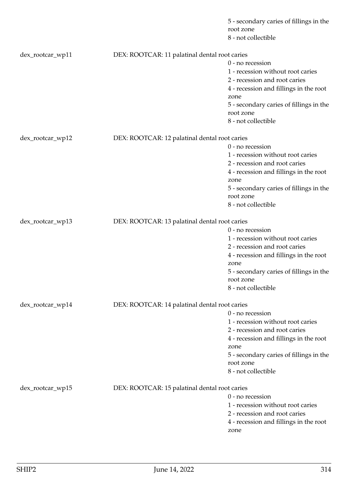|                  |                                               | 5 - secondary caries of fillings in the<br>root zone<br>8 - not collectible |
|------------------|-----------------------------------------------|-----------------------------------------------------------------------------|
| dex_rootcar_wp11 | DEX: ROOTCAR: 11 palatinal dental root caries |                                                                             |
|                  |                                               | 0 - no recession                                                            |
|                  |                                               | 1 - recession without root caries                                           |
|                  |                                               | 2 - recession and root caries                                               |
|                  |                                               | 4 - recession and fillings in the root                                      |
|                  |                                               | zone                                                                        |
|                  |                                               | 5 - secondary caries of fillings in the                                     |
|                  |                                               | root zone                                                                   |
|                  |                                               | 8 - not collectible                                                         |
| dex_rootcar_wp12 | DEX: ROOTCAR: 12 palatinal dental root caries |                                                                             |
|                  |                                               | 0 - no recession                                                            |
|                  |                                               | 1 - recession without root caries                                           |
|                  |                                               | 2 - recession and root caries                                               |
|                  |                                               | 4 - recession and fillings in the root                                      |
|                  |                                               | zone                                                                        |
|                  |                                               | 5 - secondary caries of fillings in the                                     |
|                  |                                               | root zone                                                                   |
|                  |                                               | 8 - not collectible                                                         |
| dex_rootcar_wp13 | DEX: ROOTCAR: 13 palatinal dental root caries |                                                                             |
|                  |                                               | 0 - no recession                                                            |
|                  |                                               | 1 - recession without root caries                                           |
|                  |                                               | 2 - recession and root caries                                               |
|                  |                                               | 4 - recession and fillings in the root                                      |
|                  |                                               | zone                                                                        |
|                  |                                               | 5 - secondary caries of fillings in the                                     |
|                  |                                               | root zone                                                                   |
|                  |                                               | 8 - not collectible                                                         |
| dex_rootcar_wp14 | DEX: ROOTCAR: 14 palatinal dental root caries |                                                                             |
|                  |                                               | $0$ - no recession                                                          |
|                  |                                               | 1 - recession without root caries                                           |
|                  |                                               | 2 - recession and root caries                                               |
|                  |                                               | 4 - recession and fillings in the root                                      |
|                  |                                               | zone                                                                        |
|                  |                                               | 5 - secondary caries of fillings in the                                     |
|                  |                                               | root zone<br>8 - not collectible                                            |
|                  |                                               |                                                                             |
| dex_rootcar_wp15 | DEX: ROOTCAR: 15 palatinal dental root caries |                                                                             |
|                  |                                               | $0$ - no recession                                                          |
|                  |                                               | 1 - recession without root caries                                           |
|                  |                                               | 2 - recession and root caries                                               |
|                  |                                               | 4 - recession and fillings in the root<br>zone                              |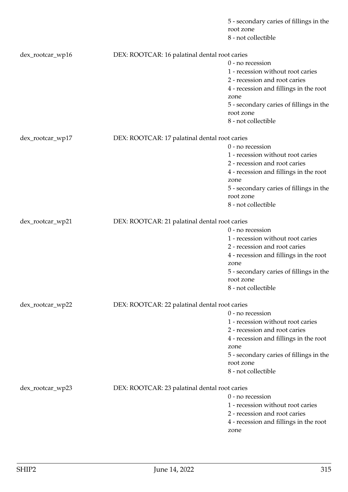|                  |                                               | 5 - secondary caries of fillings in the<br>root zone<br>8 - not collectible |
|------------------|-----------------------------------------------|-----------------------------------------------------------------------------|
|                  |                                               |                                                                             |
| dex_rootcar_wp16 | DEX: ROOTCAR: 16 palatinal dental root caries |                                                                             |
|                  |                                               | 0 - no recession                                                            |
|                  |                                               | 1 - recession without root caries                                           |
|                  |                                               | 2 - recession and root caries                                               |
|                  |                                               | 4 - recession and fillings in the root                                      |
|                  |                                               | zone                                                                        |
|                  |                                               | 5 - secondary caries of fillings in the                                     |
|                  |                                               | root zone                                                                   |
|                  |                                               | 8 - not collectible                                                         |
| dex_rootcar_wp17 | DEX: ROOTCAR: 17 palatinal dental root caries |                                                                             |
|                  |                                               | 0 - no recession                                                            |
|                  |                                               | 1 - recession without root caries                                           |
|                  |                                               | 2 - recession and root caries                                               |
|                  |                                               | 4 - recession and fillings in the root                                      |
|                  |                                               | zone                                                                        |
|                  |                                               | 5 - secondary caries of fillings in the                                     |
|                  |                                               | root zone                                                                   |
|                  |                                               | 8 - not collectible                                                         |
| dex_rootcar_wp21 | DEX: ROOTCAR: 21 palatinal dental root caries |                                                                             |
|                  |                                               | 0 - no recession                                                            |
|                  |                                               | 1 - recession without root caries                                           |
|                  |                                               | 2 - recession and root caries                                               |
|                  |                                               | 4 - recession and fillings in the root                                      |
|                  |                                               | zone                                                                        |
|                  |                                               | 5 - secondary caries of fillings in the                                     |
|                  |                                               | root zone                                                                   |
|                  |                                               | 8 - not collectible                                                         |
| dex_rootcar_wp22 | DEX: ROOTCAR: 22 palatinal dental root caries |                                                                             |
|                  |                                               | $0$ - no recession                                                          |
|                  |                                               | 1 - recession without root caries                                           |
|                  |                                               | 2 - recession and root caries                                               |
|                  |                                               | 4 - recession and fillings in the root                                      |
|                  |                                               | zone                                                                        |
|                  |                                               | 5 - secondary caries of fillings in the                                     |
|                  |                                               | root zone                                                                   |
|                  |                                               | 8 - not collectible                                                         |
| dex_rootcar_wp23 | DEX: ROOTCAR: 23 palatinal dental root caries |                                                                             |
|                  |                                               | $0$ - no recession                                                          |
|                  |                                               | 1 - recession without root caries                                           |
|                  |                                               | 2 - recession and root caries                                               |
|                  |                                               | 4 - recession and fillings in the root                                      |
|                  |                                               | zone                                                                        |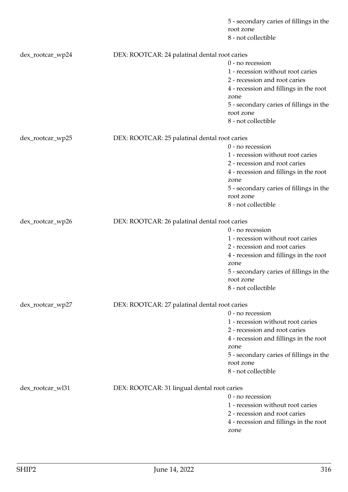|                  |                                               | 5 - secondary caries of fillings in the<br>root zone<br>8 - not collectible |
|------------------|-----------------------------------------------|-----------------------------------------------------------------------------|
| dex_rootcar_wp24 | DEX: ROOTCAR: 24 palatinal dental root caries |                                                                             |
|                  |                                               | 0 - no recession                                                            |
|                  |                                               | 1 - recession without root caries                                           |
|                  |                                               | 2 - recession and root caries                                               |
|                  |                                               | 4 - recession and fillings in the root                                      |
|                  |                                               | zone                                                                        |
|                  |                                               | 5 - secondary caries of fillings in the                                     |
|                  |                                               | root zone                                                                   |
|                  |                                               | 8 - not collectible                                                         |
| dex_rootcar_wp25 | DEX: ROOTCAR: 25 palatinal dental root caries |                                                                             |
|                  |                                               | 0 - no recession                                                            |
|                  |                                               | 1 - recession without root caries                                           |
|                  |                                               | 2 - recession and root caries                                               |
|                  |                                               | 4 - recession and fillings in the root                                      |
|                  |                                               | zone                                                                        |
|                  |                                               | 5 - secondary caries of fillings in the                                     |
|                  |                                               | root zone                                                                   |
|                  |                                               | 8 - not collectible                                                         |
| dex_rootcar_wp26 | DEX: ROOTCAR: 26 palatinal dental root caries |                                                                             |
|                  |                                               | 0 - no recession                                                            |
|                  |                                               | 1 - recession without root caries                                           |
|                  |                                               | 2 - recession and root caries                                               |
|                  |                                               | 4 - recession and fillings in the root                                      |
|                  |                                               | zone                                                                        |
|                  |                                               | 5 - secondary caries of fillings in the                                     |
|                  |                                               | root zone                                                                   |
|                  |                                               | 8 - not collectible                                                         |
| dex_rootcar_wp27 | DEX: ROOTCAR: 27 palatinal dental root caries |                                                                             |
|                  |                                               | $0$ - no recession                                                          |
|                  |                                               | 1 - recession without root caries                                           |
|                  |                                               | 2 - recession and root caries                                               |
|                  |                                               | 4 - recession and fillings in the root                                      |
|                  |                                               | zone                                                                        |
|                  |                                               | 5 - secondary caries of fillings in the                                     |
|                  |                                               | root zone                                                                   |
|                  |                                               | 8 - not collectible                                                         |
| dex_rootcar_wl31 | DEX: ROOTCAR: 31 lingual dental root caries   |                                                                             |
|                  |                                               | $0$ - no recession                                                          |
|                  |                                               | 1 - recession without root caries                                           |
|                  |                                               | 2 - recession and root caries                                               |
|                  |                                               | 4 - recession and fillings in the root                                      |
|                  |                                               | zone                                                                        |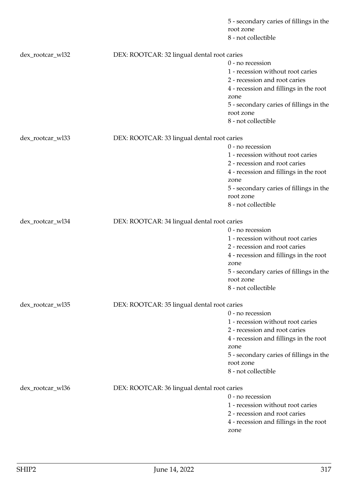|                  |                                             | 5 - secondary caries of fillings in the<br>root zone<br>8 - not collectible |
|------------------|---------------------------------------------|-----------------------------------------------------------------------------|
| dex_rootcar_wl32 | DEX: ROOTCAR: 32 lingual dental root caries |                                                                             |
|                  |                                             | 0 - no recession                                                            |
|                  |                                             | 1 - recession without root caries                                           |
|                  |                                             | 2 - recession and root caries                                               |
|                  |                                             | 4 - recession and fillings in the root                                      |
|                  |                                             | zone                                                                        |
|                  |                                             | 5 - secondary caries of fillings in the                                     |
|                  |                                             | root zone                                                                   |
|                  |                                             | 8 - not collectible                                                         |
| dex_rootcar_wl33 | DEX: ROOTCAR: 33 lingual dental root caries |                                                                             |
|                  |                                             | 0 - no recession                                                            |
|                  |                                             | 1 - recession without root caries                                           |
|                  |                                             | 2 - recession and root caries                                               |
|                  |                                             | 4 - recession and fillings in the root                                      |
|                  |                                             | zone                                                                        |
|                  |                                             | 5 - secondary caries of fillings in the                                     |
|                  |                                             | root zone                                                                   |
|                  |                                             | 8 - not collectible                                                         |
| dex_rootcar_wl34 | DEX: ROOTCAR: 34 lingual dental root caries |                                                                             |
|                  |                                             | 0 - no recession                                                            |
|                  |                                             | 1 - recession without root caries                                           |
|                  |                                             | 2 - recession and root caries                                               |
|                  |                                             | 4 - recession and fillings in the root                                      |
|                  |                                             | zone                                                                        |
|                  |                                             | 5 - secondary caries of fillings in the                                     |
|                  |                                             | root zone                                                                   |
|                  |                                             | 8 - not collectible                                                         |
| dex_rootcar_wl35 | DEX: ROOTCAR: 35 lingual dental root caries |                                                                             |
|                  |                                             | $0$ - no recession                                                          |
|                  |                                             | 1 - recession without root caries                                           |
|                  |                                             | 2 - recession and root caries                                               |
|                  |                                             | 4 - recession and fillings in the root                                      |
|                  |                                             | zone                                                                        |
|                  |                                             | 5 - secondary caries of fillings in the                                     |
|                  |                                             | root zone                                                                   |
|                  |                                             | 8 - not collectible                                                         |
| dex_rootcar_wl36 | DEX: ROOTCAR: 36 lingual dental root caries |                                                                             |
|                  |                                             | $0$ - no recession                                                          |
|                  |                                             | 1 - recession without root caries                                           |
|                  |                                             | 2 - recession and root caries                                               |
|                  |                                             | 4 - recession and fillings in the root                                      |
|                  |                                             | zone                                                                        |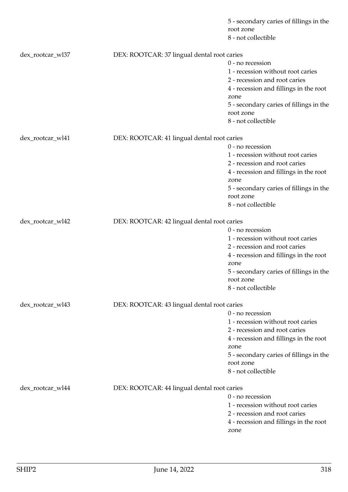|                  |                                             | 5 - secondary caries of fillings in the<br>root zone<br>8 - not collectible |
|------------------|---------------------------------------------|-----------------------------------------------------------------------------|
| dex_rootcar_wl37 | DEX: ROOTCAR: 37 lingual dental root caries |                                                                             |
|                  |                                             | 0 - no recession                                                            |
|                  |                                             | 1 - recession without root caries                                           |
|                  |                                             | 2 - recession and root caries                                               |
|                  |                                             | 4 - recession and fillings in the root                                      |
|                  |                                             | zone                                                                        |
|                  |                                             | 5 - secondary caries of fillings in the                                     |
|                  |                                             | root zone                                                                   |
|                  |                                             | 8 - not collectible                                                         |
| dex_rootcar_wl41 | DEX: ROOTCAR: 41 lingual dental root caries |                                                                             |
|                  |                                             | 0 - no recession                                                            |
|                  |                                             | 1 - recession without root caries                                           |
|                  |                                             | 2 - recession and root caries                                               |
|                  |                                             | 4 - recession and fillings in the root                                      |
|                  |                                             | zone                                                                        |
|                  |                                             | 5 - secondary caries of fillings in the                                     |
|                  |                                             | root zone                                                                   |
|                  |                                             | 8 - not collectible                                                         |
| dex_rootcar_wl42 | DEX: ROOTCAR: 42 lingual dental root caries |                                                                             |
|                  |                                             | 0 - no recession                                                            |
|                  |                                             | 1 - recession without root caries                                           |
|                  |                                             | 2 - recession and root caries                                               |
|                  |                                             | 4 - recession and fillings in the root                                      |
|                  |                                             | zone                                                                        |
|                  |                                             | 5 - secondary caries of fillings in the                                     |
|                  |                                             | root zone                                                                   |
|                  |                                             | 8 - not collectible                                                         |
| dex_rootcar_wl43 | DEX: ROOTCAR: 43 lingual dental root caries |                                                                             |
|                  |                                             | $0$ - no recession                                                          |
|                  |                                             | 1 - recession without root caries                                           |
|                  |                                             | 2 - recession and root caries                                               |
|                  |                                             | 4 - recession and fillings in the root                                      |
|                  |                                             | zone                                                                        |
|                  |                                             | 5 - secondary caries of fillings in the                                     |
|                  |                                             | root zone                                                                   |
|                  |                                             | 8 - not collectible                                                         |
| dex_rootcar_wl44 | DEX: ROOTCAR: 44 lingual dental root caries |                                                                             |
|                  |                                             | $0$ - no recession                                                          |
|                  |                                             | 1 - recession without root caries                                           |
|                  |                                             | 2 - recession and root caries                                               |
|                  |                                             | 4 - recession and fillings in the root                                      |
|                  |                                             | zone                                                                        |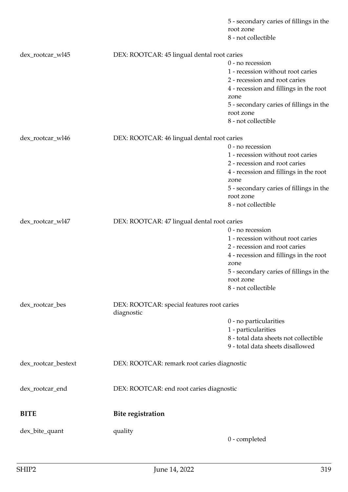|                                                                             |                                             | 5 - secondary caries of fillings in the<br>root zone<br>8 - not collectible |
|-----------------------------------------------------------------------------|---------------------------------------------|-----------------------------------------------------------------------------|
| dex_rootcar_wl45                                                            | DEX: ROOTCAR: 45 lingual dental root caries |                                                                             |
|                                                                             |                                             | 0 - no recession                                                            |
|                                                                             |                                             | 1 - recession without root caries                                           |
|                                                                             |                                             | 2 - recession and root caries                                               |
|                                                                             |                                             | 4 - recession and fillings in the root                                      |
|                                                                             |                                             | zone                                                                        |
|                                                                             |                                             | 5 - secondary caries of fillings in the                                     |
|                                                                             |                                             | root zone                                                                   |
|                                                                             |                                             | 8 - not collectible                                                         |
| dex_rootcar_wl46                                                            | DEX: ROOTCAR: 46 lingual dental root caries |                                                                             |
|                                                                             |                                             | 0 - no recession                                                            |
|                                                                             |                                             | 1 - recession without root caries                                           |
|                                                                             |                                             | 2 - recession and root caries                                               |
|                                                                             |                                             | 4 - recession and fillings in the root<br>zone                              |
|                                                                             |                                             | 5 - secondary caries of fillings in the                                     |
|                                                                             |                                             | root zone                                                                   |
|                                                                             |                                             | 8 - not collectible                                                         |
| dex_rootcar_wl47                                                            | DEX: ROOTCAR: 47 lingual dental root caries |                                                                             |
|                                                                             |                                             | 0 - no recession                                                            |
|                                                                             |                                             | 1 - recession without root caries                                           |
|                                                                             |                                             | 2 - recession and root caries                                               |
|                                                                             |                                             | 4 - recession and fillings in the root<br>zone                              |
|                                                                             |                                             | 5 - secondary caries of fillings in the<br>root zone                        |
|                                                                             |                                             | 8 - not collectible                                                         |
| dex_rootcar_bes<br>DEX: ROOTCAR: special features root caries<br>diagnostic |                                             |                                                                             |
|                                                                             |                                             | 0 - no particularities                                                      |
|                                                                             |                                             | 1 - particularities                                                         |
|                                                                             |                                             | 8 - total data sheets not collectible                                       |
|                                                                             |                                             | 9 - total data sheets disallowed                                            |
| dex_rootcar_bestext                                                         | DEX: ROOTCAR: remark root caries diagnostic |                                                                             |
| dex_rootcar_end                                                             | DEX: ROOTCAR: end root caries diagnostic    |                                                                             |
|                                                                             |                                             |                                                                             |
| <b>BITE</b>                                                                 | <b>Bite registration</b>                    |                                                                             |
| dex_bite_quant                                                              | quality                                     |                                                                             |
|                                                                             |                                             | 0 - completed                                                               |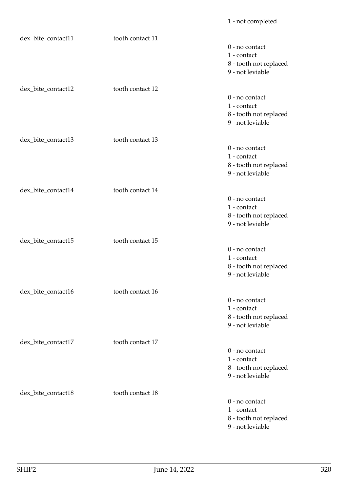## dex bite\_contact11 tooth contact 11 0 - no contact 1 - contact 8 - tooth not replaced 9 - not leviable dex\_bite\_contact12 tooth contact 12 0 - no contact 1 - contact 8 - tooth not replaced 9 - not leviable dex\_bite\_contact13 tooth contact 13 0 - no contact 1 - contact 8 - tooth not replaced 9 - not leviable dex\_bite\_contact14 tooth contact 14 0 - no contact 1 - contact 8 - tooth not replaced 9 - not leviable dex\_bite\_contact15 tooth contact 15 0 - no contact 1 - contact 8 - tooth not replaced 9 - not leviable dex bite\_contact16 tooth contact 16 0 - no contact 1 - contact 8 - tooth not replaced 9 - not leviable dex bite\_contact17 tooth contact 17 0 - no contact 1 - contact 8 - tooth not replaced 9 - not leviable dex\_bite\_contact18 tooth contact 18 0 - no contact 1 - contact 8 - tooth not replaced 9 - not leviable

1 - not completed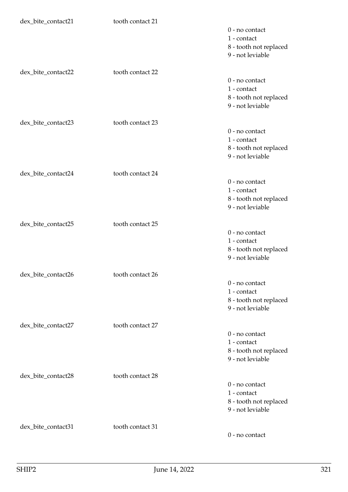| dex_bite_contact21 | tooth contact 21 |                                            |
|--------------------|------------------|--------------------------------------------|
|                    |                  | 0 - no contact                             |
|                    |                  | 1 - contact                                |
|                    |                  | 8 - tooth not replaced                     |
|                    |                  | 9 - not leviable                           |
|                    |                  |                                            |
| dex_bite_contact22 | tooth contact 22 |                                            |
|                    |                  | 0 - no contact                             |
|                    |                  | 1 - contact                                |
|                    |                  | 8 - tooth not replaced                     |
|                    |                  | 9 - not leviable                           |
|                    |                  |                                            |
| dex_bite_contact23 | tooth contact 23 |                                            |
|                    |                  | 0 - no contact                             |
|                    |                  | 1 - contact                                |
|                    |                  | 8 - tooth not replaced                     |
|                    |                  | 9 - not leviable                           |
|                    |                  |                                            |
| dex_bite_contact24 | tooth contact 24 |                                            |
|                    |                  | 0 - no contact                             |
|                    |                  | 1 - contact                                |
|                    |                  |                                            |
|                    |                  | 8 - tooth not replaced<br>9 - not leviable |
|                    |                  |                                            |
| dex_bite_contact25 | tooth contact 25 |                                            |
|                    |                  | 0 - no contact                             |
|                    |                  | 1 - contact                                |
|                    |                  | 8 - tooth not replaced                     |
|                    |                  | 9 - not leviable                           |
|                    |                  |                                            |
| dex_bite_contact26 | tooth contact 26 |                                            |
|                    |                  | 0 - no contact                             |
|                    |                  | 1 - contact                                |
|                    |                  |                                            |
|                    |                  | 8 - tooth not replaced<br>9 - not leviable |
|                    |                  |                                            |
|                    | tooth contact 27 |                                            |
| dex_bite_contact27 |                  | 0 - no contact                             |
|                    |                  | 1 - contact                                |
|                    |                  |                                            |
|                    |                  | 8 - tooth not replaced                     |
|                    |                  | 9 - not leviable                           |
|                    | tooth contact 28 |                                            |
| dex_bite_contact28 |                  |                                            |
|                    |                  | 0 - no contact                             |
|                    |                  | 1 - contact                                |
|                    |                  | 8 - tooth not replaced                     |
|                    |                  | 9 - not leviable                           |
|                    |                  |                                            |
| dex_bite_contact31 | tooth contact 31 |                                            |
|                    |                  | 0 - no contact                             |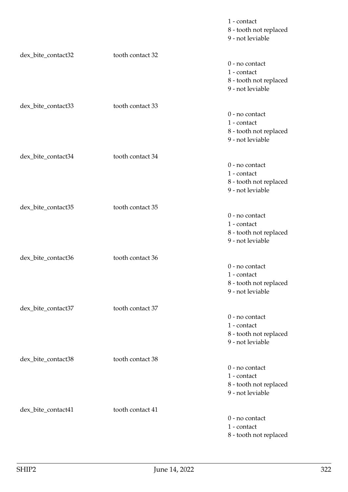|                    |                  | 1 - contact<br>8 - tooth not replaced<br>9 - not leviable                     |
|--------------------|------------------|-------------------------------------------------------------------------------|
| dex_bite_contact32 | tooth contact 32 | 0 - no contact<br>1 - contact<br>8 - tooth not replaced<br>9 - not leviable   |
| dex_bite_contact33 | tooth contact 33 | 0 - no contact<br>1 - contact<br>8 - tooth not replaced<br>9 - not leviable   |
| dex_bite_contact34 | tooth contact 34 | $0$ - no contact<br>1 - contact<br>8 - tooth not replaced<br>9 - not leviable |
| dex_bite_contact35 | tooth contact 35 | 0 - no contact<br>1 - contact<br>8 - tooth not replaced<br>9 - not leviable   |
| dex_bite_contact36 | tooth contact 36 | $0$ - no contact<br>1 - contact<br>8 - tooth not replaced<br>9 - not leviable |
| dex_bite_contact37 | tooth contact 37 | 0 - no contact<br>1 - contact<br>8 - tooth not replaced<br>9 - not leviable   |
| dex_bite_contact38 | tooth contact 38 | 0 - no contact<br>1 - contact<br>8 - tooth not replaced<br>9 - not leviable   |
| dex_bite_contact41 | tooth contact 41 | 0 - no contact<br>1 - contact<br>8 - tooth not replaced                       |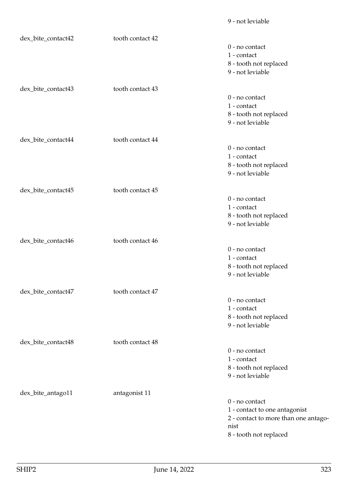9 - not leviable

| dex_bite_contact42 | tooth contact 42 |                                      |
|--------------------|------------------|--------------------------------------|
|                    |                  | 0 - no contact                       |
|                    |                  | 1 - contact                          |
|                    |                  | 8 - tooth not replaced               |
|                    |                  | 9 - not leviable                     |
|                    |                  |                                      |
| dex_bite_contact43 | tooth contact 43 |                                      |
|                    |                  | 0 - no contact                       |
|                    |                  | 1 - contact                          |
|                    |                  | 8 - tooth not replaced               |
|                    |                  | 9 - not leviable                     |
| dex_bite_contact44 | tooth contact 44 |                                      |
|                    |                  | 0 - no contact                       |
|                    |                  | 1 - contact                          |
|                    |                  | 8 - tooth not replaced               |
|                    |                  | 9 - not leviable                     |
|                    |                  |                                      |
| dex_bite_contact45 | tooth contact 45 |                                      |
|                    |                  | 0 - no contact                       |
|                    |                  | 1 - contact                          |
|                    |                  | 8 - tooth not replaced               |
|                    |                  | 9 - not leviable                     |
|                    |                  |                                      |
| dex_bite_contact46 | tooth contact 46 |                                      |
|                    |                  | 0 - no contact                       |
|                    |                  | 1 - contact                          |
|                    |                  | 8 - tooth not replaced               |
|                    |                  | 9 - not leviable                     |
|                    |                  |                                      |
| dex_bite_contact47 | tooth contact 47 | 0 - no contact                       |
|                    |                  | 1 - contact                          |
|                    |                  | 8 - tooth not replaced               |
|                    |                  | 9 - not leviable                     |
|                    |                  |                                      |
| dex_bite_contact48 | tooth contact 48 |                                      |
|                    |                  | 0 - no contact                       |
|                    |                  | 1 - contact                          |
|                    |                  | 8 - tooth not replaced               |
|                    |                  | 9 - not leviable                     |
|                    |                  |                                      |
| dex_bite_antago11  | antagonist 11    | 0 - no contact                       |
|                    |                  | 1 - contact to one antagonist        |
|                    |                  | 2 - contact to more than one antago- |
|                    |                  | nist                                 |
|                    |                  | 8 - tooth not replaced               |
|                    |                  |                                      |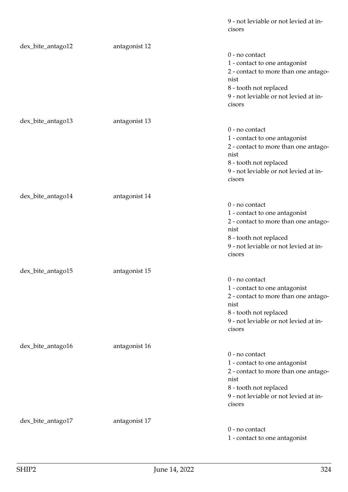|                   |               | 9 - not leviable or not levied at in-<br>cisors |
|-------------------|---------------|-------------------------------------------------|
| dex_bite_antago12 | antagonist 12 |                                                 |
|                   |               | 0 - no contact                                  |
|                   |               | 1 - contact to one antagonist                   |
|                   |               | 2 - contact to more than one antago-            |
|                   |               | nist<br>8 - tooth not replaced                  |
|                   |               | 9 - not leviable or not levied at in-           |
|                   |               | cisors                                          |
| dex_bite_antago13 | antagonist 13 |                                                 |
|                   |               | 0 - no contact                                  |
|                   |               | 1 - contact to one antagonist                   |
|                   |               | 2 - contact to more than one antago-<br>nist    |
|                   |               | 8 - tooth not replaced                          |
|                   |               | 9 - not leviable or not levied at in-           |
|                   |               | cisors                                          |
| dex_bite_antago14 | antagonist 14 |                                                 |
|                   |               | 0 - no contact                                  |
|                   |               | 1 - contact to one antagonist                   |
|                   |               | 2 - contact to more than one antago-<br>nist    |
|                   |               | 8 - tooth not replaced                          |
|                   |               | 9 - not leviable or not levied at in-           |
|                   |               | cisors                                          |
| dex_bite_antago15 | antagonist 15 |                                                 |
|                   |               | 0 - no contact                                  |
|                   |               | 1 - contact to one antagonist                   |
|                   |               | 2 - contact to more than one antago-<br>nist    |
|                   |               | 8 - tooth not replaced                          |
|                   |               | 9 - not leviable or not levied at in-           |
|                   |               | cisors                                          |
| dex_bite_antago16 | antagonist 16 |                                                 |
|                   |               | 0 - no contact                                  |
|                   |               | 1 - contact to one antagonist                   |
|                   |               | 2 - contact to more than one antago-<br>nist    |
|                   |               | 8 - tooth not replaced                          |
|                   |               | 9 - not leviable or not levied at in-           |
|                   |               | cisors                                          |
| dex_bite_antago17 | antagonist 17 |                                                 |
|                   |               | 0 - no contact                                  |
|                   |               | 1 - contact to one antagonist                   |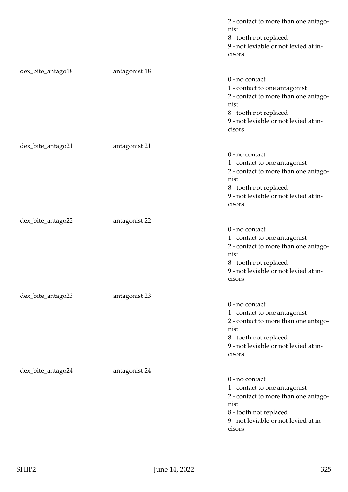|                   |               | 2 - contact to more than one antago-<br>nist<br>8 - tooth not replaced<br>9 - not leviable or not levied at in-<br>cisors                                                    |
|-------------------|---------------|------------------------------------------------------------------------------------------------------------------------------------------------------------------------------|
| dex_bite_antago18 | antagonist 18 |                                                                                                                                                                              |
|                   |               | 0 - no contact<br>1 - contact to one antagonist<br>2 - contact to more than one antago-<br>nist<br>8 - tooth not replaced<br>9 - not leviable or not levied at in-<br>cisors |
| dex_bite_antago21 | antagonist 21 | 0 - no contact<br>1 - contact to one antagonist<br>2 - contact to more than one antago-<br>nist<br>8 - tooth not replaced<br>9 - not leviable or not levied at in-<br>cisors |
| dex_bite_antago22 | antagonist 22 | 0 - no contact<br>1 - contact to one antagonist<br>2 - contact to more than one antago-<br>nist<br>8 - tooth not replaced<br>9 - not leviable or not levied at in-<br>cisors |
| dex_bite_antago23 | antagonist 23 | 0 - no contact<br>1 - contact to one antagonist<br>2 - contact to more than one antago-<br>nist<br>8 - tooth not replaced<br>9 - not leviable or not levied at in-<br>cisors |
| dex_bite_antago24 | antagonist 24 | 0 - no contact<br>1 - contact to one antagonist<br>2 - contact to more than one antago-<br>nist<br>8 - tooth not replaced<br>9 - not leviable or not levied at in-<br>cisors |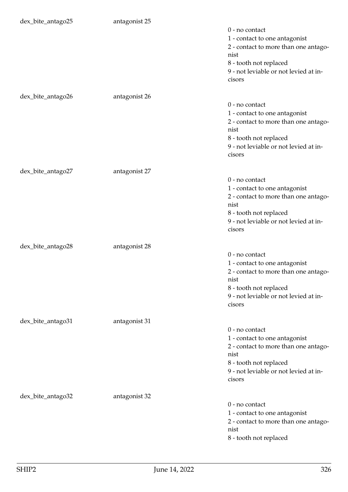| dex_bite_antago25 | antagonist 25 | 0 - no contact<br>1 - contact to one antagonist<br>2 - contact to more than one antago-<br>nist<br>8 - tooth not replaced<br>9 - not leviable or not levied at in-<br>cisors |
|-------------------|---------------|------------------------------------------------------------------------------------------------------------------------------------------------------------------------------|
| dex_bite_antago26 | antagonist 26 | 0 - no contact<br>1 - contact to one antagonist<br>2 - contact to more than one antago-<br>nist<br>8 - tooth not replaced<br>9 - not leviable or not levied at in-<br>cisors |
| dex_bite_antago27 | antagonist 27 | 0 - no contact<br>1 - contact to one antagonist<br>2 - contact to more than one antago-<br>nist<br>8 - tooth not replaced<br>9 - not leviable or not levied at in-<br>cisors |
| dex_bite_antago28 | antagonist 28 | 0 - no contact<br>1 - contact to one antagonist<br>2 - contact to more than one antago-<br>nist<br>8 - tooth not replaced<br>9 - not leviable or not levied at in-<br>cisors |
| dex_bite_antago31 | antagonist 31 | 0 - no contact<br>1 - contact to one antagonist<br>2 - contact to more than one antago-<br>nist<br>8 - tooth not replaced<br>9 - not leviable or not levied at in-<br>cisors |
| dex_bite_antago32 | antagonist 32 | 0 - no contact<br>1 - contact to one antagonist<br>2 - contact to more than one antago-<br>nist<br>8 - tooth not replaced                                                    |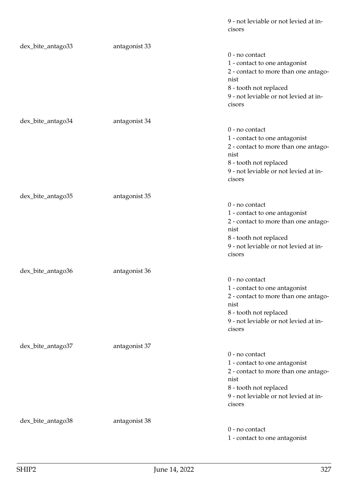|                   |               | 9 - not leviable or not levied at in-<br>cisors |
|-------------------|---------------|-------------------------------------------------|
| dex_bite_antago33 | antagonist 33 |                                                 |
|                   |               | 0 - no contact                                  |
|                   |               | 1 - contact to one antagonist                   |
|                   |               | 2 - contact to more than one antago-            |
|                   |               | nist                                            |
|                   |               | 8 - tooth not replaced                          |
|                   |               | 9 - not leviable or not levied at in-           |
|                   |               | cisors                                          |
| dex_bite_antago34 | antagonist 34 |                                                 |
|                   |               | 0 - no contact                                  |
|                   |               | 1 - contact to one antagonist                   |
|                   |               | 2 - contact to more than one antago-            |
|                   |               | nist                                            |
|                   |               | 8 - tooth not replaced                          |
|                   |               | 9 - not leviable or not levied at in-           |
|                   |               | cisors                                          |
| dex_bite_antago35 | antagonist 35 |                                                 |
|                   |               | 0 - no contact                                  |
|                   |               | 1 - contact to one antagonist                   |
|                   |               | 2 - contact to more than one antago-            |
|                   |               | nist                                            |
|                   |               | 8 - tooth not replaced                          |
|                   |               | 9 - not leviable or not levied at in-           |
|                   |               | cisors                                          |
| dex_bite_antago36 | antagonist 36 |                                                 |
|                   |               | 0 - no contact                                  |
|                   |               | 1 - contact to one antagonist                   |
|                   |               | 2 - contact to more than one antago-            |
|                   |               | nist                                            |
|                   |               | 8 - tooth not replaced                          |
|                   |               | 9 - not leviable or not levied at in-<br>cisors |
|                   |               |                                                 |
| dex_bite_antago37 | antagonist 37 |                                                 |
|                   |               | 0 - no contact                                  |
|                   |               | 1 - contact to one antagonist                   |
|                   |               | 2 - contact to more than one antago-            |
|                   |               | nist                                            |
|                   |               | 8 - tooth not replaced                          |
|                   |               | 9 - not leviable or not levied at in-<br>cisors |
|                   |               |                                                 |
| dex_bite_antago38 | antagonist 38 |                                                 |
|                   |               | 0 - no contact                                  |
|                   |               | 1 - contact to one antagonist                   |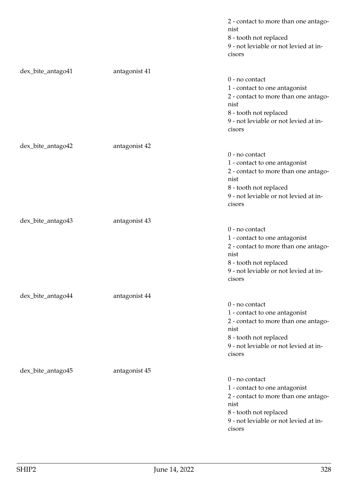|                   |               | 2 - contact to more than one antago-<br>nist<br>8 - tooth not replaced<br>9 - not leviable or not levied at in-<br>cisors                                                    |
|-------------------|---------------|------------------------------------------------------------------------------------------------------------------------------------------------------------------------------|
| dex_bite_antago41 | antagonist 41 | 0 - no contact<br>1 - contact to one antagonist<br>2 - contact to more than one antago-<br>nist<br>8 - tooth not replaced<br>9 - not leviable or not levied at in-<br>cisors |
| dex_bite_antago42 | antagonist 42 | 0 - no contact<br>1 - contact to one antagonist<br>2 - contact to more than one antago-<br>nist<br>8 - tooth not replaced<br>9 - not leviable or not levied at in-<br>cisors |
| dex_bite_antago43 | antagonist 43 | 0 - no contact<br>1 - contact to one antagonist<br>2 - contact to more than one antago-<br>nist<br>8 - tooth not replaced<br>9 - not leviable or not levied at in-<br>cisors |
| dex_bite_antago44 | antagonist 44 | 0 - no contact<br>1 - contact to one antagonist<br>2 - contact to more than one antago-<br>nist<br>8 - tooth not replaced<br>9 - not leviable or not levied at in-<br>cisors |
| dex_bite_antago45 | antagonist 45 | 0 - no contact<br>1 - contact to one antagonist<br>2 - contact to more than one antago-<br>nist<br>8 - tooth not replaced<br>9 - not leviable or not levied at in-<br>cisors |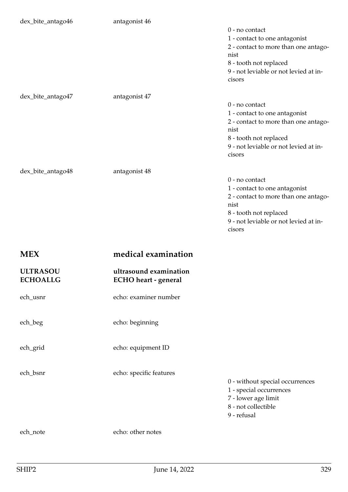| dex_bite_antago46                  | antagonist 46                                  | 0 - no contact<br>1 - contact to one antagonist<br>2 - contact to more than one antago-<br>nist<br>8 - tooth not replaced<br>9 - not leviable or not levied at in-<br>cisors |
|------------------------------------|------------------------------------------------|------------------------------------------------------------------------------------------------------------------------------------------------------------------------------|
| dex_bite_antago47                  | antagonist 47                                  | 0 - no contact<br>1 - contact to one antagonist<br>2 - contact to more than one antago-<br>nist<br>8 - tooth not replaced<br>9 - not leviable or not levied at in-<br>cisors |
| dex_bite_antago48                  | antagonist 48                                  | 0 - no contact<br>1 - contact to one antagonist<br>2 - contact to more than one antago-<br>nist<br>8 - tooth not replaced<br>9 - not leviable or not levied at in-<br>cisors |
|                                    |                                                |                                                                                                                                                                              |
| <b>MEX</b>                         | medical examination                            |                                                                                                                                                                              |
| <b>ULTRASOU</b><br><b>ECHOALLG</b> | ultrasound examination<br>ECHO heart - general |                                                                                                                                                                              |
| ech_usnr                           | echo: examiner number                          |                                                                                                                                                                              |
| ech_beg                            | echo: beginning                                |                                                                                                                                                                              |
| ech_grid                           | echo: equipment ID                             |                                                                                                                                                                              |
| ech_bsnr                           | echo: specific features                        | 0 - without special occurrences<br>1 - special occurrences<br>7 - lower age limit<br>8 - not collectible<br>9 - refusal                                                      |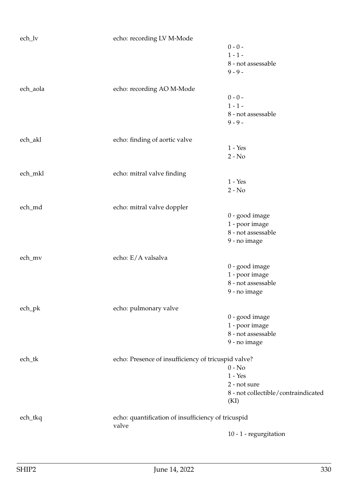| ech_lv                           | echo: recording LV M-Mode                           |                                     |
|----------------------------------|-----------------------------------------------------|-------------------------------------|
|                                  |                                                     | $0 - 0 -$                           |
|                                  |                                                     | $1 - 1 -$                           |
|                                  |                                                     | 8 - not assessable                  |
|                                  |                                                     | $9 - 9 -$                           |
|                                  |                                                     |                                     |
| ech_aola                         | echo: recording AO M-Mode                           |                                     |
|                                  |                                                     | $0 - 0 -$                           |
|                                  |                                                     | $1 - 1 -$                           |
|                                  |                                                     | 8 - not assessable                  |
|                                  |                                                     | $9 - 9 -$                           |
|                                  |                                                     |                                     |
| ech_akl                          | echo: finding of aortic valve                       |                                     |
|                                  |                                                     | $1 - Yes$                           |
|                                  |                                                     | $2 - No$                            |
| ech_mkl                          | echo: mitral valve finding                          |                                     |
|                                  |                                                     | $1 - Yes$                           |
|                                  |                                                     | $2 - No$                            |
|                                  |                                                     |                                     |
| ech_md                           | echo: mitral valve doppler                          |                                     |
|                                  |                                                     | 0 - good image                      |
|                                  |                                                     | 1 - poor image                      |
|                                  |                                                     | 8 - not assessable                  |
|                                  |                                                     | 9 - no image                        |
| ech_mv                           | echo: E/A valsalva                                  |                                     |
|                                  |                                                     | 0 - good image                      |
|                                  |                                                     | 1 - poor image                      |
|                                  |                                                     | 8 - not assessable                  |
|                                  |                                                     | 9 - no image                        |
|                                  |                                                     |                                     |
| $ech$ <sub><math>pk</math></sub> | echo: pulmonary valve                               |                                     |
|                                  |                                                     | 0 - good image                      |
|                                  |                                                     | 1 - poor image                      |
|                                  |                                                     | 8 - not assessable                  |
|                                  |                                                     | 9 - no image                        |
|                                  |                                                     |                                     |
| ech_tk                           | echo: Presence of insufficiency of tricuspid valve? |                                     |
|                                  |                                                     | $0 - No$                            |
|                                  |                                                     | $1 - Yes$                           |
|                                  |                                                     | 2 - not sure                        |
|                                  |                                                     | 8 - not collectible/contraindicated |
|                                  |                                                     | (KI)                                |
| ech_tkq                          | echo: quantification of insufficiency of tricuspid  |                                     |
|                                  | valve                                               |                                     |
|                                  |                                                     | 10 - 1 - regurgitation              |
|                                  |                                                     |                                     |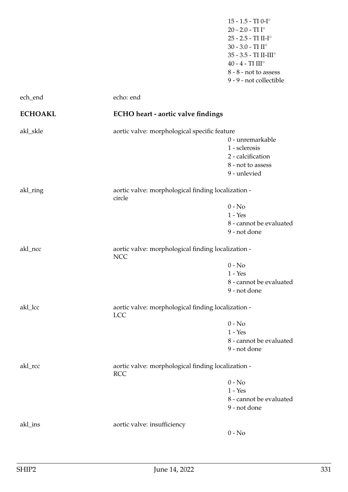15 - 1.5 - TI $0\text{-} \mathrm{I}^\circ$ 20 - 2.0 - TI $\mathrm{I}^\circ$ 25 - 2.5 - TI II-I $^{\circ}$ 30 - 3.0 - TI $\rm II^\circ$ 35 - 3.5 - TI $\mathrm{II}\text{-}\mathrm{III}^\circ$ 40 - 4 - TI $\rm III^\circ$ 8 - 8 - not to assess 9 - 9 - not collectible

| ech_end        | echo: end                                                        |                                                                                             |
|----------------|------------------------------------------------------------------|---------------------------------------------------------------------------------------------|
| <b>ECHOAKL</b> | <b>ECHO</b> heart - aortic valve findings                        |                                                                                             |
| akl_skle       | aortic valve: morphological specific feature                     |                                                                                             |
|                |                                                                  | 0 - unremarkable<br>1 - sclerosis<br>2 - calcification<br>8 - not to assess<br>9 - unlevied |
| akl_ring       | aortic valve: morphological finding localization -<br>circle     |                                                                                             |
|                |                                                                  | $0 - No$<br>$1 - Yes$<br>8 - cannot be evaluated<br>9 - not done                            |
| akl_ncc        | aortic valve: morphological finding localization -<br><b>NCC</b> |                                                                                             |
|                |                                                                  | $0 - No$<br>$1 - Yes$<br>8 - cannot be evaluated<br>9 - not done                            |
| akl_lcc        | aortic valve: morphological finding localization -<br><b>LCC</b> |                                                                                             |
|                |                                                                  | $0 - No$<br>$1 - Yes$<br>8 - cannot be evaluated<br>9 - not done                            |
| akl_rcc        | aortic valve: morphological finding localization -<br><b>RCC</b> |                                                                                             |
|                |                                                                  | $0 - No$<br>$1 - Yes$<br>8 - cannot be evaluated<br>9 - not done                            |
| akl_ins        | aortic valve: insufficiency                                      | $0 - No$                                                                                    |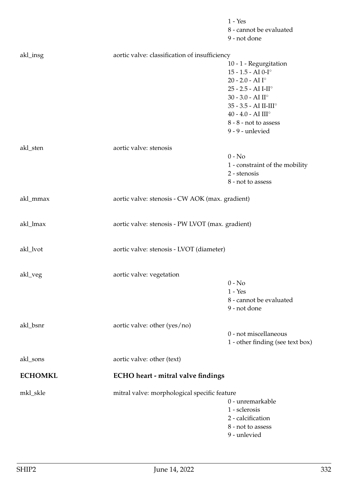|                |                                                 | $1 - Yes$<br>8 - cannot be evaluated<br>9 - not done                                                                                                                                                                                                |  |
|----------------|-------------------------------------------------|-----------------------------------------------------------------------------------------------------------------------------------------------------------------------------------------------------------------------------------------------------|--|
| akl_insg       | aortic valve: classification of insufficiency   |                                                                                                                                                                                                                                                     |  |
|                |                                                 | 10 - 1 - Regurgitation<br>$15 - 1.5 - AI 0-I°$<br>20 - 2.0 - AI $I^{\circ}$<br>25 - 2.5 - AI I-II°<br>30 - 3.0 - AI $\mathrm{II}^\circ$<br>35 - 3.5 - AI II-III°<br>40 - 4.0 - AI $\mathrm{III}^\circ$<br>8 - 8 - not to assess<br>9 - 9 - unlevied |  |
| akl_sten       | aortic valve: stenosis                          |                                                                                                                                                                                                                                                     |  |
|                |                                                 | $0 - No$<br>1 - constraint of the mobility<br>2 - stenosis<br>8 - not to assess                                                                                                                                                                     |  |
| akl_mmax       | aortic valve: stenosis - CW AOK (max. gradient) |                                                                                                                                                                                                                                                     |  |
| akl_lmax       |                                                 | aortic valve: stenosis - PW LVOT (max. gradient)                                                                                                                                                                                                    |  |
| akl_lvot       | aortic valve: stenosis - LVOT (diameter)        |                                                                                                                                                                                                                                                     |  |
| akl_veg        | aortic valve: vegetation                        | $0 - No$<br>$1 - Yes$<br>8 - cannot be evaluated<br>9 - not done                                                                                                                                                                                    |  |
| akl_bsnr       | aortic valve: other (yes/no)                    | 0 - not miscellaneous<br>1 - other finding (see text box)                                                                                                                                                                                           |  |
| akl_sons       | aortic valve: other (text)                      |                                                                                                                                                                                                                                                     |  |
| <b>ECHOMKL</b> | ECHO heart - mitral valve findings              |                                                                                                                                                                                                                                                     |  |
| mkl_skle       | mitral valve: morphological specific feature    | 0 - unremarkable<br>1 - sclerosis<br>2 - calcification<br>8 - not to assess<br>9 - unlevied                                                                                                                                                         |  |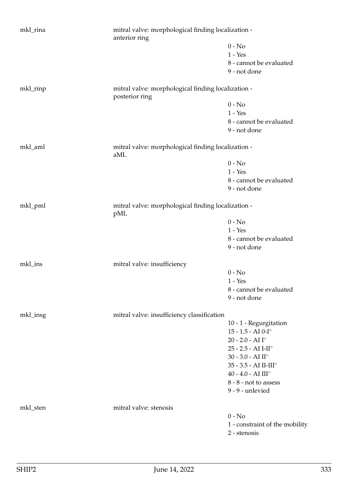| mkl_rina | mitral valve: morphological finding localization -<br>anterior ring  |                                   |
|----------|----------------------------------------------------------------------|-----------------------------------|
|          |                                                                      | $0 - No$                          |
|          |                                                                      | $1 - Yes$                         |
|          |                                                                      | 8 - cannot be evaluated           |
|          |                                                                      | 9 - not done                      |
| mkl_rinp | mitral valve: morphological finding localization -<br>posterior ring |                                   |
|          |                                                                      | $0 - No$                          |
|          |                                                                      | $1 - Yes$                         |
|          |                                                                      | 8 - cannot be evaluated           |
|          |                                                                      | 9 - not done                      |
| mkl_aml  | mitral valve: morphological finding localization -<br>aML            |                                   |
|          |                                                                      | $0 - No$                          |
|          |                                                                      | $1 - Yes$                         |
|          |                                                                      | 8 - cannot be evaluated           |
|          |                                                                      | 9 - not done                      |
| mkl_pml  | mitral valve: morphological finding localization -<br>pML            |                                   |
|          |                                                                      | $0 - No$                          |
|          |                                                                      | $1 - Yes$                         |
|          |                                                                      | 8 - cannot be evaluated           |
|          |                                                                      | 9 - not done                      |
| mkl_ins  | mitral valve: insufficiency                                          |                                   |
|          |                                                                      | $0 - No$                          |
|          |                                                                      | $1 - Yes$                         |
|          |                                                                      | 8 - cannot be evaluated           |
|          |                                                                      | 9 - not done                      |
| mkl_insg | mitral valve: insufficiency classification                           |                                   |
|          |                                                                      | 10 - 1 - Regurgitation            |
|          |                                                                      | $15 - 1.5 - AI 0-I°$              |
|          |                                                                      | $20 - 2.0 - AII^{\circ}$          |
|          |                                                                      | $25 - 2.5 - AI$ I-II°             |
|          |                                                                      | 30 - 3.0 - AI $\mathrm{II}^\circ$ |
|          |                                                                      | 35 - 3.5 - AI II-III°             |
|          |                                                                      | $40 - 4.0 - AI III^\circ$         |
|          |                                                                      | 8 - 8 - not to assess             |
|          |                                                                      | 9 - 9 - unlevied                  |
| mkl_sten | mitral valve: stenosis                                               |                                   |
|          |                                                                      | $0 - No$                          |
|          |                                                                      | 1 - constraint of the mobility    |
|          |                                                                      | 2 - stenosis                      |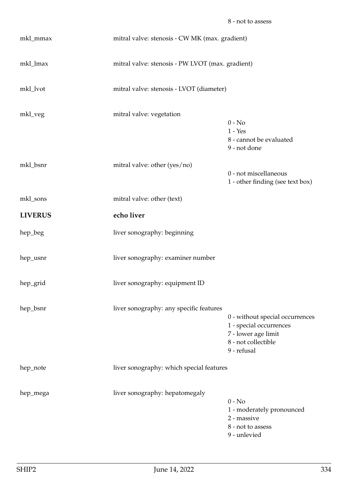| mkl_mmax       | mitral valve: stenosis - CW MK (max. gradient)   |                                                                                                                         |
|----------------|--------------------------------------------------|-------------------------------------------------------------------------------------------------------------------------|
| mkl_lmax       | mitral valve: stenosis - PW LVOT (max. gradient) |                                                                                                                         |
| mkl_lvot       | mitral valve: stenosis - LVOT (diameter)         |                                                                                                                         |
| mkl_veg        | mitral valve: vegetation                         | $0 - No$<br>$1 - Yes$<br>8 - cannot be evaluated<br>9 - not done                                                        |
| mkl_bsnr       | mitral valve: other (yes/no)                     | 0 - not miscellaneous<br>1 - other finding (see text box)                                                               |
| mkl_sons       | mitral valve: other (text)                       |                                                                                                                         |
| <b>LIVERUS</b> | echo liver                                       |                                                                                                                         |
| hep_beg        | liver sonography: beginning                      |                                                                                                                         |
| hep_usnr       | liver sonography: examiner number                |                                                                                                                         |
| hep_grid       | liver sonography: equipment ID                   |                                                                                                                         |
| hep_bsnr       | liver sonography: any specific features          | 0 - without special occurrences<br>1 - special occurrences<br>7 - lower age limit<br>8 - not collectible<br>9 - refusal |
| hep_note       | liver sonography: which special features         |                                                                                                                         |
| hep_mega       | liver sonography: hepatomegaly                   | $0 - No$<br>1 - moderately pronounced<br>2 - massive<br>8 - not to assess                                               |

9 - unlevied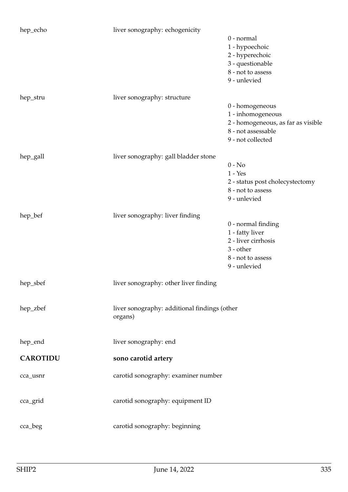| hep_echo        | liver sonography: echogenicity                          | 0 - normal<br>1 - hypoechoic<br>2 - hyperechoic<br>3 - questionable<br>8 - not to assess<br>9 - unlevied              |
|-----------------|---------------------------------------------------------|-----------------------------------------------------------------------------------------------------------------------|
| hep_stru        | liver sonography: structure                             | 0 - homogeneous<br>1 - inhomogeneous<br>2 - homogeneous, as far as visible<br>8 - not assessable<br>9 - not collected |
| hep_gall        | liver sonography: gall bladder stone                    | $0 - No$<br>$1 - Yes$<br>2 - status post cholecystectomy<br>8 - not to assess<br>9 - unlevied                         |
| hep_bef         | liver sonography: liver finding                         | 0 - normal finding<br>1 - fatty liver<br>2 - liver cirrhosis<br>3 - other<br>8 - not to assess<br>9 - unlevied        |
| hep_sbef        | liver sonography: other liver finding                   |                                                                                                                       |
| hep_zbef        | liver sonography: additional findings (other<br>organs) |                                                                                                                       |
| hep_end         | liver sonography: end                                   |                                                                                                                       |
| <b>CAROTIDU</b> | sono carotid artery                                     |                                                                                                                       |
| cca_usnr        | carotid sonography: examiner number                     |                                                                                                                       |
| cca_grid        | carotid sonography: equipment ID                        |                                                                                                                       |
| cca_beg         | carotid sonography: beginning                           |                                                                                                                       |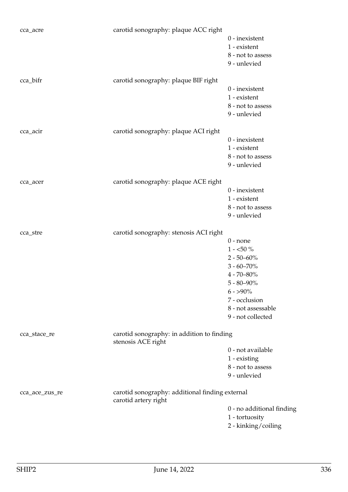| cca_acre       | carotid sonography: plaque ACC right                                    | $0$ - inexistent<br>1 - existent<br>8 - not to assess<br>9 - unlevied                                                                                                           |
|----------------|-------------------------------------------------------------------------|---------------------------------------------------------------------------------------------------------------------------------------------------------------------------------|
| cca_bifr       | carotid sonography: plaque BIF right                                    | $0$ - inexistent<br>1 - existent<br>8 - not to assess<br>9 - unlevied                                                                                                           |
| cca_acir       | carotid sonography: plaque ACI right                                    | $0$ - inexistent<br>1 - existent<br>8 - not to assess<br>9 - unlevied                                                                                                           |
| cca_acer       | carotid sonography: plaque ACE right                                    | $0$ - inexistent<br>1 - existent<br>8 - not to assess<br>9 - unlevied                                                                                                           |
| cca_stre       | carotid sonography: stenosis ACI right                                  | $0$ - none<br>$1 - 50\%$<br>$2 - 50 - 60\%$<br>$3 - 60 - 70\%$<br>$4 - 70 - 80\%$<br>$5 - 80 - 90\%$<br>$6 - 590\%$<br>7 - occlusion<br>8 - not assessable<br>9 - not collected |
| cca_stace_re   | carotid sonography: in addition to finding<br>stenosis ACE right        | 0 - not available<br>1 - existing<br>8 - not to assess<br>9 - unlevied                                                                                                          |
| cca_ace_zus_re | carotid sonography: additional finding external<br>carotid artery right | 0 - no additional finding<br>1 - tortuosity<br>2 - kinking/coiling                                                                                                              |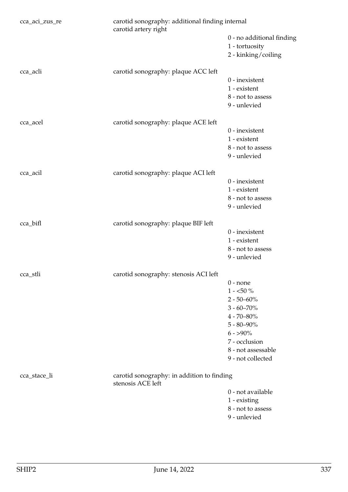| cca_aci_zus_re | carotid sonography: additional finding internal<br>carotid artery right |                                                                                                                                                                                 |
|----------------|-------------------------------------------------------------------------|---------------------------------------------------------------------------------------------------------------------------------------------------------------------------------|
|                |                                                                         | 0 - no additional finding<br>1 - tortuosity<br>2 - kinking/coiling                                                                                                              |
| cca_acli       | carotid sonography: plaque ACC left                                     | $0$ - inexistent<br>1 - existent<br>8 - not to assess<br>9 - unlevied                                                                                                           |
| cca_acel       | carotid sonography: plaque ACE left                                     | $0$ - inexistent<br>1 - existent<br>8 - not to assess<br>9 - unlevied                                                                                                           |
| cca_acil       | carotid sonography: plaque ACI left                                     | $0$ - inexistent<br>1 - existent<br>8 - not to assess<br>9 - unlevied                                                                                                           |
| cca_bifl       | carotid sonography: plaque BIF left                                     | $0$ - inexistent<br>1 - existent<br>8 - not to assess<br>9 - unlevied                                                                                                           |
| cca_stli       | carotid sonography: stenosis ACI left                                   | $0$ - none<br>$1 - 50\%$<br>$2 - 50 - 60\%$<br>$3 - 60 - 70\%$<br>$4 - 70 - 80\%$<br>$5 - 80 - 90\%$<br>$6 - 590\%$<br>7 - occlusion<br>8 - not assessable<br>9 - not collected |
| cca_stace_li   | carotid sonography: in addition to finding<br>stenosis ACE left         | 0 - not available<br>1 - existing<br>8 - not to assess<br>9 - unlevied                                                                                                          |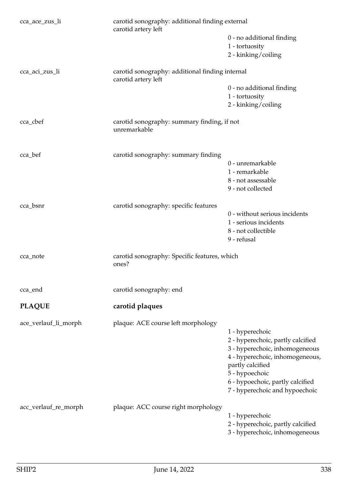| cca_ace_zus_li       | carotid sonography: additional finding external<br>carotid artery left |                                                                                                                                                                                                                                       |
|----------------------|------------------------------------------------------------------------|---------------------------------------------------------------------------------------------------------------------------------------------------------------------------------------------------------------------------------------|
|                      |                                                                        | 0 - no additional finding<br>1 - tortuosity<br>2 - kinking/coiling                                                                                                                                                                    |
| cca_aci_zus_li       | carotid sonography: additional finding internal                        |                                                                                                                                                                                                                                       |
|                      | carotid artery left                                                    | 0 - no additional finding<br>1 - tortuosity<br>2 - kinking/coiling                                                                                                                                                                    |
| cca_cbef             | carotid sonography: summary finding, if not<br>unremarkable            |                                                                                                                                                                                                                                       |
| cca_bef              | carotid sonography: summary finding                                    |                                                                                                                                                                                                                                       |
|                      |                                                                        | 0 - unremarkable<br>1 - remarkable<br>8 - not assessable<br>9 - not collected                                                                                                                                                         |
| cca_bsnr             | carotid sonography: specific features                                  | 0 - without serious incidents<br>1 - serious incidents<br>8 - not collectible<br>9 - refusal                                                                                                                                          |
| cca_note             | carotid sonography: Specific features, which<br>ones?                  |                                                                                                                                                                                                                                       |
| cca_end              | carotid sonography: end                                                |                                                                                                                                                                                                                                       |
| <b>PLAQUE</b>        | carotid plaques                                                        |                                                                                                                                                                                                                                       |
| ace_verlauf_li_morph | plaque: ACE course left morphology                                     | 1 - hyperechoic<br>2 - hyperechoic, partly calcified<br>3 - hyperechoic, inhomogeneous<br>4 - hyperechoic, inhomogeneous,<br>partly calcified<br>5 - hypoechoic<br>6 - hypoechoic, partly calcified<br>7 - hyperechoic and hypoechoic |
| acc_verlauf_re_morph | plaque: ACC course right morphology                                    | 1 - hyperechoic<br>2 - hyperechoic, partly calcified<br>3 - hyperechoic, inhomogeneous                                                                                                                                                |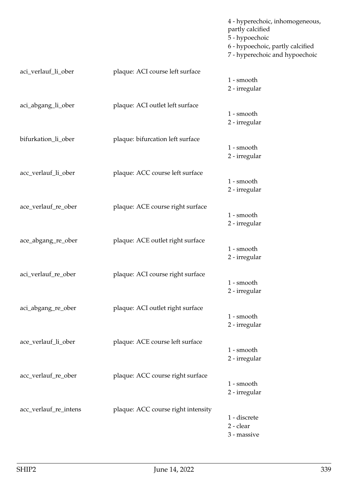|                       |                                    | 4 - hyperechoic, inhomogeneous,<br>partly calcified<br>5 - hypoechoic<br>6 - hypoechoic, partly calcified<br>7 - hyperechoic and hypoechoic |
|-----------------------|------------------------------------|---------------------------------------------------------------------------------------------------------------------------------------------|
| aci_verlauf_li_ober   | plaque: ACI course left surface    |                                                                                                                                             |
|                       |                                    | 1 - smooth<br>2 - irregular                                                                                                                 |
| aci_abgang_li_ober    | plaque: ACI outlet left surface    |                                                                                                                                             |
|                       |                                    | 1 - smooth<br>2 - irregular                                                                                                                 |
| bifurkation_li_ober   | plaque: bifurcation left surface   |                                                                                                                                             |
|                       |                                    | 1 - smooth<br>2 - irregular                                                                                                                 |
| acc_verlauf_li_ober   | plaque: ACC course left surface    |                                                                                                                                             |
|                       |                                    | 1 - smooth<br>2 - irregular                                                                                                                 |
| ace_verlauf_re_ober   | plaque: ACE course right surface   |                                                                                                                                             |
|                       |                                    | 1 - smooth<br>2 - irregular                                                                                                                 |
| ace_abgang_re_ober    | plaque: ACE outlet right surface   |                                                                                                                                             |
|                       |                                    | 1 - smooth<br>2 - irregular                                                                                                                 |
| aci_verlauf_re_ober   | plaque: ACI course right surface   |                                                                                                                                             |
|                       |                                    | 1 - smooth<br>2 - irregular                                                                                                                 |
| aci_abgang_re_ober    | plaque: ACI outlet right surface   |                                                                                                                                             |
|                       |                                    | 1 - smooth<br>2 - irregular                                                                                                                 |
| ace_verlauf_li_ober   | plaque: ACE course left surface    |                                                                                                                                             |
|                       |                                    | 1 - smooth<br>2 - irregular                                                                                                                 |
| acc_verlauf_re_ober   | plaque: ACC course right surface   |                                                                                                                                             |
|                       |                                    | 1 - smooth<br>2 - irregular                                                                                                                 |
| acc_verlauf_re_intens | plaque: ACC course right intensity |                                                                                                                                             |
|                       |                                    | 1 - discrete<br>2 - clear<br>3 - massive                                                                                                    |
|                       |                                    |                                                                                                                                             |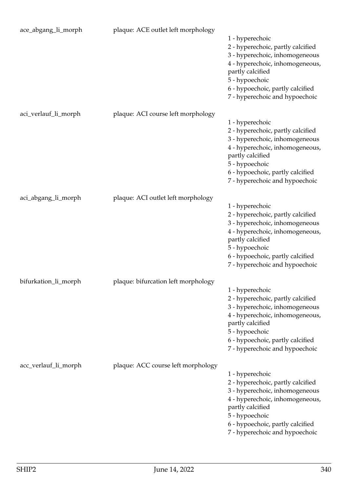| ace_abgang_li_morph  | plaque: ACE outlet left morphology  | 1 - hyperechoic<br>2 - hyperechoic, partly calcified<br>3 - hyperechoic, inhomogeneous<br>4 - hyperechoic, inhomogeneous,<br>partly calcified<br>5 - hypoechoic<br>6 - hypoechoic, partly calcified<br>7 - hyperechoic and hypoechoic |
|----------------------|-------------------------------------|---------------------------------------------------------------------------------------------------------------------------------------------------------------------------------------------------------------------------------------|
| aci_verlauf_li_morph | plaque: ACI course left morphology  | 1 - hyperechoic<br>2 - hyperechoic, partly calcified<br>3 - hyperechoic, inhomogeneous<br>4 - hyperechoic, inhomogeneous,<br>partly calcified<br>5 - hypoechoic<br>6 - hypoechoic, partly calcified<br>7 - hyperechoic and hypoechoic |
| aci_abgang_li_morph  | plaque: ACI outlet left morphology  | 1 - hyperechoic<br>2 - hyperechoic, partly calcified<br>3 - hyperechoic, inhomogeneous<br>4 - hyperechoic, inhomogeneous,<br>partly calcified<br>5 - hypoechoic<br>6 - hypoechoic, partly calcified<br>7 - hyperechoic and hypoechoic |
| bifurkation_li_morph | plaque: bifurcation left morphology | 1 - hyperechoic<br>2 - hyperechoic, partly calcified<br>3 - hyperechoic, inhomogeneous<br>4 - hyperechoic, inhomogeneous,<br>partly calcified<br>5 - hypoechoic<br>6 - hypoechoic, partly calcified<br>7 - hyperechoic and hypoechoic |
| acc_verlauf_li_morph | plaque: ACC course left morphology  | 1 - hyperechoic<br>2 - hyperechoic, partly calcified<br>3 - hyperechoic, inhomogeneous<br>4 - hyperechoic, inhomogeneous,<br>partly calcified<br>5 - hypoechoic<br>6 - hypoechoic, partly calcified<br>7 - hyperechoic and hypoechoic |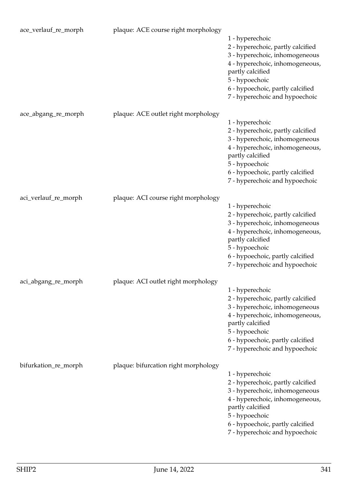| ace_verlauf_re_morph | plaque: ACE course right morphology  | 1 - hyperechoic<br>2 - hyperechoic, partly calcified<br>3 - hyperechoic, inhomogeneous<br>4 - hyperechoic, inhomogeneous,<br>partly calcified<br>5 - hypoechoic<br>6 - hypoechoic, partly calcified<br>7 - hyperechoic and hypoechoic |
|----------------------|--------------------------------------|---------------------------------------------------------------------------------------------------------------------------------------------------------------------------------------------------------------------------------------|
| ace_abgang_re_morph  | plaque: ACE outlet right morphology  | 1 - hyperechoic<br>2 - hyperechoic, partly calcified<br>3 - hyperechoic, inhomogeneous<br>4 - hyperechoic, inhomogeneous,<br>partly calcified<br>5 - hypoechoic<br>6 - hypoechoic, partly calcified<br>7 - hyperechoic and hypoechoic |
| aci_verlauf_re_morph | plaque: ACI course right morphology  | 1 - hyperechoic<br>2 - hyperechoic, partly calcified<br>3 - hyperechoic, inhomogeneous<br>4 - hyperechoic, inhomogeneous,<br>partly calcified<br>5 - hypoechoic<br>6 - hypoechoic, partly calcified<br>7 - hyperechoic and hypoechoic |
| aci_abgang_re_morph  | plaque: ACI outlet right morphology  | 1 - hyperechoic<br>2 - hyperechoic, partly calcified<br>3 - hyperechoic, inhomogeneous<br>4 - hyperechoic, inhomogeneous,<br>partly calcified<br>5 - hypoechoic<br>6 - hypoechoic, partly calcified<br>7 - hyperechoic and hypoechoic |
| bifurkation_re_morph | plaque: bifurcation right morphology | 1 - hyperechoic<br>2 - hyperechoic, partly calcified<br>3 - hyperechoic, inhomogeneous<br>4 - hyperechoic, inhomogeneous,<br>partly calcified<br>5 - hypoechoic<br>6 - hypoechoic, partly calcified<br>7 - hyperechoic and hypoechoic |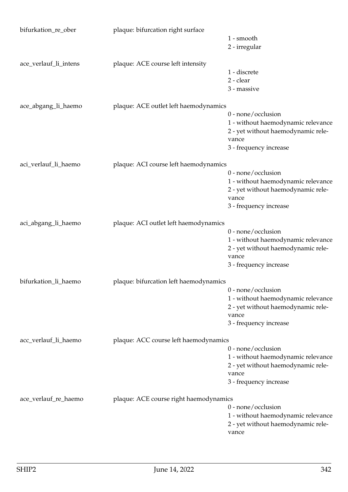| bifurkation_re_ober   | plaque: bifurcation right surface      |                                             |
|-----------------------|----------------------------------------|---------------------------------------------|
|                       |                                        | 1 - smooth                                  |
|                       |                                        | 2 - irregular                               |
| ace_verlauf_li_intens | plaque: ACE course left intensity      |                                             |
|                       |                                        | 1 - discrete                                |
|                       |                                        | 2 - clear                                   |
|                       |                                        | 3 - massive                                 |
| ace_abgang_li_haemo   | plaque: ACE outlet left haemodynamics  |                                             |
|                       |                                        | $0$ - none/occlusion                        |
|                       |                                        | 1 - without haemodynamic relevance          |
|                       |                                        | 2 - yet without haemodynamic rele-          |
|                       |                                        | vance                                       |
|                       |                                        | 3 - frequency increase                      |
| aci_verlauf_li_haemo  | plaque: ACI course left haemodynamics  |                                             |
|                       |                                        | 0 - none/occlusion                          |
|                       |                                        | 1 - without haemodynamic relevance          |
|                       |                                        | 2 - yet without haemodynamic rele-          |
|                       |                                        | vance                                       |
|                       |                                        | 3 - frequency increase                      |
| aci_abgang_li_haemo   | plaque: ACI outlet left haemodynamics  |                                             |
|                       |                                        | $0$ - none/occlusion                        |
|                       |                                        | 1 - without haemodynamic relevance          |
|                       |                                        | 2 - yet without haemodynamic rele-          |
|                       |                                        | vance                                       |
|                       |                                        | 3 - frequency increase                      |
| bifurkation_li_haemo  | plaque: bifurcation left haemodynamics |                                             |
|                       |                                        | $0$ - none/occlusion                        |
|                       |                                        | 1 - without haemodynamic relevance          |
|                       |                                        | 2 - yet without haemodynamic rele-          |
|                       |                                        | vance                                       |
|                       |                                        | 3 - frequency increase                      |
| acc_verlauf_li_haemo  | plaque: ACC course left haemodynamics  |                                             |
|                       |                                        | $0$ - none/occlusion                        |
|                       |                                        | 1 - without haemodynamic relevance          |
|                       |                                        | 2 - yet without haemodynamic rele-          |
|                       |                                        | vance                                       |
|                       |                                        | 3 - frequency increase                      |
| ace_verlauf_re_haemo  | plaque: ACE course right haemodynamics |                                             |
|                       |                                        | 0 - none/occlusion                          |
|                       |                                        | 1 - without haemodynamic relevance          |
|                       |                                        | 2 - yet without haemodynamic rele-<br>vance |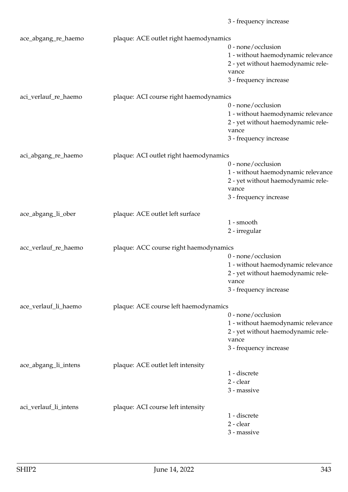|                       |                                        | 3 - frequency increase             |
|-----------------------|----------------------------------------|------------------------------------|
| ace_abgang_re_haemo   | plaque: ACE outlet right haemodynamics |                                    |
|                       |                                        | 0 - none/occlusion                 |
|                       |                                        | 1 - without haemodynamic relevance |
|                       |                                        | 2 - yet without haemodynamic rele- |
|                       |                                        | vance                              |
|                       |                                        | 3 - frequency increase             |
| aci_verlauf_re_haemo  | plaque: ACI course right haemodynamics |                                    |
|                       |                                        | 0 - none/occlusion                 |
|                       |                                        | 1 - without haemodynamic relevance |
|                       |                                        | 2 - yet without haemodynamic rele- |
|                       |                                        | vance                              |
|                       |                                        | 3 - frequency increase             |
| aci_abgang_re_haemo   | plaque: ACI outlet right haemodynamics |                                    |
|                       |                                        | 0 - none/occlusion                 |
|                       |                                        | 1 - without haemodynamic relevance |
|                       |                                        | 2 - yet without haemodynamic rele- |
|                       |                                        | vance                              |
|                       |                                        | 3 - frequency increase             |
| ace_abgang_li_ober    | plaque: ACE outlet left surface        |                                    |
|                       |                                        | 1 - smooth                         |
|                       |                                        | 2 - irregular                      |
| acc_verlauf_re_haemo  | plaque: ACC course right haemodynamics |                                    |
|                       |                                        | 0 - none/occlusion                 |
|                       |                                        | 1 - without haemodynamic relevance |
|                       |                                        | 2 - yet without haemodynamic rele- |
|                       |                                        | vance                              |
|                       |                                        | 3 - frequency increase             |
| ace_verlauf_li_haemo  | plaque: ACE course left haemodynamics  |                                    |
|                       |                                        | $0$ - none/occlusion               |
|                       |                                        | 1 - without haemodynamic relevance |
|                       |                                        | 2 - yet without haemodynamic rele- |
|                       |                                        | vance                              |
|                       |                                        | 3 - frequency increase             |
| ace_abgang_li_intens  | plaque: ACE outlet left intensity      |                                    |
|                       |                                        | 1 - discrete                       |
|                       |                                        | 2 - clear                          |
|                       |                                        | 3 - massive                        |
| aci_verlauf_li_intens | plaque: ACI course left intensity      |                                    |
|                       |                                        | 1 - discrete                       |
|                       |                                        | 2 - clear                          |
|                       |                                        | 3 - massive                        |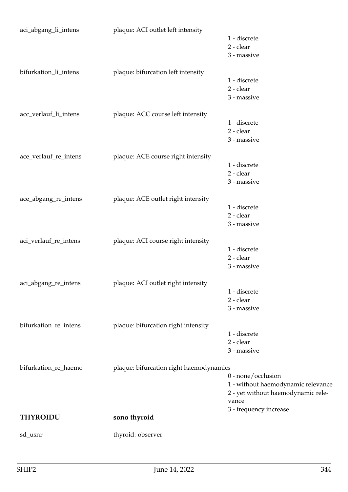| aci_abgang_li_intens  | plaque: ACI outlet left intensity       | 1 - discrete<br>2 - clear          |
|-----------------------|-----------------------------------------|------------------------------------|
|                       |                                         | 3 - massive                        |
| bifurkation_li_intens | plaque: bifurcation left intensity      |                                    |
|                       |                                         | 1 - discrete                       |
|                       |                                         | 2 - clear                          |
|                       |                                         | 3 - massive                        |
| acc_verlauf_li_intens | plaque: ACC course left intensity       |                                    |
|                       |                                         | 1 - discrete                       |
|                       |                                         | 2 - clear<br>3 - massive           |
|                       |                                         |                                    |
| ace_verlauf_re_intens | plaque: ACE course right intensity      |                                    |
|                       |                                         | 1 - discrete                       |
|                       |                                         | 2 - clear                          |
|                       |                                         | 3 - massive                        |
| ace_abgang_re_intens  | plaque: ACE outlet right intensity      |                                    |
|                       |                                         | 1 - discrete                       |
|                       |                                         | 2 - clear                          |
|                       |                                         | 3 - massive                        |
| aci_verlauf_re_intens | plaque: ACI course right intensity      |                                    |
|                       |                                         | 1 - discrete                       |
|                       |                                         | 2 - clear                          |
|                       |                                         | 3 - massive                        |
| aci_abgang_re_intens  | plaque: ACI outlet right intensity      |                                    |
|                       |                                         | 1 - discrete                       |
|                       |                                         | 2 - clear                          |
|                       |                                         | 3 - massive                        |
| bifurkation_re_intens | plaque: bifurcation right intensity     |                                    |
|                       |                                         | 1 - discrete                       |
|                       |                                         | 2 - clear                          |
|                       |                                         | 3 - massive                        |
| bifurkation_re_haemo  | plaque: bifurcation right haemodynamics |                                    |
|                       |                                         | 0 - none/occlusion                 |
|                       |                                         | 1 - without haemodynamic relevance |
|                       |                                         | 2 - yet without haemodynamic rele- |
|                       |                                         | vance                              |
| <b>THYROIDU</b>       | sono thyroid                            | 3 - frequency increase             |
|                       |                                         |                                    |
| sd_usnr               | thyroid: observer                       |                                    |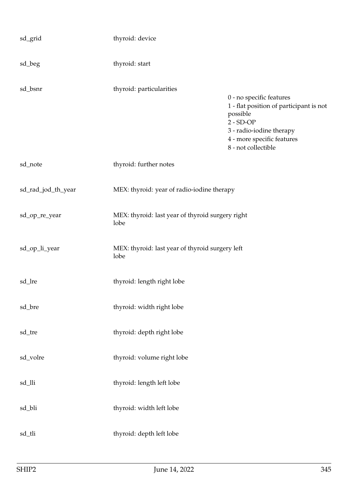| sd_grid            | thyroid: device                                          |                                                                                                                                                                                 |
|--------------------|----------------------------------------------------------|---------------------------------------------------------------------------------------------------------------------------------------------------------------------------------|
| sd_beg             | thyroid: start                                           |                                                                                                                                                                                 |
| sd_bsnr            | thyroid: particularities                                 | 0 - no specific features<br>1 - flat position of participant is not<br>possible<br>$2 - SD-OP$<br>3 - radio-iodine therapy<br>4 - more specific features<br>8 - not collectible |
| sd_note            | thyroid: further notes                                   |                                                                                                                                                                                 |
| sd_rad_jod_th_year | MEX: thyroid: year of radio-iodine therapy               |                                                                                                                                                                                 |
| sd_op_re_year      | MEX: thyroid: last year of thyroid surgery right<br>lobe |                                                                                                                                                                                 |
| sd_op_li_year      | MEX: thyroid: last year of thyroid surgery left<br>lobe  |                                                                                                                                                                                 |
| sd_lre             | thyroid: length right lobe                               |                                                                                                                                                                                 |
| sd_bre             | thyroid: width right lobe                                |                                                                                                                                                                                 |
| sd_tre             | thyroid: depth right lobe                                |                                                                                                                                                                                 |
| sd_volre           | thyroid: volume right lobe                               |                                                                                                                                                                                 |
| sd_lli             | thyroid: length left lobe                                |                                                                                                                                                                                 |
| sd_bli             | thyroid: width left lobe                                 |                                                                                                                                                                                 |
| sd_tli             | thyroid: depth left lobe                                 |                                                                                                                                                                                 |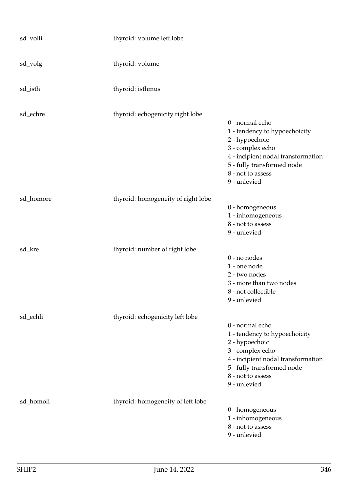| sd_volli  | thyroid: volume left lobe          |                                                                                                                                                                                                 |
|-----------|------------------------------------|-------------------------------------------------------------------------------------------------------------------------------------------------------------------------------------------------|
| sd_volg   | thyroid: volume                    |                                                                                                                                                                                                 |
| sd_isth   | thyroid: isthmus                   |                                                                                                                                                                                                 |
| sd_echre  | thyroid: echogenicity right lobe   | 0 - normal echo<br>1 - tendency to hypoechoicity<br>2 - hypoechoic<br>3 - complex echo<br>4 - incipient nodal transformation<br>5 - fully transformed node<br>8 - not to assess<br>9 - unlevied |
| sd_homore | thyroid: homogeneity of right lobe | 0 - homogeneous<br>1 - inhomogeneous<br>8 - not to assess<br>9 - unlevied                                                                                                                       |
| sd_kre    | thyroid: number of right lobe      | 0 - no nodes<br>1 - one node<br>2 - two nodes<br>3 - more than two nodes<br>8 - not collectible<br>9 - unlevied                                                                                 |
| sd_echli  | thyroid: echogenicity left lobe    | 0 - normal echo<br>1 - tendency to hypoechoicity<br>2 - hypoechoic<br>3 - complex echo<br>4 - incipient nodal transformation<br>5 - fully transformed node<br>8 - not to assess<br>9 - unlevied |
| sd_homoli | thyroid: homogeneity of left lobe  | 0 - homogeneous<br>1 - inhomogeneous<br>8 - not to assess<br>9 - unlevied                                                                                                                       |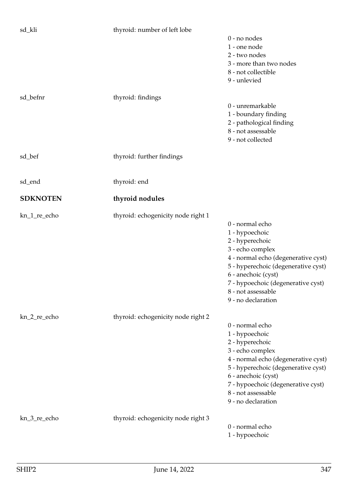| sd_kli          | thyroid: number of left lobe       |                                                                                                                                                                                                                                                                 |
|-----------------|------------------------------------|-----------------------------------------------------------------------------------------------------------------------------------------------------------------------------------------------------------------------------------------------------------------|
|                 |                                    | 0 - no nodes<br>1 - one node<br>2 - two nodes<br>3 - more than two nodes<br>8 - not collectible<br>9 - unlevied                                                                                                                                                 |
| sd_befnr        | thyroid: findings                  | 0 - unremarkable<br>1 - boundary finding<br>2 - pathological finding<br>8 - not assessable<br>9 - not collected                                                                                                                                                 |
| sd_bef          | thyroid: further findings          |                                                                                                                                                                                                                                                                 |
| sd_end          | thyroid: end                       |                                                                                                                                                                                                                                                                 |
| <b>SDKNOTEN</b> | thyroid nodules                    |                                                                                                                                                                                                                                                                 |
| kn_1_re_echo    | thyroid: echogenicity node right 1 | 0 - normal echo<br>1 - hypoechoic<br>2 - hyperechoic<br>3 - echo complex<br>4 - normal echo (degenerative cyst)<br>5 - hyperechoic (degenerative cyst)<br>6 - anechoic (cyst)<br>7 - hypoechoic (degenerative cyst)<br>8 - not assessable<br>9 - no declaration |
| kn_2_re_echo    | thyroid: echogenicity node right 2 | 0 - normal echo<br>1 - hypoechoic<br>2 - hyperechoic<br>3 - echo complex<br>4 - normal echo (degenerative cyst)<br>5 - hyperechoic (degenerative cyst)<br>6 - anechoic (cyst)<br>7 - hypoechoic (degenerative cyst)<br>8 - not assessable<br>9 - no declaration |
| kn_3_re_echo    | thyroid: echogenicity node right 3 | 0 - normal echo<br>1 - hypoechoic                                                                                                                                                                                                                               |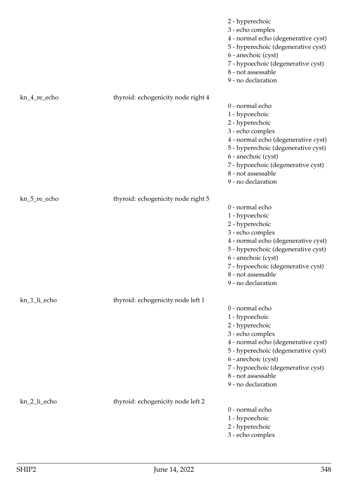|              |                                    | 2 - hyperechoic<br>3 - echo complex<br>4 - normal echo (degenerative cyst)<br>5 - hyperechoic (degenerative cyst)<br>6 - anechoic (cyst)<br>7 - hypoechoic (degenerative cyst)<br>8 - not assessable<br>9 - no declaration                                      |
|--------------|------------------------------------|-----------------------------------------------------------------------------------------------------------------------------------------------------------------------------------------------------------------------------------------------------------------|
| kn_4_re_echo | thyroid: echogenicity node right 4 | 0 - normal echo<br>1 - hypoechoic<br>2 - hyperechoic<br>3 - echo complex<br>4 - normal echo (degenerative cyst)<br>5 - hyperechoic (degenerative cyst)<br>6 - anechoic (cyst)<br>7 - hypoechoic (degenerative cyst)<br>8 - not assessable<br>9 - no declaration |
| kn_5_re_echo | thyroid: echogenicity node right 5 | 0 - normal echo<br>1 - hypoechoic<br>2 - hyperechoic<br>3 - echo complex<br>4 - normal echo (degenerative cyst)<br>5 - hyperechoic (degenerative cyst)<br>6 - anechoic (cyst)<br>7 - hypoechoic (degenerative cyst)<br>8 - not assessable<br>9 - no declaration |
| kn_1_li_echo | thyroid: echogenicity node left 1  | 0 - normal echo<br>1 - hypoechoic<br>2 - hyperechoic<br>3 - echo complex<br>4 - normal echo (degenerative cyst)<br>5 - hyperechoic (degenerative cyst)<br>6 - anechoic (cyst)<br>7 - hypoechoic (degenerative cyst)<br>8 - not assessable<br>9 - no declaration |
| kn_2_li_echo | thyroid: echogenicity node left 2  | 0 - normal echo<br>1 - hypoechoic<br>2 - hyperechoic<br>3 - echo complex                                                                                                                                                                                        |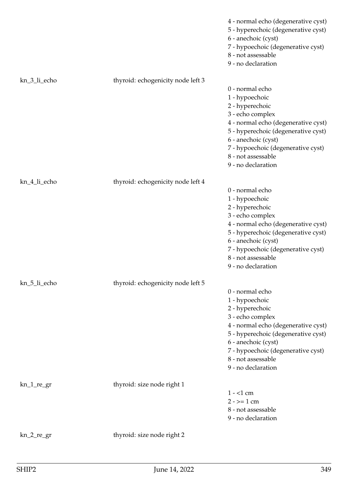|               |                                   | 4 - normal echo (degenerative cyst)<br>5 - hyperechoic (degenerative cyst)<br>6 - anechoic (cyst)<br>7 - hypoechoic (degenerative cyst)<br>8 - not assessable<br>9 - no declaration                                                                             |
|---------------|-----------------------------------|-----------------------------------------------------------------------------------------------------------------------------------------------------------------------------------------------------------------------------------------------------------------|
| kn_3_li_echo  | thyroid: echogenicity node left 3 | 0 - normal echo<br>1 - hypoechoic<br>2 - hyperechoic<br>3 - echo complex<br>4 - normal echo (degenerative cyst)<br>5 - hyperechoic (degenerative cyst)<br>6 - anechoic (cyst)<br>7 - hypoechoic (degenerative cyst)<br>8 - not assessable<br>9 - no declaration |
| kn_4_li_echo  | thyroid: echogenicity node left 4 | 0 - normal echo<br>1 - hypoechoic<br>2 - hyperechoic<br>3 - echo complex<br>4 - normal echo (degenerative cyst)<br>5 - hyperechoic (degenerative cyst)<br>6 - anechoic (cyst)<br>7 - hypoechoic (degenerative cyst)<br>8 - not assessable<br>9 - no declaration |
| kn_5_li_echo  | thyroid: echogenicity node left 5 | 0 - normal echo<br>1 - hypoechoic<br>2 - hyperechoic<br>3 - echo complex<br>4 - normal echo (degenerative cyst)<br>5 - hyperechoic (degenerative cyst)<br>6 - anechoic (cyst)<br>7 - hypoechoic (degenerative cyst)<br>8 - not assessable<br>9 - no declaration |
| $kn_1_re\_gr$ | thyroid: size node right 1        | $1 - 1$ cm<br>$2 - \ge 1$ cm<br>8 - not assessable<br>9 - no declaration                                                                                                                                                                                        |
| $kn_2_re\_gr$ | thyroid: size node right 2        |                                                                                                                                                                                                                                                                 |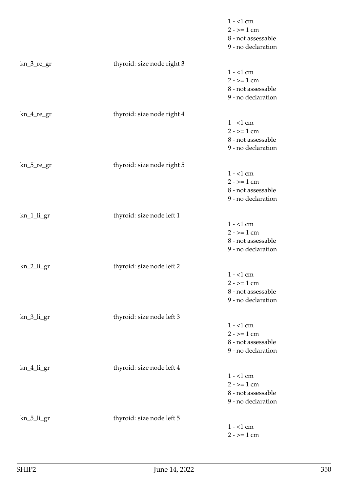|               |                            | $1 - 1$ cm<br>$2 - 1$ cm<br>8 - not assessable<br>9 - no declaration     |
|---------------|----------------------------|--------------------------------------------------------------------------|
| $kn_3_re\_gr$ | thyroid: size node right 3 | $1 - 1$ cm<br>$2 - \ge 1$ cm<br>8 - not assessable<br>9 - no declaration |
| $kn_4_re\_gr$ | thyroid: size node right 4 | $1 - 1$ cm<br>$2 - \ge 1$ cm<br>8 - not assessable<br>9 - no declaration |
| $kn_5_re\_gr$ | thyroid: size node right 5 | $1 - 1$ cm<br>$2 - \ge 1$ cm<br>8 - not assessable<br>9 - no declaration |
| kn_1_li_gr    | thyroid: size node left 1  | $1 - 1$ cm<br>$2 - 2 = 1$ cm<br>8 - not assessable<br>9 - no declaration |
| kn_2_li_gr    | thyroid: size node left 2  | $1 - 1$ cm<br>$2 - \ge 1$ cm<br>8 - not assessable<br>9 - no declaration |
| kn_3_li_gr    | thyroid: size node left 3  | $1 - 1$ cm<br>$2 - \ge 1$ cm<br>8 - not assessable<br>9 - no declaration |
| kn_4_li_gr    | thyroid: size node left 4  | $1 - 1$ cm<br>$2 - \ge 1$ cm<br>8 - not assessable<br>9 - no declaration |
| kn_5_li_gr    | thyroid: size node left 5  | $1 - 1$ cm<br>$2 - \ge 1$ cm                                             |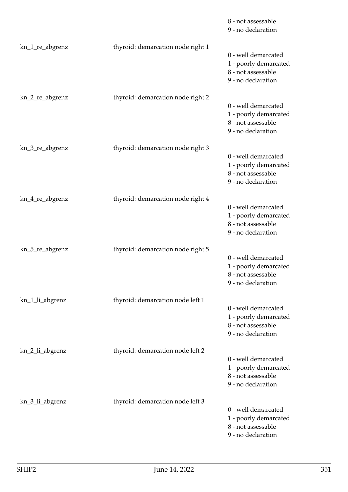|                 |                                   | 8 - not assessable<br>9 - no declaration                                                 |
|-----------------|-----------------------------------|------------------------------------------------------------------------------------------|
| kn_1_re_abgrenz | thyroid: demarcation node right 1 | 0 - well demarcated<br>1 - poorly demarcated<br>8 - not assessable<br>9 - no declaration |
| kn_2_re_abgrenz | thyroid: demarcation node right 2 | 0 - well demarcated<br>1 - poorly demarcated<br>8 - not assessable<br>9 - no declaration |
| kn_3_re_abgrenz | thyroid: demarcation node right 3 | 0 - well demarcated<br>1 - poorly demarcated<br>8 - not assessable<br>9 - no declaration |
| kn_4_re_abgrenz | thyroid: demarcation node right 4 | 0 - well demarcated<br>1 - poorly demarcated<br>8 - not assessable<br>9 - no declaration |
| kn_5_re_abgrenz | thyroid: demarcation node right 5 | 0 - well demarcated<br>1 - poorly demarcated<br>8 - not assessable<br>9 - no declaration |
| kn_1_li_abgrenz | thyroid: demarcation node left 1  | 0 - well demarcated<br>1 - poorly demarcated<br>8 - not assessable<br>9 - no declaration |
| kn_2_li_abgrenz | thyroid: demarcation node left 2  | 0 - well demarcated<br>1 - poorly demarcated<br>8 - not assessable<br>9 - no declaration |
| kn_3_li_abgrenz | thyroid: demarcation node left 3  | 0 - well demarcated<br>1 - poorly demarcated<br>8 - not assessable<br>9 - no declaration |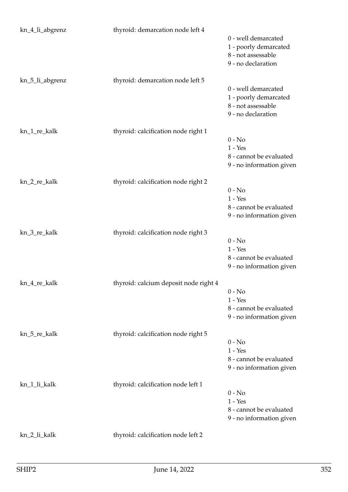| kn_4_li_abgrenz | thyroid: demarcation node left 4      |                                                                                          |
|-----------------|---------------------------------------|------------------------------------------------------------------------------------------|
|                 |                                       | 0 - well demarcated<br>1 - poorly demarcated<br>8 - not assessable<br>9 - no declaration |
| kn_5_li_abgrenz | thyroid: demarcation node left 5      | 0 - well demarcated                                                                      |
|                 |                                       | 1 - poorly demarcated<br>8 - not assessable<br>9 - no declaration                        |
| kn_1_re_kalk    | thyroid: calcification node right 1   |                                                                                          |
|                 |                                       | $0 - No$<br>$1 - Yes$                                                                    |
|                 |                                       | 8 - cannot be evaluated<br>9 - no information given                                      |
| kn_2_re_kalk    | thyroid: calcification node right 2   |                                                                                          |
|                 |                                       | $0 - No$                                                                                 |
|                 |                                       | $1 - Yes$                                                                                |
|                 |                                       | 8 - cannot be evaluated<br>9 - no information given                                      |
| kn_3_re_kalk    | thyroid: calcification node right 3   |                                                                                          |
|                 |                                       | $0 - No$<br>$1 - Yes$                                                                    |
|                 |                                       | 8 - cannot be evaluated                                                                  |
|                 |                                       | 9 - no information given                                                                 |
| kn_4_re_kalk    | thyroid: calcium deposit node right 4 |                                                                                          |
|                 |                                       | $0 - No$<br>$1 - Yes$                                                                    |
|                 |                                       | 8 - cannot be evaluated                                                                  |
|                 |                                       | 9 - no information given                                                                 |
| kn_5_re_kalk    | thyroid: calcification node right 5   |                                                                                          |
|                 |                                       | $0 - No$<br>$1 - Yes$                                                                    |
|                 |                                       | 8 - cannot be evaluated                                                                  |
|                 |                                       | 9 - no information given                                                                 |
| kn_1_li_kalk    | thyroid: calcification node left 1    |                                                                                          |
|                 |                                       | $0 - No$<br>$1 - Yes$                                                                    |
|                 |                                       | 8 - cannot be evaluated                                                                  |
|                 |                                       | 9 - no information given                                                                 |
| kn_2_li_kalk    | thyroid: calcification node left 2    |                                                                                          |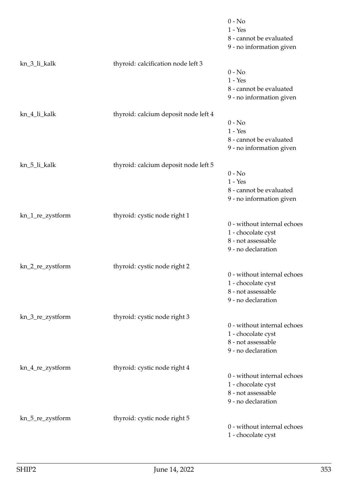|                  |                                      | $0 - No$<br>$1 - Yes$<br>8 - cannot be evaluated<br>9 - no information given                  |
|------------------|--------------------------------------|-----------------------------------------------------------------------------------------------|
| kn_3_li_kalk     | thyroid: calcification node left 3   | $0 - No$<br>$1 - Yes$<br>8 - cannot be evaluated<br>9 - no information given                  |
| kn_4_li_kalk     | thyroid: calcium deposit node left 4 | $0 - No$<br>$1 - Yes$<br>8 - cannot be evaluated<br>9 - no information given                  |
| kn_5_li_kalk     | thyroid: calcium deposit node left 5 | $0 - No$<br>$1 - Yes$<br>8 - cannot be evaluated<br>9 - no information given                  |
| kn_1_re_zystform | thyroid: cystic node right 1         | 0 - without internal echoes<br>1 - chocolate cyst<br>8 - not assessable<br>9 - no declaration |
| kn_2_re_zystform | thyroid: cystic node right 2         | 0 - without internal echoes<br>1 - chocolate cyst<br>8 - not assessable<br>9 - no declaration |
| kn_3_re_zystform | thyroid: cystic node right 3         | 0 - without internal echoes<br>1 - chocolate cyst<br>8 - not assessable<br>9 - no declaration |
| kn_4_re_zystform | thyroid: cystic node right 4         | 0 - without internal echoes<br>1 - chocolate cyst<br>8 - not assessable<br>9 - no declaration |
| kn_5_re_zystform | thyroid: cystic node right 5         | 0 - without internal echoes<br>1 - chocolate cyst                                             |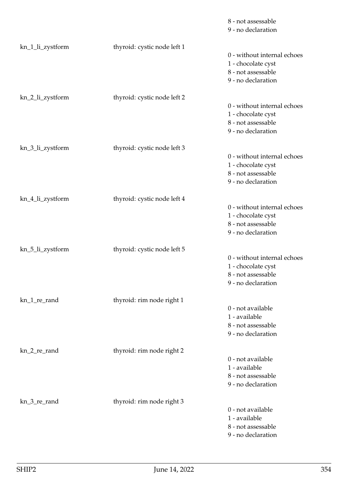|                  |                             | 8 - not assessable<br>9 - no declaration                                                      |
|------------------|-----------------------------|-----------------------------------------------------------------------------------------------|
| kn_1_li_zystform | thyroid: cystic node left 1 | 0 - without internal echoes<br>1 - chocolate cyst<br>8 - not assessable<br>9 - no declaration |
| kn_2_li_zystform | thyroid: cystic node left 2 | 0 - without internal echoes<br>1 - chocolate cyst<br>8 - not assessable<br>9 - no declaration |
| kn_3_li_zystform | thyroid: cystic node left 3 | 0 - without internal echoes<br>1 - chocolate cyst<br>8 - not assessable<br>9 - no declaration |
| kn_4_li_zystform | thyroid: cystic node left 4 | 0 - without internal echoes<br>1 - chocolate cyst<br>8 - not assessable<br>9 - no declaration |
| kn_5_li_zystform | thyroid: cystic node left 5 | 0 - without internal echoes<br>1 - chocolate cyst<br>8 - not assessable<br>9 - no declaration |
| kn_1_re_rand     | thyroid: rim node right 1   | 0 - not available<br>1 - available<br>8 - not assessable<br>9 - no declaration                |
| kn_2_re_rand     | thyroid: rim node right 2   | 0 - not available<br>1 - available<br>8 - not assessable<br>9 - no declaration                |
| kn_3_re_rand     | thyroid: rim node right 3   | 0 - not available<br>1 - available<br>8 - not assessable<br>9 - no declaration                |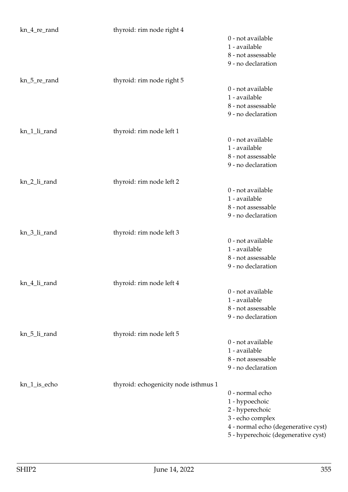| kn_4_re_rand | thyroid: rim node right 4            |                                     |
|--------------|--------------------------------------|-------------------------------------|
|              |                                      | 0 - not available                   |
|              |                                      | 1 - available                       |
|              |                                      | 8 - not assessable                  |
|              |                                      | 9 - no declaration                  |
|              |                                      |                                     |
| kn_5_re_rand | thyroid: rim node right 5            |                                     |
|              |                                      | 0 - not available                   |
|              |                                      | 1 - available                       |
|              |                                      | 8 - not assessable                  |
|              |                                      | 9 - no declaration                  |
| kn_1_li_rand | thyroid: rim node left 1             |                                     |
|              |                                      | 0 - not available                   |
|              |                                      | 1 - available                       |
|              |                                      | 8 - not assessable                  |
|              |                                      | 9 - no declaration                  |
| kn_2_li_rand |                                      |                                     |
|              | thyroid: rim node left 2             | 0 - not available                   |
|              |                                      | 1 - available                       |
|              |                                      | 8 - not assessable                  |
|              |                                      | 9 - no declaration                  |
|              |                                      |                                     |
| kn_3_li_rand | thyroid: rim node left 3             |                                     |
|              |                                      | 0 - not available                   |
|              |                                      | 1 - available                       |
|              |                                      | 8 - not assessable                  |
|              |                                      | 9 - no declaration                  |
| kn_4_li_rand | thyroid: rim node left 4             |                                     |
|              |                                      | 0 - not available                   |
|              |                                      | 1 - available                       |
|              |                                      | 8 - not assessable                  |
|              |                                      | 9 - no declaration                  |
|              |                                      |                                     |
| kn_5_li_rand | thyroid: rim node left 5             |                                     |
|              |                                      | 0 - not available                   |
|              |                                      | 1 - available                       |
|              |                                      | 8 - not assessable                  |
|              |                                      | 9 - no declaration                  |
| kn_1_is_echo | thyroid: echogenicity node isthmus 1 |                                     |
|              |                                      | 0 - normal echo                     |
|              |                                      | 1 - hypoechoic                      |
|              |                                      | 2 - hyperechoic                     |
|              |                                      | 3 - echo complex                    |
|              |                                      | 4 - normal echo (degenerative cyst) |
|              |                                      | 5 - hyperechoic (degenerative cyst) |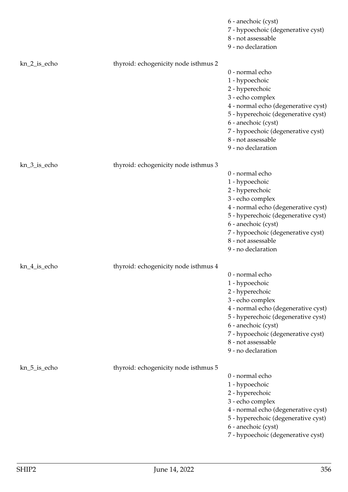|              |                                      | 6 - anechoic (cyst)<br>7 - hypoechoic (degenerative cyst)<br>8 - not assessable<br>9 - no declaration                                                                                                                                                           |
|--------------|--------------------------------------|-----------------------------------------------------------------------------------------------------------------------------------------------------------------------------------------------------------------------------------------------------------------|
| kn_2_is_echo | thyroid: echogenicity node isthmus 2 | 0 - normal echo<br>1 - hypoechoic<br>2 - hyperechoic<br>3 - echo complex<br>4 - normal echo (degenerative cyst)<br>5 - hyperechoic (degenerative cyst)<br>6 - anechoic (cyst)<br>7 - hypoechoic (degenerative cyst)<br>8 - not assessable<br>9 - no declaration |
| kn_3_is_echo | thyroid: echogenicity node isthmus 3 | 0 - normal echo<br>1 - hypoechoic<br>2 - hyperechoic<br>3 - echo complex<br>4 - normal echo (degenerative cyst)<br>5 - hyperechoic (degenerative cyst)<br>6 - anechoic (cyst)<br>7 - hypoechoic (degenerative cyst)<br>8 - not assessable<br>9 - no declaration |
| kn_4_is_echo | thyroid: echogenicity node isthmus 4 | 0 - normal echo<br>1 - hypoechoic<br>2 - hyperechoic<br>3 - echo complex<br>4 - normal echo (degenerative cyst)<br>5 - hyperechoic (degenerative cyst)<br>6 - anechoic (cyst)<br>7 - hypoechoic (degenerative cyst)<br>8 - not assessable<br>9 - no declaration |
| kn_5_is_echo | thyroid: echogenicity node isthmus 5 | 0 - normal echo<br>1 - hypoechoic<br>2 - hyperechoic<br>3 - echo complex<br>4 - normal echo (degenerative cyst)<br>5 - hyperechoic (degenerative cyst)<br>6 - anechoic (cyst)<br>7 - hypoechoic (degenerative cyst)                                             |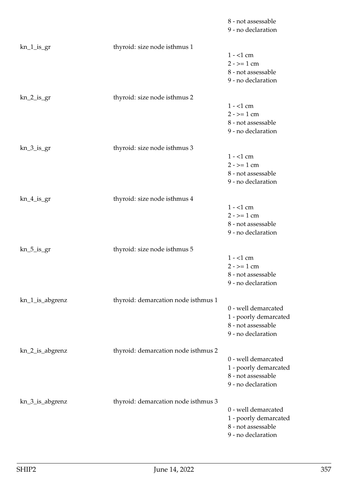|                 |                                     | 8 - not assessable<br>9 - no declaration                                                 |
|-----------------|-------------------------------------|------------------------------------------------------------------------------------------|
| $kn_1_is_2r$    | thyroid: size node isthmus 1        | $1 - 1$ cm<br>$2 - \ge 1$ cm<br>8 - not assessable<br>9 - no declaration                 |
| kn_2_is_gr      | thyroid: size node isthmus 2        | $1 - 1$ cm<br>$2 - \ge 1$ cm<br>8 - not assessable<br>9 - no declaration                 |
| $kn_3_is_gr$    | thyroid: size node isthmus 3        | $1 - 1$ cm<br>$2 - \ge 1$ cm<br>8 - not assessable<br>9 - no declaration                 |
| $kn_4$ is gr    | thyroid: size node isthmus 4        | $1 - 1$ cm<br>$2 - \ge 1$ cm<br>8 - not assessable<br>9 - no declaration                 |
| $kn_5_is_gr$    | thyroid: size node isthmus 5        | $1 - 1$ cm<br>$2 - \ge 1$ cm<br>8 - not assessable<br>9 - no declaration                 |
| kn_1_is_abgrenz | thyroid: demarcation node isthmus 1 | 0 - well demarcated<br>1 - poorly demarcated<br>8 - not assessable<br>9 - no declaration |
| kn_2_is_abgrenz | thyroid: demarcation node isthmus 2 | 0 - well demarcated<br>1 - poorly demarcated<br>8 - not assessable<br>9 - no declaration |
| kn_3_is_abgrenz | thyroid: demarcation node isthmus 3 | 0 - well demarcated<br>1 - poorly demarcated<br>8 - not assessable<br>9 - no declaration |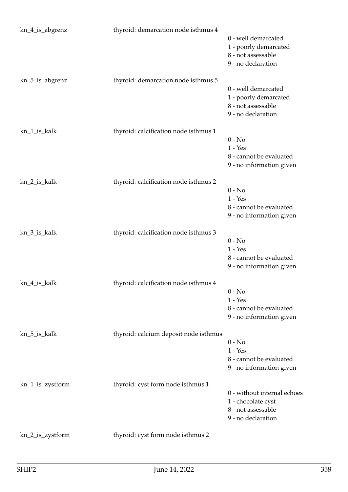| kn_4_is_abgrenz  | thyroid: demarcation node isthmus 4   | 0 - well demarcated<br>1 - poorly demarcated<br>8 - not assessable<br>9 - no declaration      |
|------------------|---------------------------------------|-----------------------------------------------------------------------------------------------|
| kn_5_is_abgrenz  | thyroid: demarcation node isthmus 5   | 0 - well demarcated<br>1 - poorly demarcated<br>8 - not assessable<br>9 - no declaration      |
| kn_1_is_kalk     | thyroid: calcification node isthmus 1 | $0 - No$<br>$1 - Yes$<br>8 - cannot be evaluated<br>9 - no information given                  |
| kn_2_is_kalk     | thyroid: calcification node isthmus 2 | $0 - No$<br>$1 - Yes$<br>8 - cannot be evaluated<br>9 - no information given                  |
| kn_3_is_kalk     | thyroid: calcification node isthmus 3 | $0 - No$<br>$1 - Yes$<br>8 - cannot be evaluated<br>9 - no information given                  |
| kn_4_is_kalk     | thyroid: calcification node isthmus 4 | $0 - No$<br>$1 - Yes$<br>8 - cannot be evaluated<br>9 - no information given                  |
| kn_5_is_kalk     | thyroid: calcium deposit node isthmus | $0 - No$<br>$1 - Yes$<br>8 - cannot be evaluated<br>9 - no information given                  |
| kn_1_is_zystform | thyroid: cyst form node isthmus 1     | 0 - without internal echoes<br>1 - chocolate cyst<br>8 - not assessable<br>9 - no declaration |
| kn_2_is_zystform | thyroid: cyst form node isthmus 2     |                                                                                               |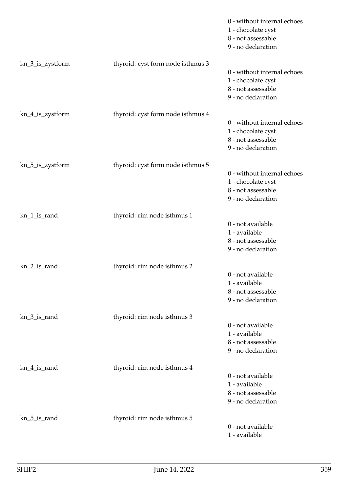|                  |                                    | 0 - without internal echoes<br>1 - chocolate cyst<br>8 - not assessable<br>9 - no declaration |
|------------------|------------------------------------|-----------------------------------------------------------------------------------------------|
| kn_3_is_zystform | thyroid: cyst form node isthmus 3  | 0 - without internal echoes<br>1 - chocolate cyst<br>8 - not assessable<br>9 - no declaration |
| kn_4_is_zystform | thyroid: cyst form node is thmus 4 | 0 - without internal echoes<br>1 - chocolate cyst<br>8 - not assessable<br>9 - no declaration |
| kn_5_is_zystform | thyroid: cyst form node is thmus 5 | 0 - without internal echoes<br>1 - chocolate cyst<br>8 - not assessable<br>9 - no declaration |
| kn_1_is_rand     | thyroid: rim node isthmus 1        | 0 - not available<br>1 - available<br>8 - not assessable<br>9 - no declaration                |
| kn_2_is_rand     | thyroid: rim node isthmus 2        | 0 - not available<br>1 - available<br>8 - not assessable<br>9 - no declaration                |
| kn_3_is_rand     | thyroid: rim node isthmus 3        | 0 - not available<br>1 - available<br>8 - not assessable<br>9 - no declaration                |
| kn_4_is_rand     | thyroid: rim node isthmus 4        | 0 - not available<br>1 - available<br>8 - not assessable<br>9 - no declaration                |
| kn_5_is_rand     | thyroid: rim node isthmus 5        | 0 - not available<br>1 - available                                                            |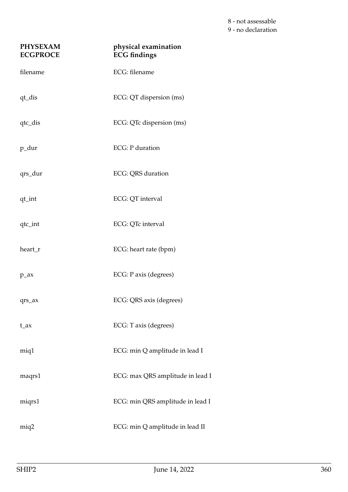8 - not assessable 9 - no declaration

| <b>PHYSEXAM</b><br><b>ECGPROCE</b> | physical examination<br><b>ECG</b> findings |
|------------------------------------|---------------------------------------------|
| filename                           | ECG: filename                               |
| qt_dis                             | ECG: QT dispersion (ms)                     |
| qtc_dis                            | ECG: QTc dispersion (ms)                    |
| p_dur                              | <b>ECG</b> : P duration                     |
| qrs_dur                            | ECG: QRS duration                           |
| qt_int                             | ECG: QT interval                            |
| qtc_int                            | ECG: QTc interval                           |
| heart_r                            | ECG: heart rate (bpm)                       |
| $p_ax$                             | ECG: P axis (degrees)                       |
| $qrs_ax$                           | ECG: QRS axis (degrees)                     |
| $t_{ax}$                           | ECG: T axis (degrees)                       |
| miq1                               | ECG: min Q amplitude in lead I              |
| maqrs1                             | ECG: max QRS amplitude in lead I            |
| miqrs1                             | ECG: min QRS amplitude in lead I            |
| miq2                               | ECG: min Q amplitude in lead II             |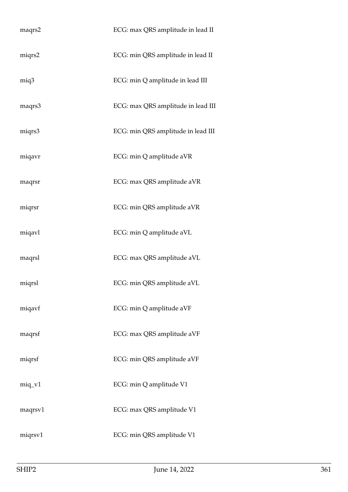| maqrs2   | ECG: max QRS amplitude in lead II  |
|----------|------------------------------------|
| miqrs2   | ECG: min QRS amplitude in lead II  |
| miq3     | ECG: min Q amplitude in lead III   |
| maqrs3   | ECG: max QRS amplitude in lead III |
| miqrs3   | ECG: min QRS amplitude in lead III |
| miqavr   | ECG: min Q amplitude aVR           |
| maqrsr   | ECG: max QRS amplitude aVR         |
| miqrsr   | ECG: min QRS amplitude aVR         |
| miqavl   | ECG: min Q amplitude aVL           |
| maqrsl   | ECG: max QRS amplitude aVL         |
| miqrsl   | ECG: min QRS amplitude aVL         |
| miqavf   | ECG: min Q amplitude aVF           |
| maqrsf   | ECG: max QRS amplitude aVF         |
| miqrsf   | ECG: min QRS amplitude aVF         |
| $miq_v1$ | ECG: min Q amplitude V1            |
| maqrsv1  | ECG: max QRS amplitude V1          |
| miqrsv1  | ECG: min QRS amplitude V1          |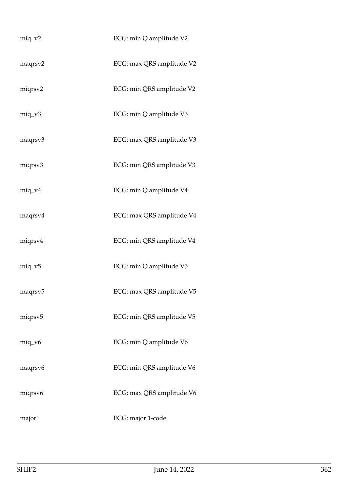| $miq_v^2$           | ECG: min Q amplitude V2   |
|---------------------|---------------------------|
| maqrsv2             | ECG: max QRS amplitude V2 |
| miqrsv2             | ECG: min QRS amplitude V2 |
| $miq_v3$            | ECG: min Q amplitude V3   |
| maqrsv3             | ECG: max QRS amplitude V3 |
| miqrsv3             | ECG: min QRS amplitude V3 |
| $miq_v4$            | ECG: min Q amplitude V4   |
| maqrsv4             | ECG: max QRS amplitude V4 |
| miqrsv4             | ECG: min QRS amplitude V4 |
| $miq_v5$            | ECG: min Q amplitude V5   |
| maqrsv <sub>5</sub> | ECG: max QRS amplitude V5 |
| miqrsv5             | ECG: min QRS amplitude V5 |
| $miq_v6$            | ECG: min Q amplitude V6   |
| maqrsv6             | ECG: min QRS amplitude V6 |
| miqrsv6             | ECG: max QRS amplitude V6 |
| major1              | ECG: major 1-code         |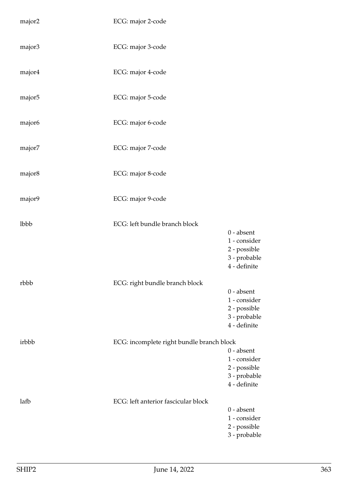| major2 | ECG: major 2-code                         |                                                                              |
|--------|-------------------------------------------|------------------------------------------------------------------------------|
| major3 | ECG: major 3-code                         |                                                                              |
| major4 | ECG: major 4-code                         |                                                                              |
| major5 | ECG: major 5-code                         |                                                                              |
| major6 | ECG: major 6-code                         |                                                                              |
| major7 | ECG: major 7-code                         |                                                                              |
| major8 | ECG: major 8-code                         |                                                                              |
| major9 | ECG: major 9-code                         |                                                                              |
| lbbb   | ECG: left bundle branch block             | $0$ - absent<br>1 - consider<br>2 - possible<br>3 - probable<br>4 - definite |
| rbbb   | ECG: right bundle branch block            | $0$ - absent<br>1 - consider<br>2 - possible<br>3 - probable<br>4 - definite |
| irbbb  | ECG: incomplete right bundle branch block | $0$ - absent<br>1 - consider<br>2 - possible<br>3 - probable<br>4 - definite |
| lafb   | ECG: left anterior fascicular block       | $0 - absent$<br>1 - consider<br>2 - possible<br>3 - probable                 |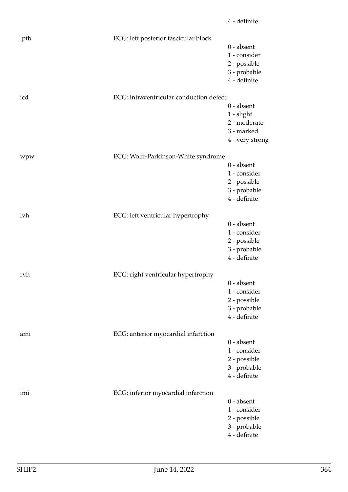| lpfb | ECG: left posterior fascicular block    |                                                                               |
|------|-----------------------------------------|-------------------------------------------------------------------------------|
|      |                                         | $0$ - absent<br>1 - consider<br>2 - possible<br>3 - probable<br>4 - definite  |
| icd  | ECG: intraventricular conduction defect |                                                                               |
|      |                                         | $0$ - absent<br>$1$ - slight<br>2 - moderate<br>3 - marked<br>4 - very strong |
| wpw  | ECG: Wolff-Parkinson-White syndrome     |                                                                               |
|      |                                         | $0$ - absent<br>1 - consider<br>2 - possible<br>3 - probable<br>4 - definite  |
| lvh  | ECG: left ventricular hypertrophy       |                                                                               |
|      |                                         | $0$ - absent<br>1 - consider<br>2 - possible<br>3 - probable<br>4 - definite  |
| rvh  | ECG: right ventricular hypertrophy      |                                                                               |
|      |                                         | $0$ - absent<br>1 - consider<br>2 - possible<br>3 - probable<br>4 - definite  |
| ami  | ECG: anterior myocardial infarction     |                                                                               |
|      |                                         | $0$ - absent<br>1 - consider<br>2 - possible<br>3 - probable<br>4 - definite  |
| imi  | ECG: inferior myocardial infarction     |                                                                               |
|      |                                         | $0$ - absent<br>1 - consider<br>2 - possible<br>3 - probable<br>4 - definite  |

4 - definite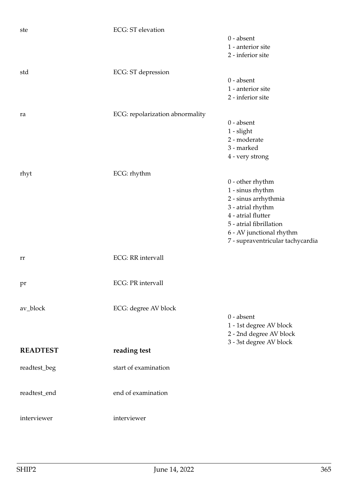| ste             | <b>ECG</b> : ST elevation       |                                  |
|-----------------|---------------------------------|----------------------------------|
|                 |                                 | $0$ - absent                     |
|                 |                                 | 1 - anterior site                |
|                 |                                 | 2 - inferior site                |
|                 |                                 |                                  |
| std             | ECG: ST depression              |                                  |
|                 |                                 | $0 - absent$                     |
|                 |                                 | 1 - anterior site                |
|                 |                                 | 2 - inferior site                |
|                 |                                 |                                  |
| ra              | ECG: repolarization abnormality |                                  |
|                 |                                 | $0 - absent$                     |
|                 |                                 | 1 - slight                       |
|                 |                                 | 2 - moderate                     |
|                 |                                 | 3 - marked                       |
|                 |                                 | 4 - very strong                  |
|                 |                                 |                                  |
| rhyt            | ECG: rhythm                     |                                  |
|                 |                                 | $0$ - other rhythm               |
|                 |                                 | 1 - sinus rhythm                 |
|                 |                                 | 2 - sinus arrhythmia             |
|                 |                                 | 3 - atrial rhythm                |
|                 |                                 | 4 - atrial flutter               |
|                 |                                 |                                  |
|                 |                                 | 5 - atrial fibrillation          |
|                 |                                 | 6 - AV junctional rhythm         |
|                 |                                 | 7 - supraventricular tachycardia |
|                 |                                 |                                  |
| rr              | <b>ECG</b> : RR intervall       |                                  |
|                 |                                 |                                  |
|                 |                                 |                                  |
| pr              | <b>ECG</b> : PR intervall       |                                  |
|                 |                                 |                                  |
|                 |                                 |                                  |
| av_block        | ECG: degree AV block            |                                  |
|                 |                                 | $0 - absent$                     |
|                 |                                 | 1 - 1st degree AV block          |
|                 |                                 | 2 - 2nd degree AV block          |
|                 |                                 | 3 - 3st degree AV block          |
| <b>READTEST</b> | reading test                    |                                  |
|                 |                                 |                                  |
| readtest_beg    | start of examination            |                                  |
|                 |                                 |                                  |
|                 |                                 |                                  |
| readtest_end    | end of examination              |                                  |
|                 |                                 |                                  |
|                 |                                 |                                  |
| interviewer     | interviewer                     |                                  |
|                 |                                 |                                  |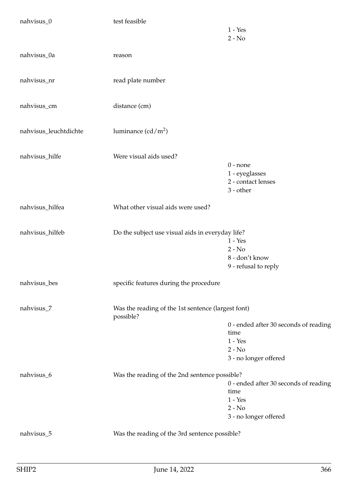| nahvisus_0            | test feasible                                                   | $1 - Yes$                                                       |
|-----------------------|-----------------------------------------------------------------|-----------------------------------------------------------------|
|                       |                                                                 | $2 - No$                                                        |
| nahvisus_0a           | reason                                                          |                                                                 |
| nahvisus_nr           | read plate number                                               |                                                                 |
| nahvisus_cm           | distance (cm)                                                   |                                                                 |
| nahvisus_leuchtdichte | luminance $(cd/m^2)$                                            |                                                                 |
| nahvisus_hilfe        | Were visual aids used?                                          |                                                                 |
|                       |                                                                 | $0$ - none<br>1 - eyeglasses<br>2 - contact lenses<br>3 - other |
| nahvisus_hilfea       | What other visual aids were used?                               |                                                                 |
| nahvisus_hilfeb       | Do the subject use visual aids in everyday life?                |                                                                 |
|                       |                                                                 | $1 - Yes$<br>$2 - No$                                           |
|                       |                                                                 | 8 - don't know                                                  |
|                       |                                                                 | 9 - refusal to reply                                            |
| nahvisus_bes          | specific features during the procedure                          |                                                                 |
| nahvisus_7            | Was the reading of the 1st sentence (largest font)<br>possible? |                                                                 |
|                       |                                                                 | 0 - ended after 30 seconds of reading                           |
|                       |                                                                 | time                                                            |
|                       |                                                                 | $1 - Yes$<br>$2 - No$                                           |
|                       |                                                                 | 3 - no longer offered                                           |
|                       |                                                                 |                                                                 |
| nahvisus_6            | Was the reading of the 2nd sentence possible?                   | 0 - ended after 30 seconds of reading                           |
|                       |                                                                 | time                                                            |
|                       |                                                                 | $1 - Yes$                                                       |
|                       |                                                                 | $2 - No$                                                        |
|                       |                                                                 | 3 - no longer offered                                           |
| nahvisus_5            | Was the reading of the 3rd sentence possible?                   |                                                                 |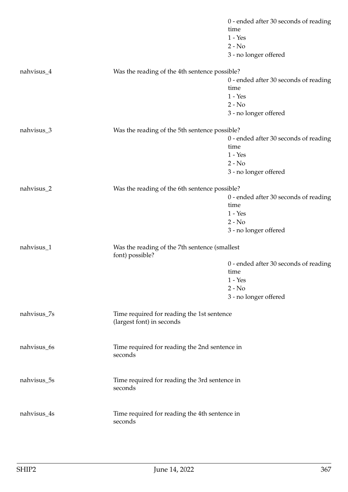|             |                                                                         | 0 - ended after 30 seconds of reading |
|-------------|-------------------------------------------------------------------------|---------------------------------------|
|             |                                                                         | time                                  |
|             |                                                                         | $1 - Yes$                             |
|             |                                                                         | $2 - No$                              |
|             |                                                                         | 3 - no longer offered                 |
| nahvisus_4  | Was the reading of the 4th sentence possible?                           |                                       |
|             |                                                                         | 0 - ended after 30 seconds of reading |
|             |                                                                         | time                                  |
|             |                                                                         | $1 - Yes$                             |
|             |                                                                         | $2 - No$                              |
|             |                                                                         | 3 - no longer offered                 |
| nahvisus_3  | Was the reading of the 5th sentence possible?                           |                                       |
|             |                                                                         | 0 - ended after 30 seconds of reading |
|             |                                                                         | time                                  |
|             |                                                                         | $1 - Yes$                             |
|             |                                                                         | $2 - No$                              |
|             |                                                                         | 3 - no longer offered                 |
| nahvisus_2  | Was the reading of the 6th sentence possible?                           |                                       |
|             |                                                                         | 0 - ended after 30 seconds of reading |
|             |                                                                         | time                                  |
|             |                                                                         | $1 - Yes$                             |
|             |                                                                         | $2 - No$                              |
|             |                                                                         | 3 - no longer offered                 |
| nahvisus_1  | Was the reading of the 7th sentence (smallest<br>font) possible?        |                                       |
|             |                                                                         | 0 - ended after 30 seconds of reading |
|             |                                                                         | time                                  |
|             |                                                                         | $1 - Yes$                             |
|             |                                                                         | $2 - No$                              |
|             |                                                                         | 3 - no longer offered                 |
| nahvisus_7s | Time required for reading the 1st sentence<br>(largest font) in seconds |                                       |
|             |                                                                         |                                       |
| nahvisus_6s | Time required for reading the 2nd sentence in<br>seconds                |                                       |
| nahvisus_5s | Time required for reading the 3rd sentence in<br>seconds                |                                       |
| nahvisus_4s | Time required for reading the 4th sentence in<br>seconds                |                                       |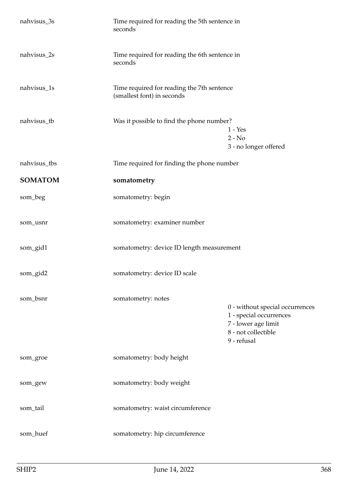| nahvisus_3s    | Time required for reading the 5th sentence in<br>seconds                 |                                                                                                                         |
|----------------|--------------------------------------------------------------------------|-------------------------------------------------------------------------------------------------------------------------|
| nahvisus_2s    | Time required for reading the 6th sentence in<br>seconds                 |                                                                                                                         |
| nahvisus_1s    | Time required for reading the 7th sentence<br>(smallest font) in seconds |                                                                                                                         |
| nahvisus_tb    | Was it possible to find the phone number?                                | $1 - Yes$<br>$2 - No$<br>3 - no longer offered                                                                          |
| nahvisus_tbs   | Time required for finding the phone number                               |                                                                                                                         |
| <b>SOMATOM</b> | somatometry                                                              |                                                                                                                         |
| som_beg        | somatometry: begin                                                       |                                                                                                                         |
| som_usnr       | somatometry: examiner number                                             |                                                                                                                         |
| som_gid1       | somatometry: device ID length measurement                                |                                                                                                                         |
| som_gid2       | somatometry: device ID scale                                             |                                                                                                                         |
| som_bsnr       | somatometry: notes                                                       | 0 - without special occurrences<br>1 - special occurrences<br>7 - lower age limit<br>8 - not collectible<br>9 - refusal |
| som_groe       | somatometry: body height                                                 |                                                                                                                         |
| som_gew        | somatometry: body weight                                                 |                                                                                                                         |
| som_tail       | somatometry: waist circumference                                         |                                                                                                                         |
| som_huef       | somatometry: hip circumference                                           |                                                                                                                         |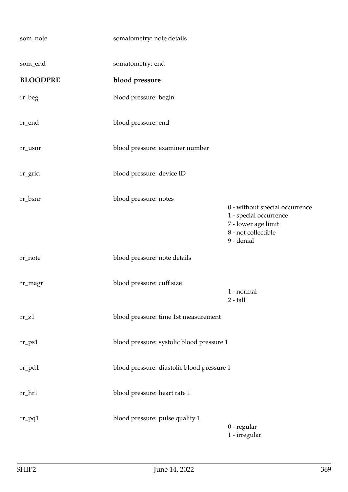| som_note             | somatometry: note details                  |                                                                                                                      |
|----------------------|--------------------------------------------|----------------------------------------------------------------------------------------------------------------------|
| som_end              | somatometry: end                           |                                                                                                                      |
| <b>BLOODPRE</b>      | blood pressure                             |                                                                                                                      |
| $rr\_beg$            | blood pressure: begin                      |                                                                                                                      |
| rr_end               | blood pressure: end                        |                                                                                                                      |
| rr_usnr              | blood pressure: examiner number            |                                                                                                                      |
| rr_grid              | blood pressure: device ID                  |                                                                                                                      |
| rr_bsnr              | blood pressure: notes                      | 0 - without special occurrence<br>1 - special occurrence<br>7 - lower age limit<br>8 - not collectible<br>9 - denial |
| rr_note              | blood pressure: note details               |                                                                                                                      |
| rr_magr              | blood pressure: cuff size                  | 1 - normal<br>$2 - tall$                                                                                             |
| $rr_Z1$              | blood pressure: time 1st measurement       |                                                                                                                      |
| $rr$ <sub>-ps1</sub> | blood pressure: systolic blood pressure 1  |                                                                                                                      |
| $rr\_pd1$            | blood pressure: diastolic blood pressure 1 |                                                                                                                      |
| rr_hr1               | blood pressure: heart rate 1               |                                                                                                                      |
| $rr\_pq1$            | blood pressure: pulse quality 1            | 0 - regular<br>1 - irregular                                                                                         |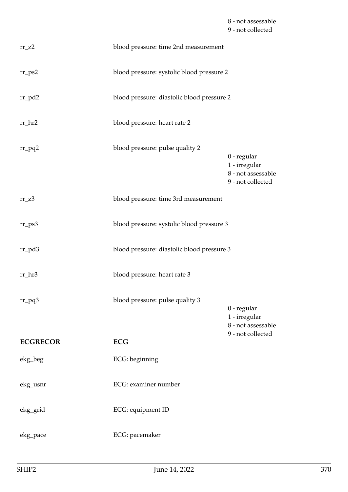8 - not assessable 9 - not collected

| $rr_zz$         | blood pressure: time 2nd measurement       |                                                                         |
|-----------------|--------------------------------------------|-------------------------------------------------------------------------|
| $rr_{PS2}$      | blood pressure: systolic blood pressure 2  |                                                                         |
| $rr_p d2$       | blood pressure: diastolic blood pressure 2 |                                                                         |
| $rr_hr2$        | blood pressure: heart rate 2               |                                                                         |
| $rr_pq2$        | blood pressure: pulse quality 2            | 0 - regular<br>1 - irregular<br>8 - not assessable<br>9 - not collected |
| $rr_zz3$        | blood pressure: time 3rd measurement       |                                                                         |
| $rr_{PS}3$      | blood pressure: systolic blood pressure 3  |                                                                         |
| rr_pd3          | blood pressure: diastolic blood pressure 3 |                                                                         |
| rr_hr3          | blood pressure: heart rate 3               |                                                                         |
| $rr_pq3$        | blood pressure: pulse quality 3            | 0 - regular<br>1 - irregular<br>8 - not assessable                      |
| <b>ECGRECOR</b> | <b>ECG</b>                                 | 9 - not collected                                                       |
| ekg_beg         | ECG: beginning                             |                                                                         |
| ekg_usnr        | ECG: examiner number                       |                                                                         |
| ekg_grid        | ECG: equipment ID                          |                                                                         |
| ekg_pace        | ECG: pacemaker                             |                                                                         |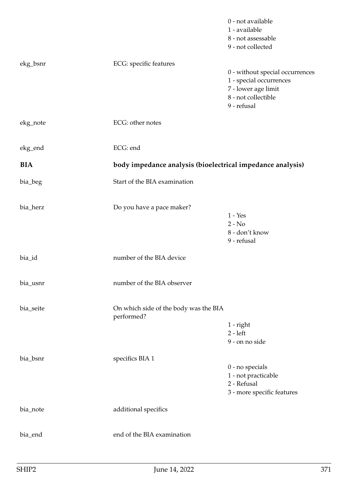|            |                                                            | 0 - not available<br>1 - available<br>8 - not assessable<br>9 - not collected                                           |
|------------|------------------------------------------------------------|-------------------------------------------------------------------------------------------------------------------------|
| ekg_bsnr   | ECG: specific features                                     | 0 - without special occurrences<br>1 - special occurrences<br>7 - lower age limit<br>8 - not collectible<br>9 - refusal |
| ekg_note   | ECG: other notes                                           |                                                                                                                         |
| ekg_end    | ECG: end                                                   |                                                                                                                         |
| <b>BIA</b> | body impedance analysis (bioelectrical impedance analysis) |                                                                                                                         |
| bia_beg    | Start of the BIA examination                               |                                                                                                                         |
| bia_herz   | Do you have a pace maker?                                  | $1 - Yes$<br>$2 - No$<br>8 - don't know<br>9 - refusal                                                                  |
| bia_id     | number of the BIA device                                   |                                                                                                                         |
| bia_usnr   | number of the BIA observer                                 |                                                                                                                         |
| bia_seite  | On which side of the body was the BIA<br>performed?        | $1$ - right<br>$2 - left$<br>9 - on no side                                                                             |
| bia_bsnr   | specifics BIA 1                                            | $0$ - no specials<br>1 - not practicable<br>2 - Refusal<br>3 - more specific features                                   |
| bia_note   | additional specifics                                       |                                                                                                                         |
| bia_end    | end of the BIA examination                                 |                                                                                                                         |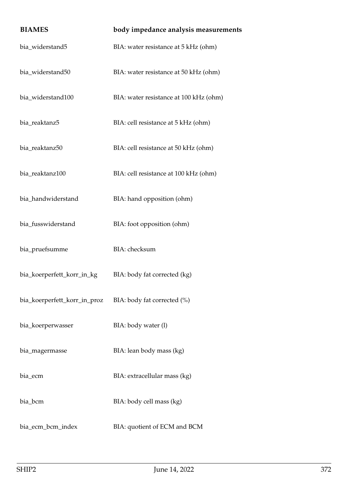| <b>BIAMES</b>                | body impedance analysis measurements   |
|------------------------------|----------------------------------------|
| bia_widerstand5              | BIA: water resistance at 5 kHz (ohm)   |
| bia_widerstand50             | BIA: water resistance at 50 kHz (ohm)  |
| bia_widerstand100            | BIA: water resistance at 100 kHz (ohm) |
| bia_reaktanz5                | BIA: cell resistance at 5 kHz (ohm)    |
| bia_reaktanz50               | BIA: cell resistance at 50 kHz (ohm)   |
| bia_reaktanz100              | BIA: cell resistance at 100 kHz (ohm)  |
| bia_handwiderstand           | BIA: hand opposition (ohm)             |
| bia_fusswiderstand           | BIA: foot opposition (ohm)             |
| bia_pruefsumme               | BIA: checksum                          |
| bia_koerperfett_korr_in_kg   | BIA: body fat corrected (kg)           |
| bia_koerperfett_korr_in_proz | BIA: body fat corrected (%)            |
| bia_koerperwasser            | BIA: body water (l)                    |
| bia_magermasse               | BIA: lean body mass (kg)               |
| bia_ecm                      | BIA: extracellular mass (kg)           |
| bia_bcm                      | BIA: body cell mass (kg)               |
| bia_ecm_bcm_index            | BIA: quotient of ECM and BCM           |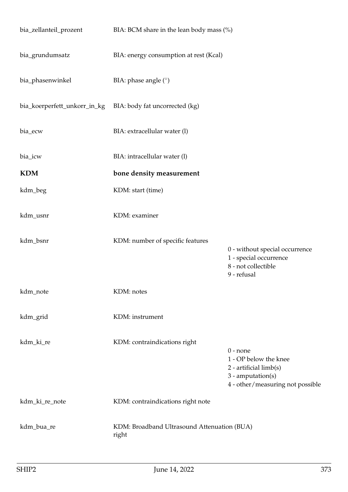| bia_zellanteil_prozent       | BIA: BCM share in the lean body mass (%)             |                                                                                                                          |
|------------------------------|------------------------------------------------------|--------------------------------------------------------------------------------------------------------------------------|
| bia_grundumsatz              | BIA: energy consumption at rest (Kcal)               |                                                                                                                          |
| bia_phasenwinkel             | BIA: phase angle $(°)$                               |                                                                                                                          |
| bia_koerperfett_unkorr_in_kg | BIA: body fat uncorrected (kg)                       |                                                                                                                          |
| bia_ecw                      | BIA: extracellular water (l)                         |                                                                                                                          |
| bia_icw                      | BIA: intracellular water (l)                         |                                                                                                                          |
| <b>KDM</b>                   | bone density measurement                             |                                                                                                                          |
| kdm_beg                      | KDM: start (time)                                    |                                                                                                                          |
| kdm_usnr                     | KDM: examiner                                        |                                                                                                                          |
| kdm_bsnr                     | KDM: number of specific features                     | 0 - without special occurrence<br>1 - special occurrence<br>8 - not collectible<br>9 - refusal                           |
| kdm_note                     | KDM: notes                                           |                                                                                                                          |
| kdm_grid                     | KDM: instrument                                      |                                                                                                                          |
| kdm_ki_re                    | KDM: contraindications right                         | $0$ - none<br>1 - OP below the knee<br>$2$ - artificial limb(s)<br>3 - amputation(s)<br>4 - other/measuring not possible |
| kdm_ki_re_note               | KDM: contraindications right note                    |                                                                                                                          |
| kdm_bua_re                   | KDM: Broadband Ultrasound Attenuation (BUA)<br>right |                                                                                                                          |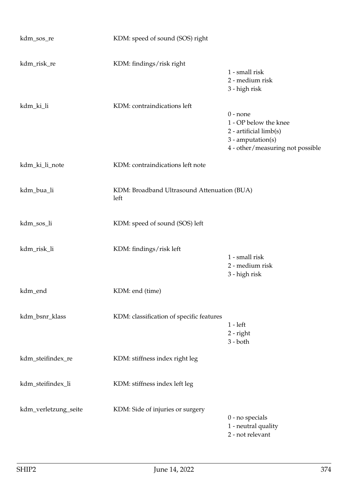| kdm_sos_re           | KDM: speed of sound (SOS) right                     |                                                                                                                          |
|----------------------|-----------------------------------------------------|--------------------------------------------------------------------------------------------------------------------------|
| kdm_risk_re          | KDM: findings/risk right                            | 1 - small risk<br>2 - medium risk<br>3 - high risk                                                                       |
| kdm_ki_li            | KDM: contraindications left                         | $0$ - none<br>1 - OP below the knee<br>2 - artificial limb(s)<br>$3$ - amputation(s)<br>4 - other/measuring not possible |
| kdm_ki_li_note       | KDM: contraindications left note                    |                                                                                                                          |
| kdm_bua_li           | KDM: Broadband Ultrasound Attenuation (BUA)<br>left |                                                                                                                          |
| kdm_sos_li           | KDM: speed of sound (SOS) left                      |                                                                                                                          |
| kdm_risk_li          | KDM: findings/risk left                             | 1 - small risk<br>2 - medium risk<br>3 - high risk                                                                       |
| kdm_end              | KDM: end (time)                                     |                                                                                                                          |
| kdm_bsnr_klass       | KDM: classification of specific features            | $1 - left$<br>$2$ - right<br>$3 - both$                                                                                  |
| kdm_steifindex_re    | KDM: stiffness index right leg                      |                                                                                                                          |
| kdm_steifindex_li    | KDM: stiffness index left leg                       |                                                                                                                          |
| kdm_verletzung_seite | KDM: Side of injuries or surgery                    | 0 - no specials<br>1 - neutral quality<br>2 - not relevant                                                               |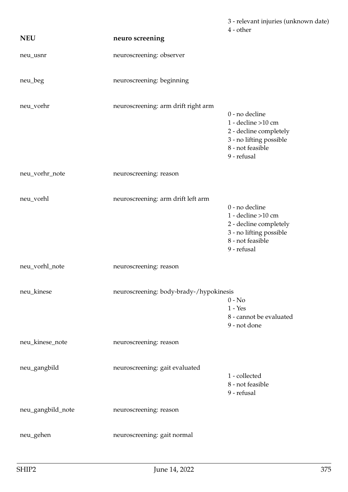|                   |                                         | 3 - relevant injuries (unknown date)<br>4 - other                                                                                |
|-------------------|-----------------------------------------|----------------------------------------------------------------------------------------------------------------------------------|
| <b>NEU</b>        | neuro screening                         |                                                                                                                                  |
| neu_usnr          | neuroscreening: observer                |                                                                                                                                  |
| neu_beg           | neuroscreening: beginning               |                                                                                                                                  |
| neu_vorhr         | neuroscreening: arm drift right arm     | 0 - no decline<br>$1 -$ decline $>10$ cm<br>2 - decline completely<br>3 - no lifting possible<br>8 - not feasible<br>9 - refusal |
| neu_vorhr_note    | neuroscreening: reason                  |                                                                                                                                  |
| neu_vorhl         | neuroscreening: arm drift left arm      | 0 - no decline<br>1 - decline $>10$ cm<br>2 - decline completely<br>3 - no lifting possible<br>8 - not feasible<br>9 - refusal   |
| neu_vorhl_note    | neuroscreening: reason                  |                                                                                                                                  |
| neu_kinese        | neuroscreening: body-brady-/hypokinesis | $0 - No$<br>$1 - Yes$<br>8 - cannot be evaluated<br>9 - not done                                                                 |
| neu_kinese_note   | neuroscreening: reason                  |                                                                                                                                  |
| neu_gangbild      | neuroscreening: gait evaluated          | 1 - collected<br>8 - not feasible<br>9 - refusal                                                                                 |
| neu_gangbild_note | neuroscreening: reason                  |                                                                                                                                  |
| neu_gehen         | neuroscreening: gait normal             |                                                                                                                                  |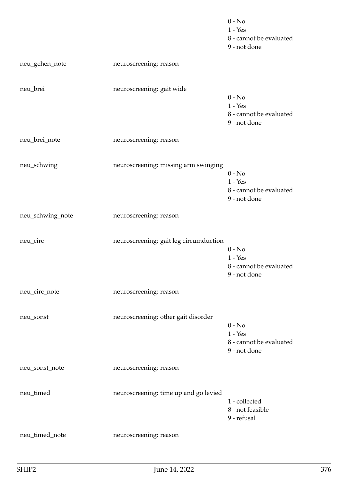|                  |                                        | $0 - No$<br>$1 - Yes$<br>8 - cannot be evaluated<br>9 - not done |
|------------------|----------------------------------------|------------------------------------------------------------------|
| neu_gehen_note   | neuroscreening: reason                 |                                                                  |
| neu_brei         | neuroscreening: gait wide              | $0 - No$<br>$1 - Yes$<br>8 - cannot be evaluated<br>9 - not done |
| neu_brei_note    | neuroscreening: reason                 |                                                                  |
| neu_schwing      | neuroscreening: missing arm swinging   | $0 - No$<br>$1 - Yes$<br>8 - cannot be evaluated<br>9 - not done |
| neu_schwing_note | neuroscreening: reason                 |                                                                  |
| neu_circ         | neuroscreening: gait leg circumduction | $0 - No$<br>$1 - Yes$<br>8 - cannot be evaluated<br>9 - not done |
| neu_circ_note    | neuroscreening: reason                 |                                                                  |
| neu_sonst        | neuroscreening: other gait disorder    | $0 - No$<br>$1 - Yes$<br>8 - cannot be evaluated<br>9 - not done |
| neu_sonst_note   | neuroscreening: reason                 |                                                                  |
| neu_timed        | neuroscreening: time up and go levied  | 1 - collected<br>8 - not feasible<br>9 - refusal                 |
| neu_timed_note   | neuroscreening: reason                 |                                                                  |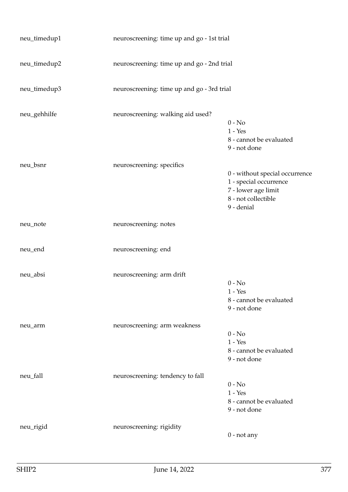| neu_timedup1 | neuroscreening: time up and go - 1st trial |                                                                                                                      |
|--------------|--------------------------------------------|----------------------------------------------------------------------------------------------------------------------|
| neu_timedup2 | neuroscreening: time up and go - 2nd trial |                                                                                                                      |
| neu_timedup3 | neuroscreening: time up and go - 3rd trial |                                                                                                                      |
| neu_gehhilfe | neuroscreening: walking aid used?          | $0$ - $\mathrm{No}$<br>$1 - Yes$<br>8 - cannot be evaluated<br>9 - not done                                          |
| neu_bsnr     | neuroscreening: specifics                  | 0 - without special occurrence<br>1 - special occurrence<br>7 - lower age limit<br>8 - not collectible<br>9 - denial |
| neu_note     | neuroscreening: notes                      |                                                                                                                      |
| neu_end      | neuroscreening: end                        |                                                                                                                      |
| neu_absi     | neuroscreening: arm drift                  | $0 - No$<br>$1 - Yes$<br>8 - cannot be evaluated<br>9 - not done                                                     |
| neu_arm      | neuroscreening: arm weakness               | $0 - No$<br>$1 - Yes$<br>8 - cannot be evaluated<br>9 - not done                                                     |
| neu_fall     | neuroscreening: tendency to fall           | $0 - No$<br>$1 - Yes$<br>8 - cannot be evaluated<br>9 - not done                                                     |
| neu_rigid    | neuroscreening: rigidity                   | $0$ - not any                                                                                                        |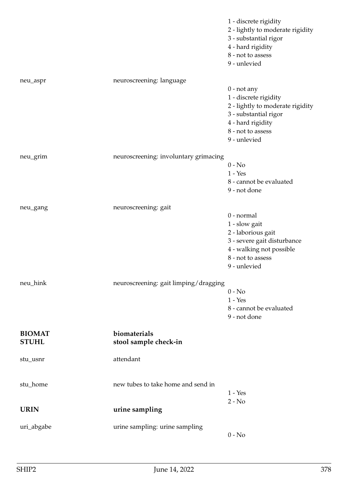|                               |                                       | 1 - discrete rigidity<br>2 - lightly to moderate rigidity<br>3 - substantial rigor<br>4 - hard rigidity<br>8 - not to assess<br>9 - unlevied                  |
|-------------------------------|---------------------------------------|---------------------------------------------------------------------------------------------------------------------------------------------------------------|
| neu_aspr                      | neuroscreening: language              | $0$ - not any<br>1 - discrete rigidity<br>2 - lightly to moderate rigidity<br>3 - substantial rigor<br>4 - hard rigidity<br>8 - not to assess<br>9 - unlevied |
| neu_grim                      | neuroscreening: involuntary grimacing | $0 - No$<br>$1 - Yes$<br>8 - cannot be evaluated<br>9 - not done                                                                                              |
| neu_gang                      | neuroscreening: gait                  | 0 - normal<br>1 - slow gait<br>2 - laborious gait<br>3 - severe gait disturbance<br>4 - walking not possible<br>8 - not to assess<br>9 - unlevied             |
| neu_hink                      | neuroscreening: gait limping/dragging | $0 - No$<br>$1 - Yes$<br>8 - cannot be evaluated<br>9 - not done                                                                                              |
| <b>BIOMAT</b><br><b>STUHL</b> | biomaterials<br>stool sample check-in |                                                                                                                                                               |
| stu_usnr                      | attendant                             |                                                                                                                                                               |
| stu_home                      | new tubes to take home and send in    | $1 - Yes$<br>$2 - No$                                                                                                                                         |
| <b>URIN</b>                   | urine sampling                        |                                                                                                                                                               |
| uri_abgabe                    | urine sampling: urine sampling        | $0 - No$                                                                                                                                                      |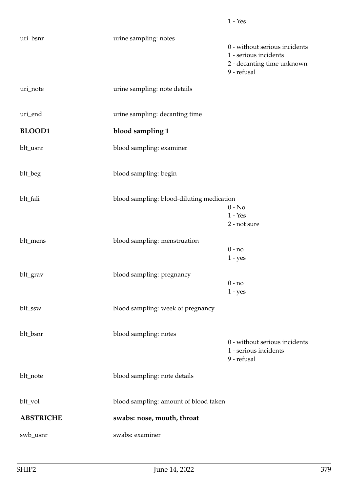| uri_bsnr         | urine sampling: notes                     |                                                                                                     |
|------------------|-------------------------------------------|-----------------------------------------------------------------------------------------------------|
|                  |                                           | 0 - without serious incidents<br>1 - serious incidents<br>2 - decanting time unknown<br>9 - refusal |
| uri_note         | urine sampling: note details              |                                                                                                     |
| uri_end          | urine sampling: decanting time            |                                                                                                     |
| <b>BLOOD1</b>    | blood sampling 1                          |                                                                                                     |
| blt_usnr         | blood sampling: examiner                  |                                                                                                     |
| blt_beg          | blood sampling: begin                     |                                                                                                     |
| blt_fali         | blood sampling: blood-diluting medication | $0 - No$<br>$1 - Yes$<br>2 - not sure                                                               |
| blt_mens         | blood sampling: menstruation              | $0 - no$<br>$1 - yes$                                                                               |
| blt_grav         | blood sampling: pregnancy                 | $0 - no$<br>$1 - yes$                                                                               |
| blt_ssw          | blood sampling: week of pregnancy         |                                                                                                     |
| blt_bsnr         | blood sampling: notes                     | 0 - without serious incidents<br>1 - serious incidents<br>9 - refusal                               |
| blt_note         | blood sampling: note details              |                                                                                                     |
| blt_vol          | blood sampling: amount of blood taken     |                                                                                                     |
| <b>ABSTRICHE</b> | swabs: nose, mouth, throat                |                                                                                                     |
| swb_usnr         | swabs: examiner                           |                                                                                                     |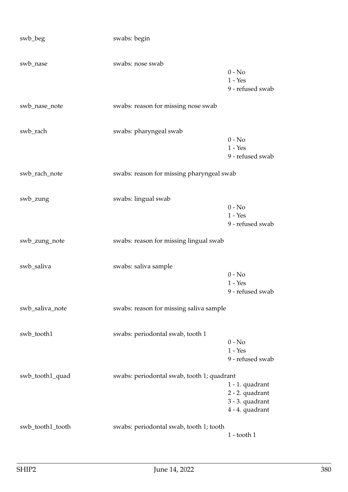| swb_beg          | swabs: begin                               |                                                                          |
|------------------|--------------------------------------------|--------------------------------------------------------------------------|
| swb_nase         | swabs: nose swab                           | $0 - No$<br>$1 - Yes$<br>9 - refused swab                                |
| swb_nase_note    | swabs: reason for missing nose swab        |                                                                          |
| swb_rach         | swabs: pharyngeal swab                     | $0 - No$<br>$1 - Yes$<br>9 - refused swab                                |
| swb_rach_note    | swabs: reason for missing pharyngeal swab  |                                                                          |
| swb_zung         | swabs: lingual swab                        | $0 - No$<br>$1 - Yes$<br>9 - refused swab                                |
| swb_zung_note    | swabs: reason for missing lingual swab     |                                                                          |
| swb_saliva       | swabs: saliva sample                       | $0 - No$<br>$1 - Yes$<br>9 - refused swab                                |
| swb_saliva_note  | swabs: reason for missing saliva sample    |                                                                          |
| swb_tooth1       | swabs: periodontal swab, tooth 1           | $0 - No$<br>$1 - Yes$<br>9 - refused swab                                |
| swb_tooth1_quad  | swabs: periodontal swab, tooth 1; quadrant | 1 - 1. quadrant<br>2 - 2. quadrant<br>3 - 3. quadrant<br>4 - 4. quadrant |
| swb_tooth1_tooth | swabs: periodontal swab, tooth 1; tooth    | $1 -$ tooth $1$                                                          |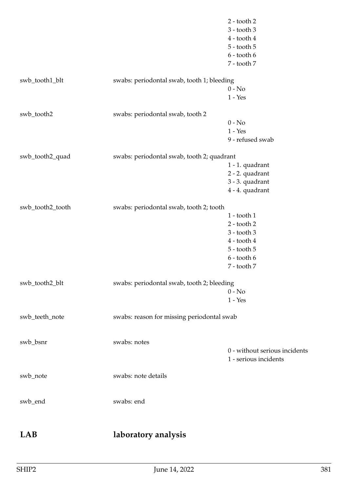|                  |                                            | $2 -$ tooth $2$<br>$3 -$ tooth $3$<br>$4 -$ tooth $4$<br>$5 -$ tooth $5$<br>$6 -$ tooth $6$<br>7 - tooth 7                    |
|------------------|--------------------------------------------|-------------------------------------------------------------------------------------------------------------------------------|
| swb_tooth1_blt   | swabs: periodontal swab, tooth 1; bleeding | $0 - No$<br>$1 - Yes$                                                                                                         |
| swb_tooth2       | swabs: periodontal swab, tooth 2           | $0 - No$<br>$1 - Yes$<br>9 - refused swab                                                                                     |
| swb_tooth2_quad  | swabs: periodontal swab, tooth 2; quadrant | 1 - 1. quadrant<br>2 - 2. quadrant<br>3 - 3. quadrant<br>4 - 4. quadrant                                                      |
| swb_tooth2_tooth | swabs: periodontal swab, tooth 2; tooth    | $1 -$ tooth $1$<br>$2 -$ tooth $2$<br>$3 -$ tooth $3$<br>$4 -$ tooth $4$<br>$5 -$ tooth $5$<br>$6 -$ tooth $6$<br>7 - tooth 7 |
| swb_tooth2_blt   | swabs: periodontal swab, tooth 2; bleeding | $0 - No$<br>$1 - Yes$                                                                                                         |
| swb_teeth_note   | swabs: reason for missing periodontal swab |                                                                                                                               |
| swb_bsnr         | swabs: notes                               | 0 - without serious incidents<br>1 - serious incidents                                                                        |
| swb_note         | swabs: note details                        |                                                                                                                               |
| swb_end          | swabs: end                                 |                                                                                                                               |
| LAB              | laboratory analysis                        |                                                                                                                               |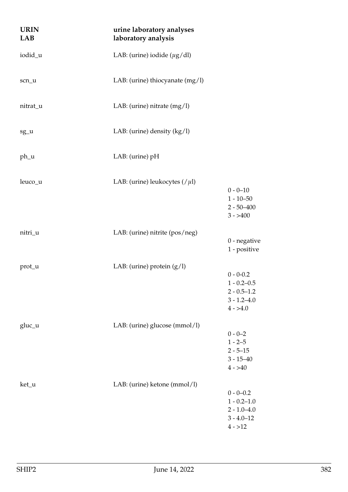| <b>URIN</b><br>LAB | urine laboratory analyses<br>laboratory analysis |                                                                                       |
|--------------------|--------------------------------------------------|---------------------------------------------------------------------------------------|
| iodid_u            | LAB: (urine) iodide ( $\mu$ g/dl)                |                                                                                       |
| scn_u              | LAB: (urine) thiocyanate $(mg/l)$                |                                                                                       |
| nitrat_u           | LAB: (urine) nitrate $(mg/l)$                    |                                                                                       |
| sg_u               | LAB: (urine) density $(kg/l)$                    |                                                                                       |
| ph_u               | LAB: (urine) pH                                  |                                                                                       |
| leuco_u            | LAB: (urine) leukocytes $//\mu$ l)               | $0 - 0 - 10$<br>$1 - 10 - 50$<br>$2 - 50 - 400$<br>$3 - > 400$                        |
| nitri_u            | LAB: (urine) nitrite (pos/neg)                   | $0$ - negative<br>1 - positive                                                        |
| prot_u             | LAB: (urine) protein $(g/l)$                     | $0 - 0 - 0.2$<br>$1 - 0.2 - 0.5$<br>$2 - 0.5 - 1.2$<br>$3 - 1.2 - 4.0$<br>$4 - > 4.0$ |
| gluc_u             | LAB: (urine) glucose (mmol/l)                    | $0 - 0 - 2$<br>$1 - 2 - 5$<br>$2 - 5 - 15$<br>$3 - 15 - 40$<br>$4 - > 40$             |
| ket_u              | LAB: (urine) ketone (mmol/l)                     | $0 - 0 - 0.2$<br>$1 - 0.2 - 1.0$<br>$2 - 1.0 - 4.0$<br>$3 - 4.0 - 12$<br>$4 - 12$     |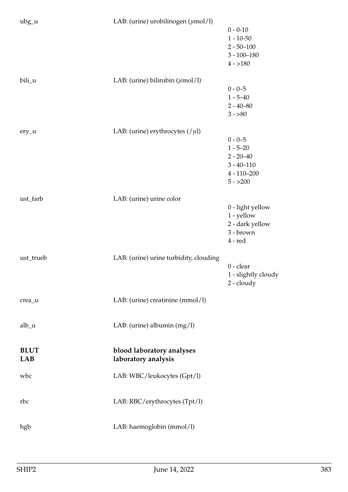| $\text{ubg}_{-}\text{u}$ | LAB: (urine) urobilinogen $(\mu \text{mol/l})$ | $0 - 0 - 10$                       |
|--------------------------|------------------------------------------------|------------------------------------|
|                          |                                                | $1 - 10 - 50$<br>$2 - 50 - 100$    |
|                          |                                                | $3 - 100 - 180$                    |
|                          |                                                | $4 - 180$                          |
| bili_u                   | LAB: (urine) bilirubin $(\mu \text{mol/l})$    | $0 - 0 - 5$                        |
|                          |                                                | $1 - 5 - 40$                       |
|                          |                                                | $2 - 40 - 80$<br>$3 - 80$          |
| ery_u                    | LAB: (urine) erythrocytes $//\mu$ l)           |                                    |
|                          |                                                | $0 - 0 - 5$<br>$1 - 5 - 20$        |
|                          |                                                | $2 - 20 - 40$                      |
|                          |                                                | $3 - 40 - 110$<br>$4 - 110 - 200$  |
|                          |                                                | $5 - >200$                         |
| ust_farb                 | LAB: (urine) urine color                       |                                    |
|                          |                                                | 0 - light yellow<br>1 - yellow     |
|                          |                                                | 2 - dark yellow<br>3 - brown       |
|                          |                                                | $4 - red$                          |
| ust_trueb                | LAB: (urine) urine turbidity, clouding         |                                    |
|                          |                                                | $0$ - clear<br>1 - slightly cloudy |
|                          |                                                | $2 -$ cloudy                       |
| crea_u                   | LAB: (urine) creatinine (mmol/l)               |                                    |
|                          |                                                |                                    |
| alb_u                    | LAB: (urine) albumin $(mg/l)$                  |                                    |
| <b>BLUT</b>              | blood laboratory analyses                      |                                    |
| <b>LAB</b>               | laboratory analysis                            |                                    |
| wbc                      | LAB: WBC/leukocytes (Gpt/l)                    |                                    |
| rbc                      | LAB: RBC/erythrocytes (Tpt/l)                  |                                    |
|                          |                                                |                                    |
| hgb                      | LAB: haemoglobin (mmol/l)                      |                                    |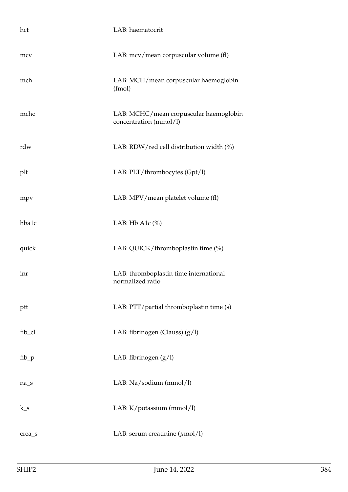| hct     | LAB: haematocrit                                                 |
|---------|------------------------------------------------------------------|
| mcy     | LAB: mcv/mean corpuscular volume (fl)                            |
| mch     | LAB: MCH/mean corpuscular haemoglobin<br>(fmol)                  |
| mchc    | LAB: MCHC/mean corpuscular haemoglobin<br>concentration (mmol/l) |
| rdw     | LAB: RDW/red cell distribution width (%)                         |
| plt     | LAB: PLT/thrombocytes (Gpt/l)                                    |
| mpy     | LAB: MPV/mean platelet volume (fl)                               |
| hba1c   | LAB: Hb A1 $c$ (%)                                               |
| quick   | LAB: QUICK/thromboplastin time (%)                               |
| inr     | LAB: thromboplastin time international<br>normalized ratio       |
| ptt     | LAB: PTT/partial thromboplastin time (s)                         |
| fib_cl  | LAB: fibrinogen (Clauss) (g/l)                                   |
| $fib_p$ | LAB: fibrinogen $(g/l)$                                          |
| $na_s$  | LAB: Na/sodium (mmol/l)                                          |
| $k_s$   | LAB: K/potassium (mmol/l)                                        |
| crea_s  | LAB: serum creatinine $(\mu \text{mol}/l)$                       |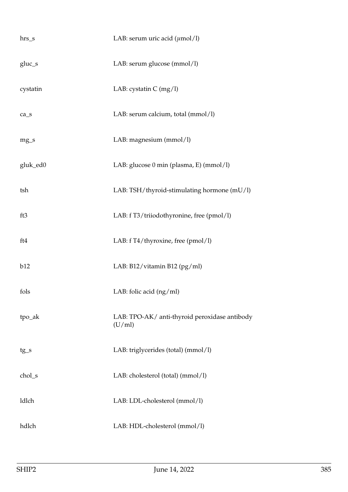| $hrs_s$                         | LAB: serum uric acid $(\mu \text{mol/l})$               |
|---------------------------------|---------------------------------------------------------|
| gluc_s                          | LAB: serum glucose (mmol/l)                             |
| cystatin                        | LAB: cystatin $C$ (mg/l)                                |
| $ca$ <sub><math>_s</math></sub> | LAB: serum calcium, total (mmol/l)                      |
| $mg_s$                          | LAB: magnesium (mmol/l)                                 |
| gluk_ed0                        | LAB: glucose 0 min (plasma, E) (mmol/l)                 |
| tsh                             | LAB: TSH/thyroid-stimulating hormone (mU/l)             |
| ft3                             | LAB: f T3/triiodothyronine, free (pmol/l)               |
| ft4                             | LAB: f T4/thyroxine, free (pmol/l)                      |
| b12                             | LAB: B12/vitamin B12 (pg/ml)                            |
| fols                            | LAB: folic acid (ng/ml)                                 |
| tpo_ak                          | LAB: TPO-AK/ anti-thyroid peroxidase antibody<br>(U/ml) |
| $tg_s$                          | LAB: triglycerides (total) (mmol/l)                     |
| chol_s                          | LAB: cholesterol (total) (mmol/l)                       |
| ldlch                           | LAB: LDL-cholesterol (mmol/l)                           |
| hdlch                           | LAB: HDL-cholesterol (mmol/l)                           |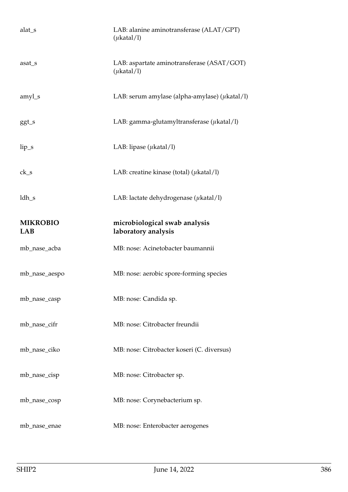| alat_s          | LAB: alanine aminotransferase (ALAT/GPT)<br>$(\mu$ katal/l)   |
|-----------------|---------------------------------------------------------------|
| asat_s          | LAB: aspartate aminotransferase (ASAT/GOT)<br>$(\mu$ katal/l) |
| amyl_s          | LAB: serum amylase (alpha-amylase) ( $\mu$ katal/l)           |
| $ggt_s$         | LAB: gamma-glutamyltransferase $(\mu$ katal/l)                |
| $lip_s$         | LAB: lipase $(\mu$ katal/l)                                   |
| $ck_s$          | LAB: creatine kinase (total) ( $\mu$ katal/l)                 |
| ldh_s           | LAB: lactate dehydrogenase ( $\mu$ katal/l)                   |
| <b>MIKROBIO</b> | microbiological swab analysis                                 |
| <b>LAB</b>      | laboratory analysis                                           |
| mb_nase_acba    | MB: nose: Acinetobacter baumannii                             |
| mb_nase_aespo   | MB: nose: aerobic spore-forming species                       |
| mb_nase_casp    | MB: nose: Candida sp.                                         |
| mb_nase_cifr    | MB: nose: Citrobacter freundii                                |
| mb_nase_ciko    | MB: nose: Citrobacter koseri (C. diversus)                    |
| mb_nase_cisp    | MB: nose: Citrobacter sp.                                     |
| mb_nase_cosp    | MB: nose: Corynebacterium sp.                                 |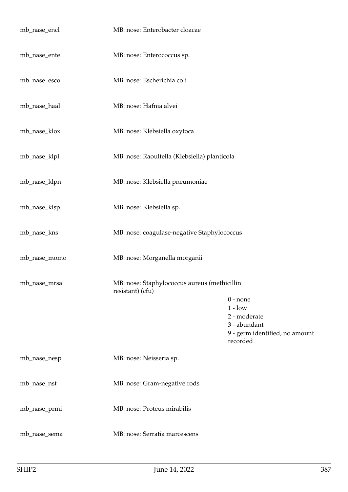| mb_nase_encl | MB: nose: Enterobacter cloacae                                   |                                                                                                       |
|--------------|------------------------------------------------------------------|-------------------------------------------------------------------------------------------------------|
| mb_nase_ente | MB: nose: Enterococcus sp.                                       |                                                                                                       |
| mb_nase_esco | MB: nose: Escherichia coli                                       |                                                                                                       |
| mb_nase_haal | MB: nose: Hafnia alvei                                           |                                                                                                       |
| mb_nase_klox | MB: nose: Klebsiella oxytoca                                     |                                                                                                       |
| mb_nase_klpl | MB: nose: Raoultella (Klebsiella) planticola                     |                                                                                                       |
| mb_nase_klpn | MB: nose: Klebsiella pneumoniae                                  |                                                                                                       |
| mb_nase_klsp | MB: nose: Klebsiella sp.                                         |                                                                                                       |
| mb_nase_kns  | MB: nose: coagulase-negative Staphylococcus                      |                                                                                                       |
| mb_nase_momo | MB: nose: Morganella morganii                                    |                                                                                                       |
| mb_nase_mrsa | MB: nose: Staphylococcus aureus (methicillin<br>resistant) (cfu) |                                                                                                       |
|              |                                                                  | $0$ - none<br>$1 - low$<br>2 - moderate<br>3 - abundant<br>9 - germ identified, no amount<br>recorded |
| mb_nase_nesp | MB: nose: Neisseria sp.                                          |                                                                                                       |
| mb_nase_nst  | MB: nose: Gram-negative rods                                     |                                                                                                       |
| mb_nase_prmi | MB: nose: Proteus mirabilis                                      |                                                                                                       |
| mb_nase_sema | MB: nose: Serratia marcescens                                    |                                                                                                       |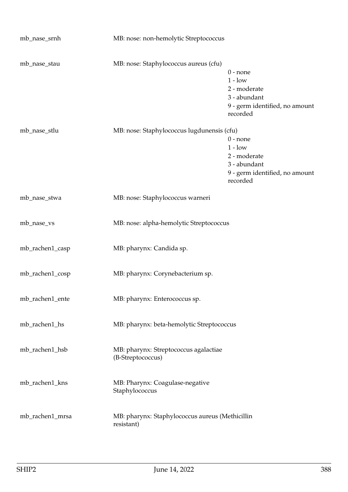| mb_nase_srnh    | MB: nose: non-hemolytic Streptococcus                         |                                                                                                       |
|-----------------|---------------------------------------------------------------|-------------------------------------------------------------------------------------------------------|
| mb_nase_stau    | MB: nose: Staphylococcus aureus (cfu)                         | $0$ - none<br>$1 - low$<br>2 - moderate<br>3 - abundant<br>9 - germ identified, no amount<br>recorded |
| mb_nase_stlu    | MB: nose: Staphylococcus lugdunensis (cfu)                    | $0$ - none<br>$1 - low$<br>2 - moderate<br>3 - abundant<br>9 - germ identified, no amount<br>recorded |
| mb_nase_stwa    | MB: nose: Staphylococcus warneri                              |                                                                                                       |
| mb_nase_vs      | MB: nose: alpha-hemolytic Streptococcus                       |                                                                                                       |
| mb_rachen1_casp | MB: pharynx: Candida sp.                                      |                                                                                                       |
| mb_rachen1_cosp | MB: pharynx: Corynebacterium sp.                              |                                                                                                       |
| mb_rachen1_ente | MB: pharynx: Enterococcus sp.                                 |                                                                                                       |
| mb_rachen1_hs   | MB: pharynx: beta-hemolytic Streptococcus                     |                                                                                                       |
| mb_rachen1_hsb  | MB: pharynx: Streptococcus agalactiae<br>(B-Streptococcus)    |                                                                                                       |
| mb_rachen1_kns  | MB: Pharynx: Coagulase-negative<br>Staphylococcus             |                                                                                                       |
| mb_rachen1_mrsa | MB: pharynx: Staphylococcus aureus (Methicillin<br>resistant) |                                                                                                       |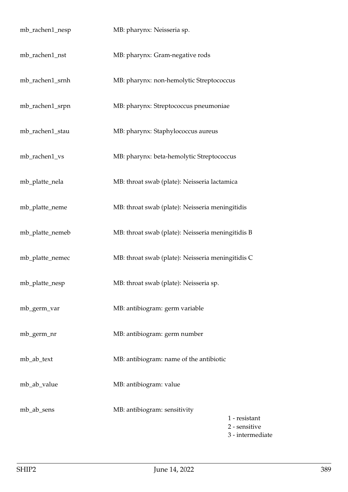| mb_rachen1_nesp | MB: pharynx: Neisseria sp.                        |                                                    |
|-----------------|---------------------------------------------------|----------------------------------------------------|
| mb_rachen1_nst  | MB: pharynx: Gram-negative rods                   |                                                    |
| mb_rachen1_srnh | MB: pharynx: non-hemolytic Streptococcus          |                                                    |
| mb_rachen1_srpn | MB: pharynx: Streptococcus pneumoniae             |                                                    |
| mb_rachen1_stau | MB: pharynx: Staphylococcus aureus                |                                                    |
| mb_rachen1_vs   | MB: pharynx: beta-hemolytic Streptococcus         |                                                    |
| mb_platte_nela  | MB: throat swab (plate): Neisseria lactamica      |                                                    |
| mb_platte_neme  | MB: throat swab (plate): Neisseria meningitidis   |                                                    |
| mb_platte_nemeb | MB: throat swab (plate): Neisseria meningitidis B |                                                    |
| mb_platte_nemec | MB: throat swab (plate): Neisseria meningitidis C |                                                    |
| mb_platte_nesp  | MB: throat swab (plate): Neisseria sp.            |                                                    |
| mb_germ_var     | MB: antibiogram: germ variable                    |                                                    |
| mb_germ_nr      | MB: antibiogram: germ number                      |                                                    |
| mb_ab_text      | MB: antibiogram: name of the antibiotic           |                                                    |
| mb_ab_value     | MB: antibiogram: value                            |                                                    |
| mb_ab_sens      | MB: antibiogram: sensitivity                      | 1 - resistant<br>2 - sensitive<br>3 - intermediate |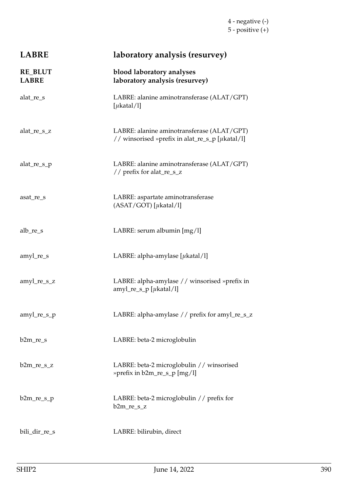| <b>LABRE</b>                   | laboratory analysis (resurvey)                                                                |
|--------------------------------|-----------------------------------------------------------------------------------------------|
| <b>RE_BLUT</b><br><b>LABRE</b> | blood laboratory analyses<br>laboratory analysis (resurvey)                                   |
| alat_re_s                      | LABRE: alanine aminotransferase (ALAT/GPT)<br>[ $\mu$ katal/l]                                |
| alat_re_s_z                    | LABRE: alanine aminotransferase (ALAT/GPT)<br>// winsorised »prefix in alat_re_s_p [µkatal/l] |
| alat_re_s_p                    | LABRE: alanine aminotransferase (ALAT/GPT)<br>// prefix for alat_re_s_z                       |
| asat_re_s                      | LABRE: aspartate aminotransferase<br>$(ASAT/GOT)$ [ $\mu$ katal/l]                            |
| alb_re_s                       | LABRE: serum albumin [mg/l]                                                                   |
| amyl_re_s                      | LABRE: alpha-amylase $[\mu$ katal/l]                                                          |
| $amyl_re_s_z$                  | LABRE: alpha-amylase // winsorised »prefix in<br>$amyl_re_s_p$ [ $\mu$ katal/l]               |
| amyl_re_s_p                    | LABRE: alpha-amylase // prefix for amyl_re_s_z                                                |
| $b2m_re_s$                     | LABRE: beta-2 microglobulin                                                                   |
| $b2m_re_s_z$                   | LABRE: beta-2 microglobulin // winsorised<br>» prefix in b2m_re_s_p [mg/l]                    |
| $b2m_re_s_p$                   | LABRE: beta-2 microglobulin // prefix for<br>$b2m_re_s_z$                                     |
| bili_dir_re_s                  | LABRE: bilirubin, direct                                                                      |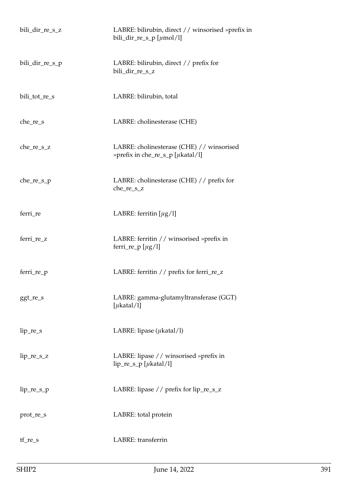| bili_dir_re_s_z | LABRE: bilirubin, direct // winsorised »prefix in<br>bili_dir_re_s_p [ $\mu$ mol/l]  |
|-----------------|--------------------------------------------------------------------------------------|
| bili_dir_re_s_p | LABRE: bilirubin, direct // prefix for<br>bili_dir_re_s_z                            |
| bili_tot_re_s   | LABRE: bilirubin, total                                                              |
| $che_re_s$      | LABRE: cholinesterase (CHE)                                                          |
| $che_re_s_z$    | LABRE: cholinesterase (CHE) // winsorised<br>» prefix in che_re_s_p [ $\mu$ katal/l] |
| che_re_s_p      | LABRE: cholinesterase (CHE) // prefix for<br>che_re_s_z                              |
| ferri_re        | LABRE: ferritin $[\mu g/l]$                                                          |
| ferri_re_z      | LABRE: ferritin // winsorised »prefix in<br>ferri_re_p $[\mu g/l]$                   |
| ferri_re_p      | LABRE: ferritin // prefix for ferri_re_z                                             |
| ggt_re_s        | LABRE: gamma-glutamyltransferase (GGT)<br>[ $\mu$ katal/l]                           |
| $lip_re_s$      | LABRE: lipase $(\mu$ katal/l)                                                        |
| $lip_re_s_z$    | LABRE: lipase $//$ winsorised »prefix in<br>$lip_re_s_p$ [ $\mu$ katal/l]            |
| $lip_re_s_p$    | LABRE: lipase // prefix for lip_re_s_z                                               |
| prot_re_s       | LABRE: total protein                                                                 |
| $tf_re_s$       | LABRE: transferrin                                                                   |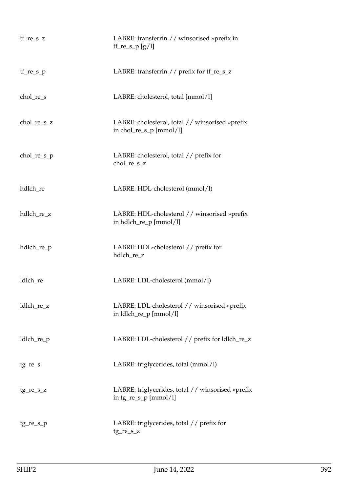| $tf_re_s_z$   | LABRE: transferrin // winsorised »prefix in<br>$tf_re_s_p[g/l]$              |
|---------------|------------------------------------------------------------------------------|
| $tf_re_s_p$   | LABRE: transferrin // prefix for tf_re_s_z                                   |
| chol_re_s     | LABRE: cholesterol, total [mmol/l]                                           |
| $chol_re_s_z$ | LABRE: cholesterol, total // winsorised »prefix<br>in chol_re_s_p $[mmol/l]$ |
| $chol_re_s_p$ | LABRE: cholesterol, total // prefix for<br>chol_re_s_z                       |
| hdlch_re      | LABRE: HDL-cholesterol (mmol/l)                                              |
| hdlch_re_z    | LABRE: HDL-cholesterol // winsorised »prefix<br>in hdlch_re_p [mmol/l]       |
| hdlch_re_p    | LABRE: HDL-cholesterol // prefix for<br>hdlch_re_z                           |
| ldlch_re      | LABRE: LDL-cholesterol (mmol/l)                                              |
| ldlch_re_z    | LABRE: LDL-cholesterol // winsorised »prefix<br>in ldlch_re_p [mmol/l]       |
| ldlch_re_p    | LABRE: LDL-cholesterol // prefix for ldlch_re_z                              |
| $tg_re_s$     | LABRE: triglycerides, total (mmol/l)                                         |
| $tg_re_s_z$   | LABRE: triglycerides, total // winsorised »prefix<br>in $tg_re_s_p$ [mmol/l] |
| $tg_re_s_p$   | LABRE: triglycerides, total // prefix for<br>tg_re_s_z                       |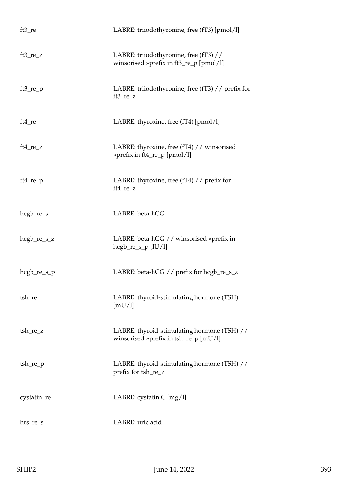| $ft3_re$      | LABRE: triiodothyronine, free (fT3) [pmol/l]                                            |
|---------------|-----------------------------------------------------------------------------------------|
| $ft3_re_z$    | LABRE: triiodothyronine, free (fT3) //<br>winsorised »prefix in ft3_re_p [pmol/l]       |
| $ft3_re_p$    | LABRE: triiodothyronine, free (fT3) // prefix for<br>$ft3_re_z$                         |
| $ft4_re$      | LABRE: thyroxine, free (fT4) [pmol/l]                                                   |
| $ft4_re_z$    | LABRE: thyroxine, free (fT4) // winsorised<br>»prefix in ft4_re_p [pmol/l]              |
| $ft4_re_p$    | LABRE: thyroxine, free (fT4) // prefix for<br>ft4_re_z                                  |
| hcgb_re_s     | LABRE: beta-hCG                                                                         |
| $hegb_re_s_z$ | LABRE: beta-hCG // winsorised »prefix in<br>$hegb_re_s_p [IU/l]$                        |
| $hegb_re_s_p$ | LABRE: beta-hCG // prefix for hcgb_re_s_z                                               |
| tsh_re        | LABRE: thyroid-stimulating hormone (TSH)<br>[mU/l]                                      |
| tsh_re_z      | LABRE: thyroid-stimulating hormone (TSH) //<br>winsorised »prefix in $tsh_re\_p$ [mU/l] |
| $tsh_re\_p$   | LABRE: thyroid-stimulating hormone (TSH) //<br>prefix for tsh_re_z                      |
| cystatin_re   | LABRE: cystatin $C$ [mg/l]                                                              |
| $hrs_re_s$    | LABRE: uric acid                                                                        |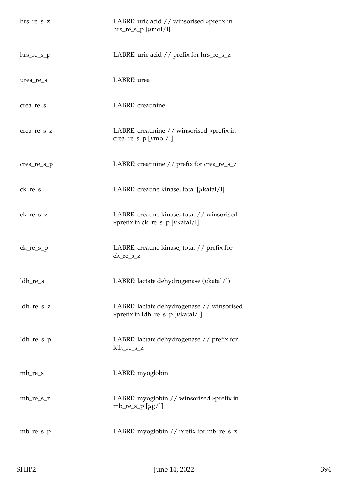| $hrs_re_s_z$ | LABRE: uric acid // winsorised »prefix in<br>hrs_re_s_p [ $\mu$ mol/l]                  |
|--------------|-----------------------------------------------------------------------------------------|
| $hrs_re_s_p$ | LABRE: uric acid // prefix for hrs_re_s_z                                               |
| urea_re_s    | LABRE: urea                                                                             |
| crea_re_s    | LABRE: creatinine                                                                       |
| crea_re_s_z  | LABRE: creatinine // winsorised »prefix in<br>crea_re_s_p [ $\mu$ mol/l]                |
| crea_re_s_p  | LABRE: creatinine // prefix for crea_re_s_z                                             |
| $ck_re_s$    | LABRE: creatine kinase, total [ $\mu$ katal/l]                                          |
| $ck_re_s_z$  | LABRE: creatine kinase, total // winsorised<br>» prefix in ck_re_s_p [ $\mu$ katal/l]   |
| $ck_re_s_p$  | LABRE: creatine kinase, total // prefix for<br>ck_re_s_z                                |
| ldh_re_s     | LABRE: lactate dehydrogenase ( $\mu$ katal/l)                                           |
| $ldh_re_s_z$ | LABRE: lactate dehydrogenase // winsorised<br>» prefix in $ldh_re_s_p$ [ $\mu$ katal/l] |
| $ldh_re_s_p$ | LABRE: lactate dehydrogenase // prefix for<br>ldh_re_s_z                                |
| $mb_re_s$    | LABRE: myoglobin                                                                        |
| $mb_re_s_z$  | LABRE: myoglobin // winsorised »prefix in<br>mb_re_s_p $[\mu g/l]$                      |
| $mb_re_s$    | LABRE: myoglobin // prefix for mb_re_s_z                                                |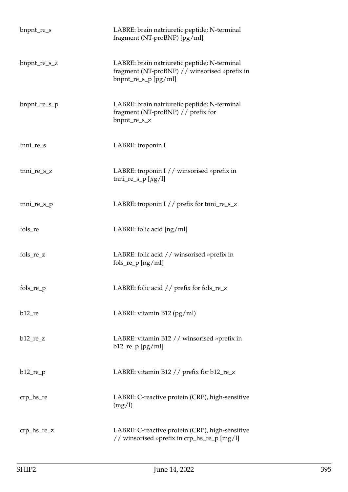| bnpnt_re_s           | LABRE: brain natriuretic peptide; N-terminal<br>fragment (NT-proBNP) [pg/ml]                                          |
|----------------------|-----------------------------------------------------------------------------------------------------------------------|
| $b$ npnt_re_s_z      | LABRE: brain natriuretic peptide; N-terminal<br>fragment (NT-proBNP) // winsorised »prefix in<br>bnpnt_re_s_p [pg/ml] |
| bnpnt_re_s_p         | LABRE: brain natriuretic peptide; N-terminal<br>fragment (NT-proBNP) // prefix for<br>bnpnt_re_s_z                    |
| $t$ nni_re_s         | LABRE: troponin I                                                                                                     |
| tnni_re_s_z          | LABRE: troponin I // winsorised »prefix in<br>tnni_re_s_p [ $\mu$ g/l]                                                |
| $tnni_re_s_p$        | LABRE: troponin I // prefix for tnni_re_s_z                                                                           |
| fols_re              | LABRE: folic acid [ng/ml]                                                                                             |
| $fols_re_z$          | LABRE: folic acid // winsorised »prefix in<br>$fols_re_p[ng/ml]$                                                      |
| fols_re_p            | LABRE: folic acid // prefix for fols_re_z                                                                             |
| $b12$ <sub>_re</sub> | LABRE: vitamin B12 (pg/ml)                                                                                            |
| $b12_re_z$           | LABRE: vitamin B12 // winsorised »prefix in<br>$b12$ _re_p [pg/ml]                                                    |
| $b12_re_p$           | LABRE: vitamin B12 // prefix for b12_re_z                                                                             |
| $crp_{hs_re}$        | LABRE: C-reactive protein (CRP), high-sensitive<br>(mg/l)                                                             |
| $crp_hs_re_2$        | LABRE: C-reactive protein (CRP), high-sensitive<br>// winsorised »prefix in crp_hs_re_p [mg/l]                        |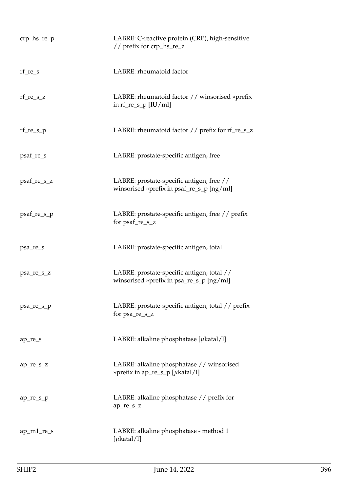| $crp_hs_re_p$ | LABRE: C-reactive protein (CRP), high-sensitive<br>// prefix for crp_hs_re_z           |
|---------------|----------------------------------------------------------------------------------------|
| $rf_re_s$     | LABRE: rheumatoid factor                                                               |
| $rf_re_s_z$   | LABRE: rheumatoid factor // winsorised »prefix<br>in $rf_re_s_p$ [IU/ml]               |
| $rf_re_s_p$   | LABRE: rheumatoid factor // prefix for rf_re_s_z                                       |
| psaf_re_s     | LABRE: prostate-specific antigen, free                                                 |
| psaf_re_s_z   | LABRE: prostate-specific antigen, free //<br>winsorised »prefix in psaf_re_s_p [ng/ml] |
| psaf_re_s_p   | LABRE: prostate-specific antigen, free // prefix<br>for psaf_re_s_z                    |
| psa_re_s      | LABRE: prostate-specific antigen, total                                                |
| psa_re_s_z    | LABRE: prostate-specific antigen, total //<br>winsorised »prefix in psa_re_s_p [ng/ml] |
| psa_re_s_p    | LABRE: prostate-specific antigen, total // prefix<br>for psa_re_s_z                    |
| ap_re_s       | LABRE: alkaline phosphatase [ $\mu$ katal/l]                                           |
| ap_re_s_z     | LABRE: alkaline phosphatase // winsorised<br>» prefix in ap_re_s_p [ $\mu$ katal/l]    |
| $ap_re_s_p$   | LABRE: alkaline phosphatase // prefix for<br>ap_re_s_z                                 |
| ap_m1_re_s    | LABRE: alkaline phosphatase - method 1<br>[ $\mu$ katal/l]                             |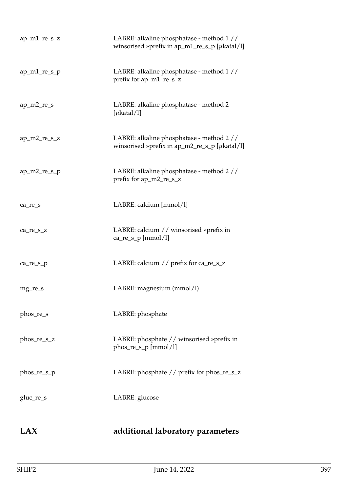| LABRE: alkaline phosphatase - method 1 //<br>winsorised »prefix in ap_m1_re_s_p [ $\mu$ katal/l] |
|--------------------------------------------------------------------------------------------------|
| LABRE: alkaline phosphatase - method 1 //<br>prefix for ap_m1_re_s_z                             |
| LABRE: alkaline phosphatase - method 2<br>[ $\mu$ katal/l]                                       |
| LABRE: alkaline phosphatase - method 2 //<br>winsorised »prefix in ap_m2_re_s_p [ $\mu$ katal/l] |
| LABRE: alkaline phosphatase - method 2 //<br>prefix for ap_m2_re_s_z                             |
| LABRE: calcium [mmol/l]                                                                          |
| LABRE: calcium // winsorised »prefix in<br>$ca_re_s_p[mmol/l]$                                   |
| LABRE: calcium // prefix for ca_re_s_z                                                           |
| LABRE: magnesium (mmol/l)                                                                        |
| LABRE: phosphate                                                                                 |
| LABRE: phosphate // winsorised »prefix in<br>$phos_re_s_p[mmol/l]$                               |
| LABRE: phosphate // prefix for phos_re_s_z                                                       |
| LABRE: glucose                                                                                   |
|                                                                                                  |

## **LAX additional laboratory parameters**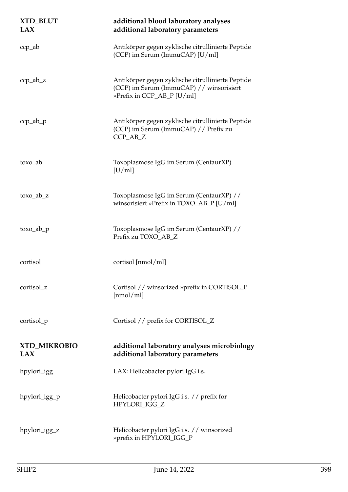| XTD_BLUT<br>LAX                   | additional blood laboratory analyses<br>additional laboratory parameters                                                    |
|-----------------------------------|-----------------------------------------------------------------------------------------------------------------------------|
| $ccp$ <sub>-ab</sub>              | Antikörper gegen zyklische citrullinierte Peptide<br>(CCP) im Serum (ImmuCAP) [U/ml]                                        |
| $ccp$ <sub>-ab<sup>-z</sup></sub> | Antikörper gegen zyklische citrullinierte Peptide<br>(CCP) im Serum (ImmuCAP) // winsorisiert<br>»Prefix in CCP_AB_P [U/ml] |
| $ccp$ <sub>-ab-p</sub>            | Antikörper gegen zyklische citrullinierte Peptide<br>(CCP) im Serum (ImmuCAP) // Prefix zu<br>$CCP$ _AB_Z                   |
| toxo_ab                           | Toxoplasmose IgG im Serum (CentaurXP)<br>[U/ml]                                                                             |
| $to \infty$ <sub>_ab_z</sub>      | Toxoplasmose IgG im Serum (CentaurXP) //<br>winsorisiert »Prefix in TOXO_AB_P [U/ml]                                        |
| $to \infty$ <sub>-ab-p</sub>      | Toxoplasmose IgG im Serum (CentaurXP) //<br>Prefix zu TOXO_AB_Z                                                             |
| cortisol                          | cortisol [nmol/ml]                                                                                                          |
| cortisol_z                        | Cortisol // winsorized »prefix in CORTISOL_P<br>[nmol/ml]                                                                   |
| cortisol_p                        | Cortisol // prefix for CORTISOL_Z                                                                                           |
| <b>XTD_MIKROBIO</b><br>LAX        | additional laboratory analyses microbiology<br>additional laboratory parameters                                             |
| hpylori_igg                       | LAX: Helicobacter pylori IgG i.s.                                                                                           |
| hpylori_igg_p                     | Helicobacter pylori IgG i.s. // prefix for<br>HPYLORI_IGG_Z                                                                 |
| hpylori_igg_z                     | Helicobacter pylori IgG i.s. // winsorized<br>»prefix in HPYLORI_IGG_P                                                      |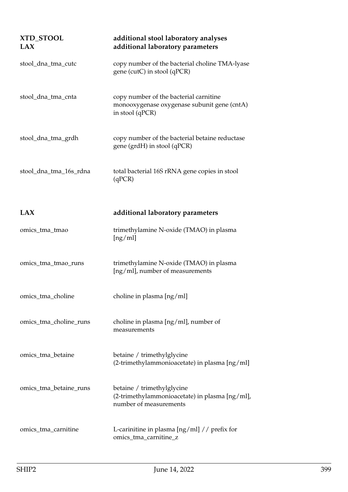| XTD_STOOL<br>LAX       | additional stool laboratory analyses<br>additional laboratory parameters                                 |
|------------------------|----------------------------------------------------------------------------------------------------------|
| stool_dna_tma_cutc     | copy number of the bacterial choline TMA-lyase<br>gene (cutC) in stool (qPCR)                            |
| stool_dna_tma_cnta     | copy number of the bacterial carnitine<br>monooxygenase oxygenase subunit gene (cntA)<br>in stool (qPCR) |
| stool_dna_tma_grdh     | copy number of the bacterial betaine reductase<br>gene (grdH) in stool (qPCR)                            |
| stool_dna_tma_16s_rdna | total bacterial 16S rRNA gene copies in stool<br>(qPCR)                                                  |
| <b>LAX</b>             | additional laboratory parameters                                                                         |
| omics_tma_tmao         | trimethylamine N-oxide (TMAO) in plasma<br>[ng/ml]                                                       |
| omics_tma_tmao_runs    | trimethylamine N-oxide (TMAO) in plasma<br>[ng/ml], number of measurements                               |
| omics_tma_choline      | choline in plasma [ng/ml]                                                                                |
| omics_tma_choline_runs | choline in plasma [ng/ml], number of<br>measurements                                                     |
| omics_tma_betaine      | betaine / trimethylglycine<br>(2-trimethylammonioacetate) in plasma [ng/ml]                              |
| omics_tma_betaine_runs | betaine / trimethylglycine<br>(2-trimethylammonioacetate) in plasma [ng/ml],<br>number of measurements   |
| omics_tma_carnitine    | L-carinitine in plasma $\left[\frac{ng}{ml}\right]$ // prefix for<br>omics_tma_carnitine_z               |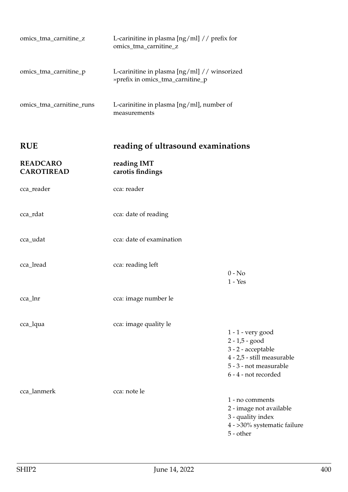| <b>RUE</b>               | reading of ultrasound examinations                                                                     |
|--------------------------|--------------------------------------------------------------------------------------------------------|
| omics_tma_carnitine_runs | L-carinitine in plasma $\left[\frac{ng}{ml}\right]$ , number of<br>measurements                        |
| omics_tma_carnitine_p    | L-carinitine in plasma $\left[\frac{ng}{ml}\right]$ // winsorized<br>» prefix in omics_tma_carnitine_p |
| omics_tma_carnitine_z    | L-carinitine in plasma $\left[\frac{ng}{ml}\right]$ // prefix for<br>omics_tma_carnitine_z             |

| <b>READCARO</b><br><b>CAROTIREAD</b> | reading IMT<br>carotis findings |                                                                                                                                             |
|--------------------------------------|---------------------------------|---------------------------------------------------------------------------------------------------------------------------------------------|
| cca_reader                           | cca: reader                     |                                                                                                                                             |
| cca_rdat                             | cca: date of reading            |                                                                                                                                             |
| cca_udat                             | cca: date of examination        |                                                                                                                                             |
| cca_lread                            | cca: reading left               | $0 - No$<br>$1 - Yes$                                                                                                                       |
| cca_lnr                              | cca: image number le            |                                                                                                                                             |
| cca_lqua                             | cca: image quality le           | 1 - 1 - very good<br>$2 - 1,5 - good$<br>3 - 2 - acceptable<br>4 - 2,5 - still measurable<br>5 - 3 - not measurable<br>6 - 4 - not recorded |
| cca_lanmerk                          | cca: note le                    | 1 - no comments<br>2 - image not available<br>3 - quality index<br>4 - >30% systematic failure<br>5 - other                                 |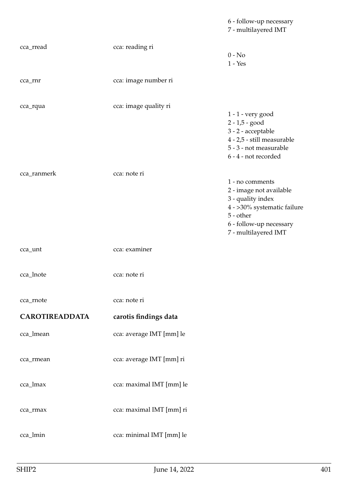|                       |                          | 6 - follow-up necessary<br>7 - multilayered IMT                                                                                                                |
|-----------------------|--------------------------|----------------------------------------------------------------------------------------------------------------------------------------------------------------|
| cca_rread             | cca: reading ri          | $0 - No$<br>$1 - Yes$                                                                                                                                          |
| cca_rnr               | cca: image number ri     |                                                                                                                                                                |
| cca_rqua              | cca: image quality ri    | $1 - 1$ - very good<br>$2 - 1,5 - good$<br>3 - 2 - acceptable<br>4 - 2,5 - still measurable<br>5 - 3 - not measurable<br>6 - 4 - not recorded                  |
| cca_ranmerk           | cca: note ri             | 1 - no comments<br>2 - image not available<br>3 - quality index<br>4 - >30% systematic failure<br>5 - other<br>6 - follow-up necessary<br>7 - multilayered IMT |
| cca_unt               | cca: examiner            |                                                                                                                                                                |
| cca_lnote             | cca: note ri             |                                                                                                                                                                |
| cca_rnote             | cca: note ri             |                                                                                                                                                                |
| <b>CAROTIREADDATA</b> | carotis findings data    |                                                                                                                                                                |
| cca_lmean             | cca: average IMT [mm] le |                                                                                                                                                                |
| cca_rmean             | cca: average IMT [mm] ri |                                                                                                                                                                |
| cca_lmax              | cca: maximal IMT [mm] le |                                                                                                                                                                |
| cca_rmax              | cca: maximal IMT [mm] ri |                                                                                                                                                                |
| cca_lmin              | cca: minimal IMT [mm] le |                                                                                                                                                                |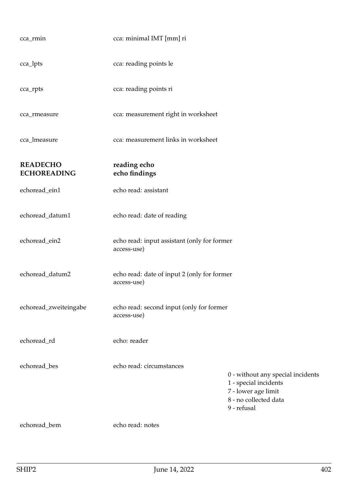| cca_rmin                              | cca: minimal IMT [mm] ri                                   |                                                                                                                           |
|---------------------------------------|------------------------------------------------------------|---------------------------------------------------------------------------------------------------------------------------|
| cca_lpts                              | cca: reading points le                                     |                                                                                                                           |
| cca_rpts                              | cca: reading points ri                                     |                                                                                                                           |
| cca_rmeasure                          | cca: measurement right in worksheet                        |                                                                                                                           |
| cca_lmeasure                          | cca: measurement links in worksheet                        |                                                                                                                           |
| <b>READECHO</b><br><b>ECHOREADING</b> | reading echo<br>echo findings                              |                                                                                                                           |
| echoread_ein1                         | echo read: assistant                                       |                                                                                                                           |
| echoread_datum1                       | echo read: date of reading                                 |                                                                                                                           |
| echoread_ein2                         | echo read: input assistant (only for former<br>access-use) |                                                                                                                           |
| echoread_datum2                       | echo read: date of input 2 (only for former<br>access-use) |                                                                                                                           |
| echoread_zweiteingabe                 | echo read: second input (only for former<br>access-use)    |                                                                                                                           |
| echoread_rd                           | echo: reader                                               |                                                                                                                           |
| echoread_bes                          | echo read: circumstances                                   | 0 - without any special incidents<br>1 - special incidents<br>7 - lower age limit<br>8 - no collected data<br>9 - refusal |
| echoread_bem                          | echo read: notes                                           |                                                                                                                           |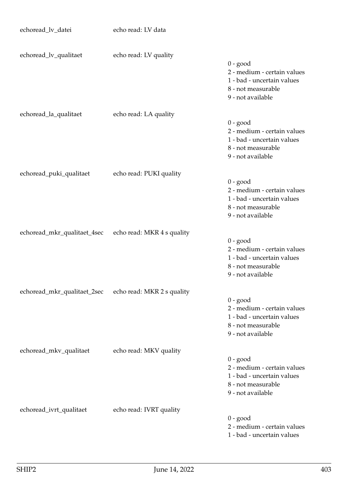| echoread_lv_datei           | echo read: LV data         |                                                                                                                    |
|-----------------------------|----------------------------|--------------------------------------------------------------------------------------------------------------------|
|                             |                            |                                                                                                                    |
| echoread_lv_qualitaet       | echo read: LV quality      | $0 - good$<br>2 - medium - certain values<br>1 - bad - uncertain values<br>8 - not measurable<br>9 - not available |
| echoread_la_qualitaet       | echo read: LA quality      | $0 - good$<br>2 - medium - certain values<br>1 - bad - uncertain values<br>8 - not measurable<br>9 - not available |
| echoread_puki_qualitaet     | echo read: PUKI quality    |                                                                                                                    |
|                             |                            | $0 - good$<br>2 - medium - certain values<br>1 - bad - uncertain values<br>8 - not measurable<br>9 - not available |
| echoread_mkr_qualitaet_4sec | echo read: MKR 4 s quality |                                                                                                                    |
|                             |                            | $0 - good$<br>2 - medium - certain values<br>1 - bad - uncertain values<br>8 - not measurable<br>9 - not available |
| echoread_mkr_qualitaet_2sec | echo read: MKR 2 s quality |                                                                                                                    |
|                             |                            | $0 - good$<br>2 - medium - certain values<br>1 - bad - uncertain values<br>8 - not measurable<br>9 - not available |
| echoread_mkv_qualitaet      | echo read: MKV quality     |                                                                                                                    |
|                             |                            | $0 - good$<br>2 - medium - certain values<br>1 - bad - uncertain values<br>8 - not measurable<br>9 - not available |
| echoread_ivrt_qualitaet     | echo read: IVRT quality    |                                                                                                                    |
|                             |                            | $0 - good$<br>2 - medium - certain values<br>1 - bad - uncertain values                                            |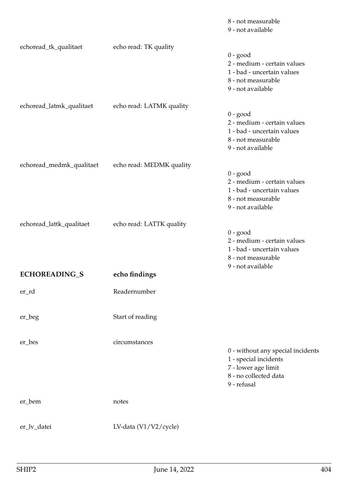|                          |                          | 8 - not measurable<br>9 - not available                                                                                   |
|--------------------------|--------------------------|---------------------------------------------------------------------------------------------------------------------------|
| echoread_tk_qualitaet    | echo read: TK quality    | $0 - good$<br>2 - medium - certain values<br>1 - bad - uncertain values<br>8 - not measurable<br>9 - not available        |
| echoread_latmk_qualitaet | echo read: LATMK quality | $0 - good$<br>2 - medium - certain values<br>1 - bad - uncertain values<br>8 - not measurable<br>9 - not available        |
| echoread_medmk_qualitaet | echo read: MEDMK quality | $0 - good$<br>2 - medium - certain values<br>1 - bad - uncertain values<br>8 - not measurable<br>9 - not available        |
| echoread_lattk_qualitaet | echo read: LATTK quality | $0 - good$<br>2 - medium - certain values<br>1 - bad - uncertain values<br>8 - not measurable<br>9 - not available        |
| <b>ECHOREADING_S</b>     | echo findings            |                                                                                                                           |
| er_rd                    | Readernumber             |                                                                                                                           |
| er_beg                   | Start of reading         |                                                                                                                           |
| er_bes                   | circumstances            | 0 - without any special incidents<br>1 - special incidents<br>7 - lower age limit<br>8 - no collected data<br>9 - refusal |
| er_bem                   | notes                    |                                                                                                                           |
| er_lv_datei              | LV-data $(V1/V2/cycle)$  |                                                                                                                           |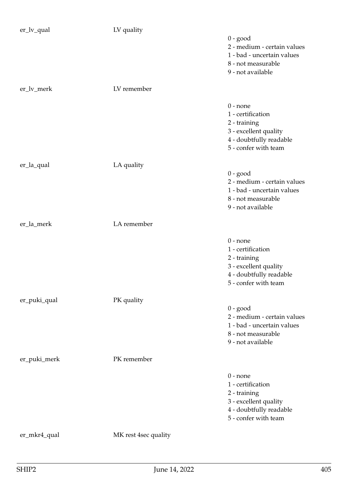| er_lv_qual   | LV quality           |                                                                                                                             |
|--------------|----------------------|-----------------------------------------------------------------------------------------------------------------------------|
|              |                      | $0 - good$<br>2 - medium - certain values<br>1 - bad - uncertain values<br>8 - not measurable<br>9 - not available          |
| er_lv_merk   | LV remember          |                                                                                                                             |
|              |                      | $0$ - none<br>1 - certification<br>2 - training<br>3 - excellent quality<br>4 - doubtfully readable<br>5 - confer with team |
| er_la_qual   | LA quality           | $0 - good$<br>2 - medium - certain values<br>1 - bad - uncertain values<br>8 - not measurable<br>9 - not available          |
| er_la_merk   | LA remember          |                                                                                                                             |
|              |                      | $0$ - none<br>1 - certification<br>2 - training<br>3 - excellent quality<br>4 - doubtfully readable<br>5 - confer with team |
| er_puki_qual | PK quality           |                                                                                                                             |
|              |                      | $0 - good$<br>2 - medium - certain values<br>1 - bad - uncertain values<br>8 - not measurable<br>9 - not available          |
| er_puki_merk | PK remember          |                                                                                                                             |
|              |                      | $0$ - none<br>1 - certification<br>2 - training<br>3 - excellent quality<br>4 - doubtfully readable<br>5 - confer with team |
| er_mkr4_qual | MK rest 4sec quality |                                                                                                                             |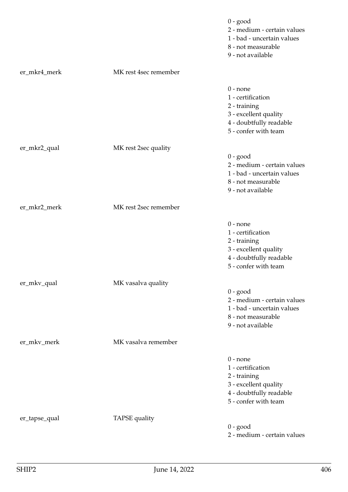|               |                       | $0 - good$<br>2 - medium - certain values<br>1 - bad - uncertain values<br>8 - not measurable<br>9 - not available          |
|---------------|-----------------------|-----------------------------------------------------------------------------------------------------------------------------|
| er_mkr4_merk  | MK rest 4sec remember |                                                                                                                             |
|               |                       | $0$ - none<br>1 - certification<br>2 - training<br>3 - excellent quality<br>4 - doubtfully readable<br>5 - confer with team |
| er_mkr2_qual  | MK rest 2sec quality  |                                                                                                                             |
|               |                       | $0 - good$<br>2 - medium - certain values<br>1 - bad - uncertain values<br>8 - not measurable<br>9 - not available          |
| er_mkr2_merk  | MK rest 2sec remember |                                                                                                                             |
|               |                       | $0$ - none<br>1 - certification<br>2 - training<br>3 - excellent quality<br>4 - doubtfully readable<br>5 - confer with team |
| er_mkv_qual   | MK vasalva quality    | $0 - good$<br>2 - medium - certain values<br>1 - bad - uncertain values<br>8 - not measurable<br>9 - not available          |
| er_mkv_merk   | MK vasalva remember   |                                                                                                                             |
|               |                       | $0$ - none<br>1 - certification<br>2 - training<br>3 - excellent quality<br>4 - doubtfully readable<br>5 - confer with team |
| er_tapse_qual | TAPSE quality         | $0 - good$<br>2 - medium - certain values                                                                                   |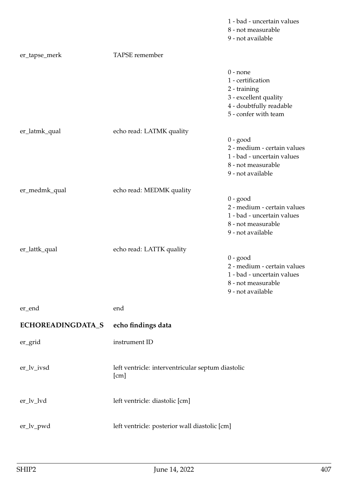|                   |                                                           | 1 - bad - uncertain values<br>8 - not measurable<br>9 - not available                                                       |
|-------------------|-----------------------------------------------------------|-----------------------------------------------------------------------------------------------------------------------------|
| er_tapse_merk     | TAPSE remember                                            |                                                                                                                             |
|                   |                                                           | $0$ - none<br>1 - certification<br>2 - training<br>3 - excellent quality<br>4 - doubtfully readable<br>5 - confer with team |
| er_latmk_qual     | echo read: LATMK quality                                  | $0 - good$                                                                                                                  |
|                   |                                                           | 2 - medium - certain values<br>1 - bad - uncertain values<br>8 - not measurable<br>9 - not available                        |
| er_medmk_qual     | echo read: MEDMK quality                                  |                                                                                                                             |
|                   |                                                           | $0 - good$<br>2 - medium - certain values<br>1 - bad - uncertain values<br>8 - not measurable<br>9 - not available          |
| er_lattk_qual     | echo read: LATTK quality                                  | $0 - good$<br>2 - medium - certain values<br>1 - bad - uncertain values<br>8 - not measurable<br>9 - not available          |
| er_end            | end                                                       |                                                                                                                             |
| ECHOREADINGDATA_S | echo findings data                                        |                                                                                                                             |
| er_grid           | instrument ID                                             |                                                                                                                             |
| er_lv_ivsd        | left ventricle: interventricular septum diastolic<br>[cm] |                                                                                                                             |
| er_lv_lvd         | left ventricle: diastolic [cm]                            |                                                                                                                             |
| er_lv_pwd         | left ventricle: posterior wall diastolic [cm]             |                                                                                                                             |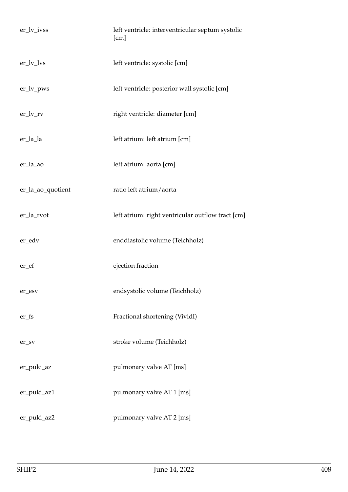| er_lv_ivss          | left ventricle: interventricular septum systolic<br>[cm] |
|---------------------|----------------------------------------------------------|
| $er_l v_lvs$        | left ventricle: systolic [cm]                            |
| $er_lv_pws$         | left ventricle: posterior wall systolic [cm]             |
| $er_l v_r v$        | right ventricle: diameter [cm]                           |
| er_la_la            | left atrium: left atrium [cm]                            |
| er_la_ao            | left atrium: aorta [cm]                                  |
| er_la_ao_quotient   | ratio left atrium/aorta                                  |
| er_la_rvot          | left atrium: right ventricular outflow tract [cm]        |
| er_edv              | enddiastolic volume (Teichholz)                          |
| er_ef               | ejection fraction                                        |
| er_esv              | endsystolic volume (Teichholz)                           |
| $er_fs$             | Fractional shortening (VividI)                           |
| $er$ <sub>_SV</sub> | stroke volume (Teichholz)                                |
| er_puki_az          | pulmonary valve AT [ms]                                  |
| er_puki_az1         | pulmonary valve AT 1 [ms]                                |
| er_puki_az2         | pulmonary valve AT 2 [ms]                                |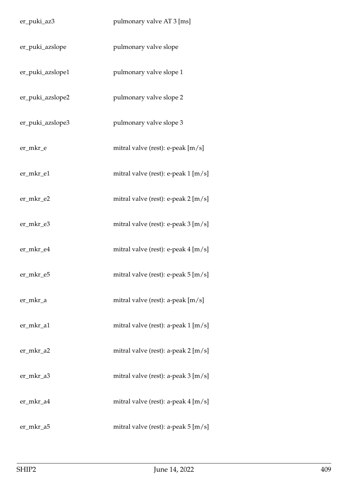| er_puki_az3      | pulmonary valve AT 3 [ms]           |
|------------------|-------------------------------------|
| er_puki_azslope  | pulmonary valve slope               |
| er_puki_azslope1 | pulmonary valve slope 1             |
| er_puki_azslope2 | pulmonary valve slope 2             |
| er_puki_azslope3 | pulmonary valve slope 3             |
| er_mkr_e         | mitral valve (rest): e-peak [m/s]   |
| er_mkr_e1        | mitral valve (rest): e-peak 1 [m/s] |
| er_mkr_e2        | mitral valve (rest): e-peak 2 [m/s] |
| er_mkr_e3        | mitral valve (rest): e-peak 3 [m/s] |
| er_mkr_e4        | mitral valve (rest): e-peak 4 [m/s] |
| er_mkr_e5        | mitral valve (rest): e-peak 5 [m/s] |
| er_mkr_a         | mitral valve (rest): a-peak [m/s]   |
| er_mkr_a1        | mitral valve (rest): a-peak 1 [m/s] |
| er_mkr_a2        | mitral valve (rest): a-peak 2 [m/s] |
| er_mkr_a3        | mitral valve (rest): a-peak 3 [m/s] |
| er_mkr_a4        | mitral valve (rest): a-peak 4 [m/s] |
| er_mkr_a5        | mitral valve (rest): a-peak 5 [m/s] |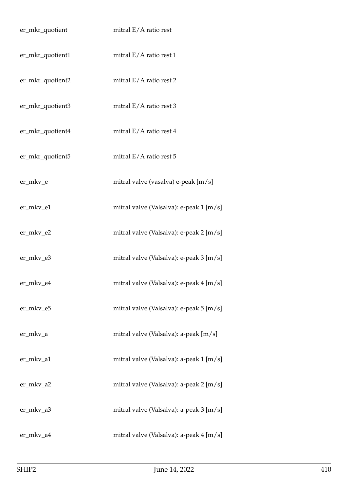| er_mkr_quotient  | mitral $E/A$ ratio rest                 |
|------------------|-----------------------------------------|
| er_mkr_quotient1 | mitral $E/A$ ratio rest 1               |
| er_mkr_quotient2 | mitral $E/A$ ratio rest 2               |
| er_mkr_quotient3 | mitral E/A ratio rest 3                 |
| er_mkr_quotient4 | mitral E/A ratio rest 4                 |
| er_mkr_quotient5 | mitral E/A ratio rest 5                 |
| er_mkv_e         | mitral valve (vasalva) e-peak [m/s]     |
| er_mkv_e1        | mitral valve (Valsalva): e-peak 1 [m/s] |
| er_mkv_e2        | mitral valve (Valsalva): e-peak 2 [m/s] |
| er_mkv_e3        | mitral valve (Valsalva): e-peak 3 [m/s] |
| er_mkv_e4        | mitral valve (Valsalva): e-peak 4 [m/s] |
| er_mkv_e5        | mitral valve (Valsalva): e-peak 5 [m/s] |
| er_mkv_a         | mitral valve (Valsalva): a-peak [m/s]   |
| er_mkv_a1        | mitral valve (Valsalva): a-peak 1 [m/s] |
| er_mkv_a2        | mitral valve (Valsalva): a-peak 2 [m/s] |
| er_mkv_a3        | mitral valve (Valsalva): a-peak 3 [m/s] |
| er_mkv_a4        | mitral valve (Valsalva): a-peak 4 [m/s] |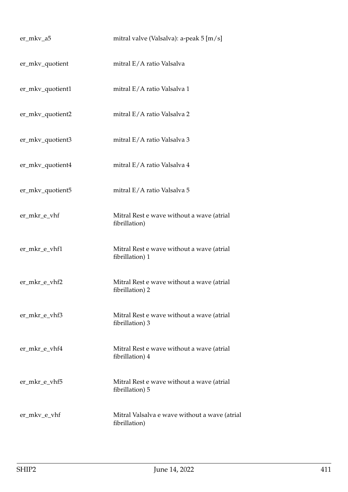| er_mkv_a5        | mitral valve (Valsalva): a-peak $5 \,[\text{m/s}]$             |
|------------------|----------------------------------------------------------------|
| er_mkv_quotient  | mitral E/A ratio Valsalva                                      |
| er_mkv_quotient1 | mitral E/A ratio Valsalva 1                                    |
| er_mkv_quotient2 | mitral E/A ratio Valsalva 2                                    |
| er_mkv_quotient3 | mitral E/A ratio Valsalva 3                                    |
| er_mkv_quotient4 | mitral E/A ratio Valsalva 4                                    |
| er_mkv_quotient5 | mitral E/A ratio Valsalva 5                                    |
| er_mkr_e_vhf     | Mitral Rest e wave without a wave (atrial<br>fibrillation)     |
| er_mkr_e_vhf1    | Mitral Rest e wave without a wave (atrial<br>fibrillation) 1   |
| er_mkr_e_vhf2    | Mitral Rest e wave without a wave (atrial<br>fibrillation) 2   |
| er_mkr_e_vhf3    | Mitral Rest e wave without a wave (atrial<br>fibrillation) 3   |
| er_mkr_e_vhf4    | Mitral Rest e wave without a wave (atrial<br>fibrillation) 4   |
| er_mkr_e_vhf5    | Mitral Rest e wave without a wave (atrial<br>fibrillation) 5   |
| er_mkv_e_vhf     | Mitral Valsalva e wave without a wave (atrial<br>fibrillation) |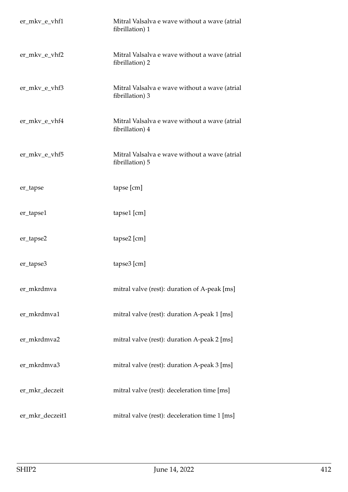| er_mkv_e_vhf1   | Mitral Valsalva e wave without a wave (atrial<br>fibrillation) 1 |
|-----------------|------------------------------------------------------------------|
| er_mkv_e_vhf2   | Mitral Valsalva e wave without a wave (atrial<br>fibrillation) 2 |
| er_mkv_e_vhf3   | Mitral Valsalva e wave without a wave (atrial<br>fibrillation) 3 |
| er_mkv_e_vhf4   | Mitral Valsalva e wave without a wave (atrial<br>fibrillation) 4 |
| er_mkv_e_vhf5   | Mitral Valsalva e wave without a wave (atrial<br>fibrillation) 5 |
| er_tapse        | tapse [cm]                                                       |
| er_tapse1       | tapse1 [cm]                                                      |
| er_tapse2       | tapse2 [cm]                                                      |
| er_tapse3       | tapse3 [cm]                                                      |
| er_mkrdmva      | mitral valve (rest): duration of A-peak [ms]                     |
| er_mkrdmva1     | mitral valve (rest): duration A-peak 1 [ms]                      |
| er_mkrdmva2     | mitral valve (rest): duration A-peak 2 [ms]                      |
| er_mkrdmva3     | mitral valve (rest): duration A-peak 3 [ms]                      |
| er_mkr_deczeit  | mitral valve (rest): deceleration time [ms]                      |
| er_mkr_deczeit1 | mitral valve (rest): deceleration time 1 [ms]                    |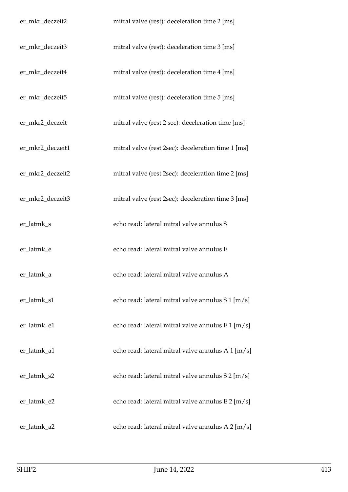| er_mkr_deczeit2  | mitral valve (rest): deceleration time 2 [ms]      |
|------------------|----------------------------------------------------|
| er_mkr_deczeit3  | mitral valve (rest): deceleration time 3 [ms]      |
| er_mkr_deczeit4  | mitral valve (rest): deceleration time 4 [ms]      |
| er_mkr_deczeit5  | mitral valve (rest): deceleration time 5 [ms]      |
| er_mkr2_deczeit  | mitral valve (rest 2 sec): deceleration time [ms]  |
| er_mkr2_deczeit1 | mitral valve (rest 2sec): deceleration time 1 [ms] |
| er_mkr2_deczeit2 | mitral valve (rest 2sec): deceleration time 2 [ms] |
| er_mkr2_deczeit3 | mitral valve (rest 2sec): deceleration time 3 [ms] |
| er_latmk_s       | echo read: lateral mitral valve annulus S          |
| er_latmk_e       | echo read: lateral mitral valve annulus E          |
| er_latmk_a       | echo read: lateral mitral valve annulus A          |
| er_latmk_s1      | echo read: lateral mitral valve annulus S 1 [m/s]  |
| er_latmk_e1      | echo read: lateral mitral valve annulus E 1 [m/s]  |
| er_latmk_a1      | echo read: lateral mitral valve annulus A 1 [m/s]  |
| er_latmk_s2      | echo read: lateral mitral valve annulus S 2 [m/s]  |
| er_latmk_e2      | echo read: lateral mitral valve annulus E 2 [m/s]  |
| er_latmk_a2      | echo read: lateral mitral valve annulus A 2 [m/s]  |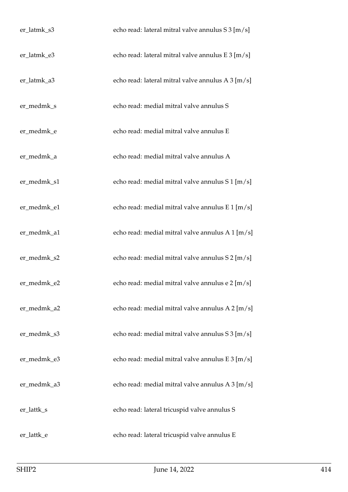| er_latmk_s3 | echo read: lateral mitral valve annulus S 3 [m/s] |
|-------------|---------------------------------------------------|
| er_latmk_e3 | echo read: lateral mitral valve annulus E 3 [m/s] |
| er_latmk_a3 | echo read: lateral mitral valve annulus A 3 [m/s] |
| er_medmk_s  | echo read: medial mitral valve annulus S          |
| er_medmk_e  | echo read: medial mitral valve annulus E          |
| er_medmk_a  | echo read: medial mitral valve annulus A          |
| er_medmk_s1 | echo read: medial mitral valve annulus S 1 [m/s]  |
| er_medmk_e1 | echo read: medial mitral valve annulus E 1 [m/s]  |
| er_medmk_a1 | echo read: medial mitral valve annulus A 1 [m/s]  |
| er_medmk_s2 | echo read: medial mitral valve annulus S 2 [m/s]  |
| er_medmk_e2 | echo read: medial mitral valve annulus e 2 [m/s]  |
| er_medmk_a2 | echo read: medial mitral valve annulus A 2 [m/s]  |
| er_medmk_s3 | echo read: medial mitral valve annulus S 3 [m/s]  |
| er_medmk_e3 | echo read: medial mitral valve annulus E 3 [m/s]  |
| er_medmk_a3 | echo read: medial mitral valve annulus A 3 [m/s]  |
| er_lattk_s  | echo read: lateral tricuspid valve annulus S      |
| er_lattk_e  | echo read: lateral tricuspid valve annulus E      |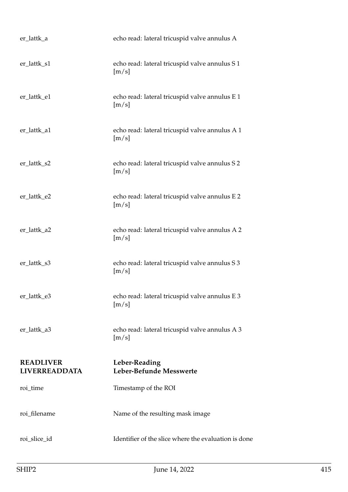| er_lattk_a                               | echo read: lateral tricuspid valve annulus A            |
|------------------------------------------|---------------------------------------------------------|
| er_lattk_s1                              | echo read: lateral tricuspid valve annulus S1<br>[m/s]  |
| er_lattk_e1                              | echo read: lateral tricuspid valve annulus E 1<br>[m/s] |
| er_lattk_a1                              | echo read: lateral tricuspid valve annulus A 1<br>[m/s] |
| er_lattk_s2                              | echo read: lateral tricuspid valve annulus S 2<br>[m/s] |
| er_lattk_e2                              | echo read: lateral tricuspid valve annulus E 2<br>[m/s] |
| er_lattk_a2                              | echo read: lateral tricuspid valve annulus A 2<br>[m/s] |
| er_lattk_s3                              | echo read: lateral tricuspid valve annulus S 3<br>[m/s] |
| er_lattk_e3                              | echo read: lateral tricuspid valve annulus E 3<br>[m/s] |
| er_lattk_a3                              | echo read: lateral tricuspid valve annulus A 3<br>[m/s] |
| <b>READLIVER</b><br><b>LIVERREADDATA</b> | Leber-Reading<br>Leber-Befunde Messwerte                |
| roi_time                                 | Timestamp of the ROI                                    |
| roi_filename                             | Name of the resulting mask image                        |
| roi_slice_id                             | Identifier of the slice where the evaluation is done    |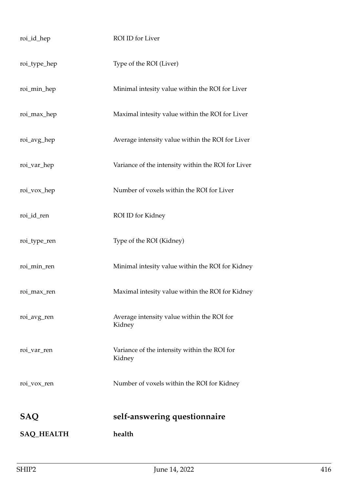| roi_id_hep        | ROI ID for Liver                                       |
|-------------------|--------------------------------------------------------|
| roi_type_hep      | Type of the ROI (Liver)                                |
| roi_min_hep       | Minimal intesity value within the ROI for Liver        |
| roi_max_hep       | Maximal intesity value within the ROI for Liver        |
| roi_avg_hep       | Average intensity value within the ROI for Liver       |
| roi_var_hep       | Variance of the intensity within the ROI for Liver     |
| roi_vox_hep       | Number of voxels within the ROI for Liver              |
| roi_id_ren        | ROI ID for Kidney                                      |
| roi_type_ren      | Type of the ROI (Kidney)                               |
| roi_min_ren       | Minimal intesity value within the ROI for Kidney       |
| roi_max_ren       | Maximal intesity value within the ROI for Kidney       |
| roi_avg_ren       | Average intensity value within the ROI for<br>Kidney   |
| roi_var_ren       | Variance of the intensity within the ROI for<br>Kidney |
| roi_vox_ren       | Number of voxels within the ROI for Kidney             |
| <b>SAQ</b>        | self-answering questionnaire                           |
| <b>SAQ_HEALTH</b> | health                                                 |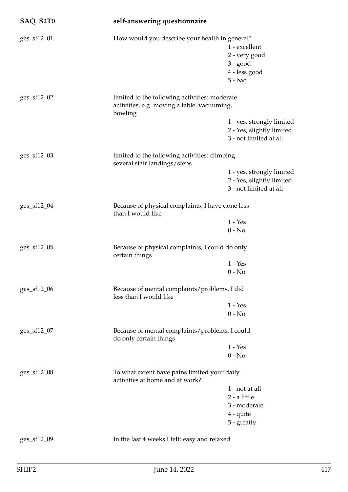| SAQ_S2T0      | self-answering questionnaire                                                  |                                                                                 |  |
|---------------|-------------------------------------------------------------------------------|---------------------------------------------------------------------------------|--|
| ges_sf12_01   | How would you describe your health in general?                                |                                                                                 |  |
|               |                                                                               | 1 - excellent                                                                   |  |
|               |                                                                               | 2 - very good                                                                   |  |
|               |                                                                               | $3 - good$                                                                      |  |
|               |                                                                               | 4 - less good                                                                   |  |
|               |                                                                               | $5 - bad$                                                                       |  |
| ges_sf12_02   | limited to the following activities: moderate                                 |                                                                                 |  |
|               | activities, e.g. moving a table, vacuuming,<br>bowling                        |                                                                                 |  |
|               |                                                                               | 1 - yes, strongly limited                                                       |  |
|               |                                                                               | 2 - Yes, slightly limited                                                       |  |
|               |                                                                               | 3 - not limited at all                                                          |  |
| $ges_sf12_03$ | limited to the following activities: climbing<br>several stair landings/steps |                                                                                 |  |
|               |                                                                               | 1 - yes, strongly limited                                                       |  |
|               |                                                                               | 2 - Yes, slightly limited                                                       |  |
|               |                                                                               | 3 - not limited at all                                                          |  |
| ges_sf12_04   | Because of physical complaints, I have done less<br>than I would like         |                                                                                 |  |
|               |                                                                               | $1 - Yes$                                                                       |  |
|               |                                                                               | $0 - No$                                                                        |  |
| ges_sf12_05   | Because of physical complaints, I could do only<br>certain things             |                                                                                 |  |
|               |                                                                               | $1 - Yes$                                                                       |  |
|               |                                                                               | $0 - No$                                                                        |  |
| ges_sf12_06   | Because of mental complaints/problems, I did<br>less than I would like        |                                                                                 |  |
|               |                                                                               | $1 - Yes$                                                                       |  |
|               |                                                                               | $0 - No$                                                                        |  |
| ges_sf12_07   | Because of mental complaints/problems, I could<br>do only certain things      |                                                                                 |  |
|               |                                                                               | $1 - Yes$                                                                       |  |
|               |                                                                               | $0 - No$                                                                        |  |
| ges_sf12_08   |                                                                               | To what extent have pains limited your daily<br>activities at home and at work? |  |
|               |                                                                               | 1 - not at all                                                                  |  |
|               |                                                                               | 2 - a little                                                                    |  |
|               |                                                                               | 3 - moderate                                                                    |  |
|               |                                                                               | $4$ - quite                                                                     |  |
|               |                                                                               | 5 - greatly                                                                     |  |
| ges_sf12_09   | In the last 4 weeks I felt: easy and relaxed                                  |                                                                                 |  |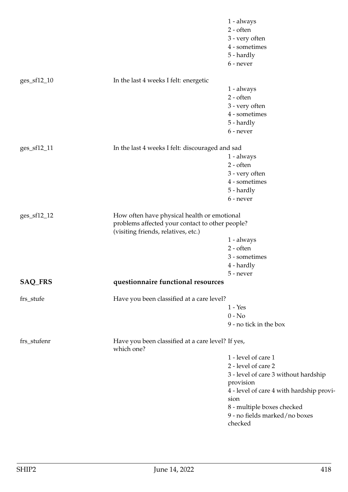|                 |                                                                 | 1 - always                               |
|-----------------|-----------------------------------------------------------------|------------------------------------------|
|                 |                                                                 | $2 - often$                              |
|                 |                                                                 | 3 - very often                           |
|                 |                                                                 | 4 - sometimes                            |
|                 |                                                                 | 5 - hardly                               |
|                 |                                                                 | 6 - never                                |
|                 |                                                                 |                                          |
| $ges\_sf12\_10$ | In the last 4 weeks I felt: energetic                           |                                          |
|                 |                                                                 | 1 - always                               |
|                 |                                                                 | 2 - often                                |
|                 |                                                                 | 3 - very often                           |
|                 |                                                                 | 4 - sometimes                            |
|                 |                                                                 | 5 - hardly                               |
|                 |                                                                 | 6 - never                                |
|                 |                                                                 |                                          |
| ges_sf12_11     | In the last 4 weeks I felt: discouraged and sad                 |                                          |
|                 |                                                                 | 1 - always                               |
|                 |                                                                 | $2$ - often                              |
|                 |                                                                 | 3 - very often                           |
|                 |                                                                 | 4 - sometimes                            |
|                 |                                                                 | 5 - hardly                               |
|                 |                                                                 | 6 - never                                |
| ges_sf12_12     | How often have physical health or emotional                     |                                          |
|                 | problems affected your contact to other people?                 |                                          |
|                 | (visiting friends, relatives, etc.)                             |                                          |
|                 |                                                                 | 1 - always                               |
|                 |                                                                 | $2 - often$                              |
|                 |                                                                 | 3 - sometimes                            |
|                 |                                                                 | 4 - hardly                               |
|                 |                                                                 | 5 - never                                |
| <b>SAQ_FRS</b>  | questionnaire functional resources                              |                                          |
|                 |                                                                 |                                          |
| frs_stufe       | Have you been classified at a care level?                       |                                          |
|                 |                                                                 | $1 - Yes$                                |
|                 |                                                                 | $0 - No$                                 |
|                 |                                                                 | 9 - no tick in the box                   |
| frs_stufenr     | Have you been classified at a care level? If yes,<br>which one? |                                          |
|                 |                                                                 | 1 - level of care 1                      |
|                 |                                                                 | 2 - level of care 2                      |
|                 |                                                                 | 3 - level of care 3 without hardship     |
|                 |                                                                 | provision                                |
|                 |                                                                 | 4 - level of care 4 with hardship provi- |
|                 |                                                                 | sion                                     |
|                 |                                                                 | 8 - multiple boxes checked               |
|                 |                                                                 | 9 - no fields marked/no boxes            |
|                 |                                                                 | checked                                  |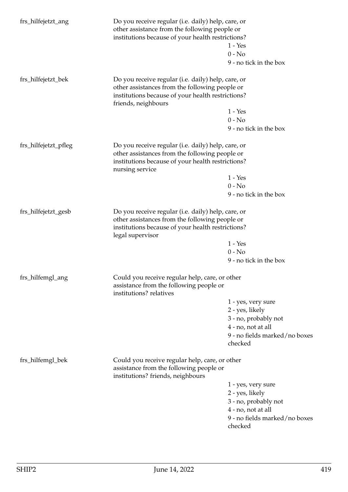| frs_hilfejetzt_ang   | Do you receive regular (i.e. daily) help, care, or<br>other assistance from the following people or<br>institutions because of your health restrictions?                         |                                                                                                                                                           |  |
|----------------------|----------------------------------------------------------------------------------------------------------------------------------------------------------------------------------|-----------------------------------------------------------------------------------------------------------------------------------------------------------|--|
|                      |                                                                                                                                                                                  | $1 - Yes$                                                                                                                                                 |  |
|                      |                                                                                                                                                                                  | $0 - No$                                                                                                                                                  |  |
|                      |                                                                                                                                                                                  | 9 - no tick in the box                                                                                                                                    |  |
| frs_hilfejetzt_bek   | Do you receive regular (i.e. daily) help, care, or<br>other assistances from the following people or<br>institutions because of your health restrictions?<br>friends, neighbours |                                                                                                                                                           |  |
|                      |                                                                                                                                                                                  | $1 - Yes$                                                                                                                                                 |  |
|                      |                                                                                                                                                                                  | $0 - No$                                                                                                                                                  |  |
|                      |                                                                                                                                                                                  | 9 - no tick in the box                                                                                                                                    |  |
| frs_hilfejetzt_pfleg | nursing service                                                                                                                                                                  | Do you receive regular (i.e. daily) help, care, or<br>other assistances from the following people or<br>institutions because of your health restrictions? |  |
|                      |                                                                                                                                                                                  | $1 - Yes$                                                                                                                                                 |  |
|                      |                                                                                                                                                                                  | $0 - No$                                                                                                                                                  |  |
|                      |                                                                                                                                                                                  | 9 - no tick in the box                                                                                                                                    |  |
| frs_hilfejetzt_gesb  | Do you receive regular (i.e. daily) help, care, or<br>other assistances from the following people or<br>institutions because of your health restrictions?<br>legal supervisor    |                                                                                                                                                           |  |
|                      |                                                                                                                                                                                  | $1 - Yes$                                                                                                                                                 |  |
|                      |                                                                                                                                                                                  | $0 - No$                                                                                                                                                  |  |
|                      |                                                                                                                                                                                  | 9 - no tick in the box                                                                                                                                    |  |
| frs_hilfemgl_ang     | Could you receive regular help, care, or other<br>assistance from the following people or<br>institutions? relatives                                                             |                                                                                                                                                           |  |
|                      |                                                                                                                                                                                  | 1 - yes, very sure                                                                                                                                        |  |
|                      |                                                                                                                                                                                  | 2 - yes, likely                                                                                                                                           |  |
|                      |                                                                                                                                                                                  | 3 - no, probably not                                                                                                                                      |  |
|                      |                                                                                                                                                                                  | 4 - no, not at all                                                                                                                                        |  |
|                      |                                                                                                                                                                                  | 9 - no fields marked/no boxes<br>checked                                                                                                                  |  |
| frs_hilfemgl_bek     | Could you receive regular help, care, or other<br>assistance from the following people or<br>institutions? friends, neighbours                                                   |                                                                                                                                                           |  |
|                      |                                                                                                                                                                                  | 1 - yes, very sure                                                                                                                                        |  |
|                      |                                                                                                                                                                                  | 2 - yes, likely                                                                                                                                           |  |
|                      |                                                                                                                                                                                  | 3 - no, probably not                                                                                                                                      |  |
|                      |                                                                                                                                                                                  | 4 - no, not at all                                                                                                                                        |  |
|                      |                                                                                                                                                                                  | 9 - no fields marked/no boxes<br>checked                                                                                                                  |  |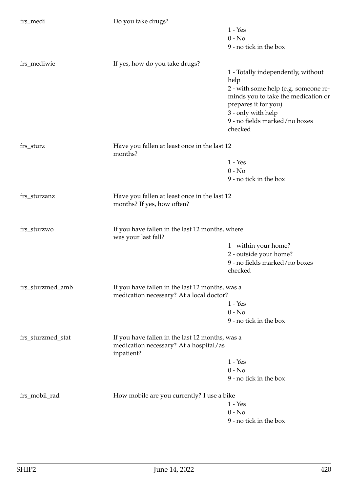| frs_medi          | Do you take drugs?                                                                                      |                                                     |
|-------------------|---------------------------------------------------------------------------------------------------------|-----------------------------------------------------|
|                   |                                                                                                         | $1 - Yes$                                           |
|                   |                                                                                                         | $0 - No$                                            |
|                   |                                                                                                         | 9 - no tick in the box                              |
| frs_mediwie       | If yes, how do you take drugs?                                                                          |                                                     |
|                   |                                                                                                         | 1 - Totally independently, without                  |
|                   |                                                                                                         | help                                                |
|                   |                                                                                                         | 2 - with some help (e.g. someone re-                |
|                   |                                                                                                         | minds you to take the medication or                 |
|                   |                                                                                                         | prepares it for you)                                |
|                   |                                                                                                         | 3 - only with help<br>9 - no fields marked/no boxes |
|                   |                                                                                                         | checked                                             |
| frs_sturz         | Have you fallen at least once in the last 12                                                            |                                                     |
|                   | months?                                                                                                 |                                                     |
|                   |                                                                                                         | $1 - Yes$                                           |
|                   |                                                                                                         | $0 - No$                                            |
|                   |                                                                                                         | 9 - no tick in the box                              |
| frs_sturzanz      | Have you fallen at least once in the last 12<br>months? If yes, how often?                              |                                                     |
| frs_sturzwo       | If you have fallen in the last 12 months, where<br>was your last fall?                                  |                                                     |
|                   |                                                                                                         | 1 - within your home?                               |
|                   |                                                                                                         | 2 - outside your home?                              |
|                   |                                                                                                         | 9 - no fields marked/no boxes                       |
|                   |                                                                                                         | checked                                             |
| frs_sturzmed_amb  | If you have fallen in the last 12 months, was a                                                         |                                                     |
|                   | medication necessary? At a local doctor?                                                                | $1 - Yes$                                           |
|                   |                                                                                                         | $0 - No$                                            |
|                   |                                                                                                         | 9 - no tick in the box                              |
|                   |                                                                                                         |                                                     |
| frs_sturzmed_stat | If you have fallen in the last 12 months, was a<br>medication necessary? At a hospital/as<br>inpatient? |                                                     |
|                   |                                                                                                         | $1 - Yes$                                           |
|                   |                                                                                                         | $0 - No$                                            |
|                   |                                                                                                         | 9 - no tick in the box                              |
| frs_mobil_rad     | How mobile are you currently? I use a bike                                                              |                                                     |
|                   |                                                                                                         | $1 - Yes$                                           |
|                   |                                                                                                         | $0 - No$                                            |
|                   |                                                                                                         | 9 - no tick in the box                              |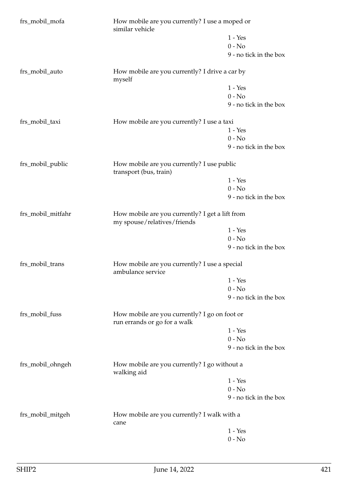| frs_mobil_mofa    | How mobile are you currently? I use a moped or<br>similar vehicle              |                        |
|-------------------|--------------------------------------------------------------------------------|------------------------|
|                   |                                                                                | $1 - Yes$              |
|                   |                                                                                | $0 - No$               |
|                   |                                                                                | 9 - no tick in the box |
| frs_mobil_auto    | How mobile are you currently? I drive a car by<br>myself                       |                        |
|                   |                                                                                | $1 - Yes$              |
|                   |                                                                                | $0 - No$               |
|                   |                                                                                | 9 - no tick in the box |
| frs_mobil_taxi    | How mobile are you currently? I use a taxi                                     |                        |
|                   |                                                                                | $1 - Yes$              |
|                   |                                                                                | $0 - No$               |
|                   |                                                                                | 9 - no tick in the box |
| frs_mobil_public  | How mobile are you currently? I use public<br>transport (bus, train)           |                        |
|                   |                                                                                | $1 - Yes$              |
|                   |                                                                                | $0 - No$               |
|                   |                                                                                | 9 - no tick in the box |
| frs_mobil_mitfahr | How mobile are you currently? I get a lift from<br>my spouse/relatives/friends |                        |
|                   |                                                                                | $1 - Yes$              |
|                   |                                                                                | $0 - No$               |
|                   |                                                                                | 9 - no tick in the box |
| frs_mobil_trans   | How mobile are you currently? I use a special<br>ambulance service             |                        |
|                   |                                                                                | $1 - Yes$              |
|                   |                                                                                | $0 - No$               |
|                   |                                                                                | 9 - no tick in the box |
| frs_mobil_fuss    | How mobile are you currently? I go on foot or<br>run errands or go for a walk  |                        |
|                   |                                                                                | $1 - Yes$              |
|                   |                                                                                | $0 - No$               |
|                   |                                                                                | 9 - no tick in the box |
| frs_mobil_ohngeh  | How mobile are you currently? I go without a<br>walking aid                    |                        |
|                   |                                                                                | $1 - Yes$              |
|                   |                                                                                | $0 - No$               |
|                   |                                                                                | 9 - no tick in the box |
| frs_mobil_mitgeh  | How mobile are you currently? I walk with a<br>cane                            |                        |
|                   |                                                                                | $1 - Yes$              |
|                   |                                                                                | $0 - No$               |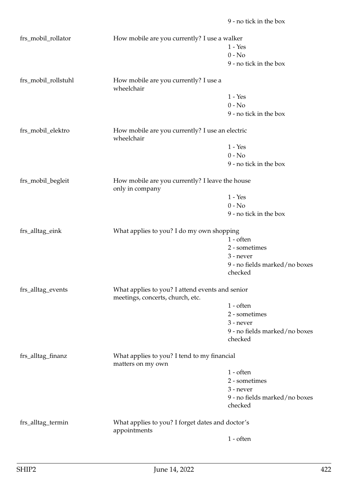1 - Yes 0 - No 9 - no tick in the box frs\_mobil\_rollstuhl How mobile are you currently? I use a wheelchair 1 - Yes  $0 - No$ 9 - no tick in the box frs\_mobil\_elektro How mobile are you currently? I use an electric wheelchair 1 - Yes  $0 - No$ 9 - no tick in the box frs\_mobil\_begleit How mobile are you currently? I leave the house only in company 1 - Yes  $0 - No$ 9 - no tick in the box frs\_alltag\_eink What applies to you? I do my own shopping 1 - often 2 - sometimes 3 - never 9 - no fields marked/no boxes checked frs\_alltag\_events What applies to you? I attend events and senior meetings, concerts, church, etc. 1 - often 2 - sometimes 3 - never 9 - no fields marked/no boxes checked frs\_alltag\_finanz What applies to you? I tend to my financial matters on my own 1 - often 2 - sometimes 3 - never 9 - no fields marked/no boxes checked frs\_alltag\_termin What applies to you? I forget dates and doctor's appointments

frs\_mobil\_rollator How mobile are you currently? I use a walker

1 - often

9 - no tick in the box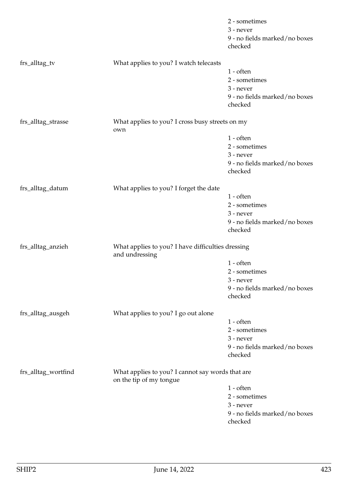|                     |                                                                             | 2 - sometimes                 |
|---------------------|-----------------------------------------------------------------------------|-------------------------------|
|                     |                                                                             | 3 - never                     |
|                     |                                                                             | 9 - no fields marked/no boxes |
|                     |                                                                             | checked                       |
| frs_alltag_tv       | What applies to you? I watch telecasts                                      |                               |
|                     |                                                                             | $1$ - often                   |
|                     |                                                                             | 2 - sometimes                 |
|                     |                                                                             | $3$ - never                   |
|                     |                                                                             | 9 - no fields marked/no boxes |
|                     |                                                                             | checked                       |
| frs_alltag_strasse  | What applies to you? I cross busy streets on my<br>own                      |                               |
|                     |                                                                             | $1$ - often                   |
|                     |                                                                             | 2 - sometimes                 |
|                     |                                                                             | $3$ - never                   |
|                     |                                                                             | 9 - no fields marked/no boxes |
|                     |                                                                             | checked                       |
| frs_alltag_datum    | What applies to you? I forget the date                                      |                               |
|                     |                                                                             | $1$ - often                   |
|                     |                                                                             | 2 - sometimes                 |
|                     |                                                                             | 3 - never                     |
|                     |                                                                             | 9 - no fields marked/no boxes |
|                     |                                                                             | checked                       |
| frs_alltag_anzieh   | What applies to you? I have difficulties dressing<br>and undressing         |                               |
|                     |                                                                             | $1$ - often                   |
|                     |                                                                             | 2 - sometimes                 |
|                     |                                                                             | 3 - never                     |
|                     |                                                                             | 9 - no fields marked/no boxes |
|                     |                                                                             | checked                       |
| frs_alltag_ausgeh   | What applies to you? I go out alone                                         |                               |
|                     |                                                                             | $1$ - often                   |
|                     |                                                                             | 2 - sometimes                 |
|                     |                                                                             | 3 - never                     |
|                     |                                                                             | 9 - no fields marked/no boxes |
|                     |                                                                             | checked                       |
| frs_alltag_wortfind | What applies to you? I cannot say words that are<br>on the tip of my tongue |                               |
|                     |                                                                             | $1$ - often                   |
|                     |                                                                             | 2 - sometimes                 |
|                     |                                                                             | 3 - never                     |
|                     |                                                                             | 9 - no fields marked/no boxes |
|                     |                                                                             | checked                       |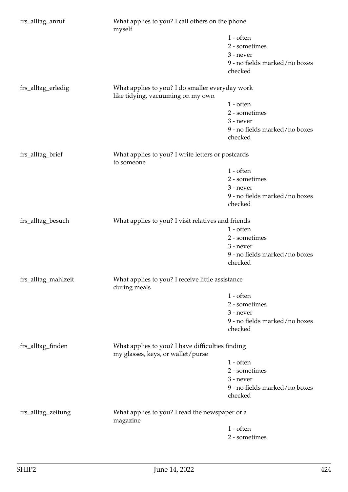| frs_alltag_anruf    | What applies to you? I call others on the phone<br>myself                             |                                                  |  |
|---------------------|---------------------------------------------------------------------------------------|--------------------------------------------------|--|
|                     |                                                                                       | $1$ - often                                      |  |
|                     |                                                                                       | 2 - sometimes                                    |  |
|                     |                                                                                       | $3$ - never                                      |  |
|                     |                                                                                       | 9 - no fields marked/no boxes                    |  |
|                     |                                                                                       | checked                                          |  |
| frs_alltag_erledig  | What applies to you? I do smaller everyday work                                       |                                                  |  |
|                     | like tidying, vacuuming on my own                                                     |                                                  |  |
|                     |                                                                                       | $1$ - often                                      |  |
|                     |                                                                                       | 2 - sometimes                                    |  |
|                     |                                                                                       | 3 - never                                        |  |
|                     |                                                                                       | 9 - no fields marked/no boxes                    |  |
|                     |                                                                                       | checked                                          |  |
| frs_alltag_brief    | What applies to you? I write letters or postcards<br>to someone                       |                                                  |  |
|                     |                                                                                       | $1 - \text{often}$                               |  |
|                     |                                                                                       | 2 - sometimes                                    |  |
|                     |                                                                                       | 3 - never                                        |  |
|                     |                                                                                       | 9 - no fields marked/no boxes                    |  |
|                     |                                                                                       | checked                                          |  |
| frs_alltag_besuch   | What applies to you? I visit relatives and friends                                    |                                                  |  |
|                     |                                                                                       | $1 - \text{often}$                               |  |
|                     |                                                                                       | 2 - sometimes                                    |  |
|                     |                                                                                       | 3 - never                                        |  |
|                     |                                                                                       | 9 - no fields marked/no boxes                    |  |
|                     |                                                                                       | checked                                          |  |
| frs_alltag_mahlzeit | during meals                                                                          | What applies to you? I receive little assistance |  |
|                     |                                                                                       | $1$ - often                                      |  |
|                     |                                                                                       | 2 - sometimes                                    |  |
|                     |                                                                                       | 3 - never                                        |  |
|                     |                                                                                       | 9 - no fields marked/no boxes                    |  |
|                     |                                                                                       | checked                                          |  |
| frs_alltag_finden   | What applies to you? I have difficulties finding<br>my glasses, keys, or wallet/purse |                                                  |  |
|                     |                                                                                       | $1$ - often                                      |  |
|                     |                                                                                       | 2 - sometimes                                    |  |
|                     |                                                                                       | 3 - never                                        |  |
|                     |                                                                                       | 9 - no fields marked/no boxes                    |  |
|                     |                                                                                       | checked                                          |  |
| frs_alltag_zeitung  | What applies to you? I read the newspaper or a<br>magazine                            |                                                  |  |
|                     |                                                                                       | $1$ - often                                      |  |
|                     |                                                                                       | 2 - sometimes                                    |  |
|                     |                                                                                       |                                                  |  |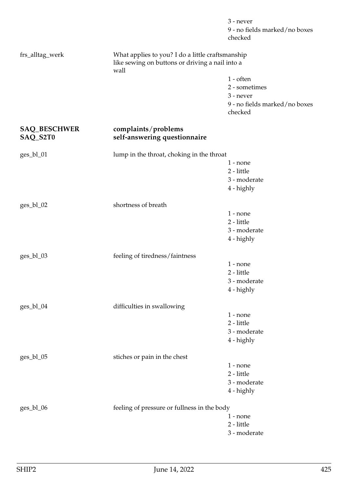|                                 |                                                                                                             | 3 - never<br>9 - no fields marked/no boxes<br>checked |
|---------------------------------|-------------------------------------------------------------------------------------------------------------|-------------------------------------------------------|
| frs_alltag_werk                 | What applies to you? I do a little craftsmanship<br>like sewing on buttons or driving a nail into a<br>wall |                                                       |
|                                 |                                                                                                             | $1$ - often                                           |
|                                 |                                                                                                             | 2 - sometimes                                         |
|                                 |                                                                                                             | 3 - never                                             |
|                                 |                                                                                                             | 9 - no fields marked/no boxes<br>checked              |
| <b>SAQ_BESCHWER</b><br>SAQ_S2T0 | complaints/problems<br>self-answering questionnaire                                                         |                                                       |
|                                 |                                                                                                             |                                                       |
| ges_bl_01                       | lump in the throat, choking in the throat                                                                   |                                                       |
|                                 |                                                                                                             | $1$ - none                                            |
|                                 |                                                                                                             | 2 - little<br>3 - moderate                            |
|                                 |                                                                                                             | 4 - highly                                            |
|                                 |                                                                                                             |                                                       |
| ges_bl_02                       | shortness of breath                                                                                         |                                                       |
|                                 |                                                                                                             | $1 - none$                                            |
|                                 |                                                                                                             | 2 - little                                            |
|                                 |                                                                                                             | 3 - moderate                                          |
|                                 |                                                                                                             | 4 - highly                                            |
| ges_bl_03                       | feeling of tiredness/faintness                                                                              |                                                       |
|                                 |                                                                                                             | $1$ - none                                            |
|                                 |                                                                                                             | 2 - little                                            |
|                                 |                                                                                                             | 3 - moderate                                          |
|                                 |                                                                                                             | 4 - highly                                            |
| ges_bl_04                       | difficulties in swallowing                                                                                  |                                                       |
|                                 |                                                                                                             | $1$ - none                                            |
|                                 |                                                                                                             | 2 - little                                            |
|                                 |                                                                                                             | 3 - moderate                                          |
|                                 |                                                                                                             | 4 - highly                                            |
| ges_bl_05                       | stiches or pain in the chest                                                                                |                                                       |
|                                 |                                                                                                             | $1$ - none                                            |
|                                 |                                                                                                             | 2 - little                                            |
|                                 |                                                                                                             | 3 - moderate                                          |
|                                 |                                                                                                             | 4 - highly                                            |
| ges_bl_06                       | feeling of pressure or fullness in the body                                                                 |                                                       |
|                                 |                                                                                                             | $1$ - none                                            |
|                                 |                                                                                                             | $2$ - little $\,$                                     |
|                                 |                                                                                                             | 3 - moderate                                          |
|                                 |                                                                                                             |                                                       |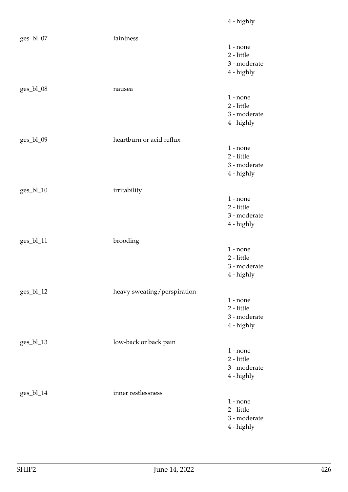| ges_bl_07 | faintness                   | $1$ - none<br>2 - little<br>3 - moderate<br>4 - highly |
|-----------|-----------------------------|--------------------------------------------------------|
| ges_bl_08 | nausea                      | $1$ - none<br>2 - little<br>3 - moderate<br>4 - highly |
| ges_bl_09 | heartburn or acid reflux    | $1 - none$<br>2 - little<br>3 - moderate<br>4 - highly |
| ges_bl_10 | irritability                | $1$ - none<br>2 - little<br>3 - moderate<br>4 - highly |
| ges_bl_11 | brooding                    | $1 - none$<br>2 - little<br>3 - moderate<br>4 - highly |
| ges_bl_12 | heavy sweating/perspiration | $1 - none$<br>2 - little<br>3 - moderate<br>4 - highly |
| ges_bl_13 | low-back or back pain       | $1$ - none<br>2 - little<br>3 - moderate<br>4 - highly |
| ges_bl_14 | inner restlessness          | $1$ - none<br>2 - little<br>3 - moderate<br>4 - highly |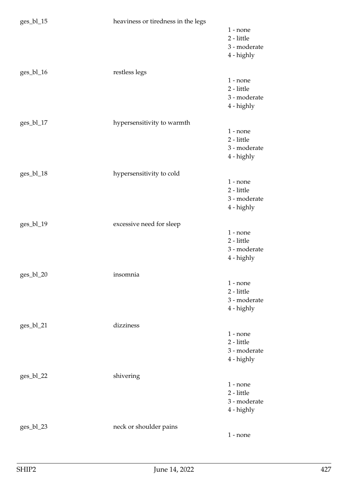| ges_bl_15  | heaviness or tiredness in the legs |                                                        |
|------------|------------------------------------|--------------------------------------------------------|
|            |                                    | $1$ - none<br>2 - little<br>3 - moderate<br>4 - highly |
| ges_bl_16  | restless legs                      | $1$ - none<br>2 - little<br>3 - moderate<br>4 - highly |
| $ges_b117$ | hypersensitivity to warmth         | $1$ - none<br>2 - little<br>3 - moderate<br>4 - highly |
| ges_bl_18  | hypersensitivity to cold           | $1$ - none<br>2 - little<br>3 - moderate<br>4 - highly |
| ges_bl_19  | excessive need for sleep           | $1$ - none<br>2 - little<br>3 - moderate<br>4 - highly |
| ges_bl_20  | insomnia                           | $1$ - none<br>2 - little<br>3 - moderate<br>4 - highly |
| ges_bl_21  | dizziness                          | $1$ - none<br>2 - little<br>3 - moderate<br>4 - highly |
| ges_bl_22  | shivering                          | $1$ - none<br>2 - little<br>3 - moderate<br>4 - highly |
| ges_bl_23  | neck or shoulder pains             | $1$ - none                                             |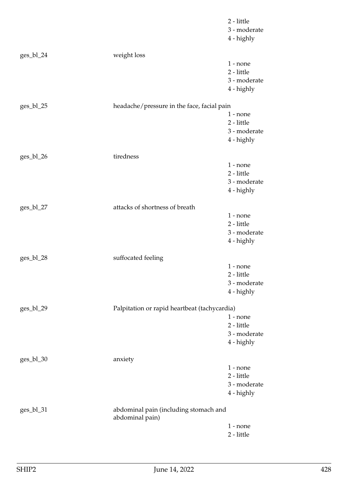|             |                                                          | 2 - little<br>3 - moderate<br>4 - highly               |
|-------------|----------------------------------------------------------|--------------------------------------------------------|
| ges_bl_24   | weight loss                                              |                                                        |
|             |                                                          | $1$ - none<br>2 - little<br>3 - moderate<br>4 - highly |
| $ges_b1_25$ | headache/pressure in the face, facial pain               |                                                        |
|             |                                                          | $1$ - none<br>2 - little<br>3 - moderate<br>4 - highly |
| ges_bl_26   | tiredness                                                |                                                        |
|             |                                                          | $1 - none$<br>2 - little<br>3 - moderate<br>4 - highly |
| ges_bl_27   | attacks of shortness of breath                           |                                                        |
|             |                                                          | $1$ - none<br>2 - little<br>3 - moderate<br>4 - highly |
| ges_bl_28   | suffocated feeling                                       |                                                        |
|             |                                                          | $1$ - none<br>2 - little<br>3 - moderate<br>4 - highly |
| ges_bl_29   | Palpitation or rapid heartbeat (tachycardia)             |                                                        |
|             |                                                          | $1$ - none<br>2 - little<br>3 - moderate<br>4 - highly |
| $ges_b1_30$ | anxiety                                                  |                                                        |
|             |                                                          | $1$ - none<br>2 - little<br>3 - moderate<br>4 - highly |
| ges_bl_31   | abdominal pain (including stomach and<br>abdominal pain) |                                                        |
|             |                                                          | $1$ - none<br>2 - little                               |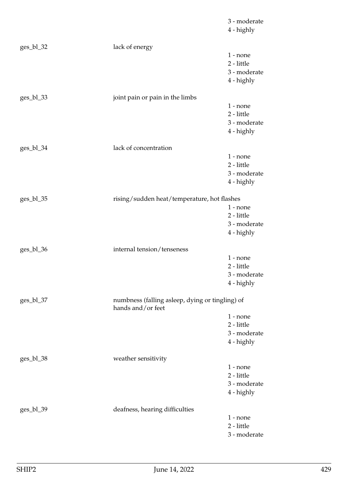|             |                                                                      | 3 - moderate<br>4 - highly |
|-------------|----------------------------------------------------------------------|----------------------------|
| ges_bl_32   | lack of energy                                                       |                            |
|             |                                                                      | $1$ - none                 |
|             |                                                                      | 2 - little                 |
|             |                                                                      | 3 - moderate               |
|             |                                                                      | 4 - highly                 |
| $ges_b1_33$ | joint pain or pain in the limbs                                      |                            |
|             |                                                                      | $1$ - none                 |
|             |                                                                      | 2 - little                 |
|             |                                                                      | 3 - moderate               |
|             |                                                                      | 4 - highly                 |
| ges_bl_34   | lack of concentration                                                |                            |
|             |                                                                      | $1$ - none                 |
|             |                                                                      | 2 - little                 |
|             |                                                                      | 3 - moderate               |
|             |                                                                      | 4 - highly                 |
| ges_bl_35   | rising/sudden heat/temperature, hot flashes                          |                            |
|             |                                                                      | $1$ - none                 |
|             |                                                                      | 2 - little                 |
|             |                                                                      | 3 - moderate<br>4 - highly |
|             |                                                                      |                            |
| ges_bl_36   | internal tension/tenseness                                           |                            |
|             |                                                                      | $1$ - none                 |
|             |                                                                      | 2 - little                 |
|             |                                                                      | 3 - moderate<br>4 - highly |
|             |                                                                      |                            |
| $ges_b1_37$ | numbness (falling asleep, dying or tingling) of<br>hands and/or feet |                            |
|             |                                                                      | $1$ - none                 |
|             |                                                                      | 2 - little                 |
|             |                                                                      | 3 - moderate               |
|             |                                                                      | 4 - highly                 |
| $ges_b1_38$ | weather sensitivity                                                  |                            |
|             |                                                                      | $1$ - none                 |
|             |                                                                      | 2 - little                 |
|             |                                                                      | 3 - moderate<br>4 - highly |
|             |                                                                      |                            |
| $ges_b1_39$ | deafness, hearing difficulties                                       |                            |
|             |                                                                      | $1$ - none                 |
|             |                                                                      | 2 - little<br>3 - moderate |
|             |                                                                      |                            |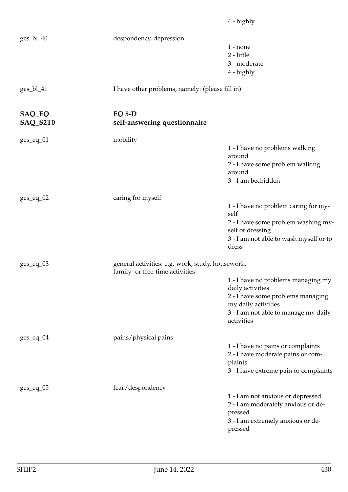|                    |                                                                                     | 4 - highly                                                                                                                                                               |
|--------------------|-------------------------------------------------------------------------------------|--------------------------------------------------------------------------------------------------------------------------------------------------------------------------|
| ges_bl_40          | despondency, depression                                                             | $1$ - none<br>2 - little<br>3 - moderate<br>4 - highly                                                                                                                   |
| ges_bl_41          | I have other problems, namely: (please fill in)                                     |                                                                                                                                                                          |
| SAQ_EQ<br>SAQ_S2T0 | $EQ 5-D$<br>self-answering questionnaire                                            |                                                                                                                                                                          |
| $ges\_eq\_01$      | mobility                                                                            | 1 - I have no problems walking<br>around<br>2 - I have some problem walking<br>around<br>3 - I am bedridden                                                              |
| $ges\_eq\_02$      | caring for myself                                                                   | 1 - I have no problem caring for my-<br>self<br>2 - I have some problem washing my-<br>self or dressing<br>3 - I am not able to wash myself or to<br>dress               |
| $ges\_eq\_03$      | general activities: e.g. work, study, housework,<br>family- or free-time activities | 1 - I have no problems managing my<br>daily activities<br>2 - I have some problems managing<br>my daily activities<br>3 - I am not able to manage my daily<br>activities |
| $ges\_eq\_04$      | pains/physical pains                                                                | 1 - I have no pains or complaints<br>2 - I have moderate pains or com-<br>plaints<br>3 - I have extreme pain or complaints                                               |
| $ges\_eq\_05$      | fear/despondency                                                                    | 1 - I am not anxious or depressed<br>2 - I am moderately anxious or de-<br>pressed<br>3 - I am extremely anxious or de-<br>pressed                                       |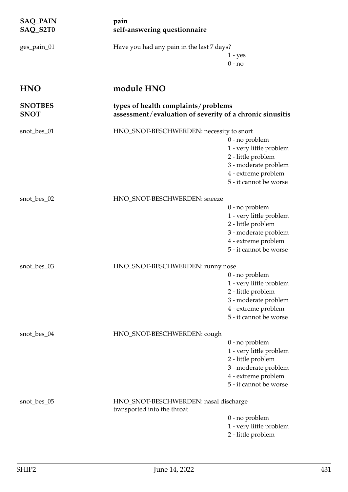| <b>SAQ_PAIN</b><br>SAQ_S2T0   | pain<br>self-answering questionnaire                                                            |                                                                                                                                            |
|-------------------------------|-------------------------------------------------------------------------------------------------|--------------------------------------------------------------------------------------------------------------------------------------------|
| ges_pain_01                   | Have you had any pain in the last 7 days?                                                       | $1 - yes$<br>$0 - no$                                                                                                                      |
| <b>HNO</b>                    | module HNO                                                                                      |                                                                                                                                            |
| <b>SNOTBES</b><br><b>SNOT</b> | types of health complaints/problems<br>assessment/evaluation of severity of a chronic sinusitis |                                                                                                                                            |
| snot_bes_01                   | HNO_SNOT-BESCHWERDEN: necessity to snort                                                        | 0 - no problem<br>1 - very little problem<br>2 - little problem<br>3 - moderate problem<br>4 - extreme problem<br>5 - it cannot be worse   |
| snot_bes_02                   | HNO_SNOT-BESCHWERDEN: sneeze                                                                    | 0 - no problem<br>1 - very little problem<br>2 - little problem<br>3 - moderate problem<br>4 - extreme problem<br>5 - it cannot be worse   |
| snot_bes_03                   | HNO_SNOT-BESCHWERDEN: runny nose                                                                | $0$ - no problem<br>1 - very little problem<br>2 - little problem<br>3 - moderate problem<br>4 - extreme problem<br>5 - it cannot be worse |
| snot_bes_04                   | HNO_SNOT-BESCHWERDEN: cough                                                                     | $0$ - no problem<br>1 - very little problem<br>2 - little problem<br>3 - moderate problem<br>4 - extreme problem<br>5 - it cannot be worse |
| snot_bes_05                   | HNO_SNOT-BESCHWERDEN: nasal discharge<br>transported into the throat                            | 0 - no problem<br>1 - very little problem<br>2 - little problem                                                                            |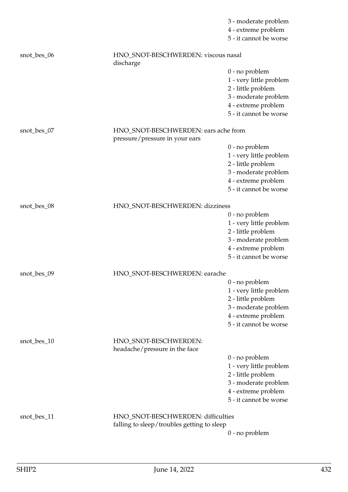|             |                                                        | 3 - moderate problem                          |
|-------------|--------------------------------------------------------|-----------------------------------------------|
|             |                                                        | 4 - extreme problem<br>5 - it cannot be worse |
|             |                                                        |                                               |
| snot_bes_06 | HNO_SNOT-BESCHWERDEN: viscous nasal<br>discharge       |                                               |
|             |                                                        | 0 - no problem                                |
|             |                                                        | 1 - very little problem                       |
|             |                                                        | 2 - little problem                            |
|             |                                                        | 3 - moderate problem                          |
|             |                                                        | 4 - extreme problem                           |
|             |                                                        | 5 - it cannot be worse                        |
| snot_bes_07 | HNO_SNOT-BESCHWERDEN: ears ache from                   |                                               |
|             | pressure/pressure in your ears                         |                                               |
|             |                                                        | 0 - no problem<br>1 - very little problem     |
|             |                                                        | 2 - little problem                            |
|             |                                                        | 3 - moderate problem                          |
|             |                                                        | 4 - extreme problem                           |
|             |                                                        | 5 - it cannot be worse                        |
| snot_bes_08 | HNO_SNOT-BESCHWERDEN: dizziness                        |                                               |
|             |                                                        | 0 - no problem                                |
|             |                                                        | 1 - very little problem                       |
|             |                                                        | 2 - little problem                            |
|             |                                                        | 3 - moderate problem                          |
|             |                                                        | 4 - extreme problem                           |
|             |                                                        | 5 - it cannot be worse                        |
| snot_bes_09 | HNO_SNOT-BESCHWERDEN: earache                          |                                               |
|             |                                                        | 0 - no problem                                |
|             |                                                        | 1 - very little problem                       |
|             |                                                        | 2 - little problem                            |
|             |                                                        | 3 - moderate problem                          |
|             |                                                        | 4 - extreme problem                           |
|             |                                                        | 5 - it cannot be worse                        |
| snot_bes_10 | HNO_SNOT-BESCHWERDEN:<br>headache/pressure in the face |                                               |
|             |                                                        | 0 - no problem                                |
|             |                                                        | 1 - very little problem                       |
|             |                                                        | 2 - little problem                            |
|             |                                                        | 3 - moderate problem                          |
|             |                                                        | 4 - extreme problem                           |
|             |                                                        | 5 - it cannot be worse                        |
| snot_bes_11 | HNO_SNOT-BESCHWERDEN: difficulties                     |                                               |
|             | falling to sleep/troubles getting to sleep             |                                               |
|             |                                                        | 0 - no problem                                |
|             |                                                        |                                               |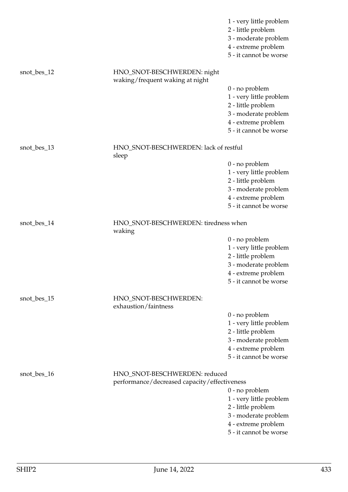|             |                                                                | 1 - very little problem<br>2 - little problem<br>3 - moderate problem<br>4 - extreme problem<br>5 - it cannot be worse |
|-------------|----------------------------------------------------------------|------------------------------------------------------------------------------------------------------------------------|
| snot_bes_12 | HNO_SNOT-BESCHWERDEN: night<br>waking/frequent waking at night |                                                                                                                        |
|             |                                                                | 0 - no problem                                                                                                         |
|             |                                                                | 1 - very little problem<br>2 - little problem                                                                          |
|             |                                                                | 3 - moderate problem                                                                                                   |
|             |                                                                | 4 - extreme problem                                                                                                    |
|             |                                                                | 5 - it cannot be worse                                                                                                 |
| snot_bes_13 | HNO_SNOT-BESCHWERDEN: lack of restful<br>sleep                 |                                                                                                                        |
|             |                                                                | 0 - no problem                                                                                                         |
|             |                                                                | 1 - very little problem                                                                                                |
|             |                                                                | 2 - little problem                                                                                                     |
|             |                                                                | 3 - moderate problem<br>4 - extreme problem                                                                            |
|             |                                                                | 5 - it cannot be worse                                                                                                 |
| snot_bes_14 | HNO_SNOT-BESCHWERDEN: tiredness when<br>waking                 |                                                                                                                        |
|             |                                                                | 0 - no problem                                                                                                         |
|             |                                                                | 1 - very little problem                                                                                                |
|             |                                                                | 2 - little problem                                                                                                     |
|             |                                                                | 3 - moderate problem                                                                                                   |
|             |                                                                | 4 - extreme problem                                                                                                    |
|             |                                                                | 5 - it cannot be worse                                                                                                 |
| snot_bes_15 | HNO_SNOT-BESCHWERDEN:<br>exhaustion/faintness                  |                                                                                                                        |
|             |                                                                | 0 - no problem                                                                                                         |
|             |                                                                | 1 - very little problem                                                                                                |
|             |                                                                | 2 - little problem                                                                                                     |
|             |                                                                | 3 - moderate problem<br>4 - extreme problem                                                                            |
|             |                                                                | 5 - it cannot be worse                                                                                                 |
|             |                                                                |                                                                                                                        |
| snot_bes_16 | HNO_SNOT-BESCHWERDEN: reduced                                  |                                                                                                                        |
|             | performance/decreased capacity/effectiveness                   |                                                                                                                        |
|             |                                                                | 0 - no problem<br>1 - very little problem                                                                              |
|             |                                                                | 2 - little problem                                                                                                     |
|             |                                                                | 3 - moderate problem                                                                                                   |
|             |                                                                | 4 - extreme problem                                                                                                    |
|             |                                                                | 5 - it cannot be worse                                                                                                 |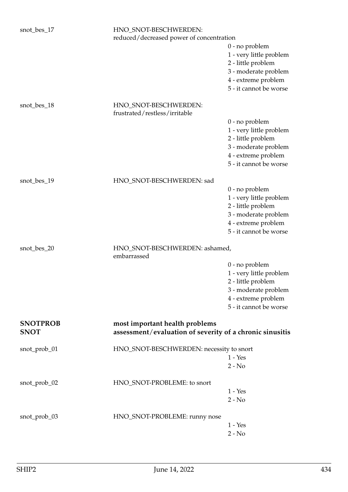| snot_bes_17                    | HNO_SNOT-BESCHWERDEN:<br>reduced/decreased power of concentration                          |                                             |
|--------------------------------|--------------------------------------------------------------------------------------------|---------------------------------------------|
|                                |                                                                                            | 0 - no problem                              |
|                                |                                                                                            | 1 - very little problem                     |
|                                |                                                                                            | 2 - little problem                          |
|                                |                                                                                            | 3 - moderate problem<br>4 - extreme problem |
|                                |                                                                                            | 5 - it cannot be worse                      |
|                                |                                                                                            |                                             |
| snot_bes_18                    | HNO_SNOT-BESCHWERDEN:<br>frustrated/restless/irritable                                     |                                             |
|                                |                                                                                            | $0$ - no problem                            |
|                                |                                                                                            | 1 - very little problem                     |
|                                |                                                                                            | 2 - little problem                          |
|                                |                                                                                            | 3 - moderate problem<br>4 - extreme problem |
|                                |                                                                                            | 5 - it cannot be worse                      |
|                                |                                                                                            |                                             |
| snot_bes_19                    | HNO_SNOT-BESCHWERDEN: sad                                                                  |                                             |
|                                |                                                                                            | $0$ - no problem                            |
|                                |                                                                                            | 1 - very little problem                     |
|                                |                                                                                            | 2 - little problem                          |
|                                |                                                                                            | 3 - moderate problem<br>4 - extreme problem |
|                                |                                                                                            | 5 - it cannot be worse                      |
|                                |                                                                                            |                                             |
| snot_bes_20                    | HNO_SNOT-BESCHWERDEN: ashamed,<br>embarrassed                                              |                                             |
|                                |                                                                                            | 0 - no problem                              |
|                                |                                                                                            | 1 - very little problem                     |
|                                |                                                                                            | 2 - little problem                          |
|                                |                                                                                            | 3 - moderate problem<br>4 - extreme problem |
|                                |                                                                                            | 5 - it cannot be worse                      |
|                                |                                                                                            |                                             |
| <b>SNOTPROB</b><br><b>SNOT</b> | most important health problems<br>assessment/evaluation of severity of a chronic sinusitis |                                             |
| snot_prob_01                   | HNO_SNOT-BESCHWERDEN: necessity to snort                                                   |                                             |
|                                |                                                                                            | $1 - Yes$                                   |
|                                |                                                                                            | $2 - No$                                    |
| snot_prob_02                   | HNO_SNOT-PROBLEME: to snort                                                                |                                             |
|                                |                                                                                            | $1 - Yes$                                   |
|                                |                                                                                            | $2 - No$                                    |
| snot_prob_03                   | HNO_SNOT-PROBLEME: runny nose                                                              |                                             |
|                                |                                                                                            | $1 - Yes$                                   |
|                                |                                                                                            | $2 - No$                                    |
|                                |                                                                                            |                                             |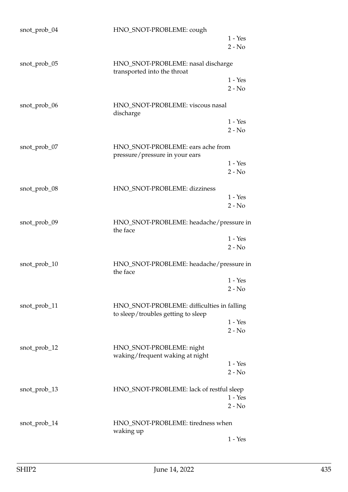| snot_prob_04 | HNO_SNOT-PROBLEME: cough                                            | $1 - Yes$<br>$2 - No$ |
|--------------|---------------------------------------------------------------------|-----------------------|
| snot_prob_05 | HNO_SNOT-PROBLEME: nasal discharge<br>transported into the throat   |                       |
|              |                                                                     | $1 - Yes$<br>$2 - No$ |
| snot_prob_06 | HNO_SNOT-PROBLEME: viscous nasal<br>discharge                       |                       |
|              |                                                                     | $1 - Yes$<br>$2 - No$ |
| snot_prob_07 | HNO_SNOT-PROBLEME: ears ache from<br>pressure/pressure in your ears |                       |
|              |                                                                     | $1 - Yes$<br>$2 - No$ |
| snot_prob_08 | HNO_SNOT-PROBLEME: dizziness                                        |                       |
|              |                                                                     | $1 - Yes$<br>$2 - No$ |
| snot_prob_09 | HNO_SNOT-PROBLEME: headache/pressure in<br>the face                 |                       |
|              |                                                                     | $1 - Yes$<br>$2 - No$ |
| snot_prob_10 | HNO_SNOT-PROBLEME: headache/pressure in<br>the face                 |                       |
|              |                                                                     | $1 - Yes$<br>$2 - No$ |
| snot_prob_11 | HNO_SNOT-PROBLEME: difficulties in falling                          |                       |
|              | to sleep/troubles getting to sleep                                  | $1 - Yes$             |
|              |                                                                     | $2 - No$              |
| snot_prob_12 | HNO_SNOT-PROBLEME: night<br>waking/frequent waking at night         |                       |
|              |                                                                     | $1 - Yes$<br>$2 - No$ |
| snot_prob_13 | HNO_SNOT-PROBLEME: lack of restful sleep                            |                       |
|              |                                                                     | $1 - Yes$<br>$2 - No$ |
| snot_prob_14 | HNO_SNOT-PROBLEME: tiredness when<br>waking up                      |                       |
|              |                                                                     | $1 - Yes$             |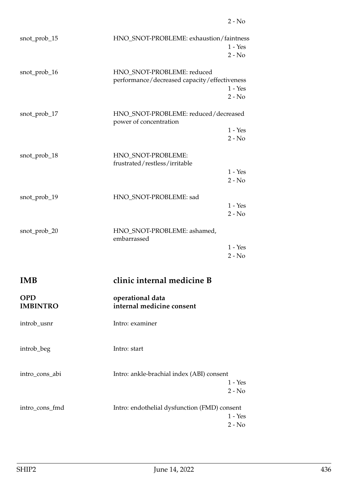| snot_prob_15 | HNO_SNOT-PROBLEME: exhaustion/faintness                                    | $1 - Yes$<br>$2 - No$ |
|--------------|----------------------------------------------------------------------------|-----------------------|
| snot_prob_16 | HNO_SNOT-PROBLEME: reduced<br>performance/decreased capacity/effectiveness | $1 - Yes$<br>$2 - No$ |
| snot_prob_17 | HNO_SNOT-PROBLEME: reduced/decreased<br>power of concentration             | $1 - Yes$<br>$2 - No$ |
| snot_prob_18 | HNO_SNOT-PROBLEME:<br>frustrated/restless/irritable                        | $1 - Yes$<br>$2 - No$ |
| snot_prob_19 | HNO_SNOT-PROBLEME: sad                                                     | $1 - Yes$<br>$2 - No$ |
| snot_prob_20 | HNO_SNOT-PROBLEME: ashamed,<br>embarrassed                                 | $1 - Yes$<br>$2 - No$ |

2 - No

## **IMB clinic internal medicine B**

| IMB                           | clinic internal medicine B                                            |  |
|-------------------------------|-----------------------------------------------------------------------|--|
| <b>OPD</b><br><b>IMBINTRO</b> | operational data<br>internal medicine consent                         |  |
| introb_usnr                   | Intro: examiner                                                       |  |
| introb_beg                    | Intro: start                                                          |  |
| intro_cons_abi                | Intro: ankle-brachial index (ABI) consent<br>$1 - Yes$<br>$2 - No$    |  |
| intro_cons_fmd                | Intro: endothelial dysfunction (FMD) consent<br>$1 - Yes$<br>$2 - No$ |  |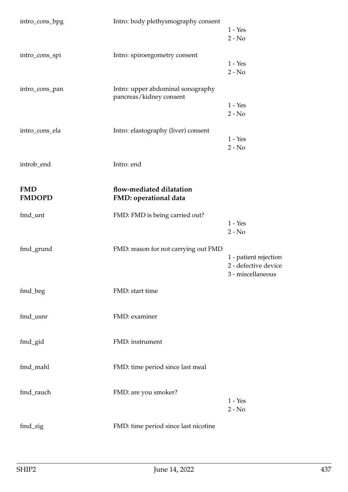| intro_cons_bpg | Intro: body plethysmography consent                          |                       |
|----------------|--------------------------------------------------------------|-----------------------|
|                |                                                              | $1 - Yes$             |
|                |                                                              | $2 - No$              |
| intro_cons_spi | Intro: spiroergometry consent                                |                       |
|                |                                                              | $1 - Yes$             |
|                |                                                              | $2 - No$              |
|                |                                                              |                       |
| intro_cons_pan | Intro: upper abdominal sonography<br>pancreas/kidney consent |                       |
|                |                                                              | $1 - Yes$             |
|                |                                                              | $2 - No$              |
|                |                                                              |                       |
| intro_cons_ela | Intro: elastography (liver) consent                          |                       |
|                |                                                              | $1 - Yes$             |
|                |                                                              | $2 - No$              |
|                |                                                              |                       |
| introb_end     | Intro: end                                                   |                       |
|                |                                                              |                       |
|                |                                                              |                       |
| <b>FMD</b>     | flow-mediated dilatation                                     |                       |
| <b>FMDOPD</b>  | FMD: operational data                                        |                       |
| fmd_unt        | FMD: FMD is being carried out?                               |                       |
|                |                                                              | $1 - Yes$             |
|                |                                                              | $2 - No$              |
|                |                                                              |                       |
| fmd_grund      | FMD: reason for not carrying out FMD                         |                       |
|                |                                                              | 1 - patient rejection |
|                |                                                              | 2 - defective device  |
|                |                                                              | 3 - miscellaneous     |
|                |                                                              |                       |
| fmd_beg        | FMD: start time                                              |                       |
|                |                                                              |                       |
|                |                                                              |                       |
| fmd_usnr       | FMD: examiner                                                |                       |
|                |                                                              |                       |
|                |                                                              |                       |
| fmd_gid        | FMD: instrument                                              |                       |
|                |                                                              |                       |
|                |                                                              |                       |
| fmd_mahl       | FMD: time period since last meal                             |                       |
|                |                                                              |                       |
|                |                                                              |                       |
| fmd_rauch      | FMD: are you smoker?                                         |                       |
|                |                                                              | $1 - Yes$             |
|                |                                                              | $2 - No$              |
|                |                                                              |                       |
| fmd_zig        | FMD: time period since last nicotine                         |                       |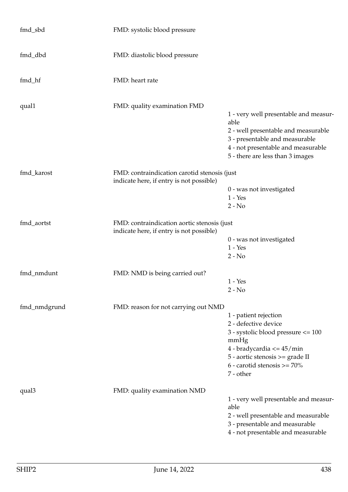| fmd_sbd      | FMD: systolic blood pressure                                                             |                                                                                                                                                                                                                         |
|--------------|------------------------------------------------------------------------------------------|-------------------------------------------------------------------------------------------------------------------------------------------------------------------------------------------------------------------------|
| fmd_dbd      | FMD: diastolic blood pressure                                                            |                                                                                                                                                                                                                         |
| fmd_hf       | FMD: heart rate                                                                          |                                                                                                                                                                                                                         |
| qual1        | FMD: quality examination FMD                                                             | 1 - very well presentable and measur-<br>able<br>2 - well presentable and measurable<br>3 - presentable and measurable<br>4 - not presentable and measurable<br>5 - there are less than 3 images                        |
| fmd_karost   | FMD: contraindication carotid stenosis (just<br>indicate here, if entry is not possible) | 0 - was not investigated<br>$1 - Yes$<br>$2 - No$                                                                                                                                                                       |
| fmd_aortst   | FMD: contraindication aortic stenosis (just<br>indicate here, if entry is not possible)  | 0 - was not investigated<br>$1 - Yes$<br>$2 - No$                                                                                                                                                                       |
| fmd_nmdunt   | FMD: NMD is being carried out?                                                           | $1 - Yes$<br>$2 - No$                                                                                                                                                                                                   |
| fmd_nmdgrund | FMD: reason for not carrying out NMD                                                     | 1 - patient rejection<br>2 - defective device<br>3 - systolic blood pressure <= 100<br>mmHg<br>4 - bradycardia $\epsilon$ = 45/min<br>5 - aortic stenosis >= grade II<br>$6$ - carotid stenosis $> = 70\%$<br>7 - other |
| qual3        | FMD: quality examination NMD                                                             | 1 - very well presentable and measur-<br>able<br>2 - well presentable and measurable<br>3 - presentable and measurable<br>4 - not presentable and measurable                                                            |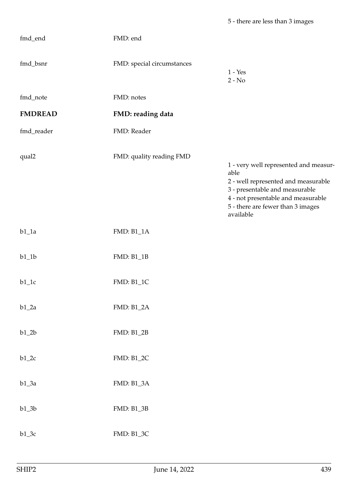| fmd_end        | FMD: end                   |                                                                                                                                                                                                                |
|----------------|----------------------------|----------------------------------------------------------------------------------------------------------------------------------------------------------------------------------------------------------------|
| fmd_bsnr       | FMD: special circumstances | $1 - Yes$<br>$2 - No$                                                                                                                                                                                          |
| fmd_note       | FMD: notes                 |                                                                                                                                                                                                                |
| <b>FMDREAD</b> | FMD: reading data          |                                                                                                                                                                                                                |
| fmd_reader     | FMD: Reader                |                                                                                                                                                                                                                |
| qual2          | FMD: quality reading FMD   | 1 - very well represented and measur-<br>able<br>2 - well represented and measurable<br>3 - presentable and measurable<br>4 - not presentable and measurable<br>5 - there are fewer than 3 images<br>available |
| $b1_1a$        | <b>FMD: B1_1A</b>          |                                                                                                                                                                                                                |
| $\rm b1\_1b$   | <b>FMD: B1_1B</b>          |                                                                                                                                                                                                                |
| $b1_1c$        | FMD: B1_1C                 |                                                                                                                                                                                                                |
| $b1_2a$        | <b>FMD: B1_2A</b>          |                                                                                                                                                                                                                |
| $\rm b1\_2b$   | FMD: B1_2B                 |                                                                                                                                                                                                                |
| $b1_2c$        | FMD: B1_2C                 |                                                                                                                                                                                                                |
| $b1_3a$        | <b>FMD: B1_3A</b>          |                                                                                                                                                                                                                |
| $b1_3b$        | FMD: B1_3B                 |                                                                                                                                                                                                                |
| $b1_3c$        | FMD: B1_3C                 |                                                                                                                                                                                                                |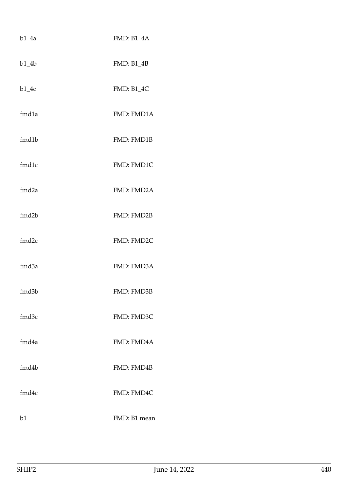| $b1_4a$ | <b>FMD: B1_4A</b> |
|---------|-------------------|
| $b1_4b$ | <b>FMD: B1_4B</b> |
| $b1_4c$ | <b>FMD: B1_4C</b> |
| fmd1a   | FMD: FMD1A        |
| fmd1b   | FMD: FMD1B        |
| fmd1c   | FMD: FMD1C        |
| fmd2a   | FMD: FMD2A        |
| fmd2b   | FMD: FMD2B        |
| fmd2c   | FMD: FMD2C        |
| fmd3a   | FMD: FMD3A        |
| fmd3b   | FMD: FMD3B        |
| fmd3c   | FMD: FMD3C        |
| fmd4a   | FMD: FMD4A        |
| fmd4b   | FMD: FMD4B        |
| fmd4c   | FMD: FMD4C        |
| b1      | FMD: B1 mean      |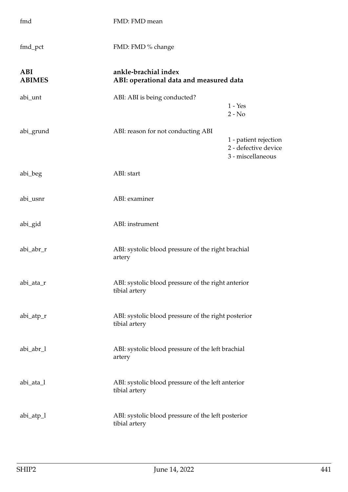| fmd                         | FMD: FMD mean                                                        |                                                                    |
|-----------------------------|----------------------------------------------------------------------|--------------------------------------------------------------------|
| fmd_pct                     | FMD: FMD % change                                                    |                                                                    |
| <b>ABI</b><br><b>ABIMES</b> | ankle-brachial index<br>ABI: operational data and measured data      |                                                                    |
| abi_unt                     | ABI: ABI is being conducted?                                         | $1 - Yes$<br>$2 - No$                                              |
| abi_grund                   | ABI: reason for not conducting ABI                                   | 1 - patient rejection<br>2 - defective device<br>3 - miscellaneous |
| abi_beg                     | ABI: start                                                           |                                                                    |
| abi_usnr                    | ABI: examiner                                                        |                                                                    |
| abi_gid                     | ABI: instrument                                                      |                                                                    |
| abi_abr_r                   | ABI: systolic blood pressure of the right brachial<br>artery         |                                                                    |
| abi_ata_r                   | ABI: systolic blood pressure of the right anterior<br>tibial artery  |                                                                    |
| abi_atp_r                   | ABI: systolic blood pressure of the right posterior<br>tibial artery |                                                                    |
| abi_abr_l                   | ABI: systolic blood pressure of the left brachial<br>artery          |                                                                    |
| abi_ata_l                   | ABI: systolic blood pressure of the left anterior<br>tibial artery   |                                                                    |
| $abi_atp_1$                 | ABI: systolic blood pressure of the left posterior<br>tibial artery  |                                                                    |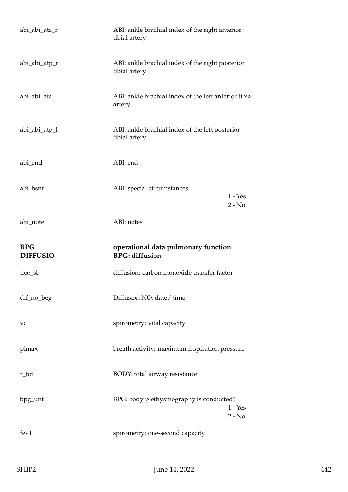| abi_abi_ata_r                 | ABI: ankle brachial index of the right anterior<br>tibial artery  |  |
|-------------------------------|-------------------------------------------------------------------|--|
| abi_abi_atp_r                 | ABI: ankle brachial index of the right posterior<br>tibial artery |  |
| abi_abi_ata_l                 | ABI: ankle brachial index of the left anterior tibial<br>artery   |  |
| abi_abi_atp_l                 | ABI: ankle brachial index of the left posterior<br>tibial artery  |  |
| abi_end                       | ABI: end                                                          |  |
| abi_bsnr                      | ABI: special circumstances<br>$1 - Yes$<br>$2 - No$               |  |
| abi_note                      | ABI: notes                                                        |  |
|                               |                                                                   |  |
| <b>BPG</b><br><b>DIFFUSIO</b> | operational data pulmonary function<br><b>BPG:</b> diffusion      |  |
| tlco_sb                       | diffusion: carbon monoxide transfer factor                        |  |
| dif_no_beg                    | Diffusion NO: date/ time                                          |  |
| vc                            | spirometry: vital capacity                                        |  |
| pimax                         | breath activity: maximum inspiration pressure                     |  |
| r_tot                         | BODY: total airway resistance                                     |  |
| bpg_unt                       | BPG: body plethysmography is conducted?<br>$1 - Yes$<br>$2 - No$  |  |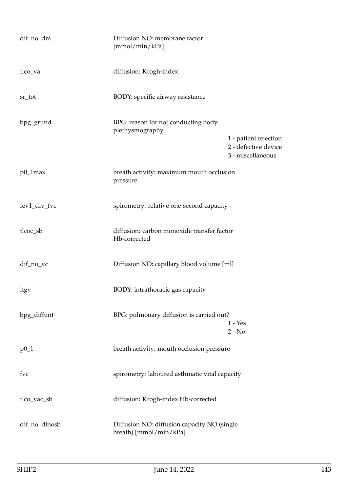| dif_no_dm     | Diffusion NO: membrane factor<br>[mmol/min/kPa]                       |                                                                    |
|---------------|-----------------------------------------------------------------------|--------------------------------------------------------------------|
| tlco_va       | diffusion: Krogh-index                                                |                                                                    |
| sr_tot        | BODY: specific airway resistance                                      |                                                                    |
| bpg_grund     | BPG: reason for not conducting body<br>plethysmography                | 1 - patient rejection<br>2 - defective device<br>3 - miscellaneous |
| $p0_1$ max    | breath activity: maximum mouth occlusion<br>pressure                  |                                                                    |
| fev1_div_fvc  | spirometry: relative one-second capacity                              |                                                                    |
| tlcoc_sb      | diffusion: carbon monoxide transfer factor<br>Hb-corrected            |                                                                    |
| dif_no_vc     | Diffusion NO: capillary blood volume [ml]                             |                                                                    |
| itgy          | BODY: intrathoracic gas capacity                                      |                                                                    |
| bpg_diffunt   | BPG: pulmonary diffusion is carried out?                              | $1 - Yes$<br>$2 - No$                                              |
| $p0_1$        | breath activity: mouth occlusion pressure                             |                                                                    |
| fvc           | spirometry: laboured asthmatic vital capacity                         |                                                                    |
| tlco_vac_sb   | diffusion: Krogh-index Hb-corrected                                   |                                                                    |
| dif_no_dlnosb | Diffusion NO: diffusion capacity NO (single<br>breath) [mmol/min/kPa] |                                                                    |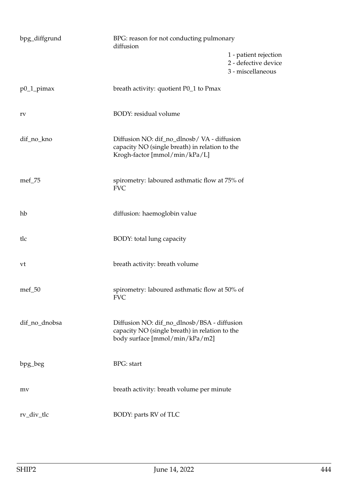| bpg_diffgrund | BPG: reason for not conducting pulmonary<br>diffusion                                                                           |                                                                    |
|---------------|---------------------------------------------------------------------------------------------------------------------------------|--------------------------------------------------------------------|
|               |                                                                                                                                 | 1 - patient rejection<br>2 - defective device<br>3 - miscellaneous |
| $p0_1$ _pimax | breath activity: quotient P0_1 to Pmax                                                                                          |                                                                    |
| rv            | BODY: residual volume                                                                                                           |                                                                    |
| dif_no_kno    | Diffusion NO: dif_no_dlnosb/ VA - diffusion<br>capacity NO (single breath) in relation to the<br>Krogh-factor [mmol/min/kPa/L]  |                                                                    |
| mef_75        | spirometry: laboured asthmatic flow at 75% of<br><b>FVC</b>                                                                     |                                                                    |
| hb            | diffusion: haemoglobin value                                                                                                    |                                                                    |
| tlc           | BODY: total lung capacity                                                                                                       |                                                                    |
| vt            | breath activity: breath volume                                                                                                  |                                                                    |
| $mef_50$      | spirometry: laboured asthmatic flow at 50% of<br><b>FVC</b>                                                                     |                                                                    |
| dif_no_dnobsa | Diffusion NO: dif_no_dlnosb/BSA - diffusion<br>capacity NO (single breath) in relation to the<br>body surface [mmol/min/kPa/m2] |                                                                    |
| bpg_beg       | <b>BPG</b> : start                                                                                                              |                                                                    |
| mv            | breath activity: breath volume per minute                                                                                       |                                                                    |
| rv_div_tlc    | BODY: parts RV of TLC                                                                                                           |                                                                    |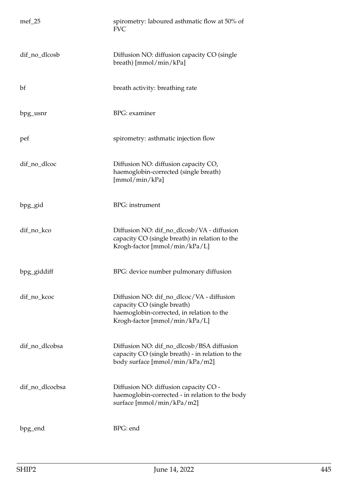| $mef_25$        | spirometry: laboured asthmatic flow at 50% of<br><b>FVC</b>                                                                                            |
|-----------------|--------------------------------------------------------------------------------------------------------------------------------------------------------|
| dif_no_dlcosb   | Diffusion NO: diffusion capacity CO (single<br>breath) [mmol/min/kPa]                                                                                  |
| bf              | breath activity: breathing rate                                                                                                                        |
| bpg_usnr        | <b>BPG</b> : examiner                                                                                                                                  |
| pef             | spirometry: asthmatic injection flow                                                                                                                   |
| dif_no_dlcoc    | Diffusion NO: diffusion capacity CO,<br>haemoglobin-corrected (single breath)<br>[mmol/min/kPa]                                                        |
| bpg_gid         | <b>BPG</b> : instrument                                                                                                                                |
| dif_no_kco      | Diffusion NO: dif_no_dlcosb/VA - diffusion<br>capacity CO (single breath) in relation to the<br>Krogh-factor [mmol/min/kPa/L]                          |
| bpg_giddiff     | BPG: device number pulmonary diffusion                                                                                                                 |
| dif_no_kcoc     | Diffusion NO: dif_no_dlcoc/VA - diffusion<br>capacity CO (single breath)<br>haemoglobin-corrected, in relation to the<br>Krogh-factor [mmol/min/kPa/L] |
| dif_no_dlcobsa  | Diffusion NO: dif_no_dlcosb/BSA diffusion<br>capacity CO (single breath) - in relation to the<br>body surface [mmol/min/kPa/m2]                        |
| dif_no_dlcocbsa | Diffusion NO: diffusion capacity CO -<br>haemoglobin-corrected - in relation to the body<br>surface [mmol/min/kPa/m2]                                  |
| bpg_end         | BPG: end                                                                                                                                               |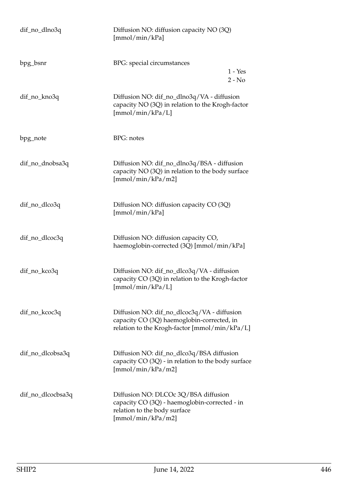| dif_no_dlno3q     | Diffusion NO: diffusion capacity NO (3Q)<br>[mmol/min/kPa]                                                                                 |  |
|-------------------|--------------------------------------------------------------------------------------------------------------------------------------------|--|
| bpg_bsnr          | BPG: special circumstances<br>$1 - Yes$<br>$2 - No$                                                                                        |  |
| dif_no_kno3q      | Diffusion NO: dif_no_dlno3q/VA - diffusion<br>capacity NO (3Q) in relation to the Krogh-factor<br>[mmol/min/kPa/L]                         |  |
| bpg_note          | <b>BPG</b> : notes                                                                                                                         |  |
| dif_no_dnobsa3q   | Diffusion NO: dif_no_dlno3q/BSA - diffusion<br>capacity NO (3Q) in relation to the body surface<br>[mmol/min/kPa/m2]                       |  |
| dif_no_dlco3q     | Diffusion NO: diffusion capacity CO (3Q)<br>[mmol/min/kPa]                                                                                 |  |
| dif_no_dlcoc3q    | Diffusion NO: diffusion capacity CO,<br>haemoglobin-corrected (3Q) [mmol/min/kPa]                                                          |  |
| dif_no_kco3q      | Diffusion NO: dif_no_dlco3q/VA - diffusion<br>capacity CO (3Q) in relation to the Krogh-factor<br>[mmol/min/kPa/L]                         |  |
| dif_no_kcoc3q     | Diffusion NO: dif_no_dlcoc3q/VA - diffusion<br>capacity CO (3Q) haemoglobin-corrected, in<br>relation to the Krogh-factor [mmol/min/kPa/L] |  |
| dif_no_dlcobsa3q  | Diffusion NO: dif_no_dlco3q/BSA diffusion<br>capacity CO (3Q) - in relation to the body surface<br>[mmol/min/kPa/m2]                       |  |
| dif_no_dlcocbsa3q | Diffusion NO: DLCOc 3Q/BSA diffusion<br>capacity CO (3Q) - haemoglobin-corrected - in<br>relation to the body surface<br>[mmol/min/kPa/m2] |  |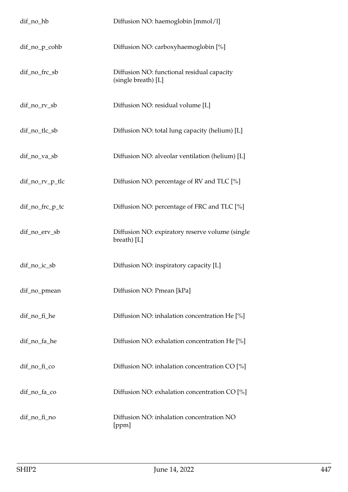| dif_no_hb       | Diffusion NO: haemoglobin [mmol/l]                                |
|-----------------|-------------------------------------------------------------------|
| dif_no_p_cohb   | Diffusion NO: carboxyhaemoglobin [%]                              |
| dif_no_frc_sb   | Diffusion NO: functional residual capacity<br>(single breath) [L] |
| dif_no_rv_sb    | Diffusion NO: residual volume [L]                                 |
| dif_no_tlc_sb   | Diffusion NO: total lung capacity (helium) [L]                    |
| dif_no_va_sb    | Diffusion NO: alveolar ventilation (helium) [L]                   |
| dif_no_rv_p_tlc | Diffusion NO: percentage of RV and TLC [%]                        |
| dif_no_frc_p_tc | Diffusion NO: percentage of FRC and TLC [%]                       |
| dif_no_erv_sb   | Diffusion NO: expiratory reserve volume (single<br>breath $[L]$   |
| dif_no_ic_sb    | Diffusion NO: inspiratory capacity [L]                            |
| dif_no_pmean    | Diffusion NO: Pmean [kPa]                                         |
| dif_no_fi_he    | Diffusion NO: inhalation concentration He [%]                     |
| dif_no_fa_he    | Diffusion NO: exhalation concentration He [%]                     |
| dif_no_fi_co    | Diffusion NO: inhalation concentration CO [%]                     |
| dif_no_fa_co    | Diffusion NO: exhalation concentration CO [%]                     |
| dif_no_fi_no    | Diffusion NO: inhalation concentration NO<br>[ppm]                |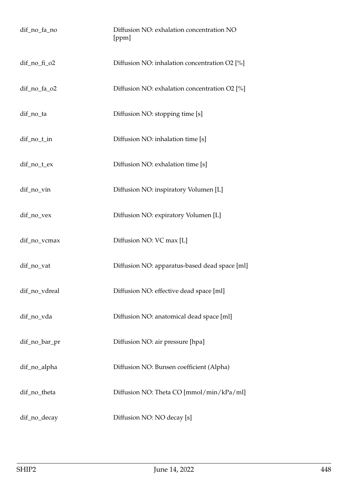| dif_no_fa_no    | Diffusion NO: exhalation concentration NO<br>[ppm] |
|-----------------|----------------------------------------------------|
| $dif-no_f$ $o2$ | Diffusion NO: inhalation concentration O2 [%]      |
| dif_no_fa_o2    | Diffusion NO: exhalation concentration O2 [%]      |
| dif_no_ta       | Diffusion NO: stopping time [s]                    |
| dif_no_t_in     | Diffusion NO: inhalation time [s]                  |
| dif_no_t_ex     | Diffusion NO: exhalation time [s]                  |
| dif_no_vin      | Diffusion NO: inspiratory Volumen [L]              |
| dif_no_vex      | Diffusion NO: expiratory Volumen [L]               |
| dif_no_vcmax    | Diffusion NO: VC max [L]                           |
| dif_no_vat      | Diffusion NO: apparatus-based dead space [ml]      |
| dif_no_vdreal   | Diffusion NO: effective dead space [ml]            |
| dif_no_vda      | Diffusion NO: anatomical dead space [ml]           |
| dif_no_bar_pr   | Diffusion NO: air pressure [hpa]                   |
| dif_no_alpha    | Diffusion NO: Bunsen coefficient (Alpha)           |
| dif_no_theta    | Diffusion NO: Theta CO [mmol/min/kPa/ml]           |
| dif_no_decay    | Diffusion NO: NO decay [s]                         |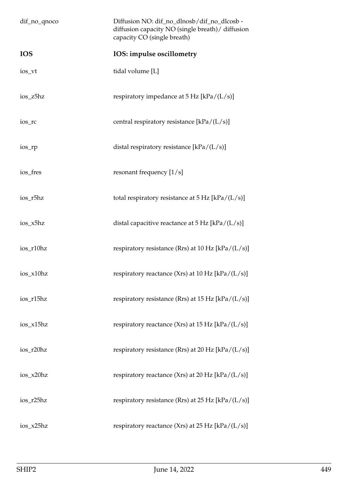| dif_no_qnoco | Diffusion NO: dif_no_dlnosb/dif_no_dlcosb -<br>diffusion capacity NO (single breath) / diffusion<br>capacity CO (single breath) |
|--------------|---------------------------------------------------------------------------------------------------------------------------------|
| <b>IOS</b>   | IOS: impulse oscillometry                                                                                                       |
| ios_vt       | tidal volume [L]                                                                                                                |
| ios_z5hz     | respiratory impedance at $5$ Hz [kPa/(L/s)]                                                                                     |
| ios_rc       | central respiratory resistance $[kPa/(L/s)]$                                                                                    |
| ios_rp       | distal respiratory resistance [kPa/(L/s)]                                                                                       |
| ios_fres     | resonant frequency $[1/s]$                                                                                                      |
| ios_r5hz     | total respiratory resistance at $5 \text{ Hz}$ [kPa/(L/s)]                                                                      |
| ios_x5hz     | distal capacitive reactance at $5$ Hz [kPa/(L/s)]                                                                               |
| ios_r10hz    | respiratory resistance (Rrs) at 10 Hz $[kPa/(L/s)]$                                                                             |
| ios_x10hz    | respiratory reactance (Xrs) at 10 Hz [kPa/(L/s)]                                                                                |
| ios_r15hz    | respiratory resistance (Rrs) at 15 Hz [kPa/ $(L/s)$ ]                                                                           |
| ios_x15hz    | respiratory reactance (Xrs) at 15 Hz $[kPa/(L/s)]$                                                                              |
| ios_r20hz    | respiratory resistance (Rrs) at 20 Hz [kPa/(L/s)]                                                                               |
| ios_x20hz    | respiratory reactance (Xrs) at 20 Hz $[kPa/(L/s)]$                                                                              |
| ios_r25hz    | respiratory resistance (Rrs) at $25$ Hz [kPa/(L/s)]                                                                             |
| ios_x25hz    | respiratory reactance (Xrs) at 25 Hz $[kPa/(L/s)]$                                                                              |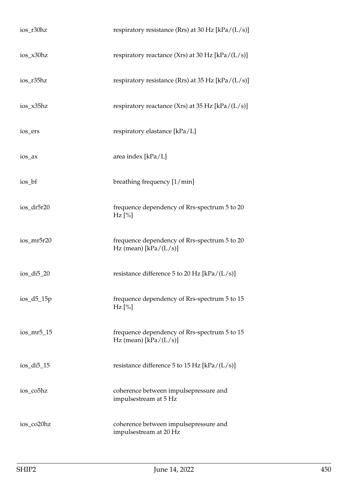| ios_r30hz     | respiratory resistance (Rrs) at 30 Hz $[kPa/(L/s)]$                     |
|---------------|-------------------------------------------------------------------------|
| ios_x30hz     | respiratory reactance (Xrs) at 30 Hz $[kPa/(L/s)]$                      |
| ios_r35hz     | respiratory resistance (Rrs) at 35 Hz $[kPa/(L/s)]$                     |
| $ios_x35hz$   | respiratory reactance (Xrs) at 35 Hz $[kPa/(L/s)]$                      |
| ios_ers       | respiratory elastance [kPa/L]                                           |
| ios_ax        | area index [kPa/L]                                                      |
| ios_bf        | breathing frequency [1/min]                                             |
| ios_dr5r20    | frequence dependency of Rrs-spectrum 5 to 20<br>$Hz$ [%]                |
| ios_mr5r20    | frequence dependency of Rrs-spectrum 5 to 20<br>Hz (mean) $[kPa/(L/s)]$ |
| $ios_di5_20$  | resistance difference 5 to 20 Hz [kPa/ $(L/s)$ ]                        |
| $ios_d5_15p$  | frequence dependency of Rrs-spectrum 5 to 15<br>$Hz$ [%]                |
| $ios_mr5_15$  | frequence dependency of Rrs-spectrum 5 to 15<br>Hz (mean) $[kPa/(L/s)]$ |
| $ios\_di5_15$ | resistance difference 5 to 15 Hz [kPa/ $(L/s)$ ]                        |
| ios_co5hz     | coherence between impulsepressure and<br>impulsestream at 5 Hz          |
| ios_co20hz    | coherence between impulsepressure and<br>impulsestream at 20 Hz         |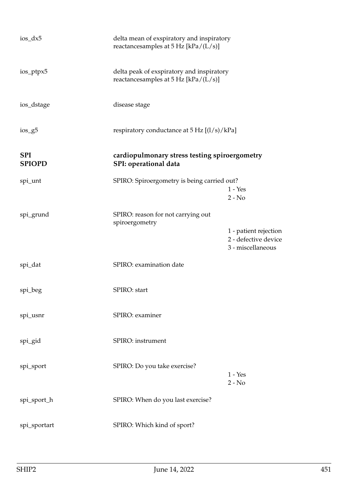| $ios_dx5$                   | delta mean of exspiratory and inspiratory<br>reactances amples at $5$ Hz [kPa/(L/s)] |                                                                    |
|-----------------------------|--------------------------------------------------------------------------------------|--------------------------------------------------------------------|
| ios_ptpx5                   | delta peak of exspiratory and inspiratory<br>reactancesamples at 5 Hz [kPa/(L/s)]    |                                                                    |
| ios_dstage                  | disease stage                                                                        |                                                                    |
| $ios_g5$                    | respiratory conductance at $5 \text{ Hz } [(1/s)/kPa]$                               |                                                                    |
| <b>SPI</b><br><b>SPIOPD</b> | cardiopulmonary stress testing spiroergometry<br>SPI: operational data               |                                                                    |
| spi_unt                     | SPIRO: Spiroergometry is being carried out?                                          | $1 - Yes$<br>$2 - No$                                              |
| spi_grund                   | SPIRO: reason for not carrying out                                                   |                                                                    |
|                             | spiroergometry                                                                       | 1 - patient rejection<br>2 - defective device<br>3 - miscellaneous |
| spi_dat                     | SPIRO: examination date                                                              |                                                                    |
| spi_beg                     | SPIRO: start                                                                         |                                                                    |
| spi_usnr                    | SPIRO: examiner                                                                      |                                                                    |
| spi_gid                     | SPIRO: instrument                                                                    |                                                                    |
| spi_sport                   | SPIRO: Do you take exercise?                                                         | $1 - Yes$<br>$2 - No$                                              |
| spi_sport_h                 | SPIRO: When do you last exercise?                                                    |                                                                    |
| spi_sportart                | SPIRO: Which kind of sport?                                                          |                                                                    |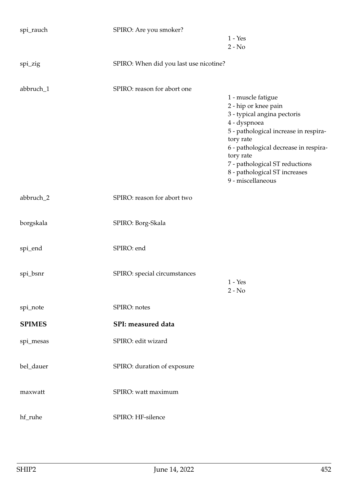| spi_rauch     | SPIRO: Are you smoker?                 |                                                     |
|---------------|----------------------------------------|-----------------------------------------------------|
|               |                                        | $1 - Yes$                                           |
|               |                                        | $2 - No$                                            |
| spi_zig       | SPIRO: When did you last use nicotine? |                                                     |
| abbruch_1     | SPIRO: reason for abort one            |                                                     |
|               |                                        | 1 - muscle fatigue                                  |
|               |                                        | 2 - hip or knee pain<br>3 - typical angina pectoris |
|               |                                        | 4 - dyspnoea                                        |
|               |                                        | 5 - pathological increase in respira-<br>tory rate  |
|               |                                        | 6 - pathological decrease in respira-               |
|               |                                        | tory rate                                           |
|               |                                        | 7 - pathological ST reductions                      |
|               |                                        | 8 - pathological ST increases<br>9 - miscellaneous  |
|               |                                        |                                                     |
| abbruch_2     | SPIRO: reason for abort two            |                                                     |
| borgskala     | SPIRO: Borg-Skala                      |                                                     |
| spi_end       | SPIRO: end                             |                                                     |
| spi_bsnr      | SPIRO: special circumstances           |                                                     |
|               |                                        | $1 - Yes$                                           |
|               |                                        | $2 - No$                                            |
| spi_note      | SPIRO: notes                           |                                                     |
| <b>SPIMES</b> | SPI: measured data                     |                                                     |
| spi_mesas     | SPIRO: edit wizard                     |                                                     |
| bel_dauer     | SPIRO: duration of exposure            |                                                     |
| maxwatt       | SPIRO: watt maximum                    |                                                     |
|               |                                        |                                                     |
| hf_ruhe       | SPIRO: HF-silence                      |                                                     |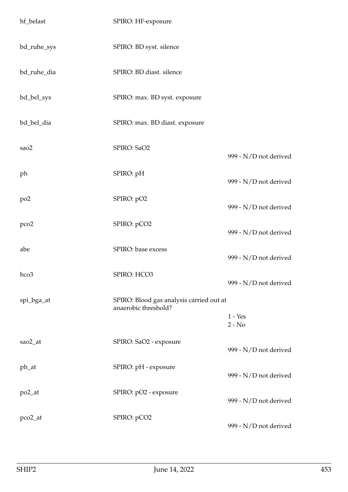| hf_belast        | SPIRO: HF-exposure                                               |                       |
|------------------|------------------------------------------------------------------|-----------------------|
| bd_ruhe_sys      | SPIRO: BD syst. silence                                          |                       |
| bd_ruhe_dia      | SPIRO: BD diast. silence                                         |                       |
| bd_bel_sys       | SPIRO: max. BD syst. exposure                                    |                       |
| bd_bel_dia       | SPIRO: max. BD diast. exposure                                   |                       |
| sao2             | SPIRO: SaO2                                                      | 999 - N/D not derived |
| ph               | SPIRO: pH                                                        | 999 - N/D not derived |
| po2              | SPIRO: pO2                                                       | 999 - N/D not derived |
| pco <sub>2</sub> | SPIRO: pCO2                                                      | 999 - N/D not derived |
| abe              | SPIRO: base excess                                               | 999 - N/D not derived |
| hco3             | SPIRO: HCO3                                                      | 999 - N/D not derived |
| spi_bga_at       | SPIRO: Blood gas analysis carried out at<br>anaerobic threshold? | $1 - Yes$<br>$2 - No$ |
| sao2_at          | SPIRO: SaO2 - exposure                                           | 999 - N/D not derived |
| ph_at            | SPIRO: pH - exposure                                             | 999 - N/D not derived |
| po2_at           | SPIRO: pO2 - exposure                                            | 999 - N/D not derived |
| pco2_at          | SPIRO: pCO2                                                      | 999 - N/D not derived |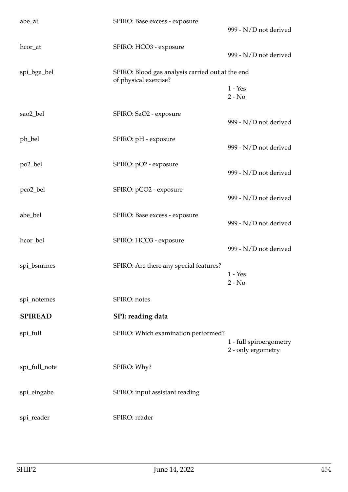| abe_at         | SPIRO: Base excess - exposure                                             | 999 - N/D not derived                         |
|----------------|---------------------------------------------------------------------------|-----------------------------------------------|
| hcor_at        | SPIRO: HCO3 - exposure                                                    | 999 - N/D not derived                         |
| spi_bga_bel    | SPIRO: Blood gas analysis carried out at the end<br>of physical exercise? |                                               |
|                |                                                                           | $1 - Yes$<br>$2 - No$                         |
| sao2_bel       | SPIRO: SaO2 - exposure                                                    | 999 - N/D not derived                         |
| ph_bel         | SPIRO: pH - exposure                                                      | 999 - N/D not derived                         |
| po2_bel        | SPIRO: pO2 - exposure                                                     | 999 - N/D not derived                         |
| pco2_bel       | SPIRO: pCO2 - exposure                                                    | 999 - N/D not derived                         |
| abe_bel        | SPIRO: Base excess - exposure                                             | 999 - N/D not derived                         |
| hcor_bel       | SPIRO: HCO3 - exposure                                                    | 999 - N/D not derived                         |
| spi_bsnrmes    | SPIRO: Are there any special features?                                    | $1 - Yes$<br>$2 - No$                         |
| spi_notemes    | SPIRO: notes                                                              |                                               |
| <b>SPIREAD</b> | SPI: reading data                                                         |                                               |
| spi_full       | SPIRO: Which examination performed?                                       | 1 - full spiroergometry<br>2 - only ergometry |
| spi_full_note  | SPIRO: Why?                                                               |                                               |
| spi_eingabe    | SPIRO: input assistant reading                                            |                                               |
| spi_reader     | SPIRO: reader                                                             |                                               |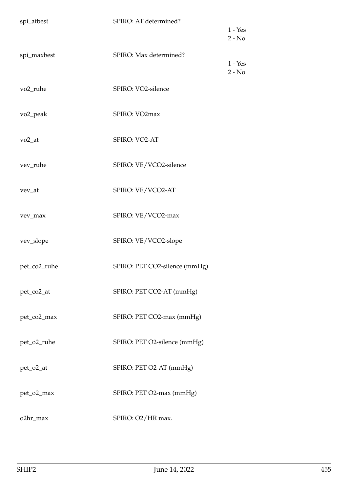| spi_atbest           | SPIRO: AT determined?         | $1 - Yes$<br>$2 - No$ |
|----------------------|-------------------------------|-----------------------|
| spi_maxbest          | SPIRO: Max determined?        | $1 - Yes$<br>$2 - No$ |
| vo <sub>2_ruhe</sub> | SPIRO: VO2-silence            |                       |
| vo <sub>2_peak</sub> | SPIRO: VO2max                 |                       |
| $vo2_at$             | SPIRO: VO2-AT                 |                       |
| vev_ruhe             | SPIRO: VE/VCO2-silence        |                       |
| vev_at               | SPIRO: VE/VCO2-AT             |                       |
| vev_max              | SPIRO: VE/VCO2-max            |                       |
| vev_slope            | SPIRO: VE/VCO2-slope          |                       |
| pet_co2_ruhe         | SPIRO: PET CO2-silence (mmHg) |                       |
| pet_co2_at           | SPIRO: PET CO2-AT (mmHg)      |                       |
| pet_co2_max          | SPIRO: PET CO2-max (mmHg)     |                       |
| pet_o2_ruhe          | SPIRO: PET O2-silence (mmHg)  |                       |
| pet_o2_at            | SPIRO: PET O2-AT (mmHg)       |                       |
| pet_o2_max           | SPIRO: PET O2-max (mmHg)      |                       |
| o2hr_max             | SPIRO: O2/HR max.             |                       |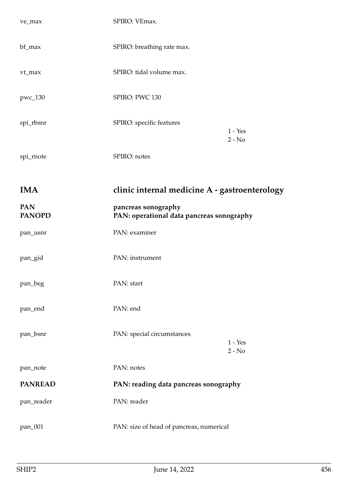| ve_max                      | SPIRO: VEmax.                                                    |                       |
|-----------------------------|------------------------------------------------------------------|-----------------------|
| bf_max                      | SPIRO: breathing rate max.                                       |                       |
| vt_max                      | SPIRO: tidal volume max.                                         |                       |
| pwc_130                     | SPIRO: PWC 130                                                   |                       |
| spi_rbsnr                   | SPIRO: specific features                                         | $1 - Yes$<br>$2 - No$ |
| spi_rnote                   | SPIRO: notes                                                     |                       |
| <b>IMA</b>                  | clinic internal medicine A - gastroenterology                    |                       |
| <b>PAN</b><br><b>PANOPD</b> | pancreas sonography<br>PAN: operational data pancreas sonography |                       |
| pan_usnr                    | PAN: examiner                                                    |                       |
| pan_gid                     | PAN: instrument                                                  |                       |
| pan_beg                     | PAN: start                                                       |                       |
| pan_end                     | PAN: end                                                         |                       |
| pan_bsnr                    | PAN: special circumstances                                       | $1 - Yes$<br>$2 - No$ |
| pan_note                    | PAN: notes                                                       |                       |
| <b>PANREAD</b>              | PAN: reading data pancreas sonography                            |                       |
| pan_reader                  | PAN: reader                                                      |                       |
| pan_001                     | PAN: size of head of pancreas, numerical                         |                       |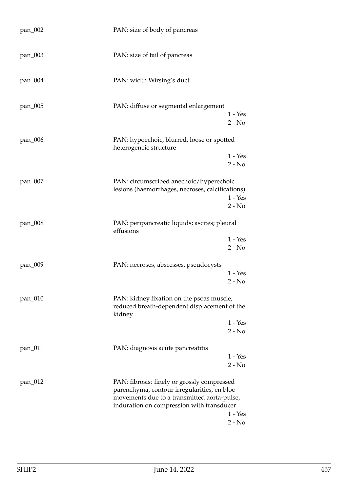| pan_002 | PAN: size of body of pancreas                                                                                                                                                          |                       |
|---------|----------------------------------------------------------------------------------------------------------------------------------------------------------------------------------------|-----------------------|
| pan_003 | PAN: size of tail of pancreas                                                                                                                                                          |                       |
| pan_004 | PAN: width Wirsing's duct                                                                                                                                                              |                       |
| pan_005 | PAN: diffuse or segmental enlargement                                                                                                                                                  | $1 - Yes$<br>$2 - No$ |
| pan_006 | PAN: hypoechoic, blurred, loose or spotted<br>heterogeneic structure                                                                                                                   |                       |
|         |                                                                                                                                                                                        | $1 - Yes$<br>$2 - No$ |
| pan_007 | PAN: circumscribed anechoic/hyperechoic<br>lesions (haemorrhages, necroses, calcifications)                                                                                            | $1 - Yes$<br>$2 - No$ |
| pan_008 | PAN: peripancreatic liquids; ascites; pleural<br>effusions                                                                                                                             |                       |
|         |                                                                                                                                                                                        | $1 - Yes$<br>$2 - No$ |
| pan_009 | PAN: necroses, abscesses, pseudocysts                                                                                                                                                  | $1 - Yes$<br>$2 - No$ |
| pan_010 | PAN: kidney fixation on the psoas muscle,<br>reduced breath-dependent displacement of the<br>kidney                                                                                    |                       |
|         |                                                                                                                                                                                        | $1 - Yes$<br>$2 - No$ |
| pan_011 | PAN: diagnosis acute pancreatitis                                                                                                                                                      | $1 - Yes$<br>$2 - No$ |
| pan_012 | PAN: fibrosis: finely or grossly compressed<br>parenchyma, contour irregularities, en bloc<br>movements due to a transmitted aorta-pulse,<br>induration on compression with transducer | $1 - Yes$<br>$2 - No$ |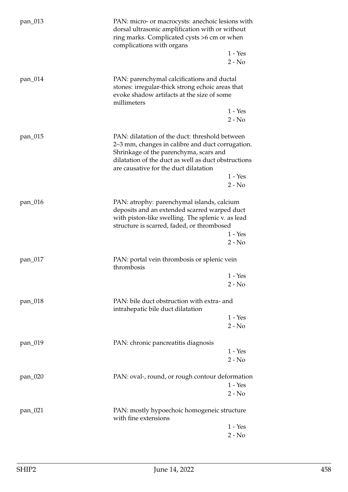| pan_013 | PAN: micro- or macrocysts: anechoic lesions with<br>dorsal ultrasonic amplification with or without<br>ring marks. Complicated cysts >6 cm or when<br>complications with organs                                                              |                       |
|---------|----------------------------------------------------------------------------------------------------------------------------------------------------------------------------------------------------------------------------------------------|-----------------------|
|         |                                                                                                                                                                                                                                              | $1 - Yes$<br>$2 - No$ |
| pan_014 | PAN: parenchymal calcifications and ductal<br>stones: irregular-thick strong echoic areas that<br>evoke shadow artifacts at the size of some<br>millimeters                                                                                  |                       |
|         |                                                                                                                                                                                                                                              | $1 - Yes$<br>$2 - No$ |
| pan_015 | PAN: dilatation of the duct: threshold between<br>2–3 mm, changes in calibre and duct corrugation.<br>Shrinkage of the parenchyma, scars and<br>dilatation of the duct as well as duct obstructions<br>are causative for the duct dilatation |                       |
|         |                                                                                                                                                                                                                                              | $1 - Yes$<br>$2 - No$ |
| pan_016 | PAN: atrophy: parenchymal islands, calcium<br>deposits and an extended scarred warped duct<br>with piston-like swelling. The splenic v. as lead<br>structure is scarred, faded, or thrombosed                                                | $1 - Yes$<br>$2 - No$ |
| pan_017 | PAN: portal vein thrombosis or splenic vein<br>thrombosis                                                                                                                                                                                    |                       |
|         |                                                                                                                                                                                                                                              | $1 - Yes$<br>$2 - No$ |
| pan_018 | PAN: bile duct obstruction with extra- and<br>intrahepatic bile duct dilatation                                                                                                                                                              |                       |
|         |                                                                                                                                                                                                                                              | $1 - Yes$<br>$2 - No$ |
| pan_019 | PAN: chronic pancreatitis diagnosis                                                                                                                                                                                                          | $1 - Yes$             |
|         |                                                                                                                                                                                                                                              | $2 - No$              |
| pan_020 | PAN: oval-, round, or rough contour deformation                                                                                                                                                                                              | $1 - Yes$<br>$2 - No$ |
| pan_021 | PAN: mostly hypoechoic homogeneic structure<br>with fine extensions                                                                                                                                                                          |                       |
|         |                                                                                                                                                                                                                                              | $1 - Yes$<br>$2 - No$ |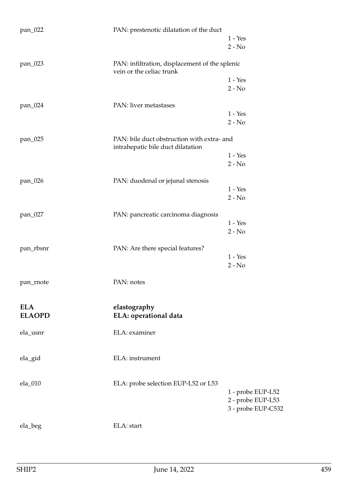| pan_022       | PAN: prestenotic dilatation of the duct                                         |                                         |
|---------------|---------------------------------------------------------------------------------|-----------------------------------------|
|               |                                                                                 | $1 - Yes$                               |
|               |                                                                                 | $2 - No$                                |
| pan_023       | PAN: infiltration, displacement of the splenic<br>vein or the celiac trunk      |                                         |
|               |                                                                                 | $1 - Yes$                               |
|               |                                                                                 | $2 - No$                                |
| pan_024       | PAN: liver metastases                                                           |                                         |
|               |                                                                                 | $1 - Yes$                               |
|               |                                                                                 | $2 - No$                                |
| pan_025       | PAN: bile duct obstruction with extra- and<br>intrahepatic bile duct dilatation |                                         |
|               |                                                                                 | $1 - Yes$                               |
|               |                                                                                 | $2 - No$                                |
| pan_026       | PAN: duodenal or jejunal stenosis                                               |                                         |
|               |                                                                                 | $1 - Yes$                               |
|               |                                                                                 | $2 - No$                                |
| pan_027       | PAN: pancreatic carcinoma diagnosis                                             |                                         |
|               |                                                                                 | $1 - Yes$                               |
|               |                                                                                 | $2 - No$                                |
| pan_rbsnr     | PAN: Are there special features?                                                |                                         |
|               |                                                                                 | $1 - Yes$                               |
|               |                                                                                 | $2 - No$                                |
| pan_rnote     | PAN: notes                                                                      |                                         |
| <b>ELA</b>    | elastography                                                                    |                                         |
| <b>ELAOPD</b> | ELA: operational data                                                           |                                         |
| ela_usnr      | ELA: examiner                                                                   |                                         |
| ela_gid       | ELA: instrument                                                                 |                                         |
|               |                                                                                 |                                         |
| ela_010       | ELA: probe selection EUP-L52 or L53                                             | 1 - probe EUP-L52                       |
|               |                                                                                 | 2 - probe EUP-L53<br>3 - probe EUP-C532 |
| ela_beg       | ELA: start                                                                      |                                         |
|               |                                                                                 |                                         |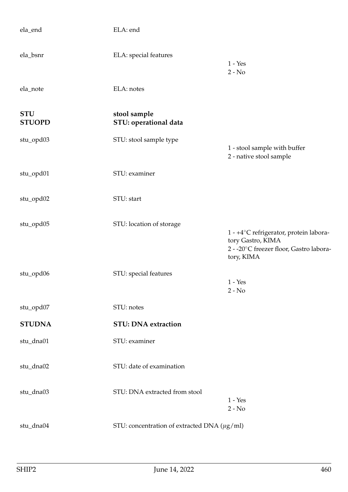| ela_end                     | ELA: end                                         |                                                                                                                      |
|-----------------------------|--------------------------------------------------|----------------------------------------------------------------------------------------------------------------------|
| ela_bsnr                    | ELA: special features                            | $1 - Yes$<br>$2 - No$                                                                                                |
| ela_note                    | ELA: notes                                       |                                                                                                                      |
| <b>STU</b><br><b>STUOPD</b> | stool sample<br>STU: operational data            |                                                                                                                      |
| stu_opd03                   | STU: stool sample type                           | 1 - stool sample with buffer<br>2 - native stool sample                                                              |
| stu_opd01                   | STU: examiner                                    |                                                                                                                      |
| stu_opd02                   | STU: start                                       |                                                                                                                      |
| stu_opd05                   | STU: location of storage                         | 1 - +4°C refrigerator, protein labora-<br>tory Gastro, KIMA<br>2 - -20°C freezer floor, Gastro labora-<br>tory, KIMA |
| stu_opd06                   | STU: special features                            | $1 - Yes$<br>$2 - No$                                                                                                |
| stu_opd07                   | STU: notes                                       |                                                                                                                      |
| <b>STUDNA</b>               | <b>STU: DNA extraction</b>                       |                                                                                                                      |
| stu_dna01                   | STU: examiner                                    |                                                                                                                      |
| stu_dna02                   | STU: date of examination                         |                                                                                                                      |
| stu_dna03                   | STU: DNA extracted from stool                    | $1 - Yes$<br>$2 - No$                                                                                                |
| stu_dna04                   | STU: concentration of extracted DNA $(\mu g/ml)$ |                                                                                                                      |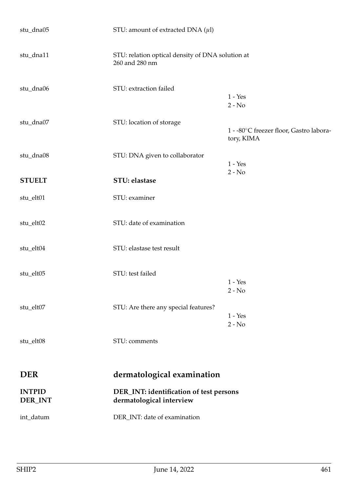| stu_dna05                | STU: amount of extracted DNA $(\mu l)$                              |                                                       |
|--------------------------|---------------------------------------------------------------------|-------------------------------------------------------|
| stu_dna11                | STU: relation optical density of DNA solution at<br>260 and 280 nm  |                                                       |
| stu_dna06                | STU: extraction failed                                              | $1 - Yes$<br>$2 - No$                                 |
| stu_dna07                | STU: location of storage                                            | 1 - -80°C freezer floor, Gastro labora-<br>tory, KIMA |
| stu_dna08                | STU: DNA given to collaborator                                      | $1 - Yes$<br>$2 - No$                                 |
| <b>STUELT</b>            | STU: elastase                                                       |                                                       |
| stu_elt01                | STU: examiner                                                       |                                                       |
| stu_elt02                | STU: date of examination                                            |                                                       |
| stu_elt04                | STU: elastase test result                                           |                                                       |
| stu_elt05                | STU: test failed                                                    | $1 - Yes$<br>$2 - No$                                 |
| stu_elt07                | STU: Are there any special features?                                | $1 - Yes$<br>$2 - No$                                 |
| stu_elt08                | STU: comments                                                       |                                                       |
| <b>DER</b>               | dermatological examination                                          |                                                       |
| <b>INTPID</b><br>DER_INT | DER_INT: identification of test persons<br>dermatological interview |                                                       |
| int_datum                | DER_INT: date of examination                                        |                                                       |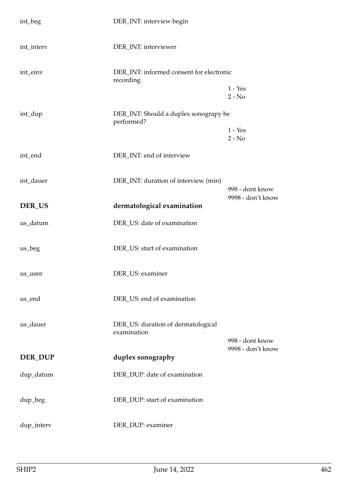| int_beg    | DER_INT: interview begin                              |                       |
|------------|-------------------------------------------------------|-----------------------|
| int_interv | DER_INT: interviewer                                  |                       |
| int_einv   | DER_INT: informed consent for electronic<br>recording |                       |
|            |                                                       | $1 - Yes$<br>$2 - No$ |
| int_dup    | DER_INT: Should a duplex sonograpy be<br>performed?   |                       |
|            |                                                       | $1 - Yes$<br>$2 - No$ |
| int_end    | DER_INT: end of interview                             |                       |
| int_dauer  | DER_INT: duration of interview (min)                  | 998 - dont know       |
| DER_US     | dermatological examination                            | 9998 - don't know     |
| us_datum   | DER_US: date of examination                           |                       |
| us_beg     | DER_US: start of examination                          |                       |
| us_usnr    | DER_US: examiner                                      |                       |
| us_end     | DER_US: end of examination                            |                       |
| us_dauer   | DER_US: duration of dermatological<br>examination     | 998 - dont know       |
| DER_DUP    | duplex sonography                                     | 9998 - don't know     |
| dup_datum  | DER_DUP: date of examination                          |                       |
| dup_beg    | DER_DUP: start of examination                         |                       |
| dup_interv | DER_DUP: examiner                                     |                       |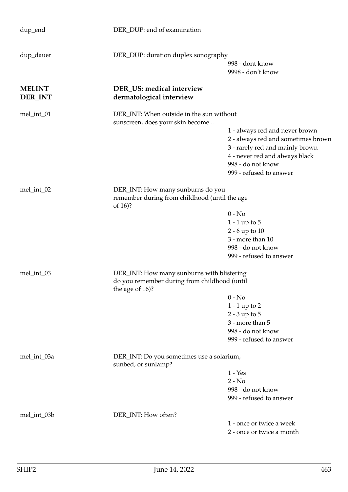| dup_end                  | DER_DUP: end of examination                                                  |                                                                                                                                                                                           |  |
|--------------------------|------------------------------------------------------------------------------|-------------------------------------------------------------------------------------------------------------------------------------------------------------------------------------------|--|
| dup_dauer                | DER_DUP: duration duplex sonography                                          | 998 - dont know<br>9998 - don't know                                                                                                                                                      |  |
| <b>MELINT</b><br>DER_INT | DER_US: medical interview<br>dermatological interview                        |                                                                                                                                                                                           |  |
| mel_int_01               | DER_INT: When outside in the sun without<br>sunscreen, does your skin become |                                                                                                                                                                                           |  |
|                          |                                                                              | 1 - always red and never brown<br>2 - always red and sometimes brown<br>3 - rarely red and mainly brown<br>4 - never red and always black<br>998 - do not know<br>999 - refused to answer |  |
| mel_int_02               |                                                                              | DER_INT: How many sunburns do you<br>remember during from childhood (until the age<br>of 16)?                                                                                             |  |
|                          |                                                                              | $0 - No$                                                                                                                                                                                  |  |
|                          |                                                                              | $1 - 1$ up to $5$                                                                                                                                                                         |  |
|                          |                                                                              | $2 - 6$ up to $10$                                                                                                                                                                        |  |
|                          |                                                                              | 3 - more than 10                                                                                                                                                                          |  |
|                          |                                                                              | 998 - do not know                                                                                                                                                                         |  |
|                          |                                                                              | 999 - refused to answer                                                                                                                                                                   |  |
| mel_int_03               | DER_INT: How many sunburns with blistering                                   |                                                                                                                                                                                           |  |
|                          | do you remember during from childhood (until<br>the age of 16)?              |                                                                                                                                                                                           |  |
|                          |                                                                              | $0 - No$                                                                                                                                                                                  |  |
|                          |                                                                              | $1 - 1$ up to 2                                                                                                                                                                           |  |
|                          |                                                                              | $2 - 3$ up to $5$                                                                                                                                                                         |  |
|                          |                                                                              | 3 - more than 5                                                                                                                                                                           |  |
|                          |                                                                              | 998 - do not know                                                                                                                                                                         |  |
|                          |                                                                              | 999 - refused to answer                                                                                                                                                                   |  |
| mel_int_03a              | DER_INT: Do you sometimes use a solarium,<br>sunbed, or sunlamp?             |                                                                                                                                                                                           |  |
|                          |                                                                              | $1 - Yes$                                                                                                                                                                                 |  |
|                          |                                                                              | $2 - No$                                                                                                                                                                                  |  |
|                          |                                                                              | 998 - do not know                                                                                                                                                                         |  |
|                          |                                                                              | 999 - refused to answer                                                                                                                                                                   |  |
| mel_int_03b              | DER_INT: How often?                                                          |                                                                                                                                                                                           |  |
|                          |                                                                              | 1 - once or twice a week                                                                                                                                                                  |  |
|                          |                                                                              | 2 - once or twice a month                                                                                                                                                                 |  |
|                          |                                                                              |                                                                                                                                                                                           |  |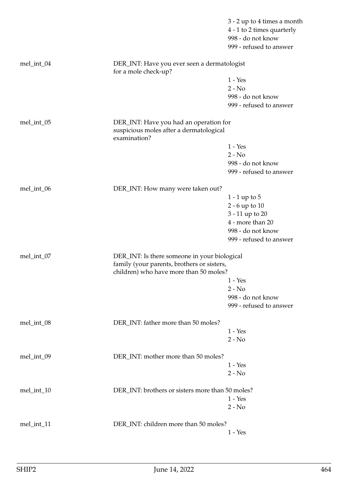|            |                                                                                                   | 3 - 2 up to 4 times a month<br>4 - 1 to 2 times quarterly<br>998 - do not know<br>999 - refused to answer |
|------------|---------------------------------------------------------------------------------------------------|-----------------------------------------------------------------------------------------------------------|
| mel_int_04 | DER_INT: Have you ever seen a dermatologist<br>for a mole check-up?                               |                                                                                                           |
|            |                                                                                                   | $1 - Yes$                                                                                                 |
|            |                                                                                                   | $2 - No$                                                                                                  |
|            |                                                                                                   | 998 - do not know                                                                                         |
|            |                                                                                                   | 999 - refused to answer                                                                                   |
| mel_int_05 | DER_INT: Have you had an operation for<br>suspicious moles after a dermatological<br>examination? |                                                                                                           |
|            |                                                                                                   | $1 - Yes$                                                                                                 |
|            |                                                                                                   | $2 - No$                                                                                                  |
|            |                                                                                                   | 998 - do not know                                                                                         |
|            |                                                                                                   | 999 - refused to answer                                                                                   |
| mel_int_06 | DER_INT: How many were taken out?                                                                 |                                                                                                           |
|            |                                                                                                   | 1 - 1 up to 5                                                                                             |
|            |                                                                                                   | $2 - 6$ up to $10$                                                                                        |
|            |                                                                                                   | 3 - 11 up to 20                                                                                           |
|            |                                                                                                   | 4 - more than 20                                                                                          |
|            |                                                                                                   | 998 - do not know                                                                                         |
|            |                                                                                                   | 999 - refused to answer                                                                                   |
| mel_int_07 | DER_INT: Is there someone in your biological<br>family (your parents, brothers or sisters,        |                                                                                                           |
|            | children) who have more than 50 moles?                                                            |                                                                                                           |
|            |                                                                                                   | 1 - Yes<br>$2 - No$                                                                                       |
|            |                                                                                                   | 998 - do not know                                                                                         |
|            |                                                                                                   | 999 - refused to answer                                                                                   |
| mel_int_08 | DER_INT: father more than 50 moles?                                                               |                                                                                                           |
|            |                                                                                                   | $1 - Yes$                                                                                                 |
|            |                                                                                                   | $2 - No$                                                                                                  |
| mel_int_09 | DER_INT: mother more than 50 moles?                                                               |                                                                                                           |
|            |                                                                                                   | $1 - Yes$                                                                                                 |
|            |                                                                                                   | $2 - No$                                                                                                  |
| mel_int_10 | DER_INT: brothers or sisters more than 50 moles?                                                  |                                                                                                           |
|            |                                                                                                   | $1 - Yes$                                                                                                 |
|            |                                                                                                   | $2 - No$                                                                                                  |
| mel_int_11 | DER_INT: children more than 50 moles?                                                             |                                                                                                           |
|            |                                                                                                   | $1 - Yes$                                                                                                 |
|            |                                                                                                   |                                                                                                           |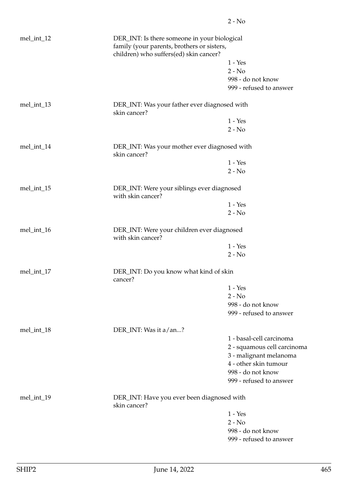| mel_int_12 | DER_INT: Is there someone in your biological<br>family (your parents, brothers or sisters,<br>children) who suffers(ed) skin cancer? |                                            |  |
|------------|--------------------------------------------------------------------------------------------------------------------------------------|--------------------------------------------|--|
|            |                                                                                                                                      | $1 - Yes$                                  |  |
|            |                                                                                                                                      | $2 - No$                                   |  |
|            |                                                                                                                                      | 998 - do not know                          |  |
|            |                                                                                                                                      | 999 - refused to answer                    |  |
| mel_int_13 | DER_INT: Was your father ever diagnosed with<br>skin cancer?                                                                         |                                            |  |
|            |                                                                                                                                      | $1 - Yes$                                  |  |
|            |                                                                                                                                      | $2 - No$                                   |  |
| mel_int_14 | DER_INT: Was your mother ever diagnosed with<br>skin cancer?                                                                         |                                            |  |
|            |                                                                                                                                      | $1 - Yes$                                  |  |
|            |                                                                                                                                      | $2 - No$                                   |  |
| mel_int_15 | DER_INT: Were your siblings ever diagnosed<br>with skin cancer?                                                                      |                                            |  |
|            |                                                                                                                                      | $1 - Yes$                                  |  |
|            |                                                                                                                                      | $2 - No$                                   |  |
| mel_int_16 | with skin cancer?                                                                                                                    | DER_INT: Were your children ever diagnosed |  |
|            |                                                                                                                                      | $1 - Yes$                                  |  |
|            |                                                                                                                                      | $2 - No$                                   |  |
| mel_int_17 | DER_INT: Do you know what kind of skin<br>cancer?                                                                                    |                                            |  |
|            |                                                                                                                                      | $1 - Yes$                                  |  |
|            |                                                                                                                                      | $2 - No$                                   |  |
|            |                                                                                                                                      | 998 - do not know                          |  |
|            |                                                                                                                                      | 999 - refused to answer                    |  |
| mel_int_18 | DER_INT: Was it a/an?                                                                                                                |                                            |  |
|            |                                                                                                                                      | 1 - basal-cell carcinoma                   |  |
|            |                                                                                                                                      | 2 - squamous cell carcinoma                |  |
|            |                                                                                                                                      | 3 - malignant melanoma                     |  |
|            |                                                                                                                                      | 4 - other skin tumour                      |  |
|            |                                                                                                                                      | 998 - do not know                          |  |
|            |                                                                                                                                      | 999 - refused to answer                    |  |
| mel_int_19 | DER_INT: Have you ever been diagnosed with<br>skin cancer?                                                                           |                                            |  |
|            |                                                                                                                                      | $1 - Yes$                                  |  |
|            |                                                                                                                                      | $2 - No$                                   |  |
|            |                                                                                                                                      | 998 - do not know                          |  |
|            |                                                                                                                                      | 999 - refused to answer                    |  |
|            |                                                                                                                                      |                                            |  |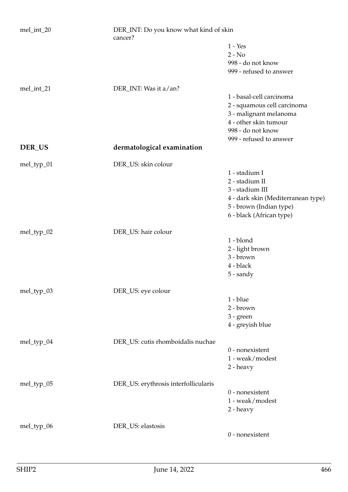| mel_int_20 | DER_INT: Do you know what kind of skin<br>cancer? |                                                 |
|------------|---------------------------------------------------|-------------------------------------------------|
|            |                                                   | $1 - Yes$                                       |
|            |                                                   | $2 - No$                                        |
|            |                                                   | 998 - do not know                               |
|            |                                                   | 999 - refused to answer                         |
| mel_int_21 | DER_INT: Was it a/an?                             |                                                 |
|            |                                                   | 1 - basal-cell carcinoma                        |
|            |                                                   | 2 - squamous cell carcinoma                     |
|            |                                                   | 3 - malignant melanoma<br>4 - other skin tumour |
|            |                                                   | 998 - do not know                               |
|            |                                                   | 999 - refused to answer                         |
| DER_US     | dermatological examination                        |                                                 |
| mel_typ_01 | DER_US: skin colour                               |                                                 |
|            |                                                   | 1 - stadium I                                   |
|            |                                                   | 2 - stadium II                                  |
|            |                                                   | 3 - stadium III                                 |
|            |                                                   | 4 - dark skin (Mediterranean type)              |
|            |                                                   | 5 - brown (Indian type)                         |
|            |                                                   | 6 - black (African type)                        |
| mel_typ_02 | DER_US: hair colour                               |                                                 |
|            |                                                   | 1 - blond                                       |
|            |                                                   | 2 - light brown                                 |
|            |                                                   | 3 - brown                                       |
|            |                                                   | 4 - black                                       |
|            |                                                   | $5$ - sandy                                     |
| mel_typ_03 | DER_US: eye colour                                |                                                 |
|            |                                                   | $1 - blue$                                      |
|            |                                                   | 2 - brown                                       |
|            |                                                   | $3 - green$                                     |
|            |                                                   | 4 - greyish blue                                |
| mel_typ_04 | DER_US: cutis rhomboidalis nuchae                 |                                                 |
|            |                                                   | $0$ - nonexistent                               |
|            |                                                   | 1 - weak/modest                                 |
|            |                                                   | 2 - heavy                                       |
| mel_typ_05 | DER_US: erythrosis interfollicularis              |                                                 |
|            |                                                   | $0$ - nonexistent                               |
|            |                                                   | 1 - weak/modest                                 |
|            |                                                   | 2 - heavy                                       |
| mel_typ_06 | DER_US: elastosis                                 |                                                 |
|            |                                                   | $0$ - nonexistent                               |
|            |                                                   |                                                 |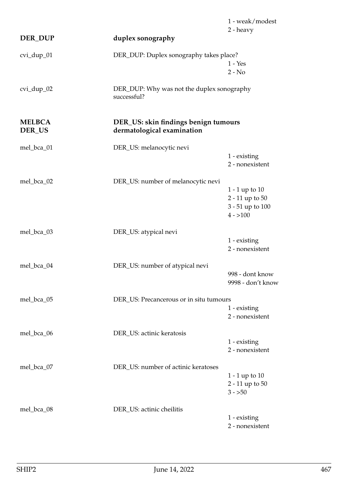|                         |                                                                    | 1 - weak/modest       |
|-------------------------|--------------------------------------------------------------------|-----------------------|
| <b>DER_DUP</b>          | duplex sonography                                                  | 2 - heavy             |
|                         |                                                                    |                       |
| cvi_dup_01              | DER_DUP: Duplex sonography takes place?                            |                       |
|                         |                                                                    | $1 - Yes$<br>$2 - No$ |
|                         |                                                                    |                       |
| $cvi_dup_02$            | DER_DUP: Why was not the duplex sonography<br>successful?          |                       |
| <b>MELBCA</b><br>DER_US | DER_US: skin findings benign tumours<br>dermatological examination |                       |
| mel_bca_01              | DER_US: melanocytic nevi                                           |                       |
|                         |                                                                    | 1 - existing          |
|                         |                                                                    | 2 - nonexistent       |
| mel_bca_02              | DER_US: number of melanocytic nevi                                 |                       |
|                         |                                                                    | $1 - 1$ up to $10$    |
|                         |                                                                    | 2 - 11 up to 50       |
|                         |                                                                    | 3 - 51 up to 100      |
|                         |                                                                    | $4 - 100$             |
| mel_bca_03              | DER_US: atypical nevi                                              |                       |
|                         |                                                                    | 1 - existing          |
|                         |                                                                    | 2 - nonexistent       |
| mel_bca_04              | DER_US: number of atypical nevi                                    |                       |
|                         |                                                                    | 998 - dont know       |
|                         |                                                                    | 9998 - don't know     |
| mel_bca_05              | DER_US: Precancerous or in situ tumours                            |                       |
|                         |                                                                    | 1 - existing          |
|                         |                                                                    | 2 - nonexistent       |
| mel_bca_06              | DER_US: actinic keratosis                                          |                       |
|                         |                                                                    | 1 - existing          |
|                         |                                                                    | 2 - nonexistent       |
| mel_bca_07              | DER_US: number of actinic keratoses                                |                       |
|                         |                                                                    | 1 - 1 up to $10$      |
|                         |                                                                    | 2 - 11 up to 50       |
|                         |                                                                    | $3 - 50$              |
| mel_bca_08              | DER_US: actinic cheilitis                                          |                       |
|                         |                                                                    | 1 - existing          |
|                         |                                                                    | 2 - nonexistent       |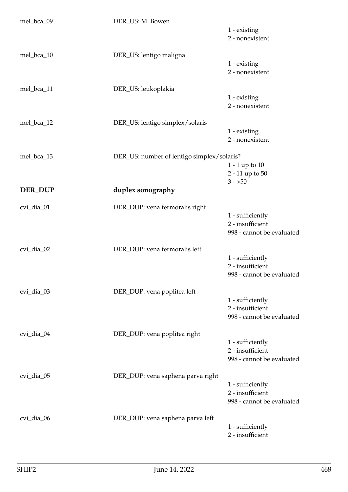| mel_bca_09 | DER_US: M. Bowen                           |                                      |
|------------|--------------------------------------------|--------------------------------------|
|            |                                            | 1 - existing                         |
|            |                                            | 2 - nonexistent                      |
|            |                                            |                                      |
| mel_bca_10 | DER_US: lentigo maligna                    |                                      |
|            |                                            | 1 - existing                         |
|            |                                            | 2 - nonexistent                      |
| mel_bca_11 | DER_US: leukoplakia                        |                                      |
|            |                                            | 1 - existing                         |
|            |                                            | 2 - nonexistent                      |
|            |                                            |                                      |
| mel_bca_12 | DER_US: lentigo simplex/solaris            |                                      |
|            |                                            | 1 - existing                         |
|            |                                            | 2 - nonexistent                      |
| mel_bca_13 |                                            |                                      |
|            | DER_US: number of lentigo simplex/solaris? | $1 - 1$ up to $10$                   |
|            |                                            | 2 - 11 up to 50                      |
|            |                                            | $3 - 50$                             |
| DER_DUP    | duplex sonography                          |                                      |
|            |                                            |                                      |
| cvi_dia_01 | DER_DUP: vena fermoralis right             |                                      |
|            |                                            | 1 - sufficiently                     |
|            |                                            | 2 - insufficient                     |
|            |                                            | 998 - cannot be evaluated            |
|            |                                            |                                      |
| cvi_dia_02 | DER_DUP: vena fermoralis left              |                                      |
|            |                                            | 1 - sufficiently<br>2 - insufficient |
|            |                                            |                                      |
|            |                                            | 998 - cannot be evaluated            |
| cvi_dia_03 | DER_DUP: vena poplitea left                |                                      |
|            |                                            | 1 - sufficiently                     |
|            |                                            | 2 - insufficient                     |
|            |                                            | 998 - cannot be evaluated            |
|            |                                            |                                      |
| cvi_dia_04 | DER_DUP: vena poplitea right               |                                      |
|            |                                            | 1 - sufficiently                     |
|            |                                            | 2 - insufficient                     |
|            |                                            | 998 - cannot be evaluated            |
| cvi_dia_05 | DER_DUP: vena saphena parva right          |                                      |
|            |                                            | 1 - sufficiently                     |
|            |                                            | 2 - insufficient                     |
|            |                                            | 998 - cannot be evaluated            |
|            |                                            |                                      |
| cvi_dia_06 | DER_DUP: vena saphena parva left           |                                      |
|            |                                            | 1 - sufficiently                     |
|            |                                            | 2 - insufficient                     |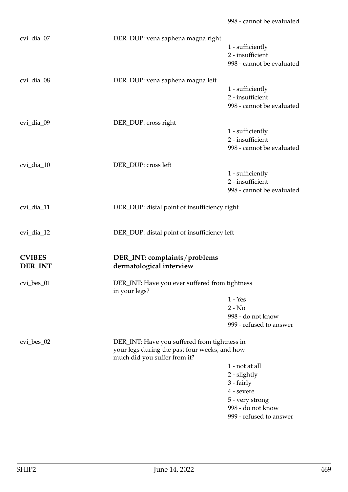| cvi_dia_07    | DER_DUP: vena saphena magna right                               |                                      |
|---------------|-----------------------------------------------------------------|--------------------------------------|
|               |                                                                 | 1 - sufficiently<br>2 - insufficient |
|               |                                                                 | 998 - cannot be evaluated            |
|               |                                                                 |                                      |
| cvi_dia_08    | DER_DUP: vena saphena magna left                                |                                      |
|               |                                                                 | 1 - sufficiently                     |
|               |                                                                 | 2 - insufficient                     |
|               |                                                                 | 998 - cannot be evaluated            |
| cvi_dia_09    | DER_DUP: cross right                                            |                                      |
|               |                                                                 | 1 - sufficiently                     |
|               |                                                                 | 2 - insufficient                     |
|               |                                                                 | 998 - cannot be evaluated            |
| cvi_dia_10    | DER_DUP: cross left                                             |                                      |
|               |                                                                 | 1 - sufficiently                     |
|               |                                                                 | 2 - insufficient                     |
|               |                                                                 | 998 - cannot be evaluated            |
|               |                                                                 |                                      |
| cvi_dia_11    | DER_DUP: distal point of insufficiency right                    |                                      |
|               |                                                                 |                                      |
| cvi_dia_12    | DER_DUP: distal point of insufficiency left                     |                                      |
|               |                                                                 |                                      |
| <b>CVIBES</b> | DER_INT: complaints/problems                                    |                                      |
| DER_INT       | dermatological interview                                        |                                      |
|               |                                                                 |                                      |
| cvi_bes_01    | DER_INT: Have you ever suffered from tightness<br>in your legs? |                                      |
|               |                                                                 | $1 - Yes$                            |
|               |                                                                 | $2 - No$                             |
|               |                                                                 | 998 - do not know                    |
|               |                                                                 | 999 - refused to answer              |
| $cvi_bes_02$  | DER_INT: Have you suffered from tightness in                    |                                      |
|               | your legs during the past four weeks, and how                   |                                      |
|               | much did you suffer from it?                                    |                                      |
|               |                                                                 | 1 - not at all                       |
|               |                                                                 | 2 - slightly                         |
|               |                                                                 | 3 - fairly                           |
|               |                                                                 | 4 - severe                           |
|               |                                                                 | 5 - very strong                      |
|               |                                                                 | 998 - do not know                    |
|               |                                                                 |                                      |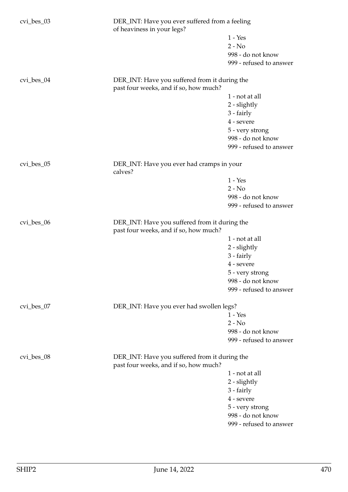| $cvi_bes_03$ | DER_INT: Have you ever suffered from a feeling<br>of heaviness in your legs?           |                         |
|--------------|----------------------------------------------------------------------------------------|-------------------------|
|              |                                                                                        | $1 - Yes$               |
|              |                                                                                        | $2 - No$                |
|              |                                                                                        | 998 - do not know       |
|              |                                                                                        | 999 - refused to answer |
|              |                                                                                        |                         |
| cvi_bes_04   | DER_INT: Have you suffered from it during the<br>past four weeks, and if so, how much? |                         |
|              |                                                                                        | 1 - not at all          |
|              |                                                                                        | 2 - slightly            |
|              |                                                                                        | 3 - fairly              |
|              |                                                                                        | 4 - severe              |
|              |                                                                                        | 5 - very strong         |
|              |                                                                                        | 998 - do not know       |
|              |                                                                                        | 999 - refused to answer |
|              |                                                                                        |                         |
| cvi_bes_05   | DER_INT: Have you ever had cramps in your<br>calves?                                   |                         |
|              |                                                                                        | $1 - Yes$               |
|              |                                                                                        | $2 - No$                |
|              |                                                                                        | 998 - do not know       |
|              |                                                                                        | 999 - refused to answer |
|              |                                                                                        |                         |
| $cvi_bes_06$ | DER_INT: Have you suffered from it during the<br>past four weeks, and if so, how much? |                         |
|              |                                                                                        | 1 - not at all          |
|              |                                                                                        | 2 - slightly            |
|              |                                                                                        | 3 - fairly              |
|              |                                                                                        | 4 - severe              |
|              |                                                                                        | 5 - very strong         |
|              |                                                                                        | 998 - do not know       |
|              |                                                                                        | 999 - refused to answer |
|              |                                                                                        |                         |
| $cvi_bes_07$ | DER_INT: Have you ever had swollen legs?                                               |                         |
|              |                                                                                        | $1 - Yes$               |
|              |                                                                                        | $2 - No$                |
|              |                                                                                        | 998 - do not know       |
|              |                                                                                        | 999 - refused to answer |
|              |                                                                                        |                         |
| cvi_bes_08   | DER_INT: Have you suffered from it during the<br>past four weeks, and if so, how much? |                         |
|              |                                                                                        | 1 - not at all          |
|              |                                                                                        | $2$ - slightly          |
|              |                                                                                        | 3 - fairly              |
|              |                                                                                        | 4 - severe              |
|              |                                                                                        | 5 - very strong         |
|              |                                                                                        | 998 - do not know       |
|              |                                                                                        | 999 - refused to answer |
|              |                                                                                        |                         |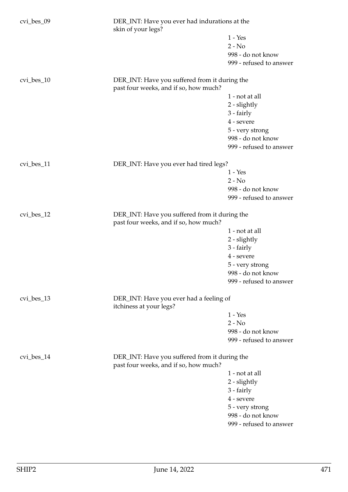| cvi_bes_09   | DER_INT: Have you ever had indurations at the<br>skin of your legs?                    |                         |
|--------------|----------------------------------------------------------------------------------------|-------------------------|
|              |                                                                                        | $1 - Yes$               |
|              |                                                                                        | $2 - No$                |
|              |                                                                                        | 998 - do not know       |
|              |                                                                                        | 999 - refused to answer |
|              |                                                                                        |                         |
| cvi_bes_10   | DER_INT: Have you suffered from it during the<br>past four weeks, and if so, how much? |                         |
|              |                                                                                        | 1 - not at all          |
|              |                                                                                        | 2 - slightly            |
|              |                                                                                        | 3 - fairly              |
|              |                                                                                        | 4 - severe              |
|              |                                                                                        | 5 - very strong         |
|              |                                                                                        | 998 - do not know       |
|              |                                                                                        | 999 - refused to answer |
|              |                                                                                        |                         |
| cvi_bes_11   | DER_INT: Have you ever had tired legs?                                                 |                         |
|              |                                                                                        | $1 - Yes$               |
|              |                                                                                        | $2 - No$                |
|              |                                                                                        | 998 - do not know       |
|              |                                                                                        | 999 - refused to answer |
| $cvi_bes_12$ | DER_INT: Have you suffered from it during the<br>past four weeks, and if so, how much? |                         |
|              |                                                                                        | 1 - not at all          |
|              |                                                                                        | 2 - slightly            |
|              |                                                                                        | 3 - fairly              |
|              |                                                                                        | 4 - severe              |
|              |                                                                                        | 5 - very strong         |
|              |                                                                                        | 998 - do not know       |
|              |                                                                                        | 999 - refused to answer |
| cvi_bes_13   | DER_INT: Have you ever had a feeling of                                                |                         |
|              | itchiness at your legs?                                                                |                         |
|              |                                                                                        | $1 - Yes$               |
|              |                                                                                        | $2 - No$                |
|              |                                                                                        | 998 - do not know       |
|              |                                                                                        | 999 - refused to answer |
| $cvi_bes_14$ | DER_INT: Have you suffered from it during the<br>past four weeks, and if so, how much? |                         |
|              |                                                                                        | 1 - not at all          |
|              |                                                                                        | 2 - slightly            |
|              |                                                                                        | 3 - fairly              |
|              |                                                                                        | 4 - severe              |
|              |                                                                                        | 5 - very strong         |
|              |                                                                                        | 998 - do not know       |
|              |                                                                                        |                         |
|              |                                                                                        | 999 - refused to answer |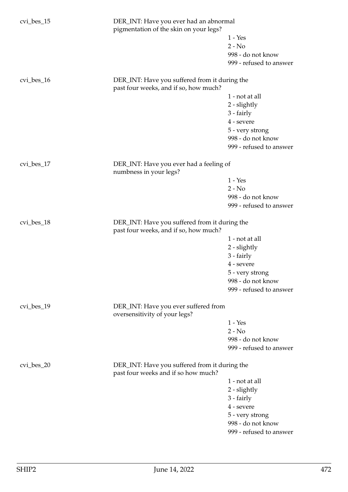| cvi_bes_15   | DER_INT: Have you ever had an abnormal<br>pigmentation of the skin on your legs?       |                         |
|--------------|----------------------------------------------------------------------------------------|-------------------------|
|              |                                                                                        | $1 - Yes$               |
|              |                                                                                        | $2 - No$                |
|              |                                                                                        | 998 - do not know       |
|              |                                                                                        | 999 - refused to answer |
| $cvi_bes_16$ | DER_INT: Have you suffered from it during the<br>past four weeks, and if so, how much? |                         |
|              |                                                                                        | 1 - not at all          |
|              |                                                                                        | 2 - slightly            |
|              |                                                                                        | 3 - fairly              |
|              |                                                                                        | 4 - severe              |
|              |                                                                                        | 5 - very strong         |
|              |                                                                                        | 998 - do not know       |
|              |                                                                                        | 999 - refused to answer |
| cvi_bes_17   | DER_INT: Have you ever had a feeling of<br>numbness in your legs?                      |                         |
|              |                                                                                        | $1 - Yes$               |
|              |                                                                                        | $2 - No$                |
|              |                                                                                        | 998 - do not know       |
|              |                                                                                        | 999 - refused to answer |
| $cvi_bes_18$ | DER_INT: Have you suffered from it during the<br>past four weeks, and if so, how much? |                         |
|              |                                                                                        | 1 - not at all          |
|              |                                                                                        | 2 - slightly            |
|              |                                                                                        | 3 - fairly              |
|              |                                                                                        | 4 - severe              |
|              |                                                                                        | 5 - very strong         |
|              |                                                                                        | 998 - do not know       |
|              |                                                                                        | 999 - refused to answer |
| $cvi_bes_19$ | DER_INT: Have you ever suffered from<br>oversensitivity of your legs?                  |                         |
|              |                                                                                        | $1 - Yes$               |
|              |                                                                                        | $2 - No$                |
|              |                                                                                        | 998 - do not know       |
|              |                                                                                        | 999 - refused to answer |
| $cvi_bes_20$ | DER_INT: Have you suffered from it during the<br>past four weeks and if so how much?   |                         |
|              |                                                                                        | 1 - not at all          |
|              |                                                                                        | 2 - slightly            |
|              |                                                                                        | $3 - fairly$            |
|              |                                                                                        | 4 - severe              |
|              |                                                                                        | 5 - very strong         |
|              |                                                                                        | 998 - do not know       |
|              |                                                                                        | 999 - refused to answer |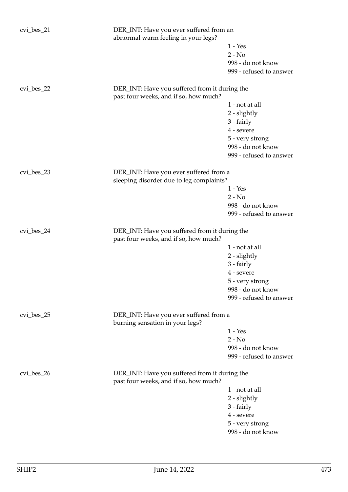| $cvi_bes_21$ | DER_INT: Have you ever suffered from an<br>abnormal warm feeling in your legs?         |                         |
|--------------|----------------------------------------------------------------------------------------|-------------------------|
|              |                                                                                        | $1 - Yes$               |
|              |                                                                                        | $2 - No$                |
|              |                                                                                        | 998 - do not know       |
|              |                                                                                        | 999 - refused to answer |
| $cvi_bes_22$ | DER_INT: Have you suffered from it during the                                          |                         |
|              | past four weeks, and if so, how much?                                                  |                         |
|              |                                                                                        | 1 - not at all          |
|              |                                                                                        | 2 - slightly            |
|              |                                                                                        | 3 - fairly              |
|              |                                                                                        | 4 - severe              |
|              |                                                                                        | 5 - very strong         |
|              |                                                                                        | 998 - do not know       |
|              |                                                                                        | 999 - refused to answer |
| $cvi_bes_23$ | DER_INT: Have you ever suffered from a                                                 |                         |
|              | sleeping disorder due to leg complaints?                                               |                         |
|              |                                                                                        | $1 - Yes$               |
|              |                                                                                        | $2 - No$                |
|              |                                                                                        | 998 - do not know       |
|              |                                                                                        | 999 - refused to answer |
| cvi_bes_24   | DER_INT: Have you suffered from it during the<br>past four weeks, and if so, how much? |                         |
|              |                                                                                        | 1 - not at all          |
|              |                                                                                        | 2 - slightly            |
|              |                                                                                        | 3 - fairly              |
|              |                                                                                        | 4 - severe              |
|              |                                                                                        | 5 - very strong         |
|              |                                                                                        | 998 - do not know       |
|              |                                                                                        | 999 - refused to answer |
| $cvi_bes_25$ | DER_INT: Have you ever suffered from a                                                 |                         |
|              | burning sensation in your legs?                                                        |                         |
|              |                                                                                        | $1 - Yes$               |
|              |                                                                                        | $2 - No$                |
|              |                                                                                        | 998 - do not know       |
|              |                                                                                        | 999 - refused to answer |
| cvi_bes_26   | DER_INT: Have you suffered from it during the<br>past four weeks, and if so, how much? |                         |
|              |                                                                                        | 1 - not at all          |
|              |                                                                                        | 2 - slightly            |
|              |                                                                                        | 3 - fairly              |
|              |                                                                                        | 4 - severe              |
|              |                                                                                        | 5 - very strong         |
|              |                                                                                        | 998 - do not know       |
|              |                                                                                        |                         |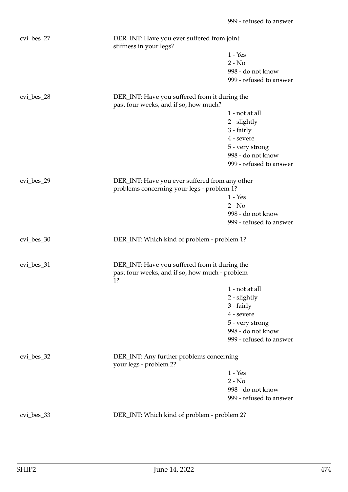| cvi_bes_27   | DER_INT: Have you ever suffered from joint<br>stiffness in your legs?                                 |                         |
|--------------|-------------------------------------------------------------------------------------------------------|-------------------------|
|              |                                                                                                       | $1 - Yes$               |
|              |                                                                                                       | $2 - No$                |
|              |                                                                                                       | 998 - do not know       |
|              |                                                                                                       | 999 - refused to answer |
| $cvi_bes_28$ | DER_INT: Have you suffered from it during the<br>past four weeks, and if so, how much?                |                         |
|              |                                                                                                       | 1 - not at all          |
|              |                                                                                                       | 2 - slightly            |
|              |                                                                                                       | 3 - fairly              |
|              |                                                                                                       | 4 - severe              |
|              |                                                                                                       | 5 - very strong         |
|              |                                                                                                       | 998 - do not know       |
|              |                                                                                                       | 999 - refused to answer |
| cvi_bes_29   | DER_INT: Have you ever suffered from any other<br>problems concerning your legs - problem 1?          |                         |
|              |                                                                                                       | $1 - Yes$               |
|              |                                                                                                       | $2 - No$                |
|              |                                                                                                       | 998 - do not know       |
|              |                                                                                                       | 999 - refused to answer |
| cvi_bes_30   | DER_INT: Which kind of problem - problem 1?                                                           |                         |
| cvi_bes_31   | DER_INT: Have you suffered from it during the<br>past four weeks, and if so, how much - problem<br>1? |                         |
|              |                                                                                                       | 1 - not at all          |
|              |                                                                                                       | $2$ - slightly          |
|              |                                                                                                       | 3 - fairly              |
|              |                                                                                                       | 4 - severe              |
|              |                                                                                                       | 5 - very strong         |
|              |                                                                                                       | 998 - do not know       |
|              |                                                                                                       | 999 - refused to answer |
| $cvi_bes_32$ | DER_INT: Any further problems concerning<br>your legs - problem 2?                                    |                         |
|              |                                                                                                       | $1 - Yes$               |
|              |                                                                                                       | $2 - No$                |
|              |                                                                                                       | 998 - do not know       |
|              |                                                                                                       | 999 - refused to answer |
| cvi_bes_33   | DER_INT: Which kind of problem - problem 2?                                                           |                         |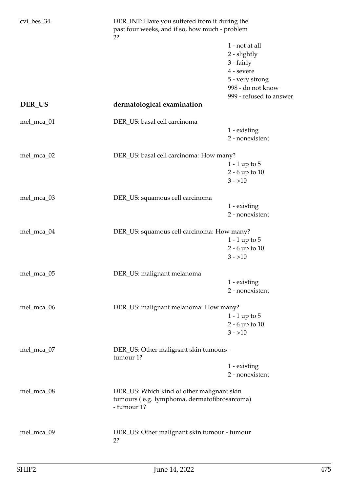| $cvi_bes_34$ | DER_INT: Have you suffered from it during the<br>past four weeks, and if so, how much - problem<br>2? |                         |  |
|--------------|-------------------------------------------------------------------------------------------------------|-------------------------|--|
|              |                                                                                                       | 1 - not at all          |  |
|              |                                                                                                       | 2 - slightly            |  |
|              |                                                                                                       | 3 - fairly              |  |
|              |                                                                                                       | 4 - severe              |  |
|              |                                                                                                       | 5 - very strong         |  |
|              |                                                                                                       | 998 - do not know       |  |
|              |                                                                                                       | 999 - refused to answer |  |
| DER_US       | dermatological examination                                                                            |                         |  |
| mel_mca_01   | DER_US: basal cell carcinoma                                                                          |                         |  |
|              |                                                                                                       | 1 - existing            |  |
|              |                                                                                                       | 2 - nonexistent         |  |
| mel_mca_02   | DER_US: basal cell carcinoma: How many?                                                               |                         |  |
|              |                                                                                                       | $1 - 1$ up to $5$       |  |
|              |                                                                                                       | 2 - 6 up to 10          |  |
|              |                                                                                                       | $3 - 10$                |  |
|              |                                                                                                       |                         |  |
| mel_mca_03   | DER_US: squamous cell carcinoma                                                                       |                         |  |
|              |                                                                                                       | 1 - existing            |  |
|              |                                                                                                       | 2 - nonexistent         |  |
| mel_mca_04   | DER_US: squamous cell carcinoma: How many?                                                            |                         |  |
|              |                                                                                                       | $1 - 1$ up to $5$       |  |
|              |                                                                                                       | $2 - 6$ up to $10$      |  |
|              |                                                                                                       | $3 - 10$                |  |
|              |                                                                                                       |                         |  |
| mel_mca_05   | DER_US: malignant melanoma                                                                            |                         |  |
|              |                                                                                                       | 1 - existing            |  |
|              |                                                                                                       | 2 - nonexistent         |  |
| mel_mca_06   | DER_US: malignant melanoma: How many?                                                                 |                         |  |
|              |                                                                                                       | $1 - 1$ up to $5$       |  |
|              |                                                                                                       | 2 - 6 up to 10          |  |
|              |                                                                                                       | $3 - 10$                |  |
| mel_mca_07   | DER_US: Other malignant skin tumours -<br>tumour 1?                                                   |                         |  |
|              |                                                                                                       | 1 - existing            |  |
|              |                                                                                                       | 2 - nonexistent         |  |
|              |                                                                                                       |                         |  |
| mel_mca_08   | DER_US: Which kind of other malignant skin                                                            |                         |  |
|              | tumours (e.g. lymphoma, dermatofibrosarcoma)                                                          |                         |  |
|              | - tumour 1?                                                                                           |                         |  |
|              |                                                                                                       |                         |  |
| mel_mca_09   | DER_US: Other malignant skin tumour - tumour                                                          |                         |  |
|              | 2?                                                                                                    |                         |  |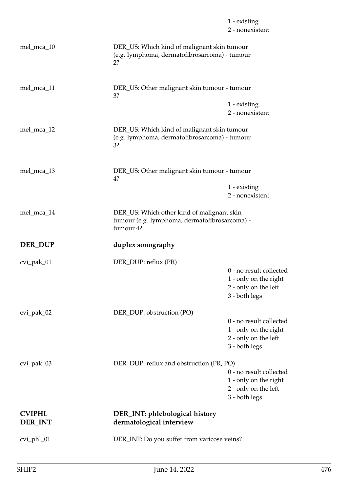|                                 |                                                                                                    | 1 - existing<br>2 - nonexistent                                                             |  |
|---------------------------------|----------------------------------------------------------------------------------------------------|---------------------------------------------------------------------------------------------|--|
| mel_mca_10                      | DER_US: Which kind of malignant skin tumour<br>(e.g. lymphoma, dermatofibrosarcoma) - tumour<br>2? |                                                                                             |  |
| mel_mca_11                      | DER_US: Other malignant skin tumour - tumour<br>3?                                                 |                                                                                             |  |
|                                 |                                                                                                    | 1 - existing<br>2 - nonexistent                                                             |  |
| mel_mca_12                      | DER_US: Which kind of malignant skin tumour<br>(e.g. lymphoma, dermatofibrosarcoma) - tumour<br>3? |                                                                                             |  |
| mel_mca_13                      | DER_US: Other malignant skin tumour - tumour<br>4?                                                 |                                                                                             |  |
|                                 |                                                                                                    | 1 - existing<br>2 - nonexistent                                                             |  |
| mel_mca_14                      | tumour 4?                                                                                          | DER_US: Which other kind of malignant skin<br>tumour (e.g. lymphoma, dermatofibrosarcoma) - |  |
| DER_DUP                         | duplex sonography                                                                                  |                                                                                             |  |
| cvi_pak_01                      | DER_DUP: reflux (PR)                                                                               | 0 - no result collected<br>1 - only on the right<br>2 - only on the left<br>3 - both legs   |  |
| cvi_pak_02                      | DER_DUP: obstruction (PO)                                                                          | 0 - no result collected                                                                     |  |
|                                 |                                                                                                    | 1 - only on the right<br>2 - only on the left<br>3 - both legs                              |  |
| cvi_pak_03                      | DER_DUP: reflux and obstruction (PR, PO)                                                           | 0 - no result collected<br>1 - only on the right<br>2 - only on the left<br>3 - both legs   |  |
| <b>CVIPHL</b><br><b>DER_INT</b> | DER_INT: phlebological history<br>dermatological interview                                         |                                                                                             |  |
| cvi_phl_01                      | DER_INT: Do you suffer from varicose veins?                                                        |                                                                                             |  |
|                                 |                                                                                                    |                                                                                             |  |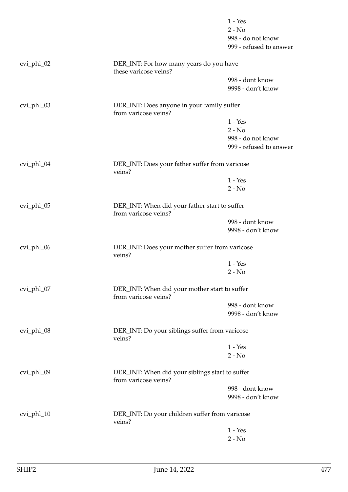|            |                                                                         | $1 - Yes$<br>$2 - No$                        |
|------------|-------------------------------------------------------------------------|----------------------------------------------|
|            |                                                                         | 998 - do not know<br>999 - refused to answer |
| cvi_phl_02 | DER_INT: For how many years do you have<br>these varicose veins?        |                                              |
|            |                                                                         | 998 - dont know<br>9998 - don't know         |
| cvi_phl_03 | DER_INT: Does anyone in your family suffer<br>from varicose veins?      |                                              |
|            |                                                                         | $1 - Yes$                                    |
|            |                                                                         | $2 - No$                                     |
|            |                                                                         | 998 - do not know                            |
|            |                                                                         | 999 - refused to answer                      |
| cvi_phl_04 | DER_INT: Does your father suffer from varicose<br>veins?                |                                              |
|            |                                                                         | $1 - Yes$                                    |
|            |                                                                         | $2 - No$                                     |
| cvi_phl_05 | DER_INT: When did your father start to suffer<br>from varicose veins?   |                                              |
|            |                                                                         | 998 - dont know                              |
|            |                                                                         | 9998 - don't know                            |
| cvi_phl_06 | DER_INT: Does your mother suffer from varicose<br>veins?                |                                              |
|            |                                                                         | $1 - Yes$                                    |
|            |                                                                         | $2 - No$                                     |
| cvi_phl_07 | DER_INT: When did your mother start to suffer<br>from varicose veins?   |                                              |
|            |                                                                         | 998 - dont know                              |
|            |                                                                         | 9998 - don't know                            |
| cvi_phl_08 | DER_INT: Do your siblings suffer from varicose<br>veins?                |                                              |
|            |                                                                         | $1 - Yes$                                    |
|            |                                                                         | $2 - No$                                     |
| cvi_phl_09 | DER_INT: When did your siblings start to suffer<br>from varicose veins? |                                              |
|            |                                                                         | 998 - dont know                              |
|            |                                                                         | 9998 - don't know                            |
| cvi_phl_10 | DER_INT: Do your children suffer from varicose<br>veins?                |                                              |
|            |                                                                         | $1 - Yes$                                    |
|            |                                                                         | $2 - No$                                     |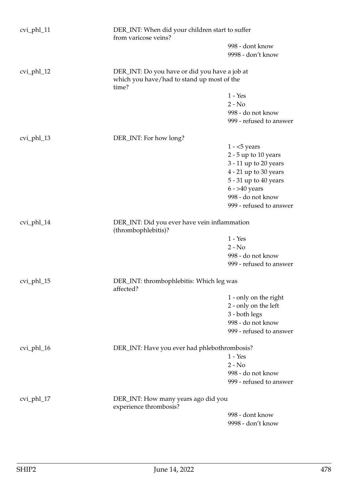| cvi_phl_11 | DER_INT: When did your children start to suffer<br>from varicose veins?                              |                                                                                                                                                                                          |
|------------|------------------------------------------------------------------------------------------------------|------------------------------------------------------------------------------------------------------------------------------------------------------------------------------------------|
|            |                                                                                                      | 998 - dont know<br>9998 - don't know                                                                                                                                                     |
| cvi_phl_12 | DER_INT: Do you have or did you have a job at<br>which you have/had to stand up most of the<br>time? |                                                                                                                                                                                          |
|            |                                                                                                      | $1 - Yes$<br>$2 - No$<br>998 - do not know<br>999 - refused to answer                                                                                                                    |
| cvi_phl_13 | DER_INT: For how long?                                                                               |                                                                                                                                                                                          |
|            |                                                                                                      | $1 - 5$ years<br>$2 - 5$ up to 10 years<br>3 - 11 up to 20 years<br>$4 - 21$ up to 30 years<br>5 - 31 up to 40 years<br>$6 - > 40$ years<br>998 - do not know<br>999 - refused to answer |
| cvi_phl_14 | DER_INT: Did you ever have vein inflammation<br>(thrombophlebitis)?                                  |                                                                                                                                                                                          |
|            |                                                                                                      | $1 - Yes$                                                                                                                                                                                |
|            |                                                                                                      | $2 - No$<br>998 - do not know                                                                                                                                                            |
|            |                                                                                                      | 999 - refused to answer                                                                                                                                                                  |
| cvi_phl_15 | DER_INT: thrombophlebitis: Which leg was<br>affected?                                                |                                                                                                                                                                                          |
|            |                                                                                                      | 1 - only on the right                                                                                                                                                                    |
|            |                                                                                                      | 2 - only on the left<br>3 - both legs                                                                                                                                                    |
|            |                                                                                                      | 998 - do not know                                                                                                                                                                        |
|            |                                                                                                      | 999 - refused to answer                                                                                                                                                                  |
| cvi_phl_16 | DER_INT: Have you ever had phlebothrombosis?                                                         |                                                                                                                                                                                          |
|            |                                                                                                      | $1 - Yes$                                                                                                                                                                                |
|            |                                                                                                      | $2 - No$                                                                                                                                                                                 |
|            |                                                                                                      | 998 - do not know<br>999 - refused to answer                                                                                                                                             |
|            |                                                                                                      |                                                                                                                                                                                          |
| cvi_phl_17 | DER_INT: How many years ago did you<br>experience thrombosis?                                        |                                                                                                                                                                                          |
|            |                                                                                                      | 998 - dont know                                                                                                                                                                          |
|            |                                                                                                      | 9998 - don't know                                                                                                                                                                        |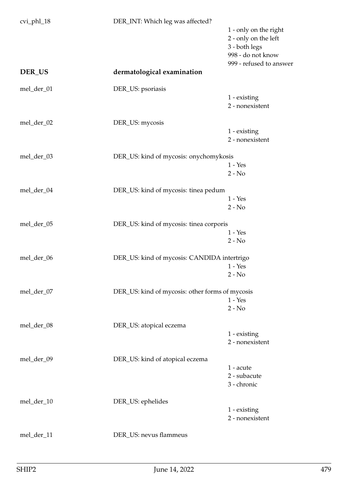| cvi_phl_18 | DER_INT: Which leg was affected?                |                                                                                     |
|------------|-------------------------------------------------|-------------------------------------------------------------------------------------|
|            |                                                 | 1 - only on the right<br>2 - only on the left<br>3 - both legs<br>998 - do not know |
| DER_US     | dermatological examination                      | 999 - refused to answer                                                             |
| mel_der_01 | DER_US: psoriasis                               |                                                                                     |
|            |                                                 | 1 - existing<br>2 - nonexistent                                                     |
| mel_der_02 | DER_US: mycosis                                 |                                                                                     |
|            |                                                 | 1 - existing<br>2 - nonexistent                                                     |
| mel_der_03 | DER_US: kind of mycosis: onychomykosis          |                                                                                     |
|            |                                                 | $1 - Yes$<br>$2 - No$                                                               |
| mel_der_04 | DER_US: kind of mycosis: tinea pedum            |                                                                                     |
|            |                                                 | $1 - Yes$<br>$2 - No$                                                               |
| mel_der_05 | DER_US: kind of mycosis: tinea corporis         |                                                                                     |
|            |                                                 | $1 - Yes$<br>$2 - No$                                                               |
| mel_der_06 | DER_US: kind of mycosis: CANDIDA intertrigo     |                                                                                     |
|            |                                                 | $1 - Yes$                                                                           |
|            |                                                 | $2 - No$                                                                            |
| mel_der_07 | DER_US: kind of mycosis: other forms of mycosis |                                                                                     |
|            |                                                 | $1 - Yes$<br>$2 - No$                                                               |
| mel_der_08 | DER_US: atopical eczema                         |                                                                                     |
|            |                                                 | 1 - existing                                                                        |
|            |                                                 | 2 - nonexistent                                                                     |
| mel_der_09 | DER_US: kind of atopical eczema                 |                                                                                     |
|            |                                                 | 1 - acute                                                                           |
|            |                                                 | 2 - subacute<br>3 - chronic                                                         |
| mel_der_10 | DER_US: ephelides                               |                                                                                     |
|            |                                                 | 1 - existing<br>2 - nonexistent                                                     |
| mel_der_11 | DER_US: nevus flammeus                          |                                                                                     |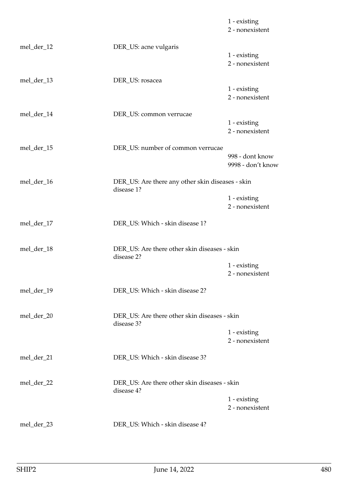|            |                                                                | 1 - existing<br>2 - nonexistent      |
|------------|----------------------------------------------------------------|--------------------------------------|
| mel_der_12 | DER_US: acne vulgaris                                          | 1 - existing<br>2 - nonexistent      |
| mel_der_13 | DER_US: rosacea                                                | 1 - existing<br>2 - nonexistent      |
| mel_der_14 | DER_US: common verrucae                                        | 1 - existing<br>2 - nonexistent      |
| mel_der_15 | DER_US: number of common verrucae                              | 998 - dont know<br>9998 - don't know |
| mel_der_16 | DER_US: Are there any other skin diseases - skin<br>disease 1? | 1 - existing<br>2 - nonexistent      |
| mel_der_17 | DER_US: Which - skin disease 1?                                |                                      |
| mel_der_18 | DER_US: Are there other skin diseases - skin<br>disease 2?     | 1 - existing<br>2 - nonexistent      |
| mel_der_19 | DER_US: Which - skin disease 2?                                |                                      |
| mel_der_20 | DER US: Are there other skin diseases - skin<br>disease 3?     | 1 - existing<br>2 - nonexistent      |
| mel_der_21 | DER_US: Which - skin disease 3?                                |                                      |
| mel_der_22 | DER_US: Are there other skin diseases - skin<br>disease 4?     | 1 - existing<br>2 - nonexistent      |
| mel_der_23 | DER_US: Which - skin disease 4?                                |                                      |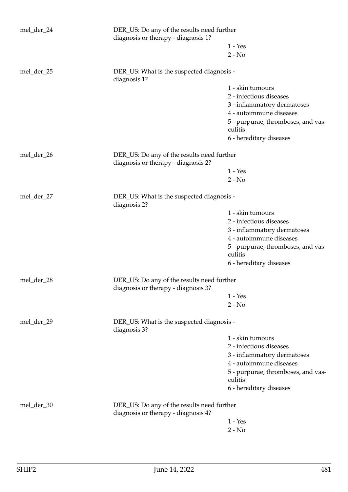| $1 - Yes$<br>$2 - No$<br>mel_der_25<br>DER_US: What is the suspected diagnosis -<br>diagnosis 1?<br>1 - skin tumours<br>2 - infectious diseases<br>3 - inflammatory dermatoses<br>4 - autoimmune diseases<br>5 - purpurae, thromboses, and vas-<br>culitis<br>6 - hereditary diseases<br>mel_der_26<br>DER_US: Do any of the results need further<br>diagnosis or therapy - diagnosis 2?<br>$1 - Yes$<br>$2 - No$<br>mel_der_27<br>DER_US: What is the suspected diagnosis -<br>diagnosis 2?<br>1 - skin tumours<br>2 - infectious diseases<br>3 - inflammatory dermatoses<br>4 - autoimmune diseases<br>culitis<br>6 - hereditary diseases<br>DER_US: Do any of the results need further<br>mel_der_28<br>diagnosis or therapy - diagnosis 3?<br>$1 - Yes$<br>$2 - No$<br>mel_der_29<br>DER_US: What is the suspected diagnosis -<br>diagnosis 3?<br>1 - skin tumours<br>2 - infectious diseases | mel_der_24 | DER_US: Do any of the results need further<br>diagnosis or therapy - diagnosis 1? |                                    |
|---------------------------------------------------------------------------------------------------------------------------------------------------------------------------------------------------------------------------------------------------------------------------------------------------------------------------------------------------------------------------------------------------------------------------------------------------------------------------------------------------------------------------------------------------------------------------------------------------------------------------------------------------------------------------------------------------------------------------------------------------------------------------------------------------------------------------------------------------------------------------------------------------|------------|-----------------------------------------------------------------------------------|------------------------------------|
|                                                                                                                                                                                                                                                                                                                                                                                                                                                                                                                                                                                                                                                                                                                                                                                                                                                                                                   |            |                                                                                   |                                    |
|                                                                                                                                                                                                                                                                                                                                                                                                                                                                                                                                                                                                                                                                                                                                                                                                                                                                                                   |            |                                                                                   |                                    |
|                                                                                                                                                                                                                                                                                                                                                                                                                                                                                                                                                                                                                                                                                                                                                                                                                                                                                                   |            |                                                                                   |                                    |
|                                                                                                                                                                                                                                                                                                                                                                                                                                                                                                                                                                                                                                                                                                                                                                                                                                                                                                   |            |                                                                                   |                                    |
|                                                                                                                                                                                                                                                                                                                                                                                                                                                                                                                                                                                                                                                                                                                                                                                                                                                                                                   |            |                                                                                   |                                    |
|                                                                                                                                                                                                                                                                                                                                                                                                                                                                                                                                                                                                                                                                                                                                                                                                                                                                                                   |            |                                                                                   |                                    |
|                                                                                                                                                                                                                                                                                                                                                                                                                                                                                                                                                                                                                                                                                                                                                                                                                                                                                                   |            |                                                                                   |                                    |
|                                                                                                                                                                                                                                                                                                                                                                                                                                                                                                                                                                                                                                                                                                                                                                                                                                                                                                   |            |                                                                                   |                                    |
|                                                                                                                                                                                                                                                                                                                                                                                                                                                                                                                                                                                                                                                                                                                                                                                                                                                                                                   |            |                                                                                   |                                    |
|                                                                                                                                                                                                                                                                                                                                                                                                                                                                                                                                                                                                                                                                                                                                                                                                                                                                                                   |            |                                                                                   |                                    |
|                                                                                                                                                                                                                                                                                                                                                                                                                                                                                                                                                                                                                                                                                                                                                                                                                                                                                                   |            |                                                                                   |                                    |
|                                                                                                                                                                                                                                                                                                                                                                                                                                                                                                                                                                                                                                                                                                                                                                                                                                                                                                   |            |                                                                                   |                                    |
|                                                                                                                                                                                                                                                                                                                                                                                                                                                                                                                                                                                                                                                                                                                                                                                                                                                                                                   |            |                                                                                   |                                    |
|                                                                                                                                                                                                                                                                                                                                                                                                                                                                                                                                                                                                                                                                                                                                                                                                                                                                                                   |            |                                                                                   |                                    |
|                                                                                                                                                                                                                                                                                                                                                                                                                                                                                                                                                                                                                                                                                                                                                                                                                                                                                                   |            |                                                                                   |                                    |
|                                                                                                                                                                                                                                                                                                                                                                                                                                                                                                                                                                                                                                                                                                                                                                                                                                                                                                   |            |                                                                                   |                                    |
|                                                                                                                                                                                                                                                                                                                                                                                                                                                                                                                                                                                                                                                                                                                                                                                                                                                                                                   |            |                                                                                   |                                    |
|                                                                                                                                                                                                                                                                                                                                                                                                                                                                                                                                                                                                                                                                                                                                                                                                                                                                                                   |            |                                                                                   |                                    |
|                                                                                                                                                                                                                                                                                                                                                                                                                                                                                                                                                                                                                                                                                                                                                                                                                                                                                                   |            |                                                                                   |                                    |
|                                                                                                                                                                                                                                                                                                                                                                                                                                                                                                                                                                                                                                                                                                                                                                                                                                                                                                   |            |                                                                                   | 5 - purpurae, thromboses, and vas- |
|                                                                                                                                                                                                                                                                                                                                                                                                                                                                                                                                                                                                                                                                                                                                                                                                                                                                                                   |            |                                                                                   |                                    |
|                                                                                                                                                                                                                                                                                                                                                                                                                                                                                                                                                                                                                                                                                                                                                                                                                                                                                                   |            |                                                                                   |                                    |
|                                                                                                                                                                                                                                                                                                                                                                                                                                                                                                                                                                                                                                                                                                                                                                                                                                                                                                   |            |                                                                                   |                                    |
|                                                                                                                                                                                                                                                                                                                                                                                                                                                                                                                                                                                                                                                                                                                                                                                                                                                                                                   |            |                                                                                   |                                    |
|                                                                                                                                                                                                                                                                                                                                                                                                                                                                                                                                                                                                                                                                                                                                                                                                                                                                                                   |            |                                                                                   |                                    |
|                                                                                                                                                                                                                                                                                                                                                                                                                                                                                                                                                                                                                                                                                                                                                                                                                                                                                                   |            |                                                                                   |                                    |
|                                                                                                                                                                                                                                                                                                                                                                                                                                                                                                                                                                                                                                                                                                                                                                                                                                                                                                   |            |                                                                                   |                                    |
|                                                                                                                                                                                                                                                                                                                                                                                                                                                                                                                                                                                                                                                                                                                                                                                                                                                                                                   |            |                                                                                   |                                    |
|                                                                                                                                                                                                                                                                                                                                                                                                                                                                                                                                                                                                                                                                                                                                                                                                                                                                                                   |            |                                                                                   | 3 - inflammatory dermatoses        |
| 4 - autoimmune diseases                                                                                                                                                                                                                                                                                                                                                                                                                                                                                                                                                                                                                                                                                                                                                                                                                                                                           |            |                                                                                   |                                    |
| culitis                                                                                                                                                                                                                                                                                                                                                                                                                                                                                                                                                                                                                                                                                                                                                                                                                                                                                           |            |                                                                                   | 5 - purpurae, thromboses, and vas- |
| 6 - hereditary diseases                                                                                                                                                                                                                                                                                                                                                                                                                                                                                                                                                                                                                                                                                                                                                                                                                                                                           |            |                                                                                   |                                    |
| DER_US: Do any of the results need further<br>mel_der_30<br>diagnosis or therapy - diagnosis 4?                                                                                                                                                                                                                                                                                                                                                                                                                                                                                                                                                                                                                                                                                                                                                                                                   |            |                                                                                   |                                    |
| $1 - Yes$                                                                                                                                                                                                                                                                                                                                                                                                                                                                                                                                                                                                                                                                                                                                                                                                                                                                                         |            |                                                                                   |                                    |
| $2 - No$                                                                                                                                                                                                                                                                                                                                                                                                                                                                                                                                                                                                                                                                                                                                                                                                                                                                                          |            |                                                                                   |                                    |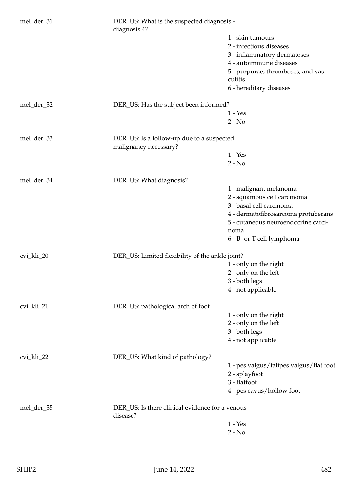| mel_der_31 | DER_US: What is the suspected diagnosis -<br>diagnosis 4?          |                                         |
|------------|--------------------------------------------------------------------|-----------------------------------------|
|            |                                                                    | 1 - skin tumours                        |
|            |                                                                    | 2 - infectious diseases                 |
|            |                                                                    | 3 - inflammatory dermatoses             |
|            |                                                                    | 4 - autoimmune diseases                 |
|            |                                                                    | 5 - purpurae, thromboses, and vas-      |
|            |                                                                    | culitis                                 |
|            |                                                                    | 6 - hereditary diseases                 |
| mel_der_32 | DER_US: Has the subject been informed?                             |                                         |
|            |                                                                    | $1 - Yes$                               |
|            |                                                                    | $2 - No$                                |
| mel_der_33 | DER_US: Is a follow-up due to a suspected<br>malignancy necessary? |                                         |
|            |                                                                    | $1 - Yes$                               |
|            |                                                                    | $2 - No$                                |
| mel_der_34 | DER_US: What diagnosis?                                            |                                         |
|            |                                                                    | 1 - malignant melanoma                  |
|            |                                                                    | 2 - squamous cell carcinoma             |
|            |                                                                    | 3 - basal cell carcinoma                |
|            |                                                                    | 4 - dermatofibrosarcoma protuberans     |
|            |                                                                    | 5 - cutaneous neuroendocrine carci-     |
|            |                                                                    | noma                                    |
|            |                                                                    | 6 - B- or T-cell lymphoma               |
| cvi_kli_20 | DER_US: Limited flexibility of the ankle joint?                    |                                         |
|            |                                                                    | 1 - only on the right                   |
|            |                                                                    | 2 - only on the left                    |
|            |                                                                    | 3 - both legs                           |
|            |                                                                    | 4 - not applicable                      |
| cvi_kli_21 | DER_US: pathological arch of foot                                  |                                         |
|            |                                                                    | 1 - only on the right                   |
|            |                                                                    | 2 - only on the left                    |
|            |                                                                    | 3 - both legs                           |
|            |                                                                    | 4 - not applicable                      |
| cvi_kli_22 | DER_US: What kind of pathology?                                    |                                         |
|            |                                                                    | 1 - pes valgus/talipes valgus/flat foot |
|            |                                                                    | 2 - splayfoot                           |
|            |                                                                    | 3 - flatfoot                            |
|            |                                                                    | 4 - pes cavus/hollow foot               |
| mel_der_35 | DER_US: Is there clinical evidence for a venous<br>disease?        |                                         |
|            |                                                                    | $1 - Yes$                               |
|            |                                                                    | $2 - No$                                |
|            |                                                                    |                                         |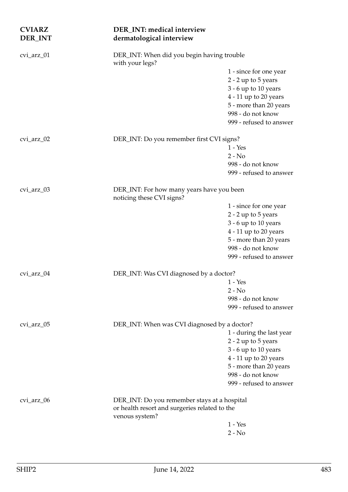| <b>CVIARZ</b><br>DER_INT | DER_INT: medical interview<br>dermatological interview                 |                                              |
|--------------------------|------------------------------------------------------------------------|----------------------------------------------|
| cvi_arz_01               | DER_INT: When did you begin having trouble<br>with your legs?          |                                              |
|                          |                                                                        | 1 - since for one year                       |
|                          |                                                                        | 2 - 2 up to 5 years                          |
|                          |                                                                        | 3 - 6 up to 10 years                         |
|                          |                                                                        | 4 - 11 up to 20 years                        |
|                          |                                                                        | 5 - more than 20 years                       |
|                          |                                                                        | 998 - do not know                            |
|                          |                                                                        | 999 - refused to answer                      |
| cvi_arz_02               | DER_INT: Do you remember first CVI signs?                              |                                              |
|                          |                                                                        | $1 - Yes$                                    |
|                          |                                                                        | $2 - No$                                     |
|                          |                                                                        | 998 - do not know                            |
|                          |                                                                        | 999 - refused to answer                      |
| cvi_arz_03               | DER_INT: For how many years have you been<br>noticing these CVI signs? |                                              |
|                          |                                                                        | 1 - since for one year                       |
|                          |                                                                        | 2 - 2 up to 5 years                          |
|                          |                                                                        | 3 - 6 up to 10 years                         |
|                          |                                                                        | $4 - 11$ up to 20 years                      |
|                          |                                                                        | 5 - more than 20 years                       |
|                          |                                                                        | 998 - do not know                            |
|                          |                                                                        | 999 - refused to answer                      |
| cvi_arz_04               | DER_INT: Was CVI diagnosed by a doctor?                                |                                              |
|                          |                                                                        | $1 - Yes$                                    |
|                          |                                                                        | $2 - No$                                     |
|                          |                                                                        | 998 - do not know<br>999 - refused to answer |
| cvi_arz_05               | DER_INT: When was CVI diagnosed by a doctor?                           |                                              |
|                          |                                                                        | 1 - during the last year                     |
|                          |                                                                        | 2 - 2 up to 5 years                          |
|                          |                                                                        | 3 - 6 up to 10 years                         |
|                          |                                                                        | $4 - 11$ up to 20 years                      |
|                          |                                                                        | 5 - more than 20 years                       |
|                          |                                                                        | 998 - do not know                            |
|                          |                                                                        | 999 - refused to answer                      |
| cvi_arz_06               | DER_INT: Do you remember stays at a hospital                           |                                              |
|                          | or health resort and surgeries related to the<br>venous system?        |                                              |
|                          |                                                                        | $1 - Yes$                                    |
|                          |                                                                        | $2 - No$                                     |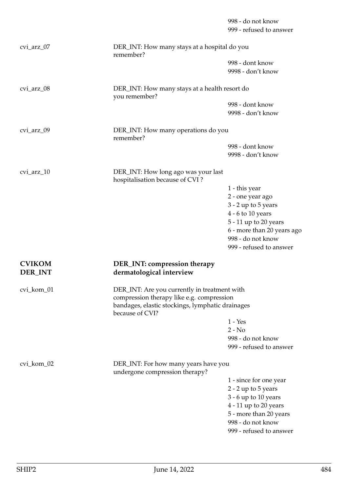999 - refused to answer cvi\_arz\_07 DER\_INT: How many stays at a hospital do you remember? 998 - dont know 9998 - don't know cvi\_arz\_08 DER\_INT: How many stays at a health resort do you remember? 998 - dont know 9998 - don't know cvi\_arz\_09 DER\_INT: How many operations do you remember? 998 - dont know 9998 - don't know cvi\_arz\_10 DER\_INT: How long ago was your last hospitalisation because of CVI ? 1 - this year 2 - one year ago 3 - 2 up to 5 years 4 - 6 to 10 years 5 - 11 up to 20 years 6 - more than 20 years ago 998 - do not know 999 - refused to answer **CVIKOM DER\_INT: compression therapy DER\_INT dermatological interview** cvi\_kom\_01 DER\_INT: Are you currently in treatment with compression therapy like e.g. compression bandages, elastic stockings, lymphatic drainages because of CVI? 1 - Yes  $2 - No$ 998 - do not know 999 - refused to answer cvi\_kom\_02 DER\_INT: For how many years have you undergone compression therapy? 1 - since for one year 2 - 2 up to 5 years 3 - 6 up to 10 years 4 - 11 up to 20 years 5 - more than 20 years 998 - do not know

999 - refused to answer

998 - do not know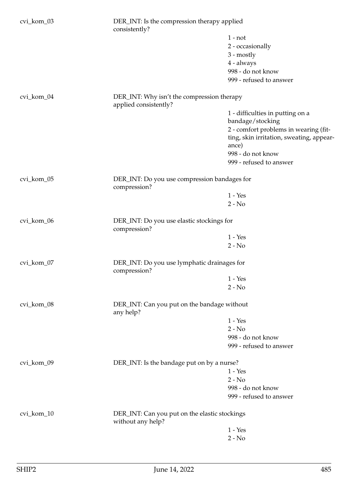| cvi_kom_03 | DER_INT: Is the compression therapy applied<br>consistently?        |                                          |
|------------|---------------------------------------------------------------------|------------------------------------------|
|            |                                                                     | $1 - not$                                |
|            |                                                                     | 2 - occasionally                         |
|            |                                                                     | $3 - mostly$                             |
|            |                                                                     | 4 - always                               |
|            |                                                                     | 998 - do not know                        |
|            |                                                                     | 999 - refused to answer                  |
| cvi_kom_04 | DER_INT: Why isn't the compression therapy<br>applied consistently? |                                          |
|            |                                                                     | 1 - difficulties in putting on a         |
|            |                                                                     | bandage/stocking                         |
|            |                                                                     | 2 - comfort problems in wearing (fit-    |
|            |                                                                     | ting, skin irritation, sweating, appear- |
|            |                                                                     | ance)                                    |
|            |                                                                     | 998 - do not know                        |
|            |                                                                     | 999 - refused to answer                  |
| cvi_kom_05 | DER_INT: Do you use compression bandages for<br>compression?        |                                          |
|            |                                                                     | $1 - Yes$                                |
|            |                                                                     | $2 - No$                                 |
| cvi_kom_06 | DER_INT: Do you use elastic stockings for<br>compression?           |                                          |
|            |                                                                     | $1 - Yes$                                |
|            |                                                                     | $2 - No$                                 |
| cvi_kom_07 | DER_INT: Do you use lymphatic drainages for<br>compression?         |                                          |
|            |                                                                     | $1 - Yes$                                |
|            |                                                                     | $2 - No$                                 |
| cvi_kom_08 | DER_INT: Can you put on the bandage without<br>any help?            |                                          |
|            |                                                                     | $1 - Yes$                                |
|            |                                                                     | $2 - No$                                 |
|            |                                                                     | 998 - do not know                        |
|            |                                                                     | 999 - refused to answer                  |
|            |                                                                     |                                          |
| cvi_kom_09 | DER_INT: Is the bandage put on by a nurse?                          |                                          |
|            |                                                                     | $1 - Yes$                                |
|            |                                                                     | $2 - No$                                 |
|            |                                                                     | 998 - do not know                        |
|            |                                                                     | 999 - refused to answer                  |
| cvi_kom_10 | DER_INT: Can you put on the elastic stockings<br>without any help?  |                                          |
|            |                                                                     | $1 - Yes$                                |
|            |                                                                     | $2 - No$                                 |
|            |                                                                     |                                          |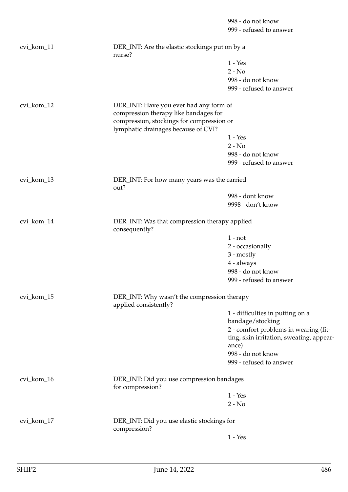998 - do not know 999 - refused to answer cvi\_kom\_11 DER\_INT: Are the elastic stockings put on by a nurse? 1 - Yes 2 - No 998 - do not know 999 - refused to answer cvi kom 12 DER INT: Have you ever had any form of compression therapy like bandages for compression, stockings for compression or lymphatic drainages because of CVI? 1 - Yes  $2 - No$ 998 - do not know 999 - refused to answer cvi\_kom\_13 DER\_INT: For how many years was the carried out? 998 - dont know 9998 - don't know cvi\_kom\_14 DER\_INT: Was that compression therapy applied consequently? 1 - not 2 - occasionally 3 - mostly 4 - always 998 - do not know 999 - refused to answer cvi\_kom\_15 DER\_INT: Why wasn't the compression therapy applied consistently? 1 - difficulties in putting on a bandage/stocking 2 - comfort problems in wearing (fitting, skin irritation, sweating, appearance) 998 - do not know 999 - refused to answer cvi\_kom\_16 DER\_INT: Did you use compression bandages for compression? 1 - Yes  $2 - No$ cvi\_kom\_17 DER\_INT: Did you use elastic stockings for compression? 1 - Yes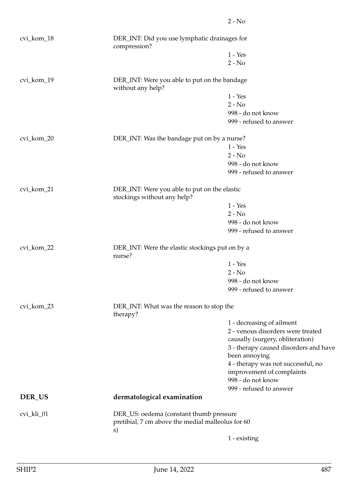|            |                                                                                              | $2 - No$                                                  |  |
|------------|----------------------------------------------------------------------------------------------|-----------------------------------------------------------|--|
| cvi_kom_18 | DER_INT: Did you use lymphatic drainages for<br>compression?                                 |                                                           |  |
|            |                                                                                              | $1 - Yes$                                                 |  |
|            |                                                                                              | $2 - No$                                                  |  |
| cvi_kom_19 | DER_INT: Were you able to put on the bandage<br>without any help?                            |                                                           |  |
|            |                                                                                              | $1 - Yes$                                                 |  |
|            |                                                                                              | $2 - No$                                                  |  |
|            |                                                                                              | 998 - do not know                                         |  |
|            |                                                                                              | 999 - refused to answer                                   |  |
| cvi_kom_20 | DER_INT: Was the bandage put on by a nurse?                                                  |                                                           |  |
|            |                                                                                              | $1 - Yes$                                                 |  |
|            |                                                                                              | $2 - No$                                                  |  |
|            |                                                                                              | 998 - do not know                                         |  |
|            |                                                                                              | 999 - refused to answer                                   |  |
| cvi_kom_21 | DER_INT: Were you able to put on the elastic<br>stockings without any help?                  |                                                           |  |
|            |                                                                                              | $1 - Yes$                                                 |  |
|            |                                                                                              | $2 - No$                                                  |  |
|            |                                                                                              | 998 - do not know                                         |  |
|            |                                                                                              | 999 - refused to answer                                   |  |
| cvi_kom_22 |                                                                                              | DER_INT: Were the elastic stockings put on by a<br>nurse? |  |
|            |                                                                                              | $1 - Yes$                                                 |  |
|            |                                                                                              | $2 - No$                                                  |  |
|            |                                                                                              | 998 - do not know                                         |  |
|            |                                                                                              | 999 - refused to answer                                   |  |
| cvi_kom_23 | DER_INT: What was the reason to stop the<br>therapy?                                         |                                                           |  |
|            |                                                                                              | 1 - decreasing of ailment                                 |  |
|            |                                                                                              | 2 - venous disorders were treated                         |  |
|            |                                                                                              | causally (surgery, obliteration)                          |  |
|            |                                                                                              | 3 - therapy caused disorders and have                     |  |
|            |                                                                                              | been annoying                                             |  |
|            |                                                                                              | 4 - therapy was not successful, no                        |  |
|            |                                                                                              | improvement of complaints                                 |  |
|            |                                                                                              | 998 - do not know                                         |  |
|            |                                                                                              | 999 - refused to answer                                   |  |
| DER_US     | dermatological examination                                                                   |                                                           |  |
|            |                                                                                              |                                                           |  |
| cvi_kli_01 | DER_US: oedema (constant thumb pressure<br>pretibial, 7 cm above the medial malleolus for 60 |                                                           |  |
|            | s)                                                                                           |                                                           |  |
|            |                                                                                              | 1 - existing                                              |  |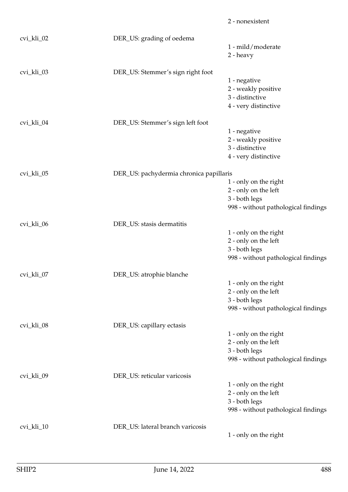|            |                                         | 2 - nonexistent                     |
|------------|-----------------------------------------|-------------------------------------|
| cvi_kli_02 | DER_US: grading of oedema               |                                     |
|            |                                         | 1 - mild/moderate                   |
|            |                                         | 2 - heavy                           |
| cvi_kli_03 | DER_US: Stemmer's sign right foot       |                                     |
|            |                                         | 1 - negative                        |
|            |                                         | 2 - weakly positive                 |
|            |                                         | 3 - distinctive                     |
|            |                                         | 4 - very distinctive                |
| cvi_kli_04 | DER_US: Stemmer's sign left foot        |                                     |
|            |                                         | 1 - negative                        |
|            |                                         | 2 - weakly positive                 |
|            |                                         | 3 - distinctive                     |
|            |                                         | 4 - very distinctive                |
| cvi_kli_05 | DER_US: pachydermia chronica papillaris |                                     |
|            |                                         | 1 - only on the right               |
|            |                                         | 2 - only on the left                |
|            |                                         | 3 - both legs                       |
|            |                                         | 998 - without pathological findings |
| cvi_kli_06 | DER_US: stasis dermatitis               |                                     |
|            |                                         | 1 - only on the right               |
|            |                                         | 2 - only on the left                |
|            |                                         | 3 - both legs                       |
|            |                                         | 998 - without pathological findings |
| cvi_kli_07 | DER_US: atrophie blanche                |                                     |
|            |                                         | 1 - only on the right               |
|            |                                         | 2 - only on the left                |
|            |                                         | 3 - both legs                       |
|            |                                         | 998 - without pathological findings |
| cvi_kli_08 | DER_US: capillary ectasis               |                                     |
|            |                                         | 1 - only on the right               |
|            |                                         | 2 - only on the left                |
|            |                                         | 3 - both legs                       |
|            |                                         | 998 - without pathological findings |
| cvi_kli_09 | DER_US: reticular varicosis             |                                     |
|            |                                         | 1 - only on the right               |
|            |                                         | 2 - only on the left                |
|            |                                         | 3 - both legs                       |
|            |                                         | 998 - without pathological findings |
| cvi_kli_10 | DER_US: lateral branch varicosis        |                                     |
|            |                                         | 1 - only on the right               |
|            |                                         |                                     |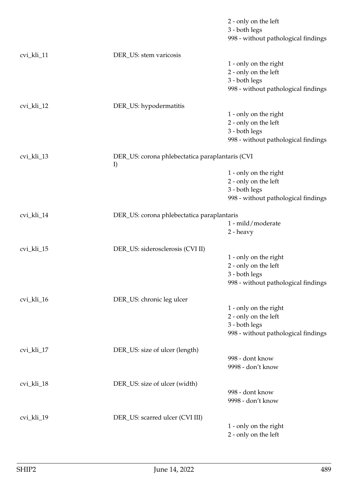|            |                                                       | 2 - only on the left<br>3 - both legs<br>998 - without pathological findings                          |
|------------|-------------------------------------------------------|-------------------------------------------------------------------------------------------------------|
| cvi_kli_11 | DER_US: stem varicosis                                | 1 - only on the right<br>2 - only on the left<br>3 - both legs<br>998 - without pathological findings |
| cvi_kli_12 | DER_US: hypodermatitis                                | 1 - only on the right<br>2 - only on the left<br>3 - both legs<br>998 - without pathological findings |
| cvi_kli_13 | DER_US: corona phlebectatica paraplantaris (CVI<br>I) | 1 - only on the right<br>2 - only on the left<br>3 - both legs<br>998 - without pathological findings |
| cvi_kli_14 | DER_US: corona phlebectatica paraplantaris            | 1 - mild/moderate<br>2 - heavy                                                                        |
| cvi_kli_15 | DER_US: siderosclerosis (CVI II)                      | 1 - only on the right<br>2 - only on the left<br>3 - both legs<br>998 - without pathological findings |
| cvi_kli_16 | DER_US: chronic leg ulcer                             | 1 - only on the right<br>2 - only on the left<br>3 - both legs<br>998 - without pathological findings |
| cvi_kli_17 | DER_US: size of ulcer (length)                        | 998 - dont know<br>9998 - don't know                                                                  |
| cvi_kli_18 | DER_US: size of ulcer (width)                         | 998 - dont know<br>9998 - don't know                                                                  |
| cvi_kli_19 | DER_US: scarred ulcer (CVI III)                       | 1 - only on the right<br>2 - only on the left                                                         |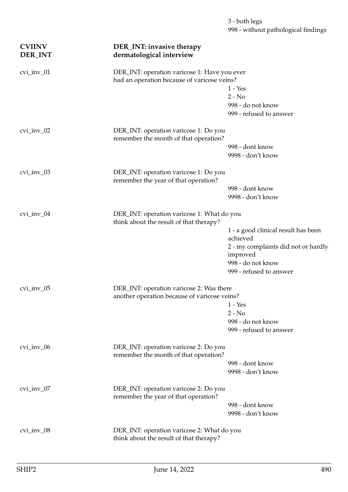| <b>CVIINV</b><br><b>DER_INT</b> | DER_INT: invasive therapy<br>dermatological interview                                       |                                                 |
|---------------------------------|---------------------------------------------------------------------------------------------|-------------------------------------------------|
| cvi_inv_01                      | DER_INT: operation varicose 1: Have you ever<br>had an operation because of varicose veins? |                                                 |
|                                 |                                                                                             | $1 - Yes$                                       |
|                                 |                                                                                             | $2 - No$                                        |
|                                 |                                                                                             | 998 - do not know                               |
|                                 |                                                                                             | 999 - refused to answer                         |
| $cvi$ _inv_02                   | DER_INT: operation varicose 1: Do you<br>remember the month of that operation?              |                                                 |
|                                 |                                                                                             | 998 - dont know                                 |
|                                 |                                                                                             | 9998 - don't know                               |
| $cvi$ _inv_03                   | DER_INT: operation varicose 1: Do you<br>remember the year of that operation?               |                                                 |
|                                 |                                                                                             | 998 - dont know                                 |
|                                 |                                                                                             | 9998 - don't know                               |
| $cvi$ _inv_04                   | DER_INT: operation varicose 1: What do you<br>think about the result of that therapy?       |                                                 |
|                                 |                                                                                             | 1 - a good clinical result has been<br>achieved |
|                                 |                                                                                             | 2 - my complaints did not or hardly<br>improved |
|                                 |                                                                                             | 998 - do not know                               |
|                                 |                                                                                             | 999 - refused to answer                         |
| $cvi$ _inv_05                   | DER_INT: operation varicose 2: Was there                                                    |                                                 |
|                                 | another operation because of varicose veins?                                                |                                                 |
|                                 |                                                                                             | 1 - Yes                                         |
|                                 |                                                                                             | $2 - No$                                        |
|                                 |                                                                                             | 998 - do not know                               |
|                                 |                                                                                             | 999 - refused to answer                         |
| $cvi$ _inv_06                   | DER_INT: operation varicose 2: Do you<br>remember the month of that operation?              |                                                 |
|                                 |                                                                                             | 998 - dont know                                 |
|                                 |                                                                                             | 9998 - don't know                               |
| $cvi$ _inv_07                   | DER_INT: operation varicose 2: Do you<br>remember the year of that operation?               |                                                 |
|                                 |                                                                                             | 998 - dont know                                 |
|                                 |                                                                                             | 9998 - don't know                               |
| $cvi$ _inv_08                   | DER_INT: operation varicose 2: What do you<br>think about the result of that therapy?       |                                                 |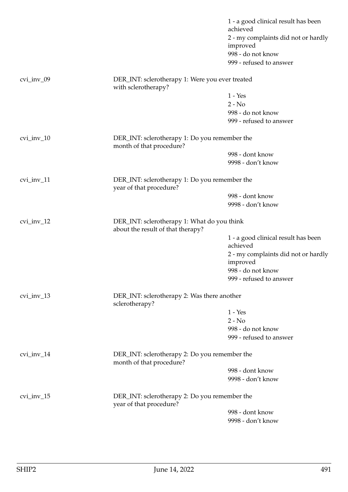|                  |                                                                                  | 1 - a good clinical result has been<br>achieved |
|------------------|----------------------------------------------------------------------------------|-------------------------------------------------|
|                  |                                                                                  | 2 - my complaints did not or hardly             |
|                  |                                                                                  | improved                                        |
|                  |                                                                                  | 998 - do not know                               |
|                  |                                                                                  | 999 - refused to answer                         |
| $cvi$ _inv_09    | DER_INT: sclerotherapy 1: Were you ever treated<br>with sclerotherapy?           |                                                 |
|                  |                                                                                  | $1 - Yes$                                       |
|                  |                                                                                  | $2 - No$                                        |
|                  |                                                                                  | 998 - do not know                               |
|                  |                                                                                  | 999 - refused to answer                         |
| $cvi$ _inv_ $10$ | DER_INT: sclerotherapy 1: Do you remember the<br>month of that procedure?        |                                                 |
|                  |                                                                                  | 998 - dont know                                 |
|                  |                                                                                  | 9998 - don't know                               |
| $cvi$ _inv_11    | DER_INT: sclerotherapy 1: Do you remember the<br>year of that procedure?         |                                                 |
|                  |                                                                                  | 998 - dont know                                 |
|                  |                                                                                  | 9998 - don't know                               |
| $cvi$ _inv_12    | DER_INT: sclerotherapy 1: What do you think<br>about the result of that therapy? |                                                 |
|                  |                                                                                  | 1 - a good clinical result has been<br>achieved |
|                  |                                                                                  | 2 - my complaints did not or hardly             |
|                  |                                                                                  | improved                                        |
|                  |                                                                                  | 998 - do not know                               |
|                  |                                                                                  | 999 - refused to answer                         |
| cvi_inv_13       | DER_INT: sclerotherapy 2: Was there another<br>sclerotherapy?                    |                                                 |
|                  |                                                                                  | $1 - Yes$                                       |
|                  |                                                                                  | $2 - No$                                        |
|                  |                                                                                  | 998 - do not know                               |
|                  |                                                                                  | 999 - refused to answer                         |
| $cvi$ _inv_14    | DER_INT: sclerotherapy 2: Do you remember the<br>month of that procedure?        |                                                 |
|                  |                                                                                  | 998 - dont know                                 |
|                  |                                                                                  | 9998 - don't know                               |
| $cvi$ _inv_15    | DER_INT: sclerotherapy 2: Do you remember the<br>year of that procedure?         |                                                 |
|                  |                                                                                  | 998 - dont know                                 |
|                  |                                                                                  | 9998 - don't know                               |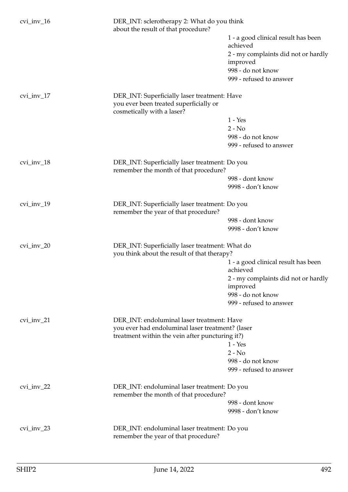| $cvi$ _inv_16 | DER_INT: sclerotherapy 2: What do you think<br>about the result of that procedure?      |                                                 |
|---------------|-----------------------------------------------------------------------------------------|-------------------------------------------------|
|               |                                                                                         | 1 - a good clinical result has been<br>achieved |
|               |                                                                                         | 2 - my complaints did not or hardly             |
|               |                                                                                         | improved                                        |
|               |                                                                                         | 998 - do not know                               |
|               |                                                                                         | 999 - refused to answer                         |
| $cvi$ _inv_17 | DER_INT: Superficially laser treatment: Have                                            |                                                 |
|               | you ever been treated superficially or<br>cosmetically with a laser?                    |                                                 |
|               |                                                                                         | $1 - Yes$                                       |
|               |                                                                                         | $2 - No$                                        |
|               |                                                                                         | 998 - do not know                               |
|               |                                                                                         | 999 - refused to answer                         |
| cvi_inv_18    | DER_INT: Superficially laser treatment: Do you<br>remember the month of that procedure? |                                                 |
|               |                                                                                         | 998 - dont know                                 |
|               |                                                                                         | 9998 - don't know                               |
| $cvi$ _inv_19 | DER_INT: Superficially laser treatment: Do you<br>remember the year of that procedure?  |                                                 |
|               |                                                                                         | 998 - dont know                                 |
|               |                                                                                         | 9998 - don't know                               |
| $cvi$ _inv_20 | DER_INT: Superficially laser treatment: What do                                         |                                                 |
|               | you think about the result of that therapy?                                             |                                                 |
|               |                                                                                         | 1 - a good clinical result has been<br>achieved |
|               |                                                                                         | 2 - my complaints did not or hardly             |
|               |                                                                                         | improved                                        |
|               |                                                                                         | 998 - do not know                               |
|               |                                                                                         | 999 - refused to answer                         |
| $cvi$ _inv_21 | DER_INT: endoluminal laser treatment: Have                                              |                                                 |
|               | you ever had endoluminal laser treatment? (laser                                        |                                                 |
|               | treatment within the vein after puncturing it?)                                         |                                                 |
|               |                                                                                         | $1 - Yes$                                       |
|               |                                                                                         | $2 - No$                                        |
|               |                                                                                         | 998 - do not know                               |
|               |                                                                                         | 999 - refused to answer                         |
| $cvi$ _inv_22 | DER_INT: endoluminal laser treatment: Do you<br>remember the month of that procedure?   |                                                 |
|               |                                                                                         | 998 - dont know                                 |
|               |                                                                                         | 9998 - don't know                               |
|               |                                                                                         |                                                 |
| $cvi$ _inv_23 | DER_INT: endoluminal laser treatment: Do you<br>remember the year of that procedure?    |                                                 |
|               |                                                                                         |                                                 |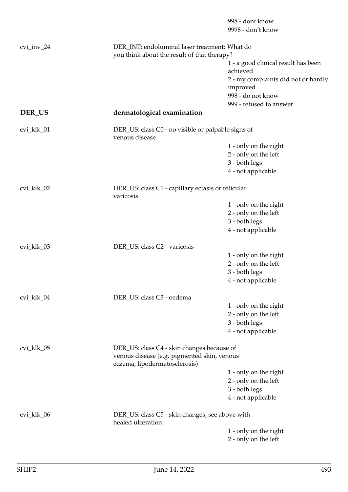|               |                                                                                              | 998 - dont know<br>9998 - don't know                                                      |  |
|---------------|----------------------------------------------------------------------------------------------|-------------------------------------------------------------------------------------------|--|
| $cvi$ _inv_24 | DER_INT: endoluminal laser treatment: What do<br>you think about the result of that therapy? |                                                                                           |  |
|               |                                                                                              | 1 - a good clinical result has been<br>achieved                                           |  |
|               |                                                                                              | 2 - my complaints did not or hardly<br>improved<br>998 - do not know                      |  |
|               |                                                                                              | 999 - refused to answer                                                                   |  |
| DER_US        | dermatological examination                                                                   |                                                                                           |  |
| cvi_klk_01    | DER_US: class C0 - no visible or palpable signs of<br>venous disease                         |                                                                                           |  |
|               |                                                                                              | 1 - only on the right                                                                     |  |
|               |                                                                                              | 2 - only on the left                                                                      |  |
|               |                                                                                              | 3 - both legs                                                                             |  |
|               |                                                                                              | 4 - not applicable                                                                        |  |
| cvi_klk_02    | DER_US: class C1 - capillary ectasis or reticular<br>varicosis                               |                                                                                           |  |
|               |                                                                                              | 1 - only on the right                                                                     |  |
|               |                                                                                              | 2 - only on the left                                                                      |  |
|               |                                                                                              | 3 - both legs                                                                             |  |
|               |                                                                                              | 4 - not applicable                                                                        |  |
| cvi_klk_03    | DER_US: class C2 - varicosis                                                                 |                                                                                           |  |
|               |                                                                                              | 1 - only on the right                                                                     |  |
|               |                                                                                              | 2 - only on the left                                                                      |  |
|               |                                                                                              | 3 - both legs                                                                             |  |
|               |                                                                                              | 4 - not applicable                                                                        |  |
| cvi_klk_04    | DER_US: class C3 - oedema                                                                    |                                                                                           |  |
|               |                                                                                              | 1 - only on the right                                                                     |  |
|               |                                                                                              | 2 - only on the left                                                                      |  |
|               |                                                                                              | 3 - both legs                                                                             |  |
|               |                                                                                              | 4 - not applicable                                                                        |  |
| cvi_klk_05    |                                                                                              | DER_US: class C4 - skin changes because of<br>venous disease (e.g. pigmented skin, venous |  |
|               | eczema, lipodermatosclerosis)                                                                |                                                                                           |  |
|               |                                                                                              | 1 - only on the right                                                                     |  |
|               |                                                                                              | 2 - only on the left                                                                      |  |
|               |                                                                                              | 3 - both legs                                                                             |  |
|               |                                                                                              | 4 - not applicable                                                                        |  |
| cvi_klk_06    | DER_US: class C5 - skin changes, see above with<br>healed ulceration                         |                                                                                           |  |
|               |                                                                                              | 1 - only on the right                                                                     |  |
|               |                                                                                              | 2 - only on the left                                                                      |  |
|               |                                                                                              |                                                                                           |  |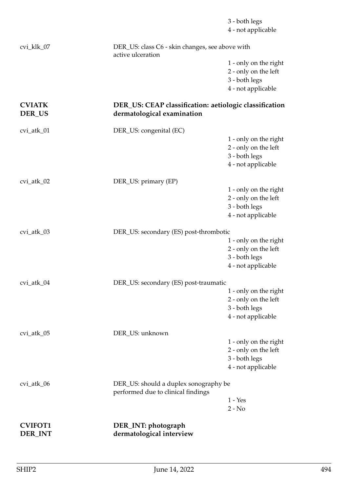| <b>CVIFOT1</b><br>DER_INT | DER_INT: photograph<br>dermatological interview                                      |                                                                                      |
|---------------------------|--------------------------------------------------------------------------------------|--------------------------------------------------------------------------------------|
|                           |                                                                                      | $2 - No$                                                                             |
|                           | performed due to clinical findings                                                   | $1 - Yes$                                                                            |
| cvi_atk_06                | DER_US: should a duplex sonography be                                                | 2 - only on the left<br>3 - both legs<br>4 - not applicable                          |
| cvi_atk_05                | DER_US: unknown                                                                      | 1 - only on the right                                                                |
|                           |                                                                                      | 1 - only on the right<br>2 - only on the left<br>3 - both legs<br>4 - not applicable |
| cvi_atk_04                | DER_US: secondary (ES) post-traumatic                                                |                                                                                      |
| cvi_atk_03                | DER_US: secondary (ES) post-thrombotic                                               | 1 - only on the right<br>2 - only on the left<br>3 - both legs<br>4 - not applicable |
|                           |                                                                                      | 4 - not applicable                                                                   |
|                           |                                                                                      | 1 - only on the right<br>2 - only on the left<br>3 - both legs                       |
| cvi_atk_02                | DER_US: primary (EP)                                                                 |                                                                                      |
| cvi_atk_01                | DER_US: congenital (EC)                                                              | 1 - only on the right<br>2 - only on the left<br>3 - both legs<br>4 - not applicable |
| DER_US                    | DER_US: CEAP classification: aetiologic classification<br>dermatological examination |                                                                                      |
| <b>CVIATK</b>             |                                                                                      | 2 - only on the left<br>3 - both legs<br>4 - not applicable                          |
| cvi_klk_07                | DER_US: class C6 - skin changes, see above with<br>active ulceration                 | 1 - only on the right                                                                |
|                           |                                                                                      | 3 - both legs<br>4 - not applicable                                                  |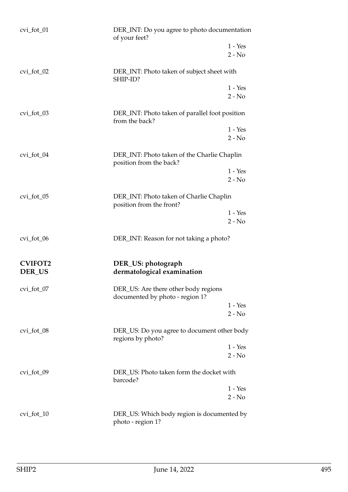| $cvi_fot_01$                    | DER_INT: Do you agree to photo documentation<br>of your feet?           |  |  |
|---------------------------------|-------------------------------------------------------------------------|--|--|
|                                 | $1 - Yes$<br>$2 - No$                                                   |  |  |
| $cvi_fot_02$                    | DER_INT: Photo taken of subject sheet with<br>SHIP-ID?                  |  |  |
|                                 | $1 - Yes$<br>$2 - No$                                                   |  |  |
| $cvi_fot_03$                    | DER_INT: Photo taken of parallel foot position<br>from the back?        |  |  |
|                                 | $1 - Yes$<br>$2 - No$                                                   |  |  |
| cvi_fot_04                      | DER_INT: Photo taken of the Charlie Chaplin<br>position from the back?  |  |  |
|                                 | $1 - Yes$<br>$2 - No$                                                   |  |  |
| $cvi_fot_05$                    | DER_INT: Photo taken of Charlie Chaplin<br>position from the front?     |  |  |
|                                 | $1 - Yes$<br>$2 - No$                                                   |  |  |
| $cvi_fot_0$                     | DER_INT: Reason for not taking a photo?                                 |  |  |
| <b>CVIFOT2</b><br><b>DER_US</b> | DER_US: photograph<br>dermatological examination                        |  |  |
| cvi_fot_07                      | DER_US: Are there other body regions<br>documented by photo - region 1? |  |  |
|                                 | $1 - Yes$<br>$2 - No$                                                   |  |  |
| $cvi_fot_08$                    | DER_US: Do you agree to document other body<br>regions by photo?        |  |  |
|                                 | $1 - Yes$<br>$2 - No$                                                   |  |  |
| cvi_fot_09                      | DER_US: Photo taken form the docket with<br>barcode?                    |  |  |
|                                 | $1 - Yes$<br>$2 - No$                                                   |  |  |
| $cvi_fot_10$                    | DER_US: Which body region is documented by<br>photo - region 1?         |  |  |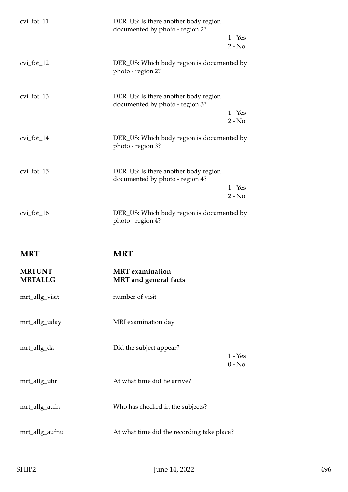| $cvi_fot_11$   | DER_US: Is there another body region<br>documented by photo - region 2? | $1 - Yes$             |
|----------------|-------------------------------------------------------------------------|-----------------------|
|                |                                                                         | $2 - No$              |
| cvi_fot_12     | DER_US: Which body region is documented by<br>photo - region 2?         |                       |
| $cvi_fot_13$   | DER_US: Is there another body region<br>documented by photo - region 3? |                       |
|                |                                                                         | $1 - Yes$<br>$2 - No$ |
| $cvi_fot_14$   | DER_US: Which body region is documented by<br>photo - region 3?         |                       |
| $cvi_fot_15$   | DER_US: Is there another body region<br>documented by photo - region 4? |                       |
|                |                                                                         | $1 - Yes$<br>$2 - No$ |
| $cvi_fot_16$   | DER_US: Which body region is documented by<br>photo - region 4?         |                       |
| <b>MRT</b>     | <b>MRT</b>                                                              |                       |
| <b>MRTUNT</b>  | <b>MRT</b> examination                                                  |                       |
| <b>MRTALLG</b> | <b>MRT</b> and general facts                                            |                       |
| mrt_allg_visit | number of visit                                                         |                       |
| mrt_allg_uday  | MRI examination day                                                     |                       |
| mrt_allg_da    | Did the subject appear?                                                 |                       |
|                |                                                                         | $1 - Yes$<br>$0 - No$ |
| mrt_allg_uhr   | At what time did he arrive?                                             |                       |
| mrt_allg_aufn  | Who has checked in the subjects?                                        |                       |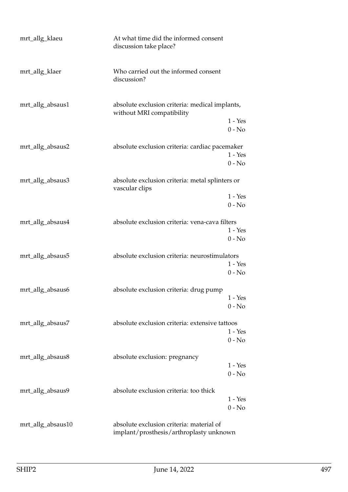| mrt_allg_klaeu    | At what time did the informed consent<br>discussion take place?             |                       |
|-------------------|-----------------------------------------------------------------------------|-----------------------|
| mrt_allg_klaer    | Who carried out the informed consent<br>discussion?                         |                       |
| mrt_allg_absaus1  | absolute exclusion criteria: medical implants,<br>without MRI compatibility |                       |
|                   |                                                                             | $1 - Yes$<br>$0 - No$ |
| mrt_allg_absaus2  | absolute exclusion criteria: cardiac pacemaker                              |                       |
|                   |                                                                             | $1 - Yes$             |
|                   |                                                                             | $0 - No$              |
| mrt_allg_absaus3  | absolute exclusion criteria: metal splinters or<br>vascular clips           |                       |
|                   |                                                                             | $1 - Yes$             |
|                   |                                                                             | $0 - No$              |
| mrt_allg_absaus4  | absolute exclusion criteria: vena-cava filters                              |                       |
|                   |                                                                             | $1 - Yes$             |
|                   |                                                                             | $0 - No$              |
| mrt_allg_absaus5  | absolute exclusion criteria: neurostimulators                               |                       |
|                   |                                                                             | $1 - Yes$             |
|                   |                                                                             | $0 - No$              |
| mrt_allg_absaus6  | absolute exclusion criteria: drug pump                                      |                       |
|                   |                                                                             | $1 - Yes$             |
|                   |                                                                             | $0 - No$              |
| mrt_allg_absaus7  | absolute exclusion criteria: extensive tattoos                              |                       |
|                   |                                                                             | $1 - Yes$             |
|                   |                                                                             | $0 - No$              |
| mrt_allg_absaus8  | absolute exclusion: pregnancy                                               |                       |
|                   |                                                                             | $1 - Yes$             |
|                   |                                                                             | $0 - No$              |
| mrt_allg_absaus9  | absolute exclusion criteria: too thick                                      |                       |
|                   |                                                                             | $1 - Yes$             |
|                   |                                                                             | $0 - No$              |
| mrt_allg_absaus10 | absolute exclusion criteria: material of                                    |                       |

implant/prosthesis/arthroplasty unknown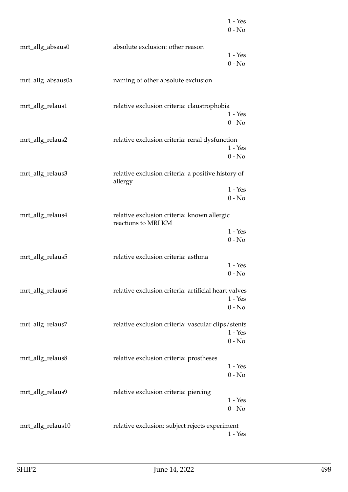|                   |                                                                    | $1 - Yes$<br>$0 - No$             |
|-------------------|--------------------------------------------------------------------|-----------------------------------|
| mrt_allg_absaus0  | absolute exclusion: other reason                                   | $1 - Yes$<br>$0 - No$             |
| mrt_allg_absaus0a | naming of other absolute exclusion                                 |                                   |
| mrt_allg_relaus1  | relative exclusion criteria: claustrophobia                        | $1 - Yes$                         |
| mrt_allg_relaus2  | relative exclusion criteria: renal dysfunction                     | $0 - No$<br>$1 - Yes$<br>$0 - No$ |
| mrt_allg_relaus3  | relative exclusion criteria: a positive history of<br>allergy      |                                   |
|                   |                                                                    | $1 - Yes$<br>$0 - No$             |
| mrt_allg_relaus4  | relative exclusion criteria: known allergic<br>reactions to MRI KM | $1 - Yes$                         |
| mrt_allg_relaus5  | relative exclusion criteria: asthma                                | $0 - No$<br>$1 - Yes$<br>$0 - No$ |
| mrt_allg_relaus6  | relative exclusion criteria: artificial heart valves               | $1 - Yes$<br>$0 - No$             |
| mrt_allg_relaus7  | relative exclusion criteria: vascular clips/stents                 | $1 - Yes$<br>$0 - No$             |
| mrt_allg_relaus8  | relative exclusion criteria: prostheses                            | $1 - Yes$<br>$0 - No$             |
| mrt_allg_relaus9  | relative exclusion criteria: piercing                              | $1 - Yes$<br>$0 - No$             |
| mrt_allg_relaus10 | relative exclusion: subject rejects experiment                     | $1 - Yes$                         |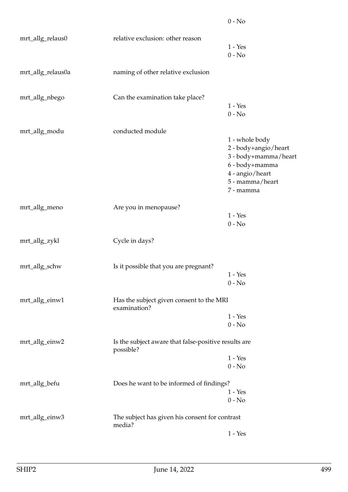|                   |                                                                   | $0 - No$                          |
|-------------------|-------------------------------------------------------------------|-----------------------------------|
| mrt_allg_relaus0  | relative exclusion: other reason                                  |                                   |
|                   |                                                                   | $1 - Yes$                         |
|                   |                                                                   | $0 - No$                          |
| mrt_allg_relaus0a | naming of other relative exclusion                                |                                   |
| mrt_allg_nbego    | Can the examination take place?                                   |                                   |
|                   |                                                                   | $1 - Yes$                         |
|                   |                                                                   | $0 - No$                          |
| mrt_allg_modu     | conducted module                                                  |                                   |
|                   |                                                                   | 1 - whole body                    |
|                   |                                                                   | 2 - body+angio/heart              |
|                   |                                                                   | 3 - body+mamma/heart              |
|                   |                                                                   | 6 - body+mamma<br>4 - angio/heart |
|                   |                                                                   | 5 - mamma/heart                   |
|                   |                                                                   | 7 - mamma                         |
| mrt_allg_meno     | Are you in menopause?                                             |                                   |
|                   |                                                                   | $1 - Yes$                         |
|                   |                                                                   | $0 - No$                          |
| mrt_allg_zykl     | Cycle in days?                                                    |                                   |
| mrt_allg_schw     | Is it possible that you are pregnant?                             |                                   |
|                   |                                                                   | $1 - Yes$                         |
|                   |                                                                   | $0 - No$                          |
| mrt_allg_einw1    | Has the subject given consent to the MRI<br>examination?          |                                   |
|                   |                                                                   | $1 - Yes$                         |
|                   |                                                                   | $0 - No$                          |
| mrt_allg_einw2    | Is the subject aware that false-positive results are<br>possible? |                                   |
|                   |                                                                   | $1 - Yes$                         |
|                   |                                                                   | $0 - No$                          |
| mrt_allg_befu     | Does he want to be informed of findings?                          |                                   |
|                   |                                                                   | $1 - Yes$                         |
|                   |                                                                   | $0 - No$                          |
| mrt_allg_einw3    | The subject has given his consent for contrast<br>media?          |                                   |
|                   |                                                                   | $1 - Yes$                         |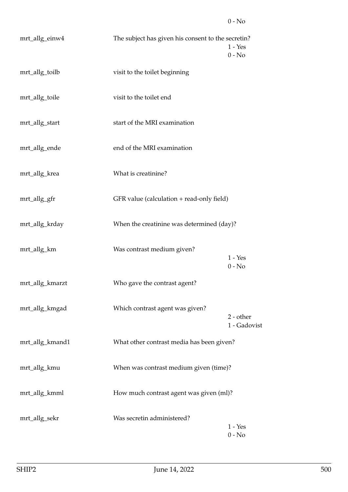| mrt_allg_einw4  | The subject has given his consent to the secretin? | $1 - Yes$<br>$0 - No$     |
|-----------------|----------------------------------------------------|---------------------------|
| mrt_allg_toilb  | visit to the toilet beginning                      |                           |
| mrt_allg_toile  | visit to the toilet end                            |                           |
| mrt_allg_start  | start of the MRI examination                       |                           |
| mrt_allg_ende   | end of the MRI examination                         |                           |
| mrt_allg_krea   | What is creatinine?                                |                           |
| mrt_allg_gfr    | GFR value (calculation + read-only field)          |                           |
| mrt_allg_krday  | When the creatinine was determined (day)?          |                           |
| mrt_allg_km     | Was contrast medium given?                         | $1 - Yes$<br>$0 - No$     |
| mrt_allg_kmarzt | Who gave the contrast agent?                       |                           |
| mrt_allg_kmgad  | Which contrast agent was given?                    | 2 - other<br>1 - Gadovist |
| mrt_allg_kmand1 | What other contrast media has been given?          |                           |
| mrt_allg_kmu    | When was contrast medium given (time)?             |                           |
| mrt_allg_kmml   | How much contrast agent was given (ml)?            |                           |
| mrt_allg_sekr   | Was secretin administered?                         | $1 - Yes$<br>$0 - No$     |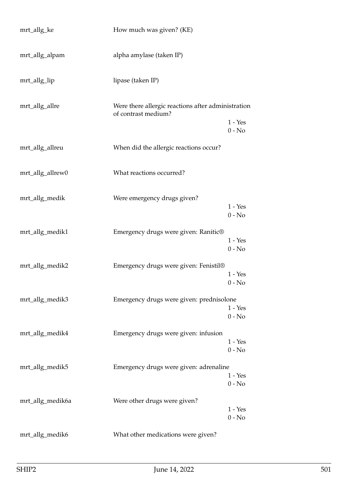| mrt_allg_ke      | How much was given? (KE)                                                  |                       |
|------------------|---------------------------------------------------------------------------|-----------------------|
| mrt_allg_alpam   | alpha amylase (taken IP)                                                  |                       |
| mrt_allg_lip     | lipase (taken IP)                                                         |                       |
| mrt_allg_allre   | Were there allergic reactions after administration<br>of contrast medium? | $1 - Yes$             |
|                  |                                                                           | $0 - No$              |
| mrt_allg_allreu  | When did the allergic reactions occur?                                    |                       |
| mrt_allg_allrew0 | What reactions occurred?                                                  |                       |
| mrt_allg_medik   | Were emergency drugs given?                                               |                       |
|                  |                                                                           | $1 - Yes$<br>$0 - No$ |
| mrt_allg_medik1  | Emergency drugs were given: Ranitic®                                      | $1 - Yes$             |
|                  |                                                                           | $0 - No$              |
| mrt_allg_medik2  | Emergency drugs were given: Fenistil®                                     | $1 - Yes$             |
|                  |                                                                           | $0 - No$              |
| mrt_allg_medik3  | Emergency drugs were given: prednisolone                                  | $1 - Yes$             |
|                  |                                                                           | $0 - No$              |
| mrt_allg_medik4  | Emergency drugs were given: infusion                                      | $1 - Yes$             |
|                  |                                                                           | $0 - No$              |
| mrt_allg_medik5  | Emergency drugs were given: adrenaline                                    | $1 - Yes$             |
|                  |                                                                           | $0 - No$              |
| mrt_allg_medik6a | Were other drugs were given?                                              | $1 - Yes$             |
|                  |                                                                           | $0 - No$              |
| mrt_allg_medik6  | What other medications were given?                                        |                       |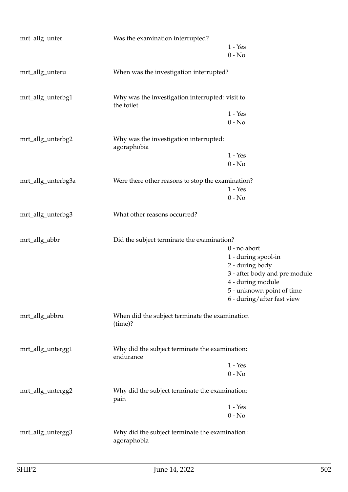| Was the examination interrupted?                               |                                                                                                                                                           |  |
|----------------------------------------------------------------|-----------------------------------------------------------------------------------------------------------------------------------------------------------|--|
|                                                                | $1 - Yes$                                                                                                                                                 |  |
|                                                                | $0 - No$                                                                                                                                                  |  |
| When was the investigation interrupted?                        |                                                                                                                                                           |  |
| Why was the investigation interrupted: visit to<br>the toilet  |                                                                                                                                                           |  |
|                                                                | $1 - Yes$                                                                                                                                                 |  |
|                                                                | $0 - No$                                                                                                                                                  |  |
| Why was the investigation interrupted:<br>agoraphobia          |                                                                                                                                                           |  |
|                                                                | $1 - Yes$                                                                                                                                                 |  |
|                                                                | $0 - No$                                                                                                                                                  |  |
|                                                                |                                                                                                                                                           |  |
|                                                                | $1 - Yes$                                                                                                                                                 |  |
|                                                                | $0 - No$                                                                                                                                                  |  |
| What other reasons occurred?                                   |                                                                                                                                                           |  |
|                                                                |                                                                                                                                                           |  |
|                                                                | $0$ - no abort                                                                                                                                            |  |
|                                                                | 1 - during spool-in                                                                                                                                       |  |
|                                                                | 2 - during body                                                                                                                                           |  |
|                                                                | 3 - after body and pre module                                                                                                                             |  |
|                                                                | 4 - during module                                                                                                                                         |  |
|                                                                | 5 - unknown point of time                                                                                                                                 |  |
|                                                                | 6 - during/after fast view                                                                                                                                |  |
| When did the subject terminate the examination<br>(time)?      |                                                                                                                                                           |  |
|                                                                |                                                                                                                                                           |  |
| endurance                                                      |                                                                                                                                                           |  |
|                                                                | $1 - Yes$                                                                                                                                                 |  |
|                                                                | $0 - No$                                                                                                                                                  |  |
| Why did the subject terminate the examination:                 |                                                                                                                                                           |  |
|                                                                | $1 - Yes$                                                                                                                                                 |  |
|                                                                | $0 - No$                                                                                                                                                  |  |
| Why did the subject terminate the examination :<br>agoraphobia |                                                                                                                                                           |  |
|                                                                | Were there other reasons to stop the examination?<br>Did the subject terminate the examination?<br>Why did the subject terminate the examination:<br>pain |  |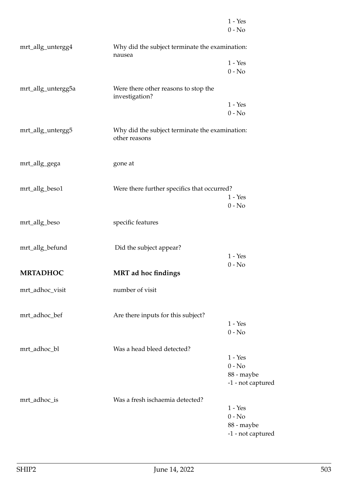|                    |                                                                 | $1 - Yes$<br>$0 - No$           |
|--------------------|-----------------------------------------------------------------|---------------------------------|
| mrt_allg_untergg4  | Why did the subject terminate the examination:<br>nausea        |                                 |
|                    |                                                                 | $1 - Yes$                       |
|                    |                                                                 | $0 - No$                        |
| mrt_allg_untergg5a | Were there other reasons to stop the<br>investigation?          |                                 |
|                    |                                                                 | $1 - Yes$                       |
|                    |                                                                 | $0 - No$                        |
| mrt_allg_untergg5  | Why did the subject terminate the examination:<br>other reasons |                                 |
| mrt_allg_gega      | gone at                                                         |                                 |
| mrt_allg_beso1     | Were there further specifics that occurred?                     |                                 |
|                    |                                                                 | $1 - Yes$                       |
|                    |                                                                 | $0 - No$                        |
| mrt_allg_beso      | specific features                                               |                                 |
| mrt_allg_befund    | Did the subject appear?                                         |                                 |
|                    |                                                                 | $1 - Yes$                       |
| <b>MRTADHOC</b>    | <b>MRT</b> ad hoc findings                                      | $0 - No$                        |
|                    |                                                                 |                                 |
| mrt_adhoc_visit    | number of visit                                                 |                                 |
|                    |                                                                 |                                 |
| mrt_adhoc_bef      | Are there inputs for this subject?                              |                                 |
|                    |                                                                 | $1 - Yes$<br>$0 - No$           |
|                    |                                                                 |                                 |
| mrt_adhoc_bl       | Was a head bleed detected?                                      |                                 |
|                    |                                                                 | $1 - Yes$                       |
|                    |                                                                 | $0 - No$                        |
|                    |                                                                 | 88 - maybe<br>-1 - not captured |
|                    |                                                                 |                                 |
| mrt_adhoc_is       | Was a fresh ischaemia detected?                                 | $1 - Yes$                       |
|                    |                                                                 | $0 - No$                        |
|                    |                                                                 | 88 - maybe                      |
|                    |                                                                 | -1 - not captured               |
|                    |                                                                 |                                 |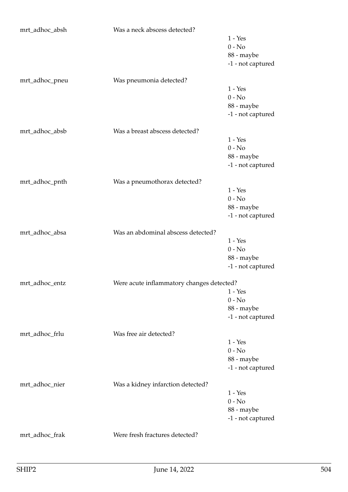| mrt_adhoc_absh | Was a neck abscess detected?              |                   |
|----------------|-------------------------------------------|-------------------|
|                |                                           | $1 - Yes$         |
|                |                                           | $0 - No$          |
|                |                                           | 88 - maybe        |
|                |                                           | -1 - not captured |
|                |                                           |                   |
| mrt_adhoc_pneu | Was pneumonia detected?                   |                   |
|                |                                           | $1 - Yes$         |
|                |                                           | $0 - No$          |
|                |                                           | 88 - maybe        |
|                |                                           | -1 - not captured |
| mrt_adhoc_absb | Was a breast abscess detected?            |                   |
|                |                                           | $1 - Yes$         |
|                |                                           | $0 - No$          |
|                |                                           | 88 - maybe        |
|                |                                           | -1 - not captured |
|                |                                           |                   |
| mrt_adhoc_pnth | Was a pneumothorax detected?              |                   |
|                |                                           | $1 - Yes$         |
|                |                                           | $0 - No$          |
|                |                                           | 88 - maybe        |
|                |                                           | -1 - not captured |
| mrt_adhoc_absa | Was an abdominal abscess detected?        |                   |
|                |                                           | $1 - Yes$         |
|                |                                           | $0 - No$          |
|                |                                           | 88 - maybe        |
|                |                                           | -1 - not captured |
| mrt adhoc entz |                                           |                   |
|                | Were acute inflammatory changes detected? | $1 - Yes$         |
|                |                                           | $0 - No$          |
|                |                                           |                   |
|                |                                           | 88 - maybe        |
|                |                                           | -1 - not captured |
| mrt_adhoc_frlu | Was free air detected?                    |                   |
|                |                                           | $1 - Yes$         |
|                |                                           | $0 - No$          |
|                |                                           | 88 - maybe        |
|                |                                           | -1 - not captured |
| mrt_adhoc_nier | Was a kidney infarction detected?         |                   |
|                |                                           | $1 - Yes$         |
|                |                                           | $0 - No$          |
|                |                                           | 88 - maybe        |
|                |                                           | -1 - not captured |
|                |                                           |                   |
| mrt_adhoc_frak | Were fresh fractures detected?            |                   |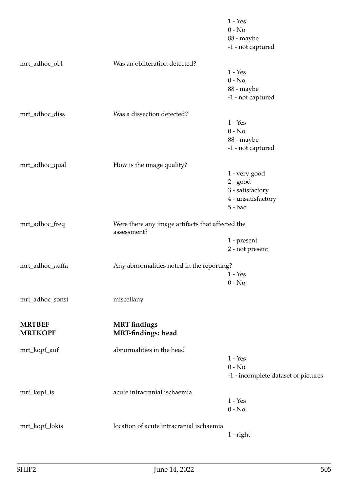|                                 |                                                                 | $1 - Yes$<br>$0 - No$<br>88 - maybe<br>-1 - not captured                           |
|---------------------------------|-----------------------------------------------------------------|------------------------------------------------------------------------------------|
| mrt_adhoc_obl                   | Was an obliteration detected?                                   | $1 - Yes$<br>$0 - No$<br>88 - maybe<br>-1 - not captured                           |
| mrt_adhoc_diss                  | Was a dissection detected?                                      | $1 - Yes$<br>$0 - No$<br>88 - maybe<br>-1 - not captured                           |
| mrt_adhoc_qual                  | How is the image quality?                                       | 1 - very good<br>$2 - good$<br>3 - satisfactory<br>4 - unsatisfactory<br>$5 - bad$ |
| mrt_adhoc_freq                  | Were there any image artifacts that affected the<br>assessment? | 1 - present<br>2 - not present                                                     |
| mrt_adhoc_auffa                 | Any abnormalities noted in the reporting?                       | $1 - Yes$<br>$0 - No$                                                              |
| mrt_adhoc_sonst                 | miscellany                                                      |                                                                                    |
| <b>MRTBEF</b><br><b>MRTKOPF</b> | <b>MRT</b> findings<br><b>MRT-findings: head</b>                |                                                                                    |
| mrt_kopf_auf                    | abnormalities in the head                                       | $1 - Yes$<br>$0 - No$<br>-1 - incomplete dataset of pictures                       |
| mrt_kopf_is                     | acute intracranial ischaemia                                    | $1 - Yes$<br>$0 - No$                                                              |
| mrt_kopf_lokis                  | location of acute intracranial ischaemia                        | $1$ - right                                                                        |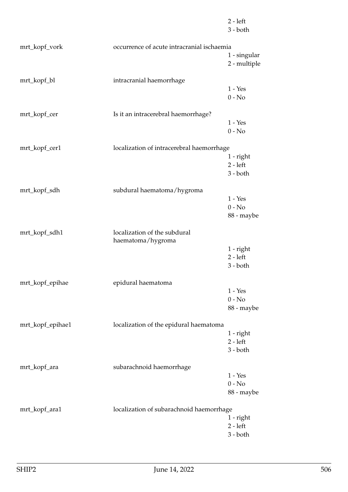|                  |                                                   | $3 - both$                   |
|------------------|---------------------------------------------------|------------------------------|
| mrt_kopf_vork    | occurrence of acute intracranial ischaemia        |                              |
|                  |                                                   | 1 - singular<br>2 - multiple |
| mrt_kopf_bl      | intracranial haemorrhage                          | $1 - Yes$                    |
|                  |                                                   | $0 - No$                     |
| mrt_kopf_cer     | Is it an intracerebral haemorrhage?               | $1 - Yes$                    |
|                  |                                                   | $0 - No$                     |
| mrt_kopf_cer1    | localization of intracerebral haemorrhage         |                              |
|                  |                                                   | $1$ - right<br>$2 - left$    |
|                  |                                                   | $3 - both$                   |
| mrt_kopf_sdh     | subdural haematoma/hygroma                        |                              |
|                  |                                                   | $1 - Yes$<br>$0 - No$        |
|                  |                                                   | 88 - maybe                   |
| mrt_kopf_sdh1    | localization of the subdural<br>haematoma/hygroma |                              |
|                  |                                                   | 1 - right                    |
|                  |                                                   | $2 - left$                   |
|                  |                                                   | $3 - both$                   |
| mrt_kopf_epihae  | epidural haematoma                                | $1 - Yes$                    |
|                  |                                                   | $0 - No$                     |
|                  |                                                   | 88 - maybe                   |
| mrt_kopf_epihae1 | localization of the epidural haematoma            |                              |
|                  |                                                   | 1 - right<br>$2 - left$      |
|                  |                                                   | $3 - both$                   |
| mrt_kopf_ara     | subarachnoid haemorrhage                          |                              |
|                  |                                                   | $1 - Yes$                    |
|                  |                                                   | $0 - No$<br>88 - maybe       |
| mrt_kopf_ara1    | localization of subarachnoid haemorrhage          |                              |
|                  |                                                   | 1 - right                    |
|                  |                                                   | $2 - left$<br>$3 - both$     |
|                  |                                                   |                              |

2 - left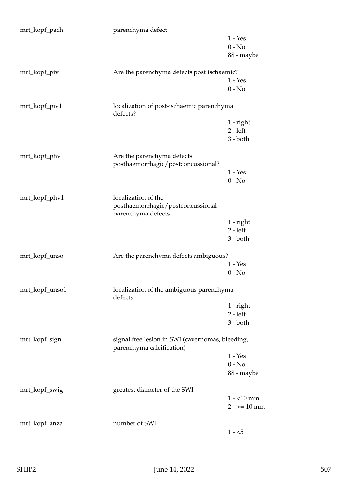| mrt_kopf_pach  | parenchyma defect                                                             |             |
|----------------|-------------------------------------------------------------------------------|-------------|
|                |                                                                               | $1 - Yes$   |
|                |                                                                               | $0 - No$    |
|                |                                                                               | 88 - maybe  |
| mrt_kopf_piv   | Are the parenchyma defects post ischaemic?                                    |             |
|                |                                                                               | $1 - Yes$   |
|                |                                                                               | $0 - No$    |
|                |                                                                               |             |
| mrt_kopf_piv1  | localization of post-ischaemic parenchyma<br>defects?                         |             |
|                |                                                                               | $1$ - right |
|                |                                                                               | $2 - left$  |
|                |                                                                               | $3 - both$  |
|                |                                                                               |             |
| mrt_kopf_phv   | Are the parenchyma defects                                                    |             |
|                | posthaemorrhagic/postconcussional?                                            |             |
|                |                                                                               | $1 - Yes$   |
|                |                                                                               | $0 - No$    |
|                |                                                                               |             |
| mrt_kopf_phv1  | localization of the                                                           |             |
|                | posthaemorrhagic/postconcussional                                             |             |
|                | parenchyma defects                                                            |             |
|                |                                                                               | 1 - right   |
|                |                                                                               | $2 - left$  |
|                |                                                                               | $3 - both$  |
| mrt_kopf_unso  | Are the parenchyma defects ambiguous?                                         |             |
|                |                                                                               | $1 - Yes$   |
|                |                                                                               | $0 - No$    |
|                |                                                                               |             |
| mrt_kopf_unso1 | localization of the ambiguous parenchyma<br>defects                           |             |
|                |                                                                               | $1$ - right |
|                |                                                                               | $2 - left$  |
|                |                                                                               | $3 - both$  |
|                |                                                                               |             |
| mrt_kopf_sign  | signal free lesion in SWI (cavernomas, bleeding,<br>parenchyma calcification) |             |
|                |                                                                               | $1 - Yes$   |
|                |                                                                               | $0 - No$    |
|                |                                                                               | 88 - maybe  |
|                |                                                                               |             |
| mrt_kopf_swig  | greatest diameter of the SWI                                                  |             |
|                |                                                                               | $1 - 10$ mm |
|                |                                                                               | $2 - 10$ mm |
|                |                                                                               |             |
| mrt_kopf_anza  | number of SWI:                                                                |             |
|                |                                                                               | $1 - 5$     |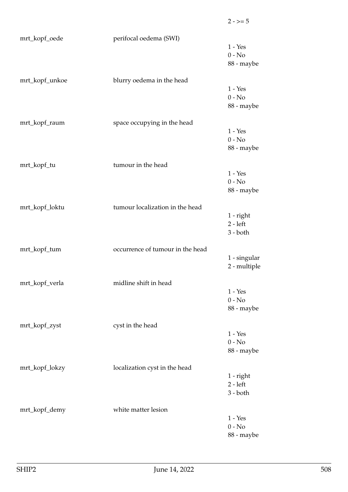| mrt_kopf_oede  | perifocal oedema (SWI)           | $1 - Yes$<br>$0 - No$<br>88 - maybe     |
|----------------|----------------------------------|-----------------------------------------|
| mrt_kopf_unkoe | blurry oedema in the head        | $1 - Yes$<br>$0 - No$<br>88 - maybe     |
| mrt_kopf_raum  | space occupying in the head      | $1 - Yes$<br>$0 - No$<br>88 - maybe     |
| mrt_kopf_tu    | tumour in the head               |                                         |
|                |                                  | $1 - Yes$<br>$0 - No$<br>88 - maybe     |
| mrt_kopf_loktu | tumour localization in the head  | $1$ - right<br>$2 - left$<br>$3 - both$ |
| mrt_kopf_tum   | occurrence of tumour in the head | 1 - singular<br>2 - multiple            |
| mrt_kopf_verla | midline shift in head            |                                         |
|                |                                  | $1 - Yes$<br>$0 - No$<br>88 - maybe     |
| mrt_kopf_zyst  | cyst in the head                 |                                         |
|                |                                  | $1 - Yes$<br>$0 - No$<br>88 - maybe     |
| mrt_kopf_lokzy | localization cyst in the head    | 1 - right<br>$2 - left$<br>$3 - both$   |
| mrt_kopf_demy  | white matter lesion              |                                         |
|                |                                  | $1 - Yes$<br>$0 - No$<br>88 - maybe     |

 $2 - 5 = 5$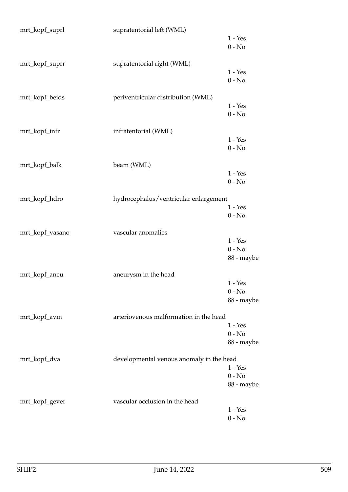| mrt_kopf_suprl  | supratentorial left (WML)                |            |
|-----------------|------------------------------------------|------------|
|                 |                                          | $1 - Yes$  |
|                 |                                          | $0 - No$   |
| mrt_kopf_suprr  | supratentorial right (WML)               |            |
|                 |                                          | $1 - Yes$  |
|                 |                                          | $0 - No$   |
| mrt_kopf_beids  | periventricular distribution (WML)       |            |
|                 |                                          | $1 - Yes$  |
|                 |                                          | $0 - No$   |
| mrt_kopf_infr   | infratentorial (WML)                     |            |
|                 |                                          | $1 - Yes$  |
|                 |                                          | $0 - No$   |
| mrt_kopf_balk   | beam (WML)                               |            |
|                 |                                          | $1 - Yes$  |
|                 |                                          | $0 - No$   |
|                 |                                          |            |
| mrt_kopf_hdro   | hydrocephalus/ventricular enlargement    |            |
|                 |                                          | $1 - Yes$  |
|                 |                                          | $0 - No$   |
| mrt_kopf_vasano | vascular anomalies                       |            |
|                 |                                          | $1 - Yes$  |
|                 |                                          | $0 - No$   |
|                 |                                          | 88 - maybe |
| mrt_kopf_aneu   | aneurysm in the head                     |            |
|                 |                                          | $1 - Yes$  |
|                 |                                          | $0 - No$   |
|                 |                                          | 88 - maybe |
| mrt_kopf_avm    | arteriovenous malformation in the head   |            |
|                 |                                          | $1 - Yes$  |
|                 |                                          | $0 - No$   |
|                 |                                          | 88 - maybe |
| mrt_kopf_dva    | developmental venous anomaly in the head |            |
|                 |                                          | $1 - Yes$  |
|                 |                                          | $0 - No$   |
|                 |                                          | 88 - maybe |
| mrt_kopf_gever  | vascular occlusion in the head           |            |
|                 |                                          | $1 - Yes$  |
|                 |                                          | $0 - No$   |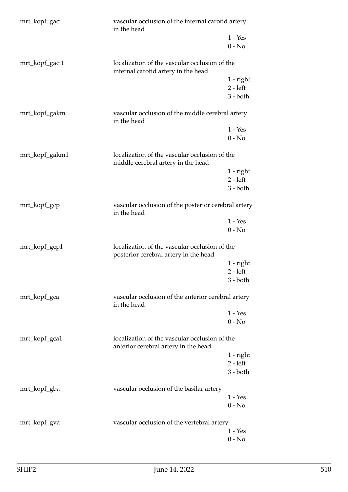| mrt_kopf_gaci  | vascular occlusion of the internal carotid artery<br>in the head                       |                       |
|----------------|----------------------------------------------------------------------------------------|-----------------------|
|                |                                                                                        | $1 - Yes$<br>$0 - No$ |
| mrt_kopf_gaci1 | localization of the vascular occlusion of the<br>internal carotid artery in the head   |                       |
|                |                                                                                        | 1 - right             |
|                |                                                                                        | $2 - left$            |
|                |                                                                                        | $3 - both$            |
| mrt_kopf_gakm  | vascular occlusion of the middle cerebral artery<br>in the head                        |                       |
|                |                                                                                        | $1 - Yes$             |
|                |                                                                                        | $0 - No$              |
| mrt_kopf_gakm1 | localization of the vascular occlusion of the<br>middle cerebral artery in the head    |                       |
|                |                                                                                        | 1 - right             |
|                |                                                                                        | $2 - left$            |
|                |                                                                                        | $3 - both$            |
| mrt_kopf_gcp   | vascular occlusion of the posterior cerebral artery<br>in the head                     |                       |
|                |                                                                                        | $1 - Yes$             |
|                |                                                                                        | $0 - No$              |
| mrt_kopf_gcp1  | localization of the vascular occlusion of the<br>posterior cerebral artery in the head |                       |
|                |                                                                                        | $1$ - right           |
|                |                                                                                        | $2 - left$            |
|                |                                                                                        | $3 - both$            |
| mrt_kopf_gca   | vascular occlusion of the anterior cerebral artery<br>in the head                      |                       |
|                |                                                                                        | $1 - Yes$             |
|                |                                                                                        | $0 - No$              |
| mrt_kopf_gca1  | localization of the vascular occlusion of the<br>anterior cerebral artery in the head  |                       |
|                |                                                                                        | 1 - right             |
|                |                                                                                        | $2 - left$            |
|                |                                                                                        | $3 - both$            |
| mrt_kopf_gba   | vascular occlusion of the basilar artery                                               |                       |
|                |                                                                                        | $1 - Yes$             |
|                |                                                                                        | $0 - No$              |
| mrt_kopf_gva   | vascular occlusion of the vertebral artery                                             |                       |
|                |                                                                                        | $1 - Yes$             |
|                |                                                                                        | $0 - No$              |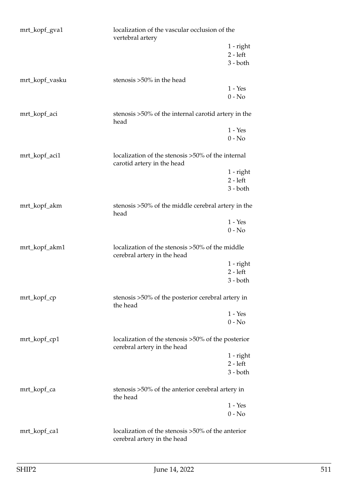| mrt_kopf_gva1  | localization of the vascular occlusion of the<br>vertebral artery                 |             |
|----------------|-----------------------------------------------------------------------------------|-------------|
|                |                                                                                   | $1$ - right |
|                |                                                                                   | $2 - left$  |
|                |                                                                                   | $3 - both$  |
| mrt_kopf_vasku | stenosis >50% in the head                                                         |             |
|                |                                                                                   | $1 - Yes$   |
|                |                                                                                   | $0 - No$    |
| mrt_kopf_aci   | stenosis >50% of the internal carotid artery in the<br>head                       |             |
|                |                                                                                   | $1 - Yes$   |
|                |                                                                                   | $0 - No$    |
| mrt_kopf_aci1  | localization of the stenosis >50% of the internal<br>carotid artery in the head   |             |
|                |                                                                                   | $1$ - right |
|                |                                                                                   | $2 - left$  |
|                |                                                                                   | $3 - both$  |
| mrt_kopf_akm   | stenosis >50% of the middle cerebral artery in the<br>head                        |             |
|                |                                                                                   | $1 - Yes$   |
|                |                                                                                   | $0 - No$    |
| mrt_kopf_akm1  | localization of the stenosis >50% of the middle<br>cerebral artery in the head    |             |
|                |                                                                                   | $1$ - right |
|                |                                                                                   | $2 - left$  |
|                |                                                                                   | $3 - both$  |
| mrt_kopf_cp    | stenosis >50% of the posterior cerebral artery in<br>the head                     |             |
|                |                                                                                   | $1 - Yes$   |
|                |                                                                                   | $0 - No$    |
| mrt_kopf_cp1   | localization of the stenosis >50% of the posterior<br>cerebral artery in the head |             |
|                |                                                                                   | $1$ - right |
|                |                                                                                   | $2 - left$  |
|                |                                                                                   | $3 - both$  |
| mrt_kopf_ca    | stenosis >50% of the anterior cerebral artery in<br>the head                      |             |
|                |                                                                                   | $1 - Yes$   |
|                |                                                                                   | $0 - No$    |
| mrt_kopf_ca1   | localization of the stenosis >50% of the anterior<br>cerebral artery in the head  |             |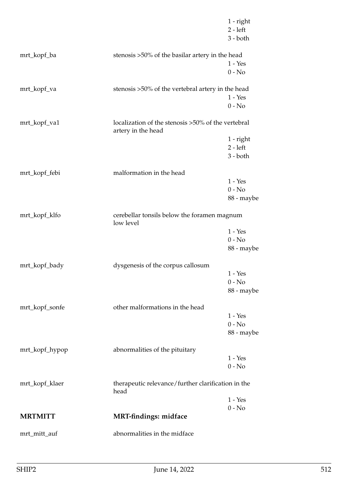|                |                                                                          | $1$ - right<br>$2 - left$<br>$3 - both$ |
|----------------|--------------------------------------------------------------------------|-----------------------------------------|
| mrt_kopf_ba    | stenosis >50% of the basilar artery in the head                          |                                         |
|                |                                                                          | $1 - Yes$                               |
|                |                                                                          | $0 - No$                                |
| mrt_kopf_va    | stenosis >50% of the vertebral artery in the head                        |                                         |
|                |                                                                          | $1 - Yes$                               |
|                |                                                                          | $0 - No$                                |
| mrt_kopf_va1   | localization of the stenosis >50% of the vertebral<br>artery in the head |                                         |
|                |                                                                          | $1$ - right                             |
|                |                                                                          | $2 - left$                              |
|                |                                                                          | $3 - both$                              |
| mrt_kopf_febi  | malformation in the head                                                 |                                         |
|                |                                                                          | $1 - Yes$                               |
|                |                                                                          | $0 - No$                                |
|                |                                                                          | 88 - maybe                              |
| mrt_kopf_klfo  | cerebellar tonsils below the foramen magnum<br>low level                 |                                         |
|                |                                                                          | $1 - Yes$                               |
|                |                                                                          | $0 - No$                                |
|                |                                                                          | 88 - maybe                              |
| mrt_kopf_bady  | dysgenesis of the corpus callosum                                        |                                         |
|                |                                                                          | $1 - Yes$                               |
|                |                                                                          | $0 - No$                                |
|                |                                                                          | 88 - maybe                              |
| mrt_kopf_sonfe | other malformations in the head                                          |                                         |
|                |                                                                          | $1 - Yes$                               |
|                |                                                                          | $0 - No$                                |
|                |                                                                          | 88 - maybe                              |
| mrt_kopf_hypop | abnormalities of the pituitary                                           |                                         |
|                |                                                                          | $1 - Yes$                               |
|                |                                                                          | $0 - No$                                |
| mrt_kopf_klaer | therapeutic relevance/further clarification in the<br>head               |                                         |
|                |                                                                          | $1 - Yes$                               |
| <b>MRTMITT</b> | <b>MRT-findings: midface</b>                                             | $0 - No$                                |
|                |                                                                          |                                         |
| mrt_mitt_auf   | abnormalities in the midface                                             |                                         |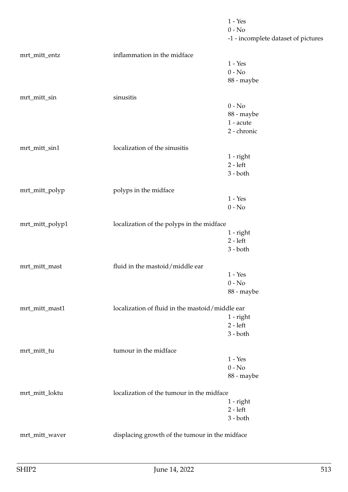|                 |                                                 | $1 - Yes$                           |
|-----------------|-------------------------------------------------|-------------------------------------|
|                 |                                                 | $0 - No$                            |
|                 |                                                 | -1 - incomplete dataset of pictures |
|                 |                                                 |                                     |
| mrt_mitt_entz   | inflammation in the midface                     |                                     |
|                 |                                                 | $1 - Yes$                           |
|                 |                                                 | $0 - No$                            |
|                 |                                                 | 88 - maybe                          |
| mrt_mitt_sin    | sinusitis                                       |                                     |
|                 |                                                 | $0 - No$                            |
|                 |                                                 | 88 - maybe                          |
|                 |                                                 | 1 - acute                           |
|                 |                                                 | 2 - chronic                         |
|                 |                                                 |                                     |
| mrt_mitt_sin1   | localization of the sinusitis                   |                                     |
|                 |                                                 | $1$ - right                         |
|                 |                                                 | $2 - left$                          |
|                 |                                                 | $3 - both$                          |
| mrt_mitt_polyp  | polyps in the midface                           |                                     |
|                 |                                                 | $1 - Yes$                           |
|                 |                                                 | $0 - No$                            |
|                 |                                                 |                                     |
| mrt_mitt_polyp1 | localization of the polyps in the midface       |                                     |
|                 |                                                 | $1$ - right                         |
|                 |                                                 | $2 - left$                          |
|                 |                                                 | $3 - both$                          |
| mrt_mitt_mast   | fluid in the mastoid/middle ear                 |                                     |
|                 |                                                 | $1 - Yes$                           |
|                 |                                                 | $0 - No$                            |
|                 |                                                 | 88 - maybe                          |
|                 |                                                 |                                     |
| mrt_mitt_mast1  | localization of fluid in the mastoid/middle ear |                                     |
|                 |                                                 | $1$ - right                         |
|                 |                                                 | $2 - left$                          |
|                 |                                                 | $3 - both$                          |
| mrt_mitt_tu     | tumour in the midface                           |                                     |
|                 |                                                 | $1 - Yes$                           |
|                 |                                                 | $0 - No$                            |
|                 |                                                 | 88 - maybe                          |
|                 |                                                 |                                     |
| mrt_mitt_loktu  | localization of the tumour in the midface       |                                     |
|                 |                                                 | 1 - right<br>$2 - left$             |
|                 |                                                 | $3 - both$                          |
|                 |                                                 |                                     |
| mrt_mitt_waver  | displacing growth of the tumour in the midface  |                                     |
|                 |                                                 |                                     |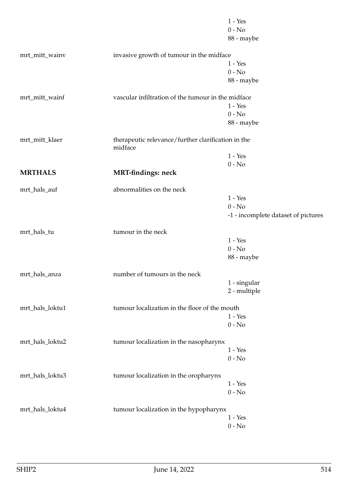|                 |                                                               | $1 - Yes$                           |
|-----------------|---------------------------------------------------------------|-------------------------------------|
|                 |                                                               | $0 - No$                            |
|                 |                                                               | 88 - maybe                          |
|                 |                                                               |                                     |
| mrt_mitt_wainv  | invasive growth of tumour in the midface                      |                                     |
|                 |                                                               | $1 - Yes$                           |
|                 |                                                               | $0 - No$                            |
|                 |                                                               | 88 - maybe                          |
|                 |                                                               |                                     |
| mrt_mitt_wainf  | vascular infiltration of the tumour in the midface            |                                     |
|                 |                                                               | $1 - Yes$                           |
|                 |                                                               | $0 - No$                            |
|                 |                                                               | 88 - maybe                          |
|                 |                                                               |                                     |
| mrt_mitt_klaer  | therapeutic relevance/further clarification in the<br>midface |                                     |
|                 |                                                               | $1 - Yes$                           |
|                 |                                                               | $0 - No$                            |
| <b>MRTHALS</b>  | <b>MRT-findings: neck</b>                                     |                                     |
|                 |                                                               |                                     |
| mrt_hals_auf    | abnormalities on the neck                                     |                                     |
|                 |                                                               | $1 - Yes$                           |
|                 |                                                               | $0 - No$                            |
|                 |                                                               | -1 - incomplete dataset of pictures |
|                 |                                                               |                                     |
| mrt_hals_tu     | tumour in the neck                                            |                                     |
|                 |                                                               | $1 - Yes$                           |
|                 |                                                               | $0 - No$                            |
|                 |                                                               | 88 - maybe                          |
|                 |                                                               |                                     |
| mrt_hals_anza   | number of tumours in the neck                                 |                                     |
|                 |                                                               | 1 - singular                        |
|                 |                                                               | 2 - multiple                        |
| mrt_hals_loktu1 | tumour localization in the floor of the mouth                 |                                     |
|                 |                                                               | $1 - Yes$                           |
|                 |                                                               |                                     |
|                 |                                                               | $0 - No$                            |
| mrt_hals_loktu2 | tumour localization in the nasopharynx                        |                                     |
|                 |                                                               | $1 - Yes$                           |
|                 |                                                               | $0 - No$                            |
|                 |                                                               |                                     |
| mrt_hals_loktu3 | tumour localization in the oropharynx                         |                                     |
|                 |                                                               | $1 - Yes$                           |
|                 |                                                               | $0 - No$                            |
|                 |                                                               |                                     |
| mrt_hals_loktu4 | tumour localization in the hypopharynx                        |                                     |
|                 |                                                               | $1 - Yes$                           |
|                 |                                                               | $0 - No$                            |
|                 |                                                               |                                     |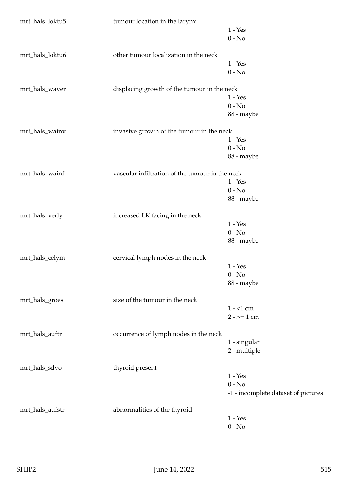| mrt_hals_loktu5 | tumour location in the larynx                   |                                     |
|-----------------|-------------------------------------------------|-------------------------------------|
|                 |                                                 | $1 - Yes$                           |
|                 |                                                 | $0 - No$                            |
|                 |                                                 |                                     |
| mrt_hals_loktu6 | other tumour localization in the neck           |                                     |
|                 |                                                 | $1 - Yes$                           |
|                 |                                                 | $0 - No$                            |
|                 |                                                 |                                     |
| mrt_hals_waver  | displacing growth of the tumour in the neck     |                                     |
|                 |                                                 | $1 - Yes$                           |
|                 |                                                 | $0 - No$                            |
|                 |                                                 | 88 - maybe                          |
| mrt_hals_wainv  | invasive growth of the tumour in the neck       |                                     |
|                 |                                                 | $1 - Yes$                           |
|                 |                                                 | $0 - No$                            |
|                 |                                                 |                                     |
|                 |                                                 | 88 - maybe                          |
| mrt_hals_wainf  | vascular infiltration of the tumour in the neck |                                     |
|                 |                                                 | $1 - Yes$                           |
|                 |                                                 | $0 - No$                            |
|                 |                                                 | 88 - maybe                          |
|                 |                                                 |                                     |
| mrt_hals_verly  | increased LK facing in the neck                 |                                     |
|                 |                                                 | $1 - Yes$                           |
|                 |                                                 | $0 - No$                            |
|                 |                                                 | 88 - maybe                          |
|                 |                                                 |                                     |
| mrt_hals_celym  | cervical lymph nodes in the neck                |                                     |
|                 |                                                 | $1 - Yes$                           |
|                 |                                                 | $0 - No$                            |
|                 |                                                 | 88 - maybe                          |
|                 |                                                 |                                     |
| mrt_hals_groes  | size of the tumour in the neck                  | $1 - 1$ cm                          |
|                 |                                                 |                                     |
|                 |                                                 | $2 - 2 = 1$ cm                      |
| mrt_hals_auftr  | occurrence of lymph nodes in the neck           |                                     |
|                 |                                                 | 1 - singular                        |
|                 |                                                 | 2 - multiple                        |
|                 |                                                 |                                     |
| mrt_hals_sdvo   | thyroid present                                 |                                     |
|                 |                                                 | $1 - Yes$                           |
|                 |                                                 | $0 - No$                            |
|                 |                                                 | -1 - incomplete dataset of pictures |
|                 |                                                 |                                     |
| mrt_hals_aufstr | abnormalities of the thyroid                    |                                     |
|                 |                                                 | $1 - Yes$                           |
|                 |                                                 | $0 - No$                            |
|                 |                                                 |                                     |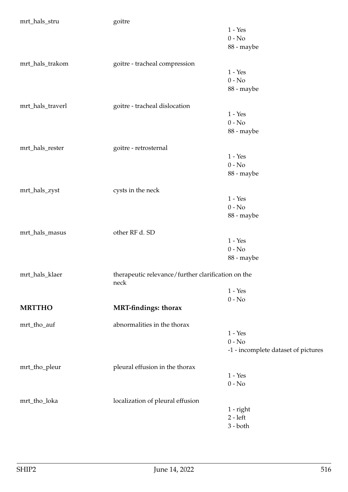| mrt_hals_stru    | goitre                                             |                                     |
|------------------|----------------------------------------------------|-------------------------------------|
|                  |                                                    | $1$ - $\operatorname{Yes}$          |
|                  |                                                    | $0 - No$                            |
|                  |                                                    | 88 - maybe                          |
|                  |                                                    |                                     |
| mrt_hals_trakom  | goitre - tracheal compression                      |                                     |
|                  |                                                    | $1 - Yes$                           |
|                  |                                                    | $0 - No$                            |
|                  |                                                    | 88 - maybe                          |
|                  |                                                    |                                     |
| mrt_hals_traverl | goitre - tracheal dislocation                      |                                     |
|                  |                                                    | $1 - Yes$                           |
|                  |                                                    | $0 - No$                            |
|                  |                                                    | 88 - maybe                          |
|                  |                                                    |                                     |
| mrt_hals_rester  | goitre - retrosternal                              |                                     |
|                  |                                                    | $1 - Yes$                           |
|                  |                                                    | $0 - No$                            |
|                  |                                                    | 88 - maybe                          |
|                  |                                                    |                                     |
| mrt_hals_zyst    | cysts in the neck                                  |                                     |
|                  |                                                    | $1 - Yes$                           |
|                  |                                                    | $0$ - $\hbox{No}$                   |
|                  |                                                    | 88 - maybe                          |
|                  |                                                    |                                     |
| mrt_hals_masus   | other RF d. SD                                     |                                     |
|                  |                                                    | $1 - Yes$                           |
|                  |                                                    | $0 - No$                            |
|                  |                                                    | 88 - maybe                          |
|                  |                                                    |                                     |
| mrt_hals_klaer   | therapeutic relevance/further clarification on the |                                     |
|                  | neck                                               |                                     |
|                  |                                                    | $1 - Yes$                           |
|                  |                                                    | $0 - No$                            |
| <b>MRTTHO</b>    | <b>MRT-findings: thorax</b>                        |                                     |
|                  | abnormalities in the thorax                        |                                     |
| mrt_tho_auf      |                                                    | $1 - Yes$                           |
|                  |                                                    |                                     |
|                  |                                                    | $0 - No$                            |
|                  |                                                    | -1 - incomplete dataset of pictures |
| mrt_tho_pleur    | pleural effusion in the thorax                     |                                     |
|                  |                                                    | $1 - Yes$                           |
|                  |                                                    | $0 - No$                            |
|                  |                                                    |                                     |
| mrt_tho_loka     | localization of pleural effusion                   |                                     |
|                  |                                                    | 1 - right                           |
|                  |                                                    | $2 - left$                          |
|                  |                                                    | $3 - both$                          |
|                  |                                                    |                                     |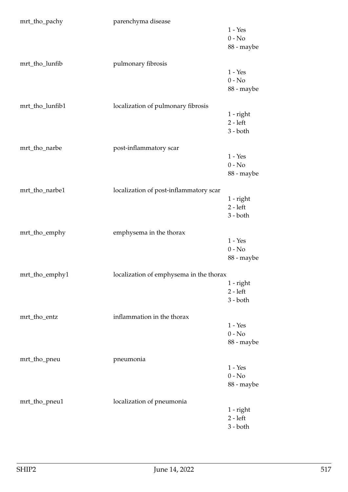| mrt_tho_pachy   | parenchyma disease                      |                                                |
|-----------------|-----------------------------------------|------------------------------------------------|
|                 |                                         | $1 - Yes$<br>$0 - No$<br>88 - maybe            |
|                 |                                         |                                                |
| mrt_tho_lunfib  | pulmonary fibrosis                      | $1 - Yes$<br>$0 - No$<br>88 - maybe            |
| mrt_tho_lunfib1 | localization of pulmonary fibrosis      |                                                |
|                 |                                         | $1$ - right<br>$2 - left$<br>$3 - both$        |
| mrt_tho_narbe   | post-inflammatory scar                  |                                                |
|                 |                                         | $1 - Yes$<br>$0 - No$<br>88 - maybe            |
| mrt_tho_narbe1  | localization of post-inflammatory scar  |                                                |
|                 |                                         | $1$ - right<br>$2 - left$<br>$3 - both$        |
| mrt_tho_emphy   | emphysema in the thorax                 |                                                |
|                 |                                         | $1 - Yes$<br>$0$ - $\mathrm{No}$<br>88 - maybe |
| mrt_tho_emphy1  | localization of emphysema in the thorax |                                                |
|                 |                                         | $1$ - right<br>$2 - left$<br>$3 - both$        |
| mrt_tho_entz    | inflammation in the thorax              |                                                |
|                 |                                         | $1 - Yes$<br>$0 - No$<br>88 - maybe            |
| mrt_tho_pneu    | pneumonia                               |                                                |
|                 |                                         | $1 - Yes$<br>$0 - No$<br>88 - maybe            |
| mrt_tho_pneu1   | localization of pneumonia               |                                                |
|                 |                                         | $1$ - right<br>$2 - left$<br>$3 - both$        |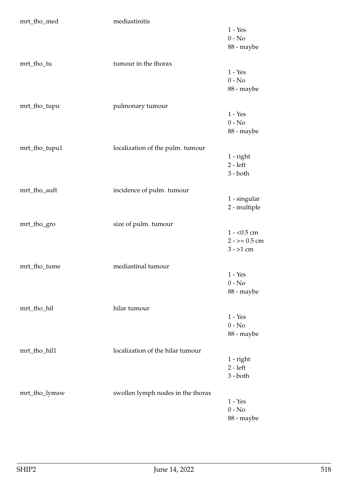| mrt_tho_med   | mediastinitis                     |                                                |
|---------------|-----------------------------------|------------------------------------------------|
|               |                                   | $1 - Yes$<br>$0 - No$<br>88 - maybe            |
| mrt_tho_tu    | tumour in the thorax              | $1 - Yes$<br>$0 - No$<br>88 - maybe            |
| mrt_tho_tupu  | pulmonary tumour                  | $1 - Yes$<br>$0 - No$<br>88 - maybe            |
| mrt_tho_tupu1 | localization of the pulm. tumour  | $1$ - right<br>$2 - left$<br>$3 - both$        |
| mrt_tho_auft  | incidence of pulm. tumour         | 1 - singular<br>2 - multiple                   |
| mrt_tho_gro   | size of pulm. tumour              | $1 - 0.5$ cm<br>$2 - 5 = 0.5$ cm<br>$3 - 1$ cm |
| mrt_tho_tume  | mediastinal tumour                | $1 - Yes$<br>$0 - No$<br>88 - maybe            |
| mrt_tho_hil   | hilar tumour                      | $1 - Yes$<br>$0 - No$<br>88 - maybe            |
| mrt_tho_hil1  | localization of the hilar tumour  | $1$ - right<br>$2 - left$<br>$3 - both$        |
| mrt_tho_lymsw | swollen lymph nodes in the thorax | $1 - Yes$<br>$0 - No$<br>88 - maybe            |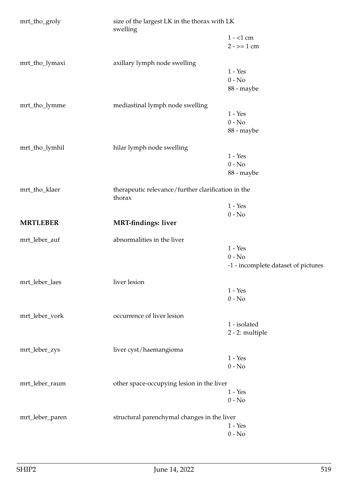| mrt_tho_groly   | size of the largest LK in the thorax with LK<br>swelling     |                                     |
|-----------------|--------------------------------------------------------------|-------------------------------------|
|                 |                                                              | $1 - 1$ cm                          |
|                 |                                                              | $2 - \ge 1$ cm                      |
| mrt_tho_lymaxi  | axillary lymph node swelling                                 |                                     |
|                 |                                                              | $1 - Yes$                           |
|                 |                                                              | $0 - No$                            |
|                 |                                                              | 88 - maybe                          |
| mrt_tho_lymme   | mediastinal lymph node swelling                              |                                     |
|                 |                                                              | $1 - Yes$                           |
|                 |                                                              | $0 - No$                            |
|                 |                                                              | 88 - maybe                          |
| mrt_tho_lymhil  | hilar lymph node swelling                                    |                                     |
|                 |                                                              | $1 - Yes$                           |
|                 |                                                              | $0 - No$                            |
|                 |                                                              | 88 - maybe                          |
| mrt_tho_klaer   | therapeutic relevance/further clarification in the<br>thorax |                                     |
|                 |                                                              | $1 - Yes$                           |
|                 |                                                              | $0 - No$                            |
| <b>MRTLEBER</b> | <b>MRT-findings: liver</b>                                   |                                     |
| mrt_leber_auf   | abnormalities in the liver                                   |                                     |
|                 |                                                              | $1 - Yes$                           |
|                 |                                                              | $0 - No$                            |
|                 |                                                              | -1 - incomplete dataset of pictures |
| mrt_leber_laes  | liver lesion                                                 |                                     |
|                 |                                                              | $1 - Yes$                           |
|                 |                                                              | $0 - No$                            |
| mrt_leber_vork  | occurrence of liver lesion                                   |                                     |
|                 |                                                              | 1 - isolated                        |
|                 |                                                              | 2 - 2: multiple                     |
| mrt_leber_zys   | liver cyst/haemangioma                                       |                                     |
|                 |                                                              | $1 - Yes$                           |
|                 |                                                              | $0 - No$                            |
| mrt_leber_raum  | other space-occupying lesion in the liver                    |                                     |
|                 |                                                              | $1 - Yes$                           |
|                 |                                                              | $0 - No$                            |
| mrt_leber_paren | structural parenchymal changes in the liver                  |                                     |
|                 |                                                              | $1 - Yes$                           |
|                 |                                                              | $0 - No$                            |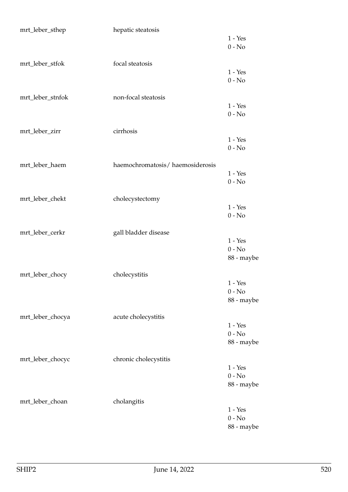| mrt_leber_sthep  | hepatic steatosis               |                        |
|------------------|---------------------------------|------------------------|
|                  |                                 | $1 - Yes$              |
|                  |                                 | $0 - No$               |
| mrt_leber_stfok  | focal steatosis                 |                        |
|                  |                                 | $1 - Yes$              |
|                  |                                 | $0 - No$               |
|                  |                                 |                        |
| mrt_leber_stnfok | non-focal steatosis             | $1 - Yes$              |
|                  |                                 | $0 - No$               |
|                  |                                 |                        |
| mrt_leber_zirr   | cirrhosis                       |                        |
|                  |                                 | $1 - Yes$              |
|                  |                                 | $0 - No$               |
| mrt_leber_haem   | haemochromatosis/haemosiderosis |                        |
|                  |                                 | $1 - Yes$              |
|                  |                                 | $0 - No$               |
|                  |                                 |                        |
| mrt_leber_chekt  | cholecystectomy                 | $1 - Yes$              |
|                  |                                 | $0 - No$               |
|                  |                                 |                        |
| mrt_leber_cerkr  | gall bladder disease            |                        |
|                  |                                 | $1 - Yes$              |
|                  |                                 | $0 - No$<br>88 - maybe |
|                  |                                 |                        |
| mrt_leber_chocy  | cholecystitis                   |                        |
|                  |                                 | $1 - Yes$              |
|                  |                                 | $0 - No$               |
|                  |                                 | 88 - maybe             |
| mrt_leber_chocya | acute cholecystitis             |                        |
|                  |                                 | $1 - Yes$              |
|                  |                                 | $0 - No$               |
|                  |                                 | 88 - maybe             |
| mrt_leber_chocyc | chronic cholecystitis           |                        |
|                  |                                 | $1 - Yes$              |
|                  |                                 | $0 - No$               |
|                  |                                 | 88 - maybe             |
| mrt_leber_choan  |                                 |                        |
|                  | cholangitis                     | $1 - Yes$              |
|                  |                                 | $0 - No$               |
|                  |                                 | 88 - maybe             |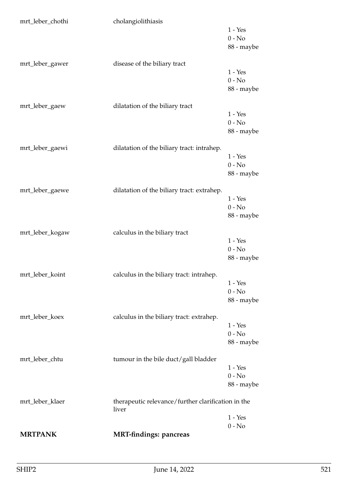| mrt_leber_chothi | cholangiolithiasis                                          | $1 - Yes$<br>$0 - No$<br>88 - maybe |
|------------------|-------------------------------------------------------------|-------------------------------------|
| mrt_leber_gawer  | disease of the biliary tract                                | $1 - Yes$<br>$0 - No$<br>88 - maybe |
| mrt_leber_gaew   | dilatation of the biliary tract                             | $1 - Yes$<br>$0 - No$<br>88 - maybe |
| mrt_leber_gaewi  | dilatation of the biliary tract: intrahep.                  | $1 - Yes$<br>$0 - No$<br>88 - maybe |
| mrt_leber_gaewe  | dilatation of the biliary tract: extrahep.                  | $1 - Yes$<br>$0 - No$<br>88 - maybe |
| mrt_leber_kogaw  | calculus in the biliary tract                               | $1 - Yes$<br>$0 - No$<br>88 - maybe |
| mrt_leber_koint  | calculus in the biliary tract: intrahep.                    | $1 - Yes$<br>$0 - No$<br>88 - maybe |
| mrt_leber_koex   | calculus in the biliary tract: extrahep.                    | $1 - Yes$<br>$0 - No$<br>88 - maybe |
| mrt_leber_chtu   | tumour in the bile duct/gall bladder                        | $1 - Yes$<br>$0 - No$<br>88 - maybe |
| mrt_leber_klaer  | therapeutic relevance/further clarification in the<br>liver | $1 - Yes$                           |
| <b>MRTPANK</b>   | <b>MRT-findings: pancreas</b>                               | $0 - No$                            |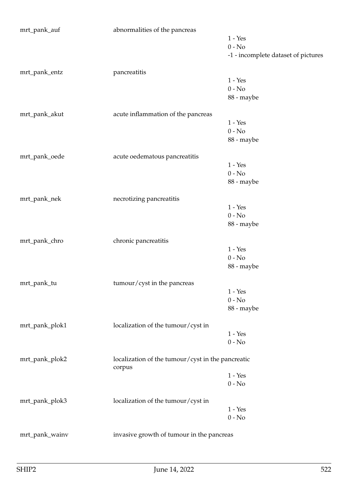| mrt_pank_auf   | abnormalities of the pancreas                               |                                     |
|----------------|-------------------------------------------------------------|-------------------------------------|
|                |                                                             | $1 - Yes$                           |
|                |                                                             | $0 - No$                            |
|                |                                                             | -1 - incomplete dataset of pictures |
| mrt_pank_entz  | pancreatitis                                                |                                     |
|                |                                                             | $1 - Yes$                           |
|                |                                                             | $0 - No$                            |
|                |                                                             | 88 - maybe                          |
| mrt_pank_akut  | acute inflammation of the pancreas                          |                                     |
|                |                                                             | $1 - Yes$                           |
|                |                                                             | $0 - No$                            |
|                |                                                             | 88 - maybe                          |
| mrt_pank_oede  | acute oedematous pancreatitis                               |                                     |
|                |                                                             | $1 - Yes$                           |
|                |                                                             | $0 - No$                            |
|                |                                                             | 88 - maybe                          |
| mrt_pank_nek   | necrotizing pancreatitis                                    |                                     |
|                |                                                             | $1 - Yes$                           |
|                |                                                             | $0 - No$                            |
|                |                                                             | 88 - maybe                          |
| mrt_pank_chro  | chronic pancreatitis                                        |                                     |
|                |                                                             | $1 - Yes$                           |
|                |                                                             | $0 - No$                            |
|                |                                                             | 88 - maybe                          |
| mrt_pank_tu    | tumour/cyst in the pancreas                                 |                                     |
|                |                                                             | $1 - Yes$                           |
|                |                                                             | $0 - No$                            |
|                |                                                             | 88 - maybe                          |
| mrt_pank_plok1 | localization of the tumour/cyst in                          |                                     |
|                |                                                             | $1 - Yes$                           |
|                |                                                             | $0 - No$                            |
| mrt_pank_plok2 | localization of the tumour/cyst in the pancreatic<br>corpus |                                     |
|                |                                                             | $1 - Yes$                           |
|                |                                                             | $0 - No$                            |
| mrt_pank_plok3 | localization of the tumour/cyst in                          |                                     |
|                |                                                             | $1 - Yes$                           |
|                |                                                             | $0 - No$                            |
| mrt_pank_wainv | invasive growth of tumour in the pancreas                   |                                     |
|                |                                                             |                                     |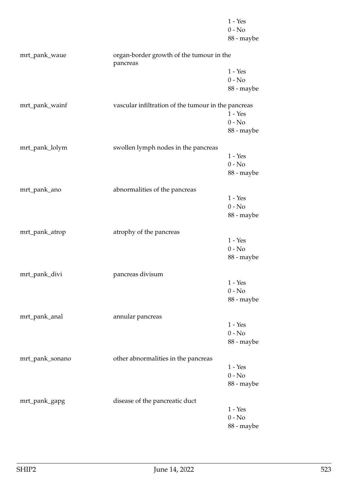|                 |                                                      | $1 - Yes$  |
|-----------------|------------------------------------------------------|------------|
|                 |                                                      | $0 - No$   |
|                 |                                                      | 88 - maybe |
| mrt_pank_waue   | organ-border growth of the tumour in the<br>pancreas |            |
|                 |                                                      | $1 - Yes$  |
|                 |                                                      | $0 - No$   |
|                 |                                                      | 88 - maybe |
| mrt_pank_wainf  | vascular infiltration of the tumour in the pancreas  |            |
|                 |                                                      | $1 - Yes$  |
|                 |                                                      | $0 - No$   |
|                 |                                                      | 88 - maybe |
| mrt_pank_lolym  | swollen lymph nodes in the pancreas                  |            |
|                 |                                                      | $1 - Yes$  |
|                 |                                                      | $0 - No$   |
|                 |                                                      | 88 - maybe |
| mrt_pank_ano    | abnormalities of the pancreas                        |            |
|                 |                                                      | $1 - Yes$  |
|                 |                                                      | $0 - No$   |
|                 |                                                      | 88 - maybe |
| mrt_pank_atrop  | atrophy of the pancreas                              |            |
|                 |                                                      | $1 - Yes$  |
|                 |                                                      | $0 - No$   |
|                 |                                                      | 88 - maybe |
| mrt_pank_divi   | pancreas divisum                                     |            |
|                 |                                                      | $1 - Yes$  |
|                 |                                                      | $0 - No$   |
|                 |                                                      | 88 - maybe |
| mrt_pank_anal   | annular pancreas                                     |            |
|                 |                                                      | $1 - Yes$  |
|                 |                                                      | $0 - No$   |
|                 |                                                      | 88 - maybe |
| mrt_pank_sonano | other abnormalities in the pancreas                  |            |
|                 |                                                      | $1 - Yes$  |
|                 |                                                      | $0 - No$   |
|                 |                                                      | 88 - maybe |
| mrt_pank_gapg   | disease of the pancreatic duct                       |            |
|                 |                                                      | $1 - Yes$  |
|                 |                                                      | $0 - No$   |
|                 |                                                      | 88 - maybe |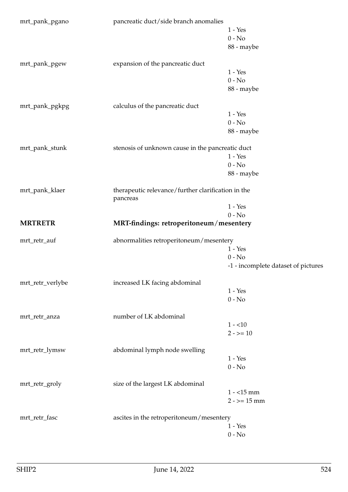| mrt_pank_pgano   | pancreatic duct/side branch anomalies                          |                                     |
|------------------|----------------------------------------------------------------|-------------------------------------|
|                  |                                                                | $1 - Yes$                           |
|                  |                                                                | $0 - No$                            |
|                  |                                                                | 88 - maybe                          |
| mrt_pank_pgew    | expansion of the pancreatic duct                               |                                     |
|                  |                                                                | $1 - Yes$                           |
|                  |                                                                | $0 - No$                            |
|                  |                                                                | 88 - maybe                          |
| mrt_pank_pgkpg   | calculus of the pancreatic duct                                |                                     |
|                  |                                                                | $1 - Yes$                           |
|                  |                                                                | $0 - No$                            |
|                  |                                                                | 88 - maybe                          |
|                  |                                                                |                                     |
| mrt_pank_stunk   | stenosis of unknown cause in the pancreatic duct               |                                     |
|                  |                                                                | $1 - Yes$                           |
|                  |                                                                | $0 - No$                            |
|                  |                                                                | 88 - maybe                          |
| mrt_pank_klaer   | therapeutic relevance/further clarification in the<br>pancreas |                                     |
|                  |                                                                | $1 - Yes$                           |
|                  |                                                                | $0 - No$                            |
| <b>MRTRETR</b>   | MRT-findings: retroperitoneum/mesentery                        |                                     |
| mrt_retr_auf     | abnormalities retroperitoneum/mesentery                        |                                     |
|                  |                                                                | $1 - Yes$                           |
|                  |                                                                | $0 - No$                            |
|                  |                                                                | -1 - incomplete dataset of pictures |
| mrt_retr_verlybe | increased LK facing abdominal                                  |                                     |
|                  |                                                                | $1 - Yes$                           |
|                  |                                                                | $0 - No$                            |
|                  |                                                                |                                     |
| mrt_retr_anza    | number of LK abdominal                                         |                                     |
|                  |                                                                | $1 - 10$                            |
|                  |                                                                | $2 - 2 = 10$                        |
| mrt_retr_lymsw   | abdominal lymph node swelling                                  |                                     |
|                  |                                                                | $1 - Yes$                           |
|                  |                                                                | $0 - No$                            |
| mrt_retr_groly   | size of the largest LK abdominal                               |                                     |
|                  |                                                                | $1 - 15$ mm                         |
|                  |                                                                | $2 - 15$ mm                         |
| mrt_retr_fasc    | ascites in the retroperitoneum/mesentery                       |                                     |
|                  |                                                                | $1$ - $\operatorname{Yes}$          |
|                  |                                                                | $0$ - $\hbox{No}$                   |
|                  |                                                                |                                     |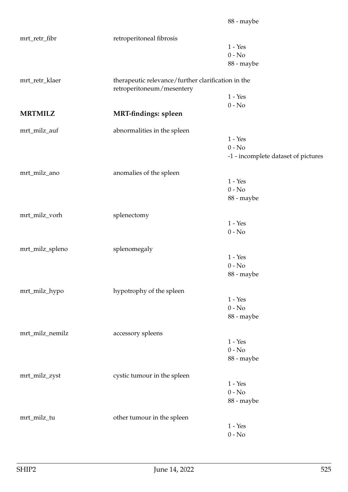| mrt_retr_fibr     | retroperitoneal fibrosis                                                        |                                     |
|-------------------|---------------------------------------------------------------------------------|-------------------------------------|
|                   |                                                                                 | $1 - Yes$                           |
|                   |                                                                                 | $0 - No$                            |
|                   |                                                                                 | 88 - maybe                          |
| mrt_retr_klaer    | therapeutic relevance/further clarification in the<br>retroperitoneum/mesentery |                                     |
|                   |                                                                                 | $1 - Yes$                           |
|                   |                                                                                 | $0 - No$                            |
| <b>MRTMILZ</b>    | <b>MRT-findings: spleen</b>                                                     |                                     |
| mrt_milz_auf      | abnormalities in the spleen                                                     |                                     |
|                   |                                                                                 | $1 - Yes$                           |
|                   |                                                                                 | $0 - No$                            |
|                   |                                                                                 | -1 - incomplete dataset of pictures |
| mrt_milz_ano      | anomalies of the spleen                                                         |                                     |
|                   |                                                                                 | $1 - Yes$                           |
|                   |                                                                                 | $0 - No$                            |
|                   |                                                                                 | 88 - maybe                          |
| mrt_milz_vorh     | splenectomy                                                                     |                                     |
|                   |                                                                                 | $1 - Yes$                           |
|                   |                                                                                 | $0 - No$                            |
| mrt_milz_spleno   | splenomegaly                                                                    |                                     |
|                   |                                                                                 | $1 - Yes$                           |
|                   |                                                                                 | $0 - No$                            |
|                   |                                                                                 | 88 - maybe                          |
| $mrt\_milz\_hypo$ | hypotrophy of the spleen                                                        |                                     |
|                   |                                                                                 | $1 - Yes$                           |
|                   |                                                                                 | $0 - No$                            |
|                   |                                                                                 | 88 - maybe                          |
| mrt_milz_nemilz   | accessory spleens                                                               |                                     |
|                   |                                                                                 | $1 - Yes$                           |
|                   |                                                                                 | $0 - No$                            |
|                   |                                                                                 | 88 - maybe                          |
| mrt_milz_zyst     | cystic tumour in the spleen                                                     |                                     |
|                   |                                                                                 | $1 - Yes$                           |
|                   |                                                                                 | $0 - No$                            |
|                   |                                                                                 | 88 - maybe                          |
| mrt_milz_tu       | other tumour in the spleen                                                      |                                     |
|                   |                                                                                 | $1 - Yes$                           |
|                   |                                                                                 | $0$ - $\hbox{No}$                   |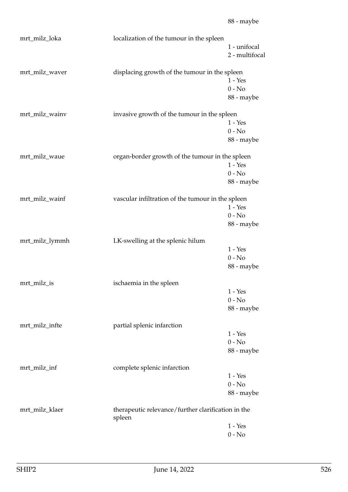| mrt_milz_loka  | localization of the tumour in the spleen                     | 1 - unifocal<br>2 - multifocal      |
|----------------|--------------------------------------------------------------|-------------------------------------|
| mrt_milz_waver | displacing growth of the tumour in the spleen                | $1 - Yes$<br>$0 - No$<br>88 - maybe |
| mrt_milz_wainv | invasive growth of the tumour in the spleen                  | $1 - Yes$<br>$0 - No$<br>88 - maybe |
| mrt_milz_waue  | organ-border growth of the tumour in the spleen              | $1 - Yes$<br>$0 - No$<br>88 - maybe |
| mrt_milz_wainf | vascular infiltration of the tumour in the spleen            | $1 - Yes$<br>$0 - No$<br>88 - maybe |
| mrt_milz_lymmh | LK-swelling at the splenic hilum                             | $1 - Yes$<br>$0 - No$<br>88 - maybe |
| mrt_milz_is    | ischaemia in the spleen                                      | 1 - Yes<br>$0 - No$<br>88 - maybe   |
| mrt_milz_infte | partial splenic infarction                                   | $1 - Yes$<br>$0 - No$<br>88 - maybe |
| mrt_milz_inf   | complete splenic infarction                                  | $1 - Yes$<br>$0 - No$<br>88 - maybe |
| mrt_milz_klaer | therapeutic relevance/further clarification in the<br>spleen | $1 - Yes$<br>$0 - No$               |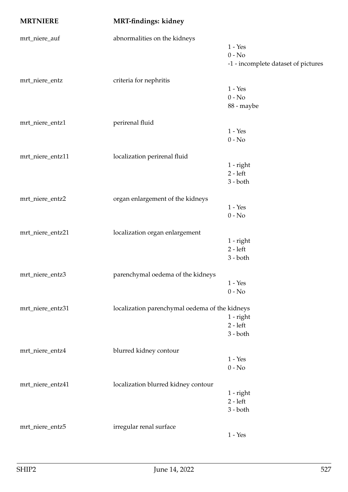| <b>MRTNIERE</b>  | MRT-findings: kidney                           |                                     |
|------------------|------------------------------------------------|-------------------------------------|
| mrt_niere_auf    | abnormalities on the kidneys                   |                                     |
|                  |                                                | $1 - Yes$                           |
|                  |                                                | $0 - No$                            |
|                  |                                                | -1 - incomplete dataset of pictures |
| mrt_niere_entz   | criteria for nephritis                         |                                     |
|                  |                                                | $1 - Yes$                           |
|                  |                                                | $0 - No$                            |
|                  |                                                | 88 - maybe                          |
| mrt_niere_entz1  | perirenal fluid                                |                                     |
|                  |                                                | $1 - Yes$                           |
|                  |                                                | $0 - No$                            |
| mrt_niere_entz11 | localization perirenal fluid                   |                                     |
|                  |                                                | 1 - right                           |
|                  |                                                | $2 - left$                          |
|                  |                                                | 3 - both                            |
| mrt_niere_entz2  | organ enlargement of the kidneys               |                                     |
|                  |                                                | $1 - Yes$                           |
|                  |                                                | $0 - No$                            |
| mrt_niere_entz21 | localization organ enlargement                 |                                     |
|                  |                                                | $1$ - right                         |
|                  |                                                | $2 - left$                          |
|                  |                                                | 3 - both                            |
| mrt_niere_entz3  | parenchymal oedema of the kidneys              |                                     |
|                  |                                                | $1 - Yes$                           |
|                  |                                                | $0 - No$                            |
| mrt_niere_entz31 |                                                |                                     |
|                  | localization parenchymal oedema of the kidneys | 1 - right                           |
|                  |                                                | $2 - left$                          |
|                  |                                                | $3 - both$                          |
|                  |                                                |                                     |
| mrt_niere_entz4  | blurred kidney contour                         | $1 - Yes$                           |
|                  |                                                | $0 - No$                            |
|                  |                                                |                                     |
| mrt_niere_entz41 | localization blurred kidney contour            |                                     |
|                  |                                                | 1 - right                           |
|                  |                                                | $2 - left$<br>3 - both              |
|                  |                                                |                                     |
| mrt_niere_entz5  | irregular renal surface                        |                                     |
|                  |                                                | $1 - Yes$                           |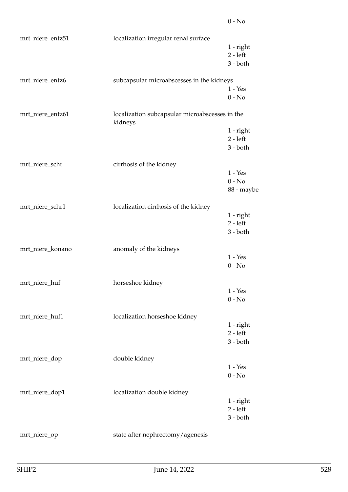| mrt_niere_entz51 | localization irregular renal surface                      |             |
|------------------|-----------------------------------------------------------|-------------|
|                  |                                                           | 1 - right   |
|                  |                                                           | $2 - left$  |
|                  |                                                           | $3 - both$  |
| mrt_niere_entz6  | subcapsular microabscesses in the kidneys                 |             |
|                  |                                                           | $1 - Yes$   |
|                  |                                                           | $0 - No$    |
| mrt_niere_entz61 | localization subcapsular microabscesses in the<br>kidneys |             |
|                  |                                                           | 1 - right   |
|                  |                                                           | $2 - left$  |
|                  |                                                           | $3 - both$  |
| mrt_niere_schr   | cirrhosis of the kidney                                   |             |
|                  |                                                           | $1 - Yes$   |
|                  |                                                           | $0 - No$    |
|                  |                                                           | 88 - maybe  |
| mrt_niere_schr1  | localization cirrhosis of the kidney                      |             |
|                  |                                                           | $1$ - right |
|                  |                                                           | $2 - left$  |
|                  |                                                           | $3 - both$  |
| mrt_niere_konano | anomaly of the kidneys                                    |             |
|                  |                                                           | $1 - Yes$   |
|                  |                                                           | $0 - No$    |
| mrt_niere_huf    | horseshoe kidney                                          |             |
|                  |                                                           | $1 - Yes$   |
|                  |                                                           | $0 - No$    |
| mrt_niere_huf1   | localization horseshoe kidney                             |             |
|                  |                                                           | $1$ - right |
|                  |                                                           | $2 - left$  |
|                  |                                                           | $3 - both$  |
| mrt_niere_dop    | double kidney                                             |             |
|                  |                                                           | $1 - Yes$   |
|                  |                                                           | $0 - No$    |
| mrt_niere_dop1   | localization double kidney                                |             |
|                  |                                                           | 1 - right   |
|                  |                                                           | $2 - left$  |
|                  |                                                           | $3 - both$  |
| mrt_niere_op     | state after nephrectomy/agenesis                          |             |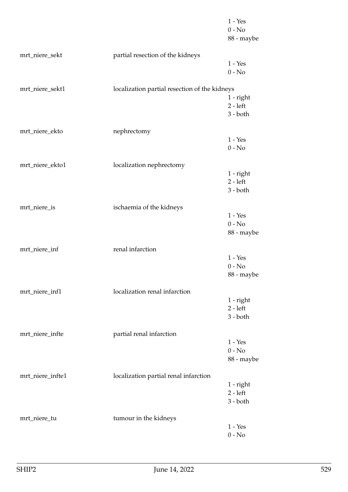|                  |                                               | $1 - Yes$<br>$0 - No$<br>88 - maybe |
|------------------|-----------------------------------------------|-------------------------------------|
| mrt_niere_sekt   | partial resection of the kidneys              |                                     |
|                  |                                               | $1 - Yes$<br>$0 - No$               |
| mrt_niere_sekt1  | localization partial resection of the kidneys |                                     |
|                  |                                               | $1$ - right                         |
|                  |                                               | $2 - left$<br>$3 - both$            |
|                  |                                               |                                     |
| mrt_niere_ekto   | nephrectomy                                   |                                     |
|                  |                                               | $1 - Yes$                           |
|                  |                                               | $0 - No$                            |
| mrt_niere_ekto1  | localization nephrectomy                      |                                     |
|                  |                                               | $1$ - right                         |
|                  |                                               | $2 - left$                          |
|                  |                                               | $3 - both$                          |
| mrt_niere_is     | ischaemia of the kidneys                      |                                     |
|                  |                                               | $1 - Yes$                           |
|                  |                                               | $0 - No$                            |
|                  |                                               | 88 - maybe                          |
| mrt_niere_inf    | renal infarction                              |                                     |
|                  |                                               | $1 - Yes$                           |
|                  |                                               | $0 - No$                            |
|                  |                                               | 88 - maybe                          |
| mrt_niere_inf1   | localization renal infarction                 |                                     |
|                  |                                               | $1$ - right                         |
|                  |                                               | $2 - left$                          |
|                  |                                               | $3 - both$                          |
| mrt_niere_infte  | partial renal infarction                      |                                     |
|                  |                                               | $1 - Yes$                           |
|                  |                                               | $0 - No$                            |
|                  |                                               | 88 - maybe                          |
| mrt_niere_infte1 | localization partial renal infarction         |                                     |
|                  |                                               | $1$ - right                         |
|                  |                                               | $2 - left$                          |
|                  |                                               | $3 - both$                          |
| mrt_niere_tu     | tumour in the kidneys                         |                                     |
|                  |                                               | $1 - Yes$                           |
|                  |                                               | $0 - No$                            |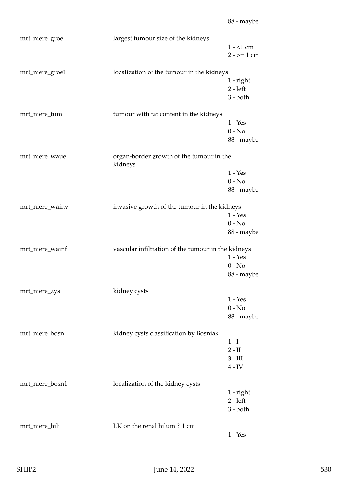| mrt_niere_groe  | largest tumour size of the kidneys                  | $1 - 1$ cm<br>$2 - \ge 1$ cm               |
|-----------------|-----------------------------------------------------|--------------------------------------------|
| mrt_niere_groe1 | localization of the tumour in the kidneys           | $1$ - right<br>$2 - left$<br>$3 - both$    |
| mrt_niere_tum   | tumour with fat content in the kidneys              | $1 - Yes$<br>$0 - No$<br>88 - maybe        |
| mrt_niere_waue  | organ-border growth of the tumour in the<br>kidneys | $1 - Yes$<br>$0 - No$<br>88 - maybe        |
| mrt_niere_wainv | invasive growth of the tumour in the kidneys        | $1 - Yes$<br>$0 - No$<br>88 - maybe        |
| mrt_niere_wainf | vascular infiltration of the tumour in the kidneys  | $1 - Yes$<br>$0 - No$<br>88 - maybe        |
| mrt_niere_zys   | kidney cysts                                        | $1 - Yes$<br>$0 - No$<br>88 - maybe        |
| mrt_niere_bosn  | kidney cysts classification by Bosniak              | $1-I$<br>$2 - II$<br>$3 - III$<br>$4 - IV$ |
| mrt_niere_bosn1 | localization of the kidney cysts                    | $1$ - right<br>$2 - left$<br>$3 - both$    |
| mrt_niere_hili  | LK on the renal hilum? 1 cm                         | $1 - Yes$                                  |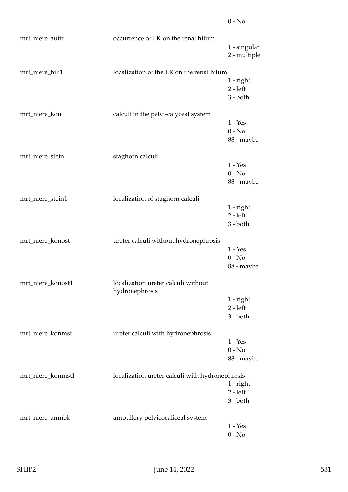| mrt_niere_auftr   | occurrence of LK on the renal hilum                   | 1 - singular<br>2 - multiple            |
|-------------------|-------------------------------------------------------|-----------------------------------------|
| mrt_niere_hili1   | localization of the LK on the renal hilum             | $1$ - right<br>$2 - left$<br>$3 - both$ |
| mrt_niere_kon     | calculi in the pelvi-calyceal system                  | $1 - Yes$<br>$0 - No$<br>88 - maybe     |
| mrt_niere_stein   | staghorn calculi                                      | $1 - Yes$<br>$0 - No$<br>88 - maybe     |
| mrt_niere_stein1  | localization of staghorn calculi                      | $1$ - right<br>$2 - left$<br>$3 - both$ |
| mrt_niere_konost  | ureter calculi without hydronephrosis                 | $1 - Yes$<br>$0 - No$<br>88 - maybe     |
| mrt_niere_konost1 | localization ureter calculi without<br>hydronephrosis | $1$ - right<br>$2 - left$<br>$3 - both$ |
| mrt_niere_konmst  | ureter calculi with hydronephrosis                    | $1 - Yes$<br>$0 - No$<br>88 - maybe     |
| mrt_niere_konmst1 | localization ureter calculi with hydronephrosis       | $1$ - right<br>$2 - left$<br>$3 - both$ |
| mrt_niere_amnbk   | ampullery pelvicocaliceal system                      | $1 - Yes$<br>$0 - No$                   |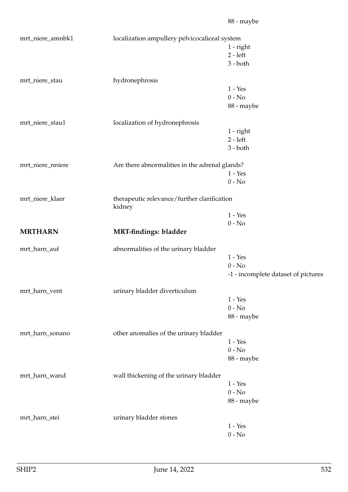| mrt_niere_amnbk1 | localization ampullery pelvicocaliceal system         |                                     |
|------------------|-------------------------------------------------------|-------------------------------------|
|                  |                                                       | 1 - right                           |
|                  |                                                       | $2 - left$                          |
|                  |                                                       | $3 - both$                          |
|                  |                                                       |                                     |
| mrt_niere_stau   | hydronephrosis                                        |                                     |
|                  |                                                       | $1 - Yes$                           |
|                  |                                                       | $0 - No$                            |
|                  |                                                       | 88 - maybe                          |
|                  |                                                       |                                     |
| mrt_niere_stau1  | localization of hydronephrosis                        |                                     |
|                  |                                                       | 1 - right                           |
|                  |                                                       | $2 - left$                          |
|                  |                                                       | $3 - both$                          |
| mrt_niere_nniere | Are there abnormalities in the adrenal glands?        |                                     |
|                  |                                                       | $1 - Yes$                           |
|                  |                                                       | $0 - No$                            |
|                  |                                                       |                                     |
| mrt_niere_klaer  | therapeutic relevance/further clarification<br>kidney |                                     |
|                  |                                                       | $1 - Yes$                           |
|                  |                                                       | $0 - No$                            |
| <b>MRTHARN</b>   | MRT-findings: bladder                                 |                                     |
| mrt_harn_auf     | abnormalities of the urinary bladder                  |                                     |
|                  |                                                       | $1 - Yes$                           |
|                  |                                                       | $0 - No$                            |
|                  |                                                       | -1 - incomplete dataset of pictures |
|                  |                                                       |                                     |
| mrt_harn_vent    | urinary bladder diverticulum                          |                                     |
|                  |                                                       | $1 - Yes$                           |
|                  |                                                       | $0 - No$                            |
|                  |                                                       | 88 - maybe                          |
|                  |                                                       |                                     |
| mrt_harn_sonano  | other anomalies of the urinary bladder                |                                     |
|                  |                                                       | $1 - Yes$                           |
|                  |                                                       | $0 - No$                            |
|                  |                                                       | 88 - maybe                          |
| mrt_harn_wand    |                                                       |                                     |
|                  | wall thickening of the urinary bladder                | $1 - Yes$                           |
|                  |                                                       |                                     |
|                  |                                                       | $0 - No$                            |
|                  |                                                       | 88 - maybe                          |
| mrt_harn_stei    | urinary bladder stones                                |                                     |
|                  |                                                       | $1 - Yes$                           |
|                  |                                                       | $0 - No$                            |
|                  |                                                       |                                     |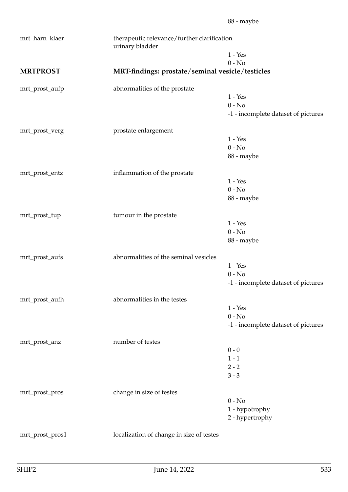| mrt_harn_klaer  | therapeutic relevance/further clarification<br>urinary bladder |                                     |
|-----------------|----------------------------------------------------------------|-------------------------------------|
|                 |                                                                | $1 - Yes$                           |
|                 |                                                                | $0 - No$                            |
| <b>MRTPROST</b> | MRT-findings: prostate/seminal vesicle/testicles               |                                     |
| mrt_prost_aufp  | abnormalities of the prostate                                  |                                     |
|                 |                                                                | $1 - Yes$                           |
|                 |                                                                | $0 - No$                            |
|                 |                                                                | -1 - incomplete dataset of pictures |
| mrt_prost_verg  | prostate enlargement                                           |                                     |
|                 |                                                                | $1 - Yes$                           |
|                 |                                                                | $0 - No$                            |
|                 |                                                                | 88 - maybe                          |
| mrt_prost_entz  | inflammation of the prostate                                   |                                     |
|                 |                                                                | $1 - Yes$                           |
|                 |                                                                | $0 - No$                            |
|                 |                                                                | 88 - maybe                          |
| mrt_prost_tup   | tumour in the prostate                                         |                                     |
|                 |                                                                | $1 - Yes$                           |
|                 |                                                                | $0 - No$                            |
|                 |                                                                | 88 - maybe                          |
| mrt_prost_aufs  | abnormalities of the seminal vesicles                          |                                     |
|                 |                                                                | $1 - Yes$                           |
|                 |                                                                | $0 - No$                            |
|                 |                                                                | -1 - incomplete dataset of pictures |
| mrt_prost_aufh  | abnormalities in the testes                                    |                                     |
|                 |                                                                | $1 - Yes$                           |
|                 |                                                                | $0 - No$                            |
|                 |                                                                | -1 - incomplete dataset of pictures |
|                 | number of testes                                               |                                     |
| mrt_prost_anz   |                                                                | $0 - 0$                             |
|                 |                                                                | $1 - 1$                             |
|                 |                                                                | $2 - 2$                             |
|                 |                                                                | $3 - 3$                             |
|                 |                                                                |                                     |
| mrt_prost_pros  | change in size of testes                                       | $0 - No$                            |
|                 |                                                                | 1 - hypotrophy                      |
|                 |                                                                | 2 - hypertrophy                     |
|                 |                                                                |                                     |
| mrt_prost_pros1 | localization of change in size of testes                       |                                     |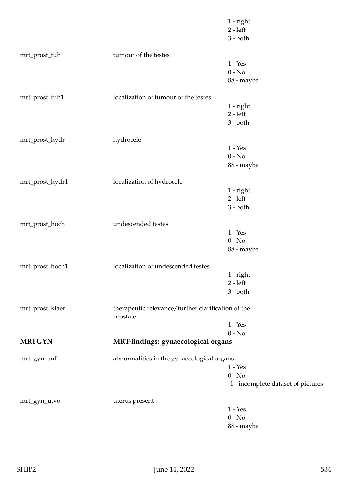|                 |                                                                | $1$ - right<br>$2 - left$<br>$3 - both$ |
|-----------------|----------------------------------------------------------------|-----------------------------------------|
| mrt_prost_tuh   | tumour of the testes                                           | $1 - Yes$<br>$0 - No$<br>88 - maybe     |
| mrt_prost_tuh1  | localization of tumour of the testes                           | 1 - right                               |
|                 |                                                                | $2 - left$<br>$3 - both$                |
| mrt_prost_hydr  | hydrocele                                                      | $1 - Yes$                               |
|                 |                                                                | $0 - No$<br>88 - maybe                  |
| mrt_prost_hydr1 | localization of hydrocele                                      |                                         |
|                 |                                                                | $1$ - right<br>$2 - left$<br>$3 - both$ |
| mrt_prost_hoch  | undescended testes                                             |                                         |
|                 |                                                                | $1 - Yes$<br>$0 - No$<br>88 - maybe     |
| mrt_prost_hoch1 | localization of undescended testes                             |                                         |
|                 |                                                                | $1$ - right<br>$2 - left$<br>$3 - both$ |
| mrt_prost_klaer | therapeutic relevance/further clarification of the<br>prostate |                                         |
|                 |                                                                | $1 - Yes$<br>$0 - No$                   |
| <b>MRTGYN</b>   | MRT-findings: gynaecological organs                            |                                         |
| mrt_gyn_auf     | abnormalities in the gynaecological organs                     | $1 - Yes$<br>$0 - No$                   |
|                 |                                                                | -1 - incomplete dataset of pictures     |
| mrt_gyn_utvo    | uterus present                                                 |                                         |
|                 |                                                                | $1 - Yes$<br>$0 - No$<br>88 - maybe     |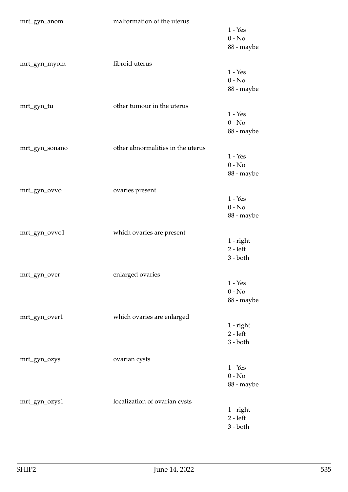| $1 - Yes$<br>$0 - No$<br>88 - maybe<br>fibroid uterus<br>mrt_gyn_myom<br>$1 - Yes$<br>$0 - No$<br>88 - maybe<br>other tumour in the uterus<br>mrt_gyn_tu<br>$1 - Yes$<br>$0 - No$<br>88 - maybe<br>other abnormalities in the uterus<br>mrt_gyn_sonano<br>$1 - Yes$<br>$0 - No$<br>88 - maybe<br>ovaries present<br>mrt_gyn_ovvo<br>$1 - Yes$<br>$0 - No$<br>88 - maybe<br>mrt_gyn_ovvo1<br>which ovaries are present<br>$1$ - right<br>$2 - left$<br>$3 - both$<br>enlarged ovaries<br>mrt_gyn_over<br>$1 - Yes$<br>$0 - No$<br>88 - maybe<br>mrt_gyn_over1<br>which ovaries are enlarged<br>$1$ - right<br>$2 - left$<br>$3 - both$<br>ovarian cysts<br>mrt_gyn_ozys<br>$1 - Yes$<br>$0 - No$<br>88 - maybe | mrt_gyn_anom | malformation of the uterus |  |
|---------------------------------------------------------------------------------------------------------------------------------------------------------------------------------------------------------------------------------------------------------------------------------------------------------------------------------------------------------------------------------------------------------------------------------------------------------------------------------------------------------------------------------------------------------------------------------------------------------------------------------------------------------------------------------------------------------------|--------------|----------------------------|--|
|                                                                                                                                                                                                                                                                                                                                                                                                                                                                                                                                                                                                                                                                                                               |              |                            |  |
|                                                                                                                                                                                                                                                                                                                                                                                                                                                                                                                                                                                                                                                                                                               |              |                            |  |
|                                                                                                                                                                                                                                                                                                                                                                                                                                                                                                                                                                                                                                                                                                               |              |                            |  |
|                                                                                                                                                                                                                                                                                                                                                                                                                                                                                                                                                                                                                                                                                                               |              |                            |  |
|                                                                                                                                                                                                                                                                                                                                                                                                                                                                                                                                                                                                                                                                                                               |              |                            |  |
|                                                                                                                                                                                                                                                                                                                                                                                                                                                                                                                                                                                                                                                                                                               |              |                            |  |
|                                                                                                                                                                                                                                                                                                                                                                                                                                                                                                                                                                                                                                                                                                               |              |                            |  |
|                                                                                                                                                                                                                                                                                                                                                                                                                                                                                                                                                                                                                                                                                                               |              |                            |  |
|                                                                                                                                                                                                                                                                                                                                                                                                                                                                                                                                                                                                                                                                                                               |              |                            |  |
|                                                                                                                                                                                                                                                                                                                                                                                                                                                                                                                                                                                                                                                                                                               |              |                            |  |
|                                                                                                                                                                                                                                                                                                                                                                                                                                                                                                                                                                                                                                                                                                               |              |                            |  |
|                                                                                                                                                                                                                                                                                                                                                                                                                                                                                                                                                                                                                                                                                                               |              |                            |  |
|                                                                                                                                                                                                                                                                                                                                                                                                                                                                                                                                                                                                                                                                                                               |              |                            |  |
|                                                                                                                                                                                                                                                                                                                                                                                                                                                                                                                                                                                                                                                                                                               |              |                            |  |
|                                                                                                                                                                                                                                                                                                                                                                                                                                                                                                                                                                                                                                                                                                               |              |                            |  |
|                                                                                                                                                                                                                                                                                                                                                                                                                                                                                                                                                                                                                                                                                                               |              |                            |  |
|                                                                                                                                                                                                                                                                                                                                                                                                                                                                                                                                                                                                                                                                                                               |              |                            |  |
|                                                                                                                                                                                                                                                                                                                                                                                                                                                                                                                                                                                                                                                                                                               |              |                            |  |
|                                                                                                                                                                                                                                                                                                                                                                                                                                                                                                                                                                                                                                                                                                               |              |                            |  |
|                                                                                                                                                                                                                                                                                                                                                                                                                                                                                                                                                                                                                                                                                                               |              |                            |  |
|                                                                                                                                                                                                                                                                                                                                                                                                                                                                                                                                                                                                                                                                                                               |              |                            |  |
|                                                                                                                                                                                                                                                                                                                                                                                                                                                                                                                                                                                                                                                                                                               |              |                            |  |
|                                                                                                                                                                                                                                                                                                                                                                                                                                                                                                                                                                                                                                                                                                               |              |                            |  |
|                                                                                                                                                                                                                                                                                                                                                                                                                                                                                                                                                                                                                                                                                                               |              |                            |  |
| localization of ovarian cysts<br>mrt_gyn_ozys1                                                                                                                                                                                                                                                                                                                                                                                                                                                                                                                                                                                                                                                                |              |                            |  |
| $1$ - right                                                                                                                                                                                                                                                                                                                                                                                                                                                                                                                                                                                                                                                                                                   |              |                            |  |
| $2 - left$<br>$3 - both$                                                                                                                                                                                                                                                                                                                                                                                                                                                                                                                                                                                                                                                                                      |              |                            |  |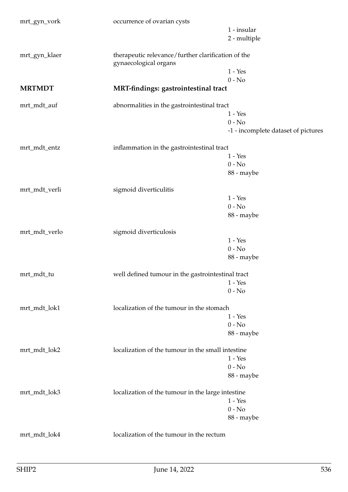| mrt_gyn_vork  | occurrence of ovarian cysts                                                 |                                     |
|---------------|-----------------------------------------------------------------------------|-------------------------------------|
|               |                                                                             | 1 - insular                         |
|               |                                                                             | 2 - multiple                        |
| mrt_gyn_klaer | therapeutic relevance/further clarification of the<br>gynaecological organs |                                     |
|               |                                                                             | $1 - Yes$                           |
|               |                                                                             | $0 - No$                            |
| <b>MRTMDT</b> | MRT-findings: gastrointestinal tract                                        |                                     |
| mrt_mdt_auf   | abnormalities in the gastrointestinal tract                                 |                                     |
|               |                                                                             | $1 - Yes$                           |
|               |                                                                             | $0 - No$                            |
|               |                                                                             | -1 - incomplete dataset of pictures |
| mrt_mdt_entz  | inflammation in the gastrointestinal tract                                  |                                     |
|               |                                                                             | $1 - Yes$                           |
|               |                                                                             | $0 - No$                            |
|               |                                                                             | 88 - maybe                          |
| mrt_mdt_verli | sigmoid diverticulitis                                                      |                                     |
|               |                                                                             | $1 - Yes$                           |
|               |                                                                             | $0 - No$                            |
|               |                                                                             | 88 - maybe                          |
|               |                                                                             |                                     |
| mrt_mdt_verlo | sigmoid diverticulosis                                                      |                                     |
|               |                                                                             | $1 - Yes$                           |
|               |                                                                             | $0 - No$                            |
|               |                                                                             | 88 - maybe                          |
| mrt_mdt_tu    | well defined tumour in the gastrointestinal tract                           |                                     |
|               |                                                                             | $1 - Yes$                           |
|               |                                                                             | $0 - No$                            |
| mrt_mdt_lok1  | localization of the tumour in the stomach                                   |                                     |
|               |                                                                             | $1 - Yes$                           |
|               |                                                                             | $0 - No$                            |
|               |                                                                             | 88 - maybe                          |
| mrt_mdt_lok2  | localization of the tumour in the small intestine                           |                                     |
|               |                                                                             | $1 - Yes$                           |
|               |                                                                             | $0 - No$                            |
|               |                                                                             | 88 - maybe                          |
| mrt_mdt_lok3  | localization of the tumour in the large intestine                           |                                     |
|               |                                                                             | $1 - Yes$                           |
|               |                                                                             | $0 - No$                            |
|               |                                                                             | 88 - maybe                          |
| mrt_mdt_lok4  | localization of the tumour in the rectum                                    |                                     |
|               |                                                                             |                                     |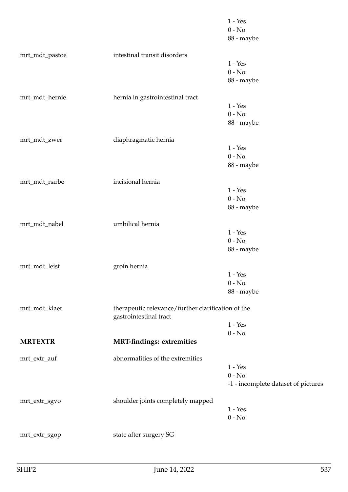|                |                                                                              | $1 - Yes$<br>$0 - No$<br>88 - maybe |
|----------------|------------------------------------------------------------------------------|-------------------------------------|
| mrt_mdt_pastoe | intestinal transit disorders                                                 |                                     |
|                |                                                                              | $1 - Yes$                           |
|                |                                                                              | $0 - No$                            |
|                |                                                                              | 88 - maybe                          |
| mrt_mdt_hernie | hernia in gastrointestinal tract                                             |                                     |
|                |                                                                              | $1 - Yes$                           |
|                |                                                                              | $0 - No$                            |
|                |                                                                              | 88 - maybe                          |
| mrt_mdt_zwer   | diaphragmatic hernia                                                         |                                     |
|                |                                                                              | $1 - Yes$                           |
|                |                                                                              | $0 - No$                            |
|                |                                                                              | 88 - maybe                          |
| mrt_mdt_narbe  | incisional hernia                                                            |                                     |
|                |                                                                              | $1 - Yes$                           |
|                |                                                                              | $0 - No$                            |
|                |                                                                              | 88 - maybe                          |
| mrt_mdt_nabel  | umbilical hernia                                                             |                                     |
|                |                                                                              | $1 - Yes$                           |
|                |                                                                              | $0 - No$                            |
|                |                                                                              | 88 - maybe                          |
| mrt_mdt_leist  | groin hernia                                                                 |                                     |
|                |                                                                              | $1 - Yes$                           |
|                |                                                                              | $0 - No$                            |
|                |                                                                              | 88 - maybe                          |
| mrt_mdt_klaer  | therapeutic relevance/further clarification of the<br>gastrointestinal tract |                                     |
|                |                                                                              | $1 - Yes$                           |
|                |                                                                              | $0 - No$                            |
| <b>MRTEXTR</b> | <b>MRT-findings: extremities</b>                                             |                                     |
| mrt_extr_auf   | abnormalities of the extremities                                             |                                     |
|                |                                                                              | $1 - Yes$                           |
|                |                                                                              | $0 - No$                            |
|                |                                                                              | -1 - incomplete dataset of pictures |
| mrt_extr_sgvo  | shoulder joints completely mapped                                            |                                     |
|                |                                                                              | $1 - Yes$                           |
|                |                                                                              | $0 - No$                            |
| mrt_extr_sgop  | state after surgery SG                                                       |                                     |
|                |                                                                              |                                     |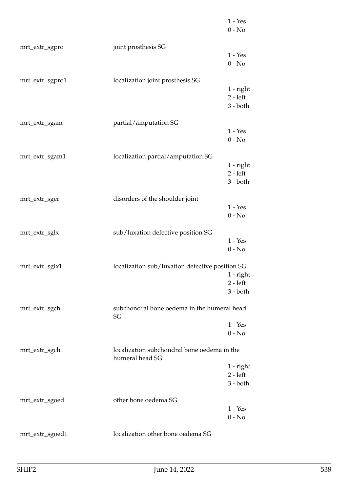|                 |                                                                | $1 - Yes$<br>$0 - No$               |
|-----------------|----------------------------------------------------------------|-------------------------------------|
| mrt_extr_sgpro  | joint prosthesis SG                                            | $1 - Yes$                           |
|                 |                                                                | $0 - No$                            |
| mrt_extr_sgpro1 | localization joint prosthesis SG                               | 1 - right<br>$2 - left$<br>3 - both |
| mrt_extr_sgam   | partial/amputation SG                                          |                                     |
|                 |                                                                | $1 - Yes$<br>$0 - No$               |
| mrt_extr_sgam1  | localization partial/amputation SG                             |                                     |
|                 |                                                                | 1 - right                           |
|                 |                                                                | $2 - left$<br>$3 - both$            |
|                 |                                                                |                                     |
| mrt_extr_sger   | disorders of the shoulder joint                                |                                     |
|                 |                                                                | $1 - Yes$                           |
|                 |                                                                | $0 - No$                            |
| mrt_extr_sglx   | sub/luxation defective position SG                             |                                     |
|                 |                                                                | $1 - Yes$                           |
|                 |                                                                | $0 - No$                            |
| mrt_extr_sglx1  | localization sub/luxation defective position SG                |                                     |
|                 |                                                                | 1 - right                           |
|                 |                                                                | $2 - left$                          |
|                 |                                                                | $3 - both$                          |
| mrt_extr_sgch   | subchondral bone oedema in the humeral head<br>SG              |                                     |
|                 |                                                                | $1 - Yes$                           |
|                 |                                                                | $0 - No$                            |
| mrt_extr_sgch1  | localization subchondral bone oedema in the<br>humeral head SG |                                     |
|                 |                                                                | 1 - right                           |
|                 |                                                                | $2 - left$                          |
|                 |                                                                | $3 - both$                          |
| mrt_extr_sgoed  | other bone oedema SG                                           |                                     |
|                 |                                                                | $1 - Yes$                           |
|                 |                                                                | $0 - No$                            |
| mrt_extr_sgoed1 | localization other bone oedema SG                              |                                     |
|                 |                                                                |                                     |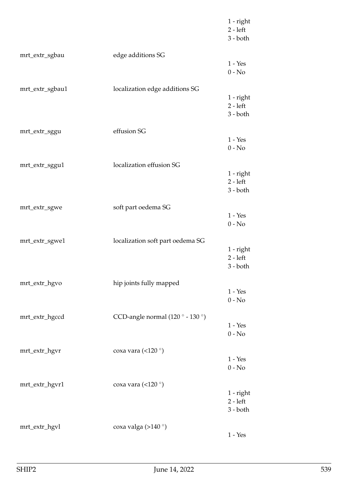|                 |                                  | $1$ - right<br>$2 - left$<br>$3 - both$ |
|-----------------|----------------------------------|-----------------------------------------|
| mrt_extr_sgbau  | edge additions SG                | $1 - Yes$<br>$0 - No$                   |
| mrt_extr_sgbau1 | localization edge additions SG   | $1$ - right<br>$2 - left$<br>$3 - both$ |
| mrt_extr_sggu   | effusion SG                      | $1 - Yes$<br>$0 - No$                   |
| mrt_extr_sggu1  | localization effusion SG         | $1$ - right<br>$2 - left$<br>$3 - both$ |
| mrt_extr_sgwe   | soft part oedema SG              | $1 - Yes$<br>$0 - No$                   |
| mrt_extr_sgwe1  | localization soft part oedema SG | $1$ - right<br>$2 - left$<br>$3 - both$ |
| mrt_extr_hgvo   | hip joints fully mapped          | $1 - Yes$<br>$0 - No$                   |
| mrt_extr_hgccd  | CCD-angle normal (120° - 130°)   | $1 - Yes$<br>$0 - No$                   |
| mrt_extr_hgvr   | coxa vara (<120 $^{\circ}$ )     | $1 - Yes$<br>$0 - No$                   |
| mrt_extr_hgvr1  | coxa vara (<120 $^{\circ}$ )     | $1$ - right<br>$2 - left$<br>$3 - both$ |
| mrt_extr_hgvl   | coxa valga (>140 $\degree$ )     | $1 - Yes$                               |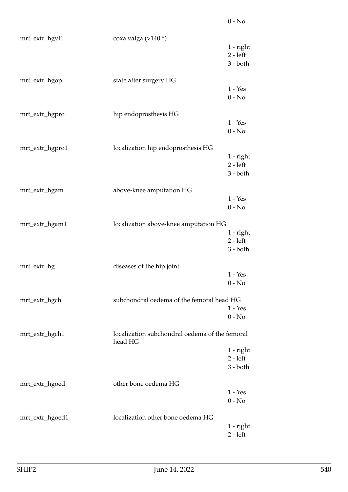| mrt_extr_hgvl1  | coxa valga (>140 $\degree$ )                              |                                         |
|-----------------|-----------------------------------------------------------|-----------------------------------------|
|                 |                                                           | $1$ - right<br>$2 - left$<br>$3 - both$ |
| mrt_extr_hgop   | state after surgery HG                                    |                                         |
|                 |                                                           | $1 - Yes$<br>$0 - No$                   |
| mrt_extr_hgpro  | hip endoprosthesis HG                                     |                                         |
|                 |                                                           | $1 - Yes$<br>$0 - No$                   |
| mrt_extr_hgpro1 | localization hip endoprosthesis HG                        |                                         |
|                 |                                                           | $1$ - right<br>$2 - left$               |
|                 |                                                           | $3 - both$                              |
| mrt_extr_hgam   | above-knee amputation HG                                  |                                         |
|                 |                                                           | $1 - Yes$<br>$0 - No$                   |
| mrt_extr_hgam1  | localization above-knee amputation HG                     |                                         |
|                 |                                                           | $1$ - right<br>$2 - left$<br>$3 - both$ |
| mrt_extr_hg     | diseases of the hip joint                                 |                                         |
|                 |                                                           | $1 - Yes$<br>$0 - No$                   |
| mrt_extr_hgch   | subchondral oedema of the femoral head HG                 |                                         |
|                 |                                                           | $1 - Yes$<br>$0 - No$                   |
| mrt_extr_hgch1  | localization subchondral oedema of the femoral<br>head HG |                                         |
|                 |                                                           | $1$ - right<br>$2 - left$               |
|                 |                                                           | $3 - both$                              |
| mrt_extr_hgoed  | other bone oedema HG                                      |                                         |
|                 |                                                           | $1 - Yes$<br>$0 - No$                   |
| mrt_extr_hgoed1 | localization other bone oedema HG                         |                                         |
|                 |                                                           | $1$ - right<br>$2 - left$               |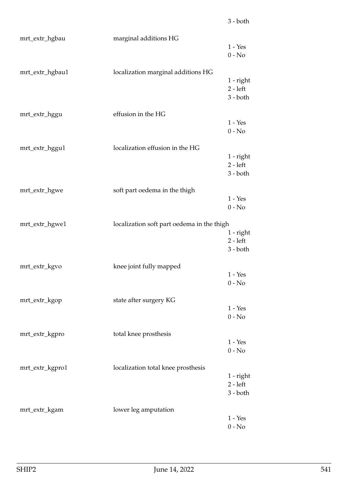| mrt_extr_hgbau  | marginal additions HG                      | $1 - Yes$<br>$0 - No$                   |
|-----------------|--------------------------------------------|-----------------------------------------|
| mrt_extr_hgbau1 | localization marginal additions HG         | $1$ - right<br>$2 - left$<br>$3 - both$ |
| mrt_extr_hggu   | effusion in the HG                         | $1 - Yes$<br>$0 - No$                   |
| mrt_extr_hggu1  | localization effusion in the HG            | 1 - right<br>$2 - left$<br>$3 - both$   |
| mrt_extr_hgwe   | soft part oedema in the thigh              | $1 - Yes$<br>$0 - No$                   |
| mrt_extr_hgwe1  | localization soft part oedema in the thigh | 1 - right<br>$2 - left$<br>$3 - both$   |
| mrt_extr_kgvo   | knee joint fully mapped                    | $1 - Yes$<br>$0 - No$                   |
| mrt_extr_kgop   | state after surgery KG                     | $1 - Yes$<br>$0 - No$                   |
| mrt_extr_kgpro  | total knee prosthesis                      | $1 - Yes$<br>$0 - No$                   |
| mrt_extr_kgpro1 | localization total knee prosthesis         | $1$ - right<br>$2 - left$<br>$3 - both$ |
| mrt_extr_kgam   | lower leg amputation                       | $1 - Yes$<br>$0 - No$                   |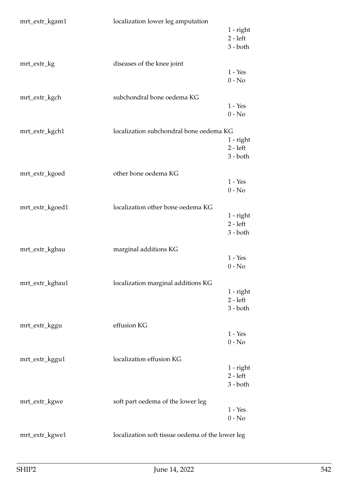| mrt_extr_kgam1  | localization lower leg amputation                | $1$ - right<br>$2 - left$<br>$3 - both$ |
|-----------------|--------------------------------------------------|-----------------------------------------|
| mrt_extr_kg     | diseases of the knee joint                       | $1 - Yes$<br>$0 - No$                   |
| mrt_extr_kgch   | subchondral bone oedema KG                       | $1 - Yes$<br>$0 - No$                   |
| mrt_extr_kgch1  | localization subchondral bone oedema KG          | 1 - right<br>$2 - left$<br>$3 - both$   |
| mrt_extr_kgoed  | other bone oedema KG                             | $1 - Yes$<br>$0 - No$                   |
| mrt_extr_kgoed1 | localization other bone oedema KG                | $1$ - right<br>$2 - left$<br>$3 - both$ |
| mrt_extr_kgbau  | marginal additions KG                            | $1 - Yes$<br>$0 - No$                   |
| mrt_extr_kgbau1 | localization marginal additions KG               | $1$ - right<br>$2 - left$<br>$3 - both$ |
| mrt_extr_kggu   | effusion KG                                      | $1 - Yes$<br>$0 - No$                   |
| mrt_extr_kggu1  | localization effusion KG                         | $1$ - right<br>$2 - left$<br>$3 - both$ |
| mrt_extr_kgwe   | soft part oedema of the lower leg                | $1 - Yes$<br>$0 - No$                   |
| mrt_extr_kgwe1  | localization soft tissue oedema of the lower leg |                                         |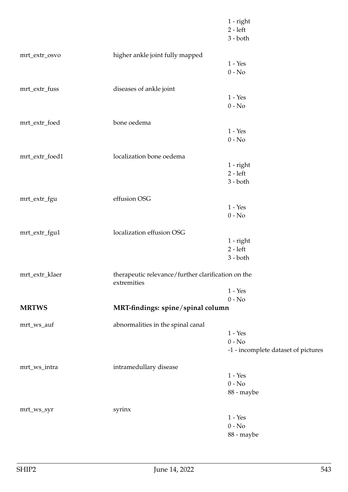|                |                                                                   | $1$ - right<br>$2 - left$<br>$3 - both$ |
|----------------|-------------------------------------------------------------------|-----------------------------------------|
| mrt_extr_osvo  | higher ankle joint fully mapped                                   |                                         |
|                |                                                                   | $1 - Yes$                               |
|                |                                                                   | $0 - No$                                |
| mrt_extr_fuss  | diseases of ankle joint                                           |                                         |
|                |                                                                   | $1 - Yes$                               |
|                |                                                                   | $0 - No$                                |
| mrt_extr_foed  | bone oedema                                                       |                                         |
|                |                                                                   | $1 - Yes$                               |
|                |                                                                   | $0 - No$                                |
| mrt_extr_foed1 | localization bone oedema                                          |                                         |
|                |                                                                   | 1 - right                               |
|                |                                                                   | $2 - left$                              |
|                |                                                                   | $3 - both$                              |
| mrt_extr_fgu   | effusion OSG                                                      |                                         |
|                |                                                                   | $1 - Yes$                               |
|                |                                                                   | $0 - No$                                |
| mrt_extr_fgu1  | localization effusion OSG                                         |                                         |
|                |                                                                   | 1 - right                               |
|                |                                                                   | $2 - left$                              |
|                |                                                                   | $3 - both$                              |
| mrt_extr_klaer | therapeutic relevance/further clarification on the<br>extremities |                                         |
|                |                                                                   | $1 - Yes$                               |
|                |                                                                   | $0 - No$                                |
| <b>MRTWS</b>   | MRT-findings: spine/spinal column                                 |                                         |
| mrt_ws_auf     | abnormalities in the spinal canal                                 |                                         |
|                |                                                                   | $1 - Yes$                               |
|                |                                                                   | $0 - No$                                |
|                |                                                                   | -1 - incomplete dataset of pictures     |
| mrt_ws_intra   | intramedullary disease                                            |                                         |
|                |                                                                   | $1 - Yes$                               |
|                |                                                                   | $0 - No$                                |
|                |                                                                   | 88 - maybe                              |
| mrt_ws_syr     | syrinx                                                            |                                         |
|                |                                                                   | $1 - Yes$                               |
|                |                                                                   | $0 - No$                                |
|                |                                                                   | 88 - maybe                              |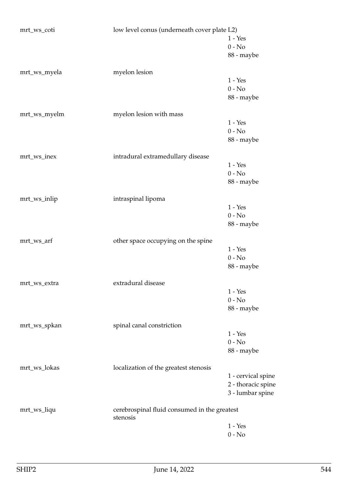| mrt_ws_coti  | low level conus (underneath cover plate L2)              |                    |
|--------------|----------------------------------------------------------|--------------------|
|              |                                                          | $1 - Yes$          |
|              |                                                          | $0 - No$           |
|              |                                                          | 88 - maybe         |
| mrt_ws_myela | myelon lesion                                            |                    |
|              |                                                          | $1 - Yes$          |
|              |                                                          | $0 - No$           |
|              |                                                          | 88 - maybe         |
| mrt_ws_myelm | myelon lesion with mass                                  |                    |
|              |                                                          | $1 - Yes$          |
|              |                                                          | $0 - No$           |
|              |                                                          | 88 - maybe         |
| mrt_ws_inex  | intradural extramedullary disease                        |                    |
|              |                                                          | $1 - Yes$          |
|              |                                                          | $0 - No$           |
|              |                                                          | 88 - maybe         |
| mrt_ws_inlip | intraspinal lipoma                                       |                    |
|              |                                                          | $1 - Yes$          |
|              |                                                          | $0 - No$           |
|              |                                                          | 88 - maybe         |
| mrt_ws_arf   | other space occupying on the spine                       |                    |
|              |                                                          | $1 - Yes$          |
|              |                                                          | $0 - No$           |
|              |                                                          | 88 - maybe         |
| mrt_ws_extra | extradural disease                                       |                    |
|              |                                                          | $1 - Yes$          |
|              |                                                          | $0 - No$           |
|              |                                                          | 88 - maybe         |
| mrt_ws_spkan | spinal canal constriction                                |                    |
|              |                                                          | $1 - Yes$          |
|              |                                                          | $0 - No$           |
|              |                                                          | 88 - maybe         |
| mrt_ws_lokas | localization of the greatest stenosis                    |                    |
|              |                                                          | 1 - cervical spine |
|              |                                                          | 2 - thoracic spine |
|              |                                                          | 3 - lumbar spine   |
| mrt_ws_liqu  | cerebrospinal fluid consumed in the greatest<br>stenosis |                    |
|              |                                                          | $1 - Yes$          |
|              |                                                          | $0 - No$           |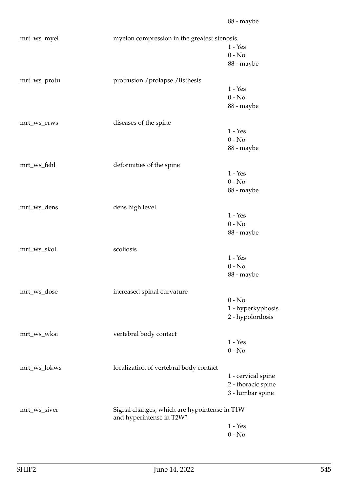| mrt_ws_myel  | myelon compression in the greatest stenosis                              |                    |
|--------------|--------------------------------------------------------------------------|--------------------|
|              |                                                                          | $1 - Yes$          |
|              |                                                                          | $0 - No$           |
|              |                                                                          | 88 - maybe         |
| mrt_ws_protu | protrusion / prolapse / listhesis                                        |                    |
|              |                                                                          | $1 - Yes$          |
|              |                                                                          | $0 - No$           |
|              |                                                                          | 88 - maybe         |
| mrt_ws_erws  | diseases of the spine                                                    |                    |
|              |                                                                          | $1 - Yes$          |
|              |                                                                          | $0 - No$           |
|              |                                                                          | 88 - maybe         |
| mrt_ws_fehl  | deformities of the spine                                                 |                    |
|              |                                                                          | $1 - Yes$          |
|              |                                                                          | $0 - No$           |
|              |                                                                          | 88 - maybe         |
| mrt_ws_dens  | dens high level                                                          |                    |
|              |                                                                          | $1 - Yes$          |
|              |                                                                          | $0 - No$           |
|              |                                                                          | 88 - maybe         |
| mrt_ws_skol  | scoliosis                                                                |                    |
|              |                                                                          | $1 - Yes$          |
|              |                                                                          | $0 - No$           |
|              |                                                                          | 88 - maybe         |
| mrt_ws_dose  | increased spinal curvature                                               |                    |
|              |                                                                          | $0 - No$           |
|              |                                                                          | 1 - hyperkyphosis  |
|              |                                                                          | 2 - hypolordosis   |
| mrt_ws_wksi  | vertebral body contact                                                   |                    |
|              |                                                                          | $1 - Yes$          |
|              |                                                                          | $0 - No$           |
| mrt_ws_lokws | localization of vertebral body contact                                   |                    |
|              |                                                                          | 1 - cervical spine |
|              |                                                                          | 2 - thoracic spine |
|              |                                                                          | 3 - lumbar spine   |
| mrt_ws_siver | Signal changes, which are hypointense in T1W<br>and hyperintense in T2W? |                    |
|              |                                                                          | $1 - Yes$          |
|              |                                                                          | $0$ - $\hbox{No}$  |
|              |                                                                          |                    |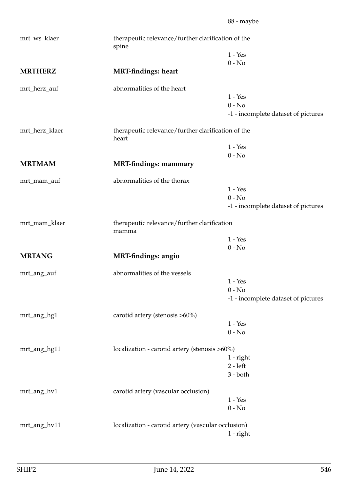| mrt_ws_klaer   | therapeutic relevance/further clarification of the<br>spine |                                     |
|----------------|-------------------------------------------------------------|-------------------------------------|
|                |                                                             | $1 - Yes$                           |
|                |                                                             | $0 - No$                            |
| <b>MRTHERZ</b> | <b>MRT-findings: heart</b>                                  |                                     |
| mrt_herz_auf   | abnormalities of the heart                                  |                                     |
|                |                                                             | $1 - Yes$                           |
|                |                                                             | $0 - No$                            |
|                |                                                             | -1 - incomplete dataset of pictures |
| mrt_herz_klaer | therapeutic relevance/further clarification of the<br>heart |                                     |
|                |                                                             | $1 - Yes$                           |
|                |                                                             | $0 - No$                            |
| <b>MRTMAM</b>  | <b>MRT-findings: mammary</b>                                |                                     |
| mrt_mam_auf    | abnormalities of the thorax                                 |                                     |
|                |                                                             | $1 - Yes$                           |
|                |                                                             | $0 - No$                            |
|                |                                                             | -1 - incomplete dataset of pictures |
| mrt_mam_klaer  | therapeutic relevance/further clarification<br>mamma        |                                     |
|                |                                                             | $1 - Yes$                           |
|                |                                                             | $0 - No$                            |
| <b>MRTANG</b>  | <b>MRT-findings: angio</b>                                  |                                     |
| mrt_ang_auf    | abnormalities of the vessels                                |                                     |
|                |                                                             | $1 - Yes$                           |
|                |                                                             | $0 - No$                            |
|                |                                                             | -1 - incomplete dataset of pictures |
| mrt_ang_hg1    | carotid artery (stenosis >60%)                              |                                     |
|                |                                                             | $1 - Yes$                           |
|                |                                                             | $0 - No$                            |
| mrt_ang_hg11   | localization - carotid artery (stenosis >60%)               |                                     |
|                |                                                             | $1$ - right                         |
|                |                                                             | $2 - left$                          |
|                |                                                             | $3 - both$                          |
| mrt_ang_hv1    | carotid artery (vascular occlusion)                         |                                     |
|                |                                                             | $1 - Yes$                           |
|                |                                                             | $0 - No$                            |
| mrt_ang_hv11   | localization - carotid artery (vascular occlusion)          |                                     |
|                |                                                             | $1$ - right                         |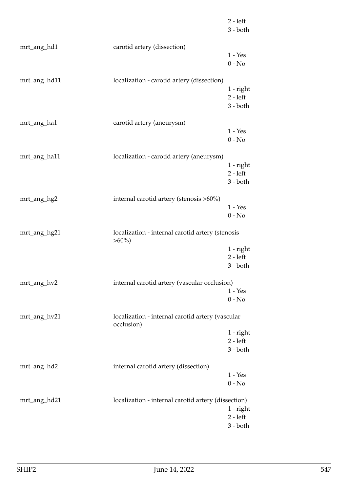|              |                                                              | $2 - left$<br>$3 - both$                |
|--------------|--------------------------------------------------------------|-----------------------------------------|
| mrt_ang_hd1  | carotid artery (dissection)                                  |                                         |
|              |                                                              | $1 - Yes$<br>$0 - No$                   |
| mrt_ang_hd11 | localization - carotid artery (dissection)                   |                                         |
|              |                                                              | $1$ - right<br>$2 - left$<br>$3 - both$ |
| mrt_ang_ha1  | carotid artery (aneurysm)                                    |                                         |
|              |                                                              | $1 - Yes$<br>$0 - No$                   |
| mrt_ang_ha11 | localization - carotid artery (aneurysm)                     |                                         |
|              |                                                              | $1$ - right<br>$2 - left$               |
|              |                                                              | $3 - both$                              |
| mrt_ang_hg2  | internal carotid artery (stenosis >60%)                      |                                         |
|              |                                                              | $1 - Yes$<br>$0 - No$                   |
| mrt_ang_hg21 | localization - internal carotid artery (stenosis<br>$>60\%)$ |                                         |
|              |                                                              | $1$ - right<br>$2 - left$               |
|              |                                                              | $3 - both$                              |
| mrt_ang_hv2  | internal carotid artery (vascular occlusion)                 |                                         |
|              |                                                              | $1 - Yes$<br>$0 - No$                   |
| mrt_ang_hv21 | localization - internal carotid artery (vascular             |                                         |
|              |                                                              |                                         |
|              | occlusion)                                                   | $1$ - right                             |
|              |                                                              | $2 - left$<br>$3 - both$                |
|              |                                                              |                                         |
| mrt_ang_hd2  | internal carotid artery (dissection)                         | $1 - Yes$                               |
|              |                                                              | $0 - No$                                |
| mrt_ang_hd21 | localization - internal carotid artery (dissection)          |                                         |
|              |                                                              | 1 - right<br>$2 - left$                 |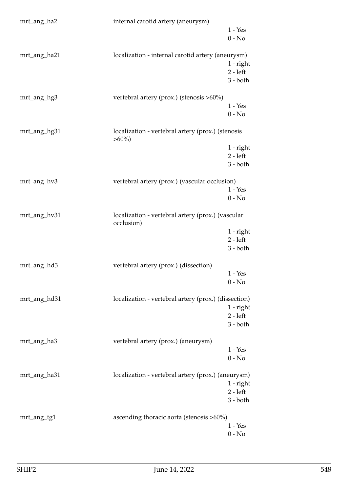| mrt_ang_ha2  | internal carotid artery (aneurysm)                            |                           |
|--------------|---------------------------------------------------------------|---------------------------|
|              |                                                               | $1 - Yes$                 |
|              |                                                               | $0 - No$                  |
|              |                                                               |                           |
| mrt_ang_ha21 | localization - internal carotid artery (aneurysm)             |                           |
|              |                                                               | $1$ - right<br>$2 - left$ |
|              |                                                               | $3 - both$                |
|              |                                                               |                           |
| mrt_ang_hg3  | vertebral artery (prox.) (stenosis >60%)                      |                           |
|              |                                                               | $1 - Yes$                 |
|              |                                                               | $0 - No$                  |
|              |                                                               |                           |
| mrt_ang_hg31 | localization - vertebral artery (prox.) (stenosis<br>$>60\%)$ |                           |
|              |                                                               | $1$ - right               |
|              |                                                               | $2 - left$                |
|              |                                                               | $3 - both$                |
|              |                                                               |                           |
| mrt_ang_hv3  | vertebral artery (prox.) (vascular occlusion)                 |                           |
|              |                                                               | $1 - Yes$                 |
|              |                                                               | $0 - No$                  |
| mrt_ang_hv31 | localization - vertebral artery (prox.) (vascular             |                           |
|              | occlusion)                                                    |                           |
|              |                                                               | $1$ - right               |
|              |                                                               | $2 - left$                |
|              |                                                               | $3 - both$                |
| mrt_ang_hd3  | vertebral artery (prox.) (dissection)                         |                           |
|              |                                                               | $1 - Yes$                 |
|              |                                                               | $0 - No$                  |
|              |                                                               |                           |
| mrt_ang_hd31 | localization - vertebral artery (prox.) (dissection)          |                           |
|              |                                                               | 1 - right<br>$2 - left$   |
|              |                                                               | $3 - both$                |
|              |                                                               |                           |
| mrt_ang_ha3  | vertebral artery (prox.) (aneurysm)                           |                           |
|              |                                                               | $1 - Yes$                 |
|              |                                                               | $0 - No$                  |
|              |                                                               |                           |
| mrt_ang_ha31 | localization - vertebral artery (prox.) (aneurysm)            | $1$ - right               |
|              |                                                               | $2 - left$                |
|              |                                                               | $3 - both$                |
|              |                                                               |                           |
| mrt_ang_tg1  | ascending thoracic aorta (stenosis >60%)                      |                           |
|              |                                                               | $1 - Yes$                 |
|              |                                                               | $0 - No$                  |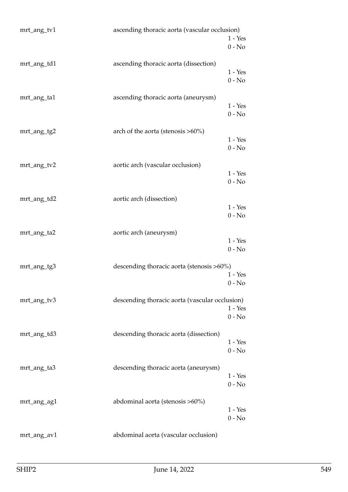| mrt_ang_tv1 | ascending thoracic aorta (vascular occlusion)  | $1 - Yes$<br>$0 - No$ |
|-------------|------------------------------------------------|-----------------------|
| mrt_ang_td1 | ascending thoracic aorta (dissection)          | $1 - Yes$<br>$0 - No$ |
| mrt_ang_ta1 | ascending thoracic aorta (aneurysm)            | $1 - Yes$<br>$0 - No$ |
| mrt_ang_tg2 | arch of the aorta (stenosis $>60\%)$           | $1 - Yes$<br>$0 - No$ |
| mrt_ang_tv2 | aortic arch (vascular occlusion)               | $1 - Yes$<br>$0 - No$ |
| mrt_ang_td2 | aortic arch (dissection)                       | $1 - Yes$<br>$0 - No$ |
| mrt_ang_ta2 | aortic arch (aneurysm)                         | $1 - Yes$<br>$0 - No$ |
| mrt_ang_tg3 | descending thoracic aorta (stenosis >60%)      | $1 - Yes$<br>$0 - No$ |
| mrt_ang_tv3 | descending thoracic aorta (vascular occlusion) | $1 - Yes$<br>$0 - No$ |
| mrt_ang_td3 | descending thoracic aorta (dissection)         | $1 - Yes$<br>$0 - No$ |
| mrt_ang_ta3 | descending thoracic aorta (aneurysm)           | $1 - Yes$<br>$0 - No$ |
| mrt_ang_ag1 | abdominal aorta (stenosis >60%)                | $1 - Yes$<br>$0 - No$ |
| mrt_ang_av1 | abdominal aorta (vascular occlusion)           |                       |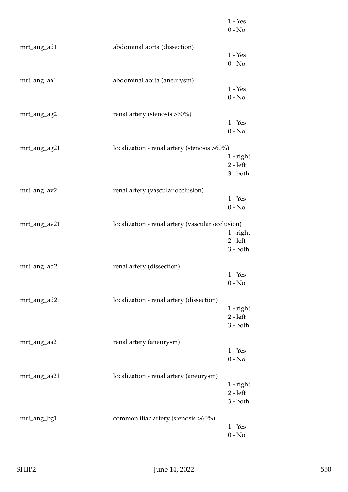|              |                                                  | $1 - Yes$<br>$0 - No$                 |
|--------------|--------------------------------------------------|---------------------------------------|
| mrt_ang_ad1  | abdominal aorta (dissection)                     | $1 - Yes$<br>$0 - No$                 |
| mrt_ang_aa1  | abdominal aorta (aneurysm)                       | $1 - Yes$<br>$0 - No$                 |
| mrt_ang_ag2  | renal artery (stenosis >60%)                     | $1 - Yes$<br>$0 - No$                 |
| mrt_ang_ag21 | localization - renal artery (stenosis >60%)      | $1 - right$<br>$2 - left$<br>3 - both |
| mrt_ang_av2  | renal artery (vascular occlusion)                | $1 - Yes$<br>$0 - No$                 |
| mrt_ang_av21 | localization - renal artery (vascular occlusion) | 1 - right<br>$2 - left$<br>$3 - both$ |
| mrt_ang_ad2  | renal artery (dissection)                        | $1 - Yes$<br>$0 - No$                 |
| mrt_ang_ad21 | localization - renal artery (dissection)         | 1 - right<br>$2 - left$<br>$3 - both$ |
| mrt_ang_aa2  | renal artery (aneurysm)                          | $1 - Yes$<br>$0 - No$                 |
| mrt_ang_aa21 | localization - renal artery (aneurysm)           | 1 - right<br>$2 - left$<br>$3 - both$ |
| mrt_ang_bg1  | common iliac artery (stenosis >60%)              | $1 - Yes$<br>$0 - No$                 |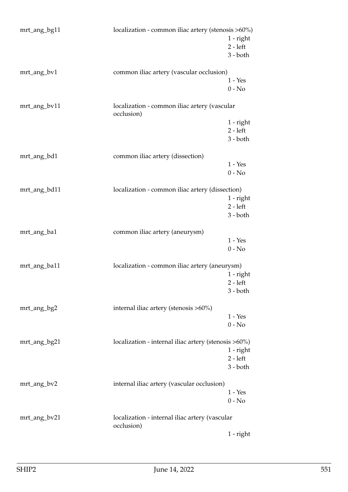| mrt_ang_bg11 | localization - common iliac artery (stenosis >60%)           | 1 - right<br>$2 - left$<br>$3 - both$   |
|--------------|--------------------------------------------------------------|-----------------------------------------|
| mrt_ang_bv1  | common iliac artery (vascular occlusion)                     | $1 - Yes$<br>$0 - No$                   |
| mrt_ang_bv11 | localization - common iliac artery (vascular<br>occlusion)   |                                         |
|              |                                                              | 1 - right<br>$2 - left$<br>$3 - both$   |
| mrt_ang_bd1  | common iliac artery (dissection)                             |                                         |
|              |                                                              | $1 - Yes$<br>$0 - No$                   |
| mrt_ang_bd11 | localization - common iliac artery (dissection)              | $1$ - right<br>$2 - left$<br>3 - both   |
| mrt_ang_ba1  | common iliac artery (aneurysm)                               | $1 - Yes$<br>$0 - No$                   |
| mrt_ang_ba11 | localization - common iliac artery (aneurysm)                | $1$ - right<br>$2 - left$<br>$3 - both$ |
| mrt_ang_bg2  | internal iliac artery (stenosis >60%)                        | $1 - Yes$<br>$0 - No$                   |
| mrt_ang_bg21 | localization - internal iliac artery (stenosis >60%)         | 1 - right<br>$2 - left$<br>$3 - both$   |
| mrt_ang_bv2  | internal iliac artery (vascular occlusion)                   | $1 - Yes$<br>$0 - No$                   |
| mrt_ang_bv21 | localization - internal iliac artery (vascular<br>occlusion) |                                         |
|              |                                                              | $1$ - right                             |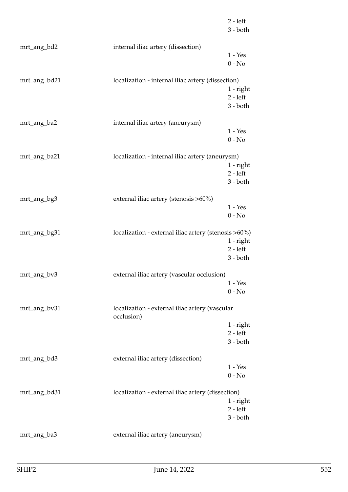|              |                                                      | 2 - left<br>$3 - both$ |
|--------------|------------------------------------------------------|------------------------|
| mrt_ang_bd2  | internal iliac artery (dissection)                   |                        |
|              |                                                      | $1 - Yes$              |
|              |                                                      | $0 - No$               |
| mrt_ang_bd21 | localization - internal iliac artery (dissection)    |                        |
|              |                                                      | 1 - right              |
|              |                                                      | $2 - left$             |
|              |                                                      | $3 - both$             |
| mrt_ang_ba2  | internal iliac artery (aneurysm)                     |                        |
|              |                                                      | $1 - Yes$              |
|              |                                                      | $0 - No$               |
| mrt_ang_ba21 | localization - internal iliac artery (aneurysm)      |                        |
|              |                                                      | $1$ - $right$          |
|              |                                                      | $2 - left$             |
|              |                                                      | 3 - both               |
|              |                                                      |                        |
| mrt_ang_bg3  | external iliac artery (stenosis >60%)                |                        |
|              |                                                      | $1 - Yes$              |
|              |                                                      | $0 - No$               |
| mrt_ang_bg31 | localization - external iliac artery (stenosis >60%) |                        |
|              |                                                      | 1 - right              |
|              |                                                      | $2 - left$             |
|              |                                                      | 3 - both               |
| mrt_ang_bv3  | external iliac artery (vascular occlusion)           |                        |
|              |                                                      | $1 - Yes$              |
|              |                                                      | $0 - No$               |
| mrt_ang_bv31 | localization - external iliac artery (vascular       |                        |
|              | occlusion)                                           |                        |
|              |                                                      | 1 - right              |
|              |                                                      | $2 - left$             |
|              |                                                      | $3 - both$             |
| mrt_ang_bd3  | external iliac artery (dissection)                   |                        |
|              |                                                      | $1 - Yes$              |
|              |                                                      | $0 - No$               |
| mrt_ang_bd31 | localization - external iliac artery (dissection)    |                        |
|              |                                                      | 1 - right              |
|              |                                                      | $2 - left$             |
|              |                                                      | 3 - both               |
| mrt_ang_ba3  | external iliac artery (aneurysm)                     |                        |
|              |                                                      |                        |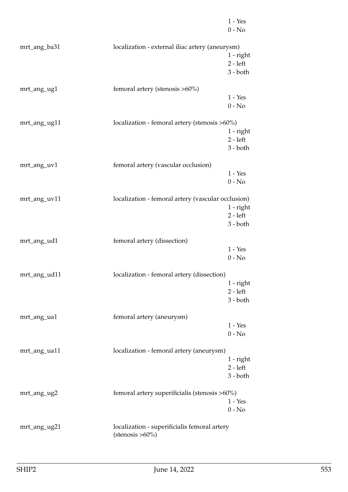|              |                                                    | $1 - Yes$<br>$0 - No$ |
|--------------|----------------------------------------------------|-----------------------|
| mrt_ang_ba31 | localization - external iliac artery (aneurysm)    |                       |
|              |                                                    | 1 - right             |
|              |                                                    | $2 - left$            |
|              |                                                    | $3 - both$            |
| mrt_ang_ug1  | femoral artery (stenosis >60%)                     |                       |
|              |                                                    | $1 - Yes$             |
|              |                                                    | $0 - No$              |
| mrt_ang_ug11 | localization - femoral artery (stenosis >60%)      |                       |
|              |                                                    | 1 - right             |
|              |                                                    | $2 - left$            |
|              |                                                    | $3 - both$            |
| mrt_ang_uv1  | femoral artery (vascular occlusion)                |                       |
|              |                                                    | $1 - Yes$             |
|              |                                                    | $0 - No$              |
| mrt_ang_uv11 | localization - femoral artery (vascular occlusion) |                       |
|              |                                                    | $1$ - right           |
|              |                                                    | $2 - left$            |
|              |                                                    | $3 - both$            |
| mrt_ang_ud1  | femoral artery (dissection)                        |                       |
|              |                                                    | $1 - Yes$             |
|              |                                                    | $0 - No$              |
| mrt_ang_ud11 | localization - femoral artery (dissection)         |                       |
|              |                                                    | 1 - right             |
|              |                                                    | $2 - left$            |
|              |                                                    | $3 - both$            |
| mrt_ang_ua1  | femoral artery (aneurysm)                          |                       |
|              |                                                    | $1 - Yes$             |
|              |                                                    | $0 - No$              |
| mrt_ang_ua11 | localization - femoral artery (aneurysm)           |                       |
|              |                                                    | 1 - right             |
|              |                                                    | $2 - left$            |
|              |                                                    | $3 - both$            |
| mrt_ang_ug2  | femoral artery superificialis (stenosis >60%)      |                       |
|              |                                                    | $1 - Yes$             |
|              |                                                    | $0 - No$              |
| mrt_ang_ug21 | localization - superificialis femoral artery       |                       |
|              | $(stenosis > 60\%)$                                |                       |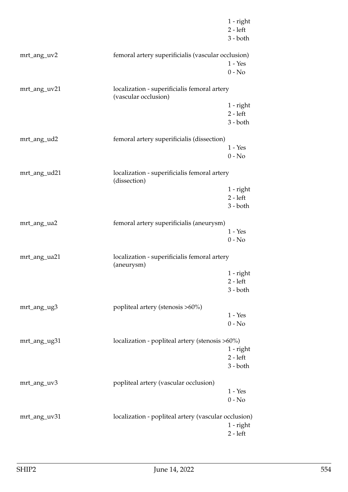|              |                                                                      | $1$ - right<br>$2 - left$<br>$3 - both$ |
|--------------|----------------------------------------------------------------------|-----------------------------------------|
| mrt_ang_uv2  | femoral artery superificialis (vascular occlusion)                   |                                         |
|              |                                                                      | $1 - Yes$<br>$0 - No$                   |
| mrt_ang_uv21 | localization - superificialis femoral artery<br>(vascular occlusion) |                                         |
|              |                                                                      | $1$ - right<br>$2 - left$<br>$3 - both$ |
| mrt_ang_ud2  | femoral artery superificialis (dissection)                           |                                         |
|              |                                                                      | $1 - Yes$<br>$0 - No$                   |
| mrt_ang_ud21 | localization - superificialis femoral artery<br>(dissection)         |                                         |
|              |                                                                      | $1$ - right<br>$2 - left$               |
|              |                                                                      | $3 - both$                              |
| mrt_ang_ua2  | femoral artery superificialis (aneurysm)                             |                                         |
|              |                                                                      | $1 - Yes$<br>$0 - No$                   |
| mrt_ang_ua21 | localization - superificialis femoral artery<br>(aneurysm)           |                                         |
|              |                                                                      | 1 - right                               |
|              |                                                                      | 2 - left<br>$3 - both$                  |
| mrt_ang_ug3  | popliteal artery (stenosis >60%)                                     |                                         |
|              |                                                                      | $1 - Yes$<br>$0 - No$                   |
| mrt_ang_ug31 | localization - popliteal artery (stenosis >60%)                      |                                         |
|              |                                                                      | $1$ - right<br>$2 - left$               |
|              |                                                                      | $3 - both$                              |
| mrt_ang_uv3  | popliteal artery (vascular occlusion)                                |                                         |
|              |                                                                      | $1 - Yes$<br>$0 - No$                   |
| mrt_ang_uv31 | localization - popliteal artery (vascular occlusion)                 |                                         |
|              |                                                                      | $1$ - right<br>$2 - left$               |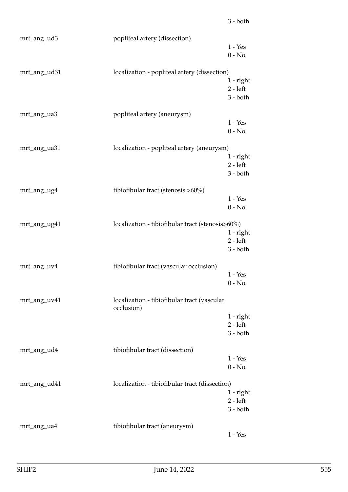| mrt_ang_ud3  | popliteal artery (dissection)                             |                           |
|--------------|-----------------------------------------------------------|---------------------------|
|              |                                                           | $1 - Yes$                 |
|              |                                                           | $0 - No$                  |
| mrt_ang_ud31 | localization - popliteal artery (dissection)              |                           |
|              |                                                           | $1$ - right               |
|              |                                                           | $2 - left$                |
|              |                                                           | $3 - both$                |
| mrt_ang_ua3  | popliteal artery (aneurysm)                               |                           |
|              |                                                           | $1 - Yes$                 |
|              |                                                           | $0 - No$                  |
|              |                                                           |                           |
| mrt_ang_ua31 | localization - popliteal artery (aneurysm)                | $1$ - right               |
|              |                                                           | $2 - left$                |
|              |                                                           | $3 - both$                |
|              |                                                           |                           |
| mrt_ang_ug4  | tibiofibular tract (stenosis >60%)                        | $1 - Yes$                 |
|              |                                                           | $0 - No$                  |
|              |                                                           |                           |
| mrt_ang_ug41 | localization - tibiofibular tract (stenosis>60%)          |                           |
|              |                                                           | $1$ - right<br>$2 - left$ |
|              |                                                           | $3 - both$                |
|              |                                                           |                           |
| mrt_ang_uv4  | tibiofibular tract (vascular occlusion)                   |                           |
|              |                                                           | $1 - Yes$<br>$0 - No$     |
|              |                                                           |                           |
| mrt_ang_uv41 | localization - tibiofibular tract (vascular<br>occlusion) |                           |
|              |                                                           | $1$ - right               |
|              |                                                           | $2 - left$                |
|              |                                                           | $3 - both$                |
| mrt_ang_ud4  | tibiofibular tract (dissection)                           |                           |
|              |                                                           | $1 - Yes$                 |
|              |                                                           | $0 - No$                  |
| mrt_ang_ud41 | localization - tibiofibular tract (dissection)            |                           |
|              |                                                           | 1 - right                 |
|              |                                                           | $2 - left$                |
|              |                                                           | $3 - both$                |
| mrt_ang_ua4  | tibiofibular tract (aneurysm)                             |                           |
|              |                                                           | $1 - Yes$                 |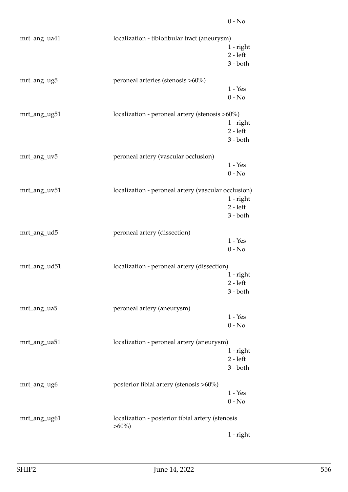| mrt_ang_ua41 | localization - tibiofibular tract (aneurysm)                 | 1 - right<br>$2 - left$<br>$3 - both$   |
|--------------|--------------------------------------------------------------|-----------------------------------------|
| mrt_ang_ug5  | peroneal arteries (stenosis >60%)                            | $1 - Yes$<br>$0 - No$                   |
| mrt_ang_ug51 | localization - peroneal artery (stenosis >60%)               | $1$ - right<br>$2 - left$<br>$3 - both$ |
| mrt_ang_uv5  | peroneal artery (vascular occlusion)                         | $1 - Yes$<br>$0 - No$                   |
| mrt_ang_uv51 | localization - peroneal artery (vascular occlusion)          | $1$ - right<br>$2 - left$<br>$3 - both$ |
| mrt_ang_ud5  | peroneal artery (dissection)                                 | $1 - Yes$<br>$0 - No$                   |
| mrt_ang_ud51 | localization - peroneal artery (dissection)                  | 1 - right<br>$2 - left$<br>3 - both     |
| mrt_ang_ua5  | peroneal artery (aneurysm)                                   | $1 - Yes$<br>$0 - No$                   |
| mrt_ang_ua51 | localization - peroneal artery (aneurysm)                    | $1$ - right<br>$2 - left$<br>$3 - both$ |
| mrt_ang_ug6  | posterior tibial artery (stenosis >60%)                      | $1 - Yes$<br>$0 - No$                   |
| mrt_ang_ug61 | localization - posterior tibial artery (stenosis<br>$>60\%)$ | $1$ - right                             |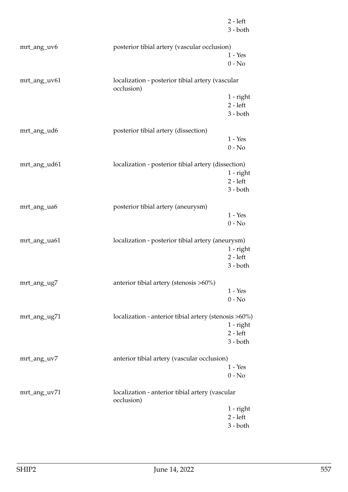|              |                                                                | $2 - left$<br>$3 - both$ |
|--------------|----------------------------------------------------------------|--------------------------|
| mrt_ang_uv6  | posterior tibial artery (vascular occlusion)                   |                          |
|              |                                                                | $1 - Yes$                |
|              |                                                                | $0 - No$                 |
| mrt_ang_uv61 | localization - posterior tibial artery (vascular<br>occlusion) |                          |
|              |                                                                | $1$ - right              |
|              |                                                                | $2 - left$               |
|              |                                                                | $3 - both$               |
| mrt_ang_ud6  | posterior tibial artery (dissection)                           |                          |
|              |                                                                | $1 - Yes$                |
|              |                                                                | $0 - No$                 |
| mrt_ang_ud61 | localization - posterior tibial artery (dissection)            |                          |
|              |                                                                | $1$ - right              |
|              |                                                                | $2 - left$               |
|              |                                                                | $3 - both$               |
| mrt_ang_ua6  | posterior tibial artery (aneurysm)                             |                          |
|              |                                                                | $1 - Yes$                |
|              |                                                                | $0 - No$                 |
| mrt_ang_ua61 | localization - posterior tibial artery (aneurysm)              |                          |
|              |                                                                | $1$ - right              |
|              |                                                                | $2 - left$               |
|              |                                                                | $3 - both$               |
| mrt_ang_ug7  | anterior tibial artery (stenosis >60%)                         |                          |
|              |                                                                | $1 - Yes$                |
|              |                                                                | $0 - No$                 |
| mrt_ang_ug71 | localization - anterior tibial artery (stenosis >60%)          |                          |
|              |                                                                | $1$ - right              |
|              |                                                                | $2 - left$<br>$3 - both$ |
|              |                                                                |                          |
| mrt_ang_uv7  | anterior tibial artery (vascular occlusion)                    |                          |
|              |                                                                | $1 - Yes$                |
|              |                                                                | $0 - No$                 |
| mrt_ang_uv71 | localization - anterior tibial artery (vascular<br>occlusion)  |                          |
|              |                                                                | $1$ - right              |
|              |                                                                | $2 - left$               |
|              |                                                                | $3 - both$               |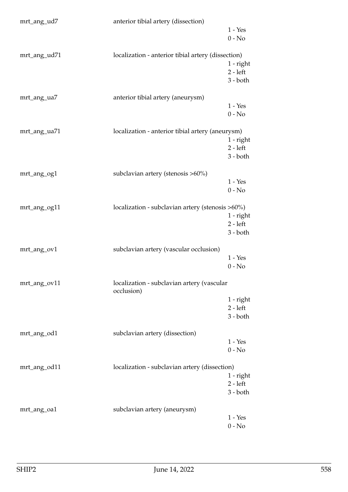| mrt_ang_ud7  | anterior tibial artery (dissection)                      |                          |
|--------------|----------------------------------------------------------|--------------------------|
|              |                                                          | $1 - Yes$                |
|              |                                                          | $0 - No$                 |
|              |                                                          |                          |
| mrt_ang_ud71 | localization - anterior tibial artery (dissection)       |                          |
|              |                                                          | $1$ - right              |
|              |                                                          | $2 - left$<br>$3 - both$ |
|              |                                                          |                          |
| mrt_ang_ua7  | anterior tibial artery (aneurysm)                        |                          |
|              |                                                          | $1 - Yes$                |
|              |                                                          | $0 - No$                 |
|              |                                                          |                          |
| mrt_ang_ua71 | localization - anterior tibial artery (aneurysm)         |                          |
|              |                                                          | $1$ - right              |
|              |                                                          | $2 - left$               |
|              |                                                          | $3 - both$               |
| mrt_ang_og1  | subclavian artery (stenosis >60%)                        |                          |
|              |                                                          | $1 - Yes$                |
|              |                                                          | $0 - No$                 |
|              |                                                          |                          |
| mrt_ang_og11 | localization - subclavian artery (stenosis >60%)         |                          |
|              |                                                          | $1$ - right              |
|              |                                                          | $2 - left$               |
|              |                                                          | $3 - both$               |
| mrt_ang_ov1  | subclavian artery (vascular occlusion)                   |                          |
|              |                                                          | $1 - Yes$                |
|              |                                                          | $0 - No$                 |
|              |                                                          |                          |
| mrt_ang_ov11 | localization - subclavian artery (vascular<br>occlusion) |                          |
|              |                                                          | 1 - right                |
|              |                                                          | $2 - left$               |
|              |                                                          | $3 - both$               |
|              |                                                          |                          |
| mrt_ang_od1  | subclavian artery (dissection)                           | $1 - Yes$                |
|              |                                                          | $0 - No$                 |
|              |                                                          |                          |
| mrt_ang_od11 | localization - subclavian artery (dissection)            |                          |
|              |                                                          | 1 - right                |
|              |                                                          | $2 - left$               |
|              |                                                          | $3 - both$               |
|              |                                                          |                          |
| mrt_ang_oa1  | subclavian artery (aneurysm)                             |                          |
|              |                                                          | $1 - Yes$                |
|              |                                                          | $0 - No$                 |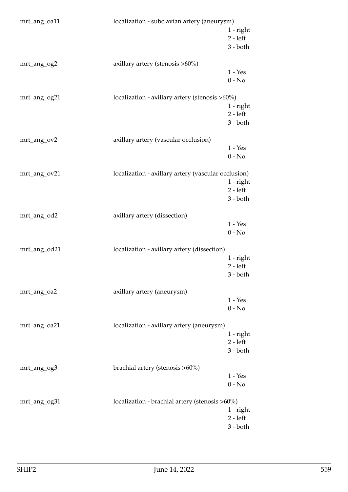| mrt_ang_oa11 | localization - subclavian artery (aneurysm)         |                           |
|--------------|-----------------------------------------------------|---------------------------|
|              |                                                     | $1$ - right<br>$2 - left$ |
|              |                                                     | $3 - both$                |
| mrt_ang_og2  | axillary artery (stenosis >60%)                     |                           |
|              |                                                     | $1 - Yes$                 |
|              |                                                     | $0 - No$                  |
| mrt_ang_og21 | localization - axillary artery (stenosis >60%)      |                           |
|              |                                                     | $1$ - right<br>$2 - left$ |
|              |                                                     | $3 - both$                |
|              |                                                     |                           |
| mrt_ang_ov2  | axillary artery (vascular occlusion)                | $1 - Yes$                 |
|              |                                                     | $0 - No$                  |
| mrt_ang_ov21 | localization - axillary artery (vascular occlusion) |                           |
|              |                                                     | $1$ - right               |
|              |                                                     | $2 - left$                |
|              |                                                     | $3 - both$                |
| mrt_ang_od2  | axillary artery (dissection)                        |                           |
|              |                                                     | $1 - Yes$<br>$0 - No$     |
|              |                                                     |                           |
| mrt_ang_od21 | localization - axillary artery (dissection)         |                           |
|              |                                                     | $1$ - right<br>$2 - left$ |
|              |                                                     | 3 - both                  |
| mrt_ang_oa2  | axillary artery (aneurysm)                          |                           |
|              |                                                     | $1 - Yes$                 |
|              |                                                     | $0 - No$                  |
| mrt_ang_oa21 | localization - axillary artery (aneurysm)           |                           |
|              |                                                     | $1$ - right               |
|              |                                                     | $2 - left$<br>$3 - both$  |
|              |                                                     |                           |
| mrt_ang_og3  | brachial artery (stenosis >60%)                     |                           |
|              |                                                     | $1 - Yes$<br>$0 - No$     |
|              |                                                     |                           |
| mrt_ang_og31 | localization - brachial artery (stenosis >60%)      | 1 - right                 |
|              |                                                     | $2 - left$                |
|              |                                                     | $3 - both$                |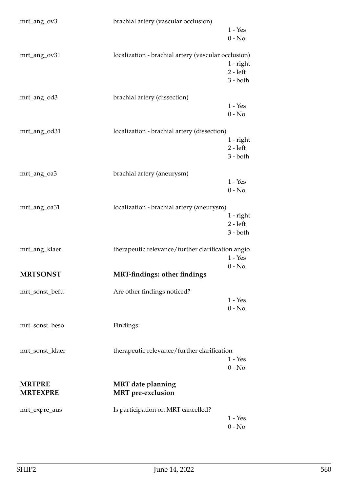| mrt_ang_ov3                      | brachial artery (vascular occlusion)                 | $1 - Yes$<br>$0 - No$                   |
|----------------------------------|------------------------------------------------------|-----------------------------------------|
| mrt_ang_ov31                     | localization - brachial artery (vascular occlusion)  | $1$ - right<br>$2 - left$<br>$3 - both$ |
| mrt_ang_od3                      | brachial artery (dissection)                         | $1 - Yes$<br>$0 - No$                   |
| mrt_ang_od31                     | localization - brachial artery (dissection)          | $1$ - right<br>$2 - left$<br>$3 - both$ |
| mrt_ang_oa3                      | brachial artery (aneurysm)                           | $1 - Yes$<br>$0 - No$                   |
| mrt_ang_oa31                     | localization - brachial artery (aneurysm)            | $1$ - right<br>$2 - left$<br>$3 - both$ |
| mrt_ang_klaer                    | therapeutic relevance/further clarification angio    | $1 - Yes$<br>$0 - No$                   |
| <b>MRTSONST</b>                  | <b>MRT-findings: other findings</b>                  |                                         |
| mrt_sonst_befu                   | Are other findings noticed?                          | $1 - Yes$<br>$0 - No$                   |
| mrt_sonst_beso                   | Findings:                                            |                                         |
| mrt_sonst_klaer                  | therapeutic relevance/further clarification          | $1 - Yes$<br>$0 - No$                   |
| <b>MRTPRE</b><br><b>MRTEXPRE</b> | <b>MRT</b> date planning<br><b>MRT</b> pre-exclusion |                                         |
| mrt_expre_aus                    | Is participation on MRT cancelled?                   | $1 - Yes$<br>$0 - No$                   |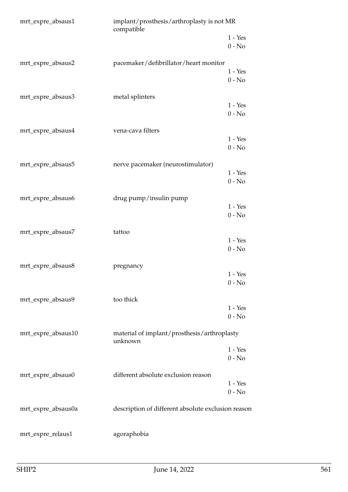| implant/prosthesis/arthroplasty is not MR |                                                                                                                                        |
|-------------------------------------------|----------------------------------------------------------------------------------------------------------------------------------------|
|                                           | $1 - Yes$<br>$0 - No$                                                                                                                  |
| pacemaker/defibrillator/heart monitor     |                                                                                                                                        |
|                                           | $1 - Yes$<br>$0 - No$                                                                                                                  |
| metal splinters                           |                                                                                                                                        |
|                                           | $1 - Yes$<br>$0 - No$                                                                                                                  |
| vena-cava filters                         |                                                                                                                                        |
|                                           | $1 - Yes$<br>$0 - No$                                                                                                                  |
| nerve pacemaker (neurostimulator)         |                                                                                                                                        |
|                                           | $1 - Yes$                                                                                                                              |
|                                           | $0 - No$                                                                                                                               |
| drug pump/insulin pump                    | $1 - Yes$                                                                                                                              |
|                                           | $0 - No$                                                                                                                               |
|                                           |                                                                                                                                        |
|                                           | $1 - Yes$                                                                                                                              |
|                                           | $0 - No$                                                                                                                               |
| pregnancy                                 |                                                                                                                                        |
|                                           | $1 - Yes$<br>$0 - No$                                                                                                                  |
|                                           |                                                                                                                                        |
|                                           | $1 - Yes$                                                                                                                              |
|                                           | $0 - No$                                                                                                                               |
| unknown                                   |                                                                                                                                        |
|                                           | $1 - Yes$<br>$0 - No$                                                                                                                  |
|                                           |                                                                                                                                        |
| different absolute exclusion reason       | $1 - Yes$                                                                                                                              |
|                                           | $0 - No$                                                                                                                               |
|                                           |                                                                                                                                        |
| agoraphobia                               |                                                                                                                                        |
|                                           | compatible<br>tattoo<br>too thick<br>material of implant/prosthesis/arthroplasty<br>description of different absolute exclusion reason |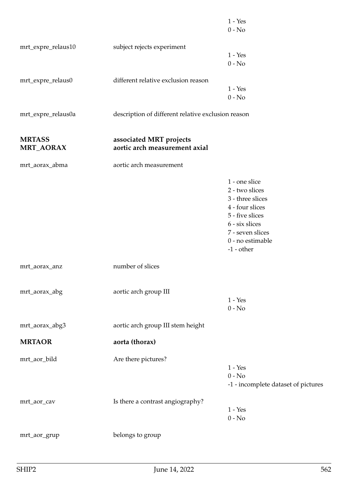|                                   |                                                          | $1 - Yes$<br>$0 - No$                                                                                                                                               |
|-----------------------------------|----------------------------------------------------------|---------------------------------------------------------------------------------------------------------------------------------------------------------------------|
| mrt_expre_relaus10                | subject rejects experiment                               | $1 - Yes$                                                                                                                                                           |
|                                   |                                                          | $0 - No$                                                                                                                                                            |
| mrt_expre_relaus0                 | different relative exclusion reason                      | $1 - Yes$<br>$0 - No$                                                                                                                                               |
| mrt_expre_relaus0a                | description of different relative exclusion reason       |                                                                                                                                                                     |
| <b>MRTASS</b><br><b>MRT_AORAX</b> | associated MRT projects<br>aortic arch measurement axial |                                                                                                                                                                     |
| mrt_aorax_abma                    | aortic arch measurement                                  |                                                                                                                                                                     |
|                                   |                                                          | 1 - one slice<br>2 - two slices<br>3 - three slices<br>4 - four slices<br>5 - five slices<br>6 - six slices<br>7 - seven slices<br>0 - no estimable<br>$-1$ - other |
| mrt_aorax_anz                     | number of slices                                         |                                                                                                                                                                     |
| mrt_aorax_abg                     | aortic arch group III                                    | $1 - Yes$<br>$0 - No$                                                                                                                                               |
| mrt_aorax_abg3                    | aortic arch group III stem height                        |                                                                                                                                                                     |
| <b>MRTAOR</b>                     | aorta (thorax)                                           |                                                                                                                                                                     |
| mrt_aor_bild                      | Are there pictures?                                      | $1 - Yes$<br>$0 - No$<br>-1 - incomplete dataset of pictures                                                                                                        |
| mrt_aor_cav                       | Is there a contrast angiography?                         | $1 - Yes$<br>$0 - No$                                                                                                                                               |
| mrt_aor_grup                      | belongs to group                                         |                                                                                                                                                                     |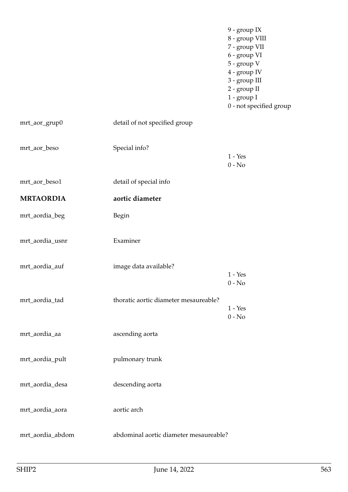|                  |                                        | 9 - group IX<br>8 - group VIII<br>7 - group VII<br>6 - group VI<br>5 - group V<br>4 - group IV<br>3 - group III<br>2 - group II<br>1 - group I<br>0 - not specified group |
|------------------|----------------------------------------|---------------------------------------------------------------------------------------------------------------------------------------------------------------------------|
| mrt_aor_grup0    | detail of not specified group          |                                                                                                                                                                           |
| mrt_aor_beso     | Special info?                          | $1 - Yes$<br>$0 - No$                                                                                                                                                     |
| mrt_aor_beso1    | detail of special info                 |                                                                                                                                                                           |
| <b>MRTAORDIA</b> | aortic diameter                        |                                                                                                                                                                           |
| mrt_aordia_beg   | Begin                                  |                                                                                                                                                                           |
| mrt_aordia_usnr  | Examiner                               |                                                                                                                                                                           |
| mrt_aordia_auf   | image data available?                  | $1 - Yes$<br>$0 - No$                                                                                                                                                     |
| mrt_aordia_tad   | thoratic aortic diameter mesaureable?  | $1 - Yes$<br>$0 - No$                                                                                                                                                     |
| mrt_aordia_aa    | ascending aorta                        |                                                                                                                                                                           |
| mrt_aordia_pult  | pulmonary trunk                        |                                                                                                                                                                           |
| mrt_aordia_desa  | descending aorta                       |                                                                                                                                                                           |
| mrt_aordia_aora  | aortic arch                            |                                                                                                                                                                           |
| mrt_aordia_abdom | abdominal aortic diameter mesaureable? |                                                                                                                                                                           |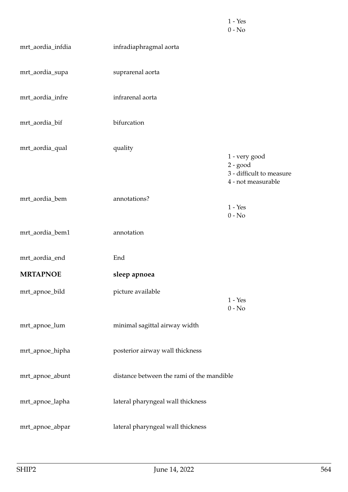|                   |                                           | $1 - Yes$<br>$0 - No$                                                         |
|-------------------|-------------------------------------------|-------------------------------------------------------------------------------|
| mrt_aordia_infdia | infradiaphragmal aorta                    |                                                                               |
| mrt_aordia_supa   | suprarenal aorta                          |                                                                               |
| mrt_aordia_infre  | infrarenal aorta                          |                                                                               |
| mrt_aordia_bif    | bifurcation                               |                                                                               |
| mrt_aordia_qual   | quality                                   | 1 - very good<br>$2 - good$<br>3 - difficult to measure<br>4 - not measurable |
| mrt_aordia_bem    | annotations?                              | $1 - Yes$<br>$0 - No$                                                         |
| mrt_aordia_bem1   | annotation                                |                                                                               |
| mrt_aordia_end    | End                                       |                                                                               |
| <b>MRTAPNOE</b>   | sleep apnoea                              |                                                                               |
| mrt_apnoe_bild    | picture available                         | $1 - Yes$<br>$0 - No$                                                         |
| mrt_apnoe_lum     | minimal sagittal airway width             |                                                                               |
| mrt_apnoe_hipha   | posterior airway wall thickness           |                                                                               |
| mrt_apnoe_abunt   | distance between the rami of the mandible |                                                                               |
| mrt_apnoe_lapha   | lateral pharyngeal wall thickness         |                                                                               |
| mrt_apnoe_abpar   | lateral pharyngeal wall thickness         |                                                                               |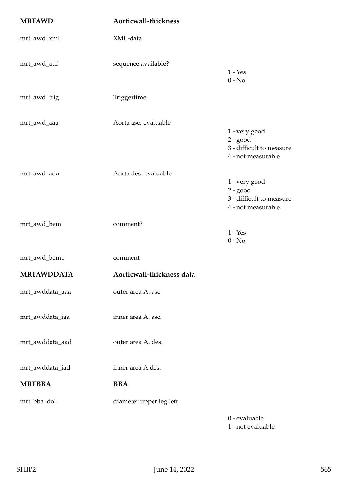| <b>MRTAWD</b>     | Aorticwall-thickness      |                                                                               |
|-------------------|---------------------------|-------------------------------------------------------------------------------|
| mrt_awd_xml       | XML-data                  |                                                                               |
| mrt_awd_auf       | sequence available?       | $1 - Yes$<br>$0 - No$                                                         |
| mrt_awd_trig      | Triggertime               |                                                                               |
| mrt_awd_aaa       | Aorta asc. evaluable      | 1 - very good<br>$2 - good$<br>3 - difficult to measure<br>4 - not measurable |
| mrt_awd_ada       | Aorta des. evaluable      | 1 - very good<br>$2 - good$<br>3 - difficult to measure<br>4 - not measurable |
| mrt_awd_bem       | comment?                  | $1 - Yes$<br>$0 - No$                                                         |
| mrt_awd_bem1      | comment                   |                                                                               |
| <b>MRTAWDDATA</b> | Aorticwall-thickness data |                                                                               |
| mrt_awddata_aaa   | outer area A. asc.        |                                                                               |
| mrt_awddata_iaa   | inner area A. asc.        |                                                                               |
| mrt_awddata_aad   | outer area A. des.        |                                                                               |
| mrt_awddata_iad   | inner area A.des.         |                                                                               |
| <b>MRTBBA</b>     | <b>BBA</b>                |                                                                               |
| mrt_bba_dol       | diameter upper leg left   |                                                                               |
|                   |                           | 0 - evaluable                                                                 |

1 - not evaluable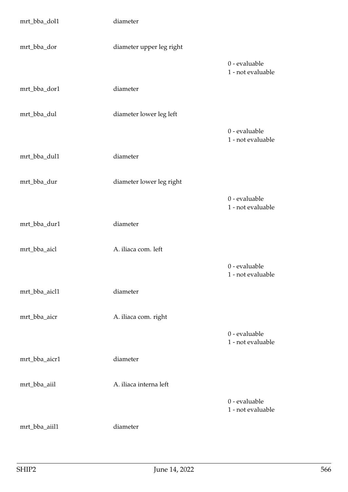| mrt_bba_dol1  | diameter                 |                                    |
|---------------|--------------------------|------------------------------------|
| mrt_bba_dor   | diameter upper leg right |                                    |
|               |                          | 0 - evaluable<br>1 - not evaluable |
| mrt_bba_dor1  | diameter                 |                                    |
| mrt_bba_dul   | diameter lower leg left  |                                    |
|               |                          | 0 - evaluable<br>1 - not evaluable |
| mrt_bba_dul1  | diameter                 |                                    |
| mrt_bba_dur   | diameter lower leg right |                                    |
|               |                          | 0 - evaluable<br>1 - not evaluable |
| mrt_bba_dur1  | diameter                 |                                    |
| mrt_bba_aicl  | A. iliaca com. left      |                                    |
|               |                          | 0 - evaluable<br>1 - not evaluable |
| mrt_bba_aicl1 | diameter                 |                                    |
| mrt_bba_aicr  | A. iliaca com. right     | 0 - evaluable                      |
|               |                          | 1 - not evaluable                  |
| mrt_bba_aicr1 | diameter                 |                                    |
| mrt_bba_aiil  | A. iliaca interna left   | 0 - evaluable                      |
|               |                          | 1 - not evaluable                  |
| mrt_bba_aiil1 | diameter                 |                                    |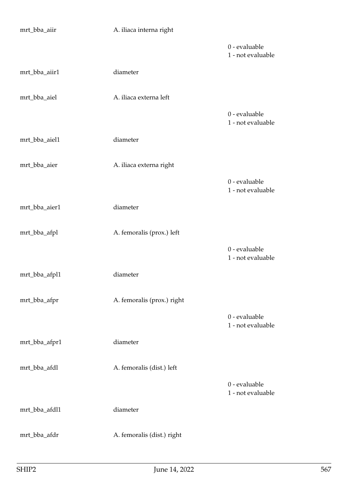| mrt_bba_aiir  | A. iliaca interna right    |                                    |
|---------------|----------------------------|------------------------------------|
|               |                            | 0 - evaluable<br>1 - not evaluable |
| mrt_bba_aiir1 | diameter                   |                                    |
| mrt_bba_aiel  | A. iliaca externa left     |                                    |
|               |                            | 0 - evaluable<br>1 - not evaluable |
| mrt_bba_aiel1 | diameter                   |                                    |
| mrt_bba_aier  | A. iliaca externa right    |                                    |
|               |                            | 0 - evaluable<br>1 - not evaluable |
| mrt_bba_aier1 | diameter                   |                                    |
| mrt_bba_afpl  | A. femoralis (prox.) left  |                                    |
|               |                            | 0 - evaluable<br>1 - not evaluable |
| mrt_bba_afpl1 | diameter                   |                                    |
| mrt_bba_afpr  | A. femoralis (prox.) right |                                    |
|               |                            | 0 - evaluable<br>1 - not evaluable |
| mrt_bba_afpr1 | diameter                   |                                    |
| mrt_bba_afdl  | A. femoralis (dist.) left  |                                    |
|               |                            | 0 - evaluable<br>1 - not evaluable |
| mrt_bba_afdl1 | diameter                   |                                    |
| mrt_bba_afdr  | A. femoralis (dist.) right |                                    |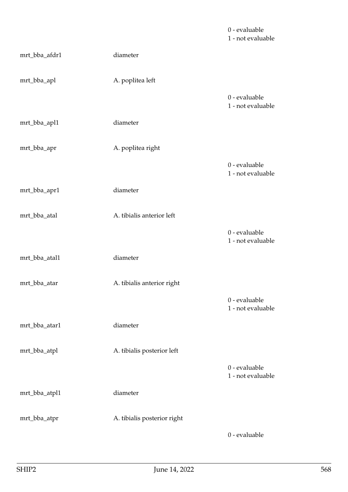|               |                             | 0 - evaluable<br>1 - not evaluable |
|---------------|-----------------------------|------------------------------------|
| mrt_bba_afdr1 | diameter                    |                                    |
| mrt_bba_apl   | A. poplitea left            |                                    |
|               |                             | 0 - evaluable<br>1 - not evaluable |
| mrt_bba_apl1  | diameter                    |                                    |
| mrt_bba_apr   | A. poplitea right           |                                    |
|               |                             | 0 - evaluable<br>1 - not evaluable |
| mrt_bba_apr1  | diameter                    |                                    |
| mrt_bba_atal  | A. tibialis anterior left   |                                    |
|               |                             | 0 - evaluable<br>1 - not evaluable |
| mrt_bba_atal1 | diameter                    |                                    |
| mrt_bba_atar  | A. tibialis anterior right  |                                    |
|               |                             | 0 - evaluable<br>1 - not evaluable |
| mrt_bba_atar1 | diameter                    |                                    |
| mrt_bba_atpl  | A. tibialis posterior left  |                                    |
|               |                             | 0 - evaluable<br>1 - not evaluable |
| mrt_bba_atpl1 | diameter                    |                                    |
| mrt_bba_atpr  | A. tibialis posterior right |                                    |
|               |                             | 0 - evaluable                      |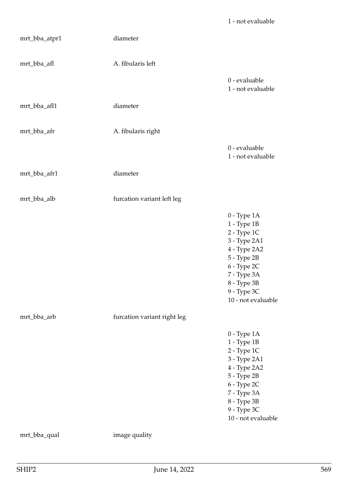| mrt_bba_atpr1 | diameter                    |                                                                                                                                                                                          |
|---------------|-----------------------------|------------------------------------------------------------------------------------------------------------------------------------------------------------------------------------------|
| mrt_bba_afl   | A. fibularis left           |                                                                                                                                                                                          |
|               |                             | 0 - evaluable<br>1 - not evaluable                                                                                                                                                       |
| mrt_bba_afl1  | diameter                    |                                                                                                                                                                                          |
| mrt_bba_afr   | A. fibularis right          |                                                                                                                                                                                          |
|               |                             | 0 - evaluable<br>1 - not evaluable                                                                                                                                                       |
| mrt_bba_afr1  | diameter                    |                                                                                                                                                                                          |
| mrt_bba_alb   | furcation variant left leg  |                                                                                                                                                                                          |
|               |                             | $0$ - Type $1A$<br>1 - Type 1B<br>2 - Type 1C<br>3 - Type 2A1<br>4 - Type 2A2<br>5 - Type 2B<br>$6$ - Type $2{\rm C}$<br>7 - Type 3A<br>8 - Type 3B<br>9 - Type 3C<br>10 - not evaluable |
| mrt_bba_arb   | furcation variant right leg |                                                                                                                                                                                          |
|               |                             | $0$ - Type $1A$<br>1 - Type 1B<br>2 - Type 1C<br>3 - Type 2A1<br>4 - Type 2A2<br>5 - Type 2B<br>6 - Type 2C<br>7 - Type 3A<br>8 - Type 3B<br>9 - Type 3C<br>10 - not evaluable           |
| mrt_bba_qual  | image quality               |                                                                                                                                                                                          |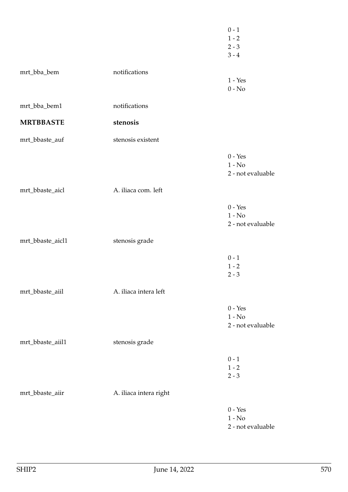|                  |                        | $0 - 1$<br>$1 - 2$<br>$2 - 3$<br>$3 - 4$                    |
|------------------|------------------------|-------------------------------------------------------------|
| mrt_bba_bem      | notifications          | $1 - Yes$<br>$0 - No$                                       |
| mrt_bba_bem1     | notifications          |                                                             |
| <b>MRTBBASTE</b> | stenosis               |                                                             |
| mrt_bbaste_auf   | stenosis existent      |                                                             |
|                  |                        | $0 - Yes$<br>$1 - No$<br>2 - not evaluable                  |
| mrt_bbaste_aicl  | A. iliaca com. left    |                                                             |
|                  |                        | $0 - Yes$<br>$1 - No$<br>2 - not evaluable                  |
| mrt_bbaste_aicl1 | stenosis grade         |                                                             |
|                  |                        | $0 - 1$<br>$1 - 2$<br>$2 - 3$                               |
| mrt_bbaste_aiil  | A. iliaca intera left  |                                                             |
|                  |                        | $0$ - $\operatorname{Yes}$<br>$1 - No$<br>2 - not evaluable |
| mrt_bbaste_aiil1 | stenosis grade         |                                                             |
|                  |                        | $0 - 1$<br>$1 - 2$<br>$2 - 3$                               |
| mrt_bbaste_aiir  | A. iliaca intera right |                                                             |
|                  |                        | $0 - Yes$<br>$1 - No$<br>2 - not evaluable                  |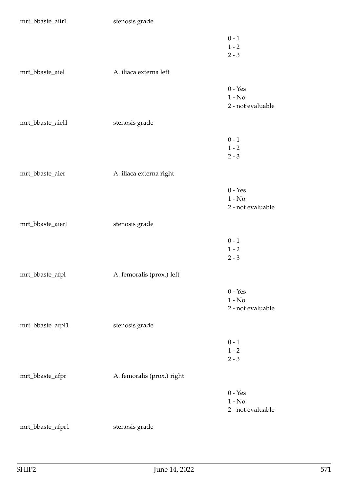| mrt_bbaste_aiir1 | stenosis grade             |                                            |
|------------------|----------------------------|--------------------------------------------|
|                  |                            | $0 - 1$<br>$1 - 2$<br>$2 - 3$              |
| mrt_bbaste_aiel  | A. iliaca externa left     |                                            |
|                  |                            | $0 - Yes$<br>$1 - No$<br>2 - not evaluable |
| mrt_bbaste_aiel1 | stenosis grade             |                                            |
|                  |                            | $0 - 1$<br>$1 - 2$<br>$2 - 3$              |
| mrt_bbaste_aier  | A. iliaca externa right    |                                            |
|                  |                            | $0 - Yes$<br>$1 - No$<br>2 - not evaluable |
| mrt_bbaste_aier1 | stenosis grade             |                                            |
|                  |                            | $0 - 1$<br>$1 - 2$<br>$2 - 3$              |
| mrt_bbaste_afpl  | A. femoralis (prox.) left  |                                            |
|                  |                            | $0 - Yes$<br>$1 - No$<br>2 - not evaluable |
| mrt_bbaste_afpl1 | stenosis grade             |                                            |
|                  |                            | $0 - 1$<br>$1 - 2$<br>$2 - 3$              |
| mrt_bbaste_afpr  | A. femoralis (prox.) right |                                            |
|                  |                            | $0 - Yes$<br>$1 - No$<br>2 - not evaluable |
| mrt_bbaste_afpr1 | stenosis grade             |                                            |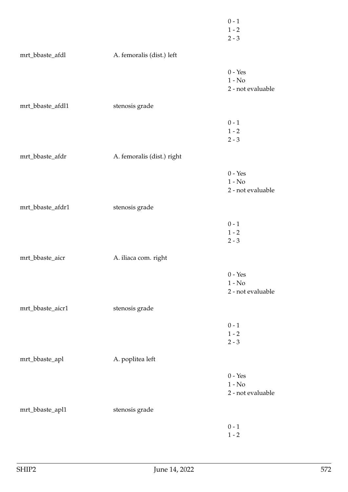|                  |                            | $0$ - $1\,$<br>$1 - 2$<br>$2 - 3$          |
|------------------|----------------------------|--------------------------------------------|
| mrt_bbaste_afdl  | A. femoralis (dist.) left  |                                            |
|                  |                            | $0 - Yes$<br>$1 - No$<br>2 - not evaluable |
| mrt_bbaste_afdl1 | stenosis grade             |                                            |
|                  |                            | $0 - 1$<br>$1 - 2$<br>$2 - 3$              |
| mrt_bbaste_afdr  | A. femoralis (dist.) right |                                            |
|                  |                            | $0 - Yes$<br>$1 - No$<br>2 - not evaluable |
| mrt_bbaste_afdr1 | stenosis grade             |                                            |
|                  |                            | $0 - 1$<br>$1 - 2$<br>$2 - 3$              |
| mrt_bbaste_aicr  | A. iliaca com. right       |                                            |
|                  |                            | $0 - Yes$<br>$1 - No$<br>2 - not evaluable |
| mrt_bbaste_aicr1 | stenosis grade             |                                            |
|                  |                            | $0 - 1$<br>$1 - 2$<br>$2 - 3$              |
| mrt_bbaste_apl   | A. poplitea left           |                                            |
|                  |                            | $0 - Yes$<br>$1 - No$<br>2 - not evaluable |
| mrt_bbaste_apl1  | stenosis grade             |                                            |
|                  |                            | $0 - 1$<br>$1$ - $2\,$                     |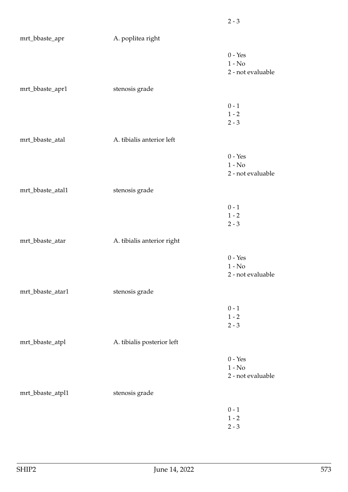| mrt_bbaste_apr   | A. poplitea right          |                                            |
|------------------|----------------------------|--------------------------------------------|
|                  |                            | $0 - Yes$<br>$1 - No$<br>2 - not evaluable |
| mrt_bbaste_apr1  | stenosis grade             |                                            |
|                  |                            | $0 - 1$<br>$1 - 2$<br>$2 - 3$              |
| mrt_bbaste_atal  | A. tibialis anterior left  |                                            |
|                  |                            | $0 - Yes$<br>$1 - No$<br>2 - not evaluable |
| mrt_bbaste_atal1 | stenosis grade             |                                            |
|                  |                            | $0 - 1$<br>$1$ - $2\,$<br>$2 - 3$          |
| mrt_bbaste_atar  | A. tibialis anterior right |                                            |
|                  |                            | $0 - Yes$<br>$1 - No$<br>2 - not evaluable |
| mrt_bbaste_atar1 | stenosis grade             |                                            |
|                  |                            | $0$ - $1\,$<br>$1 - 2$<br>$2 - 3$          |
| mrt_bbaste_atpl  | A. tibialis posterior left |                                            |
|                  |                            | $0 - Yes$<br>$1 - No$<br>2 - not evaluable |
| mrt_bbaste_atpl1 | stenosis grade             |                                            |
|                  |                            | $0 - 1$<br>$1$ - $2\,$<br>$2 - 3$          |

2 - 3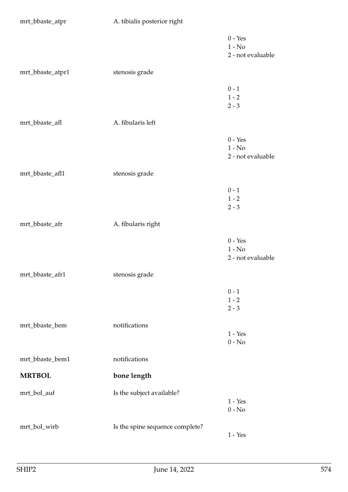| mrt_bbaste_atpr  | A. tibialis posterior right     |                                            |
|------------------|---------------------------------|--------------------------------------------|
|                  |                                 | $0 - Yes$<br>$1 - No$<br>2 - not evaluable |
| mrt_bbaste_atpr1 | stenosis grade                  |                                            |
|                  |                                 | $0 - 1$<br>$1 - 2$<br>$2 - 3$              |
| mrt_bbaste_afl   | A. fibularis left               |                                            |
|                  |                                 | $0 - Yes$<br>$1 - No$<br>2 - not evaluable |
| mrt_bbaste_afl1  | stenosis grade                  |                                            |
|                  |                                 | $0 - 1$<br>$1 - 2$<br>$2 - 3$              |
| mrt_bbaste_afr   | A. fibularis right              |                                            |
|                  |                                 | $0 - Yes$<br>$1 - No$<br>2 - not evaluable |
| mrt_bbaste_afr1  | stenosis grade                  |                                            |
|                  |                                 | $0 - 1$<br>$1 - 2$<br>$2 - 3$              |
| mrt_bbaste_bem   | notifications                   | $1 - Yes$<br>$0 - No$                      |
| mrt_bbaste_bem1  | notifications                   |                                            |
| <b>MRTBOL</b>    | bone length                     |                                            |
| mrt_bol_auf      | Is the subject available?       | $1 - Yes$<br>$0 - No$                      |
| mrt_bol_wirb     | Is the spine sequence complete? | $1 - Yes$                                  |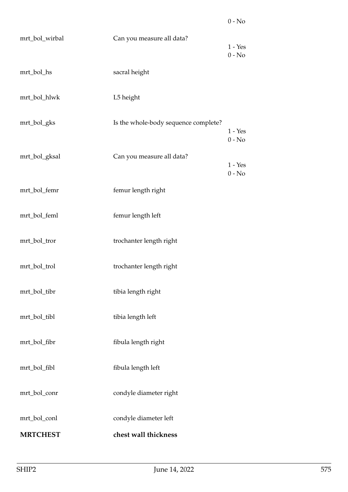| mrt_bol_wirbal  | Can you measure all data?            | $1 - Yes$<br>$0 - No$ |
|-----------------|--------------------------------------|-----------------------|
| mrt_bol_hs      | sacral height                        |                       |
| mrt_bol_hlwk    | L5 height                            |                       |
| mrt_bol_gks     | Is the whole-body sequence complete? | $1 - Yes$<br>$0 - No$ |
| mrt_bol_gksal   | Can you measure all data?            | $1 - Yes$<br>$0 - No$ |
| mrt_bol_femr    | femur length right                   |                       |
| mrt_bol_feml    | femur length left                    |                       |
| mrt_bol_tror    | trochanter length right              |                       |
| mrt_bol_trol    | trochanter length right              |                       |
| mrt_bol_tibr    | tibia length right                   |                       |
| mrt_bol_tibl    | tibia length left                    |                       |
| mrt_bol_fibr    | fibula length right                  |                       |
| mrt_bol_fibl    | fibula length left                   |                       |
| mrt_bol_conr    | condyle diameter right               |                       |
| mrt_bol_conl    | condyle diameter left                |                       |
| <b>MRTCHEST</b> | chest wall thickness                 |                       |

0 - No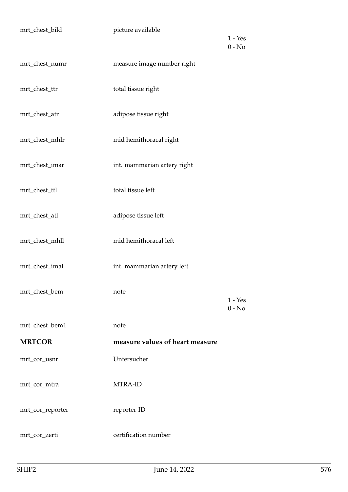| mrt_chest_bild   | picture available               | $1 - Yes$<br>$0 - No$ |
|------------------|---------------------------------|-----------------------|
| mrt_chest_numr   | measure image number right      |                       |
| mrt_chest_ttr    | total tissue right              |                       |
| mrt_chest_atr    | adipose tissue right            |                       |
| mrt_chest_mhlr   | mid hemithoracal right          |                       |
| mrt_chest_imar   | int. mammarian artery right     |                       |
| mrt_chest_ttl    | total tissue left               |                       |
| mrt_chest_atl    | adipose tissue left             |                       |
| mrt_chest_mhll   | mid hemithoracal left           |                       |
| mrt_chest_imal   | int. mammarian artery left      |                       |
| mrt_chest_bem    | note                            | $1 - Yes$<br>$0 - No$ |
| mrt_chest_bem1   | note                            |                       |
| <b>MRTCOR</b>    | measure values of heart measure |                       |
| mrt_cor_usnr     | Untersucher                     |                       |
| mrt_cor_mtra     | MTRA-ID                         |                       |
| mrt_cor_reporter | reporter-ID                     |                       |
| mrt_cor_zerti    | certification number            |                       |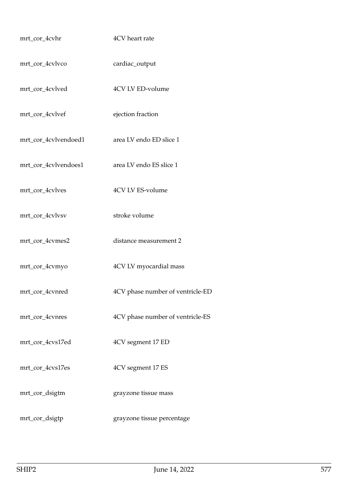| mrt_cor_4cvhr        | 4CV heart rate                   |
|----------------------|----------------------------------|
| mrt_cor_4cvlvco      | cardiac_output                   |
| mrt_cor_4cvlved      | 4CV LV ED-volume                 |
| mrt_cor_4cvlvef      | ejection fraction                |
| mrt_cor_4cvlvendoed1 | area LV endo ED slice 1          |
| mrt_cor_4cvlvendoes1 | area LV endo ES slice 1          |
| mrt_cor_4cvlves      | 4CV LV ES-volume                 |
| mrt_cor_4cvlvsv      | stroke volume                    |
| mrt_cor_4cvmes2      | distance measurement 2           |
| mrt_cor_4cvmyo       | 4CV LV myocardial mass           |
| mrt_cor_4cvnred      | 4CV phase number of ventricle-ED |
| mrt_cor_4cvnres      | 4CV phase number of ventricle-ES |
| mrt_cor_4cvs17ed     | 4CV segment 17 ED                |
| mrt_cor_4cvs17es     | 4CV segment 17 ES                |
| mrt_cor_dsigtm       | grayzone tissue mass             |
| mrt_cor_dsigtp       | grayzone tissue percentage       |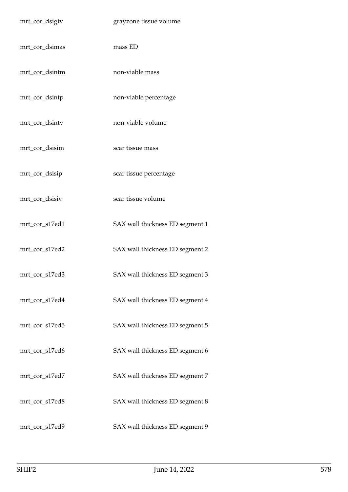| mrt_cor_dsigtv | grayzone tissue volume          |
|----------------|---------------------------------|
| mrt_cor_dsimas | mass ED                         |
| mrt_cor_dsintm | non-viable mass                 |
| mrt_cor_dsintp | non-viable percentage           |
| mrt_cor_dsintv | non-viable volume               |
| mrt_cor_dsisim | scar tissue mass                |
| mrt_cor_dsisip | scar tissue percentage          |
| mrt_cor_dsisiv | scar tissue volume              |
| mrt_cor_s17ed1 | SAX wall thickness ED segment 1 |
| mrt_cor_s17ed2 | SAX wall thickness ED segment 2 |
| mrt_cor_s17ed3 | SAX wall thickness ED segment 3 |
| mrt_cor_s17ed4 | SAX wall thickness ED segment 4 |
| mrt_cor_s17ed5 | SAX wall thickness ED segment 5 |
| mrt_cor_s17ed6 | SAX wall thickness ED segment 6 |
| mrt_cor_s17ed7 | SAX wall thickness ED segment 7 |
| mrt_cor_s17ed8 | SAX wall thickness ED segment 8 |
| mrt_cor_s17ed9 | SAX wall thickness ED segment 9 |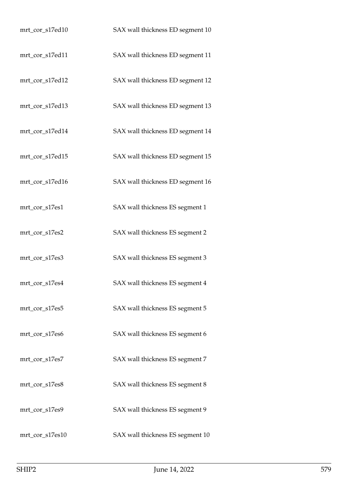| mrt_cor_s17ed10 | SAX wall thickness ED segment 10 |
|-----------------|----------------------------------|
| mrt_cor_s17ed11 | SAX wall thickness ED segment 11 |
| mrt_cor_s17ed12 | SAX wall thickness ED segment 12 |
| mrt_cor_s17ed13 | SAX wall thickness ED segment 13 |
| mrt_cor_s17ed14 | SAX wall thickness ED segment 14 |
| mrt_cor_s17ed15 | SAX wall thickness ED segment 15 |
| mrt_cor_s17ed16 | SAX wall thickness ED segment 16 |
| mrt_cor_s17es1  | SAX wall thickness ES segment 1  |
| mrt_cor_s17es2  | SAX wall thickness ES segment 2  |
| mrt_cor_s17es3  | SAX wall thickness ES segment 3  |
| mrt_cor_s17es4  | SAX wall thickness ES segment 4  |
| mrt_cor_s17es5  | SAX wall thickness ES segment 5  |
| mrt_cor_s17es6  | SAX wall thickness ES segment 6  |
| mrt_cor_s17es7  | SAX wall thickness ES segment 7  |
| mrt_cor_s17es8  | SAX wall thickness ES segment 8  |
| mrt_cor_s17es9  | SAX wall thickness ES segment 9  |
| mrt_cor_s17es10 | SAX wall thickness ES segment 10 |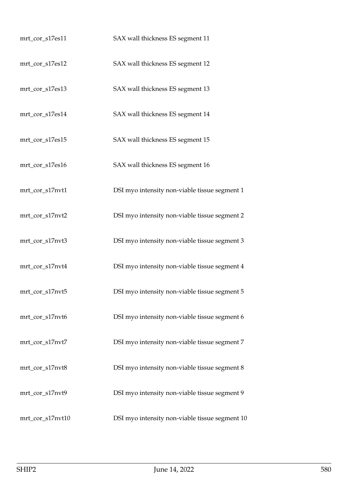| mrt_cor_s17es11  | SAX wall thickness ES segment 11               |
|------------------|------------------------------------------------|
| mrt_cor_s17es12  | SAX wall thickness ES segment 12               |
| mrt_cor_s17es13  | SAX wall thickness ES segment 13               |
| mrt_cor_s17es14  | SAX wall thickness ES segment 14               |
| mrt_cor_s17es15  | SAX wall thickness ES segment 15               |
| mrt_cor_s17es16  | SAX wall thickness ES segment 16               |
| mrt_cor_s17nvt1  | DSI myo intensity non-viable tissue segment 1  |
| mrt_cor_s17nvt2  | DSI myo intensity non-viable tissue segment 2  |
| mrt_cor_s17nvt3  | DSI myo intensity non-viable tissue segment 3  |
| mrt_cor_s17nvt4  | DSI myo intensity non-viable tissue segment 4  |
| mrt_cor_s17nvt5  | DSI myo intensity non-viable tissue segment 5  |
| mrt_cor_s17nvt6  | DSI myo intensity non-viable tissue segment 6  |
| mrt_cor_s17nvt7  | DSI myo intensity non-viable tissue segment 7  |
| mrt_cor_s17nvt8  | DSI myo intensity non-viable tissue segment 8  |
| mrt_cor_s17nvt9  | DSI myo intensity non-viable tissue segment 9  |
| mrt_cor_s17nvt10 | DSI myo intensity non-viable tissue segment 10 |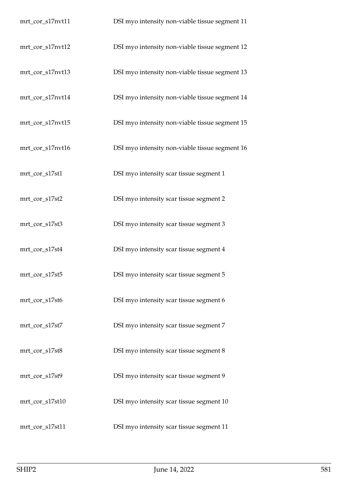| mrt_cor_s17nvt11 | DSI myo intensity non-viable tissue segment 11 |
|------------------|------------------------------------------------|
| mrt_cor_s17nvt12 | DSI myo intensity non-viable tissue segment 12 |
| mrt_cor_s17nvt13 | DSI myo intensity non-viable tissue segment 13 |
| mrt_cor_s17nvt14 | DSI myo intensity non-viable tissue segment 14 |
| mrt_cor_s17nvt15 | DSI myo intensity non-viable tissue segment 15 |
| mrt_cor_s17nvt16 | DSI myo intensity non-viable tissue segment 16 |
| mrt_cor_s17st1   | DSI myo intensity scar tissue segment 1        |
| mrt_cor_s17st2   | DSI myo intensity scar tissue segment 2        |
| mrt_cor_s17st3   | DSI myo intensity scar tissue segment 3        |
| mrt_cor_s17st4   | DSI myo intensity scar tissue segment 4        |
| mrt_cor_s17st5   | DSI myo intensity scar tissue segment 5        |
| mrt_cor_s17st6   | DSI myo intensity scar tissue segment 6        |
| mrt_cor_s17st7   | DSI myo intensity scar tissue segment 7        |
| mrt_cor_s17st8   | DSI myo intensity scar tissue segment 8        |
| mrt_cor_s17st9   | DSI myo intensity scar tissue segment 9        |
| mrt_cor_s17st10  | DSI myo intensity scar tissue segment 10       |
| mrt_cor_s17st11  | DSI myo intensity scar tissue segment 11       |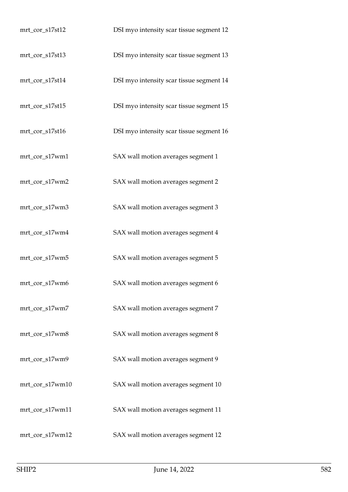| mrt_cor_s17st12 | DSI myo intensity scar tissue segment 12 |
|-----------------|------------------------------------------|
| mrt_cor_s17st13 | DSI myo intensity scar tissue segment 13 |
| mrt_cor_s17st14 | DSI myo intensity scar tissue segment 14 |
| mrt_cor_s17st15 | DSI myo intensity scar tissue segment 15 |
| mrt_cor_s17st16 | DSI myo intensity scar tissue segment 16 |
| mrt_cor_s17wm1  | SAX wall motion averages segment 1       |
| mrt_cor_s17wm2  | SAX wall motion averages segment 2       |
| mrt_cor_s17wm3  | SAX wall motion averages segment 3       |
| mrt_cor_s17wm4  | SAX wall motion averages segment 4       |
| mrt_cor_s17wm5  | SAX wall motion averages segment 5       |
| mrt_cor_s17wm6  | SAX wall motion averages segment 6       |
| mrt_cor_s17wm7  | SAX wall motion averages segment 7       |
| mrt_cor_s17wm8  | SAX wall motion averages segment 8       |
| mrt_cor_s17wm9  | SAX wall motion averages segment 9       |
| mrt_cor_s17wm10 | SAX wall motion averages segment 10      |
| mrt_cor_s17wm11 | SAX wall motion averages segment 11      |
| mrt_cor_s17wm12 | SAX wall motion averages segment 12      |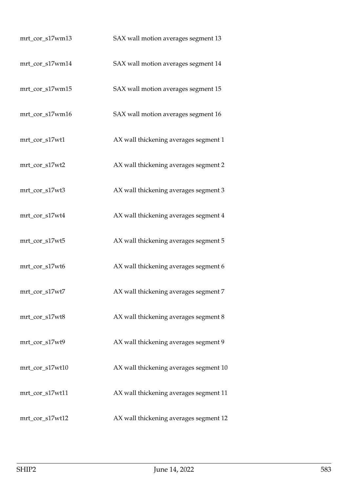| mrt_cor_s17wm13 | SAX wall motion averages segment 13    |
|-----------------|----------------------------------------|
| mrt_cor_s17wm14 | SAX wall motion averages segment 14    |
| mrt_cor_s17wm15 | SAX wall motion averages segment 15    |
| mrt_cor_s17wm16 | SAX wall motion averages segment 16    |
| mrt_cor_s17wt1  | AX wall thickening averages segment 1  |
| mrt_cor_s17wt2  | AX wall thickening averages segment 2  |
| mrt_cor_s17wt3  | AX wall thickening averages segment 3  |
| mrt_cor_s17wt4  | AX wall thickening averages segment 4  |
| mrt_cor_s17wt5  | AX wall thickening averages segment 5  |
| mrt_cor_s17wt6  | AX wall thickening averages segment 6  |
| mrt_cor_s17wt7  | AX wall thickening averages segment 7  |
| mrt_cor_s17wt8  | AX wall thickening averages segment 8  |
| mrt_cor_s17wt9  | AX wall thickening averages segment 9  |
| mrt_cor_s17wt10 | AX wall thickening averages segment 10 |
| mrt_cor_s17wt11 | AX wall thickening averages segment 11 |
| mrt_cor_s17wt12 | AX wall thickening averages segment 12 |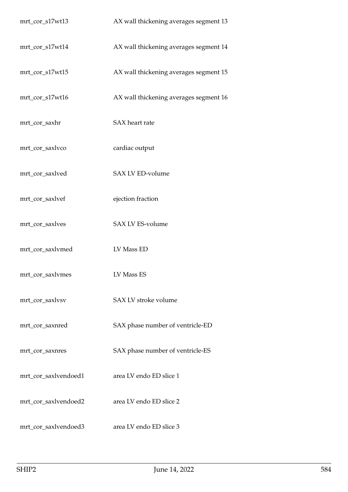| mrt_cor_s17wt13      | AX wall thickening averages segment 13 |
|----------------------|----------------------------------------|
| mrt_cor_s17wt14      | AX wall thickening averages segment 14 |
| mrt_cor_s17wt15      | AX wall thickening averages segment 15 |
| mrt_cor_s17wt16      | AX wall thickening averages segment 16 |
| mrt_cor_saxhr        | SAX heart rate                         |
| mrt_cor_saxlvco      | cardiac output                         |
| mrt_cor_saxlved      | SAX LV ED-volume                       |
| mrt_cor_saxlvef      | ejection fraction                      |
| mrt_cor_saxlves      | SAX LV ES-volume                       |
| mrt_cor_saxlvmed     | LV Mass ED                             |
| mrt_cor_saxlvmes     | LV Mass ES                             |
| mrt_cor_saxlvsv      | SAX LV stroke volume                   |
| mrt_cor_saxnred      | SAX phase number of ventricle-ED       |
| mrt_cor_saxnres      | SAX phase number of ventricle-ES       |
| mrt_cor_saxlvendoed1 | area LV endo ED slice 1                |
| mrt_cor_saxlvendoed2 | area LV endo ED slice 2                |
| mrt_cor_saxlvendoed3 | area LV endo ED slice 3                |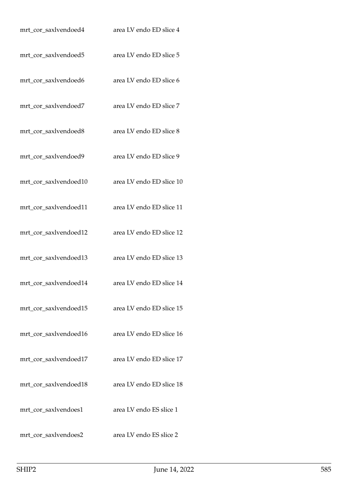| mrt_cor_saxlvendoed4  | area LV endo ED slice 4  |
|-----------------------|--------------------------|
| mrt_cor_saxlvendoed5  | area LV endo ED slice 5  |
| mrt_cor_saxlvendoed6  | area LV endo ED slice 6  |
| mrt_cor_saxlvendoed7  | area LV endo ED slice 7  |
| mrt_cor_saxlvendoed8  | area LV endo ED slice 8  |
| mrt_cor_saxlvendoed9  | area LV endo ED slice 9  |
| mrt_cor_saxlvendoed10 | area LV endo ED slice 10 |
| mrt_cor_saxlvendoed11 | area LV endo ED slice 11 |
| mrt_cor_saxlvendoed12 | area LV endo ED slice 12 |
| mrt_cor_saxlvendoed13 | area LV endo ED slice 13 |
| mrt_cor_saxlvendoed14 | area LV endo ED slice 14 |
| mrt_cor_saxlvendoed15 | area LV endo ED slice 15 |
| mrt_cor_saxlvendoed16 | area LV endo ED slice 16 |
| mrt_cor_saxlvendoed17 | area LV endo ED slice 17 |
| mrt_cor_saxlvendoed18 | area LV endo ED slice 18 |
| mrt_cor_saxlvendoes1  | area LV endo ES slice 1  |
| mrt_cor_saxlvendoes2  | area LV endo ES slice 2  |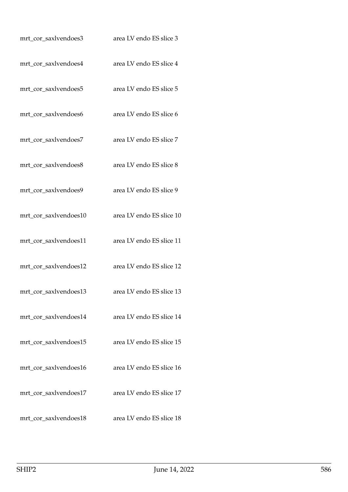| mrt_cor_saxlvendoes3  | area LV endo ES slice 3  |
|-----------------------|--------------------------|
| mrt_cor_saxlvendoes4  | area LV endo ES slice 4  |
| mrt_cor_saxlvendoes5  | area LV endo ES slice 5  |
| mrt_cor_saxlvendoes6  | area LV endo ES slice 6  |
| mrt_cor_saxlvendoes7  | area LV endo ES slice 7  |
| mrt_cor_saxlvendoes8  | area LV endo ES slice 8  |
| mrt_cor_saxlvendoes9  | area LV endo ES slice 9  |
| mrt_cor_saxlvendoes10 | area LV endo ES slice 10 |
| mrt_cor_saxlvendoes11 | area LV endo ES slice 11 |
| mrt_cor_saxlvendoes12 | area LV endo ES slice 12 |
| mrt_cor_saxlvendoes13 | area LV endo ES slice 13 |
| mrt_cor_saxlvendoes14 | area LV endo ES slice 14 |
| mrt_cor_saxlvendoes15 | area LV endo ES slice 15 |
| mrt_cor_saxlvendoes16 | area LV endo ES slice 16 |
| mrt_cor_saxlvendoes17 | area LV endo ES slice 17 |
| mrt_cor_saxlvendoes18 | area LV endo ES slice 18 |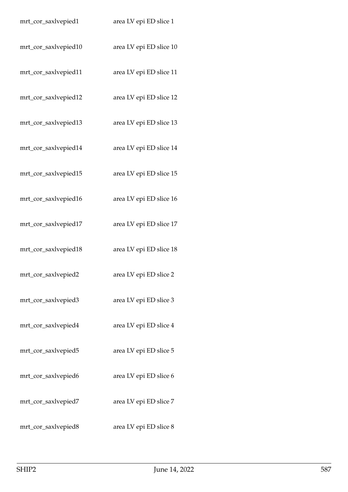| mrt_cor_saxlvepied1  | area LV epi ED slice 1  |
|----------------------|-------------------------|
| mrt_cor_saxlvepied10 | area LV epi ED slice 10 |
| mrt_cor_saxlvepied11 | area LV epi ED slice 11 |
| mrt_cor_saxlvepied12 | area LV epi ED slice 12 |
| mrt_cor_saxlvepied13 | area LV epi ED slice 13 |
| mrt_cor_saxlvepied14 | area LV epi ED slice 14 |
| mrt_cor_saxlvepied15 | area LV epi ED slice 15 |
| mrt_cor_saxlvepied16 | area LV epi ED slice 16 |
| mrt_cor_saxlvepied17 | area LV epi ED slice 17 |
| mrt_cor_saxlvepied18 | area LV epi ED slice 18 |
| mrt_cor_saxlvepied2  | area LV epi ED slice 2  |
| mrt_cor_saxlvepied3  | area LV epi ED slice 3  |
| mrt_cor_saxlvepied4  | area LV epi ED slice 4  |
| mrt_cor_saxlvepied5  | area LV epi ED slice 5  |
| mrt_cor_saxlvepied6  | area LV epi ED slice 6  |
| mrt_cor_saxlvepied7  | area LV epi ED slice 7  |
| mrt_cor_saxlvepied8  | area LV epi ED slice 8  |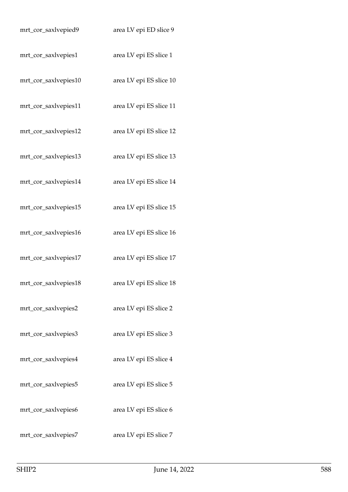| mrt_cor_saxlvepied9  | area LV epi ED slice 9  |
|----------------------|-------------------------|
| mrt_cor_saxlvepies1  | area LV epi ES slice 1  |
| mrt_cor_saxlvepies10 | area LV epi ES slice 10 |
| mrt_cor_saxlvepies11 | area LV epi ES slice 11 |
| mrt_cor_saxlvepies12 | area LV epi ES slice 12 |
| mrt_cor_saxlvepies13 | area LV epi ES slice 13 |
| mrt_cor_saxlvepies14 | area LV epi ES slice 14 |
| mrt_cor_saxlvepies15 | area LV epi ES slice 15 |
| mrt_cor_saxlvepies16 | area LV epi ES slice 16 |
| mrt_cor_saxlvepies17 | area LV epi ES slice 17 |
| mrt_cor_saxlvepies18 | area LV epi ES slice 18 |
| mrt_cor_saxlvepies2  | area LV epi ES slice 2  |
| mrt_cor_saxlvepies3  | area LV epi ES slice 3  |
| mrt_cor_saxlvepies4  | area LV epi ES slice 4  |
| mrt_cor_saxlvepies5  | area LV epi ES slice 5  |
| mrt_cor_saxlvepies6  | area LV epi ES slice 6  |
| mrt_cor_saxlvepies7  | area LV epi ES slice 7  |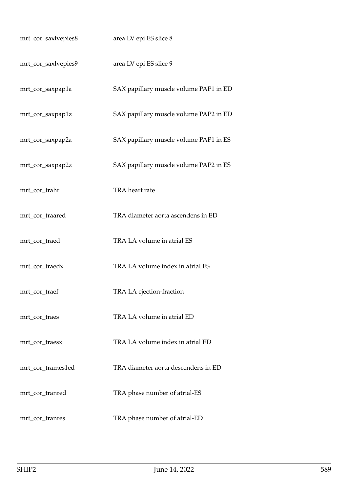| mrt_cor_saxlvepies8 | area LV epi ES slice 8                 |
|---------------------|----------------------------------------|
| mrt_cor_saxlvepies9 | area LV epi ES slice 9                 |
| mrt_cor_saxpap1a    | SAX papillary muscle volume PAP1 in ED |
| mrt_cor_saxpap1z    | SAX papillary muscle volume PAP2 in ED |
| mrt_cor_saxpap2a    | SAX papillary muscle volume PAP1 in ES |
| mrt_cor_saxpap2z    | SAX papillary muscle volume PAP2 in ES |
| mrt_cor_trahr       | TRA heart rate                         |
| mrt_cor_traared     | TRA diameter aorta ascendens in ED     |
| mrt_cor_traed       | TRA LA volume in atrial ES             |
| mrt_cor_traedx      | TRA LA volume index in atrial ES       |
| mrt_cor_traef       | TRA LA ejection-fraction               |
| mrt_cor_traes       | TRA LA volume in atrial ED             |
| mrt_cor_traesx      | TRA LA volume index in atrial ED       |
| mrt_cor_trames1ed   | TRA diameter aorta descendens in ED    |
| mrt_cor_tranred     | TRA phase number of atrial-ES          |
| mrt_cor_tranres     | TRA phase number of atrial-ED          |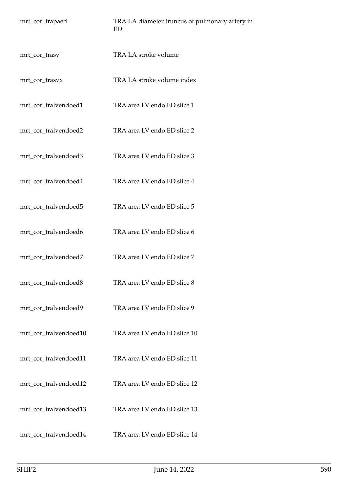| mrt_cor_trapaed       | TRA LA diameter truncus of pulmonary artery in<br>ED |
|-----------------------|------------------------------------------------------|
| mrt_cor_trasv         | TRA LA stroke volume                                 |
| mrt_cor_trasvx        | TRA LA stroke volume index                           |
| mrt_cor_tralvendoed1  | TRA area LV endo ED slice 1                          |
| mrt_cor_tralvendoed2  | TRA area LV endo ED slice 2                          |
| mrt_cor_tralvendoed3  | TRA area LV endo ED slice 3                          |
| mrt_cor_tralvendoed4  | TRA area LV endo ED slice 4                          |
| mrt_cor_tralvendoed5  | TRA area LV endo ED slice 5                          |
| mrt_cor_tralvendoed6  | TRA area LV endo ED slice 6                          |
| mrt_cor_tralvendoed7  | TRA area LV endo ED slice 7                          |
| mrt_cor_tralvendoed8  | TRA area LV endo ED slice 8                          |
| mrt_cor_tralvendoed9  | TRA area LV endo ED slice 9                          |
| mrt_cor_tralvendoed10 | TRA area LV endo ED slice 10                         |
| mrt_cor_tralvendoed11 | TRA area LV endo ED slice 11                         |
| mrt_cor_tralvendoed12 | TRA area LV endo ED slice 12                         |
| mrt_cor_tralvendoed13 | TRA area LV endo ED slice 13                         |
| mrt_cor_tralvendoed14 | TRA area LV endo ED slice 14                         |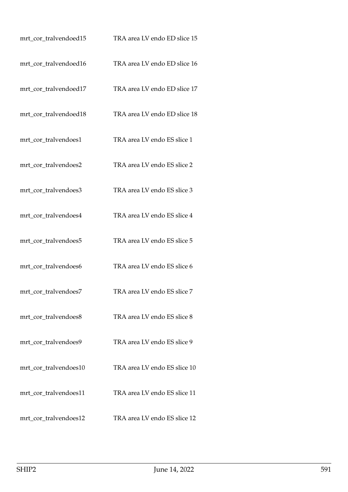| mrt_cor_tralvendoed15 | TRA area LV endo ED slice 15 |
|-----------------------|------------------------------|
| mrt_cor_tralvendoed16 | TRA area LV endo ED slice 16 |
| mrt_cor_tralvendoed17 | TRA area LV endo ED slice 17 |
| mrt_cor_tralvendoed18 | TRA area LV endo ED slice 18 |
| mrt_cor_tralvendoes1  | TRA area LV endo ES slice 1  |
| mrt_cor_tralvendoes2  | TRA area LV endo ES slice 2  |
| mrt_cor_tralvendoes3  | TRA area LV endo ES slice 3  |
| mrt_cor_tralvendoes4  | TRA area LV endo ES slice 4  |
| mrt_cor_tralvendoes5  | TRA area LV endo ES slice 5  |
| mrt_cor_tralvendoes6  | TRA area LV endo ES slice 6  |
| mrt_cor_tralvendoes7  | TRA area LV endo ES slice 7  |
| mrt_cor_tralvendoes8  | TRA area LV endo ES slice 8  |
| mrt_cor_tralvendoes9  | TRA area LV endo ES slice 9  |
| mrt_cor_tralvendoes10 | TRA area LV endo ES slice 10 |
| mrt_cor_tralvendoes11 | TRA area LV endo ES slice 11 |
| mrt_cor_tralvendoes12 | TRA area LV endo ES slice 12 |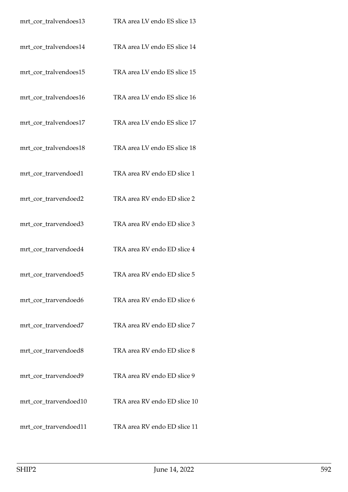| mrt_cor_tralvendoes13 | TRA area LV endo ES slice 13 |
|-----------------------|------------------------------|
| mrt_cor_tralvendoes14 | TRA area LV endo ES slice 14 |
| mrt_cor_tralvendoes15 | TRA area LV endo ES slice 15 |
| mrt_cor_tralvendoes16 | TRA area LV endo ES slice 16 |
| mrt_cor_tralvendoes17 | TRA area LV endo ES slice 17 |
| mrt_cor_tralvendoes18 | TRA area LV endo ES slice 18 |
| mrt_cor_trarvendoed1  | TRA area RV endo ED slice 1  |
| mrt_cor_trarvendoed2  | TRA area RV endo ED slice 2  |
| mrt_cor_trarvendoed3  | TRA area RV endo ED slice 3  |
| mrt_cor_trarvendoed4  | TRA area RV endo ED slice 4  |
| mrt_cor_trarvendoed5  | TRA area RV endo ED slice 5  |
| mrt_cor_trarvendoed6  | TRA area RV endo ED slice 6  |
| mrt_cor_trarvendoed7  | TRA area RV endo ED slice 7  |
| mrt_cor_trarvendoed8  | TRA area RV endo ED slice 8  |
| mrt_cor_trarvendoed9  | TRA area RV endo ED slice 9  |
| mrt_cor_trarvendoed10 | TRA area RV endo ED slice 10 |
| mrt_cor_trarvendoed11 | TRA area RV endo ED slice 11 |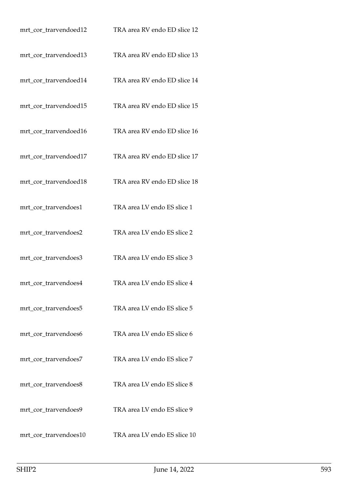| mrt_cor_trarvendoed12 | TRA area RV endo ED slice 12 |
|-----------------------|------------------------------|
| mrt_cor_trarvendoed13 | TRA area RV endo ED slice 13 |
| mrt_cor_trarvendoed14 | TRA area RV endo ED slice 14 |
| mrt_cor_trarvendoed15 | TRA area RV endo ED slice 15 |
| mrt_cor_trarvendoed16 | TRA area RV endo ED slice 16 |
| mrt_cor_trarvendoed17 | TRA area RV endo ED slice 17 |
| mrt_cor_trarvendoed18 | TRA area RV endo ED slice 18 |
| mrt_cor_trarvendoes1  | TRA area LV endo ES slice 1  |
| mrt_cor_trarvendoes2  | TRA area LV endo ES slice 2  |
| mrt_cor_trarvendoes3  | TRA area LV endo ES slice 3  |
| mrt_cor_trarvendoes4  | TRA area LV endo ES slice 4  |
| mrt_cor_trarvendoes5  | TRA area LV endo ES slice 5  |
| mrt_cor_trarvendoes6  | TRA area LV endo ES slice 6  |
| mrt_cor_trarvendoes7  | TRA area LV endo ES slice 7  |
| mrt_cor_trarvendoes8  | TRA area LV endo ES slice 8  |
| mrt_cor_trarvendoes9  | TRA area LV endo ES slice 9  |
| mrt_cor_trarvendoes10 | TRA area LV endo ES slice 10 |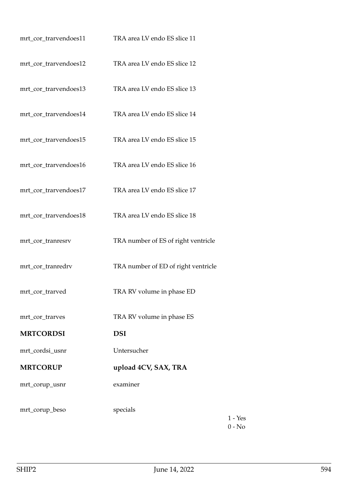| mrt_cor_trarvendoes11 | TRA area LV endo ES slice 11        |
|-----------------------|-------------------------------------|
| mrt_cor_trarvendoes12 | TRA area LV endo ES slice 12        |
| mrt_cor_trarvendoes13 | TRA area LV endo ES slice 13        |
| mrt_cor_trarvendoes14 | TRA area LV endo ES slice 14        |
| mrt_cor_trarvendoes15 | TRA area LV endo ES slice 15        |
| mrt_cor_trarvendoes16 | TRA area LV endo ES slice 16        |
| mrt_cor_trarvendoes17 | TRA area LV endo ES slice 17        |
| mrt_cor_trarvendoes18 | TRA area LV endo ES slice 18        |
| mrt_cor_tranresrv     | TRA number of ES of right ventricle |
| mrt_cor_tranredrv     | TRA number of ED of right ventricle |
| mrt_cor_trarved       | TRA RV volume in phase ED           |
| mrt_cor_trarves       | TRA RV volume in phase ES           |
| <b>MRTCORDSI</b>      | <b>DSI</b>                          |
| mrt_cordsi_usnr       | Untersucher                         |
| <b>MRTCORUP</b>       | upload 4CV, SAX, TRA                |
| mrt_corup_usnr        | examiner                            |
| mrt_corup_beso        | specials                            |

1 - Yes 0 - No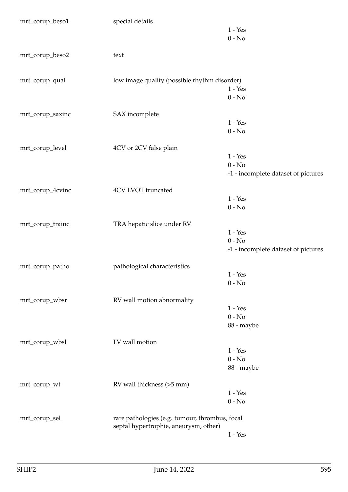| mrt_corup_beso1  | special details                                | $1$ - $\operatorname{Yes}$<br>$0 - No$ |
|------------------|------------------------------------------------|----------------------------------------|
| mrt_corup_beso2  | text                                           |                                        |
| mrt_corup_qual   | low image quality (possible rhythm disorder)   |                                        |
|                  |                                                | $1 - Yes$<br>$0 - No$                  |
| mrt_corup_saxinc | SAX incomplete                                 |                                        |
|                  |                                                | $1 - Yes$                              |
|                  |                                                | $0 - No$                               |
| mrt_corup_level  | 4CV or 2CV false plain                         |                                        |
|                  |                                                | $1 - Yes$                              |
|                  |                                                | $0 - No$                               |
|                  |                                                | -1 - incomplete dataset of pictures    |
| mrt_corup_4cvinc | 4CV LVOT truncated                             |                                        |
|                  |                                                | $1 - Yes$                              |
|                  |                                                | $0 - No$                               |
| mrt_corup_trainc | TRA hepatic slice under RV                     |                                        |
|                  |                                                | $1 - Yes$                              |
|                  |                                                | $0 - No$                               |
|                  |                                                | -1 - incomplete dataset of pictures    |
| mrt_corup_patho  | pathological characteristics                   |                                        |
|                  |                                                | $1 - Yes$                              |
|                  |                                                | $0 - No$                               |
| mrt_corup_wbsr   | RV wall motion abnormality                     |                                        |
|                  |                                                | $1 - Yes$                              |
|                  |                                                | $0 - No$                               |
|                  |                                                | 88 - maybe                             |
| mrt_corup_wbsl   | LV wall motion                                 |                                        |
|                  |                                                | $1 - Yes$                              |
|                  |                                                | $0 - No$                               |
|                  |                                                | 88 - maybe                             |
| mrt_corup_wt     | RV wall thickness (>5 mm)                      |                                        |
|                  |                                                | $1 - Yes$                              |
|                  |                                                | $0 - No$                               |
| mrt_corup_sel    | rare pathologies (e.g. tumour, thrombus, focal |                                        |
|                  | septal hypertrophie, aneurysm, other)          | $1 - Yes$                              |
|                  |                                                |                                        |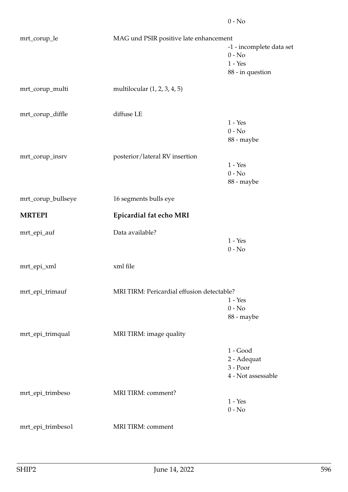| mrt_corup_le       |                                            | MAG und PSIR positive late enhancement |  |
|--------------------|--------------------------------------------|----------------------------------------|--|
|                    |                                            | -1 - incomplete data set               |  |
|                    |                                            | $0 - No$                               |  |
|                    |                                            | $1 - Yes$                              |  |
|                    |                                            | 88 - in question                       |  |
| mrt_corup_multi    | multilocular $(1, 2, 3, 4, 5)$             |                                        |  |
| mrt_corup_diffle   | diffuse LE                                 |                                        |  |
|                    |                                            | $1 - Yes$                              |  |
|                    |                                            | $0 - No$                               |  |
|                    |                                            | 88 - maybe                             |  |
| mrt_corup_insrv    | posterior/lateral RV insertion             |                                        |  |
|                    |                                            | $1 - Yes$                              |  |
|                    |                                            | $0 - No$                               |  |
|                    |                                            | 88 - maybe                             |  |
| mrt_corup_bullseye | 16 segments bulls eye                      |                                        |  |
| <b>MRTEPI</b>      | Epicardial fat echo MRI                    |                                        |  |
| mrt_epi_auf        | Data available?                            |                                        |  |
|                    |                                            | $1 - Yes$                              |  |
|                    |                                            | $0 - No$                               |  |
| mrt_epi_xml        | xml file                                   |                                        |  |
|                    |                                            |                                        |  |
| mrt_epi_trimauf    | MRI TIRM: Pericardial effusion detectable? |                                        |  |
|                    |                                            | $1 - Yes$<br>$0 - No$                  |  |
|                    |                                            | 88 - maybe                             |  |
|                    |                                            |                                        |  |
| mrt_epi_trimqual   | MRI TIRM: image quality                    |                                        |  |
|                    |                                            | $1 - Good$                             |  |
|                    |                                            | 2 - Adequat                            |  |
|                    |                                            | 3 - Poor                               |  |
|                    |                                            | 4 - Not assessable                     |  |
| mrt_epi_trimbeso   | MRI TIRM: comment?                         |                                        |  |
|                    |                                            | $1 - Yes$                              |  |
|                    |                                            | $0 - No$                               |  |
| mrt_epi_trimbeso1  | MRI TIRM: comment                          |                                        |  |
|                    |                                            |                                        |  |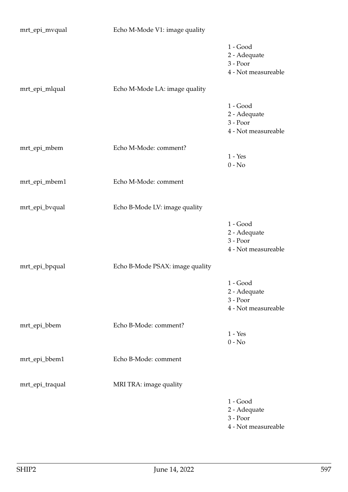| mrt_epi_mvqual  | Echo M-Mode V1: image quality   |                                                               |
|-----------------|---------------------------------|---------------------------------------------------------------|
|                 |                                 | $1 - Good$<br>2 - Adequate<br>3 - Poor<br>4 - Not measureable |
| mrt_epi_mlqual  | Echo M-Mode LA: image quality   |                                                               |
|                 |                                 | $1 - Good$<br>2 - Adequate<br>3 - Poor<br>4 - Not measureable |
| mrt_epi_mbem    | Echo M-Mode: comment?           |                                                               |
|                 |                                 | $1 - Yes$<br>$0 - No$                                         |
| mrt_epi_mbem1   | Echo M-Mode: comment            |                                                               |
| mrt_epi_bvqual  | Echo B-Mode LV: image quality   |                                                               |
|                 |                                 | $1 - Good$<br>2 - Adequate<br>3 - Poor<br>4 - Not measureable |
| mrt_epi_bpqual  | Echo B-Mode PSAX: image quality |                                                               |
|                 |                                 | $1 - Good$<br>2 - Adequate<br>3 - Poor<br>4 - Not measureable |
| mrt_epi_bbem    | Echo B-Mode: comment?           | $1 - Yes$<br>$0 - No$                                         |
| mrt_epi_bbem1   | Echo B-Mode: comment            |                                                               |
| mrt_epi_traqual | MRI TRA: image quality          |                                                               |
|                 |                                 | $1 - Good$<br>2 - Adequate<br>3 - Poor<br>4 - Not measureable |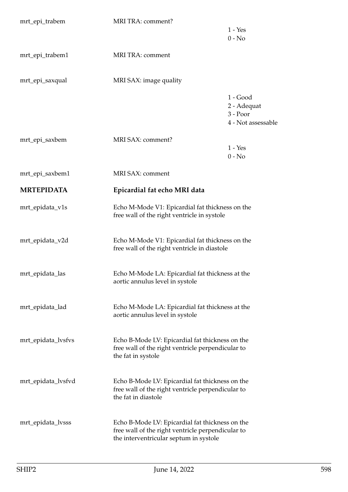| mrt_epi_trabem     | MRI TRA: comment?                                                                                                                              | $1 - Yes$<br>$0 - No$                                         |
|--------------------|------------------------------------------------------------------------------------------------------------------------------------------------|---------------------------------------------------------------|
| mrt_epi_trabem1    | MRI TRA: comment                                                                                                                               |                                                               |
| mrt_epi_saxqual    | MRI SAX: image quality                                                                                                                         |                                                               |
|                    |                                                                                                                                                | $1 - Good$<br>2 - Adequat<br>$3 - Poor$<br>4 - Not assessable |
| mrt_epi_saxbem     | MRI SAX: comment?                                                                                                                              | $1 - Yes$<br>$0 - No$                                         |
| mrt_epi_saxbem1    | MRI SAX: comment                                                                                                                               |                                                               |
| <b>MRTEPIDATA</b>  | Epicardial fat echo MRI data                                                                                                                   |                                                               |
| mrt_epidata_v1s    | Echo M-Mode V1: Epicardial fat thickness on the<br>free wall of the right ventricle in systole                                                 |                                                               |
| mrt_epidata_v2d    | Echo M-Mode V1: Epicardial fat thickness on the<br>free wall of the right ventricle in diastole                                                |                                                               |
| mrt_epidata_las    | Echo M-Mode LA: Epicardial fat thickness at the<br>aortic annulus level in systole                                                             |                                                               |
| mrt_epidata_lad    | Echo M-Mode LA: Epicardial fat thickness at the<br>aortic annulus level in systole                                                             |                                                               |
| mrt_epidata_lvsfvs | Echo B-Mode LV: Epicardial fat thickness on the<br>free wall of the right ventricle perpendicular to<br>the fat in systole                     |                                                               |
| mrt_epidata_lvsfvd | Echo B-Mode LV: Epicardial fat thickness on the<br>free wall of the right ventricle perpendicular to<br>the fat in diastole                    |                                                               |
| mrt_epidata_lvsss  | Echo B-Mode LV: Epicardial fat thickness on the<br>free wall of the right ventricle perpendicular to<br>the interventricular septum in systole |                                                               |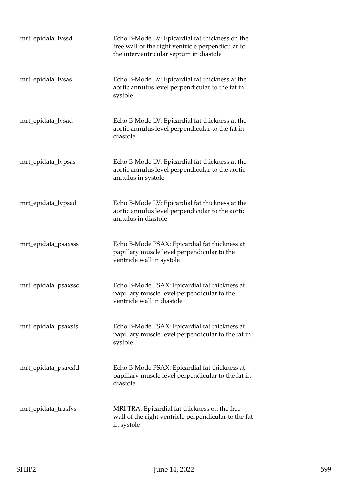| mrt_epidata_lvssd   | Echo B-Mode LV: Epicardial fat thickness on the<br>free wall of the right ventricle perpendicular to<br>the interventricular septum in diastole |
|---------------------|-------------------------------------------------------------------------------------------------------------------------------------------------|
| mrt_epidata_lvsas   | Echo B-Mode LV: Epicardial fat thickness at the<br>aortic annulus level perpendicular to the fat in<br>systole                                  |
| mrt_epidata_lvsad   | Echo B-Mode LV: Epicardial fat thickness at the<br>aortic annulus level perpendicular to the fat in<br>diastole                                 |
| mrt_epidata_lvpsas  | Echo B-Mode LV: Epicardial fat thickness at the<br>aortic annulus level perpendicular to the aortic<br>annulus in systole                       |
| mrt_epidata_lvpsad  | Echo B-Mode LV: Epicardial fat thickness at the<br>aortic annulus level perpendicular to the aortic<br>annulus in diastole                      |
| mrt_epidata_psaxsss | Echo B-Mode PSAX: Epicardial fat thickness at<br>papillary muscle level perpendicular to the<br>ventricle wall in systole                       |
| mrt_epidata_psaxssd | Echo B-Mode PSAX: Epicardial fat thickness at<br>papillary muscle level perpendicular to the<br>ventricle wall in diastole                      |
| mrt_epidata_psaxsfs | Echo B-Mode PSAX: Epicardial fat thickness at<br>papillary muscle level perpendicular to the fat in<br>systole                                  |
| mrt_epidata_psaxsfd | Echo B-Mode PSAX: Epicardial fat thickness at<br>papillary muscle level perpendicular to the fat in<br>diastole                                 |
| mrt_epidata_trasfvs | MRI TRA: Epicardial fat thickness on the free<br>wall of the right ventricle perpendicular to the fat<br>in systole                             |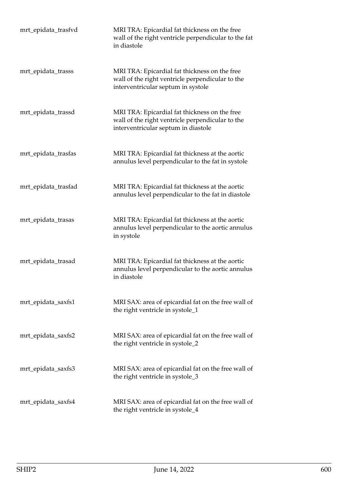| mrt_epidata_trasfvd | MRI TRA: Epicardial fat thickness on the free<br>wall of the right ventricle perpendicular to the fat<br>in diastole                     |
|---------------------|------------------------------------------------------------------------------------------------------------------------------------------|
| mrt_epidata_trasss  | MRI TRA: Epicardial fat thickness on the free<br>wall of the right ventricle perpendicular to the<br>interventricular septum in systole  |
| mrt_epidata_trassd  | MRI TRA: Epicardial fat thickness on the free<br>wall of the right ventricle perpendicular to the<br>interventricular septum in diastole |
| mrt_epidata_trasfas | MRI TRA: Epicardial fat thickness at the aortic<br>annulus level perpendicular to the fat in systole                                     |
| mrt_epidata_trasfad | MRI TRA: Epicardial fat thickness at the aortic<br>annulus level perpendicular to the fat in diastole                                    |
| mrt_epidata_trasas  | MRI TRA: Epicardial fat thickness at the aortic<br>annulus level perpendicular to the aortic annulus<br>in systole                       |
| mrt_epidata_trasad  | MRI TRA: Epicardial fat thickness at the aortic<br>annulus level perpendicular to the aortic annulus<br>in diastole                      |
| mrt_epidata_saxfs1  | MRI SAX: area of epicardial fat on the free wall of<br>the right ventricle in systole_1                                                  |
| mrt_epidata_saxfs2  | MRI SAX: area of epicardial fat on the free wall of<br>the right ventricle in systole_2                                                  |
| mrt_epidata_saxfs3  | MRI SAX: area of epicardial fat on the free wall of<br>the right ventricle in systole_3                                                  |
| mrt_epidata_saxfs4  | MRI SAX: area of epicardial fat on the free wall of<br>the right ventricle in systole_4                                                  |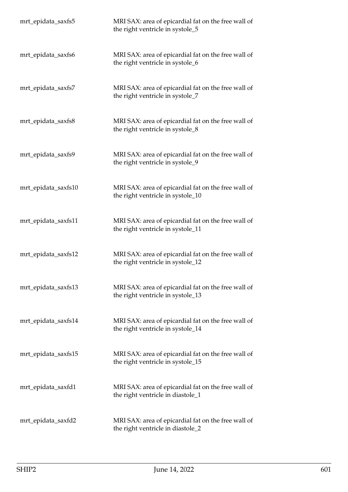| mrt_epidata_saxfs5  | MRI SAX: area of epicardial fat on the free wall of<br>the right ventricle in systole_5  |
|---------------------|------------------------------------------------------------------------------------------|
| mrt_epidata_saxfs6  | MRI SAX: area of epicardial fat on the free wall of<br>the right ventricle in systole_6  |
| mrt_epidata_saxfs7  | MRI SAX: area of epicardial fat on the free wall of<br>the right ventricle in systole_7  |
| mrt_epidata_saxfs8  | MRI SAX: area of epicardial fat on the free wall of<br>the right ventricle in systole_8  |
| mrt_epidata_saxfs9  | MRI SAX: area of epicardial fat on the free wall of<br>the right ventricle in systole_9  |
| mrt_epidata_saxfs10 | MRI SAX: area of epicardial fat on the free wall of<br>the right ventricle in systole_10 |
| mrt_epidata_saxfs11 | MRI SAX: area of epicardial fat on the free wall of<br>the right ventricle in systole_11 |
| mrt_epidata_saxfs12 | MRI SAX: area of epicardial fat on the free wall of<br>the right ventricle in systole_12 |
| mrt_epidata_saxfs13 | MRI SAX: area of epicardial fat on the free wall of<br>the right ventricle in systole_13 |
| mrt_epidata_saxfs14 | MRI SAX: area of epicardial fat on the free wall of<br>the right ventricle in systole_14 |
| mrt_epidata_saxfs15 | MRI SAX: area of epicardial fat on the free wall of<br>the right ventricle in systole_15 |
| mrt_epidata_saxfd1  | MRI SAX: area of epicardial fat on the free wall of<br>the right ventricle in diastole_1 |
| mrt_epidata_saxfd2  | MRI SAX: area of epicardial fat on the free wall of<br>the right ventricle in diastole_2 |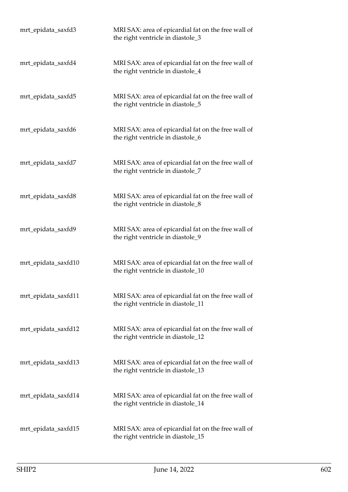| mrt_epidata_saxfd3  | MRI SAX: area of epicardial fat on the free wall of<br>the right ventricle in diastole_3  |
|---------------------|-------------------------------------------------------------------------------------------|
| mrt_epidata_saxfd4  | MRI SAX: area of epicardial fat on the free wall of<br>the right ventricle in diastole_4  |
| mrt_epidata_saxfd5  | MRI SAX: area of epicardial fat on the free wall of<br>the right ventricle in diastole_5  |
| mrt_epidata_saxfd6  | MRI SAX: area of epicardial fat on the free wall of<br>the right ventricle in diastole_6  |
| mrt_epidata_saxfd7  | MRI SAX: area of epicardial fat on the free wall of<br>the right ventricle in diastole_7  |
| mrt_epidata_saxfd8  | MRI SAX: area of epicardial fat on the free wall of<br>the right ventricle in diastole_8  |
| mrt_epidata_saxfd9  | MRI SAX: area of epicardial fat on the free wall of<br>the right ventricle in diastole_9  |
| mrt_epidata_saxfd10 | MRI SAX: area of epicardial fat on the free wall of<br>the right ventricle in diastole_10 |
| mrt_epidata_saxfd11 | MRI SAX: area of epicardial fat on the free wall of<br>the right ventricle in diastole_11 |
| mrt_epidata_saxfd12 | MRI SAX: area of epicardial fat on the free wall of<br>the right ventricle in diastole_12 |
| mrt_epidata_saxfd13 | MRI SAX: area of epicardial fat on the free wall of<br>the right ventricle in diastole_13 |
| mrt_epidata_saxfd14 | MRI SAX: area of epicardial fat on the free wall of<br>the right ventricle in diastole_14 |
| mrt_epidata_saxfd15 | MRI SAX: area of epicardial fat on the free wall of<br>the right ventricle in diastole_15 |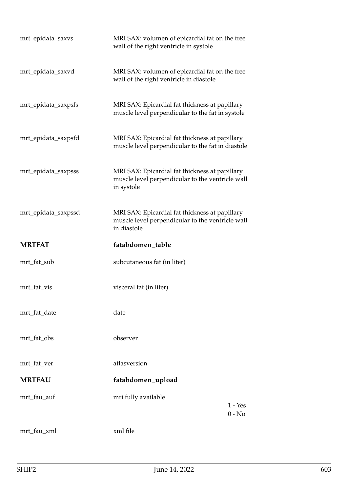| mrt_epidata_saxvs   | MRI SAX: volumen of epicardial fat on the free<br>wall of the right ventricle in systole                          |  |
|---------------------|-------------------------------------------------------------------------------------------------------------------|--|
| mrt_epidata_saxvd   | MRI SAX: volumen of epicardial fat on the free<br>wall of the right ventricle in diastole                         |  |
| mrt_epidata_saxpsfs | MRI SAX: Epicardial fat thickness at papillary<br>muscle level perpendicular to the fat in systole                |  |
| mrt_epidata_saxpsfd | MRI SAX: Epicardial fat thickness at papillary<br>muscle level perpendicular to the fat in diastole               |  |
| mrt_epidata_saxpsss | MRI SAX: Epicardial fat thickness at papillary<br>muscle level perpendicular to the ventricle wall<br>in systole  |  |
| mrt_epidata_saxpssd | MRI SAX: Epicardial fat thickness at papillary<br>muscle level perpendicular to the ventricle wall<br>in diastole |  |
|                     |                                                                                                                   |  |
| <b>MRTFAT</b>       | fatabdomen_table                                                                                                  |  |
| mrt_fat_sub         | subcutaneous fat (in liter)                                                                                       |  |
| mrt_fat_vis         | visceral fat (in liter)                                                                                           |  |
| mrt fat date        | date                                                                                                              |  |
| mrt_fat_obs         | observer                                                                                                          |  |
| mrt_fat_ver         | atlasversion                                                                                                      |  |
| <b>MRTFAU</b>       | fatabdomen_upload                                                                                                 |  |
| mrt_fau_auf         | mri fully available<br>1 - Yes<br>$0 - No$                                                                        |  |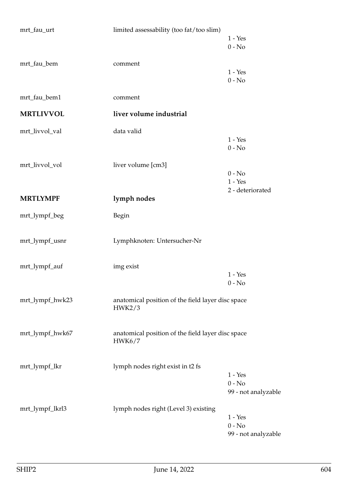| mrt_fau_urt      | limited assessability (too fat/too slim)          |                       |
|------------------|---------------------------------------------------|-----------------------|
|                  |                                                   | $1 - Yes$             |
|                  |                                                   | $0 - No$              |
| mrt_fau_bem      | comment                                           |                       |
|                  |                                                   | $1 - Yes$<br>$0 - No$ |
|                  |                                                   |                       |
| mrt_fau_bem1     | comment                                           |                       |
| <b>MRTLIVVOL</b> | liver volume industrial                           |                       |
| mrt_livvol_val   | data valid                                        |                       |
|                  |                                                   | $1 - Yes$             |
|                  |                                                   | $0 - No$              |
| mrt_livvol_vol   | liver volume [cm3]                                |                       |
|                  |                                                   | $0 - No$<br>$1 - Yes$ |
|                  |                                                   | 2 - deteriorated      |
| <b>MRTLYMPF</b>  | lymph nodes                                       |                       |
| mrt_lympf_beg    | Begin                                             |                       |
|                  |                                                   |                       |
| mrt_lympf_usnr   | Lymphknoten: Untersucher-Nr                       |                       |
|                  |                                                   |                       |
| mrt_lympf_auf    | img exist                                         |                       |
|                  |                                                   | $1 - Yes$             |
|                  |                                                   | $0 - No$              |
| mrt_lympf_hwk23  | anatomical position of the field layer disc space |                       |
|                  | HWK2/3                                            |                       |
|                  |                                                   |                       |
| mrt_lympf_hwk67  | anatomical position of the field layer disc space |                       |
|                  | HWK6/7                                            |                       |
|                  |                                                   |                       |
| mrt_lympf_lkr    | lymph nodes right exist in t2 fs                  |                       |
|                  |                                                   | $1 - Yes$<br>$0 - No$ |
|                  |                                                   | 99 - not analyzable   |
| mrt_lympf_lkrl3  | lymph nodes right (Level 3) existing              |                       |
|                  |                                                   | $1 - Yes$             |
|                  |                                                   | $0 - No$              |
|                  |                                                   | 99 - not analyzable   |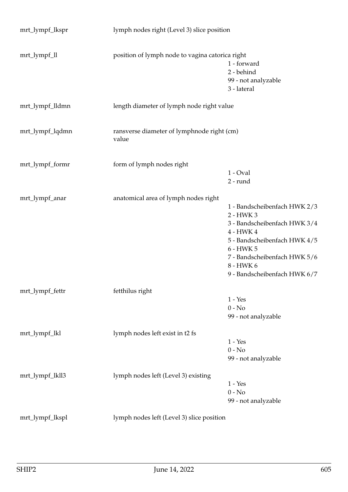| mrt_lympf_lkspr | lymph nodes right (Level 3) slice position          |                                                                                                                                                                                                                  |
|-----------------|-----------------------------------------------------|------------------------------------------------------------------------------------------------------------------------------------------------------------------------------------------------------------------|
| mrt_lympf_ll    | position of lymph node to vagina catorica right     | 1 - forward<br>2 - behind<br>99 - not analyzable<br>3 - lateral                                                                                                                                                  |
| mrt_lympf_lldmn | length diameter of lymph node right value           |                                                                                                                                                                                                                  |
| mrt_lympf_lqdmn | ransverse diameter of lymphnode right (cm)<br>value |                                                                                                                                                                                                                  |
| mrt_lympf_formr | form of lymph nodes right                           | $1$ - Oval<br>2 - rund                                                                                                                                                                                           |
| mrt_lympf_anar  | anatomical area of lymph nodes right                | 1 - Bandscheibenfach HWK 2/3<br>2 - HWK 3<br>3 - Bandscheibenfach HWK 3/4<br>4 - HWK 4<br>5 - Bandscheibenfach HWK 4/5<br>6 - HWK 5<br>7 - Bandscheibenfach HWK 5/6<br>8 - HWK 6<br>9 - Bandscheibenfach HWK 6/7 |
| mrt_lympf_fettr | fetthilus right                                     | $1 - Yes$<br>$0 - No$<br>99 - not analyzable                                                                                                                                                                     |
| mrt_lympf_lkl   | lymph nodes left exist in t2 fs                     | $1 - Yes$<br>$0 - No$<br>99 - not analyzable                                                                                                                                                                     |
| mrt_lympf_lkll3 | lymph nodes left (Level 3) existing                 | $1 - Yes$<br>$0 - No$<br>99 - not analyzable                                                                                                                                                                     |
| mrt_lympf_lkspl | lymph nodes left (Level 3) slice position           |                                                                                                                                                                                                                  |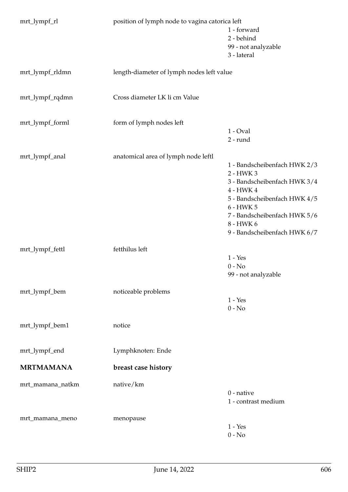| mrt_lympf_rl     | position of lymph node to vagina catorica left |                                           |
|------------------|------------------------------------------------|-------------------------------------------|
|                  |                                                | 1 - forward                               |
|                  |                                                | 2 - behind                                |
|                  |                                                | 99 - not analyzable                       |
|                  |                                                | 3 - lateral                               |
| mrt_lympf_rldmn  | length-diameter of lymph nodes left value      |                                           |
| mrt_lympf_rqdmn  | Cross diameter LK li cm Value                  |                                           |
| mrt_lympf_forml  | form of lymph nodes left                       |                                           |
|                  |                                                | $1 - Oval$                                |
|                  |                                                | 2 - rund                                  |
| mrt_lympf_anal   | anatomical area of lymph node leftl            |                                           |
|                  |                                                | 1 - Bandscheibenfach HWK 2/3<br>2 - HWK 3 |
|                  |                                                | 3 - Bandscheibenfach HWK 3/4              |
|                  |                                                | 4 - HWK 4                                 |
|                  |                                                | 5 - Bandscheibenfach HWK 4/5              |
|                  |                                                | 6 - HWK 5                                 |
|                  |                                                | 7 - Bandscheibenfach HWK 5/6              |
|                  |                                                | 8 - HWK 6                                 |
|                  |                                                | 9 - Bandscheibenfach HWK 6/7              |
| mrt_lympf_fettl  | fetthilus left                                 |                                           |
|                  |                                                | $1 - Yes$                                 |
|                  |                                                | $0 - No$                                  |
|                  |                                                | 99 - not analyzable                       |
| mrt_lympf_bem    | noticeable problems                            |                                           |
|                  |                                                | $1 - Yes$                                 |
|                  |                                                | $0 - No$                                  |
| mrt_lympf_bem1   | notice                                         |                                           |
| mrt_lympf_end    | Lymphknoten: Ende                              |                                           |
| <b>MRTMAMANA</b> | breast case history                            |                                           |
| mrt_mamana_natkm | native/km                                      |                                           |
|                  |                                                | $0$ - native                              |
|                  |                                                | 1 - contrast medium                       |
| mrt_mamana_meno  | menopause                                      |                                           |
|                  |                                                | $1 - Yes$                                 |
|                  |                                                | $0 - No$                                  |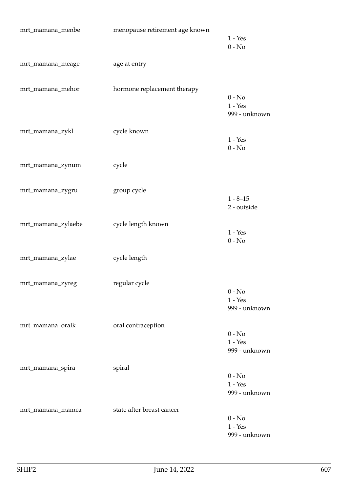| mrt_mamana_menbe   | menopause retirement age known | $1 - Yes$<br>$0 - No$                  |
|--------------------|--------------------------------|----------------------------------------|
| mrt_mamana_meage   | age at entry                   |                                        |
| mrt_mamana_mehor   | hormone replacement therapy    | $0 - No$<br>$1 - Yes$<br>999 - unknown |
| mrt_mamana_zykl    | cycle known                    | $1 - Yes$<br>$0 - No$                  |
| mrt_mamana_zynum   | cycle                          |                                        |
| mrt_mamana_zygru   | group cycle                    | $1 - 8 - 15$<br>2 - outside            |
| mrt_mamana_zylaebe | cycle length known             | $1 - Yes$<br>$0 - No$                  |
| mrt_mamana_zylae   | cycle length                   |                                        |
| mrt_mamana_zyreg   | regular cycle                  | $0 - No$<br>$1 - Yes$<br>999 - unknown |
| mrt_mamana_oralk   | oral contraception             | $0 - No$<br>$1 - Yes$<br>999 - unknown |
| mrt_mamana_spira   | spiral                         | $0 - No$<br>$1 - Yes$<br>999 - unknown |
| mrt_mamana_mamca   | state after breast cancer      | $0 - No$<br>$1 - Yes$<br>999 - unknown |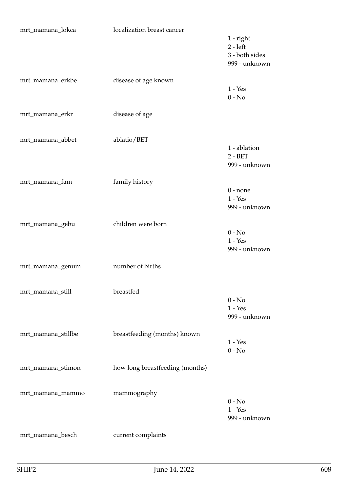| mrt_mamana_lokca   | localization breast cancer      |                                                              |
|--------------------|---------------------------------|--------------------------------------------------------------|
|                    |                                 | $1$ - right<br>$2 - left$<br>3 - both sides<br>999 - unknown |
| mrt_mamana_erkbe   | disease of age known            | $1 - Yes$<br>$0 - No$                                        |
| mrt_mamana_erkr    | disease of age                  |                                                              |
| mrt_mamana_abbet   | ablatio/BET                     | 1 - ablation<br>$2 - BET$<br>999 - unknown                   |
| mrt_mamana_fam     | family history                  | $0$ - none<br>$1 - Yes$<br>999 - unknown                     |
| mrt_mamana_gebu    | children were born              | $0 - No$<br>$1 - Yes$<br>999 - unknown                       |
| mrt_mamana_genum   | number of births                |                                                              |
| mrt_mamana_still   | breastfed                       | $0 - No$<br>$1 - Yes$<br>999 - unknown                       |
| mrt_mamana_stillbe | breastfeeding (months) known    | $1 - Yes$<br>$0 - No$                                        |
| mrt_mamana_stimon  | how long breastfeeding (months) |                                                              |
| mrt_mamana_mammo   | mammography                     | $0 - No$<br>$1 - Yes$<br>999 - unknown                       |
| mrt_mamana_besch   | current complaints              |                                                              |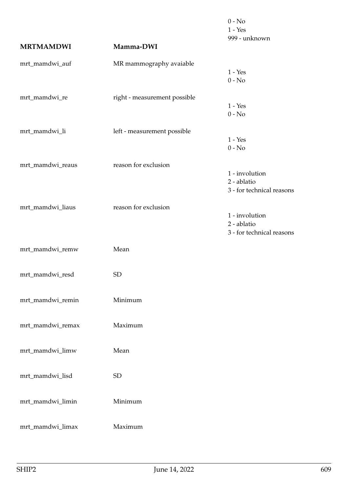|                  |                              | $0 - No$<br>$1 - Yes$                                      |
|------------------|------------------------------|------------------------------------------------------------|
| <b>MRTMAMDWI</b> | Mamma-DWI                    | 999 - unknown                                              |
| mrt_mamdwi_auf   | MR mammography avaiable      | $1 - Yes$                                                  |
| mrt_mamdwi_re    | right - measurement possible | $0 - No$<br>$1 - Yes$                                      |
| mrt_mamdwi_li    | left - measurement possible  | $0 - No$<br>$1 - Yes$<br>$0 - No$                          |
| mrt_mamdwi_reaus | reason for exclusion         | 1 - involution<br>2 - ablatio<br>3 - for technical reasons |
| mrt_mamdwi_liaus | reason for exclusion         | 1 - involution<br>2 - ablatio<br>3 - for technical reasons |
| mrt_mamdwi_remw  | Mean                         |                                                            |
| mrt_mamdwi_resd  | <b>SD</b>                    |                                                            |
| mrt_mamdwi_remin | Minimum                      |                                                            |
| mrt_mamdwi_remax | Maximum                      |                                                            |
| mrt_mamdwi_limw  | Mean                         |                                                            |
| mrt_mamdwi_lisd  | <b>SD</b>                    |                                                            |
| mrt_mamdwi_limin | Minimum                      |                                                            |
| mrt_mamdwi_limax | Maximum                      |                                                            |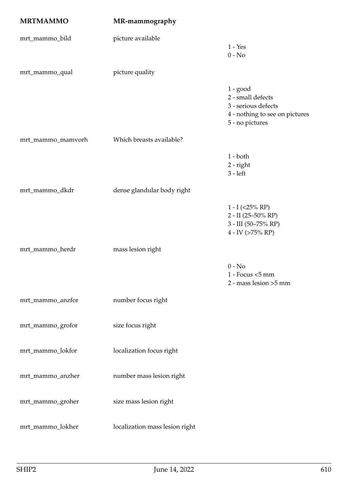| <b>MRTMAMMO</b>   | MR-mammography                 |                                                                                                             |
|-------------------|--------------------------------|-------------------------------------------------------------------------------------------------------------|
| mrt_mammo_bild    | picture available              | $1 - Yes$<br>$0 - No$                                                                                       |
| mrt_mammo_qual    | picture quality                |                                                                                                             |
|                   |                                | $1 - good$<br>2 - small defects<br>3 - serious defects<br>4 - nothing to see on pictures<br>5 - no pictures |
| mrt_mammo_mamvorh | Which breasts available?       |                                                                                                             |
|                   |                                | $1 - both$<br>$2$ - right<br>$3 - left$                                                                     |
| mrt_mammo_dkdr    | dense glandular body right     |                                                                                                             |
|                   |                                | $1 - I$ (<25% RP)<br>2 - II (25-50% RP)<br>3 - III (50-75% RP)<br>$4$ - IV (>75% RP)                        |
| mrt_mammo_herdr   | mass lesion right              |                                                                                                             |
|                   |                                | $0 - No$<br>$1 -$ Focus $<$ 5 mm<br>2 - mass lesion >5 mm                                                   |
| mrt_mammo_anzfor  | number focus right             |                                                                                                             |
| mrt_mammo_grofor  | size focus right               |                                                                                                             |
| mrt_mammo_lokfor  | localization focus right       |                                                                                                             |
| mrt_mammo_anzher  | number mass lesion right       |                                                                                                             |
| mrt_mammo_groher  | size mass lesion right         |                                                                                                             |
| mrt_mammo_lokher  | localization mass lesion right |                                                                                                             |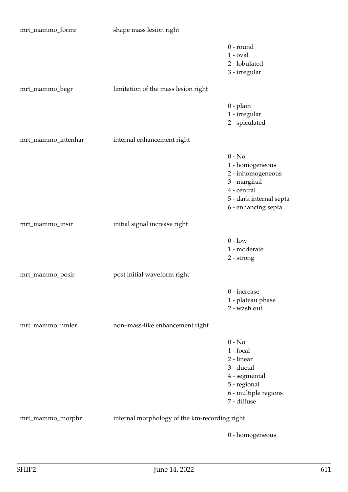| mrt_mammo_formr    | shape mass lesion right                       |                                                                                                                                   |
|--------------------|-----------------------------------------------|-----------------------------------------------------------------------------------------------------------------------------------|
|                    |                                               | $0$ - round<br>$1$ - $oval$<br>2 - lobulated<br>3 - irregular                                                                     |
| mrt_mammo_begr     | limitation of the mass lesion right           |                                                                                                                                   |
|                    |                                               | $0$ - plain<br>1 - irregular<br>2 - spiculated                                                                                    |
| mrt_mammo_intenhar | internal enhancement right                    |                                                                                                                                   |
|                    |                                               | $0 - No$<br>1 - homogeneous<br>2 - inhomogeneous<br>3 - marginal<br>4 - central<br>5 - dark internal septa<br>6 - enhancing septa |
| mrt_mammo_insir    | initial signal increase right                 |                                                                                                                                   |
|                    |                                               | $0$ - $\rm low$<br>1 - moderate<br>2 - strong                                                                                     |
| mrt_mammo_posir    | post initial waveform right                   |                                                                                                                                   |
|                    |                                               | $0$ - increase<br>1 - plateau phase<br>2 - wash out                                                                               |
| mrt_mammo_nmler    | non-mass-like enhancement right               |                                                                                                                                   |
|                    |                                               | $0 - No$<br>1 - focal<br>2 - linear<br>3 - ductal<br>4 - segmental<br>5 - regional<br>6 - multiple regions<br>7 - diffuse         |
| mrt_mammo_morphr   | internal morphology of the km-recording right |                                                                                                                                   |

0 - homogeneous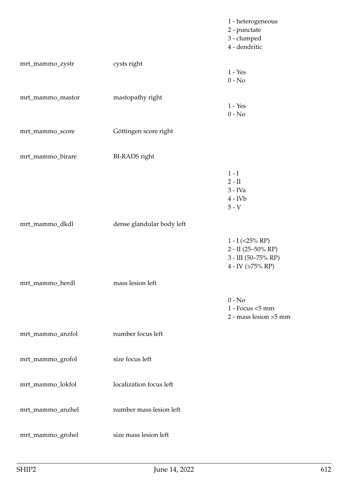|                  |                           | 1 - heterogeneous<br>2 - punctate<br>3 - clumped<br>4 - dendritic                           |
|------------------|---------------------------|---------------------------------------------------------------------------------------------|
| mrt_mammo_zystr  | cysts right               | $1 - Yes$<br>$0 - No$                                                                       |
| mrt_mammo_mastor | mastopathy right          | $1 - Yes$<br>$0 - No$                                                                       |
| mrt_mammo_score  | Göttingen score right     |                                                                                             |
| mrt_mammo_birare | <b>BI-RADS</b> right      |                                                                                             |
|                  |                           | $1-I$<br>$2 - II$<br>$3$ - IVa<br>$4$ - IV $b$<br>$5 - V$                                   |
| mrt_mammo_dkdl   | dense glandular body left |                                                                                             |
|                  |                           | $1 - I$ (<25% RP)<br>$2 - II (25 - 50\% RP)$<br>$3 - III$ (50-75% RP)<br>$4$ - IV (>75% RP) |
| mrt_mammo_herdl  | mass lesion left          |                                                                                             |
|                  |                           | $0 - No$<br>$1 -$ Focus $<$ 5 mm<br>2 - mass lesion >5 mm                                   |
| mrt_mammo_anzfol | number focus left         |                                                                                             |
| mrt_mammo_grofol | size focus left           |                                                                                             |
| mrt_mammo_lokfol | localization focus left   |                                                                                             |
| mrt_mammo_anzhel | number mass lesion left   |                                                                                             |
| mrt_mammo_grohel | size mass lesion left     |                                                                                             |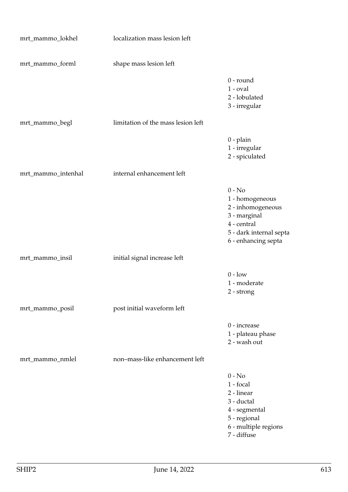| mrt_mammo_lokhel   | localization mass lesion left      |                                                                                                                                   |
|--------------------|------------------------------------|-----------------------------------------------------------------------------------------------------------------------------------|
| mrt_mammo_forml    | shape mass lesion left             |                                                                                                                                   |
|                    |                                    | $0$ - round<br>$1$ - $oval$<br>2 - lobulated<br>3 - irregular                                                                     |
| mrt_mammo_begl     | limitation of the mass lesion left |                                                                                                                                   |
|                    |                                    | $0$ - plain<br>1 - irregular<br>2 - spiculated                                                                                    |
| mrt_mammo_intenhal | internal enhancement left          |                                                                                                                                   |
|                    |                                    | $0 - No$<br>1 - homogeneous<br>2 - inhomogeneous<br>3 - marginal<br>4 - central<br>5 - dark internal septa<br>6 - enhancing septa |
| mrt_mammo_insil    | initial signal increase left       |                                                                                                                                   |
|                    |                                    | $0 - low$<br>1 - moderate<br>2 - strong                                                                                           |
| mrt_mammo_posil    | post initial waveform left         |                                                                                                                                   |
|                    |                                    | 0 - increase<br>1 - plateau phase<br>2 - wash out                                                                                 |
| mrt_mammo_nmlel    | non-mass-like enhancement left     |                                                                                                                                   |
|                    |                                    | $0 - No$<br>1 - focal<br>2 - linear<br>3 - ductal<br>4 - segmental<br>5 - regional<br>6 - multiple regions<br>7 - diffuse         |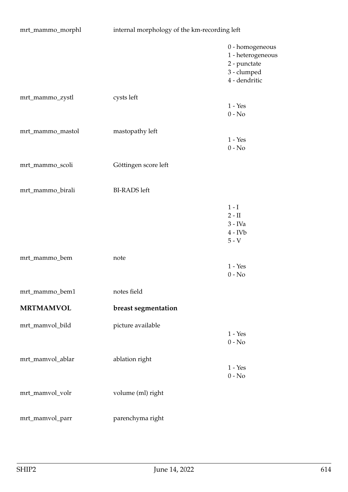| mrt_mammo_morphl | internal morphology of the km-recording left |                                                                                      |
|------------------|----------------------------------------------|--------------------------------------------------------------------------------------|
|                  |                                              | 0 - homogeneous<br>1 - heterogeneous<br>2 - punctate<br>3 - clumped<br>4 - dendritic |
| mrt_mammo_zystl  | cysts left                                   | $1 - Yes$<br>$0 - No$                                                                |
| mrt_mammo_mastol | mastopathy left                              | $1 - Yes$<br>$0 - No$                                                                |
| mrt_mammo_scoli  | Göttingen score left                         |                                                                                      |
| mrt_mammo_birali | <b>BI-RADS</b> left                          |                                                                                      |
|                  |                                              | $1-I$<br>$2 - \mathrm{II}$<br>$3$ - IVa<br>$4$ - IV $b$<br>$5 - V$                   |
| mrt_mammo_bem    | note                                         | $1 - Yes$<br>$0 - No$                                                                |
| mrt_mammo_bem1   | notes field                                  |                                                                                      |
| <b>MRTMAMVOL</b> | breast segmentation                          |                                                                                      |
| mrt_mamvol_bild  | picture available                            | $1 - Yes$<br>$0 - No$                                                                |
| mrt_mamvol_ablar | ablation right                               | $1 - Yes$<br>$0$ - $\hbox{No}$                                                       |
| mrt_mamvol_volr  | volume (ml) right                            |                                                                                      |
| mrt_mamvol_parr  | parenchyma right                             |                                                                                      |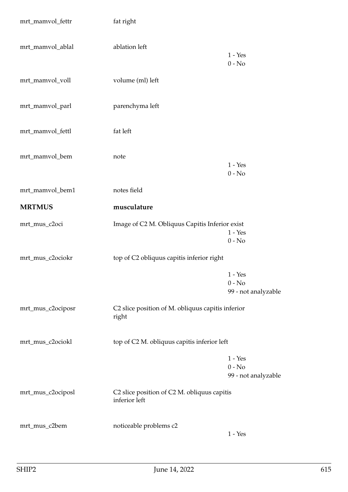| mrt_mamvol_fettr  | fat right                                                    |                                              |
|-------------------|--------------------------------------------------------------|----------------------------------------------|
| mrt_mamvol_ablal  | ablation left                                                | $1 - Yes$<br>$0 - No$                        |
| mrt_mamvol_voll   | volume (ml) left                                             |                                              |
| mrt_mamvol_parl   | parenchyma left                                              |                                              |
| mrt_mamvol_fettl  | fat left                                                     |                                              |
| mrt_mamvol_bem    | note                                                         | $1 - Yes$<br>$0 - No$                        |
| mrt_mamvol_bem1   | notes field                                                  |                                              |
| <b>MRTMUS</b>     | musculature                                                  |                                              |
| mrt_mus_c2oci     | Image of C2 M. Obliquus Capitis Inferior exist               | $1 - Yes$<br>$0 - No$                        |
| mrt_mus_c2ociokr  | top of C2 obliquus capitis inferior right                    |                                              |
|                   |                                                              | $1 - Yes$<br>$0 - No$<br>99 - not analyzable |
| mrt_mus_c2ociposr | C2 slice position of M. obliquus capitis inferior<br>right   |                                              |
| mrt_mus_c2ociokl  | top of C2 M. obliquus capitis inferior left                  |                                              |
|                   |                                                              | $1 - Yes$<br>$0 - No$<br>99 - not analyzable |
| mrt_mus_c2ociposl | C2 slice position of C2 M. obliquus capitis<br>inferior left |                                              |
| mrt_mus_c2bem     | noticeable problems c2                                       | $1 - Yes$                                    |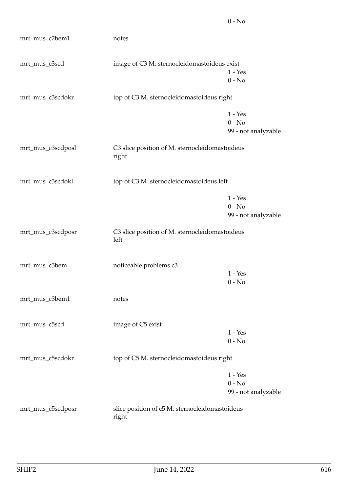| mrt_mus_c2bem1    | notes                                                   |                                 |
|-------------------|---------------------------------------------------------|---------------------------------|
| mrt_mus_c3scd     | image of C3 M. sternocleidomastoideus exist             |                                 |
|                   |                                                         | $1 - Yes$<br>$0 - No$           |
| mrt_mus_c3scdokr  | top of C3 M. sternocleidomastoideus right               |                                 |
|                   |                                                         | $1 - Yes$                       |
|                   |                                                         | $0 - No$<br>99 - not analyzable |
|                   |                                                         |                                 |
| mrt_mus_c3scdposl | C3 slice position of M. sternocleidomastoideus<br>right |                                 |
| mrt_mus_c3scdokl  | top of C3 M. sternocleidomastoideus left                |                                 |
|                   |                                                         | $1 - Yes$                       |
|                   |                                                         | $0 - No$<br>99 - not analyzable |
|                   |                                                         |                                 |
| mrt_mus_c3scdposr | C3 slice position of M. sternocleidomastoideus<br>left  |                                 |
| mrt_mus_c3bem     | noticeable problems c3                                  |                                 |
|                   |                                                         | $1 - Yes$                       |
|                   |                                                         | $0 - No$                        |
| mrt_mus_c3bem1    | notes                                                   |                                 |
| mrt_mus_c5scd     | image of C5 exist                                       |                                 |
|                   |                                                         | $1 - Yes$                       |
|                   |                                                         | $0 - No$                        |
| mrt_mus_c5scdokr  | top of C5 M. sternocleidomastoideus right               |                                 |
|                   |                                                         | $1 - Yes$                       |
|                   |                                                         | $0 - No$                        |
|                   |                                                         | 99 - not analyzable             |
| mrt_mus_c5scdposr | slice position of c5 M. sternocleidomastoideus<br>right |                                 |

0 - No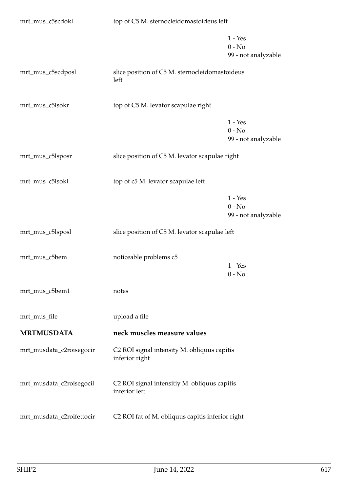| mrt_mus_c5scdokl          | top of C5 M. sternocleidomastoideus left                      |                                              |
|---------------------------|---------------------------------------------------------------|----------------------------------------------|
|                           |                                                               | $1 - Yes$<br>$0 - No$<br>99 - not analyzable |
| mrt_mus_c5scdposl         | slice position of C5 M. sternocleidomastoideus<br>left        |                                              |
| mrt_mus_c5lsokr           | top of C5 M. levator scapulae right                           |                                              |
|                           |                                                               | $1 - Yes$<br>$0 - No$<br>99 - not analyzable |
| mrt_mus_c5lsposr          | slice position of C5 M. levator scapulae right                |                                              |
| mrt_mus_c5lsokl           | top of c5 M. levator scapulae left                            |                                              |
|                           |                                                               | $1 - Yes$<br>$0 - No$<br>99 - not analyzable |
| mrt_mus_c5lsposl          | slice position of C5 M. levator scapulae left                 |                                              |
| mrt_mus_c5bem             | noticeable problems c5                                        | $1 - Yes$<br>$0 - No$                        |
| mrt_mus_c5bem1            | notes                                                         |                                              |
| mrt_mus_file              | upload a file                                                 |                                              |
| <b>MRTMUSDATA</b>         | neck muscles measure values                                   |                                              |
| mrt_musdata_c2roisegocir  | C2 ROI signal intensity M. obliquus capitis<br>inferior right |                                              |
| mrt_musdata_c2roisegocil  | C2 ROI signal intensitiy M. obliquus capitis<br>inferior left |                                              |
| mrt_musdata_c2roifettocir | C2 ROI fat of M. obliquus capitis inferior right              |                                              |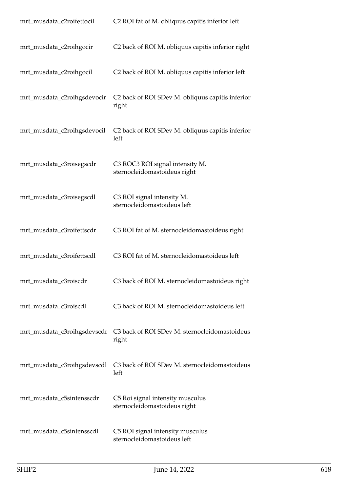| mrt_musdata_c2roifettocil   | C2 ROI fat of M. obliquus capitis inferior left                  |
|-----------------------------|------------------------------------------------------------------|
| mrt_musdata_c2roihgocir     | C2 back of ROI M. obliquus capitis inferior right                |
| mrt_musdata_c2roihgocil     | C2 back of ROI M. obliquus capitis inferior left                 |
| mrt_musdata_c2roihgsdevocir | C2 back of ROI SDev M. obliquus capitis inferior<br>right        |
| mrt_musdata_c2roihgsdevocil | C2 back of ROI SDev M. obliquus capitis inferior<br>left         |
| mrt_musdata_c3roisegscdr    | C3 ROC3 ROI signal intensity M.<br>sternocleidomastoideus right  |
| mrt_musdata_c3roisegscdl    | C3 ROI signal intensity M.<br>sternocleidomastoideus left        |
| mrt_musdata_c3roifettscdr   | C3 ROI fat of M. sternocleidomastoideus right                    |
| mrt_musdata_c3roifettscdl   | C3 ROI fat of M. sternocleidomastoideus left                     |
| mrt_musdata_c3roiscdr       | C3 back of ROI M. sternocleidomastoideus right                   |
| mrt_musdata_c3roiscdl       | C3 back of ROI M. sternocleidomastoideus left                    |
| mrt_musdata_c3roihgsdevscdr | C3 back of ROI SDev M. sternocleidomastoideus<br>right           |
| mrt_musdata_c3roihgsdevscdl | C3 back of ROI SDev M. sternocleidomastoideus<br>left            |
| mrt_musdata_c5sintensscdr   | C5 Roi signal intensity musculus<br>sternocleidomastoideus right |
| mrt_musdata_c5sintensscdl   | C5 ROI signal intensity musculus<br>sternocleidomastoideus left  |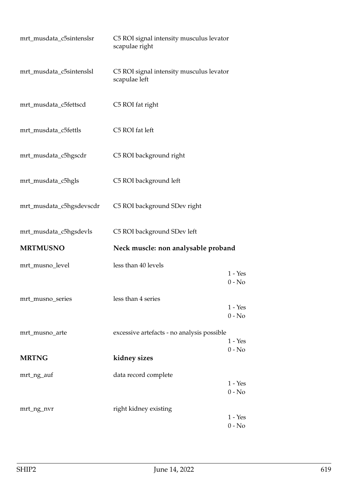| mrt_musdata_c5sintenslsr | C5 ROI signal intensity musculus levator<br>scapulae right |                       |
|--------------------------|------------------------------------------------------------|-----------------------|
| mrt_musdata_c5sintenslsl | C5 ROI signal intensity musculus levator<br>scapulae left  |                       |
| mrt_musdata_c5fettscd    | C5 ROI fat right                                           |                       |
| mrt_musdata_c5fettls     | C5 ROI fat left                                            |                       |
| mrt_musdata_c5hgscdr     | C5 ROI background right                                    |                       |
| mrt_musdata_c5hgls       | C5 ROI background left                                     |                       |
| mrt_musdata_c5hgsdevscdr | C5 ROI background SDev right                               |                       |
| mrt_musdata_c5hgsdevls   | C5 ROI background SDev left                                |                       |
| <b>MRTMUSNO</b>          | Neck muscle: non analysable proband                        |                       |
| mrt_musno_level          | less than 40 levels                                        | $1 - Yes$<br>$0 - No$ |
| mrt_musno_series         | less than 4 series                                         |                       |
|                          |                                                            | $1 - Yes$<br>$0 - No$ |
| mrt_musno_arte           | excessive artefacts - no analysis possible                 |                       |
|                          |                                                            | $1 - Yes$<br>$0 - No$ |
| <b>MRTNG</b>             | kidney sizes                                               |                       |
| mrt_ng_auf               | data record complete                                       |                       |
|                          |                                                            | $1 - Yes$             |
|                          |                                                            | $0 - No$              |
|                          |                                                            |                       |
| mrt_ng_nvr               | right kidney existing                                      |                       |
|                          |                                                            | $1 - Yes$<br>$0 - No$ |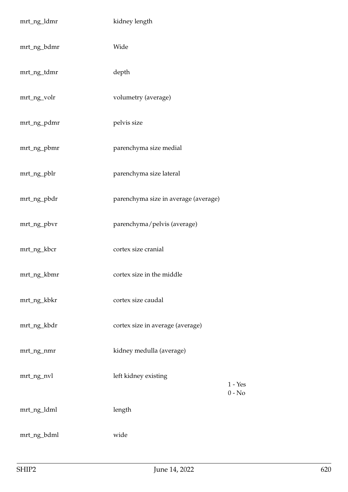| mrt_ng_ldmr | kidney length                        |                       |
|-------------|--------------------------------------|-----------------------|
| mrt_ng_bdmr | Wide                                 |                       |
| mrt_ng_tdmr | depth                                |                       |
| mrt_ng_volr | volumetry (average)                  |                       |
| mrt_ng_pdmr | pelvis size                          |                       |
| mrt_ng_pbmr | parenchyma size medial               |                       |
| mrt_ng_pblr | parenchyma size lateral              |                       |
| mrt_ng_pbdr | parenchyma size in average (average) |                       |
| mrt_ng_pbvr | parenchyma/pelvis (average)          |                       |
| mrt_ng_kbcr | cortex size cranial                  |                       |
| mrt_ng_kbmr | cortex size in the middle            |                       |
| mrt_ng_kbkr | cortex size caudal                   |                       |
| mrt_ng_kbdr | cortex size in average (average)     |                       |
| mrt_ng_nmr  | kidney medulla (average)             |                       |
| mrt_ng_nvl  | left kidney existing                 | $1 - Yes$<br>$0 - No$ |
| mrt_ng_ldml | length                               |                       |
| mrt_ng_bdml | wide                                 |                       |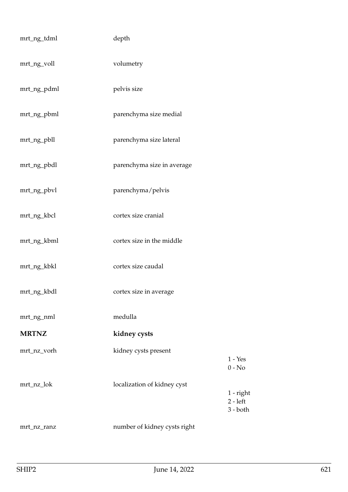| mrt_ng_tdml  | depth                        |                                       |
|--------------|------------------------------|---------------------------------------|
| mrt_ng_voll  | volumetry                    |                                       |
| mrt_ng_pdml  | pelvis size                  |                                       |
| mrt_ng_pbml  | parenchyma size medial       |                                       |
| mrt_ng_pbll  | parenchyma size lateral      |                                       |
| mrt_ng_pbdl  | parenchyma size in average   |                                       |
| mrt_ng_pbvl  | parenchyma/pelvis            |                                       |
| mrt_ng_kbcl  | cortex size cranial          |                                       |
| mrt_ng_kbml  | cortex size in the middle    |                                       |
| mrt_ng_kbkl  | cortex size caudal           |                                       |
| mrt_ng_kbdl  | cortex size in average       |                                       |
| mrt_ng_nml   | medulla                      |                                       |
| <b>MRTNZ</b> | kidney cysts                 |                                       |
| mrt_nz_vorh  | kidney cysts present         | $1 - Yes$<br>$0 - No$                 |
| mrt_nz_lok   | localization of kidney cyst  | 1 - right<br>$2 - left$<br>$3 - both$ |
| mrt_nz_ranz  | number of kidney cysts right |                                       |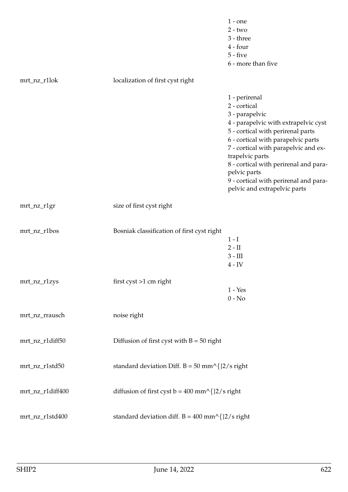|                  |                                                            | $1$ - one<br>$2 - two$<br>$3 - three$<br>$4 - four$<br>$5 - five$<br>6 - more than five                                                                                                                                                                                                                                                                         |
|------------------|------------------------------------------------------------|-----------------------------------------------------------------------------------------------------------------------------------------------------------------------------------------------------------------------------------------------------------------------------------------------------------------------------------------------------------------|
| mrt_nz_r1lok     | localization of first cyst right                           |                                                                                                                                                                                                                                                                                                                                                                 |
|                  |                                                            | 1 - perirenal<br>2 - cortical<br>3 - parapelvic<br>4 - parapelvic with extrapelvic cyst<br>5 - cortical with perirenal parts<br>6 - cortical with parapelvic parts<br>7 - cortical with parapelvic and ex-<br>trapelvic parts<br>8 - cortical with perirenal and para-<br>pelvic parts<br>9 - cortical with perirenal and para-<br>pelvic and extrapelvic parts |
| mrt_nz_r1gr      | size of first cyst right                                   |                                                                                                                                                                                                                                                                                                                                                                 |
| mrt_nz_r1bos     | Bosniak classification of first cyst right                 | $1-I$<br>$2 - II$<br>$3 - III$<br>$4 - IV$                                                                                                                                                                                                                                                                                                                      |
| mrt_nz_r1zys     | first cyst >1 cm right                                     | $1 - Yes$<br>$0 - No$                                                                                                                                                                                                                                                                                                                                           |
| mrt_nz_rrausch   | noise right                                                |                                                                                                                                                                                                                                                                                                                                                                 |
| mrt_nz_r1diff50  | Diffusion of first cyst with $B = 50$ right                |                                                                                                                                                                                                                                                                                                                                                                 |
| mrt_nz_r1std50   | standard deviation Diff. $B = 50$ mm^{ $\frac{2}{s}$ right |                                                                                                                                                                                                                                                                                                                                                                 |
| mrt_nz_r1diff400 | diffusion of first cyst $b = 400$ mm^{}2/s right           |                                                                                                                                                                                                                                                                                                                                                                 |
| mrt_nz_r1std400  | standard deviation diff. $B = 400$ mm^{}2/s right          |                                                                                                                                                                                                                                                                                                                                                                 |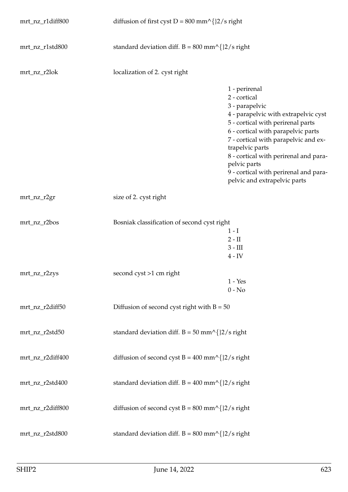| mrt_nz_r1diff800 | diffusion of first cyst D = $800 \text{ mm}^{\text{ }}\text{/}$ [2/s right] |                                                                                                                                                                                                                                                                                                                                                                 |
|------------------|-----------------------------------------------------------------------------|-----------------------------------------------------------------------------------------------------------------------------------------------------------------------------------------------------------------------------------------------------------------------------------------------------------------------------------------------------------------|
| mrt_nz_r1std800  | standard deviation diff. $B = 800$ mm^{}2/s right                           |                                                                                                                                                                                                                                                                                                                                                                 |
| mrt_nz_r2lok     | localization of 2. cyst right                                               |                                                                                                                                                                                                                                                                                                                                                                 |
|                  |                                                                             | 1 - perirenal<br>2 - cortical<br>3 - parapelvic<br>4 - parapelvic with extrapelvic cyst<br>5 - cortical with perirenal parts<br>6 - cortical with parapelvic parts<br>7 - cortical with parapelvic and ex-<br>trapelvic parts<br>8 - cortical with perirenal and para-<br>pelvic parts<br>9 - cortical with perirenal and para-<br>pelvic and extrapelvic parts |
| mrt_nz_r2gr      | size of 2. cyst right                                                       |                                                                                                                                                                                                                                                                                                                                                                 |
| mrt_nz_r2bos     | Bosniak classification of second cyst right                                 | $1-I$<br>$2-II$<br>$3 - III$<br>$4 - IV$                                                                                                                                                                                                                                                                                                                        |
| mrt_nz_r2zys     | second cyst >1 cm right                                                     | $1 - Yes$<br>$0 - No$                                                                                                                                                                                                                                                                                                                                           |
| mrt_nz_r2diff50  | Diffusion of second cyst right with $B = 50$                                |                                                                                                                                                                                                                                                                                                                                                                 |
| mrt_nz_r2std50   | standard deviation diff. $B = 50$ mm^{}2/s right                            |                                                                                                                                                                                                                                                                                                                                                                 |
| mrt_nz_r2diff400 | diffusion of second cyst $B = 400$ mm^{}2/s right                           |                                                                                                                                                                                                                                                                                                                                                                 |
| mrt_nz_r2std400  | standard deviation diff. $B = 400$ mm^{}2/s right                           |                                                                                                                                                                                                                                                                                                                                                                 |
| mrt_nz_r2diff800 | diffusion of second cyst $B = 800$ mm^{}2/s right                           |                                                                                                                                                                                                                                                                                                                                                                 |
| mrt_nz_r2std800  | standard deviation diff. $B = 800$ mm^{}2/s right                           |                                                                                                                                                                                                                                                                                                                                                                 |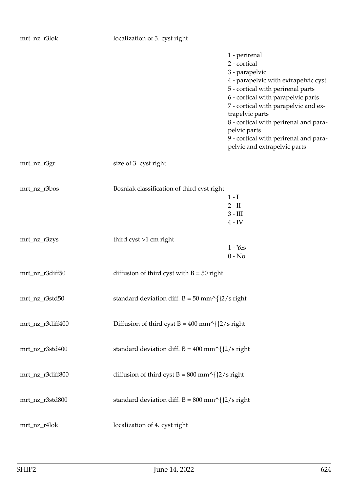|                  |                                                   | 1 - perirenal<br>2 - cortical<br>3 - parapelvic<br>4 - parapelvic with extrapelvic cyst<br>5 - cortical with perirenal parts<br>6 - cortical with parapelvic parts<br>7 - cortical with parapelvic and ex-<br>trapelvic parts<br>8 - cortical with perirenal and para-<br>pelvic parts<br>9 - cortical with perirenal and para-<br>pelvic and extrapelvic parts |
|------------------|---------------------------------------------------|-----------------------------------------------------------------------------------------------------------------------------------------------------------------------------------------------------------------------------------------------------------------------------------------------------------------------------------------------------------------|
| mrt_nz_r3gr      | size of 3. cyst right                             |                                                                                                                                                                                                                                                                                                                                                                 |
| mrt_nz_r3bos     | Bosniak classification of third cyst right        | $1-I$<br>$2 - II$<br>$3 - III$<br>$4 - IV$                                                                                                                                                                                                                                                                                                                      |
| mrt_nz_r3zys     | third $\text{cyst} > 1 \text{ cm right}$          | $1 - Yes$<br>$0 - No$                                                                                                                                                                                                                                                                                                                                           |
| mrt_nz_r3diff50  | diffusion of third cyst with $B = 50$ right       |                                                                                                                                                                                                                                                                                                                                                                 |
| mrt_nz_r3std50   | standard deviation diff. $B = 50$ mm^{}2/s right  |                                                                                                                                                                                                                                                                                                                                                                 |
| mrt_nz_r3diff400 | Diffusion of third cyst $B = 400$ mm^{}2/s right  |                                                                                                                                                                                                                                                                                                                                                                 |
| mrt_nz_r3std400  | standard deviation diff. $B = 400$ mm^{}2/s right |                                                                                                                                                                                                                                                                                                                                                                 |
| mrt_nz_r3diff800 | diffusion of third cyst $B = 800$ mm^{}2/s right  |                                                                                                                                                                                                                                                                                                                                                                 |
| mrt_nz_r3std800  | standard deviation diff. $B = 800$ mm^{}2/s right |                                                                                                                                                                                                                                                                                                                                                                 |
| mrt_nz_r4lok     | localization of 4. cyst right                     |                                                                                                                                                                                                                                                                                                                                                                 |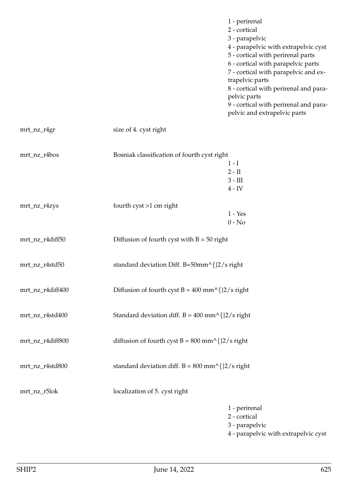|                  |                                                   | 1 - perirenal<br>2 - cortical<br>3 - parapelvic<br>4 - parapelvic with extrapelvic cyst<br>5 - cortical with perirenal parts<br>6 - cortical with parapelvic parts<br>7 - cortical with parapelvic and ex-<br>trapelvic parts<br>8 - cortical with perirenal and para-<br>pelvic parts<br>9 - cortical with perirenal and para-<br>pelvic and extrapelvic parts |
|------------------|---------------------------------------------------|-----------------------------------------------------------------------------------------------------------------------------------------------------------------------------------------------------------------------------------------------------------------------------------------------------------------------------------------------------------------|
| mrt_nz_r4gr      | size of 4. cyst right                             |                                                                                                                                                                                                                                                                                                                                                                 |
| mrt_nz_r4bos     | Bosniak classification of fourth cyst right       | $1-I$<br>$2-II$<br>$3 - III$<br>$4 - IV$                                                                                                                                                                                                                                                                                                                        |
| mrt_nz_r4zys     | fourth $\text{cyst} > 1 \text{ cm right}$         | $1 - Yes$<br>$0 - No$                                                                                                                                                                                                                                                                                                                                           |
| mrt_nz_r4diff50  | Diffusion of fourth cyst with $B = 50$ right      |                                                                                                                                                                                                                                                                                                                                                                 |
| mrt_nz_r4std50   | standard deviation Diff. B=50mm^{}2/s right       |                                                                                                                                                                                                                                                                                                                                                                 |
| mrt_nz_r4diff400 | Diffusion of fourth cyst $B = 400$ mm^{}2/s right |                                                                                                                                                                                                                                                                                                                                                                 |
| mrt_nz_r4std400  | Standard deviation diff. $B = 400$ mm^{}2/s right |                                                                                                                                                                                                                                                                                                                                                                 |
| mrt_nz_r4diff800 | diffusion of fourth cyst B = 800 mm^{}2/s right   |                                                                                                                                                                                                                                                                                                                                                                 |
| mrt_nz_r4std800  | standard deviation diff. $B = 800$ mm^{}2/s right |                                                                                                                                                                                                                                                                                                                                                                 |
| mrt_nz_r5lok     | localization of 5. cyst right                     |                                                                                                                                                                                                                                                                                                                                                                 |
|                  |                                                   | 1 - perirenal<br>2 - cortical                                                                                                                                                                                                                                                                                                                                   |

- 3 parapelvic
- 4 parapelvic with extrapelvic cyst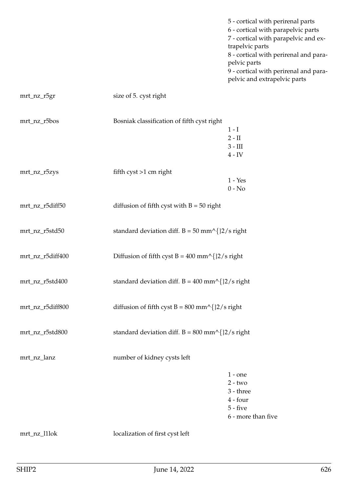5 - cortical with perirenal parts 6 - cortical with parapelvic parts 7 - cortical with parapelvic and extrapelvic parts 8 - cortical with perirenal and parapelvic parts 9 - cortical with perirenal and parapelvic and extrapelvic parts

| mrt_nz_r5gr      | size of 5. cyst right                                       |                                                                                       |
|------------------|-------------------------------------------------------------|---------------------------------------------------------------------------------------|
| mrt_nz_r5bos     | Bosniak classification of fifth cyst right                  | $1-I$<br>$2 - II$<br>$3 - III$<br>$4 - IV$                                            |
| mrt_nz_r5zys     | fifth cyst >1 cm right                                      | $1 - Yes$<br>$0 - No$                                                                 |
| mrt_nz_r5diff50  | diffusion of fifth cyst with $B = 50$ right                 |                                                                                       |
| mrt_nz_r5std50   | standard deviation diff. $B = 50$ mm^{ $\frac{2}{s}$ right  |                                                                                       |
| mrt_nz_r5diff400 | Diffusion of fifth cyst $B = 400$ mm^{}2/s right            |                                                                                       |
| mrt_nz_r5std400  | standard deviation diff. $B = 400$ mm^{ $\frac{2}{s}$ right |                                                                                       |
| mrt_nz_r5diff800 | diffusion of fifth cyst $B = 800$ mm^{}2/s right            |                                                                                       |
| mrt_nz_r5std800  | standard deviation diff. $B = 800$ mm^{ $\frac{2}{s}$ right |                                                                                       |
| mrt_nz_lanz      | number of kidney cysts left                                 |                                                                                       |
|                  |                                                             | $1 -$ one<br>$2 - two$<br>3 - three<br>$4 - four$<br>$5 - five$<br>6 - more than five |
| mrt_nz_l1lok     | localization of first cyst left                             |                                                                                       |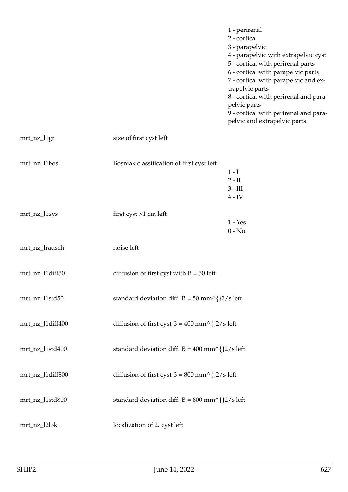|                  |                                                                            | 1 - perirenal<br>2 - cortical<br>3 - parapelvic<br>4 - parapelvic with extrapelvic cyst<br>5 - cortical with perirenal parts<br>6 - cortical with parapelvic parts<br>7 - cortical with parapelvic and ex-<br>trapelvic parts<br>8 - cortical with perirenal and para-<br>pelvic parts<br>9 - cortical with perirenal and para-<br>pelvic and extrapelvic parts |
|------------------|----------------------------------------------------------------------------|-----------------------------------------------------------------------------------------------------------------------------------------------------------------------------------------------------------------------------------------------------------------------------------------------------------------------------------------------------------------|
| mrt_nz_l1gr      | size of first cyst left                                                    |                                                                                                                                                                                                                                                                                                                                                                 |
| mrt_nz_l1bos     | Bosniak classification of first cyst left                                  | $1-I$<br>$2-II$<br>$3 - III$<br>$4 - IV$                                                                                                                                                                                                                                                                                                                        |
| mrt_nz_l1zys     | first $\text{cyst} > 1 \text{ cm}$ left                                    | $1 - Yes$<br>$0 - No$                                                                                                                                                                                                                                                                                                                                           |
| mrt_nz_lrausch   | noise left                                                                 |                                                                                                                                                                                                                                                                                                                                                                 |
| mrt_nz_l1diff50  | diffusion of first cyst with $B = 50$ left                                 |                                                                                                                                                                                                                                                                                                                                                                 |
| mrt_nz_l1std50   | standard deviation diff. $B = 50$ mm^{}2/s left                            |                                                                                                                                                                                                                                                                                                                                                                 |
| mrt_nz_l1diff400 | diffusion of first cyst B = $400 \text{ mm}^{\text{ }}\text{/}$ [2/s left] |                                                                                                                                                                                                                                                                                                                                                                 |
| mrt_nz_l1std400  | standard deviation diff. $B = 400$ mm^{}2/s left                           |                                                                                                                                                                                                                                                                                                                                                                 |
| mrt_nz_l1diff800 | diffusion of first cyst B = 800 mm^{}2/s left                              |                                                                                                                                                                                                                                                                                                                                                                 |
| mrt_nz_l1std800  | standard deviation diff. $B = 800$ mm^{}2/s left                           |                                                                                                                                                                                                                                                                                                                                                                 |
| mrt_nz_l2lok     | localization of 2. cyst left                                               |                                                                                                                                                                                                                                                                                                                                                                 |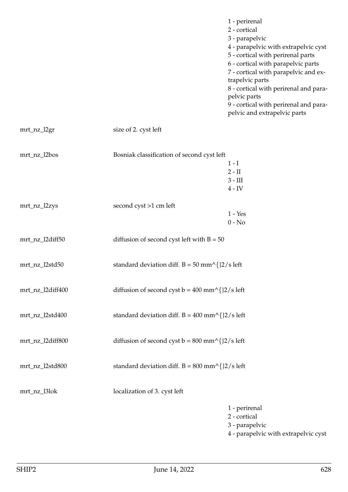|                  |                                                  | 1 - perirenal<br>2 - cortical<br>3 - parapelvic<br>4 - parapelvic with extrapelvic cyst<br>5 - cortical with perirenal parts<br>6 - cortical with parapelvic parts<br>7 - cortical with parapelvic and ex-<br>trapelvic parts<br>8 - cortical with perirenal and para-<br>pelvic parts<br>9 - cortical with perirenal and para-<br>pelvic and extrapelvic parts |
|------------------|--------------------------------------------------|-----------------------------------------------------------------------------------------------------------------------------------------------------------------------------------------------------------------------------------------------------------------------------------------------------------------------------------------------------------------|
| mrt_nz_l2gr      | size of 2. cyst left                             |                                                                                                                                                                                                                                                                                                                                                                 |
| mrt_nz_l2bos     | Bosniak classification of second cyst left       | $1-I$<br>$2 - II$<br>$3 - III$<br>$4 - IV$                                                                                                                                                                                                                                                                                                                      |
| mrt_nz_l2zys     | second cyst >1 cm left                           | $1 - Yes$<br>$0 - No$                                                                                                                                                                                                                                                                                                                                           |
| mrt_nz_l2diff50  | diffusion of second cyst left with $B = 50$      |                                                                                                                                                                                                                                                                                                                                                                 |
| mrt_nz_l2std50   | standard deviation diff. $B = 50$ mm^{}2/s left  |                                                                                                                                                                                                                                                                                                                                                                 |
| mrt_nz_l2diff400 | diffusion of second cyst $b = 400$ mm^{}2/s left |                                                                                                                                                                                                                                                                                                                                                                 |
| mrt_nz_l2std400  | standard deviation diff. $B = 400$ mm^{}2/s left |                                                                                                                                                                                                                                                                                                                                                                 |
| mrt_nz_l2diff800 | diffusion of second cyst $b = 800$ mm^{}2/s left |                                                                                                                                                                                                                                                                                                                                                                 |
| mrt_nz_l2std800  | standard deviation diff. $B = 800$ mm^{}2/s left |                                                                                                                                                                                                                                                                                                                                                                 |
| mrt_nz_l3lok     | localization of 3. cyst left                     |                                                                                                                                                                                                                                                                                                                                                                 |
|                  |                                                  | 1 - perirenal<br>2 - cortical                                                                                                                                                                                                                                                                                                                                   |

- 3 parapelvic
- 4 parapelvic with extrapelvic cyst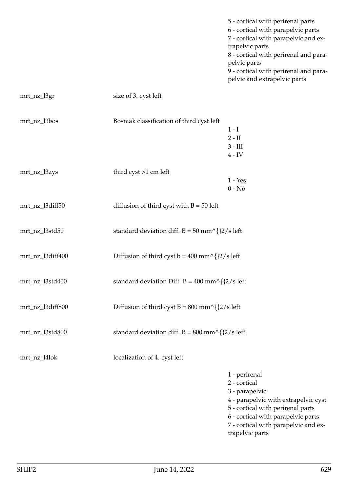| 5 - cortical with perirenal parts     |
|---------------------------------------|
| 6 - cortical with parapelvic parts    |
| 7 - cortical with parapelvic and ex-  |
| trapelvic parts                       |
| 8 - cortical with perirenal and para- |
| pelvic parts                          |
| 9 - cortical with perirenal and para- |
| pelvic and extrapelvic parts          |
|                                       |

| mrt_nz_l3gr      | size of 3. cyst left                                              |                                                                                                                                                                    |
|------------------|-------------------------------------------------------------------|--------------------------------------------------------------------------------------------------------------------------------------------------------------------|
| mrt_nz_l3bos     | Bosniak classification of third cyst left                         | $1-I$<br>$2 - II$<br>$3 - III$<br>$4$ - ${\rm IV}$                                                                                                                 |
| mrt_nz_l3zys     | third cyst >1 cm left                                             | $1 - Yes$<br>$0 - No$                                                                                                                                              |
| mrt_nz_l3diff50  | diffusion of third cyst with $B = 50$ left                        |                                                                                                                                                                    |
| mrt_nz_l3std50   | standard deviation diff. $B = 50$ mm^{}2/s left                   |                                                                                                                                                                    |
| mrt_nz_l3diff400 | Diffusion of third cyst $b = 400$ mm^{}2/s left                   |                                                                                                                                                                    |
| mrt_nz_l3std400  | standard deviation Diff. B = $400 \text{ mm}^{\wedge}$ {}2/s left |                                                                                                                                                                    |
| mrt_nz_l3diff800 | Diffusion of third cyst $B = 800$ mm^{}2/s left                   |                                                                                                                                                                    |
| mrt_nz_l3std800  | standard deviation diff. $B = 800$ mm^{}2/s left                  |                                                                                                                                                                    |
| mrt_nz_l4lok     | localization of 4. cyst left                                      |                                                                                                                                                                    |
|                  |                                                                   | 1 - perirenal<br>2 - cortical<br>3 - parapelvic<br>4 - parapelvic with extrapelvic cyst<br>5 - cortical with perirenal parts<br>6 - cortical with parapelvic parts |

7 - cortical with parapelvic and extrapelvic parts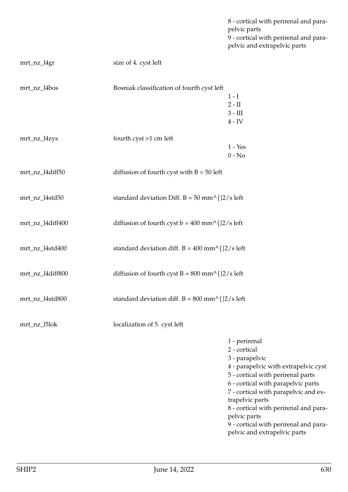pelvic parts 9 - cortical with perirenal and parapelvic and extrapelvic parts mrt\_nz\_l4gr size of 4. cyst left mrt\_nz\_l4bos Bosniak classification of fourth cyst left  $1 - I$ 2 - II 3 - III 4 - IV mrt\_nz\_l4zys fourth cyst >1 cm left 1 - Yes 0 - No mrt\_nz\_l4diff50 diffusion of fourth cyst with B = 50 left mrt\_nz\_l4std50 standard deviation Diff. B = 50 mm^{}2/s left mrt\_nz\_l4diff400 diffusion of fourth cyst  $b = 400$  mm^{ $2/s$  left mrt\_nz\_l4std400 standard deviation diff.  $B = 400$  mm^{ $2/s$  left mrt\_nz\_l4diff800 diffusion of fourth cyst B =  $800 \text{ mm}^{\text{}}\frac{2}{s}$  left mrt\_nz\_l4std800 standard deviation diff. B = 800 mm^{}2/s left mrt\_nz\_l5lok localization of 5. cyst left 1 - perirenal 2 - cortical 3 - parapelvic 4 - parapelvic with extrapelvic cyst 5 - cortical with perirenal parts 6 - cortical with parapelvic parts 7 - cortical with parapelvic and extrapelvic parts 8 - cortical with perirenal and parapelvic parts

9 - cortical with perirenal and para-

pelvic and extrapelvic parts

8 - cortical with perirenal and para-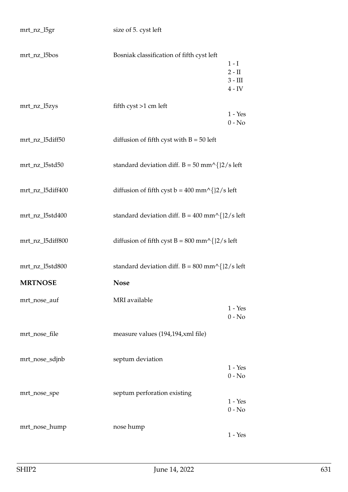| mrt_nz_l5bos     | Bosniak classification of fifth cyst left                                   | $1-I$<br>$2 - II$<br>$3 - III$<br>$4$ - ${\rm IV}$ |
|------------------|-----------------------------------------------------------------------------|----------------------------------------------------|
| mrt_nz_l5zys     | fifth $\text{cyst} > 1 \text{ cm}$ left                                     | $1 - Yes$<br>$0 - No$                              |
| mrt_nz_l5diff50  | diffusion of fifth cyst with $B = 50$ left                                  |                                                    |
| mrt_nz_l5std50   | standard deviation diff. $B = 50$ mm^{}2/s left                             |                                                    |
| mrt_nz_l5diff400 | diffusion of fifth cyst $b = 400$ mm^{}2/s left                             |                                                    |
| mrt_nz_l5std400  | standard deviation diff. $B = 400$ mm^{}2/s left                            |                                                    |
| mrt_nz_l5diff800 | diffusion of fifth cyst B = $800 \text{ mm}^{\text{/}}$ { $2/\text{s}$ left |                                                    |
| mrt_nz_l5std800  | standard deviation diff. $B = 800$ mm^{}2/s left                            |                                                    |
| <b>MRTNOSE</b>   | <b>Nose</b>                                                                 |                                                    |
| mrt_nose_auf     | MRI available                                                               | $1 - Yes$<br>$0$ - $\mathrm{No}$                   |
| mrt_nose_file    | measure values (194,194, xml file)                                          |                                                    |
| mrt_nose_sdjnb   | septum deviation                                                            | $1 - Yes$<br>$0 - No$                              |
| mrt_nose_spe     | septum perforation existing                                                 | $1 - Yes$<br>$0 - No$                              |
| mrt_nose_hump    | nose hump                                                                   | $1 - Yes$                                          |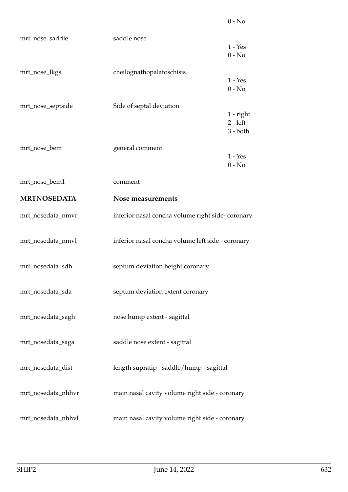| mrt_nose_saddle    | saddle nose                                       |                          |
|--------------------|---------------------------------------------------|--------------------------|
|                    |                                                   | $1 - Yes$                |
|                    |                                                   | $0 - No$                 |
| mrt_nose_lkgs      | cheilognathopalatoschisis                         | $1 - Yes$                |
|                    |                                                   | $0 - No$                 |
| mrt_nose_septside  | Side of septal deviation                          |                          |
|                    |                                                   | 1 - right                |
|                    |                                                   | $2 - left$<br>$3 - both$ |
|                    |                                                   |                          |
| mrt_nose_bem       | general comment                                   | $1 - Yes$                |
|                    |                                                   | $0 - No$                 |
| mrt_nose_bem1      | comment                                           |                          |
| <b>MRTNOSEDATA</b> | Nose measurements                                 |                          |
| mrt_nosedata_nmvr  | inferior nasal concha volume right side-coronary  |                          |
|                    |                                                   |                          |
| mrt_nosedata_nmvl  | inferior nasal concha volume left side - coronary |                          |
| mrt_nosedata_sdh   | septum deviation height coronary                  |                          |
|                    |                                                   |                          |
| mrt_nosedata_sda   | septum deviation extent coronary                  |                          |
|                    |                                                   |                          |
| mrt_nosedata_sagh  | nose hump extent - sagittal                       |                          |
| mrt_nosedata_saga  | saddle nose extent - sagittal                     |                          |
|                    |                                                   |                          |
| mrt_nosedata_dist  | length supratip - saddle/hump - sagittal          |                          |
|                    |                                                   |                          |
| mrt_nosedata_nhhvr | main nasal cavity volume right side - coronary    |                          |
|                    |                                                   |                          |
| mrt_nosedata_nhhvl | main nasal cavity volume right side - coronary    |                          |

0 - No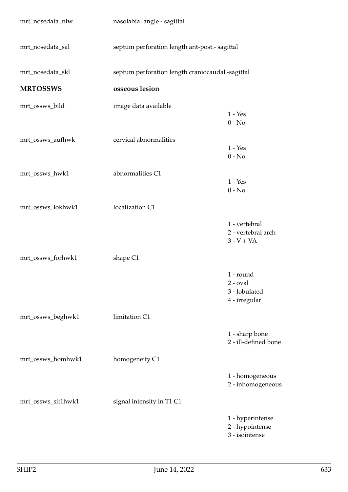| mrt_nosedata_nlw   | nasolabial angle - sagittal                      |                                                             |
|--------------------|--------------------------------------------------|-------------------------------------------------------------|
| mrt_nosedata_sal   | septum perforation length ant-post.- sagittal    |                                                             |
| mrt_nosedata_skl   | septum perforation length craniocaudal -sagittal |                                                             |
| <b>MRTOSSWS</b>    | osseous lesion                                   |                                                             |
| mrt_ossws_bild     | image data available                             | $1 - Yes$<br>$0 - No$                                       |
| mrt_ossws_aufhwk   | cervical abnormalities                           | $1 - Yes$<br>$0 - No$                                       |
| mrt_ossws_hwk1     | abnormalities C1                                 | $1 - Yes$<br>$0 - No$                                       |
| mrt_ossws_lokhwk1  | localization C1                                  |                                                             |
|                    |                                                  | 1 - vertebral<br>2 - vertebral arch<br>$3 - V + VA$         |
| mrt_ossws_forhwk1  | shape C1                                         |                                                             |
|                    |                                                  | 1 - round<br>$2$ - $oval$<br>3 - lobulated<br>4 - irregular |
| mrt_ossws_beghwk1  | limitation C1                                    |                                                             |
|                    |                                                  | 1 - sharp bone<br>2 - ill-defined bone                      |
| mrt_ossws_homhwk1  | homogeneity C1                                   |                                                             |
|                    |                                                  | 1 - homogeneous<br>2 - inhomogeneous                        |
| mrt_ossws_sit1hwk1 | signal intensity in T1 C1                        |                                                             |
|                    |                                                  | 1 - hyperintense<br>2 - hypointense<br>3 - isointense       |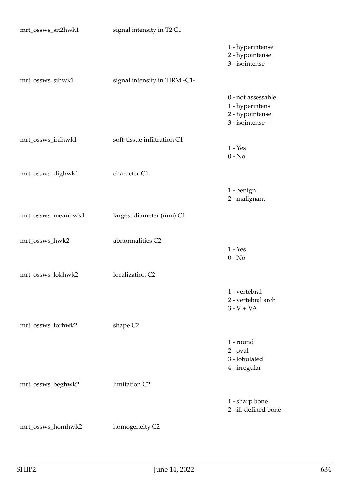| mrt_ossws_sit2hwk1 | signal intensity in T2 C1     |                                                                            |
|--------------------|-------------------------------|----------------------------------------------------------------------------|
|                    |                               | 1 - hyperintense<br>2 - hypointense<br>3 - isointense                      |
| mrt_ossws_sihwk1   | signal intensity in TIRM -C1- |                                                                            |
|                    |                               | 0 - not assessable<br>1 - hyperintens<br>2 - hypointense<br>3 - isointense |
| mrt_ossws_infhwk1  | soft-tissue infiltration C1   | $1 - Yes$<br>$0 - No$                                                      |
| mrt_ossws_dighwk1  | character C1                  |                                                                            |
|                    |                               | 1 - benign<br>2 - malignant                                                |
| mrt_ossws_meanhwk1 | largest diameter (mm) C1      |                                                                            |
| mrt_ossws_hwk2     | abnormalities C2              | $1 - Yes$<br>$0 - No$                                                      |
| mrt_ossws_lokhwk2  | localization C2               |                                                                            |
|                    |                               | 1 - vertebral<br>2 - vertebral arch<br>$3 - V + VA$                        |
| mrt_ossws_forhwk2  | shape C <sub>2</sub>          |                                                                            |
|                    |                               | 1 - round<br>$2$ - $oval$<br>3 - lobulated<br>4 - irregular                |
| mrt_ossws_beghwk2  | limitation C2                 |                                                                            |
|                    |                               | 1 - sharp bone<br>2 - ill-defined bone                                     |
| mrt_ossws_homhwk2  | homogeneity C2                |                                                                            |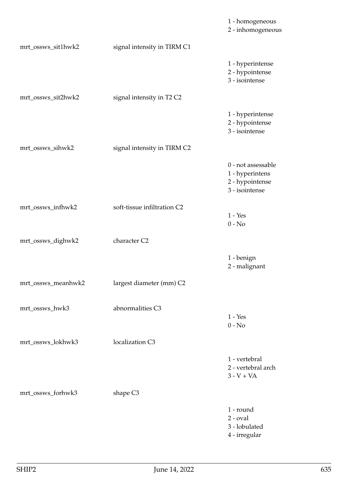|                    |                             | 1 - homogeneous<br>2 - inhomogeneous                                       |
|--------------------|-----------------------------|----------------------------------------------------------------------------|
| mrt_ossws_sit1hwk2 | signal intensity in TIRM C1 |                                                                            |
|                    |                             | 1 - hyperintense<br>2 - hypointense<br>3 - isointense                      |
| mrt_ossws_sit2hwk2 | signal intensity in T2 C2   |                                                                            |
|                    |                             | 1 - hyperintense<br>2 - hypointense<br>3 - isointense                      |
| mrt_ossws_sihwk2   | signal intensity in TIRM C2 |                                                                            |
|                    |                             | 0 - not assessable<br>1 - hyperintens<br>2 - hypointense<br>3 - isointense |
| mrt_ossws_infhwk2  | soft-tissue infiltration C2 | $1 - Yes$<br>$0 - No$                                                      |
| mrt_ossws_dighwk2  | character C2                |                                                                            |
|                    |                             | 1 - benign<br>2 - malignant                                                |
| mrt_ossws_meanhwk2 | largest diameter (mm) C2    |                                                                            |
| mrt_ossws_hwk3     | abnormalities C3            | $1 - Yes$<br>$0 - No$                                                      |
| mrt_ossws_lokhwk3  | localization C3             |                                                                            |
|                    |                             | 1 - vertebral<br>2 - vertebral arch<br>$3 - V + VA$                        |
| mrt_ossws_forhwk3  | shape C <sub>3</sub>        |                                                                            |
|                    |                             | 1 - round<br>$2$ - $oval$<br>3 - lobulated<br>4 - irregular                |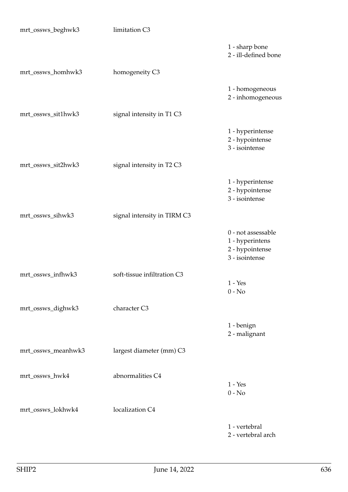| mrt_ossws_beghwk3  | limitation C3               |                                                                            |
|--------------------|-----------------------------|----------------------------------------------------------------------------|
|                    |                             | 1 - sharp bone<br>2 - ill-defined bone                                     |
| mrt_ossws_homhwk3  | homogeneity C3              |                                                                            |
|                    |                             | 1 - homogeneous<br>2 - inhomogeneous                                       |
| mrt_ossws_sit1hwk3 | signal intensity in T1 C3   |                                                                            |
|                    |                             | 1 - hyperintense<br>2 - hypointense<br>3 - isointense                      |
| mrt_ossws_sit2hwk3 | signal intensity in T2 C3   |                                                                            |
|                    |                             | 1 - hyperintense<br>2 - hypointense<br>3 - isointense                      |
| mrt_ossws_sihwk3   | signal intensity in TIRM C3 |                                                                            |
|                    |                             | 0 - not assessable<br>1 - hyperintens<br>2 - hypointense<br>3 - isointense |
| mrt_ossws_infhwk3  | soft-tissue infiltration C3 | $1 - Yes$                                                                  |
|                    |                             | $0 - No$                                                                   |
| mrt_ossws_dighwk3  | character C3                |                                                                            |
|                    |                             | 1 - benign<br>2 - malignant                                                |
| mrt_ossws_meanhwk3 | largest diameter (mm) C3    |                                                                            |
| mrt_ossws_hwk4     | abnormalities C4            | $1 - Yes$<br>$0 - No$                                                      |
| mrt_ossws_lokhwk4  | localization C4             |                                                                            |
|                    |                             | 1 - vertebral<br>2 - vertebral arch                                        |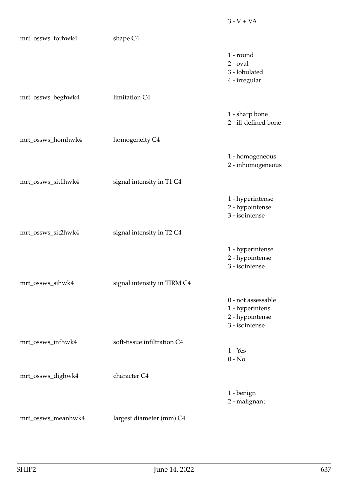| mrt_ossws_forhwk4  | shape C <sub>4</sub>        |                                                                            |
|--------------------|-----------------------------|----------------------------------------------------------------------------|
|                    |                             | 1 - round<br>$2$ - $oval$<br>3 - lobulated<br>4 - irregular                |
| mrt_ossws_beghwk4  | limitation C4               |                                                                            |
|                    |                             | 1 - sharp bone<br>2 - ill-defined bone                                     |
| mrt_ossws_homhwk4  | homogeneity C4              |                                                                            |
|                    |                             | 1 - homogeneous<br>2 - inhomogeneous                                       |
| mrt_ossws_sit1hwk4 | signal intensity in T1 C4   |                                                                            |
|                    |                             | 1 - hyperintense<br>2 - hypointense<br>3 - isointense                      |
| mrt_ossws_sit2hwk4 | signal intensity in T2 C4   |                                                                            |
|                    |                             | 1 - hyperintense<br>2 - hypointense<br>3 - isointense                      |
| mrt_ossws_sihwk4   | signal intensity in TIRM C4 |                                                                            |
|                    |                             | 0 - not assessable<br>1 - hyperintens<br>2 - hypointense<br>3 - isointense |
| mrt_ossws_infhwk4  | soft-tissue infiltration C4 | $1 - Yes$                                                                  |
|                    |                             | $0 - No$                                                                   |
| mrt_ossws_dighwk4  | character C4                |                                                                            |
|                    |                             | 1 - benign<br>2 - malignant                                                |
| mrt_ossws_meanhwk4 | largest diameter (mm) C4    |                                                                            |

 $3 - V + VA$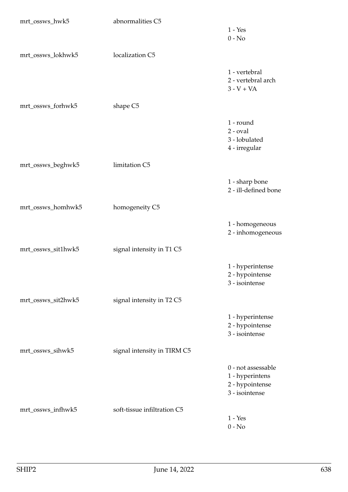| mrt_ossws_hwk5     | abnormalities C5            | $1 - Yes$                                                                  |
|--------------------|-----------------------------|----------------------------------------------------------------------------|
|                    |                             | $0 - No$                                                                   |
| mrt_ossws_lokhwk5  | localization C5             |                                                                            |
|                    |                             | 1 - vertebral<br>2 - vertebral arch<br>$3 - V + VA$                        |
| mrt_ossws_forhwk5  | shape C5                    |                                                                            |
|                    |                             | 1 - round<br>$2$ - $oval$<br>3 - lobulated<br>4 - irregular                |
| mrt_ossws_beghwk5  | limitation C5               |                                                                            |
|                    |                             | 1 - sharp bone<br>2 - ill-defined bone                                     |
| mrt_ossws_homhwk5  | homogeneity C5              |                                                                            |
|                    |                             | 1 - homogeneous<br>2 - inhomogeneous                                       |
| mrt_ossws_sit1hwk5 | signal intensity in T1 C5   |                                                                            |
|                    |                             | 1 - hyperintense<br>2 - hypointense<br>3 - isointense                      |
| mrt_ossws_sit2hwk5 | signal intensity in T2 C5   |                                                                            |
|                    |                             | 1 - hyperintense<br>2 - hypointense<br>3 - isointense                      |
| mrt_ossws_sihwk5   | signal intensity in TIRM C5 |                                                                            |
|                    |                             | 0 - not assessable<br>1 - hyperintens<br>2 - hypointense<br>3 - isointense |
| mrt_ossws_infhwk5  | soft-tissue infiltration C5 | $1 - Yes$                                                                  |
|                    |                             | $0 - No$                                                                   |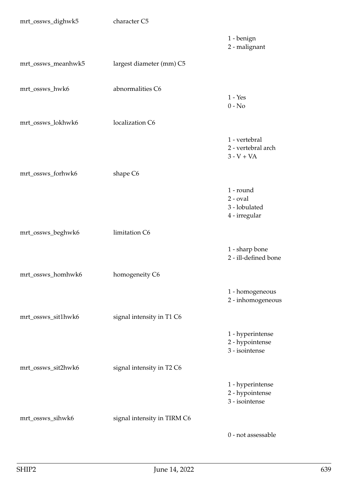| mrt_ossws_dighwk5  | character C5                |                                                             |
|--------------------|-----------------------------|-------------------------------------------------------------|
|                    |                             | 1 - benign<br>2 - malignant                                 |
| mrt_ossws_meanhwk5 | largest diameter (mm) C5    |                                                             |
| mrt_ossws_hwk6     | abnormalities C6            | $1 - Yes$<br>$0 - No$                                       |
| mrt_ossws_lokhwk6  | localization C6             |                                                             |
|                    |                             | 1 - vertebral<br>2 - vertebral arch<br>$3 - V + VA$         |
| mrt_ossws_forhwk6  | shape C6                    |                                                             |
|                    |                             | 1 - round<br>$2$ - $oval$<br>3 - lobulated<br>4 - irregular |
| mrt_ossws_beghwk6  | limitation C6               |                                                             |
|                    |                             | 1 - sharp bone<br>2 - ill-defined bone                      |
| mrt_ossws_homhwk6  | homogeneity C6              |                                                             |
|                    |                             | 1 - homogeneous<br>2 - inhomogeneous                        |
| mrt_ossws_sit1hwk6 | signal intensity in T1 C6   |                                                             |
|                    |                             | 1 - hyperintense<br>2 - hypointense<br>3 - isointense       |
| mrt_ossws_sit2hwk6 | signal intensity in T2 C6   |                                                             |
|                    |                             | 1 - hyperintense<br>2 - hypointense<br>3 - isointense       |
| mrt_ossws_sihwk6   | signal intensity in TIRM C6 |                                                             |
|                    |                             | 0 - not assessable                                          |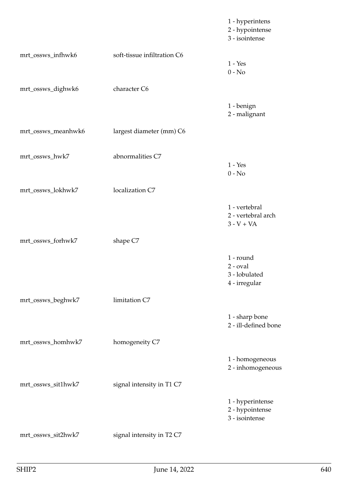|                    |                             | 1 - hyperintens<br>2 - hypointense<br>3 - isointense        |
|--------------------|-----------------------------|-------------------------------------------------------------|
| mrt_ossws_infhwk6  | soft-tissue infiltration C6 | $1 - Yes$<br>$0 - No$                                       |
| mrt_ossws_dighwk6  | character C6                |                                                             |
|                    |                             | 1 - benign<br>2 - malignant                                 |
| mrt_ossws_meanhwk6 | largest diameter (mm) C6    |                                                             |
| mrt_ossws_hwk7     | abnormalities C7            | $1 - Yes$<br>$0 - No$                                       |
| mrt_ossws_lokhwk7  | localization C7             |                                                             |
|                    |                             | 1 - vertebral<br>2 - vertebral arch<br>$3 - V + VA$         |
| mrt_ossws_forhwk7  | shape C7                    |                                                             |
|                    |                             | 1 - round<br>$2$ - $oval$<br>3 - lobulated<br>4 - irregular |
| mrt_ossws_beghwk7  | limitation C7               |                                                             |
|                    |                             | 1 - sharp bone<br>2 - ill-defined bone                      |
| mrt_ossws_homhwk7  | homogeneity C7              |                                                             |
|                    |                             | 1 - homogeneous<br>2 - inhomogeneous                        |
| mrt_ossws_sit1hwk7 | signal intensity in T1 C7   |                                                             |
|                    |                             | 1 - hyperintense<br>2 - hypointense<br>3 - isointense       |
| mrt_ossws_sit2hwk7 | signal intensity in T2 C7   |                                                             |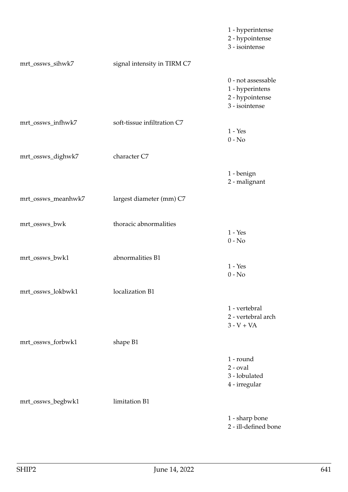|                    |                             | 1 - hyperintense<br>2 - hypointense<br>3 - isointense                      |
|--------------------|-----------------------------|----------------------------------------------------------------------------|
| mrt_ossws_sihwk7   | signal intensity in TIRM C7 |                                                                            |
|                    |                             | 0 - not assessable<br>1 - hyperintens<br>2 - hypointense<br>3 - isointense |
| mrt_ossws_infhwk7  | soft-tissue infiltration C7 | $1 - Yes$<br>$0 - No$                                                      |
| mrt_ossws_dighwk7  | character C7                |                                                                            |
|                    |                             | 1 - benign<br>2 - malignant                                                |
| mrt_ossws_meanhwk7 | largest diameter (mm) C7    |                                                                            |
| mrt_ossws_bwk      | thoracic abnormalities      | $1 - Yes$<br>$0 - No$                                                      |
| mrt_ossws_bwk1     | abnormalities B1            | $1 - Yes$<br>$0 - No$                                                      |
| mrt_ossws_lokbwk1  | localization B1             |                                                                            |
|                    |                             | 1 - vertebral<br>2 - vertebral arch<br>$3 - V + VA$                        |
| mrt_ossws_forbwk1  | shape B1                    |                                                                            |
|                    |                             | 1 - round<br>$2$ - $oval$<br>3 - lobulated<br>4 - irregular                |
| mrt_ossws_begbwk1  | limitation B1               |                                                                            |
|                    |                             | 1 - sharp bone<br>2 - ill-defined bone                                     |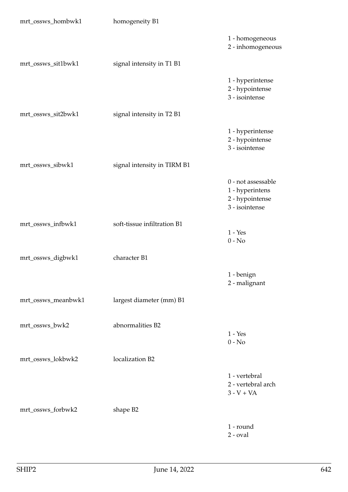| mrt_ossws_hombwk1  | homogeneity B1              |                                                                            |
|--------------------|-----------------------------|----------------------------------------------------------------------------|
|                    |                             | 1 - homogeneous<br>2 - inhomogeneous                                       |
| mrt_ossws_sit1bwk1 | signal intensity in T1 B1   |                                                                            |
|                    |                             | 1 - hyperintense<br>2 - hypointense<br>3 - isointense                      |
| mrt_ossws_sit2bwk1 | signal intensity in T2 B1   |                                                                            |
|                    |                             | 1 - hyperintense<br>2 - hypointense<br>3 - isointense                      |
| mrt_ossws_sibwk1   | signal intensity in TIRM B1 |                                                                            |
|                    |                             | 0 - not assessable<br>1 - hyperintens<br>2 - hypointense<br>3 - isointense |
| mrt_ossws_infbwk1  | soft-tissue infiltration B1 | $1 - Yes$<br>$0 - No$                                                      |
| mrt_ossws_digbwk1  | character B1                |                                                                            |
|                    |                             | 1 - benign<br>2 - malignant                                                |
| mrt_ossws_meanbwk1 | largest diameter (mm) B1    |                                                                            |
| mrt_ossws_bwk2     | abnormalities B2            | $1 - Yes$<br>$0 - No$                                                      |
| mrt_ossws_lokbwk2  | localization B2             |                                                                            |
|                    |                             | 1 - vertebral<br>2 - vertebral arch<br>$3 - V + VA$                        |
| mrt_ossws_forbwk2  | shape B2                    |                                                                            |
|                    |                             | 1 - round<br>$2$ - $oval$                                                  |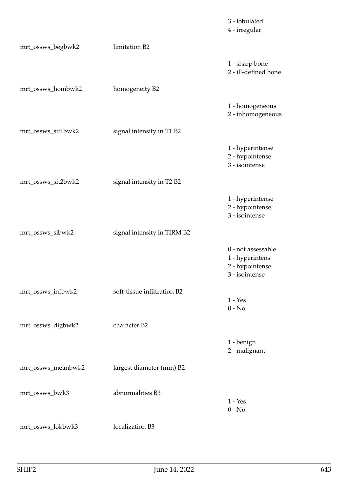|                    |                             | 3 - lobulated<br>4 - irregular                                             |
|--------------------|-----------------------------|----------------------------------------------------------------------------|
| mrt_ossws_begbwk2  | limitation B2               |                                                                            |
|                    |                             | 1 - sharp bone<br>2 - ill-defined bone                                     |
| mrt_ossws_hombwk2  | homogeneity B2              |                                                                            |
|                    |                             | 1 - homogeneous<br>2 - inhomogeneous                                       |
| mrt_ossws_sit1bwk2 | signal intensity in T1 B2   |                                                                            |
|                    |                             | 1 - hyperintense<br>2 - hypointense<br>3 - isointense                      |
| mrt_ossws_sit2bwk2 | signal intensity in T2 B2   |                                                                            |
|                    |                             | 1 - hyperintense<br>2 - hypointense<br>3 - isointense                      |
| mrt_ossws_sibwk2   | signal intensity in TIRM B2 |                                                                            |
|                    |                             | 0 - not assessable<br>1 - hyperintens<br>2 - hypointense<br>3 - isointense |
| mrt_ossws_infbwk2  | soft-tissue infiltration B2 | $1 - Yes$                                                                  |
|                    |                             | $0 - No$                                                                   |
| mrt_ossws_digbwk2  | character B2                |                                                                            |
|                    |                             | 1 - benign<br>2 - malignant                                                |
| mrt_ossws_meanbwk2 | largest diameter (mm) B2    |                                                                            |
| mrt_ossws_bwk3     | abnormalities B3            | $1 - Yes$<br>$0 - No$                                                      |
| mrt_ossws_lokbwk3  | localization B3             |                                                                            |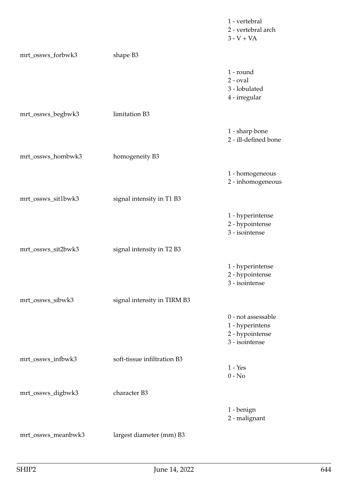|                    |                             | 1 - vertebral<br>2 - vertebral arch<br>$3 - V + VA$                        |
|--------------------|-----------------------------|----------------------------------------------------------------------------|
| mrt_ossws_forbwk3  | shape B3                    |                                                                            |
|                    |                             | 1 - round<br>$2$ - $oval$<br>3 - lobulated<br>4 - irregular                |
| mrt_ossws_begbwk3  | limitation B3               |                                                                            |
|                    |                             | 1 - sharp bone<br>2 - ill-defined bone                                     |
| mrt_ossws_hombwk3  | homogeneity B3              |                                                                            |
|                    |                             | 1 - homogeneous<br>2 - inhomogeneous                                       |
| mrt_ossws_sit1bwk3 | signal intensity in T1 B3   |                                                                            |
|                    |                             | 1 - hyperintense<br>2 - hypointense<br>3 - isointense                      |
| mrt_ossws_sit2bwk3 | signal intensity in T2 B3   |                                                                            |
|                    |                             | 1 - hyperintense<br>2 - hypointense<br>3 - isointense                      |
| mrt_ossws_sibwk3   | signal intensity in TIRM B3 |                                                                            |
|                    |                             | 0 - not assessable<br>1 - hyperintens<br>2 - hypointense<br>3 - isointense |
| mrt_ossws_infbwk3  | soft-tissue infiltration B3 | $1 - Yes$                                                                  |
|                    |                             | $0 - No$                                                                   |
| mrt_ossws_digbwk3  | character B3                |                                                                            |
|                    |                             | 1 - benign<br>2 - malignant                                                |
| mrt_ossws_meanbwk3 | largest diameter (mm) B3    |                                                                            |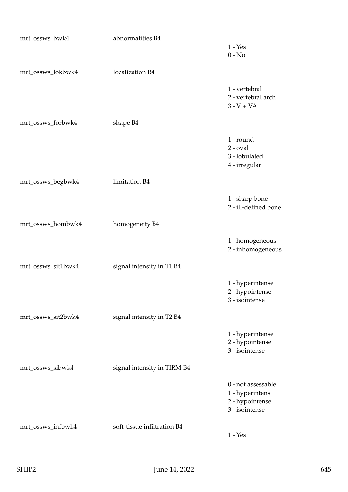| mrt_ossws_bwk4     | abnormalities B4            |                                                                            |
|--------------------|-----------------------------|----------------------------------------------------------------------------|
|                    |                             | $1 - Yes$<br>$0 - No$                                                      |
| mrt_ossws_lokbwk4  | localization B4             |                                                                            |
|                    |                             | 1 - vertebral<br>2 - vertebral arch<br>$3 - V + VA$                        |
| mrt_ossws_forbwk4  | shape B4                    |                                                                            |
|                    |                             | 1 - round<br>$2$ - $oval$<br>3 - lobulated<br>4 - irregular                |
| mrt_ossws_begbwk4  | limitation B4               |                                                                            |
|                    |                             | 1 - sharp bone<br>2 - ill-defined bone                                     |
| mrt_ossws_hombwk4  | homogeneity B4              |                                                                            |
|                    |                             | 1 - homogeneous<br>2 - inhomogeneous                                       |
| mrt_ossws_sit1bwk4 | signal intensity in T1 B4   |                                                                            |
|                    |                             | 1 - hyperintense<br>2 - hypointense<br>3 - isointense                      |
| mrt_ossws_sit2bwk4 | signal intensity in T2 B4   |                                                                            |
|                    |                             | 1 - hyperintense<br>2 - hypointense<br>3 - isointense                      |
| mrt_ossws_sibwk4   | signal intensity in TIRM B4 |                                                                            |
|                    |                             | 0 - not assessable<br>1 - hyperintens<br>2 - hypointense<br>3 - isointense |
| mrt_ossws_infbwk4  | soft-tissue infiltration B4 | $1 - Yes$                                                                  |
|                    |                             |                                                                            |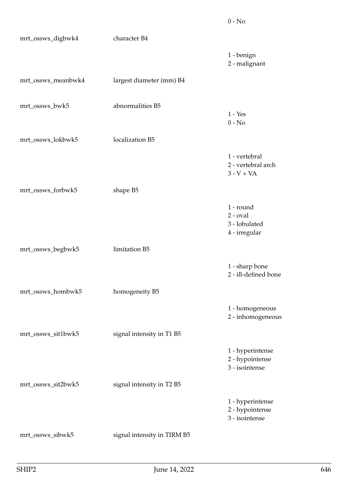| mrt_ossws_digbwk4  | character B4                |                                                             |
|--------------------|-----------------------------|-------------------------------------------------------------|
|                    |                             | 1 - benign<br>2 - malignant                                 |
| mrt_ossws_meanbwk4 | largest diameter (mm) B4    |                                                             |
| mrt_ossws_bwk5     | abnormalities B5            | $1 - Yes$<br>$0 - No$                                       |
| mrt_ossws_lokbwk5  | localization B5             |                                                             |
|                    |                             | 1 - vertebral<br>2 - vertebral arch<br>$3 - V + VA$         |
| mrt_ossws_forbwk5  | shape B5                    |                                                             |
|                    |                             | 1 - round<br>$2$ - $oval$<br>3 - lobulated<br>4 - irregular |
| mrt_ossws_begbwk5  | limitation B5               |                                                             |
|                    |                             | 1 - sharp bone<br>2 - ill-defined bone                      |
| mrt_ossws_hombwk5  | homogeneity B5              |                                                             |
|                    |                             | 1 - homogeneous<br>2 - inhomogeneous                        |
| mrt_ossws_sit1bwk5 | signal intensity in T1 B5   |                                                             |
|                    |                             | 1 - hyperintense<br>2 - hypointense<br>3 - isointense       |
| mrt_ossws_sit2bwk5 | signal intensity in T2 B5   |                                                             |
|                    |                             | 1 - hyperintense<br>2 - hypointense<br>3 - isointense       |
| mrt_ossws_sibwk5   | signal intensity in TIRM B5 |                                                             |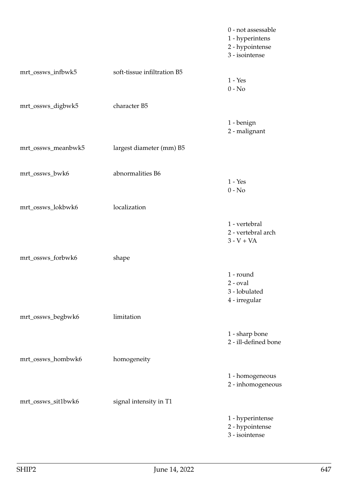|                    |                             | 0 - not assessable<br>1 - hyperintens<br>2 - hypointense<br>3 - isointense |
|--------------------|-----------------------------|----------------------------------------------------------------------------|
| mrt_ossws_infbwk5  | soft-tissue infiltration B5 | $1 - Yes$<br>$0 - No$                                                      |
| mrt_ossws_digbwk5  | character B5                |                                                                            |
|                    |                             | 1 - benign<br>2 - malignant                                                |
| mrt_ossws_meanbwk5 | largest diameter (mm) B5    |                                                                            |
| mrt_ossws_bwk6     | abnormalities B6            | $1 - Yes$<br>$0 - No$                                                      |
| mrt_ossws_lokbwk6  | localization                |                                                                            |
|                    |                             | 1 - vertebral<br>2 - vertebral arch<br>$3 - V + VA$                        |
| mrt_ossws_forbwk6  | shape                       |                                                                            |
|                    |                             | 1 - round<br>$2$ - $oval$<br>3 - lobulated<br>4 - irregular                |
| mrt_ossws_begbwk6  | limitation                  |                                                                            |
|                    |                             | 1 - sharp bone<br>2 - ill-defined bone                                     |
| mrt_ossws_hombwk6  | homogeneity                 |                                                                            |
|                    |                             | 1 - homogeneous<br>2 - inhomogeneous                                       |
| mrt_ossws_sit1bwk6 | signal intensity in T1      |                                                                            |
|                    |                             | 1 - hyperintense<br>2 - hypointense<br>3 - isointense                      |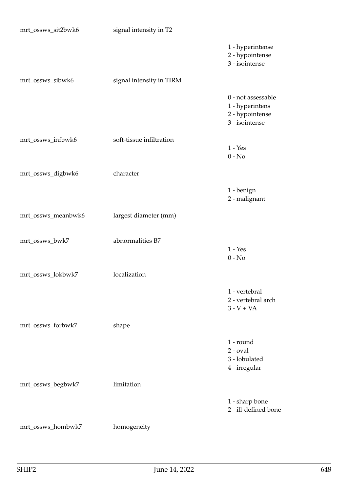| mrt_ossws_sit2bwk6 | signal intensity in T2   |                                                                            |
|--------------------|--------------------------|----------------------------------------------------------------------------|
|                    |                          | 1 - hyperintense<br>2 - hypointense<br>3 - isointense                      |
| mrt_ossws_sibwk6   | signal intensity in TIRM |                                                                            |
|                    |                          | 0 - not assessable<br>1 - hyperintens<br>2 - hypointense<br>3 - isointense |
| mrt_ossws_infbwk6  | soft-tissue infiltration | $1 - Yes$                                                                  |
|                    |                          | $0 - No$                                                                   |
| mrt_ossws_digbwk6  | character                |                                                                            |
|                    |                          | 1 - benign                                                                 |
|                    |                          | 2 - malignant                                                              |
| mrt_ossws_meanbwk6 | largest diameter (mm)    |                                                                            |
| mrt_ossws_bwk7     | abnormalities B7         |                                                                            |
|                    |                          | $1 - Yes$<br>$0 - No$                                                      |
| mrt_ossws_lokbwk7  | localization             |                                                                            |
|                    |                          | 1 - vertebral<br>2 - vertebral arch<br>$3 - V + VA$                        |
| mrt_ossws_forbwk7  | shape                    |                                                                            |
|                    |                          | 1 - round<br>$2$ - $oval$<br>3 - lobulated<br>4 - irregular                |
| mrt_ossws_begbwk7  | limitation               |                                                                            |
|                    |                          | 1 - sharp bone<br>2 - ill-defined bone                                     |
| mrt_ossws_hombwk7  | homogeneity              |                                                                            |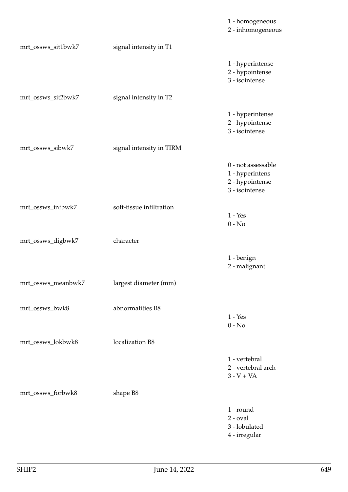|                    |                          | 1 - homogeneous<br>2 - inhomogeneous                                       |
|--------------------|--------------------------|----------------------------------------------------------------------------|
| mrt_ossws_sit1bwk7 | signal intensity in T1   |                                                                            |
|                    |                          | 1 - hyperintense<br>2 - hypointense<br>3 - isointense                      |
| mrt_ossws_sit2bwk7 | signal intensity in T2   |                                                                            |
|                    |                          | 1 - hyperintense<br>2 - hypointense<br>3 - isointense                      |
| mrt_ossws_sibwk7   | signal intensity in TIRM |                                                                            |
|                    |                          | 0 - not assessable<br>1 - hyperintens<br>2 - hypointense<br>3 - isointense |
| mrt_ossws_infbwk7  | soft-tissue infiltration | $1 - Yes$<br>$0 - No$                                                      |
| mrt_ossws_digbwk7  | character                |                                                                            |
|                    |                          | 1 - benign<br>2 - malignant                                                |
| mrt_ossws_meanbwk7 | largest diameter (mm)    |                                                                            |
| mrt_ossws_bwk8     | abnormalities B8         | $1 - Yes$<br>$0 - No$                                                      |
| mrt_ossws_lokbwk8  | localization B8          |                                                                            |
|                    |                          | 1 - vertebral<br>2 - vertebral arch<br>$3 - V + VA$                        |
| mrt_ossws_forbwk8  | shape B8                 |                                                                            |
|                    |                          | 1 - round<br>$2$ - $oval$<br>3 - lobulated<br>4 - irregular                |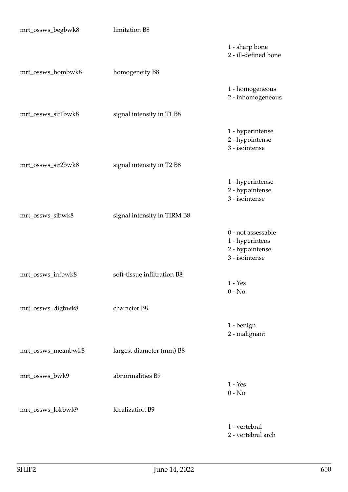| mrt_ossws_begbwk8  | limitation B8               |                                                                            |
|--------------------|-----------------------------|----------------------------------------------------------------------------|
|                    |                             | 1 - sharp bone<br>2 - ill-defined bone                                     |
| mrt_ossws_hombwk8  | homogeneity B8              |                                                                            |
|                    |                             | 1 - homogeneous<br>2 - inhomogeneous                                       |
| mrt_ossws_sit1bwk8 | signal intensity in T1 B8   |                                                                            |
|                    |                             | 1 - hyperintense<br>2 - hypointense<br>3 - isointense                      |
| mrt_ossws_sit2bwk8 | signal intensity in T2 B8   |                                                                            |
|                    |                             | 1 - hyperintense<br>2 - hypointense<br>3 - isointense                      |
| mrt_ossws_sibwk8   | signal intensity in TIRM B8 |                                                                            |
|                    |                             | 0 - not assessable<br>1 - hyperintens<br>2 - hypointense<br>3 - isointense |
| mrt_ossws_infbwk8  | soft-tissue infiltration B8 | $1 - Yes$                                                                  |
|                    |                             | $0 - No$                                                                   |
| mrt_ossws_digbwk8  | character B8                |                                                                            |
|                    |                             | 1 - benign<br>2 - malignant                                                |
| mrt_ossws_meanbwk8 | largest diameter (mm) B8    |                                                                            |
| mrt_ossws_bwk9     | abnormalities B9            | $1 - Yes$                                                                  |
|                    | localization B9             | $0 - No$                                                                   |
| mrt_ossws_lokbwk9  |                             |                                                                            |
|                    |                             | 1 - vertebral<br>2 - vertebral arch                                        |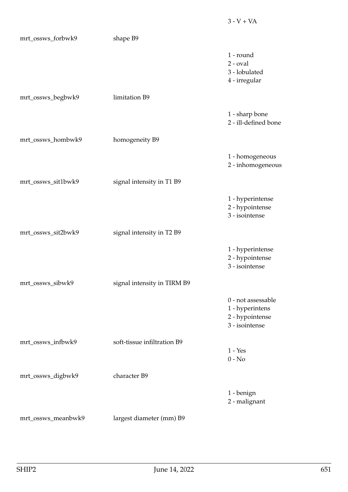| mrt_ossws_forbwk9  | shape B9                    |                                                                            |
|--------------------|-----------------------------|----------------------------------------------------------------------------|
|                    |                             | 1 - round<br>$2$ - $oval$<br>3 - lobulated<br>4 - irregular                |
| mrt_ossws_begbwk9  | limitation B9               |                                                                            |
|                    |                             | 1 - sharp bone<br>2 - ill-defined bone                                     |
| mrt_ossws_hombwk9  | homogeneity B9              |                                                                            |
|                    |                             | 1 - homogeneous<br>2 - inhomogeneous                                       |
| mrt_ossws_sit1bwk9 | signal intensity in T1 B9   |                                                                            |
|                    |                             | 1 - hyperintense<br>2 - hypointense<br>3 - isointense                      |
| mrt_ossws_sit2bwk9 | signal intensity in T2 B9   |                                                                            |
|                    |                             | 1 - hyperintense<br>2 - hypointense<br>3 - isointense                      |
| mrt_ossws_sibwk9   | signal intensity in TIRM B9 |                                                                            |
|                    |                             | 0 - not assessable<br>1 - hyperintens<br>2 - hypointense<br>3 - isointense |
| mrt_ossws_infbwk9  | soft-tissue infiltration B9 | $1 - Yes$                                                                  |
|                    |                             | $0 - No$                                                                   |
| mrt_ossws_digbwk9  | character B9                |                                                                            |
|                    |                             | 1 - benign<br>2 - malignant                                                |
| mrt_ossws_meanbwk9 | largest diameter (mm) B9    |                                                                            |

 $3 - V + VA$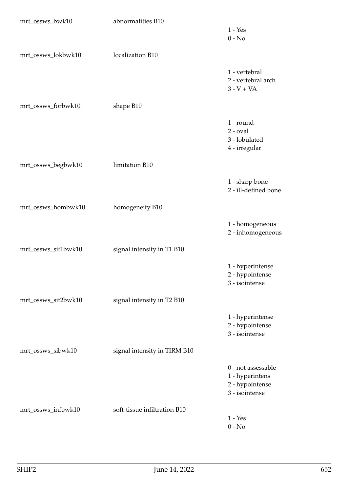| mrt_ossws_bwk10     | abnormalities B10            |                                                                            |
|---------------------|------------------------------|----------------------------------------------------------------------------|
|                     |                              | $1 - Yes$<br>$0 - No$                                                      |
| mrt_ossws_lokbwk10  | localization B10             |                                                                            |
|                     |                              | 1 - vertebral<br>2 - vertebral arch<br>$3 - V + VA$                        |
| mrt_ossws_forbwk10  | shape B10                    |                                                                            |
|                     |                              | 1 - round<br>$2$ - $oval$<br>3 - lobulated<br>4 - irregular                |
| mrt_ossws_begbwk10  | limitation B10               |                                                                            |
|                     |                              | 1 - sharp bone<br>2 - ill-defined bone                                     |
| mrt_ossws_hombwk10  | homogeneity B10              |                                                                            |
|                     |                              | 1 - homogeneous<br>2 - inhomogeneous                                       |
| mrt_ossws_sit1bwk10 | signal intensity in T1 B10   |                                                                            |
|                     |                              | 1 - hyperintense<br>2 - hypointense<br>3 - isointense                      |
| mrt_ossws_sit2bwk10 | signal intensity in T2 B10   |                                                                            |
|                     |                              | 1 - hyperintense<br>2 - hypointense<br>3 - isointense                      |
| mrt_ossws_sibwk10   | signal intensity in TIRM B10 |                                                                            |
|                     |                              | 0 - not assessable<br>1 - hyperintens<br>2 - hypointense<br>3 - isointense |
| mrt_ossws_infbwk10  | soft-tissue infiltration B10 |                                                                            |
|                     |                              | $1 - Yes$<br>$0 - No$                                                      |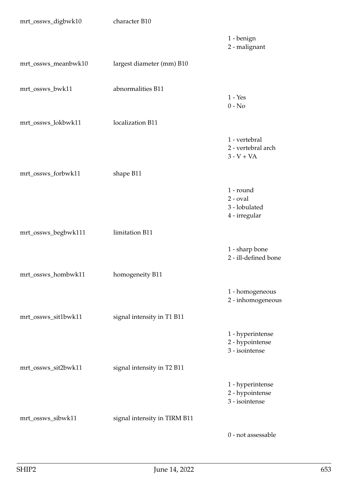| mrt_ossws_digbwk10  | character B10                |                                                             |
|---------------------|------------------------------|-------------------------------------------------------------|
|                     |                              | 1 - benign<br>2 - malignant                                 |
| mrt_ossws_meanbwk10 | largest diameter (mm) B10    |                                                             |
| mrt_ossws_bwk11     | abnormalities B11            | $1 - Yes$<br>$0 - No$                                       |
| mrt_ossws_lokbwk11  | localization B11             |                                                             |
|                     |                              | 1 - vertebral<br>2 - vertebral arch<br>$3 - V + VA$         |
| mrt_ossws_forbwk11  | shape B11                    |                                                             |
|                     |                              | 1 - round<br>$2$ - $oval$<br>3 - lobulated<br>4 - irregular |
| mrt_ossws_begbwk111 | limitation B11               |                                                             |
|                     |                              | 1 - sharp bone<br>2 - ill-defined bone                      |
| mrt_ossws_hombwk11  | homogeneity B11              |                                                             |
|                     |                              | 1 - homogeneous<br>2 - inhomogeneous                        |
| mrt_ossws_sit1bwk11 | signal intensity in T1 B11   |                                                             |
|                     |                              | 1 - hyperintense<br>2 - hypointense<br>3 - isointense       |
| mrt_ossws_sit2bwk11 | signal intensity in T2 B11   |                                                             |
|                     |                              | 1 - hyperintense<br>2 - hypointense<br>3 - isointense       |
| mrt_ossws_sibwk11   | signal intensity in TIRM B11 |                                                             |
|                     |                              | 0 - not assessable                                          |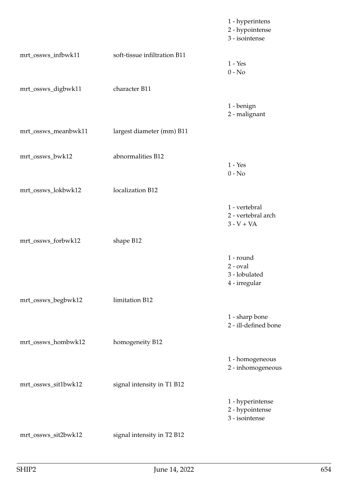|                     |                              | 1 - hyperintens<br>2 - hypointense<br>3 - isointense        |
|---------------------|------------------------------|-------------------------------------------------------------|
| mrt_ossws_infbwk11  | soft-tissue infiltration B11 | $1 - Yes$<br>$0 - No$                                       |
| mrt_ossws_digbwk11  | character B11                |                                                             |
|                     |                              | 1 - benign<br>2 - malignant                                 |
| mrt_ossws_meanbwk11 | largest diameter (mm) B11    |                                                             |
| mrt_ossws_bwk12     | abnormalities B12            | $1 - Yes$<br>$0 - No$                                       |
| mrt_ossws_lokbwk12  | localization B12             |                                                             |
|                     |                              | 1 - vertebral<br>2 - vertebral arch<br>$3 - V + VA$         |
| mrt_ossws_forbwk12  | shape B12                    |                                                             |
|                     |                              | 1 - round<br>$2$ - $oval$<br>3 - lobulated<br>4 - irregular |
| mrt_ossws_begbwk12  | limitation B12               |                                                             |
|                     |                              | 1 - sharp bone<br>2 - ill-defined bone                      |
| mrt_ossws_hombwk12  | homogeneity B12              |                                                             |
|                     |                              | 1 - homogeneous<br>2 - inhomogeneous                        |
| mrt_ossws_sit1bwk12 | signal intensity in T1 B12   |                                                             |
|                     |                              | 1 - hyperintense<br>2 - hypointense<br>3 - isointense       |
| mrt_ossws_sit2bwk12 | signal intensity in T2 B12   |                                                             |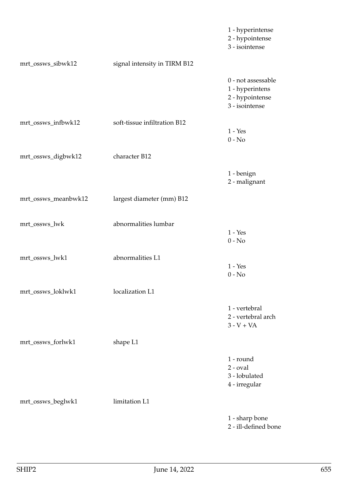|                     |                              | 1 - hyperintense<br>2 - hypointense<br>3 - isointense                      |
|---------------------|------------------------------|----------------------------------------------------------------------------|
| mrt_ossws_sibwk12   | signal intensity in TIRM B12 |                                                                            |
|                     |                              | 0 - not assessable<br>1 - hyperintens<br>2 - hypointense<br>3 - isointense |
| mrt_ossws_infbwk12  | soft-tissue infiltration B12 | $1 - Yes$<br>$0 - No$                                                      |
| mrt_ossws_digbwk12  | character B12                |                                                                            |
|                     |                              | 1 - benign<br>2 - malignant                                                |
| mrt_ossws_meanbwk12 | largest diameter (mm) B12    |                                                                            |
| mrt_ossws_lwk       | abnormalities lumbar         | $1 - Yes$<br>$0 - No$                                                      |
| mrt_ossws_lwk1      | abnormalities L1             | $1 - Yes$<br>$0 - No$                                                      |
| mrt_ossws_loklwk1   | localization L1              |                                                                            |
|                     |                              | 1 - vertebral<br>2 - vertebral arch<br>$3 - V + VA$                        |
| mrt_ossws_forlwk1   | shape L1                     |                                                                            |
|                     |                              | 1 - round<br>$2$ - $oval$<br>3 - lobulated<br>4 - irregular                |
| mrt_ossws_beglwk1   | limitation L1                |                                                                            |
|                     |                              | 1 - sharp bone<br>2 - ill-defined bone                                     |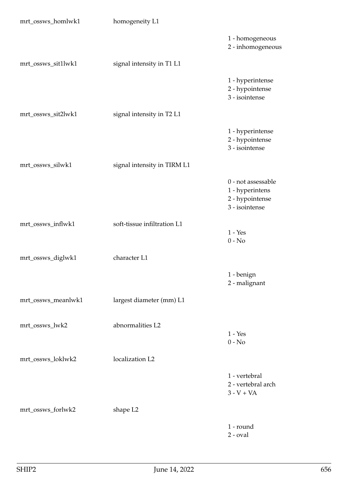| mrt_ossws_homlwk1  | homogeneity L1              |                                                                            |
|--------------------|-----------------------------|----------------------------------------------------------------------------|
|                    |                             | 1 - homogeneous<br>2 - inhomogeneous                                       |
| mrt_ossws_sit1lwk1 | signal intensity in T1 L1   |                                                                            |
|                    |                             | 1 - hyperintense<br>2 - hypointense<br>3 - isointense                      |
| mrt_ossws_sit2lwk1 | signal intensity in T2 L1   |                                                                            |
|                    |                             | 1 - hyperintense<br>2 - hypointense<br>3 - isointense                      |
| mrt_ossws_silwk1   | signal intensity in TIRM L1 |                                                                            |
|                    |                             | 0 - not assessable<br>1 - hyperintens<br>2 - hypointense<br>3 - isointense |
| mrt_ossws_inflwk1  | soft-tissue infiltration L1 | $1 - Yes$<br>$0 - No$                                                      |
| mrt_ossws_diglwk1  | character L1                |                                                                            |
|                    |                             | 1 - benign<br>2 - malignant                                                |
| mrt_ossws_meanlwk1 | largest diameter (mm) L1    |                                                                            |
| mrt_ossws_lwk2     | abnormalities L2            | $1 - Yes$<br>$0 - No$                                                      |
| mrt_ossws_loklwk2  | localization L2             |                                                                            |
|                    |                             | 1 - vertebral<br>2 - vertebral arch<br>$3 - V + VA$                        |
| mrt_ossws_forlwk2  | shape L2                    |                                                                            |
|                    |                             | 1 - round<br>$2$ - $oval$                                                  |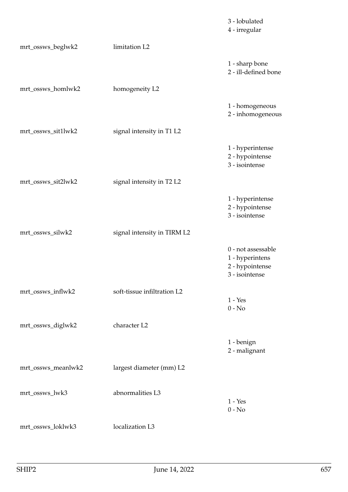|                    |                             | 3 - lobulated<br>4 - irregular                                             |
|--------------------|-----------------------------|----------------------------------------------------------------------------|
| mrt_ossws_beglwk2  | limitation L2               |                                                                            |
|                    |                             | 1 - sharp bone<br>2 - ill-defined bone                                     |
| mrt_ossws_homlwk2  | homogeneity L2              |                                                                            |
|                    |                             | 1 - homogeneous<br>2 - inhomogeneous                                       |
| mrt_ossws_sit1lwk2 | signal intensity in T1 L2   |                                                                            |
|                    |                             | 1 - hyperintense<br>2 - hypointense<br>3 - isointense                      |
| mrt_ossws_sit2lwk2 | signal intensity in T2 L2   |                                                                            |
|                    |                             | 1 - hyperintense<br>2 - hypointense<br>3 - isointense                      |
| mrt_ossws_silwk2   | signal intensity in TIRM L2 |                                                                            |
|                    |                             | 0 - not assessable<br>1 - hyperintens<br>2 - hypointense<br>3 - isointense |
| mrt_ossws_inflwk2  | soft-tissue infiltration L2 | $1 - Yes$                                                                  |
|                    |                             | $0 - No$                                                                   |
| mrt_ossws_diglwk2  | character L2                |                                                                            |
|                    |                             | 1 - benign<br>2 - malignant                                                |
| mrt_ossws_meanlwk2 | largest diameter (mm) L2    |                                                                            |
| mrt_ossws_lwk3     | abnormalities L3            | $1 - Yes$<br>$0 - No$                                                      |
| mrt_ossws_loklwk3  | localization L3             |                                                                            |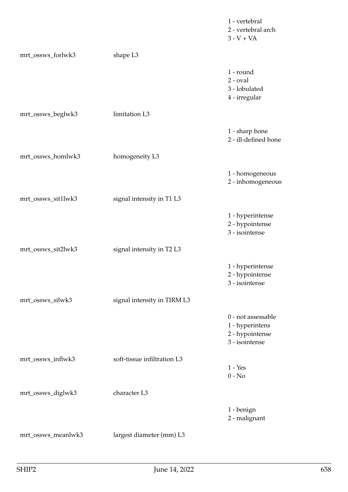|                    |                             | 1 - vertebral<br>2 - vertebral arch<br>$3 - V + VA$                        |
|--------------------|-----------------------------|----------------------------------------------------------------------------|
| mrt_ossws_forlwk3  | shape L3                    |                                                                            |
|                    |                             | 1 - round<br>$2$ - $oval$<br>3 - lobulated<br>4 - irregular                |
| mrt_ossws_beglwk3  | limitation L3               |                                                                            |
|                    |                             | 1 - sharp bone<br>2 - ill-defined bone                                     |
| mrt_ossws_homlwk3  | homogeneity L3              |                                                                            |
|                    |                             | 1 - homogeneous<br>2 - inhomogeneous                                       |
| mrt_ossws_sit1lwk3 | signal intensity in T1 L3   |                                                                            |
|                    |                             | 1 - hyperintense<br>2 - hypointense<br>3 - isointense                      |
| mrt_ossws_sit2lwk3 | signal intensity in T2 L3   |                                                                            |
|                    |                             | 1 - hyperintense<br>2 - hypointense<br>3 - isointense                      |
| mrt_ossws_silwk3   | signal intensity in TIRM L3 |                                                                            |
|                    |                             | 0 - not assessable<br>1 - hyperintens<br>2 - hypointense<br>3 - isointense |
| mrt_ossws_inflwk3  | soft-tissue infiltration L3 | $1 - Yes$<br>$0 - No$                                                      |
| mrt_ossws_diglwk3  | character L3                |                                                                            |
|                    |                             | 1 - benign<br>2 - malignant                                                |
| mrt_ossws_meanlwk3 | largest diameter (mm) L3    |                                                                            |
|                    |                             |                                                                            |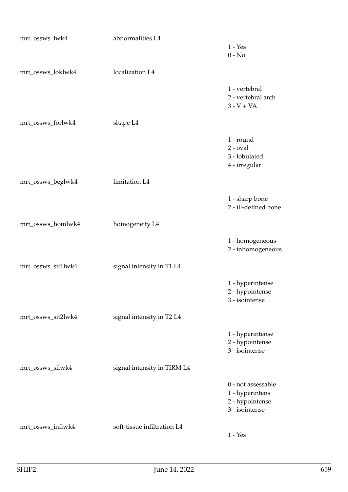| mrt_ossws_lwk4     | abnormalities L4            | $1 - Yes$<br>$0 - No$                                                      |
|--------------------|-----------------------------|----------------------------------------------------------------------------|
| mrt_ossws_loklwk4  | localization L4             |                                                                            |
|                    |                             | 1 - vertebral<br>2 - vertebral arch<br>$3 - V + VA$                        |
| mrt_ossws_forlwk4  | shape L <sub>4</sub>        |                                                                            |
|                    |                             | 1 - round<br>$2$ - $oval$<br>3 - lobulated<br>4 - irregular                |
| mrt_ossws_beglwk4  | limitation L4               |                                                                            |
|                    |                             | 1 - sharp bone<br>2 - ill-defined bone                                     |
| mrt_ossws_homlwk4  | homogeneity L4              |                                                                            |
|                    |                             | 1 - homogeneous<br>2 - inhomogeneous                                       |
| mrt_ossws_sit1lwk4 | signal intensity in T1 L4   |                                                                            |
|                    |                             | 1 - hyperintense<br>2 - hypointense<br>3 - isointense                      |
| mrt_ossws_sit2lwk4 | signal intensity in T2 L4   |                                                                            |
|                    |                             | 1 - hyperintense<br>2 - hypointense<br>3 - isointense                      |
| mrt_ossws_silwk4   | signal intensity in TIRM L4 |                                                                            |
|                    |                             | 0 - not assessable<br>1 - hyperintens<br>2 - hypointense<br>3 - isointense |
| mrt_ossws_inflwk4  | soft-tissue infiltration L4 | $1 - Yes$                                                                  |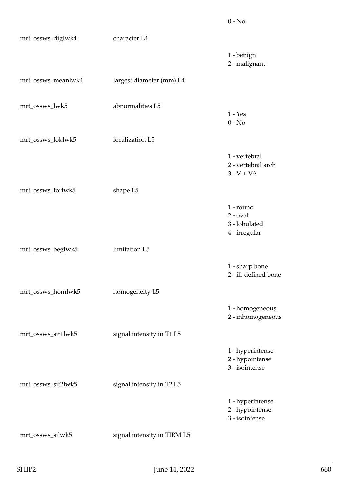| mrt_ossws_diglwk4  | character L4                |                                                             |
|--------------------|-----------------------------|-------------------------------------------------------------|
|                    |                             | 1 - benign<br>2 - malignant                                 |
| mrt_ossws_meanlwk4 | largest diameter (mm) L4    |                                                             |
| mrt_ossws_lwk5     | abnormalities L5            | $1 - Yes$<br>$0 - No$                                       |
| mrt_ossws_loklwk5  | localization L5             |                                                             |
|                    |                             | 1 - vertebral<br>2 - vertebral arch<br>$3 - V + VA$         |
| mrt_ossws_forlwk5  | shape L5                    |                                                             |
|                    |                             | 1 - round<br>$2$ - $oval$<br>3 - lobulated<br>4 - irregular |
| mrt_ossws_beglwk5  | limitation L5               |                                                             |
|                    |                             | 1 - sharp bone<br>2 - ill-defined bone                      |
| mrt_ossws_homlwk5  | homogeneity L5              |                                                             |
|                    |                             | 1 - homogeneous<br>2 - inhomogeneous                        |
| mrt_ossws_sit1lwk5 | signal intensity in T1 L5   |                                                             |
|                    |                             | 1 - hyperintense<br>2 - hypointense<br>3 - isointense       |
| mrt_ossws_sit2lwk5 | signal intensity in T2 L5   |                                                             |
|                    |                             | 1 - hyperintense<br>2 - hypointense<br>3 - isointense       |
| mrt_ossws_silwk5   | signal intensity in TIRM L5 |                                                             |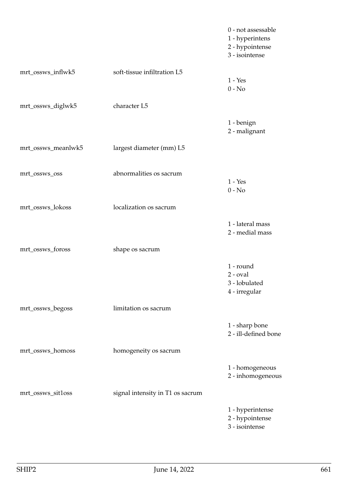|                    |                                  | 0 - not assessable<br>1 - hyperintens<br>2 - hypointense<br>3 - isointense |
|--------------------|----------------------------------|----------------------------------------------------------------------------|
| mrt_ossws_inflwk5  | soft-tissue infiltration L5      | $1 - Yes$<br>$0 - No$                                                      |
| mrt_ossws_diglwk5  | character L5                     |                                                                            |
|                    |                                  | 1 - benign<br>2 - malignant                                                |
| mrt_ossws_meanlwk5 | largest diameter (mm) L5         |                                                                            |
| mrt_ossws_oss      | abnormalities os sacrum          | $1 - Yes$<br>$0 - No$                                                      |
| mrt_ossws_lokoss   | localization os sacrum           |                                                                            |
|                    |                                  | 1 - lateral mass<br>2 - medial mass                                        |
| mrt_ossws_foross   | shape os sacrum                  |                                                                            |
|                    |                                  | 1 - round<br>$2$ - $oval$<br>3 - lobulated<br>4 - irregular                |
| mrt_ossws_begoss   | limitation os sacrum             |                                                                            |
|                    |                                  | 1 - sharp bone<br>2 - ill-defined bone                                     |
| mrt_ossws_homoss   | homogeneity os sacrum            |                                                                            |
|                    |                                  | 1 - homogeneous<br>2 - inhomogeneous                                       |
| mrt_ossws_sit1oss  | signal intensity in T1 os sacrum |                                                                            |
|                    |                                  | 1 - hyperintense<br>2 - hypointense<br>3 - isointense                      |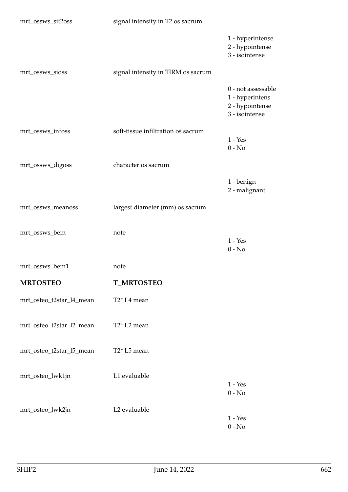| mrt_ossws_sit2oss        | signal intensity in T2 os sacrum     |                                                                            |
|--------------------------|--------------------------------------|----------------------------------------------------------------------------|
|                          |                                      | 1 - hyperintense<br>2 - hypointense<br>3 - isointense                      |
| mrt_ossws_sioss          | signal intensity in TIRM os sacrum   |                                                                            |
|                          |                                      | 0 - not assessable<br>1 - hyperintens<br>2 - hypointense<br>3 - isointense |
| mrt_ossws_infoss         | soft-tissue infiltration os sacrum   | $1 - Yes$<br>$0 - No$                                                      |
| mrt_ossws_digoss         | character os sacrum                  |                                                                            |
|                          |                                      | 1 - benign<br>2 - malignant                                                |
| mrt_ossws_meanoss        | largest diameter (mm) os sacrum      |                                                                            |
| mrt_ossws_bem            | note                                 | $1 - Yes$<br>$0 - No$                                                      |
| mrt_ossws_bem1           | note                                 |                                                                            |
| <b>MRTOSTEO</b>          | <b>T_MRTOSTEO</b>                    |                                                                            |
| mrt_osteo_t2star_l4_mean | T <sub>2</sub> * L <sub>4</sub> mean |                                                                            |
| mrt_osteo_t2star_l2_mean | T <sub>2</sub> * L <sub>2</sub> mean |                                                                            |
| mrt_osteo_t2star_l5_mean | T <sub>2</sub> * L <sub>5</sub> mean |                                                                            |
| mrt_osteo_lwk1jn         | L1 evaluable                         | $1 - Yes$<br>$0 - No$                                                      |
| mrt_osteo_lwk2jn         | L2 evaluable                         | $1 - Yes$<br>$0 - No$                                                      |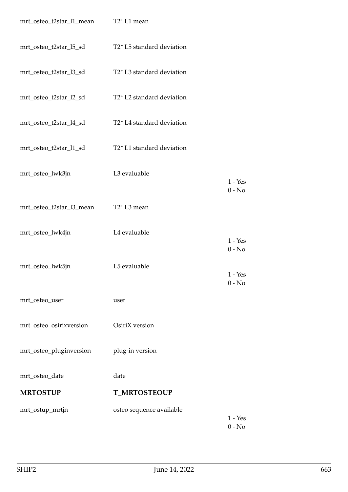| mrt_osteo_t2star_l1_mean T2* L1 mean |                                                    |                                   |
|--------------------------------------|----------------------------------------------------|-----------------------------------|
| mrt_osteo_t2star_l5_sd               | T2* L5 standard deviation                          |                                   |
| mrt_osteo_t2star_l3_sd               | T2* L3 standard deviation                          |                                   |
| mrt_osteo_t2star_l2_sd               | T2* L2 standard deviation                          |                                   |
| mrt_osteo_t2star_l4_sd               | T2* L4 standard deviation                          |                                   |
| mrt_osteo_t2star_l1_sd               | T <sub>2</sub> * L <sub>1</sub> standard deviation |                                   |
| mrt_osteo_lwk3jn                     | L3 evaluable                                       | $1 - Yes$                         |
| mrt_osteo_t2star_l3_mean             | T <sub>2</sub> * L <sub>3</sub> mean               | $0 - No$                          |
| mrt_osteo_lwk4jn                     | L4 evaluable                                       | $1 - Yes$                         |
| mrt_osteo_lwk5jn                     | L5 evaluable                                       | $0 - No$<br>$1 - Yes$<br>$0 - No$ |
| mrt_osteo_user                       | user                                               |                                   |
| mrt_osteo_osirixversion              | OsiriX version                                     |                                   |
| mrt_osteo_pluginversion              | plug-in version                                    |                                   |
| mrt_osteo_date                       | date                                               |                                   |
| <b>MRTOSTUP</b>                      | <b>T_MRTOSTEOUP</b>                                |                                   |
| mrt_ostup_mrtjn                      | osteo sequence available                           | $1 - Yes$<br>$0 - No$             |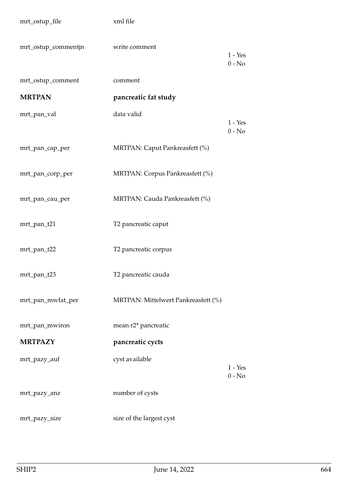| mrt_ostup_file      | xml file                            |                       |
|---------------------|-------------------------------------|-----------------------|
| mrt_ostup_commentjn | write comment                       | $1 - Yes$<br>$0 - No$ |
| mrt_ostup_comment   | comment                             |                       |
| <b>MRTPAN</b>       | pancreatic fat study                |                       |
| mrt_pan_val         | data valid                          | $1 - Yes$<br>$0 - No$ |
| mrt_pan_cap_per     | MRTPAN: Caput Pankreasfett (%)      |                       |
| mrt_pan_corp_per    | MRTPAN: Corpus Pankreasfett (%)     |                       |
| mrt_pan_cau_per     | MRTPAN: Cauda Pankreasfett (%)      |                       |
| mrt_pan_t21         | T2 pancreatic caput                 |                       |
| mrt_pan_t22         | T2 pancreatic corpus                |                       |
| mrt_pan_t23         | T2 pancreatic cauda                 |                       |
| mrt_pan_mwfat_per   | MRTPAN: Mittelwert Pankreasfett (%) |                       |
| mrt_pan_mwiron      | mean r2* pancreatic                 |                       |
| <b>MRTPAZY</b>      | pancreatic cycts                    |                       |
| mrt_pazy_auf        | cyst available                      | $1 - Yes$<br>$0 - No$ |
| mrt_pazy_anz        | number of cysts                     |                       |
| mrt_pazy_size       | size of the largest cyst            |                       |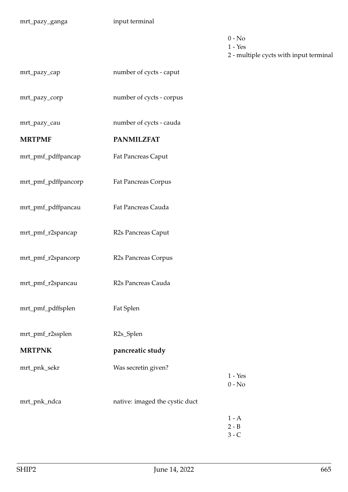- $0 No$
- 1 Yes

2 - multiple cycts with input terminal

| mrt_pazy_cap  | number of cycts - caput  |
|---------------|--------------------------|
|               |                          |
| mrt_pazy_corp | number of cycts - corpus |

mrt\_pazy\_cau number of cycts - cauda

## **MRTPMF PANMILZFAT**

mrt\_pmf\_pdffpancap Fat Pancreas Caput

- mrt\_pmf\_pdffpancorp Fat Pancreas Corpus
- mrt\_pmf\_pdffpancau Fat Pancreas Cauda
- mrt\_pmf\_r2spancap R2s Pancreas Caput
- mrt\_pmf\_r2spancorp R2s Pancreas Corpus
- mrt\_pmf\_r2spancau R2s Pancreas Cauda
- mrt\_pmf\_pdffsplen Fat Splen
- mrt\_pmf\_r2ssplen R2s\_Splen
- **MRTPNK** pancreatic study
- mrt\_pnk\_sekr Was secretin given?
- 
- mrt\_pnk\_ndca native: imaged the cystic duct
- $1 A$  $2 - B$ 3 - C

1 - Yes 0 - No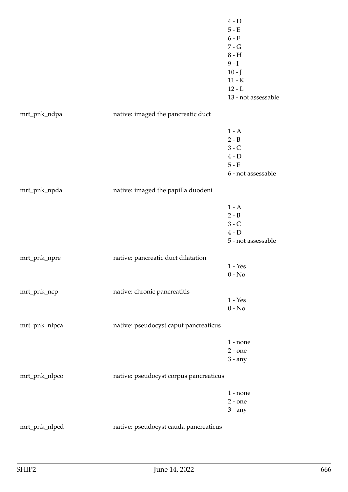4 - D 5 - E  $6 - F$ 7 - G 8 - H  $9 - I$  $10 - J$ 11 - K  $12 - L$ 13 - not assessable mrt\_pnk\_ndpa native: imaged the pancreatic duct  $1 - A$ 2 - B 3 - C 4 - D 5 - E 6 - not assessable mrt\_pnk\_npda native: imaged the papilla duodeni  $1 - A$  $2 - B$ 3 - C  $4 - D$ 5 - not assessable mrt\_pnk\_npre native: pancreatic duct dilatation 1 - Yes 0 - No mrt\_pnk\_ncp native: chronic pancreatitis 1 - Yes 0 - No mrt\_pnk\_nlpca native: pseudocyst caput pancreaticus 1 - none 2 - one 3 - any mrt\_pnk\_nlpco native: pseudocyst corpus pancreaticus 1 - none 2 - one 3 - any mrt\_pnk\_nlpcd native: pseudocyst cauda pancreaticus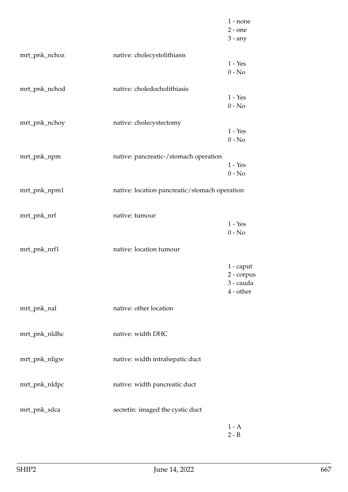|               |                                               | $1$ - none<br>$2$ - one<br>$3 - any$                |
|---------------|-----------------------------------------------|-----------------------------------------------------|
| mrt_pnk_nchoz | native: cholecystolithiasis                   | $1 - Yes$<br>$0 - No$                               |
| mrt_pnk_nchod | native: choledocholithiasis                   | $1 - Yes$<br>$0 - No$                               |
| mrt_pnk_nchoy | native: cholecystectomy                       | $1 - Yes$<br>$0 - No$                               |
| mrt_pnk_npm   | native: pancreatic-/stomach operation         | $1 - Yes$<br>$0 - No$                               |
| mrt_pnk_npm1  | native: location pancreatic/stomach operation |                                                     |
| mrt_pnk_nrf   | native: tumour                                | $1 - Yes$<br>$0 - No$                               |
| mrt_pnk_nrf1  | native: location tumour                       |                                                     |
|               |                                               | $1$ - caput<br>2 - corpus<br>3 - cauda<br>4 - other |
| mrt_pnk_nal   | native: other location                        |                                                     |
| mrt_pnk_nldhc | native: width DHC                             |                                                     |
| mrt_pnk_nligw | native: width intrahepatic duct               |                                                     |
| mrt_pnk_nldpc | native: width pancreatic duct                 |                                                     |
| mrt_pnk_sdca  | secretin: imaged the cystic duct              |                                                     |
|               |                                               | $1 - A$<br>$2 - B$                                  |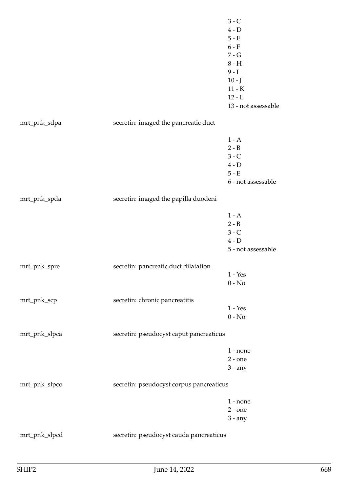|               |                                          | $3 - C$<br>$4 - D$<br>$5 - E$<br>$6 - F$<br>$7 - G$<br>$8 - H$<br>$9 - I$<br>$10 - J$<br>$11 - K$<br>$12 - L$<br>13 - not assessable |
|---------------|------------------------------------------|--------------------------------------------------------------------------------------------------------------------------------------|
| mrt_pnk_sdpa  | secretin: imaged the pancreatic duct     |                                                                                                                                      |
|               |                                          | $1 - A$<br>$2 - B$<br>$3 - C$<br>$4 - D$<br>$5 - E$<br>6 - not assessable                                                            |
| mrt_pnk_spda  | secretin: imaged the papilla duodeni     |                                                                                                                                      |
|               |                                          | $1 - A$<br>$2 - B$<br>$3 - C$<br>$4 - D$<br>5 - not assessable                                                                       |
| mrt_pnk_spre  | secretin: pancreatic duct dilatation     |                                                                                                                                      |
|               |                                          | $1 - Yes$<br>$0 - No$                                                                                                                |
| mrt_pnk_scp   | secretin: chronic pancreatitis           | $1 - Yes$<br>$0 - No$                                                                                                                |
| mrt_pnk_slpca | secretin: pseudocyst caput pancreaticus  |                                                                                                                                      |
|               |                                          | $1$ - none<br>$2$ - one<br>$3 - any$                                                                                                 |
| mrt_pnk_slpco | secretin: pseudocyst corpus pancreaticus |                                                                                                                                      |
|               |                                          | $1$ - none<br>$2$ - one<br>$3 - any$                                                                                                 |
| mrt_pnk_slpcd | secretin: pseudocyst cauda pancreaticus  |                                                                                                                                      |
|               |                                          |                                                                                                                                      |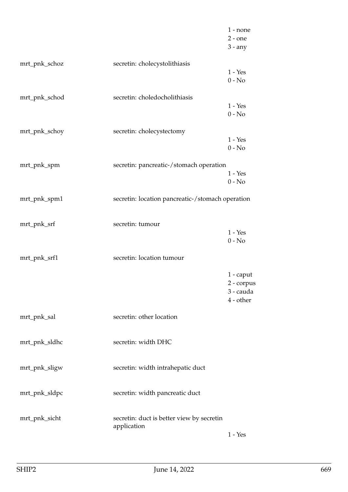|               |                                                          | $1$ - none<br>$2$ - one<br>$3 - any$              |
|---------------|----------------------------------------------------------|---------------------------------------------------|
| mrt_pnk_schoz | secretin: cholecystolithiasis                            | $1 - Yes$<br>$0 - No$                             |
| mrt_pnk_schod | secretin: choledocholithiasis                            | $1 - Yes$<br>$0 - No$                             |
| mrt_pnk_schoy | secretin: cholecystectomy                                | $1 - Yes$<br>$0 - No$                             |
| mrt_pnk_spm   | secretin: pancreatic-/stomach operation                  | $1 - Yes$<br>$0 - No$                             |
| mrt_pnk_spm1  | secretin: location pancreatic-/stomach operation         |                                                   |
| mrt_pnk_srf   | secretin: tumour                                         | $1 - Yes$<br>$0 - No$                             |
| mrt_pnk_srf1  | secretin: location tumour                                |                                                   |
|               |                                                          | 1 - caput<br>2 - corpus<br>3 - cauda<br>4 - other |
| mrt_pnk_sal   | secretin: other location                                 |                                                   |
| mrt_pnk_sldhc | secretin: width DHC                                      |                                                   |
| mrt_pnk_sligw | secretin: width intrahepatic duct                        |                                                   |
| mrt_pnk_sldpc | secretin: width pancreatic duct                          |                                                   |
| mrt_pnk_sicht | secretin: duct is better view by secretin<br>application | $1 - Yes$                                         |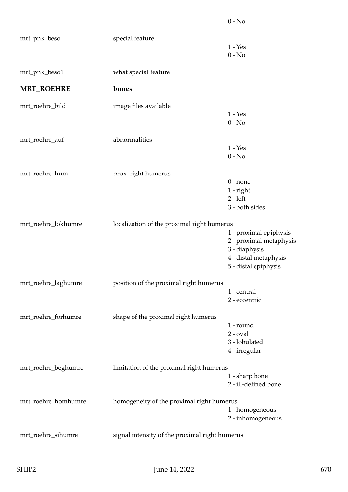|                     |                                                | $0 - No$                |
|---------------------|------------------------------------------------|-------------------------|
| mrt_pnk_beso        | special feature                                |                         |
|                     |                                                | $1 - Yes$               |
|                     |                                                | $0 - No$                |
| mrt_pnk_beso1       | what special feature                           |                         |
| <b>MRT_ROEHRE</b>   | bones                                          |                         |
| mrt_roehre_bild     | image files available                          |                         |
|                     |                                                | $1 - Yes$               |
|                     |                                                | $0 - No$                |
| mrt_roehre_auf      | abnormalities                                  |                         |
|                     |                                                | $1 - Yes$               |
|                     |                                                | $0 - No$                |
| mrt_roehre_hum      | prox. right humerus                            |                         |
|                     |                                                | $0$ - none              |
|                     |                                                | 1 - right               |
|                     |                                                | $2 - left$              |
|                     |                                                | 3 - both sides          |
| mrt_roehre_lokhumre | localization of the proximal right humerus     |                         |
|                     |                                                | 1 - proximal epiphysis  |
|                     |                                                | 2 - proximal metaphysis |
|                     |                                                | 3 - diaphysis           |
|                     |                                                | 4 - distal metaphysis   |
|                     |                                                | 5 - distal epiphysis    |
| mrt_roehre_laghumre | position of the proximal right humerus         |                         |
|                     |                                                | 1 - central             |
|                     |                                                | 2 - eccentric           |
| mrt_roehre_forhumre | shape of the proximal right humerus            |                         |
|                     |                                                | 1 - round               |
|                     |                                                | $2$ - $oval$            |
|                     |                                                | 3 - lobulated           |
|                     |                                                | 4 - irregular           |
| mrt_roehre_beghumre | limitation of the proximal right humerus       |                         |
|                     |                                                | 1 - sharp bone          |
|                     |                                                | 2 - ill-defined bone    |
| mrt_roehre_homhumre | homogeneity of the proximal right humerus      |                         |
|                     |                                                | 1 - homogeneous         |
|                     |                                                | 2 - inhomogeneous       |
| mrt_roehre_sihumre  | signal intensity of the proximal right humerus |                         |
|                     |                                                |                         |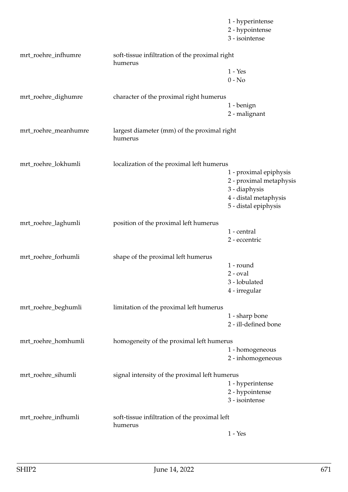|                      |                                                           | 1 - hyperintense<br>2 - hypointense<br>3 - isointense |
|----------------------|-----------------------------------------------------------|-------------------------------------------------------|
| mrt_roehre_infhumre  | soft-tissue infiltration of the proximal right<br>humerus |                                                       |
|                      |                                                           | $1 - Yes$                                             |
|                      |                                                           | $0 - No$                                              |
| mrt_roehre_dighumre  | character of the proximal right humerus                   |                                                       |
|                      |                                                           | 1 - benign                                            |
|                      |                                                           | 2 - malignant                                         |
| mrt_roehre_meanhumre | largest diameter (mm) of the proximal right<br>humerus    |                                                       |
| mrt_roehre_lokhumli  | localization of the proximal left humerus                 |                                                       |
|                      |                                                           | 1 - proximal epiphysis                                |
|                      |                                                           | 2 - proximal metaphysis                               |
|                      |                                                           | 3 - diaphysis                                         |
|                      |                                                           | 4 - distal metaphysis                                 |
|                      |                                                           | 5 - distal epiphysis                                  |
| mrt_roehre_laghumli  | position of the proximal left humerus                     |                                                       |
|                      |                                                           | 1 - central                                           |
|                      |                                                           | 2 - eccentric                                         |
| mrt_roehre_forhumli  | shape of the proximal left humerus                        |                                                       |
|                      |                                                           | 1 - round                                             |
|                      |                                                           | $2$ - $oval$                                          |
|                      |                                                           | 3 - lobulated                                         |
|                      |                                                           | 4 - irregular                                         |
| mrt_roehre_beghumli  | limitation of the proximal left humerus                   |                                                       |
|                      |                                                           | 1 - sharp bone                                        |
|                      |                                                           | 2 - ill-defined bone                                  |
| mrt_roehre_homhumli  | homogeneity of the proximal left humerus                  |                                                       |
|                      |                                                           | 1 - homogeneous                                       |
|                      |                                                           | 2 - inhomogeneous                                     |
| mrt_roehre_sihumli   | signal intensity of the proximal left humerus             |                                                       |
|                      |                                                           | 1 - hyperintense                                      |
|                      |                                                           | 2 - hypointense                                       |
|                      |                                                           | 3 - isointense                                        |
| mrt_roehre_infhumli  | soft-tissue infiltration of the proximal left<br>humerus  |                                                       |
|                      |                                                           | $1 - Yes$                                             |
|                      |                                                           |                                                       |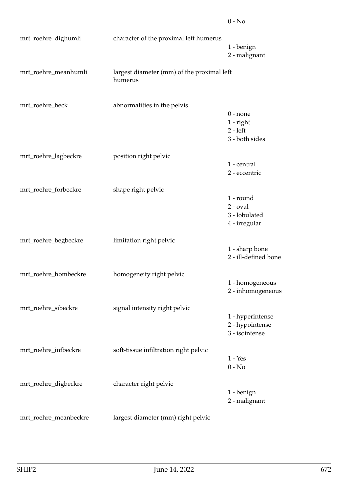| mrt_roehre_dighumli   | character of the proximal left humerus                |                                                             |
|-----------------------|-------------------------------------------------------|-------------------------------------------------------------|
|                       |                                                       | 1 - benign<br>2 - malignant                                 |
| mrt_roehre_meanhumli  | largest diameter (mm) of the proximal left<br>humerus |                                                             |
| mrt_roehre_beck       | abnormalities in the pelvis                           | $0$ - none<br>$1$ - right<br>$2 - left$<br>3 - both sides   |
| mrt_roehre_lagbeckre  | position right pelvic                                 | 1 - central<br>2 - eccentric                                |
| mrt_roehre_forbeckre  | shape right pelvic                                    | 1 - round<br>$2$ - $oval$<br>3 - lobulated<br>4 - irregular |
| mrt_roehre_begbeckre  | limitation right pelvic                               | 1 - sharp bone<br>2 - ill-defined bone                      |
| mrt_roehre_hombeckre  | homogeneity right pelvic                              | 1 - homogeneous<br>2 - inhomogeneous                        |
| mrt_roehre_sibeckre   | signal intensity right pelvic                         | 1 - hyperintense<br>2 - hypointense<br>3 - isointense       |
| mrt_roehre_infbeckre  | soft-tissue infiltration right pelvic                 | $1 - Yes$<br>$0 - No$                                       |
| mrt_roehre_digbeckre  | character right pelvic                                | 1 - benign<br>2 - malignant                                 |
| mrt_roehre_meanbeckre | largest diameter (mm) right pelvic                    |                                                             |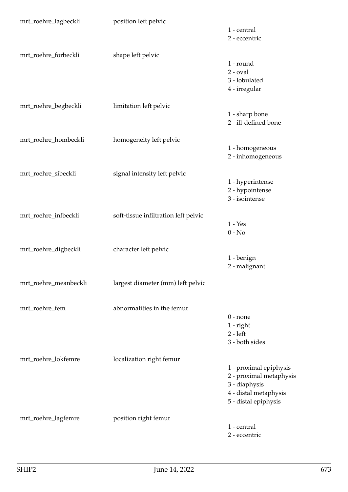| mrt_roehre_lagbeckli  | position left pelvic                 |                         |
|-----------------------|--------------------------------------|-------------------------|
|                       |                                      | 1 - central             |
|                       |                                      | 2 - eccentric           |
| mrt_roehre_forbeckli  | shape left pelvic                    |                         |
|                       |                                      | 1 - round               |
|                       |                                      | $2$ - $oval$            |
|                       |                                      | 3 - lobulated           |
|                       |                                      | 4 - irregular           |
| mrt_roehre_begbeckli  | limitation left pelvic               |                         |
|                       |                                      | 1 - sharp bone          |
|                       |                                      | 2 - ill-defined bone    |
|                       |                                      |                         |
| mrt_roehre_hombeckli  | homogeneity left pelvic              |                         |
|                       |                                      | 1 - homogeneous         |
|                       |                                      | 2 - inhomogeneous       |
| mrt_roehre_sibeckli   | signal intensity left pelvic         |                         |
|                       |                                      | 1 - hyperintense        |
|                       |                                      | 2 - hypointense         |
|                       |                                      | 3 - isointense          |
| mrt_roehre_infbeckli  | soft-tissue infiltration left pelvic |                         |
|                       |                                      | $1 - Yes$               |
|                       |                                      | $0 - No$                |
|                       |                                      |                         |
| mrt_roehre_digbeckli  | character left pelvic                |                         |
|                       |                                      | 1 - benign              |
|                       |                                      | 2 - malignant           |
| mrt_roehre_meanbeckli | largest diameter (mm) left pelvic    |                         |
|                       |                                      |                         |
| mrt_roehre_fem        | abnormalities in the femur           |                         |
|                       |                                      | $0$ - none              |
|                       |                                      | $1$ - right             |
|                       |                                      | $2 - left$              |
|                       |                                      | 3 - both sides          |
| mrt_roehre_lokfemre   | localization right femur             |                         |
|                       |                                      | 1 - proximal epiphysis  |
|                       |                                      | 2 - proximal metaphysis |
|                       |                                      | 3 - diaphysis           |
|                       |                                      | 4 - distal metaphysis   |
|                       |                                      | 5 - distal epiphysis    |
| mrt_roehre_lagfemre   | position right femur                 |                         |
|                       |                                      | 1 - central             |
|                       |                                      | 2 - eccentric           |
|                       |                                      |                         |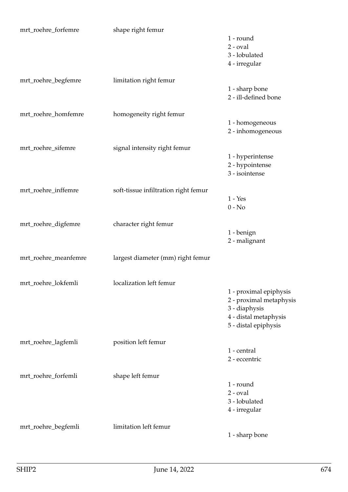| mrt_roehre_forfemre  | shape right femur                    |                                   |
|----------------------|--------------------------------------|-----------------------------------|
|                      |                                      | 1 - round                         |
|                      |                                      | $2$ - $oval$                      |
|                      |                                      | 3 - lobulated                     |
|                      |                                      | 4 - irregular                     |
| mrt_roehre_begfemre  | limitation right femur               |                                   |
|                      |                                      | 1 - sharp bone                    |
|                      |                                      | 2 - ill-defined bone              |
| mrt_roehre_homfemre  | homogeneity right femur              |                                   |
|                      |                                      | 1 - homogeneous                   |
|                      |                                      | 2 - inhomogeneous                 |
|                      |                                      |                                   |
| mrt_roehre_sifemre   | signal intensity right femur         |                                   |
|                      |                                      | 1 - hyperintense                  |
|                      |                                      | 2 - hypointense<br>3 - isointense |
|                      |                                      |                                   |
| mrt_roehre_inffemre  | soft-tissue infiltration right femur |                                   |
|                      |                                      | $1 - Yes$                         |
|                      |                                      | $0 - No$                          |
| mrt_roehre_digfemre  | character right femur                |                                   |
|                      |                                      | 1 - benign                        |
|                      |                                      | 2 - malignant                     |
| mrt_roehre_meanfemre | largest diameter (mm) right femur    |                                   |
|                      |                                      |                                   |
| mrt_roehre_lokfemli  | localization left femur              |                                   |
|                      |                                      | 1 - proximal epiphysis            |
|                      |                                      | 2 - proximal metaphysis           |
|                      |                                      | 3 - diaphysis                     |
|                      |                                      | 4 - distal metaphysis             |
|                      |                                      | 5 - distal epiphysis              |
| mrt_roehre_lagfemli  | position left femur                  |                                   |
|                      |                                      | 1 - central                       |
|                      |                                      | 2 - eccentric                     |
|                      |                                      |                                   |
| mrt_roehre_forfemli  | shape left femur                     |                                   |
|                      |                                      | 1 - round                         |
|                      |                                      | $2$ - $oval$                      |
|                      |                                      | 3 - lobulated                     |
|                      |                                      | 4 - irregular                     |
| mrt_roehre_begfemli  | limitation left femur                |                                   |
|                      |                                      | 1 - sharp bone                    |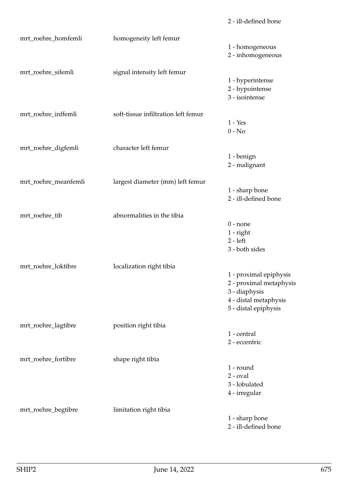| mrt_roehre_homfemli  | homogeneity left femur              | 1 - homogeneous<br>2 - inhomogeneous                                                                                |
|----------------------|-------------------------------------|---------------------------------------------------------------------------------------------------------------------|
| mrt_roehre_sifemli   | signal intensity left femur         | 1 - hyperintense<br>2 - hypointense<br>3 - isointense                                                               |
| mrt_roehre_inffemli  | soft-tissue infiltration left femur | $1 - Yes$<br>$0 - No$                                                                                               |
| mrt_roehre_digfemli  | character left femur                | 1 - benign<br>2 - malignant                                                                                         |
| mrt_roehre_meanfemli | largest diameter (mm) left femur    | 1 - sharp bone<br>2 - ill-defined bone                                                                              |
| mrt_roehre_tib       | abnormalities in the tibia          | $0$ - none<br>$1$ - right<br>$2 - left$<br>3 - both sides                                                           |
| mrt_roehre_loktibre  | localization right tibia            | 1 - proximal epiphysis<br>2 - proximal metaphysis<br>3 - diaphysis<br>4 - distal metaphysis<br>5 - distal epiphysis |
| mrt_roehre_lagtibre  | position right tibia                | 1 - central<br>2 - eccentric                                                                                        |
| mrt_roehre_fortibre  | shape right tibia                   | 1 - round<br>$2$ - $oval$<br>3 - lobulated<br>4 - irregular                                                         |
| mrt_roehre_begtibre  | limitation right tibia              | 1 - sharp bone<br>2 - ill-defined bone                                                                              |

2 - ill-defined bone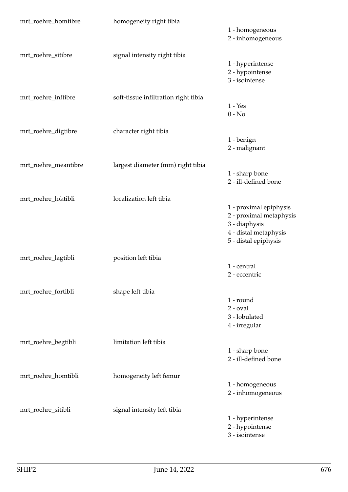| mrt_roehre_homtibre  | homogeneity right tibia              |                                          |
|----------------------|--------------------------------------|------------------------------------------|
|                      |                                      | 1 - homogeneous<br>2 - inhomogeneous     |
| mrt_roehre_sitibre   | signal intensity right tibia         |                                          |
|                      |                                      | 1 - hyperintense                         |
|                      |                                      | 2 - hypointense<br>3 - isointense        |
| mrt_roehre_inftibre  | soft-tissue infiltration right tibia |                                          |
|                      |                                      | $1 - Yes$                                |
|                      |                                      | $0 - No$                                 |
| mrt_roehre_digtibre  | character right tibia                |                                          |
|                      |                                      | 1 - benign                               |
|                      |                                      | 2 - malignant                            |
| mrt_roehre_meantibre | largest diameter (mm) right tibia    |                                          |
|                      |                                      | 1 - sharp bone                           |
|                      |                                      | 2 - ill-defined bone                     |
| mrt_roehre_loktibli  | localization left tibia              |                                          |
|                      |                                      | 1 - proximal epiphysis                   |
|                      |                                      | 2 - proximal metaphysis<br>3 - diaphysis |
|                      |                                      | 4 - distal metaphysis                    |
|                      |                                      | 5 - distal epiphysis                     |
| mrt_roehre_lagtibli  | position left tibia                  |                                          |
|                      |                                      | 1 - central                              |
|                      |                                      | 2 - eccentric                            |
| mrt_roehre_fortibli  | shape left tibia                     |                                          |
|                      |                                      | 1 - round                                |
|                      |                                      | $2$ - $oval$                             |
|                      |                                      | 3 - lobulated<br>4 - irregular           |
|                      |                                      |                                          |
| mrt_roehre_begtibli  | limitation left tibia                |                                          |
|                      |                                      | 1 - sharp bone<br>2 - ill-defined bone   |
|                      |                                      |                                          |
| mrt_roehre_homtibli  | homogeneity left femur               |                                          |
|                      |                                      | 1 - homogeneous                          |
|                      |                                      | 2 - inhomogeneous                        |
| mrt_roehre_sitibli   | signal intensity left tibia          |                                          |
|                      |                                      | 1 - hyperintense<br>2 - hypointense      |
|                      |                                      | 3 - isointense                           |
|                      |                                      |                                          |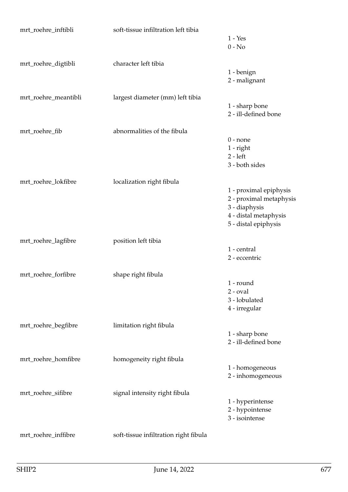| mrt_roehre_inftibli  | soft-tissue infiltration left tibia   | $1 - Yes$<br>$0 - No$                                                                                               |
|----------------------|---------------------------------------|---------------------------------------------------------------------------------------------------------------------|
| mrt_roehre_digtibli  | character left tibia                  | 1 - benign<br>2 - malignant                                                                                         |
| mrt_roehre_meantibli | largest diameter (mm) left tibia      | 1 - sharp bone<br>2 - ill-defined bone                                                                              |
| mrt_roehre_fib       | abnormalities of the fibula           | $0$ - none<br>$1$ - right<br>$2 - left$<br>3 - both sides                                                           |
| mrt_roehre_lokfibre  | localization right fibula             | 1 - proximal epiphysis<br>2 - proximal metaphysis<br>3 - diaphysis<br>4 - distal metaphysis<br>5 - distal epiphysis |
| mrt_roehre_lagfibre  | position left tibia                   | 1 - central<br>2 - eccentric                                                                                        |
| mrt_roehre_forfibre  | shape right fibula                    | 1 - round<br>$2$ - $oval$<br>3 - lobulated<br>4 - irregular                                                         |
| mrt_roehre_begfibre  | limitation right fibula               | 1 - sharp bone<br>2 - ill-defined bone                                                                              |
| mrt_roehre_homfibre  | homogeneity right fibula              | 1 - homogeneous<br>2 - inhomogeneous                                                                                |
| mrt_roehre_sifibre   | signal intensity right fibula         | 1 - hyperintense<br>2 - hypointense<br>3 - isointense                                                               |
| mrt_roehre_inffibre  | soft-tissue infiltration right fibula |                                                                                                                     |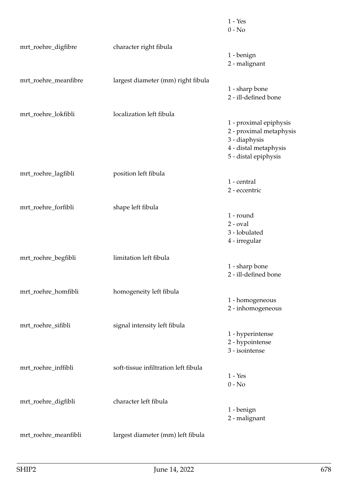|                      |                                      | $1 - Yes$<br>$0 - No$                                                                                               |
|----------------------|--------------------------------------|---------------------------------------------------------------------------------------------------------------------|
| mrt_roehre_digfibre  | character right fibula               | 1 - benign<br>2 - malignant                                                                                         |
| mrt_roehre_meanfibre | largest diameter (mm) right fibula   | 1 - sharp bone<br>2 - ill-defined bone                                                                              |
| mrt_roehre_lokfibli  | localization left fibula             | 1 - proximal epiphysis<br>2 - proximal metaphysis<br>3 - diaphysis<br>4 - distal metaphysis<br>5 - distal epiphysis |
| mrt_roehre_lagfibli  | position left fibula                 | 1 - central<br>2 - eccentric                                                                                        |
| mrt_roehre_forfibli  | shape left fibula                    | 1 - round<br>$2$ - $oval$<br>3 - lobulated<br>4 - irregular                                                         |
| mrt_roehre_begfibli  | limitation left fibula               | 1 - sharp bone<br>2 - ill-defined bone                                                                              |
| mrt_roehre_homfibli  | homogeneity left fibula              | 1 - homogeneous<br>2 - inhomogeneous                                                                                |
| mrt_roehre_sifibli   | signal intensity left fibula         | 1 - hyperintense<br>2 - hypointense<br>3 - isointense                                                               |
| mrt_roehre_inffibli  | soft-tissue infiltration left fibula | $1 - Yes$<br>$0 - No$                                                                                               |
| mrt_roehre_digfibli  | character left fibula                | 1 - benign<br>2 - malignant                                                                                         |
| mrt_roehre_meanfibli | largest diameter (mm) left fibula    |                                                                                                                     |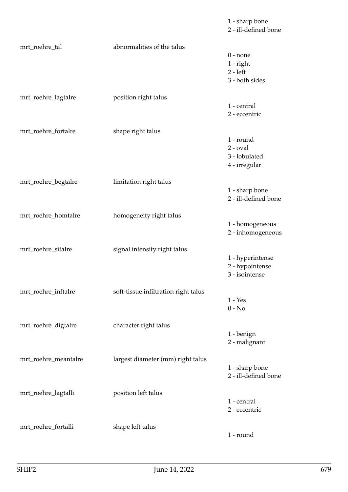1 - sharp bone 2 - ill-defined bone mrt\_roehre\_tal abnormalities of the talus 0 - none 1 - right 2 - left 3 - both sides mrt\_roehre\_lagtalre position right talus 1 - central 2 - eccentric mrt\_roehre\_fortalre shape right talus 1 - round 2 - oval 3 - lobulated 4 - irregular mrt\_roehre\_begtalre limitation right talus 1 - sharp bone 2 - ill-defined bone mrt\_roehre\_homtalre homogeneity right talus 1 - homogeneous 2 - inhomogeneous mrt\_roehre\_sitalre signal intensity right talus 1 - hyperintense 2 - hypointense 3 - isointense mrt\_roehre\_inftalre soft-tissue infiltration right talus 1 - Yes  $0 - No$ mrt\_roehre\_digtalre character right talus 1 - benign 2 - malignant mrt\_roehre\_meantalre largest diameter (mm) right talus 1 - sharp bone 2 - ill-defined bone mrt\_roehre\_lagtalli position left talus 1 - central 2 - eccentric mrt\_roehre\_fortalli shape left talus 1 - round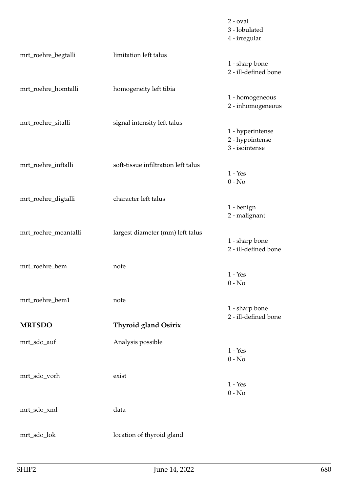|                      |                                     | $2$ - $oval$<br>3 - lobulated<br>4 - irregular        |
|----------------------|-------------------------------------|-------------------------------------------------------|
| mrt_roehre_begtalli  | limitation left talus               | 1 - sharp bone<br>2 - ill-defined bone                |
| mrt_roehre_homtalli  | homogeneity left tibia              | 1 - homogeneous<br>2 - inhomogeneous                  |
| mrt_roehre_sitalli   | signal intensity left talus         | 1 - hyperintense<br>2 - hypointense<br>3 - isointense |
| mrt_roehre_inftalli  | soft-tissue infiltration left talus | $1 - Yes$<br>$0 - No$                                 |
| mrt_roehre_digtalli  | character left talus                | 1 - benign<br>2 - malignant                           |
| mrt_roehre_meantalli | largest diameter (mm) left talus    | 1 - sharp bone<br>2 - ill-defined bone                |
| mrt_roehre_bem       | note                                | $1 - Yes$<br>$0 - No$                                 |
| mrt_roehre_bem1      | note                                | 1 - sharp bone<br>2 - ill-defined bone                |
| <b>MRTSDO</b>        | <b>Thyroid gland Osirix</b>         |                                                       |
| mrt_sdo_auf          | Analysis possible                   | $1 - Yes$<br>$0 - No$                                 |
| mrt_sdo_vorh         | exist                               | $1 - Yes$<br>$0 - No$                                 |
| mrt_sdo_xml          | data                                |                                                       |
| mrt_sdo_lok          | location of thyroid gland           |                                                       |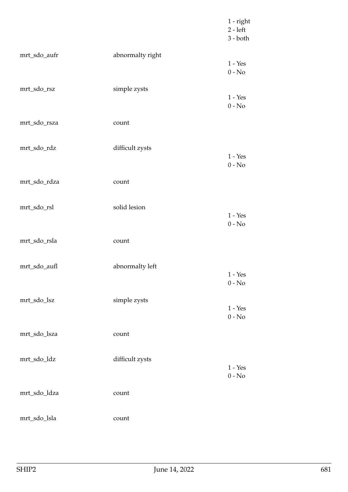|              |                  | $1$ - right<br>$2 - left$<br>$3 - both$ |
|--------------|------------------|-----------------------------------------|
| mrt_sdo_aufr | abnormalty right | $1 - Yes$<br>$0 - No$                   |
| mrt_sdo_rsz  | simple zysts     | $1 - Yes$<br>$0 - No$                   |
| mrt_sdo_rsza | count            |                                         |
| mrt_sdo_rdz  | difficult zysts  | $1 - Yes$<br>$0 - No$                   |
| mrt_sdo_rdza | count            |                                         |
| mrt_sdo_rsl  | solid lesion     | $1 - Yes$<br>$0 - No$                   |
| mrt_sdo_rsla | count            |                                         |
| mrt_sdo_aufl | abnormalty left  | $1 - Yes$<br>$0$ - $\mathrm{No}$        |
| mrt_sdo_lsz  | simple zysts     | $1 - Yes$<br>$0$ - $\mathrm{No}$        |
| mrt_sdo_lsza | count            |                                         |
| mrt_sdo_ldz  | difficult zysts  | $1 - Yes$<br>$0 - No$                   |
| mrt_sdo_ldza | count            |                                         |
| mrt_sdo_lsla | count            |                                         |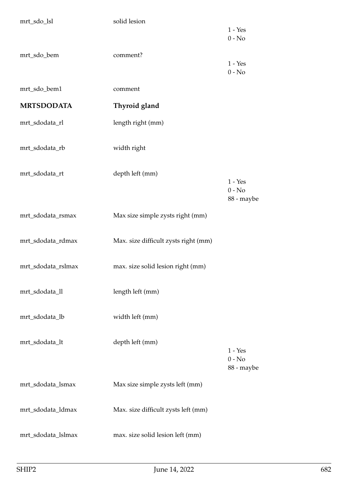| mrt_sdo_lsl        | solid lesion                         |                                     |
|--------------------|--------------------------------------|-------------------------------------|
|                    |                                      | $1 - Yes$<br>$0 - No$               |
| mrt_sdo_bem        | comment?                             | $1 - Yes$<br>$0 - No$               |
| mrt_sdo_bem1       | comment                              |                                     |
| <b>MRTSDODATA</b>  | Thyroid gland                        |                                     |
| mrt_sdodata_rl     | length right (mm)                    |                                     |
| mrt_sdodata_rb     | width right                          |                                     |
| mrt_sdodata_rt     | depth left (mm)                      | $1 - Yes$<br>$0 - No$<br>88 - maybe |
| mrt_sdodata_rsmax  | Max size simple zysts right (mm)     |                                     |
| mrt_sdodata_rdmax  | Max. size difficult zysts right (mm) |                                     |
| mrt_sdodata_rslmax | max. size solid lesion right (mm)    |                                     |
| mrt_sdodata_ll     | length left (mm)                     |                                     |
| mrt_sdodata_lb     | width left (mm)                      |                                     |
| mrt_sdodata_lt     | depth left (mm)                      | $1 - Yes$<br>$0 - No$<br>88 - maybe |
| mrt_sdodata_lsmax  | Max size simple zysts left (mm)      |                                     |
| mrt_sdodata_ldmax  | Max. size difficult zysts left (mm)  |                                     |
| mrt_sdodata_lslmax | max. size solid lesion left (mm)     |                                     |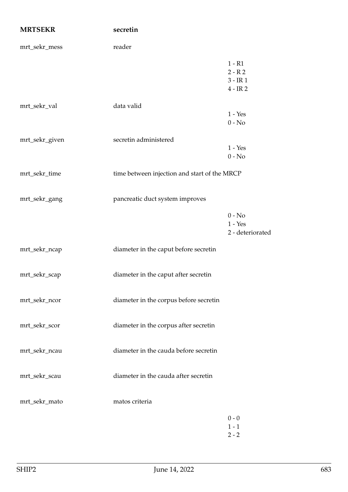| <b>MRTSEKR</b> | secretin                                     |                                                |
|----------------|----------------------------------------------|------------------------------------------------|
| mrt_sekr_mess  | reader                                       |                                                |
|                |                                              | $1 - R1$<br>$2 - R2$<br>$3 - IR1$<br>$4 - IR2$ |
| mrt_sekr_val   | data valid                                   | $1 - Yes$<br>$0 - No$                          |
| mrt_sekr_given | secretin administered                        | $1 - Yes$<br>$0 - No$                          |
| mrt_sekr_time  | time between injection and start of the MRCP |                                                |
| mrt_sekr_gang  | pancreatic duct system improves              |                                                |
|                |                                              | $0 - No$<br>$1 - Yes$<br>2 - deteriorated      |
| mrt_sekr_ncap  | diameter in the caput before secretin        |                                                |
| mrt_sekr_scap  | diameter in the caput after secretin         |                                                |
| mrt_sekr_ncor  | diameter in the corpus before secretin       |                                                |
| mrt_sekr_scor  | diameter in the corpus after secretin        |                                                |
| mrt_sekr_ncau  | diameter in the cauda before secretin        |                                                |
| mrt_sekr_scau  | diameter in the cauda after secretin         |                                                |
| mrt_sekr_mato  | matos criteria                               |                                                |
|                |                                              | $0 - 0$<br>$1 - 1$<br>$2 - 2$                  |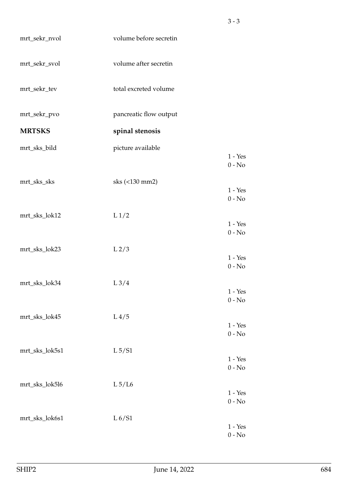| mrt_sekr_nvol  | volume before secretin |                                  |
|----------------|------------------------|----------------------------------|
| mrt_sekr_svol  | volume after secretin  |                                  |
| mrt_sekr_tev   | total excreted volume  |                                  |
| mrt_sekr_pvo   | pancreatic flow output |                                  |
| <b>MRTSKS</b>  | spinal stenosis        |                                  |
| mrt_sks_bild   | picture available      |                                  |
|                |                        | $1 - Yes$<br>$0 - No$            |
| mrt_sks_sks    | sks (<130 mm2)         |                                  |
|                |                        | $1 - Yes$<br>$0 - No$            |
|                |                        |                                  |
| mrt_sks_lok12  | L <sub>1/2</sub>       | $1 - Yes$                        |
|                |                        | $0 - No$                         |
| mrt_sks_lok23  | L <sub>2/3</sub>       |                                  |
|                |                        | $1 - Yes$<br>$0 - No$            |
|                |                        |                                  |
| mrt_sks_lok34  | $L\frac{3}{4}$         | $1 - Yes$                        |
|                |                        | $0 - No$                         |
| mrt_sks_lok45  | L <sub>4/5</sub>       |                                  |
|                |                        | $1 - Yes$                        |
|                |                        | $0 - No$                         |
| mrt_sks_lok5s1 | $L\,5/S1$              | $1 - Yes$                        |
|                |                        | $0 - No$                         |
| mrt_sks_lok5l6 | $L\sqrt{5/L6}$         |                                  |
|                |                        | $1 - Yes$                        |
|                |                        | $0 - No$                         |
| mrt_sks_lok6s1 | L 6/S1                 |                                  |
|                |                        | $1 - Yes$<br>$0$ - $\mathrm{No}$ |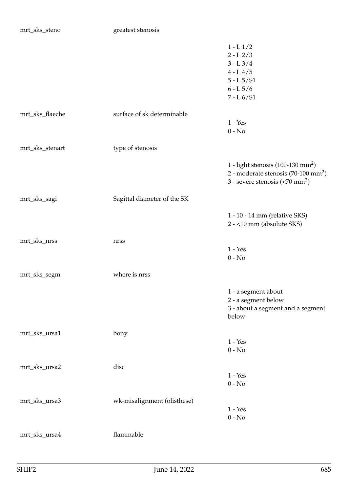mrt\_sks\_steno greatest stenosis

|                 |                             | $1 - L1/2$<br>$2 - L$ $2/3$<br>$3 - L \frac{3}{4}$<br>$4 - L 4/5$<br>$5 - L \frac{5}{S1}$<br>$6 - L \frac{5}{6}$<br>$7 - L 6/S1$                  |
|-----------------|-----------------------------|---------------------------------------------------------------------------------------------------------------------------------------------------|
| mrt_sks_flaeche | surface of sk determinable  | $1 - Yes$<br>$0 - No$                                                                                                                             |
| mrt_sks_stenart | type of stenosis            |                                                                                                                                                   |
|                 |                             | 1 - light stenosis (100-130 mm <sup>2</sup> )<br>2 - moderate stenosis (70-100 mm <sup>2</sup> )<br>3 - severe stenosis $(< 70$ mm <sup>2</sup> ) |
| mrt_sks_sagi    | Sagittal diameter of the SK |                                                                                                                                                   |
|                 |                             | 1 - 10 - 14 mm (relative SKS)<br>2 - <10 mm (absolute SKS)                                                                                        |
| mrt_sks_nrss    | nrss                        | $1 - Yes$<br>$0 - No$                                                                                                                             |
| mrt_sks_segm    | where is nrss               |                                                                                                                                                   |
|                 |                             | 1 - a segment about<br>2 - a segment below<br>3 - about a segment and a segment<br>below                                                          |
| mrt_sks_ursa1   | bony                        | $1 - Yes$<br>$0 - No$                                                                                                                             |
| mrt_sks_ursa2   | disc                        | $1 - Yes$<br>$0 - No$                                                                                                                             |
| mrt_sks_ursa3   | wk-misalignment (olisthese) | $1 - Yes$<br>$0 - No$                                                                                                                             |
| mrt_sks_ursa4   | flammable                   |                                                                                                                                                   |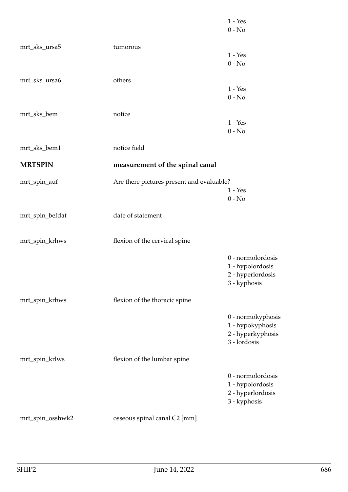|                  |                                           | $1 - Yes$<br>$0 - No$                                                      |
|------------------|-------------------------------------------|----------------------------------------------------------------------------|
| mrt_sks_ursa5    | tumorous                                  |                                                                            |
|                  |                                           | $1 - Yes$<br>$0 - No$                                                      |
| mrt_sks_ursa6    | others                                    |                                                                            |
|                  |                                           | $1 - Yes$<br>$0 - No$                                                      |
| mrt_sks_bem      | notice                                    |                                                                            |
|                  |                                           | $1 - Yes$<br>$0 - No$                                                      |
| mrt_sks_bem1     | notice field                              |                                                                            |
| <b>MRTSPIN</b>   | measurement of the spinal canal           |                                                                            |
| mrt_spin_auf     | Are there pictures present and evaluable? | $1 - Yes$<br>$0 - No$                                                      |
| mrt_spin_befdat  | date of statement                         |                                                                            |
| mrt_spin_krhws   | flexion of the cervical spine             |                                                                            |
|                  |                                           | 0 - normolordosis<br>1 - hypolordosis<br>2 - hyperlordosis<br>3 - kyphosis |
| mrt_spin_krbws   | flexion of the thoracic spine             |                                                                            |
|                  |                                           | 0 - normokyphosis<br>1 - hypokyphosis<br>2 - hyperkyphosis<br>3 - lordosis |
| mrt_spin_krlws   | flexion of the lumbar spine               |                                                                            |
|                  |                                           | 0 - normolordosis<br>1 - hypolordosis<br>2 - hyperlordosis<br>3 - kyphosis |
| mrt_spin_osshwk2 | osseous spinal canal C2 [mm]              |                                                                            |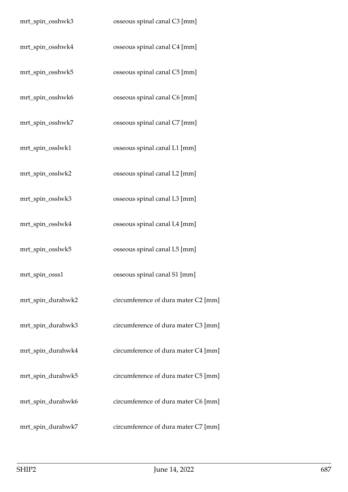| mrt_spin_osshwk3  | osseous spinal canal C3 [mm]        |
|-------------------|-------------------------------------|
| mrt_spin_osshwk4  | osseous spinal canal C4 [mm]        |
| mrt_spin_osshwk5  | osseous spinal canal C5 [mm]        |
| mrt_spin_osshwk6  | osseous spinal canal C6 [mm]        |
| mrt_spin_osshwk7  | osseous spinal canal C7 [mm]        |
| mrt_spin_osslwk1  | osseous spinal canal L1 [mm]        |
| mrt_spin_osslwk2  | osseous spinal canal L2 [mm]        |
| mrt_spin_osslwk3  | osseous spinal canal L3 [mm]        |
| mrt_spin_osslwk4  | osseous spinal canal L4 [mm]        |
| mrt_spin_osslwk5  | osseous spinal canal L5 [mm]        |
| mrt_spin_osss1    | osseous spinal canal S1 [mm]        |
| mrt_spin_durahwk2 | circumference of dura mater C2 [mm] |
| mrt_spin_durahwk3 | circumference of dura mater C3 [mm] |
| mrt_spin_durahwk4 | circumference of dura mater C4 [mm] |
| mrt_spin_durahwk5 | circumference of dura mater C5 [mm] |
| mrt_spin_durahwk6 | circumference of dura mater C6 [mm] |
| mrt_spin_durahwk7 | circumference of dura mater C7 [mm] |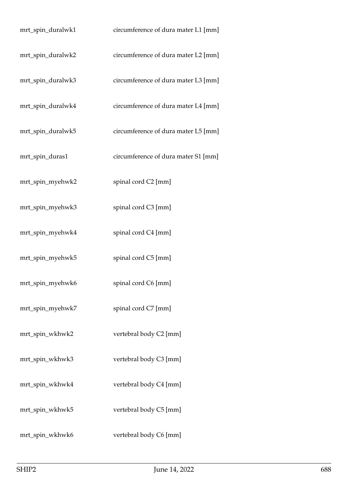| mrt_spin_duralwk1 | circumference of dura mater L1 [mm] |
|-------------------|-------------------------------------|
| mrt_spin_duralwk2 | circumference of dura mater L2 [mm] |
| mrt_spin_duralwk3 | circumference of dura mater L3 [mm] |
| mrt_spin_duralwk4 | circumference of dura mater L4 [mm] |
| mrt_spin_duralwk5 | circumference of dura mater L5 [mm] |
| mrt_spin_duras1   | circumference of dura mater S1 [mm] |
| mrt_spin_myehwk2  | spinal cord C2 [mm]                 |
| mrt_spin_myehwk3  | spinal cord C3 [mm]                 |
| mrt_spin_myehwk4  | spinal cord C4 [mm]                 |
| mrt_spin_myehwk5  | spinal cord C5 [mm]                 |
| mrt_spin_myehwk6  | spinal cord C6 [mm]                 |
| mrt_spin_myehwk7  | spinal cord C7 [mm]                 |
| mrt_spin_wkhwk2   | vertebral body C2 [mm]              |
| mrt_spin_wkhwk3   | vertebral body C3 [mm]              |
| mrt_spin_wkhwk4   | vertebral body C4 [mm]              |
| mrt_spin_wkhwk5   | vertebral body C5 [mm]              |
| mrt_spin_wkhwk6   | vertebral body C6 [mm]              |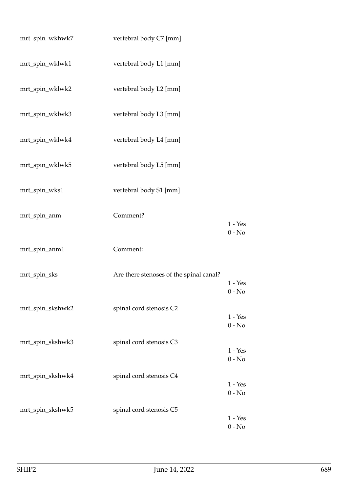| mrt_spin_wkhwk7  | vertebral body C7 [mm]                  |                       |
|------------------|-----------------------------------------|-----------------------|
| mrt_spin_wklwk1  | vertebral body L1 [mm]                  |                       |
| mrt_spin_wklwk2  | vertebral body L2 [mm]                  |                       |
| mrt_spin_wklwk3  | vertebral body L3 [mm]                  |                       |
| mrt_spin_wklwk4  | vertebral body L4 [mm]                  |                       |
| mrt_spin_wklwk5  | vertebral body L5 [mm]                  |                       |
| mrt_spin_wks1    | vertebral body S1 [mm]                  |                       |
| mrt_spin_anm     | Comment?                                | $1 - Yes$<br>$0 - No$ |
| mrt_spin_anm1    | Comment:                                |                       |
| mrt_spin_sks     | Are there stenoses of the spinal canal? | $1 - Yes$<br>$0 - No$ |
| mrt_spin_skshwk2 | spinal cord stenosis C2                 | $1 - Yes$<br>$0 - No$ |
| mrt_spin_skshwk3 | spinal cord stenosis C3                 | $1 - Yes$<br>$0 - No$ |
| mrt_spin_skshwk4 | spinal cord stenosis C4                 | $1 - Yes$<br>$0 - No$ |
| mrt_spin_skshwk5 | spinal cord stenosis C5                 | $1 - Yes$<br>$0 - No$ |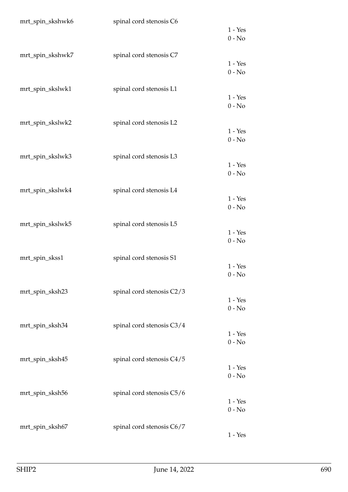| mrt_spin_skshwk6 | spinal cord stenosis C6   | $1 - Yes$<br>$0 - No$ |
|------------------|---------------------------|-----------------------|
| mrt_spin_skshwk7 | spinal cord stenosis C7   | $1 - Yes$<br>$0 - No$ |
| mrt_spin_skslwk1 | spinal cord stenosis L1   | $1 - Yes$<br>$0 - No$ |
| mrt_spin_skslwk2 | spinal cord stenosis L2   | $1 - Yes$<br>$0 - No$ |
| mrt_spin_skslwk3 | spinal cord stenosis L3   | $1 - Yes$<br>$0 - No$ |
| mrt_spin_skslwk4 | spinal cord stenosis L4   | $1 - Yes$<br>$0 - No$ |
| mrt_spin_skslwk5 | spinal cord stenosis L5   | $1 - Yes$<br>$0 - No$ |
| mrt_spin_skss1   | spinal cord stenosis S1   | $1 - Yes$<br>$0 - No$ |
| mrt_spin_sksh23  | spinal cord stenosis C2/3 | $1 - Yes$<br>$0 - No$ |
| mrt_spin_sksh34  | spinal cord stenosis C3/4 | $1 - Yes$<br>$0 - No$ |
| mrt_spin_sksh45  | spinal cord stenosis C4/5 | $1 - Yes$<br>$0 - No$ |
| mrt_spin_sksh56  | spinal cord stenosis C5/6 | $1 - Yes$<br>$0 - No$ |
| mrt_spin_sksh67  | spinal cord stenosis C6/7 | $1 - Yes$             |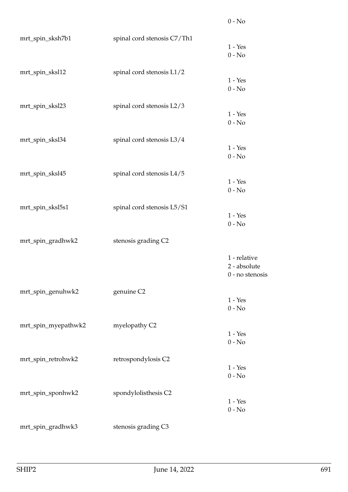| mrt_spin_sksh7b1    | spinal cord stenosis C7/Th1 | $1 - Yes$<br>$0 - No$                           |
|---------------------|-----------------------------|-------------------------------------------------|
| mrt_spin_sksl12     | spinal cord stenosis L1/2   | $1 - Yes$<br>$0 - No$                           |
| mrt_spin_sksl23     | spinal cord stenosis L2/3   | $1 - Yes$<br>$0 - No$                           |
| mrt_spin_sksl34     | spinal cord stenosis L3/4   | $1 - Yes$<br>$0 - No$                           |
| mrt_spin_sksl45     | spinal cord stenosis L4/5   | $1 - Yes$<br>$0 - No$                           |
| mrt_spin_sksl5s1    | spinal cord stenosis L5/S1  | $1 - Yes$<br>$0 - No$                           |
| mrt_spin_gradhwk2   | stenosis grading C2         |                                                 |
|                     |                             | 1 - relative<br>2 - absolute<br>0 - no stenosis |
| mrt_spin_genuhwk2   | genuine C2                  | $1 - Yes$<br>$0 - No$                           |
| mrt_spin_myepathwk2 | myelopathy C2               | $1 - Yes$<br>$0 - No$                           |
| mrt_spin_retrohwk2  | retrospondylosis C2         | $1 - Yes$<br>$0 - No$                           |
| mrt_spin_sponhwk2   | spondylolisthesis C2        | $1 - Yes$<br>$0$ - $\hbox{No}$                  |
| mrt_spin_gradhwk3   | stenosis grading C3         |                                                 |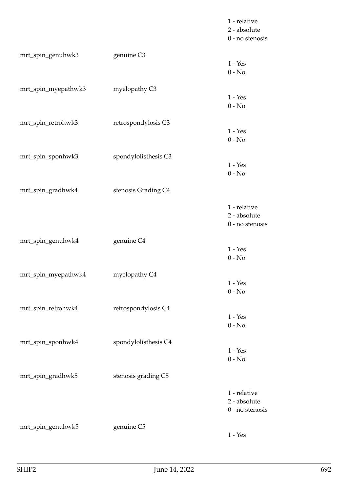|                     |                      | 1 - relative<br>2 - absolute<br>0 - no stenosis   |
|---------------------|----------------------|---------------------------------------------------|
| mrt_spin_genuhwk3   | genuine C3           | $1 - Yes$<br>$0 - No$                             |
| mrt_spin_myepathwk3 | myelopathy C3        | $1 - Yes$<br>$0 - No$                             |
| mrt_spin_retrohwk3  | retrospondylosis C3  | $1 - Yes$<br>$0 - No$                             |
| mrt_spin_sponhwk3   | spondylolisthesis C3 | $1 - Yes$<br>$0 - No$                             |
| mrt_spin_gradhwk4   | stenosis Grading C4  |                                                   |
|                     |                      | 1 - relative<br>2 - absolute<br>0 - no stenosis   |
| mrt_spin_genuhwk4   | genuine C4           | $1 - Yes$<br>$0 - No$                             |
| mrt_spin_myepathwk4 | myelopathy C4        | $1 - Yes$<br>$0 - No$                             |
| mrt_spin_retrohwk4  | retrospondylosis C4  | $1 - Yes$<br>$0 - No$                             |
| mrt_spin_sponhwk4   | spondylolisthesis C4 | $1 - Yes$<br>$0 - No$                             |
| mrt_spin_gradhwk5   | stenosis grading C5  |                                                   |
|                     |                      | 1 - relative<br>2 - absolute<br>$0$ - no stenosis |
| mrt_spin_genuhwk5   | genuine C5           | $1 - Yes$                                         |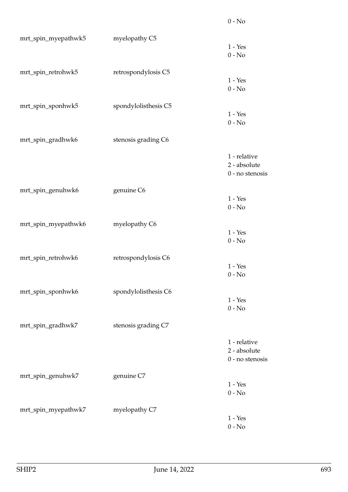| mrt_spin_myepathwk5 | myelopathy C5        | $1 - Yes$<br>$0 - No$                             |
|---------------------|----------------------|---------------------------------------------------|
| mrt_spin_retrohwk5  | retrospondylosis C5  | $1 - Yes$<br>$0 - No$                             |
| mrt_spin_sponhwk5   | spondylolisthesis C5 | $1 - Yes$<br>$0 - No$                             |
| mrt_spin_gradhwk6   | stenosis grading C6  |                                                   |
|                     |                      | 1 - relative<br>2 - absolute<br>0 - no stenosis   |
| mrt_spin_genuhwk6   | genuine C6           | $1 - Yes$                                         |
|                     |                      | $0 - No$                                          |
| mrt_spin_myepathwk6 | myelopathy C6        | $1 - Yes$<br>$0 - No$                             |
| mrt_spin_retrohwk6  | retrospondylosis C6  | $1 - Yes$<br>$0 - No$                             |
| mrt_spin_sponhwk6   | spondylolisthesis C6 | $1 - Yes$<br>$0 - No$                             |
| mrt_spin_gradhwk7   | stenosis grading C7  |                                                   |
|                     |                      | 1 - relative<br>2 - absolute<br>$0$ - no stenosis |
| mrt_spin_genuhwk7   | genuine C7           | $1 - Yes$<br>$0 - No$                             |
| mrt_spin_myepathwk7 | myelopathy C7        | $1 - Yes$<br>$0 - No$                             |

0 - No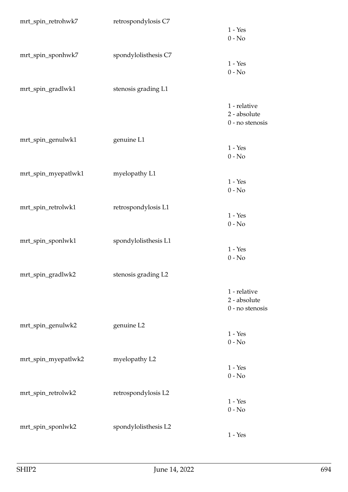| mrt_spin_retrohwk7  | retrospondylosis C7  | $1 - Yes$<br>$0 - No$                           |
|---------------------|----------------------|-------------------------------------------------|
| mrt_spin_sponhwk7   | spondylolisthesis C7 | $1 - Yes$<br>$0 - No$                           |
| mrt_spin_gradlwk1   | stenosis grading L1  |                                                 |
|                     |                      | 1 - relative<br>2 - absolute<br>0 - no stenosis |
| mrt_spin_genulwk1   | genuine L1           | $1 - Yes$<br>$0 - No$                           |
| mrt_spin_myepatlwk1 | myelopathy L1        |                                                 |
|                     |                      | $1 - Yes$<br>$0 - No$                           |
| mrt_spin_retrolwk1  | retrospondylosis L1  |                                                 |
|                     |                      | $1 - Yes$<br>$0 - No$                           |
| mrt_spin_sponlwk1   | spondylolisthesis L1 |                                                 |
|                     |                      | $1 - Yes$<br>$0 - No$                           |
| mrt_spin_gradlwk2   | stenosis grading L2  |                                                 |
|                     |                      | 1 - relative<br>2 - absolute<br>0 - no stenosis |
| mrt_spin_genulwk2   | genuine L2           |                                                 |
|                     |                      | $1 - Yes$<br>$0 - No$                           |
| mrt_spin_myepatlwk2 | myelopathy L2        |                                                 |
|                     |                      | $1 - Yes$<br>$0 - No$                           |
| mrt_spin_retrolwk2  | retrospondylosis L2  |                                                 |
|                     |                      | $1 - Yes$<br>$0 - No$                           |
| mrt_spin_sponlwk2   | spondylolisthesis L2 |                                                 |
|                     |                      | $1 - Yes$                                       |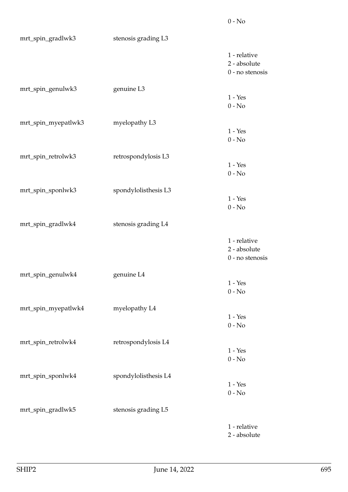| mrt_spin_gradlwk3   | stenosis grading L3  |                                                 |
|---------------------|----------------------|-------------------------------------------------|
|                     |                      | 1 - relative<br>2 - absolute<br>0 - no stenosis |
| mrt_spin_genulwk3   | genuine L3           | $1 - Yes$<br>$0 - No$                           |
| mrt_spin_myepatlwk3 | myelopathy L3        | $1 - Yes$<br>$0 - No$                           |
| mrt_spin_retrolwk3  | retrospondylosis L3  | $1 - Yes$<br>$0 - No$                           |
| mrt_spin_sponlwk3   | spondylolisthesis L3 | $1 - Yes$<br>$0 - No$                           |
| mrt_spin_gradlwk4   | stenosis grading L4  |                                                 |
|                     |                      | 1 - relative<br>2 - absolute<br>0 - no stenosis |
| mrt_spin_genulwk4   | genuine L4           | $1 - Yes$<br>$0 - No$                           |
| mrt_spin_myepatlwk4 | myelopathy L4        | $1 - Yes$<br>$0 - No$                           |
| mrt_spin_retrolwk4  | retrospondylosis L4  | $1 - Yes$<br>$0 - No$                           |
| mrt_spin_sponlwk4   | spondylolisthesis L4 | $1 - Yes$<br>$0 - No$                           |
| mrt_spin_gradlwk5   | stenosis grading L5  |                                                 |
|                     |                      | 1 - relative<br>2 - absolute                    |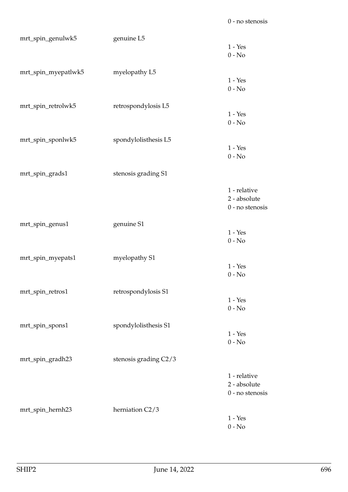| mrt_spin_genulwk5   | genuine L5            |                 |
|---------------------|-----------------------|-----------------|
|                     |                       | $1 - Yes$       |
|                     |                       | $0 - No$        |
|                     |                       |                 |
| mrt_spin_myepatlwk5 | myelopathy L5         |                 |
|                     |                       | $1 - Yes$       |
|                     |                       | $0 - No$        |
|                     |                       |                 |
| mrt_spin_retrolwk5  | retrospondylosis L5   | $1 - Yes$       |
|                     |                       | $0 - No$        |
|                     |                       |                 |
| mrt_spin_sponlwk5   | spondylolisthesis L5  |                 |
|                     |                       | $1 - Yes$       |
|                     |                       | $0 - No$        |
|                     |                       |                 |
| mrt_spin_grads1     | stenosis grading S1   |                 |
|                     |                       |                 |
|                     |                       | 1 - relative    |
|                     |                       | 2 - absolute    |
|                     |                       | 0 - no stenosis |
|                     |                       |                 |
| mrt_spin_genus1     | genuine S1            |                 |
|                     |                       | $1 - Yes$       |
|                     |                       | $0 - No$        |
|                     | myelopathy S1         |                 |
| mrt_spin_myepats1   |                       | $1 - Yes$       |
|                     |                       | $0 - No$        |
|                     |                       |                 |
| mrt_spin_retros1    | retrospondylosis S1   |                 |
|                     |                       | $1 - Yes$       |
|                     |                       | $0 - No$        |
|                     |                       |                 |
| mrt_spin_spons1     | spondylolisthesis S1  |                 |
|                     |                       | $1 - Yes$       |
|                     |                       | $0 - No$        |
|                     |                       |                 |
| mrt_spin_gradh23    | stenosis grading C2/3 |                 |
|                     |                       |                 |
|                     |                       | 1 - relative    |
|                     |                       | 2 - absolute    |
|                     |                       | 0 - no stenosis |
| mrt_spin_hernh23    | herniation C2/3       |                 |
|                     |                       | $1 - Yes$       |
|                     |                       | $0 - No$        |
|                     |                       |                 |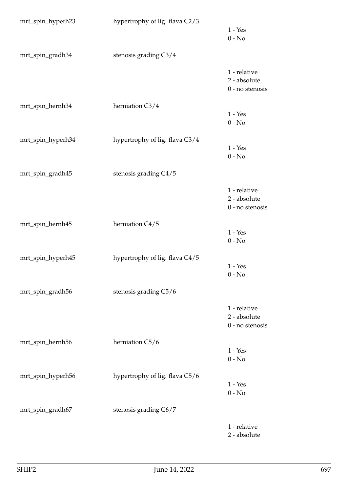| mrt_spin_hyperh23 | hypertrophy of lig. flava C2/3 | $1 - Yes$<br>$0 - No$                           |
|-------------------|--------------------------------|-------------------------------------------------|
| mrt_spin_gradh34  | stenosis grading C3/4          |                                                 |
|                   |                                | 1 - relative<br>2 - absolute<br>0 - no stenosis |
| mrt_spin_hernh34  | herniation C3/4                | $1 - Yes$<br>$0 - No$                           |
| mrt_spin_hyperh34 | hypertrophy of lig. flava C3/4 | $1 - Yes$<br>$0 - No$                           |
| mrt_spin_gradh45  | stenosis grading C4/5          |                                                 |
|                   |                                | 1 - relative<br>2 - absolute<br>0 - no stenosis |
| mrt_spin_hernh45  | herniation C4/5                | $1 - Yes$<br>$0 - No$                           |
| mrt_spin_hyperh45 | hypertrophy of lig. flava C4/5 | $1 - Yes$<br>$0 - No$                           |
| mrt_spin_gradh56  | stenosis grading C5/6          |                                                 |
|                   |                                | 1 - relative<br>2 - absolute<br>0 - no stenosis |
| mrt_spin_hernh56  | herniation C5/6                | $1 - Yes$<br>$0 - No$                           |
| mrt_spin_hyperh56 | hypertrophy of lig. flava C5/6 | $1 - Yes$<br>$0 - No$                           |
| mrt_spin_gradh67  | stenosis grading C6/7          |                                                 |
|                   |                                | 1 - relative<br>2 - absolute                    |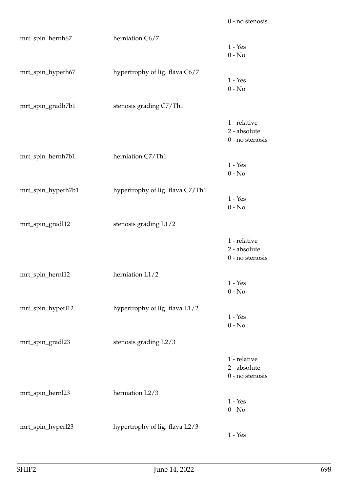| mrt_spin_hernh67   | herniation C6/7                  | $1 - Yes$<br>$0 - No$                             |
|--------------------|----------------------------------|---------------------------------------------------|
| mrt_spin_hyperh67  | hypertrophy of lig. flava C6/7   | $1 - Yes$<br>$0 - No$                             |
| mrt_spin_gradh7b1  | stenosis grading C7/Th1          |                                                   |
|                    |                                  | 1 - relative<br>2 - absolute<br>0 - no stenosis   |
| mrt_spin_hernh7b1  | herniation C7/Th1                | $1 - Yes$<br>$0 - No$                             |
| mrt_spin_hyperh7b1 | hypertrophy of lig. flava C7/Th1 | $1 - Yes$<br>$0 - No$                             |
| mrt_spin_gradl12   | stenosis grading L1/2            |                                                   |
|                    |                                  | 1 - relative<br>2 - absolute<br>0 - no stenosis   |
| mrt_spin_hernl12   | herniation L1/2                  | $1 - Yes$<br>$0 - No$                             |
| mrt_spin_hyperl12  | hypertrophy of lig. flava L1/2   | $1 - Yes$<br>$0 - No$                             |
| mrt_spin_gradl23   | stenosis grading L2/3            |                                                   |
|                    |                                  | 1 - relative<br>2 - absolute<br>$0$ - no stenosis |
| mrt_spin_hernl23   | herniation L2/3                  | $1 - Yes$<br>$0 - No$                             |
| mrt_spin_hyperl23  | hypertrophy of lig. flava L2/3   | $1 - Yes$                                         |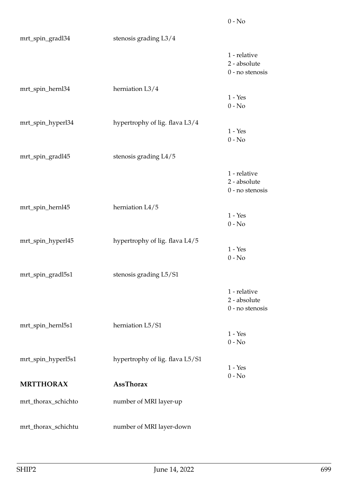| mrt_spin_gradl34    | stenosis grading L3/4           |                                                   |
|---------------------|---------------------------------|---------------------------------------------------|
|                     |                                 | 1 - relative<br>2 - absolute<br>$0$ - no stenosis |
| mrt_spin_hernl34    | herniation L3/4                 | $1 - Yes$<br>$0 - No$                             |
| mrt_spin_hyperl34   | hypertrophy of lig. flava L3/4  | $1 - Yes$<br>$0 - No$                             |
| mrt_spin_gradl45    | stenosis grading L4/5           |                                                   |
|                     |                                 | 1 - relative<br>2 - absolute<br>0 - no stenosis   |
| mrt_spin_hernl45    | herniation L4/5                 | $1 - Yes$<br>$0 - No$                             |
| mrt_spin_hyperl45   | hypertrophy of lig. flava L4/5  | $1 - Yes$<br>$0 - No$                             |
| mrt_spin_gradl5s1   | stenosis grading L5/S1          |                                                   |
|                     |                                 | 1 - relative<br>2 - absolute<br>$0$ - no stenosis |
| mrt_spin_hernl5s1   | herniation L5/S1                | $1 - Yes$<br>$0 - No$                             |
| mrt_spin_hyperl5s1  | hypertrophy of lig. flava L5/S1 | $1 - Yes$                                         |
| <b>MRTTHORAX</b>    | <b>AssThorax</b>                | $0 - No$                                          |
| mrt_thorax_schichto | number of MRI layer-up          |                                                   |
| mrt_thorax_schichtu | number of MRI layer-down        |                                                   |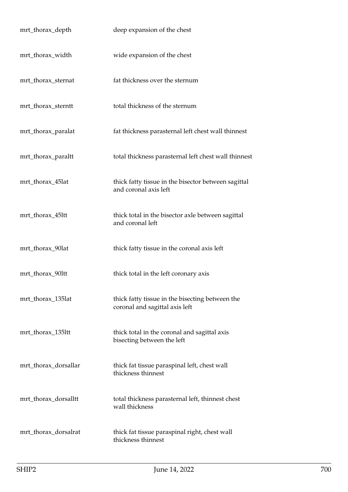| mrt_thorax_depth     | deep expansion of the chest                                                       |
|----------------------|-----------------------------------------------------------------------------------|
| mrt_thorax_width     | wide expansion of the chest                                                       |
| mrt_thorax_sternat   | fat thickness over the sternum                                                    |
| mrt_thorax_sterntt   | total thickness of the sternum                                                    |
| mrt_thorax_paralat   | fat thickness parasternal left chest wall thinnest                                |
| mrt_thorax_paraltt   | total thickness parasternal left chest wall thinnest                              |
| mrt_thorax_45lat     | thick fatty tissue in the bisector between sagittal<br>and coronal axis left      |
| mrt_thorax_45ltt     | thick total in the bisector axle between sagittal<br>and coronal left             |
| mrt_thorax_90lat     | thick fatty tissue in the coronal axis left                                       |
| mrt_thorax_90ltt     | thick total in the left coronary axis                                             |
| mrt_thorax_135lat    | thick fatty tissue in the bisecting between the<br>coronal and sagittal axis left |
| mrt_thorax_135ltt    | thick total in the coronal and sagittal axis<br>bisecting between the left        |
| mrt_thorax_dorsallar | thick fat tissue paraspinal left, chest wall<br>thickness thinnest                |
| mrt_thorax_dorsalltt | total thickness parasternal left, thinnest chest<br>wall thickness                |
| mrt_thorax_dorsalrat | thick fat tissue paraspinal right, chest wall<br>thickness thinnest               |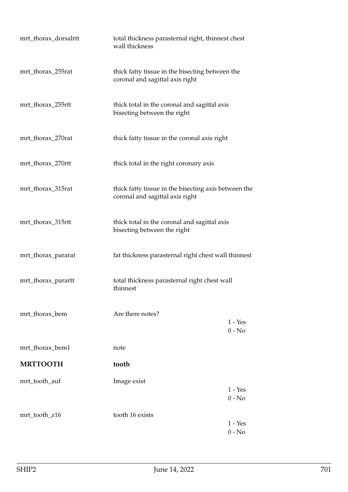| mrt_thorax_dorsalrtt | total thickness parasternal right, thinnest chest<br>wall thickness                     |                       |
|----------------------|-----------------------------------------------------------------------------------------|-----------------------|
| mrt_thorax_255rat    | thick fatty tissue in the bisecting between the<br>coronal and sagittal axis right      |                       |
| mrt_thorax_255rtt    | thick total in the coronal and sagittal axis<br>bisecting between the right             |                       |
| mrt_thorax_270rat    | thick fatty tissue in the coronal axis right                                            |                       |
| mrt_thorax_270rtt    | thick total in the right coronary axis                                                  |                       |
| mrt_thorax_315rat    | thick fatty tissue in the bisecting axis between the<br>coronal and sagittal axis right |                       |
| mrt_thorax_315rtt    | thick total in the coronal and sagittal axis<br>bisecting between the right             |                       |
| mrt_thorax_pararat   | fat thickness parasternal right chest wall thinnest                                     |                       |
| mrt_thorax_parartt   | total thickness parasternal right chest wall<br>thinnest                                |                       |
| mrt_thorax_bem       | Are there notes?                                                                        | $1 - Yes$<br>$0 - No$ |
| mrt_thorax_bem1      | note                                                                                    |                       |
| <b>MRTTOOTH</b>      | tooth                                                                                   |                       |
| mrt_tooth_auf        | Image exist                                                                             | $1 - Yes$<br>$0 - No$ |
| mrt_tooth_z16        | tooth 16 exists                                                                         | $1 - Yes$<br>$0 - No$ |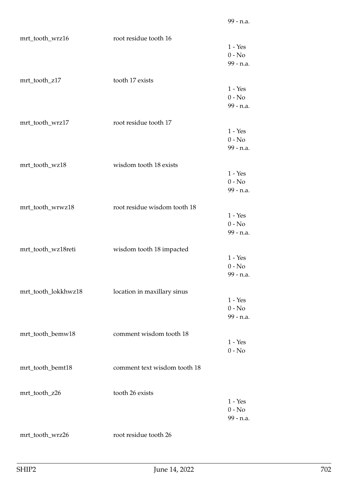| mrt_tooth_wrz16     | root residue tooth 16        |                                    |
|---------------------|------------------------------|------------------------------------|
|                     |                              | $1 - Yes$<br>$0 - No$<br>99 - n.a. |
| mrt_tooth_z17       | tooth 17 exists              |                                    |
|                     |                              | $1 - Yes$<br>$0 - No$<br>99 - n.a. |
| mrt_tooth_wrz17     | root residue tooth 17        |                                    |
|                     |                              | $1 - Yes$<br>$0 - No$<br>99 - n.a. |
| mrt_tooth_wz18      | wisdom tooth 18 exists       |                                    |
|                     |                              | $1 - Yes$<br>$0 - No$<br>99 - n.a. |
| mrt_tooth_wrwz18    | root residue wisdom tooth 18 |                                    |
|                     |                              | $1 - Yes$<br>$0 - No$<br>99 - n.a. |
| mrt_tooth_wz18reti  | wisdom tooth 18 impacted     |                                    |
|                     |                              | $1 - Yes$<br>$0 - No$<br>99 - n.a. |
| mrt_tooth_lokkhwz18 | location in maxillary sinus  |                                    |
|                     |                              | $1 - Yes$<br>$0 - No$<br>99 - n.a. |
| mrt_tooth_bemw18    | comment wisdom tooth 18      |                                    |
|                     |                              | $1 - Yes$<br>$0$ - $\hbox{No}$     |
| mrt_tooth_bemt18    | comment text wisdom tooth 18 |                                    |
| mrt_tooth_z26       | tooth 26 exists              |                                    |
|                     |                              | $1 - Yes$<br>$0 - No$<br>99 - n.a. |
| mrt_tooth_wrz26     | root residue tooth 26        |                                    |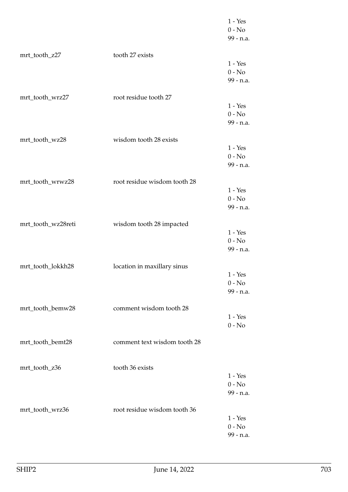|                    |                              | $1 - Yes$<br>$0 - No$<br>99 - n.a. |
|--------------------|------------------------------|------------------------------------|
| mrt_tooth_z27      | tooth 27 exists              | $1 - Yes$<br>$0 - No$<br>99 - n.a. |
| mrt_tooth_wrz27    | root residue tooth 27        | $1 - Yes$<br>$0 - No$<br>99 - n.a. |
| mrt_tooth_wz28     | wisdom tooth 28 exists       | $1 - Yes$<br>$0 - No$<br>99 - n.a. |
| mrt_tooth_wrwz28   | root residue wisdom tooth 28 | $1 - Yes$<br>$0 - No$<br>99 - n.a. |
| mrt_tooth_wz28reti | wisdom tooth 28 impacted     | $1 - Yes$<br>$0 - No$<br>99 - n.a. |
| mrt_tooth_lokkh28  | location in maxillary sinus  | $1 - Yes$<br>$0 - No$<br>99 - n.a. |
| mrt_tooth_bemw28   | comment wisdom tooth 28      | $1 - Yes$<br>$0 - No$              |
| mrt_tooth_bemt28   | comment text wisdom tooth 28 |                                    |
| mrt_tooth_z36      | tooth 36 exists              | $1 - Yes$<br>$0 - No$<br>99 - n.a. |
| mrt_tooth_wrz36    | root residue wisdom tooth 36 | $1 - Yes$<br>$0 - No$<br>99 - n.a. |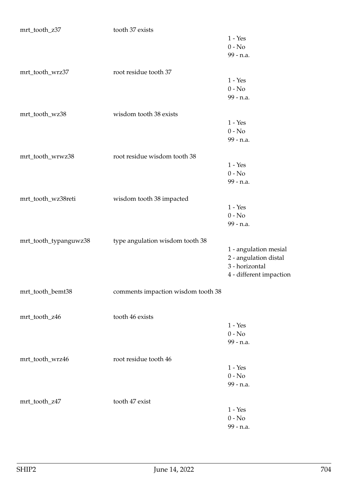| mrt_tooth_z37         | tooth 37 exists                    |                         |
|-----------------------|------------------------------------|-------------------------|
|                       |                                    | $1 - Yes$               |
|                       |                                    | $0 - No$                |
|                       |                                    | 99 - n.a.               |
|                       |                                    |                         |
| mrt_tooth_wrz37       | root residue tooth 37              |                         |
|                       |                                    | $1 - Yes$               |
|                       |                                    | $0 - No$                |
|                       |                                    | 99 - n.a.               |
|                       |                                    |                         |
| mrt_tooth_wz38        | wisdom tooth 38 exists             |                         |
|                       |                                    | $1 - Yes$               |
|                       |                                    | $0 - No$                |
|                       |                                    | 99 - n.a.               |
|                       |                                    |                         |
| mrt_tooth_wrwz38      | root residue wisdom tooth 38       |                         |
|                       |                                    | $1 - Yes$               |
|                       |                                    | $0 - No$                |
|                       |                                    | 99 - n.a.               |
|                       |                                    |                         |
| mrt_tooth_wz38reti    | wisdom tooth 38 impacted           |                         |
|                       |                                    | $1 - Yes$               |
|                       |                                    | $0 - No$                |
|                       |                                    | 99 - n.a.               |
|                       |                                    |                         |
| mrt_tooth_typanguwz38 | type angulation wisdom tooth 38    |                         |
|                       |                                    | 1 - angulation mesial   |
|                       |                                    | 2 - angulation distal   |
|                       |                                    | 3 - horizontal          |
|                       |                                    | 4 - different impaction |
|                       |                                    |                         |
| mrt_tooth_bemt38      | comments impaction wisdom tooth 38 |                         |
|                       |                                    |                         |
|                       |                                    |                         |
| mrt_tooth_z46         | tooth 46 exists                    |                         |
|                       |                                    | $1 - Yes$               |
|                       |                                    | $0 - No$                |
|                       |                                    | 99 - n.a.               |
|                       |                                    |                         |
| mrt_tooth_wrz46       | root residue tooth 46              |                         |
|                       |                                    | $1 - Yes$               |
|                       |                                    | $0 - No$                |
|                       |                                    | 99 - n.a.               |
|                       |                                    |                         |
| mrt_tooth_z47         | tooth 47 exist                     |                         |
|                       |                                    | $1 - Yes$               |
|                       |                                    | $0 - No$                |
|                       |                                    | 99 - n.a.               |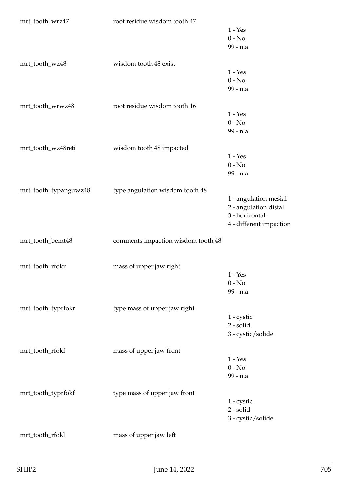| mrt_tooth_wrz47       | root residue wisdom tooth 47       |                         |
|-----------------------|------------------------------------|-------------------------|
|                       |                                    | $1 - Yes$               |
|                       |                                    | $0 - No$                |
|                       |                                    | 99 - n.a.               |
| mrt_tooth_wz48        | wisdom tooth 48 exist              |                         |
|                       |                                    | $1 - Yes$               |
|                       |                                    | $0 - No$                |
|                       |                                    | 99 - n.a.               |
| mrt_tooth_wrwz48      | root residue wisdom tooth 16       |                         |
|                       |                                    | $1 - Yes$               |
|                       |                                    | $0 - No$                |
|                       |                                    | 99 - n.a.               |
| mrt_tooth_wz48reti    | wisdom tooth 48 impacted           |                         |
|                       |                                    | $1 - Yes$               |
|                       |                                    | $0 - No$                |
|                       |                                    | 99 - n.a.               |
|                       |                                    |                         |
| mrt_tooth_typanguwz48 | type angulation wisdom tooth 48    |                         |
|                       |                                    | 1 - angulation mesial   |
|                       |                                    | 2 - angulation distal   |
|                       |                                    | 3 - horizontal          |
|                       |                                    | 4 - different impaction |
| mrt_tooth_bemt48      | comments impaction wisdom tooth 48 |                         |
|                       |                                    |                         |
| mrt_tooth_rfokr       | mass of upper jaw right            |                         |
|                       |                                    | $1 - Yes$               |
|                       |                                    | $0 - No$                |
|                       |                                    | 99 - n.a.               |
| mrt_tooth_typrfokr    | type mass of upper jaw right       |                         |
|                       |                                    | 1 - cystic              |
|                       |                                    | 2 - solid               |
|                       |                                    | 3 - cystic/solide       |
| mrt_tooth_rfokf       | mass of upper jaw front            |                         |
|                       |                                    | $1 - Yes$               |
|                       |                                    | $0 - No$                |
|                       |                                    | 99 - n.a.               |
| mrt_tooth_typrfokf    | type mass of upper jaw front       |                         |
|                       |                                    | $1 - c$ cystic          |
|                       |                                    | 2 - solid               |
|                       |                                    | 3 - cystic/solide       |
| mrt_tooth_rfokl       | mass of upper jaw left             |                         |
|                       |                                    |                         |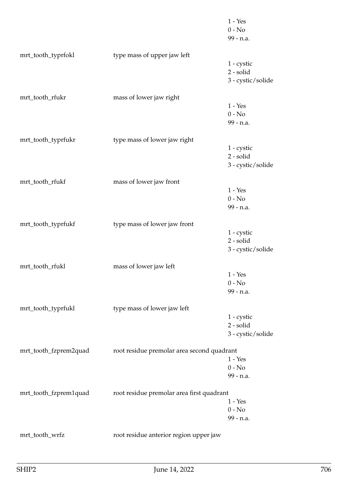|                       |                                            | $1 - Yes$<br>$0 - No$<br>99 - n.a. |
|-----------------------|--------------------------------------------|------------------------------------|
| mrt_tooth_typrfokl    | type mass of upper jaw left                | $1 - c$ ystic<br>2 - solid         |
|                       |                                            | 3 - cystic/solide                  |
| mrt_tooth_rfukr       | mass of lower jaw right                    |                                    |
|                       |                                            | $1 - Yes$<br>$0 - No$              |
|                       |                                            | 99 - n.a.                          |
| mrt_tooth_typrfukr    | type mass of lower jaw right               |                                    |
|                       |                                            | $1 - c$ ystic                      |
|                       |                                            | 2 - solid<br>3 - cystic/solide     |
|                       |                                            |                                    |
| mrt_tooth_rfukf       | mass of lower jaw front                    |                                    |
|                       |                                            | $1 - Yes$<br>$0 - No$              |
|                       |                                            | 99 - n.a.                          |
| mrt_tooth_typrfukf    | type mass of lower jaw front               |                                    |
|                       |                                            | $1 - c$ ystic                      |
|                       |                                            | 2 - solid                          |
|                       |                                            | 3 - cystic/solide                  |
| mrt_tooth_rfukl       | mass of lower jaw left                     |                                    |
|                       |                                            | $1 - Yes$                          |
|                       |                                            | $0 - No$<br>99 - n.a.              |
|                       |                                            |                                    |
| mrt_tooth_typrfukl    | type mass of lower jaw left                | 1 - cystic                         |
|                       |                                            | 2 - solid                          |
|                       |                                            | 3 - cystic/solide                  |
| mrt_tooth_fzprem2quad | root residue premolar area second quadrant |                                    |
|                       |                                            | $1 - Yes$                          |
|                       |                                            | $0 - No$                           |
|                       |                                            | 99 - n.a.                          |
| mrt_tooth_fzprem1quad | root residue premolar area first quadrant  |                                    |
|                       |                                            | $1 - Yes$                          |
|                       |                                            | $0 - No$<br>99 - n.a.              |
|                       |                                            |                                    |
| mrt_tooth_wrfz        | root residue anterior region upper jaw     |                                    |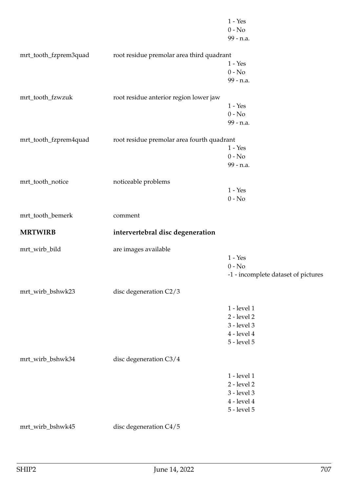|                       |                                            | $1 - Yes$                           |
|-----------------------|--------------------------------------------|-------------------------------------|
|                       |                                            | $0 - No$                            |
|                       |                                            | 99 - n.a.                           |
|                       |                                            |                                     |
| mrt_tooth_fzprem3quad | root residue premolar area third quadrant  |                                     |
|                       |                                            | $1 - Yes$                           |
|                       |                                            | $0 - No$                            |
|                       |                                            | 99 - n.a.                           |
| mrt_tooth_fzwzuk      | root residue anterior region lower jaw     |                                     |
|                       |                                            | $1 - Yes$                           |
|                       |                                            | $0 - No$                            |
|                       |                                            | 99 - n.a.                           |
|                       |                                            |                                     |
| mrt_tooth_fzprem4quad | root residue premolar area fourth quadrant |                                     |
|                       |                                            | $1 - Yes$                           |
|                       |                                            | $0 - No$                            |
|                       |                                            | 99 - n.a.                           |
|                       |                                            |                                     |
| mrt_tooth_notice      | noticeable problems                        |                                     |
|                       |                                            | $1 - Yes$                           |
|                       |                                            | $0 - No$                            |
| mrt_tooth_bemerk      | comment                                    |                                     |
| <b>MRTWIRB</b>        |                                            |                                     |
|                       | intervertebral disc degeneration           |                                     |
| mrt_wirb_bild         | are images available                       |                                     |
|                       |                                            | $1 - Yes$                           |
|                       |                                            | $0 - No$                            |
|                       |                                            | -1 - incomplete dataset of pictures |
|                       |                                            |                                     |
| mrt_wirb_bshwk23      | disc degeneration C2/3                     |                                     |
|                       |                                            |                                     |
|                       |                                            | 1 - level 1<br>2 - level 2          |
|                       |                                            | 3 - level 3                         |
|                       |                                            |                                     |
|                       |                                            | $4$ - level $4$                     |
|                       |                                            | $5$ - level $5$                     |
| mrt_wirb_bshwk34      | disc degeneration C3/4                     |                                     |
|                       |                                            |                                     |
|                       |                                            |                                     |
|                       |                                            | 1 - level 1                         |
|                       |                                            | 2 - level 2                         |
|                       |                                            | 3 - level 3                         |
|                       |                                            | $4$ - level $4$                     |
|                       |                                            | $5$ - level $5$                     |
| mrt_wirb_bshwk45      | disc degeneration C4/5                     |                                     |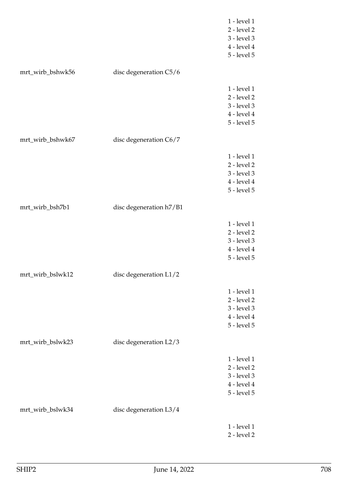|                  |                          | 1 - level 1     |
|------------------|--------------------------|-----------------|
|                  |                          | 2 - level 2     |
|                  |                          | 3 - level 3     |
|                  |                          | $4$ - level $4$ |
|                  |                          | 5 - level 5     |
|                  |                          |                 |
| mrt_wirb_bshwk56 | disc degeneration C5/6   |                 |
|                  |                          | 1 - level 1     |
|                  |                          | $2$ - level $2$ |
|                  |                          | 3 - level 3     |
|                  |                          | 4 - level 4     |
|                  |                          | 5 - level 5     |
| mrt_wirb_bshwk67 | disc degeneration C6/7   |                 |
|                  |                          |                 |
|                  |                          | 1 - level 1     |
|                  |                          | 2 - level 2     |
|                  |                          | 3 - level 3     |
|                  |                          | $4$ - level $4$ |
|                  |                          | 5 - level 5     |
| mrt_wirb_bsh7b1  | disc degeneration h7/B1  |                 |
|                  |                          | 1 - level 1     |
|                  |                          | $2$ - level $2$ |
|                  |                          | 3 - level 3     |
|                  |                          | $4$ - level $4$ |
|                  |                          | 5 - level 5     |
|                  |                          |                 |
| mrt_wirb_bslwk12 | disc degeneration $L1/2$ |                 |
|                  |                          | 1 - level 1     |
|                  |                          | 2 - level 2     |
|                  |                          | 3 - level 3     |
|                  |                          | 4 - level 4     |
|                  |                          | 5 - level 5     |
| mrt_wirb_bslwk23 | disc degeneration L2/3   |                 |
|                  |                          | 1 - level 1     |
|                  |                          | $2$ - level $2$ |
|                  |                          | 3 - level 3     |
|                  |                          | 4 - level 4     |
|                  |                          | 5 - level 5     |
|                  |                          |                 |
| mrt_wirb_bslwk34 | disc degeneration L3/4   |                 |
|                  |                          | 1 - level 1     |
|                  |                          | 2 - level 2     |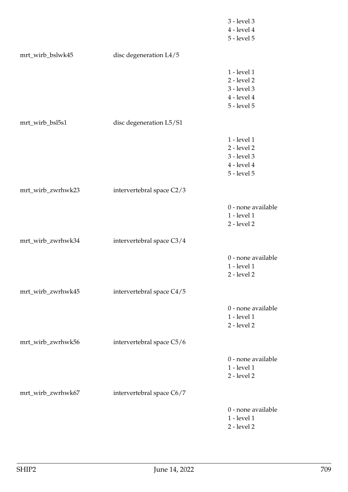|                   |                           | 3 - level 3                       |
|-------------------|---------------------------|-----------------------------------|
|                   |                           | $4$ - level $4$                   |
|                   |                           | 5 - level 5                       |
| mrt_wirb_bslwk45  | disc degeneration L4/5    |                                   |
|                   |                           | 1 - level 1                       |
|                   |                           | 2 - level 2                       |
|                   |                           | 3 - level 3                       |
|                   |                           | $4$ - level $4$                   |
|                   |                           | 5 - level 5                       |
| mrt_wirb_bsl5s1   | disc degeneration L5/S1   |                                   |
|                   |                           | 1 - level 1                       |
|                   |                           | $2$ - level $2$                   |
|                   |                           | 3 - level 3                       |
|                   |                           | $4$ - level $4$                   |
|                   |                           | $5$ - level $5$                   |
| mrt_wirb_zwrhwk23 | intervertebral space C2/3 |                                   |
|                   |                           |                                   |
|                   |                           | 0 - none available                |
|                   |                           | 1 - level 1                       |
|                   |                           | 2 - level 2                       |
| mrt_wirb_zwrhwk34 | intervertebral space C3/4 |                                   |
|                   |                           | 0 - none available                |
|                   |                           | 1 - level 1                       |
|                   |                           | 2 - level 2                       |
| mrt_wirb_zwrhwk45 | intervertebral space C4/5 |                                   |
|                   |                           |                                   |
|                   |                           | 0 - none available                |
|                   |                           | 1 - level 1                       |
|                   |                           | 2 - level 2                       |
| mrt_wirb_zwrhwk56 | intervertebral space C5/6 |                                   |
|                   |                           | 0 - none available                |
|                   |                           | 1 - level 1                       |
|                   |                           | $2$ - level $2$                   |
| mrt_wirb_zwrhwk67 | intervertebral space C6/7 |                                   |
|                   |                           |                                   |
|                   |                           | 0 - none available<br>1 - level 1 |
|                   |                           | 2 - level 2                       |
|                   |                           |                                   |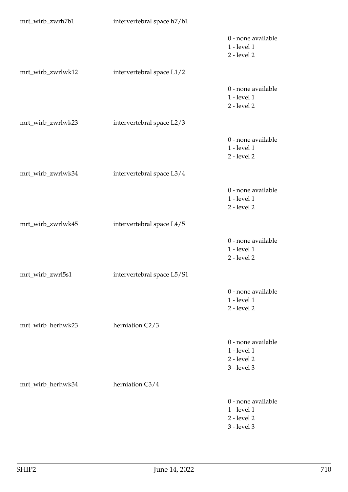| mrt_wirb_zwrh7b1  | intervertebral space h7/b1 |                                                                     |
|-------------------|----------------------------|---------------------------------------------------------------------|
|                   |                            | 0 - none available<br>1 - level 1<br>2 - level 2                    |
| mrt_wirb_zwrlwk12 | intervertebral space L1/2  |                                                                     |
|                   |                            | 0 - none available<br>$1$ - level $1$<br>2 - level 2                |
| mrt_wirb_zwrlwk23 | intervertebral space L2/3  |                                                                     |
|                   |                            | 0 - none available<br>$1$ - level $1$<br>2 - level 2                |
| mrt_wirb_zwrlwk34 | intervertebral space L3/4  |                                                                     |
|                   |                            | 0 - none available<br>$1$ - level $1$<br>2 - level 2                |
| mrt_wirb_zwrlwk45 | intervertebral space L4/5  |                                                                     |
|                   |                            | 0 - none available<br>$1$ - level $1$<br>2 - level 2                |
| mrt_wirb_zwrl5s1  | intervertebral space L5/S1 |                                                                     |
|                   |                            | 0 - none available<br>1 - level 1<br>$2$ - level $2$                |
| mrt_wirb_herhwk23 | herniation C2/3            |                                                                     |
|                   |                            | 0 - none available<br>1 - level 1<br>$2$ - level $2$<br>3 - level 3 |
| mrt_wirb_herhwk34 | herniation C3/4            |                                                                     |
|                   |                            | 0 - none available<br>1 - level 1<br>$2$ - level $2$<br>3 - level 3 |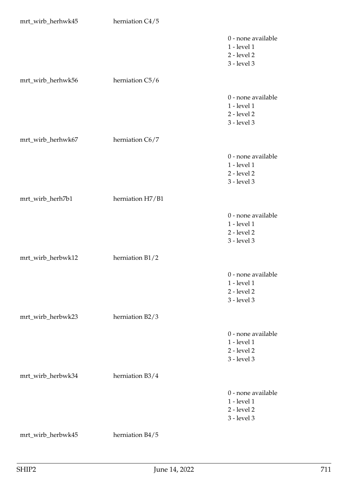| mrt_wirb_herhwk45 | herniation C4/5  |                                                                             |
|-------------------|------------------|-----------------------------------------------------------------------------|
|                   |                  | 0 - none available<br>1 - level 1<br>$2$ - level $2$<br>3 - level 3         |
| mrt_wirb_herhwk56 | herniation C5/6  |                                                                             |
|                   |                  | 0 - none available<br>1 - level 1<br>$2$ - level $2$<br>3 - level 3         |
| mrt_wirb_herhwk67 | herniation C6/7  |                                                                             |
|                   |                  | 0 - none available<br>1 - level 1<br>$2$ - level $2$<br>3 - level 3         |
| mrt_wirb_herh7b1  | herniation H7/B1 |                                                                             |
|                   |                  | 0 - none available<br>1 - level 1<br>$2$ - level $2$<br>3 - level 3         |
| mrt_wirb_herbwk12 | herniation B1/2  |                                                                             |
|                   |                  | 0 - none available<br>$1$ - level $1$<br>$2$ - level $2$<br>3 - level 3     |
| mrt_wirb_herbwk23 | herniation B2/3  |                                                                             |
|                   |                  | 0 - none available<br>$1$ - level $1$<br>$2$ - level $2$<br>$3$ - level $3$ |
| mrt_wirb_herbwk34 | herniation B3/4  |                                                                             |
|                   |                  | 0 - none available<br>1 - level 1<br>$2$ - level $2$<br>3 - level 3         |
| mrt_wirb_herbwk45 | herniation B4/5  |                                                                             |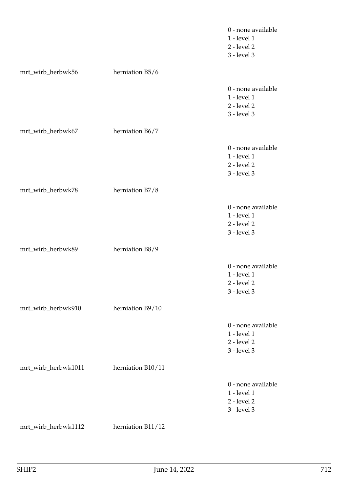|                     |                   | 0 - none available<br>1 - level 1<br>$2$ - level $2$<br>3 - level 3 |
|---------------------|-------------------|---------------------------------------------------------------------|
| mrt_wirb_herbwk56   | herniation B5/6   |                                                                     |
|                     |                   | 0 - none available<br>1 - level 1<br>$2$ - level $2$<br>3 - level 3 |
| mrt_wirb_herbwk67   | herniation B6/7   |                                                                     |
|                     |                   | 0 - none available<br>1 - level 1<br>$2$ - level $2$<br>3 - level 3 |
| mrt_wirb_herbwk78   | herniation B7/8   |                                                                     |
|                     |                   | 0 - none available<br>1 - level 1<br>$2$ - level $2$<br>3 - level 3 |
| mrt_wirb_herbwk89   | herniation B8/9   |                                                                     |
|                     |                   | 0 - none available<br>1 - level 1<br>2 - level 2<br>$3$ - level $3$ |
| mrt_wirb_herbwk910  | herniation B9/10  |                                                                     |
|                     |                   | 0 - none available<br>1 - level 1<br>$2$ - level $2$<br>3 - level 3 |
| mrt_wirb_herbwk1011 | herniation B10/11 |                                                                     |
|                     |                   | 0 - none available<br>1 - level 1<br>$2$ - level $2$<br>3 - level 3 |
| mrt_wirb_herbwk1112 | herniation B11/12 |                                                                     |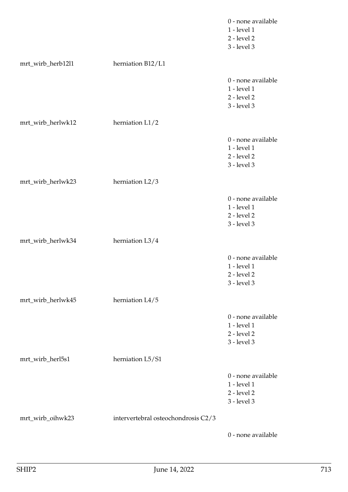|                   |                                     | 0 - none available<br>1 - level 1<br>$2$ - level $2$<br>3 - level 3 |
|-------------------|-------------------------------------|---------------------------------------------------------------------|
| mrt_wirb_herb12l1 | herniation B12/L1                   |                                                                     |
|                   |                                     | 0 - none available<br>1 - level 1<br>$2$ - level $2$<br>3 - level 3 |
| mrt_wirb_herlwk12 | herniation L1/2                     |                                                                     |
|                   |                                     | 0 - none available<br>1 - level 1<br>$2$ - level $2$<br>3 - level 3 |
| mrt_wirb_herlwk23 | herniation L2/3                     |                                                                     |
|                   |                                     | 0 - none available<br>1 - level 1<br>$2$ - level $2$<br>3 - level 3 |
| mrt_wirb_herlwk34 | herniation L3/4                     |                                                                     |
|                   |                                     | 0 - none available<br>1 - level 1<br>2 - level 2<br>3 - level 3     |
| mrt_wirb_herlwk45 | herniation L4/5                     |                                                                     |
|                   |                                     | 0 - none available<br>1 - level 1<br>$2$ - level $2$<br>3 - level 3 |
| mrt_wirb_herl5s1  | herniation L5/S1                    |                                                                     |
|                   |                                     | 0 - none available<br>1 - level 1<br>2 - level 2<br>3 - level 3     |
| mrt_wirb_oihwk23  | intervertebral osteochondrosis C2/3 |                                                                     |
|                   |                                     | 0 - none available                                                  |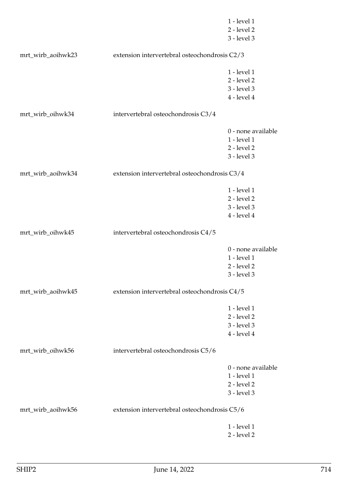|                   |                                               | 1 - level 1        |
|-------------------|-----------------------------------------------|--------------------|
|                   |                                               | 2 - level 2        |
|                   |                                               | 3 - level 3        |
| mrt_wirb_aoihwk23 | extension intervertebral osteochondrosis C2/3 |                    |
|                   |                                               | 1 - level 1        |
|                   |                                               | 2 - level 2        |
|                   |                                               | 3 - level 3        |
|                   |                                               | $4$ - level $4$    |
| mrt_wirb_oihwk34  | intervertebral osteochondrosis C3/4           |                    |
|                   |                                               | 0 - none available |
|                   |                                               | 1 - level 1        |
|                   |                                               | $2$ - level $2$    |
|                   |                                               | 3 - level 3        |
| mrt_wirb_aoihwk34 | extension intervertebral osteochondrosis C3/4 |                    |
|                   |                                               |                    |
|                   |                                               | 1 - level 1        |
|                   |                                               | 2 - level 2        |
|                   |                                               | 3 - level 3        |
|                   |                                               | $4$ - level $4$    |
| mrt_wirb_oihwk45  | intervertebral osteochondrosis C4/5           |                    |
|                   |                                               | 0 - none available |
|                   |                                               | 1 - level 1        |
|                   |                                               | $2$ - level $2$    |
|                   |                                               | 3 - level 3        |
| mrt_wirb_aoihwk45 | extension intervertebral osteochondrosis C4/5 |                    |
|                   |                                               | 1 - level 1        |
|                   |                                               | $2$ - level $2$    |
|                   |                                               |                    |
|                   |                                               | 3 - level 3        |
|                   |                                               | $4$ - level $4$    |
| mrt_wirb_oihwk56  | intervertebral osteochondrosis C5/6           |                    |
|                   |                                               | 0 - none available |
|                   |                                               | 1 - level 1        |
|                   |                                               | 2 - level 2        |
|                   |                                               | 3 - level 3        |
| mrt_wirb_aoihwk56 | extension intervertebral osteochondrosis C5/6 |                    |
|                   |                                               | 1 - level 1        |
|                   |                                               | 2 - level 2        |
|                   |                                               |                    |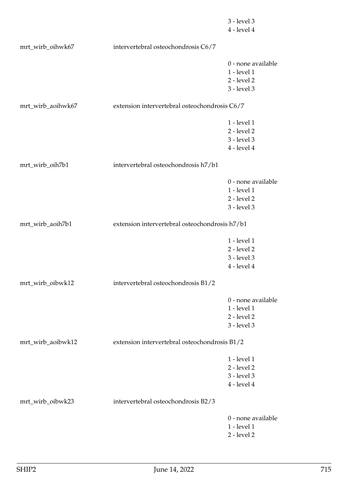|                   |                                                | 3 - level 3        |
|-------------------|------------------------------------------------|--------------------|
|                   |                                                | $4$ - level $4$    |
| mrt_wirb_oihwk67  | intervertebral osteochondrosis C6/7            |                    |
|                   |                                                |                    |
|                   |                                                | 0 - none available |
|                   |                                                | 1 - level 1        |
|                   |                                                | $2$ - level $2$    |
|                   |                                                | 3 - level 3        |
| mrt_wirb_aoihwk67 | extension intervertebral osteochondrosis C6/7  |                    |
|                   |                                                |                    |
|                   |                                                | 1 - level 1        |
|                   |                                                | $2$ - level $2$    |
|                   |                                                | 3 - level 3        |
|                   |                                                | $4$ - level $4$    |
| mrt_wirb_oih7b1   | intervertebral osteochondrosis h7/b1           |                    |
|                   |                                                | 0 - none available |
|                   |                                                | 1 - level 1        |
|                   |                                                | $2$ - level $2$    |
|                   |                                                | 3 - level 3        |
|                   |                                                |                    |
| mrt_wirb_aoih7b1  | extension intervertebral osteochondrosis h7/b1 |                    |
|                   |                                                | 1 - level 1        |
|                   |                                                | 2 - level 2        |
|                   |                                                | 3 - level 3        |
|                   |                                                | $4$ - level $4$    |
|                   |                                                |                    |
| mrt_wirb_oibwk12  | intervertebral osteochondrosis B1/2            |                    |
|                   |                                                | 0 - none available |
|                   |                                                | 1 - level 1        |
|                   |                                                | 2 - level 2        |
|                   |                                                | 3 - level 3        |
| mrt_wirb_aoibwk12 | extension intervertebral osteochondrosis B1/2  |                    |
|                   |                                                |                    |
|                   |                                                | 1 - level 1        |
|                   |                                                | 2 - level 2        |
|                   |                                                | 3 - level 3        |
|                   |                                                | $4$ - level $4$    |
| mrt_wirb_oibwk23  | intervertebral osteochondrosis B2/3            |                    |
|                   |                                                | 0 - none available |
|                   |                                                | 1 - level 1        |
|                   |                                                | 2 - level 2        |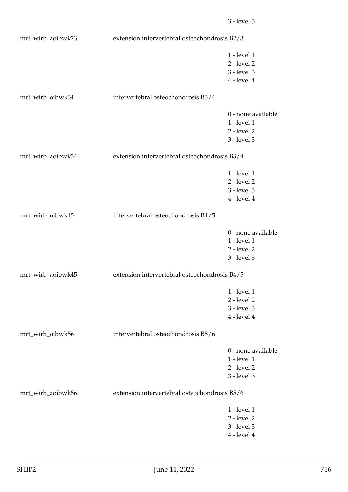| mrt_wirb_aoibwk23 | extension intervertebral osteochondrosis B2/3 |                                |
|-------------------|-----------------------------------------------|--------------------------------|
|                   |                                               | 1 - level 1                    |
|                   |                                               | 2 - level 2                    |
|                   |                                               | 3 - level 3                    |
|                   |                                               | $4$ - level $4$                |
| mrt_wirb_oibwk34  | intervertebral osteochondrosis B3/4           |                                |
|                   |                                               | 0 - none available             |
|                   |                                               | 1 - level 1                    |
|                   |                                               | $2$ - level $2$                |
|                   |                                               | 3 - level 3                    |
| mrt_wirb_aoibwk34 | extension intervertebral osteochondrosis B3/4 |                                |
|                   |                                               |                                |
|                   |                                               | 1 - level 1                    |
|                   |                                               | 2 - level 2                    |
|                   |                                               | 3 - level 3                    |
|                   |                                               | $4$ - level $4$                |
| mrt_wirb_oibwk45  | intervertebral osteochondrosis B4/5           |                                |
|                   |                                               | 0 - none available             |
|                   |                                               | 1 - level 1                    |
|                   |                                               | $2$ - level $2$                |
|                   |                                               | $3$ - level $3$                |
| mrt_wirb_aoibwk45 | extension intervertebral osteochondrosis B4/5 |                                |
|                   |                                               |                                |
|                   |                                               | 1 - level 1                    |
|                   |                                               | $2$ - level $2$                |
|                   |                                               | 3 - level 3<br>$4$ - level $4$ |
|                   |                                               |                                |
| mrt_wirb_oibwk56  | intervertebral osteochondrosis B5/6           |                                |
|                   |                                               | 0 - none available             |
|                   |                                               | 1 - level 1                    |
|                   |                                               | $2$ - level $2$                |
|                   |                                               | 3 - level 3                    |
| mrt_wirb_aoibwk56 | extension intervertebral osteochondrosis B5/6 |                                |
|                   |                                               | 1 - level 1                    |
|                   |                                               | $2$ - level $2$                |
|                   |                                               | 3 - level 3                    |
|                   |                                               | 4 - level 4                    |
|                   |                                               |                                |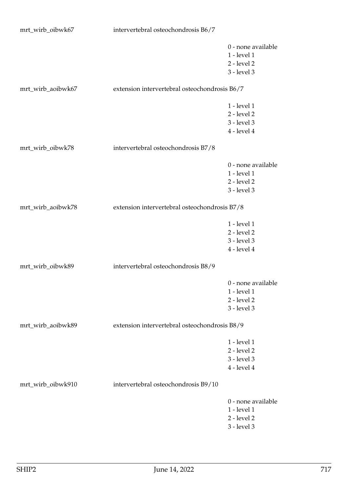| mrt_wirb_oibwk67  | intervertebral osteochondrosis B6/7           |                    |
|-------------------|-----------------------------------------------|--------------------|
|                   |                                               | 0 - none available |
|                   |                                               | 1 - level 1        |
|                   |                                               | $2$ - level $2$    |
|                   |                                               | 3 - level 3        |
|                   |                                               |                    |
| mrt_wirb_aoibwk67 | extension intervertebral osteochondrosis B6/7 |                    |
|                   |                                               | 1 - level 1        |
|                   |                                               | 2 - level 2        |
|                   |                                               | 3 - level 3        |
|                   |                                               | $4$ - level $4$    |
|                   |                                               |                    |
| mrt_wirb_oibwk78  | intervertebral osteochondrosis B7/8           |                    |
|                   |                                               | 0 - none available |
|                   |                                               | 1 - level 1        |
|                   |                                               | 2 - level 2        |
|                   |                                               | 3 - level 3        |
|                   |                                               |                    |
| mrt_wirb_aoibwk78 | extension intervertebral osteochondrosis B7/8 |                    |
|                   |                                               |                    |
|                   |                                               | 1 - level 1        |
|                   |                                               | $2$ - level $2$    |
|                   |                                               | 3 - level 3        |
|                   |                                               | $4$ - level $4$    |
| mrt_wirb_oibwk89  | intervertebral osteochondrosis B8/9           |                    |
|                   |                                               | 0 - none available |
|                   |                                               | 1 - level 1        |
|                   |                                               | 2 - level 2        |
|                   |                                               | 3 - level 3        |
|                   |                                               |                    |
| mrt_wirb_aoibwk89 | extension intervertebral osteochondrosis B8/9 |                    |
|                   |                                               | 1 - level 1        |
|                   |                                               | $2$ - level $2$    |
|                   |                                               | 3 - level 3        |
|                   |                                               | $4$ - level $4$    |
| mrt_wirb_oibwk910 | intervertebral osteochondrosis B9/10          |                    |
|                   |                                               |                    |
|                   |                                               | 0 - none available |
|                   |                                               | 1 - level 1        |
|                   |                                               | 2 - level 2        |

3 - level 3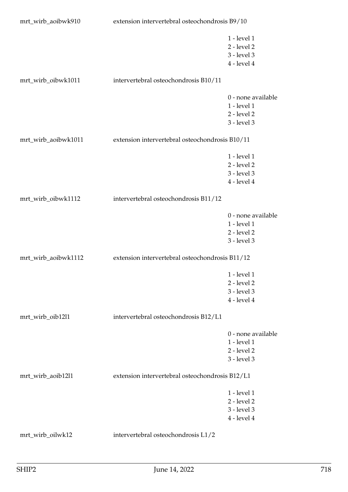| mrt_wirb_aoibwk910  | extension intervertebral osteochondrosis B9/10  |                    |
|---------------------|-------------------------------------------------|--------------------|
|                     |                                                 | 1 - level 1        |
|                     |                                                 | $2$ - level $2$    |
|                     |                                                 | 3 - level 3        |
|                     |                                                 | $4$ - level $4$    |
| mrt_wirb_oibwk1011  | intervertebral osteochondrosis B10/11           |                    |
|                     |                                                 | 0 - none available |
|                     |                                                 | 1 - level 1        |
|                     |                                                 | 2 - level 2        |
|                     |                                                 | 3 - level 3        |
| mrt_wirb_aoibwk1011 | extension intervertebral osteochondrosis B10/11 |                    |
|                     |                                                 | 1 - level 1        |
|                     |                                                 | 2 - level 2        |
|                     |                                                 | 3 - level 3        |
|                     |                                                 | $4$ - level $4$    |
| mrt_wirb_oibwk1112  | intervertebral osteochondrosis B11/12           |                    |
|                     |                                                 | 0 - none available |
|                     |                                                 | 1 - level 1        |
|                     |                                                 | $2$ - level $2$    |
|                     |                                                 | 3 - level 3        |
| mrt_wirb_aoibwk1112 | extension intervertebral osteochondrosis B11/12 |                    |
|                     |                                                 | 1 - level 1        |
|                     |                                                 | 2 - level 2        |
|                     |                                                 | 3 - level 3        |
|                     |                                                 | $4$ - level $4$    |
| mrt_wirb_oib12l1    | intervertebral osteochondrosis B12/L1           |                    |
|                     |                                                 | 0 - none available |
|                     |                                                 | 1 - level 1        |
|                     |                                                 | 2 - level 2        |
|                     |                                                 | 3 - level 3        |
| mrt_wirb_aoib12l1   | extension intervertebral osteochondrosis B12/L1 |                    |
|                     |                                                 | 1 - level 1        |
|                     |                                                 | $2$ - level $2$    |
|                     |                                                 | 3 - level 3        |
|                     |                                                 | $4$ - level $4$    |
| mrt_wirb_oilwk12    | intervertebral osteochondrosis L1/2             |                    |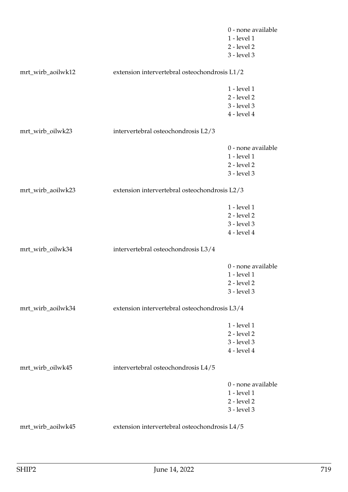|                   |                                               | 0 - none available |
|-------------------|-----------------------------------------------|--------------------|
|                   |                                               | 1 - level 1        |
|                   |                                               | $2$ - level $2$    |
|                   |                                               | 3 - level 3        |
| mrt_wirb_aoilwk12 | extension intervertebral osteochondrosis L1/2 |                    |
|                   |                                               | $1$ - level $1$    |
|                   |                                               | 2 - level 2        |
|                   |                                               | 3 - level 3        |
|                   |                                               | $4$ - level $4$    |
|                   |                                               |                    |
| mrt_wirb_oilwk23  | intervertebral osteochondrosis L2/3           |                    |
|                   |                                               | 0 - none available |
|                   |                                               | 1 - level 1        |
|                   |                                               | $2$ - level $2$    |
|                   |                                               | 3 - level 3        |
| mrt_wirb_aoilwk23 | extension intervertebral osteochondrosis L2/3 |                    |
|                   |                                               | 1 - level 1        |
|                   |                                               | $2$ - level $2$    |
|                   |                                               | 3 - level 3        |
|                   |                                               | $4$ - level $4$    |
|                   |                                               |                    |
| mrt_wirb_oilwk34  | intervertebral osteochondrosis L3/4           |                    |
|                   |                                               | 0 - none available |
|                   |                                               | 1 - level 1        |
|                   |                                               | 2 - level 2        |
|                   |                                               | 3 - level 3        |
| mrt_wirb_aoilwk34 | extension intervertebral osteochondrosis L3/4 |                    |
|                   |                                               |                    |
|                   |                                               | 1 - level 1        |
|                   |                                               | $2$ - level $2$    |
|                   |                                               | 3 - level 3        |
|                   |                                               | $4$ - level $4$    |
| mrt_wirb_oilwk45  | intervertebral osteochondrosis L4/5           |                    |
|                   |                                               | 0 - none available |
|                   |                                               | 1 - level 1        |
|                   |                                               | $2$ - level $2$    |
|                   |                                               | 3 - level 3        |
| mrt_wirb_aoilwk45 | extension intervertebral osteochondrosis L4/5 |                    |
|                   |                                               |                    |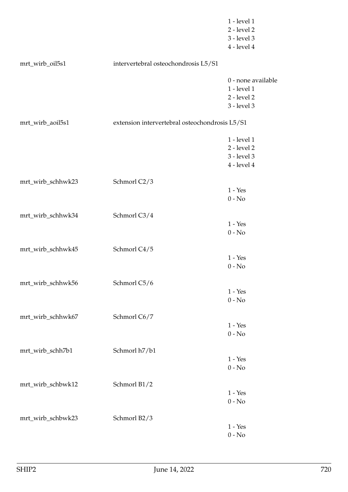|                   |                                                | 1 - level 1<br>2 - level 2<br>3 - level 3<br>$4$ - level $4$        |
|-------------------|------------------------------------------------|---------------------------------------------------------------------|
| mrt_wirb_oil5s1   | intervertebral osteochondrosis L5/S1           |                                                                     |
|                   |                                                | 0 - none available<br>1 - level 1<br>$2$ - level $2$<br>3 - level 3 |
| mrt_wirb_aoil5s1  | extension intervertebral osteochondrosis L5/S1 |                                                                     |
|                   |                                                | 1 - level 1<br>$2$ - level $2$<br>3 - level 3<br>$4$ - level $4$    |
| mrt_wirb_schhwk23 | Schmorl C2/3                                   | $1 - Yes$<br>$0 - No$                                               |
| mrt_wirb_schhwk34 | Schmorl C3/4                                   | $1 - Yes$<br>$0 - No$                                               |
| mrt_wirb_schhwk45 | Schmorl C4/5                                   | $1 - Yes$<br>$0 - No$                                               |
| mrt_wirb_schhwk56 | Schmorl C5/6                                   | $1 - Yes$<br>$0 - No$                                               |
| mrt_wirb_schhwk67 | Schmorl C6/7                                   | $1 - Yes$<br>$0 - No$                                               |
| mrt_wirb_schh7b1  | Schmorl h7/b1                                  | $1 - Yes$<br>$0 - No$                                               |
| mrt_wirb_schbwk12 | Schmorl B1/2                                   | $1 - Yes$<br>$0 - No$                                               |
| mrt_wirb_schbwk23 | Schmorl B2/3                                   | $1 - Yes$<br>$0 - No$                                               |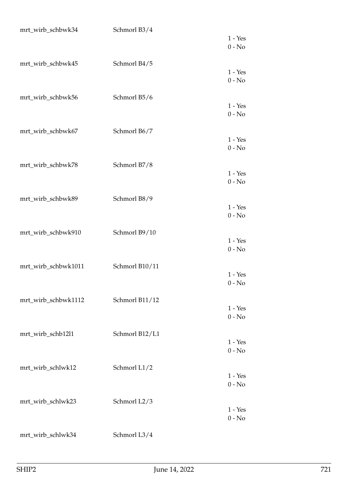| mrt_wirb_schbwk34   | Schmorl B3/4   |                       |
|---------------------|----------------|-----------------------|
|                     |                | $1 - Yes$<br>$0 - No$ |
| mrt_wirb_schbwk45   | Schmorl B4/5   | $1 - Yes$<br>$0 - No$ |
| mrt_wirb_schbwk56   | Schmorl B5/6   | $1 - Yes$<br>$0 - No$ |
| mrt_wirb_schbwk67   | Schmorl B6/7   | $1 - Yes$<br>$0 - No$ |
| mrt_wirb_schbwk78   | Schmorl B7/8   | $1 - Yes$<br>$0 - No$ |
| mrt_wirb_schbwk89   | Schmorl B8/9   | $1 - Yes$<br>$0 - No$ |
| mrt_wirb_schbwk910  | Schmorl B9/10  | $1 - Yes$<br>$0 - No$ |
| mrt_wirb_schbwk1011 | Schmorl B10/11 | $1 - Yes$<br>$0 - No$ |
| mrt_wirb_schbwk1112 | Schmorl B11/12 | $1 - Yes$<br>$0 - No$ |
| mrt_wirb_schb12l1   | Schmorl B12/L1 | $1 - Yes$<br>$0 - No$ |
| mrt_wirb_schlwk12   | Schmorl L1/2   | $1 - Yes$<br>$0 - No$ |
| mrt_wirb_schlwk23   | Schmorl L2/3   | $1 - Yes$<br>$0 - No$ |
| mrt_wirb_schlwk34   | Schmorl L3/4   |                       |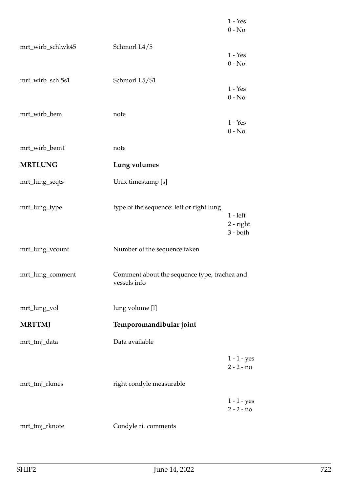|                   |                                                              | $1 - Yes$<br>$0 - No$                   |
|-------------------|--------------------------------------------------------------|-----------------------------------------|
| mrt_wirb_schlwk45 | Schmorl L4/5                                                 | $1 - Yes$<br>$0 - No$                   |
| mrt_wirb_schl5s1  | Schmorl L5/S1                                                | $1 - Yes$<br>$0 - No$                   |
| mrt_wirb_bem      | note                                                         | $1 - Yes$<br>$0 - No$                   |
| mrt_wirb_bem1     | note                                                         |                                         |
| <b>MRTLUNG</b>    | Lung volumes                                                 |                                         |
| mrt_lung_seqts    | Unix timestamp [s]                                           |                                         |
| mrt_lung_type     | type of the sequence: left or right lung                     | $1 - left$<br>$2$ - right<br>$3 - both$ |
| mrt_lung_vcount   | Number of the sequence taken                                 |                                         |
| mrt_lung_comment  | Comment about the sequence type, trachea and<br>vessels info |                                         |
| mrt_lung_vol      | lung volume [l]                                              |                                         |
| <b>MRTTMJ</b>     | Temporomandibular joint                                      |                                         |
| mrt_tmj_data      | Data available                                               |                                         |
|                   |                                                              | $1 - 1 - yes$<br>$2 - 2 - no$           |
| mrt_tmj_rkmes     | right condyle measurable                                     |                                         |
|                   |                                                              | $1 - 1 - yes$<br>$2 - 2 - no$           |
| mrt_tmj_rknote    | Condyle ri. comments                                         |                                         |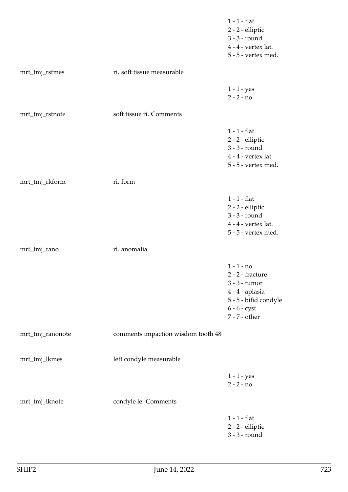|                  |                                    | $1 - 1$ - flat<br>2 - 2 - elliptic<br>3 - 3 - round<br>$4 - 4$ - vertex lat.<br>5 - 5 - vertex med.                                       |
|------------------|------------------------------------|-------------------------------------------------------------------------------------------------------------------------------------------|
| mrt_tmj_rstmes   | ri. soft tissue measurable         |                                                                                                                                           |
|                  |                                    | $1 - 1 - yes$<br>$2 - 2 - no$                                                                                                             |
| mrt_tmj_rstnote  | soft tissue ri. Comments           |                                                                                                                                           |
|                  |                                    | $1 - 1$ - flat<br>$2 - 2$ - elliptic<br>3 - 3 - round<br>$4 - 4$ - vertex lat.<br>5 - 5 - vertex med.                                     |
| mrt_tmj_rkform   | ri. form                           |                                                                                                                                           |
|                  |                                    | $1 - 1$ - flat<br>2 - 2 - elliptic<br>3 - 3 - round<br>$4 - 4$ - vertex lat.<br>5 - 5 - vertex med.                                       |
| mrt_tmj_rano     | ri. anomalia                       |                                                                                                                                           |
|                  |                                    | $1 - 1 - no$<br>2 - 2 - fracture<br>3 - 3 - tumor<br>4 - 4 - aplasia<br>5 - 5 - bifid condyle<br>$6 - 6 - \text{cyst}$<br>$7 - 7$ - other |
| mrt_tmj_ranonote | comments impaction wisdom tooth 48 |                                                                                                                                           |
| mrt_tmj_lkmes    | left condyle measurable            |                                                                                                                                           |
|                  |                                    | $1 - 1 - yes$<br>$2 - 2 - no$                                                                                                             |
| mrt_tmj_lknote   | condyle le. Comments               |                                                                                                                                           |
|                  |                                    | $1 - 1$ - flat<br>2 - 2 - elliptic<br>3 - 3 - round                                                                                       |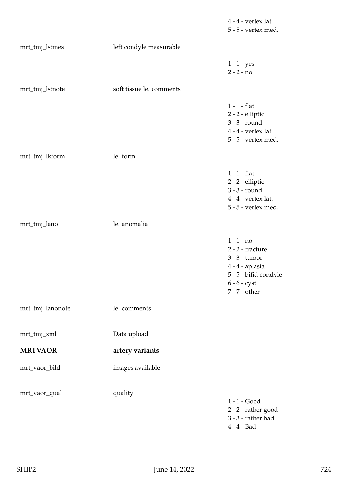|                  |                          | $4 - 4$ - vertex lat.<br>5 - 5 - vertex med.                                                                                              |
|------------------|--------------------------|-------------------------------------------------------------------------------------------------------------------------------------------|
| mrt_tmj_lstmes   | left condyle measurable  |                                                                                                                                           |
|                  |                          | $1 - 1 - yes$<br>$2 - 2 - no$                                                                                                             |
| mrt_tmj_lstnote  | soft tissue le. comments |                                                                                                                                           |
|                  |                          | $1 - 1$ - flat<br>$2$ - $2$ - $\operatorname{elliptic}$<br>3 - 3 - round<br>$4 - 4$ - vertex lat.<br>5 - 5 - vertex med.                  |
| mrt_tmj_lkform   | le. form                 |                                                                                                                                           |
|                  |                          | $1 - 1$ - flat<br>2 - 2 - elliptic<br>3 - 3 - round<br>$4 - 4$ - vertex lat.<br>5 - 5 - vertex med.                                       |
| mrt_tmj_lano     | le. anomalia             |                                                                                                                                           |
|                  |                          | $1 - 1 - no$<br>2 - 2 - fracture<br>3 - 3 - tumor<br>4 - 4 - aplasia<br>5 - 5 - bifid condyle<br>$6 - 6 - \text{cyst}$<br>$7 - 7$ - other |
| mrt_tmj_lanonote | le. comments             |                                                                                                                                           |
| mrt_tmj_xml      | Data upload              |                                                                                                                                           |
| <b>MRTVAOR</b>   | artery variants          |                                                                                                                                           |
| mrt_vaor_bild    | images available         |                                                                                                                                           |
| mrt_vaor_qual    | quality                  | $1 - 1 - Good$<br>2 - 2 - rather good<br>$3 - 3$ - rather bad<br>$4 - 4 - Bad$                                                            |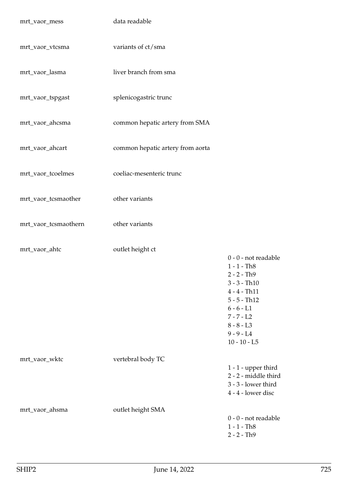| mrt_vaor_mess        | data readable                    |                                                                                                                                                                                                |
|----------------------|----------------------------------|------------------------------------------------------------------------------------------------------------------------------------------------------------------------------------------------|
| mrt_vaor_vtcsma      | variants of ct/sma               |                                                                                                                                                                                                |
| mrt_vaor_lasma       | liver branch from sma            |                                                                                                                                                                                                |
| mrt_vaor_tspgast     | splenicogastric trunc            |                                                                                                                                                                                                |
| mrt_vaor_ahcsma      | common hepatic artery from SMA   |                                                                                                                                                                                                |
| mrt_vaor_ahcart      | common hepatic artery from aorta |                                                                                                                                                                                                |
| mrt_vaor_tcoelmes    | coeliac-mesenteric trunc         |                                                                                                                                                                                                |
| mrt_vaor_tcsmaother  | other variants                   |                                                                                                                                                                                                |
| mrt_vaor_tcsmaothern | other variants                   |                                                                                                                                                                                                |
| mrt_vaor_ahtc        | outlet height ct                 | 0 - 0 - not readable<br>$1 - 1 - Th8$<br>$2 - 2 - Th9$<br>$3 - 3 - Th10$<br>$4 - 4 - Th11$<br>$5 - 5 - Th12$<br>$6 - 6 - L1$<br>$7 - 7 - L2$<br>$8 - 8 - L3$<br>$9 - 9 - L4$<br>$10 - 10 - L5$ |
| mrt_vaor_wktc        | vertebral body TC                | $1 - 1$ - upper third<br>2 - 2 - middle third<br>$3 - 3$ - lower third<br>4 - 4 - lower disc                                                                                                   |
| mrt_vaor_ahsma       | outlet height SMA                | $0 - 0$ - not readable<br>$1 - 1 - Th8$<br>$2 - 2 - Th9$                                                                                                                                       |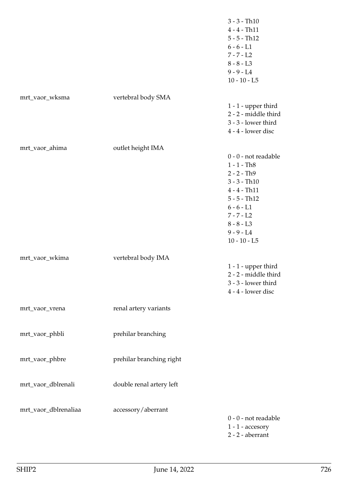|                      |                          | $3 - 3 - Th10$<br>$4 - 4 - Th11$<br>$5 - 5 - Th12$<br>$6 - 6 - L1$<br>$7 - 7 - L2$<br>$8 - 8 - L3$<br>$9 - 9 - L4$<br>$10 - 10 - L5$                                                             |
|----------------------|--------------------------|--------------------------------------------------------------------------------------------------------------------------------------------------------------------------------------------------|
| mrt_vaor_wksma       | vertebral body SMA       | $1 - 1$ - upper third<br>2 - 2 - middle third<br>3 - 3 - lower third<br>4 - 4 - lower disc                                                                                                       |
| mrt_vaor_ahima       | outlet height IMA        | $0 - 0$ - not readable<br>$1 - 1 - Th8$<br>$2 - 2 - Th9$<br>$3 - 3 - Th10$<br>$4 - 4 - Th11$<br>$5 - 5 - Th12$<br>$6 - 6 - L1$<br>$7 - 7 - L2$<br>$8 - 8 - L3$<br>$9 - 9 - L4$<br>$10 - 10 - L5$ |
| mrt_vaor_wkima       | vertebral body IMA       | $1 - 1$ - upper third<br>2 - 2 - middle third<br>3 - 3 - lower third<br>4 - 4 - lower disc                                                                                                       |
| mrt_vaor_vrena       | renal artery variants    |                                                                                                                                                                                                  |
| mrt_vaor_phbli       | prehilar branching       |                                                                                                                                                                                                  |
| mrt_vaor_phbre       | prehilar branching right |                                                                                                                                                                                                  |
| mrt_vaor_dblrenali   | double renal artery left |                                                                                                                                                                                                  |
| mrt_vaor_dblrenaliaa | accessory/aberrant       | $0 - 0$ - not readable<br>$1 - 1$ - accesory<br>$2 - 2$ - aberrant                                                                                                                               |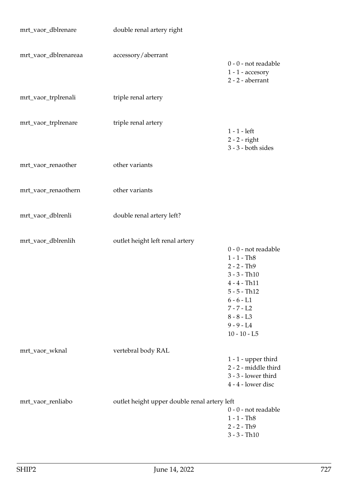| mrt_vaor_dblrenare   | double renal artery right                    |                                                                                                                                                                                                |
|----------------------|----------------------------------------------|------------------------------------------------------------------------------------------------------------------------------------------------------------------------------------------------|
| mrt_vaor_dblrenareaa | accessory/aberrant                           | $0 - 0$ - not readable<br>$1 - 1$ - accesory<br>$2 - 2$ - aberrant                                                                                                                             |
| mrt_vaor_trplrenali  | triple renal artery                          |                                                                                                                                                                                                |
| mrt_vaor_trplrenare  | triple renal artery                          | $1 - 1$ - left<br>$2 - 2 - right$<br>$3 - 3 -$ both sides                                                                                                                                      |
| mrt_vaor_renaother   | other variants                               |                                                                                                                                                                                                |
| mrt_vaor_renaothern  | other variants                               |                                                                                                                                                                                                |
| mrt_vaor_dblrenli    | double renal artery left?                    |                                                                                                                                                                                                |
| mrt_vaor_dblrenlih   | outlet height left renal artery              | 0 - 0 - not readable<br>$1 - 1 - Th8$<br>$2 - 2 - Th9$<br>$3 - 3 - Th10$<br>$4 - 4 - Th11$<br>$5 - 5 - Th12$<br>$6 - 6 - L1$<br>$7 - 7 - L2$<br>$8 - 8 - L3$<br>$9 - 9 - L4$<br>$10 - 10 - L5$ |
| mrt_vaor_wknal       | vertebral body RAL                           | $1 - 1$ - upper third<br>2 - 2 - middle third<br>3 - 3 - lower third<br>4 - 4 - lower disc                                                                                                     |
| mrt_vaor_renliabo    | outlet height upper double renal artery left | 0 - 0 - not readable<br>$1 - 1 - Th8$<br>$2 - 2 - Th9$<br>$3 - 3 - Th10$                                                                                                                       |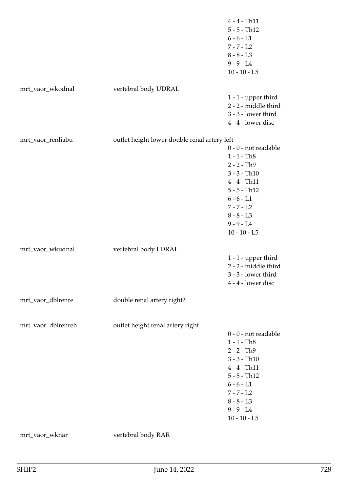|                    |                                              | $4 - 4 - Th11$<br>$5 - 5 - Th12$<br>$6 - 6 - L1$<br>$7 - 7 - L2$<br>$8 - 8 - L3$<br>$9 - 9 - L4$<br>$10 - 10 - L5$                                                                             |
|--------------------|----------------------------------------------|------------------------------------------------------------------------------------------------------------------------------------------------------------------------------------------------|
| mrt_vaor_wkodnal   | vertebral body UDRAL                         |                                                                                                                                                                                                |
|                    |                                              | $1 - 1$ - upper third<br>2 - 2 - middle third<br>3 - 3 - lower third<br>4 - 4 - lower disc                                                                                                     |
| mrt_vaor_renliabu  | outlet height lower double renal artery left |                                                                                                                                                                                                |
|                    |                                              | 0 - 0 - not readable<br>$1 - 1 - Th8$<br>$2 - 2 - Th9$<br>$3 - 3 - Th10$<br>$4 - 4 - Th11$<br>$5 - 5 - Th12$<br>$6 - 6 - L1$<br>$7 - 7 - L2$<br>$8 - 8 - L3$<br>$9 - 9 - L4$<br>$10 - 10 - L5$ |
| mrt_vaor_wkudnal   | vertebral body LDRAL                         |                                                                                                                                                                                                |
|                    |                                              | $1 - 1$ - upper third<br>2 - 2 - middle third<br>3 - 3 - lower third<br>4 - 4 - lower disc                                                                                                     |
| mrt_vaor_dblrenre  | double renal artery right?                   |                                                                                                                                                                                                |
| mrt_vaor_dblrenreh | outlet height renal artery right             | 0 - 0 - not readable<br>$1 - 1 - Th8$<br>$2 - 2 - Th9$<br>$3 - 3 - Th10$<br>$4 - 4 - Th11$<br>$5 - 5 - Th12$<br>$6 - 6 - L1$<br>$7 - 7 - L2$<br>$8 - 8 - L3$<br>$9 - 9 - L4$<br>$10 - 10 - L5$ |
| mrt_vaor_wknar     | vertebral body RAR                           |                                                                                                                                                                                                |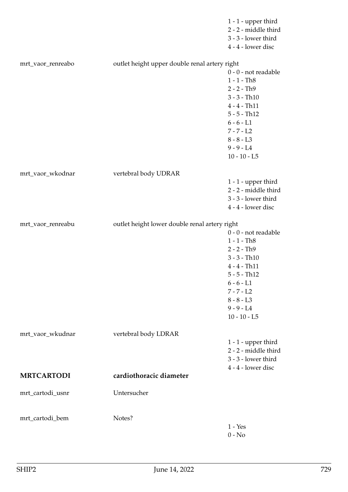|                   |                                               | $1 - 1$ - upper third<br>2 - 2 - middle third<br>3 - 3 - lower third                                                                                                                             |
|-------------------|-----------------------------------------------|--------------------------------------------------------------------------------------------------------------------------------------------------------------------------------------------------|
|                   |                                               | 4 - 4 - lower disc                                                                                                                                                                               |
| mrt_vaor_renreabo | outlet height upper double renal artery right | $0 - 0$ - not readable<br>$1 - 1 - Th8$<br>$2 - 2 - Th9$<br>$3 - 3 - Th10$<br>$4 - 4 - Th11$<br>$5 - 5 - Th12$<br>$6 - 6 - L1$<br>$7 - 7 - L2$<br>$8 - 8 - L3$<br>$9 - 9 - L4$                   |
|                   |                                               | $10 - 10 - L5$                                                                                                                                                                                   |
| mrt_vaor_wkodnar  | vertebral body UDRAR                          | $1 - 1$ - upper third<br>2 - 2 - middle third<br>3 - 3 - lower third<br>4 - 4 - lower disc                                                                                                       |
| mrt_vaor_renreabu | outlet height lower double renal artery right | $0 - 0$ - not readable<br>$1 - 1 - Th8$<br>$2 - 2 - Th9$<br>$3 - 3 - Th10$<br>$4 - 4 - Th11$<br>$5 - 5 - Th12$<br>$6 - 6 - L1$<br>$7 - 7 - L2$<br>$8 - 8 - L3$<br>$9 - 9 - L4$<br>$10 - 10 - L5$ |
| mrt_vaor_wkudnar  | vertebral body LDRAR                          |                                                                                                                                                                                                  |
|                   |                                               | $1 - 1$ - upper third<br>2 - 2 - middle third<br>3 - 3 - lower third<br>4 - 4 - lower disc                                                                                                       |
| <b>MRTCARTODI</b> | cardiothoracic diameter                       |                                                                                                                                                                                                  |
| mrt_cartodi_usnr  | Untersucher                                   |                                                                                                                                                                                                  |
| mrt_cartodi_bem   | Notes?                                        | $1 - Yes$<br>$0 - No$                                                                                                                                                                            |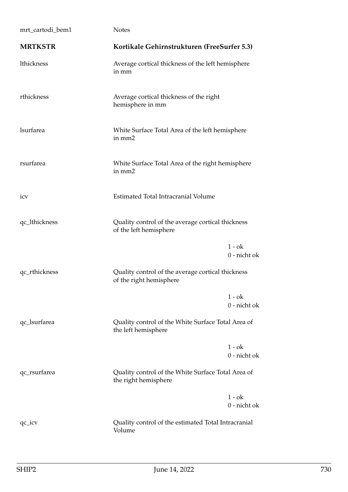| mrt_cartodi_bem1 | <b>Notes</b>                                                                 |                          |
|------------------|------------------------------------------------------------------------------|--------------------------|
| <b>MRTKSTR</b>   | Kortikale Gehirnstrukturen (FreeSurfer 5.3)                                  |                          |
| lthickness       | Average cortical thickness of the left hemisphere<br>in mm                   |                          |
| rthickness       | Average cortical thickness of the right<br>hemisphere in mm                  |                          |
| <b>lsurfarea</b> | White Surface Total Area of the left hemisphere<br>in mm2                    |                          |
| rsurfarea        | White Surface Total Area of the right hemisphere<br>in mm2                   |                          |
| icy              | Estimated Total Intracranial Volume                                          |                          |
| qc_lthickness    | Quality control of the average cortical thickness<br>of the left hemisphere  |                          |
|                  |                                                                              | $1 - ok$<br>0 - nicht ok |
| qc_rthickness    | Quality control of the average cortical thickness<br>of the right hemisphere |                          |
|                  |                                                                              | $1 - ok$<br>0 - nicht ok |
| qc_lsurfarea     | Quality control of the White Surface Total Area of<br>the left hemisphere    |                          |
|                  |                                                                              | $1 - ok$<br>0 - nicht ok |
| qc_rsurfarea     | Quality control of the White Surface Total Area of<br>the right hemisphere   |                          |
|                  |                                                                              | $1 - ok$<br>0 - nicht ok |
| $qc\_icv$        | Quality control of the estimated Total Intracranial<br>Volume                |                          |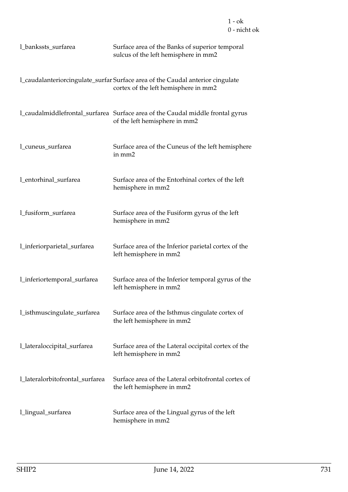| 1_bankssts_surfarea             | Surface area of the Banks of superior temporal<br>sulcus of the left hemisphere in mm2                                 |
|---------------------------------|------------------------------------------------------------------------------------------------------------------------|
|                                 | l_caudalanteriorcingulate_surfar Surface area of the Caudal anterior cingulate<br>cortex of the left hemisphere in mm2 |
|                                 | l_caudalmiddlefrontal_surfarea Surface area of the Caudal middle frontal gyrus<br>of the left hemisphere in mm2        |
| 1_cuneus_surfarea               | Surface area of the Cuneus of the left hemisphere<br>in mm2                                                            |
| l_entorhinal_surfarea           | Surface area of the Entorhinal cortex of the left<br>hemisphere in mm2                                                 |
| l_fusiform_surfarea             | Surface area of the Fusiform gyrus of the left<br>hemisphere in mm2                                                    |
| l_inferiorparietal_surfarea     | Surface area of the Inferior parietal cortex of the<br>left hemisphere in mm2                                          |
| l_inferiortemporal_surfarea     | Surface area of the Inferior temporal gyrus of the<br>left hemisphere in mm2                                           |
| l_isthmuscingulate_surfarea     | Surface area of the Isthmus cingulate cortex of<br>the left hemisphere in mm2                                          |
| l_lateraloccipital_surfarea     | Surface area of the Lateral occipital cortex of the<br>left hemisphere in mm2                                          |
| l_lateralorbitofrontal_surfarea | Surface area of the Lateral orbitofrontal cortex of<br>the left hemisphere in mm2                                      |
| 1_lingual_surfarea              | Surface area of the Lingual gyrus of the left<br>hemisphere in mm2                                                     |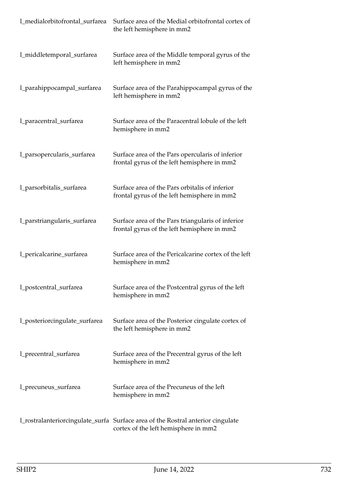| 1_medialorbitofrontal_surfarea | Surface area of the Medial orbitofrontal cortex of<br>the left hemisphere in mm2                                        |
|--------------------------------|-------------------------------------------------------------------------------------------------------------------------|
| l_middletemporal_surfarea      | Surface area of the Middle temporal gyrus of the<br>left hemisphere in mm2                                              |
| l_parahippocampal_surfarea     | Surface area of the Parahippocampal gyrus of the<br>left hemisphere in mm2                                              |
| l_paracentral_surfarea         | Surface area of the Paracentral lobule of the left<br>hemisphere in mm2                                                 |
| l_parsopercularis_surfarea     | Surface area of the Pars opercularis of inferior<br>frontal gyrus of the left hemisphere in mm2                         |
| l_parsorbitalis_surfarea       | Surface area of the Pars orbitalis of inferior<br>frontal gyrus of the left hemisphere in mm2                           |
| 1_parstriangularis_surfarea    | Surface area of the Pars triangularis of inferior<br>frontal gyrus of the left hemisphere in mm2                        |
| 1_pericalcarine_surfarea       | Surface area of the Pericalcarine cortex of the left<br>hemisphere in mm2                                               |
| l_postcentral_surfarea         | Surface area of the Postcentral gyrus of the left<br>hemisphere in mm2                                                  |
| 1_posteriorcingulate_surfarea  | Surface area of the Posterior cingulate cortex of<br>the left hemisphere in mm2                                         |
| l_precentral_surfarea          | Surface area of the Precentral gyrus of the left<br>hemisphere in mm2                                                   |
| 1_precuneus_surfarea           | Surface area of the Precuneus of the left<br>hemisphere in mm2                                                          |
|                                | 1_rostralanteriorcingulate_surfa Surface area of the Rostral anterior cingulate<br>cortex of the left hemisphere in mm2 |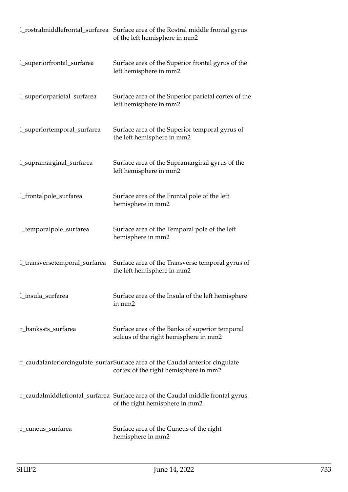|                               | 1_rostralmiddlefrontal_surfarea Surface area of the Rostral middle frontal gyrus<br>of the left hemisphere in mm2      |
|-------------------------------|------------------------------------------------------------------------------------------------------------------------|
| l_superiorfrontal_surfarea    | Surface area of the Superior frontal gyrus of the<br>left hemisphere in mm2                                            |
| l_superiorparietal_surfarea   | Surface area of the Superior parietal cortex of the<br>left hemisphere in mm2                                          |
| l_superiortemporal_surfarea   | Surface area of the Superior temporal gyrus of<br>the left hemisphere in mm2                                           |
| l_supramarginal_surfarea      | Surface area of the Supramarginal gyrus of the<br>left hemisphere in mm2                                               |
| l_frontalpole_surfarea        | Surface area of the Frontal pole of the left<br>hemisphere in mm2                                                      |
| l_temporalpole_surfarea       | Surface area of the Temporal pole of the left<br>hemisphere in mm2                                                     |
| l_transversetemporal_surfarea | Surface area of the Transverse temporal gyrus of<br>the left hemisphere in mm2                                         |
| l_insula_surfarea             | Surface area of the Insula of the left hemisphere<br>in mm2                                                            |
| r_bankssts_surfarea           | Surface area of the Banks of superior temporal<br>sulcus of the right hemisphere in mm2                                |
|                               | r_caudalanteriorcingulate_surfarSurface area of the Caudal anterior cingulate<br>cortex of the right hemisphere in mm2 |
|                               | r_caudalmiddlefrontal_surfarea Surface area of the Caudal middle frontal gyrus<br>of the right hemisphere in mm2       |
| r_cuneus_surfarea             | Surface area of the Cuneus of the right<br>hemisphere in mm2                                                           |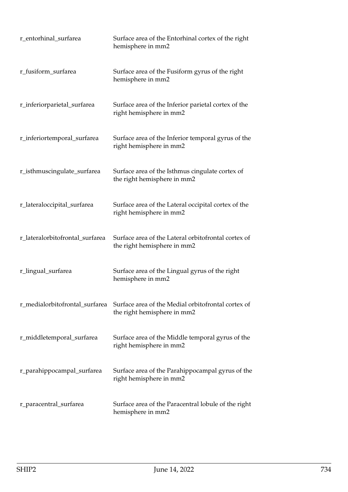| r_entorhinal_surfarea           | Surface area of the Entorhinal cortex of the right<br>hemisphere in mm2            |
|---------------------------------|------------------------------------------------------------------------------------|
| r_fusiform_surfarea             | Surface area of the Fusiform gyrus of the right<br>hemisphere in mm2               |
| r_inferiorparietal_surfarea     | Surface area of the Inferior parietal cortex of the<br>right hemisphere in mm2     |
| r_inferiortemporal_surfarea     | Surface area of the Inferior temporal gyrus of the<br>right hemisphere in mm2      |
| r_isthmuscingulate_surfarea     | Surface area of the Isthmus cingulate cortex of<br>the right hemisphere in mm2     |
| r_lateraloccipital_surfarea     | Surface area of the Lateral occipital cortex of the<br>right hemisphere in mm2     |
| r_lateralorbitofrontal_surfarea | Surface area of the Lateral orbitofrontal cortex of<br>the right hemisphere in mm2 |
| r_lingual_surfarea              | Surface area of the Lingual gyrus of the right<br>hemisphere in mm2                |
| r_medialorbitofrontal_surfarea  | Surface area of the Medial orbitofrontal cortex of<br>the right hemisphere in mm2  |
| r_middletemporal_surfarea       | Surface area of the Middle temporal gyrus of the<br>right hemisphere in mm2        |
| r_parahippocampal_surfarea      | Surface area of the Parahippocampal gyrus of the<br>right hemisphere in mm2        |
| r_paracentral_surfarea          | Surface area of the Paracentral lobule of the right<br>hemisphere in mm2           |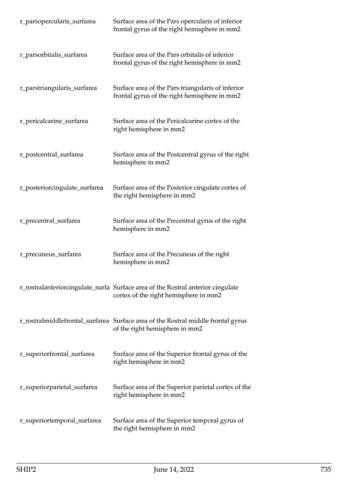| r_parsopercularis_surfarea    | Surface area of the Pars opercularis of inferior<br>frontal gyrus of the right hemisphere in mm2                         |
|-------------------------------|--------------------------------------------------------------------------------------------------------------------------|
| r_parsorbitalis_surfarea      | Surface area of the Pars orbitalis of inferior<br>frontal gyrus of the right hemisphere in mm2                           |
| r_parstriangularis_surfarea   | Surface area of the Pars triangularis of inferior<br>frontal gyrus of the right hemisphere in mm2                        |
| r_pericalcarine_surfarea      | Surface area of the Pericalcarine cortex of the<br>right hemisphere in mm2                                               |
| r_postcentral_surfarea        | Surface area of the Postcentral gyrus of the right<br>hemisphere in mm2                                                  |
| r_posteriorcingulate_surfarea | Surface area of the Posterior cingulate cortex of<br>the right hemisphere in mm2                                         |
| r_precentral_surfarea         | Surface area of the Precentral gyrus of the right<br>hemisphere in mm2                                                   |
| r_precuneus_surfarea          | Surface area of the Precuneus of the right<br>hemisphere in mm2                                                          |
|                               | r_rostralanteriorcingulate_surfa Surface area of the Rostral anterior cingulate<br>cortex of the right hemisphere in mm2 |
|                               | r_rostralmiddlefrontal_surfarea Surface area of the Rostral middle frontal gyrus<br>of the right hemisphere in mm2       |
| r_superiorfrontal_surfarea    | Surface area of the Superior frontal gyrus of the<br>right hemisphere in mm2                                             |
| r_superiorparietal_surfarea   | Surface area of the Superior parietal cortex of the<br>right hemisphere in mm2                                           |
| r_superiortemporal_surfarea   | Surface area of the Superior temporal gyrus of<br>the right hemisphere in mm2                                            |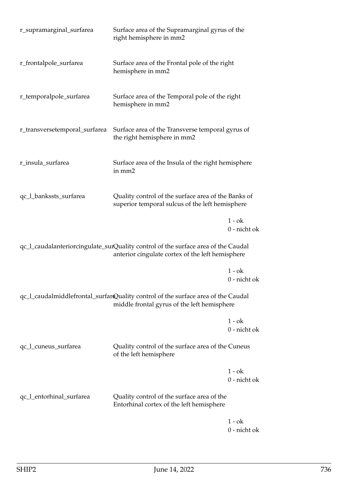| r_supramarginal_surfarea      | Surface area of the Supramarginal gyrus of the<br>right hemisphere in mm2                                                             |                          |
|-------------------------------|---------------------------------------------------------------------------------------------------------------------------------------|--------------------------|
| r_frontalpole_surfarea        | Surface area of the Frontal pole of the right<br>hemisphere in mm2                                                                    |                          |
| r_temporalpole_surfarea       | Surface area of the Temporal pole of the right<br>hemisphere in mm2                                                                   |                          |
| r_transversetemporal_surfarea | Surface area of the Transverse temporal gyrus of<br>the right hemisphere in mm2                                                       |                          |
| r_insula_surfarea             | Surface area of the Insula of the right hemisphere<br>in mm2                                                                          |                          |
| qc_l_bankssts_surfarea        | Quality control of the surface area of the Banks of<br>superior temporal sulcus of the left hemisphere                                |                          |
|                               |                                                                                                                                       | $1 - ok$<br>0 - nicht ok |
|                               | qc_l_caudalanteriorcingulate_surQuality control of the surface area of the Caudal<br>anterior cingulate cortex of the left hemisphere |                          |
|                               |                                                                                                                                       | $1 - ok$<br>0 - nicht ok |
|                               | qc_l_caudalmiddlefrontal_surfarQuality control of the surface area of the Caudal<br>middle frontal gyrus of the left hemisphere       |                          |
|                               |                                                                                                                                       | $1 - ok$<br>0 - nicht ok |
| qc_l_cuneus_surfarea          | Quality control of the surface area of the Cuneus<br>of the left hemisphere                                                           |                          |
|                               |                                                                                                                                       | $1 - ok$<br>0 - nicht ok |
| qc_l_entorhinal_surfarea      | Quality control of the surface area of the<br>Entorhinal cortex of the left hemisphere                                                |                          |
|                               |                                                                                                                                       | 1 - ok                   |

0 - nicht ok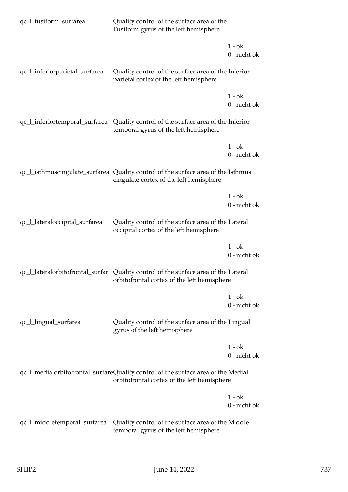| qc_l_fusiform_surfarea         | Quality control of the surface area of the<br>Fusiform gyrus of the left hemisphere                                                |                          |
|--------------------------------|------------------------------------------------------------------------------------------------------------------------------------|--------------------------|
|                                |                                                                                                                                    | $1 - ok$<br>0 - nicht ok |
| qc_l_inferiorparietal_surfarea | Quality control of the surface area of the Inferior<br>parietal cortex of the left hemisphere                                      |                          |
|                                |                                                                                                                                    | $1 - ok$<br>0 - nicht ok |
|                                | qc_l_inferiortemporal_surfarea Quality control of the surface area of the Inferior<br>temporal gyrus of the left hemisphere        |                          |
|                                |                                                                                                                                    | $1 - ok$<br>0 - nicht ok |
|                                | qc_l_isthmuscingulate_surfarea Quality control of the surface area of the Isthmus<br>cingulate cortex of the left hemisphere       |                          |
|                                |                                                                                                                                    | $1 - ok$<br>0 - nicht ok |
| qc_l_lateraloccipital_surfarea | Quality control of the surface area of the Lateral<br>occipital cortex of the left hemisphere                                      |                          |
|                                |                                                                                                                                    | $1 - ok$<br>0 - nicht ok |
|                                | qc_l_lateralorbitofrontal_surfar Quality control of the surface area of the Lateral<br>orbitofrontal cortex of the left hemisphere |                          |
|                                |                                                                                                                                    | $1 - ok$<br>0 - nicht ok |
| qc_l_lingual_surfarea          | Quality control of the surface area of the Lingual<br>gyrus of the left hemisphere                                                 |                          |
|                                |                                                                                                                                    | $1 - ok$<br>0 - nicht ok |
|                                | qc_l_medialorbitofrontal_surfareQuality control of the surface area of the Medial<br>orbitofrontal cortex of the left hemisphere   |                          |
|                                |                                                                                                                                    | $1 - ok$<br>0 - nicht ok |
| qc_l_middletemporal_surfarea   | Quality control of the surface area of the Middle<br>temporal gyrus of the left hemisphere                                         |                          |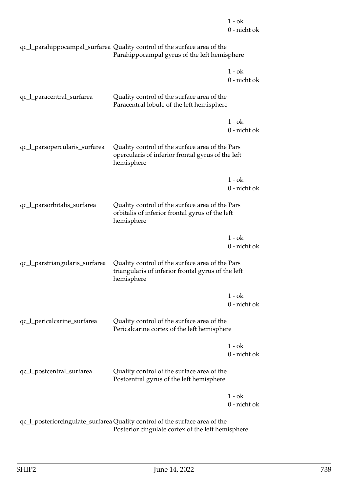1 - ok 0 - nicht ok

| qc_l_parahippocampal_surfarea Quality control of the surface area of the |
|--------------------------------------------------------------------------|
| Parahippocampal gyrus of the left hemisphere                             |

|                                |                                                                                                                     | $1 - ok$<br>0 - nicht ok |
|--------------------------------|---------------------------------------------------------------------------------------------------------------------|--------------------------|
| qc_l_paracentral_surfarea      | Quality control of the surface area of the<br>Paracentral lobule of the left hemisphere                             |                          |
|                                |                                                                                                                     | $1 - ok$<br>0 - nicht ok |
| qc_l_parsopercularis_surfarea  | Quality control of the surface area of the Pars<br>opercularis of inferior frontal gyrus of the left<br>hemisphere  |                          |
|                                |                                                                                                                     | $1 - ok$<br>0 - nicht ok |
| qc_l_parsorbitalis_surfarea    | Quality control of the surface area of the Pars<br>orbitalis of inferior frontal gyrus of the left<br>hemisphere    |                          |
|                                |                                                                                                                     | $1 - ok$<br>0 - nicht ok |
| qc_l_parstriangularis_surfarea | Quality control of the surface area of the Pars<br>triangularis of inferior frontal gyrus of the left<br>hemisphere |                          |
|                                |                                                                                                                     | $1 - ok$<br>0 - nicht ok |
| qc_l_pericalcarine_surfarea    | Quality control of the surface area of the<br>Pericalcarine cortex of the left hemisphere                           |                          |
|                                |                                                                                                                     | $1 - ok$<br>0 - nicht ok |
| qc_l_postcentral_surfarea      | Quality control of the surface area of the<br>Postcentral gyrus of the left hemisphere                              |                          |
|                                |                                                                                                                     | $1 - ok$<br>0 - nicht ok |
|                                | $ac$ I posteriorcingulate surfarea Quality control of the surface area of the                                       |                          |

qc\_l\_posteriorcingulate\_surfarea Quality control of the surface area of the Posterior cingulate cortex of the left hemisphere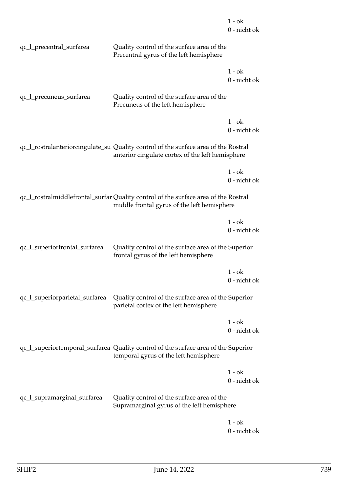|                                |                                                                                                                                         | $1 - ok$<br>0 - nicht ok |
|--------------------------------|-----------------------------------------------------------------------------------------------------------------------------------------|--------------------------|
| qc_l_precentral_surfarea       | Quality control of the surface area of the<br>Precentral gyrus of the left hemisphere                                                   |                          |
|                                |                                                                                                                                         | $1 - ok$<br>0 - nicht ok |
| qc_l_precuneus_surfarea        | Quality control of the surface area of the<br>Precuneus of the left hemisphere                                                          |                          |
|                                |                                                                                                                                         | $1 - ok$<br>0 - nicht ok |
|                                | qc_l_rostralanteriorcingulate_su Quality control of the surface area of the Rostral<br>anterior cingulate cortex of the left hemisphere |                          |
|                                |                                                                                                                                         | $1 - ok$<br>0 - nicht ok |
|                                | qc_l_rostralmiddlefrontal_surfar Quality control of the surface area of the Rostral<br>middle frontal gyrus of the left hemisphere      |                          |
|                                |                                                                                                                                         | $1 - ok$<br>0 - nicht ok |
| qc_l_superiorfrontal_surfarea  | Quality control of the surface area of the Superior<br>frontal gyrus of the left hemisphere                                             |                          |
|                                |                                                                                                                                         | $1 - ok$<br>0 - nicht ok |
| qc_l_superiorparietal_surfarea | Quality control of the surface area of the Superior<br>parietal cortex of the left hemisphere                                           |                          |
|                                |                                                                                                                                         | $1 - ok$<br>0 - nicht ok |
|                                | qc_l_superiortemporal_surfarea Quality control of the surface area of the Superior<br>temporal gyrus of the left hemisphere             |                          |
|                                |                                                                                                                                         | $1 - ok$<br>0 - nicht ok |
| qc_l_supramarginal_surfarea    | Quality control of the surface area of the<br>Supramarginal gyrus of the left hemisphere                                                |                          |
|                                |                                                                                                                                         | $1 - ok$                 |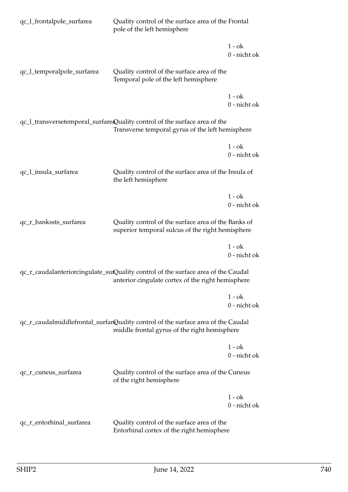| qc_l_frontalpole_surfarea                                                                                                        | Quality control of the surface area of the Frontal<br>pole of the left hemisphere                                                      |                          |
|----------------------------------------------------------------------------------------------------------------------------------|----------------------------------------------------------------------------------------------------------------------------------------|--------------------------|
|                                                                                                                                  |                                                                                                                                        | $1 - ok$<br>0 - nicht ok |
| qc_l_temporalpole_surfarea                                                                                                       | Quality control of the surface area of the<br>Temporal pole of the left hemisphere                                                     |                          |
|                                                                                                                                  |                                                                                                                                        | $1 - ok$<br>0 - nicht ok |
|                                                                                                                                  | qc_l_transversetemporal_surfareQuality control of the surface area of the<br>Transverse temporal gyrus of the left hemisphere          |                          |
|                                                                                                                                  |                                                                                                                                        | $1 - ok$<br>0 - nicht ok |
| qc_l_insula_surfarea                                                                                                             | Quality control of the surface area of the Insula of<br>the left hemisphere                                                            |                          |
|                                                                                                                                  |                                                                                                                                        | $1 - ok$<br>0 - nicht ok |
| qc_r_bankssts_surfarea                                                                                                           | Quality control of the surface area of the Banks of<br>superior temporal sulcus of the right hemisphere                                |                          |
|                                                                                                                                  |                                                                                                                                        | $1 - ok$<br>0 - nicht ok |
|                                                                                                                                  | qc_r_caudalanteriorcingulate_surQuality control of the surface area of the Caudal<br>anterior cingulate cortex of the right hemisphere |                          |
|                                                                                                                                  |                                                                                                                                        | $1 - ok$<br>0 - nicht ok |
| qc_r_caudalmiddlefrontal_surfarQuality control of the surface area of the Caudal<br>middle frontal gyrus of the right hemisphere |                                                                                                                                        |                          |
|                                                                                                                                  |                                                                                                                                        | $1 - ok$<br>0 - nicht ok |
| qc_r_cuneus_surfarea                                                                                                             | Quality control of the surface area of the Cuneus<br>of the right hemisphere                                                           |                          |
|                                                                                                                                  |                                                                                                                                        | $1 - ok$<br>0 - nicht ok |
| qc_r_entorhinal_surfarea                                                                                                         | Quality control of the surface area of the<br>Entorhinal cortex of the right hemisphere                                                |                          |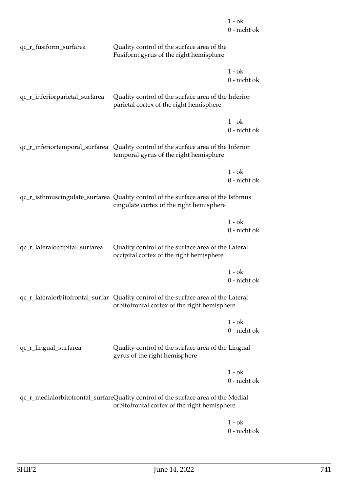|                                |                                                                                                                                     | $1 - ok$<br>0 - nicht ok |
|--------------------------------|-------------------------------------------------------------------------------------------------------------------------------------|--------------------------|
| qc_r_fusiform_surfarea         | Quality control of the surface area of the<br>Fusiform gyrus of the right hemisphere                                                |                          |
|                                |                                                                                                                                     | $1 - ok$<br>0 - nicht ok |
| qc_r_inferiorparietal_surfarea | Quality control of the surface area of the Inferior<br>parietal cortex of the right hemisphere                                      |                          |
|                                |                                                                                                                                     | $1 - ok$<br>0 - nicht ok |
|                                | qc_r_inferiortemporal_surfarea Quality control of the surface area of the Inferior<br>temporal gyrus of the right hemisphere        |                          |
|                                |                                                                                                                                     | $1 - ok$<br>0 - nicht ok |
|                                | qc_r_isthmuscingulate_surfarea Quality control of the surface area of the Isthmus<br>cingulate cortex of the right hemisphere       |                          |
|                                |                                                                                                                                     | $1 - ok$<br>0 - nicht ok |
| qc_r_lateraloccipital_surfarea | Quality control of the surface area of the Lateral<br>occipital cortex of the right hemisphere                                      |                          |
|                                |                                                                                                                                     | $1 - ok$<br>0 - nicht ok |
|                                | qc_r_lateralorbitofrontal_surfar Quality control of the surface area of the Lateral<br>orbitofrontal cortex of the right hemisphere |                          |
|                                |                                                                                                                                     | $1 - ok$<br>0 - nicht ok |
| qc_r_lingual_surfarea          | Quality control of the surface area of the Lingual<br>gyrus of the right hemisphere                                                 |                          |
|                                |                                                                                                                                     | $1 - ok$<br>0 - nicht ok |
|                                | qc_r_medialorbitofrontal_surfareQuality control of the surface area of the Medial<br>orbitofrontal cortex of the right hemisphere   |                          |
|                                |                                                                                                                                     |                          |

 $1$  -  $\mathrm{o}\mathrm{k}$ 0 - nicht ok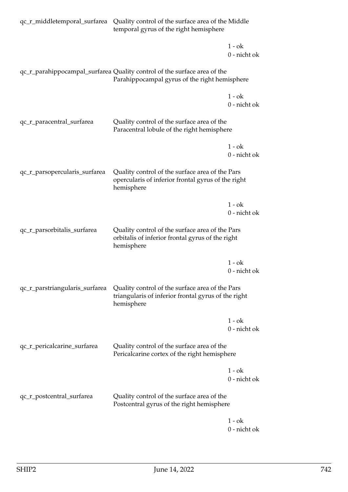|                                | qc_r_middletemporal_surfarea Quality control of the surface area of the Middle<br>temporal gyrus of the right hemisphere  |                          |
|--------------------------------|---------------------------------------------------------------------------------------------------------------------------|--------------------------|
|                                |                                                                                                                           | $1 - ok$<br>0 - nicht ok |
|                                | qc_r_parahippocampal_surfarea Quality control of the surface area of the<br>Parahippocampal gyrus of the right hemisphere |                          |
|                                |                                                                                                                           | $1 - ok$<br>0 - nicht ok |
| qc_r_paracentral_surfarea      | Quality control of the surface area of the<br>Paracentral lobule of the right hemisphere                                  |                          |
|                                |                                                                                                                           | $1 - ok$<br>0 - nicht ok |
| qc_r_parsopercularis_surfarea  | Quality control of the surface area of the Pars<br>opercularis of inferior frontal gyrus of the right<br>hemisphere       |                          |
|                                |                                                                                                                           | $1 - ok$<br>0 - nicht ok |
| qc_r_parsorbitalis_surfarea    | Quality control of the surface area of the Pars<br>orbitalis of inferior frontal gyrus of the right<br>hemisphere         |                          |
|                                |                                                                                                                           | $1 - ok$<br>0 - nicht ok |
| qc_r_parstriangularis_surfarea | Quality control of the surface area of the Pars<br>triangularis of inferior frontal gyrus of the right<br>hemisphere      |                          |
|                                |                                                                                                                           | 1 - ok<br>0 - nicht ok   |
| qc_r_pericalcarine_surfarea    | Quality control of the surface area of the<br>Pericalcarine cortex of the right hemisphere                                |                          |
|                                |                                                                                                                           | $1 - ok$<br>0 - nicht ok |
| qc_r_postcentral_surfarea      | Quality control of the surface area of the<br>Postcentral gyrus of the right hemisphere                                   |                          |
|                                |                                                                                                                           | $1 - ok$                 |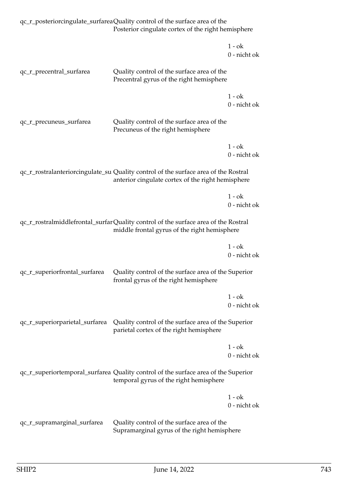|                                | qc_r_posteriorcingulate_surfareaQuality control of the surface area of the<br>Posterior cingulate cortex of the right hemisphere         |                          |
|--------------------------------|------------------------------------------------------------------------------------------------------------------------------------------|--------------------------|
|                                |                                                                                                                                          | $1 - ok$<br>0 - nicht ok |
| qc_r_precentral_surfarea       | Quality control of the surface area of the<br>Precentral gyrus of the right hemisphere                                                   |                          |
|                                |                                                                                                                                          | $1 - ok$<br>0 - nicht ok |
| qc_r_precuneus_surfarea        | Quality control of the surface area of the<br>Precuneus of the right hemisphere                                                          |                          |
|                                |                                                                                                                                          | $1 - ok$<br>0 - nicht ok |
|                                | qc_r_rostralanteriorcingulate_su Quality control of the surface area of the Rostral<br>anterior cingulate cortex of the right hemisphere |                          |
|                                |                                                                                                                                          | $1 - ok$<br>0 - nicht ok |
|                                | qc_r_rostralmiddlefrontal_surfarQuality control of the surface area of the Rostral<br>middle frontal gyrus of the right hemisphere       |                          |
|                                |                                                                                                                                          | $1 - ok$<br>0 - nicht ok |
| qc_r_superiorfrontal_surfarea  | Quality control of the surface area of the Superior<br>frontal gyrus of the right hemisphere                                             |                          |
|                                |                                                                                                                                          | $1 - ok$<br>0 - nicht ok |
| qc_r_superiorparietal_surfarea | Quality control of the surface area of the Superior<br>parietal cortex of the right hemisphere                                           |                          |
|                                |                                                                                                                                          | $1 - ok$<br>0 - nicht ok |
|                                | qc_r_superiortemporal_surfarea Quality control of the surface area of the Superior<br>temporal gyrus of the right hemisphere             |                          |
|                                |                                                                                                                                          | $1 - ok$<br>0 - nicht ok |
| qc_r_supramarginal_surfarea    | Quality control of the surface area of the<br>Supramarginal gyrus of the right hemisphere                                                |                          |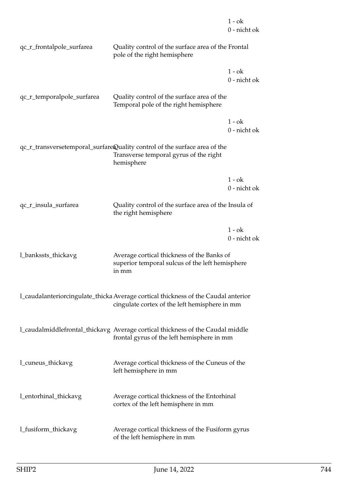|                            |                                                                                                                                     | 1 - ok<br>0 - nicht ok   |
|----------------------------|-------------------------------------------------------------------------------------------------------------------------------------|--------------------------|
| qc_r_frontalpole_surfarea  | Quality control of the surface area of the Frontal<br>pole of the right hemisphere                                                  |                          |
|                            |                                                                                                                                     | $1 - ok$<br>0 - nicht ok |
| qc_r_temporalpole_surfarea | Quality control of the surface area of the<br>Temporal pole of the right hemisphere                                                 |                          |
|                            |                                                                                                                                     | $1 - ok$<br>0 - nicht ok |
|                            | qc_r_transversetemporal_surfareQuality control of the surface area of the<br>Transverse temporal gyrus of the right<br>hemisphere   |                          |
|                            |                                                                                                                                     | $1 - ok$<br>0 - nicht ok |
| qc_r_insula_surfarea       | Quality control of the surface area of the Insula of<br>the right hemisphere                                                        |                          |
|                            |                                                                                                                                     | $1 - ok$<br>0 - nicht ok |
| 1_bankssts_thickavg        | Average cortical thickness of the Banks of<br>superior temporal sulcus of the left hemisphere<br>in mm                              |                          |
|                            | l_caudalanteriorcingulate_thicka Average cortical thickness of the Caudal anterior<br>cingulate cortex of the left hemisphere in mm |                          |
|                            | 1_caudalmiddlefrontal_thickavg Average cortical thickness of the Caudal middle<br>frontal gyrus of the left hemisphere in mm        |                          |
| l_cuneus_thickavg          | Average cortical thickness of the Cuneus of the<br>left hemisphere in mm                                                            |                          |
| l_entorhinal_thickavg      | Average cortical thickness of the Entorhinal<br>cortex of the left hemisphere in mm                                                 |                          |
| l_fusiform_thickavg        | Average cortical thickness of the Fusiform gyrus<br>of the left hemisphere in mm                                                    |                          |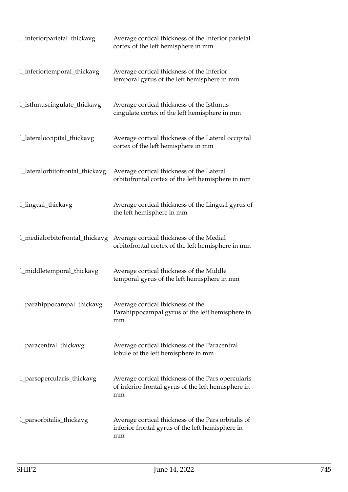| l_inferiorparietal_thickavg     | Average cortical thickness of the Inferior parietal<br>cortex of the left hemisphere in mm                      |
|---------------------------------|-----------------------------------------------------------------------------------------------------------------|
| l_inferiortemporal_thickavg     | Average cortical thickness of the Inferior<br>temporal gyrus of the left hemisphere in mm                       |
| l_isthmuscingulate_thickavg     | Average cortical thickness of the Isthmus<br>cingulate cortex of the left hemisphere in mm                      |
| l_lateraloccipital_thickavg     | Average cortical thickness of the Lateral occipital<br>cortex of the left hemisphere in mm                      |
| l_lateralorbitofrontal_thickavg | Average cortical thickness of the Lateral<br>orbitofrontal cortex of the left hemisphere in mm                  |
| 1_lingual_thickavg              | Average cortical thickness of the Lingual gyrus of<br>the left hemisphere in mm                                 |
| 1_medialorbitofrontal_thickavg  | Average cortical thickness of the Medial<br>orbitofrontal cortex of the left hemisphere in mm                   |
| l_middletemporal_thickavg       | Average cortical thickness of the Middle<br>temporal gyrus of the left hemisphere in mm                         |
| l_parahippocampal_thickavg      | Average cortical thickness of the<br>Parahippocampal gyrus of the left hemisphere in<br>mm                      |
| l_paracentral_thickavg          | Average cortical thickness of the Paracentral<br>lobule of the left hemisphere in mm                            |
| 1_parsopercularis_thickavg      | Average cortical thickness of the Pars opercularis<br>of inferior frontal gyrus of the left hemisphere in<br>mm |
| 1_parsorbitalis_thickavg        | Average cortical thickness of the Pars orbitalis of<br>inferior frontal gyrus of the left hemisphere in<br>mm   |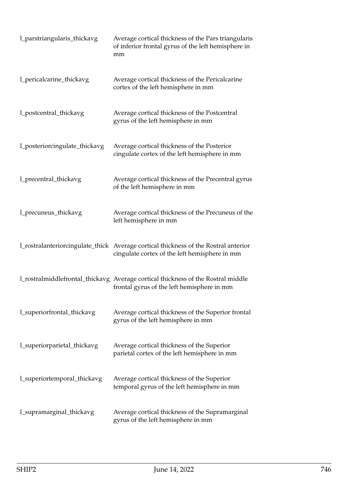| 1_parstriangularis_thickavg   | Average cortical thickness of the Pars triangularis<br>of inferior frontal gyrus of the left hemisphere in<br>mm                     |
|-------------------------------|--------------------------------------------------------------------------------------------------------------------------------------|
| 1_pericalcarine_thickavg      | Average cortical thickness of the Pericalcarine<br>cortex of the left hemisphere in mm                                               |
| l_postcentral_thickavg        | Average cortical thickness of the Postcentral<br>gyrus of the left hemisphere in mm                                                  |
| 1_posteriorcingulate_thickavg | Average cortical thickness of the Posterior<br>cingulate cortex of the left hemisphere in mm                                         |
| l_precentral_thickavg         | Average cortical thickness of the Precentral gyrus<br>of the left hemisphere in mm                                                   |
| 1_precuneus_thickavg          | Average cortical thickness of the Precuneus of the<br>left hemisphere in mm                                                          |
|                               | 1_rostralanteriorcingulate_thick Average cortical thickness of the Rostral anterior<br>cingulate cortex of the left hemisphere in mm |
|                               | 1_rostralmiddlefrontal_thickavg Average cortical thickness of the Rostral middle<br>frontal gyrus of the left hemisphere in mm       |
| l_superiorfrontal_thickavg    | Average cortical thickness of the Superior frontal<br>gyrus of the left hemisphere in mm                                             |
| l_superiorparietal_thickavg   | Average cortical thickness of the Superior<br>parietal cortex of the left hemisphere in mm                                           |
| l_superiortemporal_thickavg   | Average cortical thickness of the Superior<br>temporal gyrus of the left hemisphere in mm                                            |
| l_supramarginal_thickavg      | Average cortical thickness of the Supramarginal<br>gyrus of the left hemisphere in mm                                                |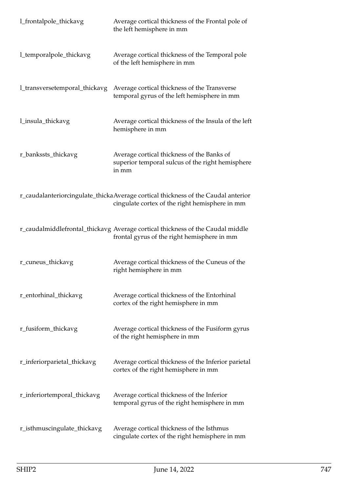| l_frontalpole_thickavg        | Average cortical thickness of the Frontal pole of<br>the left hemisphere in mm                                                      |
|-------------------------------|-------------------------------------------------------------------------------------------------------------------------------------|
| l_temporalpole_thickavg       | Average cortical thickness of the Temporal pole<br>of the left hemisphere in mm                                                     |
| 1_transversetemporal_thickavg | Average cortical thickness of the Transverse<br>temporal gyrus of the left hemisphere in mm                                         |
| 1_insula_thickavg             | Average cortical thickness of the Insula of the left<br>hemisphere in mm                                                            |
| r_bankssts_thickavg           | Average cortical thickness of the Banks of<br>superior temporal sulcus of the right hemisphere<br>in mm                             |
|                               | r_caudalanteriorcingulate_thickaAverage cortical thickness of the Caudal anterior<br>cingulate cortex of the right hemisphere in mm |
|                               | r_caudalmiddlefrontal_thickavg Average cortical thickness of the Caudal middle<br>frontal gyrus of the right hemisphere in mm       |
| r_cuneus_thickavg             | Average cortical thickness of the Cuneus of the<br>right hemisphere in mm                                                           |
| r_entorhinal_thickavg         | Average cortical thickness of the Entorhinal<br>cortex of the right hemisphere in mm                                                |
| r_fusiform_thickavg           | Average cortical thickness of the Fusiform gyrus<br>of the right hemisphere in mm                                                   |
| r_inferiorparietal_thickavg   | Average cortical thickness of the Inferior parietal<br>cortex of the right hemisphere in mm                                         |
| r_inferiortemporal_thickavg   | Average cortical thickness of the Inferior<br>temporal gyrus of the right hemisphere in mm                                          |
| r_isthmuscingulate_thickavg   | Average cortical thickness of the Isthmus<br>cingulate cortex of the right hemisphere in mm                                         |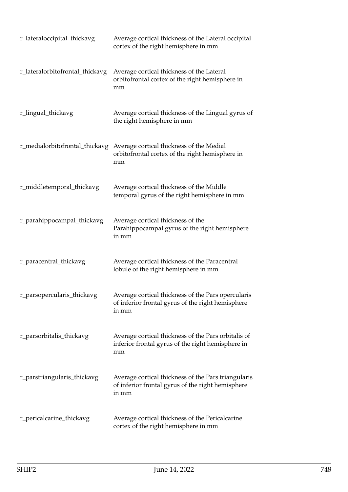| r_lateraloccipital_thickavg     | Average cortical thickness of the Lateral occipital<br>cortex of the right hemisphere in mm                       |
|---------------------------------|-------------------------------------------------------------------------------------------------------------------|
| r_lateralorbitofrontal_thickavg | Average cortical thickness of the Lateral<br>orbitofrontal cortex of the right hemisphere in<br>mm                |
| r_lingual_thickavg              | Average cortical thickness of the Lingual gyrus of<br>the right hemisphere in mm                                  |
| r_medialorbitofrontal_thickavg  | Average cortical thickness of the Medial<br>orbitofrontal cortex of the right hemisphere in<br>mm                 |
| r_middletemporal_thickavg       | Average cortical thickness of the Middle<br>temporal gyrus of the right hemisphere in mm                          |
| r_parahippocampal_thickavg      | Average cortical thickness of the<br>Parahippocampal gyrus of the right hemisphere<br>in mm                       |
| r_paracentral_thickavg          | Average cortical thickness of the Paracentral<br>lobule of the right hemisphere in mm                             |
| r_parsopercularis_thickavg      | Average cortical thickness of the Pars opercularis<br>of inferior frontal gyrus of the right hemisphere<br>in mm  |
| r_parsorbitalis_thickavg        | Average cortical thickness of the Pars orbitalis of<br>inferior frontal gyrus of the right hemisphere in<br>mm    |
| r_parstriangularis_thickavg     | Average cortical thickness of the Pars triangularis<br>of inferior frontal gyrus of the right hemisphere<br>in mm |
| r_pericalcarine_thickavg        | Average cortical thickness of the Pericalcarine<br>cortex of the right hemisphere in mm                           |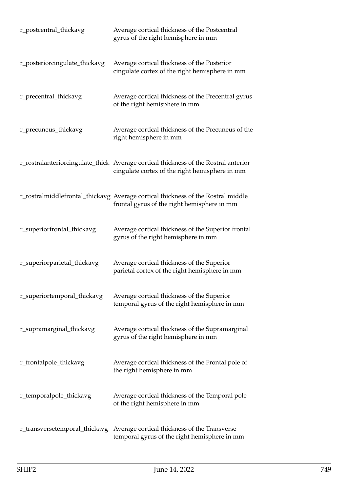| r_postcentral_thickavg        | Average cortical thickness of the Postcentral<br>gyrus of the right hemisphere in mm                                                  |
|-------------------------------|---------------------------------------------------------------------------------------------------------------------------------------|
| r_posteriorcingulate_thickavg | Average cortical thickness of the Posterior<br>cingulate cortex of the right hemisphere in mm                                         |
| r_precentral_thickavg         | Average cortical thickness of the Precentral gyrus<br>of the right hemisphere in mm                                                   |
| r_precuneus_thickavg          | Average cortical thickness of the Precuneus of the<br>right hemisphere in mm                                                          |
|                               | r_rostralanteriorcingulate_thick Average cortical thickness of the Rostral anterior<br>cingulate cortex of the right hemisphere in mm |
|                               | r_rostralmiddlefrontal_thickavg Average cortical thickness of the Rostral middle<br>frontal gyrus of the right hemisphere in mm       |
| r_superiorfrontal_thickavg    | Average cortical thickness of the Superior frontal<br>gyrus of the right hemisphere in mm                                             |
| r_superiorparietal_thickavg   | Average cortical thickness of the Superior<br>parietal cortex of the right hemisphere in mm                                           |
| r_superiortemporal_thickavg   | Average cortical thickness of the Superior<br>temporal gyrus of the right hemisphere in mm                                            |
| r_supramarginal_thickavg      | Average cortical thickness of the Supramarginal<br>gyrus of the right hemisphere in mm                                                |
| r_frontalpole_thickavg        | Average cortical thickness of the Frontal pole of<br>the right hemisphere in mm                                                       |
| r_temporalpole_thickavg       | Average cortical thickness of the Temporal pole<br>of the right hemisphere in mm                                                      |
| r_transversetemporal_thickavg | Average cortical thickness of the Transverse<br>temporal gyrus of the right hemisphere in mm                                          |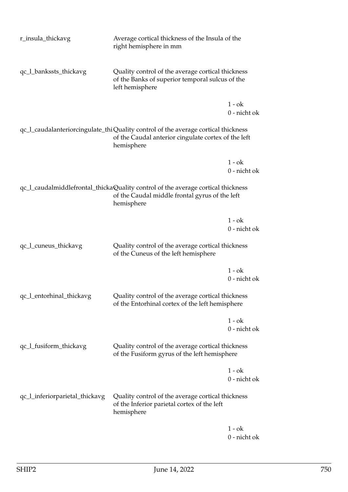| r_insula_thickavg              | Average cortical thickness of the Insula of the<br>right hemisphere in mm                                                                              |                          |
|--------------------------------|--------------------------------------------------------------------------------------------------------------------------------------------------------|--------------------------|
| qc_l_bankssts_thickavg         | Quality control of the average cortical thickness<br>of the Banks of superior temporal sulcus of the<br>left hemisphere                                |                          |
|                                |                                                                                                                                                        | $1 - ok$<br>0 - nicht ok |
|                                | qc_1_caudalanteriorcingulate_thiQuality control of the average cortical thickness<br>of the Caudal anterior cingulate cortex of the left<br>hemisphere |                          |
|                                |                                                                                                                                                        | $1 - ok$<br>0 - nicht ok |
|                                | qc_l_caudalmiddlefrontal_thickaQuality control of the average cortical thickness<br>of the Caudal middle frontal gyrus of the left<br>hemisphere       |                          |
|                                |                                                                                                                                                        | $1 - ok$<br>0 - nicht ok |
| qc_l_cuneus_thickavg           | Quality control of the average cortical thickness<br>of the Cuneus of the left hemisphere                                                              |                          |
|                                |                                                                                                                                                        | $1 - ok$<br>0 - nicht ok |
| qc_l_entorhinal_thickavg       | Quality control of the average cortical thickness<br>of the Entorhinal cortex of the left hemisphere                                                   |                          |
|                                |                                                                                                                                                        | $1 - ok$<br>0 - nicht ok |
| qc_l_fusiform_thickavg         | Quality control of the average cortical thickness<br>of the Fusiform gyrus of the left hemisphere                                                      |                          |
|                                |                                                                                                                                                        | $1 - ok$<br>0 - nicht ok |
| qc_l_inferiorparietal_thickavg | Quality control of the average cortical thickness<br>of the Inferior parietal cortex of the left<br>hemisphere                                         |                          |
|                                |                                                                                                                                                        | $1 - ok$                 |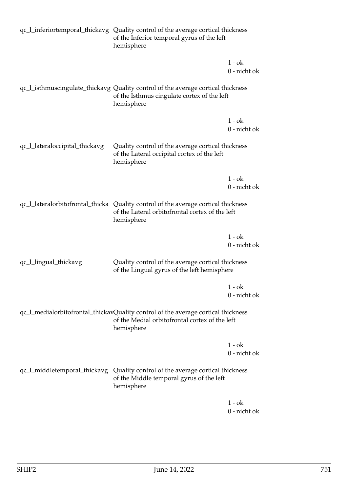|                                | qc_l_inferiortemporal_thickavg Quality control of the average cortical thickness<br>of the Inferior temporal gyrus of the left<br>hemisphere        |                          |
|--------------------------------|-----------------------------------------------------------------------------------------------------------------------------------------------------|--------------------------|
|                                |                                                                                                                                                     | $1 - ok$<br>0 - nicht ok |
|                                | qc_l_isthmuscingulate_thickavg Quality control of the average cortical thickness<br>of the Isthmus cingulate cortex of the left<br>hemisphere       |                          |
|                                |                                                                                                                                                     | $1 - ok$                 |
|                                |                                                                                                                                                     | 0 - nicht ok             |
| qc_l_lateraloccipital_thickavg | Quality control of the average cortical thickness<br>of the Lateral occipital cortex of the left<br>hemisphere                                      |                          |
|                                |                                                                                                                                                     | $1 - ok$                 |
|                                |                                                                                                                                                     | 0 - nicht ok             |
|                                | qc_1_lateralorbitofrontal_thicka Quality control of the average cortical thickness<br>of the Lateral orbitofrontal cortex of the left<br>hemisphere |                          |
|                                |                                                                                                                                                     | $1 - ok$<br>0 - nicht ok |
| qc_l_lingual_thickavg          | Quality control of the average cortical thickness<br>of the Lingual gyrus of the left hemisphere                                                    |                          |
|                                |                                                                                                                                                     | $1 - ok$<br>0 - nicht ok |
|                                | qc_l_medialorbitofrontal_thickavQuality control of the average cortical thickness<br>of the Medial orbitofrontal cortex of the left<br>hemisphere   |                          |
|                                |                                                                                                                                                     | $1 - ok$<br>0 - nicht ok |
| qc_l_middletemporal_thickavg   | Quality control of the average cortical thickness<br>of the Middle temporal gyrus of the left<br>hemisphere                                         |                          |
|                                |                                                                                                                                                     | $1 - ok$<br>0 - nicht ok |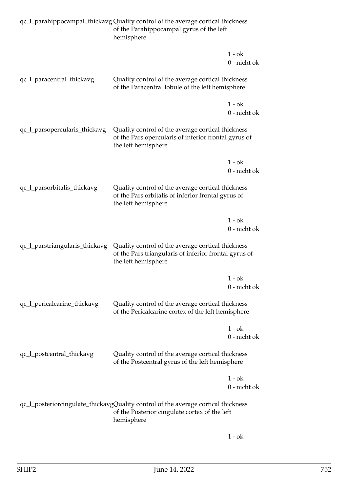|                                | qc_l_parahippocampal_thickavg Quality control of the average cortical thickness<br>of the Parahippocampal gyrus of the left<br>hemisphere        |                          |
|--------------------------------|--------------------------------------------------------------------------------------------------------------------------------------------------|--------------------------|
|                                |                                                                                                                                                  | $1 - ok$<br>0 - nicht ok |
| qc_l_paracentral_thickavg      | Quality control of the average cortical thickness<br>of the Paracentral lobule of the left hemisphere                                            |                          |
|                                |                                                                                                                                                  | $1 - ok$<br>0 - nicht ok |
| qc_l_parsopercularis_thickavg  | Quality control of the average cortical thickness<br>of the Pars opercularis of inferior frontal gyrus of<br>the left hemisphere                 |                          |
|                                |                                                                                                                                                  | $1 - ok$<br>0 - nicht ok |
| qc_l_parsorbitalis_thickavg    | Quality control of the average cortical thickness<br>of the Pars orbitalis of inferior frontal gyrus of<br>the left hemisphere                   |                          |
|                                |                                                                                                                                                  | $1 - ok$<br>0 - nicht ok |
| qc_l_parstriangularis_thickavg | Quality control of the average cortical thickness<br>of the Pars triangularis of inferior frontal gyrus of<br>the left hemisphere                |                          |
|                                |                                                                                                                                                  | $1 - ok$<br>0 - nicht ok |
| qc_l_pericalcarine_thickavg    | Quality control of the average cortical thickness<br>of the Pericalcarine cortex of the left hemisphere                                          |                          |
|                                |                                                                                                                                                  | $1 - ok$<br>0 - nicht ok |
| qc_l_postcentral_thickavg      | Quality control of the average cortical thickness<br>of the Postcentral gyrus of the left hemisphere                                             |                          |
|                                |                                                                                                                                                  | $1 - ok$<br>0 - nicht ok |
|                                | qc_l_posteriorcingulate_thickavgQuality control of the average cortical thickness<br>of the Posterior cingulate cortex of the left<br>hemisphere |                          |

1 - ok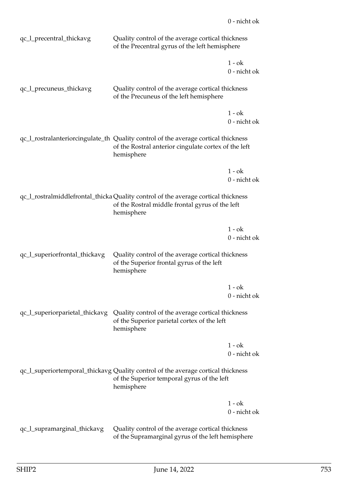| qc_l_precentral_thickavg       | Quality control of the average cortical thickness<br>of the Precentral gyrus of the left hemisphere                                                      |                          |
|--------------------------------|----------------------------------------------------------------------------------------------------------------------------------------------------------|--------------------------|
|                                |                                                                                                                                                          | $1 - ok$                 |
|                                |                                                                                                                                                          | $0$ - nicht ok           |
| qc_l_precuneus_thickavg        | Quality control of the average cortical thickness<br>of the Precuneus of the left hemisphere                                                             |                          |
|                                |                                                                                                                                                          | $1 - ok$<br>0 - nicht ok |
|                                | qc_l_rostralanteriorcingulate_th_Quality control of the average cortical thickness<br>of the Rostral anterior cingulate cortex of the left<br>hemisphere |                          |
|                                |                                                                                                                                                          | $1 - ok$<br>0 - nicht ok |
|                                | qc_l_rostralmiddlefrontal_thicka Quality control of the average cortical thickness<br>of the Rostral middle frontal gyrus of the left<br>hemisphere      |                          |
|                                |                                                                                                                                                          | $1 - ok$                 |
|                                |                                                                                                                                                          | 0 - nicht ok             |
| qc_l_superiorfrontal_thickavg  | Quality control of the average cortical thickness<br>of the Superior frontal gyrus of the left<br>hemisphere                                             |                          |
|                                |                                                                                                                                                          | $1 - ok$                 |
|                                |                                                                                                                                                          | 0 - nicht ok             |
| qc_l_superiorparietal_thickavg | Quality control of the average cortical thickness<br>of the Superior parietal cortex of the left<br>hemisphere                                           |                          |
|                                |                                                                                                                                                          | $1 - ok$<br>0 - nicht ok |
|                                | qc_l_superiortemporal_thickavg Quality control of the average cortical thickness<br>of the Superior temporal gyrus of the left<br>hemisphere             |                          |
|                                |                                                                                                                                                          | $1 - ok$<br>0 - nicht ok |
| qc_l_supramarginal_thickavg    | Quality control of the average cortical thickness<br>of the Supramarginal gyrus of the left hemisphere                                                   |                          |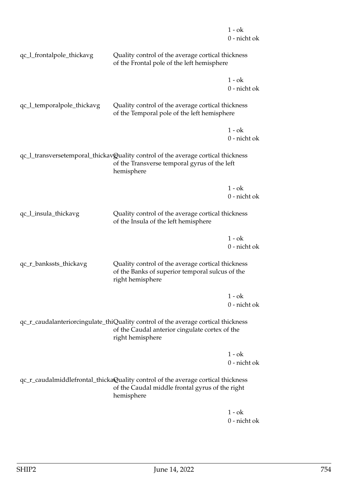|                            |                                                                                                                                                         | $1 - ok$<br>0 - nicht ok |
|----------------------------|---------------------------------------------------------------------------------------------------------------------------------------------------------|--------------------------|
| qc_l_frontalpole_thickavg  | Quality control of the average cortical thickness<br>of the Frontal pole of the left hemisphere                                                         |                          |
|                            |                                                                                                                                                         | 1 - ok<br>0 - nicht ok   |
| qc_l_temporalpole_thickavg | Quality control of the average cortical thickness<br>of the Temporal pole of the left hemisphere                                                        |                          |
|                            |                                                                                                                                                         | $1 - ok$<br>0 - nicht ok |
|                            | qc_l_transversetemporal_thickavQuality control of the average cortical thickness<br>of the Transverse temporal gyrus of the left<br>hemisphere          |                          |
|                            |                                                                                                                                                         | $1 - ok$                 |
|                            |                                                                                                                                                         | 0 - nicht ok             |
| qc_l_insula_thickavg       | Quality control of the average cortical thickness<br>of the Insula of the left hemisphere                                                               |                          |
|                            |                                                                                                                                                         | $1 - ok$<br>0 - nicht ok |
| qc_r_bankssts_thickavg     | Quality control of the average cortical thickness<br>of the Banks of superior temporal sulcus of the<br>right hemisphere                                |                          |
|                            |                                                                                                                                                         | $1 - ok$<br>0 - nicht ok |
|                            | qc_r_caudalanteriorcingulate_thiQuality control of the average cortical thickness<br>of the Caudal anterior cingulate cortex of the<br>right hemisphere |                          |
|                            |                                                                                                                                                         | $1 - ok$<br>0 - nicht ok |
|                            | qc_r_caudalmiddlefrontal_thickaQuality control of the average cortical thickness<br>of the Caudal middle frontal gyrus of the right<br>hemisphere       |                          |
|                            |                                                                                                                                                         | $1 - ok$                 |

0 - nicht ok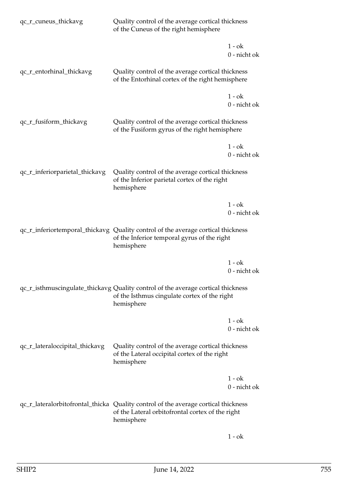| qc_r_cuneus_thickavg           | Quality control of the average cortical thickness<br>of the Cuneus of the right hemisphere                                                           |                          |
|--------------------------------|------------------------------------------------------------------------------------------------------------------------------------------------------|--------------------------|
|                                |                                                                                                                                                      | $1 - ok$<br>0 - nicht ok |
| qc_r_entorhinal_thickavg       | Quality control of the average cortical thickness<br>of the Entorhinal cortex of the right hemisphere                                                |                          |
|                                |                                                                                                                                                      | $1 - ok$<br>0 - nicht ok |
| qc_r_fusiform_thickavg         | Quality control of the average cortical thickness<br>of the Fusiform gyrus of the right hemisphere                                                   |                          |
|                                |                                                                                                                                                      | $1 - ok$<br>0 - nicht ok |
| qc_r_inferiorparietal_thickavg | Quality control of the average cortical thickness<br>of the Inferior parietal cortex of the right<br>hemisphere                                      |                          |
|                                |                                                                                                                                                      | $1 - ok$<br>0 - nicht ok |
|                                | qc_r_inferiortemporal_thickavg Quality control of the average cortical thickness<br>of the Inferior temporal gyrus of the right<br>hemisphere        |                          |
|                                |                                                                                                                                                      | $1 - ok$<br>0 - nicht ok |
|                                | qc_r_isthmuscingulate_thickavg Quality control of the average cortical thickness<br>of the Isthmus cingulate cortex of the right<br>hemisphere       |                          |
|                                |                                                                                                                                                      | $1 - ok$<br>0 - nicht ok |
| qc_r_lateraloccipital_thickavg | Quality control of the average cortical thickness<br>of the Lateral occipital cortex of the right<br>hemisphere                                      |                          |
|                                |                                                                                                                                                      | $1 - ok$<br>0 - nicht ok |
|                                | qc_r_lateralorbitofrontal_thicka Quality control of the average cortical thickness<br>of the Lateral orbitofrontal cortex of the right<br>hemisphere |                          |
|                                |                                                                                                                                                      |                          |

 $1$  -  $\mathrm{o}\mathrm{k}$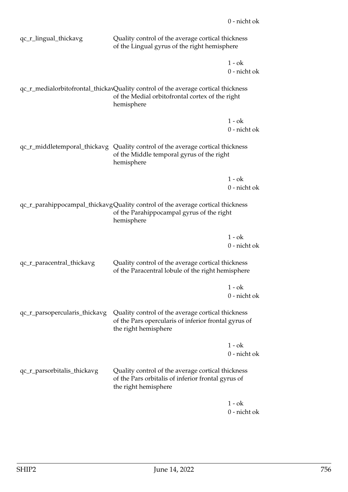| qc_r_lingual_thickavg         | Quality control of the average cortical thickness<br>of the Lingual gyrus of the right hemisphere                                                  |                                                                                                           |  |
|-------------------------------|----------------------------------------------------------------------------------------------------------------------------------------------------|-----------------------------------------------------------------------------------------------------------|--|
|                               |                                                                                                                                                    | $1 - ok$<br>0 - nicht ok                                                                                  |  |
|                               | qc_r_medialorbitofrontal_thickavQuality control of the average cortical thickness<br>of the Medial orbitofrontal cortex of the right<br>hemisphere |                                                                                                           |  |
|                               |                                                                                                                                                    | $1 - ok$<br>0 - nicht ok                                                                                  |  |
|                               | qc_r_middletemporal_thickavg Quality control of the average cortical thickness<br>of the Middle temporal gyrus of the right<br>hemisphere          |                                                                                                           |  |
|                               |                                                                                                                                                    | $1 - ok$<br>0 - nicht ok                                                                                  |  |
|                               | qc_r_parahippocampal_thickavgQuality control of the average cortical thickness<br>of the Parahippocampal gyrus of the right<br>hemisphere          |                                                                                                           |  |
|                               |                                                                                                                                                    | $1 - ok$<br>0 - nicht ok                                                                                  |  |
| qc_r_paracentral_thickavg     | Quality control of the average cortical thickness<br>of the Paracentral lobule of the right hemisphere                                             |                                                                                                           |  |
|                               |                                                                                                                                                    | $1 - ok$<br>0 - nicht ok                                                                                  |  |
| qc_r_parsopercularis_thickavg | the right hemisphere                                                                                                                               | Quality control of the average cortical thickness<br>of the Pars opercularis of inferior frontal gyrus of |  |
|                               |                                                                                                                                                    | 1 - ok<br>0 - nicht ok                                                                                    |  |
| qc_r_parsorbitalis_thickavg   | Quality control of the average cortical thickness<br>of the Pars orbitalis of inferior frontal gyrus of<br>the right hemisphere                    |                                                                                                           |  |
|                               |                                                                                                                                                    | $1 - ok$                                                                                                  |  |

0 - nicht ok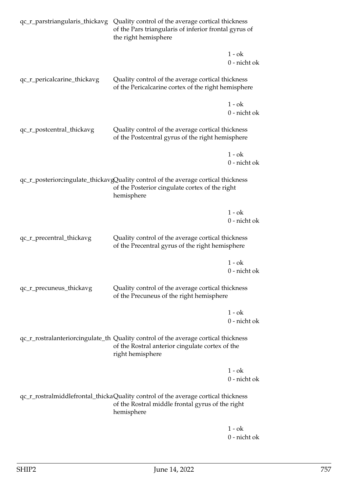| qc_r_parstriangularis_thickavg | Quality control of the average cortical thickness<br>of the Pars triangularis of inferior frontal gyrus of<br>the right hemisphere                        |              |
|--------------------------------|-----------------------------------------------------------------------------------------------------------------------------------------------------------|--------------|
|                                |                                                                                                                                                           | $1 - ok$     |
|                                |                                                                                                                                                           | 0 - nicht ok |
| qc_r_pericalcarine_thickavg    | Quality control of the average cortical thickness<br>of the Pericalcarine cortex of the right hemisphere                                                  |              |
|                                |                                                                                                                                                           | $1 - ok$     |
|                                |                                                                                                                                                           | 0 - nicht ok |
| qc_r_postcentral_thickavg      | Quality control of the average cortical thickness<br>of the Postcentral gyrus of the right hemisphere                                                     |              |
|                                |                                                                                                                                                           | $1 - ok$     |
|                                |                                                                                                                                                           | 0 - nicht ok |
|                                | qc_r_posteriorcingulate_thickavgQuality control of the average cortical thickness<br>of the Posterior cingulate cortex of the right<br>hemisphere         |              |
|                                |                                                                                                                                                           | $1 - ok$     |
|                                |                                                                                                                                                           | 0 - nicht ok |
| qc_r_precentral_thickavg       | Quality control of the average cortical thickness<br>of the Precentral gyrus of the right hemisphere                                                      |              |
|                                |                                                                                                                                                           | $1 - ok$     |
|                                |                                                                                                                                                           | 0 - nicht ok |
| qc_r_precuneus_thickavg        | Quality control of the average cortical thickness<br>of the Precuneus of the right hemisphere                                                             |              |
|                                |                                                                                                                                                           | $1 - ok$     |
|                                |                                                                                                                                                           | 0 - nicht ok |
|                                | qc_r_rostralanteriorcingulate_th Quality control of the average cortical thickness<br>of the Rostral anterior cingulate cortex of the<br>right hemisphere |              |
|                                |                                                                                                                                                           | $1 - ok$     |
|                                |                                                                                                                                                           | 0 - nicht ok |
|                                | qc_r_rostralmiddlefrontal_thickaQuality control of the average cortical thickness<br>of the Rostral middle frontal gyrus of the right<br>hemisphere       |              |
|                                |                                                                                                                                                           |              |

 $1$  -  $\mathrm{o}\mathrm{k}$ 0 - nicht ok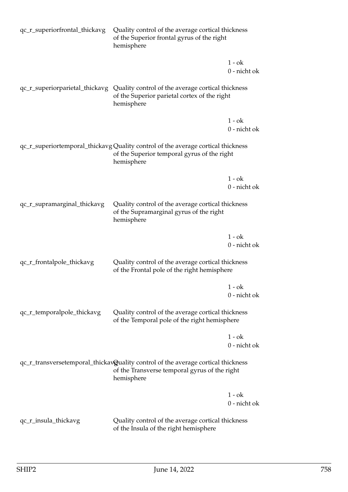| qc_r_superiorfrontal_thickavg | Quality control of the average cortical thickness<br>of the Superior frontal gyrus of the right<br>hemisphere                                   |                          |
|-------------------------------|-------------------------------------------------------------------------------------------------------------------------------------------------|--------------------------|
|                               |                                                                                                                                                 | $1 - ok$<br>0 - nicht ok |
|                               | qc_r_superiorparietal_thickavg Quality control of the average cortical thickness<br>of the Superior parietal cortex of the right<br>hemisphere  |                          |
|                               |                                                                                                                                                 | $1 - ok$<br>0 - nicht ok |
|                               | qc_r_superiortemporal_thickavg Quality control of the average cortical thickness<br>of the Superior temporal gyrus of the right<br>hemisphere   |                          |
|                               |                                                                                                                                                 | $1 - ok$<br>0 - nicht ok |
| qc_r_supramarginal_thickavg   | Quality control of the average cortical thickness<br>of the Supramarginal gyrus of the right<br>hemisphere                                      |                          |
|                               |                                                                                                                                                 | $1 - ok$<br>0 - nicht ok |
| qc_r_frontalpole_thickavg     | Quality control of the average cortical thickness<br>of the Frontal pole of the right hemisphere                                                |                          |
|                               |                                                                                                                                                 | $1 - ok$<br>0 - nicht ok |
| qc_r_temporalpole_thickavg    | Quality control of the average cortical thickness<br>of the Temporal pole of the right hemisphere                                               |                          |
|                               |                                                                                                                                                 | $1 - ok$<br>0 - nicht ok |
|                               | qc_r_transversetemporal_thickav@uality control of the average cortical thickness<br>of the Transverse temporal gyrus of the right<br>hemisphere |                          |
|                               |                                                                                                                                                 | $1 - ok$<br>0 - nicht ok |
| qc_r_insula_thickavg          | Quality control of the average cortical thickness<br>of the Insula of the right hemisphere                                                      |                          |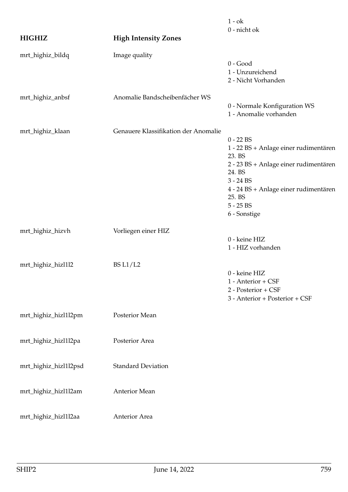| <b>HIGHIZ</b>         | <b>High Intensity Zones</b>          | $1 - ok$<br>0 - nicht ok                                                                                                                                                                                           |
|-----------------------|--------------------------------------|--------------------------------------------------------------------------------------------------------------------------------------------------------------------------------------------------------------------|
| mrt_highiz_bildq      | Image quality                        | $0 - Good$<br>1 - Unzureichend<br>2 - Nicht Vorhanden                                                                                                                                                              |
| mrt_highiz_anbsf      | Anomalie Bandscheibenfächer WS       | 0 - Normale Konfiguration WS<br>1 - Anomalie vorhanden                                                                                                                                                             |
| mrt_highiz_klaan      | Genauere Klassifikation der Anomalie | $0 - 22$ BS<br>1 - 22 BS + Anlage einer rudimentären<br>23. BS<br>2 - 23 BS + Anlage einer rudimentären<br>24. BS<br>$3 - 24$ BS<br>4 - 24 BS + Anlage einer rudimentären<br>25. BS<br>$5 - 25$ BS<br>6 - Sonstige |
| mrt_highiz_hizvh      | Vorliegen einer HIZ                  | 0 - keine HIZ<br>1 - HIZ vorhanden                                                                                                                                                                                 |
| mrt_highiz_hizl1l2    | <b>BS L1/L2</b>                      | 0 - keine HIZ<br>1 - Anterior + CSF<br>2 - Posterior + CSF<br>3 - Anterior + Posterior + CSF                                                                                                                       |
| mrt_highiz_hizl1l2pm  | Posterior Mean                       |                                                                                                                                                                                                                    |
| mrt_highiz_hizl1l2pa  | Posterior Area                       |                                                                                                                                                                                                                    |
| mrt_highiz_hizl1l2psd | <b>Standard Deviation</b>            |                                                                                                                                                                                                                    |
| mrt_highiz_hizl1l2am  | Anterior Mean                        |                                                                                                                                                                                                                    |
| mrt_highiz_hizl1l2aa  | Anterior Area                        |                                                                                                                                                                                                                    |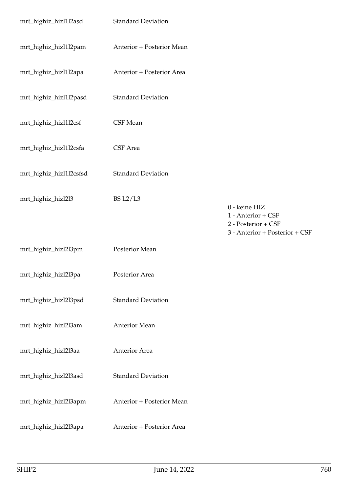| mrt_highiz_hizl1l2asd   | <b>Standard Deviation</b> |                                           |
|-------------------------|---------------------------|-------------------------------------------|
| mrt_highiz_hizl1l2pam   | Anterior + Posterior Mean |                                           |
| mrt_highiz_hizl1l2apa   | Anterior + Posterior Area |                                           |
| mrt_highiz_hizl1l2pasd  | <b>Standard Deviation</b> |                                           |
| mrt_highiz_hizl1l2csf   | CSF Mean                  |                                           |
| mrt_highiz_hizl1l2csfa  | CSF Area                  |                                           |
| mrt_highiz_hizl1l2csfsd | <b>Standard Deviation</b> |                                           |
| mrt_highiz_hizl2l3      | <b>BS L2/L3</b>           | 0 - keine HIZ                             |
|                         |                           | 1 - Anterior + CSF<br>2 - Posterior + CSF |
|                         |                           | 3 - Anterior + Posterior + CSF            |
| mrt_highiz_hizl2l3pm    | Posterior Mean            |                                           |
| mrt_highiz_hizl2l3pa    | Posterior Area            |                                           |
| mrt_highiz_hizl2l3psd   | <b>Standard Deviation</b> |                                           |
| mrt_highiz_hizl2l3am    | Anterior Mean             |                                           |
| mrt_highiz_hizl2l3aa    | Anterior Area             |                                           |
| mrt_highiz_hizl2l3asd   | <b>Standard Deviation</b> |                                           |
| mrt_highiz_hizl2l3apm   | Anterior + Posterior Mean |                                           |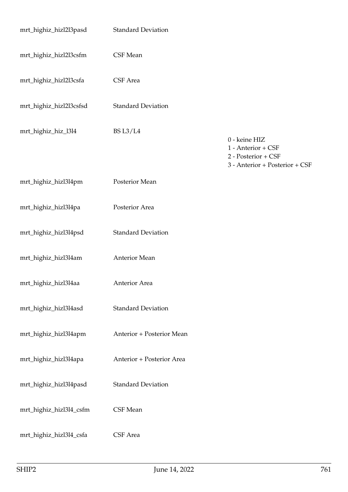| mrt_highiz_hizl2l3pasd  | <b>Standard Deviation</b> |                                                                                              |
|-------------------------|---------------------------|----------------------------------------------------------------------------------------------|
| mrt_highiz_hizl2l3csfm  | CSF Mean                  |                                                                                              |
| mrt_highiz_hizl2l3csfa  | CSF Area                  |                                                                                              |
| mrt_highiz_hizl2l3csfsd | <b>Standard Deviation</b> |                                                                                              |
| mrt_highiz_hiz_l3l4     | <b>BS L3/L4</b>           | 0 - keine HIZ<br>1 - Anterior + CSF<br>2 - Posterior + CSF<br>3 - Anterior + Posterior + CSF |
| mrt_highiz_hizl3l4pm    | Posterior Mean            |                                                                                              |
| mrt_highiz_hizl3l4pa    | Posterior Area            |                                                                                              |
| mrt_highiz_hizl3l4psd   | <b>Standard Deviation</b> |                                                                                              |
| mrt_highiz_hizl3l4am    | Anterior Mean             |                                                                                              |
| mrt_highiz_hizl3l4aa    | <b>Anterior Area</b>      |                                                                                              |
| mrt_highiz_hizl3l4asd   | <b>Standard Deviation</b> |                                                                                              |
| mrt_highiz_hizl3l4apm   | Anterior + Posterior Mean |                                                                                              |
| mrt_highiz_hizl3l4apa   | Anterior + Posterior Area |                                                                                              |
| mrt_highiz_hizl3l4pasd  | <b>Standard Deviation</b> |                                                                                              |
| mrt_highiz_hizl3l4_csfm | CSF Mean                  |                                                                                              |
| mrt_highiz_hizl3l4_csfa | CSF Area                  |                                                                                              |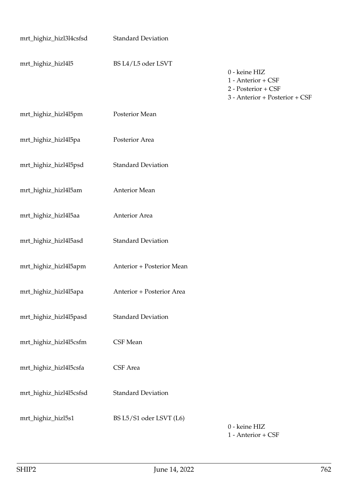| mrt_highiz_hizl3l4csfsd | <b>Standard Deviation</b> |                                                                                              |
|-------------------------|---------------------------|----------------------------------------------------------------------------------------------|
| mrt_highiz_hizl4l5      | BS L4/L5 oder LSVT        | 0 - keine HIZ<br>1 - Anterior + CSF<br>2 - Posterior + CSF<br>3 - Anterior + Posterior + CSF |
| mrt_highiz_hizl4l5pm    | Posterior Mean            |                                                                                              |
| mrt_highiz_hizl4l5pa    | Posterior Area            |                                                                                              |
| mrt_highiz_hizl4l5psd   | <b>Standard Deviation</b> |                                                                                              |
| mrt_highiz_hizl4l5am    | Anterior Mean             |                                                                                              |
| mrt_highiz_hizl4l5aa    | Anterior Area             |                                                                                              |
| mrt_highiz_hizl4l5asd   | <b>Standard Deviation</b> |                                                                                              |
| mrt_highiz_hizl4l5apm   | Anterior + Posterior Mean |                                                                                              |
| mrt_highiz_hizl4l5apa   | Anterior + Posterior Area |                                                                                              |
| mrt_highiz_hizl4l5pasd  | <b>Standard Deviation</b> |                                                                                              |
| mrt_highiz_hizl4l5csfm  | CSF Mean                  |                                                                                              |
| mrt_highiz_hizl4l5csfa  | CSF Area                  |                                                                                              |
| mrt_highiz_hizl4l5csfsd | <b>Standard Deviation</b> |                                                                                              |
| mrt_highiz_hizl5s1      | BS L5/S1 oder LSVT (L6)   | 0 - keine HIZ<br>$\cap$ $\cap$                                                               |

1 - Anterior + CSF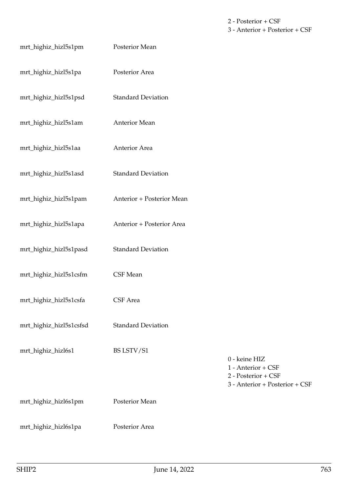2 - Posterior + CSF 3 - Anterior + Posterior + CSF

| mrt_highiz_hizl5s1pm    | Posterior Mean            |                                                                                              |
|-------------------------|---------------------------|----------------------------------------------------------------------------------------------|
| mrt_highiz_hizl5s1pa    | Posterior Area            |                                                                                              |
| mrt_highiz_hizl5s1psd   | <b>Standard Deviation</b> |                                                                                              |
| mrt_highiz_hizl5s1am    | Anterior Mean             |                                                                                              |
| mrt_highiz_hizl5s1aa    | Anterior Area             |                                                                                              |
| mrt_highiz_hizl5s1asd   | <b>Standard Deviation</b> |                                                                                              |
| mrt_highiz_hizl5s1pam   | Anterior + Posterior Mean |                                                                                              |
| mrt_highiz_hizl5s1apa   | Anterior + Posterior Area |                                                                                              |
| mrt_highiz_hizl5s1pasd  | <b>Standard Deviation</b> |                                                                                              |
| mrt_highiz_hizl5s1csfm  | CSF Mean                  |                                                                                              |
| mrt_highiz_hizl5s1csfa  | CSF Area                  |                                                                                              |
| mrt_highiz_hizl5s1csfsd | <b>Standard Deviation</b> |                                                                                              |
| mrt_highiz_hizl6s1      | BS LSTV/S1                | 0 - keine HIZ<br>1 - Anterior + CSF<br>2 - Posterior + CSF<br>3 - Anterior + Posterior + CSF |
| mrt_highiz_hizl6s1pm    | Posterior Mean            |                                                                                              |
| mrt_highiz_hizl6s1pa    | Posterior Area            |                                                                                              |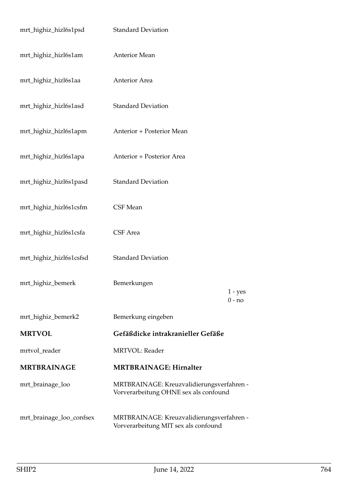| mrt_highiz_hizl6s1psd    | <b>Standard Deviation</b>                                                          |                       |
|--------------------------|------------------------------------------------------------------------------------|-----------------------|
| mrt_highiz_hizl6s1am     | <b>Anterior Mean</b>                                                               |                       |
| mrt_highiz_hizl6s1aa     | Anterior Area                                                                      |                       |
| mrt_highiz_hizl6s1asd    | <b>Standard Deviation</b>                                                          |                       |
| mrt_highiz_hizl6s1apm    | Anterior + Posterior Mean                                                          |                       |
| mrt_highiz_hizl6s1apa    | Anterior + Posterior Area                                                          |                       |
| mrt_highiz_hizl6s1pasd   | <b>Standard Deviation</b>                                                          |                       |
| mrt_highiz_hizl6s1csfm   | CSF Mean                                                                           |                       |
| mrt_highiz_hizl6s1csfa   | CSF Area                                                                           |                       |
| mrt_highiz_hizl6s1csfsd  | <b>Standard Deviation</b>                                                          |                       |
| mrt_highiz_bemerk        | Bemerkungen                                                                        | $1 - yes$<br>$0 - no$ |
| mrt_highiz_bemerk2       | Bemerkung eingeben                                                                 |                       |
| <b>MRTVOL</b>            | Gefäßdicke intrakranieller Gefäße                                                  |                       |
| mrtvol_reader            | <b>MRTVOL: Reader</b>                                                              |                       |
| <b>MRTBRAINAGE</b>       | <b>MRTBRAINAGE: Hirnalter</b>                                                      |                       |
| mrt_brainage_loo         | MRTBRAINAGE: Kreuzvalidierungsverfahren -<br>Vorverarbeitung OHNE sex als confound |                       |
| mrt_brainage_loo_confsex | MRTBRAINAGE: Kreuzvalidierungsverfahren -<br>Vorverarbeitung MIT sex als confound  |                       |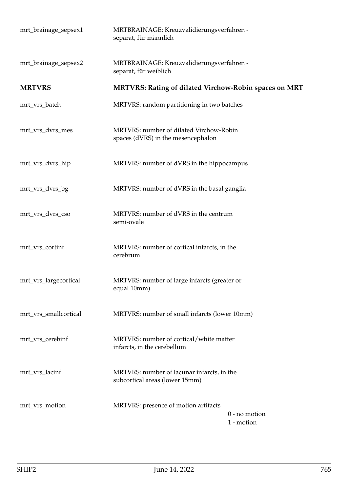| mrt_brainage_sepsex1  | MRTBRAINAGE: Kreuzvalidierungsverfahren -<br>separat, für männlich            |
|-----------------------|-------------------------------------------------------------------------------|
| mrt_brainage_sepsex2  | MRTBRAINAGE: Kreuzvalidierungsverfahren -<br>separat, für weiblich            |
| <b>MRTVRS</b>         | MRTVRS: Rating of dilated Virchow-Robin spaces on MRT                         |
| mrt_vrs_batch         | MRTVRS: random partitioning in two batches                                    |
| mrt_vrs_dvrs_mes      | MRTVRS: number of dilated Virchow-Robin<br>spaces (dVRS) in the mesencephalon |
| mrt_vrs_dvrs_hip      | MRTVRS: number of dVRS in the hippocampus                                     |
| mrt_vrs_dvrs_bg       | MRTVRS: number of dVRS in the basal ganglia                                   |
| mrt_vrs_dvrs_cso      | MRTVRS: number of dVRS in the centrum<br>semi-ovale                           |
| mrt_vrs_cortinf       | MRTVRS: number of cortical infarcts, in the<br>cerebrum                       |
| mrt_vrs_largecortical | MRTVRS: number of large infarcts (greater or<br>equal 10mm)                   |
| mrt_vrs_smallcortical | MRTVRS: number of small infarcts (lower 10mm)                                 |
| mrt_vrs_cerebinf      | MRTVRS: number of cortical/white matter<br>infarcts, in the cerebellum        |
| mrt_vrs_lacinf        | MRTVRS: number of lacunar infarcts, in the<br>subcortical areas (lower 15mm)  |
| mrt_vrs_motion        | MRTVRS: presence of motion artifacts<br>$0$ - no motion<br>1 - motion         |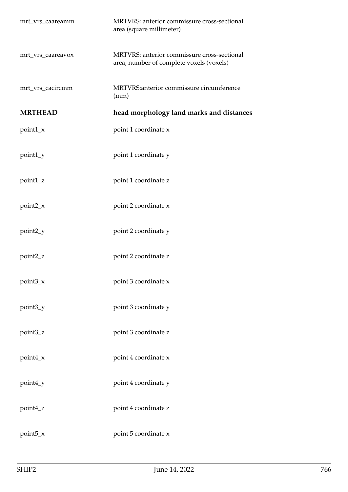| mrt_vrs_caareamm  | MRTVRS: anterior commissure cross-sectional<br>area (square millimeter)                 |
|-------------------|-----------------------------------------------------------------------------------------|
| mrt_vrs_caareavox | MRTVRS: anterior commissure cross-sectional<br>area, number of complete voxels (voxels) |
| mrt_vrs_cacircmm  | MRTVRS: anterior commissure circumference<br>(mm)                                       |
| <b>MRTHEAD</b>    | head morphology land marks and distances                                                |
| $point1_x$        | point 1 coordinate x                                                                    |
| point1_y          | point 1 coordinate y                                                                    |
| point1_z          | point 1 coordinate z                                                                    |
| $point2_x$        | point 2 coordinate x                                                                    |
| point2_y          | point 2 coordinate y                                                                    |
| point2_z          | point 2 coordinate z                                                                    |
| point3_x          | point 3 coordinate x                                                                    |
| point3_y          | point 3 coordinate y                                                                    |
| point3_z          | point 3 coordinate z                                                                    |
| $point4_x$        | point 4 coordinate x                                                                    |
| point4_y          | point 4 coordinate y                                                                    |
| point4_z          | point 4 coordinate z                                                                    |
| $point5_x$        | point 5 coordinate x                                                                    |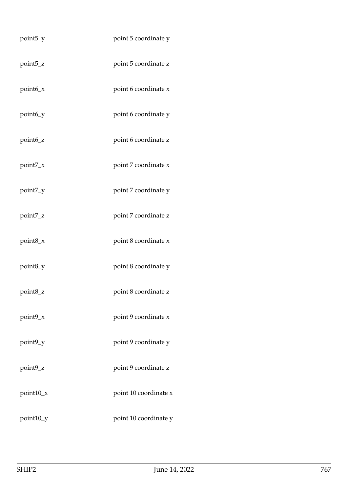| point <sub>5_y</sub> | point 5 coordinate y  |
|----------------------|-----------------------|
| point <sub>5_z</sub> | point 5 coordinate z  |
| point6_x             | point 6 coordinate x  |
| point6_y             | point 6 coordinate y  |
| point <sub>6_z</sub> | point 6 coordinate z  |
| point7_x             | point 7 coordinate x  |
| point7_y             | point 7 coordinate y  |
| point7_z             | point 7 coordinate z  |
| point8_x             | point 8 coordinate x  |
| point8_y             | point 8 coordinate y  |
| point8_z             | point 8 coordinate z  |
| point9_x             | point 9 coordinate x  |
| point9_y             | point 9 coordinate y  |
| point9_z             | point 9 coordinate z  |
| point10_x            | point 10 coordinate x |
| point10_y            | point 10 coordinate y |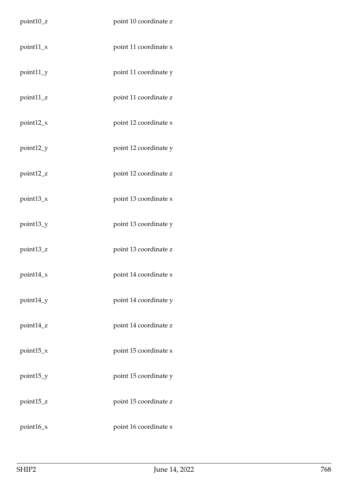| point10_z   | point 10 coordinate z |
|-------------|-----------------------|
| $point11_x$ | point 11 coordinate x |
| point11_y   | point 11 coordinate y |
| point11_z   | point 11 coordinate z |
| $point12_x$ | point 12 coordinate x |
| point12_y   | point 12 coordinate y |
| point12_z   | point 12 coordinate z |
| point13_x   | point 13 coordinate x |
| point13_y   | point 13 coordinate y |
| point13_z   | point 13 coordinate z |
| point14_x   | point 14 coordinate x |
| point14_y   | point 14 coordinate y |
| point14_z   | point 14 coordinate z |
| point15_x   | point 15 coordinate x |
| point15_y   | point 15 coordinate y |
| point15_z   | point 15 coordinate z |
| point16_x   | point 16 coordinate x |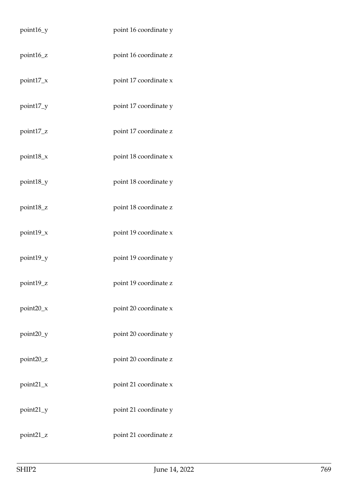| point16_y    | point 16 coordinate y |
|--------------|-----------------------|
| point16_z    | point 16 coordinate z |
| point17_x    | point 17 coordinate x |
| point17_y    | point 17 coordinate y |
| point17_z    | point 17 coordinate z |
| point $18_x$ | point 18 coordinate x |
| point18_y    | point 18 coordinate y |
| point18_z    | point 18 coordinate z |
| point19_x    | point 19 coordinate x |
| point19_y    | point 19 coordinate y |
| point19_z    | point 19 coordinate z |
| $point20_x$  | point 20 coordinate x |
| point20_y    | point 20 coordinate y |
| point20_z    | point 20 coordinate z |
| $point21_x$  | point 21 coordinate x |
| point21_y    | point 21 coordinate y |
| point21_z    | point 21 coordinate z |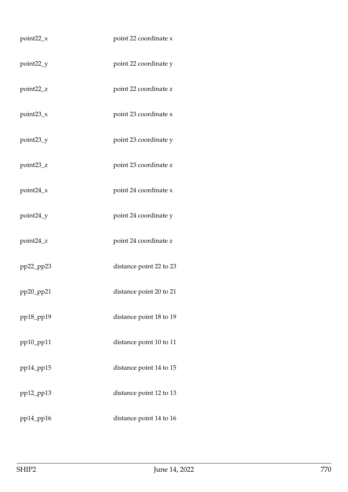| $point22_x$     | point 22 coordinate x   |
|-----------------|-------------------------|
| point22_y       | point 22 coordinate y   |
| point22_z       | point 22 coordinate z   |
| $point23_x$     | point 23 coordinate x   |
| point23_y       | point 23 coordinate y   |
| point23_z       | point 23 coordinate z   |
| point24_x       | point 24 coordinate x   |
| point24_y       | point 24 coordinate y   |
| point24_z       | point 24 coordinate z   |
| pp22_pp23       | distance point 22 to 23 |
| pp20_pp21       | distance point 20 to 21 |
| pp18_pp19       | distance point 18 to 19 |
| pp10_pp11       | distance point 10 to 11 |
| $pp14$ _pp15    | distance point 14 to 15 |
| $pp12$ _ $pp13$ | distance point 12 to 13 |
| pp14_pp16       | distance point 14 to 16 |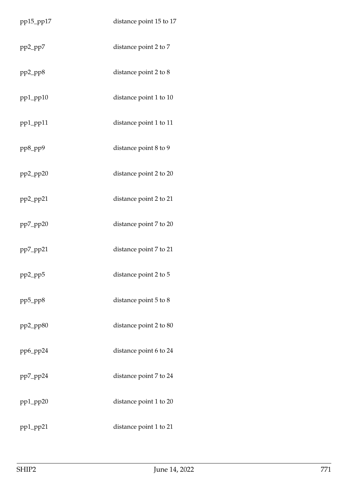| pp15_pp17              | distance point 15 to 17 |
|------------------------|-------------------------|
| pp2_pp7                | distance point 2 to 7   |
| $pp2$ _pp8             | distance point 2 to 8   |
| $pp1$ _ $pp10$         | distance point 1 to 10  |
| $pp1$ <sub>-pp11</sub> | distance point 1 to 11  |
| $pp8$ _pp $9$          | distance point 8 to 9   |
| $pp2$ _ $pp20$         | distance point 2 to 20  |
| $pp2$ _ $pp21$         | distance point 2 to 21  |
| $pp7$ _pp20            | distance point 7 to 20  |
| $pp7$ _pp21            | distance point 7 to 21  |
| $pp2$ _ $pp5$          | distance point 2 to 5   |
| $pp5$ _pp $8$          | distance point 5 to 8   |
| pp2_pp80               | distance point 2 to 80  |
| pp6_pp24               | distance point 6 to 24  |
| $pp7$ _pp24            | distance point 7 to 24  |
| $pp1$ <sub>-pp20</sub> | distance point 1 to 20  |
| $pp1$ <sub>-pp21</sub> | distance point 1 to 21  |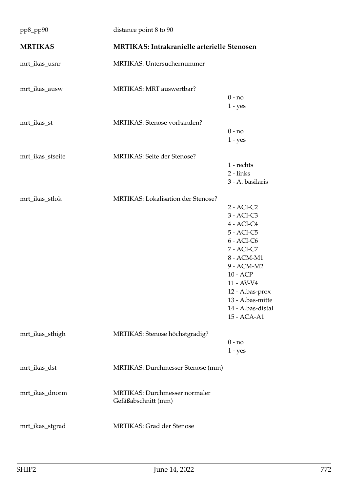| pp8_pp90         | distance point 8 to 90                               |                                                                                                                                                                                                                       |
|------------------|------------------------------------------------------|-----------------------------------------------------------------------------------------------------------------------------------------------------------------------------------------------------------------------|
| <b>MRTIKAS</b>   | <b>MRTIKAS: Intrakranielle arterielle Stenosen</b>   |                                                                                                                                                                                                                       |
| mrt_ikas_usnr    | MRTIKAS: Untersuchernummer                           |                                                                                                                                                                                                                       |
| mrt_ikas_ausw    | MRTIKAS: MRT auswertbar?                             | $0 - no$<br>$1 - yes$                                                                                                                                                                                                 |
| mrt_ikas_st      | MRTIKAS: Stenose vorhanden?                          | $0 - no$<br>$1 - yes$                                                                                                                                                                                                 |
| mrt_ikas_stseite | MRTIKAS: Seite der Stenose?                          | 1 - rechts<br>$2 - links$<br>3 - A. basilaris                                                                                                                                                                         |
| mrt_ikas_stlok   | MRTIKAS: Lokalisation der Stenose?                   | $2 - ACI-C2$<br>3 - ACI-C3<br>4 - ACI-C4<br>5 - ACI-C5<br>$6 - ACI-C6$<br>7 - ACI-C7<br>8 - ACM-M1<br>9 - ACM-M2<br>10 - ACP<br>11 - AV-V4<br>12 - A.bas-prox<br>13 - A.bas-mitte<br>14 - A.bas-distal<br>15 - ACA-A1 |
| mrt_ikas_sthigh  | MRTIKAS: Stenose höchstgradig?                       | $0 - no$<br>$1 - yes$                                                                                                                                                                                                 |
| mrt_ikas_dst     | MRTIKAS: Durchmesser Stenose (mm)                    |                                                                                                                                                                                                                       |
| mrt_ikas_dnorm   | MRTIKAS: Durchmesser normaler<br>Gefäßabschnitt (mm) |                                                                                                                                                                                                                       |
| mrt_ikas_stgrad  | <b>MRTIKAS: Grad der Stenose</b>                     |                                                                                                                                                                                                                       |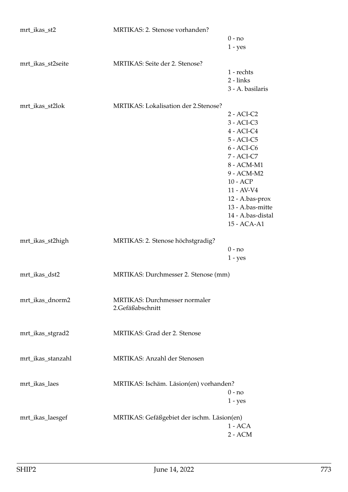| mrt_ikas_st2      | MRTIKAS: 2. Stenose vorhanden?             |                          |
|-------------------|--------------------------------------------|--------------------------|
|                   |                                            | $0 - no$                 |
|                   |                                            | $1 - yes$                |
| mrt_ikas_st2seite | MRTIKAS: Seite der 2. Stenose?             |                          |
|                   |                                            | 1 - rechts               |
|                   |                                            | $2 - links$              |
|                   |                                            | 3 - A. basilaris         |
| mrt_ikas_st2lok   | MRTIKAS: Lokalisation der 2.Stenose?       |                          |
|                   |                                            | $2 - ACI-C2$             |
|                   |                                            | $3 - ACI-C3$             |
|                   |                                            | $4 - ACI-C4$             |
|                   |                                            | 5 - ACI-C5               |
|                   |                                            | $6 - ACI-C6$             |
|                   |                                            | 7 - ACI-C7               |
|                   |                                            | 8 - ACM-M1<br>9 - ACM-M2 |
|                   |                                            | 10 - ACP                 |
|                   |                                            | 11 - AV-V4               |
|                   |                                            | 12 - A.bas-prox          |
|                   |                                            | 13 - A.bas-mitte         |
|                   |                                            | 14 - A.bas-distal        |
|                   |                                            | 15 - ACA-A1              |
| mrt_ikas_st2high  | MRTIKAS: 2. Stenose höchstgradig?          |                          |
|                   |                                            | $0 - no$                 |
|                   |                                            | $1 - yes$                |
| mrt_ikas_dst2     | MRTIKAS: Durchmesser 2. Stenose (mm)       |                          |
|                   |                                            |                          |
| mrt_ikas_dnorm2   | MRTIKAS: Durchmesser normaler              |                          |
|                   | 2.Gefäßabschnitt                           |                          |
|                   |                                            |                          |
|                   | MRTIKAS: Grad der 2. Stenose               |                          |
| mrt_ikas_stgrad2  |                                            |                          |
|                   |                                            |                          |
| mrt_ikas_stanzahl | MRTIKAS: Anzahl der Stenosen               |                          |
|                   |                                            |                          |
| mrt_ikas_laes     | MRTIKAS: Ischäm. Läsion(en) vorhanden?     |                          |
|                   |                                            | $0 - no$                 |
|                   |                                            | $1 - yes$                |
|                   |                                            |                          |
| mrt_ikas_laesgef  | MRTIKAS: Gefäßgebiet der ischm. Läsion(en) | $1 - ACA$                |
|                   |                                            | $2 - ACM$                |
|                   |                                            |                          |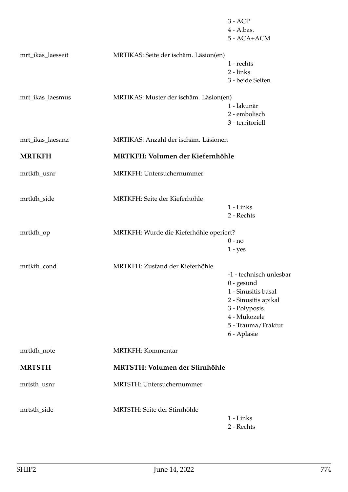|                   |                                         | $3 - ACP$<br>4 - A.bas.<br>5 - ACA+ACM                                                                                                                       |
|-------------------|-----------------------------------------|--------------------------------------------------------------------------------------------------------------------------------------------------------------|
| mrt_ikas_laesseit | MRTIKAS: Seite der ischäm. Läsion(en)   | 1 - rechts<br>$2 - links$<br>3 - beide Seiten                                                                                                                |
| mrt_ikas_laesmus  | MRTIKAS: Muster der ischäm. Läsion(en)  | 1 - lakunär<br>2 - embolisch<br>3 - territoriell                                                                                                             |
| mrt_ikas_laesanz  | MRTIKAS: Anzahl der ischäm. Läsionen    |                                                                                                                                                              |
| <b>MRTKFH</b>     | MRTKFH: Volumen der Kiefernhöhle        |                                                                                                                                                              |
| mrtkfh_usnr       | MRTKFH: Untersuchernummer               |                                                                                                                                                              |
| mrtkfh_side       | MRTKFH: Seite der Kieferhöhle           | 1 - Links<br>2 - Rechts                                                                                                                                      |
| mrtkfh_op         | MRTKFH: Wurde die Kieferhöhle operiert? | $0 - no$<br>$1 - yes$                                                                                                                                        |
| mrtkfh_cond       | MRTKFH: Zustand der Kieferhöhle         | -1 - technisch unlesbar<br>$0$ - gesund<br>1 - Sinusitis basal<br>2 - Sinusitis apikal<br>3 - Polyposis<br>4 - Mukozele<br>5 - Trauma/Fraktur<br>6 - Aplasie |
| mrtkfh_note       | <b>MRTKFH: Kommentar</b>                |                                                                                                                                                              |
| <b>MRTSTH</b>     | MRTSTH: Volumen der Stirnhöhle          |                                                                                                                                                              |
| mrtsth_usnr       | MRTSTH: Untersuchernummer               |                                                                                                                                                              |
| mrtsth_side       | MRTSTH: Seite der Stirnhöhle            | 1 - Links<br>2 - Rechts                                                                                                                                      |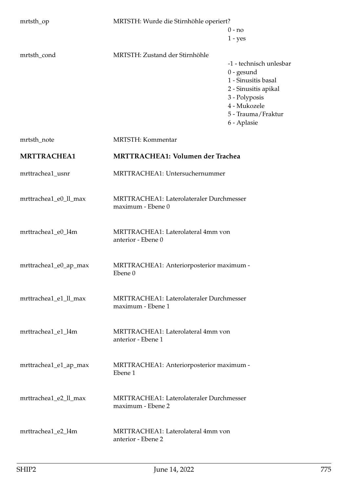| mrtsth_op             | MRTSTH: Wurde die Stirnhöhle operiert?                        |                                                                                                                                                              |
|-----------------------|---------------------------------------------------------------|--------------------------------------------------------------------------------------------------------------------------------------------------------------|
|                       |                                                               | $0 - no$                                                                                                                                                     |
|                       |                                                               | $1 - yes$                                                                                                                                                    |
| mrtsth_cond           | MRTSTH: Zustand der Stirnhöhle                                | -1 - technisch unlesbar<br>$0$ - gesund<br>1 - Sinusitis basal<br>2 - Sinusitis apikal<br>3 - Polyposis<br>4 - Mukozele<br>5 - Trauma/Fraktur<br>6 - Aplasie |
| mrtsth_note           | <b>MRTSTH:</b> Kommentar                                      |                                                                                                                                                              |
| <b>MRTTRACHEA1</b>    | <b>MRTTRACHEA1: Volumen der Trachea</b>                       |                                                                                                                                                              |
| mrttrachea1_usnr      | MRTTRACHEA1: Untersuchernummer                                |                                                                                                                                                              |
|                       |                                                               |                                                                                                                                                              |
| mrttrachea1_e0_ll_max | MRTTRACHEA1: Laterolateraler Durchmesser<br>maximum - Ebene 0 |                                                                                                                                                              |
| mrttrachea1_e0_l4m    | MRTTRACHEA1: Laterolateral 4mm von<br>anterior - Ebene 0      |                                                                                                                                                              |
| mrttrachea1_e0_ap_max | MRTTRACHEA1: Anteriorposterior maximum -<br>Ebene 0           |                                                                                                                                                              |
| mrttrachea1_e1_ll_max | MRTTRACHEA1: Laterolateraler Durchmesser<br>maximum - Ebene 1 |                                                                                                                                                              |
| mrttrachea1_e1_l4m    | MRTTRACHEA1: Laterolateral 4mm von<br>anterior - Ebene 1      |                                                                                                                                                              |
| mrttrachea1_e1_ap_max | MRTTRACHEA1: Anteriorposterior maximum -<br>Ebene 1           |                                                                                                                                                              |
| mrttrachea1_e2_ll_max | MRTTRACHEA1: Laterolateraler Durchmesser<br>maximum - Ebene 2 |                                                                                                                                                              |
| mrttrachea1_e2_l4m    | MRTTRACHEA1: Laterolateral 4mm von<br>anterior - Ebene 2      |                                                                                                                                                              |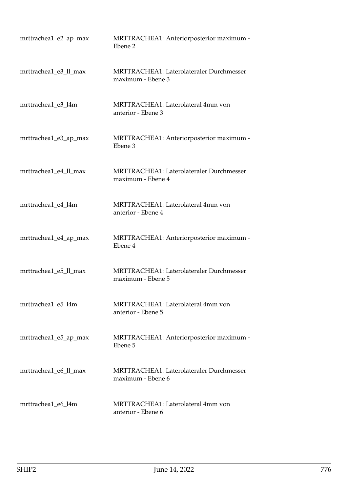| mrttrachea1_e2_ap_max | MRTTRACHEA1: Anteriorposterior maximum -<br>Ebene 2                  |
|-----------------------|----------------------------------------------------------------------|
| mrttrachea1_e3_ll_max | <b>MRTTRACHEA1: Laterolateraler Durchmesser</b><br>maximum - Ebene 3 |
| mrttrachea1_e3_l4m    | MRTTRACHEA1: Laterolateral 4mm von<br>anterior - Ebene 3             |
| mrttrachea1_e3_ap_max | MRTTRACHEA1: Anteriorposterior maximum -<br>Ebene 3                  |
| mrttrachea1_e4_ll_max | MRTTRACHEA1: Laterolateraler Durchmesser<br>maximum - Ebene 4        |
| mrttrachea1_e4_l4m    | MRTTRACHEA1: Laterolateral 4mm von<br>anterior - Ebene 4             |
| mrttrachea1_e4_ap_max | MRTTRACHEA1: Anteriorposterior maximum -<br>Ebene 4                  |
| mrttrachea1_e5_ll_max | MRTTRACHEA1: Laterolateraler Durchmesser<br>maximum - Ebene 5        |
| mrttrachea1_e5_l4m    | MRTTRACHEA1: Laterolateral 4mm von<br>anterior - Ebene 5             |
| mrttrachea1_e5_ap_max | MRTTRACHEA1: Anteriorposterior maximum -<br>Ebene 5                  |
| mrttrachea1_e6_ll_max | <b>MRTTRACHEA1: Laterolateraler Durchmesser</b><br>maximum - Ebene 6 |
| mrttrachea1_e6_l4m    | MRTTRACHEA1: Laterolateral 4mm von<br>anterior - Ebene 6             |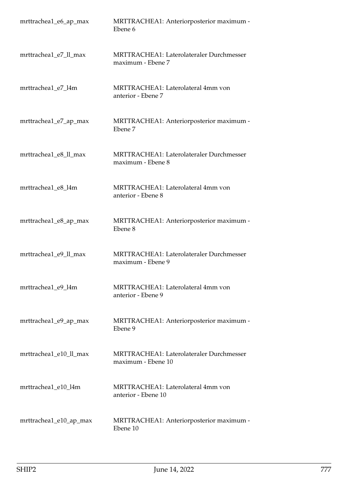| mrttrachea1_e6_ap_max  | MRTTRACHEA1: Anteriorposterior maximum -<br>Ebene 6                   |
|------------------------|-----------------------------------------------------------------------|
| mrttrachea1_e7_ll_max  | <b>MRTTRACHEA1: Laterolateraler Durchmesser</b><br>maximum - Ebene 7  |
| mrttrachea1_e7_l4m     | MRTTRACHEA1: Laterolateral 4mm von<br>anterior - Ebene 7              |
| mrttrachea1_e7_ap_max  | MRTTRACHEA1: Anteriorposterior maximum -<br>Ebene 7                   |
| mrttrachea1_e8_ll_max  | MRTTRACHEA1: Laterolateraler Durchmesser<br>maximum - Ebene 8         |
| mrttrachea1_e8_l4m     | MRTTRACHEA1: Laterolateral 4mm von<br>anterior - Ebene 8              |
| mrttrachea1_e8_ap_max  | MRTTRACHEA1: Anteriorposterior maximum -<br>Ebene 8                   |
| mrttrachea1_e9_ll_max  | MRTTRACHEA1: Laterolateraler Durchmesser<br>maximum - Ebene 9         |
| mrttrachea1_e9_l4m     | MRTTRACHEA1: Laterolateral 4mm von<br>anterior - Ebene 9              |
| mrttrachea1_e9_ap_max  | MRTTRACHEA1: Anteriorposterior maximum -<br>Ebene 9                   |
| mrttrachea1_e10_ll_max | <b>MRTTRACHEA1: Laterolateraler Durchmesser</b><br>maximum - Ebene 10 |
| mrttrachea1_e10_l4m    | MRTTRACHEA1: Laterolateral 4mm von<br>anterior - Ebene 10             |
| mrttrachea1_e10_ap_max | MRTTRACHEA1: Anteriorposterior maximum -<br>Ebene 10                  |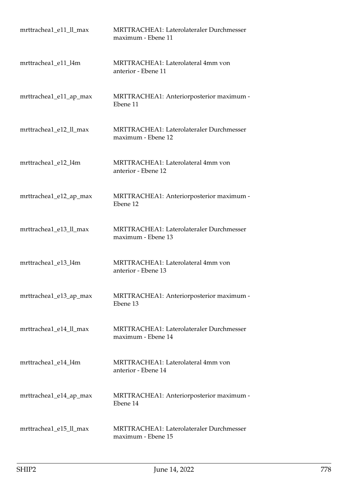| mrttrachea1_e11_ll_max | MRTTRACHEA1: Laterolateraler Durchmesser<br>maximum - Ebene 11        |
|------------------------|-----------------------------------------------------------------------|
| mrttrachea1_e11_l4m    | MRTTRACHEA1: Laterolateral 4mm von<br>anterior - Ebene 11             |
| mrttrachea1_e11_ap_max | MRTTRACHEA1: Anteriorposterior maximum -<br>Ebene 11                  |
| mrttrachea1_e12_ll_max | MRTTRACHEA1: Laterolateraler Durchmesser<br>maximum - Ebene 12        |
| mrttrachea1_e12_l4m    | MRTTRACHEA1: Laterolateral 4mm von<br>anterior - Ebene 12             |
| mrttrachea1_e12_ap_max | MRTTRACHEA1: Anteriorposterior maximum -<br>Ebene 12                  |
| mrttrachea1_e13_ll_max | MRTTRACHEA1: Laterolateraler Durchmesser<br>maximum - Ebene 13        |
| mrttrachea1_e13_l4m    | MRTTRACHEA1: Laterolateral 4mm von<br>anterior - Ebene 13             |
| mrttrachea1_e13_ap_max | MRTTRACHEA1: Anteriorposterior maximum -<br>Ebene 13                  |
| mrttrachea1_e14_ll_max | <b>MRTTRACHEA1: Laterolateraler Durchmesser</b><br>maximum - Ebene 14 |
| mrttrachea1_e14_l4m    | MRTTRACHEA1: Laterolateral 4mm von<br>anterior - Ebene 14             |
| mrttrachea1_e14_ap_max | MRTTRACHEA1: Anteriorposterior maximum -<br>Ebene 14                  |
| mrttrachea1_e15_ll_max | MRTTRACHEA1: Laterolateraler Durchmesser<br>maximum - Ebene 15        |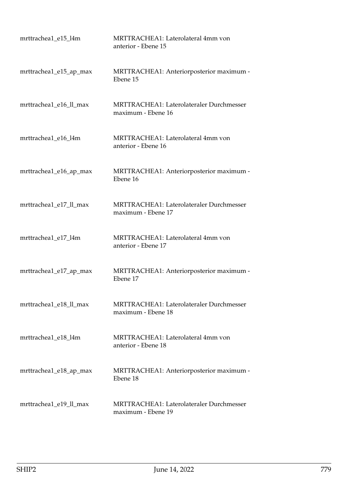| mrttrachea1_e15_l4m    | MRTTRACHEA1: Laterolateral 4mm von<br>anterior - Ebene 15             |
|------------------------|-----------------------------------------------------------------------|
| mrttrachea1_e15_ap_max | MRTTRACHEA1: Anteriorposterior maximum -<br>Ebene 15                  |
| mrttrachea1_e16_ll_max | MRTTRACHEA1: Laterolateraler Durchmesser<br>maximum - Ebene 16        |
| mrttrachea1_e16_l4m    | MRTTRACHEA1: Laterolateral 4mm von<br>anterior - Ebene 16             |
| mrttrachea1_e16_ap_max | MRTTRACHEA1: Anteriorposterior maximum -<br>Ebene 16                  |
| mrttrachea1_e17_ll_max | <b>MRTTRACHEA1: Laterolateraler Durchmesser</b><br>maximum - Ebene 17 |
| mrttrachea1_e17_l4m    | MRTTRACHEA1: Laterolateral 4mm von<br>anterior - Ebene 17             |
| mrttrachea1_e17_ap_max | MRTTRACHEA1: Anteriorposterior maximum -<br>Ebene 17                  |
| mrttrachea1_e18_ll_max | MRTTRACHEA1: Laterolateraler Durchmesser<br>maximum - Ebene 18        |
| mrttrachea1 e18 l4m    | MRTTRACHEA1: Laterolateral 4mm von<br>anterior - Ebene 18             |
| mrttrachea1_e18_ap_max | MRTTRACHEA1: Anteriorposterior maximum -<br>Ebene 18                  |
| mrttrachea1_e19_ll_max | MRTTRACHEA1: Laterolateraler Durchmesser<br>maximum - Ebene 19        |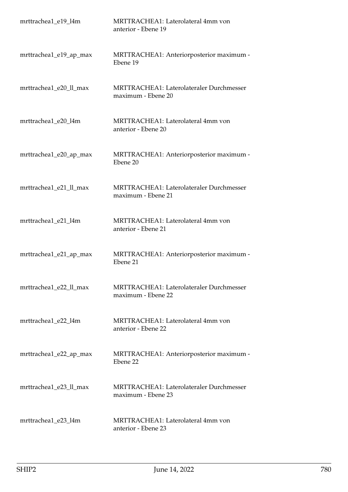| mrttrachea1_e19_l4m    | MRTTRACHEA1: Laterolateral 4mm von<br>anterior - Ebene 19             |
|------------------------|-----------------------------------------------------------------------|
| mrttrachea1_e19_ap_max | MRTTRACHEA1: Anteriorposterior maximum -<br>Ebene 19                  |
| mrttrachea1_e20_ll_max | MRTTRACHEA1: Laterolateraler Durchmesser<br>maximum - Ebene 20        |
| mrttrachea1_e20_l4m    | MRTTRACHEA1: Laterolateral 4mm von<br>anterior - Ebene 20             |
| mrttrachea1_e20_ap_max | MRTTRACHEA1: Anteriorposterior maximum -<br>Ebene 20                  |
| mrttrachea1_e21_ll_max | <b>MRTTRACHEA1: Laterolateraler Durchmesser</b><br>maximum - Ebene 21 |
| mrttrachea1_e21_l4m    | MRTTRACHEA1: Laterolateral 4mm von<br>anterior - Ebene 21             |
| mrttrachea1_e21_ap_max | MRTTRACHEA1: Anteriorposterior maximum -<br>Ebene 21                  |
| mrttrachea1_e22_ll_max | MRTTRACHEA1: Laterolateraler Durchmesser<br>maximum - Ebene 22        |
| mrttrachea1_e22_l4m    | MRTTRACHEA1: Laterolateral 4mm von<br>anterior - Ebene 22             |
| mrttrachea1_e22_ap_max | MRTTRACHEA1: Anteriorposterior maximum -<br>Ebene 22                  |
| mrttrachea1_e23_ll_max | <b>MRTTRACHEA1: Laterolateraler Durchmesser</b><br>maximum - Ebene 23 |
| mrttrachea1_e23_l4m    | MRTTRACHEA1: Laterolateral 4mm von<br>anterior - Ebene 23             |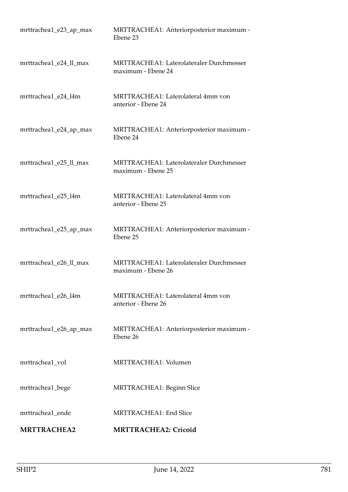| mrttrachea1_e23_ap_max | MRTTRACHEA1: Anteriorposterior maximum -<br>Ebene 23                  |
|------------------------|-----------------------------------------------------------------------|
| mrttrachea1_e24_ll_max | <b>MRTTRACHEA1: Laterolateraler Durchmesser</b><br>maximum - Ebene 24 |
| mrttrachea1_e24_l4m    | MRTTRACHEA1: Laterolateral 4mm von<br>anterior - Ebene 24             |
| mrttrachea1_e24_ap_max | MRTTRACHEA1: Anteriorposterior maximum -<br>Ebene 24                  |
| mrttrachea1_e25_ll_max | <b>MRTTRACHEA1: Laterolateraler Durchmesser</b><br>maximum - Ebene 25 |
| mrttrachea1_e25_l4m    | MRTTRACHEA1: Laterolateral 4mm von<br>anterior - Ebene 25             |
| mrttrachea1_e25_ap_max | MRTTRACHEA1: Anteriorposterior maximum -<br>Ebene 25                  |
| mrttrachea1_e26_ll_max | MRTTRACHEA1: Laterolateraler Durchmesser<br>maximum - Ebene 26        |
| mrttrachea1_e26_l4m    | MRTTRACHEA1: Laterolateral 4mm von<br>anterior - Ebene 26             |
| mrttrachea1_e26_ap_max | MRTTRACHEA1: Anteriorposterior maximum -<br>Ebene 26                  |
| mrttrachea1_vol        | MRTTRACHEA1: Volumen                                                  |
| mrttrachea1_bege       | <b>MRTTRACHEA1: Beginn Slice</b>                                      |
| mrttrachea1_ende       | <b>MRTTRACHEA1: End Slice</b>                                         |
| <b>MRTTRACHEA2</b>     | <b>MRTTRACHEA2: Cricoid</b>                                           |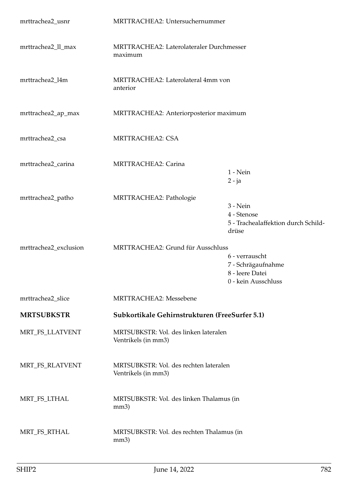| mrttrachea2_usnr      | MRTTRACHEA2: Untersuchernummer                                |                                                                                |
|-----------------------|---------------------------------------------------------------|--------------------------------------------------------------------------------|
| mrttrachea2_ll_max    | MRTTRACHEA2: Laterolateraler Durchmesser<br>maximum           |                                                                                |
| mrttrachea2_l4m       | MRTTRACHEA2: Laterolateral 4mm von<br>anterior                |                                                                                |
| mrttrachea2_ap_max    | MRTTRACHEA2: Anteriorposterior maximum                        |                                                                                |
| mrttrachea2_csa       | <b>MRTTRACHEA2: CSA</b>                                       |                                                                                |
| mrttrachea2_carina    | MRTTRACHEA2: Carina                                           | $1 - Nein$<br>$2 - ja$                                                         |
| mrttrachea2_patho     | MRTTRACHEA2: Pathologie                                       | $3 - Nein$<br>4 - Stenose<br>5 - Trachealaffektion durch Schild-<br>drüse      |
| mrttrachea2_exclusion | MRTTRACHEA2: Grund für Ausschluss                             | 6 - verrauscht<br>7 - Schrägaufnahme<br>8 - leere Datei<br>0 - kein Ausschluss |
| mrttrachea2_slice     | <b>MRTTRACHEA2: Messebene</b>                                 |                                                                                |
| <b>MRTSUBKSTR</b>     | Subkortikale Gehirnstrukturen (FreeSurfer 5.1)                |                                                                                |
| MRT_FS_LLATVENT       | MRTSUBKSTR: Vol. des linken lateralen<br>Ventrikels (in mm3)  |                                                                                |
| MRT_FS_RLATVENT       | MRTSUBKSTR: Vol. des rechten lateralen<br>Ventrikels (in mm3) |                                                                                |
| MRT_FS_LTHAL          | MRTSUBKSTR: Vol. des linken Thalamus (in<br>mm3)              |                                                                                |
| MRT_FS_RTHAL          | MRTSUBKSTR: Vol. des rechten Thalamus (in<br>mm3)             |                                                                                |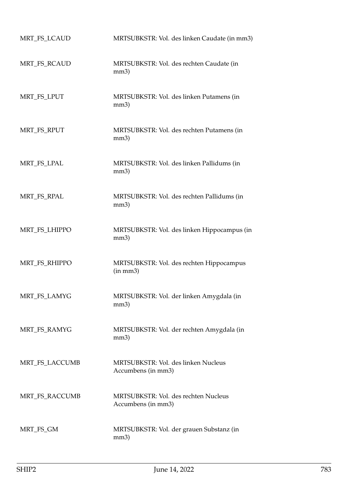| MRT_FS_LCAUD   | MRTSUBKSTR: Vol. des linken Caudate (in mm3)               |
|----------------|------------------------------------------------------------|
| MRT_FS_RCAUD   | MRTSUBKSTR: Vol. des rechten Caudate (in<br>mm3)           |
| MRT_FS_LPUT    | MRTSUBKSTR: Vol. des linken Putamens (in<br>mm3)           |
| MRT_FS_RPUT    | MRTSUBKSTR: Vol. des rechten Putamens (in<br>mm3)          |
| MRT_FS_LPAL    | MRTSUBKSTR: Vol. des linken Pallidums (in<br>mm3)          |
| MRT_FS_RPAL    | MRTSUBKSTR: Vol. des rechten Pallidums (in<br>mm3)         |
| MRT_FS_LHIPPO  | MRTSUBKSTR: Vol. des linken Hippocampus (in<br>mm3)        |
| MRT_FS_RHIPPO  | MRTSUBKSTR: Vol. des rechten Hippocampus<br>(in mm3)       |
| MRT_FS_LAMYG   | MRTSUBKSTR: Vol. der linken Amygdala (in<br>mm3)           |
| MRT_FS_RAMYG   | MRTSUBKSTR: Vol. der rechten Amygdala (in<br>mm3)          |
| MRT_FS_LACCUMB | MRTSUBKSTR: Vol. des linken Nucleus<br>Accumbens (in mm3)  |
| MRT_FS_RACCUMB | MRTSUBKSTR: Vol. des rechten Nucleus<br>Accumbens (in mm3) |
| MRT_FS_GM      | MRTSUBKSTR: Vol. der grauen Substanz (in<br>mm3)           |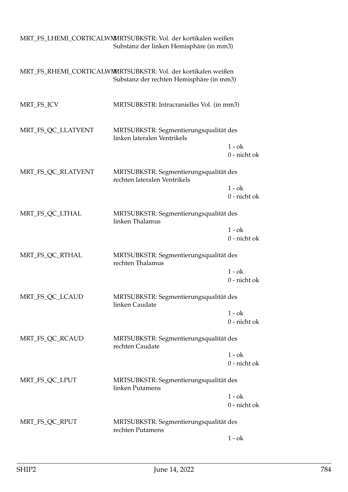|                    | MRT_FS_LHEMI_CORTICALWM/RTSUBKSTR: Vol. der kortikalen weißen<br>Substanz der linken Hemisphäre (in mm3)  |                            |
|--------------------|-----------------------------------------------------------------------------------------------------------|----------------------------|
|                    | MRT_FS_RHEMI_CORTICALWMMRTSUBKSTR: Vol. der kortikalen weißen<br>Substanz der rechten Hemisphäre (in mm3) |                            |
| MRT_FS_ICV         | MRTSUBKSTR: Intracranielles Vol. (in mm3)                                                                 |                            |
| MRT_FS_QC_LLATVENT | MRTSUBKSTR: Segmentierungsqualität des<br>linken lateralen Ventrikels                                     |                            |
|                    |                                                                                                           | $1 - ok$<br>0 - nicht ok   |
| MRT_FS_QC_RLATVENT | MRTSUBKSTR: Segmentierungsqualität des<br>rechten lateralen Ventrikels                                    |                            |
|                    |                                                                                                           | $1 - ok$<br>$0$ - nicht ok |
| MRT_FS_QC_LTHAL    | MRTSUBKSTR: Segmentierungsqualität des<br>linken Thalamus                                                 |                            |
|                    |                                                                                                           | $1 - ok$<br>0 - nicht ok   |
| MRT_FS_QC_RTHAL    | MRTSUBKSTR: Segmentierungsqualität des<br>rechten Thalamus                                                |                            |
|                    |                                                                                                           | $1 - ok$<br>0 - nicht ok   |
| MRT_FS_QC_LCAUD    | MRTSUBKSTR: Segmentierungsqualität des<br>linken Caudate                                                  |                            |
|                    |                                                                                                           | $1 - ok$<br>0 - nicht ok   |
| MRT_FS_QC_RCAUD    | MRTSUBKSTR: Segmentierungsqualität des<br>rechten Caudate                                                 |                            |
|                    |                                                                                                           | $1 - ok$<br>$0$ - nicht ok |
| MRT_FS_QC_LPUT     | MRTSUBKSTR: Segmentierungsqualität des<br>linken Putamens                                                 |                            |
|                    |                                                                                                           | $1 - ok$<br>0 - nicht ok   |
| MRT_FS_QC_RPUT     | MRTSUBKSTR: Segmentierungsqualität des<br>rechten Putamens                                                |                            |
|                    |                                                                                                           | $1 - ok$                   |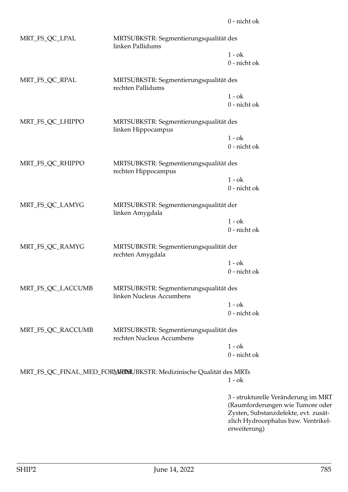| MRT_FS_QC_LPAL    | MRTSUBKSTR: Segmentierungsqualität des<br>linken Pallidums          |                          |
|-------------------|---------------------------------------------------------------------|--------------------------|
|                   |                                                                     | $1 - ok$<br>0 - nicht ok |
| MRT_FS_QC_RPAL    | MRTSUBKSTR: Segmentierungsqualität des<br>rechten Pallidums         |                          |
|                   |                                                                     | $1 - ok$<br>0 - nicht ok |
| MRT_FS_QC_LHIPPO  | MRTSUBKSTR: Segmentierungsqualität des<br>linken Hippocampus        |                          |
|                   |                                                                     | $1 - ok$<br>0 - nicht ok |
| MRT_FS_QC_RHIPPO  | MRTSUBKSTR: Segmentierungsqualität des<br>rechten Hippocampus       |                          |
|                   |                                                                     | $1 - ok$                 |
|                   |                                                                     | 0 - nicht ok             |
| MRT_FS_QC_LAMYG   | MRTSUBKSTR: Segmentierungsqualität der<br>linken Amygdala           |                          |
|                   |                                                                     | $1 - ok$<br>0 - nicht ok |
| MRT_FS_QC_RAMYG   | MRTSUBKSTR: Segmentierungsqualität der<br>rechten Amygdala          |                          |
|                   |                                                                     | $1 - ok$<br>0 - nicht ok |
| MRT_FS_QC_LACCUMB | MRTSUBKSTR: Segmentierungsqualität des<br>linken Nucleus Accumbens  |                          |
|                   |                                                                     | $1 - ok$                 |
|                   |                                                                     | 0 - nicht ok             |
| MRT_FS_QC_RACCUMB | MRTSUBKSTR: Segmentierungsqualität des<br>rechten Nucleus Accumbens |                          |
|                   |                                                                     | $1 - ok$                 |
|                   |                                                                     | 0 - nicht ok             |
|                   | MRT_FS_QC_FINAL_MED_FORMKIMUBKSTR: Medizinische Qualität des MRTs   |                          |
|                   |                                                                     | $1 - ok$                 |
|                   |                                                                     | 3 - etrukturel           |

3 - strukturelle Veränderung im MRT (Raumforderungen wie Tumore oder Zysten, Substanzdefekte, evt. zusätzlich Hydrocephalus bzw. Ventrikelerweiterung)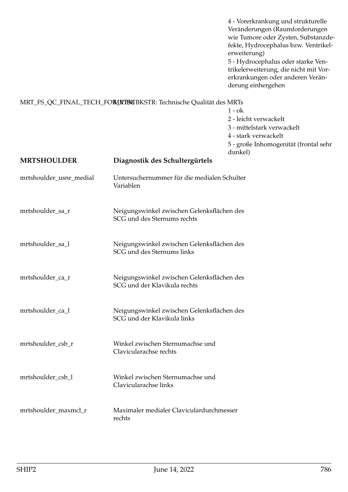4 - Vorerkrankung und strukturelle Veränderungen (Raumforderungen wie Tumore oder Zysten, Substanzdefekte, Hydrocephalus bzw. Ventrikelerweiterung)

5 - Hydrocephalus oder starke Ventrikelerweiterung, die nicht mit Vorerkrankungen oder anderen Veränderung einhergehen

## MRT\_FS\_QC\_FINAL\_TECH\_FOR\_NBMUBKSTR: Technische Qualität des MRTs

 $1 - ok$ 2 - leicht verwackelt 3 - mittelstark verwackelt 4 - stark verwackelt 5 - große Inhomogenität (frontal sehr dunkel)

| <b>MRTSHOULDER</b>      | uulikel)<br>Diagnostik des Schultergürtels                                 |
|-------------------------|----------------------------------------------------------------------------|
| mrtshoulder_usnr_medial | Untersuchernummer für die medialen Schulter<br>Variablen                   |
| mrtshoulder_sa_r        | Neigungswinkel zwischen Gelenksflächen des<br>SCG und des Sternums rechts  |
| mrtshoulder_sa_l        | Neigungswinkel zwischen Gelenksflächen des<br>SCG und des Sternums links   |
| mrtshoulder_ca_r        | Neigungswinkel zwischen Gelenksflächen des<br>SCG und der Klavikula rechts |
| mrtshoulder_ca_l        | Neigungswinkel zwischen Gelenksflächen des<br>SCG und der Klavikula links  |
| mrtshoulder_csb_r       | Winkel zwischen Sternumachse und<br>Clavicularachse rechts                 |
| mrtshoulder_csb_l       | Winkel zwischen Sternumachse und<br>Clavicularachse links                  |
| mrtshoulder_maxmcl_r    | Maximaler medialer Claviculardurchmesser<br>rechts                         |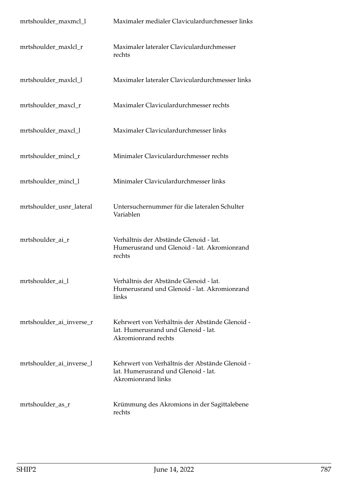| mrtshoulder_maxmcl_l     | Maximaler medialer Claviculardurchmesser links                                                               |
|--------------------------|--------------------------------------------------------------------------------------------------------------|
| mrtshoulder_maxlcl_r     | Maximaler lateraler Claviculardurchmesser<br>rechts                                                          |
| mrtshoulder_maxlcl_l     | Maximaler lateraler Claviculardurchmesser links                                                              |
| mrtshoulder_maxcl_r      | Maximaler Claviculardurchmesser rechts                                                                       |
| mrtshoulder_maxcl_l      | Maximaler Claviculardurchmesser links                                                                        |
| mrtshoulder_mincl_r      | Minimaler Claviculardurchmesser rechts                                                                       |
| mrtshoulder_mincl_l      | Minimaler Claviculardurchmesser links                                                                        |
| mrtshoulder_usnr_lateral | Untersuchernummer für die lateralen Schulter<br>Variablen                                                    |
| mrtshoulder_ai_r         | Verhältnis der Abstände Glenoid - lat.<br>Humerusrand und Glenoid - lat. Akromionrand<br>rechts              |
| mrtshoulder_ai_l         | Verhältnis der Abstände Glenoid - lat.<br>Humerusrand und Glenoid - lat. Akromionrand<br>links               |
| mrtshoulder_ai_inverse_r | Kehrwert von Verhältnis der Abstände Glenoid -<br>lat. Humerusrand und Glenoid - lat.<br>Akromionrand rechts |
| mrtshoulder_ai_inverse_l | Kehrwert von Verhältnis der Abstände Glenoid -<br>lat. Humerusrand und Glenoid - lat.<br>Akromionrand links  |
| mrtshoulder_as_r         | Krümmung des Akromions in der Sagittalebene<br>rechts                                                        |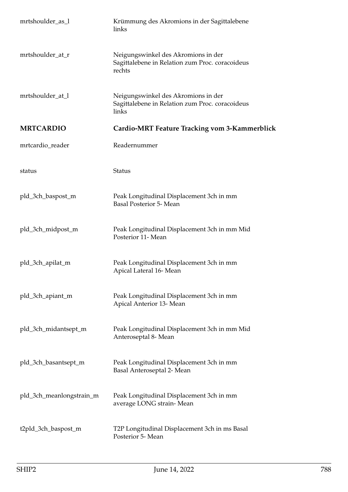| mrtshoulder_as_l         | Krümmung des Akromions in der Sagittalebene<br>links                                             |
|--------------------------|--------------------------------------------------------------------------------------------------|
| mrtshoulder_at_r         | Neigungswinkel des Akromions in der<br>Sagittalebene in Relation zum Proc. coracoideus<br>rechts |
| mrtshoulder_at_l         | Neigungswinkel des Akromions in der<br>Sagittalebene in Relation zum Proc. coracoideus<br>links  |
| <b>MRTCARDIO</b>         | <b>Cardio-MRT Feature Tracking vom 3-Kammerblick</b>                                             |
| mrtcardio_reader         | Readernummer                                                                                     |
| status                   | <b>Status</b>                                                                                    |
| pld_3ch_baspost_m        | Peak Longitudinal Displacement 3ch in mm<br><b>Basal Posterior 5- Mean</b>                       |
| pld_3ch_midpost_m        | Peak Longitudinal Displacement 3ch in mm Mid<br>Posterior 11- Mean                               |
| pld_3ch_apilat_m         | Peak Longitudinal Displacement 3ch in mm<br>Apical Lateral 16-Mean                               |
| pld_3ch_apiant_m         | Peak Longitudinal Displacement 3ch in mm<br>Apical Anterior 13- Mean                             |
| pld_3ch_midantsept_m     | Peak Longitudinal Displacement 3ch in mm Mid<br>Anteroseptal 8- Mean                             |
| pld_3ch_basantsept_m     | Peak Longitudinal Displacement 3ch in mm<br>Basal Anteroseptal 2- Mean                           |
| pld_3ch_meanlongstrain_m | Peak Longitudinal Displacement 3ch in mm<br>average LONG strain-Mean                             |
| t2pld_3ch_baspost_m      | T2P Longitudinal Displacement 3ch in ms Basal<br>Posterior 5- Mean                               |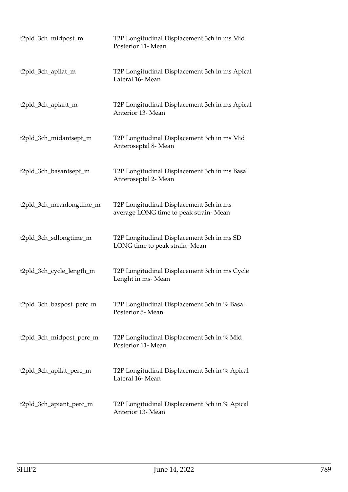| t2pld_3ch_midpost_m      | T2P Longitudinal Displacement 3ch in ms Mid<br>Posterior 11- Mean                |
|--------------------------|----------------------------------------------------------------------------------|
| t2pld_3ch_apilat_m       | T2P Longitudinal Displacement 3ch in ms Apical<br>Lateral 16- Mean               |
| t2pld_3ch_apiant_m       | T2P Longitudinal Displacement 3ch in ms Apical<br>Anterior 13- Mean              |
| t2pld_3ch_midantsept_m   | T2P Longitudinal Displacement 3ch in ms Mid<br>Anteroseptal 8- Mean              |
| t2pld_3ch_basantsept_m   | T2P Longitudinal Displacement 3ch in ms Basal<br>Anteroseptal 2- Mean            |
| t2pld_3ch_meanlongtime_m | T2P Longitudinal Displacement 3ch in ms<br>average LONG time to peak strain-Mean |
| t2pld_3ch_sdlongtime_m   | T2P Longitudinal Displacement 3ch in ms SD<br>LONG time to peak strain-Mean      |
| t2pld_3ch_cycle_length_m | T2P Longitudinal Displacement 3ch in ms Cycle<br>Lenght in ms-Mean               |
| t2pld_3ch_baspost_perc_m | T2P Longitudinal Displacement 3ch in % Basal<br>Posterior 5- Mean                |
| t2pld_3ch_midpost_perc_m | T2P Longitudinal Displacement 3ch in % Mid<br>Posterior 11- Mean                 |
| t2pld_3ch_apilat_perc_m  | T2P Longitudinal Displacement 3ch in % Apical<br>Lateral 16- Mean                |
| t2pld_3ch_apiant_perc_m  | T2P Longitudinal Displacement 3ch in % Apical<br>Anterior 13- Mean               |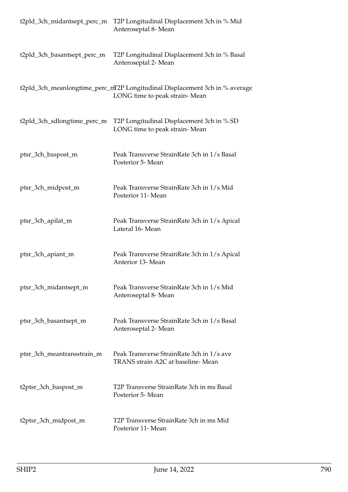| t2pld_3ch_midantsept_perc_m | T2P Longitudinal Displacement 3ch in % Mid<br>Anteroseptal 8- Mean                                           |
|-----------------------------|--------------------------------------------------------------------------------------------------------------|
| t2pld_3ch_basantsept_perc_m | T2P Longitudinal Displacement 3ch in % Basal<br>Anteroseptal 2- Mean                                         |
|                             | t2pld_3ch_meanlongtime_perc_mT2P Longitudinal Displacement 3ch in % average<br>LONG time to peak strain-Mean |
| t2pld_3ch_sdlongtime_perc_m | T2P Longitudinal Displacement 3ch in % SD<br>LONG time to peak strain-Mean                                   |
| ptsr_3ch_baspost_m          | Peak Transverse StrainRate 3ch in 1/s Basal<br>Posterior 5- Mean                                             |
| ptsr_3ch_midpost_m          | Peak Transverse StrainRate 3ch in 1/s Mid<br>Posterior 11- Mean                                              |
| ptsr_3ch_apilat_m           | Peak Transverse StrainRate 3ch in 1/s Apical<br>Lateral 16-Mean                                              |
| ptsr_3ch_apiant_m           | Peak Transverse StrainRate 3ch in 1/s Apical<br>Anterior 13- Mean                                            |
| ptsr_3ch_midantsept_m       | Peak Transverse StrainRate 3ch in 1/s Mid<br>Anteroseptal 8- Mean                                            |
| ptsr_3ch_basantsept_m       | Peak Transverse StrainRate 3ch in 1/s Basal<br>Anteroseptal 2- Mean                                          |
| ptsr_3ch_meantransstrain_m  | Peak Transverse StrainRate 3ch in 1/s ave<br>TRANS strain A2C at baseline-Mean                               |
| t2ptsr_3ch_baspost_m        | T2P Transverse StrainRate 3ch in ms Basal<br>Posterior 5- Mean                                               |
| t2ptsr_3ch_midpost_m        | T2P Transverse StrainRate 3ch in ms Mid<br>Posterior 11- Mean                                                |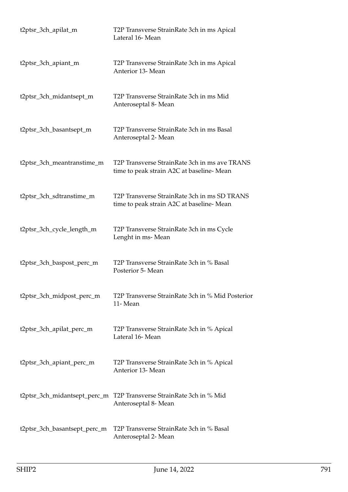| t2ptsr_3ch_apilat_m          | T2P Transverse StrainRate 3ch in ms Apical<br>Lateral 16- Mean                            |
|------------------------------|-------------------------------------------------------------------------------------------|
| t2ptsr_3ch_apiant_m          | T2P Transverse StrainRate 3ch in ms Apical<br>Anterior 13- Mean                           |
| t2ptsr_3ch_midantsept_m      | T2P Transverse StrainRate 3ch in ms Mid<br>Anteroseptal 8- Mean                           |
| t2ptsr_3ch_basantsept_m      | T2P Transverse StrainRate 3ch in ms Basal<br>Anteroseptal 2- Mean                         |
| t2ptsr_3ch_meantranstime_m   | T2P Transverse StrainRate 3ch in ms ave TRANS<br>time to peak strain A2C at baseline-Mean |
| t2ptsr_3ch_sdtranstime_m     | T2P Transverse StrainRate 3ch in ms SD TRANS<br>time to peak strain A2C at baseline-Mean  |
| t2ptsr_3ch_cycle_length_m    | T2P Transverse StrainRate 3ch in ms Cycle<br>Lenght in ms-Mean                            |
| t2ptsr_3ch_baspost_perc_m    | T2P Transverse StrainRate 3ch in % Basal<br>Posterior 5- Mean                             |
| t2ptsr_3ch_midpost_perc_m    | T2P Transverse StrainRate 3ch in % Mid Posterior<br>11-Mean                               |
| t2ptsr_3ch_apilat_perc_m     | T2P Transverse StrainRate 3ch in % Apical<br>Lateral 16- Mean                             |
| t2ptsr_3ch_apiant_perc_m     | T2P Transverse StrainRate 3ch in % Apical<br>Anterior 13- Mean                            |
| t2ptsr_3ch_midantsept_perc_m | T2P Transverse StrainRate 3ch in % Mid<br>Anteroseptal 8- Mean                            |
| t2ptsr_3ch_basantsept_perc_m | T2P Transverse StrainRate 3ch in % Basal<br>Anteroseptal 2- Mean                          |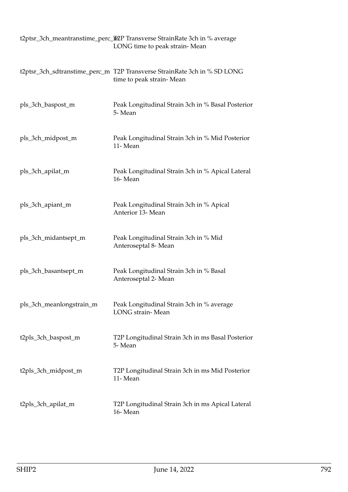|                          | t2ptsr_3ch_meantranstime_perc_ineppersentrainRate 3ch in % average<br>LONG time to peak strain-Mean  |
|--------------------------|------------------------------------------------------------------------------------------------------|
|                          | t2ptsr_3ch_sdtranstime_perc_m T2P Transverse StrainRate 3ch in % SD LONG<br>time to peak strain-Mean |
| pls_3ch_baspost_m        | Peak Longitudinal Strain 3ch in % Basal Posterior<br>5-Mean                                          |
| pls_3ch_midpost_m        | Peak Longitudinal Strain 3ch in % Mid Posterior<br>11-Mean                                           |
| pls_3ch_apilat_m         | Peak Longitudinal Strain 3ch in % Apical Lateral<br>16-Mean                                          |
| pls_3ch_apiant_m         | Peak Longitudinal Strain 3ch in % Apical<br>Anterior 13- Mean                                        |
| pls_3ch_midantsept_m     | Peak Longitudinal Strain 3ch in % Mid<br>Anteroseptal 8- Mean                                        |
| pls_3ch_basantsept_m     | Peak Longitudinal Strain 3ch in % Basal<br>Anteroseptal 2- Mean                                      |
| pls_3ch_meanlongstrain_m | Peak Longitudinal Strain 3ch in % average<br>LONG strain-Mean                                        |
| t2pls_3ch_baspost_m      | T2P Longitudinal Strain 3ch in ms Basal Posterior<br>5-Mean                                          |
| t2pls_3ch_midpost_m      | T2P Longitudinal Strain 3ch in ms Mid Posterior<br>11-Mean                                           |
| t2pls_3ch_apilat_m       | T2P Longitudinal Strain 3ch in ms Apical Lateral<br>16-Mean                                          |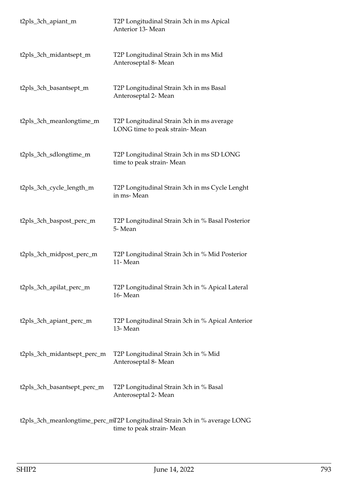| t2pls_3ch_apiant_m          | T2P Longitudinal Strain 3ch in ms Apical<br>Anterior 13- Mean              |
|-----------------------------|----------------------------------------------------------------------------|
| t2pls_3ch_midantsept_m      | T2P Longitudinal Strain 3ch in ms Mid<br>Anteroseptal 8- Mean              |
| t2pls_3ch_basantsept_m      | T2P Longitudinal Strain 3ch in ms Basal<br>Anteroseptal 2- Mean            |
| t2pls_3ch_meanlongtime_m    | T2P Longitudinal Strain 3ch in ms average<br>LONG time to peak strain-Mean |
| t2pls_3ch_sdlongtime_m      | T2P Longitudinal Strain 3ch in ms SD LONG<br>time to peak strain-Mean      |
| t2pls_3ch_cycle_length_m    | T2P Longitudinal Strain 3ch in ms Cycle Lenght<br>in ms-Mean               |
| t2pls_3ch_baspost_perc_m    | T2P Longitudinal Strain 3ch in % Basal Posterior<br>5-Mean                 |
| t2pls_3ch_midpost_perc_m    | T2P Longitudinal Strain 3ch in % Mid Posterior<br>11-Mean                  |
| t2pls_3ch_apilat_perc_m     | T2P Longitudinal Strain 3ch in % Apical Lateral<br>16-Mean                 |
| t2pls_3ch_apiant_perc_m     | T2P Longitudinal Strain 3ch in % Apical Anterior<br>13-Mean                |
| t2pls_3ch_midantsept_perc_m | T2P Longitudinal Strain 3ch in % Mid<br>Anteroseptal 8- Mean               |
| t2pls_3ch_basantsept_perc_m | T2P Longitudinal Strain 3ch in % Basal<br>Anteroseptal 2- Mean             |
|                             | t2pls_3ch_meanlongtime_perc_mT2P Longitudinal Strain 3ch in % average LONG |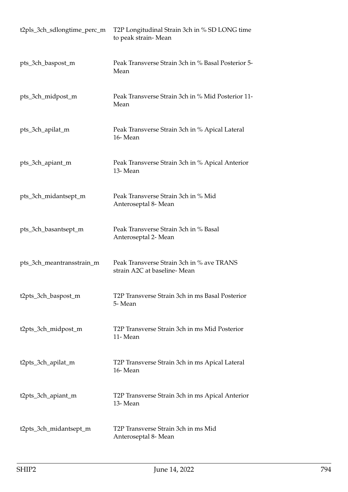| t2pls_3ch_sdlongtime_perc_m | T2P Longitudinal Strain 3ch in % SD LONG time<br>to peak strain-Mean     |
|-----------------------------|--------------------------------------------------------------------------|
| pts_3ch_baspost_m           | Peak Transverse Strain 3ch in % Basal Posterior 5-<br>Mean               |
| pts_3ch_midpost_m           | Peak Transverse Strain 3ch in % Mid Posterior 11-<br>Mean                |
| pts_3ch_apilat_m            | Peak Transverse Strain 3ch in % Apical Lateral<br>16-Mean                |
| pts_3ch_apiant_m            | Peak Transverse Strain 3ch in % Apical Anterior<br>13-Mean               |
| pts_3ch_midantsept_m        | Peak Transverse Strain 3ch in % Mid<br>Anteroseptal 8- Mean              |
| pts_3ch_basantsept_m        | Peak Transverse Strain 3ch in % Basal<br>Anteroseptal 2- Mean            |
| pts_3ch_meantransstrain_m   | Peak Transverse Strain 3ch in % ave TRANS<br>strain A2C at baseline-Mean |
| t2pts_3ch_baspost_m         | T2P Transverse Strain 3ch in ms Basal Posterior<br>5-Mean                |
| t2pts_3ch_midpost_m         | T2P Transverse Strain 3ch in ms Mid Posterior<br>11-Mean                 |
| t2pts_3ch_apilat_m          | T2P Transverse Strain 3ch in ms Apical Lateral<br>16-Mean                |
| t2pts_3ch_apiant_m          | T2P Transverse Strain 3ch in ms Apical Anterior<br>13-Mean               |
| t2pts_3ch_midantsept_m      | T2P Transverse Strain 3ch in ms Mid<br>Anteroseptal 8- Mean              |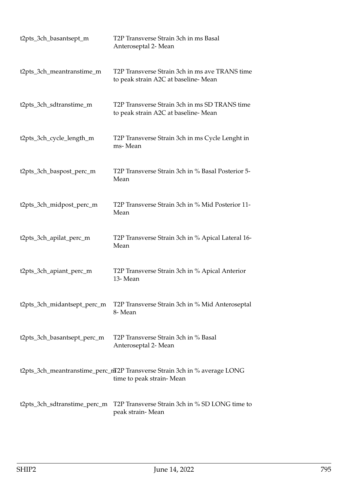| t2pts_3ch_basantsept_m       | T2P Transverse Strain 3ch in ms Basal<br>Anteroseptal 2- Mean                                         |
|------------------------------|-------------------------------------------------------------------------------------------------------|
| t2pts_3ch_meantranstime_m    | T2P Transverse Strain 3ch in ms ave TRANS time<br>to peak strain A2C at baseline-Mean                 |
| t2pts_3ch_sdtranstime_m      | T2P Transverse Strain 3ch in ms SD TRANS time<br>to peak strain A2C at baseline-Mean                  |
| t2pts_3ch_cycle_length_m     | T2P Transverse Strain 3ch in ms Cycle Lenght in<br>ms-Mean                                            |
| t2pts_3ch_baspost_perc_m     | T2P Transverse Strain 3ch in % Basal Posterior 5-<br>Mean                                             |
| t2pts_3ch_midpost_perc_m     | T2P Transverse Strain 3ch in % Mid Posterior 11-<br>Mean                                              |
| t2pts_3ch_apilat_perc_m      | T2P Transverse Strain 3ch in % Apical Lateral 16-<br>Mean                                             |
| t2pts_3ch_apiant_perc_m      | T2P Transverse Strain 3ch in % Apical Anterior<br>13-Mean                                             |
| t2pts_3ch_midantsept_perc_m  | T2P Transverse Strain 3ch in % Mid Anteroseptal<br>8-Mean                                             |
| t2pts_3ch_basantsept_perc_m  | T2P Transverse Strain 3ch in % Basal<br>Anteroseptal 2- Mean                                          |
|                              | t2pts_3ch_meantranstime_perc_mT2P Transverse Strain 3ch in % average LONG<br>time to peak strain-Mean |
| t2pts_3ch_sdtranstime_perc_m | T2P Transverse Strain 3ch in % SD LONG time to<br>peak strain-Mean                                    |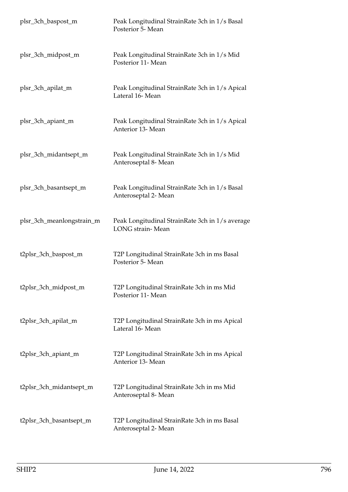| plsr_3ch_baspost_m        | Peak Longitudinal StrainRate 3ch in 1/s Basal<br>Posterior 5- Mean         |
|---------------------------|----------------------------------------------------------------------------|
| plsr_3ch_midpost_m        | Peak Longitudinal StrainRate 3ch in 1/s Mid<br>Posterior 11- Mean          |
| plsr_3ch_apilat_m         | Peak Longitudinal StrainRate 3ch in 1/s Apical<br>Lateral 16- Mean         |
| plsr_3ch_apiant_m         | Peak Longitudinal StrainRate 3ch in 1/s Apical<br>Anterior 13- Mean        |
| plsr_3ch_midantsept_m     | Peak Longitudinal StrainRate 3ch in 1/s Mid<br>Anteroseptal 8- Mean        |
| plsr_3ch_basantsept_m     | Peak Longitudinal StrainRate 3ch in 1/s Basal<br>Anteroseptal 2- Mean      |
| plsr_3ch_meanlongstrain_m | Peak Longitudinal StrainRate 3ch in 1/s average<br><b>LONG</b> strain-Mean |
| t2plsr_3ch_baspost_m      | T2P Longitudinal StrainRate 3ch in ms Basal<br>Posterior 5- Mean           |
| t2plsr_3ch_midpost_m      | T2P Longitudinal StrainRate 3ch in ms Mid<br>Posterior 11- Mean            |
| t2plsr_3ch_apilat_m       | T2P Longitudinal StrainRate 3ch in ms Apical<br>Lateral 16-Mean            |
| t2plsr_3ch_apiant_m       | T2P Longitudinal StrainRate 3ch in ms Apical<br>Anterior 13- Mean          |
| t2plsr_3ch_midantsept_m   | T2P Longitudinal StrainRate 3ch in ms Mid<br>Anteroseptal 8- Mean          |
| t2plsr_3ch_basantsept_m   | T2P Longitudinal StrainRate 3ch in ms Basal<br>Anteroseptal 2- Mean        |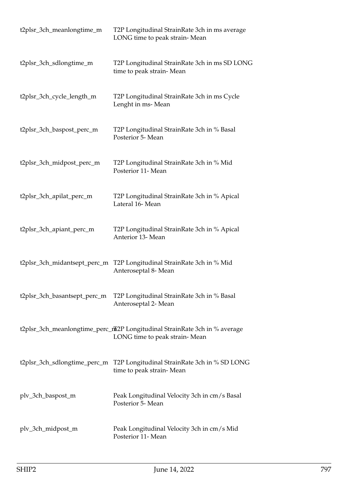| t2plsr_3ch_meanlongtime_m    | T2P Longitudinal StrainRate 3ch in ms average<br>LONG time to peak strain-Mean                              |
|------------------------------|-------------------------------------------------------------------------------------------------------------|
| t2plsr_3ch_sdlongtime_m      | T2P Longitudinal StrainRate 3ch in ms SD LONG<br>time to peak strain-Mean                                   |
| t2plsr_3ch_cycle_length_m    | T2P Longitudinal StrainRate 3ch in ms Cycle<br>Lenght in ms-Mean                                            |
| t2plsr_3ch_baspost_perc_m    | T2P Longitudinal StrainRate 3ch in % Basal<br>Posterior 5- Mean                                             |
| t2plsr_3ch_midpost_perc_m    | T2P Longitudinal StrainRate 3ch in % Mid<br>Posterior 11- Mean                                              |
| t2plsr_3ch_apilat_perc_m     | T2P Longitudinal StrainRate 3ch in % Apical<br>Lateral 16-Mean                                              |
| t2plsr_3ch_apiant_perc_m     | T2P Longitudinal StrainRate 3ch in % Apical<br>Anterior 13- Mean                                            |
| t2plsr_3ch_midantsept_perc_m | T2P Longitudinal StrainRate 3ch in % Mid<br>Anteroseptal 8- Mean                                            |
| t2plsr_3ch_basantsept_perc_m | T2P Longitudinal StrainRate 3ch in % Basal<br>Anteroseptal 2- Mean                                          |
|                              | t2plsr_3ch_meanlongtime_perc_nt2P Longitudinal StrainRate 3ch in % average<br>LONG time to peak strain-Mean |
| t2plsr_3ch_sdlongtime_perc_m | T2P Longitudinal StrainRate 3ch in % SD LONG<br>time to peak strain-Mean                                    |
| plv_3ch_baspost_m            | Peak Longitudinal Velocity 3ch in cm/s Basal<br>Posterior 5- Mean                                           |
| plv_3ch_midpost_m            | Peak Longitudinal Velocity 3ch in cm/s Mid<br>Posterior 11- Mean                                            |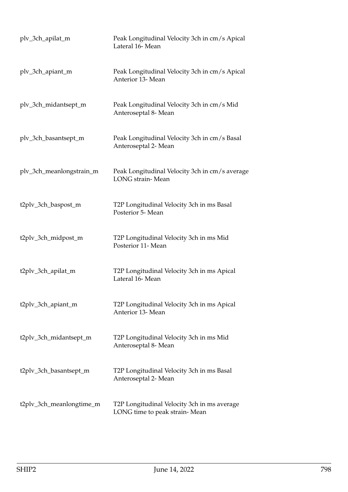| plv_3ch_apilat_m         | Peak Longitudinal Velocity 3ch in cm/s Apical<br>Lateral 16-Mean             |
|--------------------------|------------------------------------------------------------------------------|
| plv_3ch_apiant_m         | Peak Longitudinal Velocity 3ch in cm/s Apical<br>Anterior 13- Mean           |
| plv_3ch_midantsept_m     | Peak Longitudinal Velocity 3ch in cm/s Mid<br>Anteroseptal 8- Mean           |
| plv_3ch_basantsept_m     | Peak Longitudinal Velocity 3ch in cm/s Basal<br>Anteroseptal 2- Mean         |
| plv_3ch_meanlongstrain_m | Peak Longitudinal Velocity 3ch in cm/s average<br><b>LONG</b> strain-Mean    |
| t2plv_3ch_baspost_m      | T2P Longitudinal Velocity 3ch in ms Basal<br>Posterior 5- Mean               |
| t2plv_3ch_midpost_m      | T2P Longitudinal Velocity 3ch in ms Mid<br>Posterior 11- Mean                |
| t2plv_3ch_apilat_m       | T2P Longitudinal Velocity 3ch in ms Apical<br>Lateral 16- Mean               |
| t2plv_3ch_apiant_m       | T2P Longitudinal Velocity 3ch in ms Apical<br>Anterior 13- Mean              |
| t2plv_3ch_midantsept_m   | T2P Longitudinal Velocity 3ch in ms Mid<br>Anteroseptal 8- Mean              |
| t2plv_3ch_basantsept_m   | T2P Longitudinal Velocity 3ch in ms Basal<br>Anteroseptal 2- Mean            |
| t2plv_3ch_meanlongtime_m | T2P Longitudinal Velocity 3ch in ms average<br>LONG time to peak strain-Mean |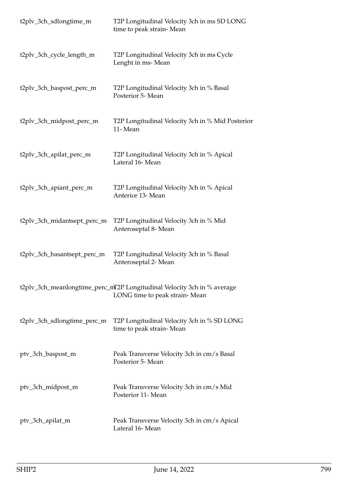| t2plv_3ch_sdlongtime_m      | T2P Longitudinal Velocity 3ch in ms SD LONG<br>time to peak strain-Mean                                  |
|-----------------------------|----------------------------------------------------------------------------------------------------------|
| t2plv_3ch_cycle_length_m    | T2P Longitudinal Velocity 3ch in ms Cycle<br>Lenght in ms-Mean                                           |
| t2plv_3ch_baspost_perc_m    | T2P Longitudinal Velocity 3ch in % Basal<br>Posterior 5- Mean                                            |
| t2plv_3ch_midpost_perc_m    | T2P Longitudinal Velocity 3ch in % Mid Posterior<br>11-Mean                                              |
| t2plv_3ch_apilat_perc_m     | T2P Longitudinal Velocity 3ch in % Apical<br>Lateral 16-Mean                                             |
| t2plv_3ch_apiant_perc_m     | T2P Longitudinal Velocity 3ch in % Apical<br>Anterior 13- Mean                                           |
| t2plv_3ch_midantsept_perc_m | T2P Longitudinal Velocity 3ch in % Mid<br>Anteroseptal 8- Mean                                           |
| t2plv_3ch_basantsept_perc_m | T2P Longitudinal Velocity 3ch in % Basal<br>Anteroseptal 2- Mean                                         |
|                             | t2plv_3ch_meanlongtime_perc_mT2P Longitudinal Velocity 3ch in % average<br>LONG time to peak strain-Mean |
| t2plv_3ch_sdlongtime_perc_m | T2P Longitudinal Velocity 3ch in % SD LONG<br>time to peak strain-Mean                                   |
| ptv_3ch_baspost_m           | Peak Transverse Velocity 3ch in cm/s Basal<br>Posterior 5- Mean                                          |
| ptv_3ch_midpost_m           | Peak Transverse Velocity 3ch in cm/s Mid<br>Posterior 11- Mean                                           |
| ptv_3ch_apilat_m            | Peak Transverse Velocity 3ch in cm/s Apical<br>Lateral 16-Mean                                           |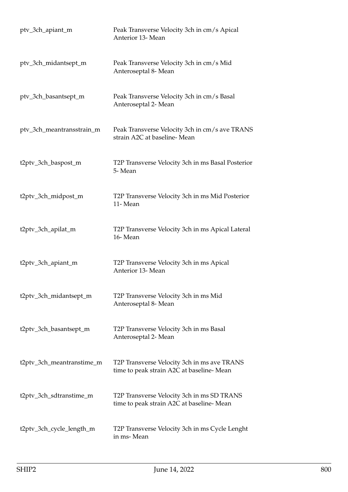| ptv_3ch_apiant_m          | Peak Transverse Velocity 3ch in cm/s Apical<br>Anterior 13- Mean                        |
|---------------------------|-----------------------------------------------------------------------------------------|
| ptv_3ch_midantsept_m      | Peak Transverse Velocity 3ch in cm/s Mid<br>Anteroseptal 8- Mean                        |
| ptv_3ch_basantsept_m      | Peak Transverse Velocity 3ch in cm/s Basal<br>Anteroseptal 2- Mean                      |
| ptv_3ch_meantransstrain_m | Peak Transverse Velocity 3ch in cm/s ave TRANS<br>strain A2C at baseline-Mean           |
| t2ptv_3ch_baspost_m       | T2P Transverse Velocity 3ch in ms Basal Posterior<br>5-Mean                             |
| t2ptv_3ch_midpost_m       | T2P Transverse Velocity 3ch in ms Mid Posterior<br>11-Mean                              |
| t2ptv_3ch_apilat_m        | T2P Transverse Velocity 3ch in ms Apical Lateral<br>16-Mean                             |
| t2ptv_3ch_apiant_m        | T2P Transverse Velocity 3ch in ms Apical<br>Anterior 13- Mean                           |
| t2ptv_3ch_midantsept_m    | T2P Transverse Velocity 3ch in ms Mid<br>Anteroseptal 8- Mean                           |
| t2ptv_3ch_basantsept_m    | T2P Transverse Velocity 3ch in ms Basal<br>Anteroseptal 2- Mean                         |
| t2ptv_3ch_meantranstime_m | T2P Transverse Velocity 3ch in ms ave TRANS<br>time to peak strain A2C at baseline-Mean |
| t2ptv_3ch_sdtranstime_m   | T2P Transverse Velocity 3ch in ms SD TRANS<br>time to peak strain A2C at baseline-Mean  |
| t2ptv_3ch_cycle_length_m  | T2P Transverse Velocity 3ch in ms Cycle Lenght<br>in ms-Mean                            |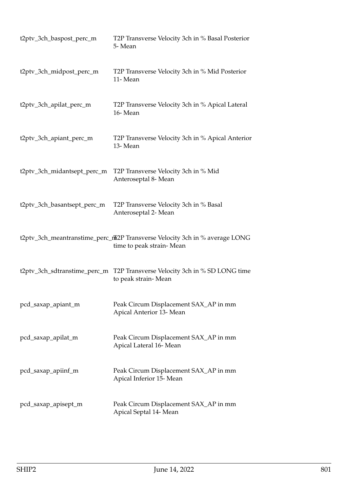| t2ptv_3ch_baspost_perc_m     | T2P Transverse Velocity 3ch in % Basal Posterior<br>5-Mean                                              |
|------------------------------|---------------------------------------------------------------------------------------------------------|
| t2ptv_3ch_midpost_perc_m     | T2P Transverse Velocity 3ch in % Mid Posterior<br>11-Mean                                               |
| t2ptv_3ch_apilat_perc_m      | T2P Transverse Velocity 3ch in % Apical Lateral<br>16-Mean                                              |
| t2ptv_3ch_apiant_perc_m      | T2P Transverse Velocity 3ch in % Apical Anterior<br>13-Mean                                             |
| t2ptv_3ch_midantsept_perc_m  | T2P Transverse Velocity 3ch in % Mid<br>Anteroseptal 8- Mean                                            |
| t2ptv_3ch_basantsept_perc_m  | T2P Transverse Velocity 3ch in % Basal<br>Anteroseptal 2- Mean                                          |
|                              | t2ptv_3ch_meantranstime_perc_nh2P Transverse Velocity 3ch in % average LONG<br>time to peak strain-Mean |
| t2ptv_3ch_sdtranstime_perc_m | T2P Transverse Velocity 3ch in % SD LONG time<br>to peak strain-Mean                                    |
| pcd_saxap_apiant_m           | Peak Circum Displacement SAX_AP in mm<br>Apical Anterior 13- Mean                                       |
| pcd_saxap_apilat_m           | Peak Circum Displacement SAX_AP in mm<br>Apical Lateral 16-Mean                                         |
| pcd_saxap_apiinf_m           | Peak Circum Displacement SAX_AP in mm<br>Apical Inferior 15- Mean                                       |
| pcd_saxap_apisept_m          | Peak Circum Displacement SAX_AP in mm<br>Apical Septal 14- Mean                                         |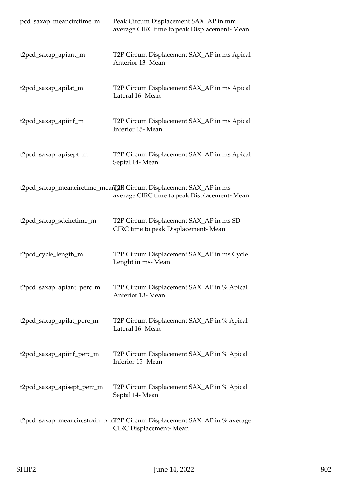| pcd_saxap_meancirctime_m   | Peak Circum Displacement SAX_AP in mm<br>average CIRC time to peak Displacement-Mean                              |
|----------------------------|-------------------------------------------------------------------------------------------------------------------|
| t2pcd_saxap_apiant_m       | T2P Circum Displacement SAX_AP in ms Apical<br>Anterior 13- Mean                                                  |
| t2pcd_saxap_apilat_m       | T2P Circum Displacement SAX_AP in ms Apical<br>Lateral 16-Mean                                                    |
| t2pcd_saxap_apiinf_m       | T2P Circum Displacement SAX_AP in ms Apical<br>Inferior 15-Mean                                                   |
| t2pcd_saxap_apisept_m      | T2P Circum Displacement SAX_AP in ms Apical<br>Septal 14- Mean                                                    |
|                            | t2pcd_saxap_meancirctime_meanL2mR Circum Displacement SAX_AP in ms<br>average CIRC time to peak Displacement-Mean |
| t2pcd_saxap_sdcirctime_m   | T2P Circum Displacement SAX_AP in ms SD<br>CIRC time to peak Displacement- Mean                                   |
| t2pcd_cycle_length_m       | T2P Circum Displacement SAX_AP in ms Cycle<br>Lenght in ms-Mean                                                   |
| t2pcd_saxap_apiant_perc_m  | T2P Circum Displacement SAX_AP in % Apical<br>Anterior 13- Mean                                                   |
| t2pcd_saxap_apilat_perc_m  | T2P Circum Displacement SAX_AP in % Apical<br>Lateral 16-Mean                                                     |
| t2pcd_saxap_apiinf_perc_m  | T2P Circum Displacement SAX_AP in % Apical<br>Inferior 15- Mean                                                   |
| t2pcd_saxap_apisept_perc_m | T2P Circum Displacement SAX_AP in % Apical<br>Septal 14- Mean                                                     |
|                            | t2pcd_saxap_meancircstrain_p_mT2P Circum Displacement SAX_AP in % average                                         |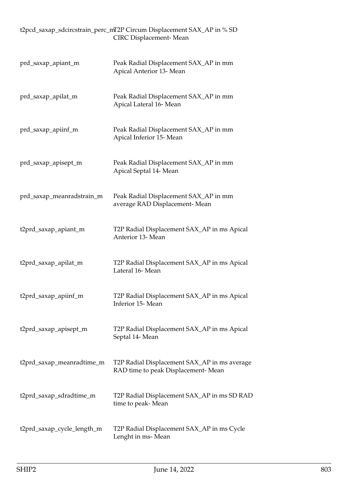|                            | t2pcd_saxap_sdcircstrain_perc_mT2P Circum Displacement SAX_AP in % SD<br>CIRC Displacement-Mean |
|----------------------------|-------------------------------------------------------------------------------------------------|
| prd_saxap_apiant_m         | Peak Radial Displacement SAX_AP in mm<br>Apical Anterior 13- Mean                               |
| prd_saxap_apilat_m         | Peak Radial Displacement SAX_AP in mm<br>Apical Lateral 16-Mean                                 |
| prd_saxap_apiinf_m         | Peak Radial Displacement SAX_AP in mm<br>Apical Inferior 15- Mean                               |
| prd_saxap_apisept_m        | Peak Radial Displacement SAX_AP in mm<br>Apical Septal 14- Mean                                 |
| prd_saxap_meanradstrain_m  | Peak Radial Displacement SAX_AP in mm<br>average RAD Displacement-Mean                          |
| t2prd_saxap_apiant_m       | T2P Radial Displacement SAX_AP in ms Apical<br>Anterior 13- Mean                                |
| t2prd_saxap_apilat_m       | T2P Radial Displacement SAX_AP in ms Apical<br>Lateral 16- Mean                                 |
| t2prd_saxap_apiinf_m       | T2P Radial Displacement SAX_AP in ms Apical<br>Inferior 15-Mean                                 |
| t2prd_saxap_apisept_m      | T2P Radial Displacement SAX_AP in ms Apical<br>Septal 14- Mean                                  |
| t2prd_saxap_meanradtime_m  | T2P Radial Displacement SAX_AP in ms average<br>RAD time to peak Displacement- Mean             |
| t2prd_saxap_sdradtime_m    | T2P Radial Displacement SAX_AP in ms SD RAD<br>time to peak- Mean                               |
| t2prd_saxap_cycle_length_m | T2P Radial Displacement SAX_AP in ms Cycle<br>Lenght in ms- Mean                                |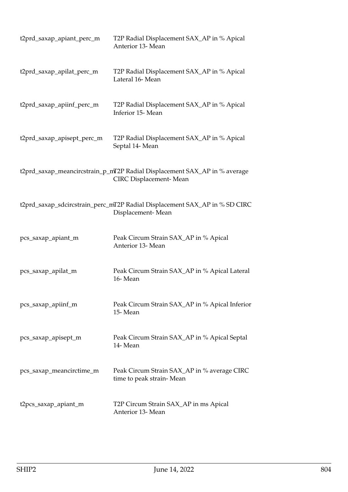| t2prd_saxap_apiant_perc_m  | T2P Radial Displacement SAX_AP in % Apical<br>Anterior 13- Mean                                     |
|----------------------------|-----------------------------------------------------------------------------------------------------|
| t2prd_saxap_apilat_perc_m  | T2P Radial Displacement SAX_AP in % Apical<br>Lateral 16-Mean                                       |
| t2prd_saxap_apiinf_perc_m  | T2P Radial Displacement SAX_AP in % Apical<br>Inferior 15-Mean                                      |
| t2prd_saxap_apisept_perc_m | T2P Radial Displacement SAX_AP in % Apical<br>Septal 14- Mean                                       |
|                            | t2prd_saxap_meancircstrain_p_mT2P Radial Displacement SAX_AP in % average<br>CIRC Displacement-Mean |
|                            | t2prd_saxap_sdcircstrain_perc_mT2P Radial Displacement SAX_AP in % SD CIRC<br>Displacement-Mean     |
| pcs_saxap_apiant_m         | Peak Circum Strain SAX_AP in % Apical<br>Anterior 13- Mean                                          |
| pcs_saxap_apilat_m         | Peak Circum Strain SAX_AP in % Apical Lateral<br>16-Mean                                            |
| pcs_saxap_apiinf_m         | Peak Circum Strain SAX_AP in % Apical Inferior<br>15-Mean                                           |
| pcs_saxap_apisept_m        | Peak Circum Strain SAX_AP in % Apical Septal<br>14-Mean                                             |
| pcs_saxap_meancirctime_m   | Peak Circum Strain SAX_AP in % average CIRC<br>time to peak strain-Mean                             |
| t2pcs_saxap_apiant_m       | T2P Circum Strain SAX_AP in ms Apical<br>Anterior 13- Mean                                          |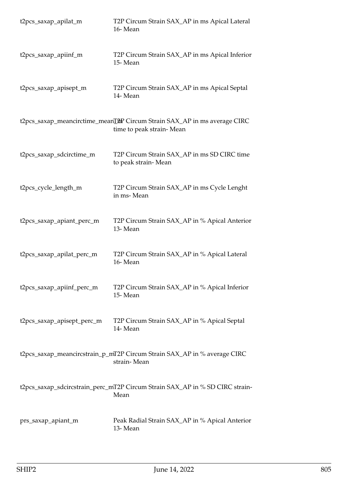| t2pcs_saxap_apilat_m       | T2P Circum Strain SAX_AP in ms Apical Lateral<br>16-Mean                                              |
|----------------------------|-------------------------------------------------------------------------------------------------------|
| t2pcs_saxap_apiinf_m       | T2P Circum Strain SAX_AP in ms Apical Inferior<br>15-Mean                                             |
| t2pcs_saxap_apisept_m      | T2P Circum Strain SAX_AP in ms Apical Septal<br>14-Mean                                               |
|                            | t2pcs_saxap_meancirctime_meanT2PP Circum Strain SAX_AP in ms average CIRC<br>time to peak strain-Mean |
| t2pcs_saxap_sdcirctime_m   | T2P Circum Strain SAX_AP in ms SD CIRC time<br>to peak strain-Mean                                    |
| t2pcs_cycle_length_m       | T2P Circum Strain SAX_AP in ms Cycle Lenght<br>in ms-Mean                                             |
| t2pcs_saxap_apiant_perc_m  | T2P Circum Strain SAX_AP in % Apical Anterior<br>13-Mean                                              |
| t2pcs_saxap_apilat_perc_m  | T2P Circum Strain SAX_AP in % Apical Lateral<br>16-Mean                                               |
| t2pcs_saxap_apiinf_perc_m  | T2P Circum Strain SAX_AP in % Apical Inferior<br>15-Mean                                              |
| t2pcs_saxap_apisept_perc_m | T2P Circum Strain SAX_AP in % Apical Septal<br>14-Mean                                                |
|                            | t2pcs_saxap_meancircstrain_p_mT2P Circum Strain SAX_AP in % average CIRC<br>strain-Mean               |
|                            | t2pcs_saxap_sdcircstrain_perc_mT2P Circum Strain SAX_AP in % SD CIRC strain-<br>Mean                  |
| prs_saxap_apiant_m         | Peak Radial Strain SAX_AP in % Apical Anterior<br>13-Mean                                             |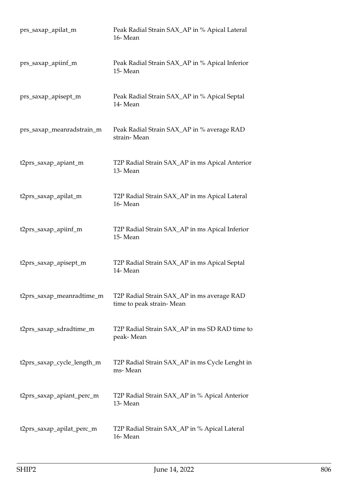| prs_saxap_apilat_m         | Peak Radial Strain SAX_AP in % Apical Lateral<br>16-Mean               |
|----------------------------|------------------------------------------------------------------------|
| prs_saxap_apiinf_m         | Peak Radial Strain SAX_AP in % Apical Inferior<br>15-Mean              |
| prs_saxap_apisept_m        | Peak Radial Strain SAX_AP in % Apical Septal<br>14-Mean                |
| prs_saxap_meanradstrain_m  | Peak Radial Strain SAX_AP in % average RAD<br>strain-Mean              |
| t2prs_saxap_apiant_m       | T2P Radial Strain SAX_AP in ms Apical Anterior<br>13-Mean              |
| t2prs_saxap_apilat_m       | T2P Radial Strain SAX_AP in ms Apical Lateral<br>16-Mean               |
| t2prs_saxap_apiinf_m       | T2P Radial Strain SAX_AP in ms Apical Inferior<br>15-Mean              |
| t2prs_saxap_apisept_m      | T2P Radial Strain SAX_AP in ms Apical Septal<br>14-Mean                |
| t2prs_saxap_meanradtime_m  | T2P Radial Strain SAX_AP in ms average RAD<br>time to peak strain-Mean |
| t2prs_saxap_sdradtime_m    | T2P Radial Strain SAX_AP in ms SD RAD time to<br>peak-Mean             |
| t2prs_saxap_cycle_length_m | T2P Radial Strain SAX_AP in ms Cycle Lenght in<br>ms-Mean              |
| t2prs_saxap_apiant_perc_m  | T2P Radial Strain SAX_AP in % Apical Anterior<br>13-Mean               |
| t2prs_saxap_apilat_perc_m  | T2P Radial Strain SAX_AP in % Apical Lateral<br>16-Mean                |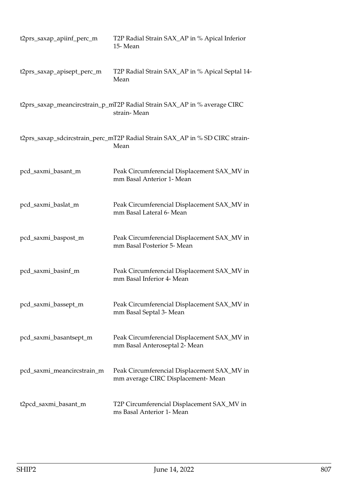| t2prs_saxap_apiinf_perc_m  | T2P Radial Strain SAX_AP in % Apical Inferior<br>15-Mean                                |
|----------------------------|-----------------------------------------------------------------------------------------|
| t2prs_saxap_apisept_perc_m | T2P Radial Strain SAX_AP in % Apical Septal 14-<br>Mean                                 |
|                            | t2prs_saxap_meancircstrain_p_mT2P Radial Strain SAX_AP in % average CIRC<br>strain-Mean |
|                            | t2prs_saxap_sdcircstrain_perc_mT2P Radial Strain SAX_AP in % SD CIRC strain-<br>Mean    |
| pcd_saxmi_basant_m         | Peak Circumferencial Displacement SAX_MV in<br>mm Basal Anterior 1- Mean                |
| pcd_saxmi_baslat_m         | Peak Circumferencial Displacement SAX_MV in<br>mm Basal Lateral 6- Mean                 |
| pcd_saxmi_baspost_m        | Peak Circumferencial Displacement SAX_MV in<br>mm Basal Posterior 5- Mean               |
| pcd_saxmi_basinf_m         | Peak Circumferencial Displacement SAX_MV in<br>mm Basal Inferior 4- Mean                |
| pcd_saxmi_bassept_m        | Peak Circumferencial Displacement SAX_MV in<br>mm Basal Septal 3- Mean                  |
| pcd_saxmi_basantsept_m     | Peak Circumferencial Displacement SAX_MV in<br>mm Basal Anteroseptal 2- Mean            |
| pcd_saxmi_meancircstrain_m | Peak Circumferencial Displacement SAX_MV in<br>mm average CIRC Displacement-Mean        |
| t2pcd_saxmi_basant_m       | T2P Circumferencial Displacement SAX_MV in<br>ms Basal Anterior 1- Mean                 |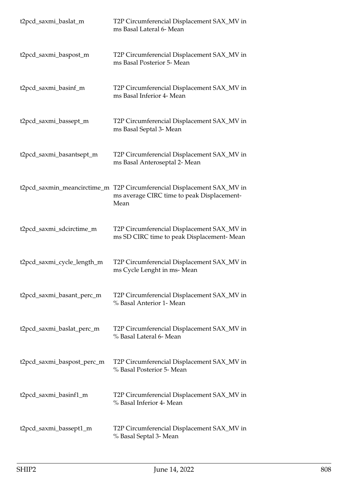| t2pcd_saxmi_baslat_m        | T2P Circumferencial Displacement SAX_MV in<br>ms Basal Lateral 6- Mean                           |
|-----------------------------|--------------------------------------------------------------------------------------------------|
| t2pcd_saxmi_baspost_m       | T2P Circumferencial Displacement SAX_MV in<br>ms Basal Posterior 5- Mean                         |
| t2pcd_saxmi_basinf_m        | T2P Circumferencial Displacement SAX_MV in<br>ms Basal Inferior 4- Mean                          |
| t2pcd_saxmi_bassept_m       | T2P Circumferencial Displacement SAX_MV in<br>ms Basal Septal 3- Mean                            |
| t2pcd_saxmi_basantsept_m    | T2P Circumferencial Displacement SAX_MV in<br>ms Basal Anteroseptal 2- Mean                      |
| t2pcd_saxmin_meancirctime_m | T2P Circumferencial Displacement SAX_MV in<br>ms average CIRC time to peak Displacement-<br>Mean |
| t2pcd_saxmi_sdcirctime_m    | T2P Circumferencial Displacement SAX_MV in<br>ms SD CIRC time to peak Displacement-Mean          |
| t2pcd_saxmi_cycle_length_m  | T2P Circumferencial Displacement SAX_MV in<br>ms Cycle Lenght in ms-Mean                         |
| t2pcd_saxmi_basant_perc_m   | T2P Circumferencial Displacement SAX_MV in<br>% Basal Anterior 1- Mean                           |
| t2pcd_saxmi_baslat_perc_m   | T2P Circumferencial Displacement SAX_MV in<br>% Basal Lateral 6- Mean                            |
| t2pcd_saxmi_baspost_perc_m  | T2P Circumferencial Displacement SAX_MV in<br>% Basal Posterior 5- Mean                          |
| t2pcd_saxmi_basinf1_m       | T2P Circumferencial Displacement SAX_MV in<br>% Basal Inferior 4- Mean                           |
| t2pcd_saxmi_bassept1_m      | T2P Circumferencial Displacement SAX_MV in<br>% Basal Septal 3- Mean                             |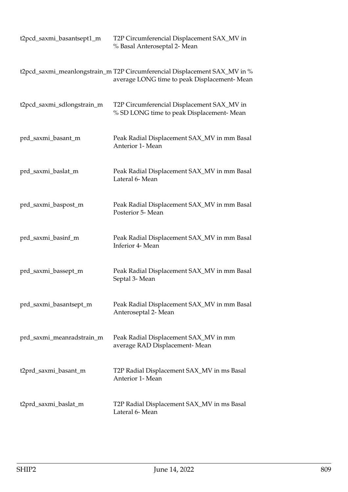| t2pcd_saxmi_basantsept1_m  | T2P Circumferencial Displacement SAX_MV in<br>% Basal Anteroseptal 2- Mean                                               |
|----------------------------|--------------------------------------------------------------------------------------------------------------------------|
|                            | t2pcd_saxmi_meanlongstrain_m T2P Circumferencial Displacement SAX_MV in %<br>average LONG time to peak Displacement-Mean |
| t2pcd_saxmi_sdlongstrain_m | T2P Circumferencial Displacement SAX_MV in<br>% SD LONG time to peak Displacement- Mean                                  |
| prd_saxmi_basant_m         | Peak Radial Displacement SAX_MV in mm Basal<br>Anterior 1- Mean                                                          |
| prd_saxmi_baslat_m         | Peak Radial Displacement SAX_MV in mm Basal<br>Lateral 6- Mean                                                           |
| prd_saxmi_baspost_m        | Peak Radial Displacement SAX_MV in mm Basal<br>Posterior 5- Mean                                                         |
| prd_saxmi_basinf_m         | Peak Radial Displacement SAX_MV in mm Basal<br>Inferior 4- Mean                                                          |
| prd_saxmi_bassept_m        | Peak Radial Displacement SAX_MV in mm Basal<br>Septal 3- Mean                                                            |
| prd_saxmi_basantsept_m     | Peak Radial Displacement SAX_MV in mm Basal<br>Anteroseptal 2- Mean                                                      |
| prd_saxmi_meanradstrain_m  | Peak Radial Displacement SAX_MV in mm<br>average RAD Displacement-Mean                                                   |
| t2prd_saxmi_basant_m       | T2P Radial Displacement SAX_MV in ms Basal<br>Anterior 1- Mean                                                           |
| t2prd_saxmi_baslat_m       | T2P Radial Displacement SAX_MV in ms Basal<br>Lateral 6- Mean                                                            |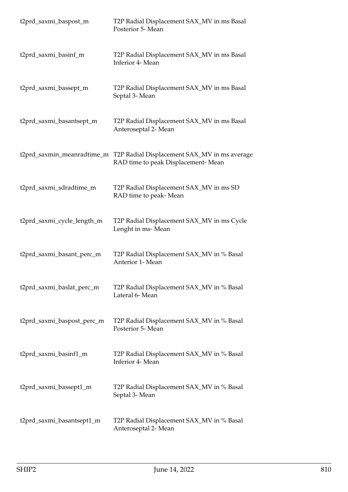| t2prd_saxmi_baspost_m      | T2P Radial Displacement SAX_MV in ms Basal<br>Posterior 5- Mean                    |
|----------------------------|------------------------------------------------------------------------------------|
| t2prd_saxmi_basinf_m       | T2P Radial Displacement SAX_MV in ms Basal<br>Inferior 4- Mean                     |
| t2prd_saxmi_bassept_m      | T2P Radial Displacement SAX_MV in ms Basal<br>Septal 3- Mean                       |
| t2prd_saxmi_basantsept_m   | T2P Radial Displacement SAX_MV in ms Basal<br>Anteroseptal 2- Mean                 |
| t2prd_saxmin_meanradtime_m | T2P Radial Displacement SAX_MV in ms average<br>RAD time to peak Displacement-Mean |
| t2prd_saxmi_sdradtime_m    | T2P Radial Displacement SAX_MV in ms SD<br>RAD time to peak-Mean                   |
| t2prd_saxmi_cycle_length_m | T2P Radial Displacement SAX_MV in ms Cycle<br>Lenght in ms-Mean                    |
| t2prd_saxmi_basant_perc_m  | T2P Radial Displacement SAX_MV in % Basal<br>Anterior 1- Mean                      |
| t2prd_saxmi_baslat_perc_m  | T2P Radial Displacement SAX_MV in % Basal<br>Lateral 6- Mean                       |
| t2prd_saxmi_baspost_perc_m | T2P Radial Displacement SAX_MV in % Basal<br>Posterior 5- Mean                     |
| t2prd_saxmi_basinf1_m      | T2P Radial Displacement SAX_MV in % Basal<br>Inferior 4- Mean                      |
| t2prd_saxmi_bassept1_m     | T2P Radial Displacement SAX_MV in % Basal<br>Septal 3- Mean                        |
| t2prd_saxmi_basantsept1_m  | T2P Radial Displacement SAX_MV in % Basal<br>Anteroseptal 2- Mean                  |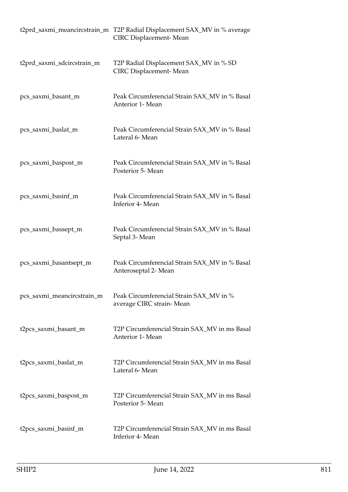|                            | t2prd_saxmi_meancircstrain_m T2P Radial Displacement SAX_MV in % average<br>CIRC Displacement-Mean |
|----------------------------|----------------------------------------------------------------------------------------------------|
| t2prd_saxmi_sdcircstrain_m | T2P Radial Displacement SAX_MV in % SD<br><b>CIRC</b> Displacement-Mean                            |
| pcs_saxmi_basant_m         | Peak Circumferencial Strain SAX_MV in % Basal<br>Anterior 1- Mean                                  |
| pcs_saxmi_baslat_m         | Peak Circumferencial Strain SAX_MV in % Basal<br>Lateral 6- Mean                                   |
| pcs_saxmi_baspost_m        | Peak Circumferencial Strain SAX_MV in % Basal<br>Posterior 5- Mean                                 |
| pcs_saxmi_basinf_m         | Peak Circumferencial Strain SAX_MV in % Basal<br>Inferior 4- Mean                                  |
| pcs_saxmi_bassept_m        | Peak Circumferencial Strain SAX_MV in % Basal<br>Septal 3- Mean                                    |
| pcs_saxmi_basantsept_m     | Peak Circumferencial Strain SAX_MV in % Basal<br>Anteroseptal 2- Mean                              |
| pcs_saxmi_meancircstrain_m | Peak Circumferencial Strain SAX_MV in %<br>average CIRC strain-Mean                                |
| t2pcs_saxmi_basant_m       | T2P Circumferencial Strain SAX_MV in ms Basal<br>Anterior 1- Mean                                  |
| t2pcs_saxmi_baslat_m       | T2P Circumferencial Strain SAX_MV in ms Basal<br>Lateral 6- Mean                                   |
| t2pcs_saxmi_baspost_m      | T2P Circumferencial Strain SAX_MV in ms Basal<br>Posterior 5- Mean                                 |
| t2pcs_saxmi_basinf_m       | T2P Circumferencial Strain SAX_MV in ms Basal<br>Inferior 4- Mean                                  |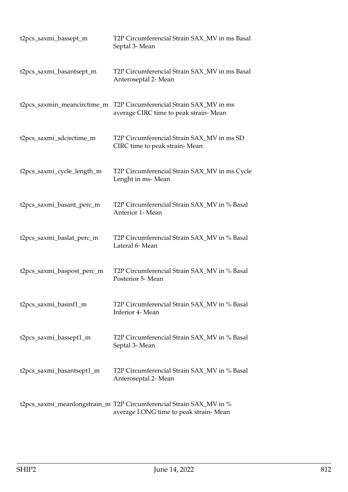| t2pcs_saxmi_bassept_m       | T2P Circumferencial Strain SAX_MV in ms Basal<br>Septal 3- Mean                                              |
|-----------------------------|--------------------------------------------------------------------------------------------------------------|
| t2pcs_saxmi_basantsept_m    | T2P Circumferencial Strain SAX_MV in ms Basal<br>Anteroseptal 2- Mean                                        |
| t2pcs_saxmin_meancirctime_m | T2P Circumferencial Strain SAX MV in ms<br>average CIRC time to peak strain-Mean                             |
| t2pcs_saxmi_sdcirctime_m    | T2P Circumferencial Strain SAX_MV in ms SD<br>CIRC time to peak strain-Mean                                  |
| t2pcs_saxmi_cycle_length_m  | T2P Circumferencial Strain SAX_MV in ms Cycle<br>Lenght in ms-Mean                                           |
| t2pcs_saxmi_basant_perc_m   | T2P Circumferencial Strain SAX_MV in % Basal<br>Anterior 1- Mean                                             |
| t2pcs_saxmi_baslat_perc_m   | T2P Circumferencial Strain SAX_MV in % Basal<br>Lateral 6- Mean                                              |
| t2pcs_saxmi_baspost_perc_m  | T2P Circumferencial Strain SAX_MV in % Basal<br>Posterior 5- Mean                                            |
| t2pcs_saxmi_basinf1_m       | T2P Circumferencial Strain SAX_MV in % Basal<br>Inferior 4- Mean                                             |
| t2pcs_saxmi_bassept1_m      | T2P Circumferencial Strain SAX_MV in % Basal<br>Septal 3- Mean                                               |
| t2pcs_saxmi_basantsept1_m   | T2P Circumferencial Strain SAX_MV in % Basal<br>Anteroseptal 2- Mean                                         |
|                             | t2pcs_saxmi_meanlongstrain_m T2P Circumferencial Strain SAX_MV in %<br>average LONG time to peak strain-Mean |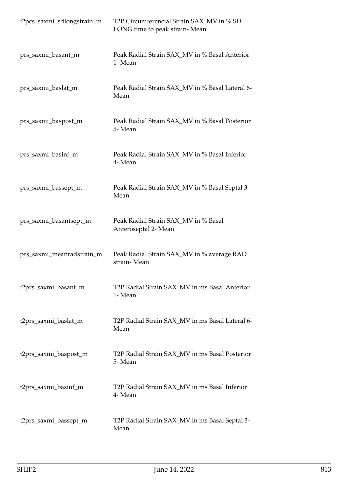| t2pcs_saxmi_sdlongstrain_m | T2P Circumferencial Strain SAX_MV in % SD<br>LONG time to peak strain-Mean |
|----------------------------|----------------------------------------------------------------------------|
| prs_saxmi_basant_m         | Peak Radial Strain SAX_MV in % Basal Anterior<br>1- Mean                   |
| prs_saxmi_baslat_m         | Peak Radial Strain SAX_MV in % Basal Lateral 6-<br>Mean                    |
| prs_saxmi_baspost_m        | Peak Radial Strain SAX_MV in % Basal Posterior<br>5-Mean                   |
| prs_saxmi_basinf_m         | Peak Radial Strain SAX_MV in % Basal Inferior<br>4- Mean                   |
| prs_saxmi_bassept_m        | Peak Radial Strain SAX_MV in % Basal Septal 3-<br>Mean                     |
| prs_saxmi_basantsept_m     | Peak Radial Strain SAX_MV in % Basal<br>Anteroseptal 2- Mean               |
| prs_saxmi_meanradstrain_m  | Peak Radial Strain SAX_MV in % average RAD<br>strain-Mean                  |
| t2prs_saxmi_basant_m       | T2P Radial Strain SAX_MV in ms Basal Anterior<br>1- Mean                   |
| t2prs_saxmi_baslat_m       | T2P Radial Strain SAX_MV in ms Basal Lateral 6-<br>Mean                    |
| t2prs_saxmi_baspost_m      | T2P Radial Strain SAX_MV in ms Basal Posterior<br>5-Mean                   |
| t2prs_saxmi_basinf_m       | T2P Radial Strain SAX_MV in ms Basal Inferior<br>4- Mean                   |
| t2prs_saxmi_bassept_m      | T2P Radial Strain SAX_MV in ms Basal Septal 3-<br>Mean                     |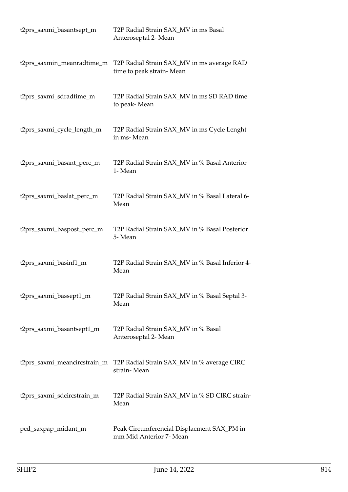| t2prs_saxmi_basantsept_m     | T2P Radial Strain SAX_MV in ms Basal<br>Anteroseptal 2- Mean           |
|------------------------------|------------------------------------------------------------------------|
| t2prs_saxmin_meanradtime_m   | T2P Radial Strain SAX_MV in ms average RAD<br>time to peak strain-Mean |
| t2prs_saxmi_sdradtime_m      | T2P Radial Strain SAX_MV in ms SD RAD time<br>to peak-Mean             |
| t2prs_saxmi_cycle_length_m   | T2P Radial Strain SAX_MV in ms Cycle Lenght<br>in ms-Mean              |
| t2prs_saxmi_basant_perc_m    | T2P Radial Strain SAX_MV in % Basal Anterior<br>1- Mean                |
| t2prs_saxmi_baslat_perc_m    | T2P Radial Strain SAX_MV in % Basal Lateral 6-<br>Mean                 |
| t2prs_saxmi_baspost_perc_m   | T2P Radial Strain SAX_MV in % Basal Posterior<br>5-Mean                |
| t2prs_saxmi_basinf1_m        | T2P Radial Strain SAX_MV in % Basal Inferior 4-<br>Mean                |
| t2prs_saxmi_bassept1_m       | T2P Radial Strain SAX_MV in % Basal Septal 3-<br>Mean                  |
| t2prs_saxmi_basantsept1_m    | T2P Radial Strain SAX_MV in % Basal<br>Anteroseptal 2- Mean            |
| t2prs_saxmi_meancircstrain_m | T2P Radial Strain SAX_MV in % average CIRC<br>strain-Mean              |
| t2prs_saxmi_sdcircstrain_m   | T2P Radial Strain SAX_MV in % SD CIRC strain-<br>Mean                  |
| pcd_saxpap_midant_m          | Peak Circumferencial Displacment SAX_PM in<br>mm Mid Anterior 7- Mean  |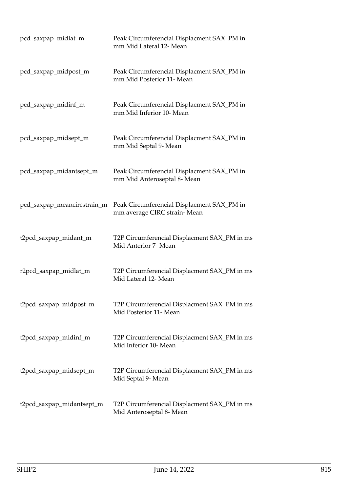| pcd_saxpap_midlat_m         | Peak Circumferencial Displacment SAX_PM in<br>mm Mid Lateral 12- Mean     |
|-----------------------------|---------------------------------------------------------------------------|
| pcd_saxpap_midpost_m        | Peak Circumferencial Displacment SAX_PM in<br>mm Mid Posterior 11- Mean   |
| pcd_saxpap_midinf_m         | Peak Circumferencial Displacment SAX_PM in<br>mm Mid Inferior 10- Mean    |
| pcd_saxpap_midsept_m        | Peak Circumferencial Displacment SAX_PM in<br>mm Mid Septal 9- Mean       |
| pcd_saxpap_midantsept_m     | Peak Circumferencial Displacment SAX_PM in<br>mm Mid Anteroseptal 8- Mean |
| pcd_saxpap_meancircstrain_m | Peak Circumferencial Displacment SAX_PM in<br>mm average CIRC strain-Mean |
| t2pcd_saxpap_midant_m       | T2P Circumferencial Displacment SAX_PM in ms<br>Mid Anterior 7- Mean      |
| r2pcd_saxpap_midlat_m       | T2P Circumferencial Displacment SAX_PM in ms<br>Mid Lateral 12- Mean      |
| t2pcd_saxpap_midpost_m      | T2P Circumferencial Displacment SAX_PM in ms<br>Mid Posterior 11- Mean    |
| t2pcd_saxpap_midinf_m       | T2P Circumferencial Displacment SAX_PM in ms<br>Mid Inferior 10- Mean     |
| t2pcd_saxpap_midsept_m      | T2P Circumferencial Displacment SAX_PM in ms<br>Mid Septal 9- Mean        |
| t2pcd_saxpap_midantsept_m   | T2P Circumferencial Displacment SAX_PM in ms<br>Mid Anteroseptal 8- Mean  |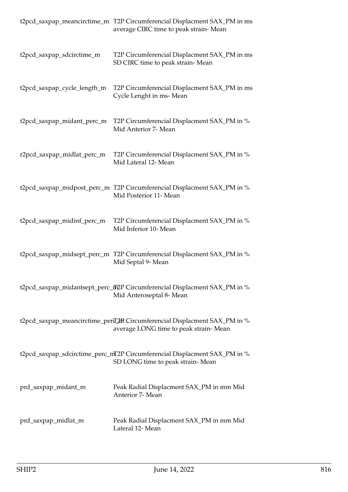|                             | t2pcd_saxpap_meancirctime_m T2P Circumferencial Displacment SAX_PM in ms<br>average CIRC time to peak strain-Mean   |
|-----------------------------|---------------------------------------------------------------------------------------------------------------------|
| t2pcd_saxpap_sdcirctime_m   | T2P Circumferencial Displacment SAX_PM in ms<br>SD CIRC time to peak strain-Mean                                    |
| t2pcd_saxpap_cycle_length_m | T2P Circumferencial Displacment SAX_PM in ms<br>Cycle Lenght in ms-Mean                                             |
| t2pcd_saxpap_midant_perc_m  | T2P Circumferencial Displacment SAX_PM in %<br>Mid Anterior 7- Mean                                                 |
| r2pcd_saxpap_midlat_perc_m  | T2P Circumferencial Displacment SAX_PM in %<br>Mid Lateral 12- Mean                                                 |
|                             | t2pcd_saxpap_midpost_perc_m T2P Circumferencial Displacment SAX_PM in %<br>Mid Posterior 11- Mean                   |
| t2pcd_saxpap_midinf_perc_m  | T2P Circumferencial Displacment SAX_PM in %<br>Mid Inferior 10- Mean                                                |
|                             | t2pcd_saxpap_midsept_perc_m T2P Circumferencial Displacment SAX_PM in %<br>Mid Septal 9- Mean                       |
|                             | t2pcd_saxpap_midantsept_perc_ff2P Circumferencial Displacment SAX_PM in %<br>Mid Anteroseptal 8- Mean               |
|                             | t2pcd_saxpap_meancirctime_perd_2HR Circumferencial Displacment SAX_PM in %<br>average LONG time to peak strain-Mean |
|                             | t2pcd_saxpap_sdcirctime_perc_mT2P Circumferencial Displacment SAX_PM in %<br>SD LONG time to peak strain-Mean       |
| prd_saxpap_midant_m         | Peak Radial Displacment SAX_PM in mm Mid<br>Anterior 7- Mean                                                        |
| prd_saxpap_midlat_m         | Peak Radial Displacment SAX_PM in mm Mid<br>Lateral 12- Mean                                                        |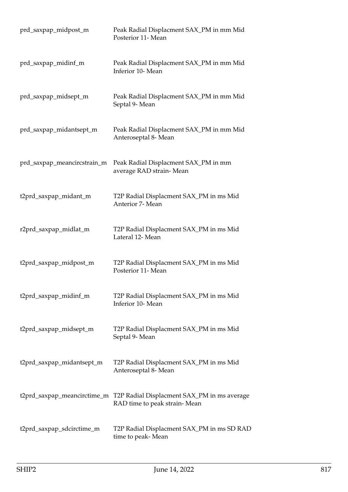| prd_saxpap_midpost_m        | Peak Radial Displacment SAX_PM in mm Mid<br>Posterior 11- Mean                                          |
|-----------------------------|---------------------------------------------------------------------------------------------------------|
| prd_saxpap_midinf_m         | Peak Radial Displacment SAX_PM in mm Mid<br>Inferior 10- Mean                                           |
| prd_saxpap_midsept_m        | Peak Radial Displacment SAX_PM in mm Mid<br>Septal 9- Mean                                              |
| prd_saxpap_midantsept_m     | Peak Radial Displacment SAX_PM in mm Mid<br>Anteroseptal 8- Mean                                        |
| prd_saxpap_meancircstrain_m | Peak Radial Displacment SAX_PM in mm<br>average RAD strain-Mean                                         |
| t2prd_saxpap_midant_m       | T2P Radial Displacment SAX_PM in ms Mid<br>Anterior 7- Mean                                             |
| r2prd_saxpap_midlat_m       | T2P Radial Displacment SAX_PM in ms Mid<br>Lateral 12- Mean                                             |
| t2prd_saxpap_midpost_m      | T2P Radial Displacment SAX_PM in ms Mid<br>Posterior 11- Mean                                           |
| t2prd_saxpap_midinf_m       | T2P Radial Displacment SAX_PM in ms Mid<br>Inferior 10- Mean                                            |
| t2prd_saxpap_midsept_m      | T2P Radial Displacment SAX_PM in ms Mid<br>Septal 9- Mean                                               |
| t2prd_saxpap_midantsept_m   | T2P Radial Displacment SAX_PM in ms Mid<br>Anteroseptal 8- Mean                                         |
|                             | t2prd_saxpap_meancirctime_m T2P Radial Displacment SAX_PM in ms average<br>RAD time to peak strain-Mean |
| t2prd_saxpap_sdcirctime_m   | T2P Radial Displacment SAX_PM in ms SD RAD<br>time to peak-Mean                                         |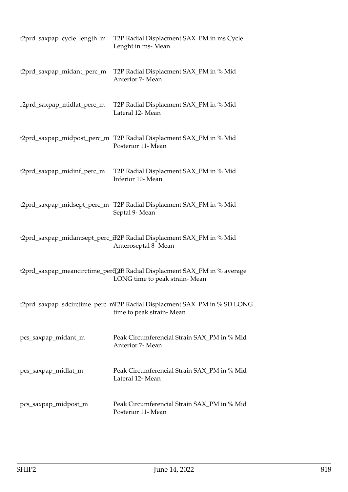| t2prd_saxpap_cycle_length_m | T2P Radial Displacment SAX_PM in ms Cycle<br>Lenght in ms-Mean                                             |
|-----------------------------|------------------------------------------------------------------------------------------------------------|
| t2prd_saxpap_midant_perc_m  | T2P Radial Displacment SAX_PM in % Mid<br>Anterior 7- Mean                                                 |
| r2prd_saxpap_midlat_perc_m  | T2P Radial Displacment SAX_PM in % Mid<br>Lateral 12- Mean                                                 |
|                             | t2prd_saxpap_midpost_perc_m T2P Radial Displacment SAX_PM in % Mid<br>Posterior 11- Mean                   |
| t2prd_saxpap_midinf_perc_m  | T2P Radial Displacment SAX_PM in % Mid<br>Inferior 10- Mean                                                |
|                             | t2prd_saxpap_midsept_perc_m T2P Radial Displacment SAX_PM in % Mid<br>Septal 9- Mean                       |
|                             | t2prd_saxpap_midantsept_perc_ff2P Radial Displacment SAX_PM in % Mid<br>Anteroseptal 8- Mean               |
|                             | t2prd_saxpap_meancirctime_perd_2RR Radial Displacment SAX_PM in % average<br>LONG time to peak strain-Mean |
|                             | t2prd_saxpap_sdcirctime_perc_mT2P Radial Displacment SAX_PM in % SD LONG<br>time to peak strain-Mean       |
| pcs_saxpap_midant_m         | Peak Circumferencial Strain SAX_PM in % Mid<br>Anterior 7- Mean                                            |
| pcs_saxpap_midlat_m         | Peak Circumferencial Strain SAX_PM in % Mid<br>Lateral 12- Mean                                            |
| pcs_saxpap_midpost_m        | Peak Circumferencial Strain SAX_PM in % Mid<br>Posterior 11- Mean                                          |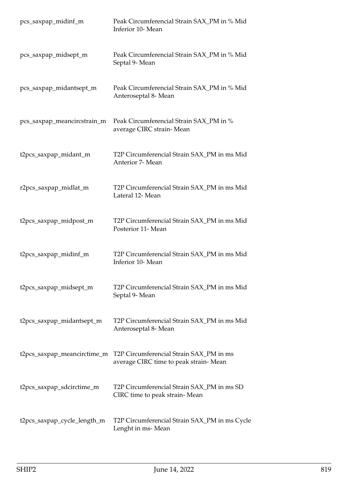| pcs_saxpap_midinf_m         | Peak Circumferencial Strain SAX_PM in % Mid<br>Inferior 10- Mean                  |
|-----------------------------|-----------------------------------------------------------------------------------|
| pcs_saxpap_midsept_m        | Peak Circumferencial Strain SAX_PM in % Mid<br>Septal 9- Mean                     |
| pcs_saxpap_midantsept_m     | Peak Circumferencial Strain SAX_PM in % Mid<br>Anteroseptal 8- Mean               |
| pcs_saxpap_meancircstrain_m | Peak Circumferencial Strain SAX_PM in %<br>average CIRC strain-Mean               |
| t2pcs_saxpap_midant_m       | T2P Circumferencial Strain SAX_PM in ms Mid<br>Anterior 7- Mean                   |
| r2pcs_saxpap_midlat_m       | T2P Circumferencial Strain SAX_PM in ms Mid<br>Lateral 12- Mean                   |
| t2pcs_saxpap_midpost_m      | T2P Circumferencial Strain SAX_PM in ms Mid<br>Posterior 11- Mean                 |
| t2pcs_saxpap_midinf_m       | T2P Circumferencial Strain SAX_PM in ms Mid<br>Inferior 10- Mean                  |
| t2pcs_saxpap_midsept_m      | T2P Circumferencial Strain SAX_PM in ms Mid<br>Septal 9- Mean                     |
| t2pcs_saxpap_midantsept_m   | T2P Circumferencial Strain SAX_PM in ms Mid<br>Anteroseptal 8- Mean               |
| t2pcs_saxpap_meancirctime_m | T2P Circumferencial Strain SAX_PM in ms<br>average CIRC time to peak strain- Mean |
| t2pcs_saxpap_sdcirctime_m   | T2P Circumferencial Strain SAX_PM in ms SD<br>CIRC time to peak strain- Mean      |
| t2pcs_saxpap_cycle_length_m | T2P Circumferencial Strain SAX_PM in ms Cycle<br>Lenght in ms-Mean                |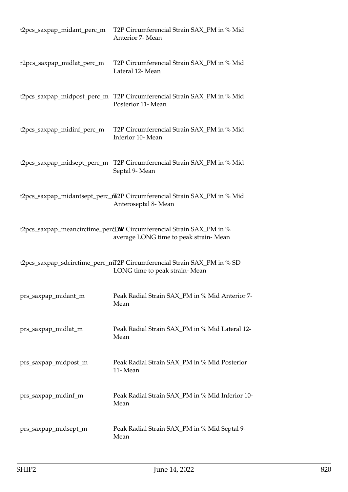| t2pcs_saxpap_midant_perc_m  | T2P Circumferencial Strain SAX_PM in % Mid<br>Anterior 7- Mean                                                 |
|-----------------------------|----------------------------------------------------------------------------------------------------------------|
| r2pcs_saxpap_midlat_perc_m  | T2P Circumferencial Strain SAX_PM in % Mid<br>Lateral 12- Mean                                                 |
|                             | t2pcs_saxpap_midpost_perc_m T2P Circumferencial Strain SAX_PM in % Mid<br>Posterior 11- Mean                   |
| t2pcs_saxpap_midinf_perc_m  | T2P Circumferencial Strain SAX_PM in % Mid<br>Inferior 10- Mean                                                |
| t2pcs_saxpap_midsept_perc_m | T2P Circumferencial Strain SAX_PM in % Mid<br>Septal 9- Mean                                                   |
|                             | t2pcs_saxpap_midantsept_perc_ntn2P Circumferencial Strain SAX_PM in % Mid<br>Anteroseptal 8- Mean              |
|                             | t2pcs_saxpap_meancirctime_percL2mP Circumferencial Strain SAX_PM in %<br>average LONG time to peak strain-Mean |
|                             | t2pcs_saxpap_sdcirctime_perc_mT2P Circumferencial Strain SAX_PM in % SD<br>LONG time to peak strain-Mean       |
| prs_saxpap_midant_m         | Peak Radial Strain SAX_PM in % Mid Anterior 7-<br>Mean                                                         |
| prs_saxpap_midlat_m         | Peak Radial Strain SAX_PM in % Mid Lateral 12-<br>Mean                                                         |
| prs_saxpap_midpost_m        | Peak Radial Strain SAX_PM in % Mid Posterior<br>11-Mean                                                        |
| prs_saxpap_midinf_m         | Peak Radial Strain SAX_PM in % Mid Inferior 10-<br>Mean                                                        |
| prs_saxpap_midsept_m        | Peak Radial Strain SAX_PM in % Mid Septal 9-<br>Mean                                                           |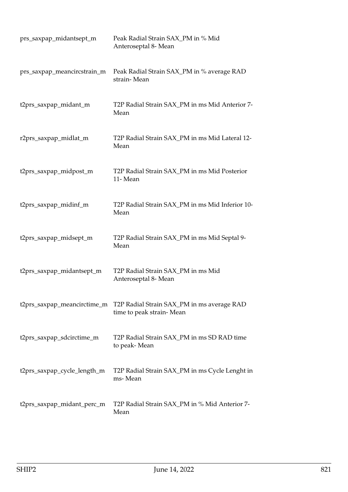| prs_saxpap_midantsept_m     | Peak Radial Strain SAX_PM in % Mid<br>Anteroseptal 8- Mean             |
|-----------------------------|------------------------------------------------------------------------|
| prs_saxpap_meancircstrain_m | Peak Radial Strain SAX_PM in % average RAD<br>strain-Mean              |
| t2prs_saxpap_midant_m       | T2P Radial Strain SAX_PM in ms Mid Anterior 7-<br>Mean                 |
| r2prs_saxpap_midlat_m       | T2P Radial Strain SAX_PM in ms Mid Lateral 12-<br>Mean                 |
| t2prs_saxpap_midpost_m      | T2P Radial Strain SAX_PM in ms Mid Posterior<br>11-Mean                |
| t2prs_saxpap_midinf_m       | T2P Radial Strain SAX_PM in ms Mid Inferior 10-<br>Mean                |
| t2prs_saxpap_midsept_m      | T2P Radial Strain SAX_PM in ms Mid Septal 9-<br>Mean                   |
| t2prs_saxpap_midantsept_m   | T2P Radial Strain SAX_PM in ms Mid<br>Anteroseptal 8- Mean             |
| t2prs_saxpap_meancirctime_m | T2P Radial Strain SAX_PM in ms average RAD<br>time to peak strain-Mean |
| t2prs_saxpap_sdcirctime_m   | T2P Radial Strain SAX_PM in ms SD RAD time<br>to peak-Mean             |
| t2prs_saxpap_cycle_length_m | T2P Radial Strain SAX_PM in ms Cycle Lenght in<br>ms-Mean              |
| t2prs_saxpap_midant_perc_m  | T2P Radial Strain SAX_PM in % Mid Anterior 7-<br>Mean                  |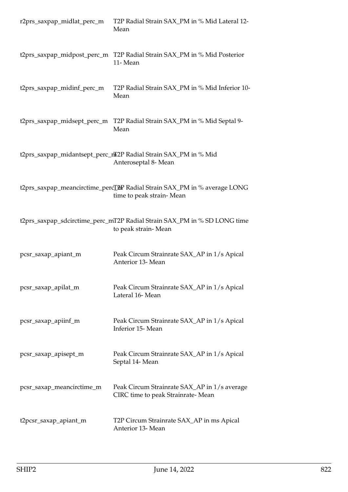| r2prs_saxpap_midlat_perc_m  | T2P Radial Strain SAX_PM in % Mid Lateral 12-<br>Mean                                                              |
|-----------------------------|--------------------------------------------------------------------------------------------------------------------|
| t2prs_saxpap_midpost_perc_m | T2P Radial Strain SAX_PM in % Mid Posterior<br>11-Mean                                                             |
| t2prs_saxpap_midinf_perc_m  | T2P Radial Strain SAX_PM in % Mid Inferior 10-<br>Mean                                                             |
| t2prs_saxpap_midsept_perc_m | T2P Radial Strain SAX_PM in % Mid Septal 9-<br>Mean                                                                |
|                             | t2prs_saxpap_midantsept_perc_nT2P Radial Strain SAX_PM in % Mid<br>Anteroseptal 8- Mean                            |
|                             | t2prs_saxpap_meancirctime_percL <sup>2</sup> 2P Radial Strain SAX_PM in % average LONG<br>time to peak strain-Mean |
|                             | t2prs_saxpap_sdcirctime_perc_mT2P Radial Strain SAX_PM in % SD LONG time<br>to peak strain-Mean                    |
| pcsr_saxap_apiant_m         | Peak Circum Strainrate SAX_AP in 1/s Apical<br>Anterior 13- Mean                                                   |
| pcsr_saxap_apilat_m         | Peak Circum Strainrate SAX_AP in 1/s Apical<br>Lateral 16-Mean                                                     |
| pcsr_saxap_apiinf_m         | Peak Circum Strainrate SAX_AP in 1/s Apical<br>Inferior 15-Mean                                                    |
| pcsr_saxap_apisept_m        | Peak Circum Strainrate SAX_AP in 1/s Apical<br>Septal 14- Mean                                                     |
| pcsr_saxap_meancirctime_m   | Peak Circum Strainrate SAX_AP in 1/s average<br>CIRC time to peak Strainrate-Mean                                  |
| t2pcsr_saxap_apiant_m       | T2P Circum Strainrate SAX_AP in ms Apical<br>Anterior 13- Mean                                                     |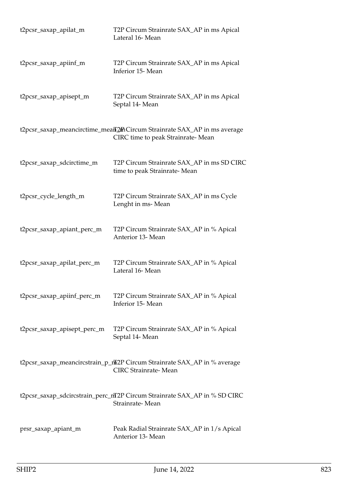| t2pcsr_saxap_apilat_m       | T2P Circum Strainrate SAX_AP in ms Apical<br>Lateral 16-Mean                                                 |
|-----------------------------|--------------------------------------------------------------------------------------------------------------|
| t2pcsr_saxap_apiinf_m       | T2P Circum Strainrate SAX_AP in ms Apical<br>Inferior 15-Mean                                                |
| t2pcsr_saxap_apisept_m      | T2P Circum Strainrate SAX_AP in ms Apical<br>Septal 14- Mean                                                 |
|                             | t2pcsr_saxap_meancirctime_meaff2mCircum Strainrate SAX_AP in ms average<br>CIRC time to peak Strainrate-Mean |
| t2pcsr_saxap_sdcirctime_m   | T2P Circum Strainrate SAX_AP in ms SD CIRC<br>time to peak Strainrate-Mean                                   |
| t2pcsr_cycle_length_m       | T2P Circum Strainrate SAX_AP in ms Cycle<br>Lenght in ms-Mean                                                |
| t2pcsr_saxap_apiant_perc_m  | T2P Circum Strainrate SAX_AP in % Apical<br>Anterior 13- Mean                                                |
| t2pcsr_saxap_apilat_perc_m  | T2P Circum Strainrate SAX_AP in % Apical<br>Lateral 16-Mean                                                  |
| t2pcsr_saxap_apiinf_perc_m  | T2P Circum Strainrate SAX_AP in % Apical<br>Inferior 15-Mean                                                 |
| t2pcsr_saxap_apisept_perc_m | T2P Circum Strainrate SAX_AP in % Apical<br>Septal 14- Mean                                                  |
|                             | t2pcsr_saxap_meancircstrain_p_max2P Circum Strainrate SAX_AP in % average<br><b>CIRC</b> Strainrate-Mean     |
|                             | t2pcsr_saxap_sdcircstrain_perc_mT2P Circum Strainrate SAX_AP in % SD CIRC<br>Strainrate-Mean                 |
| prsr_saxap_apiant_m         | Peak Radial Strainrate SAX_AP in 1/s Apical<br>Anterior 13- Mean                                             |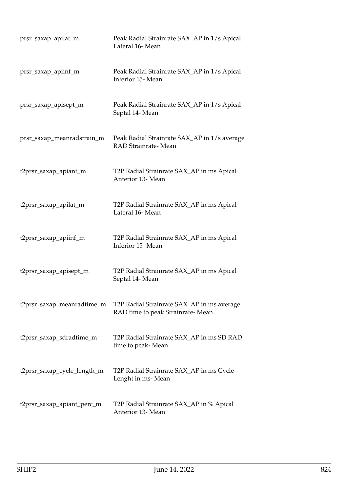| prsr_saxap_apilat_m         | Peak Radial Strainrate SAX_AP in 1/s Apical<br>Lateral 16-Mean                 |
|-----------------------------|--------------------------------------------------------------------------------|
| prsr_saxap_apiinf_m         | Peak Radial Strainrate SAX_AP in 1/s Apical<br>Inferior 15-Mean                |
| prsr_saxap_apisept_m        | Peak Radial Strainrate SAX_AP in 1/s Apical<br>Septal 14- Mean                 |
| prsr_saxap_meanradstrain_m  | Peak Radial Strainrate SAX_AP in 1/s average<br>RAD Strainrate-Mean            |
| t2prsr_saxap_apiant_m       | T2P Radial Strainrate SAX_AP in ms Apical<br>Anterior 13- Mean                 |
| t2prsr_saxap_apilat_m       | T2P Radial Strainrate SAX_AP in ms Apical<br>Lateral 16-Mean                   |
| t2prsr_saxap_apiinf_m       | T2P Radial Strainrate SAX_AP in ms Apical<br>Inferior 15-Mean                  |
| t2prsr_saxap_apisept_m      | T2P Radial Strainrate SAX_AP in ms Apical<br>Septal 14- Mean                   |
| t2prsr_saxap_meanradtime_m  | T2P Radial Strainrate SAX_AP in ms average<br>RAD time to peak Strainrate-Mean |
| t2prsr_saxap_sdradtime_m    | T2P Radial Strainrate SAX_AP in ms SD RAD<br>time to peak-Mean                 |
| t2prsr_saxap_cycle_length_m | T2P Radial Strainrate SAX_AP in ms Cycle<br>Lenght in ms-Mean                  |
| t2prsr_saxap_apiant_perc_m  | T2P Radial Strainrate SAX_AP in % Apical<br>Anterior 13- Mean                  |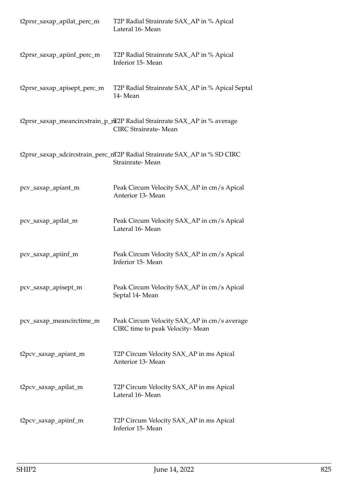| t2prsr_saxap_apilat_perc_m  | T2P Radial Strainrate SAX_AP in % Apical<br>Lateral 16-Mean                                             |
|-----------------------------|---------------------------------------------------------------------------------------------------------|
| t2prsr_saxap_apiinf_perc_m  | T2P Radial Strainrate SAX_AP in % Apical<br>Inferior 15-Mean                                            |
| t2prsr_saxap_apisept_perc_m | T2P Radial Strainrate SAX_AP in % Apical Septal<br>14-Mean                                              |
|                             | t2prsr_saxap_meancircstrain_p_mT2P Radial Strainrate SAX_AP in % average<br><b>CIRC</b> Strainrate-Mean |
|                             | t2prsr_saxap_sdcircstrain_perc_mT2P Radial Strainrate SAX_AP in % SD CIRC<br>Strainrate-Mean            |
| pcv_saxap_apiant_m          | Peak Circum Velocity SAX_AP in cm/s Apical<br>Anterior 13- Mean                                         |
| pcv_saxap_apilat_m          | Peak Circum Velocity SAX_AP in cm/s Apical<br>Lateral 16-Mean                                           |
| pcv_saxap_apiinf_m          | Peak Circum Velocity SAX_AP in cm/s Apical<br>Inferior 15-Mean                                          |
| pcv_saxap_apisept_m         | Peak Circum Velocity SAX_AP in cm/s Apical<br>Septal 14- Mean                                           |
| pcv_saxap_meancirctime_m    | Peak Circum Velocity SAX_AP in cm/s average<br>CIRC time to peak Velocity-Mean                          |
| t2pcv_saxap_apiant_m        | T2P Circum Velocity SAX_AP in ms Apical<br>Anterior 13- Mean                                            |
| t2pcv_saxap_apilat_m        | T2P Circum Velocity SAX_AP in ms Apical<br>Lateral 16-Mean                                              |
| t2pcv_saxap_apiinf_m        | T2P Circum Velocity SAX_AP in ms Apical<br>Inferior 15- Mean                                            |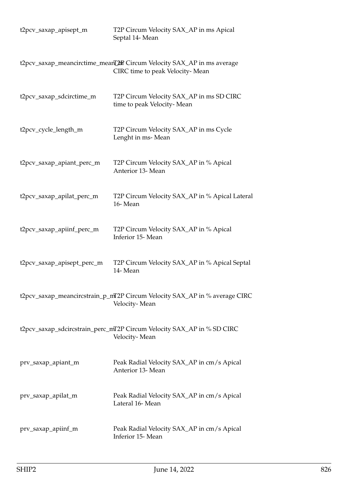| t2pcv_saxap_apisept_m      | T2P Circum Velocity SAX_AP in ms Apical<br>Septal 14- Mean                                                |
|----------------------------|-----------------------------------------------------------------------------------------------------------|
|                            | t2pcv_saxap_meancirctime_meanL2mP Circum Velocity SAX_AP in ms average<br>CIRC time to peak Velocity-Mean |
| t2pcv_saxap_sdcirctime_m   | T2P Circum Velocity SAX_AP in ms SD CIRC<br>time to peak Velocity-Mean                                    |
| t2pcv_cycle_length_m       | T2P Circum Velocity SAX_AP in ms Cycle<br>Lenght in ms-Mean                                               |
| t2pcv_saxap_apiant_perc_m  | T2P Circum Velocity SAX_AP in % Apical<br>Anterior 13- Mean                                               |
| t2pcv_saxap_apilat_perc_m  | T2P Circum Velocity SAX_AP in % Apical Lateral<br>16-Mean                                                 |
| t2pcv_saxap_apiinf_perc_m  | T2P Circum Velocity SAX_AP in % Apical<br>Inferior 15-Mean                                                |
| t2pcv_saxap_apisept_perc_m | T2P Circum Velocity SAX_AP in % Apical Septal<br>14-Mean                                                  |
|                            | t2pcv_saxap_meancircstrain_p_mT2P Circum Velocity SAX_AP in % average CIRC<br>Velocity-Mean               |
|                            | t2pcv_saxap_sdcircstrain_perc_mT2P Circum Velocity SAX_AP in % SD CIRC<br>Velocity-Mean                   |
| prv_saxap_apiant_m         | Peak Radial Velocity SAX_AP in cm/s Apical<br>Anterior 13- Mean                                           |
| prv_saxap_apilat_m         | Peak Radial Velocity SAX_AP in cm/s Apical<br>Lateral 16-Mean                                             |
| prv_saxap_apiinf_m         | Peak Radial Velocity SAX_AP in cm/s Apical<br>Inferior 15-Mean                                            |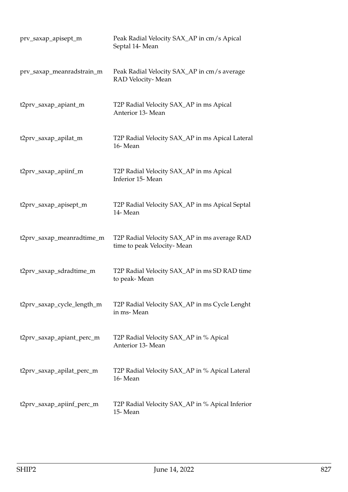| prv_saxap_apisept_m        | Peak Radial Velocity SAX_AP in cm/s Apical<br>Septal 14- Mean              |
|----------------------------|----------------------------------------------------------------------------|
| prv_saxap_meanradstrain_m  | Peak Radial Velocity SAX_AP in cm/s average<br>RAD Velocity-Mean           |
| t2prv_saxap_apiant_m       | T2P Radial Velocity SAX_AP in ms Apical<br>Anterior 13- Mean               |
| t2prv_saxap_apilat_m       | T2P Radial Velocity SAX_AP in ms Apical Lateral<br>16-Mean                 |
| t2prv_saxap_apiinf_m       | T2P Radial Velocity SAX_AP in ms Apical<br>Inferior 15-Mean                |
| t2prv_saxap_apisept_m      | T2P Radial Velocity SAX_AP in ms Apical Septal<br>14-Mean                  |
| t2prv_saxap_meanradtime_m  | T2P Radial Velocity SAX_AP in ms average RAD<br>time to peak Velocity-Mean |
| t2prv_saxap_sdradtime_m    | T2P Radial Velocity SAX_AP in ms SD RAD time<br>to peak-Mean               |
| t2prv_saxap_cycle_length_m | T2P Radial Velocity SAX_AP in ms Cycle Lenght<br>in ms-Mean                |
| t2prv_saxap_apiant_perc_m  | T2P Radial Velocity SAX_AP in % Apical<br>Anterior 13- Mean                |
| t2prv_saxap_apilat_perc_m  | T2P Radial Velocity SAX_AP in % Apical Lateral<br>16-Mean                  |
| t2prv_saxap_apiinf_perc_m  | T2P Radial Velocity SAX_AP in % Apical Inferior<br>15-Mean                 |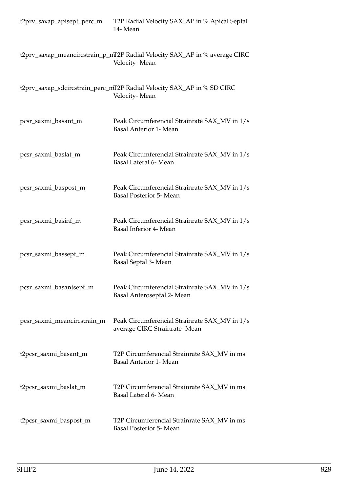| t2prv_saxap_apisept_perc_m  | T2P Radial Velocity SAX_AP in % Apical Septal<br>14- Mean                                   |
|-----------------------------|---------------------------------------------------------------------------------------------|
|                             | t2prv_saxap_meancircstrain_p_mT2P Radial Velocity SAX_AP in % average CIRC<br>Velocity-Mean |
|                             | t2prv_saxap_sdcircstrain_perc_mT2P Radial Velocity SAX_AP in % SD CIRC<br>Velocity-Mean     |
| pcsr_saxmi_basant_m         | Peak Circumferencial Strainrate SAX_MV in 1/s<br><b>Basal Anterior 1- Mean</b>              |
| pcsr_saxmi_baslat_m         | Peak Circumferencial Strainrate SAX_MV in 1/s<br>Basal Lateral 6- Mean                      |
| pcsr_saxmi_baspost_m        | Peak Circumferencial Strainrate SAX_MV in 1/s<br><b>Basal Posterior 5- Mean</b>             |
| pcsr_saxmi_basinf_m         | Peak Circumferencial Strainrate SAX_MV in 1/s<br>Basal Inferior 4- Mean                     |
| pcsr_saxmi_bassept_m        | Peak Circumferencial Strainrate SAX_MV in 1/s<br>Basal Septal 3- Mean                       |
| pcsr_saxmi_basantsept_m     | Peak Circumferencial Strainrate SAX_MV in 1/s<br>Basal Anteroseptal 2- Mean                 |
| pcsr_saxmi_meancircstrain_m | Peak Circumferencial Strainrate SAX_MV in 1/s<br>average CIRC Strainrate-Mean               |
| t2pcsr_saxmi_basant_m       | T2P Circumferencial Strainrate SAX_MV in ms<br><b>Basal Anterior 1- Mean</b>                |
| t2pcsr_saxmi_baslat_m       | T2P Circumferencial Strainrate SAX_MV in ms<br>Basal Lateral 6- Mean                        |
| t2pcsr_saxmi_baspost_m      | T2P Circumferencial Strainrate SAX_MV in ms<br>Basal Posterior 5- Mean                      |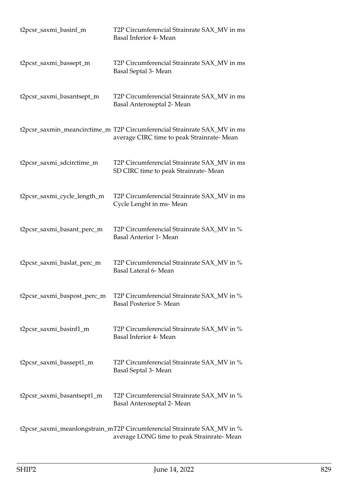| t2pcsr_saxmi_basinf_m       | T2P Circumferencial Strainrate SAX_MV in ms<br>Basal Inferior 4- Mean                                                 |
|-----------------------------|-----------------------------------------------------------------------------------------------------------------------|
| t2pcsr_saxmi_bassept_m      | T2P Circumferencial Strainrate SAX_MV in ms<br>Basal Septal 3- Mean                                                   |
| t2pcsr_saxmi_basantsept_m   | T2P Circumferencial Strainrate SAX_MV in ms<br>Basal Anteroseptal 2- Mean                                             |
|                             | t2pcsr_saxmin_meancirctime_m T2P Circumferencial Strainrate SAX_MV in ms<br>average CIRC time to peak Strainrate-Mean |
| t2pcsr_saxmi_sdcirctime_m   | T2P Circumferencial Strainrate SAX_MV in ms<br>SD CIRC time to peak Strainrate-Mean                                   |
| t2pcsr_saxmi_cycle_length_m | T2P Circumferencial Strainrate SAX_MV in ms<br>Cycle Lenght in ms-Mean                                                |
| t2pcsr_saxmi_basant_perc_m  | T2P Circumferencial Strainrate SAX_MV in %<br><b>Basal Anterior 1- Mean</b>                                           |
| t2pcsr_saxmi_baslat_perc_m  | T2P Circumferencial Strainrate SAX_MV in %<br>Basal Lateral 6- Mean                                                   |
| t2pcsr_saxmi_baspost_perc_m | T2P Circumferencial Strainrate SAX_MV in %<br><b>Basal Posterior 5- Mean</b>                                          |
| t2pcsr_saxmi_basinf1_m      | T2P Circumferencial Strainrate SAX_MV in %<br>Basal Inferior 4- Mean                                                  |
| t2pcsr_saxmi_bassept1_m     | T2P Circumferencial Strainrate SAX_MV in %<br>Basal Septal 3- Mean                                                    |
| t2pcsr_saxmi_basantsept1_m  | T2P Circumferencial Strainrate SAX_MV in %<br>Basal Anteroseptal 2- Mean                                              |
|                             | t2pcsr_saxmi_meanlongstrain_mT2P Circumferencial Strainrate SAX_MV in %<br>average LONG time to peak Strainrate-Mean  |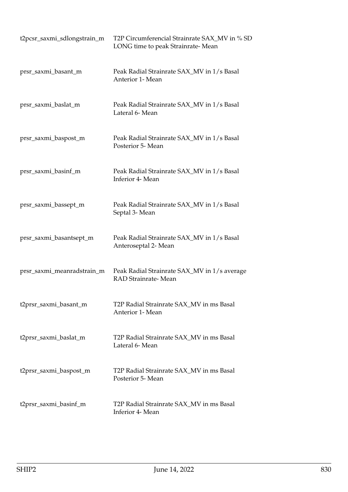| t2pcsr_saxmi_sdlongstrain_m | T2P Circumferencial Strainrate SAX_MV in % SD<br>LONG time to peak Strainrate-Mean |
|-----------------------------|------------------------------------------------------------------------------------|
| prsr_saxmi_basant_m         | Peak Radial Strainrate SAX_MV in 1/s Basal<br>Anterior 1- Mean                     |
| prsr_saxmi_baslat_m         | Peak Radial Strainrate SAX_MV in 1/s Basal<br>Lateral 6- Mean                      |
| prsr_saxmi_baspost_m        | Peak Radial Strainrate SAX_MV in 1/s Basal<br>Posterior 5- Mean                    |
| prsr_saxmi_basinf_m         | Peak Radial Strainrate SAX_MV in 1/s Basal<br>Inferior 4- Mean                     |
| prsr_saxmi_bassept_m        | Peak Radial Strainrate SAX_MV in 1/s Basal<br>Septal 3- Mean                       |
| prsr_saxmi_basantsept_m     | Peak Radial Strainrate SAX_MV in 1/s Basal<br>Anteroseptal 2- Mean                 |
| prsr_saxmi_meanradstrain_m  | Peak Radial Strainrate SAX_MV in 1/s average<br>RAD Strainrate-Mean                |
| t2prsr_saxmi_basant_m       | T2P Radial Strainrate SAX_MV in ms Basal<br>Anterior 1- Mean                       |
| t2prsr_saxmi_baslat_m       | T2P Radial Strainrate SAX_MV in ms Basal<br>Lateral 6- Mean                        |
| t2prsr_saxmi_baspost_m      | T2P Radial Strainrate SAX_MV in ms Basal<br>Posterior 5- Mean                      |
| t2prsr_saxmi_basinf_m       | T2P Radial Strainrate SAX_MV in ms Basal<br>Inferior 4- Mean                       |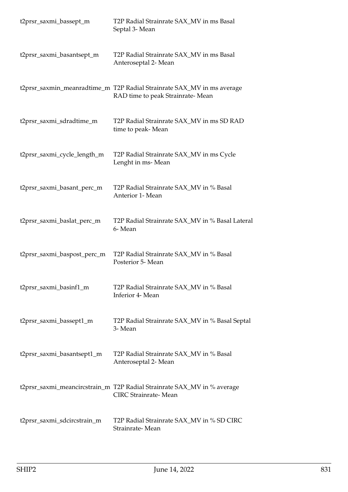| t2prsr_saxmi_bassept_m      | T2P Radial Strainrate SAX_MV in ms Basal<br>Septal 3- Mean                                                 |
|-----------------------------|------------------------------------------------------------------------------------------------------------|
| t2prsr_saxmi_basantsept_m   | T2P Radial Strainrate SAX_MV in ms Basal<br>Anteroseptal 2- Mean                                           |
|                             | t2prsr_saxmin_meanradtime_m T2P Radial Strainrate SAX_MV in ms average<br>RAD time to peak Strainrate-Mean |
| t2prsr_saxmi_sdradtime_m    | T2P Radial Strainrate SAX_MV in ms SD RAD<br>time to peak- Mean                                            |
| t2prsr_saxmi_cycle_length_m | T2P Radial Strainrate SAX_MV in ms Cycle<br>Lenght in ms-Mean                                              |
| t2prsr_saxmi_basant_perc_m  | T2P Radial Strainrate SAX_MV in % Basal<br>Anterior 1- Mean                                                |
| t2prsr_saxmi_baslat_perc_m  | T2P Radial Strainrate SAX_MV in % Basal Lateral<br>6-Mean                                                  |
| t2prsr_saxmi_baspost_perc_m | T2P Radial Strainrate SAX_MV in % Basal<br>Posterior 5- Mean                                               |
| t2prsr_saxmi_basinf1_m      | T2P Radial Strainrate SAX_MV in % Basal<br>Inferior 4- Mean                                                |
| t2prsr_saxmi_bassept1_m     | T2P Radial Strainrate SAX_MV in % Basal Septal<br>3- Mean                                                  |
| t2prsr_saxmi_basantsept1_m  | T2P Radial Strainrate SAX_MV in % Basal<br>Anteroseptal 2- Mean                                            |
|                             | t2prsr_saxmi_meancircstrain_m T2P Radial Strainrate SAX_MV in % average<br><b>CIRC</b> Strainrate-Mean     |
| t2prsr_saxmi_sdcircstrain_m | T2P Radial Strainrate SAX_MV in % SD CIRC<br>Strainrate-Mean                                               |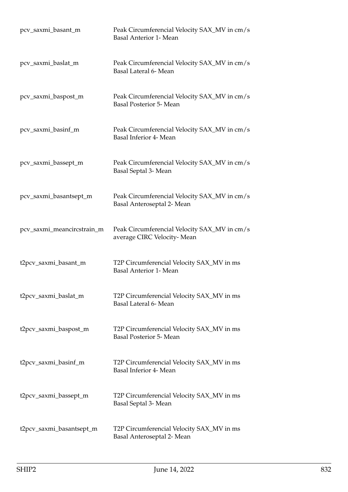| pcv_saxmi_basant_m         | Peak Circumferencial Velocity SAX_MV in cm/s<br><b>Basal Anterior 1- Mean</b>  |
|----------------------------|--------------------------------------------------------------------------------|
| pcv_saxmi_baslat_m         | Peak Circumferencial Velocity SAX_MV in cm/s<br>Basal Lateral 6- Mean          |
| pcv_saxmi_baspost_m        | Peak Circumferencial Velocity SAX_MV in cm/s<br><b>Basal Posterior 5- Mean</b> |
| pcv_saxmi_basinf_m         | Peak Circumferencial Velocity SAX_MV in cm/s<br>Basal Inferior 4- Mean         |
| pcv_saxmi_bassept_m        | Peak Circumferencial Velocity SAX_MV in cm/s<br>Basal Septal 3- Mean           |
| pcv_saxmi_basantsept_m     | Peak Circumferencial Velocity SAX_MV in cm/s<br>Basal Anteroseptal 2- Mean     |
| pcv_saxmi_meancircstrain_m | Peak Circumferencial Velocity SAX_MV in cm/s<br>average CIRC Velocity-Mean     |
| t2pcv_saxmi_basant_m       | T2P Circumferencial Velocity SAX_MV in ms<br><b>Basal Anterior 1- Mean</b>     |
| t2pcv_saxmi_baslat_m       | T2P Circumferencial Velocity SAX_MV in ms<br>Basal Lateral 6- Mean             |
| t2pcv_saxmi_baspost_m      | T2P Circumferencial Velocity SAX_MV in ms<br><b>Basal Posterior 5- Mean</b>    |
| t2pcv_saxmi_basinf_m       | T2P Circumferencial Velocity SAX_MV in ms<br>Basal Inferior 4- Mean            |
| t2pcv_saxmi_bassept_m      | T2P Circumferencial Velocity SAX_MV in ms<br>Basal Septal 3- Mean              |
| t2pcv_saxmi_basantsept_m   | T2P Circumferencial Velocity SAX_MV in ms<br>Basal Anteroseptal 2- Mean        |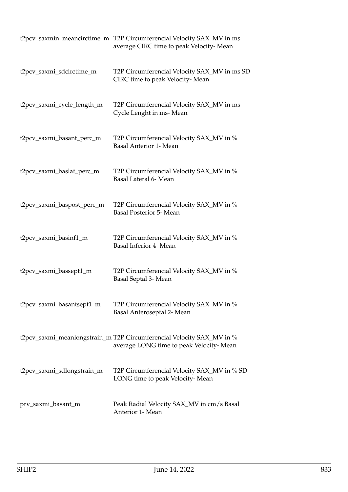|                            | t2pcv_saxmin_meancirctime_m T2P Circumferencial Velocity SAX_MV in ms<br>average CIRC time to peak Velocity-Mean |
|----------------------------|------------------------------------------------------------------------------------------------------------------|
| t2pcv_saxmi_sdcirctime_m   | T2P Circumferencial Velocity SAX_MV in ms SD<br>CIRC time to peak Velocity-Mean                                  |
| t2pcv_saxmi_cycle_length_m | T2P Circumferencial Velocity SAX_MV in ms<br>Cycle Lenght in ms-Mean                                             |
| t2pcv_saxmi_basant_perc_m  | T2P Circumferencial Velocity SAX_MV in %<br><b>Basal Anterior 1- Mean</b>                                        |
| t2pcv_saxmi_baslat_perc_m  | T2P Circumferencial Velocity SAX_MV in %<br>Basal Lateral 6- Mean                                                |
| t2pcv_saxmi_baspost_perc_m | T2P Circumferencial Velocity SAX_MV in %<br><b>Basal Posterior 5- Mean</b>                                       |
| t2pcv_saxmi_basinf1_m      | T2P Circumferencial Velocity SAX_MV in %<br>Basal Inferior 4- Mean                                               |
| t2pcv_saxmi_bassept1_m     | T2P Circumferencial Velocity SAX_MV in %<br>Basal Septal 3- Mean                                                 |
| t2pcv_saxmi_basantsept1_m  | T2P Circumferencial Velocity SAX_MV in %<br>Basal Anteroseptal 2- Mean                                           |
|                            | t2pcv_saxmi_meanlongstrain_m T2P Circumferencial Velocity SAX_MV in %<br>average LONG time to peak Velocity-Mean |
| t2pcv_saxmi_sdlongstrain_m | T2P Circumferencial Velocity SAX_MV in % SD<br>LONG time to peak Velocity-Mean                                   |
| prv_saxmi_basant_m         | Peak Radial Velocity SAX_MV in cm/s Basal<br>Anterior 1- Mean                                                    |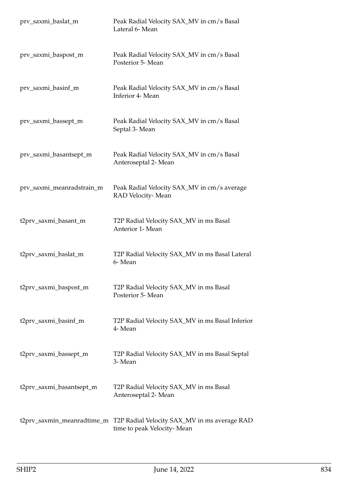| prv_saxmi_baslat_m        | Peak Radial Velocity SAX_MV in cm/s Basal<br>Lateral 6- Mean                                          |
|---------------------------|-------------------------------------------------------------------------------------------------------|
| prv_saxmi_baspost_m       | Peak Radial Velocity SAX_MV in cm/s Basal<br>Posterior 5- Mean                                        |
| prv_saxmi_basinf_m        | Peak Radial Velocity SAX_MV in cm/s Basal<br>Inferior 4- Mean                                         |
| prv_saxmi_bassept_m       | Peak Radial Velocity SAX_MV in cm/s Basal<br>Septal 3- Mean                                           |
| prv_saxmi_basantsept_m    | Peak Radial Velocity SAX_MV in cm/s Basal<br>Anteroseptal 2- Mean                                     |
| prv_saxmi_meanradstrain_m | Peak Radial Velocity SAX_MV in cm/s average<br>RAD Velocity-Mean                                      |
| t2prv_saxmi_basant_m      | T2P Radial Velocity SAX_MV in ms Basal<br>Anterior 1- Mean                                            |
| t2prv_saxmi_baslat_m      | T2P Radial Velocity SAX_MV in ms Basal Lateral<br>6-Mean                                              |
| t2prv_saxmi_baspost_m     | T2P Radial Velocity SAX_MV in ms Basal<br>Posterior 5- Mean                                           |
| t2prv_saxmi_basinf_m      | T2P Radial Velocity SAX_MV in ms Basal Inferior<br>4- Mean                                            |
| t2prv_saxmi_bassept_m     | T2P Radial Velocity SAX_MV in ms Basal Septal<br>3- Mean                                              |
| t2prv_saxmi_basantsept_m  | T2P Radial Velocity SAX_MV in ms Basal<br>Anteroseptal 2- Mean                                        |
|                           | t2prv_saxmin_meanradtime_m T2P Radial Velocity SAX_MV in ms average RAD<br>time to peak Velocity-Mean |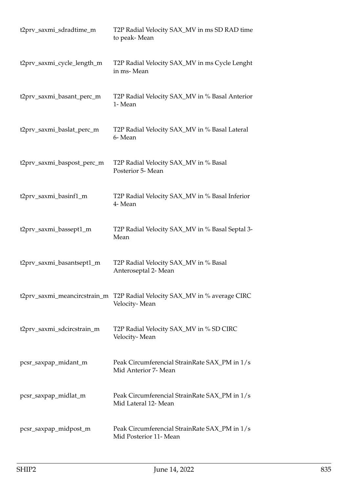| t2prv_saxmi_sdradtime_m    | T2P Radial Velocity SAX_MV in ms SD RAD time<br>to peak-Mean                               |
|----------------------------|--------------------------------------------------------------------------------------------|
| t2prv_saxmi_cycle_length_m | T2P Radial Velocity SAX_MV in ms Cycle Lenght<br>in ms-Mean                                |
| t2prv_saxmi_basant_perc_m  | T2P Radial Velocity SAX_MV in % Basal Anterior<br>1- Mean                                  |
| t2prv_saxmi_baslat_perc_m  | T2P Radial Velocity SAX_MV in % Basal Lateral<br>6-Mean                                    |
| t2prv_saxmi_baspost_perc_m | T2P Radial Velocity SAX_MV in % Basal<br>Posterior 5- Mean                                 |
| t2prv_saxmi_basinf1_m      | T2P Radial Velocity SAX_MV in % Basal Inferior<br>4- Mean                                  |
| t2prv_saxmi_bassept1_m     | T2P Radial Velocity SAX_MV in % Basal Septal 3-<br>Mean                                    |
| t2prv_saxmi_basantsept1_m  | T2P Radial Velocity SAX_MV in % Basal<br>Anteroseptal 2- Mean                              |
|                            | t2prv_saxmi_meancircstrain_m T2P Radial Velocity SAX_MV in % average CIRC<br>Velocity-Mean |
| t2prv_saxmi_sdcircstrain_m | T2P Radial Velocity SAX_MV in % SD CIRC<br>Velocity-Mean                                   |
| pcsr_saxpap_midant_m       | Peak Circumferencial StrainRate SAX_PM in 1/s<br>Mid Anterior 7- Mean                      |
| pcsr_saxpap_midlat_m       | Peak Circumferencial StrainRate SAX_PM in 1/s<br>Mid Lateral 12- Mean                      |
| pcsr_saxpap_midpost_m      | Peak Circumferencial StrainRate SAX_PM in 1/s<br>Mid Posterior 11- Mean                    |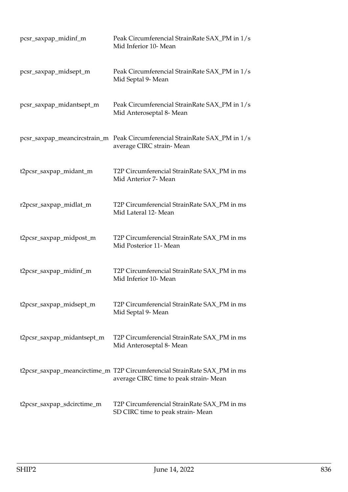| pcsr_saxpap_midinf_m       | Peak Circumferencial StrainRate SAX_PM in 1/s<br>Mid Inferior 10- Mean                                            |
|----------------------------|-------------------------------------------------------------------------------------------------------------------|
| pcsr_saxpap_midsept_m      | Peak Circumferencial StrainRate SAX_PM in 1/s<br>Mid Septal 9- Mean                                               |
| pcsr_saxpap_midantsept_m   | Peak Circumferencial StrainRate SAX_PM in 1/s<br>Mid Anteroseptal 8- Mean                                         |
|                            | pcsr_saxpap_meancircstrain_m  Peak Circumferencial StrainRate SAX_PM in 1/s<br>average CIRC strain-Mean           |
| t2pcsr_saxpap_midant_m     | T2P Circumferencial StrainRate SAX_PM in ms<br>Mid Anterior 7- Mean                                               |
| r2pcsr_saxpap_midlat_m     | T2P Circumferencial StrainRate SAX_PM in ms<br>Mid Lateral 12- Mean                                               |
| t2pcsr_saxpap_midpost_m    | T2P Circumferencial StrainRate SAX_PM in ms<br>Mid Posterior 11- Mean                                             |
| t2pcsr_saxpap_midinf_m     | T2P Circumferencial StrainRate SAX PM in ms<br>Mid Inferior 10- Mean                                              |
| t2pcsr_saxpap_midsept_m    | T2P Circumferencial StrainRate SAX_PM in ms<br>Mid Septal 9- Mean                                                 |
| t2pcsr_saxpap_midantsept_m | T2P Circumferencial StrainRate SAX_PM in ms<br>Mid Anteroseptal 8- Mean                                           |
|                            | t2pcsr_saxpap_meancirctime_m T2P Circumferencial StrainRate SAX_PM in ms<br>average CIRC time to peak strain-Mean |
| t2pcsr_saxpap_sdcirctime_m | T2P Circumferencial StrainRate SAX_PM in ms<br>SD CIRC time to peak strain-Mean                                   |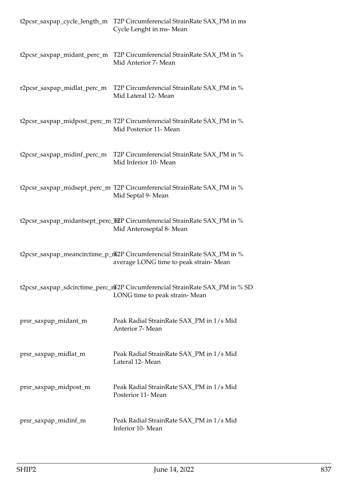|                             | t2pcsr_saxpap_cycle_length_m T2P Circumferencial StrainRate SAX_PM in ms<br>Cycle Lenght in ms-Mean               |
|-----------------------------|-------------------------------------------------------------------------------------------------------------------|
|                             | t2pcsr_saxpap_midant_perc_m T2P Circumferencial StrainRate SAX_PM in %<br>Mid Anterior 7- Mean                    |
| r2pcsr_saxpap_midlat_perc_m | T2P Circumferencial StrainRate SAX_PM in %<br>Mid Lateral 12- Mean                                                |
|                             | t2pcsr_saxpap_midpost_perc_m T2P Circumferencial StrainRate SAX_PM in %<br>Mid Posterior 11- Mean                 |
| t2pcsr_saxpap_midinf_perc_m | T2P Circumferencial StrainRate SAX_PM in %<br>Mid Inferior 10- Mean                                               |
|                             | t2pcsr_saxpap_midsept_perc_m T2P Circumferencial StrainRate SAX_PM in %<br>Mid Septal 9- Mean                     |
|                             | t2pcsr_saxpap_midantsept_perc_fi2P Circumferencial StrainRate SAX_PM in %<br>Mid Anteroseptal 8- Mean             |
|                             | t2pcsr_saxpap_meancirctime_p_nL2P Circumferencial StrainRate SAX_PM in %<br>average LONG time to peak strain-Mean |
|                             | t2pcsr_saxpap_sdcirctime_perc_nT2P Circumferencial StrainRate SAX_PM in % SD<br>LONG time to peak strain-Mean     |
| prsr_saxpap_midant_m        | Peak Radial StrainRate SAX_PM in 1/s Mid<br>Anterior 7- Mean                                                      |
| prsr_saxpap_midlat_m        | Peak Radial StrainRate SAX_PM in 1/s Mid<br>Lateral 12- Mean                                                      |
| prsr_saxpap_midpost_m       | Peak Radial StrainRate SAX_PM in 1/s Mid<br>Posterior 11- Mean                                                    |
| prsr_saxpap_midinf_m        | Peak Radial StrainRate SAX_PM in 1/s Mid<br>Inferior 10- Mean                                                     |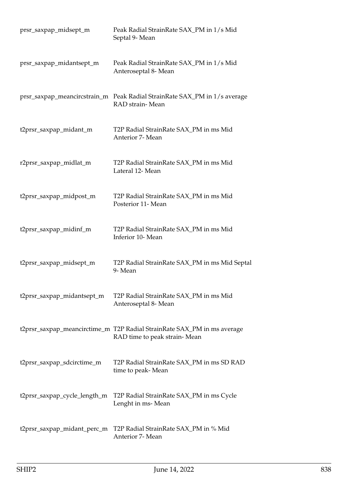| prsr_saxpap_midsept_m        | Peak Radial StrainRate SAX_PM in 1/s Mid<br>Septal 9- Mean                                              |
|------------------------------|---------------------------------------------------------------------------------------------------------|
| prsr_saxpap_midantsept_m     | Peak Radial StrainRate SAX_PM in 1/s Mid<br>Anteroseptal 8- Mean                                        |
|                              | prsr_saxpap_meancircstrain_m  Peak Radial StrainRate SAX_PM in 1/s average<br>RAD strain-Mean           |
| t2prsr_saxpap_midant_m       | T2P Radial StrainRate SAX_PM in ms Mid<br>Anterior 7- Mean                                              |
| r2prsr_saxpap_midlat_m       | T2P Radial StrainRate SAX_PM in ms Mid<br>Lateral 12- Mean                                              |
| t2prsr_saxpap_midpost_m      | T2P Radial StrainRate SAX_PM in ms Mid<br>Posterior 11- Mean                                            |
| t2prsr_saxpap_midinf_m       | T2P Radial StrainRate SAX_PM in ms Mid<br>Inferior 10- Mean                                             |
| t2prsr_saxpap_midsept_m      | T2P Radial StrainRate SAX_PM in ms Mid Septal<br>9-Mean                                                 |
| t2prsr_saxpap_midantsept_m   | T2P Radial StrainRate SAX_PM in ms Mid<br>Anteroseptal 8- Mean                                          |
|                              | t2prsr_saxpap_meancirctime_m T2P Radial StrainRate SAX_PM in ms average<br>RAD time to peak strain-Mean |
| t2prsr_saxpap_sdcirctime_m   | T2P Radial StrainRate SAX_PM in ms SD RAD<br>time to peak- Mean                                         |
| t2prsr_saxpap_cycle_length_m | T2P Radial StrainRate SAX_PM in ms Cycle<br>Lenght in ms-Mean                                           |
| t2prsr_saxpap_midant_perc_m  | T2P Radial StrainRate SAX_PM in % Mid<br>Anterior 7- Mean                                               |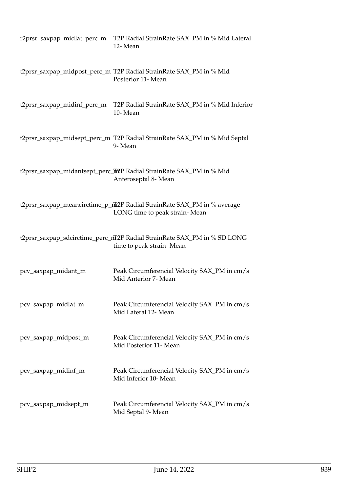| r2prsr_saxpap_midlat_perc_m | T2P Radial StrainRate SAX_PM in % Mid Lateral<br>12-Mean                                                  |
|-----------------------------|-----------------------------------------------------------------------------------------------------------|
|                             | t2prsr_saxpap_midpost_perc_m T2P Radial StrainRate SAX_PM in % Mid<br>Posterior 11- Mean                  |
| t2prsr_saxpap_midinf_perc_m | T2P Radial StrainRate SAX_PM in % Mid Inferior<br>10-Mean                                                 |
|                             | t2prsr_saxpap_midsept_perc_m T2P Radial StrainRate SAX_PM in % Mid Septal<br>9-Mean                       |
|                             | t2prsr_saxpap_midantsept_perc_h2P Radial StrainRate SAX_PM in % Mid<br>Anteroseptal 8- Mean               |
|                             | t2prsr_saxpap_meancirctime_p_ntx2P Radial StrainRate SAX_PM in % average<br>LONG time to peak strain-Mean |
|                             | t2prsr_saxpap_sdcirctime_perc_mT2P Radial StrainRate SAX_PM in % SD LONG<br>time to peak strain-Mean      |
| pcv_saxpap_midant_m         | Peak Circumferencial Velocity SAX_PM in cm/s<br>Mid Anterior 7- Mean                                      |
| pcv_saxpap_midlat_m         | Peak Circumferencial Velocity SAX_PM in cm/s<br>Mid Lateral 12- Mean                                      |
| pcv_saxpap_midpost_m        | Peak Circumferencial Velocity SAX_PM in cm/s<br>Mid Posterior 11- Mean                                    |
| pcv_saxpap_midinf_m         | Peak Circumferencial Velocity SAX_PM in cm/s<br>Mid Inferior 10- Mean                                     |
| pcv_saxpap_midsept_m        | Peak Circumferencial Velocity SAX_PM in cm/s<br>Mid Septal 9- Mean                                        |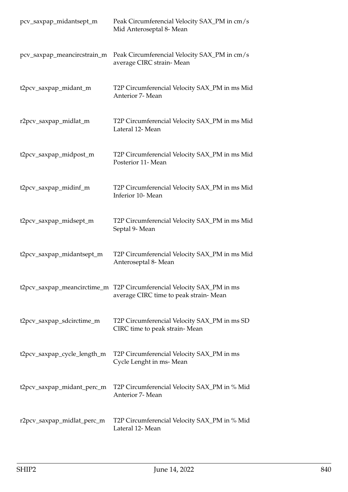| pcv_saxpap_midantsept_m     | Peak Circumferencial Velocity SAX_PM in cm/s<br>Mid Anteroseptal 8- Mean                                       |
|-----------------------------|----------------------------------------------------------------------------------------------------------------|
| pcv_saxpap_meancircstrain_m | Peak Circumferencial Velocity SAX_PM in cm/s<br>average CIRC strain-Mean                                       |
| t2pcv_saxpap_midant_m       | T2P Circumferencial Velocity SAX_PM in ms Mid<br>Anterior 7- Mean                                              |
| r2pcv_saxpap_midlat_m       | T2P Circumferencial Velocity SAX_PM in ms Mid<br>Lateral 12- Mean                                              |
| t2pcv_saxpap_midpost_m      | T2P Circumferencial Velocity SAX_PM in ms Mid<br>Posterior 11- Mean                                            |
| t2pcv_saxpap_midinf_m       | T2P Circumferencial Velocity SAX_PM in ms Mid<br>Inferior 10- Mean                                             |
| t2pcv_saxpap_midsept_m      | T2P Circumferencial Velocity SAX_PM in ms Mid<br>Septal 9- Mean                                                |
| t2pcv_saxpap_midantsept_m   | T2P Circumferencial Velocity SAX_PM in ms Mid<br>Anteroseptal 8- Mean                                          |
|                             | t2pcv_saxpap_meancirctime_m T2P Circumferencial Velocity SAX_PM in ms<br>average CIRC time to peak strain-Mean |
| t2pcv_saxpap_sdcirctime_m   | T2P Circumferencial Velocity SAX_PM in ms SD<br>CIRC time to peak strain-Mean                                  |
| t2pcv_saxpap_cycle_length_m | T2P Circumferencial Velocity SAX_PM in ms<br>Cycle Lenght in ms-Mean                                           |
| t2pcv_saxpap_midant_perc_m  | T2P Circumferencial Velocity SAX_PM in % Mid<br>Anterior 7- Mean                                               |
| r2pcv_saxpap_midlat_perc_m  | T2P Circumferencial Velocity SAX_PM in % Mid<br>Lateral 12- Mean                                               |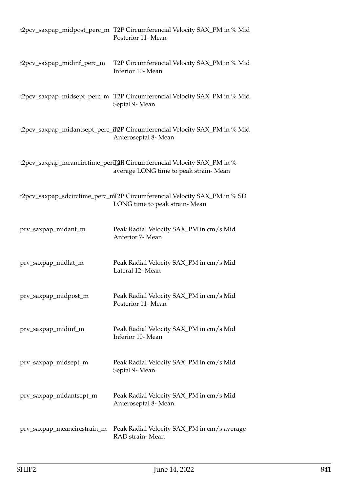|                             | t2pcv_saxpap_midpost_perc_m T2P Circumferencial Velocity SAX_PM in % Mid<br>Posterior 11- Mean                   |
|-----------------------------|------------------------------------------------------------------------------------------------------------------|
| t2pcv_saxpap_midinf_perc_m  | T2P Circumferencial Velocity SAX_PM in % Mid<br>Inferior 10- Mean                                                |
|                             | t2pcv_saxpap_midsept_perc_m T2P Circumferencial Velocity SAX_PM in % Mid<br>Septal 9- Mean                       |
|                             | t2pcv_saxpap_midantsept_perc_ff2P Circumferencial Velocity SAX_PM in % Mid<br>Anteroseptal 8- Mean               |
|                             | t2pcv_saxpap_meancirctime_perd_2mP Circumferencial Velocity SAX_PM in %<br>average LONG time to peak strain-Mean |
|                             | t2pcv_saxpap_sdcirctime_perc_mT2P Circumferencial Velocity SAX_PM in % SD<br>LONG time to peak strain-Mean       |
| prv_saxpap_midant_m         | Peak Radial Velocity SAX_PM in cm/s Mid<br>Anterior 7- Mean                                                      |
| prv_saxpap_midlat_m         | Peak Radial Velocity SAX_PM in cm/s Mid<br>Lateral 12- Mean                                                      |
| prv_saxpap_midpost_m        | Peak Radial Velocity SAX_PM in cm/s Mid<br>Posterior 11- Mean                                                    |
| prv_saxpap_midinf_m         | Peak Radial Velocity SAX_PM in cm/s Mid<br>Inferior 10- Mean                                                     |
| prv_saxpap_midsept_m        | Peak Radial Velocity SAX_PM in cm/s Mid<br>Septal 9- Mean                                                        |
| prv_saxpap_midantsept_m     | Peak Radial Velocity SAX_PM in cm/s Mid<br>Anteroseptal 8- Mean                                                  |
| prv_saxpap_meancircstrain_m | Peak Radial Velocity SAX_PM in cm/s average<br>RAD strain-Mean                                                   |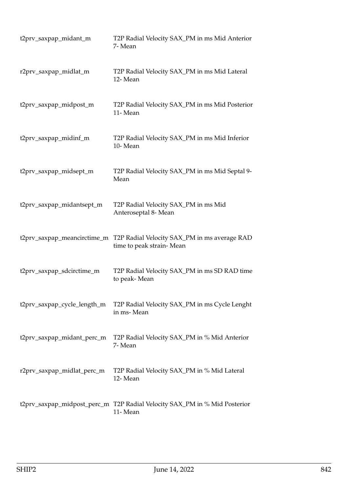| t2prv_saxpap_midant_m       | T2P Radial Velocity SAX_PM in ms Mid Anterior<br>7- Mean                             |
|-----------------------------|--------------------------------------------------------------------------------------|
| r2prv_saxpap_midlat_m       | T2P Radial Velocity SAX_PM in ms Mid Lateral<br>12-Mean                              |
| t2prv_saxpap_midpost_m      | T2P Radial Velocity SAX_PM in ms Mid Posterior<br>11-Mean                            |
| t2prv_saxpap_midinf_m       | T2P Radial Velocity SAX_PM in ms Mid Inferior<br>10-Mean                             |
| t2prv_saxpap_midsept_m      | T2P Radial Velocity SAX_PM in ms Mid Septal 9-<br>Mean                               |
| t2prv_saxpap_midantsept_m   | T2P Radial Velocity SAX_PM in ms Mid<br>Anteroseptal 8- Mean                         |
| t2prv_saxpap_meancirctime_m | T2P Radial Velocity SAX_PM in ms average RAD<br>time to peak strain-Mean             |
| t2prv_saxpap_sdcirctime_m   | T2P Radial Velocity SAX_PM in ms SD RAD time<br>to peak-Mean                         |
| t2prv_saxpap_cycle_length_m | T2P Radial Velocity SAX_PM in ms Cycle Lenght<br>in ms-Mean                          |
| t2prv_saxpap_midant_perc_m  | T2P Radial Velocity SAX_PM in % Mid Anterior<br>7- Mean                              |
| r2prv_saxpap_midlat_perc_m  | T2P Radial Velocity SAX_PM in % Mid Lateral<br>12-Mean                               |
|                             | t2prv_saxpap_midpost_perc_m T2P Radial Velocity SAX_PM in % Mid Posterior<br>11-Mean |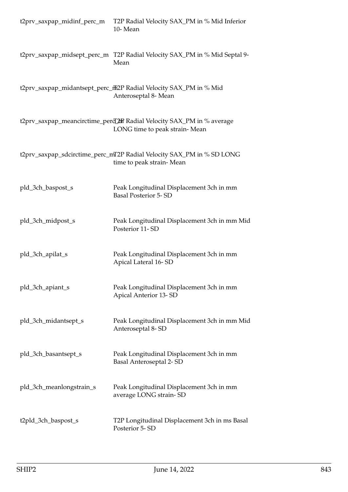| t2prv_saxpap_midinf_perc_m | T2P Radial Velocity SAX_PM in % Mid Inferior<br>10-Mean                                                |
|----------------------------|--------------------------------------------------------------------------------------------------------|
|                            | t2prv_saxpap_midsept_perc_m T2P Radial Velocity SAX_PM in % Mid Septal 9-<br>Mean                      |
|                            | t2prv_saxpap_midantsept_perc_ffi2P Radial Velocity SAX_PM in % Mid<br>Anteroseptal 8- Mean             |
|                            | t2prv_saxpap_meancirctime_perd_2R Radial Velocity SAX_PM in % average<br>LONG time to peak strain-Mean |
|                            | t2prv_saxpap_sdcirctime_perc_mT2P Radial Velocity SAX_PM in % SD LONG<br>time to peak strain-Mean      |
| pld_3ch_baspost_s          | Peak Longitudinal Displacement 3ch in mm<br><b>Basal Posterior 5-SD</b>                                |
| pld_3ch_midpost_s          | Peak Longitudinal Displacement 3ch in mm Mid<br>Posterior 11-SD                                        |
| pld_3ch_apilat_s           | Peak Longitudinal Displacement 3ch in mm<br>Apical Lateral 16-SD                                       |
| pld_3ch_apiant_s           | Peak Longitudinal Displacement 3ch in mm<br>Apical Anterior 13-SD                                      |
| pld_3ch_midantsept_s       | Peak Longitudinal Displacement 3ch in mm Mid<br>Anteroseptal 8-SD                                      |
| pld_3ch_basantsept_s       | Peak Longitudinal Displacement 3ch in mm<br>Basal Anteroseptal 2- SD                                   |
| pld_3ch_meanlongstrain_s   | Peak Longitudinal Displacement 3ch in mm<br>average LONG strain-SD                                     |
| t2pld_3ch_baspost_s        | T2P Longitudinal Displacement 3ch in ms Basal<br>Posterior 5-SD                                        |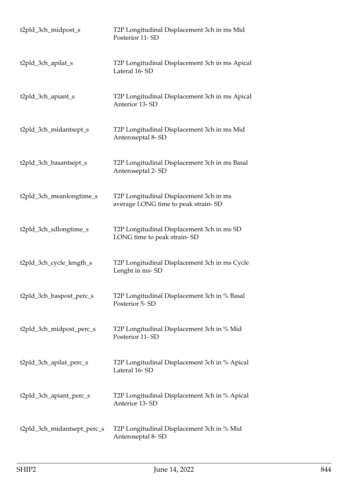| t2pld_3ch_midpost_s         | T2P Longitudinal Displacement 3ch in ms Mid<br>Posterior 11-SD                 |
|-----------------------------|--------------------------------------------------------------------------------|
| t2pld_3ch_apilat_s          | T2P Longitudinal Displacement 3ch in ms Apical<br>Lateral 16-SD                |
| t2pld_3ch_apiant_s          | T2P Longitudinal Displacement 3ch in ms Apical<br>Anterior 13-SD               |
| t2pld_3ch_midantsept_s      | T2P Longitudinal Displacement 3ch in ms Mid<br>Anteroseptal 8-SD               |
| t2pld_3ch_basantsept_s      | T2P Longitudinal Displacement 3ch in ms Basal<br>Anteroseptal 2-SD             |
| t2pld_3ch_meanlongtime_s    | T2P Longitudinal Displacement 3ch in ms<br>average LONG time to peak strain-SD |
| t2pld_3ch_sdlongtime_s      | T2P Longitudinal Displacement 3ch in ms SD<br>LONG time to peak strain-SD      |
| t2pld_3ch_cycle_length_s    | T2P Longitudinal Displacement 3ch in ms Cycle<br>Lenght in ms-SD               |
| t2pld_3ch_baspost_perc_s    | T2P Longitudinal Displacement 3ch in % Basal<br>Posterior 5-SD                 |
| t2pld_3ch_midpost_perc_s    | T2P Longitudinal Displacement 3ch in % Mid<br>Posterior 11-SD                  |
| t2pld_3ch_apilat_perc_s     | T2P Longitudinal Displacement 3ch in % Apical<br>Lateral 16-SD                 |
| t2pld_3ch_apiant_perc_s     | T2P Longitudinal Displacement 3ch in % Apical<br>Anterior 13-SD                |
| t2pld_3ch_midantsept_perc_s | T2P Longitudinal Displacement 3ch in % Mid<br>Anteroseptal 8-SD                |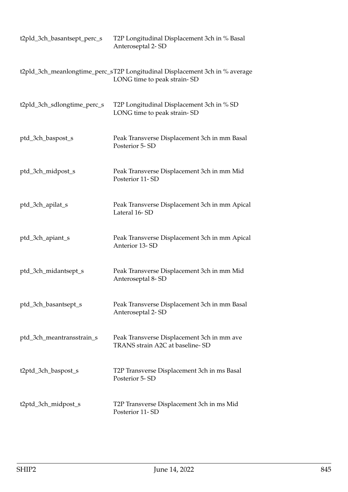| t2pld_3ch_basantsept_perc_s | T2P Longitudinal Displacement 3ch in % Basal<br>Anteroseptal 2-SD                                          |
|-----------------------------|------------------------------------------------------------------------------------------------------------|
|                             | t2pld_3ch_meanlongtime_perc_sT2P Longitudinal Displacement 3ch in % average<br>LONG time to peak strain-SD |
| t2pld_3ch_sdlongtime_perc_s | T2P Longitudinal Displacement 3ch in % SD<br>LONG time to peak strain-SD                                   |
| ptd_3ch_baspost_s           | Peak Transverse Displacement 3ch in mm Basal<br>Posterior 5-SD                                             |
| ptd_3ch_midpost_s           | Peak Transverse Displacement 3ch in mm Mid<br>Posterior 11-SD                                              |
| ptd_3ch_apilat_s            | Peak Transverse Displacement 3ch in mm Apical<br>Lateral 16-SD                                             |
| ptd_3ch_apiant_s            | Peak Transverse Displacement 3ch in mm Apical<br>Anterior 13-SD                                            |
| ptd_3ch_midantsept_s        | Peak Transverse Displacement 3ch in mm Mid<br>Anteroseptal 8-SD                                            |
| ptd_3ch_basantsept_s        | Peak Transverse Displacement 3ch in mm Basal<br>Anteroseptal 2-SD                                          |
| ptd_3ch_meantransstrain_s   | Peak Transverse Displacement 3ch in mm ave<br>TRANS strain A2C at baseline-SD                              |
| t2ptd_3ch_baspost_s         | T2P Transverse Displacement 3ch in ms Basal<br>Posterior 5-SD                                              |
| t2ptd_3ch_midpost_s         | T2P Transverse Displacement 3ch in ms Mid<br>Posterior 11-SD                                               |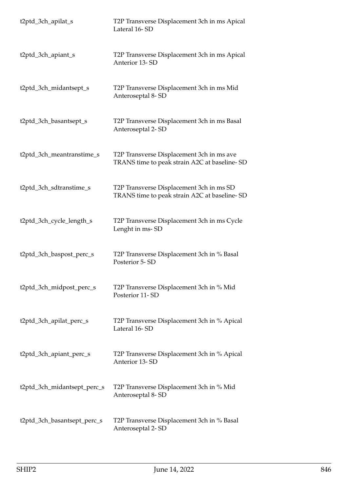| t2ptd_3ch_apilat_s          | T2P Transverse Displacement 3ch in ms Apical<br>Lateral 16-SD                             |
|-----------------------------|-------------------------------------------------------------------------------------------|
| t2ptd_3ch_apiant_s          | T2P Transverse Displacement 3ch in ms Apical<br>Anterior 13-SD                            |
| t2ptd_3ch_midantsept_s      | T2P Transverse Displacement 3ch in ms Mid<br>Anteroseptal 8-SD                            |
| t2ptd_3ch_basantsept_s      | T2P Transverse Displacement 3ch in ms Basal<br>Anteroseptal 2-SD                          |
| t2ptd_3ch_meantranstime_s   | T2P Transverse Displacement 3ch in ms ave<br>TRANS time to peak strain A2C at baseline-SD |
| t2ptd_3ch_sdtranstime_s     | T2P Transverse Displacement 3ch in ms SD<br>TRANS time to peak strain A2C at baseline-SD  |
| t2ptd_3ch_cycle_length_s    | T2P Transverse Displacement 3ch in ms Cycle<br>Lenght in ms-SD                            |
| t2ptd_3ch_baspost_perc_s    | T2P Transverse Displacement 3ch in % Basal<br>Posterior 5-SD                              |
| t2ptd_3ch_midpost_perc_s    | T2P Transverse Displacement 3ch in % Mid<br>Posterior 11-SD                               |
| t2ptd_3ch_apilat_perc_s     | T2P Transverse Displacement 3ch in % Apical<br>Lateral 16-SD                              |
| t2ptd_3ch_apiant_perc_s     | T2P Transverse Displacement 3ch in % Apical<br>Anterior 13-SD                             |
| t2ptd_3ch_midantsept_perc_s | T2P Transverse Displacement 3ch in % Mid<br>Anteroseptal 8-SD                             |
| t2ptd_3ch_basantsept_perc_s | T2P Transverse Displacement 3ch in % Basal<br>Anteroseptal 2-SD                           |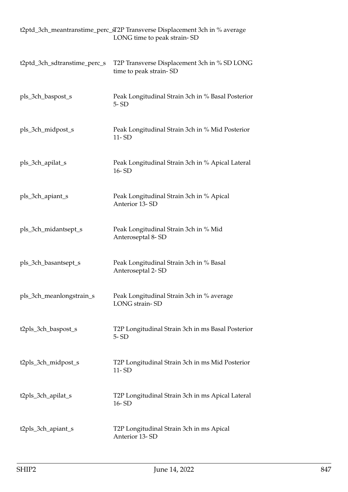|                              | t2ptd_3ch_meantranstime_perc_sT2P Transverse Displacement 3ch in % average<br>LONG time to peak strain-SD |
|------------------------------|-----------------------------------------------------------------------------------------------------------|
| t2ptd_3ch_sdtranstime_perc_s | T2P Transverse Displacement 3ch in % SD LONG<br>time to peak strain-SD                                    |
| pls_3ch_baspost_s            | Peak Longitudinal Strain 3ch in % Basal Posterior<br>$5 - SD$                                             |
| pls_3ch_midpost_s            | Peak Longitudinal Strain 3ch in % Mid Posterior<br>$11 - SD$                                              |
| pls_3ch_apilat_s             | Peak Longitudinal Strain 3ch in % Apical Lateral<br>16-SD                                                 |
| pls_3ch_apiant_s             | Peak Longitudinal Strain 3ch in % Apical<br>Anterior 13-SD                                                |
| pls_3ch_midantsept_s         | Peak Longitudinal Strain 3ch in % Mid<br>Anteroseptal 8-SD                                                |
| pls_3ch_basantsept_s         | Peak Longitudinal Strain 3ch in % Basal<br>Anteroseptal 2-SD                                              |
| pls_3ch_meanlongstrain_s     | Peak Longitudinal Strain 3ch in % average<br>LONG strain-SD                                               |
| t2pls_3ch_baspost_s          | T2P Longitudinal Strain 3ch in ms Basal Posterior<br>$5 - SD$                                             |
| t2pls_3ch_midpost_s          | T2P Longitudinal Strain 3ch in ms Mid Posterior<br>$11 - SD$                                              |
| t2pls_3ch_apilat_s           | T2P Longitudinal Strain 3ch in ms Apical Lateral<br>16-SD                                                 |
| t2pls_3ch_apiant_s           | T2P Longitudinal Strain 3ch in ms Apical<br>Anterior 13-SD                                                |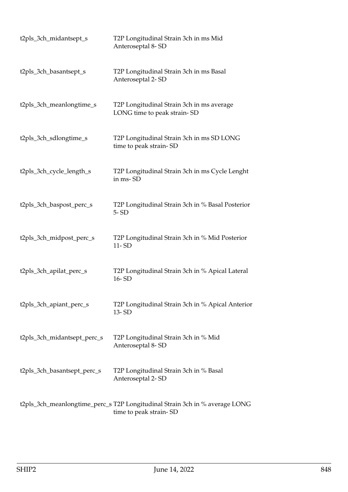| t2pls_3ch_midantsept_s      | T2P Longitudinal Strain 3ch in ms Mid<br>Anteroseptal 8-SD                                            |
|-----------------------------|-------------------------------------------------------------------------------------------------------|
| t2pls_3ch_basantsept_s      | T2P Longitudinal Strain 3ch in ms Basal<br>Anteroseptal 2-SD                                          |
| t2pls_3ch_meanlongtime_s    | T2P Longitudinal Strain 3ch in ms average<br>LONG time to peak strain-SD                              |
| t2pls_3ch_sdlongtime_s      | T2P Longitudinal Strain 3ch in ms SD LONG<br>time to peak strain-SD                                   |
| t2pls_3ch_cycle_length_s    | T2P Longitudinal Strain 3ch in ms Cycle Lenght<br>in ms-SD                                            |
| t2pls_3ch_baspost_perc_s    | T2P Longitudinal Strain 3ch in % Basal Posterior<br>$5 - SD$                                          |
| t2pls_3ch_midpost_perc_s    | T2P Longitudinal Strain 3ch in % Mid Posterior<br>$11 - SD$                                           |
| t2pls_3ch_apilat_perc_s     | T2P Longitudinal Strain 3ch in % Apical Lateral<br>16-SD                                              |
| t2pls_3ch_apiant_perc_s     | T2P Longitudinal Strain 3ch in % Apical Anterior<br>13-SD                                             |
| t2pls_3ch_midantsept_perc_s | T2P Longitudinal Strain 3ch in % Mid<br>Anteroseptal 8-SD                                             |
| t2pls_3ch_basantsept_perc_s | T2P Longitudinal Strain 3ch in % Basal<br>Anteroseptal 2-SD                                           |
|                             | t2pls_3ch_meanlongtime_perc_s T2P Longitudinal Strain 3ch in % average LONG<br>time to peak strain-SD |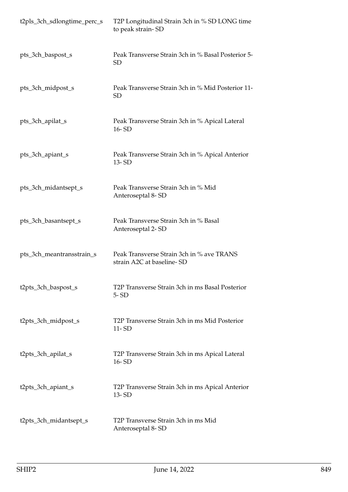| t2pls_3ch_sdlongtime_perc_s | T2P Longitudinal Strain 3ch in % SD LONG time<br>to peak strain-SD     |
|-----------------------------|------------------------------------------------------------------------|
| pts_3ch_baspost_s           | Peak Transverse Strain 3ch in % Basal Posterior 5-<br><b>SD</b>        |
| pts_3ch_midpost_s           | Peak Transverse Strain 3ch in % Mid Posterior 11-<br><b>SD</b>         |
| pts_3ch_apilat_s            | Peak Transverse Strain 3ch in % Apical Lateral<br>$16 - SD$            |
| pts_3ch_apiant_s            | Peak Transverse Strain 3ch in % Apical Anterior<br>13-SD               |
| pts_3ch_midantsept_s        | Peak Transverse Strain 3ch in % Mid<br>Anteroseptal 8-SD               |
| pts_3ch_basantsept_s        | Peak Transverse Strain 3ch in % Basal<br>Anteroseptal 2-SD             |
| pts_3ch_meantransstrain_s   | Peak Transverse Strain 3ch in % ave TRANS<br>strain A2C at baseline-SD |
| t2pts_3ch_baspost_s         | T2P Transverse Strain 3ch in ms Basal Posterior<br>$5 - SD$            |
| t2pts_3ch_midpost_s         | T2P Transverse Strain 3ch in ms Mid Posterior<br>$11 - SD$             |
| t2pts_3ch_apilat_s          | T2P Transverse Strain 3ch in ms Apical Lateral<br>16-SD                |
| t2pts_3ch_apiant_s          | T2P Transverse Strain 3ch in ms Apical Anterior<br>$13 - SD$           |
| t2pts_3ch_midantsept_s      | T2P Transverse Strain 3ch in ms Mid<br>Anteroseptal 8-SD               |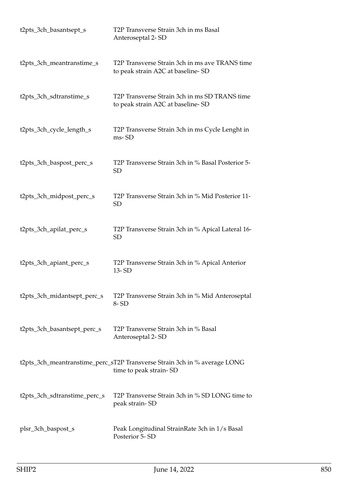| t2pts_3ch_basantsept_s       | T2P Transverse Strain 3ch in ms Basal<br>Anteroseptal 2-SD                                          |
|------------------------------|-----------------------------------------------------------------------------------------------------|
| t2pts_3ch_meantranstime_s    | T2P Transverse Strain 3ch in ms ave TRANS time<br>to peak strain A2C at baseline-SD                 |
| t2pts_3ch_sdtranstime_s      | T2P Transverse Strain 3ch in ms SD TRANS time<br>to peak strain A2C at baseline-SD                  |
| t2pts_3ch_cycle_length_s     | T2P Transverse Strain 3ch in ms Cycle Lenght in<br>ms-SD                                            |
| t2pts_3ch_baspost_perc_s     | T2P Transverse Strain 3ch in % Basal Posterior 5-<br><b>SD</b>                                      |
| t2pts_3ch_midpost_perc_s     | T2P Transverse Strain 3ch in % Mid Posterior 11-<br><b>SD</b>                                       |
| t2pts_3ch_apilat_perc_s      | T2P Transverse Strain 3ch in % Apical Lateral 16-<br><b>SD</b>                                      |
| t2pts_3ch_apiant_perc_s      | T2P Transverse Strain 3ch in % Apical Anterior<br>13-SD                                             |
| t2pts_3ch_midantsept_perc_s  | T2P Transverse Strain 3ch in % Mid Anteroseptal<br>8-SD                                             |
| t2pts_3ch_basantsept_perc_s  | T2P Transverse Strain 3ch in % Basal<br>Anteroseptal 2-SD                                           |
|                              | t2pts_3ch_meantranstime_perc_sT2P Transverse Strain 3ch in % average LONG<br>time to peak strain-SD |
| t2pts_3ch_sdtranstime_perc_s | T2P Transverse Strain 3ch in % SD LONG time to<br>peak strain-SD                                    |
| plsr_3ch_baspost_s           | Peak Longitudinal StrainRate 3ch in 1/s Basal<br>Posterior 5-SD                                     |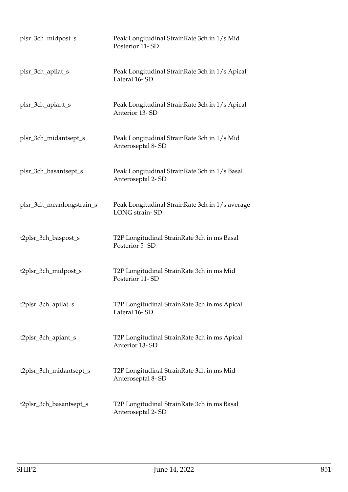| plsr_3ch_midpost_s        | Peak Longitudinal StrainRate 3ch in 1/s Mid<br>Posterior 11-SD     |
|---------------------------|--------------------------------------------------------------------|
| plsr_3ch_apilat_s         | Peak Longitudinal StrainRate 3ch in 1/s Apical<br>Lateral 16-SD    |
| plsr_3ch_apiant_s         | Peak Longitudinal StrainRate 3ch in 1/s Apical<br>Anterior 13-SD   |
| plsr_3ch_midantsept_s     | Peak Longitudinal StrainRate 3ch in 1/s Mid<br>Anteroseptal 8-SD   |
| plsr_3ch_basantsept_s     | Peak Longitudinal StrainRate 3ch in 1/s Basal<br>Anteroseptal 2-SD |
| plsr_3ch_meanlongstrain_s | Peak Longitudinal StrainRate 3ch in 1/s average<br>LONG strain-SD  |
| t2plsr_3ch_baspost_s      | T2P Longitudinal StrainRate 3ch in ms Basal<br>Posterior 5-SD      |
| t2plsr_3ch_midpost_s      | T2P Longitudinal StrainRate 3ch in ms Mid<br>Posterior 11-SD       |
| t2plsr_3ch_apilat_s       | T2P Longitudinal StrainRate 3ch in ms Apical<br>Lateral 16-SD      |
| t2plsr_3ch_apiant_s       | T2P Longitudinal StrainRate 3ch in ms Apical<br>Anterior 13-SD     |
| t2plsr_3ch_midantsept_s   | T2P Longitudinal StrainRate 3ch in ms Mid<br>Anteroseptal 8-SD     |
| t2plsr_3ch_basantsept_s   | T2P Longitudinal StrainRate 3ch in ms Basal<br>Anteroseptal 2-SD   |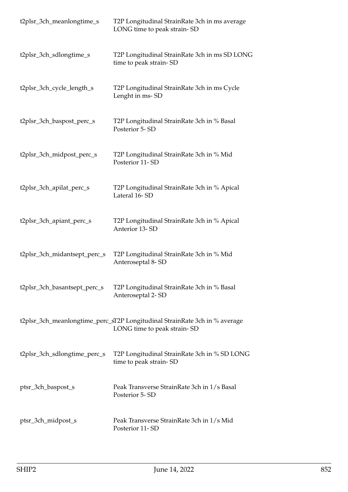| t2plsr_3ch_meanlongtime_s    | T2P Longitudinal StrainRate 3ch in ms average<br>LONG time to peak strain-SD                              |
|------------------------------|-----------------------------------------------------------------------------------------------------------|
| t2plsr_3ch_sdlongtime_s      | T2P Longitudinal StrainRate 3ch in ms SD LONG<br>time to peak strain-SD                                   |
| t2plsr_3ch_cycle_length_s    | T2P Longitudinal StrainRate 3ch in ms Cycle<br>Lenght in ms-SD                                            |
| t2plsr_3ch_baspost_perc_s    | T2P Longitudinal StrainRate 3ch in % Basal<br>Posterior 5-SD                                              |
| t2plsr_3ch_midpost_perc_s    | T2P Longitudinal StrainRate 3ch in % Mid<br>Posterior 11-SD                                               |
| t2plsr_3ch_apilat_perc_s     | T2P Longitudinal StrainRate 3ch in % Apical<br>Lateral 16-SD                                              |
| t2plsr_3ch_apiant_perc_s     | T2P Longitudinal StrainRate 3ch in % Apical<br>Anterior 13-SD                                             |
| t2plsr_3ch_midantsept_perc_s | T2P Longitudinal StrainRate 3ch in % Mid<br>Anteroseptal 8-SD                                             |
| t2plsr_3ch_basantsept_perc_s | T2P Longitudinal StrainRate 3ch in % Basal<br>Anteroseptal 2-SD                                           |
|                              | t2plsr_3ch_meanlongtime_perc_sT2P Longitudinal StrainRate 3ch in % average<br>LONG time to peak strain-SD |
| t2plsr_3ch_sdlongtime_perc_s | T2P Longitudinal StrainRate 3ch in % SD LONG<br>time to peak strain-SD                                    |
| ptsr_3ch_baspost_s           | Peak Transverse StrainRate 3ch in 1/s Basal<br>Posterior 5-SD                                             |
| ptsr_3ch_midpost_s           | Peak Transverse StrainRate 3ch in 1/s Mid<br>Posterior 11-SD                                              |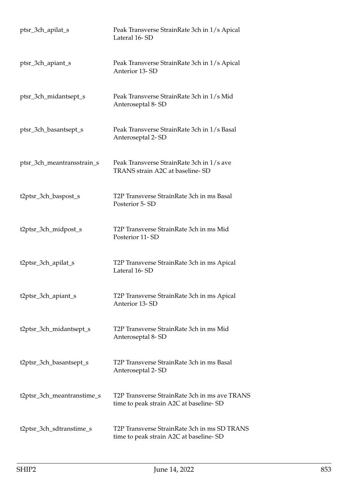| ptsr_3ch_apilat_s          | Peak Transverse StrainRate 3ch in 1/s Apical<br>Lateral 16-SD                           |
|----------------------------|-----------------------------------------------------------------------------------------|
| ptsr_3ch_apiant_s          | Peak Transverse StrainRate 3ch in 1/s Apical<br>Anterior 13-SD                          |
| ptsr_3ch_midantsept_s      | Peak Transverse StrainRate 3ch in 1/s Mid<br>Anteroseptal 8-SD                          |
| ptsr_3ch_basantsept_s      | Peak Transverse StrainRate 3ch in 1/s Basal<br>Anteroseptal 2-SD                        |
| ptsr_3ch_meantransstrain_s | Peak Transverse StrainRate 3ch in 1/s ave<br>TRANS strain A2C at baseline-SD            |
| t2ptsr_3ch_baspost_s       | T2P Transverse StrainRate 3ch in ms Basal<br>Posterior 5-SD                             |
| t2ptsr_3ch_midpost_s       | T2P Transverse StrainRate 3ch in ms Mid<br>Posterior 11-SD                              |
| t2ptsr_3ch_apilat_s        | T2P Transverse StrainRate 3ch in ms Apical<br>Lateral 16-SD                             |
| t2ptsr_3ch_apiant_s        | T2P Transverse StrainRate 3ch in ms Apical<br>Anterior 13-SD                            |
| t2ptsr_3ch_midantsept_s    | T2P Transverse StrainRate 3ch in ms Mid<br>Anteroseptal 8-SD                            |
| t2ptsr_3ch_basantsept_s    | T2P Transverse StrainRate 3ch in ms Basal<br>Anteroseptal 2-SD                          |
| t2ptsr_3ch_meantranstime_s | T2P Transverse StrainRate 3ch in ms ave TRANS<br>time to peak strain A2C at baseline-SD |
| t2ptsr_3ch_sdtranstime_s   | T2P Transverse StrainRate 3ch in ms SD TRANS<br>time to peak strain A2C at baseline-SD  |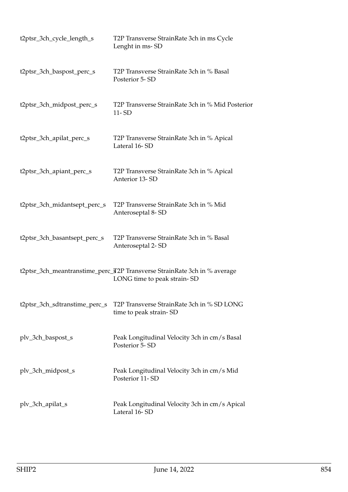| t2ptsr_3ch_cycle_length_s     | T2P Transverse StrainRate 3ch in ms Cycle<br>Lenght in ms-SD                                            |
|-------------------------------|---------------------------------------------------------------------------------------------------------|
| t2ptsr_3ch_baspost_perc_s     | T2P Transverse StrainRate 3ch in % Basal<br>Posterior 5-SD                                              |
| t2ptsr_3ch_midpost_perc_s     | T2P Transverse StrainRate 3ch in % Mid Posterior<br>$11 - SD$                                           |
| t2ptsr_3ch_apilat_perc_s      | T2P Transverse StrainRate 3ch in % Apical<br>Lateral 16-SD                                              |
| t2ptsr_3ch_apiant_perc_s      | T2P Transverse StrainRate 3ch in % Apical<br>Anterior 13-SD                                             |
| t2ptsr_3ch_midantsept_perc_s  | T2P Transverse StrainRate 3ch in % Mid<br>Anteroseptal 8-SD                                             |
| t2ptsr_3ch_basantsept_perc_s  | T2P Transverse StrainRate 3ch in % Basal<br>Anteroseptal 2-SD                                           |
|                               | t2ptsr_3ch_meantranstime_perc_T2P Transverse StrainRate 3ch in % average<br>LONG time to peak strain-SD |
| t2ptsr_3ch_sdtranstime_perc_s | T2P Transverse StrainRate 3ch in % SD LONG<br>time to peak strain-SD                                    |
| plv_3ch_baspost_s             | Peak Longitudinal Velocity 3ch in cm/s Basal<br>Posterior 5-SD                                          |
| plv_3ch_midpost_s             | Peak Longitudinal Velocity 3ch in cm/s Mid<br>Posterior 11-SD                                           |
| plv_3ch_apilat_s              | Peak Longitudinal Velocity 3ch in cm/s Apical<br>Lateral 16-SD                                          |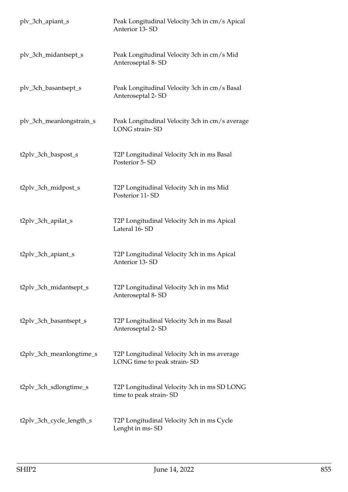| plv_3ch_apiant_s         | Peak Longitudinal Velocity 3ch in cm/s Apical<br>Anterior 13-SD            |
|--------------------------|----------------------------------------------------------------------------|
| plv_3ch_midantsept_s     | Peak Longitudinal Velocity 3ch in cm/s Mid<br>Anteroseptal 8-SD            |
| plv_3ch_basantsept_s     | Peak Longitudinal Velocity 3ch in cm/s Basal<br>Anteroseptal 2-SD          |
| plv_3ch_meanlongstrain_s | Peak Longitudinal Velocity 3ch in cm/s average<br>LONG strain-SD           |
| t2plv_3ch_baspost_s      | T2P Longitudinal Velocity 3ch in ms Basal<br>Posterior 5-SD                |
| t2plv_3ch_midpost_s      | T2P Longitudinal Velocity 3ch in ms Mid<br>Posterior 11-SD                 |
| t2plv_3ch_apilat_s       | T2P Longitudinal Velocity 3ch in ms Apical<br>Lateral 16-SD                |
| t2plv_3ch_apiant_s       | T2P Longitudinal Velocity 3ch in ms Apical<br>Anterior 13-SD               |
| t2plv_3ch_midantsept_s   | T2P Longitudinal Velocity 3ch in ms Mid<br>Anteroseptal 8-SD               |
| t2plv_3ch_basantsept_s   | T2P Longitudinal Velocity 3ch in ms Basal<br>Anteroseptal 2-SD             |
| t2plv_3ch_meanlongtime_s | T2P Longitudinal Velocity 3ch in ms average<br>LONG time to peak strain-SD |
| t2plv_3ch_sdlongtime_s   | T2P Longitudinal Velocity 3ch in ms SD LONG<br>time to peak strain-SD      |
| t2plv_3ch_cycle_length_s | T2P Longitudinal Velocity 3ch in ms Cycle<br>Lenght in ms-SD               |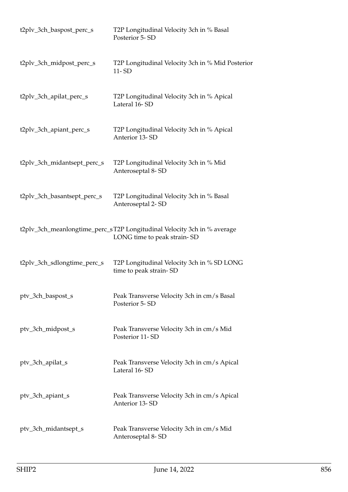| t2plv_3ch_baspost_perc_s    | T2P Longitudinal Velocity 3ch in % Basal<br>Posterior 5-SD                                             |
|-----------------------------|--------------------------------------------------------------------------------------------------------|
| t2plv_3ch_midpost_perc_s    | T2P Longitudinal Velocity 3ch in % Mid Posterior<br>11-SD                                              |
| t2plv_3ch_apilat_perc_s     | T2P Longitudinal Velocity 3ch in % Apical<br>Lateral 16-SD                                             |
| t2plv_3ch_apiant_perc_s     | T2P Longitudinal Velocity 3ch in % Apical<br>Anterior 13-SD                                            |
| t2plv_3ch_midantsept_perc_s | T2P Longitudinal Velocity 3ch in % Mid<br>Anteroseptal 8-SD                                            |
| t2plv_3ch_basantsept_perc_s | T2P Longitudinal Velocity 3ch in % Basal<br>Anteroseptal 2-SD                                          |
|                             | t2plv_3ch_meanlongtime_perc_sT2P Longitudinal Velocity 3ch in % average<br>LONG time to peak strain-SD |
| t2plv_3ch_sdlongtime_perc_s | T2P Longitudinal Velocity 3ch in % SD LONG<br>time to peak strain-SD                                   |
| ptv_3ch_baspost_s           | Peak Transverse Velocity 3ch in cm/s Basal<br>Posterior 5-SD                                           |
| ptv_3ch_midpost_s           | Peak Transverse Velocity 3ch in cm/s Mid<br>Posterior 11-SD                                            |
| ptv_3ch_apilat_s            | Peak Transverse Velocity 3ch in cm/s Apical<br>Lateral 16-SD                                           |
| ptv_3ch_apiant_s            | Peak Transverse Velocity 3ch in cm/s Apical<br>Anterior 13-SD                                          |
| ptv_3ch_midantsept_s        | Peak Transverse Velocity 3ch in cm/s Mid<br>Anteroseptal 8-SD                                          |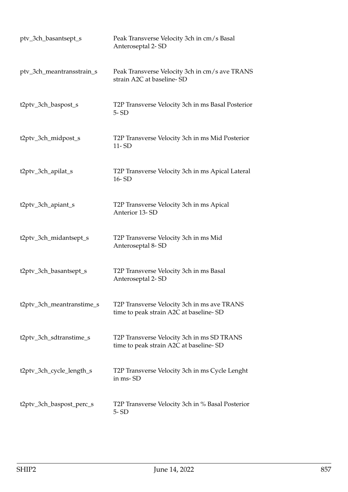| ptv_3ch_basantsept_s      | Peak Transverse Velocity 3ch in cm/s Basal<br>Anteroseptal 2-SD                       |
|---------------------------|---------------------------------------------------------------------------------------|
| ptv_3ch_meantransstrain_s | Peak Transverse Velocity 3ch in cm/s ave TRANS<br>strain A2C at baseline-SD           |
| t2ptv_3ch_baspost_s       | T2P Transverse Velocity 3ch in ms Basal Posterior<br>$5 - SD$                         |
| t2ptv_3ch_midpost_s       | T2P Transverse Velocity 3ch in ms Mid Posterior<br>$11 - SD$                          |
| t2ptv_3ch_apilat_s        | T2P Transverse Velocity 3ch in ms Apical Lateral<br>16-SD                             |
| t2ptv_3ch_apiant_s        | T2P Transverse Velocity 3ch in ms Apical<br>Anterior 13-SD                            |
| t2ptv_3ch_midantsept_s    | T2P Transverse Velocity 3ch in ms Mid<br>Anteroseptal 8-SD                            |
| t2ptv_3ch_basantsept_s    | T2P Transverse Velocity 3ch in ms Basal<br>Anteroseptal 2-SD                          |
| t2ptv_3ch_meantranstime_s | T2P Transverse Velocity 3ch in ms ave TRANS<br>time to peak strain A2C at baseline-SD |
| t2ptv_3ch_sdtranstime_s   | T2P Transverse Velocity 3ch in ms SD TRANS<br>time to peak strain A2C at baseline-SD  |
| t2ptv_3ch_cycle_length_s  | T2P Transverse Velocity 3ch in ms Cycle Lenght<br>in ms-SD                            |
| t2ptv_3ch_baspost_perc_s  | T2P Transverse Velocity 3ch in % Basal Posterior<br>$5 - SD$                          |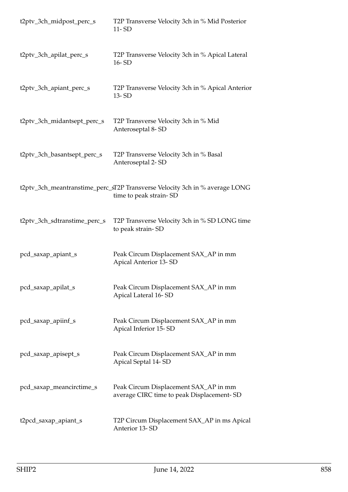| t2ptv_3ch_midpost_perc_s     | T2P Transverse Velocity 3ch in % Mid Posterior<br>$11 - SD$                                           |
|------------------------------|-------------------------------------------------------------------------------------------------------|
| t2ptv_3ch_apilat_perc_s      | T2P Transverse Velocity 3ch in % Apical Lateral<br>16-SD                                              |
| t2ptv_3ch_apiant_perc_s      | T2P Transverse Velocity 3ch in % Apical Anterior<br>13-SD                                             |
| t2ptv_3ch_midantsept_perc_s  | T2P Transverse Velocity 3ch in % Mid<br>Anteroseptal 8-SD                                             |
| t2ptv_3ch_basantsept_perc_s  | T2P Transverse Velocity 3ch in % Basal<br>Anteroseptal 2-SD                                           |
|                              | t2ptv_3ch_meantranstime_perc_sT2P Transverse Velocity 3ch in % average LONG<br>time to peak strain-SD |
| t2ptv_3ch_sdtranstime_perc_s | T2P Transverse Velocity 3ch in % SD LONG time<br>to peak strain-SD                                    |
| pcd_saxap_apiant_s           | Peak Circum Displacement SAX_AP in mm<br>Apical Anterior 13-SD                                        |
| pcd_saxap_apilat_s           | Peak Circum Displacement SAX_AP in mm<br>Apical Lateral 16-SD                                         |
| pcd_saxap_apiinf_s           | Peak Circum Displacement SAX_AP in mm<br>Apical Inferior 15-SD                                        |
| pcd_saxap_apisept_s          | Peak Circum Displacement SAX_AP in mm<br>Apical Septal 14-SD                                          |
| pcd_saxap_meancirctime_s     | Peak Circum Displacement SAX_AP in mm<br>average CIRC time to peak Displacement-SD                    |
| t2pcd_saxap_apiant_s         | T2P Circum Displacement SAX_AP in ms Apical<br>Anterior 13-SD                                         |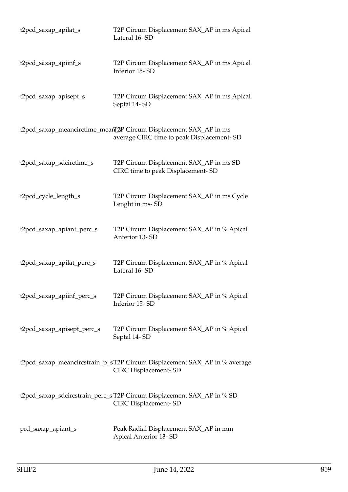| t2pcd_saxap_apilat_s       | T2P Circum Displacement SAX_AP in ms Apical<br>Lateral 16-SD                                                   |
|----------------------------|----------------------------------------------------------------------------------------------------------------|
| t2pcd_saxap_apiinf_s       | T2P Circum Displacement SAX_AP in ms Apical<br>Inferior 15-SD                                                  |
| t2pcd_saxap_apisept_s      | T2P Circum Displacement SAX_AP in ms Apical<br>Septal 14-SD                                                    |
|                            | t2pcd_saxap_meancirctime_meanL2P Circum Displacement SAX_AP in ms<br>average CIRC time to peak Displacement-SD |
| t2pcd_saxap_sdcirctime_s   | T2P Circum Displacement SAX_AP in ms SD<br>CIRC time to peak Displacement-SD                                   |
| t2pcd_cycle_length_s       | T2P Circum Displacement SAX_AP in ms Cycle<br>Lenght in ms-SD                                                  |
| t2pcd_saxap_apiant_perc_s  | T2P Circum Displacement SAX_AP in % Apical<br>Anterior 13-SD                                                   |
| t2pcd_saxap_apilat_perc_s  | T2P Circum Displacement SAX_AP in % Apical<br>Lateral 16-SD                                                    |
| t2pcd_saxap_apiinf_perc_s  | T2P Circum Displacement SAX_AP in % Apical<br>Inferior 15-SD                                                   |
| t2pcd_saxap_apisept_perc_s | T2P Circum Displacement SAX_AP in % Apical<br>Septal 14-SD                                                     |
|                            | t2pcd_saxap_meancircstrain_p_sT2P Circum Displacement SAX_AP in % average<br><b>CIRC</b> Displacement-SD       |
|                            | t2pcd_saxap_sdcircstrain_perc_s T2P Circum Displacement SAX_AP in % SD<br><b>CIRC</b> Displacement-SD          |
| prd_saxap_apiant_s         | Peak Radial Displacement SAX_AP in mm<br><b>Apical Anterior 13-SD</b>                                          |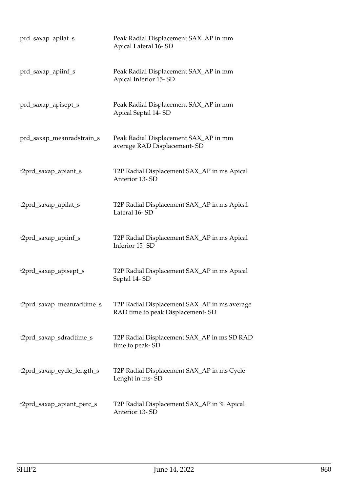| prd_saxap_apilat_s         | Peak Radial Displacement SAX_AP in mm<br>Apical Lateral 16-SD                    |
|----------------------------|----------------------------------------------------------------------------------|
| prd_saxap_apiinf_s         | Peak Radial Displacement SAX_AP in mm<br>Apical Inferior 15-SD                   |
| prd_saxap_apisept_s        | Peak Radial Displacement SAX_AP in mm<br>Apical Septal 14-SD                     |
| prd_saxap_meanradstrain_s  | Peak Radial Displacement SAX_AP in mm<br>average RAD Displacement-SD             |
| t2prd_saxap_apiant_s       | T2P Radial Displacement SAX_AP in ms Apical<br>Anterior 13-SD                    |
| t2prd_saxap_apilat_s       | T2P Radial Displacement SAX_AP in ms Apical<br>Lateral 16-SD                     |
| t2prd_saxap_apiinf_s       | T2P Radial Displacement SAX_AP in ms Apical<br>Inferior 15-SD                    |
| t2prd_saxap_apisept_s      | T2P Radial Displacement SAX_AP in ms Apical<br>Septal 14-SD                      |
| t2prd_saxap_meanradtime_s  | T2P Radial Displacement SAX_AP in ms average<br>RAD time to peak Displacement-SD |
| t2prd_saxap_sdradtime_s    | T2P Radial Displacement SAX_AP in ms SD RAD<br>time to peak-SD                   |
| t2prd_saxap_cycle_length_s | T2P Radial Displacement SAX_AP in ms Cycle<br>Lenght in ms-SD                    |
| t2prd_saxap_apiant_perc_s  | T2P Radial Displacement SAX_AP in % Apical<br>Anterior 13-SD                     |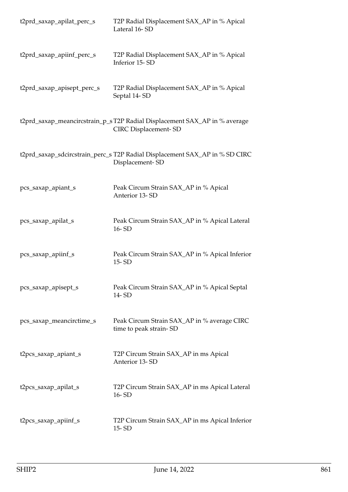| t2prd_saxap_apilat_perc_s  | T2P Radial Displacement SAX_AP in % Apical<br>Lateral 16-SD                                              |
|----------------------------|----------------------------------------------------------------------------------------------------------|
| t2prd_saxap_apiinf_perc_s  | T2P Radial Displacement SAX_AP in % Apical<br>Inferior 15-SD                                             |
| t2prd_saxap_apisept_perc_s | T2P Radial Displacement SAX_AP in % Apical<br>Septal 14-SD                                               |
|                            | t2prd_saxap_meancircstrain_p_sT2P Radial Displacement SAX_AP in % average<br><b>CIRC</b> Displacement-SD |
|                            | t2prd_saxap_sdcircstrain_perc_s T2P Radial Displacement SAX_AP in % SD CIRC<br>Displacement-SD           |
| pcs_saxap_apiant_s         | Peak Circum Strain SAX_AP in % Apical<br>Anterior 13-SD                                                  |
| pcs_saxap_apilat_s         | Peak Circum Strain SAX_AP in % Apical Lateral<br>$16 - SD$                                               |
| pcs_saxap_apiinf_s         | Peak Circum Strain SAX_AP in % Apical Inferior<br>15-SD                                                  |
| pcs_saxap_apisept_s        | Peak Circum Strain SAX_AP in % Apical Septal<br>14-SD                                                    |
| pcs_saxap_meancirctime_s   | Peak Circum Strain SAX_AP in % average CIRC<br>time to peak strain-SD                                    |
| t2pcs_saxap_apiant_s       | T2P Circum Strain SAX_AP in ms Apical<br>Anterior 13-SD                                                  |
| t2pcs_saxap_apilat_s       | T2P Circum Strain SAX_AP in ms Apical Lateral<br>16-SD                                                   |
| t2pcs_saxap_apiinf_s       | T2P Circum Strain SAX_AP in ms Apical Inferior<br>$15 - SD$                                              |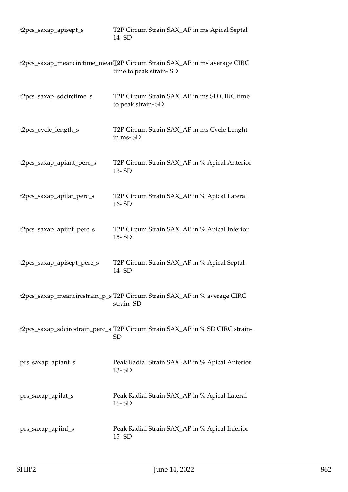| t2pcs_saxap_apisept_s      | T2P Circum Strain SAX_AP in ms Apical Septal<br>14-SD                                              |
|----------------------------|----------------------------------------------------------------------------------------------------|
|                            | t2pcs_saxap_meancirctime_meanI2P Circum Strain SAX_AP in ms average CIRC<br>time to peak strain-SD |
| t2pcs_saxap_sdcirctime_s   | T2P Circum Strain SAX_AP in ms SD CIRC time<br>to peak strain-SD                                   |
| t2pcs_cycle_length_s       | T2P Circum Strain SAX_AP in ms Cycle Lenght<br>in ms-SD                                            |
| t2pcs_saxap_apiant_perc_s  | T2P Circum Strain SAX_AP in % Apical Anterior<br>13-SD                                             |
| t2pcs_saxap_apilat_perc_s  | T2P Circum Strain SAX_AP in % Apical Lateral<br>16-SD                                              |
| t2pcs_saxap_apiinf_perc_s  | T2P Circum Strain SAX_AP in % Apical Inferior<br>$15 - SD$                                         |
| t2pcs_saxap_apisept_perc_s | T2P Circum Strain SAX_AP in % Apical Septal<br>14-SD                                               |
|                            | t2pcs_saxap_meancircstrain_p_s T2P Circum Strain SAX_AP in % average CIRC<br>strain-SD             |
|                            | t2pcs_saxap_sdcircstrain_perc_s T2P Circum Strain SAX_AP in % SD CIRC strain-<br><b>SD</b>         |
| prs_saxap_apiant_s         | Peak Radial Strain SAX_AP in % Apical Anterior<br>13-SD                                            |
| prs_saxap_apilat_s         | Peak Radial Strain SAX_AP in % Apical Lateral<br>16-SD                                             |
| prs_saxap_apiinf_s         | Peak Radial Strain SAX_AP in % Apical Inferior<br>15-SD                                            |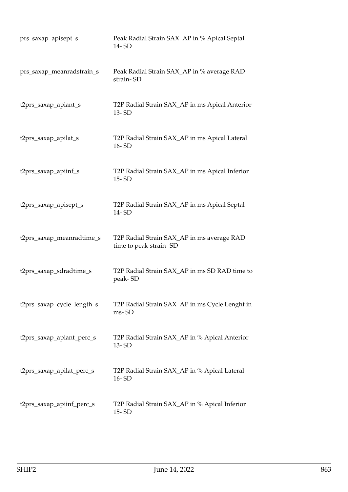| prs_saxap_apisept_s        | Peak Radial Strain SAX_AP in % Apical Septal<br>14-SD                |
|----------------------------|----------------------------------------------------------------------|
| prs_saxap_meanradstrain_s  | Peak Radial Strain SAX_AP in % average RAD<br>strain-SD              |
| t2prs_saxap_apiant_s       | T2P Radial Strain SAX_AP in ms Apical Anterior<br>13-SD              |
| t2prs_saxap_apilat_s       | T2P Radial Strain SAX_AP in ms Apical Lateral<br>16-SD               |
| t2prs_saxap_apiinf_s       | T2P Radial Strain SAX_AP in ms Apical Inferior<br>$15 - SD$          |
| t2prs_saxap_apisept_s      | T2P Radial Strain SAX_AP in ms Apical Septal<br>14-SD                |
| t2prs_saxap_meanradtime_s  | T2P Radial Strain SAX_AP in ms average RAD<br>time to peak strain-SD |
| t2prs_saxap_sdradtime_s    | T2P Radial Strain SAX_AP in ms SD RAD time to<br>peak-SD             |
| t2prs_saxap_cycle_length_s | T2P Radial Strain SAX_AP in ms Cycle Lenght in<br>ms-SD              |
| t2prs_saxap_apiant_perc_s  | T2P Radial Strain SAX_AP in % Apical Anterior<br>$13 - SD$           |
| t2prs_saxap_apilat_perc_s  | T2P Radial Strain SAX_AP in % Apical Lateral<br>16-SD                |
| t2prs_saxap_apiinf_perc_s  | T2P Radial Strain SAX_AP in % Apical Inferior<br>15-SD               |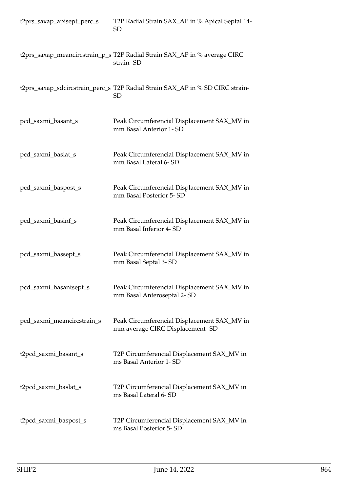| t2prs_saxap_apisept_perc_s | T2P Radial Strain SAX_AP in % Apical Septal 14-<br><b>SD</b>                           |
|----------------------------|----------------------------------------------------------------------------------------|
|                            | t2prs_saxap_meancircstrain_p_s T2P Radial Strain SAX_AP in % average CIRC<br>strain-SD |
|                            | t2prs_saxap_sdcircstrain_perc_s T2P Radial Strain SAX_AP in % SD CIRC strain-<br>SD    |
| pcd_saxmi_basant_s         | Peak Circumferencial Displacement SAX_MV in<br>mm Basal Anterior 1- SD                 |
| pcd_saxmi_baslat_s         | Peak Circumferencial Displacement SAX_MV in<br>mm Basal Lateral 6-SD                   |
| pcd_saxmi_baspost_s        | Peak Circumferencial Displacement SAX_MV in<br>mm Basal Posterior 5-SD                 |
| pcd_saxmi_basinf_s         | Peak Circumferencial Displacement SAX_MV in<br>mm Basal Inferior 4-SD                  |
| pcd_saxmi_bassept_s        | Peak Circumferencial Displacement SAX_MV in<br>mm Basal Septal 3-SD                    |
| pcd_saxmi_basantsept_s     | Peak Circumferencial Displacement SAX_MV in<br>mm Basal Anteroseptal 2- SD             |
| pcd_saxmi_meancircstrain_s | Peak Circumferencial Displacement SAX_MV in<br>mm average CIRC Displacement-SD         |
| t2pcd_saxmi_basant_s       | T2P Circumferencial Displacement SAX_MV in<br>ms Basal Anterior 1- SD                  |
| t2pcd_saxmi_baslat_s       | T2P Circumferencial Displacement SAX_MV in<br>ms Basal Lateral 6-SD                    |
| t2pcd_saxmi_baspost_s      | T2P Circumferencial Displacement SAX_MV in<br>ms Basal Posterior 5-SD                  |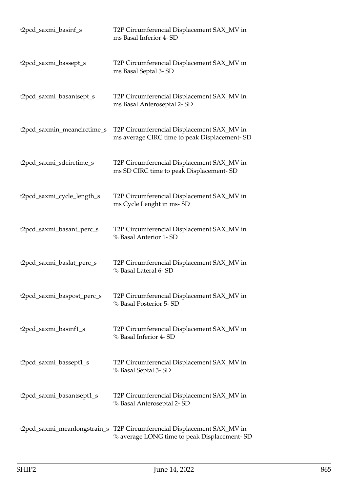| t2pcd_saxmi_basinf_s        | T2P Circumferencial Displacement SAX_MV in<br>ms Basal Inferior 4- SD                                                  |
|-----------------------------|------------------------------------------------------------------------------------------------------------------------|
| t2pcd_saxmi_bassept_s       | T2P Circumferencial Displacement SAX_MV in<br>ms Basal Septal 3-SD                                                     |
| t2pcd_saxmi_basantsept_s    | T2P Circumferencial Displacement SAX_MV in<br>ms Basal Anteroseptal 2- SD                                              |
| t2pcd_saxmin_meancirctime_s | T2P Circumferencial Displacement SAX_MV in<br>ms average CIRC time to peak Displacement-SD                             |
| t2pcd_saxmi_sdcirctime_s    | T2P Circumferencial Displacement SAX_MV in<br>ms SD CIRC time to peak Displacement-SD                                  |
| t2pcd_saxmi_cycle_length_s  | T2P Circumferencial Displacement SAX_MV in<br>ms Cycle Lenght in ms-SD                                                 |
| t2pcd_saxmi_basant_perc_s   | T2P Circumferencial Displacement SAX_MV in<br>% Basal Anterior 1- SD                                                   |
| t2pcd_saxmi_baslat_perc_s   | T2P Circumferencial Displacement SAX_MV in<br>% Basal Lateral 6- SD                                                    |
| t2pcd_saxmi_baspost_perc_s  | T2P Circumferencial Displacement SAX_MV in<br>% Basal Posterior 5-SD                                                   |
| t2pcd_saxmi_basinf1_s       | T2P Circumferencial Displacement SAX_MV in<br>% Basal Inferior 4- SD                                                   |
| t2pcd_saxmi_bassept1_s      | T2P Circumferencial Displacement SAX_MV in<br>% Basal Septal 3-SD                                                      |
| t2pcd_saxmi_basantsept1_s   | T2P Circumferencial Displacement SAX_MV in<br>% Basal Anteroseptal 2- SD                                               |
|                             | t2pcd_saxmi_meanlongstrain_s T2P Circumferencial Displacement SAX_MV in<br>% average LONG time to peak Displacement-SD |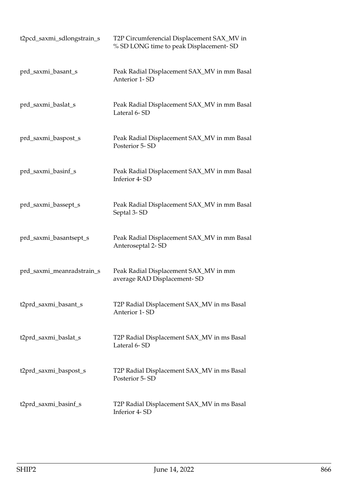| t2pcd_saxmi_sdlongstrain_s | T2P Circumferencial Displacement SAX_MV in<br>% SD LONG time to peak Displacement-SD |
|----------------------------|--------------------------------------------------------------------------------------|
| prd_saxmi_basant_s         | Peak Radial Displacement SAX_MV in mm Basal<br>Anterior 1-SD                         |
| prd_saxmi_baslat_s         | Peak Radial Displacement SAX_MV in mm Basal<br>Lateral 6-SD                          |
| prd_saxmi_baspost_s        | Peak Radial Displacement SAX_MV in mm Basal<br>Posterior 5-SD                        |
| prd_saxmi_basinf_s         | Peak Radial Displacement SAX_MV in mm Basal<br>Inferior 4-SD                         |
| prd_saxmi_bassept_s        | Peak Radial Displacement SAX_MV in mm Basal<br>Septal 3-SD                           |
| prd_saxmi_basantsept_s     | Peak Radial Displacement SAX_MV in mm Basal<br>Anteroseptal 2-SD                     |
| prd_saxmi_meanradstrain_s  | Peak Radial Displacement SAX_MV in mm<br>average RAD Displacement-SD                 |
| t2prd_saxmi_basant_s       | T2P Radial Displacement SAX_MV in ms Basal<br>Anterior 1-SD                          |
| t2prd_saxmi_baslat_s       | T2P Radial Displacement SAX_MV in ms Basal<br>Lateral 6-SD                           |
| t2prd_saxmi_baspost_s      | T2P Radial Displacement SAX_MV in ms Basal<br>Posterior 5-SD                         |
| t2prd_saxmi_basinf_s       | T2P Radial Displacement SAX_MV in ms Basal<br>Inferior 4-SD                          |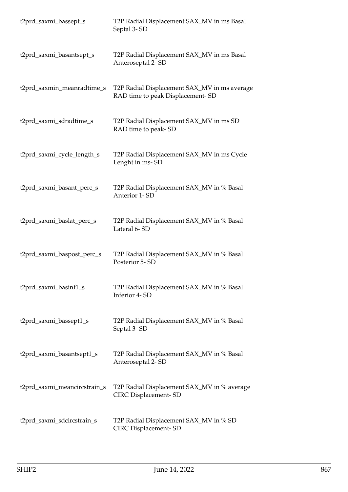| t2prd_saxmi_bassept_s        | T2P Radial Displacement SAX_MV in ms Basal<br>Septal 3-SD                        |
|------------------------------|----------------------------------------------------------------------------------|
| t2prd_saxmi_basantsept_s     | T2P Radial Displacement SAX_MV in ms Basal<br>Anteroseptal 2-SD                  |
| t2prd_saxmin_meanradtime_s   | T2P Radial Displacement SAX_MV in ms average<br>RAD time to peak Displacement-SD |
| t2prd_saxmi_sdradtime_s      | T2P Radial Displacement SAX_MV in ms SD<br>RAD time to peak-SD                   |
| t2prd_saxmi_cycle_length_s   | T2P Radial Displacement SAX_MV in ms Cycle<br>Lenght in ms-SD                    |
| t2prd_saxmi_basant_perc_s    | T2P Radial Displacement SAX_MV in % Basal<br>Anterior 1-SD                       |
| t2prd_saxmi_baslat_perc_s    | T2P Radial Displacement SAX_MV in % Basal<br>Lateral 6-SD                        |
| t2prd_saxmi_baspost_perc_s   | T2P Radial Displacement SAX_MV in % Basal<br>Posterior 5-SD                      |
| t2prd_saxmi_basinf1_s        | T2P Radial Displacement SAX_MV in % Basal<br>Inferior 4-SD                       |
| t2prd_saxmi_bassept1_s       | T2P Radial Displacement SAX_MV in % Basal<br>Septal 3-SD                         |
| t2prd_saxmi_basantsept1_s    | T2P Radial Displacement SAX_MV in % Basal<br>Anteroseptal 2-SD                   |
| t2prd_saxmi_meancircstrain_s | T2P Radial Displacement SAX_MV in % average<br><b>CIRC Displacement-SD</b>       |
| t2prd_saxmi_sdcircstrain_s   | T2P Radial Displacement SAX_MV in % SD<br><b>CIRC</b> Displacement-SD            |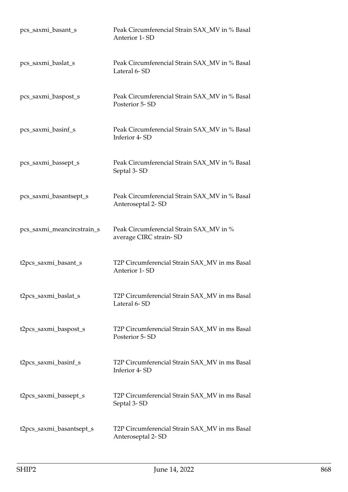| pcs_saxmi_basant_s         | Peak Circumferencial Strain SAX_MV in % Basal<br>Anterior 1-SD     |
|----------------------------|--------------------------------------------------------------------|
| pcs_saxmi_baslat_s         | Peak Circumferencial Strain SAX_MV in % Basal<br>Lateral 6-SD      |
| pcs_saxmi_baspost_s        | Peak Circumferencial Strain SAX_MV in % Basal<br>Posterior 5-SD    |
| pcs_saxmi_basinf_s         | Peak Circumferencial Strain SAX_MV in % Basal<br>Inferior 4-SD     |
| pcs_saxmi_bassept_s        | Peak Circumferencial Strain SAX_MV in % Basal<br>Septal 3-SD       |
| pcs_saxmi_basantsept_s     | Peak Circumferencial Strain SAX_MV in % Basal<br>Anteroseptal 2-SD |
| pcs_saxmi_meancircstrain_s | Peak Circumferencial Strain SAX_MV in %<br>average CIRC strain-SD  |
| t2pcs_saxmi_basant_s       | T2P Circumferencial Strain SAX_MV in ms Basal<br>Anterior 1-SD     |
| t2pcs_saxmi_baslat_s       | T2P Circumferencial Strain SAX_MV in ms Basal<br>Lateral 6-SD      |
| t2pcs_saxmi_baspost_s      | T2P Circumferencial Strain SAX_MV in ms Basal<br>Posterior 5-SD    |
| t2pcs_saxmi_basinf_s       | T2P Circumferencial Strain SAX_MV in ms Basal<br>Inferior 4-SD     |
| t2pcs_saxmi_bassept_s      | T2P Circumferencial Strain SAX_MV in ms Basal<br>Septal 3-SD       |
| t2pcs_saxmi_basantsept_s   | T2P Circumferencial Strain SAX_MV in ms Basal<br>Anteroseptal 2-SD |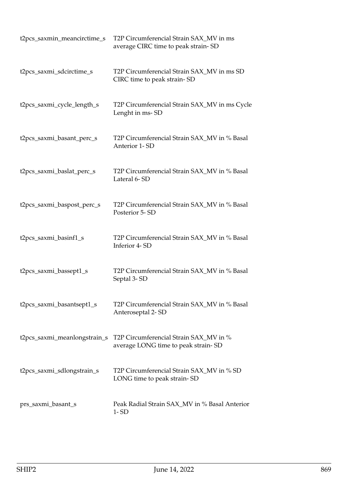| t2pcs_saxmin_meancirctime_s  | T2P Circumferencial Strain SAX_MV in ms<br>average CIRC time to peak strain-SD |
|------------------------------|--------------------------------------------------------------------------------|
| t2pcs_saxmi_sdcirctime_s     | T2P Circumferencial Strain SAX_MV in ms SD<br>CIRC time to peak strain-SD      |
| t2pcs_saxmi_cycle_length_s   | T2P Circumferencial Strain SAX_MV in ms Cycle<br>Lenght in ms-SD               |
| t2pcs_saxmi_basant_perc_s    | T2P Circumferencial Strain SAX_MV in % Basal<br>Anterior 1-SD                  |
| t2pcs_saxmi_baslat_perc_s    | T2P Circumferencial Strain SAX_MV in % Basal<br>Lateral 6-SD                   |
| t2pcs_saxmi_baspost_perc_s   | T2P Circumferencial Strain SAX_MV in % Basal<br>Posterior 5-SD                 |
| t2pcs_saxmi_basinf1_s        | T2P Circumferencial Strain SAX_MV in % Basal<br>Inferior 4-SD                  |
| t2pcs_saxmi_bassept1_s       | T2P Circumferencial Strain SAX_MV in % Basal<br>Septal 3-SD                    |
| t2pcs_saxmi_basantsept1_s    | T2P Circumferencial Strain SAX_MV in % Basal<br>Anteroseptal 2-SD              |
| t2pcs_saxmi_meanlongstrain_s | T2P Circumferencial Strain SAX_MV in %<br>average LONG time to peak strain-SD  |
| t2pcs_saxmi_sdlongstrain_s   | T2P Circumferencial Strain SAX_MV in % SD<br>LONG time to peak strain-SD       |
| prs_saxmi_basant_s           | Peak Radial Strain SAX_MV in % Basal Anterior<br>$1 - SD$                      |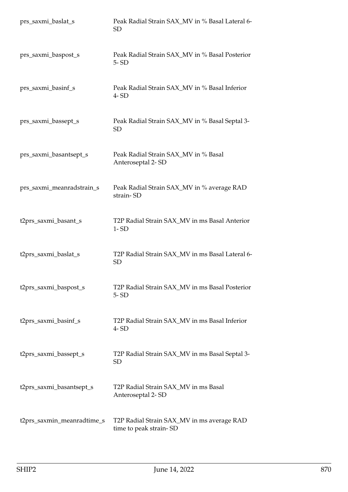| prs_saxmi_baslat_s         | Peak Radial Strain SAX_MV in % Basal Lateral 6-<br>SD                |
|----------------------------|----------------------------------------------------------------------|
| prs_saxmi_baspost_s        | Peak Radial Strain SAX_MV in % Basal Posterior<br>$5 - SD$           |
| prs_saxmi_basinf_s         | Peak Radial Strain SAX_MV in % Basal Inferior<br>$4 - SD$            |
| prs_saxmi_bassept_s        | Peak Radial Strain SAX_MV in % Basal Septal 3-<br>SD                 |
| prs_saxmi_basantsept_s     | Peak Radial Strain SAX_MV in % Basal<br>Anteroseptal 2-SD            |
| prs_saxmi_meanradstrain_s  | Peak Radial Strain SAX_MV in % average RAD<br>strain-SD              |
| t2prs_saxmi_basant_s       | T2P Radial Strain SAX_MV in ms Basal Anterior<br>$1 - SD$            |
| t2prs_saxmi_baslat_s       | T2P Radial Strain SAX_MV in ms Basal Lateral 6-<br><b>SD</b>         |
| t2prs_saxmi_baspost_s      | T2P Radial Strain SAX_MV in ms Basal Posterior<br>$5 - SD$           |
| t2prs_saxmi_basinf_s       | T2P Radial Strain SAX_MV in ms Basal Inferior<br>$4 - SD$            |
| t2prs_saxmi_bassept_s      | T2P Radial Strain SAX_MV in ms Basal Septal 3-<br>SD <sub>.</sub>    |
| t2prs_saxmi_basantsept_s   | T2P Radial Strain SAX_MV in ms Basal<br>Anteroseptal 2-SD            |
| t2prs_saxmin_meanradtime_s | T2P Radial Strain SAX_MV in ms average RAD<br>time to peak strain-SD |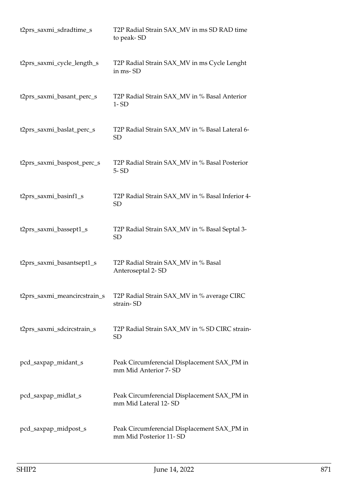| t2prs_saxmi_sdradtime_s      | T2P Radial Strain SAX_MV in ms SD RAD time<br>to peak-SD              |
|------------------------------|-----------------------------------------------------------------------|
| t2prs_saxmi_cycle_length_s   | T2P Radial Strain SAX_MV in ms Cycle Lenght<br>in ms-SD               |
| t2prs_saxmi_basant_perc_s    | T2P Radial Strain SAX_MV in % Basal Anterior<br>$1 - SD$              |
| t2prs_saxmi_baslat_perc_s    | T2P Radial Strain SAX_MV in % Basal Lateral 6-<br>SD                  |
| t2prs_saxmi_baspost_perc_s   | T2P Radial Strain SAX_MV in % Basal Posterior<br>$5 - SD$             |
| t2prs_saxmi_basinf1_s        | T2P Radial Strain SAX_MV in % Basal Inferior 4-<br>SD                 |
| t2prs_saxmi_bassept1_s       | T2P Radial Strain SAX_MV in % Basal Septal 3-<br><b>SD</b>            |
| t2prs_saxmi_basantsept1_s    | T2P Radial Strain SAX_MV in % Basal<br>Anteroseptal 2-SD              |
| t2prs_saxmi_meancircstrain_s | T2P Radial Strain SAX_MV in % average CIRC<br>strain-SD               |
| t2prs_saxmi_sdcircstrain_s   | T2P Radial Strain SAX_MV in % SD CIRC strain-<br>SD                   |
| pcd_saxpap_midant_s          | Peak Circumferencial Displacement SAX_PM in<br>mm Mid Anterior 7- SD  |
| pcd_saxpap_midlat_s          | Peak Circumferencial Displacement SAX_PM in<br>mm Mid Lateral 12-SD   |
| pcd_saxpap_midpost_s         | Peak Circumferencial Displacement SAX_PM in<br>mm Mid Posterior 11-SD |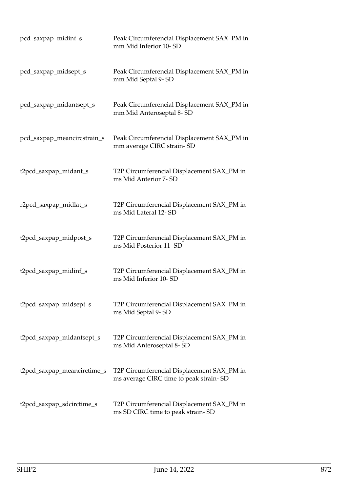| pcd_saxpap_midinf_s         | Peak Circumferencial Displacement SAX_PM in<br>mm Mid Inferior 10-SD                 |
|-----------------------------|--------------------------------------------------------------------------------------|
| pcd_saxpap_midsept_s        | Peak Circumferencial Displacement SAX_PM in<br>mm Mid Septal 9-SD                    |
| pcd_saxpap_midantsept_s     | Peak Circumferencial Displacement SAX_PM in<br>mm Mid Anteroseptal 8-SD              |
| pcd_saxpap_meancircstrain_s | Peak Circumferencial Displacement SAX_PM in<br>mm average CIRC strain-SD             |
| t2pcd_saxpap_midant_s       | T2P Circumferencial Displacement SAX_PM in<br>ms Mid Anterior 7- SD                  |
| r2pcd_saxpap_midlat_s       | T2P Circumferencial Displacement SAX_PM in<br>ms Mid Lateral 12-SD                   |
| t2pcd_saxpap_midpost_s      | T2P Circumferencial Displacement SAX_PM in<br>ms Mid Posterior 11-SD                 |
| t2pcd_saxpap_midinf_s       | T2P Circumferencial Displacement SAX_PM in<br>ms Mid Inferior 10-SD                  |
| t2pcd_saxpap_midsept_s      | T2P Circumferencial Displacement SAX_PM in<br>ms Mid Septal 9-SD                     |
| t2pcd_saxpap_midantsept_s   | T2P Circumferencial Displacement SAX_PM in<br>ms Mid Anteroseptal 8-SD               |
| t2pcd_saxpap_meancirctime_s | T2P Circumferencial Displacement SAX_PM in<br>ms average CIRC time to peak strain-SD |
| t2pcd_saxpap_sdcirctime_s   | T2P Circumferencial Displacement SAX_PM in<br>ms SD CIRC time to peak strain-SD      |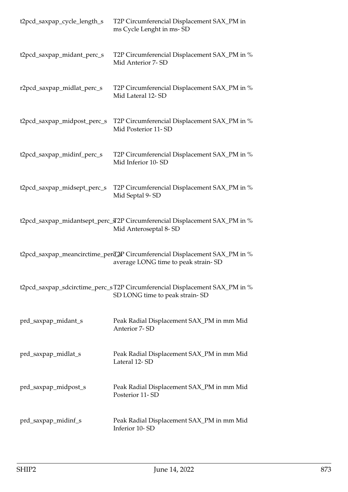| t2pcd_saxpap_cycle_length_s | T2P Circumferencial Displacement SAX_PM in<br>ms Cycle Lenght in ms-SD                                                |
|-----------------------------|-----------------------------------------------------------------------------------------------------------------------|
| t2pcd_saxpap_midant_perc_s  | T2P Circumferencial Displacement SAX_PM in %<br>Mid Anterior 7- SD                                                    |
| r2pcd_saxpap_midlat_perc_s  | T2P Circumferencial Displacement SAX_PM in %<br>Mid Lateral 12-SD                                                     |
| t2pcd_saxpap_midpost_perc_s | T2P Circumferencial Displacement SAX_PM in %<br>Mid Posterior 11-SD                                                   |
| t2pcd_saxpap_midinf_perc_s  | T2P Circumferencial Displacement SAX_PM in %<br>Mid Inferior 10-SD                                                    |
| t2pcd_saxpap_midsept_perc_s | T2P Circumferencial Displacement SAX_PM in %<br>Mid Septal 9-SD                                                       |
|                             | t2pcd_saxpap_midantsept_perc_sTP Circumferencial Displacement SAX_PM in %<br>Mid Anteroseptal 8-SD                    |
|                             | t2pcd_saxpap_meancirctime_perd_\PapperCircumferencial Displacement SAX_PM in %<br>average LONG time to peak strain-SD |
|                             | t2pcd_saxpap_sdcirctime_perc_sT2P Circumferencial Displacement SAX_PM in %<br>SD LONG time to peak strain-SD          |
| prd_saxpap_midant_s         | Peak Radial Displacement SAX_PM in mm Mid<br>Anterior 7-SD                                                            |
| prd_saxpap_midlat_s         | Peak Radial Displacement SAX_PM in mm Mid<br>Lateral 12-SD                                                            |
| prd_saxpap_midpost_s        | Peak Radial Displacement SAX_PM in mm Mid<br>Posterior 11-SD                                                          |
| prd_saxpap_midinf_s         | Peak Radial Displacement SAX_PM in mm Mid<br>Inferior 10-SD                                                           |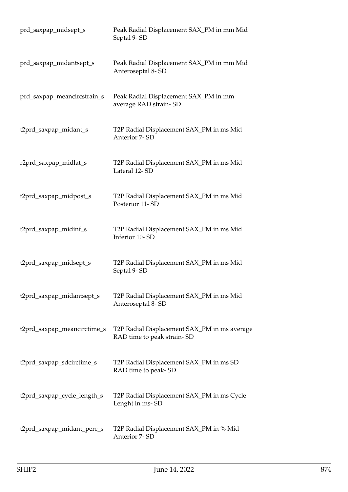| prd_saxpap_midsept_s        | Peak Radial Displacement SAX_PM in mm Mid<br>Septal 9-SD                   |
|-----------------------------|----------------------------------------------------------------------------|
| prd_saxpap_midantsept_s     | Peak Radial Displacement SAX_PM in mm Mid<br>Anteroseptal 8-SD             |
| prd_saxpap_meancircstrain_s | Peak Radial Displacement SAX_PM in mm<br>average RAD strain-SD             |
| t2prd_saxpap_midant_s       | T2P Radial Displacement SAX_PM in ms Mid<br>Anterior 7-SD                  |
| r2prd_saxpap_midlat_s       | T2P Radial Displacement SAX_PM in ms Mid<br>Lateral 12-SD                  |
| t2prd_saxpap_midpost_s      | T2P Radial Displacement SAX_PM in ms Mid<br>Posterior 11-SD                |
| t2prd_saxpap_midinf_s       | T2P Radial Displacement SAX_PM in ms Mid<br>Inferior 10-SD                 |
| t2prd_saxpap_midsept_s      | T2P Radial Displacement SAX_PM in ms Mid<br>Septal 9-SD                    |
| t2prd_saxpap_midantsept_s   | T2P Radial Displacement SAX_PM in ms Mid<br>Anteroseptal 8-SD              |
| t2prd_saxpap_meancirctime_s | T2P Radial Displacement SAX_PM in ms average<br>RAD time to peak strain-SD |
| t2prd_saxpap_sdcirctime_s   | T2P Radial Displacement SAX_PM in ms SD<br>RAD time to peak-SD             |
| t2prd_saxpap_cycle_length_s | T2P Radial Displacement SAX_PM in ms Cycle<br>Lenght in ms-SD              |
| t2prd_saxpap_midant_perc_s  | T2P Radial Displacement SAX_PM in % Mid<br>Anterior 7-SD                   |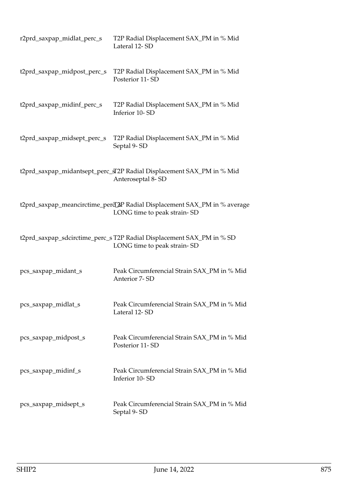| r2prd_saxpap_midlat_perc_s  | T2P Radial Displacement SAX_PM in % Mid<br>Lateral 12-SD                                                 |
|-----------------------------|----------------------------------------------------------------------------------------------------------|
| t2prd_saxpap_midpost_perc_s | T2P Radial Displacement SAX_PM in % Mid<br>Posterior 11-SD                                               |
| t2prd_saxpap_midinf_perc_s  | T2P Radial Displacement SAX_PM in % Mid<br>Inferior 10-SD                                                |
| t2prd_saxpap_midsept_perc_s | T2P Radial Displacement SAX_PM in % Mid<br>Septal 9-SD                                                   |
|                             | t2prd_saxpap_midantsept_perc_sT2P Radial Displacement SAX_PM in % Mid<br>Anteroseptal 8-SD               |
|                             | t2prd_saxpap_meancirctime_perd_&P Radial Displacement SAX_PM in % average<br>LONG time to peak strain-SD |
|                             | t2prd_saxpap_sdcirctime_perc_s T2P Radial Displacement SAX_PM in % SD<br>LONG time to peak strain-SD     |
| pcs_saxpap_midant_s         | Peak Circumferencial Strain SAX_PM in % Mid<br>Anterior 7-SD                                             |
| pcs_saxpap_midlat_s         | Peak Circumferencial Strain SAX_PM in % Mid<br>Lateral 12-SD                                             |
| pcs_saxpap_midpost_s        | Peak Circumferencial Strain SAX_PM in % Mid<br>Posterior 11-SD                                           |
| pcs_saxpap_midinf_s         | Peak Circumferencial Strain SAX_PM in % Mid<br>Inferior 10-SD                                            |
| pcs_saxpap_midsept_s        | Peak Circumferencial Strain SAX_PM in % Mid<br>Septal 9-SD                                               |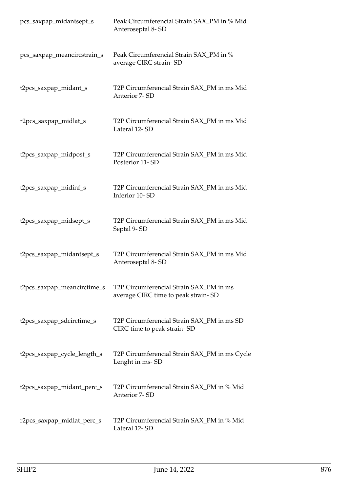| pcs_saxpap_midantsept_s     | Peak Circumferencial Strain SAX_PM in % Mid<br>Anteroseptal 8-SD               |
|-----------------------------|--------------------------------------------------------------------------------|
| pcs_saxpap_meancircstrain_s | Peak Circumferencial Strain SAX_PM in %<br>average CIRC strain-SD              |
| t2pcs_saxpap_midant_s       | T2P Circumferencial Strain SAX_PM in ms Mid<br>Anterior 7-SD                   |
| r2pcs_saxpap_midlat_s       | T2P Circumferencial Strain SAX_PM in ms Mid<br>Lateral 12-SD                   |
| t2pcs_saxpap_midpost_s      | T2P Circumferencial Strain SAX_PM in ms Mid<br>Posterior 11-SD                 |
| t2pcs_saxpap_midinf_s       | T2P Circumferencial Strain SAX_PM in ms Mid<br>Inferior 10-SD                  |
| t2pcs_saxpap_midsept_s      | T2P Circumferencial Strain SAX_PM in ms Mid<br>Septal 9-SD                     |
| t2pcs_saxpap_midantsept_s   | T2P Circumferencial Strain SAX_PM in ms Mid<br>Anteroseptal 8-SD               |
| t2pcs_saxpap_meancirctime_s | T2P Circumferencial Strain SAX_PM in ms<br>average CIRC time to peak strain-SD |
| t2pcs_saxpap_sdcirctime_s   | T2P Circumferencial Strain SAX_PM in ms SD<br>CIRC time to peak strain-SD      |
| t2pcs_saxpap_cycle_length_s | T2P Circumferencial Strain SAX_PM in ms Cycle<br>Lenght in ms-SD               |
| t2pcs_saxpap_midant_perc_s  | T2P Circumferencial Strain SAX_PM in % Mid<br>Anterior 7-SD                    |
| r2pcs_saxpap_midlat_perc_s  | T2P Circumferencial Strain SAX_PM in % Mid<br>Lateral 12-SD                    |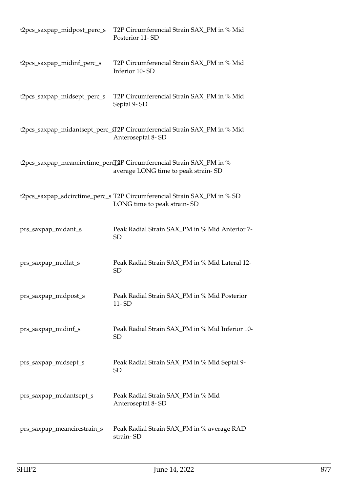| t2pcs_saxpap_midpost_perc_s | T2P Circumferencial Strain SAX_PM in % Mid<br>Posterior 11-SD                                               |
|-----------------------------|-------------------------------------------------------------------------------------------------------------|
| t2pcs_saxpap_midinf_perc_s  | T2P Circumferencial Strain SAX_PM in % Mid<br>Inferior 10-SD                                                |
| t2pcs_saxpap_midsept_perc_s | T2P Circumferencial Strain SAX_PM in % Mid<br>Septal 9-SD                                                   |
|                             | t2pcs_saxpap_midantsept_perc_sT2P Circumferencial Strain SAX_PM in % Mid<br>Anteroseptal 8-SD               |
|                             | t2pcs_saxpap_meancirctime_percL&P Circumferencial Strain SAX_PM in %<br>average LONG time to peak strain-SD |
|                             | t2pcs_saxpap_sdcirctime_perc_s T2P Circumferencial Strain SAX_PM in % SD<br>LONG time to peak strain-SD     |
| prs_saxpap_midant_s         | Peak Radial Strain SAX_PM in % Mid Anterior 7-<br>SD                                                        |
| prs_saxpap_midlat_s         | Peak Radial Strain SAX_PM in % Mid Lateral 12-<br><b>SD</b>                                                 |
| prs_saxpap_midpost_s        | Peak Radial Strain SAX_PM in % Mid Posterior<br>11-SD                                                       |
| prs_saxpap_midinf_s         | Peak Radial Strain SAX_PM in % Mid Inferior 10-<br><b>SD</b>                                                |
| prs_saxpap_midsept_s        | Peak Radial Strain SAX_PM in % Mid Septal 9-<br><b>SD</b>                                                   |
| prs_saxpap_midantsept_s     | Peak Radial Strain SAX_PM in % Mid<br>Anteroseptal 8-SD                                                     |
| prs_saxpap_meancircstrain_s | Peak Radial Strain SAX_PM in % average RAD<br>strain-SD                                                     |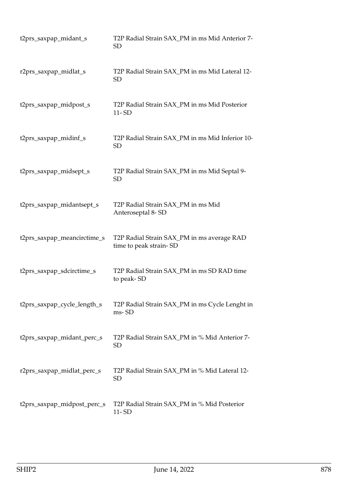| t2prs_saxpap_midant_s       | T2P Radial Strain SAX_PM in ms Mid Anterior 7-<br>SD                 |
|-----------------------------|----------------------------------------------------------------------|
| r2prs_saxpap_midlat_s       | T2P Radial Strain SAX_PM in ms Mid Lateral 12-<br><b>SD</b>          |
| t2prs_saxpap_midpost_s      | T2P Radial Strain SAX_PM in ms Mid Posterior<br>$11 - SD$            |
| t2prs_saxpap_midinf_s       | T2P Radial Strain SAX_PM in ms Mid Inferior 10-<br><b>SD</b>         |
| t2prs_saxpap_midsept_s      | T2P Radial Strain SAX_PM in ms Mid Septal 9-<br><b>SD</b>            |
| t2prs_saxpap_midantsept_s   | T2P Radial Strain SAX_PM in ms Mid<br>Anteroseptal 8-SD              |
| t2prs_saxpap_meancirctime_s | T2P Radial Strain SAX_PM in ms average RAD<br>time to peak strain-SD |
| t2prs_saxpap_sdcirctime_s   | T2P Radial Strain SAX_PM in ms SD RAD time<br>to peak-SD             |
| t2prs_saxpap_cycle_length_s | T2P Radial Strain SAX_PM in ms Cycle Lenght in<br>ms-SD              |
| t2prs_saxpap_midant_perc_s  | T2P Radial Strain SAX_PM in % Mid Anterior 7-<br><b>SD</b>           |
| r2prs_saxpap_midlat_perc_s  | T2P Radial Strain SAX_PM in % Mid Lateral 12-<br>SD                  |
| t2prs_saxpap_midpost_perc_s | T2P Radial Strain SAX_PM in % Mid Posterior<br>$11 - SD$             |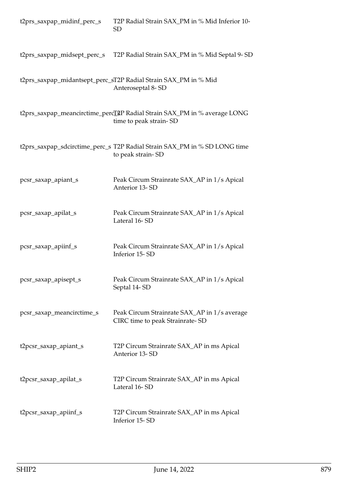| t2prs_saxpap_midinf_perc_s | T2P Radial Strain SAX_PM in % Mid Inferior 10-<br><b>SD</b>                                                     |
|----------------------------|-----------------------------------------------------------------------------------------------------------------|
|                            | t2prs_saxpap_midsept_perc_s T2P Radial Strain SAX_PM in % Mid Septal 9- SD                                      |
|                            | t2prs_saxpap_midantsept_perc_sT2P Radial Strain SAX_PM in % Mid<br>Anteroseptal 8-SD                            |
|                            | t2prs_saxpap_meancirctime_perc <sup>T</sup> &P Radial Strain SAX_PM in % average LONG<br>time to peak strain-SD |
|                            | t2prs_saxpap_sdcirctime_perc_s T2P Radial Strain SAX_PM in % SD LONG time<br>to peak strain-SD                  |
| pcsr_saxap_apiant_s        | Peak Circum Strainrate SAX_AP in 1/s Apical<br>Anterior 13-SD                                                   |
| pcsr_saxap_apilat_s        | Peak Circum Strainrate SAX_AP in 1/s Apical<br>Lateral 16-SD                                                    |
| pcsr_saxap_apiinf_s        | Peak Circum Strainrate SAX_AP in 1/s Apical<br>Inferior 15-SD                                                   |
| pcsr_saxap_apisept_s       | Peak Circum Strainrate SAX_AP in 1/s Apical<br>Septal 14-SD                                                     |
| pcsr_saxap_meancirctime_s  | Peak Circum Strainrate SAX_AP in 1/s average<br>CIRC time to peak Strainrate-SD                                 |
| t2pcsr_saxap_apiant_s      | T2P Circum Strainrate SAX_AP in ms Apical<br>Anterior 13-SD                                                     |
| t2pcsr_saxap_apilat_s      | T2P Circum Strainrate SAX_AP in ms Apical<br>Lateral 16-SD                                                      |
| t2pcsr_saxap_apiinf_s      | T2P Circum Strainrate SAX_AP in ms Apical<br>Inferior 15-SD                                                     |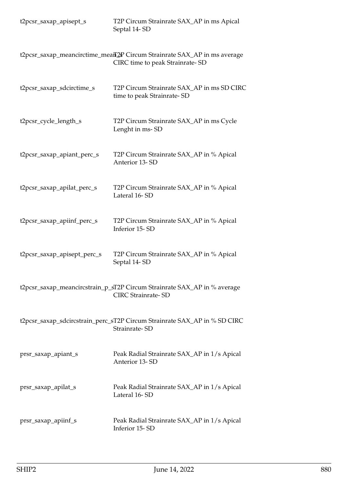| t2pcsr_saxap_apisept_s      | T2P Circum Strainrate SAX_AP in ms Apical<br>Septal 14-SD                                                   |
|-----------------------------|-------------------------------------------------------------------------------------------------------------|
|                             | t2pcsr_saxap_meancirctime_meaff2P Circum Strainrate SAX_AP in ms average<br>CIRC time to peak Strainrate-SD |
| t2pcsr_saxap_sdcirctime_s   | T2P Circum Strainrate SAX_AP in ms SD CIRC<br>time to peak Strainrate-SD                                    |
| t2pcsr_cycle_length_s       | T2P Circum Strainrate SAX_AP in ms Cycle<br>Lenght in ms-SD                                                 |
| t2pcsr_saxap_apiant_perc_s  | T2P Circum Strainrate SAX_AP in % Apical<br>Anterior 13-SD                                                  |
| t2pcsr_saxap_apilat_perc_s  | T2P Circum Strainrate SAX_AP in % Apical<br>Lateral 16-SD                                                   |
| t2pcsr_saxap_apiinf_perc_s  | T2P Circum Strainrate SAX_AP in % Apical<br>Inferior 15-SD                                                  |
| t2pcsr_saxap_apisept_perc_s | T2P Circum Strainrate SAX_AP in % Apical<br>Septal 14-SD                                                    |
|                             | t2pcsr_saxap_meancircstrain_p_sT2P Circum Strainrate SAX_AP in % average<br><b>CIRC Strainrate-SD</b>       |
|                             | t2pcsr_saxap_sdcircstrain_perc_sT2P Circum Strainrate SAX_AP in % SD CIRC<br>Strainrate-SD                  |
| prsr_saxap_apiant_s         | Peak Radial Strainrate SAX_AP in 1/s Apical<br>Anterior 13-SD                                               |
| prsr_saxap_apilat_s         | Peak Radial Strainrate SAX_AP in 1/s Apical<br>Lateral 16-SD                                                |
| prsr_saxap_apiinf_s         | Peak Radial Strainrate SAX_AP in 1/s Apical<br>Inferior 15-SD                                               |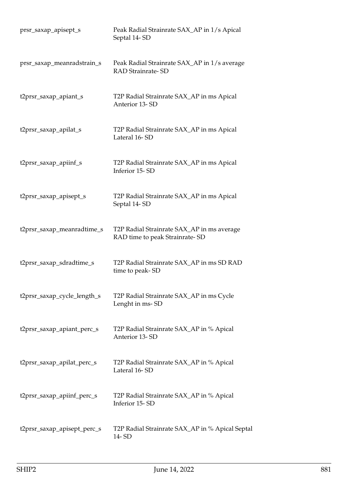| prsr_saxap_apisept_s        | Peak Radial Strainrate SAX_AP in 1/s Apical<br>Septal 14-SD                  |
|-----------------------------|------------------------------------------------------------------------------|
| prsr_saxap_meanradstrain_s  | Peak Radial Strainrate SAX_AP in 1/s average<br><b>RAD Strainrate-SD</b>     |
| t2prsr_saxap_apiant_s       | T2P Radial Strainrate SAX_AP in ms Apical<br>Anterior 13-SD                  |
| t2prsr_saxap_apilat_s       | T2P Radial Strainrate SAX_AP in ms Apical<br>Lateral 16-SD                   |
| t2prsr_saxap_apiinf_s       | T2P Radial Strainrate SAX_AP in ms Apical<br>Inferior 15-SD                  |
| t2prsr_saxap_apisept_s      | T2P Radial Strainrate SAX_AP in ms Apical<br>Septal 14-SD                    |
| t2prsr_saxap_meanradtime_s  | T2P Radial Strainrate SAX_AP in ms average<br>RAD time to peak Strainrate-SD |
| t2prsr_saxap_sdradtime_s    | T2P Radial Strainrate SAX_AP in ms SD RAD<br>time to peak-SD                 |
| t2prsr_saxap_cycle_length_s | T2P Radial Strainrate SAX_AP in ms Cycle<br>Lenght in ms-SD                  |
| t2prsr_saxap_apiant_perc_s  | T2P Radial Strainrate SAX_AP in % Apical<br>Anterior 13-SD                   |
| t2prsr_saxap_apilat_perc_s  | T2P Radial Strainrate SAX_AP in % Apical<br>Lateral 16-SD                    |
| t2prsr_saxap_apiinf_perc_s  | T2P Radial Strainrate SAX_AP in % Apical<br>Inferior 15-SD                   |
| t2prsr_saxap_apisept_perc_s | T2P Radial Strainrate SAX_AP in % Apical Septal<br>14-SD                     |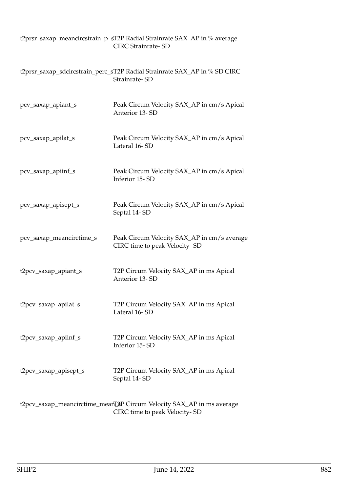|                          | t2prsr_saxap_meancircstrain_p_sT2P Radial Strainrate SAX_AP in % average<br><b>CIRC Strainrate-SD</b>  |
|--------------------------|--------------------------------------------------------------------------------------------------------|
|                          | t2prsr_saxap_sdcircstrain_perc_sT2P Radial Strainrate SAX_AP in % SD CIRC<br>Strainrate-SD             |
| pcv_saxap_apiant_s       | Peak Circum Velocity SAX_AP in cm/s Apical<br>Anterior 13-SD                                           |
| pcv_saxap_apilat_s       | Peak Circum Velocity SAX_AP in cm/s Apical<br>Lateral 16-SD                                            |
| pcv_saxap_apiinf_s       | Peak Circum Velocity SAX_AP in cm/s Apical<br>Inferior 15-SD                                           |
| pcv_saxap_apisept_s      | Peak Circum Velocity SAX_AP in cm/s Apical<br>Septal 14-SD                                             |
| pcv_saxap_meancirctime_s | Peak Circum Velocity SAX_AP in cm/s average<br>CIRC time to peak Velocity-SD                           |
| t2pcv_saxap_apiant_s     | T2P Circum Velocity SAX_AP in ms Apical<br>Anterior 13-SD                                              |
| t2pcv_saxap_apilat_s     | T2P Circum Velocity SAX_AP in ms Apical<br>Lateral 16-SD                                               |
| t2pcv_saxap_apiinf_s     | T2P Circum Velocity SAX_AP in ms Apical<br>Inferior 15-SD                                              |
| t2pcv_saxap_apisept_s    | T2P Circum Velocity SAX_AP in ms Apical<br>Septal 14-SD                                                |
|                          | t2pcv_saxap_meancirctime_meanL2P Circum Velocity SAX_AP in ms average<br>CIRC time to peak Velocity-SD |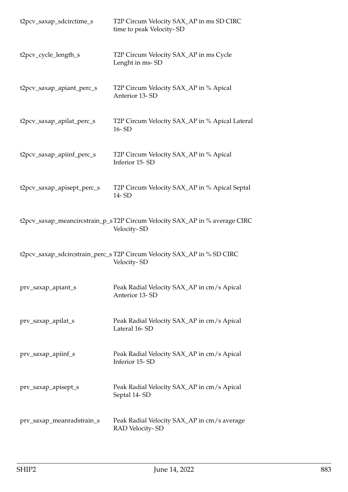| t2pcv_saxap_sdcirctime_s   | T2P Circum Velocity SAX_AP in ms SD CIRC<br>time to peak Velocity-SD                      |
|----------------------------|-------------------------------------------------------------------------------------------|
| t2pcv_cycle_length_s       | T2P Circum Velocity SAX_AP in ms Cycle<br>Lenght in ms-SD                                 |
| t2pcv_saxap_apiant_perc_s  | T2P Circum Velocity SAX_AP in % Apical<br>Anterior 13-SD                                  |
| t2pcv_saxap_apilat_perc_s  | T2P Circum Velocity SAX_AP in % Apical Lateral<br>16-SD                                   |
| t2pcv_saxap_apiinf_perc_s  | T2P Circum Velocity SAX_AP in % Apical<br>Inferior 15-SD                                  |
| t2pcv_saxap_apisept_perc_s | T2P Circum Velocity SAX_AP in % Apical Septal<br>14-SD                                    |
|                            | t2pcv_saxap_meancircstrain_p_sT2P Circum Velocity SAX_AP in % average CIRC<br>Velocity-SD |
|                            | t2pcv_saxap_sdcircstrain_perc_s T2P Circum Velocity SAX_AP in % SD CIRC<br>Velocity-SD    |
| prv_saxap_apiant_s         | Peak Radial Velocity SAX_AP in cm/s Apical<br>Anterior 13-SD                              |
| prv_saxap_apilat_s         | Peak Radial Velocity SAX_AP in cm/s Apical<br>Lateral 16-SD                               |
| prv_saxap_apiinf_s         | Peak Radial Velocity SAX_AP in cm/s Apical<br>Inferior 15-SD                              |
| prv_saxap_apisept_s        | Peak Radial Velocity SAX_AP in cm/s Apical<br>Septal 14-SD                                |
| prv_saxap_meanradstrain_s  | Peak Radial Velocity SAX_AP in cm/s average<br>RAD Velocity-SD                            |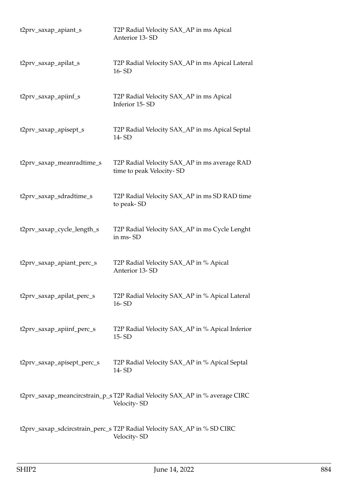| t2prv_saxap_apiant_s       | T2P Radial Velocity SAX_AP in ms Apical<br>Anterior 13-SD                                  |
|----------------------------|--------------------------------------------------------------------------------------------|
| t2prv_saxap_apilat_s       | T2P Radial Velocity SAX_AP in ms Apical Lateral<br>16-SD                                   |
| t2prv_saxap_apiinf_s       | T2P Radial Velocity SAX_AP in ms Apical<br>Inferior 15-SD                                  |
| t2prv_saxap_apisept_s      | T2P Radial Velocity SAX_AP in ms Apical Septal<br>14-SD                                    |
| t2prv_saxap_meanradtime_s  | T2P Radial Velocity SAX_AP in ms average RAD<br>time to peak Velocity-SD                   |
| t2prv_saxap_sdradtime_s    | T2P Radial Velocity SAX_AP in ms SD RAD time<br>to peak-SD                                 |
| t2prv_saxap_cycle_length_s | T2P Radial Velocity SAX_AP in ms Cycle Lenght<br>in ms-SD                                  |
| t2prv_saxap_apiant_perc_s  | T2P Radial Velocity SAX_AP in % Apical<br>Anterior 13-SD                                   |
| t2prv_saxap_apilat_perc_s  | T2P Radial Velocity SAX_AP in % Apical Lateral<br>$16 - SD$                                |
| t2prv_saxap_apiinf_perc_s  | T2P Radial Velocity SAX_AP in % Apical Inferior<br>15-SD                                   |
| t2prv_saxap_apisept_perc_s | T2P Radial Velocity SAX_AP in % Apical Septal<br>14-SD                                     |
|                            | t2prv_saxap_meancircstrain_p_s T2P Radial Velocity SAX_AP in % average CIRC<br>Velocity-SD |
|                            | t2prv_saxap_sdcircstrain_perc_s T2P Radial Velocity SAX_AP in % SD CIRC<br>Velocity-SD     |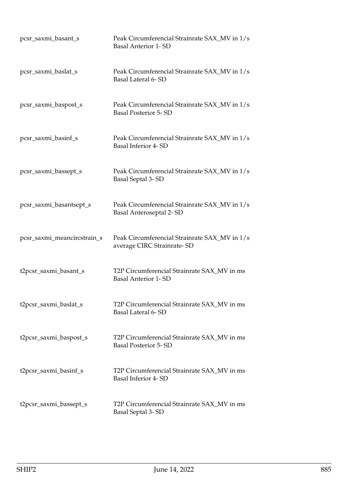| pcsr_saxmi_basant_s         | Peak Circumferencial Strainrate SAX_MV in 1/s<br><b>Basal Anterior 1-SD</b>  |
|-----------------------------|------------------------------------------------------------------------------|
| pcsr_saxmi_baslat_s         | Peak Circumferencial Strainrate SAX_MV in 1/s<br>Basal Lateral 6-SD          |
| pcsr_saxmi_baspost_s        | Peak Circumferencial Strainrate SAX_MV in 1/s<br><b>Basal Posterior 5-SD</b> |
| pcsr_saxmi_basinf_s         | Peak Circumferencial Strainrate SAX_MV in 1/s<br><b>Basal Inferior 4-SD</b>  |
| pcsr_saxmi_bassept_s        | Peak Circumferencial Strainrate SAX_MV in 1/s<br>Basal Septal 3-SD           |
| pcsr_saxmi_basantsept_s     | Peak Circumferencial Strainrate SAX_MV in 1/s<br>Basal Anteroseptal 2-SD     |
| pcsr_saxmi_meancircstrain_s | Peak Circumferencial Strainrate SAX_MV in 1/s<br>average CIRC Strainrate-SD  |
| t2pcsr_saxmi_basant_s       | T2P Circumferencial Strainrate SAX_MV in ms<br><b>Basal Anterior 1- SD</b>   |
| t2pcsr_saxmi_baslat_s       | T2P Circumferencial Strainrate SAX_MV in ms<br>Basal Lateral 6-SD            |
| t2pcsr_saxmi_baspost_s      | T2P Circumferencial Strainrate SAX_MV in ms<br><b>Basal Posterior 5-SD</b>   |
| t2pcsr_saxmi_basinf_s       | T2P Circumferencial Strainrate SAX_MV in ms<br>Basal Inferior 4-SD           |
| t2pcsr_saxmi_bassept_s      | T2P Circumferencial Strainrate SAX_MV in ms<br><b>Basal Septal 3-SD</b>      |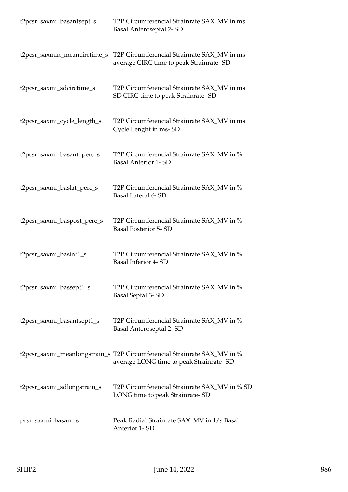| t2pcsr_saxmi_basantsept_s    | T2P Circumferencial Strainrate SAX_MV in ms<br>Basal Anteroseptal 2-SD                                              |
|------------------------------|---------------------------------------------------------------------------------------------------------------------|
| t2pcsr_saxmin_meancirctime_s | T2P Circumferencial Strainrate SAX_MV in ms<br>average CIRC time to peak Strainrate-SD                              |
| t2pcsr_saxmi_sdcirctime_s    | T2P Circumferencial Strainrate SAX_MV in ms<br>SD CIRC time to peak Strainrate-SD                                   |
| t2pcsr_saxmi_cycle_length_s  | T2P Circumferencial Strainrate SAX_MV in ms<br>Cycle Lenght in ms-SD                                                |
| t2pcsr_saxmi_basant_perc_s   | T2P Circumferencial Strainrate SAX_MV in %<br><b>Basal Anterior 1-SD</b>                                            |
| t2pcsr_saxmi_baslat_perc_s   | T2P Circumferencial Strainrate SAX_MV in %<br>Basal Lateral 6-SD                                                    |
| t2pcsr_saxmi_baspost_perc_s  | T2P Circumferencial Strainrate SAX_MV in %<br><b>Basal Posterior 5-SD</b>                                           |
| t2pcsr_saxmi_basinf1_s       | T2P Circumferencial Strainrate SAX_MV in %<br><b>Basal Inferior 4-SD</b>                                            |
| t2pcsr_saxmi_bassept1_s      | T2P Circumferencial Strainrate SAX_MV in %<br>Basal Septal 3-SD                                                     |
| t2pcsr_saxmi_basantsept1_s   | T2P Circumferencial Strainrate SAX_MV in %<br>Basal Anteroseptal 2-SD                                               |
|                              | t2pcsr_saxmi_meanlongstrain_s T2P Circumferencial Strainrate SAX_MV in %<br>average LONG time to peak Strainrate-SD |
| t2pcsr_saxmi_sdlongstrain_s  | T2P Circumferencial Strainrate SAX_MV in % SD<br>LONG time to peak Strainrate-SD                                    |
| prsr_saxmi_basant_s          | Peak Radial Strainrate SAX_MV in 1/s Basal<br>Anterior 1-SD                                                         |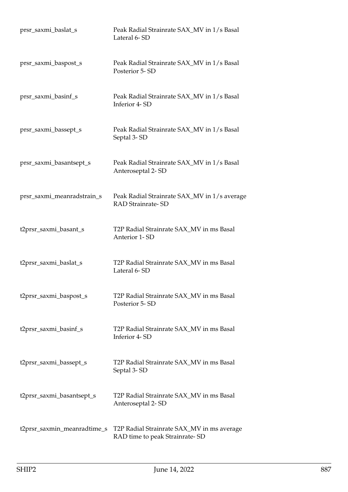| prsr_saxmi_baslat_s         | Peak Radial Strainrate SAX_MV in 1/s Basal<br>Lateral 6-SD                   |
|-----------------------------|------------------------------------------------------------------------------|
| prsr_saxmi_baspost_s        | Peak Radial Strainrate SAX_MV in 1/s Basal<br>Posterior 5-SD                 |
| prsr_saxmi_basinf_s         | Peak Radial Strainrate SAX_MV in 1/s Basal<br>Inferior 4-SD                  |
| prsr_saxmi_bassept_s        | Peak Radial Strainrate SAX_MV in 1/s Basal<br>Septal 3-SD                    |
| prsr_saxmi_basantsept_s     | Peak Radial Strainrate SAX_MV in 1/s Basal<br>Anteroseptal 2-SD              |
| prsr_saxmi_meanradstrain_s  | Peak Radial Strainrate SAX_MV in 1/s average<br><b>RAD Strainrate-SD</b>     |
| t2prsr_saxmi_basant_s       | T2P Radial Strainrate SAX_MV in ms Basal<br><b>Anterior 1-SD</b>             |
| t2prsr_saxmi_baslat_s       | T2P Radial Strainrate SAX_MV in ms Basal<br>Lateral 6-SD                     |
| t2prsr_saxmi_baspost_s      | T2P Radial Strainrate SAX_MV in ms Basal<br>Posterior 5-SD                   |
| t2prsr_saxmi_basinf_s       | T2P Radial Strainrate SAX_MV in ms Basal<br>Inferior 4-SD                    |
| t2prsr_saxmi_bassept_s      | T2P Radial Strainrate SAX_MV in ms Basal<br>Septal 3-SD                      |
| t2prsr_saxmi_basantsept_s   | T2P Radial Strainrate SAX_MV in ms Basal<br>Anteroseptal 2-SD                |
| t2prsr_saxmin_meanradtime_s | T2P Radial Strainrate SAX_MV in ms average<br>RAD time to peak Strainrate-SD |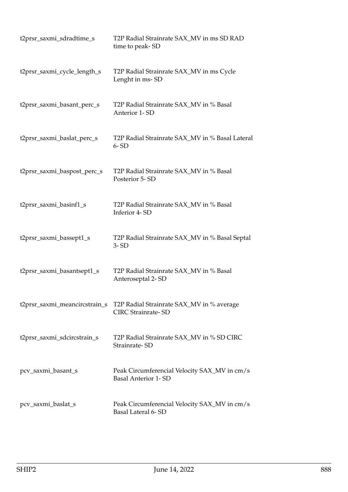| t2prsr_saxmi_sdradtime_s      | T2P Radial Strainrate SAX_MV in ms SD RAD<br>time to peak-SD               |
|-------------------------------|----------------------------------------------------------------------------|
| t2prsr_saxmi_cycle_length_s   | T2P Radial Strainrate SAX_MV in ms Cycle<br>Lenght in ms-SD                |
| t2prsr_saxmi_basant_perc_s    | T2P Radial Strainrate SAX_MV in % Basal<br>Anterior 1-SD                   |
| t2prsr_saxmi_baslat_perc_s    | T2P Radial Strainrate SAX_MV in % Basal Lateral<br>$6 - SD$                |
| t2prsr_saxmi_baspost_perc_s   | T2P Radial Strainrate SAX_MV in % Basal<br>Posterior 5-SD                  |
| t2prsr_saxmi_basinf1_s        | T2P Radial Strainrate SAX_MV in % Basal<br>Inferior 4-SD                   |
| t2prsr_saxmi_bassept1_s       | T2P Radial Strainrate SAX_MV in % Basal Septal<br>$3 - SD$                 |
| t2prsr_saxmi_basantsept1_s    | T2P Radial Strainrate SAX_MV in % Basal<br>Anteroseptal 2-SD               |
| t2prsr_saxmi_meancircstrain_s | T2P Radial Strainrate SAX_MV in % average<br><b>CIRC Strainrate-SD</b>     |
| t2prsr_saxmi_sdcircstrain_s   | T2P Radial Strainrate SAX_MV in % SD CIRC<br>Strainrate-SD                 |
| pcv_saxmi_basant_s            | Peak Circumferencial Velocity SAX_MV in cm/s<br><b>Basal Anterior 1-SD</b> |
| pcv_saxmi_baslat_s            | Peak Circumferencial Velocity SAX_MV in cm/s<br>Basal Lateral 6-SD         |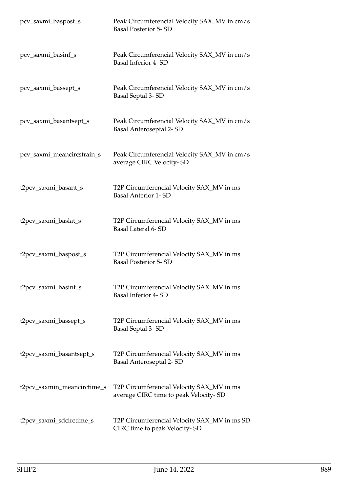| pcv_saxmi_baspost_s         | Peak Circumferencial Velocity SAX_MV in cm/s<br><b>Basal Posterior 5-SD</b>        |
|-----------------------------|------------------------------------------------------------------------------------|
| pcv_saxmi_basinf_s          | Peak Circumferencial Velocity SAX_MV in cm/s<br>Basal Inferior 4-SD                |
| pcv_saxmi_bassept_s         | Peak Circumferencial Velocity SAX_MV in cm/s<br>Basal Septal 3-SD                  |
| pcv_saxmi_basantsept_s      | Peak Circumferencial Velocity SAX_MV in cm/s<br>Basal Anteroseptal 2-SD            |
| pcv_saxmi_meancircstrain_s  | Peak Circumferencial Velocity SAX_MV in cm/s<br>average CIRC Velocity-SD           |
| t2pcv_saxmi_basant_s        | T2P Circumferencial Velocity SAX_MV in ms<br><b>Basal Anterior 1-SD</b>            |
| t2pcv_saxmi_baslat_s        | T2P Circumferencial Velocity SAX_MV in ms<br>Basal Lateral 6-SD                    |
| t2pcv_saxmi_baspost_s       | T2P Circumferencial Velocity SAX_MV in ms<br><b>Basal Posterior 5-SD</b>           |
| t2pcv_saxmi_basinf_s        | T2P Circumferencial Velocity SAX_MV in ms<br><b>Basal Inferior 4-SD</b>            |
| t2pcv_saxmi_bassept_s       | T2P Circumferencial Velocity SAX_MV in ms<br>Basal Septal 3-SD                     |
| t2pcv_saxmi_basantsept_s    | T2P Circumferencial Velocity SAX_MV in ms<br><b>Basal Anteroseptal 2-SD</b>        |
| t2pcv_saxmin_meancirctime_s | T2P Circumferencial Velocity SAX_MV in ms<br>average CIRC time to peak Velocity-SD |
| t2pcv_saxmi_sdcirctime_s    | T2P Circumferencial Velocity SAX_MV in ms SD<br>CIRC time to peak Velocity-SD      |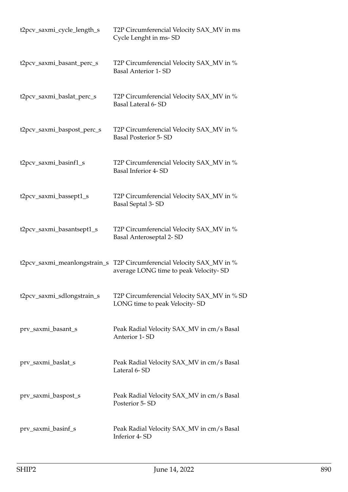| t2pcv_saxmi_cycle_length_s | T2P Circumferencial Velocity SAX_MV in ms<br>Cycle Lenght in ms-SD                                             |
|----------------------------|----------------------------------------------------------------------------------------------------------------|
| t2pcv_saxmi_basant_perc_s  | T2P Circumferencial Velocity SAX_MV in %<br><b>Basal Anterior 1- SD</b>                                        |
| t2pcv_saxmi_baslat_perc_s  | T2P Circumferencial Velocity SAX_MV in %<br>Basal Lateral 6-SD                                                 |
| t2pcv_saxmi_baspost_perc_s | T2P Circumferencial Velocity SAX_MV in %<br><b>Basal Posterior 5-SD</b>                                        |
| t2pcv_saxmi_basinf1_s      | T2P Circumferencial Velocity SAX_MV in %<br><b>Basal Inferior 4-SD</b>                                         |
| t2pcv_saxmi_bassept1_s     | T2P Circumferencial Velocity SAX_MV in %<br>Basal Septal 3-SD                                                  |
| t2pcv_saxmi_basantsept1_s  | T2P Circumferencial Velocity SAX_MV in %<br>Basal Anteroseptal 2-SD                                            |
|                            | t2pcv_saxmi_meanlongstrain_s T2P Circumferencial Velocity SAX_MV in %<br>average LONG time to peak Velocity-SD |
| t2pcv_saxmi_sdlongstrain_s | T2P Circumferencial Velocity SAX_MV in % SD<br>LONG time to peak Velocity-SD                                   |
| prv_saxmi_basant_s         | Peak Radial Velocity SAX_MV in cm/s Basal<br>Anterior 1-SD                                                     |
| prv_saxmi_baslat_s         | Peak Radial Velocity SAX_MV in cm/s Basal<br>Lateral 6-SD                                                      |
| prv_saxmi_baspost_s        | Peak Radial Velocity SAX_MV in cm/s Basal<br>Posterior 5-SD                                                    |
| prv_saxmi_basinf_s         | Peak Radial Velocity SAX_MV in cm/s Basal<br>Inferior 4-SD                                                     |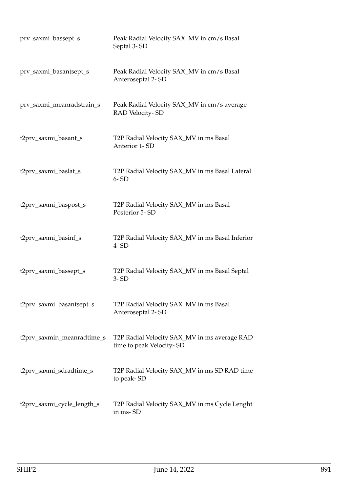| prv_saxmi_bassept_s        | Peak Radial Velocity SAX_MV in cm/s Basal<br>Septal 3-SD                 |
|----------------------------|--------------------------------------------------------------------------|
| prv_saxmi_basantsept_s     | Peak Radial Velocity SAX_MV in cm/s Basal<br>Anteroseptal 2-SD           |
| prv_saxmi_meanradstrain_s  | Peak Radial Velocity SAX_MV in cm/s average<br>RAD Velocity-SD           |
| t2prv_saxmi_basant_s       | T2P Radial Velocity SAX_MV in ms Basal<br>Anterior 1-SD                  |
| t2prv_saxmi_baslat_s       | T2P Radial Velocity SAX_MV in ms Basal Lateral<br>$6 - SD$               |
| t2prv_saxmi_baspost_s      | T2P Radial Velocity SAX_MV in ms Basal<br>Posterior 5-SD                 |
| t2prv_saxmi_basinf_s       | T2P Radial Velocity SAX_MV in ms Basal Inferior<br>$4 - SD$              |
| t2prv_saxmi_bassept_s      | T2P Radial Velocity SAX_MV in ms Basal Septal<br>$3 - SD$                |
| t2prv_saxmi_basantsept_s   | T2P Radial Velocity SAX_MV in ms Basal<br>Anteroseptal 2-SD              |
| t2prv_saxmin_meanradtime_s | T2P Radial Velocity SAX_MV in ms average RAD<br>time to peak Velocity-SD |
| t2prv_saxmi_sdradtime_s    | T2P Radial Velocity SAX_MV in ms SD RAD time<br>to peak-SD               |
| t2prv_saxmi_cycle_length_s | T2P Radial Velocity SAX_MV in ms Cycle Lenght<br>in ms-SD                |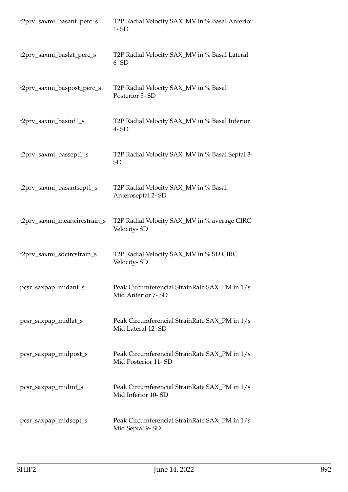| t2prv_saxmi_basant_perc_s    | T2P Radial Velocity SAX_MV in % Basal Anterior<br>$1 - SD$           |
|------------------------------|----------------------------------------------------------------------|
| t2prv_saxmi_baslat_perc_s    | T2P Radial Velocity SAX_MV in % Basal Lateral<br>$6 - SD$            |
| t2prv_saxmi_baspost_perc_s   | T2P Radial Velocity SAX_MV in % Basal<br>Posterior 5-SD              |
| t2prv_saxmi_basinf1_s        | T2P Radial Velocity SAX_MV in % Basal Inferior<br>$4 - SD$           |
| t2prv_saxmi_bassept1_s       | T2P Radial Velocity SAX_MV in % Basal Septal 3-<br><b>SD</b>         |
| t2prv_saxmi_basantsept1_s    | T2P Radial Velocity SAX_MV in % Basal<br>Anteroseptal 2-SD           |
| t2prv_saxmi_meancircstrain_s | T2P Radial Velocity SAX_MV in % average CIRC<br>Velocity-SD          |
| t2prv_saxmi_sdcircstrain_s   | T2P Radial Velocity SAX_MV in % SD CIRC<br>Velocity-SD               |
| pcsr_saxpap_midant_s         | Peak Circumferencial StrainRate SAX_PM in 1/s<br>Mid Anterior 7- SD  |
| pcsr_saxpap_midlat_s         | Peak Circumferencial StrainRate SAX_PM in 1/s<br>Mid Lateral 12-SD   |
| pcsr_saxpap_midpost_s        | Peak Circumferencial StrainRate SAX_PM in 1/s<br>Mid Posterior 11-SD |
| pcsr_saxpap_midinf_s         | Peak Circumferencial StrainRate SAX_PM in 1/s<br>Mid Inferior 10-SD  |
| pcsr_saxpap_midsept_s        | Peak Circumferencial StrainRate SAX_PM in 1/s<br>Mid Septal 9-SD     |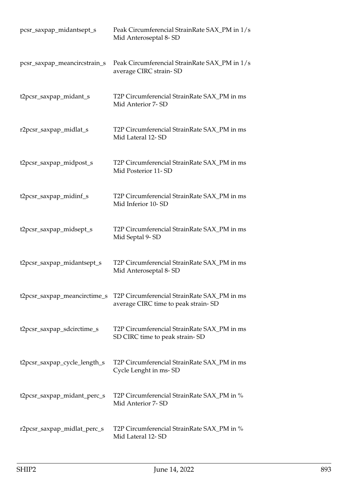| pcsr_saxpap_midantsept_s     | Peak Circumferencial StrainRate SAX_PM in 1/s<br>Mid Anteroseptal 8-SD             |
|------------------------------|------------------------------------------------------------------------------------|
| pcsr_saxpap_meancircstrain_s | Peak Circumferencial StrainRate SAX_PM in 1/s<br>average CIRC strain-SD            |
| t2pcsr_saxpap_midant_s       | T2P Circumferencial StrainRate SAX_PM in ms<br>Mid Anterior 7- SD                  |
| r2pcsr_saxpap_midlat_s       | T2P Circumferencial StrainRate SAX_PM in ms<br>Mid Lateral 12-SD                   |
| t2pcsr_saxpap_midpost_s      | T2P Circumferencial StrainRate SAX_PM in ms<br>Mid Posterior 11-SD                 |
| t2pcsr_saxpap_midinf_s       | T2P Circumferencial StrainRate SAX_PM in ms<br>Mid Inferior 10-SD                  |
| t2pcsr_saxpap_midsept_s      | T2P Circumferencial StrainRate SAX_PM in ms<br>Mid Septal 9-SD                     |
| t2pcsr_saxpap_midantsept_s   | T2P Circumferencial StrainRate SAX_PM in ms<br>Mid Anteroseptal 8-SD               |
| t2pcsr_saxpap_meancirctime_s | T2P Circumferencial StrainRate SAX_PM in ms<br>average CIRC time to peak strain-SD |
| t2pcsr_saxpap_sdcirctime_s   | T2P Circumferencial StrainRate SAX_PM in ms<br>SD CIRC time to peak strain-SD      |
| t2pcsr_saxpap_cycle_length_s | T2P Circumferencial StrainRate SAX_PM in ms<br>Cycle Lenght in ms-SD               |
| t2pcsr_saxpap_midant_perc_s  | T2P Circumferencial StrainRate SAX_PM in %<br>Mid Anterior 7-SD                    |
| r2pcsr_saxpap_midlat_perc_s  | T2P Circumferencial StrainRate SAX_PM in %<br>Mid Lateral 12-SD                    |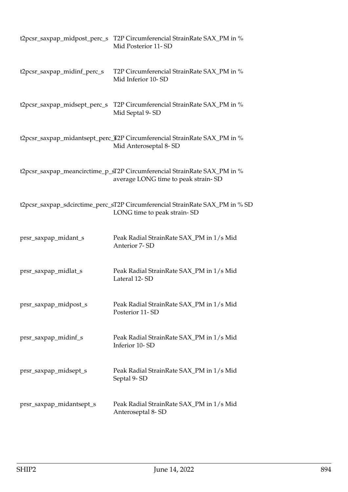|                              | t2pcsr_saxpap_midpost_perc_s T2P Circumferencial StrainRate SAX_PM in %<br>Mid Posterior 11-SD                  |
|------------------------------|-----------------------------------------------------------------------------------------------------------------|
| t2pcsr_saxpap_midinf_perc_s  | T2P Circumferencial StrainRate SAX_PM in %<br>Mid Inferior 10-SD                                                |
| t2pcsr_saxpap_midsept_perc_s | T2P Circumferencial StrainRate SAX_PM in %<br>Mid Septal 9-SD                                                   |
|                              | t2pcsr_saxpap_midantsept_perc_\$2P Circumferencial StrainRate SAX_PM in %<br>Mid Anteroseptal 8-SD              |
|                              | t2pcsr_saxpap_meancirctime_p_sT2P Circumferencial StrainRate SAX_PM in %<br>average LONG time to peak strain-SD |
|                              | t2pcsr_saxpap_sdcirctime_perc_sT2P Circumferencial StrainRate SAX_PM in % SD<br>LONG time to peak strain-SD     |
| prsr_saxpap_midant_s         | Peak Radial StrainRate SAX_PM in 1/s Mid<br>Anterior 7-SD                                                       |
| prsr_saxpap_midlat_s         | Peak Radial StrainRate SAX_PM in 1/s Mid<br>Lateral 12-SD                                                       |
| prsr_saxpap_midpost_s        | Peak Radial StrainRate SAX_PM in 1/s Mid<br>Posterior 11-SD                                                     |
| prsr_saxpap_midinf_s         | Peak Radial StrainRate SAX_PM in 1/s Mid<br>Inferior 10-SD                                                      |
| prsr_saxpap_midsept_s        | Peak Radial StrainRate SAX_PM in 1/s Mid<br>Septal 9-SD                                                         |
| prsr_saxpap_midantsept_s     | Peak Radial StrainRate SAX_PM in 1/s Mid<br>Anteroseptal 8-SD                                                   |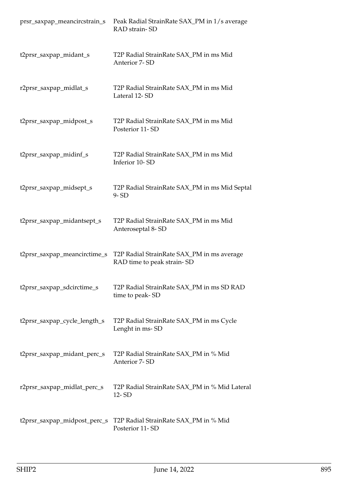| prsr_saxpap_meancircstrain_s | Peak Radial StrainRate SAX_PM in 1/s average<br>RAD strain-SD            |
|------------------------------|--------------------------------------------------------------------------|
| t2prsr_saxpap_midant_s       | T2P Radial StrainRate SAX_PM in ms Mid<br>Anterior 7-SD                  |
| r2prsr_saxpap_midlat_s       | T2P Radial StrainRate SAX_PM in ms Mid<br>Lateral 12-SD                  |
| t2prsr_saxpap_midpost_s      | T2P Radial StrainRate SAX_PM in ms Mid<br>Posterior 11-SD                |
| t2prsr_saxpap_midinf_s       | T2P Radial StrainRate SAX_PM in ms Mid<br>Inferior 10-SD                 |
| t2prsr_saxpap_midsept_s      | T2P Radial StrainRate SAX_PM in ms Mid Septal<br>$9 - SD$                |
| t2prsr_saxpap_midantsept_s   | T2P Radial StrainRate SAX_PM in ms Mid<br>Anteroseptal 8-SD              |
| t2prsr_saxpap_meancirctime_s | T2P Radial StrainRate SAX_PM in ms average<br>RAD time to peak strain-SD |
| t2prsr_saxpap_sdcirctime_s   | T2P Radial StrainRate SAX_PM in ms SD RAD<br>time to peak-SD             |
| t2prsr_saxpap_cycle_length_s | T2P Radial StrainRate SAX_PM in ms Cycle<br>Lenght in ms-SD              |
| t2prsr_saxpap_midant_perc_s  | T2P Radial StrainRate SAX_PM in % Mid<br>Anterior 7-SD                   |
| r2prsr_saxpap_midlat_perc_s  | T2P Radial StrainRate SAX_PM in % Mid Lateral<br>12-SD                   |
| t2prsr_saxpap_midpost_perc_s | T2P Radial StrainRate SAX_PM in % Mid<br>Posterior 11-SD                 |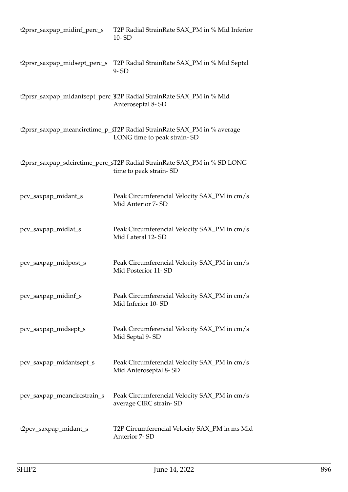| t2prsr_saxpap_midinf_perc_s  | T2P Radial StrainRate SAX_PM in % Mid Inferior<br>10-SD                                                |
|------------------------------|--------------------------------------------------------------------------------------------------------|
| t2prsr_saxpap_midsept_perc_s | T2P Radial StrainRate SAX_PM in % Mid Septal<br>$9 - SD$                                               |
|                              | t2prsr_saxpap_midantsept_perc_T2P Radial StrainRate SAX_PM in % Mid<br>Anteroseptal 8-SD               |
|                              | t2prsr_saxpap_meancirctime_p_sT2P Radial StrainRate SAX_PM in % average<br>LONG time to peak strain-SD |
|                              | t2prsr_saxpap_sdcirctime_perc_sT2P Radial StrainRate SAX_PM in % SD LONG<br>time to peak strain-SD     |
| pcv_saxpap_midant_s          | Peak Circumferencial Velocity SAX_PM in cm/s<br>Mid Anterior 7-SD                                      |
| pcv_saxpap_midlat_s          | Peak Circumferencial Velocity SAX_PM in cm/s<br>Mid Lateral 12-SD                                      |
| pcv_saxpap_midpost_s         | Peak Circumferencial Velocity SAX_PM in cm/s<br>Mid Posterior 11-SD                                    |
| pcv_saxpap_midinf_s          | Peak Circumferencial Velocity SAX_PM in cm/s<br>Mid Inferior 10-SD                                     |
| pcv_saxpap_midsept_s         | Peak Circumferencial Velocity SAX_PM in cm/s<br>Mid Septal 9-SD                                        |
| pcv_saxpap_midantsept_s      | Peak Circumferencial Velocity SAX_PM in cm/s<br>Mid Anteroseptal 8-SD                                  |
| pcv_saxpap_meancircstrain_s  | Peak Circumferencial Velocity SAX_PM in cm/s<br>average CIRC strain-SD                                 |
| t2pcv_saxpap_midant_s        | T2P Circumferencial Velocity SAX_PM in ms Mid<br>Anterior 7-SD                                         |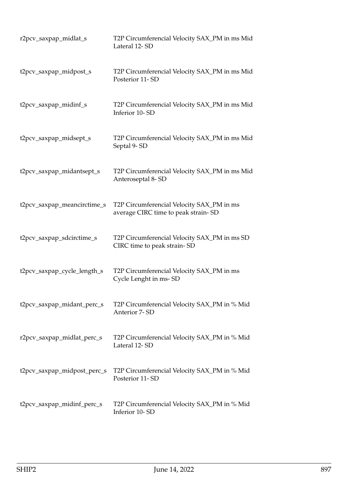| r2pcv_saxpap_midlat_s       | T2P Circumferencial Velocity SAX_PM in ms Mid<br>Lateral 12-SD                   |
|-----------------------------|----------------------------------------------------------------------------------|
| t2pcv_saxpap_midpost_s      | T2P Circumferencial Velocity SAX_PM in ms Mid<br>Posterior 11-SD                 |
| t2pcv_saxpap_midinf_s       | T2P Circumferencial Velocity SAX_PM in ms Mid<br>Inferior 10-SD                  |
| t2pcv_saxpap_midsept_s      | T2P Circumferencial Velocity SAX_PM in ms Mid<br>Septal 9-SD                     |
| t2pcv_saxpap_midantsept_s   | T2P Circumferencial Velocity SAX_PM in ms Mid<br>Anteroseptal 8-SD               |
| t2pcv_saxpap_meancirctime_s | T2P Circumferencial Velocity SAX_PM in ms<br>average CIRC time to peak strain-SD |
| t2pcv_saxpap_sdcirctime_s   | T2P Circumferencial Velocity SAX_PM in ms SD<br>CIRC time to peak strain-SD      |
| t2pcv_saxpap_cycle_length_s | T2P Circumferencial Velocity SAX_PM in ms<br>Cycle Lenght in ms-SD               |
| t2pcv_saxpap_midant_perc_s  | T2P Circumferencial Velocity SAX_PM in % Mid<br>Anterior 7-SD                    |
| r2pcv_saxpap_midlat_perc_s  | T2P Circumferencial Velocity SAX_PM in % Mid<br>Lateral 12-SD                    |
| t2pcv_saxpap_midpost_perc_s | T2P Circumferencial Velocity SAX_PM in % Mid<br>Posterior 11-SD                  |
| t2pcv_saxpap_midinf_perc_s  | T2P Circumferencial Velocity SAX_PM in % Mid<br>Inferior 10-SD                   |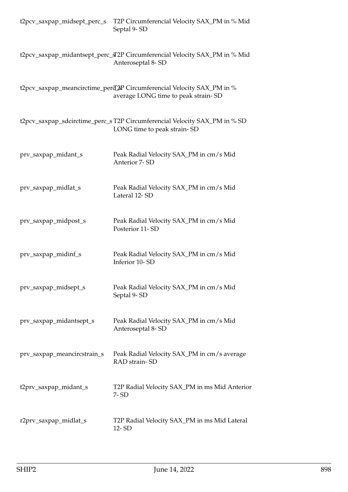| t2pcv_saxpap_midsept_perc_s | T2P Circumferencial Velocity SAX_PM in % Mid<br>Septal 9-SD                                                   |
|-----------------------------|---------------------------------------------------------------------------------------------------------------|
|                             | t2pcv_saxpap_midantsept_perc_sT2P Circumferencial Velocity SAX_PM in % Mid<br>Anteroseptal 8-SD               |
|                             | t2pcv_saxpap_meancirctime_perd_2P Circumferencial Velocity SAX_PM in %<br>average LONG time to peak strain-SD |
|                             | t2pcv_saxpap_sdcirctime_perc_sT2P Circumferencial Velocity SAX_PM in % SD<br>LONG time to peak strain-SD      |
| prv_saxpap_midant_s         | Peak Radial Velocity SAX_PM in cm/s Mid<br>Anterior 7-SD                                                      |
| prv_saxpap_midlat_s         | Peak Radial Velocity SAX_PM in cm/s Mid<br>Lateral 12-SD                                                      |
| prv_saxpap_midpost_s        | Peak Radial Velocity SAX_PM in cm/s Mid<br>Posterior 11-SD                                                    |
| prv_saxpap_midinf_s         | Peak Radial Velocity SAX_PM in cm/s Mid<br>Inferior 10-SD                                                     |
| prv_saxpap_midsept_s        | Peak Radial Velocity SAX_PM in cm/s Mid<br>Septal 9-SD                                                        |
| prv_saxpap_midantsept_s     | Peak Radial Velocity SAX_PM in cm/s Mid<br>Anteroseptal 8-SD                                                  |
| prv_saxpap_meancircstrain_s | Peak Radial Velocity SAX_PM in cm/s average<br>RAD strain-SD                                                  |
| t2prv_saxpap_midant_s       | T2P Radial Velocity SAX_PM in ms Mid Anterior<br>7-SD                                                         |
| r2prv_saxpap_midlat_s       | T2P Radial Velocity SAX_PM in ms Mid Lateral<br>12-SD                                                         |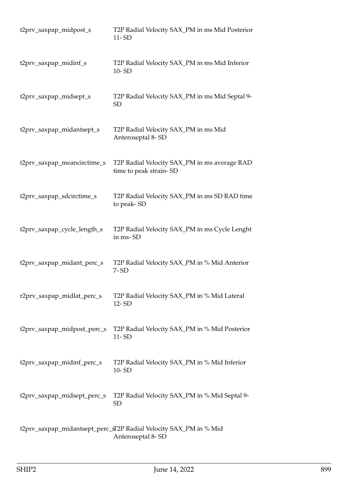| t2prv_saxpap_midpost_s      | T2P Radial Velocity SAX_PM in ms Mid Posterior<br>11-SD                                |
|-----------------------------|----------------------------------------------------------------------------------------|
| t2prv_saxpap_midinf_s       | T2P Radial Velocity SAX_PM in ms Mid Inferior<br>10-SD                                 |
| t2prv_saxpap_midsept_s      | T2P Radial Velocity SAX_PM in ms Mid Septal 9-<br><b>SD</b>                            |
| t2prv_saxpap_midantsept_s   | T2P Radial Velocity SAX_PM in ms Mid<br>Anteroseptal 8-SD                              |
| t2prv_saxpap_meancirctime_s | T2P Radial Velocity SAX_PM in ms average RAD<br>time to peak strain-SD                 |
| t2prv_saxpap_sdcirctime_s   | T2P Radial Velocity SAX_PM in ms SD RAD time<br>to peak-SD                             |
| t2prv_saxpap_cycle_length_s | T2P Radial Velocity SAX_PM in ms Cycle Lenght<br>in ms-SD                              |
| t2prv_saxpap_midant_perc_s  | T2P Radial Velocity SAX_PM in % Mid Anterior<br>7-SD                                   |
| r2prv_saxpap_midlat_perc_s  | T2P Radial Velocity SAX_PM in % Mid Lateral<br>12-SD                                   |
| t2prv_saxpap_midpost_perc_s | T2P Radial Velocity SAX_PM in % Mid Posterior<br>11-SD                                 |
| t2prv_saxpap_midinf_perc_s  | T2P Radial Velocity SAX_PM in % Mid Inferior<br>10-SD                                  |
| t2prv_saxpap_midsept_perc_s | T2P Radial Velocity SAX_PM in % Mid Septal 9-<br><b>SD</b>                             |
|                             | t2prv_saxpap_midantsept_perc_sT2P Radial Velocity SAX_PM in % Mid<br>Anteroseptal 8-SD |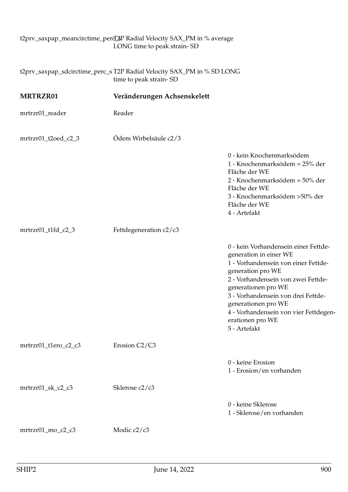## t2prv\_saxpap\_meancirctime\_perd\_&P Radial Velocity SAX\_PM in % average LONG time to peak strain- SD

|                      | t2prv_saxpap_sdcirctime_perc_s T2P Radial Velocity SAX_PM in % SD LONG<br>time to peak strain-SD |                                                                                                                                                                                                                                                                                                                                   |
|----------------------|--------------------------------------------------------------------------------------------------|-----------------------------------------------------------------------------------------------------------------------------------------------------------------------------------------------------------------------------------------------------------------------------------------------------------------------------------|
| MRTRZR01             | Veränderungen Achsenskelett                                                                      |                                                                                                                                                                                                                                                                                                                                   |
| mrtrzr01_reader      | Reader                                                                                           |                                                                                                                                                                                                                                                                                                                                   |
| mrtrzr01_t2oed_c2_3  | Ödem Wirbelsäule c2/3                                                                            |                                                                                                                                                                                                                                                                                                                                   |
|                      |                                                                                                  | 0 - kein Knochenmarksödem<br>1 - Knochenmarksödem = 25% der<br>Fläche der WE<br>2 - Knochenmarksödem = 50% der<br>Fläche der WE<br>3 - Knochenmarksödem > 50% der<br>Fläche der WE<br>4 - Artefakt                                                                                                                                |
| mrtrzr01_t1fd_c2_3   | Fettdegeneration c2/c3                                                                           |                                                                                                                                                                                                                                                                                                                                   |
|                      |                                                                                                  | 0 - kein Vorhandensein einer Fettde-<br>generation in einer WE<br>1 - Vorhandensein von einer Fettde-<br>generation pro WE<br>2 - Vorhandensein von zwei Fettde-<br>generationen pro WE<br>3 - Vorhandensein von drei Fettde-<br>generationen pro WE<br>4 - Vorhandensein von vier Fettdegen-<br>erationen pro WE<br>5 - Artefakt |
| mrtrzr01_t1ero_c2_c3 | Erosion C2/C3                                                                                    |                                                                                                                                                                                                                                                                                                                                   |
|                      |                                                                                                  | 0 - keine Erosion<br>1 - Erosion/en vorhanden                                                                                                                                                                                                                                                                                     |
| mrtrzr01_sk_c2_c3    | Sklerose c2/c3                                                                                   |                                                                                                                                                                                                                                                                                                                                   |
|                      |                                                                                                  | 0 - keine Sklerose<br>1 - Sklerose/en vorhanden                                                                                                                                                                                                                                                                                   |
| mrtrzr01_mo_c2_c3    | Modic c2/c3                                                                                      |                                                                                                                                                                                                                                                                                                                                   |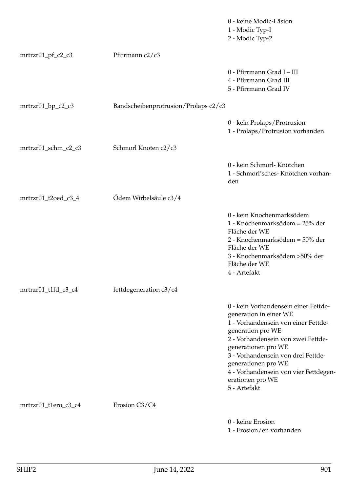|                      |                                      | 0 - keine Modic-Läsion<br>1 - Modic Typ-I<br>2 - Modic Typ-2                                                                                                                                                                                                                                                                      |
|----------------------|--------------------------------------|-----------------------------------------------------------------------------------------------------------------------------------------------------------------------------------------------------------------------------------------------------------------------------------------------------------------------------------|
| $mrtrzr01_pf_c2_c3$  | Pfirrmann c2/c3                      |                                                                                                                                                                                                                                                                                                                                   |
|                      |                                      | 0 - Pfirrmann Grad I - III<br>4 - Pfirrmann Grad III<br>5 - Pfirrmann Grad IV                                                                                                                                                                                                                                                     |
| mrtrzr01_bp_c2_c3    | Bandscheibenprotrusion/Prolaps c2/c3 |                                                                                                                                                                                                                                                                                                                                   |
|                      |                                      | 0 - kein Prolaps/Protrusion<br>1 - Prolaps/Protrusion vorhanden                                                                                                                                                                                                                                                                   |
| mrtrzr01_schm_c2_c3  | Schmorl Knoten c2/c3                 |                                                                                                                                                                                                                                                                                                                                   |
|                      |                                      | 0 - kein Schmorl- Knötchen<br>1 - Schmorl'sches- Knötchen vorhan-<br>den                                                                                                                                                                                                                                                          |
| mrtrzr01_t2oed_c3_4  | Ödem Wirbelsäule c3/4                |                                                                                                                                                                                                                                                                                                                                   |
|                      |                                      | 0 - kein Knochenmarksödem<br>1 - Knochenmarksödem = 25% der<br>Fläche der WE<br>2 - Knochenmarksödem = 50% der<br>Fläche der WE<br>3 - Knochenmarksödem > 50% der<br>Fläche der WE<br>4 - Artefakt                                                                                                                                |
| mrtrzr01_t1fd_c3_c4  | fettdegeneration c3/c4               |                                                                                                                                                                                                                                                                                                                                   |
|                      |                                      | 0 - kein Vorhandensein einer Fettde-<br>generation in einer WE<br>1 - Vorhandensein von einer Fettde-<br>generation pro WE<br>2 - Vorhandensein von zwei Fettde-<br>generationen pro WE<br>3 - Vorhandensein von drei Fettde-<br>generationen pro WE<br>4 - Vorhandensein von vier Fettdegen-<br>erationen pro WE<br>5 - Artefakt |
| mrtrzr01_t1ero_c3_c4 | Erosion C3/C4                        |                                                                                                                                                                                                                                                                                                                                   |
|                      |                                      | 0 - keine Erosion<br>1 - Erosion/en vorhanden                                                                                                                                                                                                                                                                                     |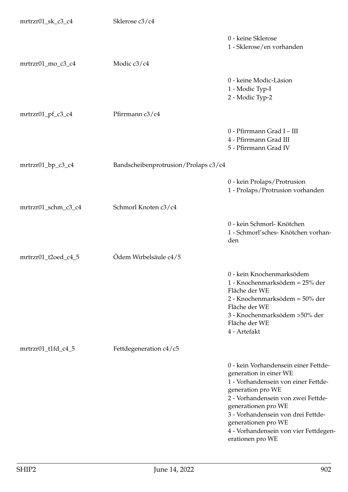| mrtrzr01_sk_c3_c4   | Sklerose c3/c4                       |                                                                                                                                                                                                                                                                                                                   |
|---------------------|--------------------------------------|-------------------------------------------------------------------------------------------------------------------------------------------------------------------------------------------------------------------------------------------------------------------------------------------------------------------|
|                     |                                      | 0 - keine Sklerose<br>1 - Sklerose/en vorhanden                                                                                                                                                                                                                                                                   |
| mrtrzr01_mo_c3_c4   | Modic c3/c4                          |                                                                                                                                                                                                                                                                                                                   |
|                     |                                      | 0 - keine Modic-Läsion<br>1 - Modic Typ-I<br>2 - Modic Typ-2                                                                                                                                                                                                                                                      |
| mrtrzr01_pf_c3_c4   | Pfirrmann c3/c4                      |                                                                                                                                                                                                                                                                                                                   |
|                     |                                      | 0 - Pfirrmann Grad I - III<br>4 - Pfirrmann Grad III<br>5 - Pfirrmann Grad IV                                                                                                                                                                                                                                     |
| mrtrzr01_bp_c3_c4   | Bandscheibenprotrusion/Prolaps c3/c4 |                                                                                                                                                                                                                                                                                                                   |
|                     |                                      | 0 - kein Prolaps/Protrusion<br>1 - Prolaps/Protrusion vorhanden                                                                                                                                                                                                                                                   |
| mrtrzr01_schm_c3_c4 | Schmorl Knoten c3/c4                 |                                                                                                                                                                                                                                                                                                                   |
|                     |                                      | 0 - kein Schmorl- Knötchen<br>1 - Schmorl'sches- Knötchen vorhan-<br>den                                                                                                                                                                                                                                          |
| mrtrzr01_t2oed_c4_5 | Ödem Wirbelsäule c4/5                |                                                                                                                                                                                                                                                                                                                   |
|                     |                                      | 0 - kein Knochenmarksödem<br>1 - Knochenmarksödem = 25% der<br>Fläche der WE<br>2 - Knochenmarksödem = 50% der<br>Fläche der WE<br>3 - Knochenmarksödem > 50% der<br>Fläche der WE<br>4 - Artefakt                                                                                                                |
| mrtrzr01_t1fd_c4_5  | Fettdegeneration c4/c5               |                                                                                                                                                                                                                                                                                                                   |
|                     |                                      | 0 - kein Vorhandensein einer Fettde-<br>generation in einer WE<br>1 - Vorhandensein von einer Fettde-<br>generation pro WE<br>2 - Vorhandensein von zwei Fettde-<br>generationen pro WE<br>3 - Vorhandensein von drei Fettde-<br>generationen pro WE<br>4 - Vorhandensein von vier Fettdegen-<br>erationen pro WE |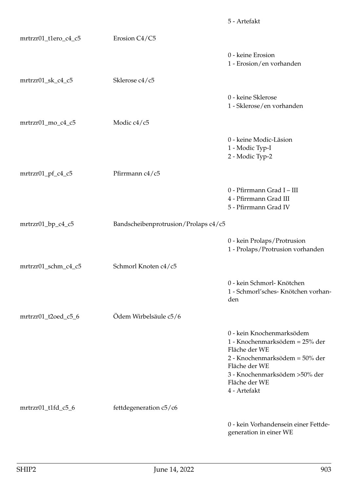|                      |                                      | 5 - Artefakt                                                                                                                                                                                       |
|----------------------|--------------------------------------|----------------------------------------------------------------------------------------------------------------------------------------------------------------------------------------------------|
| mrtrzr01_t1ero_c4_c5 | Erosion C4/C5                        |                                                                                                                                                                                                    |
|                      |                                      | 0 - keine Erosion<br>1 - Erosion/en vorhanden                                                                                                                                                      |
| mrtrzr01_sk_c4_c5    | Sklerose c4/c5                       |                                                                                                                                                                                                    |
|                      |                                      | 0 - keine Sklerose<br>1 - Sklerose/en vorhanden                                                                                                                                                    |
| mrtrzr01_mo_c4_c5    | Modic c4/c5                          |                                                                                                                                                                                                    |
|                      |                                      | 0 - keine Modic-Läsion<br>1 - Modic Typ-I<br>2 - Modic Typ-2                                                                                                                                       |
| mrtrzr01_pf_c4_c5    | Pfirrmann c4/c5                      |                                                                                                                                                                                                    |
|                      |                                      | 0 - Pfirrmann Grad I - III<br>4 - Pfirrmann Grad III<br>5 - Pfirrmann Grad IV                                                                                                                      |
| mrtrzr01_bp_c4_c5    | Bandscheibenprotrusion/Prolaps c4/c5 |                                                                                                                                                                                                    |
|                      |                                      | 0 - kein Prolaps/Protrusion<br>1 - Prolaps/Protrusion vorhanden                                                                                                                                    |
| mrtrzr01_schm_c4_c5  | Schmorl Knoten c4/c5                 |                                                                                                                                                                                                    |
|                      |                                      | 0 - kein Schmorl- Knötchen<br>1 - Schmorl'sches- Knötchen vorhan-<br>den                                                                                                                           |
| mrtrzr01_t2oed_c5_6  | Ödem Wirbelsäule c5/6                |                                                                                                                                                                                                    |
|                      |                                      | 0 - kein Knochenmarksödem<br>1 - Knochenmarksödem = 25% der<br>Fläche der WE<br>2 - Knochenmarksödem = 50% der<br>Fläche der WE<br>3 - Knochenmarksödem > 50% der<br>Fläche der WE<br>4 - Artefakt |
| mrtrzr01_t1fd_c5_6   | fettdegeneration c5/c6               |                                                                                                                                                                                                    |
|                      |                                      | 0 - kein Vorhandensein einer Fettde-<br>generation in einer WE                                                                                                                                     |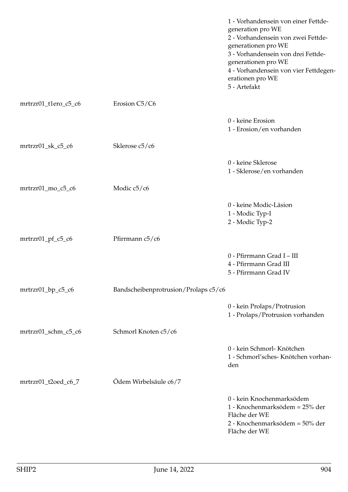|                      |                                      | 1 - Vorhandensein von einer Fettde-<br>generation pro WE<br>2 - Vorhandensein von zwei Fettde-<br>generationen pro WE<br>3 - Vorhandensein von drei Fettde-<br>generationen pro WE<br>4 - Vorhandensein von vier Fettdegen-<br>erationen pro WE<br>5 - Artefakt |
|----------------------|--------------------------------------|-----------------------------------------------------------------------------------------------------------------------------------------------------------------------------------------------------------------------------------------------------------------|
| mrtrzr01_t1ero_c5_c6 | Erosion C5/C6                        |                                                                                                                                                                                                                                                                 |
|                      |                                      | 0 - keine Erosion<br>1 - Erosion/en vorhanden                                                                                                                                                                                                                   |
| mrtrzr01_sk_c5_c6    | Sklerose c5/c6                       |                                                                                                                                                                                                                                                                 |
|                      |                                      | 0 - keine Sklerose<br>1 - Sklerose/en vorhanden                                                                                                                                                                                                                 |
| mrtrzr01_mo_c5_c6    | Modic c5/c6                          |                                                                                                                                                                                                                                                                 |
|                      |                                      | 0 - keine Modic-Läsion<br>1 - Modic Typ-I<br>2 - Modic Typ-2                                                                                                                                                                                                    |
| $mrtrzr01_pf_c5_c6$  | Pfirrmann c5/c6                      |                                                                                                                                                                                                                                                                 |
|                      |                                      | 0 - Pfirrmann Grad I - III<br>4 - Pfirrmann Grad III<br>5 - Pfirrmann Grad IV                                                                                                                                                                                   |
| mrtrzr01_bp_c5_c6    | Bandscheibenprotrusion/Prolaps c5/c6 |                                                                                                                                                                                                                                                                 |
|                      |                                      | 0 - kein Prolaps/Protrusion<br>1 - Prolaps/Protrusion vorhanden                                                                                                                                                                                                 |
| mrtrzr01_schm_c5_c6  | Schmorl Knoten c5/c6                 |                                                                                                                                                                                                                                                                 |
|                      |                                      | 0 - kein Schmorl- Knötchen<br>1 - Schmorl'sches- Knötchen vorhan-<br>den                                                                                                                                                                                        |
| mrtrzr01_t2oed_c6_7  | Ödem Wirbelsäule c6/7                |                                                                                                                                                                                                                                                                 |
|                      |                                      | 0 - kein Knochenmarksödem<br>1 - Knochenmarksödem = 25% der<br>Fläche der WE<br>2 - Knochenmarksödem = 50% der<br>Fläche der WE                                                                                                                                 |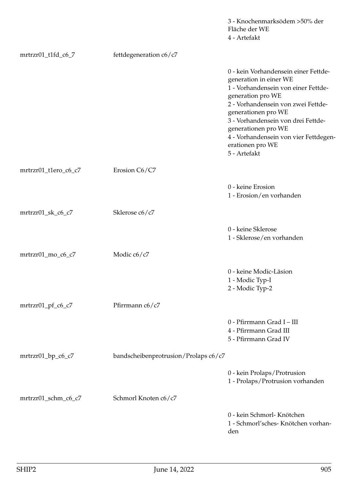|                      |                                      | 3 - Knochenmarksödem > 50% der<br>Fläche der WE<br>4 - Artefakt                                                                                                                                                                                                                                                                   |
|----------------------|--------------------------------------|-----------------------------------------------------------------------------------------------------------------------------------------------------------------------------------------------------------------------------------------------------------------------------------------------------------------------------------|
| mrtrzr01_t1fd_c6_7   | fettdegeneration c6/c7               |                                                                                                                                                                                                                                                                                                                                   |
|                      |                                      | 0 - kein Vorhandensein einer Fettde-<br>generation in einer WE<br>1 - Vorhandensein von einer Fettde-<br>generation pro WE<br>2 - Vorhandensein von zwei Fettde-<br>generationen pro WE<br>3 - Vorhandensein von drei Fettde-<br>generationen pro WE<br>4 - Vorhandensein von vier Fettdegen-<br>erationen pro WE<br>5 - Artefakt |
| mrtrzr01_t1ero_c6_c7 | Erosion C6/C7                        |                                                                                                                                                                                                                                                                                                                                   |
|                      |                                      | 0 - keine Erosion<br>1 - Erosion/en vorhanden                                                                                                                                                                                                                                                                                     |
| mrtrzr01_sk_c6_c7    | Sklerose c6/c7                       |                                                                                                                                                                                                                                                                                                                                   |
|                      |                                      | 0 - keine Sklerose<br>1 - Sklerose/en vorhanden                                                                                                                                                                                                                                                                                   |
| mrtrzr01_mo_c6_c7    | Modic c6/c7                          |                                                                                                                                                                                                                                                                                                                                   |
|                      |                                      | 0 - keine Modic-Läsion<br>1 - Modic Typ-I<br>2 - Modic Typ-2                                                                                                                                                                                                                                                                      |
| $mrtrzr01_pf_c6_c7$  | Pfirrmann c6/c7                      |                                                                                                                                                                                                                                                                                                                                   |
|                      |                                      | 0 - Pfirrmann Grad I - III<br>4 - Pfirrmann Grad III<br>5 - Pfirrmann Grad IV                                                                                                                                                                                                                                                     |
| mrtrzr01_bp_c6_c7    | bandscheibenprotrusion/Prolaps c6/c7 |                                                                                                                                                                                                                                                                                                                                   |
|                      |                                      | 0 - kein Prolaps/Protrusion<br>1 - Prolaps/Protrusion vorhanden                                                                                                                                                                                                                                                                   |
| mrtrzr01_schm_c6_c7  | Schmorl Knoten c6/c7                 |                                                                                                                                                                                                                                                                                                                                   |
|                      |                                      | 0 - kein Schmorl- Knötchen<br>1 - Schmorl'sches- Knötchen vorhan-<br>den                                                                                                                                                                                                                                                          |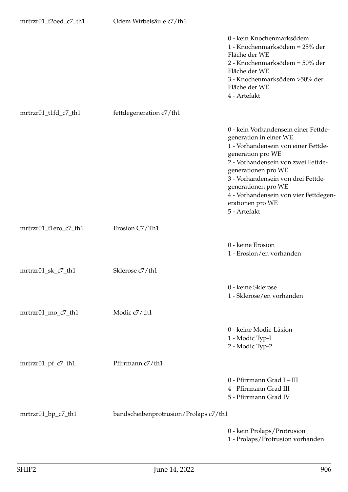| mrtrzr01_t2oed_c7_th1 | Ödem Wirbelsäule c7/th1               |                                                                                                                                                                                                                                                                                                                                   |
|-----------------------|---------------------------------------|-----------------------------------------------------------------------------------------------------------------------------------------------------------------------------------------------------------------------------------------------------------------------------------------------------------------------------------|
|                       |                                       | 0 - kein Knochenmarksödem<br>1 - Knochenmarksödem = 25% der<br>Fläche der WE<br>2 - Knochenmarksödem = 50% der<br>Fläche der WE<br>3 - Knochenmarksödem >50% der<br>Fläche der WE<br>4 - Artefakt                                                                                                                                 |
| mrtrzr01_t1fd_c7_th1  | fettdegeneration c7/th1               |                                                                                                                                                                                                                                                                                                                                   |
|                       |                                       | 0 - kein Vorhandensein einer Fettde-<br>generation in einer WE<br>1 - Vorhandensein von einer Fettde-<br>generation pro WE<br>2 - Vorhandensein von zwei Fettde-<br>generationen pro WE<br>3 - Vorhandensein von drei Fettde-<br>generationen pro WE<br>4 - Vorhandensein von vier Fettdegen-<br>erationen pro WE<br>5 - Artefakt |
| mrtrzr01_t1ero_c7_th1 | Erosion C7/Th1                        |                                                                                                                                                                                                                                                                                                                                   |
|                       |                                       | 0 - keine Erosion<br>1 - Erosion/en vorhanden                                                                                                                                                                                                                                                                                     |
| mrtrzr01_sk_c7_th1    | Sklerose c7/th1                       |                                                                                                                                                                                                                                                                                                                                   |
|                       |                                       | 0 - keine Sklerose<br>1 - Sklerose/en vorhanden                                                                                                                                                                                                                                                                                   |
| mrtrzr01_mo_c7_th1    | Modic c7/th1                          |                                                                                                                                                                                                                                                                                                                                   |
|                       |                                       | 0 - keine Modic-Läsion<br>1 - Modic Typ-I<br>2 - Modic Typ-2                                                                                                                                                                                                                                                                      |
| mrtrzr01_pf_c7_th1    | Pfirrmann c7/th1                      |                                                                                                                                                                                                                                                                                                                                   |
|                       |                                       | 0 - Pfirrmann Grad I - III<br>4 - Pfirrmann Grad III<br>5 - Pfirrmann Grad IV                                                                                                                                                                                                                                                     |
| mrtrzr01_bp_c7_th1    | bandscheibenprotrusion/Prolaps c7/th1 |                                                                                                                                                                                                                                                                                                                                   |
|                       |                                       | 0 - kein Prolaps/Protrusion<br>1 - Prolaps/Protrusion vorhanden                                                                                                                                                                                                                                                                   |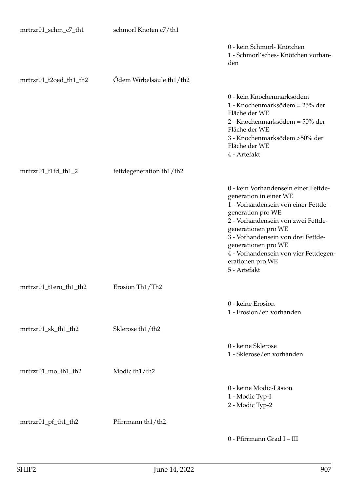| mrtrzr01_schm_c7_th1   | schmorl Knoten c7/th1    |                                                                                                                                                                                                                                                                                                                                   |
|------------------------|--------------------------|-----------------------------------------------------------------------------------------------------------------------------------------------------------------------------------------------------------------------------------------------------------------------------------------------------------------------------------|
|                        |                          | 0 - kein Schmorl- Knötchen<br>1 - Schmorl'sches- Knötchen vorhan-<br>den                                                                                                                                                                                                                                                          |
| mrtrzr01_t2oed_th1_th2 | Ödem Wirbelsäule th1/th2 |                                                                                                                                                                                                                                                                                                                                   |
|                        |                          | 0 - kein Knochenmarksödem<br>1 - Knochenmarksödem = 25% der<br>Fläche der WE<br>2 - Knochenmarksödem = 50% der<br>Fläche der WE<br>3 - Knochenmarksödem > 50% der<br>Fläche der WE<br>4 - Artefakt                                                                                                                                |
| mrtrzr01_t1fd_th1_2    | fettdegeneration th1/th2 |                                                                                                                                                                                                                                                                                                                                   |
|                        |                          | 0 - kein Vorhandensein einer Fettde-<br>generation in einer WE<br>1 - Vorhandensein von einer Fettde-<br>generation pro WE<br>2 - Vorhandensein von zwei Fettde-<br>generationen pro WE<br>3 - Vorhandensein von drei Fettde-<br>generationen pro WE<br>4 - Vorhandensein von vier Fettdegen-<br>erationen pro WE<br>5 - Artefakt |
| mrtrzr01_t1ero_th1_th2 | Erosion Th1/Th2          |                                                                                                                                                                                                                                                                                                                                   |
|                        |                          | 0 - keine Erosion<br>1 - Erosion/en vorhanden                                                                                                                                                                                                                                                                                     |
| mrtrzr01_sk_th1_th2    | Sklerose th1/th2         |                                                                                                                                                                                                                                                                                                                                   |
|                        |                          | 0 - keine Sklerose<br>1 - Sklerose/en vorhanden                                                                                                                                                                                                                                                                                   |
| mrtrzr01_mo_th1_th2    | Modic th1/th2            |                                                                                                                                                                                                                                                                                                                                   |
|                        |                          | 0 - keine Modic-Läsion<br>1 - Modic Typ-I<br>2 - Modic Typ-2                                                                                                                                                                                                                                                                      |
| mrtrzr01_pf_th1_th2    | Pfirrmann th1/th2        |                                                                                                                                                                                                                                                                                                                                   |
|                        |                          | 0 - Pfirrmann Grad I - III                                                                                                                                                                                                                                                                                                        |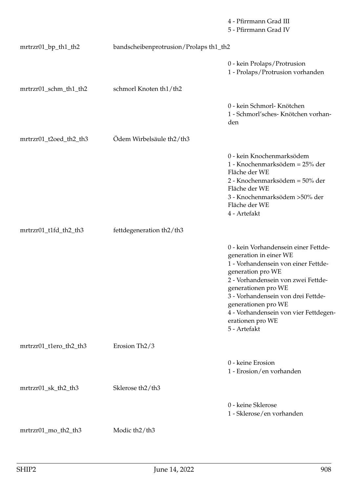|                        |                                           | 4 - Pfirrmann Grad III<br>5 - Pfirrmann Grad IV                                                                                                                                                                                                                                                                                   |
|------------------------|-------------------------------------------|-----------------------------------------------------------------------------------------------------------------------------------------------------------------------------------------------------------------------------------------------------------------------------------------------------------------------------------|
| mrtrzr01_bp_th1_th2    | bandscheibenprotrusion/Prolaps th1_th2    |                                                                                                                                                                                                                                                                                                                                   |
|                        |                                           | 0 - kein Prolaps/Protrusion<br>1 - Prolaps/Protrusion vorhanden                                                                                                                                                                                                                                                                   |
| mrtrzr01_schm_th1_th2  | schmorl Knoten th1/th2                    |                                                                                                                                                                                                                                                                                                                                   |
|                        |                                           | 0 - kein Schmorl- Knötchen<br>1 - Schmorl'sches- Knötchen vorhan-<br>den                                                                                                                                                                                                                                                          |
| mrtrzr01_t2oed_th2_th3 | Ödem Wirbelsäule th2/th3                  |                                                                                                                                                                                                                                                                                                                                   |
|                        |                                           | 0 - kein Knochenmarksödem<br>1 - Knochenmarksödem = 25% der<br>Fläche der WE<br>2 - Knochenmarksödem = 50% der<br>Fläche der WE<br>3 - Knochenmarksödem > 50% der<br>Fläche der WE<br>4 - Artefakt                                                                                                                                |
| mrtrzr01_t1fd_th2_th3  | fettdegeneration th2/th3                  |                                                                                                                                                                                                                                                                                                                                   |
|                        |                                           | 0 - kein Vorhandensein einer Fettde-<br>generation in einer WE<br>1 - Vorhandensein von einer Fettde-<br>generation pro WE<br>2 - Vorhandensein von zwei Fettde-<br>generationen pro WE<br>3 - Vorhandensein von drei Fettde-<br>generationen pro WE<br>4 - Vorhandensein von vier Fettdegen-<br>erationen pro WE<br>5 - Artefakt |
| mrtrzr01_t1ero_th2_th3 | Erosion Th <sub>2</sub> /3                |                                                                                                                                                                                                                                                                                                                                   |
|                        |                                           | 0 - keine Erosion<br>1 - Erosion/en vorhanden                                                                                                                                                                                                                                                                                     |
| mrtrzr01_sk_th2_th3    | Sklerose th <sub>2</sub> /th <sub>3</sub> |                                                                                                                                                                                                                                                                                                                                   |
|                        |                                           | 0 - keine Sklerose<br>1 - Sklerose/en vorhanden                                                                                                                                                                                                                                                                                   |
| mrtrzr01_mo_th2_th3    | Modic th <sub>2</sub> /th <sub>3</sub>    |                                                                                                                                                                                                                                                                                                                                   |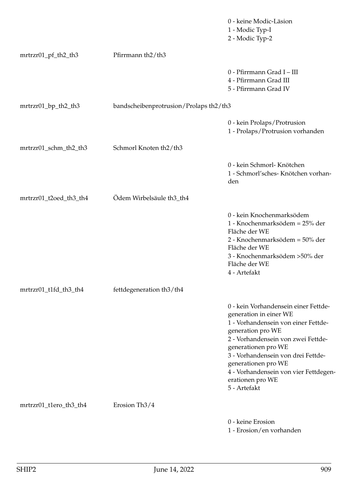|                        |                                                 | 0 - keine Modic-Läsion<br>1 - Modic Typ-I<br>2 - Modic Typ-2                                                                                                                                                                                                                                                                      |
|------------------------|-------------------------------------------------|-----------------------------------------------------------------------------------------------------------------------------------------------------------------------------------------------------------------------------------------------------------------------------------------------------------------------------------|
| mrtrzr01_pf_th2_th3    | Pfirrmann th2/th3                               |                                                                                                                                                                                                                                                                                                                                   |
|                        |                                                 | 0 - Pfirrmann Grad I - III<br>4 - Pfirrmann Grad III<br>5 - Pfirrmann Grad IV                                                                                                                                                                                                                                                     |
| mrtrzr01_bp_th2_th3    | bandscheibenprotrusion/Prolaps th2/th3          |                                                                                                                                                                                                                                                                                                                                   |
|                        |                                                 | 0 - kein Prolaps/Protrusion<br>1 - Prolaps/Protrusion vorhanden                                                                                                                                                                                                                                                                   |
| mrtrzr01_schm_th2_th3  | Schmorl Knoten th <sub>2</sub> /th <sub>3</sub> |                                                                                                                                                                                                                                                                                                                                   |
|                        |                                                 | 0 - kein Schmorl- Knötchen<br>1 - Schmorl'sches- Knötchen vorhan-<br>den                                                                                                                                                                                                                                                          |
| mrtrzr01_t2oed_th3_th4 | Ödem Wirbelsäule th3_th4                        |                                                                                                                                                                                                                                                                                                                                   |
|                        |                                                 | 0 - kein Knochenmarksödem<br>1 - Knochenmarksödem = 25% der<br>Fläche der WE<br>2 - Knochenmarksödem = 50% der<br>Fläche der WE<br>3 - Knochenmarksödem >50% der<br>Fläche der WE<br>4 - Artefakt                                                                                                                                 |
| mrtrzr01_t1fd_th3_th4  | fettdegeneration th3/th4                        |                                                                                                                                                                                                                                                                                                                                   |
|                        |                                                 | 0 - kein Vorhandensein einer Fettde-<br>generation in einer WE<br>1 - Vorhandensein von einer Fettde-<br>generation pro WE<br>2 - Vorhandensein von zwei Fettde-<br>generationen pro WE<br>3 - Vorhandensein von drei Fettde-<br>generationen pro WE<br>4 - Vorhandensein von vier Fettdegen-<br>erationen pro WE<br>5 - Artefakt |
| mrtrzr01_t1ero_th3_th4 | Erosion Th <sub>3/4</sub>                       |                                                                                                                                                                                                                                                                                                                                   |
|                        |                                                 | 0 - keine Erosion<br>1 - Erosion/en vorhanden                                                                                                                                                                                                                                                                                     |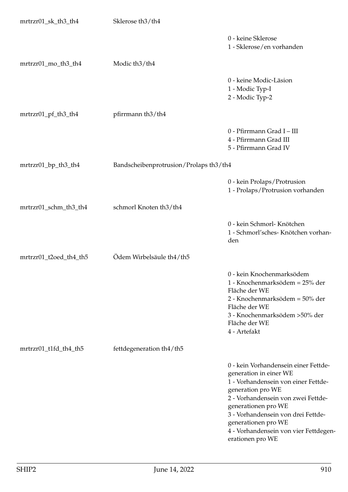| mrtrzr01_sk_th3_th4    | Sklerose th <sub>3</sub> /th <sub>4</sub> |                                                                                                                                                                                                                                                                                                                   |
|------------------------|-------------------------------------------|-------------------------------------------------------------------------------------------------------------------------------------------------------------------------------------------------------------------------------------------------------------------------------------------------------------------|
|                        |                                           | 0 - keine Sklerose<br>1 - Sklerose/en vorhanden                                                                                                                                                                                                                                                                   |
| mrtrzr01_mo_th3_th4    | Modic th <sub>3</sub> /th <sub>4</sub>    |                                                                                                                                                                                                                                                                                                                   |
|                        |                                           | 0 - keine Modic-Läsion<br>1 - Modic Typ-I<br>2 - Modic Typ-2                                                                                                                                                                                                                                                      |
| mrtrzr01_pf_th3_th4    | pfirrmann th3/th4                         |                                                                                                                                                                                                                                                                                                                   |
|                        |                                           | 0 - Pfirrmann Grad I - III<br>4 - Pfirrmann Grad III<br>5 - Pfirrmann Grad IV                                                                                                                                                                                                                                     |
| mrtrzr01_bp_th3_th4    | Bandscheibenprotrusion/Prolaps th3/th4    |                                                                                                                                                                                                                                                                                                                   |
|                        |                                           | 0 - kein Prolaps/Protrusion<br>1 - Prolaps/Protrusion vorhanden                                                                                                                                                                                                                                                   |
| mrtrzr01_schm_th3_th4  | schmorl Knoten th3/th4                    |                                                                                                                                                                                                                                                                                                                   |
|                        |                                           | 0 - kein Schmorl- Knötchen<br>1 - Schmorl'sches- Knötchen vorhan-<br>den                                                                                                                                                                                                                                          |
| mrtrzr01_t2oed_th4_th5 | Ödem Wirbelsäule th4/th5                  |                                                                                                                                                                                                                                                                                                                   |
|                        |                                           | 0 - kein Knochenmarksödem<br>1 - Knochenmarksödem = 25% der<br>Fläche der WE<br>2 - Knochenmarksödem = 50% der<br>Fläche der WE<br>3 - Knochenmarksödem > 50% der<br>Fläche der WE<br>4 - Artefakt                                                                                                                |
| mrtrzr01_t1fd_th4_th5  | fettdegeneration th4/th5                  |                                                                                                                                                                                                                                                                                                                   |
|                        |                                           | 0 - kein Vorhandensein einer Fettde-<br>generation in einer WE<br>1 - Vorhandensein von einer Fettde-<br>generation pro WE<br>2 - Vorhandensein von zwei Fettde-<br>generationen pro WE<br>3 - Vorhandensein von drei Fettde-<br>generationen pro WE<br>4 - Vorhandensein von vier Fettdegen-<br>erationen pro WE |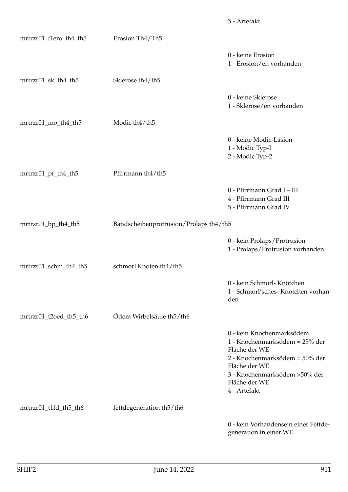|                        |                                        | 5 - Artefakt                                                                                                                                                                                      |
|------------------------|----------------------------------------|---------------------------------------------------------------------------------------------------------------------------------------------------------------------------------------------------|
| mrtrzr01_t1ero_th4_th5 | Erosion Th4/Th5                        |                                                                                                                                                                                                   |
|                        |                                        | 0 - keine Erosion<br>1 - Erosion/en vorhanden                                                                                                                                                     |
| mrtrzr01_sk_th4_th5    | Sklerose th4/th5                       |                                                                                                                                                                                                   |
|                        |                                        | 0 - keine Sklerose<br>1 - Sklerose/en vorhanden                                                                                                                                                   |
| mrtrzr01_mo_th4_th5    | Modic th <sub>4</sub> /th <sub>5</sub> |                                                                                                                                                                                                   |
|                        |                                        | 0 - keine Modic-Läsion<br>1 - Modic Typ-I<br>2 - Modic Typ-2                                                                                                                                      |
| mrtrzr01_pf_th4_th5    | Pfirrmann th4/th5                      |                                                                                                                                                                                                   |
|                        |                                        | 0 - Pfirrmann Grad I - III<br>4 - Pfirrmann Grad III<br>5 - Pfirrmann Grad IV                                                                                                                     |
| mrtrzr01_bp_th4_th5    | Bandscheibenprotrusion/Prolaps th4/th5 |                                                                                                                                                                                                   |
|                        |                                        | 0 - kein Prolaps/Protrusion<br>1 - Prolaps/Protrusion vorhanden                                                                                                                                   |
| mrtrzr01_schm_th4_th5  | schmorl Knoten th4/th5                 |                                                                                                                                                                                                   |
|                        |                                        | 0 - kein Schmorl- Knötchen<br>1 - Schmorl'sches- Knötchen vorhan-<br>den                                                                                                                          |
| mrtrzr01_t2oed_th5_th6 | Ödem Wirbelsäule th <sub>5</sub> /th6  |                                                                                                                                                                                                   |
|                        |                                        | 0 - kein Knochenmarksödem<br>1 - Knochenmarksödem = 25% der<br>Fläche der WE<br>2 - Knochenmarksödem = 50% der<br>Fläche der WE<br>3 - Knochenmarksödem >50% der<br>Fläche der WE<br>4 - Artefakt |
| mrtrzr01_t1fd_th5_th6  | fettdegeneration th5/th6               |                                                                                                                                                                                                   |
|                        |                                        | 0 - kein Vorhandensein einer Fettde-<br>generation in einer WE                                                                                                                                    |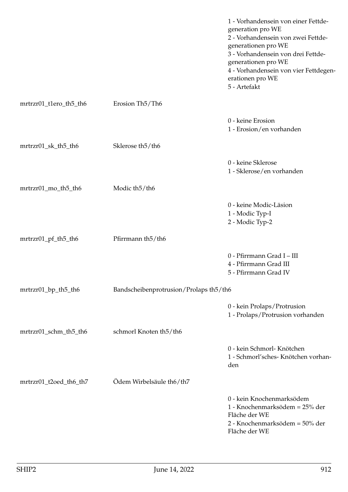|                        |                                           | 1 - Vorhandensein von einer Fettde-<br>generation pro WE<br>2 - Vorhandensein von zwei Fettde-<br>generationen pro WE<br>3 - Vorhandensein von drei Fettde-<br>generationen pro WE<br>4 - Vorhandensein von vier Fettdegen-<br>erationen pro WE<br>5 - Artefakt |
|------------------------|-------------------------------------------|-----------------------------------------------------------------------------------------------------------------------------------------------------------------------------------------------------------------------------------------------------------------|
| mrtrzr01_t1ero_th5_th6 | Erosion Th <sub>5</sub> /Th <sub>6</sub>  |                                                                                                                                                                                                                                                                 |
|                        |                                           | 0 - keine Erosion<br>1 - Erosion/en vorhanden                                                                                                                                                                                                                   |
| mrtrzr01_sk_th5_th6    | Sklerose th <sub>5</sub> /th <sub>6</sub> |                                                                                                                                                                                                                                                                 |
|                        |                                           | 0 - keine Sklerose<br>1 - Sklerose/en vorhanden                                                                                                                                                                                                                 |
| mrtrzr01_mo_th5_th6    | Modic th <sub>5</sub> /th <sub>6</sub>    |                                                                                                                                                                                                                                                                 |
|                        |                                           | 0 - keine Modic-Läsion<br>1 - Modic Typ-I<br>2 - Modic Typ-2                                                                                                                                                                                                    |
| mrtrzr01_pf_th5_th6    | Pfirrmann th <sub>5</sub> /th6            |                                                                                                                                                                                                                                                                 |
|                        |                                           | 0 - Pfirrmann Grad I - III<br>4 - Pfirrmann Grad III<br>5 - Pfirrmann Grad IV                                                                                                                                                                                   |
| mrtrzr01_bp_th5_th6    | Bandscheibenprotrusion/Prolaps th5/th6    |                                                                                                                                                                                                                                                                 |
|                        |                                           | 0 - kein Prolaps/Protrusion<br>1 - Prolaps/Protrusion vorhanden                                                                                                                                                                                                 |
| mrtrzr01_schm_th5_th6  | schmorl Knoten th5/th6                    |                                                                                                                                                                                                                                                                 |
|                        |                                           | 0 - kein Schmorl- Knötchen<br>1 - Schmorl'sches- Knötchen vorhan-<br>den                                                                                                                                                                                        |
| mrtrzr01_t2oed_th6_th7 | Ödem Wirbelsäule th6/th7                  |                                                                                                                                                                                                                                                                 |
|                        |                                           | 0 - kein Knochenmarksödem<br>1 - Knochenmarksödem = 25% der<br>Fläche der WE<br>2 - Knochenmarksödem = 50% der<br>Fläche der WE                                                                                                                                 |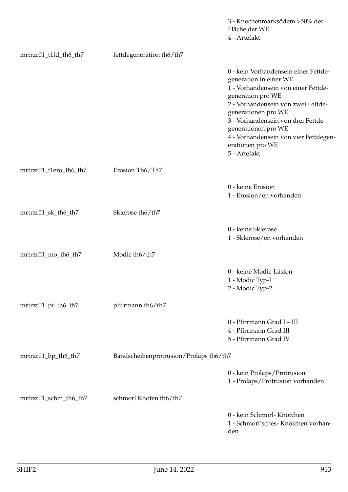|                        |                                        | 3 - Knochenmarksödem >50% der<br>Fläche der WE<br>4 - Artefakt                                                                                                                                                                                                                                                                    |
|------------------------|----------------------------------------|-----------------------------------------------------------------------------------------------------------------------------------------------------------------------------------------------------------------------------------------------------------------------------------------------------------------------------------|
| mrtrzr01_t1fd_th6_th7  | fettdegeneration th6/th7               |                                                                                                                                                                                                                                                                                                                                   |
|                        |                                        | 0 - kein Vorhandensein einer Fettde-<br>generation in einer WE<br>1 - Vorhandensein von einer Fettde-<br>generation pro WE<br>2 - Vorhandensein von zwei Fettde-<br>generationen pro WE<br>3 - Vorhandensein von drei Fettde-<br>generationen pro WE<br>4 - Vorhandensein von vier Fettdegen-<br>erationen pro WE<br>5 - Artefakt |
| mrtrzr01_t1ero_th6_th7 | Erosion Th6/Th7                        |                                                                                                                                                                                                                                                                                                                                   |
|                        |                                        | 0 - keine Erosion<br>1 - Erosion/en vorhanden                                                                                                                                                                                                                                                                                     |
| mrtrzr01_sk_th6_th7    | Sklerose th6/th7                       |                                                                                                                                                                                                                                                                                                                                   |
|                        |                                        | 0 - keine Sklerose<br>1 - Sklerose/en vorhanden                                                                                                                                                                                                                                                                                   |
| mrtrzr01_mo_th6_th7    | Modic th6/th7                          |                                                                                                                                                                                                                                                                                                                                   |
|                        |                                        | 0 - keine Modic-Läsion<br>1 - Modic Typ-I<br>2 - Modic Typ-2                                                                                                                                                                                                                                                                      |
| mrtrzr01_pf_th6_th7    | pfirrmann th6/th7                      |                                                                                                                                                                                                                                                                                                                                   |
|                        |                                        | 0 - Pfirrmann Grad I - III<br>4 - Pfirrmann Grad III<br>5 - Pfirrmann Grad IV                                                                                                                                                                                                                                                     |
| mrtrzr01_bp_th6_th7    | Bandscheibenprotrusion/Prolaps th6/th7 |                                                                                                                                                                                                                                                                                                                                   |
|                        |                                        | 0 - kein Prolaps/Protrusion<br>1 - Prolaps/Protrusion vorhanden                                                                                                                                                                                                                                                                   |
| mrtrzr01_schm_th6_th7  | schmorl Knoten th6/th7                 |                                                                                                                                                                                                                                                                                                                                   |
|                        |                                        | 0 - kein Schmorl- Knötchen<br>1 - Schmorl'sches- Knötchen vorhan-<br>den                                                                                                                                                                                                                                                          |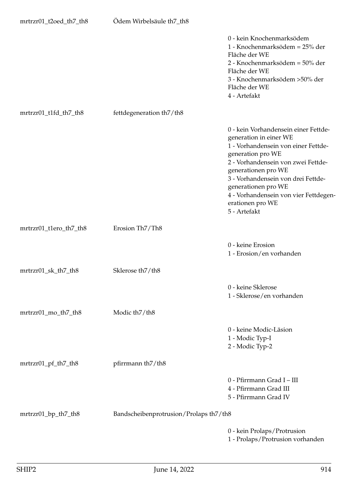| mrtrzr01_t2oed_th7_th8 | Ödem Wirbelsäule th7_th8               |                                                                                                                                                                                                                                                                                                                                   |
|------------------------|----------------------------------------|-----------------------------------------------------------------------------------------------------------------------------------------------------------------------------------------------------------------------------------------------------------------------------------------------------------------------------------|
|                        |                                        | 0 - kein Knochenmarksödem<br>1 - Knochenmarksödem = 25% der<br>Fläche der WE<br>2 - Knochenmarksödem = 50% der<br>Fläche der WE<br>3 - Knochenmarksödem >50% der<br>Fläche der WE<br>4 - Artefakt                                                                                                                                 |
| mrtrzr01_t1fd_th7_th8  | fettdegeneration th7/th8               |                                                                                                                                                                                                                                                                                                                                   |
|                        |                                        | 0 - kein Vorhandensein einer Fettde-<br>generation in einer WE<br>1 - Vorhandensein von einer Fettde-<br>generation pro WE<br>2 - Vorhandensein von zwei Fettde-<br>generationen pro WE<br>3 - Vorhandensein von drei Fettde-<br>generationen pro WE<br>4 - Vorhandensein von vier Fettdegen-<br>erationen pro WE<br>5 - Artefakt |
| mrtrzr01_t1ero_th7_th8 | Erosion Th7/Th8                        |                                                                                                                                                                                                                                                                                                                                   |
|                        |                                        | 0 - keine Erosion<br>1 - Erosion/en vorhanden                                                                                                                                                                                                                                                                                     |
| mrtrzr01_sk_th7_th8    | Sklerose th7/th8                       |                                                                                                                                                                                                                                                                                                                                   |
|                        |                                        | 0 - keine Sklerose<br>1 - Sklerose/en vorhanden                                                                                                                                                                                                                                                                                   |
| mrtrzr01_mo_th7_th8    | Modic th7/th8                          |                                                                                                                                                                                                                                                                                                                                   |
|                        |                                        | 0 - keine Modic-Läsion<br>1 - Modic Typ-I<br>2 - Modic Typ-2                                                                                                                                                                                                                                                                      |
| mrtrzr01_pf_th7_th8    | pfirmann th7/th8                       |                                                                                                                                                                                                                                                                                                                                   |
|                        |                                        | 0 - Pfirrmann Grad I - III<br>4 - Pfirrmann Grad III<br>5 - Pfirrmann Grad IV                                                                                                                                                                                                                                                     |
| mrtrzr01_bp_th7_th8    | Bandscheibenprotrusion/Prolaps th7/th8 |                                                                                                                                                                                                                                                                                                                                   |
|                        |                                        | 0 - kein Prolaps/Protrusion<br>1 - Prolaps/Protrusion vorhanden                                                                                                                                                                                                                                                                   |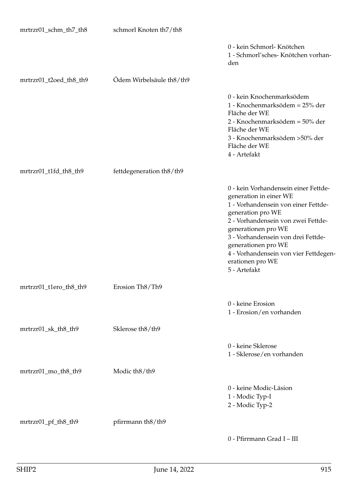| mrtrzr01_schm_th7_th8  | schmorl Knoten th7/th8   |                                                                                                                                                                                                                                                                                                                                   |
|------------------------|--------------------------|-----------------------------------------------------------------------------------------------------------------------------------------------------------------------------------------------------------------------------------------------------------------------------------------------------------------------------------|
|                        |                          | 0 - kein Schmorl- Knötchen<br>1 - Schmorl'sches- Knötchen vorhan-<br>den                                                                                                                                                                                                                                                          |
| mrtrzr01_t2oed_th8_th9 | Ödem Wirbelsäule th8/th9 |                                                                                                                                                                                                                                                                                                                                   |
|                        |                          | 0 - kein Knochenmarksödem<br>1 - Knochenmarksödem = 25% der<br>Fläche der WE<br>2 - Knochenmarksödem = 50% der<br>Fläche der WE<br>3 - Knochenmarksödem > 50% der<br>Fläche der WE<br>4 - Artefakt                                                                                                                                |
| mrtrzr01_t1fd_th8_th9  | fettdegeneration th8/th9 |                                                                                                                                                                                                                                                                                                                                   |
|                        |                          | 0 - kein Vorhandensein einer Fettde-<br>generation in einer WE<br>1 - Vorhandensein von einer Fettde-<br>generation pro WE<br>2 - Vorhandensein von zwei Fettde-<br>generationen pro WE<br>3 - Vorhandensein von drei Fettde-<br>generationen pro WE<br>4 - Vorhandensein von vier Fettdegen-<br>erationen pro WE<br>5 - Artefakt |
| mrtrzr01_t1ero_th8_th9 | Erosion Th8/Th9          |                                                                                                                                                                                                                                                                                                                                   |
|                        |                          | 0 - keine Erosion<br>1 - Erosion/en vorhanden                                                                                                                                                                                                                                                                                     |
| mrtrzr01_sk_th8_th9    | Sklerose th8/th9         |                                                                                                                                                                                                                                                                                                                                   |
|                        |                          | 0 - keine Sklerose<br>1 - Sklerose/en vorhanden                                                                                                                                                                                                                                                                                   |
| mrtrzr01_mo_th8_th9    | Modic th8/th9            |                                                                                                                                                                                                                                                                                                                                   |
|                        |                          | 0 - keine Modic-Läsion<br>1 - Modic Typ-I<br>2 - Modic Typ-2                                                                                                                                                                                                                                                                      |
| mrtrzr01_pf_th8_th9    | pfirrmann th8/th9        |                                                                                                                                                                                                                                                                                                                                   |
|                        |                          | 0 - Pfirrmann Grad I - III                                                                                                                                                                                                                                                                                                        |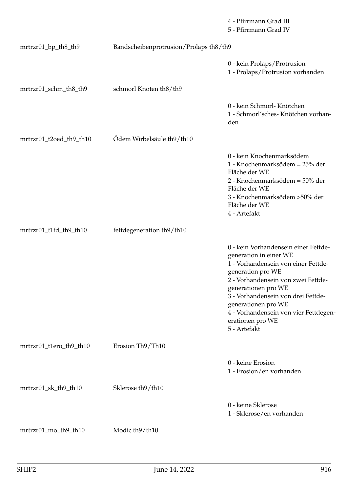|                         |                                        | 4 - Pfirrmann Grad III<br>5 - Pfirrmann Grad IV                                                                                                                                                                                                                                                                                   |
|-------------------------|----------------------------------------|-----------------------------------------------------------------------------------------------------------------------------------------------------------------------------------------------------------------------------------------------------------------------------------------------------------------------------------|
| mrtrzr01_bp_th8_th9     | Bandscheibenprotrusion/Prolaps th8/th9 |                                                                                                                                                                                                                                                                                                                                   |
|                         |                                        | 0 - kein Prolaps/Protrusion<br>1 - Prolaps/Protrusion vorhanden                                                                                                                                                                                                                                                                   |
| mrtrzr01_schm_th8_th9   | schmorl Knoten th8/th9                 |                                                                                                                                                                                                                                                                                                                                   |
|                         |                                        | 0 - kein Schmorl- Knötchen<br>1 - Schmorl'sches- Knötchen vorhan-<br>den                                                                                                                                                                                                                                                          |
| mrtrzr01_t2oed_th9_th10 | Ödem Wirbelsäule th9/th10              |                                                                                                                                                                                                                                                                                                                                   |
|                         |                                        | 0 - kein Knochenmarksödem<br>1 - Knochenmarksödem = 25% der<br>Fläche der WE<br>2 - Knochenmarksödem = 50% der<br>Fläche der WE<br>3 - Knochenmarksödem >50% der<br>Fläche der WE<br>4 - Artefakt                                                                                                                                 |
| mrtrzr01_t1fd_th9_th10  | fettdegeneration th9/th10              |                                                                                                                                                                                                                                                                                                                                   |
|                         |                                        | 0 - kein Vorhandensein einer Fettde-<br>generation in einer WE<br>1 - Vorhandensein von einer Fettde-<br>generation pro WE<br>2 - Vorhandensein von zwei Fettde-<br>generationen pro WE<br>3 - Vorhandensein von drei Fettde-<br>generationen pro WE<br>4 - Vorhandensein von vier Fettdegen-<br>erationen pro WE<br>5 - Artefakt |
| mrtrzr01_t1ero_th9_th10 | Erosion Th9/Th10                       |                                                                                                                                                                                                                                                                                                                                   |
|                         |                                        | 0 - keine Erosion<br>1 - Erosion/en vorhanden                                                                                                                                                                                                                                                                                     |
| mrtrzr01_sk_th9_th10    | Sklerose th9/th10                      |                                                                                                                                                                                                                                                                                                                                   |
|                         |                                        | 0 - keine Sklerose<br>1 - Sklerose/en vorhanden                                                                                                                                                                                                                                                                                   |
| mrtrzr01_mo_th9_th10    | Modic th9/th10                         |                                                                                                                                                                                                                                                                                                                                   |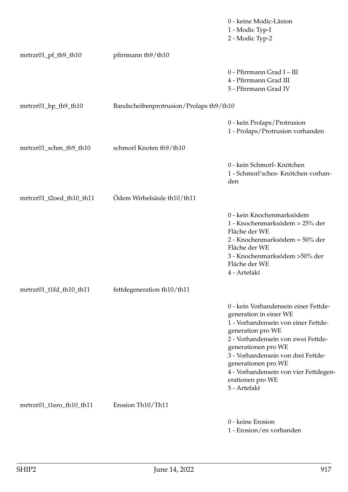|                          |                                         | 0 - keine Modic-Läsion<br>1 - Modic Typ-I<br>2 - Modic Typ-2                                                                                                                                                                                                                                                                      |
|--------------------------|-----------------------------------------|-----------------------------------------------------------------------------------------------------------------------------------------------------------------------------------------------------------------------------------------------------------------------------------------------------------------------------------|
| mrtrzr01_pf_th9_th10     | pfirrmann th9/th10                      |                                                                                                                                                                                                                                                                                                                                   |
|                          |                                         | 0 - Pfirrmann Grad I - III<br>4 - Pfirrmann Grad III<br>5 - Pfirrmann Grad IV                                                                                                                                                                                                                                                     |
| mrtrzr01_bp_th9_th10     | Bandscheibenprotrusion/Prolaps th9/th10 |                                                                                                                                                                                                                                                                                                                                   |
|                          |                                         | 0 - kein Prolaps/Protrusion<br>1 - Prolaps/Protrusion vorhanden                                                                                                                                                                                                                                                                   |
| mrtrzr01_schm_th9_th10   | schmorl Knoten th9/th10                 |                                                                                                                                                                                                                                                                                                                                   |
|                          |                                         | 0 - kein Schmorl- Knötchen<br>1 - Schmorl'sches- Knötchen vorhan-<br>den                                                                                                                                                                                                                                                          |
| mrtrzr01_t2oed_th10_th11 | Ödem Wirbelsäule th10/th11              |                                                                                                                                                                                                                                                                                                                                   |
|                          |                                         | 0 - kein Knochenmarksödem<br>1 - Knochenmarksödem = 25% der<br>Fläche der WE<br>2 - Knochenmarksödem = 50% der<br>Fläche der WE<br>3 - Knochenmarksödem >50% der<br>Fläche der WE<br>4 - Artefakt                                                                                                                                 |
| mrtrzr01_t1fd_th10_th11  | fettdegeneration th10/th11              |                                                                                                                                                                                                                                                                                                                                   |
|                          |                                         | 0 - kein Vorhandensein einer Fettde-<br>generation in einer WE<br>1 - Vorhandensein von einer Fettde-<br>generation pro WE<br>2 - Vorhandensein von zwei Fettde-<br>generationen pro WE<br>3 - Vorhandensein von drei Fettde-<br>generationen pro WE<br>4 - Vorhandensein von vier Fettdegen-<br>erationen pro WE<br>5 - Artefakt |
| mrtrzr01_t1ero_th10_th11 | Erosion Th10/Th11                       |                                                                                                                                                                                                                                                                                                                                   |
|                          |                                         | 0 - keine Erosion<br>1 - Erosion/en vorhanden                                                                                                                                                                                                                                                                                     |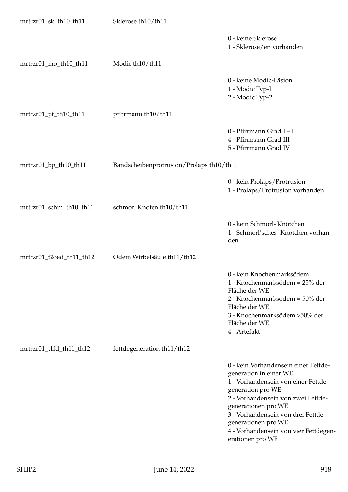| mrtrzr01_sk_th10_th11    | Sklerose th10/th11                       |                                                                                                                                                                                                                                                                                                                   |
|--------------------------|------------------------------------------|-------------------------------------------------------------------------------------------------------------------------------------------------------------------------------------------------------------------------------------------------------------------------------------------------------------------|
|                          |                                          | 0 - keine Sklerose<br>1 - Sklerose/en vorhanden                                                                                                                                                                                                                                                                   |
| mrtrzr01_mo_th10_th11    | Modic th10/th11                          |                                                                                                                                                                                                                                                                                                                   |
|                          |                                          | 0 - keine Modic-Läsion<br>1 - Modic Typ-I<br>2 - Modic Typ-2                                                                                                                                                                                                                                                      |
| mrtrzr01_pf_th10_th11    | pfirrmann th10/th11                      |                                                                                                                                                                                                                                                                                                                   |
|                          |                                          | 0 - Pfirrmann Grad I - III<br>4 - Pfirrmann Grad III<br>5 - Pfirrmann Grad IV                                                                                                                                                                                                                                     |
| mrtrzr01_bp_th10_th11    | Bandscheibenprotrusion/Prolaps th10/th11 |                                                                                                                                                                                                                                                                                                                   |
|                          |                                          | 0 - kein Prolaps/Protrusion<br>1 - Prolaps/Protrusion vorhanden                                                                                                                                                                                                                                                   |
| mrtrzr01_schm_th10_th11  | schmorl Knoten th10/th11                 |                                                                                                                                                                                                                                                                                                                   |
|                          |                                          | 0 - kein Schmorl- Knötchen<br>1 - Schmorl'sches- Knötchen vorhan-<br>den                                                                                                                                                                                                                                          |
| mrtrzr01_t2oed_th11_th12 | Ödem Wirbelsäule th11/th12               |                                                                                                                                                                                                                                                                                                                   |
|                          |                                          | 0 - kein Knochenmarksödem<br>1 - Knochenmarksödem = 25% der<br>Fläche der WE<br>2 - Knochenmarksödem = 50% der<br>Fläche der WE<br>3 - Knochenmarksödem > 50% der<br>Fläche der WE<br>4 - Artefakt                                                                                                                |
| mrtrzr01_t1fd_th11_th12  | fettdegeneration th11/th12               |                                                                                                                                                                                                                                                                                                                   |
|                          |                                          | 0 - kein Vorhandensein einer Fettde-<br>generation in einer WE<br>1 - Vorhandensein von einer Fettde-<br>generation pro WE<br>2 - Vorhandensein von zwei Fettde-<br>generationen pro WE<br>3 - Vorhandensein von drei Fettde-<br>generationen pro WE<br>4 - Vorhandensein von vier Fettdegen-<br>erationen pro WE |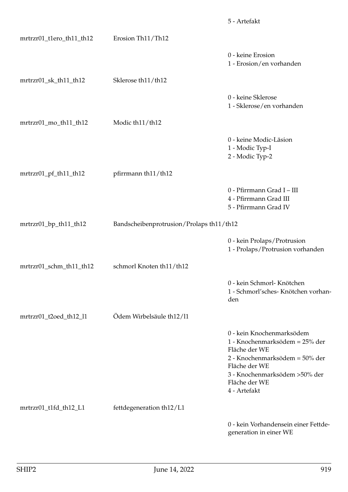|                          |                                          | 5 - Artefakt                                                                                                                                                                                       |
|--------------------------|------------------------------------------|----------------------------------------------------------------------------------------------------------------------------------------------------------------------------------------------------|
| mrtrzr01_t1ero_th11_th12 | Erosion Th11/Th12                        |                                                                                                                                                                                                    |
|                          |                                          | 0 - keine Erosion<br>1 - Erosion/en vorhanden                                                                                                                                                      |
| mrtrzr01_sk_th11_th12    | Sklerose th11/th12                       |                                                                                                                                                                                                    |
|                          |                                          | 0 - keine Sklerose<br>1 - Sklerose/en vorhanden                                                                                                                                                    |
| mrtrzr01_mo_th11_th12    | Modic th11/th12                          |                                                                                                                                                                                                    |
|                          |                                          | 0 - keine Modic-Läsion<br>1 - Modic Typ-I<br>2 - Modic Typ-2                                                                                                                                       |
| mrtrzr01_pf_th11_th12    | pfirrmann th11/th12                      |                                                                                                                                                                                                    |
|                          |                                          | 0 - Pfirrmann Grad I - III<br>4 - Pfirrmann Grad III<br>5 - Pfirrmann Grad IV                                                                                                                      |
| mrtrzr01_bp_th11_th12    | Bandscheibenprotrusion/Prolaps th11/th12 |                                                                                                                                                                                                    |
|                          |                                          | 0 - kein Prolaps/Protrusion<br>1 - Prolaps/Protrusion vorhanden                                                                                                                                    |
| mrtrzr01_schm_th11_th12  | schmorl Knoten th11/th12                 |                                                                                                                                                                                                    |
|                          |                                          | 0 - kein Schmorl- Knötchen<br>1 - Schmorl'sches- Knötchen vorhan-<br>den                                                                                                                           |
| mrtrzr01_t2oed_th12_l1   | Ödem Wirbelsäule th12/11                 |                                                                                                                                                                                                    |
|                          |                                          | 0 - kein Knochenmarksödem<br>1 - Knochenmarksödem = 25% der<br>Fläche der WE<br>2 - Knochenmarksödem = 50% der<br>Fläche der WE<br>3 - Knochenmarksödem > 50% der<br>Fläche der WE<br>4 - Artefakt |
| mrtrzr01_t1fd_th12_L1    | fettdegeneration th12/L1                 |                                                                                                                                                                                                    |
|                          |                                          | 0 - kein Vorhandensein einer Fettde-<br>generation in einer WE                                                                                                                                     |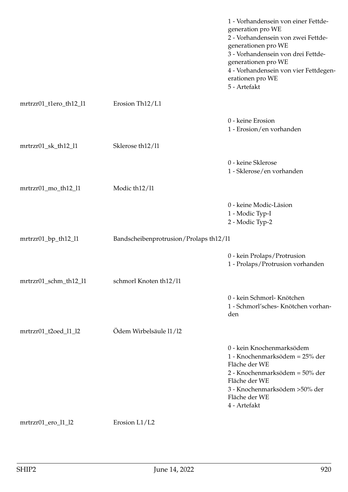|                        |                                          | 1 - Vorhandensein von einer Fettde-<br>generation pro WE<br>2 - Vorhandensein von zwei Fettde-<br>generationen pro WE<br>3 - Vorhandensein von drei Fettde-<br>generationen pro WE<br>4 - Vorhandensein von vier Fettdegen-<br>erationen pro WE<br>5 - Artefakt |
|------------------------|------------------------------------------|-----------------------------------------------------------------------------------------------------------------------------------------------------------------------------------------------------------------------------------------------------------------|
| mrtrzr01_t1ero_th12_l1 | Erosion Th <sub>12</sub> /L <sub>1</sub> |                                                                                                                                                                                                                                                                 |
|                        |                                          | 0 - keine Erosion<br>1 - Erosion/en vorhanden                                                                                                                                                                                                                   |
| mrtrzr01_sk_th12_l1    | Sklerose th12/11                         |                                                                                                                                                                                                                                                                 |
|                        |                                          | 0 - keine Sklerose<br>1 - Sklerose/en vorhanden                                                                                                                                                                                                                 |
| mrtrzr01_mo_th12_l1    | Modic th <sub>12</sub> /11               |                                                                                                                                                                                                                                                                 |
|                        |                                          | 0 - keine Modic-Läsion<br>1 - Modic Typ-I<br>2 - Modic Typ-2                                                                                                                                                                                                    |
| mrtrzr01_bp_th12_l1    | Bandscheibenprotrusion/Prolaps th12/11   |                                                                                                                                                                                                                                                                 |
|                        |                                          | 0 - kein Prolaps/Protrusion<br>1 - Prolaps/Protrusion vorhanden                                                                                                                                                                                                 |
| mrtrzr01_schm_th12_l1  | schmorl Knoten th12/11                   |                                                                                                                                                                                                                                                                 |
|                        |                                          | 0 - kein Schmorl- Knötchen<br>1 - Schmorl'sches- Knötchen vorhan-<br>den                                                                                                                                                                                        |
| mrtrzr01_t2oed_l1_l2   | Ödem Wirbelsäule 11/12                   |                                                                                                                                                                                                                                                                 |
|                        |                                          | 0 - kein Knochenmarksödem<br>1 - Knochenmarksödem = 25% der<br>Fläche der WE<br>2 - Knochenmarksödem = 50% der<br>Fläche der WE<br>3 - Knochenmarksödem > 50% der<br>Fläche der WE<br>4 - Artefakt                                                              |
| mrtrzr01_ero_l1_l2     | Erosion L1/L2                            |                                                                                                                                                                                                                                                                 |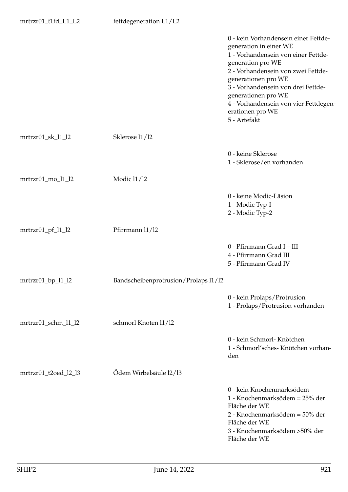|                          |                                      | 0 - kein Vorhandensein einer Fettde-<br>generation in einer WE<br>1 - Vorhandensein von einer Fettde-<br>generation pro WE<br>2 - Vorhandensein von zwei Fettde-<br>generationen pro WE<br>3 - Vorhandensein von drei Fettde-<br>generationen pro WE<br>4 - Vorhandensein von vier Fettdegen-<br>erationen pro WE<br>5 - Artefakt |
|--------------------------|--------------------------------------|-----------------------------------------------------------------------------------------------------------------------------------------------------------------------------------------------------------------------------------------------------------------------------------------------------------------------------------|
| mrtrzr01_sk_l1_l2        | Sklerose 11/12                       |                                                                                                                                                                                                                                                                                                                                   |
|                          |                                      | 0 - keine Sklerose<br>1 - Sklerose/en vorhanden                                                                                                                                                                                                                                                                                   |
| mrtrzr01_mo_l1_l2        | Modic 11/12                          |                                                                                                                                                                                                                                                                                                                                   |
|                          |                                      | 0 - keine Modic-Läsion<br>1 - Modic Typ-I<br>2 - Modic Typ-2                                                                                                                                                                                                                                                                      |
| $mrtrzr01_pf_11_2$       | Pfirrmann 11/12                      |                                                                                                                                                                                                                                                                                                                                   |
|                          |                                      | 0 - Pfirrmann Grad I - III<br>4 - Pfirrmann Grad III<br>5 - Pfirrmann Grad IV                                                                                                                                                                                                                                                     |
| $mrtrzr01$ _bp_ $l1$ _l2 | Bandscheibenprotrusion/Prolaps 11/12 |                                                                                                                                                                                                                                                                                                                                   |
|                          |                                      | 0 - kein Prolaps/Protrusion<br>1 - Prolaps/Protrusion vorhanden                                                                                                                                                                                                                                                                   |
| mrtrzr01_schm_l1_l2      | schmorl Knoten 11/12                 |                                                                                                                                                                                                                                                                                                                                   |
|                          |                                      | 0 - kein Schmorl- Knötchen<br>1 - Schmorl'sches- Knötchen vorhan-<br>den                                                                                                                                                                                                                                                          |
| mrtrzr01_t2oed_l2_l3     | Ödem Wirbelsäule 12/13               |                                                                                                                                                                                                                                                                                                                                   |
|                          |                                      | 0 - kein Knochenmarksödem<br>1 - Knochenmarksödem = 25% der<br>Fläche der WE<br>2 - Knochenmarksödem = 50% der<br>Fläche der WE<br>3 - Knochenmarksödem >50% der<br>Fläche der WE                                                                                                                                                 |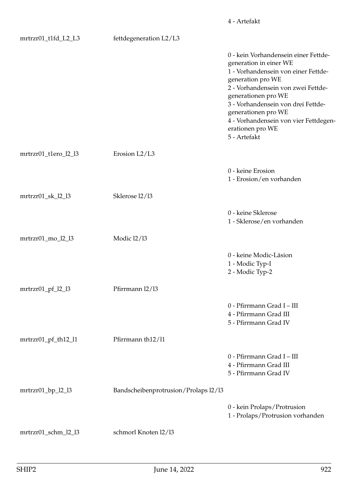| mrtrzr01_t1fd_L2_L3  | fettdegeneration L2/L3               |                                                                                                                                                                                                                                                                                                                                   |
|----------------------|--------------------------------------|-----------------------------------------------------------------------------------------------------------------------------------------------------------------------------------------------------------------------------------------------------------------------------------------------------------------------------------|
|                      |                                      | 0 - kein Vorhandensein einer Fettde-<br>generation in einer WE<br>1 - Vorhandensein von einer Fettde-<br>generation pro WE<br>2 - Vorhandensein von zwei Fettde-<br>generationen pro WE<br>3 - Vorhandensein von drei Fettde-<br>generationen pro WE<br>4 - Vorhandensein von vier Fettdegen-<br>erationen pro WE<br>5 - Artefakt |
| mrtrzr01_t1ero_l2_l3 | Erosion L2/L3                        |                                                                                                                                                                                                                                                                                                                                   |
|                      |                                      | 0 - keine Erosion<br>1 - Erosion/en vorhanden                                                                                                                                                                                                                                                                                     |
| mrtrzr01_sk_l2_l3    | Sklerose 12/13                       |                                                                                                                                                                                                                                                                                                                                   |
|                      |                                      | 0 - keine Sklerose<br>1 - Sklerose/en vorhanden                                                                                                                                                                                                                                                                                   |
| mrtrzr01_mo_l2_l3    | Modic 12/13                          |                                                                                                                                                                                                                                                                                                                                   |
|                      |                                      | 0 - keine Modic-Läsion<br>1 - Modic Typ-I<br>2 - Modic Typ-2                                                                                                                                                                                                                                                                      |
| $mrtrzr01_pf_22_3$   | Pfirrmann 12/13                      |                                                                                                                                                                                                                                                                                                                                   |
|                      |                                      | 0 - Pfirrmann Grad I - III<br>4 - Pfirrmann Grad III<br>5 - Pfirrmann Grad IV                                                                                                                                                                                                                                                     |
| mrtrzr01_pf_th12_l1  | Pfirrmann th12/11                    |                                                                                                                                                                                                                                                                                                                                   |
|                      |                                      | 0 - Pfirrmann Grad I - III<br>4 - Pfirrmann Grad III<br>5 - Pfirrmann Grad IV                                                                                                                                                                                                                                                     |
| $mrtrzr01$ _bp_l2_l3 | Bandscheibenprotrusion/Prolaps 12/13 |                                                                                                                                                                                                                                                                                                                                   |
|                      |                                      | 0 - kein Prolaps/Protrusion<br>1 - Prolaps/Protrusion vorhanden                                                                                                                                                                                                                                                                   |
| mrtrzr01_schm_l2_l3  | schmorl Knoten 12/13                 |                                                                                                                                                                                                                                                                                                                                   |

4 - Artefakt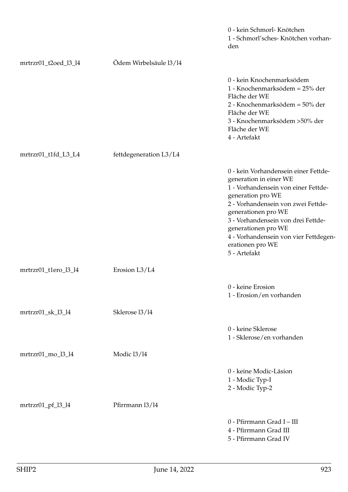|                                 |                        | 0 - kein Schmorl- Knötchen<br>1 - Schmorl'sches- Knötchen vorhan-<br>den                                                                                                                                                                                                                                                          |
|---------------------------------|------------------------|-----------------------------------------------------------------------------------------------------------------------------------------------------------------------------------------------------------------------------------------------------------------------------------------------------------------------------------|
| mrtrzr01_t2oed_l3_l4            | Ödem Wirbelsäule 13/14 |                                                                                                                                                                                                                                                                                                                                   |
|                                 |                        | 0 - kein Knochenmarksödem<br>1 - Knochenmarksödem = 25% der<br>Fläche der WE<br>2 - Knochenmarksödem = 50% der<br>Fläche der WE<br>3 - Knochenmarksödem >50% der<br>Fläche der WE<br>4 - Artefakt                                                                                                                                 |
| mrtrzr01_t1fd_L3_L4             | fettdegeneration L3/L4 |                                                                                                                                                                                                                                                                                                                                   |
|                                 |                        | 0 - kein Vorhandensein einer Fettde-<br>generation in einer WE<br>1 - Vorhandensein von einer Fettde-<br>generation pro WE<br>2 - Vorhandensein von zwei Fettde-<br>generationen pro WE<br>3 - Vorhandensein von drei Fettde-<br>generationen pro WE<br>4 - Vorhandensein von vier Fettdegen-<br>erationen pro WE<br>5 - Artefakt |
| mrtrzr01_t1ero_l3_l4            | Erosion L3/L4          |                                                                                                                                                                                                                                                                                                                                   |
|                                 |                        | 0 - keine Erosion<br>1 - Erosion/en vorhanden                                                                                                                                                                                                                                                                                     |
| $mrtrzr01$ <sub>_sk_13_14</sub> | Sklerose 13/14         |                                                                                                                                                                                                                                                                                                                                   |
|                                 |                        | 0 - keine Sklerose<br>1 - Sklerose/en vorhanden                                                                                                                                                                                                                                                                                   |
| mrtrzr01_mo_l3_l4               | Modic 13/14            |                                                                                                                                                                                                                                                                                                                                   |
|                                 |                        | 0 - keine Modic-Läsion<br>1 - Modic Typ-I<br>2 - Modic Typ-2                                                                                                                                                                                                                                                                      |
| mrtrzr01_pf_l3_l4               | Pfirrmann 13/14        |                                                                                                                                                                                                                                                                                                                                   |
|                                 |                        | 0 - Pfirrmann Grad I - III<br>4 - Pfirrmann Grad III<br>5 - Pfirrmann Grad IV                                                                                                                                                                                                                                                     |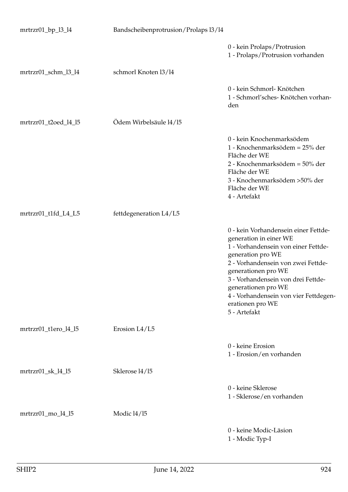| $mrtrzr01_bp_13_14$  | Bandscheibenprotrusion/Prolaps 13/14 |                                                                                                                                                                                                                                                                                                                                   |
|----------------------|--------------------------------------|-----------------------------------------------------------------------------------------------------------------------------------------------------------------------------------------------------------------------------------------------------------------------------------------------------------------------------------|
|                      |                                      | 0 - kein Prolaps/Protrusion<br>1 - Prolaps/Protrusion vorhanden                                                                                                                                                                                                                                                                   |
| mrtrzr01_schm_l3_l4  | schmorl Knoten 13/14                 |                                                                                                                                                                                                                                                                                                                                   |
|                      |                                      | 0 - kein Schmorl- Knötchen<br>1 - Schmorl'sches- Knötchen vorhan-<br>den                                                                                                                                                                                                                                                          |
| mrtrzr01_t2oed_l4_l5 | Ödem Wirbelsäule 14/15               |                                                                                                                                                                                                                                                                                                                                   |
|                      |                                      | 0 - kein Knochenmarksödem<br>1 - Knochenmarksödem = 25% der<br>Fläche der WE<br>2 - Knochenmarksödem = 50% der<br>Fläche der WE<br>3 - Knochenmarksödem > 50% der<br>Fläche der WE<br>4 - Artefakt                                                                                                                                |
| mrtrzr01_t1fd_L4_L5  | fettdegeneration L4/L5               |                                                                                                                                                                                                                                                                                                                                   |
|                      |                                      | 0 - kein Vorhandensein einer Fettde-<br>generation in einer WE<br>1 - Vorhandensein von einer Fettde-<br>generation pro WE<br>2 - Vorhandensein von zwei Fettde-<br>generationen pro WE<br>3 - Vorhandensein von drei Fettde-<br>generationen pro WE<br>4 - Vorhandensein von vier Fettdegen-<br>erationen pro WE<br>5 - Artefakt |
| mrtrzr01_t1ero_l4_l5 | Erosion L4/L5                        |                                                                                                                                                                                                                                                                                                                                   |
|                      |                                      | 0 - keine Erosion<br>1 - Erosion/en vorhanden                                                                                                                                                                                                                                                                                     |
| mrtrzr01_sk_l4_l5    | Sklerose 14/15                       |                                                                                                                                                                                                                                                                                                                                   |
|                      |                                      | 0 - keine Sklerose<br>1 - Sklerose/en vorhanden                                                                                                                                                                                                                                                                                   |
| mrtrzr01_mo_l4_l5    | Modic 14/15                          |                                                                                                                                                                                                                                                                                                                                   |
|                      |                                      | 0 - keine Modic-Läsion<br>1 - Modic Typ-I                                                                                                                                                                                                                                                                                         |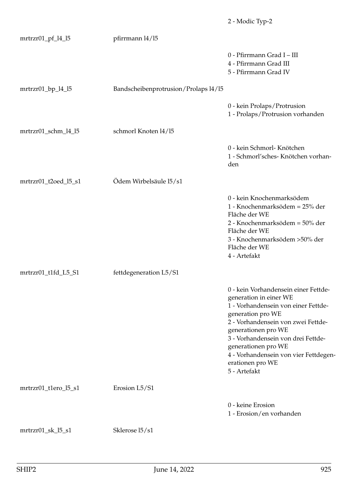|                                  |                                      | 2 - Modic Typ-2                                                                                                                                                                                                                                                                                                                   |
|----------------------------------|--------------------------------------|-----------------------------------------------------------------------------------------------------------------------------------------------------------------------------------------------------------------------------------------------------------------------------------------------------------------------------------|
| mrtrzr01_pf_l4_l5                | pfirrmann 14/15                      |                                                                                                                                                                                                                                                                                                                                   |
|                                  |                                      | 0 - Pfirrmann Grad I - III<br>4 - Pfirrmann Grad III<br>5 - Pfirrmann Grad IV                                                                                                                                                                                                                                                     |
| mrtrzr01_bp_l4_l5                | Bandscheibenprotrusion/Prolaps 14/15 |                                                                                                                                                                                                                                                                                                                                   |
|                                  |                                      | 0 - kein Prolaps/Protrusion<br>1 - Prolaps/Protrusion vorhanden                                                                                                                                                                                                                                                                   |
| mrtrzr01_schm_l4_l5              | schmorl Knoten 14/15                 |                                                                                                                                                                                                                                                                                                                                   |
|                                  |                                      | 0 - kein Schmorl- Knötchen<br>1 - Schmorl'sches- Knötchen vorhan-<br>den                                                                                                                                                                                                                                                          |
| mrtrzr01_t2oed_l5_s1             | Ödem Wirbelsäule 15/s1               |                                                                                                                                                                                                                                                                                                                                   |
|                                  |                                      | 0 - kein Knochenmarksödem<br>1 - Knochenmarksödem = 25% der<br>Fläche der WE<br>2 - Knochenmarksödem = 50% der<br>Fläche der WE<br>3 - Knochenmarksödem > 50% der<br>Fläche der WE<br>4 - Artefakt                                                                                                                                |
| mrtrzr01_t1fd_L5_S1              | fettdegeneration L5/S1               |                                                                                                                                                                                                                                                                                                                                   |
|                                  |                                      | 0 - kein Vorhandensein einer Fettde-<br>generation in einer WE<br>1 - Vorhandensein von einer Fettde-<br>generation pro WE<br>2 - Vorhandensein von zwei Fettde-<br>generationen pro WE<br>3 - Vorhandensein von drei Fettde-<br>generationen pro WE<br>4 - Vorhandensein von vier Fettdegen-<br>erationen pro WE<br>5 - Artefakt |
| mrtrzr01_t1ero_l5_s1             | Erosion L5/S1                        |                                                                                                                                                                                                                                                                                                                                   |
|                                  |                                      | 0 - keine Erosion<br>1 - Erosion/en vorhanden                                                                                                                                                                                                                                                                                     |
| $mrtrzr01$ <sub>_sk</sub> _l5_s1 | Sklerose 15/s1                       |                                                                                                                                                                                                                                                                                                                                   |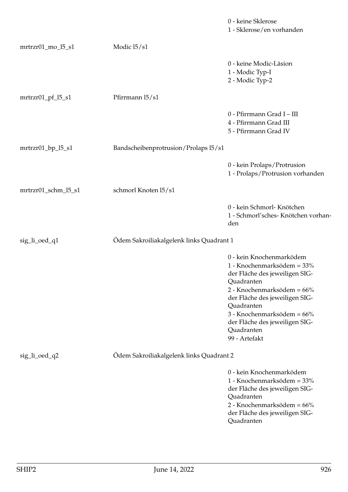|                     |                                          | 0 - keine Sklerose<br>1 - Sklerose/en vorhanden                                                                                                                                                                                                                                     |
|---------------------|------------------------------------------|-------------------------------------------------------------------------------------------------------------------------------------------------------------------------------------------------------------------------------------------------------------------------------------|
| mrtrzr01_mo_l5_s1   | Modic 15/s1                              |                                                                                                                                                                                                                                                                                     |
|                     |                                          | 0 - keine Modic-Läsion<br>1 - Modic Typ-I<br>2 - Modic Typ-2                                                                                                                                                                                                                        |
| mrtrzr01_pf_l5_s1   | Pfirrmann 15/s1                          |                                                                                                                                                                                                                                                                                     |
|                     |                                          | 0 - Pfirrmann Grad I - III<br>4 - Pfirrmann Grad III<br>5 - Pfirrmann Grad IV                                                                                                                                                                                                       |
| $mrtrzr01_bp_l5_s1$ | Bandscheibenprotrusion/Prolaps l5/s1     |                                                                                                                                                                                                                                                                                     |
|                     |                                          | 0 - kein Prolaps/Protrusion<br>1 - Prolaps/Protrusion vorhanden                                                                                                                                                                                                                     |
| mrtrzr01_schm_l5_s1 | schmorl Knoten 15/s1                     |                                                                                                                                                                                                                                                                                     |
|                     |                                          | 0 - kein Schmorl- Knötchen<br>1 - Schmorl'sches- Knötchen vorhan-<br>den                                                                                                                                                                                                            |
| sig_li_oed_q1       | Ödem Sakroiliakalgelenk links Quadrant 1 |                                                                                                                                                                                                                                                                                     |
|                     |                                          | 0 - kein Knochenmarködem<br>1 - Knochenmarksödem = 33%<br>der Fläche des jeweiligen SIG-<br>Quadranten<br>2 - Knochenmarksödem = 66%<br>der Fläche des jeweiligen SIG-<br>Quadranten<br>3 - Knochenmarksödem = 66%<br>der Fläche des jeweiligen SIG-<br>Quadranten<br>99 - Artefakt |
| sig_li_oed_q2       | Ödem Sakroiliakalgelenk links Quadrant 2 |                                                                                                                                                                                                                                                                                     |
|                     |                                          | 0 - kein Knochenmarködem<br>1 - Knochenmarksödem = 33%<br>der Fläche des jeweiligen SIG-<br>Quadranten<br>2 - Knochenmarksödem = 66%<br>der Fläche des jeweiligen SIG-<br>Quadranten                                                                                                |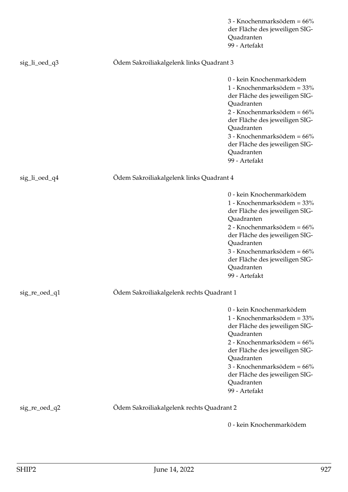|               |                                           | 3 - Knochenmarksödem = 66%<br>der Fläche des jeweiligen SIG-<br>Quadranten<br>99 - Artefakt                                                                                                                                                                                         |
|---------------|-------------------------------------------|-------------------------------------------------------------------------------------------------------------------------------------------------------------------------------------------------------------------------------------------------------------------------------------|
| sig_li_oed_q3 | Odem Sakroiliakalgelenk links Quadrant 3  |                                                                                                                                                                                                                                                                                     |
|               |                                           | 0 - kein Knochenmarködem<br>1 - Knochenmarksödem = 33%<br>der Fläche des jeweiligen SIG-<br>Quadranten<br>2 - Knochenmarksödem = 66%<br>der Fläche des jeweiligen SIG-<br>Quadranten<br>3 - Knochenmarksödem = 66%<br>der Fläche des jeweiligen SIG-<br>Quadranten<br>99 - Artefakt |
| sig_li_oed_q4 | Odem Sakroiliakalgelenk links Quadrant 4  |                                                                                                                                                                                                                                                                                     |
|               |                                           | 0 - kein Knochenmarködem<br>1 - Knochenmarksödem = 33%<br>der Fläche des jeweiligen SIG-<br>Quadranten<br>2 - Knochenmarksödem = 66%<br>der Fläche des jeweiligen SIG-<br>Quadranten<br>3 - Knochenmarksödem = 66%<br>der Fläche des jeweiligen SIG-<br>Quadranten<br>99 - Artefakt |
| sig_re_oed_q1 | Ödem Sakroiliakalgelenk rechts Quadrant 1 |                                                                                                                                                                                                                                                                                     |
|               |                                           | 0 - kein Knochenmarködem<br>1 - Knochenmarksödem = 33%<br>der Fläche des jeweiligen SIG-<br>Quadranten<br>2 - Knochenmarksödem = 66%<br>der Fläche des jeweiligen SIG-<br>Quadranten<br>3 - Knochenmarksödem = 66%<br>der Fläche des jeweiligen SIG-<br>Quadranten<br>99 - Artefakt |
| sig_re_oed_q2 | Odem Sakroiliakalgelenk rechts Quadrant 2 |                                                                                                                                                                                                                                                                                     |
|               |                                           | 0 - kein Knochenmarködem                                                                                                                                                                                                                                                            |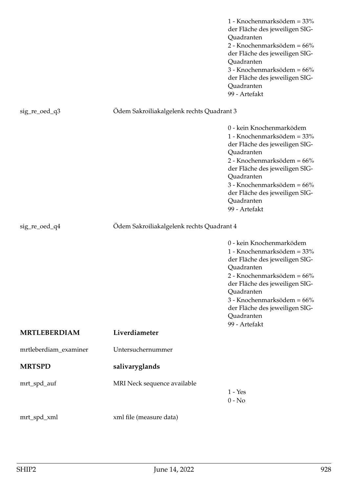|                       |                                           | 1 - Knochenmarksödem = 33%<br>der Fläche des jeweiligen SIG-<br>Quadranten<br>2 - Knochenmarksödem = 66%<br>der Fläche des jeweiligen SIG-<br>Quadranten<br>3 - Knochenmarksödem = 66%<br>der Fläche des jeweiligen SIG-<br>Quadranten<br>99 - Artefakt                             |
|-----------------------|-------------------------------------------|-------------------------------------------------------------------------------------------------------------------------------------------------------------------------------------------------------------------------------------------------------------------------------------|
| sig_re_oed_q3         | Ödem Sakroiliakalgelenk rechts Quadrant 3 |                                                                                                                                                                                                                                                                                     |
|                       |                                           | 0 - kein Knochenmarködem<br>1 - Knochenmarksödem = 33%<br>der Fläche des jeweiligen SIG-<br>Quadranten<br>2 - Knochenmarksödem = 66%<br>der Fläche des jeweiligen SIG-<br>Quadranten<br>3 - Knochenmarksödem = 66%<br>der Fläche des jeweiligen SIG-<br>Quadranten<br>99 - Artefakt |
| sig_re_oed_q4         | Ödem Sakroiliakalgelenk rechts Quadrant 4 |                                                                                                                                                                                                                                                                                     |
|                       |                                           | 0 - kein Knochenmarködem<br>1 - Knochenmarksödem = 33%<br>der Fläche des jeweiligen SIG-<br>Quadranten<br>2 - Knochenmarksödem = 66%<br>der Fläche des jeweiligen SIG-<br>Quadranten<br>3 - Knochenmarksödem = 66%<br>der Fläche des jeweiligen SIG-<br>Quadranten<br>99 - Artefakt |
| <b>MRTLEBERDIAM</b>   | Liverdiameter                             |                                                                                                                                                                                                                                                                                     |
| mrtleberdiam_examiner | Untersuchernummer                         |                                                                                                                                                                                                                                                                                     |
| <b>MRTSPD</b>         | salivaryglands                            |                                                                                                                                                                                                                                                                                     |
| mrt_spd_auf           | MRI Neck sequence available               | $1 - Yes$<br>$0 - No$                                                                                                                                                                                                                                                               |
|                       |                                           |                                                                                                                                                                                                                                                                                     |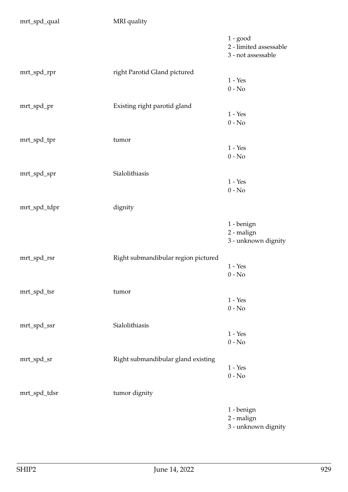| mrt_spd_qual | MRI quality                         |                                                            |
|--------------|-------------------------------------|------------------------------------------------------------|
|              |                                     | $1 - good$<br>2 - limited assessable<br>3 - not assessable |
| mrt_spd_rpr  | right Parotid Gland pictured        |                                                            |
|              |                                     | $1 - Yes$                                                  |
|              |                                     | $0 - No$                                                   |
| mrt_spd_pr   | Existing right parotid gland        |                                                            |
|              |                                     | $1 - Yes$                                                  |
|              |                                     | $0 - No$                                                   |
| mrt_spd_tpr  | tumor                               |                                                            |
|              |                                     | $1 - Yes$                                                  |
|              |                                     | $0 - No$                                                   |
|              |                                     |                                                            |
| mrt_spd_spr  | Sialolithiasis                      |                                                            |
|              |                                     | $1 - Yes$<br>$0 - No$                                      |
|              |                                     |                                                            |
| mrt_spd_tdpr | dignity                             |                                                            |
|              |                                     | 1 - benign                                                 |
|              |                                     | 2 - malign                                                 |
|              |                                     | 3 - unknown dignity                                        |
|              |                                     |                                                            |
| mrt_spd_rsr  | Right submandibular region pictured | $1 - Yes$                                                  |
|              |                                     | $0 - No$                                                   |
|              |                                     |                                                            |
| mrt_spd_tsr  | tumor                               |                                                            |
|              |                                     | $1 - Yes$                                                  |
|              |                                     | $0 - No$                                                   |
| mrt_spd_ssr  | Sialolithiasis                      |                                                            |
|              |                                     | $1 - Yes$                                                  |
|              |                                     | $0 - No$                                                   |
| mrt_spd_sr   | Right submandibular gland existing  |                                                            |
|              |                                     | $1 - Yes$                                                  |
|              |                                     | $0 - No$                                                   |
| mrt_spd_tdsr | tumor dignity                       |                                                            |
|              |                                     |                                                            |
|              |                                     | 1 - benign<br>2 - malign                                   |
|              |                                     | 3 - unknown dignity                                        |
|              |                                     |                                                            |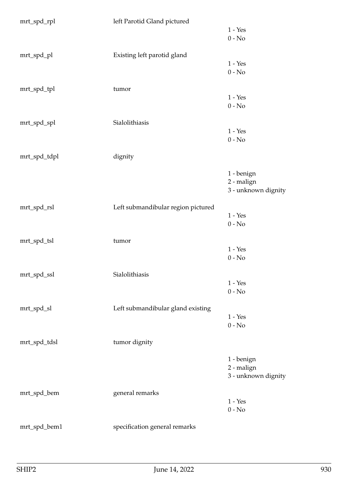| mrt_spd_rpl  | left Parotid Gland pictured        |                     |
|--------------|------------------------------------|---------------------|
|              |                                    | $1 - Yes$           |
|              |                                    | $0 - No$            |
|              |                                    |                     |
| mrt_spd_pl   | Existing left parotid gland        |                     |
|              |                                    | $1 - Yes$           |
|              |                                    | $0 - No$            |
|              |                                    |                     |
| mrt_spd_tpl  | tumor                              |                     |
|              |                                    | $1 - Yes$           |
|              |                                    |                     |
|              |                                    | $0 - No$            |
|              |                                    |                     |
| mrt_spd_spl  | Sialolithiasis                     |                     |
|              |                                    | $1 - Yes$           |
|              |                                    | $0 - No$            |
|              |                                    |                     |
| mrt_spd_tdpl | dignity                            |                     |
|              |                                    |                     |
|              |                                    | 1 - benign          |
|              |                                    | 2 - malign          |
|              |                                    | 3 - unknown dignity |
|              |                                    |                     |
| mrt_spd_rsl  | Left submandibular region pictured |                     |
|              |                                    | $1 - Yes$           |
|              |                                    | $0 - No$            |
|              |                                    |                     |
| mrt_spd_tsl  | tumor                              |                     |
|              |                                    | $1 - Yes$           |
|              |                                    | $0 - No$            |
|              |                                    |                     |
|              |                                    |                     |
| mrt_spd_ssl  | Sialolithiasis                     |                     |
|              |                                    | $1 - Yes$           |
|              |                                    | $0 - No$            |
|              |                                    |                     |
| mrt_spd_sl   | Left submandibular gland existing  |                     |
|              |                                    | $1 - Yes$           |
|              |                                    | $0 - No$            |
|              |                                    |                     |
| mrt_spd_tdsl | tumor dignity                      |                     |
|              |                                    |                     |
|              |                                    | 1 - benign          |
|              |                                    | 2 - malign          |
|              |                                    | 3 - unknown dignity |
|              |                                    |                     |
| mrt_spd_bem  | general remarks                    |                     |
|              |                                    | $1 - Yes$           |
|              |                                    | $0 - No$            |
|              |                                    |                     |
|              |                                    |                     |
| mrt_spd_bem1 | specification general remarks      |                     |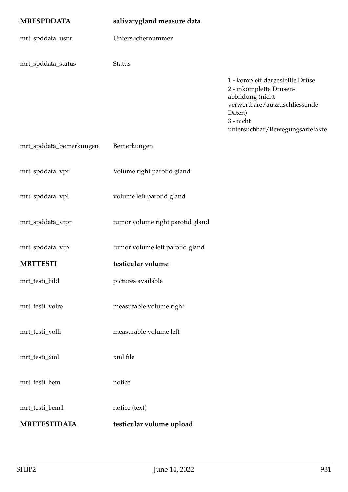| <b>MRTSPDDATA</b>       | salivarygland measure data       |                                                                                                                                        |
|-------------------------|----------------------------------|----------------------------------------------------------------------------------------------------------------------------------------|
| mrt_spddata_usnr        | Untersuchernummer                |                                                                                                                                        |
| mrt_spddata_status      | Status                           | 1 - komplett dargestellte Drüse                                                                                                        |
|                         |                                  | 2 - inkomplette Drüsen-<br>abbildung (nicht<br>verwertbare/auszuschliessende<br>Daten)<br>3 - nicht<br>untersuchbar/Bewegungsartefakte |
| mrt_spddata_bemerkungen | Bemerkungen                      |                                                                                                                                        |
| mrt_spddata_vpr         | Volume right parotid gland       |                                                                                                                                        |
| mrt_spddata_vpl         | volume left parotid gland        |                                                                                                                                        |
| mrt_spddata_vtpr        | tumor volume right parotid gland |                                                                                                                                        |
| mrt_spddata_vtpl        | tumor volume left parotid gland  |                                                                                                                                        |
| <b>MRTTESTI</b>         | testicular volume                |                                                                                                                                        |
| mrt_testi_bild          | pictures available               |                                                                                                                                        |
| mrt_testi_volre         | measurable volume right          |                                                                                                                                        |
| mrt_testi_volli         | measurable volume left           |                                                                                                                                        |
| mrt_testi_xml           | xml file                         |                                                                                                                                        |
| mrt_testi_bem           | notice                           |                                                                                                                                        |
| mrt_testi_bem1          | notice (text)                    |                                                                                                                                        |
| <b>MRTTESTIDATA</b>     | testicular volume upload         |                                                                                                                                        |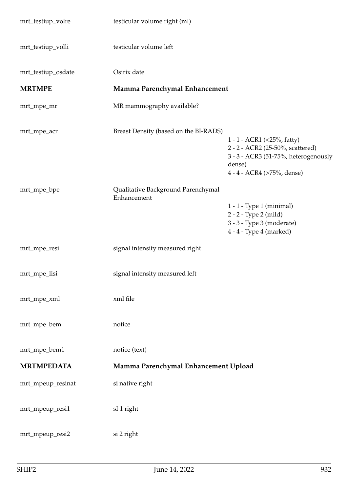| mrt_testiup_volre  | testicular volume right (ml)                      |                                                                                                                                                |
|--------------------|---------------------------------------------------|------------------------------------------------------------------------------------------------------------------------------------------------|
| mrt_testiup_volli  | testicular volume left                            |                                                                                                                                                |
| mrt_testiup_osdate | Osirix date                                       |                                                                                                                                                |
| <b>MRTMPE</b>      | Mamma Parenchymal Enhancement                     |                                                                                                                                                |
| mrt_mpe_mr         | MR mammography available?                         |                                                                                                                                                |
| mrt_mpe_acr        | Breast Density (based on the BI-RADS)             | 1 - 1 - ACR1 (<25%, fatty)<br>2 - 2 - ACR2 (25-50%, scattered)<br>3 - 3 - ACR3 (51-75%, heterogenously<br>dense)<br>4 - 4 - ACR4 (>75%, dense) |
| mrt_mpe_bpe        | Qualitative Background Parenchymal<br>Enhancement |                                                                                                                                                |
|                    |                                                   | $1 - 1$ - Type 1 (minimal)<br>2 - 2 - Type 2 (mild)<br>3 - 3 - Type 3 (moderate)<br>4 - 4 - Type 4 (marked)                                    |
| mrt_mpe_resi       | signal intensity measured right                   |                                                                                                                                                |
| mrt_mpe_lisi       | signal intensity measured left                    |                                                                                                                                                |
| mrt_mpe_xml        | xml file                                          |                                                                                                                                                |
| mrt_mpe_bem        | notice                                            |                                                                                                                                                |
| mrt_mpe_bem1       | notice (text)                                     |                                                                                                                                                |
| <b>MRTMPEDATA</b>  | Mamma Parenchymal Enhancement Upload              |                                                                                                                                                |
| mrt_mpeup_resinat  | si native right                                   |                                                                                                                                                |
| mrt_mpeup_resi1    | sI 1 right                                        |                                                                                                                                                |
| mrt_mpeup_resi2    | si 2 right                                        |                                                                                                                                                |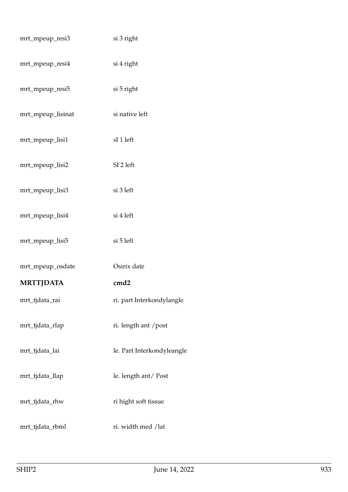| mrt_mpeup_resi3   | si 3 right                 |
|-------------------|----------------------------|
| mrt_mpeup_resi4   | si 4 right                 |
| mrt_mpeup_resi5   | si 5 right                 |
| mrt_mpeup_lisinat | si native left             |
| mrt_mpeup_lisi1   | sI 1 left                  |
| mrt_mpeup_lisi2   | SI 2 left                  |
| mrt_mpeup_lisi3   | si 3 left                  |
| mrt_mpeup_lisi4   | si 4 left                  |
| mrt_mpeup_lisi5   | si 5 left                  |
| mrt_mpeup_osdate  | Osirix date                |
| <b>MRTTJDATA</b>  | cmd2                       |
| mrt_tjdata_rai    | ri. part Interkondylangle  |
| mrt_tjdata_rlap   | ri. length ant /post       |
| mrt_tjdata_lai    | le. Part Interkondyleangle |
| mrt_tjdata_llap   | le. length ant/Post        |
| mrt_tjdata_rhw    | ri hight soft tissue       |
| mrt_tjdata_rbml   | ri. width med /lat         |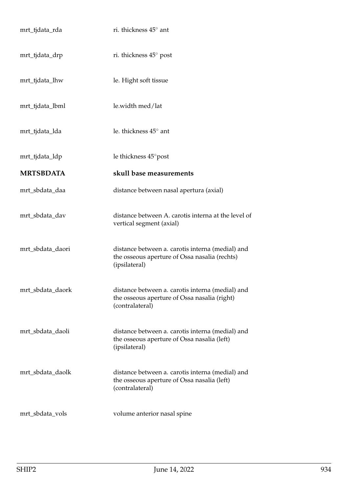| mrt_tjdata_rda   | ri. thickness 45° ant                                                                                               |
|------------------|---------------------------------------------------------------------------------------------------------------------|
| mrt_tjdata_drp   | ri. thickness 45° post                                                                                              |
| mrt_tjdata_lhw   | le. Hight soft tissue                                                                                               |
| mrt_tjdata_lbml  | le.width med/lat                                                                                                    |
| mrt_tjdata_lda   | le. thickness 45° ant                                                                                               |
| mrt_tjdata_ldp   | le thickness 45° post                                                                                               |
| <b>MRTSBDATA</b> | skull base measurements                                                                                             |
| mrt_sbdata_daa   | distance between nasal apertura (axial)                                                                             |
| mrt_sbdata_dav   | distance between A. carotis interna at the level of<br>vertical segment (axial)                                     |
| mrt_sbdata_daori | distance between a. carotis interna (medial) and<br>the osseous aperture of Ossa nasalia (rechts)<br>(ipsilateral)  |
| mrt_sbdata_daork | distance between a. carotis interna (medial) and<br>the osseous aperture of Ossa nasalia (right)<br>(contralateral) |
| mrt_sbdata_daoli | distance between a. carotis interna (medial) and<br>the osseous aperture of Ossa nasalia (left)<br>(ipsilateral)    |
| mrt_sbdata_daolk | distance between a. carotis interna (medial) and<br>the osseous aperture of Ossa nasalia (left)<br>(contralateral)  |
| mrt_sbdata_vols  | volume anterior nasal spine                                                                                         |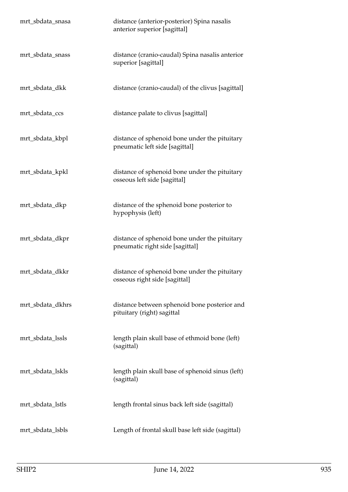| mrt_sbdata_snasa | distance (anterior-posterior) Spina nasalis<br>anterior superior [sagittal]      |
|------------------|----------------------------------------------------------------------------------|
| mrt_sbdata_snass | distance (cranio-caudal) Spina nasalis anterior<br>superior [sagittal]           |
| mrt_sbdata_dkk   | distance (cranio-caudal) of the clivus [sagittal]                                |
| mrt_sbdata_ccs   | distance palate to clivus [sagittal]                                             |
| mrt_sbdata_kbpl  | distance of sphenoid bone under the pituitary<br>pneumatic left side [sagittal]  |
| mrt_sbdata_kpkl  | distance of sphenoid bone under the pituitary<br>osseous left side [sagittal]    |
| mrt_sbdata_dkp   | distance of the sphenoid bone posterior to<br>hypophysis (left)                  |
| mrt_sbdata_dkpr  | distance of sphenoid bone under the pituitary<br>pneumatic right side [sagittal] |
| mrt_sbdata_dkkr  | distance of sphenoid bone under the pituitary<br>osseous right side [sagittal]   |
| mrt_sbdata_dkhrs | distance between sphenoid bone posterior and<br>pituitary (right) sagittal       |
| mrt_sbdata_lssls | length plain skull base of ethmoid bone (left)<br>(sagittal)                     |
| mrt_sbdata_lskls | length plain skull base of sphenoid sinus (left)<br>(sagittal)                   |
| mrt_sbdata_lstls | length frontal sinus back left side (sagittal)                                   |
| mrt_sbdata_lsbls | Length of frontal skull base left side (sagittal)                                |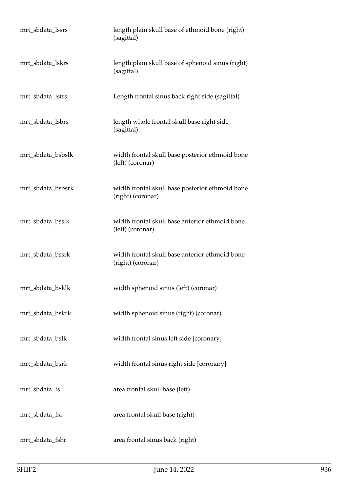| mrt_sbdata_lssrs  | length plain skull base of ethmoid bone (right)<br>(sagittal)        |
|-------------------|----------------------------------------------------------------------|
| mrt_sbdata_lskrs  | length plain skull base of sphenoid sinus (right)<br>(sagittal)      |
| mrt_sbdata_lstrs  | Length frontal sinus back right side (sagittal)                      |
| mrt_sbdata_lsbrs  | length whole frontal skull base right side<br>(sagittal)             |
| mrt_sbdata_bsbslk | width frontal skull base posterior ethmoid bone<br>(left) (coronar)  |
| mrt_sbdata_bsbsrk | width frontal skull base posterior ethmoid bone<br>(right) (coronar) |
| mrt_sbdata_bsslk  | width frontal skull base anterior ethmoid bone<br>(left) (coronar)   |
| mrt_sbdata_bssrk  | width frontal skull base anterior ethmoid bone<br>(right) (coronar)  |
| mrt_sbdata_bsklk  | width sphenoid sinus (left) (coronar)                                |
| mrt_sbdata_bskrk  | width sphenoid sinus (right) (coronar)                               |
| mrt_sbdata_bslk   | width frontal sinus left side [coronary]                             |
| mrt_sbdata_bsrk   | width frontal sinus right side [coronary]                            |
| mrt_sbdata_fsl    | area frontal skull base (left)                                       |
| mrt_sbdata_fsr    | area frontal skull base (right)                                      |
| mrt_sbdata_fshr   | area frontal sinus back (right)                                      |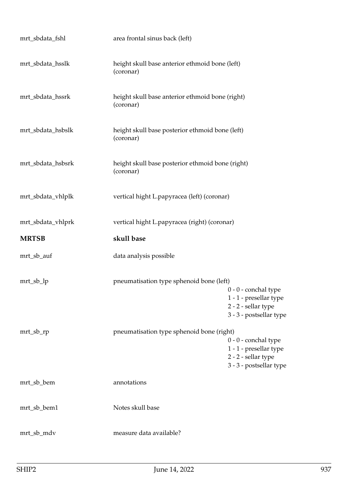| mrt_sbdata_fshl   | area frontal sinus back (left)                                |                                                                                                    |
|-------------------|---------------------------------------------------------------|----------------------------------------------------------------------------------------------------|
| mrt_sbdata_hsslk  | height skull base anterior ethmoid bone (left)<br>(coronar)   |                                                                                                    |
| mrt_sbdata_hssrk  | height skull base anterior ethmoid bone (right)<br>(coronar)  |                                                                                                    |
| mrt_sbdata_hsbslk | height skull base posterior ethmoid bone (left)<br>(coronar)  |                                                                                                    |
| mrt_sbdata_hsbsrk | height skull base posterior ethmoid bone (right)<br>(coronar) |                                                                                                    |
| mrt_sbdata_vhlplk | vertical hight L.papyracea (left) (coronar)                   |                                                                                                    |
| mrt_sbdata_vhlprk | vertical hight L.papyracea (right) (coronar)                  |                                                                                                    |
| <b>MRTSB</b>      | skull base                                                    |                                                                                                    |
| mrt_sb_auf        | data analysis possible                                        |                                                                                                    |
|                   |                                                               |                                                                                                    |
| mrt_sb_lp         | pneumatisation type sphenoid bone (left)                      | $0 - 0$ - conchal type<br>1 - 1 - presellar type<br>2 - 2 - sellar type<br>3 - 3 - postsellar type |
| $mrt\_sb\_rp$     | pneumatisation type sphenoid bone (right)                     | $0 - 0$ - conchal type<br>1 - 1 - presellar type<br>2 - 2 - sellar type<br>3 - 3 - postsellar type |
| mrt_sb_bem        | annotations                                                   |                                                                                                    |
| mrt_sb_bem1       | Notes skull base                                              |                                                                                                    |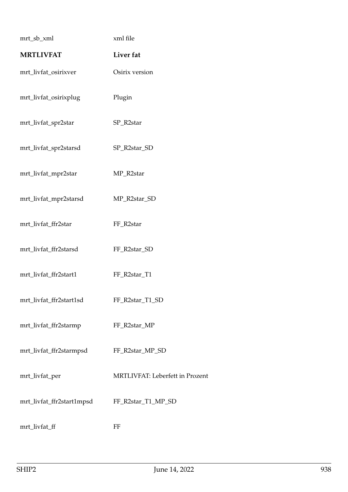| mrt_sb_xml                | xml file                        |
|---------------------------|---------------------------------|
| <b>MRTLIVFAT</b>          | Liver fat                       |
| mrt_livfat_osirixver      | Osirix version                  |
| mrt_livfat_osirixplug     | Plugin                          |
| mrt_livfat_spr2star       | SP_R2star                       |
| mrt_livfat_spr2starsd     | SP_R2star_SD                    |
| mrt_livfat_mpr2star       | MP_R2star                       |
| mrt_livfat_mpr2starsd     | MP_R2star_SD                    |
| mrt_livfat_ffr2star       | FF_R2star                       |
| mrt_livfat_ffr2starsd     | FF_R2star_SD                    |
| mrt_livfat_ffr2start1     | FF_R2star_T1                    |
| mrt_livfat_ffr2start1sd   | FF_R2star_T1_SD                 |
| mrt_livfat_ffr2starmp     | FF_R2star_MP                    |
| mrt_livfat_ffr2starmpsd   | FF_R2star_MP_SD                 |
| mrt_livfat_per            | MRTLIVFAT: Leberfett in Prozent |
| mrt_livfat_ffr2start1mpsd | FF_R2star_T1_MP_SD              |
| mrt_livfat_ff             | FF                              |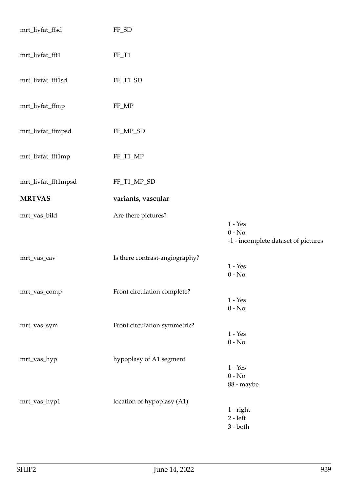| mrt_livfat_ffsd     | FF_SD                              |                                                              |
|---------------------|------------------------------------|--------------------------------------------------------------|
| mrt_livfat_fft1     | $FF_T1$                            |                                                              |
| mrt_livfat_fft1sd   | FF_T1_SD                           |                                                              |
| mrt_livfat_ffmp     | FF_MP                              |                                                              |
| mrt_livfat_ffmpsd   | $\ensuremath{\mathsf{FF\_MP\_SD}}$ |                                                              |
| mrt_livfat_fft1mp   | $\rm FF\_T1\_MP$                   |                                                              |
| mrt_livfat_fft1mpsd | FF_T1_MP_SD                        |                                                              |
| <b>MRTVAS</b>       | variants, vascular                 |                                                              |
| mrt_vas_bild        | Are there pictures?                | $1 - Yes$<br>$0 - No$<br>-1 - incomplete dataset of pictures |
| mrt_vas_cav         | Is there contrast-angiography?     | $1 - Yes$<br>$0 - No$                                        |
| mrt_vas_comp        | Front circulation complete?        | $1 - Yes$<br>$0 - No$                                        |
| mrt_vas_sym         | Front circulation symmetric?       | $1 - Yes$<br>$0 - No$                                        |
| mrt_vas_hyp         | hypoplasy of A1 segment            | $1 - Yes$<br>$0 - No$<br>88 - maybe                          |
| mrt_vas_hyp1        | location of hypoplasy (A1)         | $1$ - $right$<br>$2 - left$<br>$3 - both$                    |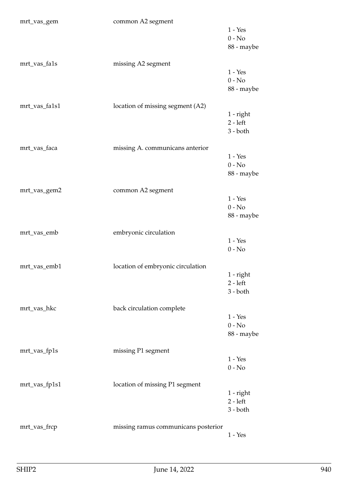| mrt_vas_gem   | common A2 segment                   | $1 - Yes$<br>$0 - No$<br>88 - maybe     |
|---------------|-------------------------------------|-----------------------------------------|
| mrt_vas_fa1s  | missing A2 segment                  | $1 - Yes$<br>$0 - No$<br>88 - maybe     |
| mrt_vas_fa1s1 | location of missing segment (A2)    | $1$ - right<br>$2 - left$<br>$3 - both$ |
| mrt_vas_faca  | missing A. communicans anterior     | $1 - Yes$<br>$0 - No$<br>88 - maybe     |
| mrt_vas_gem2  | common A2 segment                   | $1 - Yes$<br>$0 - No$<br>88 - maybe     |
| mrt_vas_emb   | embryonic circulation               | $1 - Yes$<br>$0 - No$                   |
| mrt_vas_emb1  | location of embryonic circulation   | $1$ - right<br>$2 - left$<br>$3 - both$ |
| mrt_vas_hkc   | back circulation complete           | $1 - Yes$<br>$0 - No$<br>88 - maybe     |
| mrt_vas_fp1s  | missing P1 segment                  | $1 - Yes$<br>$0 - No$                   |
| mrt_vas_fp1s1 | location of missing P1 segment      | $1$ - right<br>$2 - left$<br>$3 - both$ |
| mrt_vas_frcp  | missing ramus communicans posterior | $1 - Yes$                               |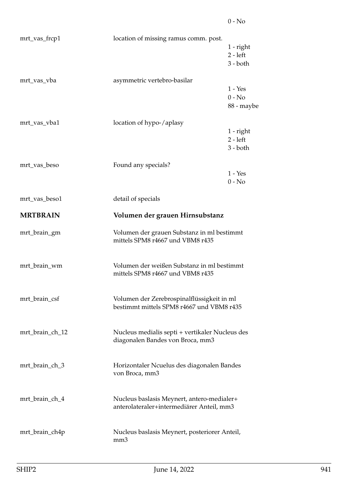| mrt_vas_frcp1   | location of missing ramus comm. post.                                                   | $1$ - right<br>$2 - left$<br>$3 - both$ |
|-----------------|-----------------------------------------------------------------------------------------|-----------------------------------------|
| mrt_vas_vba     | asymmetric vertebro-basilar                                                             | $1 - Yes$<br>$0 - No$<br>88 - maybe     |
| mrt_vas_vba1    | location of hypo-/aplasy                                                                | $1$ - right<br>$2 - left$<br>$3 - both$ |
| mrt_vas_beso    | Found any specials?                                                                     | $1 - Yes$<br>$0 - No$                   |
| mrt_vas_beso1   | detail of specials                                                                      |                                         |
| <b>MRTBRAIN</b> | Volumen der grauen Hirnsubstanz                                                         |                                         |
| mrt_brain_gm    | Volumen der grauen Substanz in ml bestimmt<br>mittels SPM8 r4667 und VBM8 r435          |                                         |
| mrt_brain_wm    | Volumen der weißen Substanz in ml bestimmt<br>mittels SPM8 r4667 und VBM8 r435          |                                         |
| mrt_brain_csf   | Volumen der Zerebrospinalflüssigkeit in ml<br>bestimmt mittels SPM8 r4667 und VBM8 r435 |                                         |
| mrt_brain_ch_12 | Nucleus medialis septi + vertikaler Nucleus des<br>diagonalen Bandes von Broca, mm3     |                                         |
| mrt_brain_ch_3  | Horizontaler Ncuelus des diagonalen Bandes<br>von Broca, mm3                            |                                         |
| mrt_brain_ch_4  | Nucleus baslasis Meynert, antero-medialer+<br>anterolateraler+intermediärer Anteil, mm3 |                                         |
| mrt_brain_ch4p  | Nucleus baslasis Meynert, posteriorer Anteil,<br>mm <sub>3</sub>                        |                                         |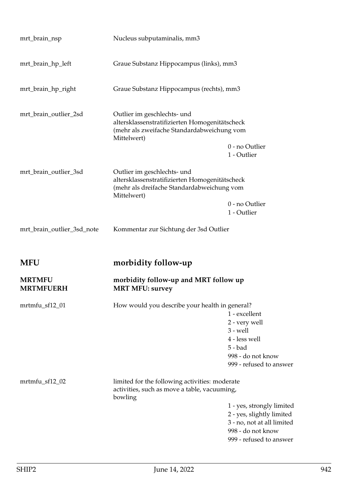| mrt_brain_nsp                     | Nucleus subputaminalis, mm3                                                                                                                |                                                                                                                                      |
|-----------------------------------|--------------------------------------------------------------------------------------------------------------------------------------------|--------------------------------------------------------------------------------------------------------------------------------------|
| mrt_brain_hp_left                 | Graue Substanz Hippocampus (links), mm3                                                                                                    |                                                                                                                                      |
| mrt_brain_hp_right                | Graue Substanz Hippocampus (rechts), mm3                                                                                                   |                                                                                                                                      |
| mrt_brain_outlier_2sd             | Outlier im geschlechts- und<br>altersklassenstratifizierten Homogenitätscheck<br>(mehr als zweifache Standardabweichung vom<br>Mittelwert) | 0 - no Outlier<br>1 - Outlier                                                                                                        |
| mrt_brain_outlier_3sd             | Outlier im geschlechts- und<br>altersklassenstratifizierten Homogenitätscheck<br>(mehr als dreifache Standardabweichung vom<br>Mittelwert) | 0 - no Outlier<br>1 - Outlier                                                                                                        |
| mrt_brain_outlier_3sd_note        | Kommentar zur Sichtung der 3sd Outlier                                                                                                     |                                                                                                                                      |
| <b>MFU</b>                        | morbidity follow-up                                                                                                                        |                                                                                                                                      |
| <b>MRTMFU</b><br><b>MRTMFUERH</b> | morbidity follow-up and MRT follow up<br><b>MRT MFU: survey</b>                                                                            |                                                                                                                                      |
| mrtmfu_sf12_01                    | How would you describe your health in general?                                                                                             | 1 - excellent<br>2 - very well<br>$3$ - well<br>4 - less well<br>$5 - bad$<br>998 - do not know<br>999 - refused to answer           |
| mrtmfu_sf12_02                    | limited for the following activities: moderate<br>activities, such as move a table, vacuuming,<br>bowling                                  | 1 - yes, strongly limited<br>2 - yes, slightly limited<br>3 - no, not at all limited<br>998 - do not know<br>999 - refused to answer |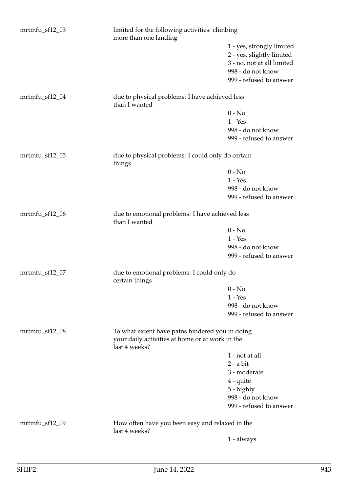| mrtmfu_sf12_03 | limited for the following activities: climbing<br>more than one landing                                             |                            |
|----------------|---------------------------------------------------------------------------------------------------------------------|----------------------------|
|                |                                                                                                                     | 1 - yes, strongly limited  |
|                |                                                                                                                     | 2 - yes, slightly limited  |
|                |                                                                                                                     | 3 - no, not at all limited |
|                |                                                                                                                     | 998 - do not know          |
|                |                                                                                                                     | 999 - refused to answer    |
|                |                                                                                                                     |                            |
| mrtmfu_sf12_04 | due to physical problems: I have achieved less<br>than I wanted                                                     |                            |
|                |                                                                                                                     | $0 - No$                   |
|                |                                                                                                                     | $1 - Yes$                  |
|                |                                                                                                                     | 998 - do not know          |
|                |                                                                                                                     | 999 - refused to answer    |
| mrtmfu_sf12_05 | due to physical problems: I could only do certain<br>things                                                         |                            |
|                |                                                                                                                     | $0 - No$                   |
|                |                                                                                                                     | $1 - Yes$                  |
|                |                                                                                                                     | 998 - do not know          |
|                |                                                                                                                     | 999 - refused to answer    |
| mrtmfu_sf12_06 | due to emotional problems: I have achieved less<br>than I wanted                                                    |                            |
|                |                                                                                                                     | $0 - No$                   |
|                |                                                                                                                     | $1 - Yes$                  |
|                |                                                                                                                     | 998 - do not know          |
|                |                                                                                                                     | 999 - refused to answer    |
| mrtmfu_sf12_07 | due to emotional problems: I could only do<br>certain things                                                        |                            |
|                |                                                                                                                     | $0 - No$                   |
|                |                                                                                                                     | $1 - Yes$                  |
|                |                                                                                                                     | 998 - do not know          |
|                |                                                                                                                     | 999 - refused to answer    |
| mrtmfu_sf12_08 | To what extent have pains hindered you in doing<br>your daily activities at home or at work in the<br>last 4 weeks? |                            |
|                |                                                                                                                     | 1 - not at all             |
|                |                                                                                                                     | $2 - a bit$                |
|                |                                                                                                                     | 3 - moderate               |
|                |                                                                                                                     | 4 - quite                  |
|                |                                                                                                                     | 5 - highly                 |
|                |                                                                                                                     | 998 - do not know          |
|                |                                                                                                                     | 999 - refused to answer    |
| mrtmfu_sf12_09 | How often have you been easy and relaxed in the                                                                     |                            |
|                | last 4 weeks?                                                                                                       |                            |
|                |                                                                                                                     | 1 - always                 |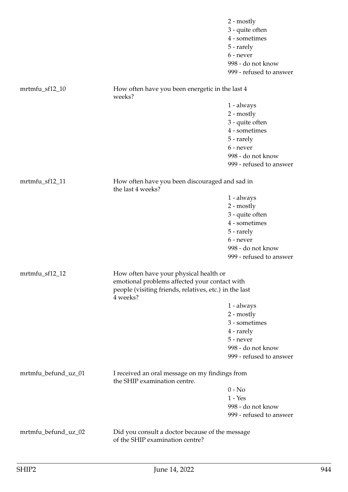|                     |                                                                                                                                                   | 2 - mostly<br>3 - quite often<br>4 - sometimes<br>5 - rarely<br>6 - never<br>998 - do not know<br>999 - refused to answer |
|---------------------|---------------------------------------------------------------------------------------------------------------------------------------------------|---------------------------------------------------------------------------------------------------------------------------|
| mrtmfu_sf12_10      | How often have you been energetic in the last 4<br>weeks?                                                                                         |                                                                                                                           |
|                     |                                                                                                                                                   | 1 - always                                                                                                                |
|                     |                                                                                                                                                   | $2 - mostly$                                                                                                              |
|                     |                                                                                                                                                   | 3 - quite often                                                                                                           |
|                     |                                                                                                                                                   | 4 - sometimes                                                                                                             |
|                     |                                                                                                                                                   | 5 - rarely                                                                                                                |
|                     |                                                                                                                                                   | 6 - never                                                                                                                 |
|                     |                                                                                                                                                   | 998 - do not know                                                                                                         |
|                     |                                                                                                                                                   | 999 - refused to answer                                                                                                   |
| mrtmfu_sf12_11      | How often have you been discouraged and sad in<br>the last 4 weeks?                                                                               |                                                                                                                           |
|                     |                                                                                                                                                   | 1 - always                                                                                                                |
|                     |                                                                                                                                                   | $2 - mostly$                                                                                                              |
|                     |                                                                                                                                                   | 3 - quite often                                                                                                           |
|                     |                                                                                                                                                   | 4 - sometimes                                                                                                             |
|                     |                                                                                                                                                   | 5 - rarely                                                                                                                |
|                     |                                                                                                                                                   | 6 - never                                                                                                                 |
|                     |                                                                                                                                                   | 998 - do not know                                                                                                         |
|                     |                                                                                                                                                   | 999 - refused to answer                                                                                                   |
| $m$ rtmfu_sf12_12   | How often have your physical health or<br>emotional problems affected your contact with<br>people (visiting friends, relatives, etc.) in the last |                                                                                                                           |
|                     | 4 weeks?                                                                                                                                          |                                                                                                                           |
|                     |                                                                                                                                                   | $1 - always$                                                                                                              |
|                     |                                                                                                                                                   | 2 - mostly                                                                                                                |
|                     |                                                                                                                                                   | 3 - sometimes                                                                                                             |
|                     |                                                                                                                                                   | 4 - rarely                                                                                                                |
|                     |                                                                                                                                                   | 5 - never                                                                                                                 |
|                     |                                                                                                                                                   | 998 - do not know                                                                                                         |
|                     |                                                                                                                                                   | 999 - refused to answer                                                                                                   |
| mrtmfu_befund_uz_01 | I received an oral message on my findings from<br>the SHIP examination centre.                                                                    |                                                                                                                           |
|                     |                                                                                                                                                   | $0 - No$                                                                                                                  |
|                     |                                                                                                                                                   | $1 - Yes$                                                                                                                 |
|                     |                                                                                                                                                   | 998 - do not know                                                                                                         |
|                     |                                                                                                                                                   | 999 - refused to answer                                                                                                   |
| mrtmfu_befund_uz_02 | Did you consult a doctor because of the message<br>of the SHIP examination centre?                                                                |                                                                                                                           |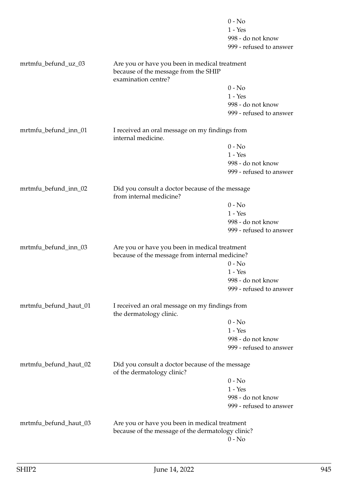|                       |                                                                                                 | $0 - No$<br>$1 - Yes$   |  |
|-----------------------|-------------------------------------------------------------------------------------------------|-------------------------|--|
|                       |                                                                                                 | 998 - do not know       |  |
|                       |                                                                                                 | 999 - refused to answer |  |
| mrtmfu_befund_uz_03   | Are you or have you been in medical treatment                                                   |                         |  |
|                       | because of the message from the SHIP                                                            |                         |  |
|                       | examination centre?                                                                             |                         |  |
|                       |                                                                                                 | $0 - No$                |  |
|                       |                                                                                                 | $1 - Yes$               |  |
|                       |                                                                                                 | 998 - do not know       |  |
|                       |                                                                                                 | 999 - refused to answer |  |
| mrtmfu_befund_inn_01  | I received an oral message on my findings from<br>internal medicine.                            |                         |  |
|                       |                                                                                                 | $0 - No$                |  |
|                       |                                                                                                 | $1 - Yes$               |  |
|                       |                                                                                                 | 998 - do not know       |  |
|                       |                                                                                                 | 999 - refused to answer |  |
| mrtmfu_befund_inn_02  | Did you consult a doctor because of the message<br>from internal medicine?                      |                         |  |
|                       |                                                                                                 | $0 - No$                |  |
|                       |                                                                                                 | $1 - Yes$               |  |
|                       |                                                                                                 | 998 - do not know       |  |
|                       |                                                                                                 | 999 - refused to answer |  |
| mrtmfu_befund_inn_03  | Are you or have you been in medical treatment<br>because of the message from internal medicine? |                         |  |
|                       |                                                                                                 | $0 - No$                |  |
|                       |                                                                                                 | $1 - Yes$               |  |
|                       |                                                                                                 | 998 - do not know       |  |
|                       |                                                                                                 | 999 - refused to answer |  |
| mrtmfu_befund_haut_01 | I received an oral message on my findings from<br>the dermatology clinic.                       |                         |  |
|                       |                                                                                                 | $0 - No$                |  |
|                       |                                                                                                 | $1 - Yes$               |  |
|                       |                                                                                                 | 998 - do not know       |  |
|                       |                                                                                                 | 999 - refused to answer |  |
| mrtmfu_befund_haut_02 | Did you consult a doctor because of the message<br>of the dermatology clinic?                   |                         |  |
|                       |                                                                                                 | $0 - No$                |  |
|                       |                                                                                                 | $1 - Yes$               |  |
|                       |                                                                                                 | 998 - do not know       |  |
|                       |                                                                                                 | 999 - refused to answer |  |
| mrtmfu_befund_haut_03 | Are you or have you been in medical treatment                                                   |                         |  |
|                       | because of the message of the dermatology clinic?                                               |                         |  |
|                       |                                                                                                 | $0 - No$                |  |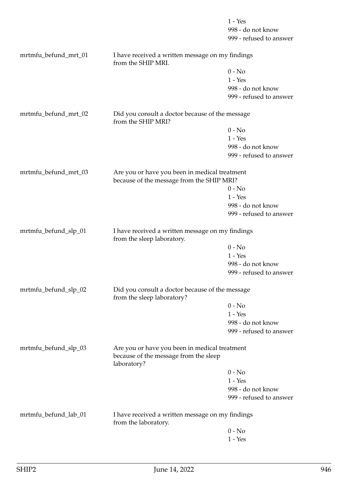|                      |                                                                                                       | $1 - Yes$<br>998 - do not know<br>999 - refused to answer |
|----------------------|-------------------------------------------------------------------------------------------------------|-----------------------------------------------------------|
| mrtmfu_befund_mrt_01 | I have received a written message on my findings                                                      |                                                           |
|                      | from the SHIP MRI.                                                                                    |                                                           |
|                      |                                                                                                       | $0 - No$                                                  |
|                      |                                                                                                       | $1 - Yes$                                                 |
|                      |                                                                                                       | 998 - do not know                                         |
|                      |                                                                                                       | 999 - refused to answer                                   |
| mrtmfu_befund_mrt_02 | Did you consult a doctor because of the message<br>from the SHIP MRI?                                 |                                                           |
|                      |                                                                                                       | $0 - No$                                                  |
|                      |                                                                                                       | $1 - Yes$                                                 |
|                      |                                                                                                       | 998 - do not know                                         |
|                      |                                                                                                       | 999 - refused to answer                                   |
| mrtmfu_befund_mrt_03 | Are you or have you been in medical treatment                                                         |                                                           |
|                      | because of the message from the SHIP MRI?                                                             |                                                           |
|                      |                                                                                                       | $0 - No$                                                  |
|                      |                                                                                                       | $1 - Yes$                                                 |
|                      |                                                                                                       | 998 - do not know                                         |
|                      |                                                                                                       | 999 - refused to answer                                   |
| mrtmfu_befund_slp_01 | I have received a written message on my findings<br>from the sleep laboratory.                        |                                                           |
|                      |                                                                                                       | $0 - No$                                                  |
|                      |                                                                                                       | $1 - Yes$                                                 |
|                      |                                                                                                       | 998 - do not know                                         |
|                      |                                                                                                       | 999 - refused to answer                                   |
| mrtmfu_befund_slp_02 | Did you consult a doctor because of the message<br>from the sleep laboratory?                         |                                                           |
|                      |                                                                                                       | $0 - No$                                                  |
|                      |                                                                                                       | $1 - Yes$                                                 |
|                      |                                                                                                       | 998 - do not know                                         |
|                      |                                                                                                       | 999 - refused to answer                                   |
| mrtmfu_befund_slp_03 | Are you or have you been in medical treatment<br>because of the message from the sleep<br>laboratory? |                                                           |
|                      |                                                                                                       | $0 - No$                                                  |
|                      |                                                                                                       | $1 - Yes$                                                 |
|                      |                                                                                                       | 998 - do not know                                         |
|                      |                                                                                                       | 999 - refused to answer                                   |
| mrtmfu_befund_lab_01 | I have received a written message on my findings<br>from the laboratory.                              |                                                           |
|                      |                                                                                                       | $0 - No$                                                  |
|                      |                                                                                                       | $1 - Yes$                                                 |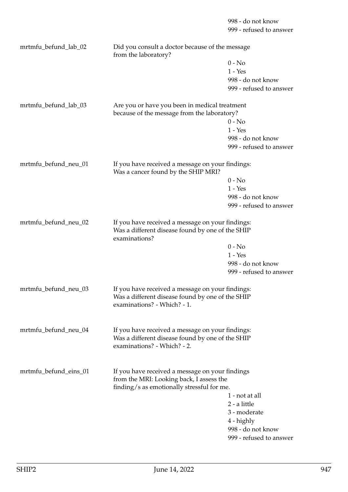999 - refused to answer mrtmfu\_befund\_lab\_02 Did you consult a doctor because of the message from the laboratory?  $0 - No$ 1 - Yes 998 - do not know 999 - refused to answer mrtmfu befund lab 03 Are you or have you been in medical treatment because of the message from the laboratory?  $0 - No$ 1 - Yes 998 - do not know 999 - refused to answer mrtmfu\_befund\_neu\_01 If you have received a message on your findings: Was a cancer found by the SHIP MRI?  $0 - No$ 1 - Yes 998 - do not know 999 - refused to answer mrtmfu\_befund\_neu\_02 If you have received a message on your findings: Was a different disease found by one of the SHIP examinations?  $0 - No$  $1 - Y_{PS}$ 998 - do not know 999 - refused to answer mrtmfu\_befund\_neu\_03 If you have received a message on your findings: Was a different disease found by one of the SHIP examinations? - Which? - 1. mrtmfu befund neu 04 If you have received a message on your findings: Was a different disease found by one of the SHIP examinations? - Which? - 2. mrtmfu\_befund\_eins\_01 If you have received a message on your findings from the MRI: Looking back, I assess the finding/s as emotionally stressful for me. 1 - not at all 2 - a little 3 - moderate 4 - highly 998 - do not know 999 - refused to answer

998 - do not know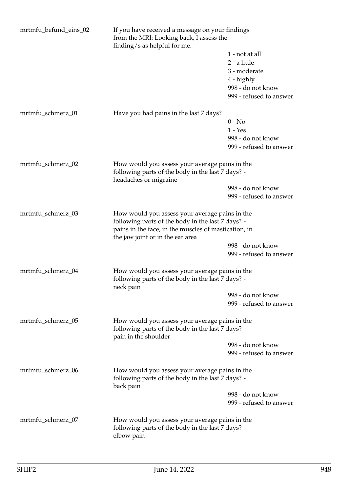| mrtmfu_befund_eins_02 | If you have received a message on your findings<br>from the MRI: Looking back, I assess the<br>finding/s as helpful for me. |                         |
|-----------------------|-----------------------------------------------------------------------------------------------------------------------------|-------------------------|
|                       |                                                                                                                             | 1 - not at all          |
|                       |                                                                                                                             | 2 - a little            |
|                       |                                                                                                                             | 3 - moderate            |
|                       |                                                                                                                             | 4 - highly              |
|                       |                                                                                                                             | 998 - do not know       |
|                       |                                                                                                                             | 999 - refused to answer |
| mrtmfu_schmerz_01     | Have you had pains in the last 7 days?                                                                                      |                         |
|                       |                                                                                                                             | $0 - No$                |
|                       |                                                                                                                             | $1 - Yes$               |
|                       |                                                                                                                             | 998 - do not know       |
|                       |                                                                                                                             | 999 - refused to answer |
|                       |                                                                                                                             |                         |
| mrtmfu_schmerz_02     | How would you assess your average pains in the<br>following parts of the body in the last 7 days? -                         |                         |
|                       | headaches or migraine                                                                                                       |                         |
|                       |                                                                                                                             | 998 - do not know       |
|                       |                                                                                                                             | 999 - refused to answer |
|                       |                                                                                                                             |                         |
| mrtmfu_schmerz_03     | How would you assess your average pains in the                                                                              |                         |
|                       | following parts of the body in the last 7 days? -                                                                           |                         |
|                       | pains in the face, in the muscles of mastication, in<br>the jaw joint or in the ear area                                    |                         |
|                       |                                                                                                                             | 998 - do not know       |
|                       |                                                                                                                             | 999 - refused to answer |
| mrtmfu_schmerz_04     | How would you assess your average pains in the<br>following parts of the body in the last 7 days? -                         |                         |
|                       | neck pain                                                                                                                   |                         |
|                       |                                                                                                                             | 998 - do not know       |
|                       |                                                                                                                             | 999 - refused to answer |
| mrtmfu_schmerz_05     | How would you assess your average pains in the<br>following parts of the body in the last 7 days? -                         |                         |
|                       | pain in the shoulder                                                                                                        |                         |
|                       |                                                                                                                             | 998 - do not know       |
|                       |                                                                                                                             | 999 - refused to answer |
| mrtmfu_schmerz_06     | How would you assess your average pains in the<br>following parts of the body in the last 7 days? -<br>back pain            |                         |
|                       |                                                                                                                             | 998 - do not know       |
|                       |                                                                                                                             | 999 - refused to answer |
| mrtmfu_schmerz_07     | How would you assess your average pains in the                                                                              |                         |
|                       | following parts of the body in the last 7 days? -<br>elbow pain                                                             |                         |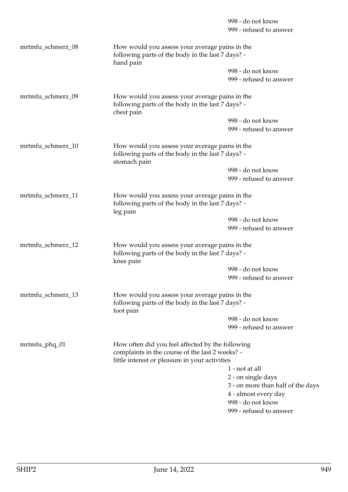|                   |                                                                                                                                                       | 998 - do not know<br>999 - refused to answer                                                                                                 |
|-------------------|-------------------------------------------------------------------------------------------------------------------------------------------------------|----------------------------------------------------------------------------------------------------------------------------------------------|
| mrtmfu_schmerz_08 | How would you assess your average pains in the<br>following parts of the body in the last 7 days? -<br>hand pain                                      |                                                                                                                                              |
|                   |                                                                                                                                                       | 998 - do not know<br>999 - refused to answer                                                                                                 |
| mrtmfu_schmerz_09 | How would you assess your average pains in the<br>following parts of the body in the last 7 days? -<br>chest pain                                     |                                                                                                                                              |
|                   |                                                                                                                                                       | 998 - do not know<br>999 - refused to answer                                                                                                 |
| mrtmfu_schmerz_10 | How would you assess your average pains in the<br>following parts of the body in the last 7 days? -<br>stomach pain                                   |                                                                                                                                              |
|                   |                                                                                                                                                       | 998 - do not know<br>999 - refused to answer                                                                                                 |
| mrtmfu_schmerz_11 | How would you assess your average pains in the<br>following parts of the body in the last 7 days? -<br>leg pain                                       |                                                                                                                                              |
|                   |                                                                                                                                                       | 998 - do not know<br>999 - refused to answer                                                                                                 |
| mrtmfu_schmerz_12 | How would you assess your average pains in the<br>following parts of the body in the last 7 days? -<br>knee pain                                      |                                                                                                                                              |
|                   |                                                                                                                                                       | 998 - do not know<br>999 - refused to answer                                                                                                 |
| mrtmfu_schmerz_13 | How would you assess your average pains in the<br>following parts of the body in the last 7 days? -<br>foot pain                                      |                                                                                                                                              |
|                   |                                                                                                                                                       | 998 - do not know<br>999 - refused to answer                                                                                                 |
| mrtmfu_phq_01     | How often did you feel affected by the following<br>complaints in the course of the last 2 weeks? -<br>little interest or pleasure in your activities |                                                                                                                                              |
|                   |                                                                                                                                                       | 1 - not at all<br>2 - on single days<br>3 - on more than half of the<br>4 - almost every day<br>998 - do not know<br>999 - refused to answer |

days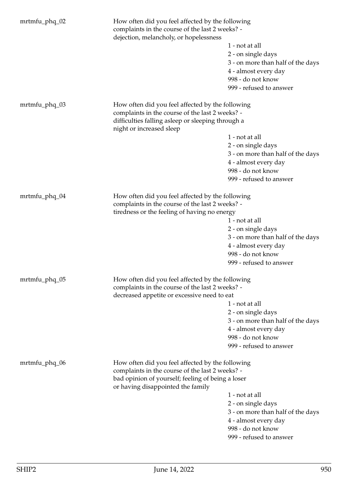| mrtmfu_phq_02 | How often did you feel affected by the following<br>complaints in the course of the last 2 weeks? -<br>dejection, melancholy, or hopelessness       |                                   |  |
|---------------|-----------------------------------------------------------------------------------------------------------------------------------------------------|-----------------------------------|--|
|               |                                                                                                                                                     | 1 - not at all                    |  |
|               |                                                                                                                                                     | 2 - on single days                |  |
|               |                                                                                                                                                     | 3 - on more than half of the days |  |
|               |                                                                                                                                                     | 4 - almost every day              |  |
|               |                                                                                                                                                     | 998 - do not know                 |  |
|               |                                                                                                                                                     | 999 - refused to answer           |  |
|               |                                                                                                                                                     |                                   |  |
| mrtmfu_phq_03 | How often did you feel affected by the following                                                                                                    |                                   |  |
|               | complaints in the course of the last 2 weeks? -                                                                                                     |                                   |  |
|               | difficulties falling asleep or sleeping through a<br>night or increased sleep                                                                       |                                   |  |
|               |                                                                                                                                                     | 1 - not at all                    |  |
|               |                                                                                                                                                     | 2 - on single days                |  |
|               |                                                                                                                                                     | 3 - on more than half of the days |  |
|               |                                                                                                                                                     | 4 - almost every day              |  |
|               |                                                                                                                                                     | 998 - do not know                 |  |
|               |                                                                                                                                                     | 999 - refused to answer           |  |
|               |                                                                                                                                                     |                                   |  |
| mrtmfu_phq_04 | How often did you feel affected by the following<br>complaints in the course of the last 2 weeks? -<br>tiredness or the feeling of having no energy |                                   |  |
|               |                                                                                                                                                     |                                   |  |
|               |                                                                                                                                                     | 1 - not at all                    |  |
|               |                                                                                                                                                     | 2 - on single days                |  |
|               |                                                                                                                                                     | 3 - on more than half of the days |  |
|               |                                                                                                                                                     | 4 - almost every day              |  |
|               |                                                                                                                                                     | 998 - do not know                 |  |
|               |                                                                                                                                                     | 999 - refused to answer           |  |
|               |                                                                                                                                                     |                                   |  |
| mrtmfu_phq_05 | How often did you feel affected by the following                                                                                                    |                                   |  |
|               | complaints in the course of the last 2 weeks? -                                                                                                     |                                   |  |
|               | decreased appetite or excessive need to eat                                                                                                         |                                   |  |
|               |                                                                                                                                                     | 1 - not at all                    |  |
|               |                                                                                                                                                     | 2 - on single days                |  |
|               |                                                                                                                                                     | 3 - on more than half of the days |  |
|               |                                                                                                                                                     | 4 - almost every day              |  |
|               |                                                                                                                                                     | 998 - do not know                 |  |
|               |                                                                                                                                                     | 999 - refused to answer           |  |
| mrtmfu_phq_06 | How often did you feel affected by the following                                                                                                    |                                   |  |
|               | complaints in the course of the last 2 weeks? -                                                                                                     |                                   |  |
|               | bad opinion of yourself; feeling of being a loser<br>or having disappointed the family                                                              |                                   |  |
|               |                                                                                                                                                     | 1 - not at all                    |  |
|               |                                                                                                                                                     | 2 - on single days                |  |
|               |                                                                                                                                                     | 3 - on more than half of the days |  |
|               |                                                                                                                                                     | 4 - almost every day              |  |
|               |                                                                                                                                                     | 998 - do not know                 |  |
|               |                                                                                                                                                     | 999 - refused to answer           |  |